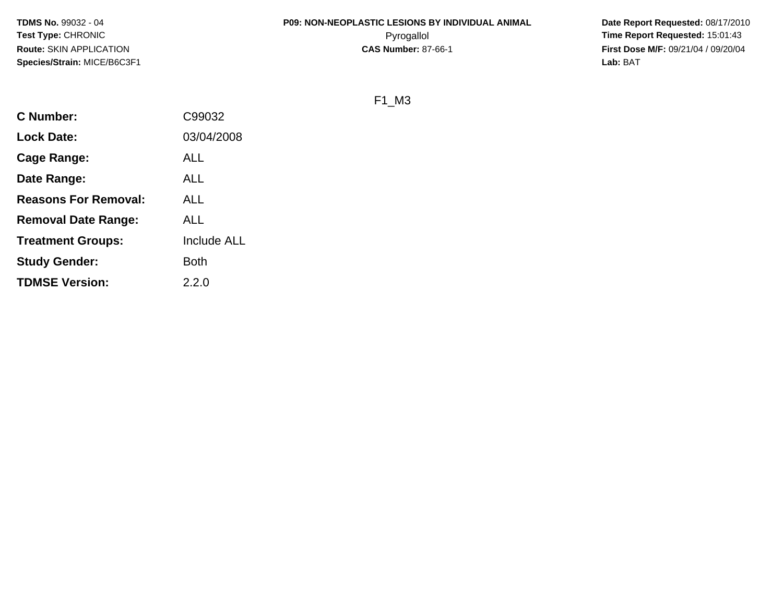# **P09: NON-NEOPLASTIC LESIONS BY INDIVIDUAL ANIMAL**

 **Date Report Requested:** 08/17/2010 Pyrogallol **Time Report Requested:** 15:01:43 **First Dose M/F:** 09/21/04 / 09/20/04<br>Lab: BAT **Lab:** BAT

F1\_M3

| C Number:                   | C99032             |
|-----------------------------|--------------------|
| <b>Lock Date:</b>           | 03/04/2008         |
| Cage Range:                 | ALL                |
| Date Range:                 | ALL                |
| <b>Reasons For Removal:</b> | ALL                |
| <b>Removal Date Range:</b>  | <b>ALL</b>         |
| <b>Treatment Groups:</b>    | <b>Include ALL</b> |
| <b>Study Gender:</b>        | Both               |
| <b>TDMSE Version:</b>       | 2.2.0              |
|                             |                    |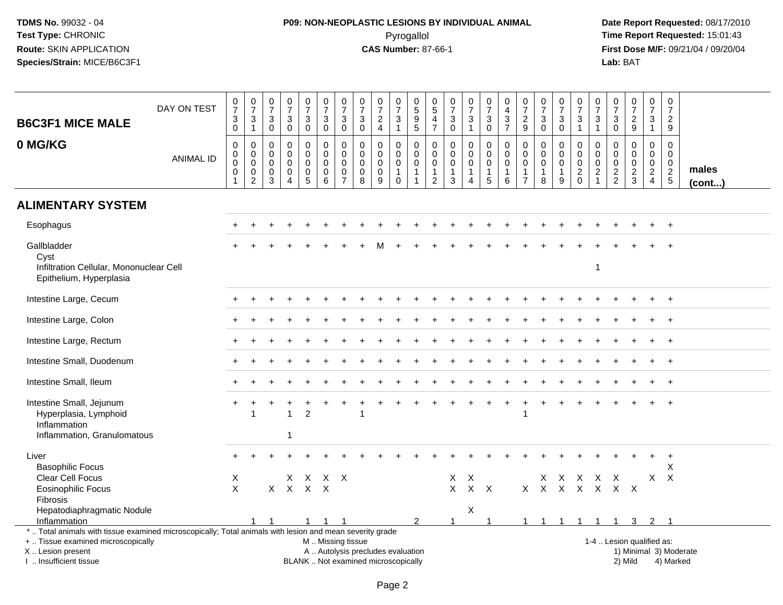# **P09: NON-NEOPLASTIC LESIONS BY INDIVIDUAL ANIMAL**Pyrogallol **Time Report Requested:** 15:01:43

| <b>B6C3F1 MICE MALE</b><br>0 MG/KG                                                                                                                                                            | DAY ON TEST<br><b>ANIMAL ID</b> | $\frac{0}{7}$<br>$\mathbf{3}$<br>$\mathsf{O}\xspace$<br>$\mathsf 0$<br>$\pmb{0}$<br>$\pmb{0}$ | $\frac{0}{7}$<br>3<br>$\mathbf{1}$<br>0<br>$\mathbf 0$<br>$\mathbf 0$ | $\begin{array}{c} 0 \\ 7 \end{array}$<br>$\sqrt{3}$<br>$\mathbf 0$<br>$\mathbf 0$<br>0<br>$\mathsf{O}\xspace$ | $\begin{array}{c} 0 \\ 7 \end{array}$<br>$\sqrt{3}$<br>$\mathbf 0$<br>$\mathbf 0$<br>$\mathbf 0$<br>$\mathbf 0$ | $\begin{array}{c} 0 \\ 7 \end{array}$<br>$_{\rm 0}^3$<br>$\mathbf 0$<br>$\mathbf 0$<br>$\mathbf 0$ | $\frac{0}{7}$<br>$\sqrt{3}$<br>$\mathbf 0$<br>$\mathbf 0$<br>$\mathbf 0$<br>$\mathbf 0$ | $\pmb{0}$<br>$\overline{7}$<br>$\ensuremath{\mathsf{3}}$<br>$\mathbf 0$<br>$\mathbf 0$<br>$\mathbf 0$<br>$\mathbf 0$ | $\frac{0}{7}$<br>$\ensuremath{\mathsf{3}}$<br>$\mathbf 0$<br>$\mathbf 0$<br>$\mathbf 0$<br>$\mathbf 0$ | $\frac{0}{7}$<br>$\overline{c}$<br>$\overline{4}$<br>0<br>$\mathbf 0$<br>$\mathbf 0$ | $\begin{array}{c} 0 \\ 7 \end{array}$<br>$\ensuremath{\mathsf{3}}$<br>$\mathbf{1}$<br>$\mathbf 0$<br>$\mathbf 0$<br>$\mathbf 0$ | 0<br>5<br>5<br>5<br>$\mathbf 0$<br>$\pmb{0}$<br>$\pmb{0}$ | $\begin{array}{c} 0 \\ 5 \end{array}$<br>$\overline{4}$<br>$\overline{7}$<br>$\mathbf 0$<br>$\mathbf 0$<br>$\mathbf 0$ | $\begin{array}{c} 0 \\ 7 \end{array}$<br>$\ensuremath{\mathsf{3}}$<br>$\overline{0}$<br>$\mathbf 0$<br>$\mathbf 0$<br>$\mathsf{O}\xspace$ | $\frac{0}{7}$<br>$\mathbf{3}$<br>$\mathbf{1}$<br>$\mathbf 0$<br>$\mathbf 0$<br>$\mathbf 0$ | $\begin{array}{c} 0 \\ 7 \end{array}$<br>3<br>$\mathbf 0$<br>$\Omega$<br>$\mathbf 0$<br>$\mathbf 0$ | $\pmb{0}$<br>$\overline{4}$<br>3<br>$\overline{7}$<br>$\mathbf 0$<br>0<br>$\mathsf 0$ | $\begin{array}{c} 0 \\ 7 \end{array}$<br>$\frac{2}{9}$<br>$\Omega$<br>$\mathbf 0$<br>$\mathbf 0$ | $\begin{array}{c} 0 \\ 7 \end{array}$<br>$\sqrt{3}$<br>$\mathbf 0$<br>$\mathbf 0$<br>$\mathbf 0$<br>$\mathsf{O}\xspace$ | $\begin{array}{c} 0 \\ 7 \end{array}$<br>$\sqrt{3}$<br>$\mathbf 0$<br>$\Omega$<br>$\mathbf{0}$<br>$\mathbf 0$ | $\frac{0}{7}$<br>$\frac{3}{1}$<br>$\mathbf 0$<br>$\mathbf 0$<br>$\mathbf 0$ | 0<br>$\overline{7}$<br>3<br>$\overline{1}$<br>$\Omega$<br>$\mathbf 0$<br>$\mathbf 0$ | $\frac{0}{7}$<br>$\ensuremath{\mathsf{3}}$<br>$\mathbf 0$<br>$\Omega$<br>$\Omega$<br>$\mathbf 0$ | $\frac{0}{7}$<br>$\frac{2}{9}$<br>$\mathbf 0$<br>$\mathbf 0$<br>$\mathbf 0$ | $\begin{array}{c} 0 \\ 7 \end{array}$<br>3<br>$\mathbf{1}$<br>$\Omega$<br>$\mathbf 0$<br>$\mathbf 0$ | $\frac{0}{7}$<br>$\overline{c}$<br>9<br>$\mathbf 0$<br>$\mathbf 0$<br>$\mathbf 0$ |                        |
|-----------------------------------------------------------------------------------------------------------------------------------------------------------------------------------------------|---------------------------------|-----------------------------------------------------------------------------------------------|-----------------------------------------------------------------------|---------------------------------------------------------------------------------------------------------------|-----------------------------------------------------------------------------------------------------------------|----------------------------------------------------------------------------------------------------|-----------------------------------------------------------------------------------------|----------------------------------------------------------------------------------------------------------------------|--------------------------------------------------------------------------------------------------------|--------------------------------------------------------------------------------------|---------------------------------------------------------------------------------------------------------------------------------|-----------------------------------------------------------|------------------------------------------------------------------------------------------------------------------------|-------------------------------------------------------------------------------------------------------------------------------------------|--------------------------------------------------------------------------------------------|-----------------------------------------------------------------------------------------------------|---------------------------------------------------------------------------------------|--------------------------------------------------------------------------------------------------|-------------------------------------------------------------------------------------------------------------------------|---------------------------------------------------------------------------------------------------------------|-----------------------------------------------------------------------------|--------------------------------------------------------------------------------------|--------------------------------------------------------------------------------------------------|-----------------------------------------------------------------------------|------------------------------------------------------------------------------------------------------|-----------------------------------------------------------------------------------|------------------------|
|                                                                                                                                                                                               |                                 | $\pmb{0}$<br>$\mathbf{1}$                                                                     | 0<br>$\overline{2}$                                                   | 0<br>3                                                                                                        | $\mathbf 0$<br>$\boldsymbol{\Lambda}$                                                                           | $\begin{array}{c} 0 \\ 5 \end{array}$                                                              | 0<br>6                                                                                  | 0<br>$\overline{7}$                                                                                                  | $\mathbf 0$<br>8                                                                                       | 0<br>9                                                                               | $\mathbf{1}$<br>0                                                                                                               | 1                                                         | $\mathbf{1}$<br>$\overline{2}$                                                                                         | $\mathbf{1}$<br>3                                                                                                                         | $\mathbf{1}$<br>$\overline{4}$                                                             | 1<br>$\overline{5}$                                                                                 | $\mathbf{1}$<br>6                                                                     | $\mathbf{1}$<br>$\overline{7}$                                                                   | 1<br>8                                                                                                                  | $\mathbf{1}$<br>9                                                                                             | $\frac{2}{0}$                                                               | $\overline{\mathbf{c}}$<br>$\overline{1}$                                            | $\frac{2}{2}$                                                                                    | $\frac{2}{3}$                                                               | $\frac{2}{4}$                                                                                        | $\frac{2}{5}$                                                                     | males<br>$($ cont $)$  |
| <b>ALIMENTARY SYSTEM</b>                                                                                                                                                                      |                                 |                                                                                               |                                                                       |                                                                                                               |                                                                                                                 |                                                                                                    |                                                                                         |                                                                                                                      |                                                                                                        |                                                                                      |                                                                                                                                 |                                                           |                                                                                                                        |                                                                                                                                           |                                                                                            |                                                                                                     |                                                                                       |                                                                                                  |                                                                                                                         |                                                                                                               |                                                                             |                                                                                      |                                                                                                  |                                                                             |                                                                                                      |                                                                                   |                        |
| Esophagus                                                                                                                                                                                     |                                 |                                                                                               |                                                                       |                                                                                                               |                                                                                                                 |                                                                                                    |                                                                                         |                                                                                                                      |                                                                                                        |                                                                                      |                                                                                                                                 |                                                           |                                                                                                                        |                                                                                                                                           |                                                                                            |                                                                                                     |                                                                                       |                                                                                                  |                                                                                                                         |                                                                                                               |                                                                             |                                                                                      |                                                                                                  |                                                                             |                                                                                                      |                                                                                   |                        |
| Gallbladder<br>Cyst<br>Infiltration Cellular, Mononuclear Cell<br>Epithelium, Hyperplasia                                                                                                     |                                 |                                                                                               |                                                                       |                                                                                                               |                                                                                                                 |                                                                                                    |                                                                                         |                                                                                                                      |                                                                                                        |                                                                                      |                                                                                                                                 |                                                           |                                                                                                                        |                                                                                                                                           |                                                                                            |                                                                                                     |                                                                                       |                                                                                                  |                                                                                                                         |                                                                                                               |                                                                             | $\overline{1}$                                                                       |                                                                                                  |                                                                             |                                                                                                      |                                                                                   |                        |
| Intestine Large, Cecum                                                                                                                                                                        |                                 |                                                                                               |                                                                       |                                                                                                               |                                                                                                                 |                                                                                                    |                                                                                         |                                                                                                                      |                                                                                                        |                                                                                      |                                                                                                                                 |                                                           |                                                                                                                        |                                                                                                                                           |                                                                                            |                                                                                                     |                                                                                       |                                                                                                  |                                                                                                                         |                                                                                                               |                                                                             |                                                                                      |                                                                                                  |                                                                             |                                                                                                      | $+$                                                                               |                        |
| Intestine Large, Colon                                                                                                                                                                        |                                 |                                                                                               |                                                                       |                                                                                                               |                                                                                                                 |                                                                                                    |                                                                                         |                                                                                                                      |                                                                                                        |                                                                                      |                                                                                                                                 |                                                           |                                                                                                                        |                                                                                                                                           |                                                                                            |                                                                                                     |                                                                                       |                                                                                                  |                                                                                                                         |                                                                                                               |                                                                             |                                                                                      |                                                                                                  |                                                                             |                                                                                                      | $+$                                                                               |                        |
| Intestine Large, Rectum                                                                                                                                                                       |                                 |                                                                                               |                                                                       |                                                                                                               |                                                                                                                 |                                                                                                    |                                                                                         |                                                                                                                      |                                                                                                        |                                                                                      |                                                                                                                                 |                                                           |                                                                                                                        |                                                                                                                                           |                                                                                            |                                                                                                     |                                                                                       |                                                                                                  |                                                                                                                         |                                                                                                               |                                                                             |                                                                                      |                                                                                                  |                                                                             |                                                                                                      | $\overline{+}$                                                                    |                        |
| Intestine Small, Duodenum                                                                                                                                                                     |                                 |                                                                                               |                                                                       |                                                                                                               |                                                                                                                 |                                                                                                    |                                                                                         |                                                                                                                      |                                                                                                        |                                                                                      |                                                                                                                                 |                                                           |                                                                                                                        |                                                                                                                                           |                                                                                            |                                                                                                     |                                                                                       |                                                                                                  |                                                                                                                         |                                                                                                               |                                                                             |                                                                                      |                                                                                                  |                                                                             |                                                                                                      | $+$                                                                               |                        |
| Intestine Small, Ileum                                                                                                                                                                        |                                 |                                                                                               |                                                                       |                                                                                                               |                                                                                                                 |                                                                                                    |                                                                                         |                                                                                                                      |                                                                                                        |                                                                                      |                                                                                                                                 |                                                           |                                                                                                                        |                                                                                                                                           |                                                                                            |                                                                                                     |                                                                                       |                                                                                                  |                                                                                                                         |                                                                                                               |                                                                             |                                                                                      |                                                                                                  |                                                                             |                                                                                                      | $+$                                                                               |                        |
| Intestine Small, Jejunum<br>Hyperplasia, Lymphoid<br>Inflammation<br>Inflammation, Granulomatous                                                                                              |                                 |                                                                                               | -1                                                                    |                                                                                                               | $\overline{1}$<br>-1                                                                                            | $\overline{2}$                                                                                     |                                                                                         |                                                                                                                      |                                                                                                        |                                                                                      |                                                                                                                                 |                                                           |                                                                                                                        |                                                                                                                                           |                                                                                            |                                                                                                     |                                                                                       |                                                                                                  |                                                                                                                         |                                                                                                               |                                                                             |                                                                                      |                                                                                                  |                                                                             |                                                                                                      | $\overline{+}$                                                                    |                        |
| Liver<br><b>Basophilic Focus</b><br>Clear Cell Focus<br><b>Eosinophilic Focus</b><br>Fibrosis                                                                                                 |                                 | X<br>$\times$                                                                                 |                                                                       |                                                                                                               | $X$ $X$ $X$ $X$                                                                                                 |                                                                                                    | X X X X                                                                                 |                                                                                                                      |                                                                                                        |                                                                                      |                                                                                                                                 |                                                           |                                                                                                                        | $\mathsf{X}$<br>$\times$                                                                                                                  | $\times$                                                                                   | $X$ $X$                                                                                             |                                                                                       |                                                                                                  | X X X X X X X                                                                                                           |                                                                                                               | x x x x x                                                                   |                                                                                      |                                                                                                  |                                                                             |                                                                                                      | $\ddot{}$<br>X<br>$X$ $X$                                                         |                        |
| Hepatodiaphragmatic Nodule<br>Inflammation                                                                                                                                                    |                                 |                                                                                               |                                                                       |                                                                                                               |                                                                                                                 | -1                                                                                                 |                                                                                         |                                                                                                                      |                                                                                                        |                                                                                      |                                                                                                                                 | 2                                                         |                                                                                                                        | -1                                                                                                                                        | Χ                                                                                          | -1                                                                                                  |                                                                                       | $\mathbf{1}$                                                                                     | $\overline{1}$                                                                                                          | $\overline{1}$                                                                                                | $\overline{1}$                                                              | $\overline{1}$                                                                       | $\overline{1}$                                                                                   | $\mathbf{3}$                                                                | $\overline{2}$                                                                                       | $\overline{\mathbf{1}}$                                                           |                        |
| *  Total animals with tissue examined microscopically; Total animals with lesion and mean severity grade<br>+  Tissue examined microscopically<br>X  Lesion present<br>I  Insufficient tissue |                                 |                                                                                               |                                                                       |                                                                                                               |                                                                                                                 |                                                                                                    | M  Missing tissue                                                                       |                                                                                                                      |                                                                                                        | BLANK  Not examined microscopically                                                  |                                                                                                                                 | A  Autolysis precludes evaluation                         |                                                                                                                        |                                                                                                                                           |                                                                                            |                                                                                                     |                                                                                       |                                                                                                  |                                                                                                                         |                                                                                                               |                                                                             |                                                                                      | 1-4  Lesion qualified as:                                                                        | 2) Mild                                                                     |                                                                                                      | 4) Marked                                                                         | 1) Minimal 3) Moderate |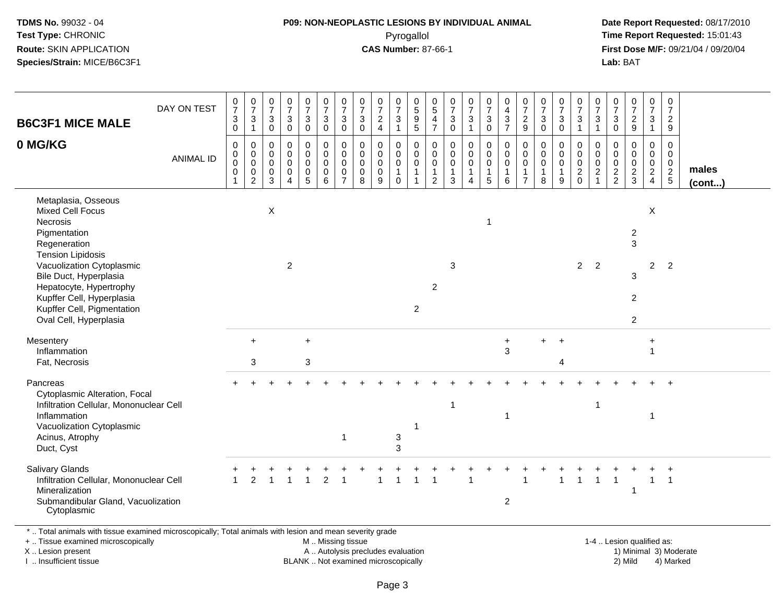# **P09: NON-NEOPLASTIC LESIONS BY INDIVIDUAL ANIMAL**Pyrogallol **Time Report Requested:** 15:01:43

 **Date Report Requested:** 08/17/2010 **First Dose M/F:** 09/21/04 / 09/20/04<br>**Lab:** BAT **Lab:** BAT

| <b>B6C3F1 MICE MALE</b>                                                                                                                                                                                                                                                                       | DAY ON TEST      | $\frac{0}{7}$<br>$\ensuremath{\mathsf{3}}$<br>0 | $\frac{0}{7}$<br>$\ensuremath{\mathsf{3}}$<br>$\mathbf{1}$       | 0<br>$\overline{7}$<br>$\sqrt{3}$<br>0            | $\begin{array}{c} 0 \\ 7 \end{array}$<br>$\sqrt{3}$<br>0 | $\begin{smallmatrix}0\\7\end{smallmatrix}$<br>$\ensuremath{\mathsf{3}}$<br>$\mathbf 0$ | $\begin{smallmatrix}0\\7\end{smallmatrix}$<br>$\ensuremath{\mathsf{3}}$<br>$\mathbf 0$ | $\frac{0}{7}$<br>$\mathbf{3}$<br>$\mathbf 0$                     | $\pmb{0}$<br>$\overline{7}$<br>$\mathbf{3}$<br>$\mathbf 0$ | $\frac{0}{7}$<br>$\frac{2}{4}$                              | $\frac{0}{7}$<br>3<br>$\mathbf{1}$                          | $^{\rm 0}_{\rm 5}$<br>$\frac{9}{5}$                    | $\begin{array}{c} 0 \\ 5 \end{array}$<br>$\overline{4}$<br>$\overline{7}$ | $\frac{0}{7}$<br>$\sqrt{3}$<br>$\mathbf 0$               | $\frac{0}{7}$<br>$\ensuremath{\mathsf{3}}$<br>$\mathbf{1}$ | $\frac{0}{7}$<br>$\sqrt{3}$<br>$\mathbf 0$                 | 0<br>$\begin{array}{c} 4 \\ 3 \\ 7 \end{array}$      | $\frac{0}{7}$<br>$\overline{c}$<br>9                              | $\frac{0}{7}$<br>$\ensuremath{\mathsf{3}}$<br>0          | $\frac{0}{7}$<br>$\ensuremath{\mathsf{3}}$<br>$\mathbf 0$                        | $\begin{smallmatrix}0\\7\end{smallmatrix}$<br>$\ensuremath{\mathsf{3}}$<br>$\overline{1}$ | $\frac{0}{7}$<br>$\sqrt{3}$<br>$\mathbf{1}$                                 | 0<br>$\overline{7}$<br>3<br>$\mathbf 0$                    | $\frac{0}{7}$<br>9                                           | $\frac{0}{7}$<br>$\mathfrak{S}$<br>$\mathbf{1}$                       | $\frac{0}{7}$<br>$\frac{2}{9}$                 |                 |
|-----------------------------------------------------------------------------------------------------------------------------------------------------------------------------------------------------------------------------------------------------------------------------------------------|------------------|-------------------------------------------------|------------------------------------------------------------------|---------------------------------------------------|----------------------------------------------------------|----------------------------------------------------------------------------------------|----------------------------------------------------------------------------------------|------------------------------------------------------------------|------------------------------------------------------------|-------------------------------------------------------------|-------------------------------------------------------------|--------------------------------------------------------|---------------------------------------------------------------------------|----------------------------------------------------------|------------------------------------------------------------|------------------------------------------------------------|------------------------------------------------------|-------------------------------------------------------------------|----------------------------------------------------------|----------------------------------------------------------------------------------|-------------------------------------------------------------------------------------------|-----------------------------------------------------------------------------|------------------------------------------------------------|--------------------------------------------------------------|-----------------------------------------------------------------------|------------------------------------------------|-----------------|
| 0 MG/KG                                                                                                                                                                                                                                                                                       | <b>ANIMAL ID</b> | 0<br>0<br>0<br>0<br>$\mathbf{1}$                | $\mathbf 0$<br>$\mathbf 0$<br>$\mathbf 0$<br>0<br>$\overline{c}$ | $\mathbf 0$<br>$\mathbf 0$<br>0<br>$\pmb{0}$<br>3 | $\mathbf 0$<br>$\mathbf 0$<br>0<br>0<br>$\overline{4}$   | $\mathbf 0$<br>$\pmb{0}$<br>$\mathbf 0$<br>$\begin{array}{c} 0 \\ 5 \end{array}$       | $\mathbf 0$<br>$\mathbf 0$<br>$\mathbf 0$<br>$\mathbf 0$<br>6                          | $\mathbf 0$<br>$\mathbf 0$<br>$\mathbf 0$<br>0<br>$\overline{7}$ | $\mathbf 0$<br>$\mathbf 0$<br>$\mathbf 0$<br>0<br>8        | $\mathbf 0$<br>$\pmb{0}$<br>$\mathbf 0$<br>$\mathbf 0$<br>9 | 0<br>$\mathbf 0$<br>$\mathbf 0$<br>$\mathbf{1}$<br>$\Omega$ | 0<br>$\mathsf{O}$<br>0<br>$\mathbf{1}$<br>$\mathbf{1}$ | $\mathbf 0$<br>$\mathsf 0$<br>$\mathsf 0$<br>$\mathbf{1}$<br>2            | $\mathbf 0$<br>$\pmb{0}$<br>$\mathbf 0$<br>$\frac{1}{3}$ | $\mathbf 0$<br>0<br>0<br>$\mathbf{1}$<br>$\overline{4}$    | $\mathbf 0$<br>$\pmb{0}$<br>$\pmb{0}$<br>$\mathbf{1}$<br>5 | 0<br>$\mathbf 0$<br>$\mathbf 0$<br>$\mathbf{1}$<br>6 | $\mathbf 0$<br>$\mathbf 0$<br>0<br>$\mathbf{1}$<br>$\overline{7}$ | $\mathbf 0$<br>0<br>$\pmb{0}$<br>$\mathbf{1}$<br>$\,8\,$ | $\mathbf 0$<br>$\begin{smallmatrix} 0\\0 \end{smallmatrix}$<br>$\mathbf{1}$<br>9 | $\mathbf 0$<br>$\mathbf 0$<br>$\mathbf 0$<br>$^2_{0}$                                     | $\mathbf 0$<br>$\mathbf 0$<br>$\mathbf 0$<br>$\overline{c}$<br>$\mathbf{1}$ | $\mathbf 0$<br>$\mathbf 0$<br>$\mathbf 0$<br>$\frac{2}{2}$ | $\mathbf 0$<br>$\mathbf 0$<br>$\mathbf 0$<br>$\frac{2}{3}$   | 0<br>$\mathsf{O}$<br>$\mathsf{O}$<br>$\overline{2}$<br>$\overline{4}$ | $\mathbf 0$<br>$\mathbf 0$<br>0<br>$rac{2}{5}$ | males<br>(cont) |
| Metaplasia, Osseous<br><b>Mixed Cell Focus</b><br>Necrosis<br>Pigmentation<br>Regeneration<br><b>Tension Lipidosis</b><br>Vacuolization Cytoplasmic<br>Bile Duct, Hyperplasia<br>Hepatocyte, Hypertrophy<br>Kupffer Cell, Hyperplasia<br>Kupffer Cell, Pigmentation<br>Oval Cell, Hyperplasia |                  |                                                 |                                                                  | $\boldsymbol{\mathsf{X}}$                         | $\overline{2}$                                           |                                                                                        |                                                                                        |                                                                  |                                                            |                                                             |                                                             | $\overline{2}$                                         | $\overline{2}$                                                            | $\mathbf{3}$                                             |                                                            | 1                                                          |                                                      |                                                                   |                                                          |                                                                                  |                                                                                           | $2 \quad 2$                                                                 |                                                            | $\overline{a}$<br>3<br>3<br>$\overline{c}$<br>$\overline{2}$ | X<br>$\overline{2}$                                                   | $\overline{2}$                                 |                 |
| Mesentery<br>Inflammation<br>Fat, Necrosis                                                                                                                                                                                                                                                    |                  |                                                 | $\ddot{}$<br>3                                                   |                                                   |                                                          | $+$<br>$\sqrt{3}$                                                                      |                                                                                        |                                                                  |                                                            |                                                             |                                                             |                                                        |                                                                           |                                                          |                                                            |                                                            | $\ddot{}$<br>3                                       |                                                                   | $+$                                                      | $\overline{1}$<br>Δ                                                              |                                                                                           |                                                                             |                                                            |                                                              | $\ddot{}$<br>$\mathbf{1}$                                             |                                                |                 |
| Pancreas<br>Cytoplasmic Alteration, Focal<br>Infiltration Cellular, Mononuclear Cell<br>Inflammation<br>Vacuolization Cytoplasmic<br>Acinus, Atrophy<br>Duct, Cyst                                                                                                                            |                  |                                                 |                                                                  |                                                   |                                                          |                                                                                        |                                                                                        | $\overline{1}$                                                   |                                                            |                                                             | $\ensuremath{\mathsf{3}}$<br>3                              |                                                        |                                                                           | -1                                                       |                                                            |                                                            | 1                                                    |                                                                   |                                                          |                                                                                  |                                                                                           | $\mathbf 1$                                                                 |                                                            |                                                              | -1                                                                    |                                                |                 |
| <b>Salivary Glands</b><br>Infiltration Cellular, Mononuclear Cell<br>Mineralization<br>Submandibular Gland, Vacuolization<br>Cytoplasmic                                                                                                                                                      |                  | $\mathbf{1}$                                    | $\overline{2}$                                                   |                                                   |                                                          |                                                                                        | $\overline{2}$                                                                         |                                                                  |                                                            |                                                             |                                                             |                                                        |                                                                           |                                                          |                                                            |                                                            | $\overline{2}$                                       |                                                                   |                                                          | 1                                                                                |                                                                                           |                                                                             |                                                            | 1                                                            | $\mathbf{1}$                                                          | $\ddot{}$<br>$\overline{1}$                    |                 |

+ .. Tissue examined microscopically

X .. Lesion present

I .. Insufficient tissue

M .. Missing tissue

BLANK .. Not examined microscopically

1-4 .. Lesion qualified as:<br>1) Minimal 3) Moderate A .. Autolysis precludes evaluation 19 and 10 minimal 3) Moderate 1 and 20 minimal 3) Moderate 19 minimal 3) Moderat<br>19 and 19 and 19 and 19 and 19 and 19 and 19 and 19 and 19 and 19 and 19 and 19 and 19 and 19 and 19 and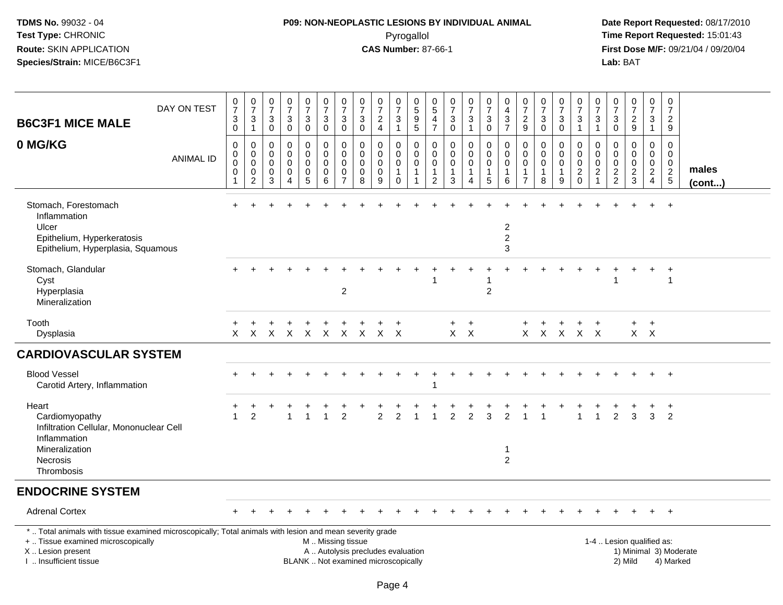# **P09: NON-NEOPLASTIC LESIONS BY INDIVIDUAL ANIMAL**Pyrogallol **Time Report Requested:** 15:01:43

| <b>B6C3F1 MICE MALE</b>                                                                                                                                                                       | DAY ON TEST      | $\frac{0}{7}$<br>$\ensuremath{\mathsf{3}}$<br>$\mathbf 0$ | $\frac{0}{7}$<br>$\ensuremath{\mathsf{3}}$<br>$\mathbf{1}$         | $\begin{smallmatrix}0\\7\end{smallmatrix}$<br>$\sqrt{3}$<br>$\mathbf 0$  | $\begin{array}{c} 0 \\ 7 \end{array}$<br>$\ensuremath{\mathsf{3}}$<br>$\mathbf 0$ | $\frac{0}{7}$<br>3<br>$\pmb{0}$                        | $\frac{0}{7}$<br>$\ensuremath{\mathsf{3}}$<br>$\mathbf 0$      | $\frac{0}{7}$<br>3<br>$\mathbf 0$                                 | 0<br>$\overline{7}$<br>$\sqrt{3}$<br>0 | $\frac{0}{7}$<br>$\frac{2}{4}$                                           | 0<br>$\overline{7}$<br>3<br>$\mathbf{1}$   | $\pmb{0}$<br>$\overline{5}$<br>$\frac{9}{5}$                                | 0<br>$\overline{5}$<br>4<br>$\overline{7}$   | $\begin{array}{c} 0 \\ 7 \end{array}$<br>$\ensuremath{\mathsf{3}}$<br>$\pmb{0}$ | $\frac{0}{7}$<br>$\ensuremath{\mathsf{3}}$<br>$\mathbf{1}$     | $\mathbf 0$<br>$\overline{7}$<br>$\ensuremath{\mathsf{3}}$<br>$\mathbf 0$   | 0<br>$\overline{\mathbf{4}}$<br>$\frac{3}{7}$                        | 0<br>$\overline{7}$<br>$\sqrt{2}$<br>9                  | $\frac{0}{7}$<br>$\ensuremath{\mathsf{3}}$<br>$\mathbf 0$    | $\frac{0}{7}$<br>$\mathbf{3}$<br>$\mathbf 0$ | $\frac{0}{7}$<br>$\frac{3}{1}$                        | $\pmb{0}$<br>$\overline{7}$<br>$\ensuremath{\mathsf{3}}$<br>$\mathbf{1}$ | 0<br>$\overline{7}$<br>$_{\rm 0}^3$              | $\begin{array}{c} 0 \\ 7 \end{array}$<br>$\frac{2}{9}$     | 0<br>$\overline{7}$<br>$\mathbf{3}$<br>$\mathbf{1}$                           | $\begin{array}{c} 0 \\ 7 \end{array}$<br>$\overline{c}$<br>9 |                       |
|-----------------------------------------------------------------------------------------------------------------------------------------------------------------------------------------------|------------------|-----------------------------------------------------------|--------------------------------------------------------------------|--------------------------------------------------------------------------|-----------------------------------------------------------------------------------|--------------------------------------------------------|----------------------------------------------------------------|-------------------------------------------------------------------|----------------------------------------|--------------------------------------------------------------------------|--------------------------------------------|-----------------------------------------------------------------------------|----------------------------------------------|---------------------------------------------------------------------------------|----------------------------------------------------------------|-----------------------------------------------------------------------------|----------------------------------------------------------------------|---------------------------------------------------------|--------------------------------------------------------------|----------------------------------------------|-------------------------------------------------------|--------------------------------------------------------------------------|--------------------------------------------------|------------------------------------------------------------|-------------------------------------------------------------------------------|--------------------------------------------------------------|-----------------------|
| 0 MG/KG                                                                                                                                                                                       | <b>ANIMAL ID</b> | $\mathbf 0$<br>0<br>0<br>0<br>$\overline{1}$              | $\mathbf 0$<br>$\pmb{0}$<br>$\,0\,$<br>$\pmb{0}$<br>$\overline{2}$ | $\mathbf 0$<br>$\mathbf 0$<br>$\mathbf 0$<br>$\mathbf 0$<br>$\mathbf{3}$ | $\mathbf 0$<br>$\mathbf 0$<br>$\Omega$<br>$\mathbf 0$<br>$\overline{4}$           | 0<br>0<br>$\mathbf 0$<br>$\mathbf 0$<br>$\overline{5}$ | 0<br>$\mathbf 0$<br>$\mathbf 0$<br>$\pmb{0}$<br>$\overline{6}$ | $\mathbf 0$<br>$\mathbf 0$<br>$\mathbf{0}$<br>0<br>$\overline{7}$ | $\mathbf 0$<br>0<br>0<br>0<br>8        | $\mathbf 0$<br>$\mathbf 0$<br>$\pmb{0}$<br>$\mathbf 0$<br>$9\,$          | 0<br>0<br>0<br>$\mathbf{1}$<br>$\mathbf 0$ | $\mathbf 0$<br>$\mathbf 0$<br>$\mathbf 0$<br>$\mathbf{1}$<br>$\overline{1}$ | $\mathbf 0$<br>0<br>0<br>1<br>$\overline{c}$ | $\mathbf 0$<br>$\mathbf 0$<br>$\Omega$<br>$\mathbf{1}$<br>3                     | $\mathbf 0$<br>$\mathbf 0$<br>$\pmb{0}$<br>1<br>$\overline{4}$ | $\mathbf 0$<br>$\mathbf 0$<br>$\mathbf 0$<br>$\mathbf{1}$<br>$\overline{5}$ | $\mathbf 0$<br>$\mathbf 0$<br>$\mathbf 0$<br>$\mathbf{1}$<br>$\,6\,$ | $\mathbf 0$<br>0<br>$\mathbf{0}$<br>1<br>$\overline{7}$ | $\mathbf 0$<br>$\mathbf 0$<br>$\pmb{0}$<br>$\mathbf{1}$<br>8 | 0<br>0<br>$\mathbf 0$<br>$\mathbf{1}$<br>9   | 0<br>$\pmb{0}$<br>$\mathsf{O}\xspace$<br>$^2_{\rm 0}$ | $\mathbf 0$<br>0<br>$\pmb{0}$<br>$\frac{2}{1}$                           | $\mathbf 0$<br>0<br>$\mathbf 0$<br>$\frac{2}{2}$ | $\mathbf 0$<br>$\mathbf 0$<br>$\mathbf 0$<br>$\frac{2}{3}$ | $\mathbf 0$<br>$\mathbf 0$<br>$\mathbf 0$<br>$\overline{a}$<br>$\overline{4}$ | $\mathbf 0$<br>0<br>$\mathbf 0$<br>$\frac{2}{5}$             | males<br>$($ cont $)$ |
| Stomach, Forestomach<br>Inflammation<br>Ulcer<br>Epithelium, Hyperkeratosis<br>Epithelium, Hyperplasia, Squamous                                                                              |                  |                                                           |                                                                    |                                                                          |                                                                                   |                                                        |                                                                |                                                                   |                                        |                                                                          |                                            |                                                                             |                                              |                                                                                 |                                                                |                                                                             | $\overline{2}$<br>$\overline{c}$<br>3                                |                                                         |                                                              |                                              |                                                       |                                                                          |                                                  |                                                            |                                                                               |                                                              |                       |
| Stomach, Glandular<br>Cyst<br>Hyperplasia<br>Mineralization                                                                                                                                   |                  |                                                           |                                                                    |                                                                          |                                                                                   |                                                        |                                                                | $\overline{2}$                                                    |                                        |                                                                          |                                            |                                                                             |                                              |                                                                                 |                                                                | 2                                                                           |                                                                      |                                                         |                                                              |                                              |                                                       |                                                                          |                                                  |                                                            |                                                                               |                                                              |                       |
| Tooth<br>Dysplasia                                                                                                                                                                            |                  | $\ddot{}$<br>X                                            | X.                                                                 | $\mathsf{X}$                                                             | $\mathsf{X}$                                                                      | $\mathsf{X}$                                           | $\mathsf{X}$                                                   |                                                                   |                                        | X X X X                                                                  |                                            |                                                                             |                                              | $\ddot{}$<br>$X$ $X$                                                            | $\ddot{}$                                                      |                                                                             |                                                                      |                                                         | $X$ $X$                                                      | $\mathsf{X}$                                 | $X$ X                                                 |                                                                          |                                                  | +                                                          | $+$<br>$X$ $X$                                                                |                                                              |                       |
| <b>CARDIOVASCULAR SYSTEM</b>                                                                                                                                                                  |                  |                                                           |                                                                    |                                                                          |                                                                                   |                                                        |                                                                |                                                                   |                                        |                                                                          |                                            |                                                                             |                                              |                                                                                 |                                                                |                                                                             |                                                                      |                                                         |                                                              |                                              |                                                       |                                                                          |                                                  |                                                            |                                                                               |                                                              |                       |
| <b>Blood Vessel</b><br>Carotid Artery, Inflammation                                                                                                                                           |                  | $+$                                                       |                                                                    |                                                                          |                                                                                   |                                                        |                                                                |                                                                   |                                        |                                                                          |                                            |                                                                             | 1                                            |                                                                                 |                                                                |                                                                             |                                                                      |                                                         |                                                              |                                              |                                                       |                                                                          |                                                  |                                                            |                                                                               | $+$                                                          |                       |
| Heart<br>Cardiomyopathy<br>Infiltration Cellular, Mononuclear Cell<br>Inflammation                                                                                                            |                  | $\overline{1}$                                            | 2                                                                  |                                                                          | -1                                                                                | 1                                                      |                                                                | $\overline{2}$                                                    |                                        | 2                                                                        | 2                                          |                                                                             |                                              | $\mathfrak{p}$                                                                  | $\overline{2}$                                                 | $\overline{3}$                                                              | $\mathfrak{p}$                                                       |                                                         |                                                              |                                              |                                                       |                                                                          | $\overline{2}$                                   | 3                                                          | 3                                                                             | $\ddot{}$<br>2                                               |                       |
| Mineralization<br><b>Necrosis</b><br>Thrombosis                                                                                                                                               |                  |                                                           |                                                                    |                                                                          |                                                                                   |                                                        |                                                                |                                                                   |                                        |                                                                          |                                            |                                                                             |                                              |                                                                                 |                                                                |                                                                             | -1<br>$\overline{2}$                                                 |                                                         |                                                              |                                              |                                                       |                                                                          |                                                  |                                                            |                                                                               |                                                              |                       |
| <b>ENDOCRINE SYSTEM</b>                                                                                                                                                                       |                  |                                                           |                                                                    |                                                                          |                                                                                   |                                                        |                                                                |                                                                   |                                        |                                                                          |                                            |                                                                             |                                              |                                                                                 |                                                                |                                                                             |                                                                      |                                                         |                                                              |                                              |                                                       |                                                                          |                                                  |                                                            |                                                                               |                                                              |                       |
| <b>Adrenal Cortex</b>                                                                                                                                                                         |                  |                                                           |                                                                    |                                                                          |                                                                                   |                                                        |                                                                |                                                                   |                                        |                                                                          |                                            |                                                                             |                                              |                                                                                 |                                                                |                                                                             |                                                                      |                                                         |                                                              |                                              |                                                       |                                                                          |                                                  |                                                            |                                                                               |                                                              |                       |
| *  Total animals with tissue examined microscopically; Total animals with lesion and mean severity grade<br>+  Tissue examined microscopically<br>X  Lesion present<br>I  Insufficient tissue |                  |                                                           |                                                                    |                                                                          |                                                                                   |                                                        | M  Missing tissue                                              |                                                                   |                                        | A  Autolysis precludes evaluation<br>BLANK  Not examined microscopically |                                            |                                                                             |                                              |                                                                                 |                                                                |                                                                             |                                                                      |                                                         |                                                              |                                              |                                                       |                                                                          |                                                  | 1-4  Lesion qualified as:<br>2) Mild                       |                                                                               | 1) Minimal 3) Moderate<br>4) Marked                          |                       |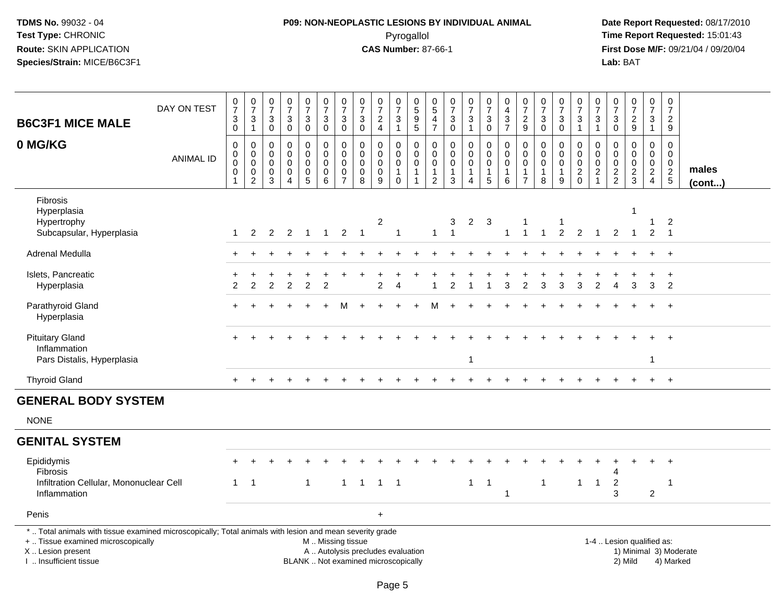# **P09: NON-NEOPLASTIC LESIONS BY INDIVIDUAL ANIMAL**Pyrogallol **Time Report Requested:** 15:01:43

| <b>B6C3F1 MICE MALE</b>                                                                                                                                                                       | DAY ON TEST      | $\frac{0}{7}$<br>$_{\rm 0}^3$                                    | $\frac{0}{7}$<br>$\frac{3}{1}$                                           | $\frac{0}{7}$<br>$\mathbf{3}$<br>$\mathbf 0$           | $\frac{0}{7}$<br>$\sqrt{3}$<br>$\overline{0}$                              | $\frac{0}{7}$<br>$_0^3$                                              | $\begin{array}{c} 0 \\ 7 \end{array}$<br>$_0^3$                                               | $\begin{array}{c} 0 \\ 7 \end{array}$<br>$\sqrt{3}$<br>$\ddot{\mathbf{0}}$     | $\frac{0}{7}$<br>$\sqrt{3}$<br>$\overline{0}$               | $\begin{array}{c} 0 \\ 7 \end{array}$<br>$\overline{2}$<br>$\overline{4}$ | $\frac{0}{7}$<br>3<br>$\overline{1}$       | $\begin{array}{c} 0 \\ 5 \end{array}$<br>$\begin{array}{c} 9 \\ 5 \end{array}$      | $\begin{array}{c} 0 \\ 5 \end{array}$<br>4<br>$\overline{7}$ | $\frac{0}{7}$<br>$_0^3$                              | $\frac{0}{7}$<br>3<br>$\mathbf{1}$                                                | $\frac{0}{7}$<br>$_0^3$                                           | $\begin{smallmatrix}0\\4\end{smallmatrix}$<br>$\frac{3}{7}$                   | $\begin{array}{c} 0 \\ 7 \end{array}$<br>$\frac{2}{9}$           | $\begin{array}{c} 0 \\ 7 \end{array}$<br>$\mathbf 3$<br>$\overline{0}$ | $\frac{0}{7}$<br>3<br>$\overline{0}$    | $\frac{0}{7}$<br>$\frac{3}{1}$               | $\frac{0}{7}$<br>3<br>$\mathbf{1}$                             | $\frac{0}{7}$<br>$_{\rm 0}^3$          | $\begin{array}{c} 0 \\ 7 \end{array}$<br>$\frac{2}{9}$        | $\begin{smallmatrix}0\\7\end{smallmatrix}$<br>$\frac{3}{1}$ | $\pmb{0}$<br>$\overline{7}$<br>$\overline{2}$<br>$\boldsymbol{9}$ |                                     |
|-----------------------------------------------------------------------------------------------------------------------------------------------------------------------------------------------|------------------|------------------------------------------------------------------|--------------------------------------------------------------------------|--------------------------------------------------------|----------------------------------------------------------------------------|----------------------------------------------------------------------|-----------------------------------------------------------------------------------------------|--------------------------------------------------------------------------------|-------------------------------------------------------------|---------------------------------------------------------------------------|--------------------------------------------|-------------------------------------------------------------------------------------|--------------------------------------------------------------|------------------------------------------------------|-----------------------------------------------------------------------------------|-------------------------------------------------------------------|-------------------------------------------------------------------------------|------------------------------------------------------------------|------------------------------------------------------------------------|-----------------------------------------|----------------------------------------------|----------------------------------------------------------------|----------------------------------------|---------------------------------------------------------------|-------------------------------------------------------------|-------------------------------------------------------------------|-------------------------------------|
| 0 MG/KG                                                                                                                                                                                       | <b>ANIMAL ID</b> | $\mathbf 0$<br>0<br>$\mathbf 0$<br>$\mathbf 0$<br>$\overline{1}$ | $\mathbf 0$<br>$\mathbf 0$<br>$\mathbf 0$<br>$\pmb{0}$<br>$\overline{2}$ | $\mathbf 0$<br>$\overline{0}$<br>$\mathbf 0$<br>0<br>3 | $\mathbf 0$<br>$\mathbf 0$<br>$\mathbf 0$<br>$\mathbf 0$<br>$\overline{4}$ | 0<br>$\overline{0}$<br>$\pmb{0}$<br>$\begin{matrix}0\\5\end{matrix}$ | 0<br>$\ddot{\mathbf{0}}$<br>$\mathsf{O}\xspace$<br>$\mathbf 0$<br>$6\phantom{1}6$             | $\mathbf 0$<br>$\ddot{\mathbf{0}}$<br>$\pmb{0}$<br>$\pmb{0}$<br>$\overline{7}$ | $\mathbf 0$<br>$\mathbf 0$<br>$\pmb{0}$<br>$\mathbf 0$<br>8 | $\mathbf 0$<br>$\mathbf 0$<br>$\mathbf 0$<br>$\boldsymbol{0}$<br>9        | 0<br>0<br>$\mathsf 0$<br>$\mathbf{1}$<br>0 | $\mathbf 0$<br>$\ddot{\mathbf{0}}$<br>$\mathbf 0$<br>$\mathbf{1}$<br>$\overline{1}$ | 0<br>$\mathbf 0$<br>$\pmb{0}$<br>1<br>$\overline{2}$         | 0<br>$\mathbf 0$<br>$\mathsf 0$<br>$\mathbf{1}$<br>3 | $\mathsf 0$<br>$\ddot{\mathbf{0}}$<br>$\pmb{0}$<br>$\mathbf{1}$<br>$\overline{4}$ | 0<br>$\mathbf 0$<br>$\mathbf 0$<br>$\mathbf{1}$<br>$\overline{5}$ | $\mathbf 0$<br>$\overline{0}$<br>$\pmb{0}$<br>$\mathbf{1}$<br>$6\phantom{1}6$ | 0<br>$\Omega$<br>$\mathbf 0$<br>$\overline{1}$<br>$\overline{7}$ | $\mathbf 0$<br>$\mathbf 0$<br>$\pmb{0}$<br>$\mathbf{1}$<br>8           | 0<br>$\mathbf 0$<br>$\pmb{0}$<br>1<br>9 | $\pmb{0}$<br>$\overline{0}$<br>$\frac{0}{2}$ | 0<br>$\Omega$<br>$\mathbf 0$<br>$\overline{c}$<br>$\mathbf{1}$ | 0<br>0<br>$\mathbf 0$<br>$\frac{2}{2}$ | $\mathbf 0$<br>$\overline{0}$<br>$\mathbf 0$<br>$\frac{2}{3}$ | $\mathbf 0$<br>$\mathbf 0$<br>$\frac{0}{2}$                 | $\mathbf 0$<br>$\mathbf 0$<br>$\mathbf 0$<br>$\frac{2}{5}$        | males<br>(cont)                     |
| <b>Fibrosis</b><br>Hyperplasia<br>Hypertrophy<br>Subcapsular, Hyperplasia                                                                                                                     |                  | $\mathbf{1}$                                                     | $\overline{2}$                                                           | $\overline{2}$                                         | $\overline{2}$                                                             | $\overline{1}$                                                       | $\overline{1}$                                                                                | $\overline{2}$                                                                 | $\overline{1}$                                              | $\overline{\mathbf{c}}$                                                   | $\overline{1}$                             |                                                                                     | $\mathbf{1}$                                                 | 3<br>$\overline{1}$                                  | $\overline{2}$                                                                    | $\mathbf{3}$                                                      | $\mathbf{1}$                                                                  | -1<br>$\overline{1}$                                             | $\mathbf{1}$                                                           | $\overline{2}$                          | $\overline{2}$                               | $\overline{1}$                                                 | $\overline{2}$                         | $\overline{1}$                                                | 1<br>$\overline{2}$                                         | $\overline{c}$<br>$\overline{1}$                                  |                                     |
| Adrenal Medulla                                                                                                                                                                               |                  |                                                                  |                                                                          |                                                        |                                                                            |                                                                      |                                                                                               |                                                                                |                                                             |                                                                           |                                            |                                                                                     |                                                              |                                                      |                                                                                   |                                                                   |                                                                               |                                                                  |                                                                        |                                         |                                              |                                                                |                                        |                                                               |                                                             | $+$                                                               |                                     |
| Islets, Pancreatic<br>Hyperplasia                                                                                                                                                             |                  | 2                                                                | 2                                                                        | 2                                                      | 2                                                                          | $\overline{2}$                                                       | 2                                                                                             |                                                                                |                                                             | $\mathcal{P}$                                                             | Δ                                          |                                                                                     |                                                              | $\mathfrak{p}$                                       | 1                                                                                 |                                                                   | 3                                                                             | 2                                                                | 3                                                                      | 3                                       | 3                                            | 2                                                              | 4                                      | 3                                                             | 3                                                           | $\ddot{}$<br>2                                                    |                                     |
| Parathyroid Gland<br>Hyperplasia                                                                                                                                                              |                  |                                                                  |                                                                          |                                                        |                                                                            |                                                                      |                                                                                               |                                                                                |                                                             |                                                                           |                                            |                                                                                     |                                                              |                                                      |                                                                                   |                                                                   |                                                                               |                                                                  |                                                                        |                                         |                                              |                                                                |                                        |                                                               |                                                             |                                                                   |                                     |
| <b>Pituitary Gland</b><br>Inflammation<br>Pars Distalis, Hyperplasia                                                                                                                          |                  |                                                                  |                                                                          |                                                        |                                                                            |                                                                      |                                                                                               |                                                                                |                                                             |                                                                           |                                            |                                                                                     |                                                              |                                                      | $\mathbf{1}$                                                                      |                                                                   |                                                                               |                                                                  |                                                                        |                                         |                                              |                                                                |                                        |                                                               | $\mathbf 1$                                                 | $+$                                                               |                                     |
| <b>Thyroid Gland</b>                                                                                                                                                                          |                  | $+$                                                              | $\overline{+}$                                                           |                                                        |                                                                            |                                                                      |                                                                                               |                                                                                |                                                             |                                                                           |                                            |                                                                                     |                                                              |                                                      |                                                                                   |                                                                   |                                                                               |                                                                  |                                                                        |                                         |                                              |                                                                |                                        |                                                               | $+$                                                         | $+$                                                               |                                     |
| <b>GENERAL BODY SYSTEM</b>                                                                                                                                                                    |                  |                                                                  |                                                                          |                                                        |                                                                            |                                                                      |                                                                                               |                                                                                |                                                             |                                                                           |                                            |                                                                                     |                                                              |                                                      |                                                                                   |                                                                   |                                                                               |                                                                  |                                                                        |                                         |                                              |                                                                |                                        |                                                               |                                                             |                                                                   |                                     |
| <b>NONE</b>                                                                                                                                                                                   |                  |                                                                  |                                                                          |                                                        |                                                                            |                                                                      |                                                                                               |                                                                                |                                                             |                                                                           |                                            |                                                                                     |                                                              |                                                      |                                                                                   |                                                                   |                                                                               |                                                                  |                                                                        |                                         |                                              |                                                                |                                        |                                                               |                                                             |                                                                   |                                     |
| <b>GENITAL SYSTEM</b>                                                                                                                                                                         |                  |                                                                  |                                                                          |                                                        |                                                                            |                                                                      |                                                                                               |                                                                                |                                                             |                                                                           |                                            |                                                                                     |                                                              |                                                      |                                                                                   |                                                                   |                                                                               |                                                                  |                                                                        |                                         |                                              |                                                                |                                        |                                                               |                                                             |                                                                   |                                     |
| Epididymis<br><b>Fibrosis</b>                                                                                                                                                                 |                  |                                                                  |                                                                          |                                                        |                                                                            |                                                                      |                                                                                               |                                                                                |                                                             |                                                                           |                                            |                                                                                     |                                                              |                                                      |                                                                                   |                                                                   |                                                                               |                                                                  |                                                                        |                                         |                                              |                                                                | 4                                      |                                                               | $\pm$                                                       | $^{+}$                                                            |                                     |
| Infiltration Cellular, Mononuclear Cell<br>Inflammation                                                                                                                                       |                  | $\mathbf{1}$                                                     | $\overline{1}$                                                           |                                                        |                                                                            | $\mathbf{1}$                                                         |                                                                                               | $\mathbf{1}$                                                                   | $\overline{1}$                                              | $1 \quad 1$                                                               |                                            |                                                                                     |                                                              |                                                      | $\mathbf{1}$                                                                      | $\overline{1}$                                                    | $\overline{1}$                                                                |                                                                  | $\mathbf{1}$                                                           |                                         | $\mathbf{1}$                                 | $\mathbf{1}$                                                   | 2<br>3                                 |                                                               | $\overline{2}$                                              | -1                                                                |                                     |
| Penis                                                                                                                                                                                         |                  |                                                                  |                                                                          |                                                        |                                                                            |                                                                      |                                                                                               |                                                                                |                                                             | $\ddot{}$                                                                 |                                            |                                                                                     |                                                              |                                                      |                                                                                   |                                                                   |                                                                               |                                                                  |                                                                        |                                         |                                              |                                                                |                                        |                                                               |                                                             |                                                                   |                                     |
| *  Total animals with tissue examined microscopically; Total animals with lesion and mean severity grade<br>+  Tissue examined microscopically<br>X  Lesion present<br>I  Insufficient tissue |                  |                                                                  |                                                                          |                                                        |                                                                            |                                                                      | M  Missing tissue<br>A  Autolysis precludes evaluation<br>BLANK  Not examined microscopically |                                                                                |                                                             |                                                                           |                                            |                                                                                     |                                                              |                                                      |                                                                                   |                                                                   |                                                                               |                                                                  |                                                                        |                                         |                                              | 1-4  Lesion qualified as:                                      |                                        | 2) Mild                                                       |                                                             |                                                                   | 1) Minimal 3) Moderate<br>4) Marked |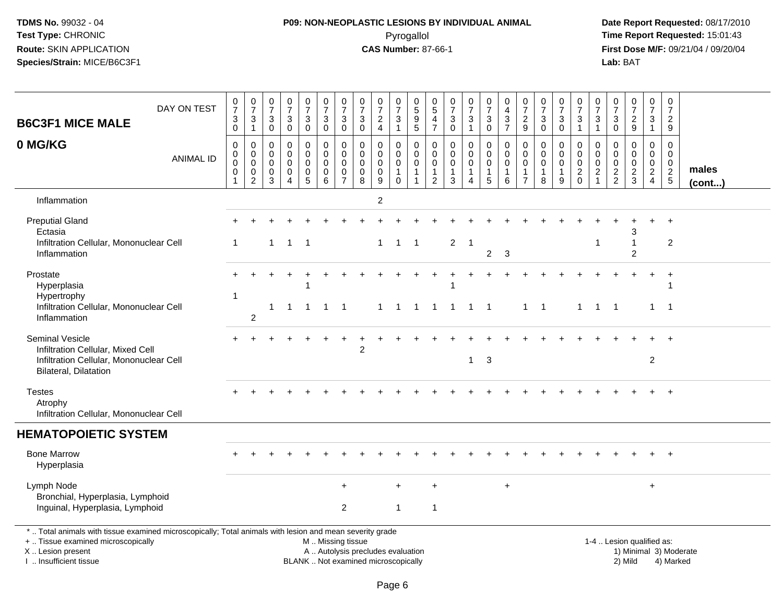# **P09: NON-NEOPLASTIC LESIONS BY INDIVIDUAL ANIMAL**Pyrogallol **Time Report Requested:** 15:01:43

| <b>B6C3F1 MICE MALE</b>                                                                                                                                                                       | DAY ON TEST      | $\frac{0}{7}$<br>$\ensuremath{\mathsf{3}}$<br>$\mathbf 0$ | $\begin{array}{c} 0 \\ 7 \end{array}$<br>$\frac{3}{1}$                       | $\frac{0}{7}$<br>$\ensuremath{\mathsf{3}}$<br>$\mathbf 0$ | $\frac{0}{7}$<br>3<br>$\mathbf 0$                                      | $\frac{0}{7}$<br>$\ensuremath{\mathsf{3}}$<br>$\mathsf 0$      | $\begin{smallmatrix}0\\7\end{smallmatrix}$<br>$\ensuremath{\mathsf{3}}$<br>$\mathbf 0$ | $\frac{0}{7}$<br>$\ensuremath{\mathsf{3}}$<br>$\mathsf{O}\xspace$    | $\frac{0}{7}$<br>$\ensuremath{\mathsf{3}}$<br>$\mathbf 0$                | $\begin{array}{c} 0 \\ 7 \end{array}$<br>$\sqrt{2}$<br>$\overline{4}$ | $\begin{array}{c} 0 \\ 7 \end{array}$<br>$\ensuremath{\mathsf{3}}$<br>$\mathbf{1}$ | 0<br>$\overline{5}$<br>$\frac{9}{5}$                            | $^{\rm 0}_{\rm 5}$<br>$\frac{4}{7}$                                         | $\frac{0}{7}$<br>$_{\rm 0}^3$                              | $\frac{0}{7}$<br>$\ensuremath{\mathsf{3}}$<br>$\mathbf{1}$                  | $\begin{array}{c} 0 \\ 7 \end{array}$<br>$_{\rm 0}^3$                  | $\begin{array}{c} 0 \\ 4 \\ 3 \\ 7 \end{array}$                           | $\frac{0}{7}$<br>$\frac{2}{9}$                         | $\frac{0}{7}$<br>$\ensuremath{\mathsf{3}}$<br>$\mathsf 0$      | $\frac{0}{7}$<br>$\mathbf{3}$<br>$\mathbf 0$                   | $\frac{0}{7}$<br>$\ensuremath{\mathsf{3}}$<br>$\mathbf{1}$ | $\frac{0}{7}$<br>$\frac{3}{1}$                                              | $\frac{0}{7}$<br>$\sqrt{3}$<br>$\mathsf 0$        | $\frac{0}{7}$<br>$\frac{2}{9}$                          | $\frac{0}{7}$<br>$\sqrt{3}$<br>$\mathbf{1}$                                    | $\begin{array}{c} 0 \\ 7 \end{array}$<br>$\overline{2}$<br>9 |                        |
|-----------------------------------------------------------------------------------------------------------------------------------------------------------------------------------------------|------------------|-----------------------------------------------------------|------------------------------------------------------------------------------|-----------------------------------------------------------|------------------------------------------------------------------------|----------------------------------------------------------------|----------------------------------------------------------------------------------------|----------------------------------------------------------------------|--------------------------------------------------------------------------|-----------------------------------------------------------------------|------------------------------------------------------------------------------------|-----------------------------------------------------------------|-----------------------------------------------------------------------------|------------------------------------------------------------|-----------------------------------------------------------------------------|------------------------------------------------------------------------|---------------------------------------------------------------------------|--------------------------------------------------------|----------------------------------------------------------------|----------------------------------------------------------------|------------------------------------------------------------|-----------------------------------------------------------------------------|---------------------------------------------------|---------------------------------------------------------|--------------------------------------------------------------------------------|--------------------------------------------------------------|------------------------|
| 0 MG/KG                                                                                                                                                                                       | <b>ANIMAL ID</b> | 0<br>$\mathbf 0$<br>0<br>$\mathbf 0$                      | $\pmb{0}$<br>$\mathbf 0$<br>$\overline{0}$<br>$\boldsymbol{0}$<br>$\sqrt{2}$ | $\mathbf 0$<br>$\mathbf 0$<br>$\mathbf{0}$<br>0<br>3      | $\mathbf 0$<br>$\mathbf{0}$<br>$\Omega$<br>0<br>$\boldsymbol{\Lambda}$ | 0<br>$\mathbf 0$<br>$\mathbf 0$<br>$\pmb{0}$<br>$\overline{5}$ | $\pmb{0}$<br>$\mathbf 0$<br>$\mathbf 0$<br>$\mathsf 0$<br>$6\phantom{a}$               | $\pmb{0}$<br>$\pmb{0}$<br>$\mathbf 0$<br>$\pmb{0}$<br>$\overline{7}$ | $\mathbf 0$<br>$\mathbf 0$<br>0<br>$\mathbf 0$<br>8                      | $\mathbf 0$<br>$\mathbf 0$<br>$\mathbf 0$<br>$\pmb{0}$<br>9           | 0<br>$\mathbf 0$<br>$\mathbf 0$<br>$\mathbf{1}$<br>$\mathbf 0$                     | 0<br>$\mathbf 0$<br>$\mathbf 0$<br>$\mathbf{1}$<br>$\mathbf{1}$ | $\mathbf 0$<br>$\mathbf 0$<br>$\mathbf 0$<br>$\mathbf{1}$<br>$\overline{2}$ | $\mathbf 0$<br>$\mathbf 0$<br>$\mathbf 0$<br>$\frac{1}{3}$ | $\mathbf 0$<br>$\mathbf 0$<br>$\mathbf 0$<br>$\mathbf{1}$<br>$\overline{A}$ | 0<br>$\pmb{0}$<br>$\mathbf 0$<br>$\begin{array}{c} 1 \\ 5 \end{array}$ | $\pmb{0}$<br>$\mathbf 0$<br>$\mathbf 0$<br>$\mathbf{1}$<br>$\overline{6}$ | 0<br>$\mathbf 0$<br>$\mathbf 0$<br>1<br>$\overline{7}$ | $\mathbf 0$<br>$\mathbf 0$<br>$\mathbf 0$<br>$\mathbf{1}$<br>8 | $\mathbf 0$<br>$\mathbf 0$<br>$\mathbf 0$<br>$\mathbf{1}$<br>9 | 0<br>$\mathbf 0$<br>$\mathbf 0$<br>$^2_{\rm 0}$            | $\mathbf 0$<br>$\mathbf 0$<br>$\mathbf 0$<br>$\overline{c}$<br>$\mathbf{1}$ | 0<br>$\mathbf{0}$<br>$\mathbf 0$<br>$\frac{2}{2}$ | $\mathbf 0$<br>$\Omega$<br>$\mathbf 0$<br>$\frac{2}{3}$ | $\mathbf 0$<br>$\mathbf{0}$<br>$\mathbf 0$<br>$\overline{2}$<br>$\overline{4}$ | $\mathbf 0$<br>$\mathbf 0$<br>$\mathbf 0$<br>$\frac{2}{5}$   | males<br>$($ cont $)$  |
| Inflammation                                                                                                                                                                                  |                  |                                                           |                                                                              |                                                           |                                                                        |                                                                |                                                                                        |                                                                      |                                                                          | $\overline{2}$                                                        |                                                                                    |                                                                 |                                                                             |                                                            |                                                                             |                                                                        |                                                                           |                                                        |                                                                |                                                                |                                                            |                                                                             |                                                   |                                                         |                                                                                |                                                              |                        |
| <b>Preputial Gland</b><br>Ectasia<br>Infiltration Cellular, Mononuclear Cell<br>Inflammation                                                                                                  |                  |                                                           |                                                                              | $\mathbf{1}$                                              | $\mathbf{1}$                                                           | $\overline{\phantom{0}}$                                       |                                                                                        |                                                                      |                                                                          | $\mathbf{1}$                                                          | $\overline{1}$                                                                     | $\overline{1}$                                                  |                                                                             | $\overline{2}$                                             | $\overline{1}$                                                              | $\overline{c}$                                                         | $\mathbf{3}$                                                              |                                                        |                                                                |                                                                |                                                            | $\mathbf 1$                                                                 |                                                   | $\overline{2}$                                          |                                                                                | $\overline{\mathbf{c}}$                                      |                        |
| Prostate<br>Hyperplasia<br>Hypertrophy<br>Infiltration Cellular, Mononuclear Cell<br>Inflammation                                                                                             |                  |                                                           | 2                                                                            | 1                                                         | -1                                                                     | -1<br>$\mathbf{1}$                                             | $\mathbf{1}$                                                                           | $\overline{1}$                                                       |                                                                          | $\mathbf 1$                                                           | $\overline{1}$                                                                     | $\overline{1}$                                                  | $\mathbf{1}$                                                                | $\mathbf{1}$                                               | $\overline{1}$                                                              | $\overline{\phantom{0}}$ 1                                             |                                                                           |                                                        | $1 \quad 1$                                                    |                                                                | $\mathbf{1}$                                               | $\overline{1}$                                                              | $\overline{1}$                                    |                                                         | $\mathbf{1}$                                                                   | $\ddot{}$<br>-1                                              |                        |
| <b>Seminal Vesicle</b><br>Infiltration Cellular, Mixed Cell<br>Infiltration Cellular, Mononuclear Cell<br>Bilateral, Dilatation                                                               |                  |                                                           |                                                                              |                                                           |                                                                        |                                                                |                                                                                        |                                                                      | $\overline{2}$                                                           |                                                                       |                                                                                    |                                                                 |                                                                             |                                                            | $\mathbf{1}$                                                                | 3                                                                      |                                                                           |                                                        |                                                                |                                                                |                                                            |                                                                             |                                                   |                                                         | $\overline{2}$                                                                 | $\overline{+}$                                               |                        |
| <b>Testes</b><br>Atrophy<br>Infiltration Cellular, Mononuclear Cell                                                                                                                           |                  |                                                           |                                                                              |                                                           |                                                                        |                                                                |                                                                                        |                                                                      |                                                                          |                                                                       |                                                                                    |                                                                 |                                                                             |                                                            |                                                                             |                                                                        |                                                                           |                                                        |                                                                |                                                                |                                                            |                                                                             |                                                   |                                                         |                                                                                | $\ddot{}$                                                    |                        |
| <b>HEMATOPOIETIC SYSTEM</b>                                                                                                                                                                   |                  |                                                           |                                                                              |                                                           |                                                                        |                                                                |                                                                                        |                                                                      |                                                                          |                                                                       |                                                                                    |                                                                 |                                                                             |                                                            |                                                                             |                                                                        |                                                                           |                                                        |                                                                |                                                                |                                                            |                                                                             |                                                   |                                                         |                                                                                |                                                              |                        |
| <b>Bone Marrow</b><br>Hyperplasia                                                                                                                                                             |                  |                                                           |                                                                              |                                                           |                                                                        |                                                                |                                                                                        |                                                                      |                                                                          |                                                                       |                                                                                    |                                                                 |                                                                             |                                                            |                                                                             |                                                                        |                                                                           |                                                        |                                                                |                                                                |                                                            |                                                                             |                                                   |                                                         |                                                                                |                                                              |                        |
| Lymph Node<br>Bronchial, Hyperplasia, Lymphoid<br>Inguinal, Hyperplasia, Lymphoid                                                                                                             |                  |                                                           |                                                                              |                                                           |                                                                        |                                                                |                                                                                        | $\overline{2}$                                                       |                                                                          |                                                                       | $\mathbf{1}$                                                                       |                                                                 | $\overline{1}$                                                              |                                                            |                                                                             |                                                                        | $\ddot{}$                                                                 |                                                        |                                                                |                                                                |                                                            |                                                                             |                                                   |                                                         | $+$                                                                            |                                                              |                        |
| *  Total animals with tissue examined microscopically; Total animals with lesion and mean severity grade<br>+  Tissue examined microscopically<br>X  Lesion present<br>I. Insufficient tissue |                  |                                                           |                                                                              |                                                           |                                                                        |                                                                | M. Missing tissue                                                                      |                                                                      | A  Autolysis precludes evaluation<br>BLANK  Not examined microscopically |                                                                       |                                                                                    |                                                                 |                                                                             |                                                            |                                                                             |                                                                        |                                                                           |                                                        |                                                                |                                                                |                                                            |                                                                             |                                                   | 1-4  Lesion qualified as:<br>2) Mild                    |                                                                                | 4) Marked                                                    | 1) Minimal 3) Moderate |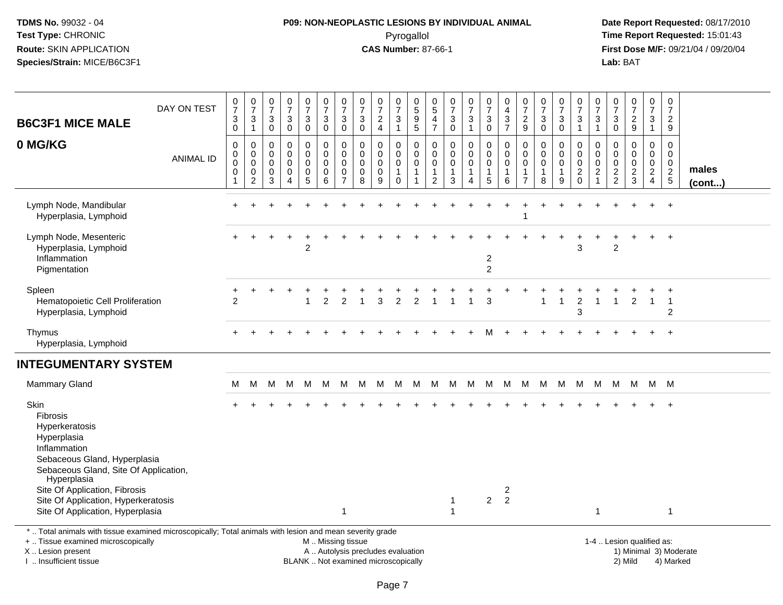# **P09: NON-NEOPLASTIC LESIONS BY INDIVIDUAL ANIMAL**Pyrogallol **Time Report Requested:** 15:01:43

 **Date Report Requested:** 08/17/2010 **First Dose M/F:** 09/21/04 / 09/20/04<br>Lab: BAT **Lab:** BAT

| <b>B6C3F1 MICE MALE</b>                                                                                                                                                                                                           | DAY ON TEST      | 0<br>$\overline{7}$<br>$_0^3$                               | $\frac{0}{7}$<br>$\frac{3}{1}$                                         | $\begin{array}{c} 0 \\ 7 \end{array}$<br>$\mathbf{3}$<br>$\mathbf 0$ | $\frac{0}{7}$<br>$\sqrt{3}$<br>$\mathbf 0$                               | $\frac{0}{7}$<br>3<br>$\mathsf{O}\xspace$ | $\frac{0}{7}$<br>$_0^3$               | $\frac{0}{7}$<br>$\ensuremath{\mathsf{3}}$<br>$\mathbf 0$        | 0<br>$\overline{7}$<br>3<br>$\mathbf 0$           | $\frac{0}{7}$<br>$\frac{2}{4}$                            | $\frac{0}{7}$<br>$\mathbf{3}$<br>$\overline{1}$ | $\begin{array}{c} 0 \\ 5 \end{array}$<br>$\begin{array}{c} 9 \\ 5 \end{array}$ | $\begin{array}{c} 0 \\ 5 \end{array}$<br>$\frac{4}{7}$  | $\frac{0}{7}$<br>$_0^3$                                        | $\frac{0}{7}$<br>$\mathbf{3}$<br>$\mathbf{1}$                           | 0<br>$\overline{7}$<br>$_0^3$             | $\pmb{0}$<br>$\overline{4}$<br>$\frac{3}{7}$                 | 0<br>$\overline{7}$<br>$\frac{2}{9}$                                | 0<br>$\overline{7}$<br>3<br>$\mathbf 0$ | $\frac{0}{7}$<br>3<br>$\mathbf 0$ | 0<br>$\overline{7}$<br>$\frac{3}{1}$                | $\begin{array}{c} 0 \\ 7 \end{array}$<br>$\ensuremath{\mathsf{3}}$<br>$\mathbf{1}$ | 0<br>$\overline{7}$<br>3<br>$\mathbf 0$               | $\begin{smallmatrix}0\\7\end{smallmatrix}$<br>$\frac{2}{9}$           | $\begin{smallmatrix}0\\7\end{smallmatrix}$<br>3<br>$\mathbf{1}$ | $\pmb{0}$<br>$\overline{7}$<br>$\frac{2}{9}$                    |                        |
|-----------------------------------------------------------------------------------------------------------------------------------------------------------------------------------------------------------------------------------|------------------|-------------------------------------------------------------|------------------------------------------------------------------------|----------------------------------------------------------------------|--------------------------------------------------------------------------|-------------------------------------------|---------------------------------------|------------------------------------------------------------------|---------------------------------------------------|-----------------------------------------------------------|-------------------------------------------------|--------------------------------------------------------------------------------|---------------------------------------------------------|----------------------------------------------------------------|-------------------------------------------------------------------------|-------------------------------------------|--------------------------------------------------------------|---------------------------------------------------------------------|-----------------------------------------|-----------------------------------|-----------------------------------------------------|------------------------------------------------------------------------------------|-------------------------------------------------------|-----------------------------------------------------------------------|-----------------------------------------------------------------|-----------------------------------------------------------------|------------------------|
| 0 MG/KG                                                                                                                                                                                                                           | <b>ANIMAL ID</b> | $\mathbf 0$<br>$\mathbf 0$<br>$\mathbf 0$<br>$\pmb{0}$<br>1 | $\mathbf 0$<br>$\mathbf 0$<br>$\pmb{0}$<br>$\pmb{0}$<br>$\overline{2}$ | $\mathbf 0$<br>0<br>0<br>$\mathbf 0$<br>3                            | $\mathbf 0$<br>$\mathbf 0$<br>0<br>$\mathbf 0$<br>$\boldsymbol{\Lambda}$ | $\mathbf 0$<br>0<br>0<br>$\pmb{0}$<br>5   | 0<br>0<br>$\pmb{0}$<br>$\pmb{0}$<br>6 | $\mathbf 0$<br>$\mathbf 0$<br>0<br>$\mathbf 0$<br>$\overline{7}$ | $\mathbf 0$<br>0<br>0<br>$\mathsf{O}\xspace$<br>8 | $\mathbf 0$<br>$\mathbf 0$<br>$\pmb{0}$<br>$\pmb{0}$<br>9 | 0<br>0<br>0<br>$\overline{1}$<br>$\mathbf 0$    | $\mathbf 0$<br>$\mathbf 0$<br>$\pmb{0}$<br>$\overline{1}$<br>$\overline{1}$    | 0<br>$\mathbf 0$<br>0<br>$\mathbf{1}$<br>$\overline{2}$ | $\mathbf 0$<br>$\mathbf 0$<br>$\mathbf 0$<br>$\mathbf{1}$<br>3 | $\mathbf 0$<br>0<br>$\pmb{0}$<br>$\mathbf{1}$<br>$\boldsymbol{\Lambda}$ | 0<br>0<br>0<br>1<br>5                     | $\mathbf 0$<br>$\mathbf 0$<br>$\pmb{0}$<br>$\mathbf{1}$<br>6 | $\mathbf 0$<br>$\mathbf 0$<br>0<br>$\overline{1}$<br>$\overline{7}$ | $\Omega$<br>0<br>0<br>1<br>8            | 0<br>0<br>0<br>$\mathbf{1}$<br>9  | 0<br>0<br>$\pmb{0}$<br>$\boldsymbol{2}$<br>$\Omega$ | $\mathbf 0$<br>$\pmb{0}$<br>$\pmb{0}$<br>$\overline{c}$<br>$\overline{1}$          | 0<br>$\mathbf 0$<br>0<br>$\sqrt{2}$<br>$\overline{c}$ | $\mathbf 0$<br>$\mathbf 0$<br>$\pmb{0}$<br>$\sqrt{2}$<br>$\mathbf{3}$ | 0<br>$\mathbf 0$<br>0<br>$\sqrt{2}$<br>$\overline{4}$           | 0<br>$\mathbf 0$<br>$\mathbf 0$<br>$\overline{2}$<br>$\sqrt{5}$ | males<br>$($ cont $)$  |
| Lymph Node, Mandibular<br>Hyperplasia, Lymphoid                                                                                                                                                                                   |                  | $\pm$                                                       |                                                                        |                                                                      |                                                                          |                                           |                                       |                                                                  |                                                   |                                                           |                                                 |                                                                                |                                                         |                                                                |                                                                         |                                           |                                                              |                                                                     |                                         |                                   |                                                     |                                                                                    |                                                       |                                                                       |                                                                 | $\ddot{}$                                                       |                        |
| Lymph Node, Mesenteric<br>Hyperplasia, Lymphoid<br>Inflammation<br>Pigmentation                                                                                                                                                   |                  |                                                             |                                                                        |                                                                      |                                                                          | $\mathfrak{p}$                            |                                       |                                                                  |                                                   |                                                           |                                                 |                                                                                |                                                         |                                                                |                                                                         | $\overline{\mathbf{c}}$<br>$\overline{c}$ |                                                              |                                                                     |                                         |                                   | 3                                                   |                                                                                    | $\overline{2}$                                        |                                                                       |                                                                 | $\ddot{}$                                                       |                        |
| Spleen<br>Hematopoietic Cell Proliferation<br>Hyperplasia, Lymphoid                                                                                                                                                               |                  | 2                                                           |                                                                        |                                                                      |                                                                          |                                           | $\overline{2}$                        | $\overline{2}$                                                   |                                                   | 3                                                         | $\overline{2}$                                  |                                                                                |                                                         |                                                                |                                                                         | 3                                         |                                                              |                                                                     |                                         | $\mathbf{1}$                      | $\overline{2}$<br>3                                 |                                                                                    |                                                       | $\overline{2}$                                                        | $\overline{1}$                                                  | $\overline{1}$<br>2                                             |                        |
| Thymus<br>Hyperplasia, Lymphoid                                                                                                                                                                                                   |                  |                                                             |                                                                        |                                                                      |                                                                          |                                           |                                       |                                                                  |                                                   |                                                           |                                                 |                                                                                |                                                         |                                                                |                                                                         |                                           |                                                              |                                                                     |                                         |                                   |                                                     |                                                                                    |                                                       |                                                                       |                                                                 | $\ddot{}$                                                       |                        |
| <b>INTEGUMENTARY SYSTEM</b>                                                                                                                                                                                                       |                  |                                                             |                                                                        |                                                                      |                                                                          |                                           |                                       |                                                                  |                                                   |                                                           |                                                 |                                                                                |                                                         |                                                                |                                                                         |                                           |                                                              |                                                                     |                                         |                                   |                                                     |                                                                                    |                                                       |                                                                       |                                                                 |                                                                 |                        |
| <b>Mammary Gland</b>                                                                                                                                                                                                              |                  | M                                                           | м                                                                      | M                                                                    | м                                                                        | M                                         | M                                     | M                                                                | M                                                 | м                                                         | м                                               | M                                                                              | M                                                       | M                                                              | M                                                                       | M                                         | M                                                            | м                                                                   | M                                       | M                                 | M                                                   | M                                                                                  | M                                                     | M                                                                     |                                                                 | M M                                                             |                        |
| Skin<br>Fibrosis<br>Hyperkeratosis<br>Hyperplasia<br>Inflammation<br>Sebaceous Gland, Hyperplasia<br>Sebaceous Gland, Site Of Application,<br>Hyperplasia<br>Site Of Application, Fibrosis<br>Site Of Application, Hyperkeratosis |                  |                                                             |                                                                        |                                                                      |                                                                          |                                           |                                       |                                                                  |                                                   |                                                           |                                                 |                                                                                |                                                         | $\overline{1}$                                                 |                                                                         | $\overline{2}$                            | $\overline{c}$<br>$\overline{2}$                             |                                                                     |                                         |                                   |                                                     |                                                                                    |                                                       |                                                                       |                                                                 |                                                                 |                        |
| Site Of Application, Hyperplasia                                                                                                                                                                                                  |                  |                                                             |                                                                        |                                                                      |                                                                          |                                           |                                       | $\mathbf{1}$                                                     |                                                   |                                                           |                                                 |                                                                                |                                                         |                                                                |                                                                         |                                           |                                                              |                                                                     |                                         |                                   |                                                     | $\mathbf{1}$                                                                       |                                                       |                                                                       |                                                                 | -1                                                              |                        |
| *  Total animals with tissue examined microscopically; Total animals with lesion and mean severity grade<br>+  Tissue examined microscopically<br>X  Lesion present                                                               |                  |                                                             |                                                                        |                                                                      |                                                                          |                                           | M  Missing tissue                     |                                                                  | A  Autolysis precludes evaluation                 |                                                           |                                                 |                                                                                |                                                         |                                                                |                                                                         |                                           |                                                              |                                                                     |                                         |                                   |                                                     |                                                                                    |                                                       | 1-4  Lesion qualified as:                                             |                                                                 |                                                                 | 1) Minimal 3) Moderate |

I .. Insufficient tissue

Page 7

BLANK .. Not examined microscopically 2) Mild 4) Marked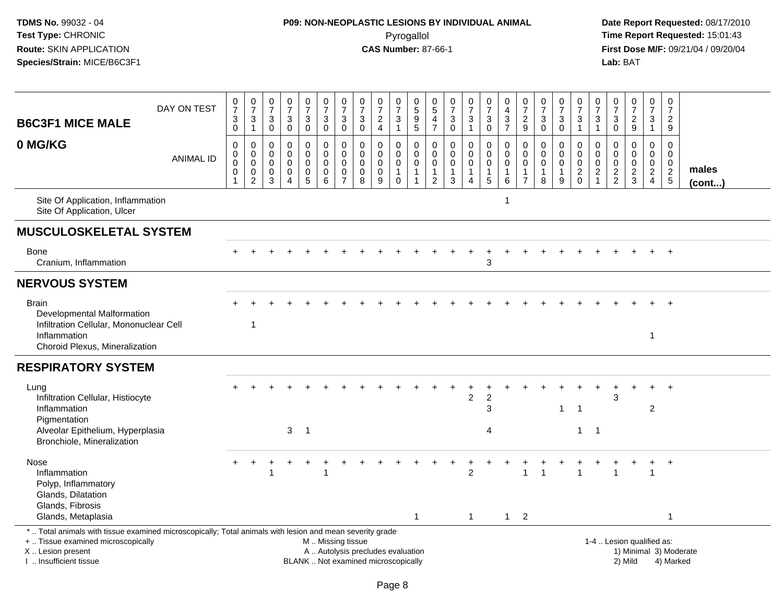# **P09: NON-NEOPLASTIC LESIONS BY INDIVIDUAL ANIMAL**Pyrogallol **Time Report Requested:** 15:01:43

| <b>B6C3F1 MICE MALE</b>                                                                                                                                                                       | DAY ON TEST      | 0<br>$\overline{7}$<br>$_0^3$                           | 0<br>$\overline{7}$<br>$\sqrt{3}$<br>$\mathbf{1}$ | $\frac{0}{7}$<br>3<br>$\mathbf 0$                   | $\frac{0}{7}$<br>$\ensuremath{\mathsf{3}}$<br>$\mathbf 0$     | $\frac{0}{7}$<br>3<br>$\pmb{0}$                   | 0<br>$\overline{7}$<br>$\ensuremath{\mathsf{3}}$<br>$\mathbf 0$ | 0<br>$\overline{7}$<br>3<br>$\mathbf 0$   | 0<br>$\overline{7}$<br>$\ensuremath{\mathsf{3}}$<br>$\mathbf 0$ | $\frac{0}{7}$<br>$\frac{2}{4}$                                           | 0<br>$\overline{7}$<br>$\ensuremath{\mathsf{3}}$<br>$\overline{1}$ | 0<br>5<br>9<br>$\overline{5}$                                | 0<br>5<br>4<br>$\overline{7}$                                            | 0<br>$\overline{7}$<br>$\ensuremath{\mathsf{3}}$<br>$\mathbf 0$ | $\frac{0}{7}$<br>3<br>$\mathbf{1}$            | 0<br>$\overline{7}$<br>$_0^3$                                | 0<br>$\overline{4}$<br>$\frac{3}{7}$      | $\mathbf 0$<br>$\overline{7}$<br>$\frac{2}{9}$                   | 0<br>$\overline{7}$<br>$\mathbf{3}$<br>$\mathbf 0$ | 0<br>$\overline{7}$<br>3<br>$\pmb{0}$ | 0<br>$\overline{7}$<br>$\frac{3}{1}$            | 0<br>$\overline{7}$<br>3<br>$\mathbf{1}$  | 0<br>7<br>$\ensuremath{\mathsf{3}}$<br>$\pmb{0}$ | $\begin{array}{c} 0 \\ 7 \end{array}$<br>$\frac{2}{9}$  | 0<br>$\overline{7}$<br>3<br>$\overline{1}$       | $\mathbf 0$<br>$\overline{7}$<br>$\overline{2}$<br>9    |                        |
|-----------------------------------------------------------------------------------------------------------------------------------------------------------------------------------------------|------------------|---------------------------------------------------------|---------------------------------------------------|-----------------------------------------------------|---------------------------------------------------------------|---------------------------------------------------|-----------------------------------------------------------------|-------------------------------------------|-----------------------------------------------------------------|--------------------------------------------------------------------------|--------------------------------------------------------------------|--------------------------------------------------------------|--------------------------------------------------------------------------|-----------------------------------------------------------------|-----------------------------------------------|--------------------------------------------------------------|-------------------------------------------|------------------------------------------------------------------|----------------------------------------------------|---------------------------------------|-------------------------------------------------|-------------------------------------------|--------------------------------------------------|---------------------------------------------------------|--------------------------------------------------|---------------------------------------------------------|------------------------|
| 0 MG/KG                                                                                                                                                                                       | <b>ANIMAL ID</b> | 0<br>$\pmb{0}$<br>$\pmb{0}$<br>$\pmb{0}$<br>$\mathbf 1$ | 0<br>$\mathbf 0$<br>0<br>0<br>$\overline{2}$      | $\mathbf 0$<br>$\mathbf 0$<br>$\mathbf 0$<br>0<br>3 | $\mathbf 0$<br>$\Omega$<br>$\mathbf 0$<br>0<br>$\overline{4}$ | 0<br>$\mathbf 0$<br>$\mathbf 0$<br>$\pmb{0}$<br>5 | 0<br>$\pmb{0}$<br>$\mathbf 0$<br>$\pmb{0}$<br>6                 | 0<br>$\Omega$<br>0<br>0<br>$\overline{7}$ | $\mathbf 0$<br>$\mathbf{0}$<br>$\mathbf 0$<br>$\pmb{0}$<br>8    | $\mathbf 0$<br>$\mathbf 0$<br>$\mathbf 0$<br>$\pmb{0}$<br>9              | 0<br>$\mathbf 0$<br>$\mathbf 0$<br>$\mathbf{1}$<br>$\mathbf 0$     | $\mathbf 0$<br>$\Omega$<br>0<br>$\mathbf{1}$<br>$\mathbf{1}$ | $\mathbf 0$<br>$\Omega$<br>$\mathbf 0$<br>$\mathbf{1}$<br>$\overline{2}$ | 0<br>$\mathbf 0$<br>$\pmb{0}$<br>$\mathbf{1}$<br>$\mathbf{3}$   | 0<br>$\overline{0}$<br>0<br>$\mathbf{1}$<br>4 | 0<br>$\mathsf{O}\xspace$<br>$\mathbf 0$<br>$\mathbf{1}$<br>5 | 0<br>$\mathbf 0$<br>$\mathbf 0$<br>1<br>6 | 0<br>$\Omega$<br>$\mathbf 0$<br>$\overline{1}$<br>$\overline{7}$ | 0<br>$\mathbf{0}$<br>0<br>$\mathbf{1}$<br>8        | 0<br>$\Omega$<br>0<br>1<br>9          | 0<br>$\mathbf 0$<br>$\mathbf 0$<br>$^2_{\rm 0}$ | 0<br>$\Omega$<br>0<br>$\overline{c}$<br>1 | 0<br>$\Omega$<br>0<br>$\frac{2}{2}$              | $\mathbf 0$<br>$\Omega$<br>$\mathbf 0$<br>$\frac{2}{3}$ | 0<br>$\mathbf 0$<br>$\mathbf 0$<br>$\frac{2}{4}$ | $\mathbf 0$<br>$\Omega$<br>$\mathbf 0$<br>$\frac{2}{5}$ | males<br>$($ cont $)$  |
| Site Of Application, Inflammation<br>Site Of Application, Ulcer                                                                                                                               |                  |                                                         |                                                   |                                                     |                                                               |                                                   |                                                                 |                                           |                                                                 |                                                                          |                                                                    |                                                              |                                                                          |                                                                 |                                               |                                                              | -1                                        |                                                                  |                                                    |                                       |                                                 |                                           |                                                  |                                                         |                                                  |                                                         |                        |
| <b>MUSCULOSKELETAL SYSTEM</b>                                                                                                                                                                 |                  |                                                         |                                                   |                                                     |                                                               |                                                   |                                                                 |                                           |                                                                 |                                                                          |                                                                    |                                                              |                                                                          |                                                                 |                                               |                                                              |                                           |                                                                  |                                                    |                                       |                                                 |                                           |                                                  |                                                         |                                                  |                                                         |                        |
| <b>Bone</b><br>Cranium, Inflammation                                                                                                                                                          |                  |                                                         |                                                   |                                                     |                                                               |                                                   |                                                                 |                                           |                                                                 |                                                                          |                                                                    |                                                              |                                                                          |                                                                 |                                               | 3                                                            |                                           |                                                                  |                                                    |                                       |                                                 |                                           |                                                  |                                                         |                                                  |                                                         |                        |
| <b>NERVOUS SYSTEM</b>                                                                                                                                                                         |                  |                                                         |                                                   |                                                     |                                                               |                                                   |                                                                 |                                           |                                                                 |                                                                          |                                                                    |                                                              |                                                                          |                                                                 |                                               |                                                              |                                           |                                                                  |                                                    |                                       |                                                 |                                           |                                                  |                                                         |                                                  |                                                         |                        |
| <b>Brain</b><br>Developmental Malformation<br>Infiltration Cellular, Mononuclear Cell<br>Inflammation<br>Choroid Plexus, Mineralization                                                       |                  |                                                         | -1                                                |                                                     |                                                               |                                                   |                                                                 |                                           |                                                                 |                                                                          |                                                                    |                                                              |                                                                          |                                                                 |                                               |                                                              |                                           |                                                                  |                                                    |                                       |                                                 |                                           |                                                  |                                                         | $\overline{1}$                                   |                                                         |                        |
| <b>RESPIRATORY SYSTEM</b>                                                                                                                                                                     |                  |                                                         |                                                   |                                                     |                                                               |                                                   |                                                                 |                                           |                                                                 |                                                                          |                                                                    |                                                              |                                                                          |                                                                 |                                               |                                                              |                                           |                                                                  |                                                    |                                       |                                                 |                                           |                                                  |                                                         |                                                  |                                                         |                        |
| Lung<br>Infiltration Cellular, Histiocyte<br>Inflammation<br>Pigmentation<br>Alveolar Epithelium, Hyperplasia<br>Bronchiole, Mineralization                                                   |                  |                                                         |                                                   |                                                     | $\mathbf{3}$                                                  | $\overline{\phantom{0}}$ 1                        |                                                                 |                                           |                                                                 |                                                                          |                                                                    |                                                              |                                                                          |                                                                 | $\overline{c}$                                | $\sqrt{2}$<br>3<br>4                                         |                                           |                                                                  |                                                    | $\mathbf 1$                           | $\overline{1}$<br>$\mathbf 1$                   | $\overline{1}$                            | 3                                                |                                                         | $\overline{2}$                                   | $+$                                                     |                        |
| Nose<br>Inflammation<br>Polyp, Inflammatory<br>Glands, Dilatation<br>Glands, Fibrosis<br>Glands, Metaplasia                                                                                   |                  |                                                         |                                                   |                                                     |                                                               |                                                   | 1                                                               |                                           |                                                                 |                                                                          |                                                                    | $\overline{1}$                                               |                                                                          |                                                                 | $\overline{2}$<br>$\mathbf{1}$                |                                                              | $1 \quad$                                 | 1<br>$\overline{2}$                                              | 1                                                  |                                       | 1                                               |                                           |                                                  |                                                         | $\overline{1}$                                   | $+$<br>$\mathbf{1}$                                     |                        |
| *  Total animals with tissue examined microscopically; Total animals with lesion and mean severity grade<br>+  Tissue examined microscopically<br>X  Lesion present<br>I  Insufficient tissue |                  |                                                         |                                                   |                                                     |                                                               |                                                   |                                                                 | M  Missing tissue                         |                                                                 | A  Autolysis precludes evaluation<br>BLANK  Not examined microscopically |                                                                    |                                                              |                                                                          |                                                                 |                                               |                                                              |                                           |                                                                  |                                                    |                                       |                                                 |                                           |                                                  | 1-4  Lesion qualified as:<br>2) Mild                    |                                                  | 4) Marked                                               | 1) Minimal 3) Moderate |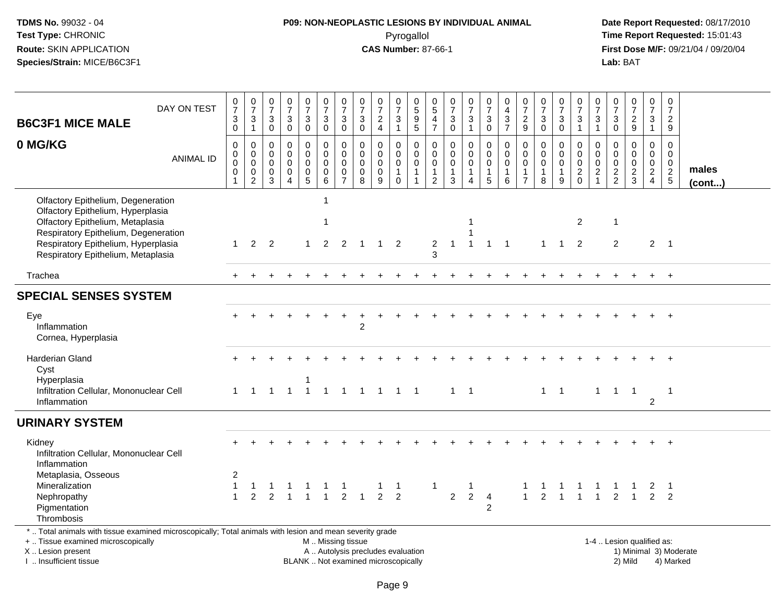# **P09: NON-NEOPLASTIC LESIONS BY INDIVIDUAL ANIMAL**Pyrogallol **Time Report Requested:** 15:01:43

| <b>B6C3F1 MICE MALE</b>                                                                                                                                                                       | DAY ON TEST      | $\frac{0}{7}$<br>$\ensuremath{\mathsf{3}}$<br>$\mathbf 0$              | $\frac{0}{7}$<br>$\frac{3}{1}$                                                     | 0<br>$\overline{7}$<br>$\sqrt{3}$<br>$\mathbf 0$            | $\frac{0}{7}$<br>$\sqrt{3}$<br>$\mathbf 0$                               | $\frac{0}{7}$<br>3<br>0                                                  | $\begin{array}{c} 0 \\ 7 \end{array}$<br>$_{0}^{3}$                          | $\frac{0}{7}$<br>$\sqrt{3}$<br>0                     | $\begin{array}{c} 0 \\ 7 \end{array}$<br>$\ensuremath{\mathsf{3}}$<br>$\mathsf 0$ | $\frac{0}{7}$<br>$\frac{2}{4}$                                | $\frac{0}{7}$<br>$\ensuremath{\mathsf{3}}$<br>$\mathbf{1}$          | 0<br>$\overline{5}$<br>$\frac{9}{5}$                                      | 0<br>$\overline{5}$<br>$\frac{4}{7}$                             | 0<br>$\overline{7}$<br>$\ensuremath{\mathsf{3}}$<br>$\mathbf 0$           | $\frac{0}{7}$<br>$\sqrt{3}$<br>$\mathbf{1}$                               | $\mathbf 0$<br>$\overline{7}$<br>$\ensuremath{\mathsf{3}}$<br>$\mathbf 0$ | $\mathbf 0$<br>$\overline{4}$<br>$\frac{3}{7}$                                | 0<br>$\overline{7}$<br>$\sqrt{2}$<br>9                                      | $\begin{array}{c} 0 \\ 7 \end{array}$<br>$\sqrt{3}$<br>$\mathbf 0$ | $\frac{0}{7}$<br>3<br>$\mathbf 0$                 | $\begin{smallmatrix} 0\\7 \end{smallmatrix}$<br>$\ensuremath{\mathsf{3}}$<br>$\mathbf{1}$ | $\frac{0}{7}$<br>$\ensuremath{\mathsf{3}}$<br>$\mathbf{1}$          | 0<br>$\overline{7}$<br>$\ensuremath{\mathsf{3}}$<br>0 | $\begin{array}{c} 0 \\ 7 \end{array}$<br>$\frac{2}{9}$     | 0<br>$\overline{7}$<br>$\ensuremath{\mathsf{3}}$<br>$\overline{1}$  |                | $\mathbf 0$<br>$\overline{7}$<br>$\sqrt{2}$<br>9                           |
|-----------------------------------------------------------------------------------------------------------------------------------------------------------------------------------------------|------------------|------------------------------------------------------------------------|------------------------------------------------------------------------------------|-------------------------------------------------------------|--------------------------------------------------------------------------|--------------------------------------------------------------------------|------------------------------------------------------------------------------|------------------------------------------------------|-----------------------------------------------------------------------------------|---------------------------------------------------------------|---------------------------------------------------------------------|---------------------------------------------------------------------------|------------------------------------------------------------------|---------------------------------------------------------------------------|---------------------------------------------------------------------------|---------------------------------------------------------------------------|-------------------------------------------------------------------------------|-----------------------------------------------------------------------------|--------------------------------------------------------------------|---------------------------------------------------|-------------------------------------------------------------------------------------------|---------------------------------------------------------------------|-------------------------------------------------------|------------------------------------------------------------|---------------------------------------------------------------------|----------------|----------------------------------------------------------------------------|
| 0 MG/KG                                                                                                                                                                                       | <b>ANIMAL ID</b> | $\mathbf 0$<br>$\pmb{0}$<br>$\mathsf{O}\xspace$<br>$\mathsf{O}\xspace$ | $\mathbf 0$<br>$\mathbf 0$<br>$\mathbf 0$<br>$\mathsf{O}\xspace$<br>$\overline{2}$ | $\mathbf 0$<br>$\mathbf 0$<br>$\mathbf 0$<br>$\pmb{0}$<br>3 | $\mathbf 0$<br>$\mathbf 0$<br>$\pmb{0}$<br>$\mathbf 0$<br>$\overline{4}$ | 0<br>$\mathbf 0$<br>$\mathbf 0$<br>$\begin{array}{c} 0 \\ 5 \end{array}$ | 0<br>$\mathbf 0$<br>$\pmb{0}$<br>$\begin{smallmatrix}0\0\0\end{smallmatrix}$ | $\pmb{0}$<br>$\pmb{0}$<br>$\pmb{0}$<br>$\frac{0}{7}$ | $\mathbf 0$<br>$\pmb{0}$<br>$\pmb{0}$<br>$\pmb{0}$<br>$\overline{8}$              | $\mathbf 0$<br>$\mathbf 0$<br>$\mathbf 0$<br>$\mathbf 0$<br>9 | 0<br>$\mathbf 0$<br>$\boldsymbol{0}$<br>$\mathbf{1}$<br>$\mathbf 0$ | $\mathbf 0$<br>$\mathbf 0$<br>$\mathbf 0$<br>$\mathbf{1}$<br>$\mathbf{1}$ | $\mathbf 0$<br>$\mathbf 0$<br>$\mathbf 0$<br>1<br>$\overline{2}$ | $\mathbf 0$<br>$\mathbf 0$<br>$\mathbf 0$<br>$\mathbf{1}$<br>$\mathbf{3}$ | $\mathbf 0$<br>$\mathbf 0$<br>$\pmb{0}$<br>$\mathbf{1}$<br>$\overline{4}$ | 0<br>$\mathbf 0$<br>$\mathbf 0$<br>$\mathbf{1}$<br>$\overline{5}$         | $\mathbf 0$<br>$\mathbf 0$<br>$\mathbf 0$<br>$\overline{1}$<br>$6\phantom{a}$ | $\mathbf 0$<br>$\mathbf 0$<br>$\mathbf 0$<br>$\mathbf{1}$<br>$\overline{7}$ | $\mathbf 0$<br>$\mathbf 0$<br>$\mathbf 0$<br>$\mathbf{1}$<br>8     | 0<br>$\Omega$<br>$\mathbf 0$<br>$\mathbf{1}$<br>9 | $\mathbf 0$<br>$\mathbf 0$<br>$\mathbf 0$<br>$\frac{2}{0}$                                | $\mathbf 0$<br>$\pmb{0}$<br>$\pmb{0}$<br>$\sqrt{2}$<br>$\mathbf{1}$ | 0<br>$\mathbf 0$<br>0<br>$\frac{2}{2}$                | $\mathbf 0$<br>$\mathbf 0$<br>$\mathbf 0$<br>$\frac{2}{3}$ | 0<br>$\mathbf 0$<br>$\mathbf 0$<br>$\overline{2}$<br>$\overline{4}$ |                | $\mathbf 0$<br>$\mathbf 0$<br>$\Omega$<br>males<br>$\frac{2}{5}$<br>(cont) |
| Olfactory Epithelium, Degeneration<br>Olfactory Epithelium, Hyperplasia<br>Olfactory Epithelium, Metaplasia<br>Respiratory Epithelium, Degeneration                                           |                  |                                                                        |                                                                                    |                                                             |                                                                          |                                                                          | -1<br>$\mathbf{1}$                                                           |                                                      |                                                                                   |                                                               |                                                                     |                                                                           |                                                                  |                                                                           | -1                                                                        |                                                                           |                                                                               |                                                                             |                                                                    |                                                   | $\overline{2}$                                                                            |                                                                     | $\mathbf{1}$                                          |                                                            |                                                                     |                |                                                                            |
| Respiratory Epithelium, Hyperplasia<br>Respiratory Epithelium, Metaplasia                                                                                                                     |                  | $\mathbf{1}$                                                           | $\overline{2}$                                                                     | $\overline{2}$                                              |                                                                          | $\mathbf{1}$                                                             | $\overline{2}$                                                               | 2                                                    | $\overline{1}$                                                                    | $\overline{1}$                                                | $\overline{2}$                                                      |                                                                           | 2<br>3                                                           | $\mathbf 1$                                                               | $\overline{1}$                                                            | $\mathbf{1}$                                                              | $\overline{\mathbf{1}}$                                                       |                                                                             | $\mathbf{1}$                                                       | $\overline{1}$                                    | 2                                                                                         |                                                                     | 2                                                     |                                                            |                                                                     | 2 <sub>1</sub> |                                                                            |
| Trachea                                                                                                                                                                                       |                  |                                                                        |                                                                                    |                                                             |                                                                          |                                                                          |                                                                              |                                                      |                                                                                   |                                                               |                                                                     |                                                                           |                                                                  |                                                                           |                                                                           |                                                                           |                                                                               |                                                                             |                                                                    |                                                   |                                                                                           |                                                                     |                                                       |                                                            |                                                                     | $+$            |                                                                            |
| <b>SPECIAL SENSES SYSTEM</b>                                                                                                                                                                  |                  |                                                                        |                                                                                    |                                                             |                                                                          |                                                                          |                                                                              |                                                      |                                                                                   |                                                               |                                                                     |                                                                           |                                                                  |                                                                           |                                                                           |                                                                           |                                                                               |                                                                             |                                                                    |                                                   |                                                                                           |                                                                     |                                                       |                                                            |                                                                     |                |                                                                            |
| Eye<br>Inflammation<br>Cornea, Hyperplasia                                                                                                                                                    |                  |                                                                        |                                                                                    |                                                             |                                                                          |                                                                          |                                                                              |                                                      | 2                                                                                 |                                                               |                                                                     |                                                                           |                                                                  |                                                                           |                                                                           |                                                                           |                                                                               |                                                                             |                                                                    |                                                   |                                                                                           |                                                                     |                                                       |                                                            |                                                                     |                |                                                                            |
| <b>Harderian Gland</b><br>Cyst<br>Hyperplasia<br>Infiltration Cellular, Mononuclear Cell                                                                                                      |                  | $1 \quad$                                                              |                                                                                    | 1 1 1 1                                                     |                                                                          | -1                                                                       |                                                                              |                                                      | 1 1 1 1 1 1                                                                       |                                                               |                                                                     |                                                                           |                                                                  | $1 \quad 1$                                                               |                                                                           |                                                                           |                                                                               |                                                                             |                                                                    | $1 \quad 1$                                       |                                                                                           |                                                                     |                                                       | 1 1 1                                                      |                                                                     | $\overline{1}$ |                                                                            |
| Inflammation                                                                                                                                                                                  |                  |                                                                        |                                                                                    |                                                             |                                                                          |                                                                          |                                                                              |                                                      |                                                                                   |                                                               |                                                                     |                                                                           |                                                                  |                                                                           |                                                                           |                                                                           |                                                                               |                                                                             |                                                                    |                                                   |                                                                                           |                                                                     |                                                       |                                                            | $\overline{2}$                                                      |                |                                                                            |
| <b>URINARY SYSTEM</b>                                                                                                                                                                         |                  |                                                                        |                                                                                    |                                                             |                                                                          |                                                                          |                                                                              |                                                      |                                                                                   |                                                               |                                                                     |                                                                           |                                                                  |                                                                           |                                                                           |                                                                           |                                                                               |                                                                             |                                                                    |                                                   |                                                                                           |                                                                     |                                                       |                                                            |                                                                     |                |                                                                            |
| Kidney<br>Infiltration Cellular, Mononuclear Cell<br>Inflammation                                                                                                                             |                  |                                                                        |                                                                                    |                                                             |                                                                          |                                                                          |                                                                              |                                                      |                                                                                   |                                                               |                                                                     |                                                                           |                                                                  |                                                                           |                                                                           |                                                                           |                                                                               |                                                                             |                                                                    |                                                   |                                                                                           |                                                                     |                                                       |                                                            |                                                                     |                |                                                                            |
| Metaplasia, Osseous<br>Mineralization<br>Nephropathy<br>Pigmentation<br>Thrombosis                                                                                                            |                  | 2<br>$\mathbf{1}$<br>$\mathbf{1}$                                      | $\overline{2}$                                                                     | 2                                                           |                                                                          |                                                                          |                                                                              | $\overline{2}$                                       |                                                                                   | -1<br>$\overline{2}$                                          | -1<br>2                                                             |                                                                           | -1                                                               | $\overline{2}$                                                            | $\mathbf{1}$<br>$\overline{2}$                                            | $\overline{4}$<br>$\overline{c}$                                          |                                                                               | $\mathbf{1}$                                                                | 2                                                                  |                                                   |                                                                                           |                                                                     | 2                                                     | 1                                                          | 2                                                                   | $\overline{2}$ |                                                                            |
| *  Total animals with tissue examined microscopically; Total animals with lesion and mean severity grade<br>+  Tissue examined microscopically<br>X  Lesion present<br>I. Insufficient tissue |                  |                                                                        |                                                                                    |                                                             |                                                                          |                                                                          | M  Missing tissue                                                            |                                                      | A  Autolysis precludes evaluation<br>BLANK  Not examined microscopically          |                                                               |                                                                     |                                                                           |                                                                  |                                                                           |                                                                           |                                                                           |                                                                               |                                                                             |                                                                    |                                                   |                                                                                           |                                                                     |                                                       | 1-4  Lesion qualified as:<br>2) Mild                       |                                                                     |                | 1) Minimal 3) Moderate<br>4) Marked                                        |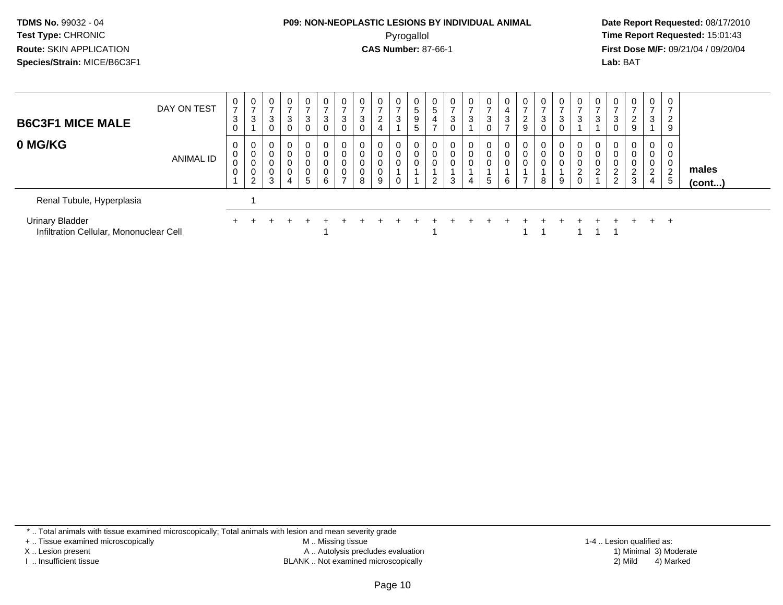#### **P09: NON-NEOPLASTIC LESIONS BY INDIVIDUAL ANIMAL**Pyrogallol **Time Report Requested:** 15:01:43

 **Date Report Requested:** 08/17/2010 **First Dose M/F:** 09/21/04 / 09/20/04<br>**Lab:** BAT **Lab:** BAT

| <b>B6C3F1 MICE MALE</b>                                           | DAY ON TEST      | 0<br>$\overline{ }$<br>3<br>0 | 0<br>$\overline{ }$<br>3        | $\mathbf 0$<br>$\rightarrow$<br>3<br>0 | $\overline{0}$<br>3                               | $\mathbf 0$<br>$\overline{ }$<br>3<br>0 | 0<br>$\overline{ }$<br>3<br>$\overline{0}$ | 0<br>$\sqrt{3}$<br>0                                   | $\mathbf 0$<br>$\overline{ }$<br>$\mathbf{3}$<br>$\mathbf 0$ | 0<br>$\overline{ }$<br>$\overline{2}$<br>$\overline{4}$ | $\mathbf 0$<br>3                | $5\phantom{.0}$<br>9<br>5 | 0<br>5<br>4                  | 0<br>3<br>U | 0<br>$\overline{ }$<br>3 | 0<br>$\overline{ }$<br>3<br>0 | 4<br>3      | $\rightarrow$<br>$\sim$<br>$\epsilon$<br>9 | U<br>3<br>0 | 0<br>3<br>0      | $\mathbf{0}$<br>$\overline{\phantom{a}}$<br>3 | 0<br>3                                  |                                                                    | 0<br>$\sim$                               | $\overline{0}$<br>-<br>3                                | $\mathbf{0}$<br>2<br>9             |                       |
|-------------------------------------------------------------------|------------------|-------------------------------|---------------------------------|----------------------------------------|---------------------------------------------------|-----------------------------------------|--------------------------------------------|--------------------------------------------------------|--------------------------------------------------------------|---------------------------------------------------------|---------------------------------|---------------------------|------------------------------|-------------|--------------------------|-------------------------------|-------------|--------------------------------------------|-------------|------------------|-----------------------------------------------|-----------------------------------------|--------------------------------------------------------------------|-------------------------------------------|---------------------------------------------------------|------------------------------------|-----------------------|
| 0 MG/KG                                                           | <b>ANIMAL ID</b> | 0<br>0<br>0<br>0              | 0<br>$\mathbf 0$<br>0<br>0<br>2 | 0<br>$\mathbf 0$<br>0<br>0<br>3        | $\mathbf 0$<br>$\mathbf 0$<br>0<br>$\pmb{0}$<br>4 | 0<br>0<br>0<br>0<br>5                   | 0<br>0<br>0<br>$\pmb{0}$<br>6              | $\mathbf 0$<br>$\mathbf 0$<br>$\mathbf 0$<br>$\pmb{0}$ | 0<br>$\mathbf 0$<br>0<br>0<br>8                              | 0<br>$\boldsymbol{0}$<br>0<br>$\pmb{0}$<br>9            | $\mathbf 0$<br>$\mathbf 0$<br>0 | 0<br>$\mathbf 0$          | 0<br>0<br>0<br>ົ<br><u>_</u> | 0<br>0<br>3 | 0<br>0<br>0<br>4         | 0<br>0<br>0<br>5              | 0<br>0<br>6 | 0<br>0<br>0<br>⇁                           | 0<br>0<br>8 | 0<br>0<br>0<br>9 | 0<br>0<br>0<br>$\overline{\mathbf{c}}$<br>0   | 0<br>$\mathbf 0$<br>0<br>$\overline{2}$ | $\overline{0}$<br>$\overline{0}$<br>$\sim$<br>∼<br>$\sqrt{2}$<br>∠ | $\mathbf 0$<br>0<br>0<br>$\sim$<br>∠<br>3 | $\overline{0}$<br>0<br>0<br>$\Omega$<br>$\epsilon$<br>4 | 0<br>0<br>0<br>$\overline{2}$<br>5 | males<br>$($ cont $)$ |
| Renal Tubule, Hyperplasia                                         |                  |                               |                                 |                                        |                                                   |                                         |                                            |                                                        |                                                              |                                                         |                                 |                           |                              |             |                          |                               |             |                                            |             |                  |                                               |                                         |                                                                    |                                           |                                                         |                                    |                       |
| <b>Urinary Bladder</b><br>Infiltration Cellular, Mononuclear Cell |                  |                               |                                 |                                        |                                                   |                                         |                                            |                                                        |                                                              |                                                         |                                 |                           |                              |             |                          |                               |             |                                            |             |                  |                                               |                                         |                                                                    |                                           | $+$ $-$                                                 | $\pm$                              |                       |

\* .. Total animals with tissue examined microscopically; Total animals with lesion and mean severity grade

+ .. Tissue examined microscopically

X .. Lesion present

I .. Insufficient tissue

 M .. Missing tissueA .. Autolysis precludes evaluation

BLANK .. Not examined microscopically 2) Mild 4) Marked

1-4 .. Lesion qualified as:<br>1) Minimal 3) Moderate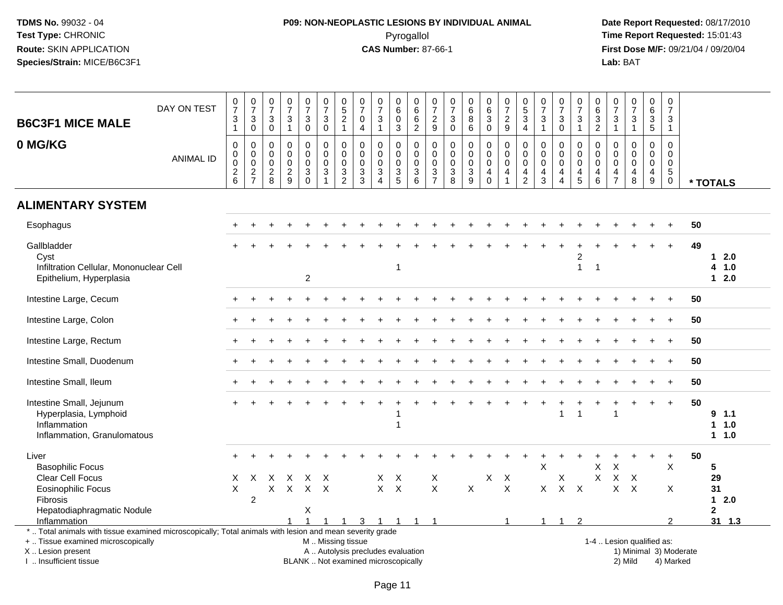# **P09: NON-NEOPLASTIC LESIONS BY INDIVIDUAL ANIMAL**Pyrogallol **Time Report Requested:** 15:01:43

| <b>B6C3F1 MICE MALE</b><br>0 MG/KG                                                                                                                                                            | DAY ON TEST<br><b>ANIMAL ID</b> | $\frac{0}{7}$<br>3<br>$\mathbf{1}$<br>$\mathbf 0$<br>$\pmb{0}$<br>$\mathbf 0$ | $\begin{array}{c} 0 \\ 7 \end{array}$<br>$\sqrt{3}$<br>$\mathbf 0$<br>$\mathbf 0$<br>$\mathbf 0$<br>$\mathbf 0$ | 0<br>$\overline{7}$<br>$\mathbf{3}$<br>$\mathbf 0$<br>$\mathbf 0$<br>0<br>$\mathbf 0$ | $\begin{smallmatrix}0\\7\end{smallmatrix}$<br>3<br>$\mathbf{1}$<br>$\mathbf 0$<br>$\mathbf 0$<br>$\mathbf 0$ | $\frac{0}{7}$<br>$\ensuremath{\mathsf{3}}$<br>$\mathbf 0$<br>$\mathsf 0$<br>$\pmb{0}$<br>$\mathbf 0$ | 0<br>$\overline{7}$<br>$\ensuremath{\mathsf{3}}$<br>$\mathbf 0$<br>0<br>$\mathbf 0$<br>$\mathbf 0$<br>$\mathbf{3}$ | $\begin{array}{c} 0 \\ 5 \end{array}$<br>$\frac{2}{1}$<br>$\mathbf 0$<br>$\boldsymbol{0}$<br>$\mathbf 0$ | $\mathbf 0$<br>$\overline{7}$<br>$\mathbf 0$<br>$\overline{4}$<br>$\mathbf 0$<br>$\mathbf 0$<br>$\mathbf 0$ | $\pmb{0}$<br>$\overline{7}$<br>$\mathbf{3}$<br>$\mathbf{1}$<br>$\mathbf 0$<br>$\mathbf 0$<br>$\mathbf 0$<br>$\sqrt{3}$ | 0<br>$\overline{6}$<br>$\mathbf 0$<br>3<br>0<br>$\mathbf 0$<br>$\mathbf 0$ | $\pmb{0}$<br>$\overline{6}$<br>$\frac{6}{2}$<br>$\mathbf 0$<br>$\mathsf{O}\xspace$<br>$\mathbf 0$ | $\pmb{0}$<br>$\overline{7}$<br>$\frac{2}{9}$<br>$\mathbf 0$<br>$\mathsf 0$<br>$\mathbf 0$ | $\mathbf 0$<br>$\overline{7}$<br>$_{\rm 0}^3$<br>$\mathbf 0$<br>$\mathbf 0$<br>$\pmb{0}$ | $\mathbf 0$<br>$6\phantom{a}$<br>$\,8\,$<br>6<br>$\mathbf 0$<br>$\mathbf 0$<br>$\mathbf 0$ | 0<br>$\overline{6}$<br>3<br>$\mathbf 0$<br>0<br>$\mathbf 0$<br>$\mathbf 0$ | $\begin{array}{c} 0 \\ 7 \end{array}$<br>$\frac{2}{9}$<br>$\mathbf 0$<br>$\mathbf 0$<br>$\mathbf 0$<br>$\overline{\mathbf{4}}$ | $\begin{array}{c} 0 \\ 5 \\ 3 \end{array}$<br>$\overline{4}$<br>$\mathbf 0$<br>$\mathbf 0$<br>$\pmb{0}$ | 0<br>$\overline{7}$<br>$\mathbf{3}$<br>$\mathbf{1}$<br>$\Omega$<br>$\mathbf 0$<br>$\mathbf 0$ | $\mathbf 0$<br>$\overline{7}$<br>$\sqrt{3}$<br>$\mathbf 0$<br>$\Omega$<br>$\mathbf 0$<br>$\mathbf 0$<br>4 | 0<br>$\overline{7}$<br>3<br>$\mathbf{1}$<br>0<br>$\mathbf 0$<br>$\mathbf 0$ | $\mathbf 0$<br>6<br>$\frac{3}{2}$<br>$\mathbf 0$<br>$\mathsf{O}$<br>$\mathbf 0$ | 0<br>$\overline{7}$<br>3<br>$\mathbf{1}$<br>$\Omega$<br>$\mathbf 0$<br>$\mathbf 0$ | 0<br>$\overline{7}$<br>$\ensuremath{\mathsf{3}}$<br>$\mathbf{1}$<br>$\Omega$<br>$\mathbf 0$<br>$\mathbf 0$<br>4 | $\mathbf 0$<br>$\overline{6}$<br>$\mathfrak{Z}$<br>$\sqrt{5}$<br>$\mathbf 0$<br>$\mathbf 0$<br>$\mathbf 0$<br>$\overline{\mathbf{4}}$ | $\mathbf 0$<br>$\overline{7}$<br>$\frac{3}{1}$<br>$\mathbf 0$<br>$\mathbf 0$<br>$\mathbf 0$<br>$\sqrt{5}$ |    |                                     |
|-----------------------------------------------------------------------------------------------------------------------------------------------------------------------------------------------|---------------------------------|-------------------------------------------------------------------------------|-----------------------------------------------------------------------------------------------------------------|---------------------------------------------------------------------------------------|--------------------------------------------------------------------------------------------------------------|------------------------------------------------------------------------------------------------------|--------------------------------------------------------------------------------------------------------------------|----------------------------------------------------------------------------------------------------------|-------------------------------------------------------------------------------------------------------------|------------------------------------------------------------------------------------------------------------------------|----------------------------------------------------------------------------|---------------------------------------------------------------------------------------------------|-------------------------------------------------------------------------------------------|------------------------------------------------------------------------------------------|--------------------------------------------------------------------------------------------|----------------------------------------------------------------------------|--------------------------------------------------------------------------------------------------------------------------------|---------------------------------------------------------------------------------------------------------|-----------------------------------------------------------------------------------------------|-----------------------------------------------------------------------------------------------------------|-----------------------------------------------------------------------------|---------------------------------------------------------------------------------|------------------------------------------------------------------------------------|-----------------------------------------------------------------------------------------------------------------|---------------------------------------------------------------------------------------------------------------------------------------|-----------------------------------------------------------------------------------------------------------|----|-------------------------------------|
|                                                                                                                                                                                               |                                 | $\frac{2}{6}$                                                                 | $\frac{2}{7}$                                                                                                   | $_{\rm 8}^2$                                                                          | $\frac{2}{9}$                                                                                                | $\frac{3}{0}$                                                                                        |                                                                                                                    | $\frac{3}{2}$                                                                                            | $\frac{3}{3}$                                                                                               | $\overline{4}$                                                                                                         | $\frac{3}{5}$                                                              | $\frac{3}{6}$                                                                                     | $\frac{3}{7}$                                                                             | $\frac{3}{8}$                                                                            | $\frac{3}{9}$                                                                              | $\begin{matrix} 4 \\ 0 \end{matrix}$                                       | $\overline{1}$                                                                                                                 | $\frac{4}{2}$                                                                                           | $\overline{4}$<br>$\mathbf{3}$                                                                | $\boldsymbol{\Lambda}$                                                                                    | $\frac{4}{5}$                                                               | $\begin{array}{c} 4 \\ 6 \end{array}$                                           | $\frac{4}{7}$                                                                      | 8                                                                                                               | $\boldsymbol{9}$                                                                                                                      | $\mathbf 0$                                                                                               |    | * TOTALS                            |
| <b>ALIMENTARY SYSTEM</b>                                                                                                                                                                      |                                 |                                                                               |                                                                                                                 |                                                                                       |                                                                                                              |                                                                                                      |                                                                                                                    |                                                                                                          |                                                                                                             |                                                                                                                        |                                                                            |                                                                                                   |                                                                                           |                                                                                          |                                                                                            |                                                                            |                                                                                                                                |                                                                                                         |                                                                                               |                                                                                                           |                                                                             |                                                                                 |                                                                                    |                                                                                                                 |                                                                                                                                       |                                                                                                           |    |                                     |
| Esophagus                                                                                                                                                                                     |                                 |                                                                               |                                                                                                                 |                                                                                       |                                                                                                              |                                                                                                      |                                                                                                                    |                                                                                                          |                                                                                                             |                                                                                                                        |                                                                            |                                                                                                   |                                                                                           |                                                                                          |                                                                                            |                                                                            |                                                                                                                                |                                                                                                         |                                                                                               |                                                                                                           |                                                                             |                                                                                 |                                                                                    |                                                                                                                 |                                                                                                                                       |                                                                                                           | 50 |                                     |
| Gallbladder<br>Cyst<br>Infiltration Cellular, Mononuclear Cell<br>Epithelium, Hyperplasia                                                                                                     |                                 |                                                                               |                                                                                                                 |                                                                                       |                                                                                                              | $\overline{c}$                                                                                       |                                                                                                                    |                                                                                                          |                                                                                                             |                                                                                                                        | 1                                                                          |                                                                                                   |                                                                                           |                                                                                          |                                                                                            |                                                                            |                                                                                                                                |                                                                                                         |                                                                                               |                                                                                                           | $\overline{c}$<br>$\mathbf{1}$                                              | $\overline{1}$                                                                  |                                                                                    |                                                                                                                 |                                                                                                                                       | $\ddot{}$                                                                                                 | 49 | 12.0<br>4 1.0<br>$12.0$             |
| Intestine Large, Cecum                                                                                                                                                                        |                                 |                                                                               |                                                                                                                 |                                                                                       |                                                                                                              |                                                                                                      |                                                                                                                    |                                                                                                          |                                                                                                             |                                                                                                                        |                                                                            |                                                                                                   |                                                                                           |                                                                                          |                                                                                            |                                                                            |                                                                                                                                |                                                                                                         |                                                                                               |                                                                                                           |                                                                             |                                                                                 |                                                                                    |                                                                                                                 |                                                                                                                                       | $\ddot{}$                                                                                                 | 50 |                                     |
| Intestine Large, Colon                                                                                                                                                                        |                                 |                                                                               |                                                                                                                 |                                                                                       |                                                                                                              |                                                                                                      |                                                                                                                    |                                                                                                          |                                                                                                             |                                                                                                                        |                                                                            |                                                                                                   |                                                                                           |                                                                                          |                                                                                            |                                                                            |                                                                                                                                |                                                                                                         |                                                                                               |                                                                                                           |                                                                             |                                                                                 |                                                                                    |                                                                                                                 |                                                                                                                                       |                                                                                                           | 50 |                                     |
| Intestine Large, Rectum                                                                                                                                                                       |                                 |                                                                               |                                                                                                                 |                                                                                       |                                                                                                              |                                                                                                      |                                                                                                                    |                                                                                                          |                                                                                                             |                                                                                                                        |                                                                            |                                                                                                   |                                                                                           |                                                                                          |                                                                                            |                                                                            |                                                                                                                                |                                                                                                         |                                                                                               |                                                                                                           |                                                                             |                                                                                 |                                                                                    |                                                                                                                 |                                                                                                                                       |                                                                                                           | 50 |                                     |
| Intestine Small, Duodenum                                                                                                                                                                     |                                 |                                                                               |                                                                                                                 |                                                                                       |                                                                                                              |                                                                                                      |                                                                                                                    |                                                                                                          |                                                                                                             |                                                                                                                        |                                                                            |                                                                                                   |                                                                                           |                                                                                          |                                                                                            |                                                                            |                                                                                                                                |                                                                                                         |                                                                                               |                                                                                                           |                                                                             |                                                                                 |                                                                                    |                                                                                                                 |                                                                                                                                       | $+$                                                                                                       | 50 |                                     |
| Intestine Small, Ileum                                                                                                                                                                        |                                 |                                                                               |                                                                                                                 |                                                                                       |                                                                                                              |                                                                                                      |                                                                                                                    |                                                                                                          |                                                                                                             |                                                                                                                        |                                                                            |                                                                                                   |                                                                                           |                                                                                          |                                                                                            |                                                                            |                                                                                                                                |                                                                                                         |                                                                                               |                                                                                                           |                                                                             |                                                                                 |                                                                                    |                                                                                                                 |                                                                                                                                       |                                                                                                           | 50 |                                     |
| Intestine Small, Jejunum<br>Hyperplasia, Lymphoid<br>Inflammation<br>Inflammation, Granulomatous                                                                                              |                                 |                                                                               |                                                                                                                 |                                                                                       |                                                                                                              |                                                                                                      |                                                                                                                    |                                                                                                          |                                                                                                             |                                                                                                                        | $\mathbf{1}$                                                               |                                                                                                   |                                                                                           |                                                                                          |                                                                                            |                                                                            |                                                                                                                                |                                                                                                         |                                                                                               | $\overline{\mathbf{1}}$                                                                                   | 1                                                                           |                                                                                 | 1                                                                                  |                                                                                                                 | $\ddot{}$                                                                                                                             | $\ddot{}$                                                                                                 | 50 | 9, 1.1<br>$1 1.0$<br>1 1.0          |
| Liver<br><b>Basophilic Focus</b><br>Clear Cell Focus<br><b>Eosinophilic Focus</b><br>Fibrosis                                                                                                 |                                 | X<br>X                                                                        | X<br>$\overline{c}$                                                                                             | X<br>X                                                                                | $\times$<br>$\mathsf{X}$                                                                                     | $\times$                                                                                             | X<br>$X$ $X$                                                                                                       |                                                                                                          |                                                                                                             | X                                                                                                                      | $\boldsymbol{\mathsf{X}}$<br>$X$ $X$                                       |                                                                                                   | X<br>X                                                                                    |                                                                                          | $\mathsf{X}$                                                                               | Χ                                                                          | $\boldsymbol{X}$<br>$\mathsf{X}$                                                                                               |                                                                                                         | X<br>X                                                                                        | X<br>$\sf X$                                                                                              | $\mathsf{X}$                                                                | X<br>X                                                                          | $\times$<br>$\sf X$<br>X                                                           | $\boldsymbol{\mathsf{X}}$<br>$\times$                                                                           | $\ddot{}$                                                                                                                             | $\ddot{}$<br>X<br>X                                                                                       | 50 | 5<br>29<br>31<br>2.0<br>$\mathbf 1$ |
| Hepatodiaphragmatic Nodule<br>Inflammation                                                                                                                                                    |                                 |                                                                               |                                                                                                                 |                                                                                       |                                                                                                              | X                                                                                                    |                                                                                                                    | -1                                                                                                       | 3                                                                                                           | $\overline{1}$                                                                                                         | $\overline{1}$                                                             | $\overline{1}$                                                                                    | $\overline{1}$                                                                            |                                                                                          |                                                                                            |                                                                            | $\mathbf{1}$                                                                                                                   |                                                                                                         | $\mathbf{1}$                                                                                  | $\overline{\mathbf{1}}$                                                                                   | $\mathcal{P}$                                                               |                                                                                 |                                                                                    |                                                                                                                 |                                                                                                                                       | $\mathcal{P}$                                                                                             |    | $\mathbf{2}$<br>$31$ 1.3            |
| *  Total animals with tissue examined microscopically; Total animals with lesion and mean severity grade<br>+  Tissue examined microscopically<br>X  Lesion present<br>I. Insufficient tissue |                                 |                                                                               |                                                                                                                 |                                                                                       |                                                                                                              | BLANK  Not examined microscopically                                                                  | M  Missing tissue<br>A  Autolysis precludes evaluation                                                             |                                                                                                          |                                                                                                             |                                                                                                                        |                                                                            |                                                                                                   |                                                                                           |                                                                                          |                                                                                            |                                                                            |                                                                                                                                |                                                                                                         |                                                                                               |                                                                                                           |                                                                             |                                                                                 |                                                                                    | 1-4  Lesion qualified as:<br>1) Minimal 3) Moderate<br>2) Mild                                                  |                                                                                                                                       | 4) Marked                                                                                                 |    |                                     |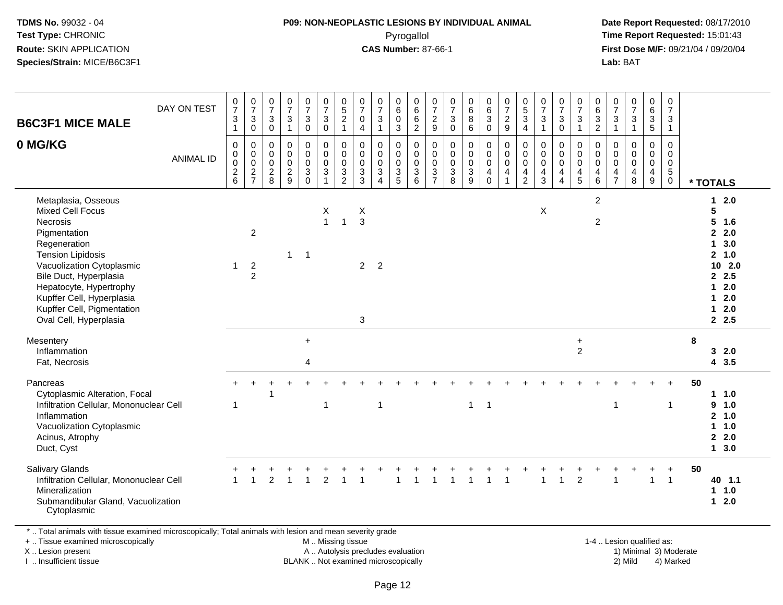### **P09: NON-NEOPLASTIC LESIONS BY INDIVIDUAL ANIMAL**Pyrogallol **Time Report Requested:** 15:01:43

 **Date Report Requested:** 08/17/2010 **First Dose M/F:** 09/21/04 / 09/20/04<br>Lab: BAT **Lab:** BAT

| <b>B6C3F1 MICE MALE</b>                                                                                                                                                                                                                                                                              | DAY ON TEST      | $\frac{0}{7}$<br>$\ensuremath{\mathsf{3}}$<br>$\overline{1}$ | $\frac{0}{7}$<br>$\sqrt{3}$<br>$\mathbf 0$         | $\pmb{0}$<br>$\overline{7}$<br>$\sqrt{3}$<br>$\mathbf 0$                  | $\begin{array}{c} 0 \\ 7 \end{array}$<br>$\sqrt{3}$<br>$\overline{1}$ | $\frac{0}{7}$<br>3<br>$\bar{0}$                 | $\frac{0}{7}$<br>$\mathbf{3}$<br>$\overline{0}$                       | $\begin{array}{c} 0 \\ 5 \end{array}$<br>$\frac{2}{1}$    | $\begin{array}{c} 0 \\ 7 \end{array}$<br>$\mathbf 0$<br>$\overline{4}$ | $\begin{array}{c} 0 \\ 7 \end{array}$<br>$\sqrt{3}$<br>$\mathbf{1}$                      | $_{6}^{\rm 0}$<br>$\pmb{0}$<br>3               | $\pmb{0}$<br>6<br>6<br>$\overline{2}$                     | $\frac{0}{7}$<br>$\overline{a}$<br>9         | 0<br>$\overline{7}$<br>$\mathbf{3}$<br>$\overline{0}$ | $\begin{array}{c} 0 \\ 6 \end{array}$<br>$\overline{8}$<br>$\overline{6}$ | $\begin{array}{c} 0 \\ 6 \end{array}$<br>$\overline{3}$<br>$\overline{0}$                            | $\frac{0}{7}$<br>$\frac{2}{9}$                                               | $\begin{array}{c} 0 \\ 5 \end{array}$<br>3<br>$\overline{4}$ | $\frac{0}{7}$<br>$\sqrt{3}$<br>$\mathbf{1}$          | $\frac{0}{7}$<br>$\mathbf{3}$<br>$\mathbf 0$                                           | $\frac{0}{7}$<br>$\mathbf{3}$<br>$\mathbf{1}$                                             | $\pmb{0}$<br>$6\overline{6}$<br>$\frac{3}{2}$                                          | $\frac{0}{7}$<br>$\frac{3}{1}$                   | $\begin{array}{c} 0 \\ 7 \end{array}$<br>$\frac{3}{1}$                                     | $_6^0$<br>$\overline{3}$<br>$\overline{5}$       | $\mathbf 0$<br>$\overline{7}$<br>$\mathbf{3}$<br>$\mathbf{1}$            |    |                                                                                                             |  |
|------------------------------------------------------------------------------------------------------------------------------------------------------------------------------------------------------------------------------------------------------------------------------------------------------|------------------|--------------------------------------------------------------|----------------------------------------------------|---------------------------------------------------------------------------|-----------------------------------------------------------------------|-------------------------------------------------|-----------------------------------------------------------------------|-----------------------------------------------------------|------------------------------------------------------------------------|------------------------------------------------------------------------------------------|------------------------------------------------|-----------------------------------------------------------|----------------------------------------------|-------------------------------------------------------|---------------------------------------------------------------------------|------------------------------------------------------------------------------------------------------|------------------------------------------------------------------------------|--------------------------------------------------------------|------------------------------------------------------|----------------------------------------------------------------------------------------|-------------------------------------------------------------------------------------------|----------------------------------------------------------------------------------------|--------------------------------------------------|--------------------------------------------------------------------------------------------|--------------------------------------------------|--------------------------------------------------------------------------|----|-------------------------------------------------------------------------------------------------------------|--|
| 0 MG/KG                                                                                                                                                                                                                                                                                              | <b>ANIMAL ID</b> | 0<br>$\pmb{0}$<br>$\mathsf{O}\xspace$<br>$\frac{2}{6}$       | $\mathbf 0$<br>0<br>$\mathbf 0$<br>$\frac{2}{7}$   | $\mathbf 0$<br>$\mathbf 0$<br>$\mathbf 0$<br>$\overline{\mathbf{c}}$<br>8 | $\mathbf 0$<br>$\mathbf 0$<br>$\mathbf 0$<br>$\frac{2}{9}$            | 0<br>$\mathsf{O}$<br>$\bar{0}$<br>$\frac{3}{0}$ | $\pmb{0}$<br>$\pmb{0}$<br>$\pmb{0}$<br>$\overline{3}$<br>$\mathbf{1}$ | $\pmb{0}$<br>$\pmb{0}$<br>$\overline{0}$<br>$\frac{3}{2}$ | $\mathbf 0$<br>$\mathbf 0$<br>$\mathbf 0$<br>$\frac{3}{3}$             | $\mathbf 0$<br>$\mathbf 0$<br>$\mathbf 0$<br>$\ensuremath{\mathsf{3}}$<br>$\overline{4}$ | $\mathbf 0$<br>0<br>$\pmb{0}$<br>$\frac{3}{5}$ | 0<br>$\mathsf{O}$<br>$\ddot{\mathbf{0}}$<br>$\frac{3}{6}$ | 0<br>0<br>$\mathbf 0$<br>3<br>$\overline{7}$ | $\mathbf 0$<br>0<br>$\pmb{0}$<br>$_8^3$               | 0<br>$_{\rm 0}^{\rm 0}$<br>$\overline{3}$                                 | $\mathbf 0$<br>$\begin{smallmatrix} 0\\0 \end{smallmatrix}$<br>$\begin{array}{c} 4 \\ 0 \end{array}$ | 0<br>$\mathsf{O}\xspace$<br>$\overline{0}$<br>$\overline{4}$<br>$\mathbf{1}$ | 0<br>0<br>$\mathbf 0$<br>$\frac{4}{2}$                       | 0<br>$\pmb{0}$<br>$\ddot{\mathbf{0}}$<br>$rac{4}{3}$ | $\mathbf 0$<br>$\mathsf{O}$<br>$\ddot{\mathbf{0}}$<br>$\overline{4}$<br>$\overline{4}$ | 0<br>$\begin{smallmatrix}0\0\0\end{smallmatrix}$<br>$\begin{array}{c} 4 \\ 5 \end{array}$ | $\mathbf 0$<br>$\mathbf 0$<br>$\mathbf 0$<br>$\overline{\mathbf{4}}$<br>$\overline{6}$ | $\mathbf 0$<br>$\mathbf 0$<br>0<br>$\frac{4}{7}$ | $\mathsf 0$<br>$\mathbf 0$<br>$\mathsf{O}\xspace$<br>$\begin{array}{c} 4 \\ 8 \end{array}$ | $\mathbf 0$<br>0<br>$\mathbf 0$<br>$\frac{4}{9}$ | 0<br>$\mathbf 0$<br>$\begin{array}{c} 0 \\ 5 \end{array}$<br>$\mathbf 0$ |    | * TOTALS                                                                                                    |  |
| Metaplasia, Osseous<br><b>Mixed Cell Focus</b><br><b>Necrosis</b><br>Pigmentation<br>Regeneration<br><b>Tension Lipidosis</b><br>Vacuolization Cytoplasmic<br>Bile Duct, Hyperplasia<br>Hepatocyte, Hypertrophy<br>Kupffer Cell, Hyperplasia<br>Kupffer Cell, Pigmentation<br>Oval Cell, Hyperplasia |                  | $\mathbf{1}$                                                 | $\overline{c}$<br>$\overline{c}$<br>$\overline{2}$ |                                                                           | $\mathbf{1}$                                                          | $\overline{1}$                                  | X<br>$\mathbf{1}$                                                     | $\mathbf{1}$                                              | X<br>$\mathbf{3}$<br>$2 \quad 2$<br>$\mathbf{3}$                       |                                                                                          |                                                |                                                           |                                              |                                                       |                                                                           |                                                                                                      |                                                                              |                                                              | X                                                    |                                                                                        |                                                                                           | 2<br>2                                                                                 |                                                  |                                                                                            |                                                  |                                                                          |    | $12.0$<br>5<br>$5$ 1.6<br>2.0<br>13.0<br>2, 1.0<br>102.0<br>2.5<br>$12.0$<br>$12.0$<br>$1 \quad 2.0$<br>2.5 |  |
| Mesentery<br>Inflammation<br>Fat, Necrosis                                                                                                                                                                                                                                                           |                  |                                                              |                                                    |                                                                           |                                                                       | $\ddot{}$<br>4                                  |                                                                       |                                                           |                                                                        |                                                                                          |                                                |                                                           |                                              |                                                       |                                                                           |                                                                                                      |                                                                              |                                                              |                                                      |                                                                                        | $\ddot{}$<br>$\overline{2}$                                                               |                                                                                        |                                                  |                                                                                            |                                                  |                                                                          | 8  | 32.0<br>4 3.5                                                                                               |  |
| Pancreas<br>Cytoplasmic Alteration, Focal<br>Infiltration Cellular, Mononuclear Cell<br>Inflammation<br>Vacuolization Cytoplasmic<br>Acinus, Atrophy<br>Duct, Cyst                                                                                                                                   |                  | -1                                                           |                                                    |                                                                           |                                                                       |                                                 | $\mathbf 1$                                                           |                                                           |                                                                        | $\mathbf{1}$                                                                             |                                                |                                                           |                                              |                                                       | $\mathbf{1}$                                                              | $\overline{1}$                                                                                       |                                                                              |                                                              |                                                      |                                                                                        |                                                                                           |                                                                                        | $\overline{1}$                                   |                                                                                            |                                                  | $\mathbf 1$                                                              | 50 | 1 1.0<br>$9 - 1.0$<br>2, 1.0<br>1 1.0<br>2.0<br>13.0                                                        |  |
| <b>Salivary Glands</b><br>Infiltration Cellular, Mononuclear Cell<br>Mineralization<br>Submandibular Gland, Vacuolization<br>Cytoplasmic                                                                                                                                                             |                  | $\blacktriangleleft$                                         |                                                    | $\mathfrak{p}$                                                            |                                                                       |                                                 | $\overline{2}$                                                        |                                                           |                                                                        |                                                                                          |                                                |                                                           |                                              |                                                       |                                                                           |                                                                                                      |                                                                              |                                                              |                                                      | $\overline{1}$                                                                         | $\overline{2}$                                                                            |                                                                                        | $\overline{1}$                                   |                                                                                            | $\mathbf 1$                                      | $\overline{1}$                                                           | 50 | 40 1.1<br>$1 1.0$<br>$12.0$                                                                                 |  |

\* ... Total animals with tissue examined microscopically; Total animals with lesion and mean severity grade

+ .. Tissue examined microscopically

X .. Lesion present

I .. Insufficient tissue

M .. Missing tissue

A .. Autolysis precludes evaluation 1) Minimal 30 (1) Minimal 30 (1) Minimal 3) Minimal 3) Minimal 3) Minimal 3<br>1) Minimal 30 (1) Minimal 3) Mild BLANK .. Not examined microscopically 2) Mild 4) Marked

1-4 .. Lesion qualified as:<br>1) Minimal 3) Moderate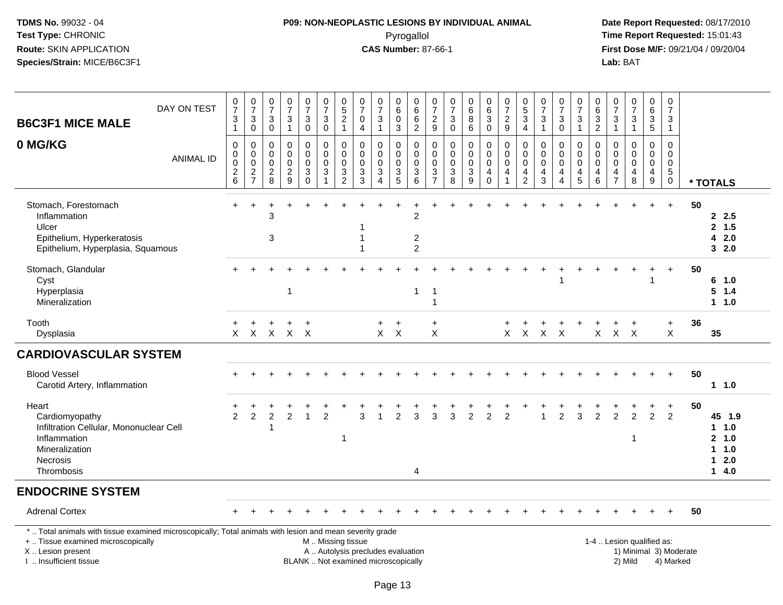# **P09: NON-NEOPLASTIC LESIONS BY INDIVIDUAL ANIMAL**Pyrogallol **Time Report Requested:** 15:01:43

| <b>B6C3F1 MICE MALE</b>                                                                                                                                                                       | DAY ON TEST      | $\frac{0}{7}$<br>3<br>$\mathbf{1}$                          | $\frac{0}{7}$<br>$\ensuremath{\mathsf{3}}$<br>$\mathbf 0$ | $\pmb{0}$<br>$\overline{7}$<br>$\sqrt{3}$<br>$\mathbf 0$   | $\frac{0}{7}$<br>$\ensuremath{\mathsf{3}}$<br>$\overline{1}$ | $\frac{0}{7}$<br>3<br>$\mathbf 0$                 | 0<br>$\overline{7}$<br>$\ensuremath{\mathsf{3}}$<br>$\pmb{0}$                        | $\begin{array}{c} 0 \\ 5 \end{array}$<br>$\overline{2}$<br>$\mathbf{1}$                       | 0<br>$\overline{7}$<br>$\pmb{0}$<br>$\overline{4}$                           | $\frac{0}{7}$<br>$\sqrt{3}$<br>$\mathbf{1}$                         | 0<br>6<br>0<br>3                                                  | 0<br>$\,6\,$<br>6<br>$\overline{2}$                                      | 0<br>$\overline{7}$<br>$\frac{2}{9}$                       | 0<br>$\overline{7}$<br>$_{\rm 0}^3$                                              | $_{\rm 6}^{\rm 0}$<br>$\overline{8}$<br>$6\phantom{a}$                    | $\begin{array}{c} 0 \\ 6 \end{array}$<br>$\ensuremath{\mathsf{3}}$<br>$\mathbf 0$ | $\frac{0}{7}$<br>$\frac{2}{9}$                                                     | $^{\rm 0}_{\rm 5}$<br>$\overline{3}$<br>$\overline{4}$ | 0<br>$\overline{7}$<br>$\ensuremath{\mathsf{3}}$<br>$\mathbf{1}$ | $\frac{0}{7}$<br>$\ensuremath{\mathsf{3}}$<br>$\mathbf 0$            | $\mathbf 0$<br>$\overline{7}$<br>$\mathsf 3$<br>$\mathbf{1}$        | 0<br>$\,6\,$<br>$\frac{3}{2}$                   | $\pmb{0}$<br>$\overline{7}$<br>3<br>$\mathbf{1}$ | $\begin{array}{c} 0 \\ 7 \\ 3 \\ 1 \end{array}$                  | 0<br>6<br>3<br>5                                  | 0<br>$\overline{7}$<br>3<br>$\mathbf{1}$                                   |    |                                                                        |
|-----------------------------------------------------------------------------------------------------------------------------------------------------------------------------------------------|------------------|-------------------------------------------------------------|-----------------------------------------------------------|------------------------------------------------------------|--------------------------------------------------------------|---------------------------------------------------|--------------------------------------------------------------------------------------|-----------------------------------------------------------------------------------------------|------------------------------------------------------------------------------|---------------------------------------------------------------------|-------------------------------------------------------------------|--------------------------------------------------------------------------|------------------------------------------------------------|----------------------------------------------------------------------------------|---------------------------------------------------------------------------|-----------------------------------------------------------------------------------|------------------------------------------------------------------------------------|--------------------------------------------------------|------------------------------------------------------------------|----------------------------------------------------------------------|---------------------------------------------------------------------|-------------------------------------------------|--------------------------------------------------|------------------------------------------------------------------|---------------------------------------------------|----------------------------------------------------------------------------|----|------------------------------------------------------------------------|
| 0 MG/KG                                                                                                                                                                                       | <b>ANIMAL ID</b> | $\mathbf 0$<br>$\mathsf{O}$<br>$\mathbf 0$<br>$\frac{2}{6}$ | $\mathbf 0$<br>$\mathbf 0$<br>$\pmb{0}$<br>$\frac{2}{7}$  | $\mathbf 0$<br>$\mathbf 0$<br>$\mathbf 0$<br>$\frac{2}{8}$ | $\mathbf 0$<br>$\mathbf 0$<br>$\mathbf 0$<br>$\frac{2}{9}$   | 0<br>$\pmb{0}$<br>$\mathbf 0$<br>3<br>$\mathbf 0$ | 0<br>$\mathsf{O}\xspace$<br>$\mathbf 0$<br>$\ensuremath{\mathsf{3}}$<br>$\mathbf{1}$ | 0<br>$\mathbf 0$<br>$\pmb{0}$<br>$\ensuremath{\mathsf{3}}$<br>$\overline{2}$                  | 0<br>$\mathbf 0$<br>$\mathbf 0$<br>$\ensuremath{\mathsf{3}}$<br>$\mathbf{3}$ | $\mathbf 0$<br>$\mathbf 0$<br>$\mathbf 0$<br>$\sqrt{3}$<br>$\Delta$ | 0<br>$\mathbf 0$<br>$\mathbf 0$<br>$\ensuremath{\mathsf{3}}$<br>5 | 0<br>$\mathbf 0$<br>$\overline{0}$<br>$\ensuremath{\mathsf{3}}$<br>$\,6$ | $\mathbf 0$<br>$\mathbf 0$<br>$\mathbf 0$<br>$\frac{3}{7}$ | $\mathbf 0$<br>$\mathbf 0$<br>$\pmb{0}$<br>$\begin{array}{c} 3 \\ 8 \end{array}$ | 0<br>$\ddot{\mathbf{0}}$<br>$\mathbf 0$<br>$\ensuremath{\mathsf{3}}$<br>9 | 0<br>$\mathbf 0$<br>$\mathbf 0$<br>4<br>$\mathbf 0$                               | $\mathbf 0$<br>$\boldsymbol{0}$<br>$\mathbf 0$<br>$\overline{4}$<br>$\overline{1}$ | 0<br>$\mathbf 0$<br>$\mathbf 0$<br>4<br>$\overline{2}$ | $\mathbf 0$<br>$\mathbf 0$<br>$\mathbf 0$<br>$\overline{4}$<br>3 | $\Omega$<br>$\mathbf 0$<br>$\mathbf 0$<br>4<br>$\boldsymbol{\Delta}$ | 0<br>$\mathbf 0$<br>$\mathbf 0$<br>$\overline{4}$<br>$\overline{5}$ | 0<br>$\mathbf 0$<br>$\mathbf 0$<br>4<br>$\,6\,$ | 0<br>$\mathbf 0$<br>0<br>4<br>$\overline{7}$     | $\mathbf 0$<br>$\mathbf 0$<br>$\mathbf 0$<br>$\overline{4}$<br>8 | $\mathbf 0$<br>$\mathbf 0$<br>$\pmb{0}$<br>4<br>9 | $\mathbf 0$<br>$\mathbf 0$<br>$\mathbf 0$<br>$\overline{5}$<br>$\mathsf 0$ |    | * TOTALS                                                               |
| Stomach, Forestomach<br>Inflammation<br>Ulcer<br>Epithelium, Hyperkeratosis<br>Epithelium, Hyperplasia, Squamous                                                                              |                  |                                                             | $\ddot{}$                                                 | 3<br>3                                                     |                                                              |                                                   |                                                                                      |                                                                                               |                                                                              |                                                                     |                                                                   | 2<br>$\boldsymbol{2}$<br>$\overline{2}$                                  |                                                            |                                                                                  |                                                                           |                                                                                   |                                                                                    |                                                        |                                                                  |                                                                      |                                                                     |                                                 |                                                  |                                                                  | $\div$                                            | $\ddot{}$                                                                  | 50 | 2.5<br>2, 1.5<br>42.0<br>32.0                                          |
| Stomach, Glandular<br>Cyst<br>Hyperplasia<br>Mineralization                                                                                                                                   |                  |                                                             |                                                           |                                                            | $\overline{\mathbf{1}}$                                      |                                                   |                                                                                      |                                                                                               |                                                                              |                                                                     |                                                                   | 1                                                                        | -1<br>$\overline{1}$                                       |                                                                                  |                                                                           |                                                                                   |                                                                                    |                                                        |                                                                  |                                                                      |                                                                     |                                                 |                                                  |                                                                  |                                                   | $\ddot{}$                                                                  | 50 | 6 1.0<br>$5 \t1.4$<br>$1 \t1.0$                                        |
| Tooth<br>Dysplasia                                                                                                                                                                            |                  | $\mathsf{X}$                                                | +                                                         | +<br>X X X X                                               | +                                                            | $\ddot{}$                                         |                                                                                      |                                                                                               |                                                                              | $\ddot{}$<br>$X$ $X$                                                | $+$                                                               |                                                                          | $\ddot{}$<br>$\times$                                      |                                                                                  |                                                                           |                                                                                   |                                                                                    |                                                        | X X X X                                                          |                                                                      |                                                                     | $\mathsf{X}$                                    |                                                  | $X$ $X$                                                          |                                                   | $+$<br>X                                                                   | 36 | 35                                                                     |
| <b>CARDIOVASCULAR SYSTEM</b>                                                                                                                                                                  |                  |                                                             |                                                           |                                                            |                                                              |                                                   |                                                                                      |                                                                                               |                                                                              |                                                                     |                                                                   |                                                                          |                                                            |                                                                                  |                                                                           |                                                                                   |                                                                                    |                                                        |                                                                  |                                                                      |                                                                     |                                                 |                                                  |                                                                  |                                                   |                                                                            |    |                                                                        |
| <b>Blood Vessel</b><br>Carotid Artery, Inflammation                                                                                                                                           |                  |                                                             |                                                           |                                                            |                                                              |                                                   |                                                                                      |                                                                                               |                                                                              |                                                                     |                                                                   |                                                                          |                                                            |                                                                                  |                                                                           |                                                                                   |                                                                                    |                                                        |                                                                  |                                                                      |                                                                     |                                                 |                                                  |                                                                  |                                                   | $+$                                                                        | 50 | $1 \t1.0$                                                              |
| Heart<br>Cardiomyopathy<br>Infiltration Cellular, Mononuclear Cell<br>Inflammation<br>Mineralization<br>Necrosis<br>Thrombosis                                                                |                  | $\overline{2}$                                              | $\overline{c}$                                            | $\overline{c}$                                             | $\overline{2}$                                               | $\mathbf{1}$                                      | $\overline{2}$                                                                       | -1                                                                                            | 3                                                                            |                                                                     | $\mathfrak{p}$                                                    | 3<br>4                                                                   | 3                                                          | 3                                                                                | $\mathcal{P}$                                                             | $\overline{2}$                                                                    | 2                                                                                  |                                                        |                                                                  | $\overline{2}$                                                       | 3                                                                   | $\overline{2}$                                  | $\overline{2}$                                   | $\mathcal{P}$<br>1                                               | $\ddot{}$<br>$\overline{2}$                       | $\ddot{}$<br>2                                                             | 50 | 45 1.9<br>$1 \t1.0$<br>2, 1.0<br>$1 1.0$<br>2.0<br>$\mathbf 1$<br>14.0 |
| <b>ENDOCRINE SYSTEM</b>                                                                                                                                                                       |                  |                                                             |                                                           |                                                            |                                                              |                                                   |                                                                                      |                                                                                               |                                                                              |                                                                     |                                                                   |                                                                          |                                                            |                                                                                  |                                                                           |                                                                                   |                                                                                    |                                                        |                                                                  |                                                                      |                                                                     |                                                 |                                                  |                                                                  |                                                   |                                                                            |    |                                                                        |
| <b>Adrenal Cortex</b>                                                                                                                                                                         |                  |                                                             |                                                           |                                                            |                                                              |                                                   |                                                                                      |                                                                                               |                                                                              |                                                                     |                                                                   |                                                                          |                                                            |                                                                                  |                                                                           |                                                                                   |                                                                                    |                                                        |                                                                  |                                                                      |                                                                     |                                                 |                                                  |                                                                  |                                                   |                                                                            | 50 |                                                                        |
| *  Total animals with tissue examined microscopically; Total animals with lesion and mean severity grade<br>+  Tissue examined microscopically<br>X  Lesion present<br>I  Insufficient tissue |                  |                                                             |                                                           |                                                            |                                                              |                                                   |                                                                                      | M  Missing tissue<br>A  Autolysis precludes evaluation<br>BLANK  Not examined microscopically |                                                                              |                                                                     |                                                                   |                                                                          |                                                            |                                                                                  |                                                                           |                                                                                   |                                                                                    |                                                        |                                                                  |                                                                      |                                                                     |                                                 |                                                  | 1-4  Lesion qualified as:<br>2) Mild                             |                                                   | 1) Minimal 3) Moderate<br>4) Marked                                        |    |                                                                        |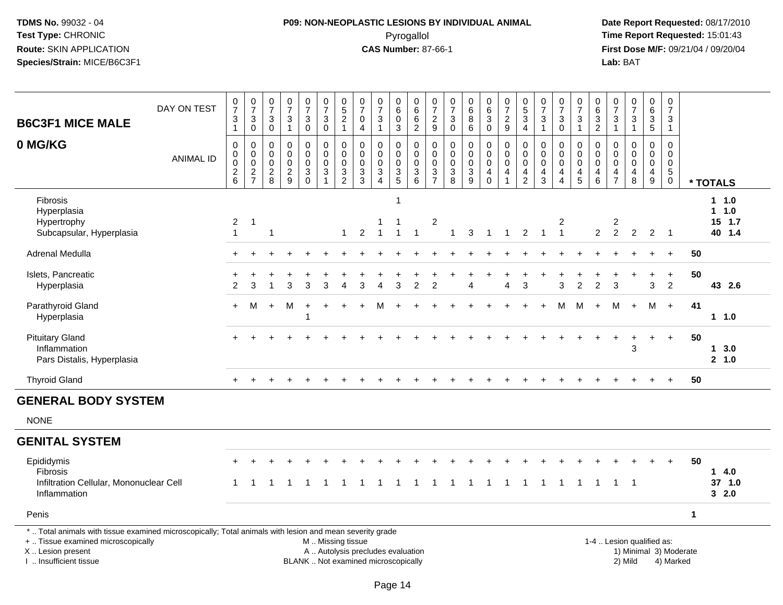# **P09: NON-NEOPLASTIC LESIONS BY INDIVIDUAL ANIMAL**Pyrogallol **Time Report Requested:** 15:01:43

| <b>B6C3F1 MICE MALE</b>                                                                                                                                                                       | DAY ON TEST      | $\frac{0}{7}$<br>$\frac{3}{1}$                          | $\frac{0}{7}$<br>$\ensuremath{\mathsf{3}}$<br>$\mathsf 0$ | $\frac{0}{7}$<br>$\sqrt{3}$<br>$\mathsf 0$                           | $\frac{0}{7}$<br>$\ensuremath{\mathsf{3}}$<br>$\overline{1}$ | $\begin{array}{c} 0 \\ 7 \end{array}$<br>$\ensuremath{\mathsf{3}}$<br>$\mathbf 0$ | $\begin{array}{c} 0 \\ 7 \end{array}$<br>$\ensuremath{\mathsf{3}}$<br>$\mathbf 0$              | $0,52$<br>1                                                                                              | $\begin{array}{c} 0 \\ 7 \end{array}$<br>$\pmb{0}$<br>$\overline{4}$ | $\frac{0}{7}$<br>$\ensuremath{\mathsf{3}}$<br>$\mathbf{1}$                     | $\begin{array}{c} 0 \\ 6 \end{array}$<br>$\pmb{0}$<br>$\mathbf{3}$ | $\begin{array}{c} 0 \\ 6 \end{array}$<br>$\frac{6}{2}$       | $\frac{0}{7}$<br>$\frac{2}{9}$                             | $\begin{array}{c} 0 \\ 7 \end{array}$<br>3<br>$\mathbf 0$ | $\begin{matrix} 0 \\ 6 \\ 8 \end{matrix}$<br>$\,6\,$ | $\begin{array}{c} 0 \\ 6 \end{array}$<br>$\overline{3}$<br>$\mathbf 0$             | $\frac{0}{7}$<br>$\sqrt{2}$<br>$\boldsymbol{9}$ | $\begin{array}{c} 0 \\ 5 \\ 3 \\ 4 \end{array}$          | $\begin{array}{c} 0 \\ 7 \end{array}$<br>$\ensuremath{\mathsf{3}}$<br>$\overline{1}$ | $\begin{array}{c} 0 \\ 7 \end{array}$<br>$\ensuremath{\mathsf{3}}$<br>$\mathbf 0$ | $\frac{0}{7}$<br>$\ensuremath{\mathsf{3}}$<br>$\mathbf{1}$                   | $\begin{array}{c} 0 \\ 6 \end{array}$<br>$\frac{3}{2}$                             | $\frac{0}{7}$<br>$\ensuremath{\mathsf{3}}$<br>$\mathbf{1}$ | $\frac{0}{7}$<br>$\ensuremath{\mathsf{3}}$<br>$\mathbf{1}$   | $\begin{array}{c} 0 \\ 6 \end{array}$<br>$\frac{3}{5}$           | 0<br>$\overline{7}$<br>$\ensuremath{\mathsf{3}}$<br>$\overline{1}$   |                        |                                          |
|-----------------------------------------------------------------------------------------------------------------------------------------------------------------------------------------------|------------------|---------------------------------------------------------|-----------------------------------------------------------|----------------------------------------------------------------------|--------------------------------------------------------------|-----------------------------------------------------------------------------------|------------------------------------------------------------------------------------------------|----------------------------------------------------------------------------------------------------------|----------------------------------------------------------------------|--------------------------------------------------------------------------------|--------------------------------------------------------------------|--------------------------------------------------------------|------------------------------------------------------------|-----------------------------------------------------------|------------------------------------------------------|------------------------------------------------------------------------------------|-------------------------------------------------|----------------------------------------------------------|--------------------------------------------------------------------------------------|-----------------------------------------------------------------------------------|------------------------------------------------------------------------------|------------------------------------------------------------------------------------|------------------------------------------------------------|--------------------------------------------------------------|------------------------------------------------------------------|----------------------------------------------------------------------|------------------------|------------------------------------------|
| 0 MG/KG                                                                                                                                                                                       | <b>ANIMAL ID</b> | $\pmb{0}$<br>$\pmb{0}$<br>$\pmb{0}$<br>$^2\phantom{1}6$ | $\mathbf 0$<br>$\overline{0}$<br>$\frac{2}{7}$            | $\mathbf 0$<br>$\boldsymbol{0}$<br>$\boldsymbol{0}$<br>$\frac{2}{8}$ | $\mathbf 0$<br>$\mathbf 0$<br>$\mathbf 0$<br>$\sqrt{2}$<br>9 | $\mathbf 0$<br>$\mathsf{O}\xspace$<br>$\mathbf 0$<br>$_{0}^{3}$                   | $\mathbf 0$<br>$\mathsf{O}\xspace$<br>$\mathbf 0$<br>$\ensuremath{\mathsf{3}}$<br>$\mathbf{1}$ | $\mathsf{O}\xspace$<br>$\mathsf{O}\xspace$<br>$\mathbf 0$<br>$\ensuremath{\mathsf{3}}$<br>$\overline{c}$ | $\mathbf 0$<br>$\mathbf 0$<br>0<br>$\frac{3}{3}$                     | $\mathbf 0$<br>$\mathbf 0$<br>0<br>$\ensuremath{\mathsf{3}}$<br>$\overline{4}$ | $\mathbf 0$<br>$\mathbf 0$<br>$\mathbf 0$<br>$\frac{3}{5}$         | $\mathbf 0$<br>$\mathbf 0$<br>$\mathbf 0$<br>$\sqrt{3}$<br>6 | $\mathbf 0$<br>$\mathbf 0$<br>$\mathbf 0$<br>$\frac{3}{7}$ | $\mathbf 0$<br>$\boldsymbol{0}$<br>$\mathbf 0$<br>$_8^3$  | 0<br>$\mathbf 0$<br>$\pmb{0}$<br>$\frac{3}{9}$       | $\mathbf 0$<br>$\mathbf 0$<br>$\mathbf 0$<br>$\overline{4}$<br>$\mathsf{O}\xspace$ | $\mathbf 0$<br>$\pmb{0}$<br>$\mathbf 0$<br>4    | $\mathbf 0$<br>$\pmb{0}$<br>$\mathbf 0$<br>$\frac{4}{2}$ | $\Omega$<br>$\mathbf 0$<br>$\mathbf 0$<br>$\overline{4}$<br>$\mathbf{3}$             | 0<br>$\mathbf 0$<br>$\pmb{0}$<br>$\overline{4}$<br>$\overline{4}$                 | $\mathbf 0$<br>$\mathbf 0$<br>$\overline{0}$<br>$\overline{\mathbf{4}}$<br>5 | $\Omega$<br>$\mathsf{O}\xspace$<br>$\mathbf 0$<br>$\overline{\mathbf{r}}$<br>$\,6$ | $\mathbf 0$<br>$\mathbf 0$<br>$\mathbf 0$<br>$\frac{4}{7}$ | $\mathbf 0$<br>$\pmb{0}$<br>$\pmb{0}$<br>$\overline{4}$<br>8 | $\mathbf 0$<br>$\mathbf 0$<br>$\mathbf 0$<br>$\overline{4}$<br>9 | $\Omega$<br>$\mathbf 0$<br>$\mathbf 0$<br>$\,$ 5 $\,$<br>$\mathbf 0$ |                        | * TOTALS                                 |
| <b>Fibrosis</b><br>Hyperplasia<br>Hypertrophy<br>Subcapsular, Hyperplasia                                                                                                                     |                  | $\overline{2}$<br>$\mathbf{1}$                          | -1                                                        | $\overline{1}$                                                       |                                                              |                                                                                   |                                                                                                | $\mathbf{1}$                                                                                             | 2                                                                    | $\overline{1}$                                                                 | $\mathbf 1$<br>$\mathbf{1}$                                        | $\overline{1}$                                               | $\overline{\mathbf{c}}$                                    | $\mathbf{1}$                                              | 3                                                    | $\mathbf{1}$                                                                       | $\overline{1}$                                  | $\overline{2}$                                           | $\overline{1}$                                                                       | 2<br>$\mathbf{1}$                                                                 |                                                                              | $\overline{2}$                                                                     | $\overline{c}$<br>$\overline{2}$                           | $\overline{2}$                                               | $\overline{2}$                                                   | $\overline{\phantom{0}}$                                             |                        | $1 \t1.0$<br>$1 1.0$<br>15 1.7<br>40 1.4 |
| Adrenal Medulla                                                                                                                                                                               |                  |                                                         |                                                           |                                                                      |                                                              |                                                                                   |                                                                                                |                                                                                                          |                                                                      |                                                                                |                                                                    |                                                              |                                                            |                                                           |                                                      |                                                                                    |                                                 |                                                          |                                                                                      |                                                                                   |                                                                              |                                                                                    |                                                            |                                                              |                                                                  | $+$                                                                  | 50                     |                                          |
| Islets, Pancreatic<br>Hyperplasia                                                                                                                                                             |                  | +<br>2                                                  | 3                                                         |                                                                      | 3                                                            | 3                                                                                 | 3                                                                                              | 4                                                                                                        | 3                                                                    | $\boldsymbol{\Lambda}$                                                         | 3                                                                  | $\overline{2}$                                               | $\overline{2}$                                             |                                                           | $\boldsymbol{\Lambda}$                               |                                                                                    | $\overline{\mathbf{A}}$                         | 3                                                        |                                                                                      | 3                                                                                 | $\overline{2}$                                                               | $\overline{2}$                                                                     | 3                                                          | $\overline{1}$                                               | $\ddot{}$<br>3                                                   | $\ddot{}$<br>$\overline{2}$                                          | 50                     | 43 2.6                                   |
| Parathyroid Gland<br>Hyperplasia                                                                                                                                                              |                  | $+$                                                     | M                                                         |                                                                      | M                                                            | 1                                                                                 |                                                                                                |                                                                                                          |                                                                      |                                                                                |                                                                    |                                                              |                                                            |                                                           |                                                      |                                                                                    |                                                 |                                                          |                                                                                      | м                                                                                 | М                                                                            |                                                                                    | м                                                          | $+$                                                          | м                                                                | $+$                                                                  | 41                     | 11.0                                     |
| <b>Pituitary Gland</b><br>Inflammation<br>Pars Distalis, Hyperplasia                                                                                                                          |                  |                                                         |                                                           |                                                                      |                                                              |                                                                                   |                                                                                                |                                                                                                          |                                                                      |                                                                                |                                                                    |                                                              |                                                            |                                                           |                                                      |                                                                                    |                                                 |                                                          |                                                                                      |                                                                                   |                                                                              |                                                                                    |                                                            | $\ddot{}$<br>3                                               | $\ddot{}$                                                        | $+$                                                                  | 50                     | 13.0<br>2, 1.0                           |
| <b>Thyroid Gland</b>                                                                                                                                                                          |                  | $+$                                                     | $\ddot{}$                                                 |                                                                      |                                                              |                                                                                   |                                                                                                |                                                                                                          |                                                                      |                                                                                |                                                                    |                                                              |                                                            |                                                           |                                                      |                                                                                    |                                                 |                                                          |                                                                                      |                                                                                   |                                                                              |                                                                                    |                                                            | $\ddot{}$                                                    | $+$                                                              | $+$                                                                  | 50                     |                                          |
| <b>GENERAL BODY SYSTEM</b>                                                                                                                                                                    |                  |                                                         |                                                           |                                                                      |                                                              |                                                                                   |                                                                                                |                                                                                                          |                                                                      |                                                                                |                                                                    |                                                              |                                                            |                                                           |                                                      |                                                                                    |                                                 |                                                          |                                                                                      |                                                                                   |                                                                              |                                                                                    |                                                            |                                                              |                                                                  |                                                                      |                        |                                          |
| <b>NONE</b>                                                                                                                                                                                   |                  |                                                         |                                                           |                                                                      |                                                              |                                                                                   |                                                                                                |                                                                                                          |                                                                      |                                                                                |                                                                    |                                                              |                                                            |                                                           |                                                      |                                                                                    |                                                 |                                                          |                                                                                      |                                                                                   |                                                                              |                                                                                    |                                                            |                                                              |                                                                  |                                                                      |                        |                                          |
| <b>GENITAL SYSTEM</b>                                                                                                                                                                         |                  |                                                         |                                                           |                                                                      |                                                              |                                                                                   |                                                                                                |                                                                                                          |                                                                      |                                                                                |                                                                    |                                                              |                                                            |                                                           |                                                      |                                                                                    |                                                 |                                                          |                                                                                      |                                                                                   |                                                                              |                                                                                    |                                                            |                                                              |                                                                  |                                                                      |                        |                                          |
| Epididymis<br><b>Fibrosis</b><br>Infiltration Cellular, Mononuclear Cell<br>Inflammation                                                                                                      |                  | 1                                                       |                                                           |                                                                      |                                                              |                                                                                   |                                                                                                |                                                                                                          |                                                                      |                                                                                |                                                                    |                                                              |                                                            |                                                           | -1                                                   |                                                                                    |                                                 |                                                          | -1                                                                                   | 1                                                                                 | -1                                                                           | 1                                                                                  | 1                                                          | -1                                                           |                                                                  |                                                                      | 50                     | 14.0<br>37 1.0<br>32.0                   |
| Penis                                                                                                                                                                                         |                  |                                                         |                                                           |                                                                      |                                                              |                                                                                   |                                                                                                |                                                                                                          |                                                                      |                                                                                |                                                                    |                                                              |                                                            |                                                           |                                                      |                                                                                    |                                                 |                                                          |                                                                                      |                                                                                   |                                                                              |                                                                                    |                                                            |                                                              |                                                                  |                                                                      | $\mathbf{1}$           |                                          |
| *  Total animals with tissue examined microscopically; Total animals with lesion and mean severity grade<br>+  Tissue examined microscopically<br>X  Lesion present<br>I. Insufficient tissue |                  |                                                         |                                                           |                                                                      |                                                              |                                                                                   |                                                                                                | M  Missing tissue                                                                                        |                                                                      | A  Autolysis precludes evaluation<br>BLANK  Not examined microscopically       |                                                                    |                                                              |                                                            |                                                           |                                                      |                                                                                    |                                                 |                                                          |                                                                                      |                                                                                   |                                                                              |                                                                                    |                                                            | 1-4  Lesion qualified as:<br>2) Mild                         |                                                                  | 4) Marked                                                            | 1) Minimal 3) Moderate |                                          |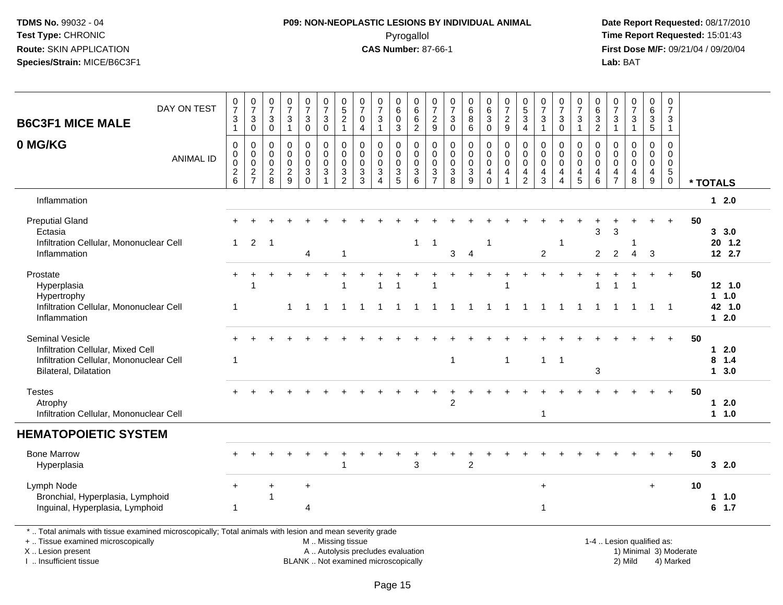# **P09: NON-NEOPLASTIC LESIONS BY INDIVIDUAL ANIMAL**Pyrogallol **Time Report Requested:** 15:01:43

| <b>B6C3F1 MICE MALE</b>                                                                                                                                                                       | DAY ON TEST      | $\frac{0}{7}$<br>$\ensuremath{\mathsf{3}}$<br>$\mathbf{1}$    | $\frac{0}{7}$<br>$\sqrt{3}$<br>$\pmb{0}$                   | $\frac{0}{7}$<br>$\sqrt{3}$<br>$\mathbf 0$                            | $\frac{0}{7}$<br>$\sqrt{3}$<br>$\overline{1}$            | $\frac{0}{7}$<br>$\mathbf{3}$<br>$\overline{0}$             | $\frac{0}{7}$<br>$\mathbf{3}$<br>$\overline{0}$                                               | $0,52$<br>1                                                | 0<br>$\overline{7}$<br>0<br>4                                                    | 0<br>$\overline{7}$<br>$\sqrt{3}$<br>$\mathbf{1}$                    | 0<br>6<br>$\mathbf 0$<br>3                                       | 0<br>6<br>$\frac{6}{2}$                                                     | $\frac{0}{7}$<br>$\frac{2}{9}$                       | 0<br>$\overline{7}$<br>3<br>$\mathbf 0$                  | $\begin{array}{c} 0 \\ 6 \end{array}$<br>$\bf 8$<br>6 | $\pmb{0}$<br>$\,6\,$<br>3<br>$\mathbf 0$         | 0<br>$\overline{7}$<br>$\frac{2}{9}$                             | $\begin{array}{c} 0 \\ 5 \end{array}$<br>3<br>$\overline{4}$                     | 0<br>$\overline{7}$<br>$\ensuremath{\mathsf{3}}$<br>$\mathbf{1}$ | $\frac{0}{7}$<br>$\sqrt{3}$<br>$\mathbf 0$                  | $\pmb{0}$<br>$\overline{7}$<br>$\mathsf 3$<br>$\mathbf{1}$ | 0<br>$6\phantom{1}6$<br>$\frac{3}{2}$                      | 0<br>$\overline{7}$<br>$\ensuremath{\mathsf{3}}$<br>$\mathbf{1}$           | $\frac{0}{7}$<br>$\ensuremath{\mathsf{3}}$<br>$\mathbf{1}$ | 0<br>$\overline{6}$<br>3<br>$\overline{5}$                       | $\pmb{0}$<br>$\overline{7}$<br>$\mathbf{3}$<br>$\mathbf{1}$              |                        |                     |  |
|-----------------------------------------------------------------------------------------------------------------------------------------------------------------------------------------------|------------------|---------------------------------------------------------------|------------------------------------------------------------|-----------------------------------------------------------------------|----------------------------------------------------------|-------------------------------------------------------------|-----------------------------------------------------------------------------------------------|------------------------------------------------------------|----------------------------------------------------------------------------------|----------------------------------------------------------------------|------------------------------------------------------------------|-----------------------------------------------------------------------------|------------------------------------------------------|----------------------------------------------------------|-------------------------------------------------------|--------------------------------------------------|------------------------------------------------------------------|----------------------------------------------------------------------------------|------------------------------------------------------------------|-------------------------------------------------------------|------------------------------------------------------------|------------------------------------------------------------|----------------------------------------------------------------------------|------------------------------------------------------------|------------------------------------------------------------------|--------------------------------------------------------------------------|------------------------|---------------------|--|
| 0 MG/KG                                                                                                                                                                                       | <b>ANIMAL ID</b> | $\pmb{0}$<br>$\boldsymbol{0}$<br>$\mathbf 0$<br>$\frac{2}{6}$ | $\mathbf 0$<br>$\mathbf 0$<br>$\mathbf 0$<br>$\frac{2}{7}$ | $\mathbf 0$<br>$\mathbf 0$<br>$\boldsymbol{0}$<br>$\overline{c}$<br>8 | $\mathbf 0$<br>$\mathbf 0$<br>$\pmb{0}$<br>$\frac{2}{9}$ | $\pmb{0}$<br>$\overline{0}$<br>$\mathsf 0$<br>3<br>$\Omega$ | 0<br>0<br>$\mathbf 0$<br>$\sqrt{3}$                                                           | $\mathbf 0$<br>$\mathbf 0$<br>$\mathbf 0$<br>$\frac{3}{2}$ | $\mathbf 0$<br>$\Omega$<br>$\mathsf{O}\xspace$<br>$\mathbf{3}$<br>$\overline{3}$ | $\Omega$<br>$\mathbf 0$<br>$\pmb{0}$<br>$\sqrt{3}$<br>$\overline{4}$ | 0<br>$\Omega$<br>$\mathbf 0$<br>$\mathfrak{S}$<br>$\overline{5}$ | 0<br>$\pmb{0}$<br>$\pmb{0}$<br>$\ensuremath{\mathsf{3}}$<br>$6\overline{6}$ | $\pmb{0}$<br>$\mathbf 0$<br>$\,0\,$<br>$\frac{3}{7}$ | $\mathbf 0$<br>$\mathbf 0$<br>$\pmb{0}$<br>$\frac{3}{8}$ | $\pmb{0}$<br>$\pmb{0}$<br>$\pmb{0}$<br>$\frac{3}{9}$  | 0<br>$\mathbf 0$<br>$\mathbf 0$<br>4<br>$\Omega$ | $\mathbf 0$<br>$\mathbf 0$<br>$\mathbf 0$<br>4<br>$\overline{1}$ | $\mathbf 0$<br>$\mathsf{O}\xspace$<br>$\mathsf{O}\xspace$<br>4<br>$\overline{2}$ | $\mathbf 0$<br>$\mathbf 0$<br>$\mathsf 0$<br>$\overline{a}$<br>3 | $\Omega$<br>$\mathbf 0$<br>$\pmb{0}$<br>4<br>$\overline{4}$ | $\mathbf 0$<br>$\mathbf 0$<br>$\mathbf 0$<br>4<br>5        | $\Omega$<br>$\Omega$<br>$\mathbf 0$<br>4<br>$6\phantom{a}$ | $\mathbf 0$<br>$\Omega$<br>$\mathbf 0$<br>$\overline{4}$<br>$\overline{7}$ | $\mathbf 0$<br>$\mathbf{0}$<br>$\pmb{0}$<br>4<br>8         | $\mathbf 0$<br>$\Omega$<br>$\overline{0}$<br>$\overline{4}$<br>9 | $\mathbf 0$<br>0<br>$\mathsf{O}\xspace$<br>$\overline{5}$<br>$\mathsf 0$ |                        | * TOTALS            |  |
| Inflammation                                                                                                                                                                                  |                  |                                                               |                                                            |                                                                       |                                                          |                                                             |                                                                                               |                                                            |                                                                                  |                                                                      |                                                                  |                                                                             |                                                      |                                                          |                                                       |                                                  |                                                                  |                                                                                  |                                                                  |                                                             |                                                            |                                                            |                                                                            |                                                            |                                                                  |                                                                          |                        | $12.0$              |  |
| <b>Preputial Gland</b><br>Ectasia                                                                                                                                                             |                  |                                                               |                                                            |                                                                       |                                                          |                                                             |                                                                                               |                                                            |                                                                                  |                                                                      |                                                                  |                                                                             |                                                      |                                                          |                                                       |                                                  |                                                                  |                                                                                  |                                                                  |                                                             |                                                            | 3                                                          | 3                                                                          |                                                            |                                                                  | $+$                                                                      | 50                     | 3, 3.0              |  |
| Infiltration Cellular, Mononuclear Cell<br>Inflammation                                                                                                                                       |                  | 1                                                             | 2                                                          | $\overline{1}$                                                        |                                                          | $\overline{4}$                                              |                                                                                               | $\overline{1}$                                             |                                                                                  |                                                                      |                                                                  | $\mathbf{1}$                                                                | $\overline{1}$                                       | 3                                                        | $\overline{4}$                                        | 1                                                |                                                                  |                                                                                  | $\overline{2}$                                                   | -1                                                          |                                                            | $\overline{2}$                                             | $\overline{2}$                                                             | 4                                                          | 3                                                                |                                                                          |                        | $20$ 1.2<br>12 2.7  |  |
| Prostate<br>Hyperplasia<br>Hypertrophy                                                                                                                                                        |                  | $+$                                                           | 1                                                          |                                                                       |                                                          |                                                             |                                                                                               | $\overline{1}$                                             |                                                                                  | 1                                                                    |                                                                  |                                                                             |                                                      |                                                          |                                                       |                                                  | 1                                                                |                                                                                  |                                                                  |                                                             |                                                            | $\overline{1}$                                             | $\mathbf{1}$                                                               |                                                            |                                                                  | $+$                                                                      | 50                     | 12 1.0<br>$1 \t1.0$ |  |
| Infiltration Cellular, Mononuclear Cell<br>Inflammation                                                                                                                                       |                  | -1                                                            |                                                            |                                                                       | 1                                                        |                                                             |                                                                                               |                                                            |                                                                                  |                                                                      |                                                                  |                                                                             | $\overline{1}$                                       |                                                          | $\overline{1}$                                        | $\mathbf{1}$                                     | $\mathbf{1}$                                                     | $\mathbf{1}$                                                                     | 1                                                                | $\overline{1}$                                              | $\overline{1}$                                             | $\overline{1}$                                             | $\mathbf{1}$                                                               |                                                            | $\mathbf{1}$                                                     | $\overline{\phantom{0}}$ 1                                               |                        | 42 1.0<br>$12.0$    |  |
| Seminal Vesicle<br>Infiltration Cellular, Mixed Cell                                                                                                                                          |                  |                                                               |                                                            |                                                                       |                                                          |                                                             |                                                                                               |                                                            |                                                                                  |                                                                      |                                                                  |                                                                             |                                                      |                                                          |                                                       |                                                  |                                                                  |                                                                                  |                                                                  |                                                             |                                                            |                                                            |                                                                            |                                                            |                                                                  | $+$                                                                      | 50                     | 12.0                |  |
| Infiltration Cellular, Mononuclear Cell<br>Bilateral, Dilatation                                                                                                                              |                  | -1                                                            |                                                            |                                                                       |                                                          |                                                             |                                                                                               |                                                            |                                                                                  |                                                                      |                                                                  |                                                                             |                                                      | $\overline{1}$                                           |                                                       |                                                  | 1                                                                |                                                                                  | $\mathbf{1}$                                                     | -1                                                          |                                                            | 3                                                          |                                                                            |                                                            |                                                                  |                                                                          |                        | $8$ 1.4<br>13.0     |  |
| <b>Testes</b><br>Atrophy<br>Infiltration Cellular, Mononuclear Cell                                                                                                                           |                  |                                                               |                                                            |                                                                       |                                                          |                                                             |                                                                                               |                                                            |                                                                                  |                                                                      |                                                                  |                                                                             | $\ddot{}$                                            | 2                                                        |                                                       |                                                  |                                                                  |                                                                                  | $\mathbf{1}$                                                     |                                                             |                                                            |                                                            |                                                                            |                                                            |                                                                  | $+$                                                                      | 50                     | $12.0$<br>1 1.0     |  |
| <b>HEMATOPOIETIC SYSTEM</b>                                                                                                                                                                   |                  |                                                               |                                                            |                                                                       |                                                          |                                                             |                                                                                               |                                                            |                                                                                  |                                                                      |                                                                  |                                                                             |                                                      |                                                          |                                                       |                                                  |                                                                  |                                                                                  |                                                                  |                                                             |                                                            |                                                            |                                                                            |                                                            |                                                                  |                                                                          |                        |                     |  |
| <b>Bone Marrow</b><br>Hyperplasia                                                                                                                                                             |                  |                                                               |                                                            |                                                                       |                                                          |                                                             |                                                                                               |                                                            |                                                                                  |                                                                      |                                                                  | 3                                                                           |                                                      |                                                          | $\overline{2}$                                        |                                                  |                                                                  |                                                                                  |                                                                  |                                                             |                                                            |                                                            |                                                                            |                                                            |                                                                  |                                                                          | 50                     | 32.0                |  |
| Lymph Node<br>Bronchial, Hyperplasia, Lymphoid<br>Inguinal, Hyperplasia, Lymphoid                                                                                                             |                  | $\ddot{}$<br>$\overline{1}$                                   |                                                            | 1                                                                     |                                                          | $\ddot{}$<br>$\overline{4}$                                 |                                                                                               |                                                            |                                                                                  |                                                                      |                                                                  |                                                                             |                                                      |                                                          |                                                       |                                                  |                                                                  |                                                                                  | $\ddot{}$<br>$\mathbf{1}$                                        |                                                             |                                                            |                                                            |                                                                            |                                                            | $\ddot{}$                                                        |                                                                          | 10                     | 1 1.0<br>$6$ 1.7    |  |
| *  Total animals with tissue examined microscopically; Total animals with lesion and mean severity grade<br>+  Tissue examined microscopically<br>X  Lesion present<br>I. Insufficient tissue |                  |                                                               |                                                            |                                                                       |                                                          |                                                             | M  Missing tissue<br>A  Autolysis precludes evaluation<br>BLANK  Not examined microscopically |                                                            |                                                                                  |                                                                      |                                                                  |                                                                             |                                                      |                                                          |                                                       |                                                  |                                                                  |                                                                                  |                                                                  |                                                             |                                                            |                                                            |                                                                            | 1-4  Lesion qualified as:<br>2) Mild                       |                                                                  | 4) Marked                                                                | 1) Minimal 3) Moderate |                     |  |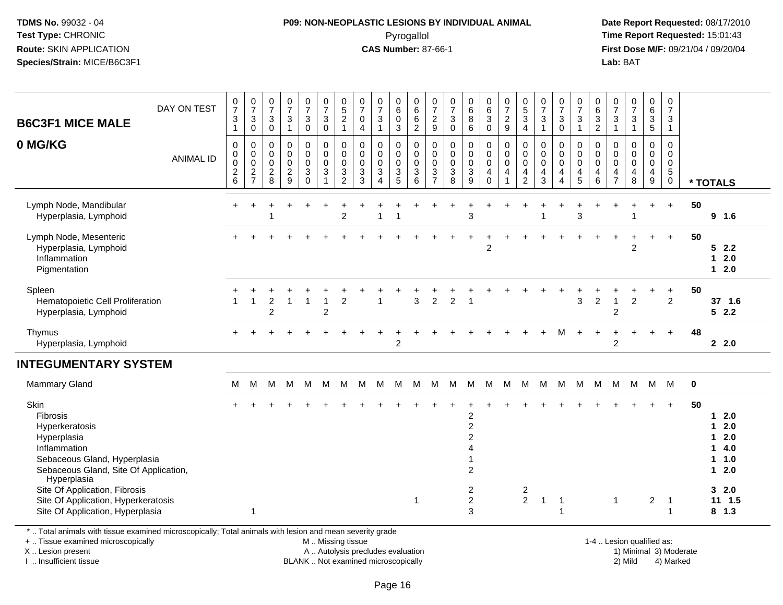# **P09: NON-NEOPLASTIC LESIONS BY INDIVIDUAL ANIMAL**Pyrogallol **Time Report Requested:** 15:01:43

 **Date Report Requested:** 08/17/2010 **First Dose M/F:** 09/21/04 / 09/20/04<br>**Lab:** BAT **Lab:** BAT

| <b>B6C3F1 MICE MALE</b><br>0 MG/KG                                                                                                                        | DAY ON TEST      | $\frac{0}{7}$<br>$\mathbf{3}$<br>$\overline{1}$<br>$\boldsymbol{0}$<br>$\mathbf 0$ | $\frac{0}{7}$<br>$\mathbf{3}$<br>$\pmb{0}$<br>0<br>0 | $\frac{0}{7}$<br>3<br>$\mathbf 0$<br>0<br>$\mathbf 0$ | $\frac{0}{7}$<br>$\mathbf{3}$<br>$\mathbf{1}$<br>$\pmb{0}$<br>0 | $\frac{0}{7}$<br>$\mathbf{3}$<br>$\mathsf{O}\xspace$<br>$\mathbf 0$<br>0 | $\frac{0}{7}$<br>$\mathbf 3$<br>$\mathbf 0$<br>$\pmb{0}$<br>$\mathbf 0$ | $\frac{0}{5}$<br>$\overline{c}$<br>$\mathbf{1}$<br>0<br>$\mathbf 0$ | $\frac{0}{7}$<br>$\mathbf 0$<br>$\overline{\mathbf{4}}$<br>$\pmb{0}$<br>$\mathbf 0$ | $\frac{0}{7}$<br>3<br>$\mathbf{1}$<br>0<br>0 | $_6^0$<br>0<br>3<br>0<br>0 | $\begin{matrix} 0 \\ 6 \\ 6 \end{matrix}$<br>$\sqrt{2}$<br>$\pmb{0}$<br>$\mathsf 0$ | $\frac{0}{7}$<br>$\frac{2}{9}$<br>$\boldsymbol{0}$<br>$\mathbf 0$ | $\frac{0}{7}$<br>$\ensuremath{\mathsf{3}}$<br>$\pmb{0}$<br>0<br>$\pmb{0}$ | $_{6}^{\rm 0}$<br>$\bf 8$<br>$\,6\,$<br>0<br>$\pmb{0}$                    | $\begin{array}{c} 0 \\ 6 \end{array}$<br>$\mathbf{3}$<br>$\mathsf 0$<br>$\pmb{0}$<br>$\ddot{\mathbf{0}}$ | $\frac{0}{7}$<br>$\overline{2}$<br>9<br>$\pmb{0}$<br>$\mathsf{O}\xspace$ | $\begin{array}{c} 0 \\ 5 \\ 3 \end{array}$<br>$\overline{4}$<br>0<br>0 | $\frac{0}{7}$<br>$\ensuremath{\mathsf{3}}$<br>$\mathbf{1}$<br>$\pmb{0}$<br>$\mathbf 0$ | $\frac{0}{7}$<br>$\sqrt{3}$<br>$\mathsf{O}\xspace$<br>0<br>0 | $\frac{0}{7}$<br>$\sqrt{3}$<br>$\mathbf{1}$<br>$\pmb{0}$<br>$\ddot{\mathbf{0}}$ | $_{6}^{\rm 0}$<br>3<br>$\overline{c}$<br>0<br>0 | $\frac{0}{7}$<br>$\mathbf{3}$<br>$\overline{1}$<br>$\mathbf 0$<br>$\pmb{0}$ | $\frac{0}{7}$<br>$\mathbf{3}$<br>$\mathbf{1}$<br>$\pmb{0}$<br>$\mathbf 0$ | $_{6}^{\rm 0}$<br>$\frac{3}{5}$<br>0<br>0 | 0<br>$\overline{7}$<br>3<br>$\mathbf{1}$<br>$\mathbf 0$<br>$\mathbf 0$ |    |                                                                                 |
|-----------------------------------------------------------------------------------------------------------------------------------------------------------|------------------|------------------------------------------------------------------------------------|------------------------------------------------------|-------------------------------------------------------|-----------------------------------------------------------------|--------------------------------------------------------------------------|-------------------------------------------------------------------------|---------------------------------------------------------------------|-------------------------------------------------------------------------------------|----------------------------------------------|----------------------------|-------------------------------------------------------------------------------------|-------------------------------------------------------------------|---------------------------------------------------------------------------|---------------------------------------------------------------------------|----------------------------------------------------------------------------------------------------------|--------------------------------------------------------------------------|------------------------------------------------------------------------|----------------------------------------------------------------------------------------|--------------------------------------------------------------|---------------------------------------------------------------------------------|-------------------------------------------------|-----------------------------------------------------------------------------|---------------------------------------------------------------------------|-------------------------------------------|------------------------------------------------------------------------|----|---------------------------------------------------------------------------------|
|                                                                                                                                                           | <b>ANIMAL ID</b> | $\pmb{0}$<br>$\boldsymbol{2}$<br>6                                                 | 0<br>$\boldsymbol{2}$<br>$\overline{7}$              | 0<br>$\overline{c}$<br>8                              | 0<br>$\overline{c}$<br>9                                        | 0<br>3<br>$\mathbf 0$                                                    | $\mathbf 0$<br>$\mathbf{3}$<br>$\overline{1}$                           | $\mathbf 0$<br>$\mathbf{3}$<br>$\overline{2}$                       | $\mathbf 0$<br>$\mathbf{3}$<br>3                                                    | 0<br>3<br>$\overline{4}$                     | 0<br>3<br>5                | 0<br>$\mathbf{3}$<br>6                                                              | $\mathbf 0$<br>$\sqrt{3}$<br>$\overline{7}$                       | 0<br>$\sqrt{3}$<br>8                                                      | 0<br>$\mathbf{3}$<br>9                                                    | 0<br>$\overline{4}$<br>$\mathbf 0$                                                                       | 0<br>$\overline{4}$<br>1                                                 | 0<br>4<br>$\overline{2}$                                               | $\pmb{0}$<br>$\overline{4}$<br>3                                                       | 0<br>$\overline{4}$<br>$\overline{4}$                        | $\mathbf 0$<br>$\overline{4}$<br>5                                              | 0<br>4<br>6                                     | $\mathsf{O}\xspace$<br>4<br>$\overline{7}$                                  | $\mathsf 0$<br>$\overline{\mathbf{4}}$<br>8                               | 0<br>$\overline{\mathbf{4}}$<br>9         | $\mathbf 0$<br>$\,$ 5 $\,$<br>$\mathbf 0$                              |    | * TOTALS                                                                        |
| Lymph Node, Mandibular<br>Hyperplasia, Lymphoid                                                                                                           |                  |                                                                                    |                                                      |                                                       |                                                                 |                                                                          |                                                                         | $\overline{2}$                                                      |                                                                                     |                                              |                            |                                                                                     |                                                                   |                                                                           | 3                                                                         |                                                                                                          |                                                                          |                                                                        |                                                                                        |                                                              | 3                                                                               |                                                 |                                                                             |                                                                           |                                           | $+$                                                                    | 50 | 9 1.6                                                                           |
| Lymph Node, Mesenteric<br>Hyperplasia, Lymphoid<br>Inflammation<br>Pigmentation                                                                           |                  |                                                                                    |                                                      |                                                       |                                                                 |                                                                          |                                                                         |                                                                     |                                                                                     |                                              |                            |                                                                                     |                                                                   |                                                                           |                                                                           | $\overline{2}$                                                                                           |                                                                          |                                                                        |                                                                                        |                                                              |                                                                                 |                                                 |                                                                             | $\overline{2}$                                                            |                                           | $\ddot{}$                                                              | 50 | 52.2<br>2.0<br>2.0<br>$\mathbf{1}$                                              |
| Spleen<br>Hematopoietic Cell Proliferation<br>Hyperplasia, Lymphoid                                                                                       |                  |                                                                                    | 1                                                    | 2<br>$\overline{c}$                                   |                                                                 |                                                                          | $\overline{1}$<br>$\overline{c}$                                        | $\overline{2}$                                                      |                                                                                     | -1                                           |                            | 3                                                                                   | $\overline{2}$                                                    | $\overline{2}$                                                            | -1                                                                        |                                                                                                          |                                                                          |                                                                        |                                                                                        |                                                              | 3                                                                               | $\overline{c}$                                  | $\overline{1}$<br>$\overline{2}$                                            | $\overline{2}$                                                            |                                           | $\ddot{}$<br>$\overline{c}$                                            | 50 | 37 1.6<br>52.2                                                                  |
| Thymus<br>Hyperplasia, Lymphoid                                                                                                                           |                  |                                                                                    |                                                      |                                                       |                                                                 |                                                                          |                                                                         |                                                                     |                                                                                     |                                              | $\overline{c}$             |                                                                                     |                                                                   |                                                                           |                                                                           |                                                                                                          |                                                                          |                                                                        |                                                                                        | M                                                            |                                                                                 |                                                 | $\overline{2}$                                                              |                                                                           |                                           | $\ddot{}$                                                              | 48 | 2.0                                                                             |
| <b>INTEGUMENTARY SYSTEM</b>                                                                                                                               |                  |                                                                                    |                                                      |                                                       |                                                                 |                                                                          |                                                                         |                                                                     |                                                                                     |                                              |                            |                                                                                     |                                                                   |                                                                           |                                                                           |                                                                                                          |                                                                          |                                                                        |                                                                                        |                                                              |                                                                                 |                                                 |                                                                             |                                                                           |                                           |                                                                        |    |                                                                                 |
| <b>Mammary Gland</b>                                                                                                                                      |                  | M                                                                                  | м                                                    | м                                                     | м                                                               | м                                                                        | м                                                                       | м                                                                   | M                                                                                   | M                                            | М                          | М                                                                                   | м                                                                 | м                                                                         | M                                                                         | M                                                                                                        | м                                                                        | M                                                                      | м                                                                                      | м                                                            | M                                                                               | м                                               | м                                                                           | м                                                                         | M                                         | M                                                                      | 0  |                                                                                 |
| Skin<br>Fibrosis<br>Hyperkeratosis<br>Hyperplasia<br>Inflammation<br>Sebaceous Gland, Hyperplasia<br>Sebaceous Gland, Site Of Application,<br>Hyperplasia |                  |                                                                                    |                                                      |                                                       |                                                                 |                                                                          |                                                                         |                                                                     |                                                                                     |                                              |                            |                                                                                     |                                                                   |                                                                           | $\overline{c}$<br>$\overline{a}$<br>$\overline{c}$<br>4<br>$\overline{c}$ |                                                                                                          |                                                                          |                                                                        |                                                                                        |                                                              |                                                                                 |                                                 |                                                                             |                                                                           |                                           |                                                                        | 50 | 2.0<br>2.0<br>2.0<br>1<br>4.0<br>1<br>$\mathbf 1$<br>1.0<br>2.0<br>$\mathbf{1}$ |
| Site Of Application, Fibrosis<br>Site Of Application, Hyperkeratosis<br>Site Of Application, Hyperplasia                                                  |                  |                                                                                    | 1                                                    |                                                       |                                                                 |                                                                          |                                                                         |                                                                     |                                                                                     |                                              |                            | -1                                                                                  |                                                                   |                                                                           | 2<br>$\overline{c}$<br>3                                                  |                                                                                                          |                                                                          | $\overline{c}$<br>$\overline{2}$                                       | $\overline{1}$                                                                         | -1                                                           |                                                                                 |                                                 | $\mathbf{1}$                                                                |                                                                           | $\overline{2}$                            | $\mathbf 1$<br>1                                                       |    | 32.0<br>$11 \t1.5$<br>$8$ 1.3                                                   |

\* .. Total animals with tissue examined microscopically; Total animals with lesion and mean severity grade

+ .. Tissue examined microscopically

X .. Lesion present

I .. Insufficient tissue

M .. Missing tissue

A .. Autolysis precludes evaluation

BLANK .. Not examined microscopically 2) Mild 4) Marked

1-4 .. Lesion qualified as:<br>1) Minimal 3) Moderate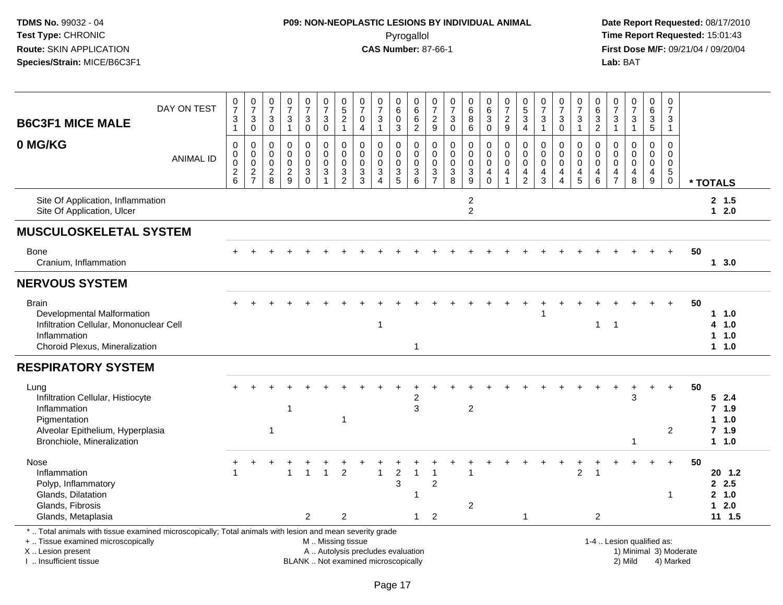# **P09: NON-NEOPLASTIC LESIONS BY INDIVIDUAL ANIMAL**Pyrogallol **Time Report Requested:** 15:01:43

 **Date Report Requested:** 08/17/2010 **First Dose M/F:** 09/21/04 / 09/20/04<br>Lab: BAT **Lab:** BAT

| <b>B6C3F1 MICE MALE</b>                                                                                                                                             | DAY ON TEST      | $\boldsymbol{0}$<br>$\overline{7}$<br>3<br>$\mathbf{1}$ | $\frac{0}{7}$<br>$\mathbf{3}$<br>$\mathbf 0$             | 0<br>$\overline{7}$<br>3<br>$\mathbf 0$ | $\frac{0}{7}$<br>$\mathbf{3}$<br>$\mathbf{1}$    | $\frac{0}{7}$<br>$\mathbf{3}$<br>$\overline{0}$                           | $\frac{0}{7}$<br>$\mathbf{3}$<br>$\mathbf 0$           | $0,52$<br>1                                          | 0<br>$\overline{7}$<br>$\mathbf 0$<br>$\overline{4}$              | 0<br>$\overline{7}$<br>$\sqrt{3}$<br>$\overline{1}$                                   | 0<br>$\,6$<br>$\mathbf 0$<br>3                                  | 0<br>$\,6$<br>$\,6$<br>$\overline{2}$ | $\boldsymbol{0}$<br>$\overline{7}$<br>$\frac{2}{9}$      | 0<br>$\overline{7}$<br>3<br>$\mathsf 0$                 | $\begin{array}{c} 0 \\ 6 \end{array}$<br>8<br>6                             | 0<br>$\frac{6}{3}$<br>$\mathbf 0$                            | $\frac{0}{7}$<br>$\overline{2}$<br>9      | $\begin{array}{c} 0 \\ 5 \\ 3 \end{array}$<br>$\overline{4}$ | $\frac{0}{7}$<br>$\sqrt{3}$<br>$\mathbf{1}$ | $\frac{0}{7}$<br>$\ensuremath{\mathsf{3}}$<br>$\mathbf 0$                   | 0<br>$\overline{7}$<br>$\sqrt{3}$<br>$\overline{1}$                      | 0<br>$\,6\,$<br>$\sqrt{3}$<br>$\overline{2}$     | 0<br>$\overline{7}$<br>$\mathbf{3}$<br>$\overline{1}$                      | $\frac{0}{7}$<br>$\ensuremath{\mathsf{3}}$<br>$\mathbf{1}$                | 0<br>6<br>3<br>$\overline{5}$                                             | 0<br>$\overline{7}$<br>3<br>$\mathbf{1}$                     |                        |                                                 |
|---------------------------------------------------------------------------------------------------------------------------------------------------------------------|------------------|---------------------------------------------------------|----------------------------------------------------------|-----------------------------------------|--------------------------------------------------|---------------------------------------------------------------------------|--------------------------------------------------------|------------------------------------------------------|-------------------------------------------------------------------|---------------------------------------------------------------------------------------|-----------------------------------------------------------------|---------------------------------------|----------------------------------------------------------|---------------------------------------------------------|-----------------------------------------------------------------------------|--------------------------------------------------------------|-------------------------------------------|--------------------------------------------------------------|---------------------------------------------|-----------------------------------------------------------------------------|--------------------------------------------------------------------------|--------------------------------------------------|----------------------------------------------------------------------------|---------------------------------------------------------------------------|---------------------------------------------------------------------------|--------------------------------------------------------------|------------------------|-------------------------------------------------|
| 0 MG/KG                                                                                                                                                             | <b>ANIMAL ID</b> | 0<br>0<br>$\pmb{0}$<br>$\frac{2}{6}$                    | 0<br>$\mathbf 0$<br>$\ddot{\mathbf{0}}$<br>$\frac{2}{7}$ | 0<br>0<br>0<br>$_{\rm 8}^2$             | 0<br>$\mathbf 0$<br>$\mathbf 0$<br>$\frac{2}{9}$ | 0<br>$\mathbf 0$<br>$\pmb{0}$<br>$\ensuremath{\mathsf{3}}$<br>$\mathbf 0$ | 0<br>0<br>$\mathbf 0$<br>$\mathbf{3}$                  | $\pmb{0}$<br>$\pmb{0}$<br>$\pmb{0}$<br>$\frac{3}{2}$ | 0<br>$\mathbf 0$<br>$\mathbf 0$<br>$\ensuremath{\mathsf{3}}$<br>3 | $\mathbf 0$<br>$\mathbf 0$<br>$\mathbf 0$<br>$\mathfrak{Z}$<br>$\boldsymbol{\Lambda}$ | 0<br>0<br>$\mathsf{O}\xspace$<br>$\ensuremath{\mathsf{3}}$<br>5 | 0<br>0<br>$\mathbf 0$<br>3<br>6       | $\mathbf 0$<br>$\pmb{0}$<br>$\mathbf 0$<br>$\frac{3}{7}$ | $\mathbf 0$<br>0<br>0<br>$\ensuremath{\mathsf{3}}$<br>8 | $\mathbf 0$<br>$\mathbf 0$<br>$\mathbf 0$<br>$\ensuremath{\mathsf{3}}$<br>9 | 0<br>0<br>$\pmb{0}$<br>$\begin{array}{c} 4 \\ 0 \end{array}$ | $\mathbf 0$<br>0<br>$\mathsf 0$<br>4<br>1 | 0<br>0<br>$\pmb{0}$<br>$\frac{4}{2}$                         | 0<br>0<br>0<br>$\overline{4}$<br>3          | $\mathbf 0$<br>$\mathbf 0$<br>$\pmb{0}$<br>$\overline{4}$<br>$\overline{4}$ | 0<br>$\mathbf 0$<br>$\mathbf 0$<br>$\begin{array}{c} 4 \\ 5 \end{array}$ | $\mathbf 0$<br>$\Omega$<br>$\mathbf 0$<br>4<br>6 | $\mathbf 0$<br>$\Omega$<br>$\mathbf 0$<br>$\overline{4}$<br>$\overline{7}$ | $\mathbf 0$<br>$\mathbf 0$<br>$\mathbf 0$<br>$\overline{\mathbf{4}}$<br>8 | $\mathbf 0$<br>$\mathbf 0$<br>$\mathbf 0$<br>$\overline{\mathbf{4}}$<br>9 | $\mathbf 0$<br>0<br>$\mathbf 0$<br>$\sqrt{5}$<br>$\mathbf 0$ |                        | * TOTALS                                        |
| Site Of Application, Inflammation<br>Site Of Application, Ulcer                                                                                                     |                  |                                                         |                                                          |                                         |                                                  |                                                                           |                                                        |                                                      |                                                                   |                                                                                       |                                                                 |                                       |                                                          |                                                         | $\overline{c}$<br>$\overline{2}$                                            |                                                              |                                           |                                                              |                                             |                                                                             |                                                                          |                                                  |                                                                            |                                                                           |                                                                           |                                                              |                        | 2, 1.5<br>$12.0$                                |
| <b>MUSCULOSKELETAL SYSTEM</b>                                                                                                                                       |                  |                                                         |                                                          |                                         |                                                  |                                                                           |                                                        |                                                      |                                                                   |                                                                                       |                                                                 |                                       |                                                          |                                                         |                                                                             |                                                              |                                           |                                                              |                                             |                                                                             |                                                                          |                                                  |                                                                            |                                                                           |                                                                           |                                                              |                        |                                                 |
| <b>Bone</b><br>Cranium, Inflammation                                                                                                                                |                  |                                                         |                                                          |                                         |                                                  |                                                                           |                                                        |                                                      |                                                                   |                                                                                       |                                                                 |                                       |                                                          |                                                         |                                                                             |                                                              |                                           |                                                              |                                             |                                                                             |                                                                          |                                                  |                                                                            |                                                                           |                                                                           |                                                              | 50                     | $1 \quad 3.0$                                   |
| <b>NERVOUS SYSTEM</b>                                                                                                                                               |                  |                                                         |                                                          |                                         |                                                  |                                                                           |                                                        |                                                      |                                                                   |                                                                                       |                                                                 |                                       |                                                          |                                                         |                                                                             |                                                              |                                           |                                                              |                                             |                                                                             |                                                                          |                                                  |                                                                            |                                                                           |                                                                           |                                                              |                        |                                                 |
| <b>Brain</b><br>Developmental Malformation<br>Infiltration Cellular, Mononuclear Cell<br>Inflammation<br>Choroid Plexus, Mineralization                             |                  |                                                         |                                                          |                                         |                                                  |                                                                           |                                                        |                                                      |                                                                   | 1                                                                                     |                                                                 | 1                                     |                                                          |                                                         |                                                                             |                                                              |                                           |                                                              |                                             |                                                                             |                                                                          | $\mathbf{1}$                                     | $\overline{1}$                                                             |                                                                           |                                                                           |                                                              | 50                     | $1 1.0$<br>4 1.0<br>1 1.0<br>$1 1.0$            |
| <b>RESPIRATORY SYSTEM</b>                                                                                                                                           |                  |                                                         |                                                          |                                         |                                                  |                                                                           |                                                        |                                                      |                                                                   |                                                                                       |                                                                 |                                       |                                                          |                                                         |                                                                             |                                                              |                                           |                                                              |                                             |                                                                             |                                                                          |                                                  |                                                                            |                                                                           |                                                                           |                                                              |                        |                                                 |
| Lung<br>Infiltration Cellular, Histiocyte<br>Inflammation<br>Pigmentation<br>Alveolar Epithelium, Hyperplasia<br>Bronchiole, Mineralization                         |                  |                                                         |                                                          | $\mathbf 1$                             | -1                                               |                                                                           |                                                        | -1                                                   |                                                                   |                                                                                       |                                                                 | 2<br>3                                |                                                          |                                                         | $\overline{2}$                                                              |                                                              |                                           |                                                              |                                             |                                                                             |                                                                          |                                                  |                                                                            | 3<br>1                                                                    |                                                                           | $\ddot{}$<br>$\overline{2}$                                  | 50                     | 52.4<br>$7$ 1.9<br>1 1.0<br>$7$ 1.9<br>$1 1.0$  |
| Nose<br>Inflammation<br>Polyp, Inflammatory<br>Glands, Dilatation<br>Glands, Fibrosis<br>Glands, Metaplasia                                                         |                  |                                                         |                                                          |                                         |                                                  | -1<br>$\overline{2}$                                                      | $\mathbf{1}$                                           | $\overline{2}$<br>$\overline{2}$                     |                                                                   | -1                                                                                    | $\overline{c}$<br>3                                             | 1                                     | -1<br>$\overline{2}$<br>$\overline{2}$                   |                                                         | $\overline{c}$                                                              |                                                              |                                           | $\mathbf{1}$                                                 |                                             |                                                                             | $\overline{c}$                                                           | $\overline{\phantom{a}}$<br>2                    |                                                                            |                                                                           |                                                                           | $\ddot{}$                                                    | 50                     | $20$ 1.2<br>2.5<br>2, 1.0<br>$12.0$<br>$11$ 1.5 |
| *  Total animals with tissue examined microscopically; Total animals with lesion and mean severity grade<br>+  Tissue examined microscopically<br>X  Lesion present |                  |                                                         |                                                          |                                         |                                                  |                                                                           | M  Missing tissue<br>A  Autolysis precludes evaluation |                                                      |                                                                   |                                                                                       |                                                                 |                                       |                                                          |                                                         |                                                                             |                                                              |                                           |                                                              |                                             |                                                                             |                                                                          |                                                  |                                                                            | 1-4  Lesion qualified as:                                                 |                                                                           |                                                              | 1) Minimal 3) Moderate |                                                 |

I .. Insufficient tissue

BLANK .. Not examined microscopically 2) Mild 4) Marked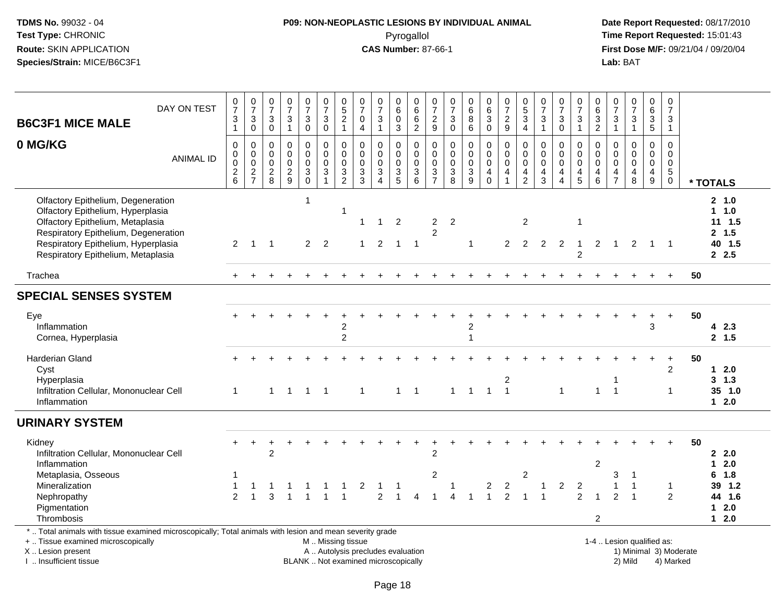# **P09: NON-NEOPLASTIC LESIONS BY INDIVIDUAL ANIMAL**Pyrogallol **Time Report Requested:** 15:01:43

 **Date Report Requested:** 08/17/2010 **First Dose M/F:** 09/21/04 / 09/20/04<br>Lab: BAT **Lab:** BAT

|                                                                                                                                                                                                                                  | DAY ON TEST                                                                                                                                                                                                                                                                                                                            | $\frac{0}{7}$                                                  | $\frac{0}{7}$                                             | $\frac{0}{7}$                                                      | $\frac{0}{7}$                                                 | $\begin{smallmatrix}0\\7\end{smallmatrix}$                                                    | $\frac{0}{7}$                                                                          | $\begin{matrix} 0 \\ 5 \end{matrix}$                                                         | $\frac{0}{7}$                                                                       | $\frac{0}{7}$                                                                                       | 0<br>$\overline{6}$                                                                 |                                                            | 0<br>$\overline{7}$                                                            | $\frac{0}{7}$                                                       | $_{6}^{\rm 0}$                                                            | $\begin{array}{c} 0 \\ 6 \end{array}$                                           | $\frac{0}{7}$                                                                         | $\begin{matrix} 0 \\ 5 \end{matrix}$                                      | $\frac{0}{7}$                                               | $\frac{0}{7}$                                            | $\frac{0}{7}$                                                                                 | 0<br>6                                                           | $\frac{0}{7}$                                                 | $\frac{0}{7}$                                                       |                                                                              | 0<br>$\overline{7}$                                          |    |                                                              |
|----------------------------------------------------------------------------------------------------------------------------------------------------------------------------------------------------------------------------------|----------------------------------------------------------------------------------------------------------------------------------------------------------------------------------------------------------------------------------------------------------------------------------------------------------------------------------------|----------------------------------------------------------------|-----------------------------------------------------------|--------------------------------------------------------------------|---------------------------------------------------------------|-----------------------------------------------------------------------------------------------|----------------------------------------------------------------------------------------|----------------------------------------------------------------------------------------------|-------------------------------------------------------------------------------------|-----------------------------------------------------------------------------------------------------|-------------------------------------------------------------------------------------|------------------------------------------------------------|--------------------------------------------------------------------------------|---------------------------------------------------------------------|---------------------------------------------------------------------------|---------------------------------------------------------------------------------|---------------------------------------------------------------------------------------|---------------------------------------------------------------------------|-------------------------------------------------------------|----------------------------------------------------------|-----------------------------------------------------------------------------------------------|------------------------------------------------------------------|---------------------------------------------------------------|---------------------------------------------------------------------|------------------------------------------------------------------------------|--------------------------------------------------------------|----|--------------------------------------------------------------|
| <b>B6C3F1 MICE MALE</b>                                                                                                                                                                                                          |                                                                                                                                                                                                                                                                                                                                        | $\ensuremath{\mathsf{3}}$<br>$\mathbf{1}$                      | $\ensuremath{\mathsf{3}}$<br>$\mathsf 0$                  | $\mathbf{3}$<br>$\mathbf 0$                                        | $\ensuremath{\mathsf{3}}$<br>$\overline{1}$                   | $\ensuremath{\mathsf{3}}$<br>$\mathbf 0$                                                      | $\ensuremath{\mathsf{3}}$<br>$\pmb{0}$                                                 | $\sqrt{2}$<br>$\mathbf{1}$                                                                   | $\mathbf 0$<br>$\overline{4}$                                                       | $\ensuremath{\mathsf{3}}$<br>$\mathbf{1}$                                                           | $\mathbf 0$<br>3                                                                    | $066$<br>062                                               | $\sqrt{2}$<br>$\boldsymbol{9}$                                                 | $\sqrt{3}$<br>$\mathbf 0$                                           | 8<br>$\,6$                                                                | $\overline{3}$<br>$\mathbf 0$                                                   | $\overline{2}$<br>9                                                                   | $\ensuremath{\mathsf{3}}$<br>$\overline{4}$                               | $\ensuremath{\mathsf{3}}$<br>$\mathbf{1}$                   | $\ensuremath{\mathsf{3}}$<br>$\pmb{0}$                   | $\ensuremath{\mathsf{3}}$<br>$\mathbf{1}$                                                     | $\sqrt{3}$<br>$\sqrt{2}$                                         | $\sqrt{3}$<br>$\mathbf{1}$                                    | $\mathbf{3}$<br>$\mathbf{1}$                                        | 0<br>6<br>3<br>5                                                             | 3<br>$\mathbf{1}$                                            |    |                                                              |
| 0 MG/KG                                                                                                                                                                                                                          | <b>ANIMAL ID</b>                                                                                                                                                                                                                                                                                                                       | $\pmb{0}$<br>$\pmb{0}$<br>$\ddot{\mathbf{0}}$<br>$\frac{2}{6}$ | $\pmb{0}$<br>$\pmb{0}$<br>$\overline{0}$<br>$\frac{2}{7}$ | $\mathbf 0$<br>$\boldsymbol{0}$<br>$\overline{0}$<br>$\frac{2}{8}$ | $\pmb{0}$<br>$\mathbf 0$<br>$\overline{0}$<br>$\sqrt{2}$<br>9 | $\mathsf 0$<br>$\mathbf 0$<br>$\ddot{\mathbf{0}}$<br>$\ensuremath{\mathsf{3}}$<br>$\mathbf 0$ | $\mathbf 0$<br>$\mathsf{O}\xspace$<br>$\overline{0}$<br>$\ensuremath{\mathsf{3}}$<br>1 | $\pmb{0}$<br>$\pmb{0}$<br>$\ddot{\mathbf{0}}$<br>$\ensuremath{\mathsf{3}}$<br>$\overline{2}$ | $\mathbf 0$<br>$\mathbf 0$<br>$\mathsf{O}\xspace$<br>$\ensuremath{\mathsf{3}}$<br>3 | $\pmb{0}$<br>$\pmb{0}$<br>$\ddot{\mathbf{0}}$<br>$\ensuremath{\mathsf{3}}$<br>$\boldsymbol{\Delta}$ | $\mathbf 0$<br>$\mathbf 0$<br>$\ddot{\mathbf{0}}$<br>$\ensuremath{\mathsf{3}}$<br>5 | $\boldsymbol{0}$<br>$\begin{matrix}0\\0\\3\\6\end{matrix}$ | $\mathbf 0$<br>0<br>$\mathbf 0$<br>$\ensuremath{\mathsf{3}}$<br>$\overline{7}$ | $\pmb{0}$<br>$\pmb{0}$<br>$\mathbf 0$<br>$\sqrt{3}$<br>$\mathbf{8}$ | 0<br>$\mathbf 0$<br>$\ddot{\mathbf{0}}$<br>$\ensuremath{\mathsf{3}}$<br>9 | $\pmb{0}$<br>$\overline{0}$ <sub>0</sub><br>$\overline{\mathbf{4}}$<br>$\Omega$ | $\mathsf 0$<br>$\overline{0}$ <sub>0</sub><br>$\overline{\mathbf{4}}$<br>$\mathbf{1}$ | 0<br>$\pmb{0}$<br>$\ddot{\mathbf{0}}$<br>$\overline{4}$<br>$\overline{2}$ | $\mathbf 0$<br>$\overline{0}$ <sub>0</sub><br>$\frac{4}{3}$ | 0<br>$\mathbf 0$<br>$\ddot{\mathbf{0}}$<br>$\frac{4}{4}$ | $\mathbf 0$<br>$\mathsf{O}\xspace$<br>$\overline{0}$<br>$\begin{array}{c} 4 \\ 5 \end{array}$ | $\mathbf 0$<br>$\mathbf 0$<br>$\mathbf 0$<br>$\overline{4}$<br>6 | $\mathbf 0$<br>$\mathbf 0$<br>$\overline{0}$<br>$\frac{4}{7}$ | $\mathsf{O}$<br>$\mathbf 0$<br>$\ddot{\mathbf{0}}$<br>$\frac{4}{8}$ | $\mathsf 0$<br>$\begin{smallmatrix} 0\\0 \end{smallmatrix}$<br>$\frac{4}{9}$ | $\mathbf 0$<br>0<br>$\mathbf 0$<br>$\sqrt{5}$<br>$\mathbf 0$ |    | * TOTALS                                                     |
| Olfactory Epithelium, Degeneration<br>Olfactory Epithelium, Hyperplasia<br>Olfactory Epithelium, Metaplasia<br>Respiratory Epithelium, Degeneration<br>Respiratory Epithelium, Hyperplasia<br>Respiratory Epithelium, Metaplasia |                                                                                                                                                                                                                                                                                                                                        | $\overline{2}$                                                 | $\mathbf{1}$                                              | $\overline{1}$                                                     |                                                               | $\mathbf{1}$<br>$\overline{2}$                                                                | $\overline{2}$                                                                         | $\mathbf{1}$                                                                                 | 1                                                                                   | $\overline{1}$<br>2                                                                                 | 2<br>$\overline{1}$                                                                 | $\overline{\phantom{0}}$                                   | $\overline{c}$<br>$\overline{2}$                                               | $\overline{2}$                                                      | $\mathbf 1$                                                               |                                                                                 | 2                                                                                     | $\overline{2}$<br>$\overline{2}$                                          | 2                                                           | 2                                                        | $\mathbf 1$<br>$\mathbf 1$<br>2                                                               | 2                                                                | $\overline{1}$                                                | 2                                                                   | $\mathbf{1}$                                                                 | $\overline{1}$                                               |    | 2, 1.0<br>$1 \t1.0$<br>$11 \t1.5$<br>2, 1.5<br>40 1.5<br>2.5 |
| Trachea                                                                                                                                                                                                                          |                                                                                                                                                                                                                                                                                                                                        |                                                                |                                                           |                                                                    |                                                               |                                                                                               |                                                                                        |                                                                                              |                                                                                     |                                                                                                     |                                                                                     |                                                            |                                                                                |                                                                     |                                                                           |                                                                                 |                                                                                       |                                                                           |                                                             |                                                          |                                                                                               |                                                                  |                                                               |                                                                     |                                                                              | $\overline{+}$                                               | 50 |                                                              |
| <b>SPECIAL SENSES SYSTEM</b>                                                                                                                                                                                                     |                                                                                                                                                                                                                                                                                                                                        |                                                                |                                                           |                                                                    |                                                               |                                                                                               |                                                                                        |                                                                                              |                                                                                     |                                                                                                     |                                                                                     |                                                            |                                                                                |                                                                     |                                                                           |                                                                                 |                                                                                       |                                                                           |                                                             |                                                          |                                                                                               |                                                                  |                                                               |                                                                     |                                                                              |                                                              |    |                                                              |
| Eye<br>Inflammation<br>Cornea, Hyperplasia                                                                                                                                                                                       |                                                                                                                                                                                                                                                                                                                                        |                                                                |                                                           |                                                                    |                                                               |                                                                                               |                                                                                        | $\overline{c}$<br>$\overline{2}$                                                             |                                                                                     |                                                                                                     |                                                                                     |                                                            |                                                                                |                                                                     | $\overline{2}$<br>1                                                       |                                                                                 |                                                                                       |                                                                           |                                                             |                                                          |                                                                                               |                                                                  |                                                               |                                                                     | 3                                                                            | $+$                                                          | 50 | 42.3<br>2, 1.5                                               |
| Harderian Gland<br>Cyst<br>Hyperplasia<br>Inflammation                                                                                                                                                                           | $\ddot{}$<br>$\overline{2}$<br>$\overline{c}$<br>1<br>$\overline{1}$<br>Infiltration Cellular, Mononuclear Cell<br>$\mathbf{1}$<br>$\overline{\phantom{a}}$<br>$1 \quad 1$<br>$1 \quad 1$<br>1<br>$\overline{1}$<br>$\overline{1}$<br>$\mathbf{1}$<br>$\overline{1}$<br>$\mathbf{1}$<br>$\mathbf{1}$<br>$\mathbf{1}$<br>$\overline{1}$ |                                                                |                                                           |                                                                    |                                                               |                                                                                               |                                                                                        |                                                                                              |                                                                                     |                                                                                                     |                                                                                     |                                                            |                                                                                |                                                                     |                                                                           | 50                                                                              | $1 \quad 2.0$<br>3, 1.3<br>35 1.0<br>$12.0$                                           |                                                                           |                                                             |                                                          |                                                                                               |                                                                  |                                                               |                                                                     |                                                                              |                                                              |    |                                                              |
| <b>URINARY SYSTEM</b>                                                                                                                                                                                                            |                                                                                                                                                                                                                                                                                                                                        |                                                                |                                                           |                                                                    |                                                               |                                                                                               |                                                                                        |                                                                                              |                                                                                     |                                                                                                     |                                                                                     |                                                            |                                                                                |                                                                     |                                                                           |                                                                                 |                                                                                       |                                                                           |                                                             |                                                          |                                                                                               |                                                                  |                                                               |                                                                     |                                                                              |                                                              |    |                                                              |
| Kidney<br>Infiltration Cellular, Mononuclear Cell<br>Inflammation                                                                                                                                                                |                                                                                                                                                                                                                                                                                                                                        |                                                                | $\ddot{}$                                                 | $\overline{c}$                                                     |                                                               |                                                                                               |                                                                                        |                                                                                              |                                                                                     |                                                                                                     |                                                                                     |                                                            | $\overline{2}$                                                                 |                                                                     |                                                                           |                                                                                 |                                                                                       |                                                                           |                                                             |                                                          |                                                                                               | $\overline{c}$                                                   |                                                               |                                                                     |                                                                              |                                                              | 50 | 2.0<br>2.0<br>$\mathbf 1$                                    |
| Metaplasia, Osseous<br>Mineralization<br>Nephropathy<br>Pigmentation<br>Thrombosis                                                                                                                                               |                                                                                                                                                                                                                                                                                                                                        | 1<br>$\overline{2}$                                            |                                                           | 3                                                                  |                                                               |                                                                                               |                                                                                        |                                                                                              | 2                                                                                   | -1<br>$\overline{2}$                                                                                |                                                                                     | Δ                                                          | $\overline{c}$                                                                 | 1                                                                   |                                                                           | $\overline{2}$                                                                  | $\overline{c}$<br>$\overline{2}$                                                      | $\overline{2}$<br>-1                                                      | $\overline{1}$                                              | $\overline{2}$                                           | $\overline{2}$<br>$\overline{2}$                                                              | 1<br>$\overline{c}$                                              | 3<br>2                                                        | $\overline{1}$<br>$\overline{1}$<br>$\overline{1}$                  |                                                                              | $\mathbf{1}$<br>2                                            |    | 6 1.8<br>39 1.2<br>44 1.6<br>$12.0$<br>$12.0$                |
| *  Total animals with tissue examined microscopically; Total animals with lesion and mean severity grade<br>+  Tissue examined microscopically                                                                                   |                                                                                                                                                                                                                                                                                                                                        |                                                                |                                                           |                                                                    |                                                               |                                                                                               |                                                                                        |                                                                                              | M  Missing tissue                                                                   |                                                                                                     |                                                                                     |                                                            |                                                                                |                                                                     |                                                                           |                                                                                 |                                                                                       |                                                                           |                                                             |                                                          |                                                                                               |                                                                  |                                                               | 1-4  Lesion qualified as:                                           |                                                                              |                                                              |    |                                                              |

X .. Lesion present

I .. Insufficient tissue

A .. Autolysis precludes evaluation and the service of the service of the service of the service of the service of the service of the service of the service of the service of the service of the service of the service of th BLANK .. Not examined microscopically and the state of the 2) Mild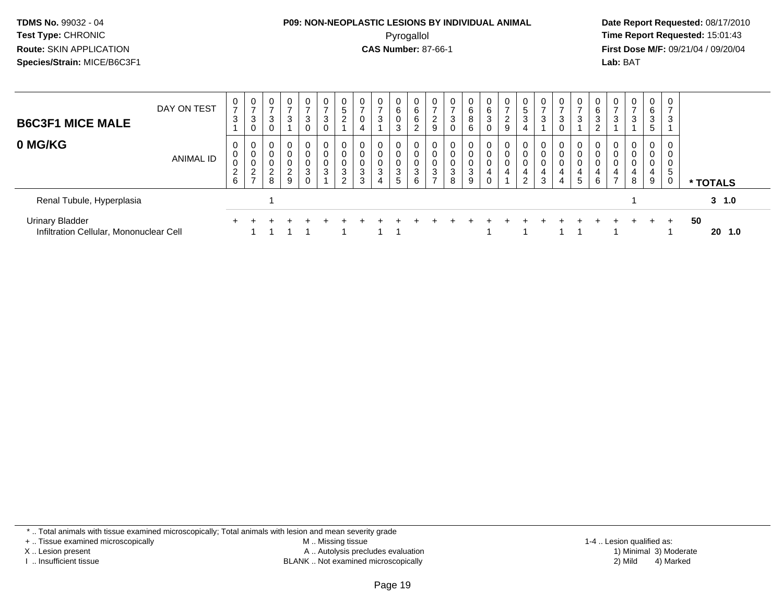# **P09: NON-NEOPLASTIC LESIONS BY INDIVIDUAL ANIMAL**Pyrogallol **Time Report Requested:** 15:01:43

 **Date Report Requested:** 08/17/2010 **First Dose M/F:** 09/21/04 / 09/20/04<br>**Lab:** BAT **Lab:** BAT

| <b>B6C3F1 MICE MALE</b>                                           | DAY ON TEST | 0<br>$\overline{ }$<br>3           | 0<br>-<br>3<br>0                    | $\overline{0}$<br>3                                                 | $\mathbf 0$<br>⇁<br>3             | 0<br>3<br>0      | 0<br>$\overline{ }$<br>3<br>0 | 0<br>5<br>$\overline{2}$ | 0<br>$\rightarrow$<br>0<br>4                         | ⇁<br>3 | $\overline{0}$<br>6<br>3 | U<br>6<br>6<br>$\epsilon$ | 0<br>$\overline{ }$<br>2<br>9                           | 0<br>$\overline{7}$<br>3<br>$\mathbf 0$ | $\mathbf{0}$<br>6<br>8<br>6 | 6<br>3      | 0<br>$\overline{ }$<br>ົ<br>$\epsilon$<br>9 | U<br>5<br>3<br>4 | 0<br>$\overline{ }$<br>3        | 0<br>$\overline{ }$<br>3<br>0 | U<br>3                      | 6<br>ົ<br>J | 0<br>3           | 0<br>3                | $\overline{0}$<br>6<br>$\mathbf{3}$<br>5 | $\mathbf 0$<br>$\overline{ }$<br>3 |    |           |  |
|-------------------------------------------------------------------|-------------|------------------------------------|-------------------------------------|---------------------------------------------------------------------|-----------------------------------|------------------|-------------------------------|--------------------------|------------------------------------------------------|--------|--------------------------|---------------------------|---------------------------------------------------------|-----------------------------------------|-----------------------------|-------------|---------------------------------------------|------------------|---------------------------------|-------------------------------|-----------------------------|-------------|------------------|-----------------------|------------------------------------------|------------------------------------|----|-----------|--|
| 0 MG/KG                                                           | ANIMAL ID   | 0<br>0<br>0<br>$\overline{c}$<br>6 | 0<br>0<br>0<br>റ<br>$\epsilon$<br>- | $\overline{0}$<br>$\mathbf 0$<br>$\mathbf 0$<br>$\overline{c}$<br>8 | 0<br>0<br>0<br>ົ<br>$\frac{2}{9}$ | 0<br>0<br>0<br>3 | 0<br>0<br>0<br>3              | 0<br>U<br>0<br>3<br>2    | 0<br>$\mathbf 0$<br>$\mathbf 0$<br>3<br>$\sim$<br>đ. | 3      | 0<br>3<br>5              | 0<br>U<br>0<br>3<br>6     | 0<br>$\mathbf 0$<br>0<br>$\mathbf{3}$<br>$\overline{ }$ | 0<br>0<br>0<br>$\sqrt{3}$<br>8          | 0<br>0<br>0<br>3<br>9       | 0<br>0<br>4 | $\mathbf 0$<br>0<br>0<br>4                  | 0<br>0<br>4<br>2 | 0<br>0<br>$\mathbf 0$<br>4<br>3 | 0<br>0<br>0<br>4<br>4         | 0<br>$\sim$<br>4<br>$\circ$ | 4<br>6      | 0<br>0<br>0<br>4 | 0<br>0<br>0<br>4<br>8 | 0<br>0<br>0<br>4<br>9                    | 0<br>0<br>0<br>-5<br>0             |    | * TOTALS  |  |
| Renal Tubule, Hyperplasia                                         |             |                                    |                                     |                                                                     |                                   |                  |                               |                          |                                                      |        |                          |                           |                                                         |                                         |                             |             |                                             |                  |                                 |                               |                             |             |                  |                       |                                          |                                    |    | $3 \t1.0$ |  |
| <b>Urinary Bladder</b><br>Infiltration Cellular, Mononuclear Cell |             |                                    |                                     |                                                                     |                                   |                  |                               |                          |                                                      |        |                          |                           |                                                         |                                         |                             |             |                                             |                  |                                 |                               |                             |             |                  |                       |                                          | $+$                                | 50 | 20<br>1.0 |  |

\* .. Total animals with tissue examined microscopically; Total animals with lesion and mean severity grade

+ .. Tissue examined microscopically

X .. Lesion present

I .. Insufficient tissue

 M .. Missing tissueA .. Autolysis precludes evaluation

BLANK .. Not examined microscopically 2) Mild 4) Marked

1-4 .. Lesion qualified as:<br>1) Minimal 3) Moderate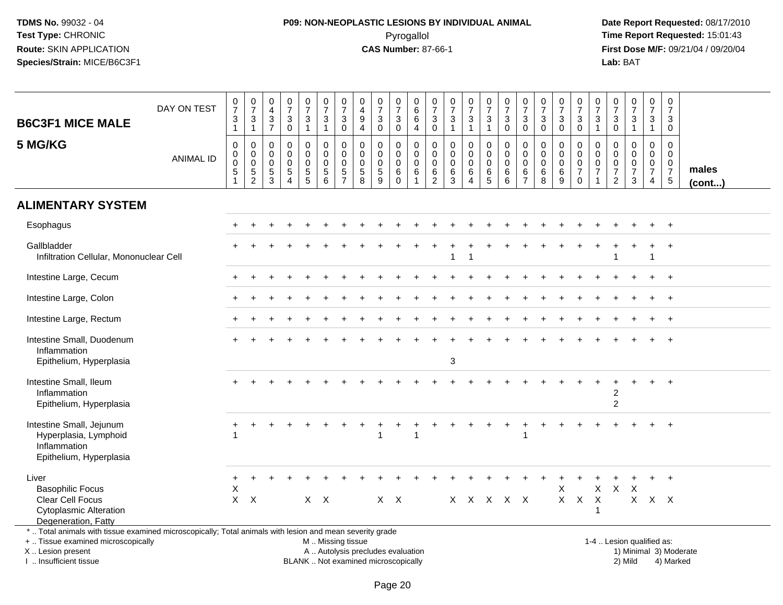# **P09: NON-NEOPLASTIC LESIONS BY INDIVIDUAL ANIMAL**Pyrogallol **Time Report Requested:** 15:01:43

 **Date Report Requested:** 08/17/2010 **First Dose M/F:** 09/21/04 / 09/20/04<br>Lab: BAT **Lab:** BAT

| <b>B6C3F1 MICE MALE</b><br>5 MG/KG                                                                                                                                  | DAY ON TEST<br><b>ANIMAL ID</b>                    | $\frac{0}{7}$<br>$\ensuremath{\mathsf{3}}$<br>$\mathbf{1}$<br>0<br>0<br>$\mathbf 0$ | $\begin{array}{c} 0 \\ 7 \end{array}$<br>$\frac{3}{1}$<br>$\pmb{0}$<br>$\pmb{0}$<br>$\pmb{0}$ | 0<br>$\overline{4}$<br>$\ensuremath{\mathsf{3}}$<br>$\overline{7}$<br>0<br>$\mathbf 0$<br>$\mathbf 0$ | $\frac{0}{7}$<br>$\sqrt{3}$<br>$\Omega$<br>$\mathbf 0$<br>$\mathbf 0$<br>$\mathbf 0$ | $\frac{0}{7}$<br>$\mathbf 3$<br>$\mathbf{1}$<br>0<br>$\mathbf 0$<br>$\mathbf 0$ | $\frac{0}{7}$<br>$\ensuremath{\mathsf{3}}$<br>$\overline{1}$<br>0<br>$\mathbf 0$<br>$\mathbf 0$ | $\frac{0}{7}$<br>$\ensuremath{\mathsf{3}}$<br>$\pmb{0}$<br>$\pmb{0}$<br>$\mathbf 0$<br>$\pmb{0}$ | $\mathbf 0$<br>$\overline{a}$<br>$\boldsymbol{9}$<br>$\overline{4}$<br>$\mathbf 0$<br>$\mathbf 0$<br>$\mathbf 0$ | $\begin{array}{c} 0 \\ 7 \end{array}$<br>$\sqrt{3}$<br>$\mathbf{0}$<br>0<br>$\mathbf 0$<br>$\mathbf 0$ | 0<br>$\overline{7}$<br>3<br>$\mathbf 0$<br>0<br>0<br>0 | $\mathbf 0$<br>6<br>6<br>$\overline{a}$<br>0<br>$\mathsf{O}$<br>$\mathbf 0$ | 0<br>$\overline{7}$<br>$\ensuremath{\mathsf{3}}$<br>$\mathsf{O}\xspace$<br>0<br>$\mathbf 0$<br>$\mathbf 0$ | $\begin{array}{c} 0 \\ 7 \end{array}$<br>$\ensuremath{\mathsf{3}}$<br>$\mathbf{1}$<br>$\mathbf 0$<br>$\mathbf 0$<br>$\mathbf 0$ | $\begin{array}{c} 0 \\ 7 \end{array}$<br>$\ensuremath{\mathsf{3}}$<br>$\mathbf{1}$<br>0<br>$\mathbf 0$<br>$\pmb{0}$ | $\begin{smallmatrix}0\\7\end{smallmatrix}$<br>$\mathbf{3}$<br>$\overline{1}$<br>0<br>$\mathbf 0$<br>$\mathbf 0$ | $\frac{0}{7}$<br>$\ensuremath{\mathsf{3}}$<br>$\Omega$<br>0<br>$\mathbf 0$<br>$\mathbf 0$ | $\mathbf 0$<br>$\overline{7}$<br>$\ensuremath{\mathsf{3}}$<br>$\mathbf 0$<br>0<br>$\mathbf 0$<br>$\mathbf 0$ | $\begin{array}{c} 0 \\ 7 \end{array}$<br>$\ensuremath{\mathsf{3}}$<br>$\mathbf 0$<br>$\mathbf 0$<br>$\mathbf 0$<br>$\mathbf 0$ | $\frac{0}{7}$<br>3<br>$\mathbf 0$<br>0<br>$\mathbf 0$<br>$\mathbf 0$ | $\begin{array}{c} 0 \\ 7 \end{array}$<br>$_{0}^{3}$<br>0<br>$\mathsf{O}$<br>$\mathsf{O}\xspace$ | $\begin{array}{c} 0 \\ 7 \end{array}$<br>$\sqrt{3}$<br>$\mathbf{1}$<br>0<br>$\mathbf 0$<br>$\pmb{0}$ | $\begin{array}{c} 0 \\ 7 \end{array}$<br>$_0^3$<br>0<br>$\mathbf 0$<br>$\mathbf 0$ | $\begin{array}{c} 0 \\ 7 \end{array}$<br>$\ensuremath{\mathsf{3}}$<br>$\overline{1}$<br>$\mathbf 0$<br>$\mathbf 0$<br>$\pmb{0}$ | $\frac{0}{7}$<br>3<br>$\mathbf{1}$<br>0<br>$\mathbf 0$<br>$\mathbf 0$ | $\begin{smallmatrix}0\\7\end{smallmatrix}$<br>$\sqrt{3}$<br>$\mathbf 0$<br>0<br>$\mathbf 0$<br>$\boldsymbol{0}$ | males        |
|---------------------------------------------------------------------------------------------------------------------------------------------------------------------|----------------------------------------------------|-------------------------------------------------------------------------------------|-----------------------------------------------------------------------------------------------|-------------------------------------------------------------------------------------------------------|--------------------------------------------------------------------------------------|---------------------------------------------------------------------------------|-------------------------------------------------------------------------------------------------|--------------------------------------------------------------------------------------------------|------------------------------------------------------------------------------------------------------------------|--------------------------------------------------------------------------------------------------------|--------------------------------------------------------|-----------------------------------------------------------------------------|------------------------------------------------------------------------------------------------------------|---------------------------------------------------------------------------------------------------------------------------------|---------------------------------------------------------------------------------------------------------------------|-----------------------------------------------------------------------------------------------------------------|-------------------------------------------------------------------------------------------|--------------------------------------------------------------------------------------------------------------|--------------------------------------------------------------------------------------------------------------------------------|----------------------------------------------------------------------|-------------------------------------------------------------------------------------------------|------------------------------------------------------------------------------------------------------|------------------------------------------------------------------------------------|---------------------------------------------------------------------------------------------------------------------------------|-----------------------------------------------------------------------|-----------------------------------------------------------------------------------------------------------------|--------------|
|                                                                                                                                                                     |                                                    | $5\,$                                                                               | $\frac{5}{2}$                                                                                 | $\sqrt{5}$<br>3                                                                                       | $\sqrt{5}$<br>$\boldsymbol{\Lambda}$                                                 | 5<br>5                                                                          | 5<br>6                                                                                          | $\,$ 5 $\,$<br>$\overline{7}$                                                                    | $\sqrt{5}$<br>8                                                                                                  | $\sqrt{5}$<br>9                                                                                        | $\,6\,$<br>$\Omega$                                    | 6<br>$\overline{1}$                                                         | 6<br>$\overline{2}$                                                                                        | $\,6\,$<br>3                                                                                                                    | $\,6\,$<br>$\overline{4}$                                                                                           | 6<br>$\sqrt{5}$                                                                                                 | 6<br>6                                                                                    | 6<br>$\overline{7}$                                                                                          | $\,6\,$<br>8                                                                                                                   | 6<br>9                                                               | $\overline{7}$<br>$\mathbf 0$                                                                   | $\overline{7}$                                                                                       | $\frac{7}{2}$                                                                      | $\overline{7}$<br>3                                                                                                             | $\overline{7}$<br>$\overline{4}$                                      | $\frac{7}{5}$                                                                                                   | $($ cont $)$ |
| <b>ALIMENTARY SYSTEM</b>                                                                                                                                            |                                                    |                                                                                     |                                                                                               |                                                                                                       |                                                                                      |                                                                                 |                                                                                                 |                                                                                                  |                                                                                                                  |                                                                                                        |                                                        |                                                                             |                                                                                                            |                                                                                                                                 |                                                                                                                     |                                                                                                                 |                                                                                           |                                                                                                              |                                                                                                                                |                                                                      |                                                                                                 |                                                                                                      |                                                                                    |                                                                                                                                 |                                                                       |                                                                                                                 |              |
| Esophagus                                                                                                                                                           |                                                    |                                                                                     |                                                                                               |                                                                                                       |                                                                                      |                                                                                 |                                                                                                 |                                                                                                  |                                                                                                                  |                                                                                                        |                                                        |                                                                             |                                                                                                            |                                                                                                                                 |                                                                                                                     |                                                                                                                 |                                                                                           |                                                                                                              |                                                                                                                                |                                                                      |                                                                                                 |                                                                                                      |                                                                                    |                                                                                                                                 |                                                                       | $+$                                                                                                             |              |
| Gallbladder<br>Infiltration Cellular, Mononuclear Cell                                                                                                              |                                                    |                                                                                     |                                                                                               |                                                                                                       |                                                                                      |                                                                                 |                                                                                                 |                                                                                                  |                                                                                                                  |                                                                                                        |                                                        |                                                                             |                                                                                                            | -1                                                                                                                              | $\overline{\mathbf{1}}$                                                                                             |                                                                                                                 |                                                                                           |                                                                                                              |                                                                                                                                |                                                                      |                                                                                                 |                                                                                                      | 1                                                                                  |                                                                                                                                 | $\mathbf{1}$                                                          |                                                                                                                 |              |
| Intestine Large, Cecum                                                                                                                                              |                                                    |                                                                                     |                                                                                               |                                                                                                       |                                                                                      |                                                                                 |                                                                                                 |                                                                                                  |                                                                                                                  |                                                                                                        |                                                        |                                                                             |                                                                                                            |                                                                                                                                 |                                                                                                                     |                                                                                                                 |                                                                                           |                                                                                                              |                                                                                                                                |                                                                      |                                                                                                 |                                                                                                      |                                                                                    |                                                                                                                                 |                                                                       |                                                                                                                 |              |
| Intestine Large, Colon                                                                                                                                              |                                                    |                                                                                     |                                                                                               |                                                                                                       |                                                                                      |                                                                                 |                                                                                                 |                                                                                                  |                                                                                                                  |                                                                                                        |                                                        |                                                                             |                                                                                                            |                                                                                                                                 |                                                                                                                     |                                                                                                                 |                                                                                           |                                                                                                              |                                                                                                                                |                                                                      |                                                                                                 |                                                                                                      |                                                                                    |                                                                                                                                 |                                                                       |                                                                                                                 |              |
| Intestine Large, Rectum                                                                                                                                             |                                                    |                                                                                     |                                                                                               |                                                                                                       |                                                                                      |                                                                                 |                                                                                                 |                                                                                                  |                                                                                                                  |                                                                                                        |                                                        |                                                                             |                                                                                                            |                                                                                                                                 |                                                                                                                     |                                                                                                                 |                                                                                           |                                                                                                              |                                                                                                                                |                                                                      |                                                                                                 |                                                                                                      |                                                                                    |                                                                                                                                 | $\ddot{}$                                                             | $\ddot{}$                                                                                                       |              |
| Intestine Small, Duodenum<br>Inflammation<br>Epithelium, Hyperplasia                                                                                                |                                                    |                                                                                     |                                                                                               |                                                                                                       |                                                                                      |                                                                                 |                                                                                                 |                                                                                                  |                                                                                                                  |                                                                                                        |                                                        |                                                                             |                                                                                                            | 3                                                                                                                               |                                                                                                                     |                                                                                                                 |                                                                                           |                                                                                                              |                                                                                                                                |                                                                      |                                                                                                 |                                                                                                      |                                                                                    |                                                                                                                                 |                                                                       |                                                                                                                 |              |
| Intestine Small, Ileum<br>Inflammation<br>Epithelium, Hyperplasia                                                                                                   | $\overline{+}$<br>2<br>$\overline{c}$<br>$\ddot{}$ |                                                                                     |                                                                                               |                                                                                                       |                                                                                      |                                                                                 |                                                                                                 |                                                                                                  |                                                                                                                  |                                                                                                        |                                                        |                                                                             |                                                                                                            |                                                                                                                                 |                                                                                                                     |                                                                                                                 |                                                                                           |                                                                                                              |                                                                                                                                |                                                                      |                                                                                                 |                                                                                                      |                                                                                    |                                                                                                                                 |                                                                       |                                                                                                                 |              |
| Intestine Small, Jejunum<br>Hyperplasia, Lymphoid<br>Inflammation<br>Epithelium, Hyperplasia                                                                        |                                                    |                                                                                     |                                                                                               |                                                                                                       |                                                                                      |                                                                                 |                                                                                                 |                                                                                                  |                                                                                                                  | 1                                                                                                      |                                                        |                                                                             |                                                                                                            |                                                                                                                                 |                                                                                                                     |                                                                                                                 |                                                                                           | 1                                                                                                            |                                                                                                                                |                                                                      |                                                                                                 |                                                                                                      |                                                                                    |                                                                                                                                 |                                                                       |                                                                                                                 |              |
| Liver<br><b>Basophilic Focus</b><br>Clear Cell Focus<br><b>Cytoplasmic Alteration</b><br>Degeneration, Fatty                                                        |                                                    | $\ddot{}$<br>X<br>X                                                                 | $\mathsf{X}$                                                                                  |                                                                                                       |                                                                                      |                                                                                 | $X$ $X$                                                                                         |                                                                                                  |                                                                                                                  | $X$ $X$                                                                                                |                                                        |                                                                             |                                                                                                            |                                                                                                                                 |                                                                                                                     |                                                                                                                 | x x x x x                                                                                 |                                                                                                              |                                                                                                                                | X<br>$\mathsf{X}$                                                    | $\mathsf{X}$                                                                                    | X<br>$\mathsf{X}$<br>1                                                                               | $\mathsf{X}$                                                                       | $\times$<br>$\mathsf{X}$                                                                                                        | $X$ $X$                                                               |                                                                                                                 |              |
| *  Total animals with tissue examined microscopically; Total animals with lesion and mean severity grade<br>+  Tissue examined microscopically<br>X  Lesion present |                                                    |                                                                                     |                                                                                               |                                                                                                       |                                                                                      |                                                                                 | M  Missing tissue                                                                               |                                                                                                  |                                                                                                                  | A  Autolysis precludes evaluation                                                                      |                                                        |                                                                             |                                                                                                            |                                                                                                                                 |                                                                                                                     |                                                                                                                 |                                                                                           |                                                                                                              |                                                                                                                                |                                                                      |                                                                                                 |                                                                                                      |                                                                                    | 1-4  Lesion qualified as:                                                                                                       |                                                                       | 1) Minimal 3) Moderate                                                                                          |              |

I .. Insufficient tissue

BLANK .. Not examined microscopically 2) Mild 4) Marked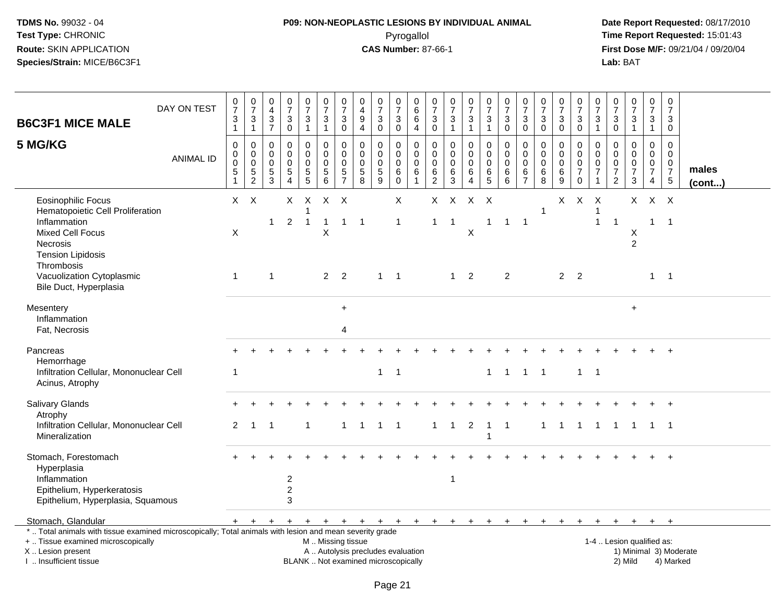# **P09: NON-NEOPLASTIC LESIONS BY INDIVIDUAL ANIMAL**Pyrogallol **Time Report Requested:** 15:01:43

| <b>B6C3F1 MICE MALE</b>                                                                                                                                                                                             | DAY ON TEST                                                                                                                                                                                                                                                                                                                                                                                                                  | $\frac{0}{7}$<br>$\mathfrak{S}$<br>$\mathbf{1}$   | $\frac{0}{7}$<br>$\sqrt{3}$<br>$\mathbf{1}$              | $\pmb{0}$<br>$\overline{4}$<br>$\mathbf{3}$<br>$\overline{7}$ | $\frac{0}{7}$<br>$\sqrt{3}$<br>$\mathbf 0$                                  | $\begin{array}{c} 0 \\ 7 \end{array}$<br>$\ensuremath{\mathsf{3}}$<br>$\mathbf{1}$ | $\begin{array}{c} 0 \\ 7 \end{array}$<br>$\mathbf{3}$<br>$\mathbf{1}$ | $\frac{0}{7}$<br>3<br>$\mathbf 0$      | 0<br>$\overline{4}$<br>9<br>$\overline{4}$ | $\frac{0}{7}$<br>$\mathbf{3}$<br>0                                       | $\begin{array}{c} 0 \\ 7 \end{array}$<br>$\sqrt{3}$<br>$\mathbf 0$        | $\mathbf 0$<br>$\,6\,$<br>6<br>$\overline{4}$                      | $\,0\,$<br>$\overline{7}$<br>$\sqrt{3}$<br>$\mathbf 0$           | $\frac{0}{7}$<br>3<br>$\mathbf{1}$            | $\frac{0}{7}$<br>$\sqrt{3}$<br>$\mathbf{1}$             | $\frac{0}{7}$<br>3<br>$\mathbf{1}$          | $\begin{array}{c} 0 \\ 7 \end{array}$<br>$\mathfrak{Z}$<br>$\mathbf 0$ | $\begin{array}{c} 0 \\ 7 \end{array}$<br>$\sqrt{3}$<br>$\mathbf 0$     | $\begin{array}{c} 0 \\ 7 \end{array}$<br>$\sqrt{3}$<br>$\mathbf 0$ | $\begin{array}{c} 0 \\ 7 \end{array}$<br>$\sqrt{3}$<br>$\mathbf 0$     | $\frac{0}{7}$<br>3<br>0                                       | $\begin{array}{c} 0 \\ 7 \end{array}$<br>$\mathbf{3}$<br>$\mathbf{1}$ | $\frac{0}{7}$<br>$\mathbf{3}$<br>$\mathbf 0$                               | $\frac{0}{7}$<br>$\sqrt{3}$<br>$\mathbf{1}$                            | $\begin{smallmatrix}0\\7\end{smallmatrix}$<br>$\mathbf{3}$<br>$\mathbf{1}$ | $\mathbf 0$<br>$\overline{7}$<br>3<br>$\mathbf 0$                       |                       |
|---------------------------------------------------------------------------------------------------------------------------------------------------------------------------------------------------------------------|------------------------------------------------------------------------------------------------------------------------------------------------------------------------------------------------------------------------------------------------------------------------------------------------------------------------------------------------------------------------------------------------------------------------------|---------------------------------------------------|----------------------------------------------------------|---------------------------------------------------------------|-----------------------------------------------------------------------------|------------------------------------------------------------------------------------|-----------------------------------------------------------------------|----------------------------------------|--------------------------------------------|--------------------------------------------------------------------------|---------------------------------------------------------------------------|--------------------------------------------------------------------|------------------------------------------------------------------|-----------------------------------------------|---------------------------------------------------------|---------------------------------------------|------------------------------------------------------------------------|------------------------------------------------------------------------|--------------------------------------------------------------------|------------------------------------------------------------------------|---------------------------------------------------------------|-----------------------------------------------------------------------|----------------------------------------------------------------------------|------------------------------------------------------------------------|----------------------------------------------------------------------------|-------------------------------------------------------------------------|-----------------------|
| 5 MG/KG                                                                                                                                                                                                             | <b>ANIMAL ID</b>                                                                                                                                                                                                                                                                                                                                                                                                             | $\mathbf 0$<br>$\pmb{0}$<br>0<br>$\overline{5}$ 1 | $\mathbf 0$<br>$\pmb{0}$<br>$\mathbf 0$<br>$\frac{5}{2}$ | $\mathbf 0$<br>$\mathbf 0$<br>$\mathbf 0$<br>$\frac{5}{3}$    | $\Omega$<br>$\mathbf 0$<br>$\Omega$<br>$\sqrt{5}$<br>$\boldsymbol{\Lambda}$ | 0<br>$\mathbf 0$<br>$\mathbf 0$<br>$\begin{array}{c} 5 \\ 5 \end{array}$           | $\mathbf 0$<br>$\mathsf 0$<br>$\mathbf 0$<br>$\mathbf 5$<br>6         | 0<br>0<br>$\mathbf 0$<br>$\frac{5}{7}$ | 0<br>0<br>$\mathbf 0$<br>$\,$ 5 $\,$<br>8  | $\Omega$<br>$\mathbf 0$<br>0<br>$\sqrt{5}$<br>9                          | $\mathbf 0$<br>$\mathbf 0$<br>$\mathbf 0$<br>$\,6$<br>$\mathsf{O}\xspace$ | $\mathbf{0}$<br>$\mathbf 0$<br>$\Omega$<br>$\,6$<br>$\overline{1}$ | $\mathbf 0$<br>$\mathbf 0$<br>$\mathbf 0$<br>6<br>$\overline{2}$ | $\Omega$<br>$\mathbf 0$<br>$\Omega$<br>6<br>3 | 0<br>$\mathsf{O}$<br>$\mathbf 0$<br>6<br>$\overline{4}$ | $\Omega$<br>$\mathsf{O}$<br>0<br>$6\over 5$ | $\Omega$<br>$\pmb{0}$<br>$\mathbf 0$<br>$\,6$<br>6                     | $\mathbf 0$<br>$\mathbf 0$<br>$\mathbf 0$<br>$\,6\,$<br>$\overline{7}$ | $\Omega$<br>$\mathbf 0$<br>$\mathbf 0$<br>6<br>8                   | 0<br>$\mathsf{O}\xspace$<br>$\mathbf 0$<br>$\,6\,$<br>$\boldsymbol{9}$ | $\Omega$<br>0<br>$\mathbf 0$<br>$\overline{7}$<br>$\mathsf 0$ | 0<br>$\mathbf 0$<br>0<br>$\overline{7}$<br>$\mathbf{1}$               | $\Omega$<br>$\mathbf 0$<br>$\mathbf 0$<br>$\overline{7}$<br>$\overline{c}$ | $\Omega$<br>$\mathbf 0$<br>$\mathbf 0$<br>$\overline{7}$<br>$\sqrt{3}$ | $\Omega$<br>$\mathbf 0$<br>$\mathbf 0$<br>$\overline{7}$<br>$\overline{4}$ | $\Omega$<br>$\mathbf 0$<br>$\mathbf 0$<br>$\overline{7}$<br>$\,$ 5 $\,$ | males<br>$($ cont $)$ |
| <b>Eosinophilic Focus</b><br>Hematopoietic Cell Proliferation<br>Inflammation<br><b>Mixed Cell Focus</b><br><b>Necrosis</b><br><b>Tension Lipidosis</b><br>Thrombosis<br>Vacuolization Cytoplasmic                  |                                                                                                                                                                                                                                                                                                                                                                                                                              | X<br>$\mathbf{1}$                                 | $X$ $X$                                                  | $\mathbf 1$<br>$\overline{1}$                                 | $\mathsf{X}$<br>$\overline{2}$                                              | $\times$<br>1<br>$\overline{1}$                                                    | $X$ $X$<br>$\mathbf{1}$<br>X<br>2 <sub>2</sub>                        | $\mathbf{1}$                           | $\overline{1}$                             | $1 \quad 1$                                                              | X<br>$\mathbf{1}$                                                         |                                                                    | X<br>$\mathbf{1}$                                                | $\mathsf{X}$<br>-1                            | $\mathsf{X}$<br>X<br>$1 \quad 2$                        | $\mathsf{X}$<br>$\mathbf{1}$                | $\mathbf{1}$<br>$\overline{2}$                                         | $\overline{1}$                                                         | $\overline{1}$                                                     | 2 <sub>2</sub>                                                         | $X$ $X$                                                       | $\mathsf{X}$<br>1<br>$\mathbf{1}$                                     | $\overline{1}$                                                             | X.<br>Χ<br>$\overline{2}$                                              | $X$ $X$<br>$\mathbf{1}$<br>$\mathbf{1}$                                    | $\overline{\phantom{0}}$ 1<br>$\overline{1}$                            |                       |
| Bile Duct, Hyperplasia<br>Mesentery<br>Inflammation<br>Fat, Necrosis                                                                                                                                                |                                                                                                                                                                                                                                                                                                                                                                                                                              |                                                   |                                                          |                                                               |                                                                             |                                                                                    |                                                                       | $\ddot{}$<br>4                         |                                            |                                                                          |                                                                           |                                                                    |                                                                  |                                               |                                                         |                                             |                                                                        |                                                                        |                                                                    |                                                                        |                                                               |                                                                       |                                                                            | $+$                                                                    |                                                                            |                                                                         |                       |
| Pancreas<br>Hemorrhage<br>Acinus, Atrophy                                                                                                                                                                           |                                                                                                                                                                                                                                                                                                                                                                                                                              | -1                                                |                                                          |                                                               |                                                                             |                                                                                    |                                                                       |                                        |                                            | $\mathbf{1}$                                                             | $\overline{1}$                                                            |                                                                    |                                                                  |                                               |                                                         | $\mathbf{1}$                                | $\overline{1}$                                                         | $\mathbf{1}$                                                           | $\overline{\mathbf{1}}$                                            |                                                                        | $\mathbf{1}$                                                  | $\overline{1}$                                                        |                                                                            |                                                                        |                                                                            | $+$                                                                     |                       |
| Salivary Glands<br>Atrophy<br>Mineralization                                                                                                                                                                        | Infiltration Cellular, Mononuclear Cell<br>Infiltration Cellular, Mononuclear Cell<br>$\overline{2}$<br>$\overline{2}$<br>$\mathbf{1}$<br>$\overline{1}$<br>$\overline{\phantom{0}}$<br>1<br>$\mathbf{1}$<br>$\overline{1}$<br>$\mathbf{1}$<br>$\overline{1}$<br>$\mathbf{1}$<br>$\mathbf{1}$<br>$\mathbf{1}$<br>$\overline{1}$<br>$1 \quad 1$<br>-1<br>$\mathbf{1}$<br>$\mathbf{1}$<br>$\overline{1}$<br>-1<br>$\mathbf{1}$ |                                                   |                                                          |                                                               |                                                                             |                                                                                    |                                                                       |                                        |                                            |                                                                          |                                                                           |                                                                    |                                                                  |                                               |                                                         |                                             |                                                                        |                                                                        |                                                                    |                                                                        |                                                               |                                                                       |                                                                            |                                                                        |                                                                            |                                                                         |                       |
| Stomach, Forestomach<br>Hyperplasia<br>Inflammation<br>Epithelium, Hyperkeratosis<br>Epithelium, Hyperplasia, Squamous                                                                                              |                                                                                                                                                                                                                                                                                                                                                                                                                              |                                                   |                                                          |                                                               | $\boldsymbol{2}$<br>$\overline{c}$<br>3                                     |                                                                                    |                                                                       |                                        |                                            |                                                                          |                                                                           |                                                                    |                                                                  | 1                                             |                                                         |                                             |                                                                        |                                                                        |                                                                    |                                                                        |                                                               |                                                                       |                                                                            |                                                                        |                                                                            |                                                                         |                       |
| Stomach, Glandular<br>*  Total animals with tissue examined microscopically; Total animals with lesion and mean severity grade<br>+  Tissue examined microscopically<br>X  Lesion present<br>I  Insufficient tissue |                                                                                                                                                                                                                                                                                                                                                                                                                              |                                                   | $+$ $+$                                                  |                                                               |                                                                             |                                                                                    | M  Missing tissue                                                     |                                        |                                            | A  Autolysis precludes evaluation<br>BLANK  Not examined microscopically |                                                                           |                                                                    |                                                                  |                                               |                                                         |                                             | $+$                                                                    | $+$ $+$                                                                |                                                                    | $+$                                                                    | $+$                                                           | $+$                                                                   | $+$                                                                        | $+$<br>1-4  Lesion qualified as:<br>2) Mild                            | $+$ $+$                                                                    | 1) Minimal 3) Moderate<br>4) Marked                                     |                       |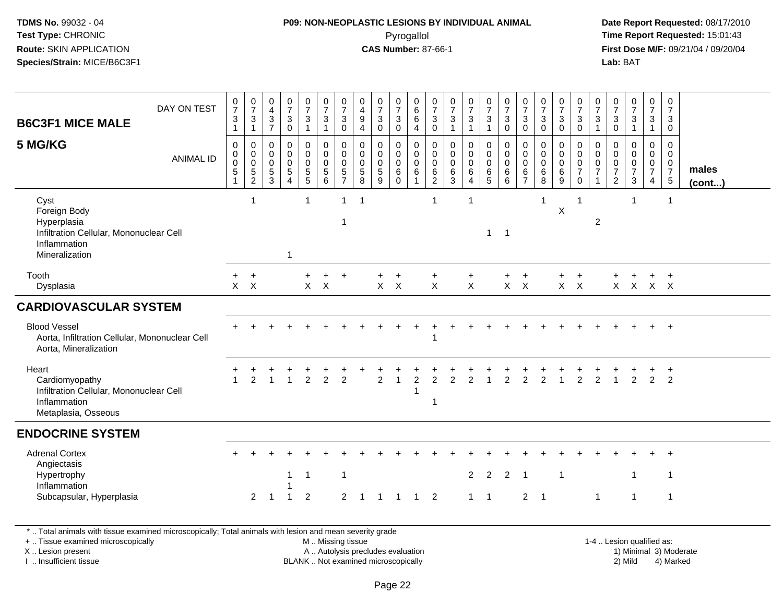# **P09: NON-NEOPLASTIC LESIONS BY INDIVIDUAL ANIMAL**Pyrogallol **Time Report Requested:** 15:01:43

 **Date Report Requested:** 08/17/2010 **First Dose M/F:** 09/21/04 / 09/20/04<br>**Lab:** BAT **Lab:** BAT

| <b>B6C3F1 MICE MALE</b>                                                                                          | DAY ON TEST      | $\frac{0}{7}$<br>$\ensuremath{\mathsf{3}}$<br>$\mathbf{1}$           | $\frac{0}{7}$<br>$\ensuremath{\mathsf{3}}$<br>$\mathbf{1}$ | $\mathbf 0$<br>$\overline{4}$<br>$\sqrt{3}$<br>$\overline{7}$ | $\frac{0}{7}$<br>$\mathbf{3}$<br>$\mathbf 0$                              | $\frac{0}{7}$<br>3<br>1                                                 | $\frac{0}{7}$<br>$\mathbf{3}$<br>$\mathbf{1}$                                | $\frac{0}{7}$<br>$\mathbf{3}$<br>$\mathbf 0$               | 0<br>$\overline{\mathbf{4}}$<br>9<br>$\overline{4}$           | $\frac{0}{7}$<br>$\mathbf 3$<br>$\mathbf 0$                | $\frac{0}{7}$<br>$\mathsf 3$<br>$\mathbf 0$                | 0<br>$\,6\,$<br>$\,6\,$<br>4                                           | $\frac{0}{7}$<br>$\mathbf{3}$<br>$\mathsf{O}\xspace$       | $\frac{0}{7}$<br>$\ensuremath{\mathsf{3}}$<br>$\overline{1}$ | $\frac{0}{7}$<br>3                                     | $\begin{smallmatrix}0\\7\end{smallmatrix}$<br>$\mathbf{3}$<br>$\mathbf{1}$ | $\frac{0}{7}$<br>$\mathbf 3$<br>$\mathbf 0$               | $\frac{0}{7}$<br>$\mathbf{3}$<br>$\mathbf 0$                          | $\frac{0}{7}$<br>$\mathbf{3}$<br>$\mathsf 0$    | $\frac{0}{7}$<br>$\mathbf{3}$<br>$\mathbf 0$        | $\frac{0}{7}$<br>$\ensuremath{\mathsf{3}}$<br>$\mathsf 0$                | $\frac{0}{7}$<br>$\ensuremath{\mathsf{3}}$<br>$\mathbf{1}$  | 0<br>$\overline{7}$<br>$\mathbf{3}$<br>$\mathsf{O}\xspace$            | $\frac{0}{7}$<br>$\sqrt{3}$<br>$\mathbf{1}$                               | $\frac{0}{7}$<br>3<br>$\mathbf{1}$               | $\frac{0}{7}$<br>3<br>$\mathbf 0$                |                 |
|------------------------------------------------------------------------------------------------------------------|------------------|----------------------------------------------------------------------|------------------------------------------------------------|---------------------------------------------------------------|---------------------------------------------------------------------------|-------------------------------------------------------------------------|------------------------------------------------------------------------------|------------------------------------------------------------|---------------------------------------------------------------|------------------------------------------------------------|------------------------------------------------------------|------------------------------------------------------------------------|------------------------------------------------------------|--------------------------------------------------------------|--------------------------------------------------------|----------------------------------------------------------------------------|-----------------------------------------------------------|-----------------------------------------------------------------------|-------------------------------------------------|-----------------------------------------------------|--------------------------------------------------------------------------|-------------------------------------------------------------|-----------------------------------------------------------------------|---------------------------------------------------------------------------|--------------------------------------------------|--------------------------------------------------|-----------------|
| 5 MG/KG                                                                                                          | <b>ANIMAL ID</b> | $\pmb{0}$<br>$\pmb{0}$<br>$\pmb{0}$<br>$\,$ 5 $\,$<br>$\overline{1}$ | $\mathbf 0$<br>$\begin{matrix}0\\0\\5\\2\end{matrix}$      | 0<br>$\mathbf 0$<br>$\mathbf 0$<br>$\,$ 5 $\,$<br>3           | $\mathbf 0$<br>$\mathbf 0$<br>$\mathsf 0$<br>$\sqrt{5}$<br>$\overline{4}$ | $\boldsymbol{0}$<br>$\mathbf 0$<br>$\mathsf{O}\xspace$<br>$\frac{5}{5}$ | 0<br>$\mathsf{O}\xspace$<br>$\mathsf{O}\xspace$<br>$\overline{5}$<br>$\,6\,$ | $\mathbf 0$<br>$\mathsf 0$<br>$\mathbf 0$<br>$\frac{5}{7}$ | $\mathbf 0$<br>$\mathbf 0$<br>$\mathbf 0$<br>$\mathbf 5$<br>8 | $\mathbf 0$<br>$\pmb{0}$<br>$\mathbf 0$<br>$\sqrt{5}$<br>9 | 0<br>$\mathsf{O}$<br>$\mathbf 0$<br>$\,6\,$<br>$\mathbf 0$ | $\mathbf 0$<br>$\mathbf 0$<br>$\mathbf 0$<br>$\,6\,$<br>$\overline{1}$ | $\mathbf 0$<br>0<br>$\mathbf 0$<br>$\,6$<br>$\overline{2}$ | $\mathbf 0$<br>0<br>$\mathbf 0$<br>$\,6$<br>3                | 0<br>$\pmb{0}$<br>$\pmb{0}$<br>$\,6$<br>$\overline{4}$ | $\mathbf 0$<br>$\mathbf 0$<br>$\mathbf 0$<br>$6\over 5$                    | $\mathbf 0$<br>$\mathbf 0$<br>$\mathbf 0$<br>$\,6\,$<br>6 | $\mathbf 0$<br>$\boldsymbol{0}$<br>$\mathbf 0$<br>6<br>$\overline{7}$ | $\pmb{0}$<br>$\pmb{0}$<br>$\mathbf 0$<br>$^6_8$ | $\mathbf{0}$<br>$\mathsf{O}$<br>$\pmb{0}$<br>6<br>9 | 0<br>$\mathbf 0$<br>$\pmb{0}$<br>$\boldsymbol{7}$<br>$\mathsf{O}\xspace$ | $\mathbf 0$<br>$\mathbf 0$<br>$\mathbf 0$<br>$\overline{7}$ | 0<br>$\mathbf 0$<br>$\mathbf 0$<br>$\boldsymbol{7}$<br>$\overline{2}$ | $\mathbf 0$<br>$\mathbf 0$<br>$\pmb{0}$<br>$\overline{7}$<br>$\mathbf{3}$ | $\mathbf 0$<br>$\mathbf 0$<br>$\frac{0}{7}$<br>4 | $\mathbf 0$<br>0<br>$\mathbf 0$<br>$\frac{7}{5}$ | males<br>(cont) |
| Cyst<br>Foreign Body<br>Hyperplasia<br>Infiltration Cellular, Mononuclear Cell<br>Inflammation<br>Mineralization |                  |                                                                      | $\overline{1}$                                             |                                                               | $\mathbf{1}$                                                              | 1                                                                       |                                                                              | $\mathbf{1}$<br>1                                          |                                                               |                                                            |                                                            |                                                                        | $\mathbf{1}$                                               |                                                              | -1                                                     | $\mathbf{1}$                                                               | $\overline{1}$                                            |                                                                       | -1                                              | X                                                   | 1                                                                        | $\overline{2}$                                              |                                                                       | 1                                                                         |                                                  | -1                                               |                 |
| Tooth<br>Dysplasia                                                                                               |                  | $+$                                                                  | $\ddot{}$<br>$X \times X$                                  |                                                               |                                                                           | $\ddot{}$                                                               | +<br>$X \times X$                                                            | $+$                                                        |                                                               |                                                            | $\overline{+}$<br>$X \times X$                             |                                                                        | $\ddot{}$<br>$\mathsf{X}$                                  |                                                              | $\ddot{}$<br>$\mathsf{X}$                              |                                                                            | $\ddot{}$                                                 | $\ddot{}$<br>$X \times X$                                             |                                                 | $\pm$                                               | $\ddot{}$<br>$X \times X$                                                |                                                             |                                                                       | X X X X                                                                   |                                                  | $+$                                              |                 |
| <b>CARDIOVASCULAR SYSTEM</b>                                                                                     |                  |                                                                      |                                                            |                                                               |                                                                           |                                                                         |                                                                              |                                                            |                                                               |                                                            |                                                            |                                                                        |                                                            |                                                              |                                                        |                                                                            |                                                           |                                                                       |                                                 |                                                     |                                                                          |                                                             |                                                                       |                                                                           |                                                  |                                                  |                 |
| <b>Blood Vessel</b><br>Aorta, Infiltration Cellular, Mononuclear Cell<br>Aorta, Mineralization                   |                  |                                                                      |                                                            |                                                               |                                                                           |                                                                         |                                                                              |                                                            |                                                               |                                                            |                                                            |                                                                        |                                                            |                                                              |                                                        |                                                                            |                                                           |                                                                       |                                                 |                                                     |                                                                          |                                                             |                                                                       |                                                                           |                                                  | $\ddot{}$                                        |                 |
| Heart<br>Cardiomyopathy<br>Infiltration Cellular, Mononuclear Cell<br>Inflammation<br>Metaplasia, Osseous        |                  |                                                                      | 2                                                          |                                                               |                                                                           | $\overline{2}$                                                          | $\overline{2}$                                                               | $\overline{2}$                                             |                                                               | 2                                                          | -1                                                         | 2<br>1                                                                 | 2<br>$\mathbf{1}$                                          |                                                              | 2                                                      |                                                                            | 2                                                         | 2                                                                     |                                                 |                                                     | $\overline{2}$                                                           | $\overline{2}$                                              |                                                                       | 2                                                                         | $\overline{2}$                                   | $\ddot{}$<br>$\overline{2}$                      |                 |
| <b>ENDOCRINE SYSTEM</b>                                                                                          |                  |                                                                      |                                                            |                                                               |                                                                           |                                                                         |                                                                              |                                                            |                                                               |                                                            |                                                            |                                                                        |                                                            |                                                              |                                                        |                                                                            |                                                           |                                                                       |                                                 |                                                     |                                                                          |                                                             |                                                                       |                                                                           |                                                  |                                                  |                 |
| <b>Adrenal Cortex</b><br>Angiectasis<br>Hypertrophy<br>Inflammation                                              |                  |                                                                      |                                                            |                                                               | $\mathbf{1}$                                                              | $\mathbf 1$                                                             |                                                                              | $\mathbf{1}$                                               |                                                               |                                                            |                                                            |                                                                        |                                                            |                                                              | $\overline{2}$                                         | $\overline{2}$                                                             | $\overline{2}$                                            | $\overline{1}$                                                        |                                                 | $\overline{1}$                                      |                                                                          |                                                             |                                                                       | 1                                                                         |                                                  | -1                                               |                 |
| Subcapsular, Hyperplasia                                                                                         |                  |                                                                      | $\overline{2}$                                             |                                                               | 1                                                                         | $\boldsymbol{2}$                                                        |                                                                              | $\overline{2}$                                             |                                                               | -1                                                         | $\mathbf 1$                                                | 1                                                                      | $\overline{2}$                                             |                                                              | $\mathbf{1}$                                           | $\overline{1}$                                                             |                                                           | $\overline{c}$                                                        | $\overline{1}$                                  |                                                     |                                                                          | $\mathbf{1}$                                                |                                                                       | $\mathbf{1}$                                                              |                                                  | $\mathbf{1}$                                     |                 |
| *  Total animals with tissue examined microscopically; Total animals with lesion and mean severity grade         |                  |                                                                      |                                                            |                                                               |                                                                           |                                                                         |                                                                              |                                                            |                                                               |                                                            |                                                            |                                                                        |                                                            |                                                              |                                                        |                                                                            |                                                           |                                                                       |                                                 |                                                     |                                                                          |                                                             |                                                                       |                                                                           |                                                  |                                                  |                 |

+ .. Tissue examined microscopically

X .. Lesion present

I .. Insufficient tissue

M .. Missing tissue

A .. Autolysis precludes evaluation 1) Minimal 3 ... Autolysis precludes evaluation 1, and 30 ... (1) Minimal 3<br>1) Minimal 30 ... Autor microscopically 1990 ... (1) Minimal 30 ... (1) Minimal 30 ... (1) Minimal 30 ... (1) BLANK .. Not examined microscopically 2) Mild 4) Marked

1-4 .. Lesion qualified as: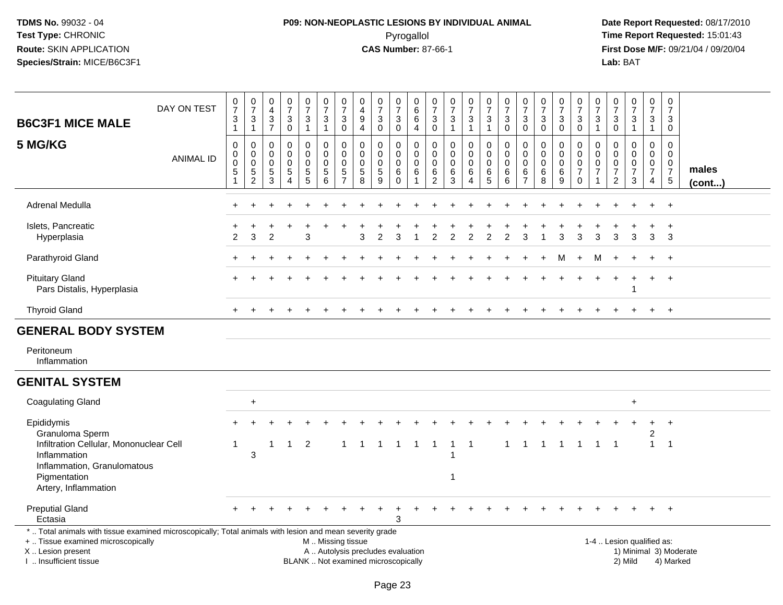# **P09: NON-NEOPLASTIC LESIONS BY INDIVIDUAL ANIMAL**Pyrogallol **Time Report Requested:** 15:01:43

| <b>B6C3F1 MICE MALE</b>                                                                                                                                                                       | DAY ON TEST      | $\begin{array}{c} 0 \\ 7 \end{array}$<br>$\ensuremath{\mathsf{3}}$<br>$\mathbf{1}$ | $\frac{0}{7}$<br>$\frac{3}{1}$                             | $\begin{array}{c} 0 \\ 4 \\ 3 \end{array}$<br>$\overline{7}$  | $\frac{0}{7}$<br>$\mathbf 3$<br>$\pmb{0}$        | $\begin{array}{c} 0 \\ 7 \end{array}$<br>$\ensuremath{\mathsf{3}}$<br>$\mathbf{1}$ | $\frac{0}{7}$<br>$\ensuremath{\mathsf{3}}$<br>$\mathbf{1}$                                    | $\frac{0}{7}$<br>$\ensuremath{\mathsf{3}}$<br>$\mathbf 0$                 | $\mathbf 0$<br>$\overline{4}$<br>$\boldsymbol{9}$<br>$\overline{4}$ | $\frac{0}{7}$<br>$\ensuremath{\mathsf{3}}$<br>$\mathbf 0$ | $\frac{0}{7}$<br>$\ensuremath{\mathsf{3}}$<br>$\mathsf{O}\xspace$ | $_{6}^{\rm 0}$<br>$\overline{6}$<br>$\overline{4}$ | $\begin{smallmatrix}0\\7\end{smallmatrix}$<br>$\ensuremath{\mathsf{3}}$<br>$\mathbf 0$ | $\frac{0}{7}$<br>$\ensuremath{\mathsf{3}}$<br>$\mathbf{1}$ | $\begin{smallmatrix} 0\\7 \end{smallmatrix}$<br>$\frac{3}{1}$                | $\frac{0}{7}$<br>$\frac{3}{1}$                          | $\frac{0}{7}$<br>$\sqrt{3}$<br>$\pmb{0}$                         | $\frac{0}{7}$<br>$\ensuremath{\mathsf{3}}$<br>$\mathbf 0$ | $\frac{0}{7}$<br>$\sqrt{3}$<br>$\mathbf 0$ | $\frac{0}{7}$<br>$\mathbf 3$<br>$\mathbf 0$                    | $\begin{array}{c} 0 \\ 7 \end{array}$<br>$_{0}^{3}$                        | $\frac{0}{7}$<br>3<br>$\mathbf{1}$                                      | $\frac{0}{7}$<br>$\ensuremath{\mathsf{3}}$<br>$\pmb{0}$                    | $\frac{0}{7}$<br>$\ensuremath{\mathsf{3}}$<br>$\mathbf{1}$ | $\begin{smallmatrix}0\\7\end{smallmatrix}$<br>$\ensuremath{\mathsf{3}}$<br>$\mathbf 1$ | $\begin{array}{c} 0 \\ 7 \end{array}$<br>$\mathbf{3}$<br>0      |                                     |
|-----------------------------------------------------------------------------------------------------------------------------------------------------------------------------------------------|------------------|------------------------------------------------------------------------------------|------------------------------------------------------------|---------------------------------------------------------------|--------------------------------------------------|------------------------------------------------------------------------------------|-----------------------------------------------------------------------------------------------|---------------------------------------------------------------------------|---------------------------------------------------------------------|-----------------------------------------------------------|-------------------------------------------------------------------|----------------------------------------------------|----------------------------------------------------------------------------------------|------------------------------------------------------------|------------------------------------------------------------------------------|---------------------------------------------------------|------------------------------------------------------------------|-----------------------------------------------------------|--------------------------------------------|----------------------------------------------------------------|----------------------------------------------------------------------------|-------------------------------------------------------------------------|----------------------------------------------------------------------------|------------------------------------------------------------|----------------------------------------------------------------------------------------|-----------------------------------------------------------------|-------------------------------------|
| 5 MG/KG                                                                                                                                                                                       | <b>ANIMAL ID</b> | $\mathsf 0$<br>$\pmb{0}$<br>$\mathbf 0$<br>$\,$ 5 $\,$<br>$\mathbf{1}$             | $\mathbf 0$<br>$\mathbf 0$<br>$\mathbf 0$<br>$\frac{5}{2}$ | $\mathbf 0$<br>$\overline{0}$<br>$\mathbf 0$<br>$\frac{5}{3}$ | 0<br>$\mathbf 0$<br>$\mathbf 0$<br>$\frac{5}{4}$ | 0<br>$\mathbf 0$<br>$\mathbf 0$<br>$\frac{5}{5}$                                   | $\mathbf 0$<br>$\pmb{0}$<br>$\mathbf 0$<br>$\frac{5}{6}$                                      | $\mathbf 0$<br>$\mathbf 0$<br>$\mathbf 0$<br>$\sqrt{5}$<br>$\overline{7}$ | $\mathbf 0$<br>$\mathbf 0$<br>$\mathbf 0$<br>$\frac{5}{8}$          | 0<br>$\mathbf 0$<br>$\mathbf 0$<br>$\frac{5}{9}$          | $\mathbf 0$<br>$\mathbf 0$<br>$\mathbf 0$<br>6<br>$\mathbf 0$     | 0<br>$\mathbf 0$<br>$\mathbf 0$<br>6               | $\mathbf 0$<br>$\mathbf 0$<br>$\mathbf 0$<br>$\frac{6}{2}$                             | $\mathbf 0$<br>$\mathbf 0$<br>$\mathbf 0$<br>$\frac{6}{3}$ | $\mathbf 0$<br>$\pmb{0}$<br>$\mathsf{O}\xspace$<br>$\,6\,$<br>$\overline{4}$ | $\mathbf 0$<br>$\mathbf 0$<br>$\mathbf 0$<br>$6\over 5$ | $\mathbf 0$<br>$\mathbf 0$<br>$\mathbf 0$<br>6<br>$6\phantom{1}$ | 0<br>$\mathbf 0$<br>$\mathbf 0$<br>$\frac{6}{7}$          | 0<br>$\mathbf 0$<br>0<br>$\frac{6}{8}$     | 0<br>$\mathbf 0$<br>$\mathbf 0$<br>$\,6\,$<br>$\boldsymbol{9}$ | $\mathbf 0$<br>$\mathbf 0$<br>$\mathbf 0$<br>$\overline{7}$<br>$\mathbf 0$ | 0<br>$\mathbf{0}$<br>$\Omega$<br>$\overline{7}$<br>$\blacktriangleleft$ | $\mathbf 0$<br>$\Omega$<br>$\mathbf 0$<br>$\overline{7}$<br>$\overline{2}$ | 0<br>$\mathbf 0$<br>$\pmb{0}$<br>$\overline{7}$<br>3       | $\mathbf 0$<br>$\mathbf 0$<br>0<br>$\overline{7}$<br>4                                 | $\mathbf 0$<br>$\mathbf 0$<br>0<br>$\overline{7}$<br>$\sqrt{5}$ | males<br>$($ cont $)$               |
| Adrenal Medulla                                                                                                                                                                               |                  |                                                                                    |                                                            |                                                               |                                                  |                                                                                    |                                                                                               |                                                                           |                                                                     |                                                           |                                                                   |                                                    |                                                                                        |                                                            |                                                                              |                                                         |                                                                  |                                                           |                                            |                                                                |                                                                            |                                                                         |                                                                            |                                                            |                                                                                        | $\ddot{+}$                                                      |                                     |
| Islets, Pancreatic<br>Hyperplasia                                                                                                                                                             |                  | 2                                                                                  | 3                                                          | $\mathfrak{p}$                                                |                                                  | 3                                                                                  |                                                                                               |                                                                           | 3                                                                   | $\overline{2}$                                            | 3                                                                 |                                                    | $\mathfrak{p}$                                                                         | $\overline{2}$                                             | $\overline{2}$                                                               | $\mathfrak{p}$                                          | $\mathfrak{D}$                                                   | 3                                                         |                                            | 3                                                              | 3                                                                          | 3                                                                       | 3                                                                          | 3                                                          | 3                                                                                      | $\ddot{}$<br>3                                                  |                                     |
| Parathyroid Gland                                                                                                                                                                             |                  |                                                                                    |                                                            |                                                               |                                                  |                                                                                    |                                                                                               |                                                                           |                                                                     |                                                           |                                                                   |                                                    |                                                                                        |                                                            |                                                                              |                                                         |                                                                  |                                                           |                                            | М                                                              |                                                                            | M                                                                       |                                                                            |                                                            | $+$                                                                                    | $+$                                                             |                                     |
| <b>Pituitary Gland</b><br>Pars Distalis, Hyperplasia                                                                                                                                          |                  |                                                                                    |                                                            |                                                               |                                                  |                                                                                    |                                                                                               |                                                                           |                                                                     |                                                           |                                                                   |                                                    |                                                                                        |                                                            |                                                                              |                                                         |                                                                  |                                                           |                                            |                                                                |                                                                            |                                                                         |                                                                            |                                                            | $+$                                                                                    | $+$                                                             |                                     |
| <b>Thyroid Gland</b>                                                                                                                                                                          |                  | $\ddot{}$                                                                          |                                                            |                                                               |                                                  |                                                                                    |                                                                                               |                                                                           |                                                                     |                                                           |                                                                   |                                                    |                                                                                        |                                                            |                                                                              |                                                         |                                                                  |                                                           | $\div$                                     | $\div$                                                         |                                                                            |                                                                         |                                                                            |                                                            | $+$                                                                                    | $+$                                                             |                                     |
| <b>GENERAL BODY SYSTEM</b>                                                                                                                                                                    |                  |                                                                                    |                                                            |                                                               |                                                  |                                                                                    |                                                                                               |                                                                           |                                                                     |                                                           |                                                                   |                                                    |                                                                                        |                                                            |                                                                              |                                                         |                                                                  |                                                           |                                            |                                                                |                                                                            |                                                                         |                                                                            |                                                            |                                                                                        |                                                                 |                                     |
| Peritoneum<br>Inflammation                                                                                                                                                                    |                  |                                                                                    |                                                            |                                                               |                                                  |                                                                                    |                                                                                               |                                                                           |                                                                     |                                                           |                                                                   |                                                    |                                                                                        |                                                            |                                                                              |                                                         |                                                                  |                                                           |                                            |                                                                |                                                                            |                                                                         |                                                                            |                                                            |                                                                                        |                                                                 |                                     |
| <b>GENITAL SYSTEM</b>                                                                                                                                                                         |                  |                                                                                    |                                                            |                                                               |                                                  |                                                                                    |                                                                                               |                                                                           |                                                                     |                                                           |                                                                   |                                                    |                                                                                        |                                                            |                                                                              |                                                         |                                                                  |                                                           |                                            |                                                                |                                                                            |                                                                         |                                                                            |                                                            |                                                                                        |                                                                 |                                     |
| <b>Coagulating Gland</b>                                                                                                                                                                      |                  |                                                                                    | $\ddot{}$                                                  |                                                               |                                                  |                                                                                    |                                                                                               |                                                                           |                                                                     |                                                           |                                                                   |                                                    |                                                                                        |                                                            |                                                                              |                                                         |                                                                  |                                                           |                                            |                                                                |                                                                            |                                                                         |                                                                            | $\ddot{}$                                                  |                                                                                        |                                                                 |                                     |
| Epididymis<br>Granuloma Sperm<br>Infiltration Cellular, Mononuclear Cell<br>Inflammation                                                                                                      |                  | $\mathbf 1$                                                                        | 3                                                          | 1                                                             | $\mathbf{1}$                                     | $\overline{2}$                                                                     |                                                                                               |                                                                           | $\overline{1}$                                                      | $\overline{1}$                                            | $\overline{1}$                                                    | $\mathbf{1}$                                       | $\mathbf{1}$                                                                           | $\overline{1}$                                             | $\overline{1}$                                                               |                                                         | 1                                                                | -1                                                        | $\overline{1}$                             | $\mathbf{1}$                                                   | $\overline{1}$                                                             | $\mathbf{1}$                                                            | -1                                                                         |                                                            | 2<br>$\mathbf{1}$                                                                      | $\ddot{}$<br>$\overline{1}$                                     |                                     |
| Inflammation, Granulomatous<br>Pigmentation<br>Artery, Inflammation                                                                                                                           |                  |                                                                                    |                                                            |                                                               |                                                  |                                                                                    |                                                                                               |                                                                           |                                                                     |                                                           |                                                                   |                                                    |                                                                                        | $\overline{1}$                                             |                                                                              |                                                         |                                                                  |                                                           |                                            |                                                                |                                                                            |                                                                         |                                                                            |                                                            |                                                                                        |                                                                 |                                     |
| <b>Preputial Gland</b><br>Ectasia                                                                                                                                                             |                  |                                                                                    |                                                            |                                                               |                                                  |                                                                                    |                                                                                               |                                                                           |                                                                     |                                                           | 3                                                                 |                                                    |                                                                                        |                                                            |                                                                              |                                                         |                                                                  |                                                           |                                            |                                                                |                                                                            |                                                                         |                                                                            |                                                            | $+$                                                                                    | $+$                                                             |                                     |
| *  Total animals with tissue examined microscopically; Total animals with lesion and mean severity grade<br>+  Tissue examined microscopically<br>X  Lesion present<br>I. Insufficient tissue |                  |                                                                                    |                                                            |                                                               |                                                  |                                                                                    | M  Missing tissue<br>A  Autolysis precludes evaluation<br>BLANK  Not examined microscopically |                                                                           |                                                                     |                                                           |                                                                   |                                                    |                                                                                        |                                                            |                                                                              |                                                         |                                                                  |                                                           |                                            |                                                                |                                                                            |                                                                         |                                                                            | 1-4  Lesion qualified as:<br>2) Mild                       |                                                                                        |                                                                 | 1) Minimal 3) Moderate<br>4) Marked |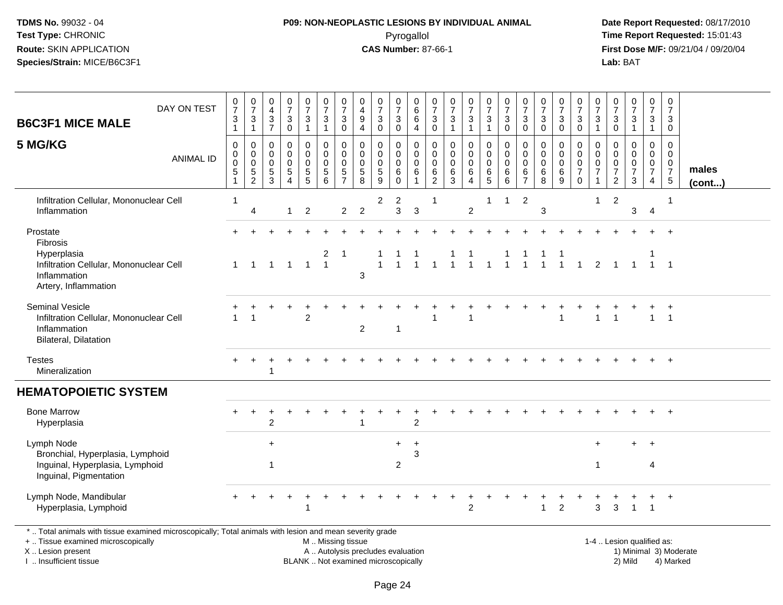# **P09: NON-NEOPLASTIC LESIONS BY INDIVIDUAL ANIMAL**Pyrogallol **Time Report Requested:** 15:01:43

 **Date Report Requested:** 08/17/2010 **First Dose M/F:** 09/21/04 / 09/20/04<br>Lab: BAT **Lab:** BAT

| DAY ON TEST<br><b>B6C3F1 MICE MALE</b>                                                                                 | $\frac{0}{7}$<br>$\sqrt{3}$<br>1 | $\frac{0}{7}$<br>$\ensuremath{\mathsf{3}}$<br>$\mathbf{1}$               | $\pmb{0}$<br>$\overline{4}$<br>$\sqrt{3}$<br>$\overline{7}$ | $\begin{array}{c} 0 \\ 7 \end{array}$<br>$\mathbf{3}$<br>$\mathbf 0$     | $\begin{array}{c} 0 \\ 7 \end{array}$<br>$\mathbf{3}$<br>$\mathbf{1}$ | $\frac{0}{7}$<br>$\mathbf{3}$<br>$\mathbf{1}$                | $\frac{0}{7}$<br>$\sqrt{3}$<br>$\mathbf 0$     | 0<br>$\overline{4}$<br>$\boldsymbol{9}$<br>$\overline{4}$ | $\begin{array}{c} 0 \\ 7 \end{array}$<br>$\sqrt{3}$<br>$\mathbf 0$ | $\pmb{0}$<br>$\overline{7}$<br>$\ensuremath{\mathsf{3}}$<br>$\mathbf 0$ | 0<br>$\,6$<br>6<br>$\overline{4}$                      | 0<br>$\overline{7}$<br>$\mathbf{3}$<br>$\mathbf 0$                  | $\mathbf 0$<br>$\overline{7}$<br>$\mathbf{3}$<br>$\mathbf{1}$ | $\frac{0}{7}$<br>3<br>$\mathbf{1}$                     | $\frac{0}{7}$<br>$\mathbf{3}$<br>$\mathbf{1}$                  | $\frac{0}{7}$<br>$\ensuremath{\mathsf{3}}$<br>$\mathbf 0$              | $\frac{0}{7}$<br>$\ensuremath{\mathsf{3}}$<br>$\mathbf 0$ | $\frac{0}{7}$<br>$\sqrt{3}$<br>$\mathbf{0}$ | $\begin{array}{c} 0 \\ 7 \end{array}$<br>$\sqrt{3}$<br>$\mathbf 0$ | $\frac{0}{7}$<br>$\mathbf{3}$<br>$\mathbf 0$                               | 0<br>$\overline{7}$<br>3<br>$\mathbf 1$ | 0<br>$\overline{7}$<br>3<br>$\mathbf 0$         | $\begin{smallmatrix}0\\7\end{smallmatrix}$<br>$\ensuremath{\mathsf{3}}$ | $\begin{array}{c} 0 \\ 7 \end{array}$<br>$\ensuremath{\mathsf{3}}$<br>$\mathbf{1}$ | $\mathsf 0$<br>$\overline{7}$<br>$\mathbf{3}$<br>$\mathbf 0$            |                       |
|------------------------------------------------------------------------------------------------------------------------|----------------------------------|--------------------------------------------------------------------------|-------------------------------------------------------------|--------------------------------------------------------------------------|-----------------------------------------------------------------------|--------------------------------------------------------------|------------------------------------------------|-----------------------------------------------------------|--------------------------------------------------------------------|-------------------------------------------------------------------------|--------------------------------------------------------|---------------------------------------------------------------------|---------------------------------------------------------------|--------------------------------------------------------|----------------------------------------------------------------|------------------------------------------------------------------------|-----------------------------------------------------------|---------------------------------------------|--------------------------------------------------------------------|----------------------------------------------------------------------------|-----------------------------------------|-------------------------------------------------|-------------------------------------------------------------------------|------------------------------------------------------------------------------------|-------------------------------------------------------------------------|-----------------------|
| 5 MG/KG<br><b>ANIMAL ID</b>                                                                                            | 0<br>0<br>0<br>5                 | 0<br>$\boldsymbol{0}$<br>$\mathbf 0$<br>$\overline{5}$<br>$\overline{2}$ | $\mathbf 0$<br>$\mathbf 0$<br>$\mathbf 0$<br>5<br>3         | $\mathbf 0$<br>$\mathbf 0$<br>$\mathbf 0$<br>5<br>$\boldsymbol{\Lambda}$ | 0<br>$\mathbf 0$<br>$\mathbf 0$<br>$\frac{5}{5}$                      | $\mathbf 0$<br>$\mathbf 0$<br>$\mathbf 0$<br>$\sqrt{5}$<br>6 | 0<br>$\pmb{0}$<br>$\mathbf 0$<br>$\frac{5}{7}$ | 0<br>0<br>$\mathbf 0$<br>5<br>8                           | $\mathbf 0$<br>0<br>$\mathbf 0$<br>$\sqrt{5}$<br>9                 | 0<br>0<br>$\mathbf 0$<br>6<br>$\mathbf{0}$                              | $\mathbf 0$<br>0<br>$\mathbf 0$<br>6<br>$\overline{1}$ | $\mathbf 0$<br>$\mathbf 0$<br>$\overline{0}$<br>6<br>$\overline{c}$ | $\mathbf 0$<br>0<br>$\mathbf 0$<br>6<br>3                     | 0<br>$\mathbf 0$<br>$\mathbf 0$<br>6<br>$\overline{4}$ | 0<br>$\mathbf 0$<br>$\ddot{\mathbf{0}}$<br>6<br>$\overline{5}$ | $\mathbf 0$<br>$\mathsf 0$<br>$\mathbf 0$<br>$\,6\,$<br>$6\phantom{1}$ | 0<br>0<br>$\mathbf 0$<br>$\,6$<br>$\overline{7}$          | 0<br>0<br>$\mathbf 0$<br>$\,6\,$<br>8       | 0<br>$\mathbf 0$<br>$\mathbf 0$<br>$6\phantom{1}6$<br>9            | $\mathbf 0$<br>$\mathbf 0$<br>$\mathbf 0$<br>$\overline{7}$<br>$\mathbf 0$ | 0<br>0<br>0<br>$\overline{7}$<br>1      | 0<br>0<br>0<br>$\overline{7}$<br>$\overline{2}$ | $\mathbf 0$<br>0<br>$\pmb{0}$<br>$\overline{7}$<br>3                    | 0<br>$\mathbf 0$<br>$\mathbf 0$<br>$\overline{7}$<br>4                             | 0<br>$\overline{0}$<br>$\mathbf{0}$<br>$\overline{7}$<br>$\overline{5}$ | males<br>$($ cont $)$ |
| Infiltration Cellular, Mononuclear Cell<br>Inflammation                                                                |                                  | $\overline{4}$                                                           |                                                             | $\overline{1}$                                                           | $\overline{2}$                                                        |                                                              | $\overline{2}$                                 | $\overline{2}$                                            | $\overline{2}$                                                     | $\overline{c}$<br>$\mathfrak{S}$                                        | $\mathbf{3}$                                           | 1                                                                   |                                                               | $\overline{2}$                                         | 1                                                              | $\mathbf{1}$                                                           | $\overline{2}$                                            | 3                                           |                                                                    |                                                                            | -1                                      | $\overline{2}$                                  | 3                                                                       | $\overline{4}$                                                                     | -1                                                                      |                       |
| Prostate<br>Fibrosis<br>Hyperplasia<br>Infiltration Cellular, Mononuclear Cell<br>Inflammation<br>Artery, Inflammation | $\mathbf 1$                      | $\blacktriangleleft$                                                     |                                                             | $1 \quad 1$                                                              | $\overline{1}$                                                        | 2<br>$\overline{1}$                                          | $\overline{1}$                                 | 3                                                         |                                                                    |                                                                         | $\overline{1}$                                         | $\mathbf{1}$                                                        |                                                               | $\overline{1}$                                         | $\mathbf{1}$                                                   | $\mathbf{1}$                                                           | $\mathbf{1}$                                              | $\overline{1}$                              |                                                                    | $1 \quad 1$                                                                |                                         | $2 \quad 1 \quad 1$                             |                                                                         | $1 \quad 1$                                                                        |                                                                         |                       |
| <b>Seminal Vesicle</b><br>Infiltration Cellular, Mononuclear Cell<br>Inflammation<br><b>Bilateral, Dilatation</b>      |                                  | $\overline{\mathbf{1}}$                                                  |                                                             |                                                                          | $\overline{2}$                                                        |                                                              |                                                | $\overline{2}$                                            |                                                                    | $\overline{1}$                                                          |                                                        |                                                                     |                                                               | 1                                                      |                                                                |                                                                        |                                                           |                                             | 1                                                                  |                                                                            | $\mathbf{1}$                            | 1                                               |                                                                         | $\mathbf{1}$                                                                       | $\overline{1}$                                                          |                       |
| <b>Testes</b><br>Mineralization                                                                                        |                                  |                                                                          |                                                             |                                                                          |                                                                       |                                                              |                                                |                                                           |                                                                    |                                                                         |                                                        |                                                                     |                                                               |                                                        |                                                                |                                                                        |                                                           |                                             |                                                                    |                                                                            |                                         |                                                 |                                                                         |                                                                                    | $+$                                                                     |                       |
| <b>HEMATOPOIETIC SYSTEM</b>                                                                                            |                                  |                                                                          |                                                             |                                                                          |                                                                       |                                                              |                                                |                                                           |                                                                    |                                                                         |                                                        |                                                                     |                                                               |                                                        |                                                                |                                                                        |                                                           |                                             |                                                                    |                                                                            |                                         |                                                 |                                                                         |                                                                                    |                                                                         |                       |
| <b>Bone Marrow</b><br>Hyperplasia                                                                                      | $+$                              | $\ddot{}$                                                                | $\overline{c}$                                              |                                                                          |                                                                       |                                                              |                                                |                                                           |                                                                    |                                                                         | $\overline{2}$                                         |                                                                     |                                                               |                                                        |                                                                |                                                                        |                                                           |                                             |                                                                    |                                                                            |                                         |                                                 |                                                                         |                                                                                    | $+$                                                                     |                       |
| Lymph Node<br>Bronchial, Hyperplasia, Lymphoid<br>Inguinal, Hyperplasia, Lymphoid<br>Inguinal, Pigmentation            |                                  |                                                                          | $\ddot{}$<br>$\mathbf 1$                                    |                                                                          |                                                                       |                                                              |                                                |                                                           |                                                                    | $+$<br>2                                                                | $\ddot{}$<br>3                                         |                                                                     |                                                               |                                                        |                                                                |                                                                        |                                                           |                                             |                                                                    |                                                                            | $\ddot{}$<br>$\overline{1}$             |                                                 | $\ddot{}$                                                               | $\ddot{}$<br>4                                                                     |                                                                         |                       |
| Lymph Node, Mandibular<br>Hyperplasia, Lymphoid                                                                        |                                  |                                                                          |                                                             |                                                                          | 1                                                                     |                                                              |                                                |                                                           |                                                                    |                                                                         |                                                        |                                                                     |                                                               | $\overline{2}$                                         |                                                                |                                                                        |                                                           | $\overline{1}$                              | $\overline{2}$                                                     |                                                                            | 3                                       | 3                                               | $\overline{1}$                                                          | +<br>$\overline{\mathbf{1}}$                                                       | $+$                                                                     |                       |

\* .. Total animals with tissue examined microscopically; Total animals with lesion and mean severity grade

+ .. Tissue examined microscopically

X .. Lesion present

I .. Insufficient tissue

M .. Missing tissue

BLANK .. Not examined microscopically

 1-4 .. Lesion qualified as: A .. Autolysis precludes evaluation 19 and 10 minimal 3) Moderate 1 and 20 minimal 3) Moderate 19 minimal 3) Moderat<br>19 and 19 and 19 and 19 and 19 and 19 and 19 and 19 and 19 and 19 and 19 and 19 and 19 and 19 and 19 and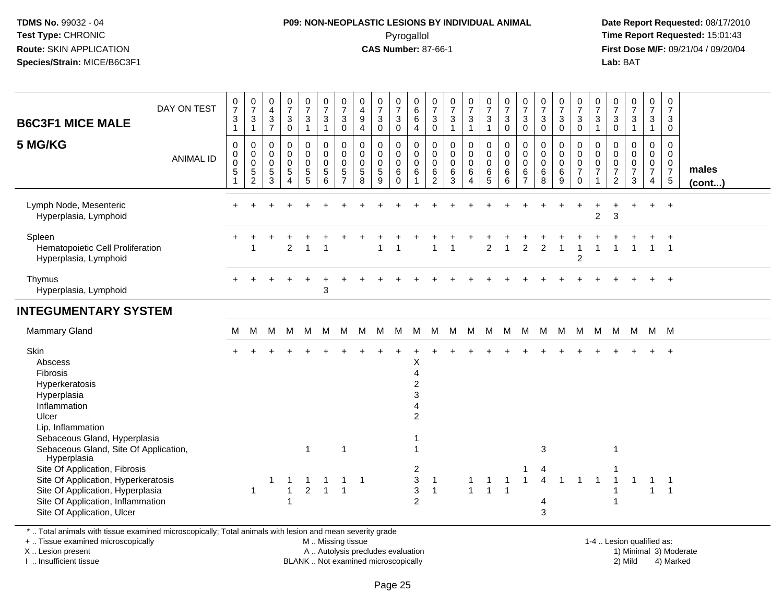# **P09: NON-NEOPLASTIC LESIONS BY INDIVIDUAL ANIMAL**Pyrogallol **Time Report Requested:** 15:01:43

 **Date Report Requested:** 08/17/2010 **First Dose M/F:** 09/21/04 / 09/20/04<br>**Lab:** BAT **Lab:** BAT

| DAY ON TEST<br><b>B6C3F1 MICE MALE</b><br>5 MG/KG<br><b>ANIMAL ID</b>                                                                                                                                                                                                                                                                                                             | $\frac{0}{7}$<br>$\sqrt{3}$<br>$\overline{1}$<br>$\mathbf 0$<br>0<br>$\pmb{0}$<br>$\sqrt{5}$ | $\frac{0}{7}$<br>$\mathbf{3}$<br>$\mathbf{1}$<br>$\mathbf 0$<br>$\mathbf 0$<br>$\pmb{0}$<br>$\sqrt{5}$<br>$\overline{c}$ | $_4^{\rm 0}$<br>$\mathbf{3}$<br>$\overline{7}$<br>$\mathbf 0$<br>$\pmb{0}$<br>$\pmb{0}$<br>$\,$ 5 $\,$<br>3 | $\frac{0}{7}$<br>3<br>0<br>0<br>$\mathbf 0$<br>0<br>5<br>4 | $\frac{0}{7}$<br>3<br>$\overline{1}$<br>0<br>$\boldsymbol{0}$<br>$\boldsymbol{0}$<br>$\begin{array}{c} 5 \\ 5 \end{array}$ | $\frac{0}{7}$<br>$\sqrt{3}$<br>$\overline{1}$<br>$_{\rm 0}^{\rm 0}$<br>$\boldsymbol{0}$<br>$\,$ 5 $\,$<br>$6\phantom{1}6$ | $\frac{0}{7}$<br>$\mathbf{3}$<br>$\pmb{0}$<br>0<br>$\mathbf 0$<br>$\mathbf 0$<br>$\sqrt{5}$<br>$\overline{7}$ | 0<br>$\overline{\mathbf{4}}$<br>9<br>4<br>0<br>$\mathbf 0$<br>$\boldsymbol{0}$<br>$\sqrt{5}$<br>8 | $\frac{0}{7}$<br>3<br>$\mathsf{O}\xspace$<br>0<br>0<br>$\pmb{0}$<br>$\sqrt{5}$<br>9 | $\begin{array}{c} 0 \\ 7 \end{array}$<br>$\sqrt{3}$<br>$\mathsf{O}\xspace$<br>0<br>$\mathsf{O}\xspace$<br>$\mathsf{O}\xspace$<br>$\,6\,$<br>$\Omega$ | $\begin{array}{c} 0 \\ 6 \end{array}$<br>$\,6\,$<br>4<br>$\mathbf 0$<br>$\pmb{0}$<br>$\pmb{0}$<br>$\,6\,$                                                       | $\frac{0}{7}$<br>$\mathbf{3}$<br>$\mathsf{O}\xspace$<br>$\boldsymbol{0}$<br>$\boldsymbol{0}$<br>$\mathbf 0$<br>$\,6\,$<br>$\overline{2}$ | $\frac{0}{7}$<br>$\mathbf{3}$<br>$\mathbf{1}$<br>$\pmb{0}$<br>$\mathbf 0$<br>$\mathbf 0$<br>$\,6\,$<br>3 | $\frac{0}{7}$<br>3<br>1<br>0<br>$\mathbf 0$<br>$\pmb{0}$<br>6<br>$\overline{4}$ | $\frac{0}{7}$<br>$\mathbf{3}$<br>$\overline{1}$<br>$_{\rm 0}^{\rm 0}$<br>$\pmb{0}$<br>$\,6\,$<br>5 | $\frac{0}{7}$<br>$\sqrt{3}$<br>$\pmb{0}$<br>$\mathbf 0$<br>$\pmb{0}$<br>$\pmb{0}$<br>6<br>6 | $\frac{0}{7}$<br>$\mathbf{3}$<br>$\mathbf 0$<br>$\mathbf 0$<br>$\boldsymbol{0}$<br>$\pmb{0}$<br>$\,6\,$<br>$\overline{7}$ | $\frac{0}{7}$<br>$\mathbf{3}$<br>$\mathbf 0$<br>0<br>$\mathbf 0$<br>$\mathsf{O}\xspace$<br>6<br>8 | $\frac{0}{7}$<br>$\sqrt{3}$<br>$\mathsf{O}\xspace$<br>0<br>$\pmb{0}$<br>$\mathbf 0$<br>$\,6\,$<br>9 | $\frac{0}{7}$<br>3<br>$\mathbf 0$<br>0<br>$\mathbf 0$<br>$\pmb{0}$<br>$\overline{7}$<br>$\mathbf 0$ | $\frac{0}{7}$<br>3<br>$\mathbf{1}$<br>0<br>0<br>0<br>$\overline{7}$<br>1 | $\frac{0}{7}$<br>$\mathbf{3}$<br>$\pmb{0}$<br>0<br>0<br>$\pmb{0}$<br>$\boldsymbol{7}$<br>$\overline{c}$ | $\begin{smallmatrix} 0\\7 \end{smallmatrix}$<br>$\mathsf 3$<br>$\mathbf{1}$<br>$\mathbf 0$<br>$\mathbf 0$<br>$\frac{0}{7}$<br>3 | $\frac{0}{7}$<br>3<br>$\mathbf{1}$<br>0<br>$\overline{0}$<br>$\mathbf 0$<br>$\overline{7}$<br>$\overline{4}$ | 0<br>$\overline{7}$<br>$\mathbf{3}$<br>$\mathbf 0$<br>$\mathbf 0$<br>$\mathbf 0$<br>$\mathbf 0$<br>$\overline{7}$<br>$5\phantom{.0}$ | males<br>$($ cont $)$ |
|-----------------------------------------------------------------------------------------------------------------------------------------------------------------------------------------------------------------------------------------------------------------------------------------------------------------------------------------------------------------------------------|----------------------------------------------------------------------------------------------|--------------------------------------------------------------------------------------------------------------------------|-------------------------------------------------------------------------------------------------------------|------------------------------------------------------------|----------------------------------------------------------------------------------------------------------------------------|---------------------------------------------------------------------------------------------------------------------------|---------------------------------------------------------------------------------------------------------------|---------------------------------------------------------------------------------------------------|-------------------------------------------------------------------------------------|------------------------------------------------------------------------------------------------------------------------------------------------------|-----------------------------------------------------------------------------------------------------------------------------------------------------------------|------------------------------------------------------------------------------------------------------------------------------------------|----------------------------------------------------------------------------------------------------------|---------------------------------------------------------------------------------|----------------------------------------------------------------------------------------------------|---------------------------------------------------------------------------------------------|---------------------------------------------------------------------------------------------------------------------------|---------------------------------------------------------------------------------------------------|-----------------------------------------------------------------------------------------------------|-----------------------------------------------------------------------------------------------------|--------------------------------------------------------------------------|---------------------------------------------------------------------------------------------------------|---------------------------------------------------------------------------------------------------------------------------------|--------------------------------------------------------------------------------------------------------------|--------------------------------------------------------------------------------------------------------------------------------------|-----------------------|
| Lymph Node, Mesenteric<br>Hyperplasia, Lymphoid                                                                                                                                                                                                                                                                                                                                   |                                                                                              |                                                                                                                          |                                                                                                             |                                                            |                                                                                                                            |                                                                                                                           |                                                                                                               |                                                                                                   |                                                                                     |                                                                                                                                                      |                                                                                                                                                                 |                                                                                                                                          |                                                                                                          |                                                                                 |                                                                                                    |                                                                                             |                                                                                                                           |                                                                                                   |                                                                                                     |                                                                                                     | $\overline{c}$                                                           | 3                                                                                                       |                                                                                                                                 | $\ddot{}$                                                                                                    | $+$                                                                                                                                  |                       |
| Spleen<br>Hematopoietic Cell Proliferation<br>Hyperplasia, Lymphoid                                                                                                                                                                                                                                                                                                               |                                                                                              | 1                                                                                                                        |                                                                                                             | $\overline{2}$                                             |                                                                                                                            |                                                                                                                           |                                                                                                               |                                                                                                   |                                                                                     |                                                                                                                                                      |                                                                                                                                                                 |                                                                                                                                          |                                                                                                          |                                                                                 | $\overline{2}$                                                                                     |                                                                                             | $\overline{2}$                                                                                                            | 2                                                                                                 | 1                                                                                                   | $\overline{2}$                                                                                      |                                                                          |                                                                                                         |                                                                                                                                 | $\mathbf{1}$                                                                                                 | $\overline{1}$                                                                                                                       |                       |
| Thymus<br>Hyperplasia, Lymphoid                                                                                                                                                                                                                                                                                                                                                   |                                                                                              |                                                                                                                          |                                                                                                             |                                                            |                                                                                                                            | 3                                                                                                                         |                                                                                                               |                                                                                                   |                                                                                     |                                                                                                                                                      |                                                                                                                                                                 |                                                                                                                                          |                                                                                                          |                                                                                 |                                                                                                    |                                                                                             |                                                                                                                           |                                                                                                   |                                                                                                     |                                                                                                     |                                                                          |                                                                                                         |                                                                                                                                 |                                                                                                              | $\ddot{}$                                                                                                                            |                       |
| <b>INTEGUMENTARY SYSTEM</b>                                                                                                                                                                                                                                                                                                                                                       |                                                                                              |                                                                                                                          |                                                                                                             |                                                            |                                                                                                                            |                                                                                                                           |                                                                                                               |                                                                                                   |                                                                                     |                                                                                                                                                      |                                                                                                                                                                 |                                                                                                                                          |                                                                                                          |                                                                                 |                                                                                                    |                                                                                             |                                                                                                                           |                                                                                                   |                                                                                                     |                                                                                                     |                                                                          |                                                                                                         |                                                                                                                                 |                                                                                                              |                                                                                                                                      |                       |
| <b>Mammary Gland</b>                                                                                                                                                                                                                                                                                                                                                              | м                                                                                            | M                                                                                                                        | M                                                                                                           | M                                                          | M                                                                                                                          | M                                                                                                                         | M                                                                                                             | M M                                                                                               |                                                                                     | M                                                                                                                                                    |                                                                                                                                                                 | M M                                                                                                                                      | M M                                                                                                      |                                                                                 | M                                                                                                  |                                                                                             |                                                                                                                           | M M M M M                                                                                         |                                                                                                     |                                                                                                     | M                                                                        |                                                                                                         | M M M M                                                                                                                         |                                                                                                              |                                                                                                                                      |                       |
| Skin<br>Abscess<br>Fibrosis<br>Hyperkeratosis<br>Hyperplasia<br>Inflammation<br>Ulcer<br>Lip, Inflammation<br>Sebaceous Gland, Hyperplasia<br>Sebaceous Gland, Site Of Application,<br>Hyperplasia<br>Site Of Application, Fibrosis<br>Site Of Application, Hyperkeratosis<br>Site Of Application, Hyperplasia<br>Site Of Application, Inflammation<br>Site Of Application, Ulcer |                                                                                              | $\mathbf{1}$                                                                                                             | 1                                                                                                           | -1<br>$\mathbf{1}$<br>-1                                   | $\mathbf{1}$<br>-1<br>$\overline{2}$                                                                                       | -1<br>$\overline{1}$                                                                                                      | $\overline{1}$<br>$\overline{1}$<br>$\overline{1}$                                                            | $\overline{1}$                                                                                    |                                                                                     |                                                                                                                                                      | Х<br>$\overline{4}$<br>$\overline{2}$<br>3<br>$\overline{2}$<br>$\overline{1}$<br>$\overline{c}$<br>$\ensuremath{\mathsf{3}}$<br>$\mathbf{3}$<br>$\overline{c}$ | $\overline{1}$<br>$\overline{1}$                                                                                                         |                                                                                                          | 1<br>$\mathbf{1}$                                                               | -1<br>$\overline{1}$                                                                               | $\mathbf 1$<br>$\overline{1}$                                                               | $\mathbf{1}$                                                                                                              | 3<br>4<br>4<br>3                                                                                  | -1                                                                                                  | $\overline{1}$                                                                                      | $\overline{1}$                                                           | $\mathbf{1}$                                                                                            | $\mathbf 1$                                                                                                                     | $\mathbf 1$<br>$\mathbf{1}$                                                                                  | $\overline{\phantom{1}}$<br>$\overline{1}$                                                                                           |                       |

\* .. Total animals with tissue examined microscopically; Total animals with lesion and mean severity grade

+ .. Tissue examined microscopically

X .. Lesion present

I .. Insufficient tissue

M .. Missing tissue

A .. Autolysis precludes evaluation

BLANK .. Not examined microscopically 2) Mild 4) Marked

1-4 .. Lesion qualified as: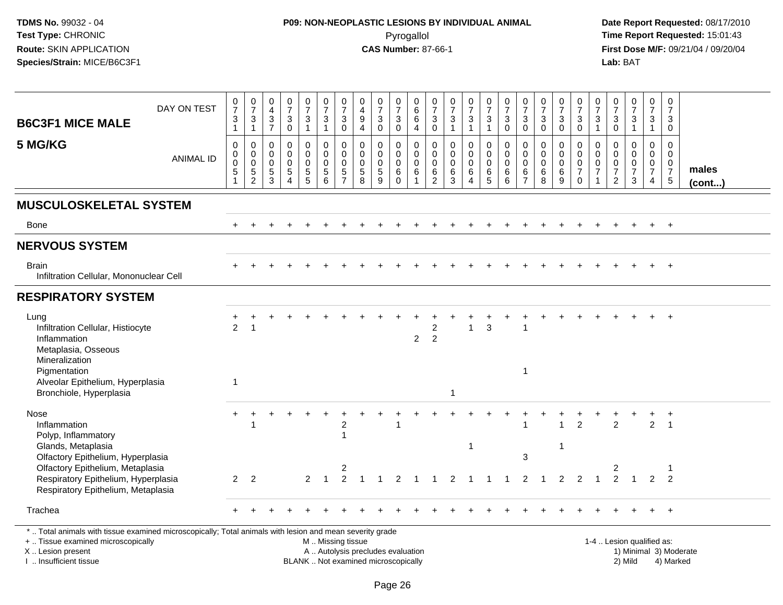# **P09: NON-NEOPLASTIC LESIONS BY INDIVIDUAL ANIMAL**Pyrogallol **Time Report Requested:** 15:01:43

 **Date Report Requested:** 08/17/2010 **First Dose M/F:** 09/21/04 / 09/20/04<br>Lab: BAT **Lab:** BAT

| <b>B6C3F1 MICE MALE</b>                                                                                                                        | DAY ON TEST      | $\begin{smallmatrix}0\\7\end{smallmatrix}$<br>$\ensuremath{\mathsf{3}}$<br>$\mathbf{1}$ | $\frac{0}{7}$<br>3<br>$\mathbf{1}$                     | $_4^{\rm 0}$<br>$\frac{3}{7}$                                                 | $\frac{0}{7}$<br>$\mathbf{3}$<br>$\mathbf 0$                        | $\frac{0}{7}$<br>$\mathbf{3}$<br>$\mathbf{1}$ | $\frac{0}{7}$<br>$\sqrt{3}$<br>$\mathbf{1}$                 | $\frac{0}{7}$<br>$\mathbf{3}$<br>$\mathbf 0$                              | 0<br>$\overline{4}$<br>$\boldsymbol{9}$<br>$\overline{4}$        | $\frac{0}{7}$<br>$\ensuremath{\mathsf{3}}$<br>$\mathbf 0$ | $\frac{0}{7}$<br>$\sqrt{3}$<br>$\mathbf 0$                | $\begin{array}{c} 0 \\ 6 \end{array}$<br>$\,6$<br>$\overline{4}$        | $\begin{smallmatrix}0\\7\end{smallmatrix}$<br>$\mathbf{3}$<br>$\mathbf 0$ | $\frac{0}{7}$<br>$\ensuremath{\mathsf{3}}$<br>$\overline{1}$                         | $\begin{smallmatrix}0\\7\end{smallmatrix}$<br>$\ensuremath{\mathsf{3}}$<br>$\mathbf{1}$ | $\frac{0}{7}$<br>3<br>$\mathbf{1}$                                   | $\frac{0}{7}$<br>$\ensuremath{\mathsf{3}}$<br>$\mathbf 0$ | $\frac{0}{7}$<br>$\sqrt{3}$<br>$\mathbf 0$                       | $\frac{0}{7}$<br>$\ensuremath{\mathsf{3}}$<br>$\mathbf 0$    | $\frac{0}{7}$<br>$\ensuremath{\mathsf{3}}$<br>$\mathbf 0$              | 0<br>$\overline{7}$<br>$\sqrt{3}$<br>$\mathbf 0$                 | $\frac{0}{7}$<br>$\mathbf{3}$<br>$\overline{1}$                             | $\frac{0}{7}$<br>$\ensuremath{\mathsf{3}}$<br>$\mathbf 0$ | $\frac{0}{7}$<br>$\mathbf{3}$<br>$\mathbf{1}$ | $\begin{array}{c} 0 \\ 7 \end{array}$<br>$\mathbf{3}$<br>$\mathbf{1}$         | 0<br>$\overline{7}$<br>3<br>$\mathbf 0$                                        |                 |
|------------------------------------------------------------------------------------------------------------------------------------------------|------------------|-----------------------------------------------------------------------------------------|--------------------------------------------------------|-------------------------------------------------------------------------------|---------------------------------------------------------------------|-----------------------------------------------|-------------------------------------------------------------|---------------------------------------------------------------------------|------------------------------------------------------------------|-----------------------------------------------------------|-----------------------------------------------------------|-------------------------------------------------------------------------|---------------------------------------------------------------------------|--------------------------------------------------------------------------------------|-----------------------------------------------------------------------------------------|----------------------------------------------------------------------|-----------------------------------------------------------|------------------------------------------------------------------|--------------------------------------------------------------|------------------------------------------------------------------------|------------------------------------------------------------------|-----------------------------------------------------------------------------|-----------------------------------------------------------|-----------------------------------------------|-------------------------------------------------------------------------------|--------------------------------------------------------------------------------|-----------------|
| 5 MG/KG                                                                                                                                        | <b>ANIMAL ID</b> | $\boldsymbol{0}$<br>$\mathbf 0$<br>$\mathbf 0$<br>$\sqrt{5}$<br>$\mathbf{1}$            | 0<br>$\mathbf 0$<br>$\mathbf 0$<br>5<br>$\overline{2}$ | $\mathbf 0$<br>$\mathbf 0$<br>$\mathbf 0$<br>$\overline{5}$<br>$\overline{3}$ | $\mathsf 0$<br>$\mathbf 0$<br>0<br>$\overline{5}$<br>$\overline{4}$ | 0<br>0<br>$\mathbf 0$<br>$\frac{5}{5}$        | $\pmb{0}$<br>$\mathbf 0$<br>$\mathbf 0$<br>$\,$ 5 $\,$<br>6 | $\mathbf 0$<br>$\mathbf 0$<br>$\mathbf 0$<br>$\sqrt{5}$<br>$\overline{7}$ | $\mathbf 0$<br>$\mathbf 0$<br>$\mathbf 0$<br>$\overline{5}$<br>8 | 0<br>$\mathbf 0$<br>0<br>5<br>$\overline{9}$              | 0<br>$\mathsf 0$<br>$\mathsf 0$<br>$\,6\,$<br>$\mathbf 0$ | $\pmb{0}$<br>$\mathbf 0$<br>$\pmb{0}$<br>$6\phantom{a}$<br>$\mathbf{1}$ | $\mathbf 0$<br>$\mathbf 0$<br>$\mathbf 0$<br>$\,6\,$<br>$\overline{2}$    | $\pmb{0}$<br>$\mathsf{O}\xspace$<br>$\mathsf{O}\xspace$<br>$\,6\,$<br>$\overline{3}$ | 0<br>$\mathbf 0$<br>$\mathbf 0$<br>$\,6\,$<br>$\overline{4}$                            | $\pmb{0}$<br>$\mathbf 0$<br>$\mathbf 0$<br>$\,6\,$<br>$\overline{5}$ | $\mathbf 0$<br>$\pmb{0}$<br>$\mathbf 0$<br>$\,6\,$<br>6   | $\mathbf 0$<br>$\mathbf 0$<br>$\mathbf 0$<br>6<br>$\overline{7}$ | $\mathbf 0$<br>$\mathbf 0$<br>0<br>$\,6\,$<br>$\overline{8}$ | $\mathbf 0$<br>$\mathbf 0$<br>$\mathbf 0$<br>$\,6\,$<br>$\overline{9}$ | 0<br>$\mathbf 0$<br>$\mathbf 0$<br>$\overline{7}$<br>$\mathbf 0$ | $\mathbf 0$<br>$\mathbf 0$<br>$\mathbf 0$<br>$\overline{7}$<br>$\mathbf{1}$ | 0<br>$\mathbf 0$<br>0<br>$\overline{7}$<br>$\overline{c}$ | 0<br>$\mathbf 0$<br>0<br>$\overline{7}$<br>3  | $\mathsf 0$<br>$\mathbf 0$<br>$\mathbf 0$<br>$\overline{7}$<br>$\overline{4}$ | $\mathbf 0$<br>$\mathbf 0$<br>$\mathbf 0$<br>$\overline{7}$<br>$5\phantom{.0}$ | males<br>(cont) |
| <b>MUSCULOSKELETAL SYSTEM</b>                                                                                                                  |                  |                                                                                         |                                                        |                                                                               |                                                                     |                                               |                                                             |                                                                           |                                                                  |                                                           |                                                           |                                                                         |                                                                           |                                                                                      |                                                                                         |                                                                      |                                                           |                                                                  |                                                              |                                                                        |                                                                  |                                                                             |                                                           |                                               |                                                                               |                                                                                |                 |
| Bone                                                                                                                                           |                  |                                                                                         |                                                        |                                                                               |                                                                     |                                               |                                                             |                                                                           |                                                                  |                                                           |                                                           |                                                                         |                                                                           |                                                                                      |                                                                                         |                                                                      |                                                           |                                                                  |                                                              |                                                                        |                                                                  |                                                                             |                                                           |                                               |                                                                               | $^{+}$                                                                         |                 |
| <b>NERVOUS SYSTEM</b>                                                                                                                          |                  |                                                                                         |                                                        |                                                                               |                                                                     |                                               |                                                             |                                                                           |                                                                  |                                                           |                                                           |                                                                         |                                                                           |                                                                                      |                                                                                         |                                                                      |                                                           |                                                                  |                                                              |                                                                        |                                                                  |                                                                             |                                                           |                                               |                                                                               |                                                                                |                 |
| <b>Brain</b><br>Infiltration Cellular, Mononuclear Cell                                                                                        |                  |                                                                                         |                                                        |                                                                               |                                                                     |                                               |                                                             |                                                                           |                                                                  |                                                           |                                                           |                                                                         |                                                                           |                                                                                      |                                                                                         |                                                                      |                                                           |                                                                  |                                                              |                                                                        |                                                                  |                                                                             |                                                           |                                               |                                                                               | $+$                                                                            |                 |
| <b>RESPIRATORY SYSTEM</b>                                                                                                                      |                  |                                                                                         |                                                        |                                                                               |                                                                     |                                               |                                                             |                                                                           |                                                                  |                                                           |                                                           |                                                                         |                                                                           |                                                                                      |                                                                                         |                                                                      |                                                           |                                                                  |                                                              |                                                                        |                                                                  |                                                                             |                                                           |                                               |                                                                               |                                                                                |                 |
| Lung<br>Infiltration Cellular, Histiocyte<br>Inflammation<br>Metaplasia, Osseous<br>Mineralization                                             |                  | $\overline{2}$                                                                          |                                                        |                                                                               |                                                                     |                                               |                                                             |                                                                           |                                                                  |                                                           |                                                           | $\overline{2}$                                                          | 2<br>$\overline{2}$                                                       |                                                                                      | $\mathbf{1}$                                                                            | 3                                                                    |                                                           | $\overline{1}$                                                   |                                                              |                                                                        |                                                                  |                                                                             |                                                           |                                               |                                                                               |                                                                                |                 |
| Pigmentation<br>Alveolar Epithelium, Hyperplasia<br>Bronchiole, Hyperplasia                                                                    |                  | $\overline{1}$                                                                          |                                                        |                                                                               |                                                                     |                                               |                                                             |                                                                           |                                                                  |                                                           |                                                           |                                                                         |                                                                           | -1                                                                                   |                                                                                         |                                                                      |                                                           | $\mathbf{1}$                                                     |                                                              |                                                                        |                                                                  |                                                                             |                                                           |                                               |                                                                               |                                                                                |                 |
| Nose<br>Inflammation<br>Polyp, Inflammatory                                                                                                    |                  |                                                                                         | 1                                                      |                                                                               |                                                                     |                                               |                                                             | $\overline{c}$<br>1                                                       |                                                                  |                                                           |                                                           |                                                                         |                                                                           |                                                                                      |                                                                                         |                                                                      |                                                           |                                                                  |                                                              | 1                                                                      | $\overline{2}$                                                   |                                                                             | 2                                                         |                                               | $\overline{2}$                                                                | $\overline{1}$                                                                 |                 |
| Glands, Metaplasia<br>Olfactory Epithelium, Hyperplasia                                                                                        |                  |                                                                                         |                                                        |                                                                               |                                                                     |                                               |                                                             |                                                                           |                                                                  |                                                           |                                                           |                                                                         |                                                                           |                                                                                      | 1                                                                                       |                                                                      |                                                           | $\ensuremath{\mathsf{3}}$                                        |                                                              | -1                                                                     |                                                                  |                                                                             |                                                           |                                               |                                                                               |                                                                                |                 |
| Olfactory Epithelium, Metaplasia<br>Respiratory Epithelium, Hyperplasia<br>Respiratory Epithelium, Metaplasia                                  |                  | $\overline{2}$                                                                          | $\overline{2}$                                         |                                                                               |                                                                     | 2                                             |                                                             | 2<br>$\overline{2}$                                                       |                                                                  |                                                           |                                                           |                                                                         |                                                                           |                                                                                      |                                                                                         |                                                                      |                                                           | $\overline{2}$                                                   |                                                              | 2                                                                      | $\mathfrak{p}$                                                   |                                                                             | 2<br>2                                                    | $\overline{1}$                                | $\overline{2}$                                                                | $\overline{2}$                                                                 |                 |
| Trachea                                                                                                                                        |                  |                                                                                         |                                                        |                                                                               |                                                                     |                                               |                                                             |                                                                           |                                                                  |                                                           |                                                           |                                                                         |                                                                           |                                                                                      |                                                                                         |                                                                      |                                                           |                                                                  |                                                              |                                                                        |                                                                  |                                                                             |                                                           |                                               |                                                                               | $+$                                                                            |                 |
| *  Total animals with tissue examined microscopically; Total animals with lesion and mean severity grade<br>+  Tissue examined microscopically |                  |                                                                                         |                                                        |                                                                               |                                                                     |                                               | M  Missing tissue                                           |                                                                           |                                                                  |                                                           |                                                           |                                                                         |                                                                           |                                                                                      |                                                                                         |                                                                      |                                                           |                                                                  |                                                              |                                                                        |                                                                  |                                                                             |                                                           | 1-4  Lesion qualified as:                     |                                                                               |                                                                                |                 |

X .. Lesion present

I .. Insufficient tissue

A .. Autolysis precludes evaluation 1) Minimal 3) Moderate

BLANK .. Not examined microscopically 2) Mild 4) Marked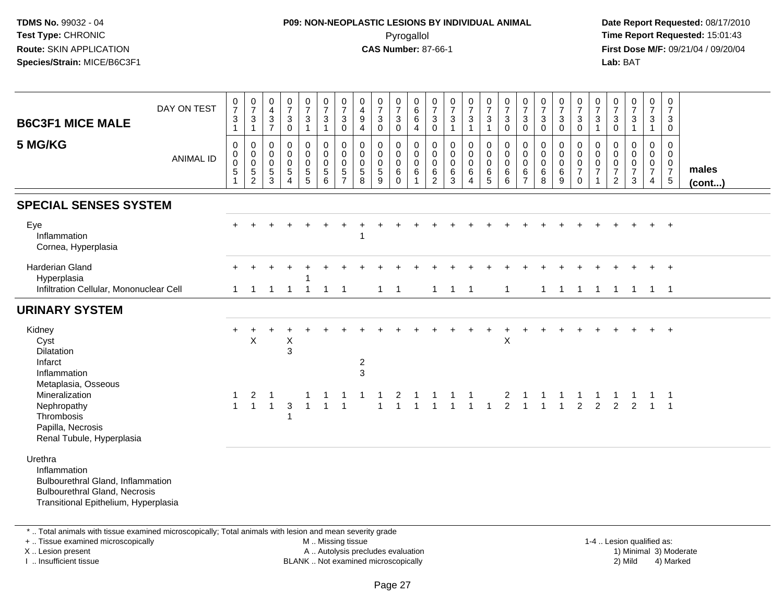# **P09: NON-NEOPLASTIC LESIONS BY INDIVIDUAL ANIMAL**Pyrogallol **Time Report Requested:** 15:01:43

 **Date Report Requested:** 08/17/2010 **First Dose M/F:** 09/21/04 / 09/20/04<br>**Lab:** BAT **Lab:** BAT

| <b>B6C3F1 MICE MALE</b><br>5 MG/KG                                                                                                           | DAY ON TEST<br><b>ANIMAL ID</b> | $\begin{smallmatrix}0\\7\end{smallmatrix}$<br>$\ensuremath{\mathsf{3}}$<br>$\mathbf{1}$<br>$\mathbf 0$<br>$\mathbf 0$<br>$\pmb{0}$<br>$\overline{5}$<br>$\mathbf{1}$ | $\frac{0}{7}$<br>$\mathsf 3$<br>$\mathbf{1}$<br>0<br>$\mathbf 0$<br>$\mathbf 0$<br>5<br>$\overline{c}$ | $_4^{\rm O}$<br>$\frac{3}{7}$<br>0<br>$\pmb{0}$<br>$\pmb{0}$<br>$\,$ 5 $\,$<br>3 | $\frac{0}{7}$<br>$\mathbf{3}$<br>$\pmb{0}$<br>$\pmb{0}$<br>$\mathsf 0$<br>$\pmb{0}$<br>$\sqrt{5}$<br>$\overline{4}$ | $\frac{0}{7}$<br>$\mathbf{3}$<br>-1<br>0<br>$\overline{0}$<br>$\mathsf{O}\xspace$<br>$\begin{array}{c} 5 \\ 5 \end{array}$ | $\frac{0}{7}$<br>$\ensuremath{\mathsf{3}}$<br>$\overline{1}$<br>$\pmb{0}$<br>$\pmb{0}$<br>$\pmb{0}$<br>$\sqrt{5}$<br>$6\phantom{1}6$ | $\pmb{0}$<br>$\overline{7}$<br>$\mathbf{3}$<br>$\mathbf 0$<br>$\mathbf 0$<br>$\mathbf 0$<br>$\mathbf 0$<br>$\sqrt{5}$<br>$\overline{7}$ | $\pmb{0}$<br>$\overline{\mathbf{4}}$<br>$\boldsymbol{9}$<br>4<br>$\mathbf 0$<br>$\mathbf 0$<br>$\boldsymbol{0}$<br>$\sqrt{5}$<br>8 | $\frac{0}{7}$<br>$\mathbf{3}$<br>$\mathbf 0$<br>0<br>$\mathbf 0$<br>$\mathbf 0$<br>$\sqrt{5}$<br>$\overline{9}$ | $\begin{array}{c} 0 \\ 7 \end{array}$<br>$\sqrt{3}$<br>$\mathbf 0$<br>0<br>$\mathsf{O}\xspace$<br>$\mathbf 0$<br>6<br>$\mathbf 0$ | $\boldsymbol{0}$<br>$\,6\,$<br>$\,6\,$<br>$\overline{4}$<br>$\mathbf 0$<br>$\mathsf 0$<br>$\mathbf 0$<br>6 | $\frac{0}{7}$<br>$\mathbf 3$<br>$\mathbf 0$<br>$\mathbf 0$<br>$\boldsymbol{0}$<br>$\mathbf 0$<br>$6\phantom{.}6$<br>$\overline{2}$ | $\frac{0}{7}$<br>$\mathbf 3$<br>$\mathbf{1}$<br>0<br>$\mathbf 0$<br>$\pmb{0}$<br>6<br>$\mathbf{3}$ | $\frac{0}{7}$<br>$\mathbf{3}$<br>$\mathbf{1}$<br>0<br>$\mathbf 0$<br>$\mathbf 0$<br>$6\phantom{.}6$<br>$\overline{4}$ | $\begin{smallmatrix}0\\7\end{smallmatrix}$<br>$\mathbf{3}$<br>$\mathbf{1}$<br>$_{\rm 0}^{\rm 0}$<br>$\mathsf 0$<br>$\,6\,$<br>5 | $\begin{smallmatrix}0\\7\end{smallmatrix}$<br>$\sqrt{3}$<br>$\overline{0}$<br>$\pmb{0}$<br>$\mathbf 0$<br>$\mathbf 0$<br>6<br>6 | $\frac{0}{7}$<br>$\mathbf{3}$<br>$\mathbf 0$<br>0<br>0<br>0<br>6<br>$\overline{7}$ | $\frac{0}{7}$<br>$\ensuremath{\mathsf{3}}$<br>$\pmb{0}$<br>$\mathbf 0$<br>$\pmb{0}$<br>$\pmb{0}$<br>$\,6\,$<br>8 | $\frac{0}{7}$<br>$\sqrt{3}$<br>$\mathbf 0$<br>0<br>$\mathbf 0$<br>$\mathbf 0$<br>$\,6\,$<br>9 | $\frac{0}{7}$<br>$\sqrt{3}$<br>$\mathbf 0$<br>$\mathbf 0$<br>$\mathbf 0$<br>$\,0\,$<br>$\overline{7}$<br>$\mathbf 0$ | $\frac{0}{7}$<br>$\mathsf 3$<br>$\mathbf{1}$<br>0<br>$\mathbf 0$<br>$\mathbf 0$<br>$\overline{7}$<br>1 | $\frac{0}{7}$<br>$\mathsf 3$<br>$\mathbf 0$<br>0<br>0<br>0<br>$\boldsymbol{7}$<br>$\overline{2}$ | $\frac{0}{7}$<br>$\ensuremath{\mathsf{3}}$<br>$\mathbf{1}$<br>$\pmb{0}$<br>0<br>$\pmb{0}$<br>$\overline{7}$<br>$\mathbf{3}$ | $\begin{array}{c} 0 \\ 7 \end{array}$<br>$\mathbf 3$<br>$\overline{1}$<br>$\mathbf 0$<br>$\mathbf 0$<br>$\mathbf 0$<br>$\overline{7}$<br>4 | $\mathbf 0$<br>$\overline{7}$<br>$\mathbf{3}$<br>$\mathbf 0$<br>$\mathbf 0$<br>$\mathbf{0}$<br>$\mathbf 0$<br>$\overline{7}$<br>$\,$ 5 $\,$ | males<br>(cont) |
|----------------------------------------------------------------------------------------------------------------------------------------------|---------------------------------|----------------------------------------------------------------------------------------------------------------------------------------------------------------------|--------------------------------------------------------------------------------------------------------|----------------------------------------------------------------------------------|---------------------------------------------------------------------------------------------------------------------|----------------------------------------------------------------------------------------------------------------------------|--------------------------------------------------------------------------------------------------------------------------------------|-----------------------------------------------------------------------------------------------------------------------------------------|------------------------------------------------------------------------------------------------------------------------------------|-----------------------------------------------------------------------------------------------------------------|-----------------------------------------------------------------------------------------------------------------------------------|------------------------------------------------------------------------------------------------------------|------------------------------------------------------------------------------------------------------------------------------------|----------------------------------------------------------------------------------------------------|-----------------------------------------------------------------------------------------------------------------------|---------------------------------------------------------------------------------------------------------------------------------|---------------------------------------------------------------------------------------------------------------------------------|------------------------------------------------------------------------------------|------------------------------------------------------------------------------------------------------------------|-----------------------------------------------------------------------------------------------|----------------------------------------------------------------------------------------------------------------------|--------------------------------------------------------------------------------------------------------|--------------------------------------------------------------------------------------------------|-----------------------------------------------------------------------------------------------------------------------------|--------------------------------------------------------------------------------------------------------------------------------------------|---------------------------------------------------------------------------------------------------------------------------------------------|-----------------|
| <b>SPECIAL SENSES SYSTEM</b>                                                                                                                 |                                 |                                                                                                                                                                      |                                                                                                        |                                                                                  |                                                                                                                     |                                                                                                                            |                                                                                                                                      |                                                                                                                                         |                                                                                                                                    |                                                                                                                 |                                                                                                                                   |                                                                                                            |                                                                                                                                    |                                                                                                    |                                                                                                                       |                                                                                                                                 |                                                                                                                                 |                                                                                    |                                                                                                                  |                                                                                               |                                                                                                                      |                                                                                                        |                                                                                                  |                                                                                                                             |                                                                                                                                            |                                                                                                                                             |                 |
| Eye<br>Inflammation<br>Cornea, Hyperplasia                                                                                                   |                                 |                                                                                                                                                                      |                                                                                                        |                                                                                  |                                                                                                                     |                                                                                                                            |                                                                                                                                      |                                                                                                                                         |                                                                                                                                    |                                                                                                                 |                                                                                                                                   |                                                                                                            |                                                                                                                                    |                                                                                                    |                                                                                                                       |                                                                                                                                 |                                                                                                                                 |                                                                                    |                                                                                                                  |                                                                                               |                                                                                                                      |                                                                                                        |                                                                                                  |                                                                                                                             |                                                                                                                                            | $+$                                                                                                                                         |                 |
| <b>Harderian Gland</b><br>Hyperplasia<br>Infiltration Cellular, Mononuclear Cell                                                             |                                 | 1                                                                                                                                                                    | 1                                                                                                      | -1                                                                               | $\overline{1}$                                                                                                      | $\overline{1}$                                                                                                             | $\overline{1}$                                                                                                                       | $\overline{1}$                                                                                                                          |                                                                                                                                    | $\mathbf{1}$                                                                                                    | $\overline{\phantom{1}}$                                                                                                          |                                                                                                            | $\mathbf{1}$                                                                                                                       | $\overline{\phantom{a}}$                                                                           | $\overline{1}$                                                                                                        |                                                                                                                                 | $\mathbf{1}$                                                                                                                    |                                                                                    | $\mathbf{1}$                                                                                                     | $\overline{1}$                                                                                | $\mathbf{1}$                                                                                                         | $\mathbf{1}$                                                                                           | $\mathbf{1}$                                                                                     | $\overline{1}$                                                                                                              | $1 \quad 1$                                                                                                                                | $+$                                                                                                                                         |                 |
| <b>URINARY SYSTEM</b>                                                                                                                        |                                 |                                                                                                                                                                      |                                                                                                        |                                                                                  |                                                                                                                     |                                                                                                                            |                                                                                                                                      |                                                                                                                                         |                                                                                                                                    |                                                                                                                 |                                                                                                                                   |                                                                                                            |                                                                                                                                    |                                                                                                    |                                                                                                                       |                                                                                                                                 |                                                                                                                                 |                                                                                    |                                                                                                                  |                                                                                               |                                                                                                                      |                                                                                                        |                                                                                                  |                                                                                                                             |                                                                                                                                            |                                                                                                                                             |                 |
| Kidney<br>Cyst<br><b>Dilatation</b><br>Infarct<br>Inflammation<br>Metaplasia, Osseous                                                        |                                 | $\ddot{}$                                                                                                                                                            | $\mathsf X$                                                                                            |                                                                                  | $\mathsf X$<br>3                                                                                                    |                                                                                                                            |                                                                                                                                      |                                                                                                                                         | $\overline{\mathbf{c}}$<br>3                                                                                                       |                                                                                                                 |                                                                                                                                   |                                                                                                            |                                                                                                                                    |                                                                                                    |                                                                                                                       |                                                                                                                                 | $\ddot{}$<br>$\pmb{\times}$                                                                                                     |                                                                                    |                                                                                                                  |                                                                                               |                                                                                                                      |                                                                                                        |                                                                                                  |                                                                                                                             |                                                                                                                                            | $+$                                                                                                                                         |                 |
| Mineralization<br>Nephropathy<br>Thrombosis<br>Papilla, Necrosis<br>Renal Tubule, Hyperplasia                                                |                                 | 1<br>$\mathbf{1}$                                                                                                                                                    | 2                                                                                                      | $1 \quad 1$                                                                      | 3<br>$\mathbf{1}$                                                                                                   |                                                                                                                            | $\overline{1}$                                                                                                                       | $\overline{1}$                                                                                                                          |                                                                                                                                    | $\mathbf{1}$                                                                                                    | 2<br>$\mathbf{1}$                                                                                                                 | $\overline{1}$                                                                                             |                                                                                                                                    | $1 \quad 1 \quad 1$                                                                                |                                                                                                                       | $\overline{1}$                                                                                                                  |                                                                                                                                 | $\begin{array}{ccccccccc}\n2 & 1 & 1 & 1 & 1 \\ 2 & 1 & 1 & 1 & 2\n\end{array}$    |                                                                                                                  |                                                                                               |                                                                                                                      | 2                                                                                                      | $\overline{2}$                                                                                   | 2                                                                                                                           |                                                                                                                                            | $\overline{\phantom{0}}$<br>$1 \quad 1$                                                                                                     |                 |
| Urethra<br>Inflammation<br>Bulbourethral Gland, Inflammation<br><b>Bulbourethral Gland, Necrosis</b><br>Transitional Epithelium, Hyperplasia |                                 |                                                                                                                                                                      |                                                                                                        |                                                                                  |                                                                                                                     |                                                                                                                            |                                                                                                                                      |                                                                                                                                         |                                                                                                                                    |                                                                                                                 |                                                                                                                                   |                                                                                                            |                                                                                                                                    |                                                                                                    |                                                                                                                       |                                                                                                                                 |                                                                                                                                 |                                                                                    |                                                                                                                  |                                                                                               |                                                                                                                      |                                                                                                        |                                                                                                  |                                                                                                                             |                                                                                                                                            |                                                                                                                                             |                 |

\* .. Total animals with tissue examined microscopically; Total animals with lesion and mean severity grade

+ .. Tissue examined microscopically

X .. Lesion present

I .. Insufficient tissue

M .. Missing tissue

A .. Autolysis precludes evaluation

 1-4 .. Lesion qualified as: BLANK .. Not examined microscopically 2) Mild 4) Marked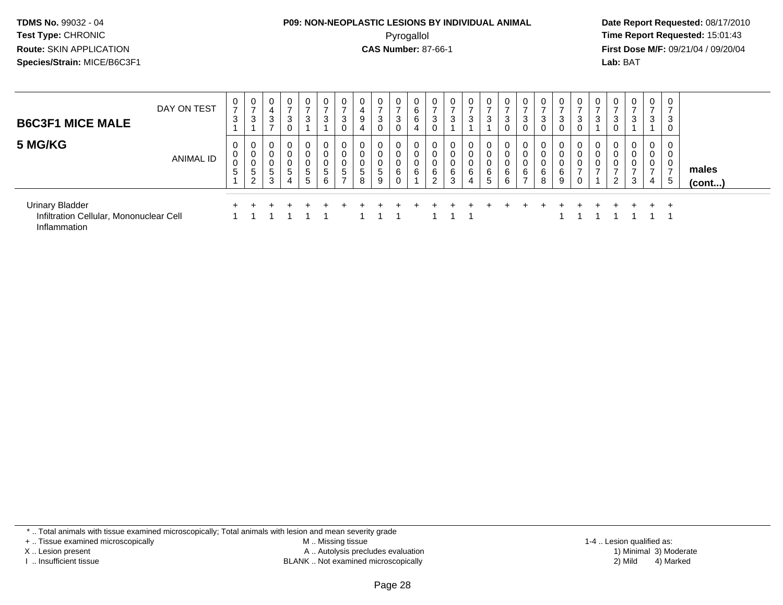#### **P09: NON-NEOPLASTIC LESIONS BY INDIVIDUAL ANIMAL**Pyrogallol **Time Report Requested:** 15:01:43

 **Date Report Requested:** 08/17/2010 **First Dose M/F:** 09/21/04 / 09/20/04<br>**Lab:** BAT **Lab:** BAT

| <b>B6C3F1 MICE MALE</b>                                                           | DAY ON TEST      | 0<br>$\overline{\phantom{a}}$<br>3           | 0<br>$\rightarrow$<br>3                                 | 0<br>3           | $\mathbf 0$<br>3<br>0               | 0<br>3                | $\mathbf 0$<br>3      | 3                    | 9           | $\mathbf{0}$<br>3<br>0 | $\mathbf 0$<br>3<br>0 | 0<br>6<br>6<br>4 | 0<br>3<br>0           | $\mathbf 0$<br>3                | 0<br>$\overline{\phantom{a}}$<br>3 | 0<br>3                         | 0<br>3<br>0                     | 0<br>3                        | 0<br>3<br>$\mathbf 0$ | 3      | 3              | 0<br>3      | 0<br>3<br>0      | 0<br>⇁<br>3           | 0<br>⇁<br>3                       | 3                        |                       |
|-----------------------------------------------------------------------------------|------------------|----------------------------------------------|---------------------------------------------------------|------------------|-------------------------------------|-----------------------|-----------------------|----------------------|-------------|------------------------|-----------------------|------------------|-----------------------|---------------------------------|------------------------------------|--------------------------------|---------------------------------|-------------------------------|-----------------------|--------|----------------|-------------|------------------|-----------------------|-----------------------------------|--------------------------|-----------------------|
| 5 MG/KG                                                                           | <b>ANIMAL ID</b> | 0<br>0<br>0<br>$\overline{\phantom{0}}$<br>ა | $\overline{0}$<br>0<br>0<br>5<br>$\Omega$<br>$\epsilon$ | U<br>0<br>5<br>3 | 0<br>0<br>0<br>$5\overline{)}$<br>4 | 0<br>U<br>0<br>5<br>5 | 0<br>0<br>0<br>5<br>6 | 0<br>$5\phantom{.0}$ | 0<br>5<br>8 | 0<br>0<br>5<br>9       | 0<br>0<br>0<br>6<br>0 | 0<br>0<br>0<br>6 | 0<br>0<br>0<br>6<br>2 | 0<br>0<br>$\mathbf 0$<br>6<br>3 | 0<br>0<br>6<br>4                   | U<br>0<br>6<br>$5\overline{)}$ | $\mathbf 0$<br>0<br>0<br>6<br>6 | 0<br>0<br>6<br>$\overline{ }$ | 0<br>0<br>0<br>6<br>8 | 6<br>9 | $\overline{ }$ | 0<br>0<br>0 | 0<br>0<br>0<br>2 | 0<br>0<br>0<br>-<br>3 | 0<br>0<br>0<br>$\rightarrow$<br>4 | 0<br>$\overline{ }$<br>5 | males<br>$($ cont $)$ |
|                                                                                   |                  |                                              |                                                         |                  |                                     |                       |                       |                      |             |                        |                       |                  |                       |                                 |                                    |                                |                                 |                               |                       |        |                |             |                  |                       |                                   |                          |                       |
| <b>Urinary Bladder</b><br>Infiltration Cellular, Mononuclear Cell<br>Inflammation |                  |                                              |                                                         |                  |                                     |                       |                       |                      |             |                        |                       |                  |                       |                                 |                                    |                                |                                 |                               |                       |        |                |             |                  |                       |                                   | <b>+</b>                 |                       |

\* .. Total animals with tissue examined microscopically; Total animals with lesion and mean severity grade

+ .. Tissue examined microscopically

X .. Lesion present

I .. Insufficient tissue

 M .. Missing tissueA .. Autolysis precludes evaluation

BLANK .. Not examined microscopically 2) Mild 4) Marked

1-4 .. Lesion qualified as: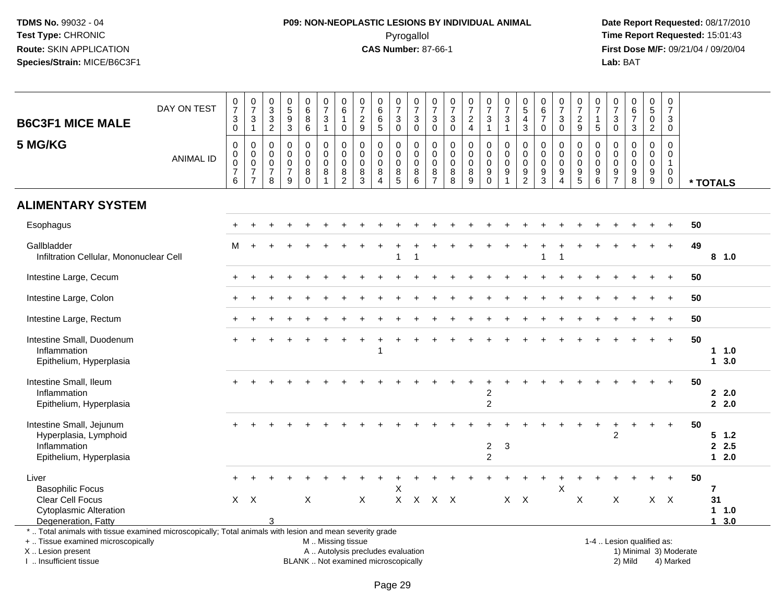# **P09: NON-NEOPLASTIC LESIONS BY INDIVIDUAL ANIMAL**Pyrogallol **Time Report Requested:** 15:01:43

 **Date Report Requested:** 08/17/2010 **First Dose M/F:** 09/21/04 / 09/20/04<br>Lab: BAT **Lab:** BAT

| <b>B6C3F1 MICE MALE</b>                                                                                                                                             | DAY ON TEST      | $\frac{0}{7}$<br>$_0^3$                                        | $\frac{0}{7}$<br>$\ensuremath{\mathsf{3}}$<br>$\mathbf{1}$          | $\pmb{0}$<br>$\sqrt{3}$<br>$\sqrt{3}$<br>$\sqrt{2}$              | $\begin{array}{c} 0 \\ 5 \end{array}$<br>$\boldsymbol{9}$<br>$\overline{3}$ | $_{6}^{\rm 0}$<br>8<br>$\overline{6}$                         | $\frac{0}{7}$<br>$\ensuremath{\mathsf{3}}$<br>$\mathbf{1}$ | $\begin{array}{c} 0 \\ 6 \end{array}$<br>$\mathbf{1}$<br>$\mathbf 0$ | $\frac{0}{7}$<br>$\frac{2}{9}$                            | $\begin{array}{c} 0 \\ 6 \end{array}$<br>$\,6\,$<br>$\overline{5}$             | $\begin{array}{c} 0 \\ 7 \end{array}$<br>$\mathbf{3}$<br>$\mathbf 0$ | $\frac{0}{7}$<br>$_{0}^{3}$                    | $\frac{0}{7}$<br>3<br>$\overline{0}$                   | 0<br>$\boldsymbol{7}$<br>$_{\rm 0}^3$ | $\frac{0}{7}$<br>$\frac{2}{4}$                | $\frac{0}{7}$<br>3<br>$\overline{1}$                               | $\frac{0}{7}$<br>$\sqrt{3}$<br>$\overline{1}$                                | $\begin{array}{c} 0 \\ 5 \end{array}$<br>4<br>3                       | $\begin{array}{c} 0 \\ 6 \end{array}$<br>$\overline{7}$<br>$\mathbf 0$ | $\frac{0}{7}$<br>3<br>$\mathbf{0}$                   | $\frac{0}{7}$<br>$\frac{2}{9}$                    | $\pmb{0}$<br>$\overline{7}$<br>$\mathbf{1}$<br>$\overline{5}$                   | $\frac{0}{7}$<br>$\mathbf{3}$<br>$\mathsf{O}\xspace$                            | $\begin{array}{c} 0 \\ 6 \\ 7 \end{array}$<br>$\mathbf{3}$          | $\begin{array}{c} 0 \\ 5 \end{array}$<br>0<br>$\overline{a}$            | 0<br>$\boldsymbol{7}$<br>3<br>$\mathbf 0$                              |                        |                                       |
|---------------------------------------------------------------------------------------------------------------------------------------------------------------------|------------------|----------------------------------------------------------------|---------------------------------------------------------------------|------------------------------------------------------------------|-----------------------------------------------------------------------------|---------------------------------------------------------------|------------------------------------------------------------|----------------------------------------------------------------------|-----------------------------------------------------------|--------------------------------------------------------------------------------|----------------------------------------------------------------------|------------------------------------------------|--------------------------------------------------------|---------------------------------------|-----------------------------------------------|--------------------------------------------------------------------|------------------------------------------------------------------------------|-----------------------------------------------------------------------|------------------------------------------------------------------------|------------------------------------------------------|---------------------------------------------------|---------------------------------------------------------------------------------|---------------------------------------------------------------------------------|---------------------------------------------------------------------|-------------------------------------------------------------------------|------------------------------------------------------------------------|------------------------|---------------------------------------|
| 5 MG/KG                                                                                                                                                             | <b>ANIMAL ID</b> | $\mathbf 0$<br>$\mathbf 0$<br>$\pmb{0}$<br>$\overline{7}$<br>6 | 0<br>$\mathsf 0$<br>$\mathbf 0$<br>$\overline{7}$<br>$\overline{7}$ | $\mathbf 0$<br>$\mathbf 0$<br>$\mathbf 0$<br>$\overline{7}$<br>8 | $\mathbf 0$<br>$\mathbf 0$<br>$\mathbf 0$<br>$\boldsymbol{7}$<br>9          | $\mathbf 0$<br>$\mathbf 0$<br>$\mathbf 0$<br>8<br>$\mathbf 0$ | 0<br>$\mathbf 0$<br>0<br>$\,8\,$<br>$\overline{1}$         | $\mathbf 0$<br>$\mathbf 0$<br>$\pmb{0}$<br>$\bf 8$<br>$\overline{2}$ | 0<br>$\mathbf 0$<br>$\mathbf 0$<br>$\bf8$<br>$\mathbf{3}$ | $\mathbf 0$<br>$\mathbf 0$<br>$\mathbf 0$<br>$\,8\,$<br>$\boldsymbol{\Lambda}$ | 0<br>$\mathbf 0$<br>0<br>$\bf 8$<br>5                                | 0<br>$\mathbf 0$<br>$\mathbf 0$<br>$\bf8$<br>6 | 0<br>$\mathbf 0$<br>$\mathbf 0$<br>8<br>$\overline{7}$ | 0<br>0<br>0<br>$\bf 8$<br>8           | 0<br>$\mathbf 0$<br>$\pmb{0}$<br>$\bf 8$<br>9 | 0<br>$\mathbf 0$<br>$\mathbf 0$<br>$\boldsymbol{9}$<br>$\mathbf 0$ | $\mathbf 0$<br>$\boldsymbol{0}$<br>$\boldsymbol{0}$<br>$9\,$<br>$\mathbf{1}$ | $\mathbf 0$<br>$\mathbf 0$<br>0<br>$\boldsymbol{9}$<br>$\overline{2}$ | $\mathbf 0$<br>$\mathbf 0$<br>0<br>$\boldsymbol{9}$<br>$\overline{3}$  | 0<br>$\mathbf 0$<br>0<br>9<br>$\boldsymbol{\Lambda}$ | 0<br>$\mathbf 0$<br>$\mathsf{O}$<br>$\frac{9}{5}$ | $\mathbf 0$<br>$\mathbf 0$<br>$\mathbf 0$<br>$\boldsymbol{9}$<br>$6\phantom{1}$ | $\mathbf 0$<br>$\mathbf 0$<br>$\mathbf 0$<br>$\boldsymbol{9}$<br>$\overline{7}$ | $\mathbf 0$<br>$\mathbf{0}$<br>$\mathbf 0$<br>$\boldsymbol{9}$<br>8 | 0<br>$\mathbf 0$<br>$\mathbf 0$<br>$\boldsymbol{9}$<br>$\boldsymbol{9}$ | $\mathbf 0$<br>$\mathbf 0$<br>$\mathbf{1}$<br>$\mathbf 0$<br>$\pmb{0}$ |                        | * TOTALS                              |
| <b>ALIMENTARY SYSTEM</b>                                                                                                                                            |                  |                                                                |                                                                     |                                                                  |                                                                             |                                                               |                                                            |                                                                      |                                                           |                                                                                |                                                                      |                                                |                                                        |                                       |                                               |                                                                    |                                                                              |                                                                       |                                                                        |                                                      |                                                   |                                                                                 |                                                                                 |                                                                     |                                                                         |                                                                        |                        |                                       |
| Esophagus                                                                                                                                                           |                  |                                                                |                                                                     |                                                                  |                                                                             |                                                               |                                                            |                                                                      |                                                           |                                                                                |                                                                      |                                                |                                                        |                                       |                                               |                                                                    |                                                                              |                                                                       |                                                                        |                                                      |                                                   |                                                                                 |                                                                                 |                                                                     |                                                                         | $\ddot{}$                                                              | 50                     |                                       |
| Gallbladder<br>Infiltration Cellular, Mononuclear Cell                                                                                                              |                  | M                                                              |                                                                     |                                                                  |                                                                             |                                                               |                                                            |                                                                      |                                                           |                                                                                | $\mathbf{1}$                                                         | -1                                             |                                                        |                                       |                                               |                                                                    |                                                                              |                                                                       | 1                                                                      | -1                                                   |                                                   |                                                                                 |                                                                                 |                                                                     |                                                                         | $\ddot{}$                                                              | 49                     | 8 1.0                                 |
| Intestine Large, Cecum                                                                                                                                              |                  |                                                                |                                                                     |                                                                  |                                                                             |                                                               |                                                            |                                                                      |                                                           |                                                                                |                                                                      |                                                |                                                        |                                       |                                               |                                                                    |                                                                              |                                                                       |                                                                        |                                                      |                                                   |                                                                                 |                                                                                 |                                                                     |                                                                         |                                                                        | 50                     |                                       |
| Intestine Large, Colon                                                                                                                                              |                  |                                                                |                                                                     |                                                                  |                                                                             |                                                               |                                                            |                                                                      |                                                           |                                                                                |                                                                      |                                                |                                                        |                                       |                                               |                                                                    |                                                                              |                                                                       |                                                                        |                                                      |                                                   |                                                                                 |                                                                                 |                                                                     |                                                                         |                                                                        | 50                     |                                       |
| Intestine Large, Rectum                                                                                                                                             |                  |                                                                |                                                                     |                                                                  |                                                                             |                                                               |                                                            |                                                                      |                                                           |                                                                                |                                                                      |                                                |                                                        |                                       |                                               |                                                                    |                                                                              |                                                                       |                                                                        |                                                      |                                                   |                                                                                 |                                                                                 |                                                                     |                                                                         |                                                                        | 50                     |                                       |
| Intestine Small, Duodenum<br>Inflammation<br>Epithelium, Hyperplasia                                                                                                |                  |                                                                |                                                                     |                                                                  |                                                                             |                                                               |                                                            |                                                                      |                                                           | 1                                                                              |                                                                      |                                                |                                                        |                                       |                                               |                                                                    |                                                                              |                                                                       |                                                                        |                                                      |                                                   |                                                                                 |                                                                                 |                                                                     |                                                                         | $+$                                                                    | 50                     | 11.0<br>13.0                          |
| Intestine Small, Ileum<br>Inflammation<br>Epithelium, Hyperplasia                                                                                                   |                  |                                                                |                                                                     |                                                                  |                                                                             |                                                               |                                                            |                                                                      |                                                           |                                                                                |                                                                      |                                                |                                                        |                                       |                                               | 2<br>$\overline{c}$                                                |                                                                              |                                                                       |                                                                        |                                                      |                                                   |                                                                                 |                                                                                 |                                                                     |                                                                         |                                                                        | 50                     | 2.2.0<br>2.0                          |
| Intestine Small, Jejunum<br>Hyperplasia, Lymphoid<br>Inflammation<br>Epithelium, Hyperplasia                                                                        |                  |                                                                |                                                                     |                                                                  |                                                                             |                                                               |                                                            |                                                                      |                                                           |                                                                                |                                                                      |                                                |                                                        |                                       |                                               | $\overline{\mathbf{c}}$<br>$\overline{2}$                          | 3                                                                            |                                                                       |                                                                        |                                                      |                                                   |                                                                                 | $\overline{c}$                                                                  |                                                                     |                                                                         |                                                                        | 50                     | $5 \t1.2$<br>2.5<br>$12.0$            |
| Liver<br><b>Basophilic Focus</b><br>Clear Cell Focus<br><b>Cytoplasmic Alteration</b><br>Degeneration, Fatty                                                        |                  |                                                                | $X$ $X$                                                             | 3                                                                |                                                                             | X                                                             |                                                            |                                                                      | $\pmb{\times}$                                            |                                                                                | Χ<br>X.                                                              | $\mathsf{X}$                                   | $\mathsf{X}$                                           | $\mathsf{X}$                          |                                               |                                                                    | $X$ $X$                                                                      |                                                                       |                                                                        | $\mathsf{X}$                                         | X                                                 |                                                                                 | X                                                                               |                                                                     |                                                                         | $X$ $X$                                                                | 50                     | $\overline{7}$<br>31<br>1 1.0<br>13.0 |
| *  Total animals with tissue examined microscopically; Total animals with lesion and mean severity grade<br>+  Tissue examined microscopically<br>X  Lesion present |                  |                                                                |                                                                     |                                                                  |                                                                             |                                                               | M  Missing tissue                                          |                                                                      | A  Autolysis precludes evaluation                         |                                                                                |                                                                      |                                                |                                                        |                                       |                                               |                                                                    |                                                                              |                                                                       |                                                                        |                                                      |                                                   |                                                                                 |                                                                                 | 1-4  Lesion qualified as:                                           |                                                                         |                                                                        | 1) Minimal 3) Moderate |                                       |

I .. Insufficient tissue

BLANK .. Not examined microscopically 2) Mild 4) Marked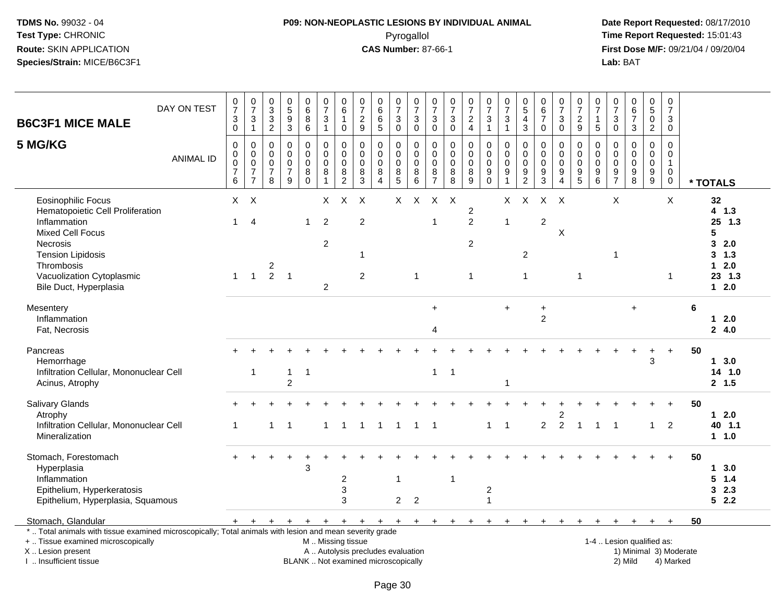# **P09: NON-NEOPLASTIC LESIONS BY INDIVIDUAL ANIMAL**Pyrogallol **Time Report Requested:** 15:01:43

| <b>B6C3F1 MICE MALE</b>                                                                                                                                                                                               | DAY ON TEST      | $\frac{0}{7}$<br>3<br>$\mathsf{O}\xspace$                              | $\begin{array}{c} 0 \\ 7 \end{array}$<br>$\ensuremath{\mathsf{3}}$<br>$\mathbf{1}$ | $_{3}^{\rm 0}$<br>$\ensuremath{\mathsf{3}}$<br>$\sqrt{2}$ | $\begin{array}{c} 0 \\ 5 \\ 9 \end{array}$<br>$\mathbf{3}$     | $\begin{array}{c} 0 \\ 6 \end{array}$<br>$\, 8$<br>$\,6\,$ | $\frac{0}{7}$<br>$\sqrt{3}$<br>$\overline{1}$                        | 0<br>$\,6$<br>$\mathbf{1}$<br>$\pmb{0}$    | $\frac{0}{7}$<br>$\overline{c}$<br>$\boldsymbol{9}$            | $_{6}^{\rm 0}$<br>$6\phantom{1}6$<br>5                              | $\frac{0}{7}$<br>$\sqrt{3}$<br>$\mathbf 0$               | $\frac{0}{7}$<br>$\sqrt{3}$<br>$\mathbf 0$                     | 0<br>$\overline{7}$<br>$\mathbf{3}$<br>$\mathbf 0$               | $\frac{0}{7}$<br>$\sqrt{3}$<br>$\mathbf 0$                   | $\frac{0}{7}$<br>$_4^2$                                                     | $\begin{array}{c} 0 \\ 7 \end{array}$<br>$\sqrt{3}$<br>$\overline{1}$ | $\frac{0}{7}$<br>$\sqrt{3}$<br>$\mathbf{1}$                                   | $\begin{array}{c} 0 \\ 5 \end{array}$<br>$\overline{4}$<br>$\sqrt{3}$       | $\begin{array}{c} 0 \\ 6 \end{array}$<br>$\overline{7}$<br>$\mathbf 0$        | $\frac{0}{7}$<br>3<br>$\mathbf 0$                                   | $\begin{array}{c} 0 \\ 7 \end{array}$<br>$\boldsymbol{2}$<br>$\boldsymbol{9}$    | 0<br>$\overline{7}$<br>1<br>5                        | $\frac{0}{7}$<br>$\ensuremath{\mathsf{3}}$<br>$\mathbf 0$ | $\begin{array}{c} 0 \\ 6 \\ 7 \end{array}$<br>3 | $\begin{smallmatrix}0\0\0\end{smallmatrix}$<br>$\mathbf 0$<br>$\overline{2}$ | 0<br>$\overline{7}$<br>3<br>$\mathbf 0$                                 |    |                                                                                               |
|-----------------------------------------------------------------------------------------------------------------------------------------------------------------------------------------------------------------------|------------------|------------------------------------------------------------------------|------------------------------------------------------------------------------------|-----------------------------------------------------------|----------------------------------------------------------------|------------------------------------------------------------|----------------------------------------------------------------------|--------------------------------------------|----------------------------------------------------------------|---------------------------------------------------------------------|----------------------------------------------------------|----------------------------------------------------------------|------------------------------------------------------------------|--------------------------------------------------------------|-----------------------------------------------------------------------------|-----------------------------------------------------------------------|-------------------------------------------------------------------------------|-----------------------------------------------------------------------------|-------------------------------------------------------------------------------|---------------------------------------------------------------------|----------------------------------------------------------------------------------|------------------------------------------------------|-----------------------------------------------------------|-------------------------------------------------|------------------------------------------------------------------------------|-------------------------------------------------------------------------|----|-----------------------------------------------------------------------------------------------|
| 5 MG/KG                                                                                                                                                                                                               | <b>ANIMAL ID</b> | $\mathbf 0$<br>$\mathbf 0$<br>$\pmb{0}$<br>$\boldsymbol{7}$<br>$\,6\,$ | 0<br>$\pmb{0}$<br>$\pmb{0}$<br>$\overline{7}$<br>$\overline{7}$                    | 0<br>$\mathbf 0$<br>0<br>$\overline{7}$<br>8              | 0<br>$\mathsf{O}\xspace$<br>$\mathbf 0$<br>$\overline{7}$<br>9 | 0<br>$\mathsf 0$<br>0<br>$\bf 8$<br>$\mathbf 0$            | $\mathbf 0$<br>$\mathbf 0$<br>$\mathbf 0$<br>$\bf 8$<br>$\mathbf{1}$ | 0<br>$\pmb{0}$<br>0<br>8<br>$\overline{c}$ | $\Omega$<br>$\mathbf 0$<br>$\mathbf 0$<br>$\bf8$<br>$\sqrt{3}$ | $\mathbf 0$<br>$\mathsf{O}\xspace$<br>0<br>$\bf8$<br>$\overline{4}$ | 0<br>$\mathbf 0$<br>$\mathbf 0$<br>$\bf 8$<br>$\sqrt{5}$ | $\mathbf 0$<br>$\mathbf 0$<br>$\mathbf 0$<br>$\, 8$<br>$\,6\,$ | $\mathbf 0$<br>$\mathbf 0$<br>$\mathbf 0$<br>8<br>$\overline{7}$ | $\Omega$<br>$\mathbf 0$<br>$\mathbf 0$<br>$\bf 8$<br>$\,8\,$ | 0<br>$\mathsf 0$<br>0<br>$\bf 8$<br>$\boldsymbol{9}$                        | $\mathbf 0$<br>$\mathbf 0$<br>0<br>$\boldsymbol{9}$<br>$\mathbf 0$    | $\mathbf 0$<br>$\pmb{0}$<br>$\mathbf 0$<br>$\boldsymbol{9}$<br>$\overline{1}$ | $\mathbf 0$<br>$\mathbf 0$<br>$\mathbf 0$<br>$\boldsymbol{9}$<br>$\sqrt{2}$ | $\mathbf 0$<br>$\mathbf 0$<br>$\mathbf 0$<br>$\boldsymbol{9}$<br>$\mathbf{3}$ | 0<br>$\pmb{0}$<br>$\mathbf 0$<br>$\boldsymbol{9}$<br>$\overline{4}$ | $\mathbf 0$<br>$\boldsymbol{0}$<br>$\mathbf 0$<br>$\boldsymbol{9}$<br>$\sqrt{5}$ | $\Omega$<br>$\mathbf 0$<br>$\mathbf 0$<br>9<br>$\,6$ | $\Omega$<br>$\mathbf 0$<br>0<br>$\frac{9}{7}$             | 0<br>$\pmb{0}$<br>$\pmb{0}$<br>$\frac{9}{8}$    | $\mathbf 0$<br>$\mathbf 0$<br>$\mathbf 0$<br>$\boldsymbol{9}$<br>9           | $\Omega$<br>$\mathbf 0$<br>$\overline{1}$<br>$\mathbf 0$<br>$\mathbf 0$ |    | * TOTALS                                                                                      |
| <b>Eosinophilic Focus</b><br>Hematopoietic Cell Proliferation<br>Inflammation<br>Mixed Cell Focus<br><b>Necrosis</b><br><b>Tension Lipidosis</b><br>Thrombosis<br>Vacuolization Cytoplasmic<br>Bile Duct, Hyperplasia |                  | -1<br>$\mathbf{1}$                                                     | $X$ $X$<br>$\overline{4}$<br>$\overline{1}$                                        | 2<br>$\overline{2}$                                       | $\overline{1}$                                                 | $\mathbf{1}$                                               | X<br>$\overline{c}$<br>$\overline{c}$<br>$\overline{2}$              | $\mathsf{X}$                               | $\mathsf{X}$<br>$\overline{c}$<br>1<br>$\overline{c}$          |                                                                     |                                                          | $X$ $X$<br>$\overline{1}$                                      | 1                                                                | $X$ $X$                                                      | $\overline{\mathbf{c}}$<br>$\overline{2}$<br>$\overline{c}$<br>$\mathbf{1}$ |                                                                       | X<br>$\mathbf{1}$                                                             | $\mathsf{X}$<br>$\overline{2}$<br>$\mathbf{1}$                              | $X$ $X$<br>$\overline{c}$                                                     | X                                                                   | 1                                                                                |                                                      | X<br>-1                                                   |                                                 |                                                                              | X<br>-1                                                                 |    | 32<br>4 1.3<br>25 1.3<br>5<br>3<br>2.0<br>$3 \t1.3$<br>2.0<br>$\mathbf 1$<br>23 1.3<br>$12.0$ |
| Mesentery<br>Inflammation<br>Fat, Necrosis                                                                                                                                                                            |                  |                                                                        |                                                                                    |                                                           |                                                                |                                                            |                                                                      |                                            |                                                                |                                                                     |                                                          |                                                                | $\ddot{}$<br>4                                                   |                                                              |                                                                             |                                                                       | $\ddot{}$                                                                     |                                                                             | $\overline{2}$                                                                |                                                                     |                                                                                  |                                                      |                                                           | $+$                                             |                                                                              |                                                                         | 6  | 2.0<br>1.<br>24.0                                                                             |
| Pancreas<br>Hemorrhage<br>Infiltration Cellular, Mononuclear Cell<br>Acinus, Atrophy                                                                                                                                  |                  |                                                                        | $\mathbf{1}$                                                                       |                                                           | $\mathbf 1$<br>$\overline{2}$                                  | 1                                                          |                                                                      |                                            |                                                                |                                                                     |                                                          |                                                                | $\mathbf{1}$                                                     | -1                                                           |                                                                             |                                                                       | -1                                                                            |                                                                             |                                                                               |                                                                     |                                                                                  |                                                      |                                                           |                                                 | 3                                                                            | $+$                                                                     | 50 | 13.0<br>14 1.0<br>2, 1.5                                                                      |
| <b>Salivary Glands</b><br>Atrophy<br>Infiltration Cellular, Mononuclear Cell<br>Mineralization                                                                                                                        |                  | -1                                                                     |                                                                                    | $\mathbf{1}$                                              | $\overline{1}$                                                 |                                                            | $\mathbf{1}$                                                         | $\overline{1}$                             | $\mathbf 1$                                                    | $\overline{1}$                                                      | $\overline{1}$                                           | $\overline{1}$                                                 | $\overline{1}$                                                   |                                                              |                                                                             | $\mathbf{1}$                                                          | $\overline{1}$                                                                |                                                                             | $\overline{2}$                                                                | 2<br>$\overline{2}$                                                 | $\overline{1}$                                                                   | $\mathbf{1}$                                         | $\mathbf 1$                                               |                                                 | $\mathbf{1}$                                                                 | 2                                                                       | 50 | $12.0$<br>40 1.1<br>$1 \t1.0$                                                                 |
| Stomach, Forestomach<br>Hyperplasia<br>Inflammation<br>Epithelium, Hyperkeratosis<br>Epithelium, Hyperplasia, Squamous                                                                                                |                  |                                                                        |                                                                                    |                                                           |                                                                | 3                                                          |                                                                      | $\overline{c}$<br>3<br>3                   |                                                                |                                                                     | $\overline{2}$                                           | 2                                                              |                                                                  | $\overline{1}$                                               |                                                                             | $\overline{c}$                                                        |                                                                               |                                                                             |                                                                               |                                                                     |                                                                                  |                                                      |                                                           |                                                 |                                                                              |                                                                         | 50 | 13.0<br>$5 \t1.4$<br>2.3<br>3<br>52.2                                                         |
| Stomach, Glandular<br>*  Total animals with tissue examined microscopically; Total animals with lesion and mean severity grade<br>+  Tissue examined microscopically<br>X  Lesion present                             |                  | $+$                                                                    | $\overline{+}$                                                                     |                                                           | $\ddot{}$                                                      | $\ddot{}$                                                  | M  Missing tissue                                                    |                                            | $+$ + + +<br>A  Autolysis precludes evaluation                 |                                                                     |                                                          |                                                                | $+$ + + +                                                        |                                                              | $+$                                                                         | $\ddot{}$                                                             |                                                                               |                                                                             |                                                                               |                                                                     |                                                                                  |                                                      |                                                           | $\ddot{}$<br>1-4  Lesion qualified as:          | $\ddot{}$                                                                    | $+$<br>1) Minimal 3) Moderate                                           | 50 |                                                                                               |
| I. Insufficient tissue                                                                                                                                                                                                |                  |                                                                        |                                                                                    |                                                           |                                                                |                                                            |                                                                      |                                            | BLANK  Not examined microscopically                            |                                                                     |                                                          |                                                                |                                                                  |                                                              |                                                                             |                                                                       |                                                                               |                                                                             |                                                                               |                                                                     |                                                                                  |                                                      |                                                           | 2) Mild                                         |                                                                              | 4) Marked                                                               |    |                                                                                               |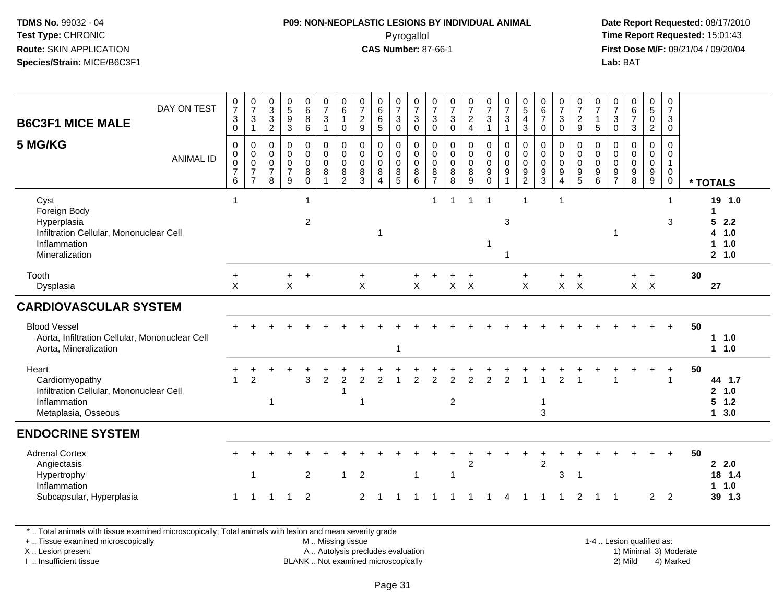#### **P09: NON-NEOPLASTIC LESIONS BY INDIVIDUAL ANIMAL**Pyrogallol **Time Report Requested:** 15:01:43

 **Date Report Requested:** 08/17/2010 **First Dose M/F:** 09/21/04 / 09/20/04<br>**Lab:** BAT **Lab:** BAT

| DAY ON TEST<br><b>B6C3F1 MICE MALE</b>                                                                           | $\frac{0}{7}$<br>$\ensuremath{\mathsf{3}}$<br>$\mathbf 0$             | $\frac{0}{7}$<br>3<br>$\mathbf{1}$                                          | 0<br>$\mathbf{3}$<br>$\sqrt{3}$<br>$\overline{2}$                | $\begin{array}{c} 0 \\ 5 \end{array}$<br>$\overline{9}$<br>$\mathbf{3}$  | $\begin{matrix} 0 \\ 6 \end{matrix}$<br>$\bf 8$<br>6      | $\frac{0}{7}$<br>$\mathbf{3}$<br>$\mathbf{1}$                | $\begin{array}{c} 0 \\ 6 \end{array}$<br>$\mathbf{1}$<br>$\mathbf 0$   | $\frac{0}{7}$<br>$\overline{c}$<br>9                 | $\begin{array}{c} 0 \\ 6 \end{array}$<br>$6\phantom{1}$<br>$\sqrt{5}$          | $\frac{0}{7}$<br>$\sqrt{3}$<br>$\mathbf 0$                                 | $\frac{0}{7}$<br>$\mathbf{3}$<br>$\mathbf 0$                      | $\frac{0}{7}$<br>3<br>0                                | $\frac{0}{7}$<br>$\mathbf{3}$<br>$\mathbf 0$        | $\frac{0}{7}$<br>$\frac{2}{4}$                    | $\frac{0}{7}$<br>$\mathbf{3}$<br>$\mathbf{1}$                                 | $\frac{0}{7}$<br>$\sqrt{3}$<br>$\overline{1}$                                 | $\begin{array}{c} 0 \\ 5 \end{array}$<br>$\overline{\mathbf{4}}$<br>$\mathsf 3$ | $\begin{array}{c} 0 \\ 6 \end{array}$<br>$\overline{7}$<br>$\mathbf 0$        | $\frac{0}{7}$<br>$\mathbf{3}$<br>$\mathbf 0$                           | $\frac{0}{7}$<br>$\frac{2}{9}$                                              | 0<br>$\overline{7}$<br>$\mathbf{1}$<br>$\sqrt{5}$               | $\frac{0}{7}$<br>$\sqrt{3}$<br>$\mathsf 0$              | $\begin{array}{c} 0 \\ 6 \end{array}$<br>$\overline{7}$<br>$\mathbf{3}$ | $\begin{matrix} 0 \\ 5 \end{matrix}$<br>$\pmb{0}$<br>$\overline{2}$ | 0<br>$\overline{7}$<br>$\mathbf{3}$<br>$\mathbf 0$                    |    |                                                          |
|------------------------------------------------------------------------------------------------------------------|-----------------------------------------------------------------------|-----------------------------------------------------------------------------|------------------------------------------------------------------|--------------------------------------------------------------------------|-----------------------------------------------------------|--------------------------------------------------------------|------------------------------------------------------------------------|------------------------------------------------------|--------------------------------------------------------------------------------|----------------------------------------------------------------------------|-------------------------------------------------------------------|--------------------------------------------------------|-----------------------------------------------------|---------------------------------------------------|-------------------------------------------------------------------------------|-------------------------------------------------------------------------------|---------------------------------------------------------------------------------|-------------------------------------------------------------------------------|------------------------------------------------------------------------|-----------------------------------------------------------------------------|-----------------------------------------------------------------|---------------------------------------------------------|-------------------------------------------------------------------------|---------------------------------------------------------------------|-----------------------------------------------------------------------|----|----------------------------------------------------------|
| 5 MG/KG<br><b>ANIMAL ID</b>                                                                                      | $\boldsymbol{0}$<br>$\pmb{0}$<br>$\mathbf 0$<br>$\boldsymbol{7}$<br>6 | $\pmb{0}$<br>$\mathbf 0$<br>$\mathbf 0$<br>$\overline{7}$<br>$\overline{7}$ | $\mathbf 0$<br>$\mathbf 0$<br>$\mathbf 0$<br>$\overline{7}$<br>8 | $\mathbf 0$<br>$\mathbf 0$<br>$\mathsf{O}\xspace$<br>$\overline{7}$<br>9 | 0<br>$\mathsf 0$<br>$\mathbf 0$<br>$\bf 8$<br>$\mathbf 0$ | $\pmb{0}$<br>$\mathbf 0$<br>$\mathbf 0$<br>8<br>$\mathbf{1}$ | $\mathbf 0$<br>$\mathsf{O}\xspace$<br>$\pmb{0}$<br>8<br>$\overline{2}$ | 0<br>$\mathbf 0$<br>$\mathbf 0$<br>8<br>$\mathbf{3}$ | $\mathbf 0$<br>$\mathbf 0$<br>$\mathsf{O}\xspace$<br>$\,8\,$<br>$\overline{4}$ | $\boldsymbol{0}$<br>$\mathbf 0$<br>$\mathsf 0$<br>$\bf8$<br>$\overline{5}$ | $\mathsf{O}\xspace$<br>$\mathbf 0$<br>$\mathsf 0$<br>$\,8\,$<br>6 | 0<br>$\mathbf 0$<br>$\mathsf 0$<br>8<br>$\overline{7}$ | $\pmb{0}$<br>$\pmb{0}$<br>$\pmb{0}$<br>$\,8\,$<br>8 | $\mathsf 0$<br>$\mathsf 0$<br>$\pmb{0}$<br>8<br>9 | $\mathsf{O}$<br>$\mathbf 0$<br>$\mathbf 0$<br>$\boldsymbol{9}$<br>$\mathbf 0$ | $\pmb{0}$<br>$\mathbf 0$<br>$\mathbf 0$<br>$\boldsymbol{9}$<br>$\overline{1}$ | $\mathbf 0$<br>$\mathbf 0$<br>$\pmb{0}$<br>$\boldsymbol{9}$<br>$\overline{c}$   | $\mathbf 0$<br>$\mathbf 0$<br>$\mathbf 0$<br>$\boldsymbol{9}$<br>$\mathbf{3}$ | $\mathbf 0$<br>$\mathbf 0$<br>$\pmb{0}$<br>9<br>$\boldsymbol{\Lambda}$ | $\pmb{0}$<br>$\mathbf 0$<br>$\pmb{0}$<br>$\boldsymbol{9}$<br>$\overline{5}$ | $\mathbf 0$<br>$\Omega$<br>$\pmb{0}$<br>$9\,$<br>$6\phantom{1}$ | 0<br>$\mathbf{0}$<br>$\mathbf 0$<br>9<br>$\overline{7}$ | $\mathbf 0$<br>$\mathbf 0$<br>$\mathbf 0$<br>$\boldsymbol{9}$<br>8      | $\mathbf 0$<br>$\mathbf 0$<br>$\pmb{0}$<br>$\boldsymbol{9}$<br>9    | $\mathbf 0$<br>$\Omega$<br>$\mathbf{1}$<br>$\mathbf 0$<br>$\mathbf 0$ |    | * TOTALS                                                 |
| Cyst<br>Foreign Body<br>Hyperplasia<br>Infiltration Cellular, Mononuclear Cell<br>Inflammation<br>Mineralization | $\mathbf{1}$                                                          |                                                                             |                                                                  |                                                                          | $\mathbf 1$<br>$\overline{c}$                             |                                                              |                                                                        |                                                      |                                                                                |                                                                            |                                                                   | $\mathbf 1$                                            |                                                     | $\overline{1}$                                    | $\overline{1}$                                                                | 3<br>$\overline{\mathbf{1}}$                                                  | $\mathbf{1}$                                                                    |                                                                               | 1                                                                      |                                                                             |                                                                 | 1                                                       |                                                                         |                                                                     | 1<br>3                                                                |    | 19 1.0<br>$\mathbf 1$<br>52.2<br>4 1.0<br>11.0<br>2, 1.0 |
| Tooth<br>Dysplasia                                                                                               | $\ddot{}$<br>$\mathsf{X}$                                             |                                                                             |                                                                  | $\ddot{}$<br>X                                                           | $\ddot{}$                                                 |                                                              |                                                                        | $+$<br>$\pmb{\times}$                                |                                                                                |                                                                            | X                                                                 |                                                        |                                                     | $\ddot{}$<br>$X$ $X$                              |                                                                               |                                                                               | $\ddot{}$<br>X                                                                  |                                                                               | +                                                                      | $\ddot{}$<br>$X$ $X$                                                        |                                                                 |                                                         |                                                                         | $\ddot{}$<br>$X$ $X$                                                |                                                                       | 30 | 27                                                       |
| <b>CARDIOVASCULAR SYSTEM</b>                                                                                     |                                                                       |                                                                             |                                                                  |                                                                          |                                                           |                                                              |                                                                        |                                                      |                                                                                |                                                                            |                                                                   |                                                        |                                                     |                                                   |                                                                               |                                                                               |                                                                                 |                                                                               |                                                                        |                                                                             |                                                                 |                                                         |                                                                         |                                                                     |                                                                       |    |                                                          |
| <b>Blood Vessel</b><br>Aorta, Infiltration Cellular, Mononuclear Cell<br>Aorta, Mineralization                   |                                                                       |                                                                             |                                                                  |                                                                          |                                                           |                                                              |                                                                        |                                                      |                                                                                | 1                                                                          |                                                                   |                                                        |                                                     |                                                   |                                                                               |                                                                               |                                                                                 |                                                                               |                                                                        |                                                                             |                                                                 |                                                         |                                                                         |                                                                     | $+$                                                                   | 50 | 11.0<br>$1 1.0$                                          |
| Heart<br>Cardiomyopathy<br>Infiltration Cellular, Mononuclear Cell<br>Inflammation<br>Metaplasia, Osseous        | 1                                                                     | $\overline{2}$                                                              | $\overline{1}$                                                   |                                                                          | 3                                                         | 2                                                            | $\overline{2}$<br>-1                                                   | 2<br>$\mathbf 1$                                     | $\mathcal{P}$                                                                  |                                                                            | 2                                                                 | $\mathfrak{p}$                                         | $\overline{2}$<br>$\overline{2}$                    | $\overline{2}$                                    | $\overline{2}$                                                                | $\overline{2}$                                                                |                                                                                 | $\mathbf{1}$<br>3                                                             | $\overline{2}$                                                         |                                                                             |                                                                 |                                                         |                                                                         |                                                                     | $\ddot{}$<br>$\overline{1}$                                           | 50 | 44 1.7<br>2, 1.0<br>$5 \t1.2$<br>13.0                    |
| <b>ENDOCRINE SYSTEM</b>                                                                                          |                                                                       |                                                                             |                                                                  |                                                                          |                                                           |                                                              |                                                                        |                                                      |                                                                                |                                                                            |                                                                   |                                                        |                                                     |                                                   |                                                                               |                                                                               |                                                                                 |                                                                               |                                                                        |                                                                             |                                                                 |                                                         |                                                                         |                                                                     |                                                                       |    |                                                          |
| <b>Adrenal Cortex</b><br>Angiectasis<br>Hypertrophy<br>Inflammation<br>Subcapsular, Hyperplasia                  | 1                                                                     | $\mathbf{1}$<br>1                                                           |                                                                  | $\overline{1}$                                                           | $\overline{2}$<br>$\overline{2}$                          |                                                              | $\mathbf{1}$                                                           | $\overline{c}$<br>$\overline{2}$                     |                                                                                |                                                                            | $\mathbf{1}$                                                      |                                                        | -1                                                  | $\overline{2}$                                    |                                                                               | 4                                                                             | -1                                                                              | $\overline{2}$                                                                | $\sqrt{3}$                                                             | -1<br>$\overline{2}$                                                        | -1                                                              | $\overline{1}$                                          |                                                                         | $\overline{2}$                                                      | 2                                                                     | 50 | 2.0<br>18 1.4<br>$1 1.0$<br>39 1.3                       |
|                                                                                                                  |                                                                       |                                                                             |                                                                  |                                                                          |                                                           |                                                              |                                                                        |                                                      |                                                                                |                                                                            |                                                                   |                                                        |                                                     |                                                   |                                                                               |                                                                               |                                                                                 |                                                                               |                                                                        |                                                                             |                                                                 |                                                         |                                                                         |                                                                     |                                                                       |    |                                                          |

\* .. Total animals with tissue examined microscopically; Total animals with lesion and mean severity grade

+ .. Tissue examined microscopically

X .. Lesion present

I .. Insufficient tissue

 M .. Missing tissueA .. Autolysis precludes evaluation

BLANK .. Not examined microscopically 2) Mild 4) Marked

1-4 .. Lesion qualified as: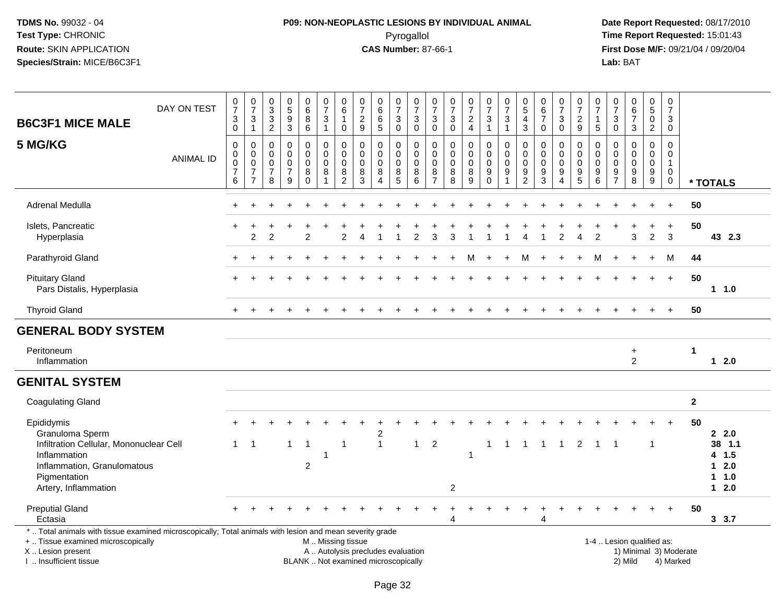# **P09: NON-NEOPLASTIC LESIONS BY INDIVIDUAL ANIMAL**Pyrogallol **Time Report Requested:** 15:01:43

| <b>B6C3F1 MICE MALE</b>                                                                                                                                                                       | DAY ON TEST      | $\frac{0}{7}$<br>$\ensuremath{\mathsf{3}}$<br>$\mathbf 0$        | $\frac{0}{7}$<br>3<br>$\mathbf{1}$                                  | $\mathbf 0$<br>$\mathbf{3}$<br>3<br>$\overline{2}$            | $\begin{array}{c} 0 \\ 5 \\ 9 \end{array}$<br>3        | $\pmb{0}$<br>$6\phantom{a}$<br>8<br>$6\phantom{a}$ | $\frac{0}{7}$<br>$\ensuremath{\mathsf{3}}$<br>$\mathbf{1}$ | $\begin{array}{c} 0 \\ 6 \end{array}$<br>$\mathbf{1}$<br>$\mathbf 0$ | $\begin{array}{c} 0 \\ 7 \end{array}$<br>$\sqrt{2}$<br>9                 | 0<br>6<br>$\,6\,$<br>$\sqrt{5}$                             | 0<br>$\overline{7}$<br>$\ensuremath{\mathsf{3}}$<br>$\mathbf 0$ | 0<br>$\overline{7}$<br>3<br>0 | 0<br>$\overline{7}$<br>$_{\rm 0}^3$                                      | $\frac{0}{7}$<br>$\ensuremath{\mathsf{3}}$<br>$\mathsf{O}\xspace$ | $\frac{0}{7}$<br>$\frac{2}{4}$                                       | $\frac{0}{7}$<br>$\sqrt{3}$<br>$\mathbf{1}$                                  | $\frac{0}{7}$<br>$\ensuremath{\mathsf{3}}$<br>$\mathbf{1}$ | 0<br>$\overline{5}$<br>$\overline{4}$<br>$\mathfrak{Z}$                      | $\begin{array}{c} 0 \\ 6 \\ 7 \end{array}$<br>$\mathbf 0$                  | 0<br>$\overline{7}$<br>$\sqrt{3}$<br>$\mathbf 0$    | $\frac{0}{7}$<br>$\frac{2}{9}$                                          | 0<br>$\overline{7}$<br>$\mathbf{1}$<br>$\sqrt{5}$ | 0<br>$\overline{7}$<br>$\ensuremath{\mathsf{3}}$<br>$\mathbf 0$ | $\begin{array}{c} 0 \\ 6 \\ 7 \end{array}$<br>3 | $\pmb{0}$<br>$\overline{5}$<br>$\pmb{0}$<br>$\overline{2}$ | 0<br>$\overline{7}$<br>3<br>$\mathbf 0$                                |                        |                                           |
|-----------------------------------------------------------------------------------------------------------------------------------------------------------------------------------------------|------------------|------------------------------------------------------------------|---------------------------------------------------------------------|---------------------------------------------------------------|--------------------------------------------------------|----------------------------------------------------|------------------------------------------------------------|----------------------------------------------------------------------|--------------------------------------------------------------------------|-------------------------------------------------------------|-----------------------------------------------------------------|-------------------------------|--------------------------------------------------------------------------|-------------------------------------------------------------------|----------------------------------------------------------------------|------------------------------------------------------------------------------|------------------------------------------------------------|------------------------------------------------------------------------------|----------------------------------------------------------------------------|-----------------------------------------------------|-------------------------------------------------------------------------|---------------------------------------------------|-----------------------------------------------------------------|-------------------------------------------------|------------------------------------------------------------|------------------------------------------------------------------------|------------------------|-------------------------------------------|
| 5 MG/KG                                                                                                                                                                                       | <b>ANIMAL ID</b> | $\mathbf 0$<br>$\pmb{0}$<br>$\mathbf 0$<br>$\boldsymbol{7}$<br>6 | 0<br>$\mathbf 0$<br>$\mathbf 0$<br>$\overline{7}$<br>$\overline{7}$ | $\mathbf 0$<br>$\Omega$<br>$\mathbf 0$<br>$\overline{7}$<br>8 | 0<br>$\mathbf 0$<br>$\mathbf 0$<br>$\overline{7}$<br>9 | 0<br>$\mathbf 0$<br>$\mathbf 0$<br>8<br>$\Omega$   | 0<br>$\mathbf 0$<br>$\mathbf 0$<br>8<br>$\overline{1}$     | 0<br>$\mathbf 0$<br>$\mathbf 0$<br>8<br>$\overline{2}$               | $\mathbf 0$<br>$\mathbf{0}$<br>$\mathbf 0$<br>8<br>3                     | 0<br>$\mathbf 0$<br>$\mathbf 0$<br>$\bf8$<br>$\overline{4}$ | 0<br>$\mathbf 0$<br>$\mathbf 0$<br>$\,8\,$<br>5                 | 0<br>$\Omega$<br>0<br>8<br>6  | 0<br>$\mathbf 0$<br>$\mathbf 0$<br>$\begin{array}{c} 8 \\ 7 \end{array}$ | $\mathbf 0$<br>$\mathbf 0$<br>$\mathbf 0$<br>$\,8\,$<br>8         | 0<br>$\mathsf{O}\xspace$<br>$\mathbf 0$<br>$\bf 8$<br>$\overline{9}$ | $\mathbf 0$<br>$\mathbf 0$<br>$\mathbf 0$<br>$\boldsymbol{9}$<br>$\mathbf 0$ | 0<br>$\Omega$<br>0<br>9                                    | $\mathbf 0$<br>$\Omega$<br>$\mathbf 0$<br>$\boldsymbol{9}$<br>$\overline{2}$ | $\mathbf 0$<br>$\Omega$<br>$\mathbf 0$<br>$\boldsymbol{9}$<br>$\mathbf{3}$ | 0<br>$\Omega$<br>$\mathbf 0$<br>9<br>$\overline{4}$ | $\mathbf 0$<br>$\mathbf 0$<br>$\boldsymbol{0}$<br>$\boldsymbol{9}$<br>5 | 0<br>$\Omega$<br>0<br>9<br>6                      | 0<br>$\Omega$<br>0<br>9<br>$\overline{7}$                       | 0<br>$\mathbf 0$<br>0<br>9<br>8                 | 0<br>$\mathbf 0$<br>$\mathbf 0$<br>$\boldsymbol{9}$<br>9   | $\mathbf 0$<br>$\mathbf 0$<br>$\mathbf{1}$<br>$\mathbf 0$<br>$\pmb{0}$ |                        | * TOTALS                                  |
| Adrenal Medulla                                                                                                                                                                               |                  |                                                                  |                                                                     |                                                               |                                                        |                                                    |                                                            |                                                                      |                                                                          |                                                             |                                                                 |                               |                                                                          |                                                                   |                                                                      |                                                                              |                                                            |                                                                              |                                                                            |                                                     |                                                                         |                                                   |                                                                 |                                                 |                                                            | $\ddot{}$                                                              | 50                     |                                           |
| Islets, Pancreatic<br>Hyperplasia                                                                                                                                                             |                  |                                                                  | $\overline{2}$                                                      | $\mathcal{P}$                                                 |                                                        | $\overline{2}$                                     |                                                            | $\overline{2}$                                                       |                                                                          |                                                             |                                                                 | $\mathcal{P}$                 |                                                                          |                                                                   |                                                                      |                                                                              |                                                            |                                                                              |                                                                            | 2                                                   |                                                                         | 2                                                 |                                                                 | 3                                               | $\overline{2}$                                             | $\ddot{}$<br>$\mathbf{3}$                                              | 50                     | 43 2.3                                    |
| Parathyroid Gland                                                                                                                                                                             |                  |                                                                  |                                                                     |                                                               |                                                        |                                                    |                                                            |                                                                      |                                                                          |                                                             |                                                                 |                               |                                                                          |                                                                   | м                                                                    |                                                                              |                                                            | м                                                                            | $\ddot{}$                                                                  | $\ddot{}$                                           |                                                                         | М                                                 |                                                                 | $\ddot{}$                                       | $\ddot{}$                                                  | М                                                                      | 44                     |                                           |
| <b>Pituitary Gland</b><br>Pars Distalis, Hyperplasia                                                                                                                                          |                  |                                                                  |                                                                     |                                                               |                                                        |                                                    |                                                            |                                                                      |                                                                          |                                                             |                                                                 |                               |                                                                          |                                                                   |                                                                      |                                                                              |                                                            |                                                                              |                                                                            |                                                     |                                                                         |                                                   |                                                                 |                                                 |                                                            | $\ddot{}$                                                              | 50                     | 11.0                                      |
| <b>Thyroid Gland</b>                                                                                                                                                                          |                  |                                                                  |                                                                     |                                                               |                                                        |                                                    |                                                            |                                                                      |                                                                          |                                                             |                                                                 |                               |                                                                          |                                                                   |                                                                      |                                                                              |                                                            |                                                                              |                                                                            |                                                     |                                                                         |                                                   |                                                                 |                                                 |                                                            | $\ddot{}$                                                              | 50                     |                                           |
| <b>GENERAL BODY SYSTEM</b>                                                                                                                                                                    |                  |                                                                  |                                                                     |                                                               |                                                        |                                                    |                                                            |                                                                      |                                                                          |                                                             |                                                                 |                               |                                                                          |                                                                   |                                                                      |                                                                              |                                                            |                                                                              |                                                                            |                                                     |                                                                         |                                                   |                                                                 |                                                 |                                                            |                                                                        |                        |                                           |
| Peritoneum<br>Inflammation                                                                                                                                                                    |                  |                                                                  |                                                                     |                                                               |                                                        |                                                    |                                                            |                                                                      |                                                                          |                                                             |                                                                 |                               |                                                                          |                                                                   |                                                                      |                                                                              |                                                            |                                                                              |                                                                            |                                                     |                                                                         |                                                   |                                                                 | $\ddot{}$<br>2                                  |                                                            |                                                                        | $\mathbf 1$            | $12.0$                                    |
| <b>GENITAL SYSTEM</b>                                                                                                                                                                         |                  |                                                                  |                                                                     |                                                               |                                                        |                                                    |                                                            |                                                                      |                                                                          |                                                             |                                                                 |                               |                                                                          |                                                                   |                                                                      |                                                                              |                                                            |                                                                              |                                                                            |                                                     |                                                                         |                                                   |                                                                 |                                                 |                                                            |                                                                        |                        |                                           |
| <b>Coagulating Gland</b>                                                                                                                                                                      |                  |                                                                  |                                                                     |                                                               |                                                        |                                                    |                                                            |                                                                      |                                                                          |                                                             |                                                                 |                               |                                                                          |                                                                   |                                                                      |                                                                              |                                                            |                                                                              |                                                                            |                                                     |                                                                         |                                                   |                                                                 |                                                 |                                                            |                                                                        | $\mathbf{2}$           |                                           |
| Epididymis<br>Granuloma Sperm<br>Infiltration Cellular, Mononuclear Cell<br>Inflammation<br>Inflammation, Granulomatous<br>Pigmentation                                                       |                  | $\mathbf{1}$                                                     | $\mathbf{1}$                                                        |                                                               | $\mathbf{1}$                                           | $\mathbf 1$<br>$\overline{c}$                      | -1                                                         | $\overline{1}$                                                       |                                                                          | 2<br>$\mathbf{1}$                                           |                                                                 | $\mathbf{1}$                  | $\overline{2}$                                                           |                                                                   | $\overline{\phantom{a}}$                                             | 1                                                                            | 1                                                          | -1                                                                           | $\overline{1}$                                                             | $\overline{1}$                                      | 2                                                                       | $\mathbf{1}$                                      |                                                                 |                                                 | $\mathbf{1}$                                               |                                                                        | 50                     | 2.0<br>38 1.1<br>4 1.5<br>$12.0$<br>1 1.0 |
| Artery, Inflammation                                                                                                                                                                          |                  |                                                                  |                                                                     |                                                               |                                                        |                                                    |                                                            |                                                                      |                                                                          |                                                             |                                                                 |                               |                                                                          | $\overline{2}$                                                    |                                                                      |                                                                              |                                                            |                                                                              |                                                                            |                                                     |                                                                         |                                                   |                                                                 |                                                 |                                                            |                                                                        |                        | $12.0$                                    |
| <b>Preputial Gland</b><br>Ectasia                                                                                                                                                             |                  |                                                                  |                                                                     |                                                               |                                                        |                                                    |                                                            |                                                                      |                                                                          |                                                             |                                                                 |                               |                                                                          | $\overline{4}$                                                    |                                                                      |                                                                              |                                                            |                                                                              | $\overline{4}$                                                             |                                                     |                                                                         |                                                   |                                                                 |                                                 |                                                            |                                                                        | 50                     | 3, 3.7                                    |
| *  Total animals with tissue examined microscopically; Total animals with lesion and mean severity grade<br>+  Tissue examined microscopically<br>X  Lesion present<br>I  Insufficient tissue |                  |                                                                  |                                                                     |                                                               |                                                        |                                                    | M  Missing tissue                                          |                                                                      | A  Autolysis precludes evaluation<br>BLANK  Not examined microscopically |                                                             |                                                                 |                               |                                                                          |                                                                   |                                                                      |                                                                              |                                                            |                                                                              |                                                                            |                                                     |                                                                         |                                                   | 1-4  Lesion qualified as:                                       | 2) Mild                                         |                                                            | 4) Marked                                                              | 1) Minimal 3) Moderate |                                           |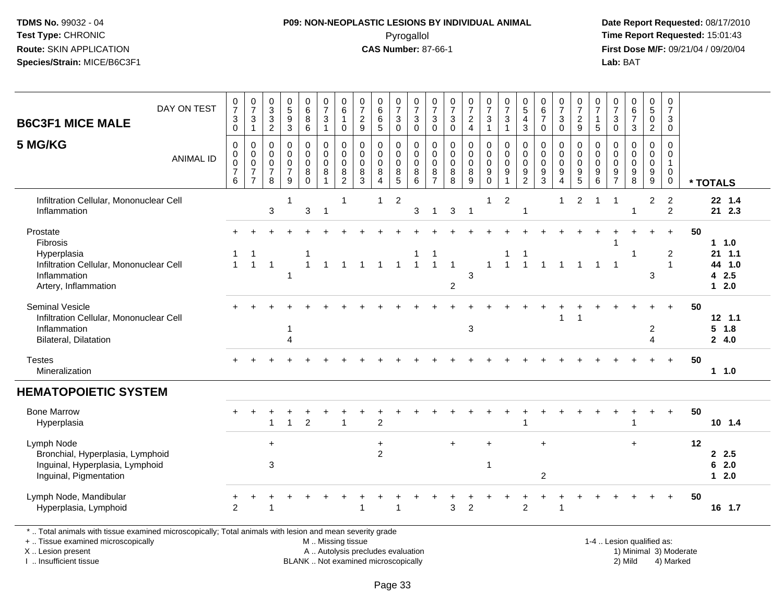# **P09: NON-NEOPLASTIC LESIONS BY INDIVIDUAL ANIMAL**Pyrogallol **Time Report Requested:** 15:01:43

 **Date Report Requested:** 08/17/2010 **First Dose M/F:** 09/21/04 / 09/20/04<br>Lab: BAT **Lab:** BAT

| DAY ON TEST<br><b>B6C3F1 MICE MALE</b>                                                                                 | $\frac{0}{7}$<br>3<br>$\mathbf 0$                            | $\frac{0}{7}$<br>$\ensuremath{\mathsf{3}}$<br>$\mathbf{1}$                          | $_3^0$<br>$\mathsf 3$<br>$\overline{2}$      | 0<br>5<br>9<br>3                                                                 | $_{6}^{\rm 0}$<br>8<br>6                         | $\begin{array}{c} 0 \\ 7 \end{array}$<br>$\mathbf{3}$<br>$\mathbf{1}$ | 0<br>$6\phantom{a}$<br>$\mathbf{1}$<br>$\mathbf 0$ | $\frac{0}{7}$<br>$\frac{2}{9}$                                               | $\begin{matrix} 0 \\ 6 \\ 6 \end{matrix}$<br>5   | $\frac{0}{7}$<br>$\ensuremath{\mathsf{3}}$<br>$\mathsf{O}\xspace$ | $\frac{0}{7}$<br>$\ensuremath{\mathsf{3}}$<br>$\mathsf{O}\xspace$                             | $\frac{0}{7}$<br>$\sqrt{3}$<br>$\mathsf 0$                                   | $\frac{0}{7}$<br>$\ensuremath{\mathsf{3}}$<br>$\mathbf 0$       | $\frac{0}{7}$<br>$\overline{2}$<br>$\overline{4}$      | $\frac{0}{7}$<br>$\sqrt{3}$<br>$\mathbf{1}$                                            | $\frac{0}{7}$<br>$\mathbf{3}$<br>$\mathbf{1}$                                    | $\begin{smallmatrix}0\0\5\end{smallmatrix}$<br>$\overline{4}$<br>$\mathbf{3}$ | $\begin{array}{c} 0 \\ 6 \\ 7 \end{array}$<br>$\mathbf 0$           | $\frac{0}{7}$<br>$\mathbf 3$<br>$\mathbf 0$                           | $\frac{0}{7}$<br>$\sqrt{2}$<br>$9\,$                                  | $\frac{0}{7}$<br>$\mathbf{1}$<br>$\sqrt{5}$                  | $\frac{0}{7}$<br>$\ensuremath{\mathsf{3}}$<br>$\mathsf 0$           | $\begin{array}{c} 0 \\ 6 \\ 7 \end{array}$<br>3                                             | $\begin{array}{c} 0 \\ 5 \end{array}$<br>$\mathbf 0$<br>$\overline{2}$ | 0<br>$\overline{7}$<br>3<br>0              |    |                                               |
|------------------------------------------------------------------------------------------------------------------------|--------------------------------------------------------------|-------------------------------------------------------------------------------------|----------------------------------------------|----------------------------------------------------------------------------------|--------------------------------------------------|-----------------------------------------------------------------------|----------------------------------------------------|------------------------------------------------------------------------------|--------------------------------------------------|-------------------------------------------------------------------|-----------------------------------------------------------------------------------------------|------------------------------------------------------------------------------|-----------------------------------------------------------------|--------------------------------------------------------|----------------------------------------------------------------------------------------|----------------------------------------------------------------------------------|-------------------------------------------------------------------------------|---------------------------------------------------------------------|-----------------------------------------------------------------------|-----------------------------------------------------------------------|--------------------------------------------------------------|---------------------------------------------------------------------|---------------------------------------------------------------------------------------------|------------------------------------------------------------------------|--------------------------------------------|----|-----------------------------------------------|
| 5 MG/KG<br><b>ANIMAL ID</b>                                                                                            | $\pmb{0}$<br>$\mathbf 0$<br>$\bar{0}$<br>$\overline{7}$<br>6 | $\pmb{0}$<br>$\mathbf 0$<br>$\ddot{\mathbf{0}}$<br>$\overline{7}$<br>$\overline{7}$ | 0<br>0<br>$\mathbf 0$<br>$\overline{7}$<br>8 | $\mathbf 0$<br>$\mathsf{O}\xspace$<br>$\ddot{\mathbf{0}}$<br>$\overline{7}$<br>9 | 0<br>$\mathbf 0$<br>$\mathbf 0$<br>8<br>$\Omega$ | $\pmb{0}$<br>$\pmb{0}$<br>$\mathbf 0$<br>$\,8\,$<br>$\overline{1}$    | $\pmb{0}$<br>$\mathbf 0$<br>$\mathbf 0$<br>8<br>2  | $\pmb{0}$<br>$\mathsf 0$<br>$\ddot{\mathbf{0}}$<br>$\bf 8$<br>$\overline{3}$ | $\pmb{0}$<br>$\mathsf{O}$<br>$\pmb{0}$<br>8<br>4 | 0<br>$\pmb{0}$<br>$\bar{0}$<br>8<br>$\overline{5}$                | $\mathbf 0$<br>$\mathsf{O}\xspace$<br>$\ddot{\mathbf{0}}$<br>$\overline{8}$<br>$6\phantom{1}$ | $\pmb{0}$<br>$\mathbf 0$<br>$\mathsf{O}\xspace$<br>$\bf 8$<br>$\overline{7}$ | $\pmb{0}$<br>$\mathbf 0$<br>$\ddot{\mathbf{0}}$<br>$\bf 8$<br>8 | 0<br>$\mathbf 0$<br>$\mathbf 0$<br>8<br>$\overline{9}$ | $\begin{smallmatrix}0\\0\\0\end{smallmatrix}$<br>$\overline{9}$<br>$\ddot{\mathbf{0}}$ | $\pmb{0}$<br>$\mathsf{O}\xspace$<br>$\ddot{\mathbf{0}}$<br>$\boldsymbol{9}$<br>1 | $\pmb{0}$<br>$\pmb{0}$<br>$\pmb{0}$<br>$\boldsymbol{9}$<br>$\overline{2}$     | $\mathbf 0$<br>$\mathbf 0$<br>$\overline{0}$<br>$\overline{9}$<br>3 | $\mathbf 0$<br>$\mathbf 0$<br>$\overline{0}$<br>$\boldsymbol{9}$<br>4 | 0<br>$\mathbf 0$<br>$\mathbf 0$<br>$\boldsymbol{9}$<br>$\overline{5}$ | $\mathbf 0$<br>$\mathbf 0$<br>$\boldsymbol{0}$<br>$9\,$<br>6 | 0<br>$\mathbf 0$<br>$\pmb{0}$<br>$\boldsymbol{9}$<br>$\overline{7}$ | $\boldsymbol{0}$<br>$\mathsf{O}$<br>$\mathsf{O}\xspace$<br>$\overline{9}$<br>$\overline{8}$ | $\pmb{0}$<br>$\mathsf{O}\xspace$<br>$\overline{0}$<br>$\frac{9}{9}$    | $\mathbf 0$<br>0<br>$\mathbf{1}$<br>0<br>0 |    | * TOTALS                                      |
| Infiltration Cellular, Mononuclear Cell<br>Inflammation                                                                |                                                              |                                                                                     | 3                                            | 1                                                                                | 3                                                | $\overline{1}$                                                        | $\mathbf 1$                                        |                                                                              | $\mathbf{1}$                                     | $\overline{c}$                                                    | 3                                                                                             | $\overline{1}$                                                               | 3                                                               | $\overline{1}$                                         |                                                                                        | $\boldsymbol{2}$                                                                 | $\overline{1}$                                                                |                                                                     | 1                                                                     | $\overline{c}$                                                        | 1                                                            |                                                                     | 1                                                                                           | $\overline{c}$                                                         | $\boldsymbol{2}$<br>2                      |    | 22 1.4<br>21 2.3                              |
| Prostate<br>Fibrosis<br>Hyperplasia<br>Infiltration Cellular, Mononuclear Cell<br>Inflammation<br>Artery, Inflammation | 1                                                            | -1<br>$\overline{1}$                                                                |                                              | -1                                                                               |                                                  | $\overline{1}$                                                        |                                                    |                                                                              | $\overline{1}$                                   |                                                                   | $\mathbf 1$<br>$\overline{1}$                                                                 | -1<br>$\overline{1}$                                                         | $\overline{1}$<br>$\overline{c}$                                | 3                                                      | $\mathbf{1}$                                                                           | -1<br>$\overline{1}$                                                             | $\overline{1}$                                                                | $\overline{1}$                                                      | $\overline{\mathbf{1}}$                                               | $\overline{1}$                                                        | 1                                                            | $\overline{1}$                                                      | -1                                                                                          | 3                                                                      | $+$<br>$\overline{a}$<br>$\mathbf{1}$      | 50 | 1 1.0<br>$21$ 1.1<br>44 1.0<br>42.5<br>$12.0$ |
| <b>Seminal Vesicle</b><br>Infiltration Cellular, Mononuclear Cell<br>Inflammation<br>Bilateral, Dilatation             |                                                              |                                                                                     |                                              | -1<br>4                                                                          |                                                  |                                                                       |                                                    |                                                                              |                                                  |                                                                   |                                                                                               |                                                                              |                                                                 | 3                                                      |                                                                                        |                                                                                  |                                                                               |                                                                     | 1                                                                     |                                                                       |                                                              |                                                                     |                                                                                             | $\overline{2}$<br>4                                                    | $+$                                        | 50 | $12$ 1.1<br>$5 \t1.8$<br>24.0                 |
| <b>Testes</b><br>Mineralization                                                                                        |                                                              |                                                                                     |                                              |                                                                                  |                                                  |                                                                       |                                                    |                                                                              |                                                  |                                                                   |                                                                                               |                                                                              |                                                                 |                                                        |                                                                                        |                                                                                  |                                                                               |                                                                     |                                                                       |                                                                       |                                                              |                                                                     |                                                                                             |                                                                        | $+$                                        | 50 | 1 1.0                                         |
| <b>HEMATOPOIETIC SYSTEM</b>                                                                                            |                                                              |                                                                                     |                                              |                                                                                  |                                                  |                                                                       |                                                    |                                                                              |                                                  |                                                                   |                                                                                               |                                                                              |                                                                 |                                                        |                                                                                        |                                                                                  |                                                                               |                                                                     |                                                                       |                                                                       |                                                              |                                                                     |                                                                                             |                                                                        |                                            |    |                                               |
| <b>Bone Marrow</b><br>Hyperplasia                                                                                      |                                                              |                                                                                     | $\mathbf{1}$                                 | $\overline{1}$                                                                   | $\overline{2}$                                   |                                                                       | 1                                                  |                                                                              | $\overline{2}$                                   |                                                                   |                                                                                               |                                                                              |                                                                 |                                                        |                                                                                        |                                                                                  |                                                                               |                                                                     |                                                                       |                                                                       |                                                              |                                                                     |                                                                                             |                                                                        | $+$                                        | 50 | $10$ 1.4                                      |
| Lymph Node<br>Bronchial, Hyperplasia, Lymphoid<br>Inguinal, Hyperplasia, Lymphoid<br>Inguinal, Pigmentation            |                                                              |                                                                                     | $\ddot{}$<br>3                               |                                                                                  |                                                  |                                                                       |                                                    |                                                                              | $\ddot{}$<br>$\overline{c}$                      |                                                                   |                                                                                               |                                                                              | ÷                                                               |                                                        | -1                                                                                     |                                                                                  |                                                                               | $\overline{1}$<br>$\overline{2}$                                    |                                                                       |                                                                       |                                                              |                                                                     | $+$                                                                                         |                                                                        |                                            | 12 | 2.5<br>62.0<br>$12.0$                         |
| Lymph Node, Mandibular<br>Hyperplasia, Lymphoid                                                                        | $\ddot{}$<br>$\overline{2}$                                  | $\pm$                                                                               |                                              |                                                                                  |                                                  |                                                                       |                                                    |                                                                              |                                                  |                                                                   |                                                                                               |                                                                              | 3                                                               | $\overline{c}$                                         |                                                                                        |                                                                                  | $\overline{c}$                                                                |                                                                     |                                                                       |                                                                       |                                                              |                                                                     |                                                                                             |                                                                        | $\ddot{}$                                  | 50 | 16 1.7                                        |

\* .. Total animals with tissue examined microscopically; Total animals with lesion and mean severity grade

+ .. Tissue examined microscopically

X .. Lesion present

I .. Insufficient tissue

 M .. Missing tissueA .. Autolysis precludes evaluation

BLANK .. Not examined microscopically 2) Mild 4) Marked

1-4 .. Lesion qualified as:<br>1) Minimal 3) Moderate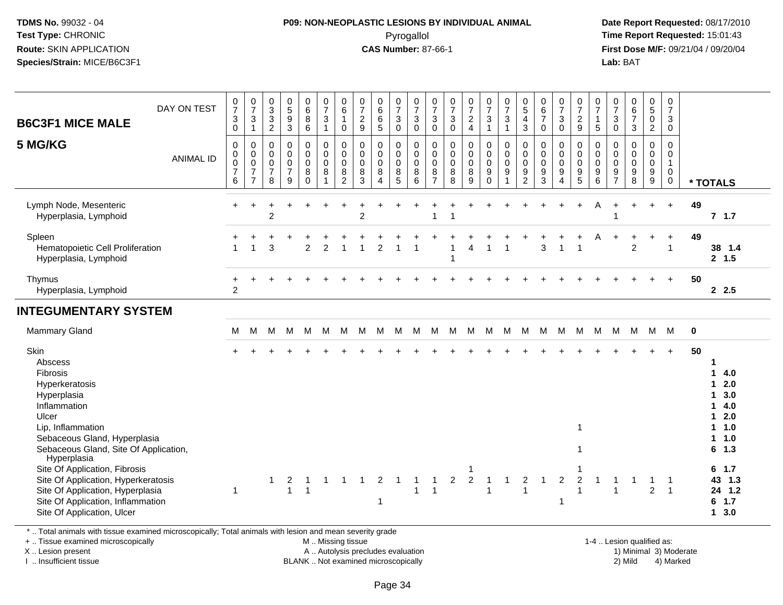# **P09: NON-NEOPLASTIC LESIONS BY INDIVIDUAL ANIMAL**Pyrogallol **Time Report Requested:** 15:01:43

 **Date Report Requested:** 08/17/2010 **First Dose M/F:** 09/21/04 / 09/20/04<br>**Lab:** BAT **Lab:** BAT

| <b>B6C3F1 MICE MALE</b>                                                                                                                                                                    | DAY ON TEST      | $\frac{0}{7}$<br>3<br>0                               | $\frac{0}{7}$<br>$\mathbf{3}$<br>$\mathbf{1}$                   | $\begin{smallmatrix}0\\3\\3\end{smallmatrix}$<br>$\overline{c}$ | 0<br>9<br>3                                                  | $\begin{matrix} 0 \\ 6 \end{matrix}$<br>8<br>$\,6\,$ | $\begin{array}{c} 0 \\ 7 \end{array}$<br>$\mathbf{3}$<br>$\mathbf{1}$ | 0<br>$\overline{6}$<br>$\mathbf{1}$<br>0             | $\frac{0}{7}$<br>$\sqrt{2}$<br>$\overline{9}$ | $\begin{array}{c} 0 \\ 6 \end{array}$<br>$6\phantom{a}$<br>$\overline{5}$ | $\frac{0}{7}$<br>$\sqrt{3}$<br>$\mathbf 0$             | $\frac{0}{7}$<br>$\mathbf{3}$<br>$\mathbf 0$               | 0<br>$\overline{7}$<br>$\mathfrak{S}$<br>0 | $\frac{0}{7}$<br>$\mathbf{3}$<br>$\pmb{0}$ | $\frac{0}{7}$<br>$\sqrt{2}$<br>$\overline{4}$       | $\frac{0}{7}$<br>$\mathsf 3$<br>$\overline{1}$                                | $\frac{0}{7}$<br>$\mathsf 3$<br>$\mathbf{1}$                                     | $^{\rm 0}_{\rm 5}$<br>$\overline{4}$<br>$\mathbf{3}$   | $\begin{array}{c} 0 \\ 6 \end{array}$<br>$\overline{7}$<br>$\pmb{0}$ | $\frac{0}{7}$<br>$\sqrt{3}$<br>$\overline{0}$                           | $\begin{smallmatrix}0\\7\end{smallmatrix}$<br>$\frac{2}{9}$            | 0<br>$\overline{7}$<br>$\mathbf{1}$<br>5                         | 0<br>$\overline{7}$<br>$\mathbf{3}$<br>$\boldsymbol{0}$    | $067$<br>3                                                         | $0$<br>$5$<br>$0$<br>$\overline{2}$                                      | $\frac{0}{7}$<br>3<br>$\mathbf 0$                              |             |                                                                                                                                      |
|--------------------------------------------------------------------------------------------------------------------------------------------------------------------------------------------|------------------|-------------------------------------------------------|-----------------------------------------------------------------|-----------------------------------------------------------------|--------------------------------------------------------------|------------------------------------------------------|-----------------------------------------------------------------------|------------------------------------------------------|-----------------------------------------------|---------------------------------------------------------------------------|--------------------------------------------------------|------------------------------------------------------------|--------------------------------------------|--------------------------------------------|-----------------------------------------------------|-------------------------------------------------------------------------------|----------------------------------------------------------------------------------|--------------------------------------------------------|----------------------------------------------------------------------|-------------------------------------------------------------------------|------------------------------------------------------------------------|------------------------------------------------------------------|------------------------------------------------------------|--------------------------------------------------------------------|--------------------------------------------------------------------------|----------------------------------------------------------------|-------------|--------------------------------------------------------------------------------------------------------------------------------------|
| 5 MG/KG                                                                                                                                                                                    | <b>ANIMAL ID</b> | $\mathbf 0$<br>0<br>$\mbox{O}$<br>$\overline{7}$<br>6 | $\pmb{0}$<br>0<br>$\pmb{0}$<br>$\overline{7}$<br>$\overline{7}$ | $\pmb{0}$<br>$\pmb{0}$<br>$\pmb{0}$<br>$\overline{7}$<br>8      | $\pmb{0}$<br>$\pmb{0}$<br>$\mathbf 0$<br>$\overline{7}$<br>9 | 0<br>$\mathbf 0$<br>$\mathbf 0$<br>8<br>$\mathbf 0$  | $\pmb{0}$<br>$\pmb{0}$<br>$\pmb{0}$<br>$\, 8$<br>$\mathbf{1}$         | 0<br>$\mathbf 0$<br>$\pmb{0}$<br>8<br>$\overline{c}$ | 0<br>$\mathbf 0$<br>$\pmb{0}$<br>$\bf 8$<br>3 | $\pmb{0}$<br>$\mathbf 0$<br>$\pmb{0}$<br>$\bf8$<br>$\boldsymbol{\Lambda}$ | 0<br>$\mathbf 0$<br>$\mathbf 0$<br>8<br>$\overline{5}$ | $\,0\,$<br>$\mathbf 0$<br>$\,0\,$<br>$\boldsymbol{8}$<br>6 | 0<br>$\pmb{0}$<br>0<br>8<br>$\overline{7}$ | 0<br>$\pmb{0}$<br>0<br>$\bf 8$<br>8        | $\pmb{0}$<br>$\pmb{0}$<br>$\pmb{0}$<br>$\bf 8$<br>9 | $\mathbf 0$<br>$\mathsf{O}\xspace$<br>$\mathsf{O}\xspace$<br>9<br>$\mathbf 0$ | $\pmb{0}$<br>$\mathsf{O}\xspace$<br>$\mathsf{O}\xspace$<br>$9\,$<br>$\mathbf{1}$ | 0<br>$\mathbf 0$<br>$\mathbf 0$<br>9<br>$\overline{c}$ | 0<br>$\pmb{0}$<br>$\pmb{0}$<br>$\boldsymbol{9}$<br>3                 | $\pmb{0}$<br>$\pmb{0}$<br>$\pmb{0}$<br>$9\,$<br>$\overline{\mathbf{4}}$ | 0<br>$\mathbf 0$<br>$\mathbf 0$<br>$\boldsymbol{9}$<br>$5\phantom{.0}$ | 0<br>$\mathsf{O}\xspace$<br>$\mathbf 0$<br>$\boldsymbol{9}$<br>6 | 0<br>$\mathbf 0$<br>$\mathbf 0$<br>$9\,$<br>$\overline{7}$ | $\mathbf 0$<br>$\mathbf 0$<br>$\mathsf 0$<br>$\boldsymbol{9}$<br>8 | $\pmb{0}$<br>$\mathsf{O}\xspace$<br>$\ddot{\mathbf{0}}$<br>$\frac{9}{9}$ | 0<br>$\mathbf 0$<br>$\mathbf{1}$<br>$\mathbf 0$<br>$\mathbf 0$ |             | * TOTALS                                                                                                                             |
| Lymph Node, Mesenteric<br>Hyperplasia, Lymphoid                                                                                                                                            |                  |                                                       |                                                                 | $\overline{c}$                                                  |                                                              |                                                      |                                                                       |                                                      | $\overline{2}$                                |                                                                           |                                                        |                                                            | 1                                          |                                            |                                                     |                                                                               |                                                                                  |                                                        |                                                                      |                                                                         |                                                                        | Α                                                                |                                                            |                                                                    | $\ddot{}$                                                                | $+$                                                            | 49          | $7$ 1.7                                                                                                                              |
| Spleen<br>Hematopoietic Cell Proliferation<br>Hyperplasia, Lymphoid                                                                                                                        |                  |                                                       | $\overline{1}$                                                  | 3                                                               |                                                              | $\overline{2}$                                       | $\overline{2}$                                                        |                                                      |                                               | $\overline{2}$                                                            |                                                        |                                                            |                                            |                                            | $\overline{A}$                                      | 1                                                                             | 1                                                                                |                                                        | 3                                                                    | $\overline{1}$                                                          |                                                                        | Α                                                                |                                                            | $\overline{2}$                                                     | $\ddot{}$                                                                | $\ddot{}$<br>$\overline{1}$                                    | 49          | 38 1.4<br>2, 1.5                                                                                                                     |
| Thymus<br>Hyperplasia, Lymphoid                                                                                                                                                            |                  | $\overline{2}$                                        |                                                                 |                                                                 |                                                              |                                                      |                                                                       |                                                      |                                               |                                                                           |                                                        |                                                            |                                            |                                            |                                                     |                                                                               |                                                                                  |                                                        |                                                                      |                                                                         |                                                                        |                                                                  |                                                            |                                                                    |                                                                          | $+$                                                            | 50          | 2.5                                                                                                                                  |
| <b>INTEGUMENTARY SYSTEM</b>                                                                                                                                                                |                  |                                                       |                                                                 |                                                                 |                                                              |                                                      |                                                                       |                                                      |                                               |                                                                           |                                                        |                                                            |                                            |                                            |                                                     |                                                                               |                                                                                  |                                                        |                                                                      |                                                                         |                                                                        |                                                                  |                                                            |                                                                    |                                                                          |                                                                |             |                                                                                                                                      |
| Mammary Gland                                                                                                                                                                              |                  | м                                                     | M                                                               | M                                                               | м                                                            | M                                                    | M                                                                     | M                                                    | M                                             | M                                                                         | м                                                      | M                                                          | M                                          | M                                          | M                                                   | M                                                                             | M                                                                                | M                                                      | M                                                                    | M                                                                       | M                                                                      | M                                                                | M                                                          | M                                                                  | M                                                                        | - M                                                            | $\mathbf 0$ |                                                                                                                                      |
| Skin<br>Abscess<br>Fibrosis<br>Hyperkeratosis<br>Hyperplasia<br>Inflammation<br>Ulcer<br>Lip, Inflammation<br>Sebaceous Gland, Hyperplasia<br>Sebaceous Gland, Site Of Application,        |                  |                                                       |                                                                 |                                                                 |                                                              |                                                      |                                                                       |                                                      |                                               |                                                                           |                                                        |                                                            |                                            |                                            |                                                     |                                                                               |                                                                                  |                                                        |                                                                      |                                                                         |                                                                        |                                                                  |                                                            |                                                                    |                                                                          |                                                                | 50          | 4.0<br>1<br>2.0<br>$\mathbf 1$<br>3.0<br>$\blacktriangleleft$<br>4.0<br>1<br>2.0<br>1<br>1.0<br>1.<br>1.0<br>$\mathbf 1$<br>1.3<br>6 |
| Hyperplasia<br>Site Of Application, Fibrosis<br>Site Of Application, Hyperkeratosis<br>Site Of Application, Hyperplasia<br>Site Of Application, Inflammation<br>Site Of Application, Ulcer |                  | $\mathbf 1$                                           |                                                                 |                                                                 | $\overline{2}$<br>$\mathbf{1}$                               | -1<br>$\overline{1}$                                 | $\mathbf 1$                                                           |                                                      |                                               | $\overline{2}$<br>1                                                       | $\overline{1}$                                         | $\mathbf{1}$<br>$\mathbf{1}$                               | $\mathbf{1}$                               | $\overline{2}$                             | $\sqrt{2}$                                          | -1<br>-1                                                                      | 1                                                                                | 2<br>$\mathbf{1}$                                      |                                                                      | $\overline{2}$<br>-1                                                    | $\overline{c}$                                                         | $\overline{\mathbf{1}}$                                          | -1<br>$\mathbf{1}$                                         | -1                                                                 | -1<br>$\overline{2}$                                                     | -1<br>$\overline{1}$                                           |             | 6<br>1.7<br>43<br>1.3<br>24 1.2<br>1.7<br>6<br>3.0<br>$\mathbf{1}$                                                                   |

\* .. Total animals with tissue examined microscopically; Total animals with lesion and mean severity grade

+ .. Tissue examined microscopically

X .. Lesion present

I .. Insufficient tissue

M .. Missing tissue

A .. Autolysis precludes evaluation

BLANK .. Not examined microscopically 2) Mild 4) Marked

1-4 .. Lesion qualified as: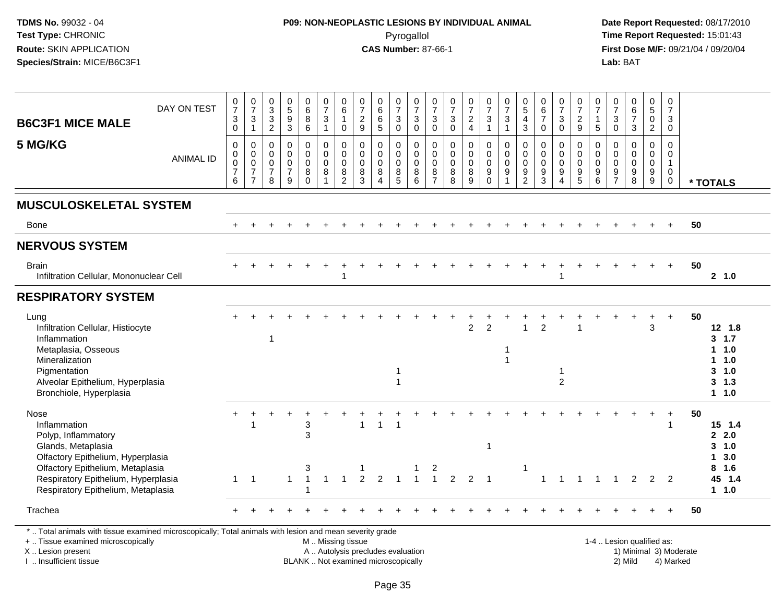# **P09: NON-NEOPLASTIC LESIONS BY INDIVIDUAL ANIMAL**Pyrogallol **Time Report Requested:** 15:01:43

 **Date Report Requested:** 08/17/2010 **First Dose M/F:** 09/21/04 / 09/20/04<br>Lab: BAT **Lab:** BAT

| DAY ON TEST<br><b>B6C3F1 MICE MALE</b>                                                                                                                                                                                  | $\frac{0}{7}$<br>$\sqrt{3}$<br>$\mathbf 0$                    | $\frac{0}{7}$<br>$\sqrt{3}$<br>$\mathbf{1}$                                   | $_{3}^{\rm 0}$<br>$\frac{3}{2}$                        | $\begin{array}{c} 0 \\ 5 \\ 9 \end{array}$<br>3                | $\begin{matrix} 0 \\ 6 \end{matrix}$<br>$\bf 8$<br>$6\phantom{1}$ | $\frac{0}{7}$<br>$\sqrt{3}$<br>$\overline{1}$                        | 0<br>$\,6\,$<br>$\overline{1}$<br>$\mathbf 0$ | $\frac{0}{7}$<br>$\overline{2}$<br>9                      | 0<br>$6\phantom{a}$<br>$\,6\,$<br>$\sqrt{5}$                           | $\frac{0}{7}$<br>$\mathbf{3}$<br>$\mathbf 0$               | 0<br>$\overline{7}$<br>$\sqrt{3}$<br>$\mathbf 0$    | $\frac{0}{7}$<br>$\ensuremath{\mathsf{3}}$<br>$\mathbf 0$ | $\frac{0}{7}$<br>$\sqrt{3}$<br>$\mathbf 0$        | $\begin{smallmatrix}0\\7\end{smallmatrix}$<br>$\overline{c}$<br>$\overline{4}$ | $\frac{0}{7}$<br>$\mathbf 3$<br>$\overline{1}$                            | 0<br>$\overline{7}$<br>$\mathbf{3}$<br>$\mathbf{1}$          | $\begin{array}{c} 0 \\ 5 \end{array}$<br>$\overline{4}$<br>3                    | 0<br>$6\phantom{a}$<br>$\overline{7}$<br>$\Omega$    | $\frac{0}{7}$<br>$\ensuremath{\mathsf{3}}$<br>$\mathbf 0$                       | $\frac{0}{7}$<br>$\overline{2}$<br>9                                       | 0<br>$\overline{7}$<br>$\mathbf{1}$<br>$5\phantom{.0}$                   | $\frac{0}{7}$<br>$\mathsf 3$<br>$\mathbf 0$                        | $\begin{array}{c} 0 \\ 6 \\ 7 \end{array}$<br>$\mathfrak{Z}$ | 0<br>$\overline{5}$<br>$\mathbf 0$<br>$\overline{2}$        | 0<br>$\overline{7}$<br>3<br>$\mathbf 0$                                 |    |                                                                       |
|-------------------------------------------------------------------------------------------------------------------------------------------------------------------------------------------------------------------------|---------------------------------------------------------------|-------------------------------------------------------------------------------|--------------------------------------------------------|----------------------------------------------------------------|-------------------------------------------------------------------|----------------------------------------------------------------------|-----------------------------------------------|-----------------------------------------------------------|------------------------------------------------------------------------|------------------------------------------------------------|-----------------------------------------------------|-----------------------------------------------------------|---------------------------------------------------|--------------------------------------------------------------------------------|---------------------------------------------------------------------------|--------------------------------------------------------------|---------------------------------------------------------------------------------|------------------------------------------------------|---------------------------------------------------------------------------------|----------------------------------------------------------------------------|--------------------------------------------------------------------------|--------------------------------------------------------------------|--------------------------------------------------------------|-------------------------------------------------------------|-------------------------------------------------------------------------|----|-----------------------------------------------------------------------|
| 5 MG/KG<br><b>ANIMAL ID</b>                                                                                                                                                                                             | $\Omega$<br>$\mathbf 0$<br>$\mathbf 0$<br>$\overline{7}$<br>6 | $\mathbf 0$<br>$\mathbf 0$<br>$\mathsf 0$<br>$\overline{7}$<br>$\overline{7}$ | $\mathbf 0$<br>0<br>0<br>$\overline{\mathcal{I}}$<br>8 | $\mathbf 0$<br>$\mathsf 0$<br>$\pmb{0}$<br>$\overline{7}$<br>9 | $\mathbf 0$<br>$\mathbf{0}$<br>$\mathbf 0$<br>8<br>$\mathbf 0$    | $\mathbf 0$<br>$\mathbf 0$<br>$\pmb{0}$<br>$\,8\,$<br>$\overline{1}$ | $\mathbf 0$<br>0<br>$\mathbf 0$<br>8<br>2     | $\mathbf 0$<br>$\mathbf 0$<br>$\mathbf 0$<br>$\,8\,$<br>3 | $\mathbf 0$<br>$\mathbf 0$<br>$\mathbf 0$<br>$\bf 8$<br>$\overline{A}$ | $\mathbf 0$<br>$\mathbf 0$<br>$\mathbf 0$<br>$\frac{8}{5}$ | $\mathbf 0$<br>$\mathbf 0$<br>$\mathbf 0$<br>8<br>6 | $\mathbf 0$<br>0<br>$\mathbf 0$<br>$\frac{8}{7}$          | $\mathbf 0$<br>$\pmb{0}$<br>$\pmb{0}$<br>$_{8}^8$ | $\mathbf{0}$<br>$\mathbf 0$<br>$\mathbf 0$<br>8<br>9                           | $\Omega$<br>$\mathbf 0$<br>$\mathbf 0$<br>$\boldsymbol{9}$<br>$\mathbf 0$ | $\mathbf 0$<br>0<br>$\mathbf 0$<br>9<br>$\blacktriangleleft$ | $\mathbf 0$<br>$\mathbf 0$<br>$\mathbf 0$<br>$\boldsymbol{9}$<br>$\overline{2}$ | $\mathbf 0$<br>$\mathsf{O}$<br>$\mathbf 0$<br>9<br>3 | $\mathbf 0$<br>$\mathbf 0$<br>$\mathbf 0$<br>$\boldsymbol{9}$<br>$\overline{4}$ | $\mathbf 0$<br>$\mathsf{O}\xspace$<br>$\mathsf{O}\xspace$<br>$\frac{9}{5}$ | $\mathbf 0$<br>0<br>$\mathbf 0$<br>$\begin{array}{c} 9 \\ 6 \end{array}$ | $\mathbf 0$<br>$\mathbf 0$<br>$\ddot{\mathbf{0}}$<br>$\frac{9}{7}$ | $\mathbf 0$<br>$\mathbf 0$<br>$\mathbf 0$<br>$\frac{9}{8}$   | $\mathbf 0$<br>$\mathbf 0$<br>$\mathbf 0$<br>$_{9}^{\rm 9}$ | $\Omega$<br>$\mathbf 0$<br>$\overline{1}$<br>$\mathbf 0$<br>$\mathbf 0$ |    | * TOTALS                                                              |
| <b>MUSCULOSKELETAL SYSTEM</b>                                                                                                                                                                                           |                                                               |                                                                               |                                                        |                                                                |                                                                   |                                                                      |                                               |                                                           |                                                                        |                                                            |                                                     |                                                           |                                                   |                                                                                |                                                                           |                                                              |                                                                                 |                                                      |                                                                                 |                                                                            |                                                                          |                                                                    |                                                              |                                                             |                                                                         |    |                                                                       |
| Bone                                                                                                                                                                                                                    |                                                               |                                                                               |                                                        |                                                                |                                                                   |                                                                      |                                               |                                                           |                                                                        |                                                            |                                                     |                                                           |                                                   |                                                                                |                                                                           |                                                              |                                                                                 |                                                      |                                                                                 |                                                                            |                                                                          |                                                                    |                                                              |                                                             |                                                                         | 50 |                                                                       |
| <b>NERVOUS SYSTEM</b>                                                                                                                                                                                                   |                                                               |                                                                               |                                                        |                                                                |                                                                   |                                                                      |                                               |                                                           |                                                                        |                                                            |                                                     |                                                           |                                                   |                                                                                |                                                                           |                                                              |                                                                                 |                                                      |                                                                                 |                                                                            |                                                                          |                                                                    |                                                              |                                                             |                                                                         |    |                                                                       |
| <b>Brain</b><br>Infiltration Cellular, Mononuclear Cell                                                                                                                                                                 |                                                               |                                                                               |                                                        |                                                                |                                                                   |                                                                      |                                               |                                                           |                                                                        |                                                            |                                                     |                                                           |                                                   |                                                                                |                                                                           |                                                              |                                                                                 |                                                      |                                                                                 |                                                                            |                                                                          |                                                                    |                                                              |                                                             |                                                                         | 50 | 2, 1.0                                                                |
| <b>RESPIRATORY SYSTEM</b>                                                                                                                                                                                               |                                                               |                                                                               |                                                        |                                                                |                                                                   |                                                                      |                                               |                                                           |                                                                        |                                                            |                                                     |                                                           |                                                   |                                                                                |                                                                           |                                                              |                                                                                 |                                                      |                                                                                 |                                                                            |                                                                          |                                                                    |                                                              |                                                             |                                                                         |    |                                                                       |
| Lung<br>Infiltration Cellular, Histiocyte<br>Inflammation<br>Metaplasia, Osseous<br>Mineralization<br>Pigmentation<br>Alveolar Epithelium, Hyperplasia<br>Bronchiole, Hyperplasia                                       |                                                               |                                                                               | $\overline{1}$                                         |                                                                |                                                                   |                                                                      |                                               |                                                           |                                                                        | -1                                                         |                                                     |                                                           |                                                   | $\overline{2}$                                                                 | $\overline{2}$                                                            | 1<br>1                                                       |                                                                                 | $\mathcal{P}$                                        | $\overline{c}$                                                                  |                                                                            |                                                                          |                                                                    |                                                              | ÷<br>3                                                      | $+$                                                                     | 50 | $12 \t1.8$<br>3, 1.7<br>1 1.0<br>1 1.0<br>$3 - 1.0$<br>3, 1.3<br>1.10 |
| Nose<br>Inflammation<br>Polyp, Inflammatory<br>Glands, Metaplasia<br>Olfactory Epithelium, Hyperplasia<br>Olfactory Epithelium, Metaplasia<br>Respiratory Epithelium, Hyperplasia<br>Respiratory Epithelium, Metaplasia | $\mathbf{1}$                                                  | $\overline{1}$                                                                |                                                        | $\mathbf{1}$                                                   | $\ensuremath{\mathsf{3}}$<br>3<br>3                               | -1                                                                   |                                               | $\mathfrak{p}$                                            | $\mathbf{1}$<br>$\mathfrak{p}$                                         |                                                            |                                                     | 2<br>$\overline{1}$                                       | $\mathcal{P}$                                     | $\mathcal{P}$                                                                  | -1<br>$\overline{1}$                                                      |                                                              | 1                                                                               |                                                      |                                                                                 |                                                                            |                                                                          | $\overline{\mathbf{1}}$                                            | $\overline{2}$                                               | 2                                                           | ٠<br>1<br>$\overline{2}$                                                | 50 | 15 1.4<br>2.0<br>3, 1.0<br>13.0<br>8 1.6<br>45 1.4<br>$1 1.0$         |
| Trachea                                                                                                                                                                                                                 |                                                               |                                                                               |                                                        |                                                                |                                                                   |                                                                      |                                               |                                                           |                                                                        |                                                            |                                                     |                                                           |                                                   |                                                                                |                                                                           |                                                              |                                                                                 |                                                      |                                                                                 |                                                                            |                                                                          |                                                                    |                                                              |                                                             |                                                                         | 50 |                                                                       |

X .. Lesion present

I .. Insufficient tissue

 M .. Missing tissueA .. Autolysis precludes evaluation

 1-4 .. Lesion qualified as: BLANK .. Not examined microscopically 2) Mild 4) Marked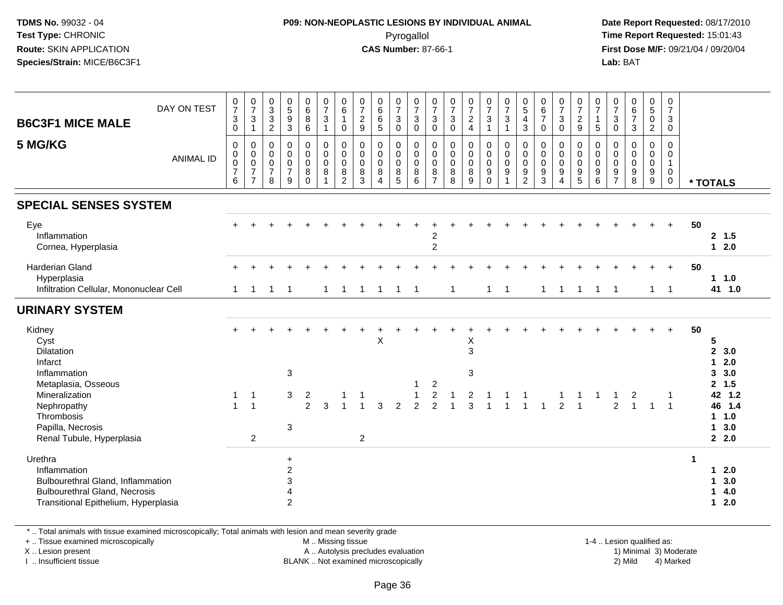## **P09: NON-NEOPLASTIC LESIONS BY INDIVIDUAL ANIMAL**Pyrogallol **Time Report Requested:** 15:01:43

 **Date Report Requested:** 08/17/2010 **First Dose M/F:** 09/21/04 / 09/20/04<br>**Lab:** BAT **Lab:** BAT

| <b>B6C3F1 MICE MALE</b>                                                                                                                      | DAY ON TEST      | $\frac{0}{7}$<br>$\mathbf{3}$<br>$\pmb{0}$                 | $\frac{0}{7}$<br>$\mathbf{3}$<br>$\overline{1}$                           | $_{3}^{\rm 0}$<br>$\sqrt{3}$<br>$\overline{2}$                           | $\begin{array}{c} 0 \\ 5 \end{array}$<br>$\boldsymbol{9}$<br>$\overline{3}$ | $\begin{array}{c} 0 \\ 6 \end{array}$<br>$\bf 8$<br>$6\overline{6}$ | $\frac{0}{7}$<br>$\mathbf{3}$<br>$\overline{1}$                                    | 0<br>$6\phantom{1}$<br>$\mathbf{1}$<br>$\mathbf 0$               | 0<br>$\overline{7}$<br>$\frac{2}{9}$      | $\begin{array}{c} 0 \\ 6 \end{array}$<br>$\overline{6}$<br>$\overline{5}$ | $\frac{0}{7}$<br>$\sqrt{3}$<br>$\pmb{0}$                   | $\frac{0}{7}$<br>$\sqrt{3}$<br>$\mathbf 0$          | $\frac{0}{7}$<br>$\mathbf{3}$<br>$\overline{0}$                        | $\frac{0}{7}$<br>$\ensuremath{\mathsf{3}}$<br>$\ddot{\mathbf{0}}$ | $\frac{0}{7}$<br>$\frac{2}{4}$                          | $\frac{0}{7}$<br>$\sqrt{3}$<br>$\overline{1}$                  | $\frac{0}{7}$<br>$\mathbf{3}$<br>$\overline{1}$                  | $\begin{array}{c} 0 \\ 5 \end{array}$<br>$\overline{4}$<br>$\mathfrak{S}$ | 0<br>$\,6\,$<br>$\boldsymbol{7}$<br>$\mathbf 0$                    | $\frac{0}{7}$<br>$\mathbf{3}$<br>$\pmb{0}$                             | 0<br>$\overline{7}$<br>$\frac{2}{9}$                                             | 0<br>$\overline{7}$<br>$\mathbf{1}$<br>$\overline{5}$ | $\frac{0}{7}$<br>$\sqrt{3}$<br>$\pmb{0}$                  | $\begin{array}{c} 0 \\ 6 \\ 7 \end{array}$<br>$\mathfrak{Z}$   | $\begin{array}{c} 0 \\ 5 \end{array}$<br>$\frac{0}{2}$ | 0<br>$\overline{7}$<br>3<br>$\ddot{\mathbf{0}}$      |    |                                                                                         |
|----------------------------------------------------------------------------------------------------------------------------------------------|------------------|------------------------------------------------------------|---------------------------------------------------------------------------|--------------------------------------------------------------------------|-----------------------------------------------------------------------------|---------------------------------------------------------------------|------------------------------------------------------------------------------------|------------------------------------------------------------------|-------------------------------------------|---------------------------------------------------------------------------|------------------------------------------------------------|-----------------------------------------------------|------------------------------------------------------------------------|-------------------------------------------------------------------|---------------------------------------------------------|----------------------------------------------------------------|------------------------------------------------------------------|---------------------------------------------------------------------------|--------------------------------------------------------------------|------------------------------------------------------------------------|----------------------------------------------------------------------------------|-------------------------------------------------------|-----------------------------------------------------------|----------------------------------------------------------------|--------------------------------------------------------|------------------------------------------------------|----|-----------------------------------------------------------------------------------------|
| 5 MG/KG                                                                                                                                      | <b>ANIMAL ID</b> | $\pmb{0}$<br>$\pmb{0}$<br>$\pmb{0}$<br>$\overline{7}$<br>6 | $\,0\,$<br>$\mathbf 0$<br>$\mathbf 0$<br>$\overline{7}$<br>$\overline{7}$ | $\mathbf 0$<br>$\mathsf{O}\xspace$<br>$\mathbf 0$<br>$\overline{7}$<br>8 | $\mathbf 0$<br>$\mathbf 0$<br>$\mathbf 0$<br>$\overline{7}$<br>9            | 0<br>$\pmb{0}$<br>$\pmb{0}$<br>8<br>$\Omega$                        | $\pmb{0}$<br>$\mathsf{O}\xspace$<br>$\mathsf{O}\xspace$<br>$\bf 8$<br>$\mathbf{1}$ | $\mathbf 0$<br>$\mathbf 0$<br>$\mathbf 0$<br>8<br>$\overline{2}$ | $\mathbf 0$<br>0<br>$\mathbf 0$<br>8<br>3 | $\mathbf 0$<br>$\mathbf 0$<br>$\mathbf 0$<br>8<br>$\boldsymbol{\Lambda}$  | 0<br>$\pmb{0}$<br>$\mathsf 0$<br>$\bf 8$<br>$\overline{5}$ | $\mathbf 0$<br>$\mathbf 0$<br>$\mathbf 0$<br>8<br>6 | $\mathbf 0$<br>$\pmb{0}$<br>$\mathsf{O}\xspace$<br>8<br>$\overline{7}$ | 0<br>$\mathbf 0$<br>$\mathsf{O}\xspace$<br>$_{8}^8$               | $\mathsf 0$<br>$\pmb{0}$<br>$\mathbf 0$<br>$\,8\,$<br>9 | 0<br>$\pmb{0}$<br>$\pmb{0}$<br>$\boldsymbol{9}$<br>$\mathbf 0$ | $\pmb{0}$<br>$\mathbf 0$<br>$\mathbf 0$<br>$9\,$<br>$\mathbf{1}$ | 0<br>$\pmb{0}$<br>$\mathbf 0$<br>9<br>$\overline{2}$                      | $\mathbf 0$<br>$\mathbf 0$<br>$\mathbf 0$<br>$\boldsymbol{9}$<br>3 | $\mathbf 0$<br>$\mathsf{O}\xspace$<br>$\pmb{0}$<br>9<br>$\overline{4}$ | 0<br>$\mathbf 0$<br>$\mathsf{O}\xspace$<br>$\begin{array}{c} 9 \\ 5 \end{array}$ | $\mathbf 0$<br>$\mathbf 0$<br>$\mathsf 0$<br>9<br>6   | 0<br>$\overline{0}$<br>$\mathbf 0$<br>9<br>$\overline{7}$ | $\mathbf 0$<br>$\pmb{0}$<br>$\pmb{0}$<br>$\boldsymbol{9}$<br>8 | 0<br>$\pmb{0}$<br>$\pmb{0}$<br>$\frac{9}{9}$           | $\mathbf 0$<br>0<br>$\mathbf{1}$<br>0<br>$\mathbf 0$ |    | * TOTALS                                                                                |
| <b>SPECIAL SENSES SYSTEM</b>                                                                                                                 |                  |                                                            |                                                                           |                                                                          |                                                                             |                                                                     |                                                                                    |                                                                  |                                           |                                                                           |                                                            |                                                     |                                                                        |                                                                   |                                                         |                                                                |                                                                  |                                                                           |                                                                    |                                                                        |                                                                                  |                                                       |                                                           |                                                                |                                                        |                                                      |    |                                                                                         |
| Eye<br>Inflammation<br>Cornea, Hyperplasia                                                                                                   |                  |                                                            |                                                                           |                                                                          |                                                                             |                                                                     |                                                                                    |                                                                  |                                           |                                                                           |                                                            |                                                     | 2<br>$\overline{2}$                                                    |                                                                   |                                                         |                                                                |                                                                  |                                                                           |                                                                    |                                                                        |                                                                                  |                                                       |                                                           |                                                                |                                                        | $\ddot{}$                                            | 50 | 2, 1.5<br>$12.0$                                                                        |
| <b>Harderian Gland</b><br>Hyperplasia<br>Infiltration Cellular, Mononuclear Cell                                                             |                  | 1                                                          | -1                                                                        | -1                                                                       | $\overline{\phantom{0}}$ 1                                                  |                                                                     | $\mathbf{1}$                                                                       | -1                                                               | $\mathbf{1}$                              | -1                                                                        | $\overline{1}$                                             | $\overline{1}$                                      |                                                                        | $\mathbf{1}$                                                      |                                                         | $\mathbf{1}$                                                   | $\overline{1}$                                                   |                                                                           | $\mathbf{1}$                                                       | $\overline{1}$                                                         | $\overline{1}$                                                                   | $\overline{1}$                                        | $\overline{1}$                                            |                                                                |                                                        | $1 \quad 1$                                          | 50 | $1 1.0$<br>41 1.0                                                                       |
| <b>URINARY SYSTEM</b>                                                                                                                        |                  |                                                            |                                                                           |                                                                          |                                                                             |                                                                     |                                                                                    |                                                                  |                                           |                                                                           |                                                            |                                                     |                                                                        |                                                                   |                                                         |                                                                |                                                                  |                                                                           |                                                                    |                                                                        |                                                                                  |                                                       |                                                           |                                                                |                                                        |                                                      |    |                                                                                         |
| Kidney<br>Cyst<br>Dilatation<br>Infarct<br>Inflammation<br>Metaplasia, Osseous                                                               |                  |                                                            |                                                                           |                                                                          | $\sqrt{3}$                                                                  |                                                                     |                                                                                    |                                                                  |                                           | $\boldsymbol{\mathsf{X}}$                                                 |                                                            |                                                     | $\overline{c}$                                                         |                                                                   | X<br>$\sqrt{3}$<br>3                                    |                                                                |                                                                  |                                                                           |                                                                    |                                                                        |                                                                                  |                                                       |                                                           |                                                                |                                                        |                                                      | 50 | $5\phantom{.0}$<br>2, 3.0<br>2.0<br>$\mathbf 1$<br>3.0<br>3<br>2, 1.5                   |
| Mineralization<br>Nephropathy<br>Thrombosis<br>Papilla, Necrosis<br>Renal Tubule, Hyperplasia                                                |                  | 1                                                          | $\overline{1}$<br>$\overline{1}$<br>$\overline{2}$                        |                                                                          | 3<br>3                                                                      | $\overline{c}$<br>$\mathfrak{p}$                                    | 3                                                                                  |                                                                  | $\overline{2}$                            | 3                                                                         | 2                                                          | $\overline{2}$                                      | $\boldsymbol{2}$<br>$\overline{2}$                                     | $\mathbf{1}$                                                      | $\overline{c}$<br>3                                     | -1<br>1                                                        |                                                                  |                                                                           |                                                                    | 2                                                                      |                                                                                  |                                                       | $\overline{2}$                                            | $\overline{2}$                                                 | $\mathbf{1}$                                           | -1<br>$\mathbf{1}$                                   |    | 42 1.2<br>46<br>1.4<br>1 1.0<br>$\mathbf{1}$<br>3.0<br>2.0                              |
| Urethra<br>Inflammation<br>Bulbourethral Gland, Inflammation<br><b>Bulbourethral Gland, Necrosis</b><br>Transitional Epithelium, Hyperplasia |                  |                                                            |                                                                           |                                                                          | $\ddot{}$<br>$\overline{2}$<br>3<br>$\overline{2}$                          |                                                                     |                                                                                    |                                                                  |                                           |                                                                           |                                                            |                                                     |                                                                        |                                                                   |                                                         |                                                                |                                                                  |                                                                           |                                                                    |                                                                        |                                                                                  |                                                       |                                                           |                                                                |                                                        |                                                      | -1 | 2.0<br>$\mathbf 1$<br>3.0<br>$\mathbf{1}$<br>4.0<br>$\mathbf{1}$<br>2.0<br>$\mathbf{1}$ |

\* .. Total animals with tissue examined microscopically; Total animals with lesion and mean severity grade

+ .. Tissue examined microscopically

X .. Lesion present

I .. Insufficient tissue

 M .. Missing tissueA .. Autolysis precludes evaluation

 1-4 .. Lesion qualified as: BLANK .. Not examined microscopically 2) Mild 4) Marked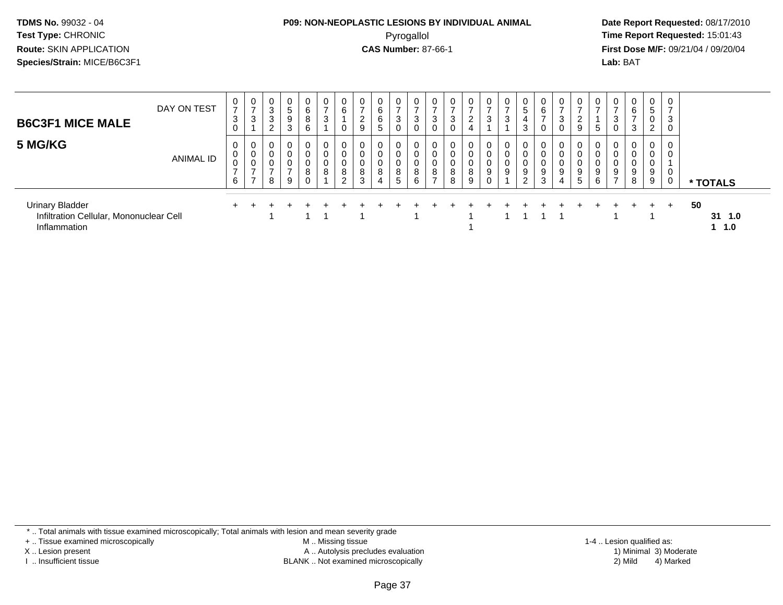#### **P09: NON-NEOPLASTIC LESIONS BY INDIVIDUAL ANIMAL**Pyrogallol **Time Report Requested:** 15:01:43

 **Date Report Requested:** 08/17/2010 **First Dose M/F:** 09/21/04 / 09/20/04<br>**Lab:** BAT **Lab:** BAT

| <b>B6C3F1 MICE MALE</b>                                                           | DAY ON TEST | $\overline{ }$<br>3 | $\rightarrow$<br>ົ<br>J. | 0<br>3<br>3<br>2 | 0<br>5<br>9<br>3 | $\mathbf{0}$<br>6<br>8<br>6     | 0<br>$\overline{ }$<br>3 | 0<br>6<br>0                       | $\overline{ }$<br>$\overline{2}$<br>9 | 0<br>6<br>6<br>5 | 0<br>$\overline{ }$<br>3<br>0 | 0<br>3<br>0           | 0<br>$\overline{ }$<br>3<br>0               | 0<br>$\overline{ }$<br>3<br>0 | 0<br>ົ<br>$\epsilon$  | $\overline{ }$<br>3 | 0<br>-<br>3      | 5<br>3                       | 0<br>6<br>$\rightarrow$<br>0 | $\mathbf{0}$<br>$\rightarrow$<br>3 | 0<br>9                          | b      |                     | $\mathbf{0}$<br>6<br>3             | 0<br>5<br>ົ<br><u>L</u> | $\mathbf 0$<br>$\overline{ }$<br>3<br>0 |                               |
|-----------------------------------------------------------------------------------|-------------|---------------------|--------------------------|------------------|------------------|---------------------------------|--------------------------|-----------------------------------|---------------------------------------|------------------|-------------------------------|-----------------------|---------------------------------------------|-------------------------------|-----------------------|---------------------|------------------|------------------------------|------------------------------|------------------------------------|---------------------------------|--------|---------------------|------------------------------------|-------------------------|-----------------------------------------|-------------------------------|
| 5 MG/KG                                                                           | ANIMAL ID   | U<br>υ<br>⇁<br>6    | υ<br>$\rightarrow$       | 0<br>0<br>0<br>8 | 0<br>0<br>0<br>9 | 0<br>0<br>0<br>8<br>$\mathbf 0$ | 0<br>0<br>0<br>8         | 0<br>0<br>0<br>8<br>$\mathcal{D}$ | $\mathbf 0$<br>$\mathbf 0$<br>8<br>3  | 0<br>0<br>0<br>8 | 0<br>0<br>0<br>8<br>5         | 0<br>0<br>0<br>8<br>6 | 0<br>0<br>$\mathbf 0$<br>8<br>$\rightarrow$ | 0<br>0<br>0<br>8<br>8         | 0<br>0<br>0<br>8<br>9 | $\mathbf 0$<br>9    | 0<br>0<br>0<br>9 | 0<br>0<br>9<br>⌒<br><u>_</u> | 0<br>0<br>0<br>9<br>3        | 0<br>0<br>0<br>9<br>4              | 0<br>$\mathbf 0$<br>0<br>9<br>5 | 9<br>6 | 9<br>$\overline{ }$ | $\overline{0}$<br>0<br>0<br>9<br>8 | 0<br>0<br>U<br>9<br>9   | 0<br>0<br>0<br>0                        | * TOTALS                      |
| <b>Urinary Bladder</b><br>Infiltration Cellular, Mononuclear Cell<br>Inflammation |             |                     |                          |                  |                  |                                 |                          |                                   |                                       |                  |                               |                       |                                             |                               |                       |                     |                  |                              |                              |                                    |                                 |        |                     |                                    |                         | $+$                                     | 50<br>$31 \t1.0$<br>$1 \t1.0$ |

\* .. Total animals with tissue examined microscopically; Total animals with lesion and mean severity grade

+ .. Tissue examined microscopically

X .. Lesion present

I .. Insufficient tissue

 M .. Missing tissueA .. Autolysis precludes evaluation

BLANK .. Not examined microscopically 2) Mild 4) Marked

1-4 .. Lesion qualified as: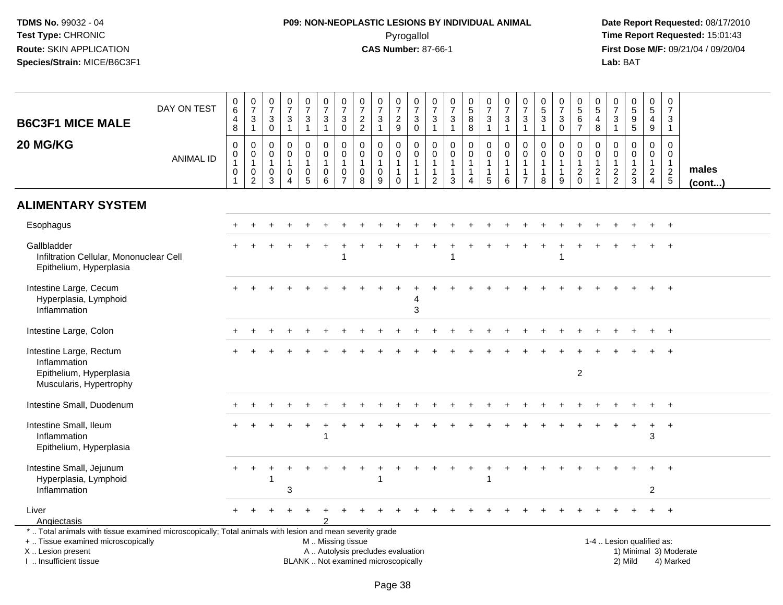# **P09: NON-NEOPLASTIC LESIONS BY INDIVIDUAL ANIMAL**Pyrogallol **Time Report Requested:** 15:01:43

| <b>B6C3F1 MICE MALE</b><br>20 MG/KG                                                                                                                                                           | DAY ON TEST<br><b>ANIMAL ID</b> | $_{6}^{\rm 0}$<br>$\overline{\mathbf{4}}$<br>8<br>$\pmb{0}$<br>0<br>$\mathbf{1}$<br>$\pmb{0}$<br>$\overline{1}$ | $\frac{0}{7}$<br>$\sqrt{3}$<br>$\overline{1}$<br>$\pmb{0}$<br>$\mathbf 0$<br>$\overline{1}$<br>$\pmb{0}$<br>$\overline{2}$ | $\frac{0}{7}$<br>$\mathbf{3}$<br>0<br>0<br>$\mathbf 0$<br>$\mathbf{1}$<br>$\mathbf 0$<br>3 | $\begin{smallmatrix} 0\\7 \end{smallmatrix}$<br>$\sqrt{3}$<br>$\overline{1}$<br>$\mathbf 0$<br>$\mathbf 0$<br>$\mathbf{1}$<br>$\mathbf 0$<br>$\overline{A}$ | $\begin{smallmatrix}0\\7\end{smallmatrix}$<br>$\mathbf{3}$<br>$\mathbf{1}$<br>0<br>$\mathbf{0}$<br>$\mathbf{1}$<br>$\pmb{0}$<br>$\overline{5}$ | $\frac{0}{7}$<br>3<br>$\mathbf{1}$<br>$\mathbf 0$<br>$\mathbf 0$<br>$\mathbf{1}$<br>$\mathbf 0$<br>$6\phantom{1}$ | $\frac{0}{7}$<br>3<br>$\mathbf 0$<br>$\mathsf{O}\xspace$<br>0<br>$\mathbf{1}$<br>$\pmb{0}$<br>$\overline{7}$ | $\begin{array}{c} 0 \\ 7 \end{array}$<br>$\frac{2}{2}$<br>$\mathbf 0$<br>$\mathbf 0$<br>$\mathbf{1}$<br>$\mathbf 0$<br>8 | $\begin{array}{c} 0 \\ 7 \end{array}$<br>$\mathbf{3}$<br>$\mathbf{1}$<br>$\mathbf 0$<br>$\mathbf 0$<br>$\mathbf{1}$<br>0<br>9 | $\begin{array}{c} 0 \\ 7 \end{array}$<br>$\frac{2}{9}$<br>$\mathbf 0$<br>$\mathbf 0$<br>$\mathbf{1}$<br>$\mathbf{1}$<br>$\mathbf 0$ | $\frac{0}{7}$<br>$\mathbf{3}$<br>$\mathbf 0$<br>$\mathbf 0$<br>$\mathbf 0$<br>$\overline{1}$<br>$\overline{1}$<br>$\overline{1}$ | $\pmb{0}$<br>$\overline{7}$<br>3<br>$\mathbf{1}$<br>$\pmb{0}$<br>$\mathbf 0$<br>$\mathbf{1}$<br>$\mathbf{1}$<br>$\overline{2}$ | $\begin{array}{c} 0 \\ 7 \end{array}$<br>$\mathbf{3}$<br>$\mathbf{1}$<br>$\pmb{0}$<br>$\Omega$<br>$\mathbf{1}$<br>$\mathbf{1}$<br>$\mathbf{3}$ | $\begin{array}{c} 0 \\ 5 \end{array}$<br>8<br>$\overline{8}$<br>$\mathsf{O}$<br>$\mathbf 0$<br>$\mathbf{1}$<br>$\mathbf{1}$<br>4 | $\begin{array}{c} 0 \\ 7 \end{array}$<br>$\mathbf{3}$<br>$\overline{1}$<br>$\mathsf 0$<br>$\mathbf 0$<br>$\overline{1}$<br>$\mathbf{1}$<br>5 | $\begin{array}{c} 0 \\ 7 \end{array}$<br>$\sqrt{3}$<br>$\overline{1}$<br>$\mathbf 0$<br>$\mathbf 0$<br>$\overline{1}$<br>$\mathbf{1}$<br>6 | $\begin{array}{c} 0 \\ 7 \end{array}$<br>$\mathbf{3}$<br>$\overline{1}$<br>$\mathbf 0$<br>$\mathbf 0$<br>$\overline{1}$<br>$\mathbf 1$<br>$\overline{7}$ | $\begin{array}{c} 0 \\ 5 \end{array}$<br>$\sqrt{3}$<br>$\mathbf{1}$<br>$\mathbf 0$<br>$\mathbf 0$<br>$\mathbf{1}$<br>$\mathbf{1}$<br>8 | $\begin{array}{c} 0 \\ 7 \end{array}$<br>3<br>$\pmb{0}$<br>0<br>$\Omega$<br>1<br>9 | $\begin{array}{c} 0 \\ 5 \\ 6 \end{array}$<br>$\overline{7}$<br>0<br>$\mathbf 0$<br>$\mathbf{1}$<br>$^2_{0}$ | $\begin{array}{c} 0 \\ 5 \end{array}$<br>$\overline{4}$<br>8<br>$\mathbf 0$<br>$\mathbf 0$<br>$\mathbf{1}$<br>$\overline{c}$<br>$\mathbf{1}$ | 0<br>$\overline{7}$<br>3<br>$\mathbf{1}$<br>$\mathbf 0$<br>$\mathbf 0$<br>$\overline{1}$<br>$\frac{2}{2}$ | $\begin{array}{c} 0 \\ 5 \\ 9 \end{array}$<br>$\overline{5}$<br>$\mathbf 0$<br>$\mathbf 0$<br>$\mathbf{1}$<br>$\frac{2}{3}$ | $\pmb{0}$<br>$\overline{5}$<br>$\overline{4}$<br>$\boldsymbol{9}$<br>0<br>$\overline{0}$<br>$\overline{1}$<br>$\overline{2}$<br>$\overline{4}$ | $\boldsymbol{0}$<br>$\overline{7}$<br>3<br>$\overline{1}$<br>$\mathbf 0$<br>$\Omega$<br>$\overline{1}$<br>$\frac{2}{5}$ | males<br>(cont) |
|-----------------------------------------------------------------------------------------------------------------------------------------------------------------------------------------------|---------------------------------|-----------------------------------------------------------------------------------------------------------------|----------------------------------------------------------------------------------------------------------------------------|--------------------------------------------------------------------------------------------|-------------------------------------------------------------------------------------------------------------------------------------------------------------|------------------------------------------------------------------------------------------------------------------------------------------------|-------------------------------------------------------------------------------------------------------------------|--------------------------------------------------------------------------------------------------------------|--------------------------------------------------------------------------------------------------------------------------|-------------------------------------------------------------------------------------------------------------------------------|-------------------------------------------------------------------------------------------------------------------------------------|----------------------------------------------------------------------------------------------------------------------------------|--------------------------------------------------------------------------------------------------------------------------------|------------------------------------------------------------------------------------------------------------------------------------------------|----------------------------------------------------------------------------------------------------------------------------------|----------------------------------------------------------------------------------------------------------------------------------------------|--------------------------------------------------------------------------------------------------------------------------------------------|----------------------------------------------------------------------------------------------------------------------------------------------------------|----------------------------------------------------------------------------------------------------------------------------------------|------------------------------------------------------------------------------------|--------------------------------------------------------------------------------------------------------------|----------------------------------------------------------------------------------------------------------------------------------------------|-----------------------------------------------------------------------------------------------------------|-----------------------------------------------------------------------------------------------------------------------------|------------------------------------------------------------------------------------------------------------------------------------------------|-------------------------------------------------------------------------------------------------------------------------|-----------------|
| <b>ALIMENTARY SYSTEM</b>                                                                                                                                                                      |                                 |                                                                                                                 |                                                                                                                            |                                                                                            |                                                                                                                                                             |                                                                                                                                                |                                                                                                                   |                                                                                                              |                                                                                                                          |                                                                                                                               |                                                                                                                                     |                                                                                                                                  |                                                                                                                                |                                                                                                                                                |                                                                                                                                  |                                                                                                                                              |                                                                                                                                            |                                                                                                                                                          |                                                                                                                                        |                                                                                    |                                                                                                              |                                                                                                                                              |                                                                                                           |                                                                                                                             |                                                                                                                                                |                                                                                                                         |                 |
| Esophagus                                                                                                                                                                                     |                                 |                                                                                                                 |                                                                                                                            |                                                                                            |                                                                                                                                                             |                                                                                                                                                |                                                                                                                   |                                                                                                              |                                                                                                                          |                                                                                                                               |                                                                                                                                     |                                                                                                                                  |                                                                                                                                |                                                                                                                                                |                                                                                                                                  |                                                                                                                                              |                                                                                                                                            |                                                                                                                                                          |                                                                                                                                        |                                                                                    |                                                                                                              |                                                                                                                                              |                                                                                                           |                                                                                                                             |                                                                                                                                                |                                                                                                                         |                 |
| Gallbladder<br>Infiltration Cellular, Mononuclear Cell<br>Epithelium, Hyperplasia                                                                                                             |                                 |                                                                                                                 |                                                                                                                            |                                                                                            |                                                                                                                                                             |                                                                                                                                                |                                                                                                                   | 1                                                                                                            |                                                                                                                          |                                                                                                                               |                                                                                                                                     |                                                                                                                                  |                                                                                                                                |                                                                                                                                                |                                                                                                                                  |                                                                                                                                              |                                                                                                                                            |                                                                                                                                                          |                                                                                                                                        |                                                                                    |                                                                                                              |                                                                                                                                              |                                                                                                           |                                                                                                                             |                                                                                                                                                |                                                                                                                         |                 |
| Intestine Large, Cecum<br>Hyperplasia, Lymphoid<br>Inflammation                                                                                                                               |                                 |                                                                                                                 |                                                                                                                            |                                                                                            |                                                                                                                                                             |                                                                                                                                                |                                                                                                                   |                                                                                                              |                                                                                                                          |                                                                                                                               |                                                                                                                                     | 3                                                                                                                                |                                                                                                                                |                                                                                                                                                |                                                                                                                                  |                                                                                                                                              |                                                                                                                                            |                                                                                                                                                          |                                                                                                                                        |                                                                                    |                                                                                                              |                                                                                                                                              |                                                                                                           |                                                                                                                             |                                                                                                                                                | $+$                                                                                                                     |                 |
| Intestine Large, Colon                                                                                                                                                                        |                                 |                                                                                                                 |                                                                                                                            |                                                                                            |                                                                                                                                                             |                                                                                                                                                |                                                                                                                   |                                                                                                              |                                                                                                                          |                                                                                                                               |                                                                                                                                     |                                                                                                                                  |                                                                                                                                |                                                                                                                                                |                                                                                                                                  |                                                                                                                                              |                                                                                                                                            |                                                                                                                                                          |                                                                                                                                        |                                                                                    |                                                                                                              |                                                                                                                                              |                                                                                                           |                                                                                                                             |                                                                                                                                                | $+$                                                                                                                     |                 |
| Intestine Large, Rectum<br>Inflammation<br>Epithelium, Hyperplasia<br>Muscularis, Hypertrophy                                                                                                 |                                 |                                                                                                                 |                                                                                                                            |                                                                                            |                                                                                                                                                             |                                                                                                                                                |                                                                                                                   |                                                                                                              |                                                                                                                          |                                                                                                                               |                                                                                                                                     |                                                                                                                                  |                                                                                                                                |                                                                                                                                                |                                                                                                                                  |                                                                                                                                              |                                                                                                                                            |                                                                                                                                                          |                                                                                                                                        |                                                                                    | $\overline{c}$                                                                                               |                                                                                                                                              |                                                                                                           |                                                                                                                             |                                                                                                                                                |                                                                                                                         |                 |
| Intestine Small, Duodenum                                                                                                                                                                     |                                 |                                                                                                                 |                                                                                                                            |                                                                                            |                                                                                                                                                             |                                                                                                                                                |                                                                                                                   |                                                                                                              |                                                                                                                          |                                                                                                                               |                                                                                                                                     |                                                                                                                                  |                                                                                                                                |                                                                                                                                                |                                                                                                                                  |                                                                                                                                              |                                                                                                                                            |                                                                                                                                                          |                                                                                                                                        |                                                                                    |                                                                                                              |                                                                                                                                              |                                                                                                           |                                                                                                                             |                                                                                                                                                | $+$                                                                                                                     |                 |
| Intestine Small, Ileum<br>Inflammation<br>Epithelium, Hyperplasia                                                                                                                             |                                 |                                                                                                                 |                                                                                                                            |                                                                                            |                                                                                                                                                             |                                                                                                                                                |                                                                                                                   |                                                                                                              |                                                                                                                          |                                                                                                                               |                                                                                                                                     |                                                                                                                                  |                                                                                                                                |                                                                                                                                                |                                                                                                                                  |                                                                                                                                              |                                                                                                                                            |                                                                                                                                                          |                                                                                                                                        |                                                                                    |                                                                                                              |                                                                                                                                              |                                                                                                           |                                                                                                                             | $\ddot{}$<br>3                                                                                                                                 | $\overline{+}$                                                                                                          |                 |
| Intestine Small, Jejunum<br>Hyperplasia, Lymphoid<br>Inflammation                                                                                                                             |                                 |                                                                                                                 | $\ddot{}$                                                                                                                  |                                                                                            | 3                                                                                                                                                           |                                                                                                                                                |                                                                                                                   |                                                                                                              |                                                                                                                          |                                                                                                                               |                                                                                                                                     |                                                                                                                                  |                                                                                                                                |                                                                                                                                                |                                                                                                                                  |                                                                                                                                              |                                                                                                                                            |                                                                                                                                                          |                                                                                                                                        |                                                                                    |                                                                                                              |                                                                                                                                              |                                                                                                           |                                                                                                                             | $\overline{c}$                                                                                                                                 |                                                                                                                         |                 |
| Liver<br>Angiectasis                                                                                                                                                                          |                                 |                                                                                                                 |                                                                                                                            |                                                                                            |                                                                                                                                                             |                                                                                                                                                |                                                                                                                   |                                                                                                              |                                                                                                                          |                                                                                                                               |                                                                                                                                     |                                                                                                                                  |                                                                                                                                |                                                                                                                                                |                                                                                                                                  |                                                                                                                                              |                                                                                                                                            |                                                                                                                                                          |                                                                                                                                        |                                                                                    |                                                                                                              |                                                                                                                                              |                                                                                                           |                                                                                                                             |                                                                                                                                                |                                                                                                                         |                 |
| *  Total animals with tissue examined microscopically; Total animals with lesion and mean severity grade<br>+  Tissue examined microscopically<br>X  Lesion present<br>I. Insufficient tissue |                                 |                                                                                                                 |                                                                                                                            |                                                                                            |                                                                                                                                                             |                                                                                                                                                | M  Missing tissue                                                                                                 |                                                                                                              |                                                                                                                          | A  Autolysis precludes evaluation<br>BLANK  Not examined microscopically                                                      |                                                                                                                                     |                                                                                                                                  |                                                                                                                                |                                                                                                                                                |                                                                                                                                  |                                                                                                                                              |                                                                                                                                            |                                                                                                                                                          |                                                                                                                                        |                                                                                    |                                                                                                              |                                                                                                                                              |                                                                                                           | 1-4  Lesion qualified as:<br>2) Mild                                                                                        |                                                                                                                                                | 1) Minimal 3) Moderate<br>4) Marked                                                                                     |                 |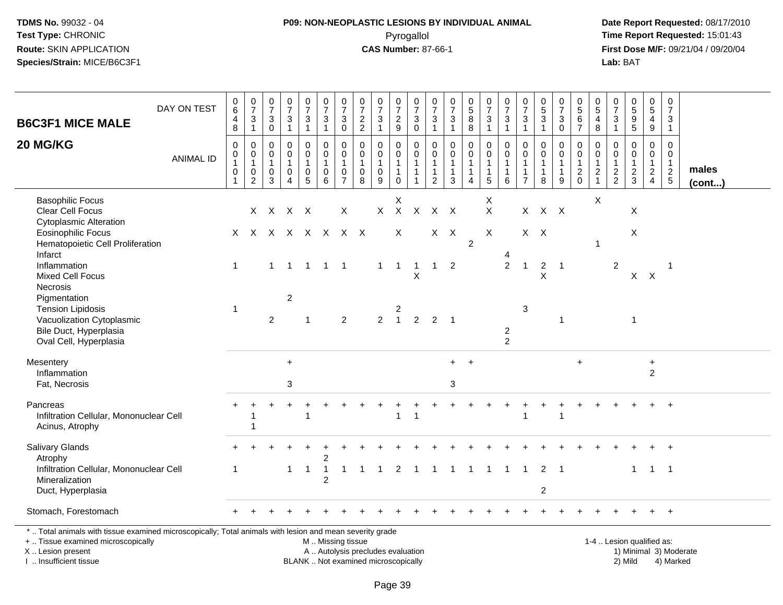I .. Insufficient tissue

# **P09: NON-NEOPLASTIC LESIONS BY INDIVIDUAL ANIMAL**Pyrogallol **Time Report Requested:** 15:01:43

 **Date Report Requested:** 08/17/2010 **First Dose M/F:** 09/21/04 / 09/20/04<br>Lab: BAT **Lab:** BAT

| <b>B6C3F1 MICE MALE</b>                                                                                                                                             | DAY ON TEST      | $\pmb{0}$<br>$\,6\,$<br>4<br>8              | $\frac{0}{7}$<br>$\mathbf{3}$<br>$\mathbf{1}$                               | $\pmb{0}$<br>$\overline{7}$<br>3<br>$\mathsf{O}\xspace$ | $\pmb{0}$<br>$\overline{7}$<br>$\mathbf{3}$<br>$\mathbf{1}$ | $\frac{0}{7}$<br>3<br>$\mathbf{1}$      | $\begin{smallmatrix}0\\7\end{smallmatrix}$<br>$\mathbf{3}$<br>$\mathbf{1}$   | $\begin{array}{c} 0 \\ 7 \end{array}$<br>$\sqrt{3}$<br>$\mathsf{O}\xspace$    | $\pmb{0}$<br>$\overline{7}$<br>$\sqrt{2}$<br>$\sqrt{2}$      | $\begin{array}{c} 0 \\ 7 \end{array}$<br>$\ensuremath{\mathsf{3}}$<br>$\mathbf{1}$ | $\frac{0}{7}$<br>$\overline{c}$<br>9                                   | $\frac{0}{7}$<br>$\mathbf{3}$<br>$\mathbf 0$                               | $\pmb{0}$<br>$\overline{7}$<br>$\ensuremath{\mathsf{3}}$<br>$\mathbf{1}$ | $\pmb{0}$<br>$\overline{7}$<br>$\mathbf{3}$<br>$\overline{1}$      | $\begin{array}{c} 0 \\ 5 \end{array}$<br>8<br>8                              | $\begin{array}{c} 0 \\ 7 \end{array}$<br>$\sqrt{3}$<br>$\mathbf{1}$ | $\begin{array}{c} 0 \\ 7 \\ 3 \end{array}$<br>$\mathbf{1}$    | $\frac{0}{7}$<br>3<br>$\mathbf{1}$                                 | $\pmb{0}$<br>$\frac{5}{3}$<br>$\mathbf{1}$            | $\begin{array}{c} 0 \\ 7 \end{array}$<br>$\ensuremath{\mathsf{3}}$<br>$\mathbf 0$ | $\begin{array}{c} 0 \\ 5 \\ 6 \end{array}$<br>$\overline{7}$ | $\pmb{0}$<br>$\sqrt{5}$<br>4<br>8                           | 0<br>$\overline{7}$<br>3<br>$\mathbf{1}$                         | $\begin{array}{c} 0 \\ 5 \\ 9 \end{array}$<br>$\overline{5}$ | $\begin{array}{c} 0 \\ 5 \end{array}$<br>4<br>$\boldsymbol{9}$                 | $\begin{smallmatrix}0\\7\end{smallmatrix}$<br>3<br>$\mathbf{1}$       |                 |
|---------------------------------------------------------------------------------------------------------------------------------------------------------------------|------------------|---------------------------------------------|-----------------------------------------------------------------------------|---------------------------------------------------------|-------------------------------------------------------------|-----------------------------------------|------------------------------------------------------------------------------|-------------------------------------------------------------------------------|--------------------------------------------------------------|------------------------------------------------------------------------------------|------------------------------------------------------------------------|----------------------------------------------------------------------------|--------------------------------------------------------------------------|--------------------------------------------------------------------|------------------------------------------------------------------------------|---------------------------------------------------------------------|---------------------------------------------------------------|--------------------------------------------------------------------|-------------------------------------------------------|-----------------------------------------------------------------------------------|--------------------------------------------------------------|-------------------------------------------------------------|------------------------------------------------------------------|--------------------------------------------------------------|--------------------------------------------------------------------------------|-----------------------------------------------------------------------|-----------------|
| 20 MG/KG                                                                                                                                                            | <b>ANIMAL ID</b> | 0<br>0<br>$\mathbf{1}$<br>0<br>$\mathbf{1}$ | $\mathbf 0$<br>$\mathbf 0$<br>$\mathbf{1}$<br>$\mathbf 0$<br>$\overline{c}$ | 0<br>$\mathbf 0$<br>$\mathbf{1}$<br>0<br>3              | $\mathbf 0$<br>0<br>$\mathbf{1}$<br>0<br>$\overline{4}$     | $\mathbf 0$<br>0<br>1<br>$\pmb{0}$<br>5 | $\mathbf 0$<br>$\mathbf 0$<br>$\mathbf{1}$<br>$\mathbf 0$<br>$6\phantom{1}6$ | $\mathbf 0$<br>$\mathbf 0$<br>$\overline{1}$<br>$\mathbf 0$<br>$\overline{7}$ | $\mathbf 0$<br>$\mathbf 0$<br>$\mathbf{1}$<br>$\pmb{0}$<br>8 | $\mathbf 0$<br>$\mathbf 0$<br>$\mathbf{1}$<br>$\mathbf 0$<br>9                     | $\mathbf 0$<br>$\mathbf 0$<br>$\mathbf{1}$<br>$\mathbf{1}$<br>$\Omega$ | $\mathbf 0$<br>$\mathbf 0$<br>$\mathbf{1}$<br>$\mathbf{1}$<br>$\mathbf{1}$ | $\Omega$<br>0<br>$\overline{1}$<br>1<br>$\overline{2}$                   | $\mathbf 0$<br>0<br>$\overline{1}$<br>$\mathbf{1}$<br>$\mathbf{3}$ | $\mathbf 0$<br>$\mathbf 0$<br>$\mathbf{1}$<br>$\mathbf{1}$<br>$\overline{4}$ | 0<br>$\pmb{0}$<br>$\mathbf{1}$<br>$\mathbf{1}$<br>$\overline{5}$    | $\pmb{0}$<br>$\mathbf 0$<br>$\mathbf{1}$<br>$\mathbf{1}$<br>6 | $\mathbf 0$<br>0<br>$\mathbf{1}$<br>$\mathbf{1}$<br>$\overline{7}$ | $\mathbf 0$<br>0<br>$\mathbf{1}$<br>$\mathbf{1}$<br>8 | $\mathbf 0$<br>$\mathbf 0$<br>$\mathbf{1}$<br>$\mathbf{1}$<br>9                   | 0<br>$\mathbf 0$<br>$\mathbf{1}$<br>$^2_0$                   | $\mathbf 0$<br>$\mathbf 0$<br>$\mathbf{1}$<br>$\frac{2}{1}$ | $\Omega$<br>$\mathbf 0$<br>1<br>$\overline{c}$<br>$\overline{2}$ | $\mathbf 0$<br>$\mathbf 0$<br>$\mathbf{1}$<br>$\frac{2}{3}$  | $\mathbf 0$<br>$\mathbf 0$<br>$\mathbf{1}$<br>$\overline{a}$<br>$\overline{4}$ | $\mathbf 0$<br>0<br>$\mathbf{1}$<br>$\overline{2}$<br>$5\phantom{.0}$ | males<br>(cont) |
| <b>Basophilic Focus</b><br><b>Clear Cell Focus</b><br><b>Cytoplasmic Alteration</b>                                                                                 |                  |                                             |                                                                             | X X X X                                                 |                                                             |                                         |                                                                              | $\sf X$                                                                       |                                                              | $\mathsf{X}$                                                                       | X<br>$\mathsf{X}$                                                      | $\mathsf{X}$                                                               |                                                                          | $X$ $X$                                                            |                                                                              | X<br>$\mathsf{X}$                                                   |                                                               |                                                                    | X X X                                                 |                                                                                   |                                                              | X                                                           |                                                                  | $\mathsf{X}$                                                 |                                                                                |                                                                       |                 |
| <b>Eosinophilic Focus</b><br>Hematopoietic Cell Proliferation<br>Infarct                                                                                            |                  |                                             |                                                                             |                                                         |                                                             |                                         | X X X X X X X X                                                              |                                                                               |                                                              |                                                                                    | X                                                                      |                                                                            |                                                                          | $X$ $X$                                                            | $\overline{2}$                                                               | X                                                                   |                                                               |                                                                    | $X$ $X$                                               |                                                                                   |                                                              | $\mathbf 1$                                                 |                                                                  | X                                                            |                                                                                |                                                                       |                 |
| Inflammation<br><b>Mixed Cell Focus</b><br>Necrosis                                                                                                                 |                  | $\mathbf{1}$                                |                                                                             | $\mathbf 1$                                             |                                                             | $\overline{1}$                          | $\overline{1}$                                                               | $\overline{\phantom{1}}$                                                      |                                                              | 1                                                                                  | $\overline{1}$                                                         | -1<br>Χ                                                                    | -1                                                                       | 2                                                                  |                                                                              |                                                                     | 2                                                             | $\mathbf{1}$                                                       | $\overline{2}$<br>X                                   | $\overline{1}$                                                                    |                                                              |                                                             | $\overline{2}$                                                   |                                                              | $X$ $X$                                                                        | -1                                                                    |                 |
| Pigmentation<br><b>Tension Lipidosis</b><br>Vacuolization Cytoplasmic<br>Bile Duct, Hyperplasia<br>Oval Cell, Hyperplasia                                           |                  | 1                                           |                                                                             | 2                                                       | $\overline{2}$                                              | $\overline{1}$                          |                                                                              | $\overline{2}$                                                                |                                                              | $\overline{2}$                                                                     | 2<br>$\overline{1}$                                                    | 2                                                                          | $\overline{2}$                                                           | $\overline{1}$                                                     |                                                                              |                                                                     | $\overline{2}$<br>$\overline{2}$                              | 3                                                                  |                                                       | -1                                                                                |                                                              |                                                             |                                                                  | $\mathbf{1}$                                                 |                                                                                |                                                                       |                 |
| Mesentery<br>Inflammation<br>Fat, Necrosis                                                                                                                          |                  |                                             |                                                                             |                                                         | $+$<br>3                                                    |                                         |                                                                              |                                                                               |                                                              |                                                                                    |                                                                        |                                                                            |                                                                          | $+$<br>3                                                           | $+$                                                                          |                                                                     |                                                               |                                                                    |                                                       |                                                                                   | $\ddot{}$                                                    |                                                             |                                                                  |                                                              | $\ddot{}$<br>$\overline{2}$                                                    |                                                                       |                 |
| Pancreas<br>Infiltration Cellular, Mononuclear Cell<br>Acinus, Atrophy                                                                                              |                  |                                             |                                                                             |                                                         |                                                             |                                         |                                                                              |                                                                               |                                                              |                                                                                    | $\mathbf{1}$                                                           | $\mathbf{1}$                                                               |                                                                          |                                                                    |                                                                              |                                                                     |                                                               | $\overline{1}$                                                     |                                                       | $\overline{1}$                                                                    |                                                              |                                                             |                                                                  |                                                              |                                                                                | $\ddot{}$                                                             |                 |
| Salivary Glands<br>Atrophy                                                                                                                                          |                  |                                             |                                                                             |                                                         |                                                             |                                         | 2                                                                            |                                                                               |                                                              |                                                                                    |                                                                        |                                                                            |                                                                          |                                                                    |                                                                              |                                                                     |                                                               |                                                                    |                                                       |                                                                                   |                                                              |                                                             |                                                                  |                                                              |                                                                                |                                                                       |                 |
| Infiltration Cellular, Mononuclear Cell<br>Mineralization<br>Duct, Hyperplasia                                                                                      |                  | 1                                           |                                                                             |                                                         | 1                                                           | $\mathbf 1$                             | $\overline{1}$<br>2                                                          | -1                                                                            | -1                                                           | -1                                                                                 | 2                                                                      | $\mathbf{1}$                                                               | $\mathbf{1}$                                                             | $\overline{1}$                                                     | $\overline{1}$                                                               | $\overline{\mathbf{1}}$                                             | $\overline{1}$                                                | $\overline{1}$                                                     | $\overline{2}$                                        | $2 \quad 1$                                                                       |                                                              |                                                             |                                                                  | $\mathbf{1}$                                                 | $1 \quad 1$                                                                    |                                                                       |                 |
| Stomach, Forestomach                                                                                                                                                |                  |                                             |                                                                             |                                                         |                                                             |                                         |                                                                              |                                                                               |                                                              |                                                                                    |                                                                        |                                                                            |                                                                          |                                                                    |                                                                              |                                                                     |                                                               |                                                                    |                                                       |                                                                                   |                                                              |                                                             |                                                                  |                                                              |                                                                                | $+$                                                                   |                 |
| *  Total animals with tissue examined microscopically; Total animals with lesion and mean severity grade<br>+  Tissue examined microscopically<br>X  Lesion present |                  |                                             |                                                                             |                                                         |                                                             |                                         | M Missing tissue<br>A  Autolysis precludes evaluation                        |                                                                               |                                                              |                                                                                    |                                                                        |                                                                            |                                                                          |                                                                    |                                                                              |                                                                     |                                                               |                                                                    |                                                       |                                                                                   |                                                              |                                                             |                                                                  | 1-4  Lesion qualified as:                                    |                                                                                | 1) Minimal 3) Moderate                                                |                 |

BLANK .. Not examined microscopically 2) Mild 4) Marked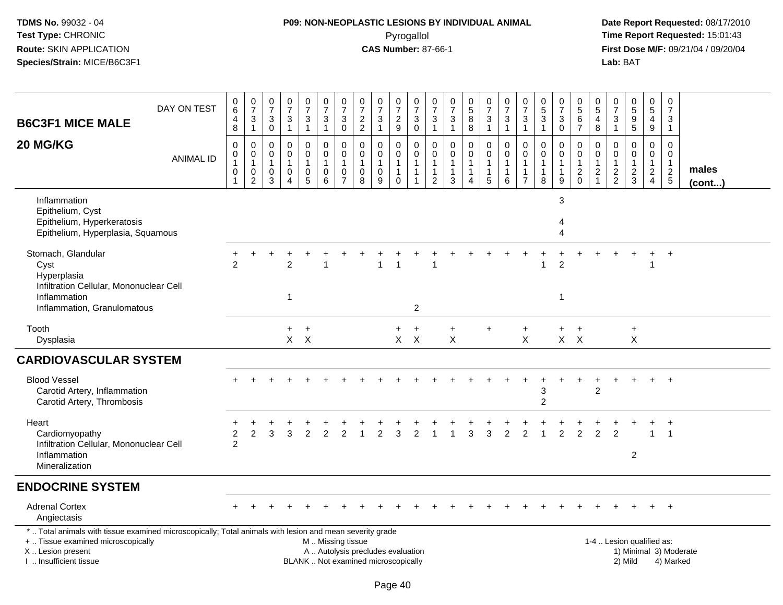## **P09: NON-NEOPLASTIC LESIONS BY INDIVIDUAL ANIMAL**Pyrogallol **Time Report Requested:** 15:01:43

| <b>B6C3F1 MICE MALE</b>                                                                                                                                                                       | DAY ON TEST      | 0<br>$\,6\,$<br>4<br>8                                            | 0<br>$\overline{7}$<br>3<br>$\overline{1}$                      | $\frac{0}{7}$<br>3<br>$\overline{0}$       | 0<br>$\overline{7}$<br>$\sqrt{3}$<br>$\overline{1}$     | $\begin{array}{c} 0 \\ 7 \end{array}$<br>$\sqrt{3}$<br>$\overline{1}$             | $\frac{0}{7}$<br>$\frac{3}{1}$                             | $\frac{0}{7}$<br>$\sqrt{3}$<br>$\mathbf 0$                        | $\begin{array}{c} 0 \\ 7 \end{array}$<br>$\overline{\mathbf{c}}$<br>$\sqrt{2}$ | $\frac{0}{7}$<br>$\ensuremath{\mathsf{3}}$<br>$\overline{1}$ | $\frac{0}{7}$<br>$\overline{a}$<br>$9\,$                        | $\frac{0}{7}$<br>$_0^3$                                                  | $\begin{array}{c} 0 \\ 7 \end{array}$<br>$\frac{3}{1}$   | $\frac{0}{7}$<br>3<br>$\mathbf{1}$                      | $\begin{smallmatrix}0\0\0\end{smallmatrix}$<br>8<br>$\overline{8}$           | $\frac{0}{7}$<br>3<br>$\mathbf{1}$    | 0<br>$\overline{7}$<br>$\frac{3}{1}$                           | $\frac{0}{7}$<br>$\mathbf{3}$<br>$\mathbf{1}$                    | 0<br>$\sqrt{5}$<br>$\mathbf{3}$<br>$\mathbf{1}$ | $\frac{0}{7}$<br>$\sqrt{3}$<br>$\overline{0}$                   | $^{\rm 0}_{\rm 5}$<br>6<br>$\overline{7}$                      | 0<br>$\overline{5}$<br>$\overline{4}$<br>$\bf 8$                                | 0<br>$\overline{7}$<br>3<br>$\mathbf{1}$                  | 0<br>$5\,$<br>$\boldsymbol{9}$<br>$\overline{5}$              | $\begin{array}{c} 0 \\ 5 \end{array}$<br>$\overline{\mathbf{4}}$<br>9 | $\mathbf 0$<br>$\overline{7}$<br>3<br>$\overline{1}$                          |                        |
|-----------------------------------------------------------------------------------------------------------------------------------------------------------------------------------------------|------------------|-------------------------------------------------------------------|-----------------------------------------------------------------|--------------------------------------------|---------------------------------------------------------|-----------------------------------------------------------------------------------|------------------------------------------------------------|-------------------------------------------------------------------|--------------------------------------------------------------------------------|--------------------------------------------------------------|-----------------------------------------------------------------|--------------------------------------------------------------------------|----------------------------------------------------------|---------------------------------------------------------|------------------------------------------------------------------------------|---------------------------------------|----------------------------------------------------------------|------------------------------------------------------------------|-------------------------------------------------|-----------------------------------------------------------------|----------------------------------------------------------------|---------------------------------------------------------------------------------|-----------------------------------------------------------|---------------------------------------------------------------|-----------------------------------------------------------------------|-------------------------------------------------------------------------------|------------------------|
| 20 MG/KG                                                                                                                                                                                      | <b>ANIMAL ID</b> | $\mathbf 0$<br>$\,0\,$<br>$\mathbf{1}$<br>$\,0\,$<br>$\mathbf{1}$ | 0<br>$\mathbf 0$<br>$\mathbf{1}$<br>$\pmb{0}$<br>$\overline{2}$ | 0<br>$\mathbf 0$<br>$\mathbf{1}$<br>0<br>3 | 0<br>$\mathbf 0$<br>$\mathbf{1}$<br>0<br>$\overline{4}$ | 0<br>$\mathsf{O}\xspace$<br>$\mathbf{1}$<br>$\begin{array}{c} 0 \\ 5 \end{array}$ | 0<br>$\ddot{\mathbf{0}}$<br>$\mathbf{1}$<br>$\pmb{0}$<br>6 | 0<br>$\mathbf 0$<br>$\mathbf{1}$<br>$\mathbf 0$<br>$\overline{7}$ | 0<br>$\mathbf 0$<br>1<br>$\pmb{0}$<br>8                                        | $\mathbf 0$<br>$\pmb{0}$<br>$\mathbf{1}$<br>$\mathbf 0$<br>9 | 0<br>$\overline{0}$<br>$\mathbf{1}$<br>$\mathbf{1}$<br>$\Omega$ | 0<br>$\ddot{\mathbf{0}}$<br>$\mathbf{1}$<br>$\mathbf{1}$<br>$\mathbf{1}$ | 0<br>$\overline{0}$<br>$\mathbf{1}$<br>$\mathbf{1}$<br>2 | 0<br>$\mathbf 0$<br>$\overline{1}$<br>$\mathbf{1}$<br>3 | $\mathbf 0$<br>$\mathbf 0$<br>$\mathbf{1}$<br>$\mathbf{1}$<br>$\overline{4}$ | 0<br>$\mathbf 0$<br>$\mathbf{1}$<br>5 | 0<br>$\overline{0}$<br>$\mathbf{1}$<br>$\mathbf{1}$<br>$\,6\,$ | 0<br>$\pmb{0}$<br>$\mathbf{1}$<br>$\mathbf{1}$<br>$\overline{7}$ | $\Omega$<br>$\Omega$<br>$\mathbf 1$<br>8        | $\mathbf 0$<br>$\mathbf 0$<br>$\mathbf{1}$<br>$\mathbf{1}$<br>9 | 0<br>$\mathbf 0$<br>$\mathbf{1}$<br>$\overline{c}$<br>$\Omega$ | $\mathbf 0$<br>$\overline{0}$<br>$\overline{1}$<br>$\sqrt{2}$<br>$\overline{1}$ | 0<br>$\mathbf 0$<br>1<br>$\overline{c}$<br>$\overline{2}$ | $\mathbf 0$<br>$\mathbf 0$<br>$\overline{1}$<br>$\frac{2}{3}$ | 0<br>$\mathbf 0$<br>$\mathbf{1}$<br>$\overline{2}$<br>$\overline{4}$  | $\mathbf{0}$<br>$\mathbf{0}$<br>$\mathbf{1}$<br>$\sqrt{2}$<br>$5\phantom{.0}$ | males<br>(cont)        |
| Inflammation<br>Epithelium, Cyst<br>Epithelium, Hyperkeratosis<br>Epithelium, Hyperplasia, Squamous                                                                                           |                  |                                                                   |                                                                 |                                            |                                                         |                                                                                   |                                                            |                                                                   |                                                                                |                                                              |                                                                 |                                                                          |                                                          |                                                         |                                                                              |                                       |                                                                |                                                                  |                                                 | 3<br>4<br>$\boldsymbol{\Lambda}$                                |                                                                |                                                                                 |                                                           |                                                               |                                                                       |                                                                               |                        |
| Stomach, Glandular<br>Cyst<br>Hyperplasia<br>Infiltration Cellular, Mononuclear Cell<br>Inflammation<br>Inflammation, Granulomatous                                                           |                  | $\mathcal{P}$                                                     |                                                                 |                                            | $\overline{a}$<br>$\mathbf{1}$                          |                                                                                   | 1                                                          |                                                                   |                                                                                | 1                                                            | -1                                                              | $\mathbf{2}$                                                             | -1                                                       |                                                         |                                                                              |                                       |                                                                | $\ddot{}$                                                        |                                                 | $\ddot{}$<br>$\overline{c}$<br>$\overline{1}$                   | $\ddot{}$                                                      |                                                                                 |                                                           |                                                               | $\ddot{}$                                                             | $+$                                                                           |                        |
| Tooth<br>Dysplasia                                                                                                                                                                            |                  |                                                                   |                                                                 |                                            | $+$                                                     | $+$<br>$X$ $X$                                                                    |                                                            |                                                                   |                                                                                |                                                              | $+$                                                             | $+$<br>$X$ $X$                                                           |                                                          | $\ddot{}$<br>$\sf X$                                    |                                                                              | $\ddot{}$                             |                                                                | $\ddot{}$<br>$\sf X$                                             |                                                 | $+$                                                             | $+$<br>$X$ $X$                                                 |                                                                                 |                                                           | $\ddot{}$<br>$\mathsf{X}$                                     |                                                                       |                                                                               |                        |
| <b>CARDIOVASCULAR SYSTEM</b>                                                                                                                                                                  |                  |                                                                   |                                                                 |                                            |                                                         |                                                                                   |                                                            |                                                                   |                                                                                |                                                              |                                                                 |                                                                          |                                                          |                                                         |                                                                              |                                       |                                                                |                                                                  |                                                 |                                                                 |                                                                |                                                                                 |                                                           |                                                               |                                                                       |                                                                               |                        |
| <b>Blood Vessel</b><br>Carotid Artery, Inflammation<br>Carotid Artery, Thrombosis                                                                                                             |                  |                                                                   |                                                                 |                                            |                                                         |                                                                                   |                                                            |                                                                   |                                                                                |                                                              |                                                                 |                                                                          |                                                          |                                                         |                                                                              |                                       |                                                                |                                                                  | 3<br>$\overline{2}$                             |                                                                 | $\div$                                                         | 2                                                                               |                                                           |                                                               |                                                                       | $\overline{1}$                                                                |                        |
| Heart<br>Cardiomyopathy<br>Infiltration Cellular, Mononuclear Cell<br>Inflammation<br>Mineralization                                                                                          |                  | $\overline{c}$<br>$\overline{2}$                                  | 2                                                               | 3                                          | 3                                                       | $\mathcal{P}$                                                                     | $\overline{2}$                                             | $\overline{2}$                                                    |                                                                                | $\mathfrak{p}$                                               | 3                                                               | $\overline{2}$                                                           |                                                          |                                                         | 3                                                                            | 3                                     | $\overline{2}$                                                 | $\overline{2}$                                                   |                                                 | $\mathfrak{p}$                                                  | $\overline{2}$                                                 | 2                                                                               | $\mathfrak{p}$                                            | $\overline{2}$                                                |                                                                       |                                                                               |                        |
| <b>ENDOCRINE SYSTEM</b>                                                                                                                                                                       |                  |                                                                   |                                                                 |                                            |                                                         |                                                                                   |                                                            |                                                                   |                                                                                |                                                              |                                                                 |                                                                          |                                                          |                                                         |                                                                              |                                       |                                                                |                                                                  |                                                 |                                                                 |                                                                |                                                                                 |                                                           |                                                               |                                                                       |                                                                               |                        |
| <b>Adrenal Cortex</b><br>Angiectasis                                                                                                                                                          |                  |                                                                   |                                                                 |                                            |                                                         |                                                                                   |                                                            |                                                                   |                                                                                |                                                              |                                                                 |                                                                          |                                                          |                                                         |                                                                              |                                       |                                                                |                                                                  |                                                 |                                                                 |                                                                |                                                                                 |                                                           |                                                               |                                                                       | $^{+}$                                                                        |                        |
| *  Total animals with tissue examined microscopically; Total animals with lesion and mean severity grade<br>+  Tissue examined microscopically<br>X  Lesion present<br>I  Insufficient tissue |                  |                                                                   |                                                                 |                                            |                                                         |                                                                                   | M  Missing tissue                                          |                                                                   | A  Autolysis precludes evaluation<br>BLANK  Not examined microscopically       |                                                              |                                                                 |                                                                          |                                                          |                                                         |                                                                              |                                       |                                                                |                                                                  |                                                 |                                                                 |                                                                |                                                                                 |                                                           | 1-4  Lesion qualified as:<br>2) Mild                          |                                                                       | 4) Marked                                                                     | 1) Minimal 3) Moderate |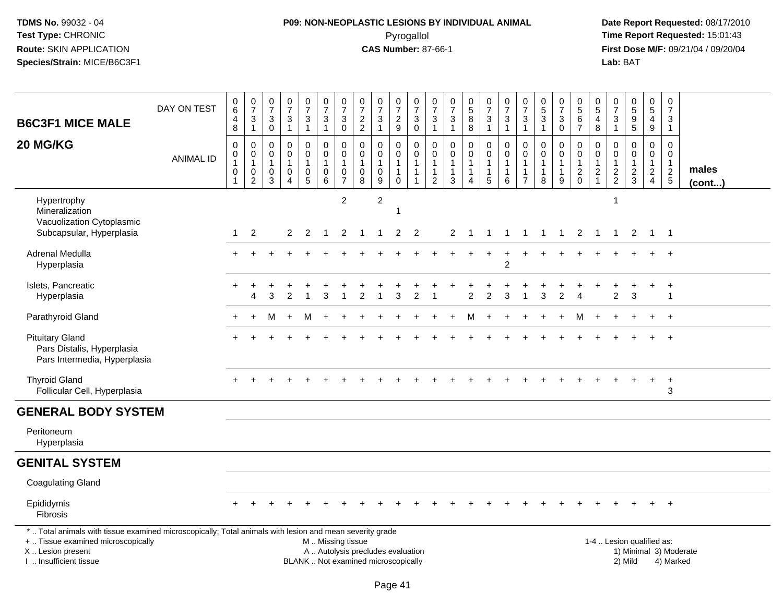# **P09: NON-NEOPLASTIC LESIONS BY INDIVIDUAL ANIMAL**Pyrogallol **Time Report Requested:** 15:01:43

| <b>B6C3F1 MICE MALE</b>                                                                                                                                                                       | DAY ON TEST      | 0<br>$6\overline{6}$<br>4<br>8 | $\frac{0}{7}$<br>$\sqrt{3}$<br>$\overline{1}$                                 | 0<br>$\overline{7}$<br>3<br>$\mathsf{O}\xspace$ | $\frac{0}{7}$<br>$\sqrt{3}$<br>$\mathbf{1}$                       | $\frac{0}{7}$<br>$\mathfrak{S}$<br>$\mathbf{1}$                         | $\frac{0}{7}$<br>$\mathbf{3}$<br>$\mathbf{1}$                 | $\frac{0}{7}$<br>$\sqrt{3}$<br>$\ddot{\mathbf{0}}$                                         | $\begin{array}{c} 0 \\ 7 \end{array}$<br>$\frac{2}{2}$                   | $\frac{0}{7}$<br>$\sqrt{3}$<br>$\mathbf{1}$                               | $\frac{0}{7}$<br>$\frac{2}{9}$                                          | 0<br>$\overline{7}$<br>$_0^3$                                                    | $\frac{0}{7}$<br>3<br>$\mathbf{1}$                       | $\begin{array}{c} 0 \\ 7 \end{array}$<br>$\ensuremath{\mathsf{3}}$<br>$\mathbf{1}$ | $\begin{smallmatrix} 0\\5 \end{smallmatrix}$<br>$\bf 8$<br>$\overline{8}$ | $\begin{array}{c} 0 \\ 7 \end{array}$<br>$\frac{3}{1}$                     | $\,0\,$<br>$\overline{7}$<br>$\sqrt{3}$<br>$\overline{1}$             | $\frac{0}{7}$<br>3<br>$\mathbf{1}$                                           | $\pmb{0}$<br>$\overline{5}$<br>$\ensuremath{\mathsf{3}}$<br>$\mathbf{1}$ | $\frac{0}{7}$<br>3<br>$\overline{0}$                               | $\,0\,$<br>$\overline{5}$<br>6<br>$\overline{7}$   | $\begin{array}{c} 0 \\ 5 \end{array}$<br>$\overline{4}$<br>8 | 0<br>$\overline{7}$<br>3<br>$\mathbf{1}$         | $\begin{array}{c} 0 \\ 5 \end{array}$<br>$\overline{9}$<br>$\overline{5}$ | 0<br>$\overline{5}$<br>4<br>9                                        |                | $\pmb{0}$<br>$\overline{7}$<br>3<br>$\mathbf{1}$                      |                       |  |
|-----------------------------------------------------------------------------------------------------------------------------------------------------------------------------------------------|------------------|--------------------------------|-------------------------------------------------------------------------------|-------------------------------------------------|-------------------------------------------------------------------|-------------------------------------------------------------------------|---------------------------------------------------------------|--------------------------------------------------------------------------------------------|--------------------------------------------------------------------------|---------------------------------------------------------------------------|-------------------------------------------------------------------------|----------------------------------------------------------------------------------|----------------------------------------------------------|------------------------------------------------------------------------------------|---------------------------------------------------------------------------|----------------------------------------------------------------------------|-----------------------------------------------------------------------|------------------------------------------------------------------------------|--------------------------------------------------------------------------|--------------------------------------------------------------------|----------------------------------------------------|--------------------------------------------------------------|--------------------------------------------------|---------------------------------------------------------------------------|----------------------------------------------------------------------|----------------|-----------------------------------------------------------------------|-----------------------|--|
| 20 MG/KG                                                                                                                                                                                      | <b>ANIMAL ID</b> | 0<br>0<br>1<br>0               | $\mathbf 0$<br>$\mathbf 0$<br>$\overline{1}$<br>$\mathbf 0$<br>$\overline{2}$ | $\mathbf 0$<br>$\mathbf 0$<br>1<br>0<br>3       | 0<br>$\pmb{0}$<br>$\overline{1}$<br>$\mathbf 0$<br>$\overline{4}$ | 0<br>$\ddot{\mathbf{0}}$<br>$\mathbf{1}$<br>$\pmb{0}$<br>$\overline{5}$ | 0<br>$\mathsf{O}\xspace$<br>1<br>$\pmb{0}$<br>$6\overline{6}$ | $\mathbf 0$<br>$\ddot{\mathbf{0}}$<br>$\overline{1}$<br>$\boldsymbol{0}$<br>$\overline{7}$ | 0<br>$\mathbf 0$<br>-1<br>$\mathbf 0$<br>8                               | $\pmb{0}$<br>$\mathbf 0$<br>$\mathbf{1}$<br>$\mathbf 0$<br>$\overline{9}$ | 0<br>$\mathsf{O}\xspace$<br>$\mathbf{1}$<br>$\mathbf{1}$<br>$\mathbf 0$ | $\pmb{0}$<br>$\ddot{\mathbf{0}}$<br>$\mathbf{1}$<br>$\mathbf{1}$<br>$\mathbf{1}$ | 0<br>0<br>$\mathbf{1}$<br>$\mathbf{1}$<br>$\overline{2}$ | 0<br>0<br>$\mathbf{1}$<br>$\mathbf{1}$<br>3                                        | $\mathbf 0$<br>$\pmb{0}$<br>1<br>$\overline{4}$                           | $\mathbf 0$<br>$\mathbf 0$<br>$\overline{1}$<br>$\mathbf{1}$<br>$\sqrt{5}$ | 0<br>$\mathbf 0$<br>$\mathbf{1}$<br>$\overline{1}$<br>$6\phantom{1}6$ | $\mathbf 0$<br>$\mathbf 0$<br>$\mathbf{1}$<br>$\mathbf{1}$<br>$\overline{7}$ | $\mathbf 0$<br>$\mathbf 0$<br>1<br>$\mathbf{1}$<br>8                     | 0<br>$\mathbf 0$<br>$\mathbf{1}$<br>$\mathbf{1}$<br>$\overline{9}$ | 0<br>$\mathbf 0$<br>$\overline{1}$<br>$^2_{\rm 0}$ | $\mathbf 0$<br>$\pmb{0}$<br>$\mathbf{1}$<br>$\frac{2}{1}$    | 0<br>$\mathbf 0$<br>$\mathbf 1$<br>$\frac{2}{2}$ | $\mathbf 0$<br>$\ddot{\mathbf{0}}$<br>$\mathbf{1}$<br>$\frac{2}{3}$       | 0<br>$\mathbf 0$<br>$\mathbf{1}$<br>$\overline{2}$<br>$\overline{4}$ |                | $\mathbf 0$<br>$\mathsf{O}\xspace$<br>$\overline{1}$<br>$\frac{2}{5}$ | males<br>$($ cont $)$ |  |
| Hypertrophy<br>Mineralization<br>Vacuolization Cytoplasmic<br>Subcapsular, Hyperplasia                                                                                                        |                  | $\mathbf{1}$                   | $\overline{2}$                                                                |                                                 | $\overline{2}$                                                    | $\overline{2}$                                                          | $\mathbf{1}$                                                  | $\overline{2}$<br>$\overline{2}$                                                           | $\overline{1}$                                                           | $\overline{c}$<br>$\mathbf{1}$                                            | $\overline{c}$                                                          | $\overline{2}$                                                                   |                                                          | 2                                                                                  | -1                                                                        | $\overline{1}$                                                             | $\mathbf{1}$                                                          | $\mathbf{1}$                                                                 | $\overline{1}$                                                           | $\overline{\phantom{a}}$                                           | $\overline{2}$                                     | $\overline{1}$                                               | -1<br>$\mathbf{1}$                               | $\overline{2}$                                                            | $\overline{1}$                                                       | $\overline{1}$ |                                                                       |                       |  |
| Adrenal Medulla<br>Hyperplasia                                                                                                                                                                |                  |                                |                                                                               |                                                 |                                                                   |                                                                         |                                                               |                                                                                            |                                                                          |                                                                           |                                                                         |                                                                                  |                                                          |                                                                                    |                                                                           | $+$                                                                        | $\ddot{}$<br>$\overline{2}$                                           |                                                                              |                                                                          |                                                                    |                                                    |                                                              |                                                  |                                                                           |                                                                      |                | $\overline{+}$                                                        |                       |  |
| Islets, Pancreatic<br>Hyperplasia                                                                                                                                                             |                  |                                | 4                                                                             | 3                                               | 2                                                                 | $\overline{1}$                                                          | 3                                                             | -1                                                                                         | 2                                                                        | -1                                                                        | 3                                                                       | 2                                                                                | -1                                                       |                                                                                    | $\overline{2}$                                                            | $\overline{c}$                                                             | 3                                                                     | 1                                                                            | 3                                                                        | 2                                                                  | $\overline{4}$                                     |                                                              | $\overline{2}$                                   | 3                                                                         | +                                                                    |                | $\ddot{}$<br>$\overline{1}$                                           |                       |  |
| Parathyroid Gland                                                                                                                                                                             |                  | $\ddot{}$                      |                                                                               | M                                               |                                                                   | M                                                                       | $\ddot{}$                                                     |                                                                                            |                                                                          |                                                                           |                                                                         |                                                                                  |                                                          |                                                                                    | м                                                                         | $\ddot{}$                                                                  |                                                                       |                                                                              |                                                                          |                                                                    | м                                                  |                                                              |                                                  |                                                                           | $\ddot{}$                                                            |                | $+$                                                                   |                       |  |
| <b>Pituitary Gland</b><br>Pars Distalis, Hyperplasia<br>Pars Intermedia, Hyperplasia                                                                                                          |                  |                                |                                                                               |                                                 |                                                                   |                                                                         |                                                               |                                                                                            |                                                                          |                                                                           |                                                                         |                                                                                  |                                                          |                                                                                    |                                                                           |                                                                            |                                                                       |                                                                              |                                                                          |                                                                    |                                                    |                                                              |                                                  |                                                                           |                                                                      |                | $+$                                                                   |                       |  |
| <b>Thyroid Gland</b><br>Follicular Cell, Hyperplasia                                                                                                                                          |                  |                                |                                                                               |                                                 |                                                                   |                                                                         |                                                               |                                                                                            |                                                                          |                                                                           |                                                                         |                                                                                  |                                                          |                                                                                    |                                                                           |                                                                            |                                                                       |                                                                              |                                                                          |                                                                    |                                                    |                                                              |                                                  |                                                                           | $+$                                                                  |                | $+$<br>3                                                              |                       |  |
| <b>GENERAL BODY SYSTEM</b>                                                                                                                                                                    |                  |                                |                                                                               |                                                 |                                                                   |                                                                         |                                                               |                                                                                            |                                                                          |                                                                           |                                                                         |                                                                                  |                                                          |                                                                                    |                                                                           |                                                                            |                                                                       |                                                                              |                                                                          |                                                                    |                                                    |                                                              |                                                  |                                                                           |                                                                      |                |                                                                       |                       |  |
| Peritoneum<br>Hyperplasia                                                                                                                                                                     |                  |                                |                                                                               |                                                 |                                                                   |                                                                         |                                                               |                                                                                            |                                                                          |                                                                           |                                                                         |                                                                                  |                                                          |                                                                                    |                                                                           |                                                                            |                                                                       |                                                                              |                                                                          |                                                                    |                                                    |                                                              |                                                  |                                                                           |                                                                      |                |                                                                       |                       |  |
| <b>GENITAL SYSTEM</b>                                                                                                                                                                         |                  |                                |                                                                               |                                                 |                                                                   |                                                                         |                                                               |                                                                                            |                                                                          |                                                                           |                                                                         |                                                                                  |                                                          |                                                                                    |                                                                           |                                                                            |                                                                       |                                                                              |                                                                          |                                                                    |                                                    |                                                              |                                                  |                                                                           |                                                                      |                |                                                                       |                       |  |
| <b>Coagulating Gland</b>                                                                                                                                                                      |                  |                                |                                                                               |                                                 |                                                                   |                                                                         |                                                               |                                                                                            |                                                                          |                                                                           |                                                                         |                                                                                  |                                                          |                                                                                    |                                                                           |                                                                            |                                                                       |                                                                              |                                                                          |                                                                    |                                                    |                                                              |                                                  |                                                                           |                                                                      |                |                                                                       |                       |  |
| Epididymis<br><b>Fibrosis</b>                                                                                                                                                                 |                  |                                |                                                                               |                                                 |                                                                   |                                                                         |                                                               |                                                                                            |                                                                          |                                                                           |                                                                         |                                                                                  |                                                          |                                                                                    |                                                                           |                                                                            |                                                                       |                                                                              |                                                                          |                                                                    |                                                    |                                                              |                                                  |                                                                           |                                                                      |                | $+$                                                                   |                       |  |
| *  Total animals with tissue examined microscopically; Total animals with lesion and mean severity grade<br>+  Tissue examined microscopically<br>X  Lesion present<br>I  Insufficient tissue |                  |                                |                                                                               |                                                 |                                                                   |                                                                         | M  Missing tissue                                             |                                                                                            | A  Autolysis precludes evaluation<br>BLANK  Not examined microscopically |                                                                           |                                                                         |                                                                                  |                                                          |                                                                                    |                                                                           |                                                                            |                                                                       |                                                                              |                                                                          |                                                                    |                                                    |                                                              |                                                  | 1-4  Lesion qualified as:<br>1) Minimal 3) Moderate<br>2) Mild            |                                                                      |                | 4) Marked                                                             |                       |  |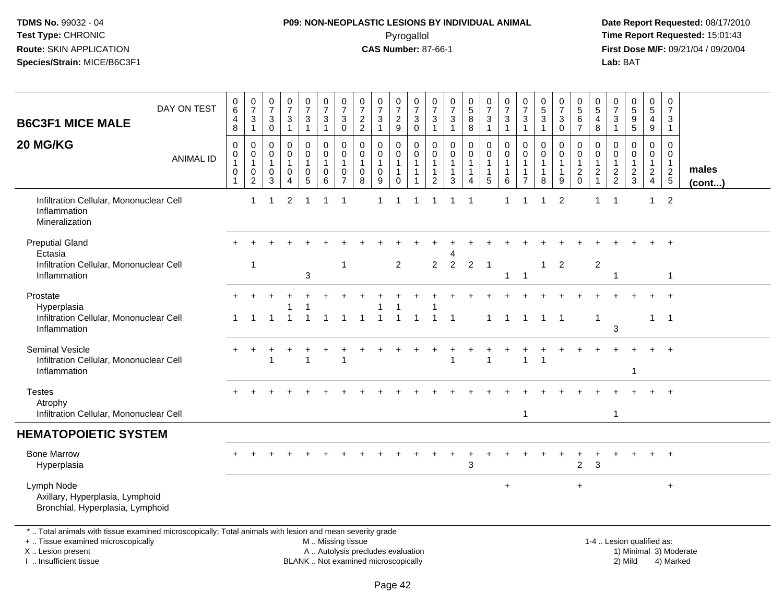# **P09: NON-NEOPLASTIC LESIONS BY INDIVIDUAL ANIMAL**Pyrogallol **Time Report Requested:** 15:01:43

 **Date Report Requested:** 08/17/2010 **First Dose M/F:** 09/21/04 / 09/20/04<br>Lab: BAT **Lab:** BAT

| <b>B6C3F1 MICE MALE</b>                                                                                                                                                                       | DAY ON TEST      | 0<br>$\,6\,$<br>4<br>8                                       | $\frac{0}{7}$<br>$\ensuremath{\mathsf{3}}$<br>$\mathbf{1}$ | 0<br>$\overline{7}$<br>3<br>$\mathbf 0$ | $\begin{array}{c} 0 \\ 7 \end{array}$<br>$\ensuremath{\mathsf{3}}$<br>$\mathbf{1}$ | $\mathbf 0$<br>$\overline{7}$<br>$\mathsf 3$<br>$\mathbf{1}$ | 0<br>$\overline{7}$<br>$\sqrt{3}$<br>$\overline{1}$                                           | 0<br>$\overline{7}$<br>3<br>$\mathbf 0$                           | 0<br>$\overline{7}$<br>$\frac{2}{2}$                                | $\frac{0}{7}$<br>$\mathbf{3}$<br>$\mathbf{1}$ | 0<br>$\overline{7}$<br>$\frac{2}{9}$                           | 0<br>$\overline{7}$<br>$\ensuremath{\mathsf{3}}$<br>$\overline{0}$ | 0<br>$\overline{7}$<br>$\frac{3}{1}$                                | 0<br>$\overline{7}$<br>$\sqrt{3}$<br>$\mathbf{1}$               | $^{\rm 0}_{\rm 5}$<br>8<br>8    | 0<br>$\overline{7}$<br>$\frac{3}{1}$                     | $\frac{0}{7}$<br>$\mathbf{3}$<br>$\mathbf{1}$                 | 0<br>$\overline{7}$<br>$\sqrt{3}$<br>$\mathbf{1}$  | 0<br>$\overline{5}$<br>$\mathbf{3}$<br>$\overline{1}$ | 0<br>$\overline{7}$<br>3<br>$\mathbf 0$               | 0<br>$\overline{5}$<br>$\,6$<br>$\overline{7}$                                         | 0<br>5<br>4<br>8                                                             | 0<br>$\overline{7}$<br>3<br>$\mathbf{1}$                    | $\begin{smallmatrix} 0\\5 \end{smallmatrix}$<br>$\boldsymbol{9}$<br>$\overline{5}$ | 0<br>$\overline{5}$<br>$\overline{4}$<br>$\mathsf g$ | 0<br>$\overline{7}$<br>3<br>$\mathbf{1}$            |                       |
|-----------------------------------------------------------------------------------------------------------------------------------------------------------------------------------------------|------------------|--------------------------------------------------------------|------------------------------------------------------------|-----------------------------------------|------------------------------------------------------------------------------------|--------------------------------------------------------------|-----------------------------------------------------------------------------------------------|-------------------------------------------------------------------|---------------------------------------------------------------------|-----------------------------------------------|----------------------------------------------------------------|--------------------------------------------------------------------|---------------------------------------------------------------------|-----------------------------------------------------------------|---------------------------------|----------------------------------------------------------|---------------------------------------------------------------|----------------------------------------------------|-------------------------------------------------------|-------------------------------------------------------|----------------------------------------------------------------------------------------|------------------------------------------------------------------------------|-------------------------------------------------------------|------------------------------------------------------------------------------------|------------------------------------------------------|-----------------------------------------------------|-----------------------|
| 20 MG/KG                                                                                                                                                                                      | <b>ANIMAL ID</b> | $\mathbf 0$<br>$\pmb{0}$<br>$\mathbf{1}$<br>0<br>$\mathbf 1$ | 0<br>$\mathbf 0$<br>$\mathbf{1}$<br>0<br>$\boldsymbol{2}$  | 0<br>0<br>$\mathbf 1$<br>0<br>3         | 0<br>$\pmb{0}$<br>1<br>0<br>4                                                      | $\mathbf 0$<br>$\mathbf 0$<br>$\mathbf 1$<br>0<br>5          | $\mathbf 0$<br>$\mathbf 0$<br>$\mathbf{1}$<br>0<br>6                                          | $\mathbf 0$<br>$\mathbf 0$<br>$\mathbf{1}$<br>0<br>$\overline{7}$ | $\mathbf 0$<br>$\mathbf 0$<br>$\mathbf{1}$<br>$\boldsymbol{0}$<br>8 | 0<br>$\overline{0}$<br>$\mathbf{1}$<br>0<br>9 | 0<br>$\mathbf 0$<br>$\mathbf{1}$<br>$\mathbf 1$<br>$\mathbf 0$ | $\mathbf 0$<br>$\mathbf 0$<br>$\mathbf 1$<br>$\mathbf{1}$          | $\mathbf 0$<br>$\mathbf 0$<br>$\overline{1}$<br>$\overline{1}$<br>2 | $\mathbf 0$<br>$\mathbf 0$<br>$\mathbf{1}$<br>$\mathbf{1}$<br>3 | 0<br>$\mathbf 0$<br>1<br>1<br>4 | 0<br>$\overline{0}$<br>$\mathbf{1}$<br>$\mathbf{1}$<br>5 | $\mathbf 0$<br>$\pmb{0}$<br>$\mathbf{1}$<br>$\mathbf{1}$<br>6 | 0<br>$\mathbf 0$<br>$\mathbf{1}$<br>$\overline{7}$ | $\mathbf 0$<br>$\mathbf 0$<br>-1<br>$\mathbf{1}$<br>8 | 0<br>$\mathbf 0$<br>$\mathbf{1}$<br>$\mathbf{1}$<br>9 | $\mathbf 0$<br>$\mathsf{O}\xspace$<br>$\mathbf{1}$<br>$\overline{c}$<br>$\overline{0}$ | $\mathbf 0$<br>$\mathbf 0$<br>$\mathbf{1}$<br>$\overline{c}$<br>$\mathbf{1}$ | $\mathbf 0$<br>$\mathbf 0$<br>$\mathbf{1}$<br>$\frac{2}{2}$ | $\mathbf 0$<br>$\pmb{0}$<br>1<br>$\frac{2}{3}$                                     | 0<br>$\mathbf 0$<br>$\mathbf{1}$<br>$\frac{2}{4}$    | $\mathbf 0$<br>0<br>$\overline{1}$<br>$\frac{2}{5}$ | males<br>$($ cont $)$ |
| Infiltration Cellular, Mononuclear Cell<br>Inflammation<br>Mineralization                                                                                                                     |                  |                                                              | 1                                                          |                                         | $\overline{2}$                                                                     | $\overline{\mathbf{1}}$                                      | -1                                                                                            | $\overline{1}$                                                    |                                                                     | 1                                             | $\mathbf 1$                                                    |                                                                    | 1                                                                   | $\mathbf 1$                                                     | -1                              |                                                          | $\mathbf{1}$                                                  |                                                    | -1                                                    | $\overline{c}$                                        |                                                                                        | 1                                                                            | $\mathbf 1$                                                 |                                                                                    | $\mathbf{1}$                                         | 2                                                   |                       |
| <b>Preputial Gland</b>                                                                                                                                                                        |                  |                                                              |                                                            |                                         |                                                                                    |                                                              |                                                                                               |                                                                   |                                                                     |                                               |                                                                |                                                                    |                                                                     |                                                                 |                                 |                                                          |                                                               |                                                    |                                                       |                                                       |                                                                                        |                                                                              |                                                             |                                                                                    |                                                      | $\div$                                              |                       |
| Ectasia<br>Infiltration Cellular, Mononuclear Cell<br>Inflammation                                                                                                                            |                  |                                                              | $\mathbf{1}$                                               |                                         |                                                                                    | 3                                                            |                                                                                               | 1                                                                 |                                                                     |                                               | 2                                                              |                                                                    | $\overline{c}$                                                      | $\overline{2}$                                                  | $\overline{2}$                  | $\overline{\phantom{0}}$ 1                               | $\mathbf{1}$                                                  |                                                    | 1                                                     | $\overline{c}$                                        |                                                                                        | $\overline{c}$                                                               | $\mathbf 1$                                                 |                                                                                    |                                                      | $\overline{1}$                                      |                       |
| Prostate                                                                                                                                                                                      |                  |                                                              |                                                            |                                         |                                                                                    |                                                              |                                                                                               |                                                                   |                                                                     |                                               |                                                                |                                                                    |                                                                     |                                                                 |                                 |                                                          |                                                               |                                                    |                                                       |                                                       |                                                                                        |                                                                              |                                                             |                                                                                    |                                                      | $\ddot{}$                                           |                       |
| Hyperplasia<br>Infiltration Cellular, Mononuclear Cell<br>Inflammation                                                                                                                        |                  |                                                              |                                                            |                                         |                                                                                    |                                                              |                                                                                               |                                                                   |                                                                     |                                               | 1                                                              |                                                                    |                                                                     | -1                                                              |                                 |                                                          | $\mathbf 1$                                                   |                                                    | -1                                                    | $\overline{1}$                                        |                                                                                        | $\mathbf{1}$                                                                 | 3                                                           |                                                                                    | $\mathbf{1}$                                         | -1                                                  |                       |
| Seminal Vesicle<br>Infiltration Cellular, Mononuclear Cell<br>Inflammation                                                                                                                    |                  |                                                              |                                                            |                                         |                                                                                    | 1                                                            |                                                                                               | 1                                                                 |                                                                     |                                               |                                                                |                                                                    |                                                                     | 1                                                               |                                 | $\overline{1}$                                           |                                                               | $\overline{1}$                                     | $\overline{\mathbf{1}}$                               |                                                       |                                                                                        |                                                                              |                                                             | $\overline{1}$                                                                     |                                                      |                                                     |                       |
| <b>Testes</b><br>Atrophy<br>Infiltration Cellular, Mononuclear Cell                                                                                                                           |                  |                                                              |                                                            |                                         |                                                                                    |                                                              |                                                                                               |                                                                   |                                                                     |                                               |                                                                |                                                                    |                                                                     |                                                                 |                                 |                                                          |                                                               | $\mathbf{1}$                                       |                                                       |                                                       |                                                                                        |                                                                              | $\mathbf{1}$                                                |                                                                                    |                                                      |                                                     |                       |
| <b>HEMATOPOIETIC SYSTEM</b>                                                                                                                                                                   |                  |                                                              |                                                            |                                         |                                                                                    |                                                              |                                                                                               |                                                                   |                                                                     |                                               |                                                                |                                                                    |                                                                     |                                                                 |                                 |                                                          |                                                               |                                                    |                                                       |                                                       |                                                                                        |                                                                              |                                                             |                                                                                    |                                                      |                                                     |                       |
| <b>Bone Marrow</b><br>Hyperplasia                                                                                                                                                             |                  |                                                              |                                                            |                                         |                                                                                    |                                                              |                                                                                               |                                                                   |                                                                     |                                               |                                                                |                                                                    |                                                                     |                                                                 | 3                               |                                                          |                                                               |                                                    |                                                       |                                                       | $\overline{c}$                                                                         | 3                                                                            |                                                             |                                                                                    |                                                      |                                                     |                       |
| Lymph Node<br>Axillary, Hyperplasia, Lymphoid<br>Bronchial, Hyperplasia, Lymphoid                                                                                                             |                  |                                                              |                                                            |                                         |                                                                                    |                                                              |                                                                                               |                                                                   |                                                                     |                                               |                                                                |                                                                    |                                                                     |                                                                 |                                 |                                                          | $\ddot{}$                                                     |                                                    |                                                       |                                                       | $\ddot{}$                                                                              |                                                                              |                                                             |                                                                                    |                                                      | $\ddot{}$                                           |                       |
| *  Total animals with tissue examined microscopically; Total animals with lesion and mean severity grade<br>+  Tissue examined microscopically<br>X  Lesion present<br>I  Insufficient tissue |                  |                                                              |                                                            |                                         |                                                                                    |                                                              | M  Missing tissue<br>A  Autolysis precludes evaluation<br>BLANK  Not examined microscopically |                                                                   |                                                                     |                                               |                                                                |                                                                    |                                                                     |                                                                 |                                 |                                                          |                                                               |                                                    |                                                       |                                                       |                                                                                        |                                                                              |                                                             | 1-4  Lesion qualified as:<br>2) Mild                                               |                                                      | 1) Minimal 3) Moderate<br>4) Marked                 |                       |

I .. Insufficient tissue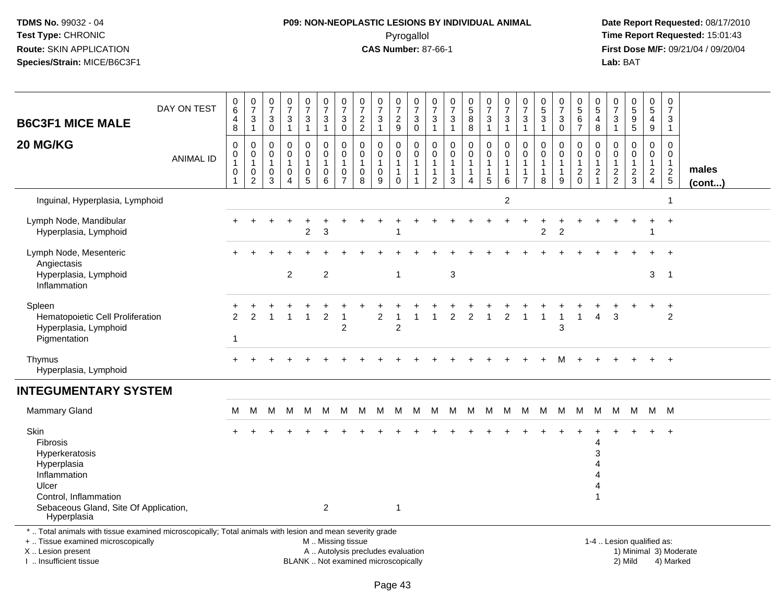## **P09: NON-NEOPLASTIC LESIONS BY INDIVIDUAL ANIMAL**Pyrogallol **Time Report Requested:** 15:01:43

 **Date Report Requested:** 08/17/2010 **First Dose M/F:** 09/21/04 / 09/20/04<br>Lab: BAT **Lab:** BAT

| <b>B6C3F1 MICE MALE</b>                                                                                                                                                                       | DAY ON TEST      | 0<br>$\,6\,$<br>4<br>8 | $\frac{0}{7}$<br>$\sqrt{3}$<br>$\mathbf{1}$                                 | 0<br>$\overline{7}$<br>$\ensuremath{\mathsf{3}}$<br>$\pmb{0}$ | $\mathbf 0$<br>$\overline{7}$<br>$\ensuremath{\mathsf{3}}$<br>$\mathbf{1}$ | $\frac{0}{7}$<br>$\ensuremath{\mathsf{3}}$<br>$\mathbf{1}$ | 0<br>$\overline{7}$<br>3<br>$\mathbf{1}$                                                      | $\boldsymbol{0}$<br>$\overline{7}$<br>$\ensuremath{\mathsf{3}}$<br>$\mathbf 0$ | 0<br>$\overline{7}$<br>$\frac{2}{2}$ | 0<br>$\overline{7}$<br>$\ensuremath{\mathsf{3}}$<br>$\overline{1}$ | $\frac{0}{7}$<br>$\overline{c}$<br>9 | 0<br>$\overline{7}$<br>$_0^3$                                      | 0<br>$\overline{7}$<br>$\ensuremath{\mathsf{3}}$<br>$\mathbf{1}$   | 0<br>7<br>$\sqrt{3}$<br>$\mathbf{1}$         | $\begin{array}{c} 0 \\ 5 \end{array}$<br>$\,8\,$<br>$\,8\,$        | 0<br>$\overline{7}$<br>3<br>$\overline{1}$ | $\pmb{0}$<br>$\overline{7}$<br>$\sqrt{3}$<br>$\mathbf{1}$           | $\frac{0}{7}$<br>3<br>$\mathbf{1}$ | 0<br>$\sqrt{5}$<br>$\ensuremath{\mathsf{3}}$<br>$\mathbf{1}$ | $\frac{0}{7}$<br>$\ensuremath{\mathsf{3}}$<br>$\mathbf 0$ | 0<br>$\overline{5}$<br>$\frac{6}{7}$ | 0<br>$\sqrt{5}$<br>4<br>$\,8\,$                            | 0<br>$\overline{7}$<br>$\sqrt{3}$<br>$\overline{1}$ | $\pmb{0}$<br>$\frac{5}{9}$<br>$\sqrt{5}$                 | $\begin{array}{c} 0 \\ 5 \end{array}$<br>4<br>9                | $\pmb{0}$<br>$\overline{7}$<br>3<br>$\mathbf{1}$ |                        |
|-----------------------------------------------------------------------------------------------------------------------------------------------------------------------------------------------|------------------|------------------------|-----------------------------------------------------------------------------|---------------------------------------------------------------|----------------------------------------------------------------------------|------------------------------------------------------------|-----------------------------------------------------------------------------------------------|--------------------------------------------------------------------------------|--------------------------------------|--------------------------------------------------------------------|--------------------------------------|--------------------------------------------------------------------|--------------------------------------------------------------------|----------------------------------------------|--------------------------------------------------------------------|--------------------------------------------|---------------------------------------------------------------------|------------------------------------|--------------------------------------------------------------|-----------------------------------------------------------|--------------------------------------|------------------------------------------------------------|-----------------------------------------------------|----------------------------------------------------------|----------------------------------------------------------------|--------------------------------------------------|------------------------|
| 20 MG/KG                                                                                                                                                                                      | <b>ANIMAL ID</b> | 0<br>0<br>1<br>0       | $\mathbf 0$<br>$\mathbf 0$<br>$\overline{1}$<br>$\pmb{0}$<br>$\overline{2}$ | 0<br>$\Omega$<br>1<br>0<br>3                                  | 0<br>$\Omega$<br>1<br>$\mathbf 0$<br>$\overline{4}$                        | $\pmb{0}$<br>$\overline{0}$<br>1<br>$\pmb{0}$<br>5         | 0<br>$\mathbf 0$<br>$\mathbf 0$<br>6                                                          | $\mathbf 0$<br>$\mathbf 0$<br>$\overline{1}$<br>$\pmb{0}$<br>$\overline{7}$    | 0<br>$\mathbf{0}$<br>-1<br>0<br>8    | $\mathbf 0$<br>$\mathbf 0$<br>1<br>$\mathbf 0$<br>9                | 0<br>$\mathbf 0$<br>$\Omega$         | 0<br>$\mathbf 0$<br>$\mathbf{1}$<br>$\mathbf{1}$<br>$\overline{1}$ | 0<br>$\mathbf 0$<br>$\mathbf{1}$<br>$\mathbf{1}$<br>$\overline{2}$ | $\mathbf 0$<br>$\Omega$<br>$\mathbf{1}$<br>3 | $\mathbf 0$<br>$\mathbf 0$<br>-1<br>$\mathbf{1}$<br>$\overline{4}$ | 0<br>0<br>-1<br>1<br>5                     | $\mathbf 0$<br>$\mathbf 0$<br>$\overline{1}$<br>$\overline{1}$<br>6 | 0<br>$\Omega$<br>$\overline{7}$    | $\mathbf 0$<br>$\Omega$<br>1<br>$\mathbf{1}$<br>8            | 0<br>$\mathbf{0}$<br>$\mathbf{1}$<br>9                    | 0<br>$\mathbf 0$<br>$\frac{2}{0}$    | $\mathbf 0$<br>$\mathbf 0$<br>$\mathbf 1$<br>$\frac{2}{1}$ | 0<br>$\mathbf{0}$<br>$\mathbf 1$<br>$\frac{2}{2}$   | $\mathbf 0$<br>$\Omega$<br>$\mathbf{1}$<br>$\frac{2}{3}$ | $\mathbf 0$<br>$\mathbf 0$<br>$\overline{c}$<br>$\overline{4}$ | 0<br>$\mathbf 0$<br>$\mathbf{1}$<br>$rac{2}{5}$  | males<br>(cont)        |
| Inguinal, Hyperplasia, Lymphoid                                                                                                                                                               |                  |                        |                                                                             |                                                               |                                                                            |                                                            |                                                                                               |                                                                                |                                      |                                                                    |                                      |                                                                    |                                                                    |                                              |                                                                    |                                            | $\overline{c}$                                                      |                                    |                                                              |                                                           |                                      |                                                            |                                                     |                                                          |                                                                |                                                  |                        |
| Lymph Node, Mandibular<br>Hyperplasia, Lymphoid                                                                                                                                               |                  |                        |                                                                             |                                                               |                                                                            | $\overline{2}$                                             | 3                                                                                             |                                                                                |                                      |                                                                    |                                      |                                                                    |                                                                    |                                              |                                                                    |                                            |                                                                     |                                    | $\overline{2}$                                               | $\overline{2}$                                            |                                      |                                                            |                                                     |                                                          |                                                                |                                                  |                        |
| Lymph Node, Mesenteric<br>Angiectasis<br>Hyperplasia, Lymphoid                                                                                                                                |                  |                        |                                                                             |                                                               | $\overline{2}$                                                             |                                                            | $\overline{2}$                                                                                |                                                                                |                                      |                                                                    | $\mathbf{1}$                         |                                                                    |                                                                    | $\mathbf{3}$                                 |                                                                    |                                            |                                                                     |                                    |                                                              |                                                           |                                      |                                                            |                                                     |                                                          | 3                                                              | $\overline{1}$                                   |                        |
| Inflammation<br>Spleen<br>Hematopoietic Cell Proliferation<br>Hyperplasia, Lymphoid<br>Pigmentation                                                                                           |                  | $\mathcal{P}$<br>-1    | $\mathfrak{p}$                                                              |                                                               |                                                                            | $\mathbf{1}$                                               | $\overline{2}$                                                                                | $\overline{1}$<br>$\overline{2}$                                               |                                      | 2                                                                  | $\overline{2}$                       |                                                                    |                                                                    | $\overline{2}$                               | 2                                                                  | $\overline{\mathbf{1}}$                    | $\overline{c}$                                                      | 1                                  | 1                                                            | $\overline{1}$<br>3                                       |                                      | $\overline{4}$                                             | 3                                                   |                                                          |                                                                | $\ddot{}$<br>$\overline{c}$                      |                        |
| Thymus<br>Hyperplasia, Lymphoid                                                                                                                                                               |                  | +                      |                                                                             |                                                               |                                                                            |                                                            |                                                                                               |                                                                                |                                      |                                                                    |                                      |                                                                    |                                                                    |                                              |                                                                    |                                            |                                                                     |                                    |                                                              | м                                                         |                                      |                                                            |                                                     |                                                          |                                                                | $+$                                              |                        |
| <b>INTEGUMENTARY SYSTEM</b>                                                                                                                                                                   |                  |                        |                                                                             |                                                               |                                                                            |                                                            |                                                                                               |                                                                                |                                      |                                                                    |                                      |                                                                    |                                                                    |                                              |                                                                    |                                            |                                                                     |                                    |                                                              |                                                           |                                      |                                                            |                                                     |                                                          |                                                                |                                                  |                        |
| <b>Mammary Gland</b>                                                                                                                                                                          |                  | м                      | M                                                                           | M                                                             | M                                                                          | M                                                          | M                                                                                             | M                                                                              | - M                                  |                                                                    | M M                                  | M                                                                  |                                                                    | M M M M                                      |                                                                    |                                            |                                                                     | M M                                |                                                              |                                                           | M M M M                              |                                                            | M                                                   |                                                          | M M M                                                          |                                                  |                        |
| Skin<br><b>Fibrosis</b><br>Hyperkeratosis<br>Hyperplasia<br>Inflammation<br>Ulcer<br>Control, Inflammation<br>Sebaceous Gland, Site Of Application,<br>Hyperplasia                            |                  |                        |                                                                             |                                                               |                                                                            |                                                            | $\overline{2}$                                                                                |                                                                                |                                      |                                                                    | $\mathbf{1}$                         |                                                                    |                                                                    |                                              |                                                                    |                                            |                                                                     |                                    |                                                              |                                                           |                                      | 4<br>3<br>$\mathbf 1$                                      |                                                     |                                                          |                                                                |                                                  |                        |
| *  Total animals with tissue examined microscopically; Total animals with lesion and mean severity grade<br>+  Tissue examined microscopically<br>X  Lesion present<br>I  Insufficient tissue |                  |                        |                                                                             |                                                               |                                                                            |                                                            | M  Missing tissue<br>A  Autolysis precludes evaluation<br>BLANK  Not examined microscopically |                                                                                |                                      |                                                                    |                                      |                                                                    |                                                                    |                                              |                                                                    |                                            |                                                                     |                                    |                                                              |                                                           |                                      |                                                            |                                                     | 1-4  Lesion qualified as:<br>2) Mild                     |                                                                | 4) Marked                                        | 1) Minimal 3) Moderate |

I .. Insufficient tissue

Page 43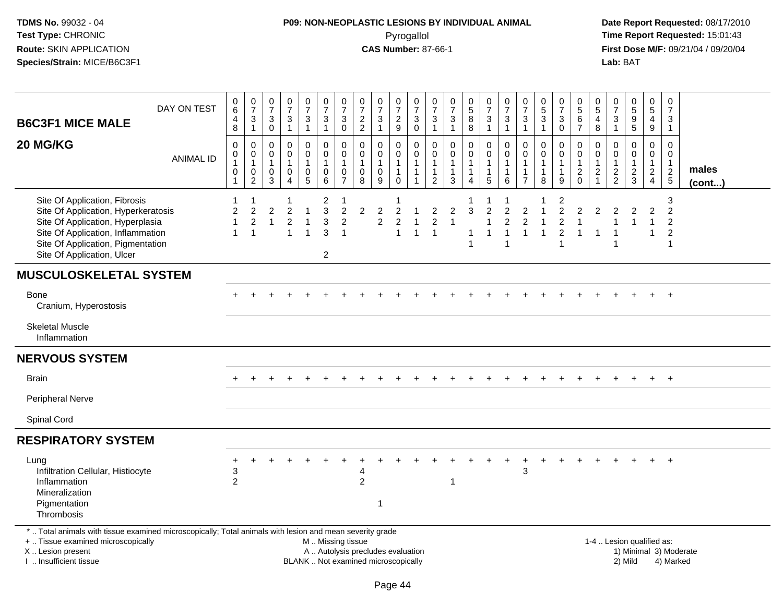# **P09: NON-NEOPLASTIC LESIONS BY INDIVIDUAL ANIMAL**Pyrogallol **Time Report Requested:** 15:01:43

| <b>B6C3F1 MICE MALE</b>                                                                                                                                                                                          | DAY ON TEST      | $\begin{matrix} 0 \\ 6 \end{matrix}$<br>4<br>8 | $\frac{0}{7}$<br>$\sqrt{3}$<br>$\mathbf{1}$                               | $\frac{0}{7}$<br>3<br>0                    | $\frac{0}{7}$<br>$\ensuremath{\mathsf{3}}$<br>$\overline{1}$           | $\frac{0}{7}$<br>$\mathbf{3}$<br>$\mathbf{1}$ | $\frac{0}{7}$<br>3<br>$\mathbf{1}$                   | $\frac{0}{7}$<br>$\mathbf{3}$<br>$\pmb{0}$                              | $\frac{0}{7}$<br>$\frac{2}{2}$                                           | $\begin{array}{c} 0 \\ 7 \end{array}$<br>$\mathbf{3}$<br>$\overline{1}$ | $\frac{0}{7}$<br>$\sqrt{2}$<br>$\boldsymbol{9}$                 | $\frac{0}{7}$<br>$\ensuremath{\mathsf{3}}$<br>$\mathsf{O}\xspace$            | 0<br>$\overline{7}$<br>$\mathbf{3}$<br>$\mathbf{1}$             | $\frac{0}{7}$<br>$\sqrt{3}$<br>$\mathbf{1}$       | $\begin{array}{c} 0 \\ 5 \\ 8 \end{array}$<br>$\,8\,$   | $\frac{0}{7}$<br>$\sqrt{3}$<br>$\mathbf{1}$                         | $\frac{0}{7}$<br>$\ensuremath{\mathsf{3}}$<br>$\mathbf{1}$                             | $\frac{0}{7}$<br>$\mathbf{3}$<br>$\mathbf{1}$                     | $^{\rm 0}_{\rm 5}$<br>$\sqrt{3}$<br>$\mathbf{1}$     | $\frac{0}{7}$<br>3<br>0                                                   | $\begin{array}{c} 0 \\ 5 \\ 6 \end{array}$<br>$\overline{7}$ | $\begin{array}{c} 0 \\ 5 \end{array}$<br>$\overline{4}$<br>8                     | $\frac{0}{7}$<br>$\frac{3}{1}$                               | $\begin{array}{c} 0 \\ 5 \\ 9 \end{array}$<br>$\overline{5}$ | $\begin{array}{c} 0 \\ 5 \end{array}$<br>$\overline{4}$<br>$\boldsymbol{9}$    | $\frac{0}{7}$<br>$\mathbf{3}$<br>$\mathbf{1}$                           |                                     |                 |  |
|------------------------------------------------------------------------------------------------------------------------------------------------------------------------------------------------------------------|------------------|------------------------------------------------|---------------------------------------------------------------------------|--------------------------------------------|------------------------------------------------------------------------|-----------------------------------------------|------------------------------------------------------|-------------------------------------------------------------------------|--------------------------------------------------------------------------|-------------------------------------------------------------------------|-----------------------------------------------------------------|------------------------------------------------------------------------------|-----------------------------------------------------------------|---------------------------------------------------|---------------------------------------------------------|---------------------------------------------------------------------|----------------------------------------------------------------------------------------|-------------------------------------------------------------------|------------------------------------------------------|---------------------------------------------------------------------------|--------------------------------------------------------------|----------------------------------------------------------------------------------|--------------------------------------------------------------|--------------------------------------------------------------|--------------------------------------------------------------------------------|-------------------------------------------------------------------------|-------------------------------------|-----------------|--|
| 20 MG/KG                                                                                                                                                                                                         | <b>ANIMAL ID</b> | 0<br>0<br>1<br>$\pmb{0}$<br>$\mathbf{1}$       | $\mathbf 0$<br>$\mathbf 0$<br>$\mathbf{1}$<br>$\pmb{0}$<br>$\overline{2}$ | 0<br>$\mathbf 0$<br>$\mathbf{1}$<br>0<br>3 | $\Omega$<br>$\mathbf 0$<br>$\mathbf{1}$<br>$\pmb{0}$<br>$\overline{4}$ | 0<br>$\mathbf 0$<br>1<br>$\mathsf 0$<br>5     | $\mathbf 0$<br>0<br>$\mathbf{1}$<br>$\mathbf 0$<br>6 | $\mathbf 0$<br>$\pmb{0}$<br>$\mathbf{1}$<br>$\pmb{0}$<br>$\overline{7}$ | $\mathbf 0$<br>$\mathbf 0$<br>$\overline{1}$<br>$\pmb{0}$<br>8           | $\mathbf 0$<br>$\mathbf 0$<br>$\mathbf{1}$<br>$\mathbf 0$<br>9          | 0<br>$\mathbf 0$<br>$\mathbf{1}$<br>$\mathbf{1}$<br>$\mathbf 0$ | $\mathbf 0$<br>$\mathbf 0$<br>$\mathbf{1}$<br>$\mathbf{1}$<br>$\overline{1}$ | $\mathbf 0$<br>$\mathbf 0$<br>$\mathbf{1}$<br>$\mathbf{1}$<br>2 | $\Omega$<br>$\mathbf 0$<br>1<br>$\mathbf{1}$<br>3 | 0<br>$\mathbf 0$<br>1<br>$\mathbf{1}$<br>$\overline{4}$ | $\mathbf 0$<br>$\mathbf 0$<br>$\overline{1}$<br>$\overline{1}$<br>5 | $\mathbf 0$<br>$\mathbf 0$<br>$\mathbf{1}$<br>$\mathbf{1}$<br>6                        | $\mathbf 0$<br>$\mathbf 0$<br>1<br>$\mathbf{1}$<br>$\overline{7}$ | $\mathbf 0$<br>$\mathbf 0$<br>1<br>$\mathbf{1}$<br>8 | 0<br>0<br>$\mathbf{1}$<br>$\mathbf{1}$<br>9                               | $\mathbf 0$<br>0<br>$\mathbf{1}$<br>$\frac{2}{0}$            | $\mathbf 0$<br>$\mathbf 0$<br>$\mathbf{1}$<br>$\boldsymbol{2}$<br>$\overline{1}$ | $\mathbf 0$<br>$\mathbf 0$<br>$\mathbf{1}$<br>$\frac{2}{2}$  | $\mathbf 0$<br>$\mathbf 0$<br>$\mathbf{1}$<br>$\frac{2}{3}$  | $\mathbf 0$<br>$\mathbf 0$<br>$\mathbf{1}$<br>$\overline{a}$<br>$\overline{4}$ | 0<br>$\mathbf 0$<br>$\mathbf{1}$<br>$\frac{2}{5}$                       |                                     | males<br>(cont) |  |
| Site Of Application, Fibrosis<br>Site Of Application, Hyperkeratosis<br>Site Of Application, Hyperplasia<br>Site Of Application, Inflammation<br>Site Of Application, Pigmentation<br>Site Of Application, Ulcer |                  | 2<br>1<br>$\mathbf{1}$                         | $\overline{c}$<br>$\sqrt{2}$<br>$\overline{1}$                            | $\overline{c}$<br>$\mathbf{1}$             | $\overline{c}$<br>$\overline{2}$<br>1                                  | $\mathbf{1}$<br>$\mathbf{1}$<br>$\mathbf{1}$  | $\overline{c}$<br>3<br>3<br>3<br>$\overline{2}$      | $\overline{c}$<br>$\sqrt{2}$<br>$\overline{1}$                          | $\overline{c}$                                                           | $\overline{c}$<br>$\boldsymbol{2}$                                      | $\overline{c}$<br>$\overline{c}$<br>$\mathbf{1}$                | -1<br>$\overline{1}$<br>$\mathbf{1}$                                         | $\overline{c}$<br>$\boldsymbol{2}$<br>$\overline{1}$            | $\overline{c}$                                    | 3<br>-1<br>$\overline{1}$                               | $\overline{c}$<br>$\overline{1}$<br>1                               | $\overline{c}$<br>$\overline{c}$<br>$\overline{\mathbf{1}}$<br>$\overline{\mathbf{1}}$ | $\overline{\mathbf{c}}$<br>$\overline{2}$<br>$\mathbf{1}$         | 1<br>$\mathbf{1}$                                    | 2<br>$\overline{c}$<br>$\overline{c}$<br>$\overline{2}$<br>$\overline{1}$ | 2<br>$\mathbf{1}$<br>$\mathbf{1}$                            | $\overline{2}$<br>$\overline{1}$                                                 | $\overline{c}$<br>$\overline{1}$<br>$\overline{\phantom{a}}$ | $\overline{2}$<br>$\overline{1}$                             | $\overline{2}$<br>$\mathbf{1}$<br>$\mathbf{1}$                                 | 3<br>$\overline{2}$<br>$\overline{c}$<br>$\overline{c}$<br>$\mathbf{1}$ |                                     |                 |  |
| <b>MUSCULOSKELETAL SYSTEM</b>                                                                                                                                                                                    |                  |                                                |                                                                           |                                            |                                                                        |                                               |                                                      |                                                                         |                                                                          |                                                                         |                                                                 |                                                                              |                                                                 |                                                   |                                                         |                                                                     |                                                                                        |                                                                   |                                                      |                                                                           |                                                              |                                                                                  |                                                              |                                                              |                                                                                |                                                                         |                                     |                 |  |
| <b>Bone</b><br>Cranium, Hyperostosis                                                                                                                                                                             |                  |                                                |                                                                           |                                            |                                                                        |                                               |                                                      |                                                                         |                                                                          |                                                                         |                                                                 |                                                                              |                                                                 |                                                   |                                                         |                                                                     |                                                                                        |                                                                   |                                                      |                                                                           |                                                              |                                                                                  |                                                              |                                                              |                                                                                |                                                                         |                                     |                 |  |
| <b>Skeletal Muscle</b><br>Inflammation                                                                                                                                                                           |                  |                                                |                                                                           |                                            |                                                                        |                                               |                                                      |                                                                         |                                                                          |                                                                         |                                                                 |                                                                              |                                                                 |                                                   |                                                         |                                                                     |                                                                                        |                                                                   |                                                      |                                                                           |                                                              |                                                                                  |                                                              |                                                              |                                                                                |                                                                         |                                     |                 |  |
| <b>NERVOUS SYSTEM</b>                                                                                                                                                                                            |                  |                                                |                                                                           |                                            |                                                                        |                                               |                                                      |                                                                         |                                                                          |                                                                         |                                                                 |                                                                              |                                                                 |                                                   |                                                         |                                                                     |                                                                                        |                                                                   |                                                      |                                                                           |                                                              |                                                                                  |                                                              |                                                              |                                                                                |                                                                         |                                     |                 |  |
| <b>Brain</b>                                                                                                                                                                                                     |                  |                                                |                                                                           |                                            |                                                                        |                                               |                                                      |                                                                         |                                                                          |                                                                         |                                                                 |                                                                              |                                                                 |                                                   |                                                         |                                                                     |                                                                                        |                                                                   |                                                      |                                                                           |                                                              |                                                                                  |                                                              |                                                              |                                                                                | $+$                                                                     |                                     |                 |  |
| Peripheral Nerve                                                                                                                                                                                                 |                  |                                                |                                                                           |                                            |                                                                        |                                               |                                                      |                                                                         |                                                                          |                                                                         |                                                                 |                                                                              |                                                                 |                                                   |                                                         |                                                                     |                                                                                        |                                                                   |                                                      |                                                                           |                                                              |                                                                                  |                                                              |                                                              |                                                                                |                                                                         |                                     |                 |  |
| Spinal Cord                                                                                                                                                                                                      |                  |                                                |                                                                           |                                            |                                                                        |                                               |                                                      |                                                                         |                                                                          |                                                                         |                                                                 |                                                                              |                                                                 |                                                   |                                                         |                                                                     |                                                                                        |                                                                   |                                                      |                                                                           |                                                              |                                                                                  |                                                              |                                                              |                                                                                |                                                                         |                                     |                 |  |
| <b>RESPIRATORY SYSTEM</b>                                                                                                                                                                                        |                  |                                                |                                                                           |                                            |                                                                        |                                               |                                                      |                                                                         |                                                                          |                                                                         |                                                                 |                                                                              |                                                                 |                                                   |                                                         |                                                                     |                                                                                        |                                                                   |                                                      |                                                                           |                                                              |                                                                                  |                                                              |                                                              |                                                                                |                                                                         |                                     |                 |  |
| Lung<br>Infiltration Cellular, Histiocyte<br>Inflammation<br>Mineralization<br>Pigmentation<br>Thrombosis                                                                                                        |                  | +<br>3<br>$\overline{2}$                       |                                                                           |                                            |                                                                        |                                               |                                                      |                                                                         | 4<br>$\overline{2}$                                                      | $\overline{\mathbf{1}}$                                                 |                                                                 |                                                                              |                                                                 |                                                   |                                                         |                                                                     |                                                                                        | 3                                                                 |                                                      |                                                                           |                                                              |                                                                                  |                                                              |                                                              |                                                                                |                                                                         |                                     |                 |  |
| *  Total animals with tissue examined microscopically; Total animals with lesion and mean severity grade<br>+  Tissue examined microscopically<br>X  Lesion present<br>I. Insufficient tissue                    |                  |                                                |                                                                           |                                            |                                                                        |                                               | M  Missing tissue                                    |                                                                         | A  Autolysis precludes evaluation<br>BLANK  Not examined microscopically |                                                                         |                                                                 |                                                                              |                                                                 |                                                   |                                                         |                                                                     |                                                                                        |                                                                   |                                                      |                                                                           |                                                              |                                                                                  |                                                              | 1-4  Lesion qualified as:<br>2) Mild                         |                                                                                |                                                                         | 1) Minimal 3) Moderate<br>4) Marked |                 |  |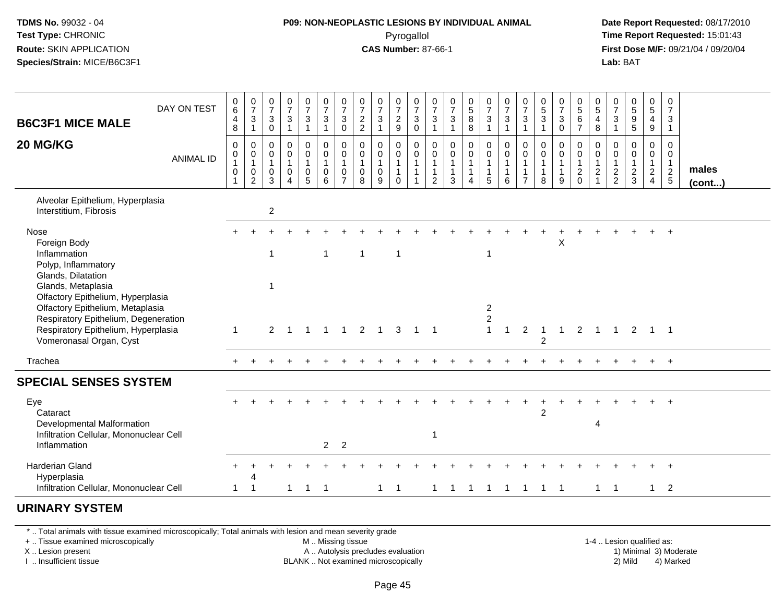## **P09: NON-NEOPLASTIC LESIONS BY INDIVIDUAL ANIMAL**Pyrogallol **Time Report Requested:** 15:01:43

 **Date Report Requested:** 08/17/2010 **First Dose M/F:** 09/21/04 / 09/20/04<br>**Lab:** BAT **Lab:** BAT

| <b>B6C3F1 MICE MALE</b>                                                                                                                                                         | DAY ON TEST      | $\begin{matrix} 0 \\ 6 \end{matrix}$<br>$\overline{\mathcal{A}}$<br>$\,8\,$ | $\frac{0}{7}$<br>$\mathbf{3}$<br>$\overline{1}$                   | $\frac{0}{7}$<br>3<br>$\mathsf{O}\xspace$ | $\frac{0}{7}$<br>$\mathbf{3}$<br>$\mathbf{1}$        | $\frac{0}{7}$<br>$\mathbf{3}$<br>$\mathbf{1}$              | $\frac{0}{7}$<br>3                                                | $\frac{0}{7}$<br>$\sqrt{3}$<br>$\pmb{0}$                            | $\frac{0}{7}$<br>$\overline{2}$<br>$\overline{2}$      | $\frac{0}{7}$<br>$\sqrt{3}$<br>$\overline{1}$                    | $\frac{0}{7}$<br>$\frac{2}{9}$               | $\frac{0}{7}$<br>$\mathfrak{S}$<br>$\mathbf 0$   | $\frac{0}{7}$<br>$\ensuremath{\mathsf{3}}$<br>$\mathbf{1}$  | $\frac{0}{7}$<br>$\ensuremath{\mathsf{3}}$<br>$\mathbf{1}$ | $\begin{array}{c} 0 \\ 5 \\ 8 \end{array}$<br>8                        | $\frac{0}{7}$<br>$\mathbf{3}$<br>$\mathbf{1}$                   | $\frac{0}{7}$<br>$\mathbf{3}$<br>$\mathbf{1}$                                   | $\frac{0}{7}$<br>$\overline{3}$<br>$\mathbf{1}$                                      | $\begin{array}{c} 0 \\ 5 \\ 3 \end{array}$<br>$\mathbf{1}$ | $\frac{0}{7}$<br>$\ensuremath{\mathsf{3}}$<br>$\mathbf 0$ | $\begin{array}{c} 0 \\ 5 \\ 6 \end{array}$<br>$\overline{7}$ | $\begin{array}{c} 0 \\ 5 \\ 4 \end{array}$<br>8     | $\frac{0}{7}$<br>$\sqrt{3}$<br>$\mathbf{1}$                 | 0<br>5<br>5<br>5                                            | $\begin{array}{c} 0 \\ 5 \\ 4 \end{array}$<br>$9\,$                  | $\begin{smallmatrix}0\\7\end{smallmatrix}$<br>$\mathbf{3}$<br>$\mathbf{1}$ |                       |
|---------------------------------------------------------------------------------------------------------------------------------------------------------------------------------|------------------|-----------------------------------------------------------------------------|-------------------------------------------------------------------|-------------------------------------------|------------------------------------------------------|------------------------------------------------------------|-------------------------------------------------------------------|---------------------------------------------------------------------|--------------------------------------------------------|------------------------------------------------------------------|----------------------------------------------|--------------------------------------------------|-------------------------------------------------------------|------------------------------------------------------------|------------------------------------------------------------------------|-----------------------------------------------------------------|---------------------------------------------------------------------------------|--------------------------------------------------------------------------------------|------------------------------------------------------------|-----------------------------------------------------------|--------------------------------------------------------------|-----------------------------------------------------|-------------------------------------------------------------|-------------------------------------------------------------|----------------------------------------------------------------------|----------------------------------------------------------------------------|-----------------------|
| 20 MG/KG                                                                                                                                                                        | <b>ANIMAL ID</b> | 0<br>$\pmb{0}$<br>$\overline{1}$<br>0                                       | $\pmb{0}$<br>$\overline{0}$<br>1<br>$\mathbf 0$<br>$\overline{2}$ | 0<br>0<br>$\mathbf{1}$<br>0<br>3          | $\mathbf 0$<br>$\pmb{0}$<br>$\mathbf{1}$<br>$\Omega$ | $\pmb{0}$<br>$\pmb{0}$<br>$\overline{1}$<br>$\pmb{0}$<br>5 | $\mathbf 0$<br>$\overline{0}$<br>$\mathbf{1}$<br>$\mathbf 0$<br>6 | $_{\rm 0}^{\rm 0}$<br>$\overline{1}$<br>$\pmb{0}$<br>$\overline{7}$ | 0<br>$\mathbf 0$<br>$\overline{1}$<br>$\mathbf 0$<br>8 | $\mathbf 0$<br>$\boldsymbol{0}$<br>$\mathbf{1}$<br>$\Omega$<br>9 | 0<br>$\mathbf 0$<br>$\mathbf{1}$<br>$\Omega$ | 0<br>$\mathbf 0$<br>$\mathbf{1}$<br>$\mathbf{1}$ | $\pmb{0}$<br>$\pmb{0}$<br>$\mathbf{1}$<br>$\mathbf{1}$<br>2 | $\mathbf 0$<br>0<br>$\mathbf{1}$<br>$\overline{1}$<br>3    | $\mathbf 0$<br>$\mathbf 0$<br>$\mathbf{1}$<br>$\mathbf{1}$<br>$\Delta$ | $\mathbf 0$<br>$\mathbf 0$<br>$\mathbf{1}$<br>$\mathbf{1}$<br>5 | $\mathsf{O}\xspace$<br>$\mathsf{O}\xspace$<br>$\mathbf{1}$<br>$\mathbf{1}$<br>6 | $\mathbf 0$<br>$\mathsf{O}\xspace$<br>$\mathbf{1}$<br>$\mathbf{1}$<br>$\overline{7}$ | 0<br>$\pmb{0}$<br>$\mathbf{1}$<br>$\mathbf{1}$<br>8        | 0<br>$\pmb{0}$<br>$\mathbf{1}$<br>$\mathbf{1}$<br>9       | 0<br>$\mathbf 0$<br>$\overline{1}$<br>$^2_0$                 | 0<br>$\mathbf 0$<br>$\overline{1}$<br>$\frac{2}{1}$ | $\mathbf 0$<br>$\mathbf 0$<br>$\mathbf{1}$<br>$\frac{2}{2}$ | $\mathbf 0$<br>$\mathbf 0$<br>$\mathbf{1}$<br>$\frac{2}{3}$ | 0<br>$\mathbf 0$<br>$\mathbf{1}$<br>$\overline{2}$<br>$\overline{4}$ | 0<br>$\mathbf 0$<br>$\mathbf{1}$<br>$\overline{2}$<br>$5\phantom{.0}$      | males<br>$($ cont $)$ |
| Alveolar Epithelium, Hyperplasia<br>Interstitium, Fibrosis                                                                                                                      |                  |                                                                             |                                                                   | $\boldsymbol{2}$                          |                                                      |                                                            |                                                                   |                                                                     |                                                        |                                                                  |                                              |                                                  |                                                             |                                                            |                                                                        |                                                                 |                                                                                 |                                                                                      |                                                            |                                                           |                                                              |                                                     |                                                             |                                                             |                                                                      |                                                                            |                       |
| Nose<br>Foreign Body<br>Inflammation<br>Polyp, Inflammatory<br>Glands, Dilatation<br>Glands, Metaplasia                                                                         |                  |                                                                             |                                                                   | $\mathbf{1}$<br>$\mathbf{1}$              |                                                      |                                                            | $\mathbf{1}$                                                      |                                                                     | $\overline{1}$                                         |                                                                  | $\mathbf{1}$                                 |                                                  |                                                             |                                                            |                                                                        | $\mathbf{1}$                                                    |                                                                                 |                                                                                      |                                                            | X                                                         |                                                              |                                                     |                                                             |                                                             |                                                                      |                                                                            |                       |
| Olfactory Epithelium, Hyperplasia<br>Olfactory Epithelium, Metaplasia<br>Respiratory Epithelium, Degeneration<br>Respiratory Epithelium, Hyperplasia<br>Vomeronasal Organ, Cyst |                  | $\overline{1}$                                                              |                                                                   | 2                                         |                                                      | -1                                                         |                                                                   | -1                                                                  | 2                                                      | -1                                                               | 3                                            |                                                  | -1                                                          |                                                            |                                                                        | $\overline{c}$<br>$\overline{c}$<br>$\mathbf{1}$                |                                                                                 | $\overline{2}$                                                                       | $\overline{c}$                                             |                                                           | $\overline{2}$                                               | $\overline{1}$                                      | $\mathbf{1}$                                                | 2                                                           | $1 \quad 1$                                                          |                                                                            |                       |
| Trachea                                                                                                                                                                         |                  |                                                                             |                                                                   |                                           |                                                      |                                                            |                                                                   |                                                                     |                                                        |                                                                  |                                              |                                                  |                                                             |                                                            |                                                                        |                                                                 |                                                                                 |                                                                                      |                                                            |                                                           |                                                              |                                                     |                                                             |                                                             | $\ddot{}$                                                            | $+$                                                                        |                       |
| <b>SPECIAL SENSES SYSTEM</b>                                                                                                                                                    |                  |                                                                             |                                                                   |                                           |                                                      |                                                            |                                                                   |                                                                     |                                                        |                                                                  |                                              |                                                  |                                                             |                                                            |                                                                        |                                                                 |                                                                                 |                                                                                      |                                                            |                                                           |                                                              |                                                     |                                                             |                                                             |                                                                      |                                                                            |                       |
| Eye<br>Cataract<br>Developmental Malformation<br>Infiltration Cellular, Mononuclear Cell<br>Inflammation                                                                        |                  |                                                                             |                                                                   |                                           |                                                      |                                                            | $2^{\circ}$                                                       | $\overline{2}$                                                      |                                                        |                                                                  |                                              |                                                  |                                                             |                                                            |                                                                        |                                                                 |                                                                                 |                                                                                      | 2                                                          |                                                           |                                                              | 4                                                   |                                                             |                                                             |                                                                      |                                                                            |                       |
| Harderian Gland<br>Hyperplasia<br>Infiltration Cellular, Mononuclear Cell                                                                                                       |                  | $\mathbf 1$                                                                 | Δ<br>$\overline{1}$                                               |                                           | -1                                                   | $\overline{1}$                                             |                                                                   |                                                                     |                                                        | 1                                                                | $\overline{1}$                               |                                                  |                                                             |                                                            | -1                                                                     | -1                                                              | -1                                                                              |                                                                                      | 1                                                          | -1                                                        |                                                              | $\mathbf{1}$                                        | -1                                                          |                                                             | 1                                                                    | 2                                                                          |                       |

#### **URINARY SYSTEM**

\* .. Total animals with tissue examined microscopically; Total animals with lesion and mean severity grade

+ .. Tissue examined microscopically

X .. Lesion present

I .. Insufficient tissue

M .. Missing tissue

A .. Autolysis precludes evaluation

BLANK .. Not examined microscopically 2) Mild 4) Marked

1-4 .. Lesion qualified as:<br>1) Minimal 3) Moderate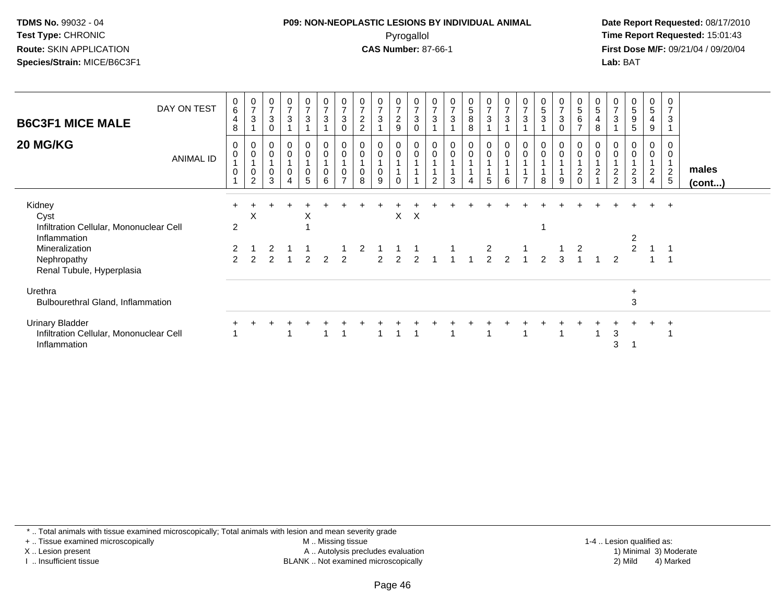## **P09: NON-NEOPLASTIC LESIONS BY INDIVIDUAL ANIMAL**Pyrogallol **Time Report Requested:** 15:01:43

 **Date Report Requested:** 08/17/2010 **First Dose M/F:** 09/21/04 / 09/20/04<br>**Lab:** BAT **Lab:** BAT

| <b>B6C3F1 MICE MALE</b><br><b>20 MG/KG</b>                                                                                              | DAY ON TEST<br><b>ANIMAL ID</b> | $\begin{array}{c} 0 \\ 6 \end{array}$<br>$\overline{a}$<br>8<br>$\mathbf 0$<br>$\pmb{0}$<br>$\mathbf 0$ | $\frac{0}{7}$<br>$\mathsf 3$<br>$\pmb{0}$<br>$\pmb{0}$<br>$\mathbf{1}$<br>$\pmb{0}$<br>$\overline{2}$ | $\frac{0}{7}$<br>$\sqrt{3}$<br>$\mathbf 0$<br>$\pmb{0}$<br>$\pmb{0}$<br>$\mathbf{1}$<br>$\pmb{0}$<br>3 | $\frac{0}{7}$<br>$\mathbf{3}$<br>0<br>0<br>0 | $\frac{0}{7}$<br>$\mathbf{3}$<br>0<br>$\boldsymbol{0}$<br>0<br>5 | $\frac{0}{7}$<br>$\sqrt{3}$<br>$\boldsymbol{0}$<br>$\pmb{0}$<br>$\pmb{0}$<br>6 | $\frac{0}{7}$<br>3<br>0<br>0<br>0<br>$\overline{ }$ | $\frac{0}{7}$<br>$\overline{\mathbf{c}}$<br>$\overline{2}$<br>0<br>$\mathbf 0$<br>0<br>8 | $\frac{0}{7}$<br>3<br>0<br>0<br>9 | $\frac{0}{7}$<br>$\overline{2}$<br>9<br>0<br>0 | $\frac{0}{7}$<br>$\sqrt{3}$<br>$\mathbf 0$<br>0<br>$\pmb{0}$ | $\frac{0}{7}$<br>$\mathsf 3$<br>$\pmb{0}$<br>$\mathsf{O}\xspace$<br>2 | $\begin{smallmatrix}0\\7\end{smallmatrix}$<br>$\mathbf{3}$<br>$\mathbf{1}$<br>$\pmb{0}$<br>$\pmb{0}$<br>1<br>3 | $\frac{0}{5}$<br>8<br>8<br>$\mathbf 0$<br>$\mathbf 0$<br>4 | $\frac{0}{7}$<br>$\mathbf{3}$<br>$_{\rm 0}^{\rm 0}$<br>5 | $\frac{0}{7}$<br>$\sqrt{3}$<br>$\pmb{0}$<br>$\pmb{0}$<br>6 | $\frac{0}{7}$<br>$\mathbf{3}$<br>$\mathbf 0$ | $\begin{matrix} 0 \\ 5 \end{matrix}$<br>$\overline{3}$<br>0<br>$\mathbf 0$<br>8 | $\frac{0}{7}$<br>$\sqrt{3}$<br>$\mathbf 0$<br>0<br>$\pmb{0}$<br>9 | $\pmb{0}$<br>$5\,$<br>$6\phantom{.}6$<br>$\overline{7}$<br>$\mathbf 0$<br>$\mathbf 0$<br>$\mathbf{1}$<br>$\overline{c}$<br>$\Omega$ | $\begin{array}{c} 0 \\ 5 \end{array}$<br>4<br>8<br>0<br>0<br>$\overline{2}$ | $\overline{7}$<br>$\mathfrak{Z}$<br>0<br>$\overline{\mathbf{c}}$<br>$\overline{2}$ | $\begin{array}{c} 0 \\ 5 \\ 9 \end{array}$<br>$5\phantom{.0}$<br>0<br>$\pmb{0}$<br>$\frac{2}{3}$ | $\frac{0}{5}$<br>4<br>9<br>0<br>0<br>$\overline{2}$<br>$\overline{4}$ | 0<br>$\overline{7}$<br>$\mathbf{3}$<br>$\mathbf 0$<br>0<br>$\overline{2}$<br>$5\phantom{.0}$ | males<br>$($ cont $)$ |
|-----------------------------------------------------------------------------------------------------------------------------------------|---------------------------------|---------------------------------------------------------------------------------------------------------|-------------------------------------------------------------------------------------------------------|--------------------------------------------------------------------------------------------------------|----------------------------------------------|------------------------------------------------------------------|--------------------------------------------------------------------------------|-----------------------------------------------------|------------------------------------------------------------------------------------------|-----------------------------------|------------------------------------------------|--------------------------------------------------------------|-----------------------------------------------------------------------|----------------------------------------------------------------------------------------------------------------|------------------------------------------------------------|----------------------------------------------------------|------------------------------------------------------------|----------------------------------------------|---------------------------------------------------------------------------------|-------------------------------------------------------------------|-------------------------------------------------------------------------------------------------------------------------------------|-----------------------------------------------------------------------------|------------------------------------------------------------------------------------|--------------------------------------------------------------------------------------------------|-----------------------------------------------------------------------|----------------------------------------------------------------------------------------------|-----------------------|
| Kidney<br>Cyst<br>Infiltration Cellular, Mononuclear Cell<br>Inflammation<br>Mineralization<br>Nephropathy<br>Renal Tubule, Hyperplasia |                                 | $\overline{2}$<br>2<br>$\mathcal{P}$                                                                    | $\boldsymbol{\mathsf{X}}$<br>$\mathcal{P}$                                                            | $\mathcal{P}$                                                                                          |                                              | X<br>$\begin{array}{c} 1 \\ 2 \end{array}$                       | $\overline{2}$                                                                 | $\frac{1}{2}$                                       | $\begin{array}{cc} 2 & 1 \\ 2 & 2 \end{array}$                                           |                                   | X                                              | $\mathsf{X}$                                                 |                                                                       | $\begin{array}{ccccccccc}\n1 & 1 & & 1 & & 2 \\ 2 & 2 & 1 & 1 & 1 & 2 & 2\n\end{array}$                        |                                                            |                                                          |                                                            |                                              | $\mathfrak{p}$                                                                  | $\begin{array}{cc} 1 & 2 \\ 3 & 1 \end{array}$                    |                                                                                                                                     |                                                                             | $\mathfrak{p}$                                                                     | $\overline{2}$                                                                                   | $\ddot{}$                                                             | $+$                                                                                          |                       |
| Urethra<br>Bulbourethral Gland, Inflammation                                                                                            |                                 |                                                                                                         |                                                                                                       |                                                                                                        |                                              |                                                                  |                                                                                |                                                     |                                                                                          |                                   |                                                |                                                              |                                                                       |                                                                                                                |                                                            |                                                          |                                                            |                                              |                                                                                 |                                                                   |                                                                                                                                     |                                                                             |                                                                                    | $\ddot{}$<br>3                                                                                   |                                                                       |                                                                                              |                       |
| <b>Urinary Bladder</b><br>Infiltration Cellular, Mononuclear Cell<br>Inflammation                                                       |                                 |                                                                                                         |                                                                                                       |                                                                                                        |                                              |                                                                  |                                                                                |                                                     |                                                                                          |                                   |                                                |                                                              |                                                                       |                                                                                                                |                                                            |                                                          |                                                            |                                              |                                                                                 |                                                                   |                                                                                                                                     |                                                                             | 3<br>3                                                                             |                                                                                                  |                                                                       | $\div$                                                                                       |                       |

\* .. Total animals with tissue examined microscopically; Total animals with lesion and mean severity grade

+ .. Tissue examined microscopically

X .. Lesion present

I .. Insufficient tissue

 M .. Missing tissueA .. Autolysis precludes evaluation

BLANK .. Not examined microscopically 2) Mild 4) Marked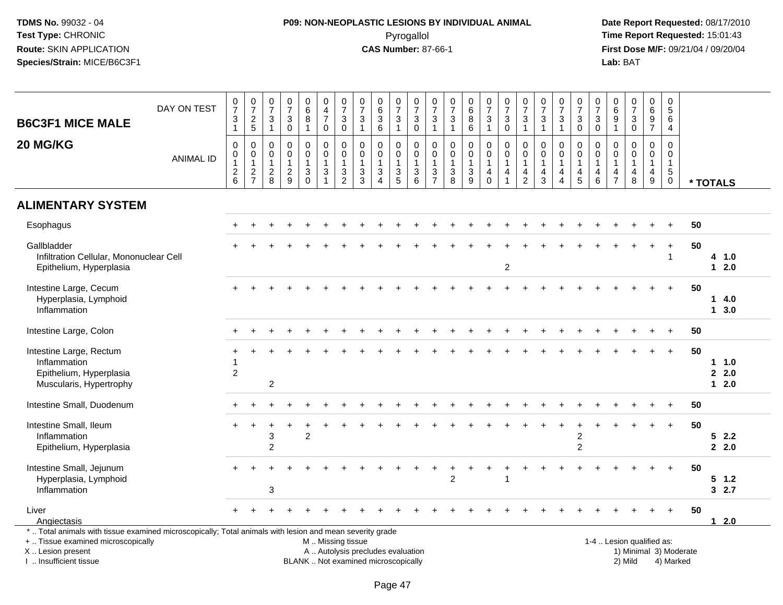# **P09: NON-NEOPLASTIC LESIONS BY INDIVIDUAL ANIMAL**Pyrogallol **Time Report Requested:** 15:01:43

| <b>B6C3F1 MICE MALE</b>                                                                                                                                                                       | DAY ON TEST      | $\frac{0}{7}$<br>3<br>$\mathbf{1}$                             | $\frac{0}{7}$<br>$\frac{2}{5}$                                | $\frac{0}{7}$<br>$\ensuremath{\mathsf{3}}$<br>$\mathbf{1}$      | $\begin{array}{c} 0 \\ 7 \end{array}$<br>$\sqrt{3}$<br>$\pmb{0}$           | $\begin{matrix}0\\6\\8\end{matrix}$<br>$\mathbf{1}$ | $\begin{smallmatrix}0\0\4\end{smallmatrix}$<br>$\overline{7}$<br>$\mathbf 0$ | $\begin{array}{c} 0 \\ 7 \end{array}$<br>$\sqrt{3}$<br>$\mathbf 0$ | $\begin{array}{c} 0 \\ 7 \end{array}$<br>$\ensuremath{\mathsf{3}}$<br>$\overline{1}$ | $\begin{array}{c} 0 \\ 6 \end{array}$<br>$\ensuremath{\mathsf{3}}$<br>6                | $\frac{0}{7}$<br>$\ensuremath{\mathsf{3}}$<br>$\mathbf{1}$ | $\begin{array}{c} 0 \\ 7 \end{array}$<br>$\ensuremath{\mathsf{3}}$<br>$\mathbf 0$    | $\frac{0}{7}$<br>$\ensuremath{\mathsf{3}}$<br>$\mathbf{1}$          | $\mathbf 0$<br>$\overline{7}$<br>$\ensuremath{\mathsf{3}}$<br>$\overline{1}$ | $\begin{array}{c} 0 \\ 6 \end{array}$<br>$\, 8$<br>6            | $\begin{array}{c} 0 \\ 7 \end{array}$<br>$\ensuremath{\mathsf{3}}$<br>$\mathbf{1}$ | $\frac{0}{7}$<br>$\ensuremath{\mathsf{3}}$<br>$\mathbf 0$       | $\begin{matrix}0\\7\end{matrix}$<br>3<br>$\mathbf{1}$                        | $\begin{array}{c} 0 \\ 7 \end{array}$<br>$\ensuremath{\mathsf{3}}$<br>$\mathbf{1}$ | $\frac{0}{7}$<br>$\ensuremath{\mathsf{3}}$<br>$\mathbf{1}$                              | $\frac{0}{7}$<br>$\ensuremath{\mathsf{3}}$<br>$\mathbf 0$                             | $\frac{0}{7}$<br>$\ensuremath{\mathsf{3}}$<br>$\mathbf 0$    | $\begin{array}{c} 0 \\ 6 \end{array}$<br>$\boldsymbol{9}$<br>$\overline{1}$ | $\frac{0}{7}$<br>$\ensuremath{\mathsf{3}}$<br>$\mathbf 0$ | $_6^0$<br>$\overline{9}$<br>$\overline{7}$           | $\pmb{0}$<br>$\sqrt{5}$<br>$6\phantom{a}$<br>$\overline{4}$            |                        |                            |
|-----------------------------------------------------------------------------------------------------------------------------------------------------------------------------------------------|------------------|----------------------------------------------------------------|---------------------------------------------------------------|-----------------------------------------------------------------|----------------------------------------------------------------------------|-----------------------------------------------------|------------------------------------------------------------------------------|--------------------------------------------------------------------|--------------------------------------------------------------------------------------|----------------------------------------------------------------------------------------|------------------------------------------------------------|--------------------------------------------------------------------------------------|---------------------------------------------------------------------|------------------------------------------------------------------------------|-----------------------------------------------------------------|------------------------------------------------------------------------------------|-----------------------------------------------------------------|------------------------------------------------------------------------------|------------------------------------------------------------------------------------|-----------------------------------------------------------------------------------------|---------------------------------------------------------------------------------------|--------------------------------------------------------------|-----------------------------------------------------------------------------|-----------------------------------------------------------|------------------------------------------------------|------------------------------------------------------------------------|------------------------|----------------------------|
| 20 MG/KG                                                                                                                                                                                      | <b>ANIMAL ID</b> | 0<br>$\mathsf 0$<br>1<br>$\begin{array}{c} 2 \\ 6 \end{array}$ | $\mathbf 0$<br>$\mathbf 0$<br>$\overline{1}$<br>$\frac{2}{7}$ | $\mathbf 0$<br>$\pmb{0}$<br>$\mathbf{1}$<br>$\overline{c}$<br>8 | $\mathbf 0$<br>$\mathbf 0$<br>$\mathbf{1}$<br>$\sqrt{2}$<br>$\overline{9}$ | 0<br>$\pmb{0}$<br>$\mathbf{1}$<br>$\frac{3}{0}$     | 0<br>$\mathbf 0$<br>$\mathbf{1}$<br>$\mathbf{3}$<br>$\overline{1}$           | $\mathbf 0$<br>$\pmb{0}$<br>$\mathbf{1}$<br>$\frac{3}{2}$          | 0<br>$\mathbf 0$<br>$\mathbf{1}$<br>$\sqrt{3}$<br>3                                  | $\Omega$<br>$\mathbf 0$<br>$\mathbf{1}$<br>$\ensuremath{\mathsf{3}}$<br>$\overline{A}$ | $\mathbf 0$<br>$\mathbf 0$<br>$\frac{3}{5}$                | $\mathbf 0$<br>$\mathbf 0$<br>$\overline{1}$<br>$\ensuremath{\mathsf{3}}$<br>$\,6\,$ | $\mathbf 0$<br>$\mathsf{O}\xspace$<br>$\mathbf{1}$<br>$\frac{3}{7}$ | $\mathbf 0$<br>$\mathbf 0$<br>$\mathbf{1}$<br>$\ensuremath{\mathsf{3}}$<br>8 | $\mathbf 0$<br>$\mathbf 0$<br>$\mathbf{1}$<br>$\mathbf{3}$<br>9 | 0<br>$\mathbf 0$<br>$\mathbf{1}$<br>$\overline{4}$<br>$\mathbf 0$                  | $\mathbf 0$<br>$\mathbf 0$<br>$\mathbf{1}$<br>4<br>$\mathbf{1}$ | $\mathbf 0$<br>$\pmb{0}$<br>$\mathbf{1}$<br>$\overline{4}$<br>$\overline{2}$ | $\mathbf 0$<br>$\mathbf 0$<br>$\mathbf{1}$<br>$\frac{4}{3}$                        | $\mathbf{0}$<br>$\mathbf 0$<br>$\mathbf{1}$<br>$\overline{4}$<br>$\boldsymbol{\Lambda}$ | $\mathbf 0$<br>$\mathbf 0$<br>$\overline{1}$<br>$\begin{array}{c} 4 \\ 5 \end{array}$ | $\mathbf 0$<br>$\mathbf 0$<br>$\overline{1}$<br>4<br>$\,6\,$ | $\Omega$<br>$\mathbf 0$<br>$\mathbf{1}$<br>4<br>$\overline{7}$              | $\mathbf 0$<br>$\mathbf 0$<br>$\mathbf{1}$<br>4<br>8      | $\mathbf 0$<br>$\mathbf 0$<br>$\mathbf{1}$<br>4<br>9 | $\mathbf 0$<br>$\mathbf 0$<br>$\mathbf{1}$<br>$\,$ 5 $\,$<br>$\pmb{0}$ |                        | * TOTALS                   |
| <b>ALIMENTARY SYSTEM</b>                                                                                                                                                                      |                  |                                                                |                                                               |                                                                 |                                                                            |                                                     |                                                                              |                                                                    |                                                                                      |                                                                                        |                                                            |                                                                                      |                                                                     |                                                                              |                                                                 |                                                                                    |                                                                 |                                                                              |                                                                                    |                                                                                         |                                                                                       |                                                              |                                                                             |                                                           |                                                      |                                                                        |                        |                            |
| Esophagus                                                                                                                                                                                     |                  |                                                                |                                                               |                                                                 |                                                                            |                                                     |                                                                              |                                                                    |                                                                                      |                                                                                        |                                                            |                                                                                      |                                                                     |                                                                              |                                                                 |                                                                                    |                                                                 |                                                                              |                                                                                    |                                                                                         |                                                                                       |                                                              |                                                                             |                                                           |                                                      |                                                                        | 50                     |                            |
| Gallbladder<br>Infiltration Cellular, Mononuclear Cell<br>Epithelium, Hyperplasia                                                                                                             |                  |                                                                |                                                               |                                                                 |                                                                            |                                                     |                                                                              |                                                                    |                                                                                      |                                                                                        |                                                            |                                                                                      |                                                                     |                                                                              |                                                                 |                                                                                    | $\overline{c}$                                                  |                                                                              |                                                                                    |                                                                                         |                                                                                       |                                                              |                                                                             |                                                           |                                                      | $\ddot{}$<br>$\overline{1}$                                            | 50                     | 4 1.0<br>$12.0$            |
| Intestine Large, Cecum<br>Hyperplasia, Lymphoid<br>Inflammation                                                                                                                               |                  |                                                                |                                                               |                                                                 |                                                                            |                                                     |                                                                              |                                                                    |                                                                                      |                                                                                        |                                                            |                                                                                      |                                                                     |                                                                              |                                                                 |                                                                                    |                                                                 |                                                                              |                                                                                    |                                                                                         |                                                                                       |                                                              |                                                                             |                                                           |                                                      |                                                                        | 50                     | 14.0<br>13.0               |
| Intestine Large, Colon                                                                                                                                                                        |                  |                                                                |                                                               |                                                                 |                                                                            |                                                     |                                                                              |                                                                    |                                                                                      |                                                                                        |                                                            |                                                                                      |                                                                     |                                                                              |                                                                 |                                                                                    |                                                                 |                                                                              |                                                                                    |                                                                                         |                                                                                       |                                                              |                                                                             |                                                           |                                                      |                                                                        | 50                     |                            |
| Intestine Large, Rectum<br>Inflammation<br>Epithelium, Hyperplasia<br>Muscularis, Hypertrophy                                                                                                 |                  | $\overline{c}$                                                 |                                                               | $\overline{2}$                                                  |                                                                            |                                                     |                                                                              |                                                                    |                                                                                      |                                                                                        |                                                            |                                                                                      |                                                                     |                                                                              |                                                                 |                                                                                    |                                                                 |                                                                              |                                                                                    |                                                                                         |                                                                                       |                                                              |                                                                             |                                                           |                                                      | $+$                                                                    | 50                     | $1 \t1.0$<br>2.0<br>$12.0$ |
| Intestine Small, Duodenum                                                                                                                                                                     |                  |                                                                |                                                               |                                                                 |                                                                            |                                                     |                                                                              |                                                                    |                                                                                      |                                                                                        |                                                            |                                                                                      |                                                                     |                                                                              |                                                                 |                                                                                    |                                                                 |                                                                              |                                                                                    |                                                                                         |                                                                                       |                                                              |                                                                             |                                                           |                                                      | $+$                                                                    | 50                     |                            |
| Intestine Small, Ileum<br>Inflammation<br>Epithelium, Hyperplasia                                                                                                                             |                  |                                                                |                                                               | 3<br>$\overline{2}$                                             |                                                                            | $\overline{2}$                                      |                                                                              |                                                                    |                                                                                      |                                                                                        |                                                            |                                                                                      |                                                                     |                                                                              |                                                                 |                                                                                    |                                                                 |                                                                              |                                                                                    |                                                                                         | $\overline{c}$<br>$\overline{c}$                                                      |                                                              |                                                                             |                                                           |                                                      | $+$                                                                    | 50                     | 52.2<br>2.0                |
| Intestine Small, Jejunum<br>Hyperplasia, Lymphoid<br>Inflammation                                                                                                                             |                  |                                                                |                                                               | 3                                                               |                                                                            |                                                     |                                                                              |                                                                    |                                                                                      |                                                                                        |                                                            |                                                                                      |                                                                     | 2                                                                            |                                                                 |                                                                                    |                                                                 |                                                                              |                                                                                    |                                                                                         |                                                                                       |                                                              |                                                                             |                                                           |                                                      | $+$                                                                    | 50                     | $5 \t1.2$<br>32.7          |
| Liver<br>Angiectasis                                                                                                                                                                          |                  |                                                                |                                                               |                                                                 |                                                                            |                                                     |                                                                              |                                                                    |                                                                                      |                                                                                        |                                                            |                                                                                      |                                                                     |                                                                              |                                                                 |                                                                                    |                                                                 |                                                                              |                                                                                    |                                                                                         |                                                                                       |                                                              |                                                                             |                                                           |                                                      |                                                                        | 50                     | $12.0$                     |
| *  Total animals with tissue examined microscopically; Total animals with lesion and mean severity grade<br>+  Tissue examined microscopically<br>X  Lesion present<br>I. Insufficient tissue |                  |                                                                |                                                               |                                                                 |                                                                            |                                                     | M  Missing tissue                                                            |                                                                    | A  Autolysis precludes evaluation<br>BLANK  Not examined microscopically             |                                                                                        |                                                            |                                                                                      |                                                                     |                                                                              |                                                                 |                                                                                    |                                                                 |                                                                              |                                                                                    |                                                                                         |                                                                                       |                                                              |                                                                             | 1-4  Lesion qualified as:<br>2) Mild                      |                                                      | 4) Marked                                                              | 1) Minimal 3) Moderate |                            |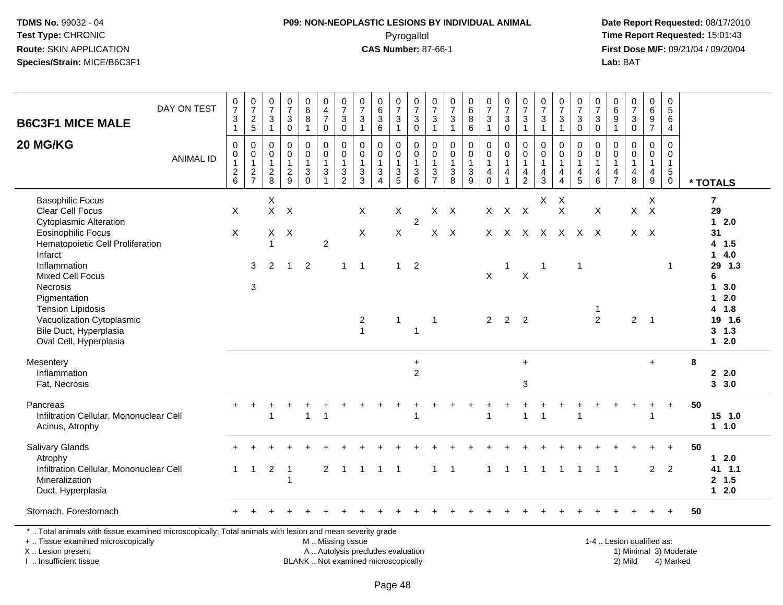## **P09: NON-NEOPLASTIC LESIONS BY INDIVIDUAL ANIMAL**Pyrogallol **Time Report Requested:** 15:01:43

 **Date Report Requested:** 08/17/2010 **First Dose M/F:** 09/21/04 / 09/20/04<br>Lab: BAT **Lab:** BAT

| DAY ON TEST<br><b>B6C3F1 MICE MALE</b>                   | $\frac{0}{7}$<br>$\ensuremath{\mathsf{3}}$               | $\frac{0}{7}$<br>$\frac{2}{5}$          | $\frac{0}{7}$<br>$\sqrt{3}$                             | $\frac{0}{7}$<br>$\sqrt{3}$                       | $\begin{array}{c} 0 \\ 6 \end{array}$<br>$\overline{8}$  | 0<br>$\frac{4}{7}$                  | $\frac{0}{7}$<br>$\sqrt{3}$                         | $\frac{0}{7}$<br>$\sqrt{3}$                        | $\begin{matrix} 0 \\ 6 \\ 3 \end{matrix}$   | 0<br>$\overline{7}$<br>$\sqrt{3}$                              | 0<br>$\overline{7}$<br>$\ensuremath{\mathsf{3}}$  | 0<br>$\overline{7}$<br>$\sqrt{3}$          | $\frac{0}{7}$<br>$\sqrt{3}$                                  | 0<br>$\overline{6}$<br>$\overline{8}$       | $\frac{0}{7}$<br>$\sqrt{3}$                                        | $\frac{0}{7}$<br>$\mathbf{3}$                 | 0<br>$\overline{7}$<br>$\ensuremath{\mathsf{3}}$ | $\frac{0}{7}$<br>$\ensuremath{\mathsf{3}}$                         | 0<br>$\overline{7}$<br>$\ensuremath{\mathsf{3}}$     | 0<br>$\overline{7}$<br>$\ensuremath{\mathsf{3}}$          | 0<br>$\overline{7}$<br>$\sqrt{3}$                    | $\begin{matrix} 0 \\ 6 \end{matrix}$<br>$\overline{9}$     | $\frac{0}{7}$<br>3                                    | 0<br>$\overline{6}$<br>$\frac{9}{7}$                    | 0<br>$\overline{5}$<br>$\,6\,$                     |                     |
|----------------------------------------------------------|----------------------------------------------------------|-----------------------------------------|---------------------------------------------------------|---------------------------------------------------|----------------------------------------------------------|-------------------------------------|-----------------------------------------------------|----------------------------------------------------|---------------------------------------------|----------------------------------------------------------------|---------------------------------------------------|--------------------------------------------|--------------------------------------------------------------|---------------------------------------------|--------------------------------------------------------------------|-----------------------------------------------|--------------------------------------------------|--------------------------------------------------------------------|------------------------------------------------------|-----------------------------------------------------------|------------------------------------------------------|------------------------------------------------------------|-------------------------------------------------------|---------------------------------------------------------|----------------------------------------------------|---------------------|
| 20 MG/KG<br><b>ANIMAL ID</b>                             | $\mathbf{1}$<br>$\pmb{0}$<br>$\mathbf 0$<br>$\mathbf{1}$ | $\mathbf 0$<br>$\pmb{0}$<br>$\mathbf 1$ | $\overline{1}$<br>0<br>$\boldsymbol{0}$<br>$\mathbf{1}$ | $\mathbf 0$<br>0<br>$\mathbf 0$<br>$\overline{1}$ | $\mathbf{1}$<br>0<br>$\mathsf{O}\xspace$<br>$\mathbf{1}$ | 0<br>0<br>$\pmb{0}$<br>$\mathbf{1}$ | $\pmb{0}$<br>$\pmb{0}$<br>$\pmb{0}$<br>$\mathbf{1}$ | $\overline{1}$<br>$\mathbf 0$<br>0<br>$\mathbf{1}$ | $\,6\,$<br>0<br>$\pmb{0}$<br>$\mathbf{1}$   | $\overline{1}$<br>$\mathbf 0$<br>$\mathbf 0$<br>$\overline{1}$ | $\mathbf 0$<br>$\mathbf 0$<br>$\mathsf{O}\xspace$ | $\overline{1}$<br>0<br>0<br>$\overline{1}$ | $\overline{1}$<br>$\mathbf 0$<br>$\mathbf 0$<br>$\mathbf{1}$ | $\,6$<br>0<br>$\mathsf 0$<br>1              | $\overline{1}$<br>$\pmb{0}$<br>$\ddot{\mathbf{0}}$<br>$\mathbf{1}$ | $\mathsf 0$<br>0<br>$\pmb{0}$<br>$\mathbf{1}$ | $\overline{1}$<br>0<br>0<br>$\mathbf{1}$         | $\mathbf{1}$<br>$\mathbf 0$<br>$\ddot{\mathbf{0}}$<br>$\mathbf{1}$ | $\overline{1}$<br>0<br>$\mathbf 0$<br>$\overline{1}$ | $\mathbf 0$<br>$\mathbf 0$<br>$\mathbf 0$<br>$\mathbf{1}$ | $\boldsymbol{0}$<br>$\mathbf 0$<br>0<br>$\mathbf{1}$ | $\mathbf{1}$<br>$\mathbf 0$<br>$\mathbf 0$<br>$\mathbf{1}$ | $\mathsf{O}$<br>0<br>$\boldsymbol{0}$<br>$\mathbf{1}$ | $\boldsymbol{0}$<br>$\mathsf{O}\xspace$<br>$\mathbf{1}$ | $\overline{4}$<br>$\mathbf 0$<br>0<br>$\mathbf{1}$ |                     |
|                                                          | $^2$ 6                                                   | $\frac{2}{7}$                           | $\frac{2}{8}$                                           | $\frac{2}{9}$                                     | $_{0}^{3}$                                               | $\ensuremath{\mathsf{3}}$<br>1      | $\frac{3}{2}$                                       | $\frac{3}{3}$                                      | $\ensuremath{\mathsf{3}}$<br>$\overline{4}$ | $\frac{3}{5}$                                                  | $\begin{array}{c} 1 \\ 3 \\ 6 \end{array}$        | $\frac{3}{7}$                              | $\frac{3}{8}$                                                | $\ensuremath{\mathsf{3}}$<br>$\overline{9}$ | $\overline{\mathbf{4}}$<br>$\mathbf 0$                             | $\overline{4}$<br>$\mathbf{1}$                | $\overline{4}$<br>$\mathbf 2$                    | $\overline{4}$<br>$\mathbf{3}$                                     | 4<br>$\overline{4}$                                  | $\overline{4}$<br>$\overline{5}$                          | 4<br>6                                               | $\frac{4}{7}$                                              | 4<br>8                                                | $\begin{array}{c} 4 \\ 9 \end{array}$                   | $\sqrt{5}$<br>$\pmb{0}$                            | * TOTALS            |
| <b>Basophilic Focus</b>                                  |                                                          |                                         | $\mathsf X$                                             |                                                   |                                                          |                                     |                                                     |                                                    |                                             |                                                                |                                                   |                                            |                                                              |                                             |                                                                    |                                               |                                                  | $\mathsf{X}$                                                       | $\boldsymbol{\mathsf{X}}$                            |                                                           |                                                      |                                                            |                                                       | X                                                       |                                                    | $\overline{7}$      |
| <b>Clear Cell Focus</b><br><b>Cytoplasmic Alteration</b> | X                                                        |                                         | $\mathsf{X}$                                            | X                                                 |                                                          |                                     |                                                     | X                                                  |                                             | X                                                              | $\overline{2}$                                    |                                            | $X$ $X$                                                      |                                             |                                                                    | $X$ $X$ $X$                                   |                                                  |                                                                    | $\times$                                             |                                                           | X                                                    |                                                            | $\mathsf{X}$                                          | $\mathsf{X}$                                            |                                                    | 29<br>$12.0$        |
| <b>Eosinophilic Focus</b>                                | X                                                        |                                         | X                                                       | $\times$                                          |                                                          |                                     |                                                     | X                                                  |                                             | X                                                              |                                                   |                                            | $X$ $X$                                                      |                                             |                                                                    |                                               |                                                  | X X X X X X X                                                      |                                                      |                                                           |                                                      |                                                            |                                                       | $X$ $X$                                                 |                                                    | 31                  |
| Hematopoietic Cell Proliferation                         |                                                          |                                         | 1                                                       |                                                   |                                                          | $\overline{c}$                      |                                                     |                                                    |                                             |                                                                |                                                   |                                            |                                                              |                                             |                                                                    |                                               |                                                  |                                                                    |                                                      |                                                           |                                                      |                                                            |                                                       |                                                         |                                                    | 4 1.5               |
| Infarct                                                  |                                                          |                                         |                                                         |                                                   |                                                          |                                     |                                                     |                                                    |                                             |                                                                |                                                   |                                            |                                                              |                                             |                                                                    |                                               |                                                  |                                                                    |                                                      |                                                           |                                                      |                                                            |                                                       |                                                         |                                                    | 14.0                |
| Inflammation<br><b>Mixed Cell Focus</b>                  |                                                          | 3                                       | 2                                                       | $\overline{1}$                                    | $\overline{2}$                                           |                                     | $\mathbf{1}$                                        | $\overline{1}$                                     |                                             | $\mathbf{1}$                                                   | $\overline{2}$                                    |                                            |                                                              |                                             | X                                                                  | $\overline{1}$                                | $\pmb{\times}$                                   | $\overline{1}$                                                     |                                                      | $\mathbf{1}$                                              |                                                      |                                                            |                                                       |                                                         | -1                                                 | 29 1.3<br>6         |
| Necrosis                                                 |                                                          | $\mathbf{3}$                            |                                                         |                                                   |                                                          |                                     |                                                     |                                                    |                                             |                                                                |                                                   |                                            |                                                              |                                             |                                                                    |                                               |                                                  |                                                                    |                                                      |                                                           |                                                      |                                                            |                                                       |                                                         |                                                    | 13.0                |
| Pigmentation                                             |                                                          |                                         |                                                         |                                                   |                                                          |                                     |                                                     |                                                    |                                             |                                                                |                                                   |                                            |                                                              |                                             |                                                                    |                                               |                                                  |                                                                    |                                                      |                                                           |                                                      |                                                            |                                                       |                                                         |                                                    | 2.0<br>$\mathbf 1$  |
| <b>Tension Lipidosis</b>                                 |                                                          |                                         |                                                         |                                                   |                                                          |                                     |                                                     |                                                    |                                             |                                                                |                                                   |                                            |                                                              |                                             |                                                                    |                                               |                                                  |                                                                    |                                                      |                                                           | -1                                                   |                                                            |                                                       |                                                         |                                                    | 4 1.8               |
| Vacuolization Cytoplasmic                                |                                                          |                                         |                                                         |                                                   |                                                          |                                     |                                                     | $\overline{2}$                                     |                                             | $\overline{1}$                                                 |                                                   | $\overline{1}$                             |                                                              |                                             | $\overline{2}$                                                     | 2 <sub>2</sub>                                |                                                  |                                                                    |                                                      |                                                           | $\overline{2}$                                       |                                                            | $\overline{2}$                                        | $\overline{1}$                                          |                                                    | 19 1.6              |
| Bile Duct, Hyperplasia                                   |                                                          |                                         |                                                         |                                                   |                                                          |                                     |                                                     | $\mathbf{1}$                                       |                                             |                                                                | $\overline{1}$                                    |                                            |                                                              |                                             |                                                                    |                                               |                                                  |                                                                    |                                                      |                                                           |                                                      |                                                            |                                                       |                                                         |                                                    | $3 \t1.3$<br>$12.0$ |
| Oval Cell, Hyperplasia                                   |                                                          |                                         |                                                         |                                                   |                                                          |                                     |                                                     |                                                    |                                             |                                                                |                                                   |                                            |                                                              |                                             |                                                                    |                                               |                                                  |                                                                    |                                                      |                                                           |                                                      |                                                            |                                                       |                                                         |                                                    |                     |
| Mesentery                                                |                                                          |                                         |                                                         |                                                   |                                                          |                                     |                                                     |                                                    |                                             |                                                                | $\ddot{}$                                         |                                            |                                                              |                                             |                                                                    |                                               | $+$                                              |                                                                    |                                                      |                                                           |                                                      |                                                            |                                                       | $+$                                                     |                                                    | 8                   |
| Inflammation                                             |                                                          |                                         |                                                         |                                                   |                                                          |                                     |                                                     |                                                    |                                             |                                                                | $\overline{2}$                                    |                                            |                                                              |                                             |                                                                    |                                               |                                                  |                                                                    |                                                      |                                                           |                                                      |                                                            |                                                       |                                                         |                                                    | 2.2.0               |
| Fat, Necrosis                                            |                                                          |                                         |                                                         |                                                   |                                                          |                                     |                                                     |                                                    |                                             |                                                                |                                                   |                                            |                                                              |                                             |                                                                    |                                               | $\mathbf{3}$                                     |                                                                    |                                                      |                                                           |                                                      |                                                            |                                                       |                                                         |                                                    | $3\ 3.0$            |
| Pancreas                                                 |                                                          |                                         |                                                         |                                                   |                                                          |                                     |                                                     |                                                    |                                             |                                                                |                                                   |                                            |                                                              |                                             |                                                                    |                                               |                                                  |                                                                    |                                                      |                                                           |                                                      |                                                            |                                                       |                                                         | $\ddot{}$                                          | 50                  |
| Infiltration Cellular, Mononuclear Cell                  |                                                          |                                         | 1                                                       |                                                   | $\mathbf{1}$                                             | -1                                  |                                                     |                                                    |                                             |                                                                | -1                                                |                                            |                                                              |                                             | -1                                                                 |                                               | 1                                                | -1                                                                 |                                                      | $\overline{\mathbf{1}}$                                   |                                                      |                                                            |                                                       | $\overline{1}$                                          |                                                    | 15 1.0              |
| Acinus, Atrophy                                          |                                                          |                                         |                                                         |                                                   |                                                          |                                     |                                                     |                                                    |                                             |                                                                |                                                   |                                            |                                                              |                                             |                                                                    |                                               |                                                  |                                                                    |                                                      |                                                           |                                                      |                                                            |                                                       |                                                         |                                                    | 1 1.0               |
| <b>Salivary Glands</b>                                   |                                                          |                                         |                                                         |                                                   |                                                          |                                     |                                                     |                                                    |                                             |                                                                |                                                   |                                            |                                                              |                                             |                                                                    |                                               |                                                  |                                                                    |                                                      |                                                           |                                                      |                                                            |                                                       |                                                         |                                                    | 50                  |
| Atrophy                                                  |                                                          |                                         |                                                         |                                                   |                                                          |                                     |                                                     |                                                    |                                             |                                                                |                                                   |                                            |                                                              |                                             |                                                                    |                                               |                                                  |                                                                    |                                                      |                                                           |                                                      |                                                            |                                                       |                                                         |                                                    | $12.0$              |
| Infiltration Cellular, Mononuclear Cell                  | $\mathbf{1}$                                             | $\mathbf{1}$                            | $\overline{2}$                                          | $\overline{\mathbf{1}}$                           |                                                          | $\overline{2}$                      | $\overline{1}$                                      | $\mathbf 1$                                        | $\overline{1}$                              | $\overline{1}$                                                 |                                                   | $\mathbf 1$                                | $\overline{1}$                                               |                                             | $\mathbf{1}$                                                       | $\mathbf{1}$                                  | $\mathbf{1}$                                     | $\overline{1}$                                                     | $\overline{1}$                                       | $\overline{1}$                                            | $\mathbf{1}$                                         | $\overline{1}$                                             |                                                       |                                                         | $2 \quad 2$                                        | 41 1.1              |
| Mineralization                                           |                                                          |                                         |                                                         | -1                                                |                                                          |                                     |                                                     |                                                    |                                             |                                                                |                                                   |                                            |                                                              |                                             |                                                                    |                                               |                                                  |                                                                    |                                                      |                                                           |                                                      |                                                            |                                                       |                                                         |                                                    | 2, 1.5              |
| Duct, Hyperplasia                                        |                                                          |                                         |                                                         |                                                   |                                                          |                                     |                                                     |                                                    |                                             |                                                                |                                                   |                                            |                                                              |                                             |                                                                    |                                               |                                                  |                                                                    |                                                      |                                                           |                                                      |                                                            |                                                       |                                                         |                                                    | $1 \quad 2.0$       |
| Stomach, Forestomach                                     |                                                          |                                         |                                                         |                                                   |                                                          |                                     |                                                     |                                                    |                                             |                                                                |                                                   |                                            |                                                              |                                             |                                                                    |                                               |                                                  |                                                                    |                                                      |                                                           |                                                      |                                                            |                                                       |                                                         |                                                    | 50                  |

I .. Insufficient tissue

BLANK .. Not examined microscopically 2) Mild 4) Marked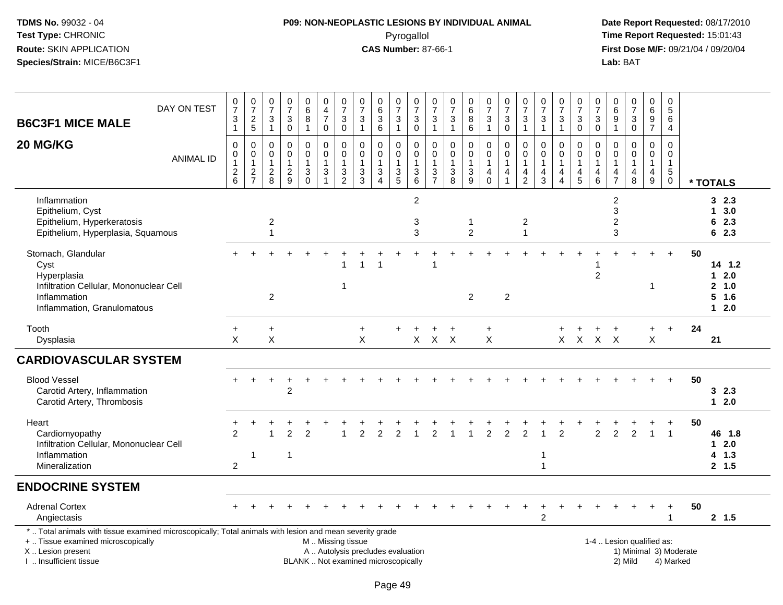# **P09: NON-NEOPLASTIC LESIONS BY INDIVIDUAL ANIMAL**Pyrogallol **Time Report Requested:** 15:01:43

| <b>B6C3F1 MICE MALE</b>                                                                                                                                                                       | DAY ON TEST      | $\begin{array}{c} 0 \\ 7 \end{array}$<br>3<br>$\mathbf{1}$     | $\begin{array}{c} 0 \\ 7 \end{array}$<br>$\begin{array}{c} 2 \\ 5 \end{array}$ | $\frac{0}{7}$<br>3<br>$\mathbf{1}$                               | $\frac{0}{7}$<br>$\mathbf 3$<br>$\mathsf 0$                 | $\begin{matrix}0\\6\\8\end{matrix}$<br>$\mathbf{1}$        | $_4^{\rm 0}$<br>$\overline{7}$<br>$\mathbf 0$                                                 | $\frac{0}{7}$<br>$\ensuremath{\mathsf{3}}$<br>$\pmb{0}$   | $\frac{0}{7}$<br>3<br>$\overline{1}$                            | $\begin{array}{c} 0 \\ 6 \end{array}$<br>$\sqrt{3}$<br>$6\phantom{1}$              | $\begin{array}{c} 0 \\ 7 \end{array}$<br>$\mathbf{3}$<br>$\mathbf{1}$ | $\begin{array}{c} 0 \\ 7 \end{array}$<br>$\ensuremath{\mathsf{3}}$<br>$\pmb{0}$ | 0<br>$\overline{7}$<br>3<br>$\mathbf{1}$               | $\begin{array}{c} 0 \\ 7 \end{array}$<br>$\ensuremath{\mathsf{3}}$<br>$\mathbf{1}$ | $\begin{array}{c} 0 \\ 6 \end{array}$<br>$\overline{8}$<br>$\,6\,$ | $\frac{0}{7}$<br>$\ensuremath{\mathsf{3}}$<br>$\overline{1}$    | $\begin{array}{c} 0 \\ 7 \end{array}$<br>$\sqrt{3}$<br>$\mathsf{O}\xspace$   | $\frac{0}{7}$<br>3<br>$\mathbf{1}$                        | $\frac{0}{7}$<br>$\sqrt{3}$<br>$\mathbf{1}$                      | $\frac{0}{7}$<br>$\mathbf{3}$<br>$\mathbf{1}$                        | $\frac{0}{7}$<br>$\ensuremath{\mathsf{3}}$<br>$\pmb{0}$                                      | $\frac{0}{7}$<br>$\sqrt{3}$<br>$\mathbf 0$                        | $\begin{array}{c} 0 \\ 6 \end{array}$<br>$\boldsymbol{9}$<br>$\overline{1}$      | $\frac{0}{7}$<br>$\sqrt{3}$<br>$\mathbf 0$                     | $_{6}^{\rm 0}$<br>$\overline{9}$<br>$\overline{7}$                     | 0<br>5<br>6<br>4                                                |                        |                                                 |
|-----------------------------------------------------------------------------------------------------------------------------------------------------------------------------------------------|------------------|----------------------------------------------------------------|--------------------------------------------------------------------------------|------------------------------------------------------------------|-------------------------------------------------------------|------------------------------------------------------------|-----------------------------------------------------------------------------------------------|-----------------------------------------------------------|-----------------------------------------------------------------|------------------------------------------------------------------------------------|-----------------------------------------------------------------------|---------------------------------------------------------------------------------|--------------------------------------------------------|------------------------------------------------------------------------------------|--------------------------------------------------------------------|-----------------------------------------------------------------|------------------------------------------------------------------------------|-----------------------------------------------------------|------------------------------------------------------------------|----------------------------------------------------------------------|----------------------------------------------------------------------------------------------|-------------------------------------------------------------------|----------------------------------------------------------------------------------|----------------------------------------------------------------|------------------------------------------------------------------------|-----------------------------------------------------------------|------------------------|-------------------------------------------------|
| 20 MG/KG                                                                                                                                                                                      | <b>ANIMAL ID</b> | 0<br>$\mathsf 0$<br>1<br>$\begin{array}{c} 2 \\ 6 \end{array}$ | $\mathbf 0$<br>$\mathbf 0$<br>$\mathbf{1}$<br>$\frac{2}{7}$                    | 0<br>$\mathbf 0$<br>$\mathbf{1}$<br>$\overline{\mathbf{c}}$<br>8 | $\mathbf 0$<br>$\mathsf 0$<br>$\mathbf{1}$<br>$\frac{2}{9}$ | 0<br>$\pmb{0}$<br>$\mathbf{1}$<br>$\mathbf{3}$<br>$\Omega$ | 0<br>$\mathbf 0$<br>$\mathbf{1}$<br>$\ensuremath{\mathsf{3}}$                                 | $\mathbf 0$<br>$\pmb{0}$<br>$\mathbf{1}$<br>$\frac{3}{2}$ | $\mathbf 0$<br>$\mathbf 0$<br>$\overline{1}$<br>$\sqrt{3}$<br>3 | $\mathbf 0$<br>$\mathbf 0$<br>$\mathbf{1}$<br>$\sqrt{3}$<br>$\boldsymbol{\Lambda}$ | 0<br>$\mathsf{O}\xspace$<br>$\mathbf{1}$<br>3<br>5                    | 0<br>$\mathsf{O}\xspace$<br>$\mathbf{1}$<br>$\ensuremath{\mathsf{3}}$<br>6      | 0<br>0<br>$\mathbf{1}$<br>$\sqrt{3}$<br>$\overline{7}$ | 0<br>$\mathsf 0$<br>$\mathbf{1}$<br>$_8^3$                                         | 0<br>$\mathbf 0$<br>$\mathbf{1}$<br>$\ensuremath{\mathsf{3}}$<br>9 | 0<br>$\pmb{0}$<br>$\mathbf{1}$<br>$\overline{4}$<br>$\mathbf 0$ | $\mathbf 0$<br>$\mathbf 0$<br>$\mathbf{1}$<br>$\overline{4}$<br>$\mathbf{1}$ | 0<br>$\mathbf 0$<br>1<br>$\overline{4}$<br>$\overline{2}$ | 0<br>$\mathbf 0$<br>$\mathbf{1}$<br>$\overline{\mathbf{4}}$<br>3 | 0<br>$\mathbf 0$<br>$\mathbf{1}$<br>$\overline{4}$<br>$\overline{4}$ | $\mathbf 0$<br>$\mathsf{O}\xspace$<br>$\mathbf{1}$<br>$\overline{\mathcal{A}}$<br>$\sqrt{5}$ | $\mathbf 0$<br>$\mathbf 0$<br>$\mathbf{1}$<br>$\overline{4}$<br>6 | $\mathbf 0$<br>$\mathbf 0$<br>$\overline{1}$<br>$\overline{4}$<br>$\overline{7}$ | $\Omega$<br>$\mathbf 0$<br>$\mathbf{1}$<br>$\overline{4}$<br>8 | 0<br>$\mathsf 0$<br>$\mathbf{1}$<br>$\overline{a}$<br>$\boldsymbol{9}$ | $\Omega$<br>$\mathbf 0$<br>$\mathbf{1}$<br>$5\phantom{.0}$<br>0 |                        | * TOTALS                                        |
| Inflammation<br>Epithelium, Cyst<br>Epithelium, Hyperkeratosis<br>Epithelium, Hyperplasia, Squamous                                                                                           |                  |                                                                |                                                                                | 2<br>1                                                           |                                                             |                                                            |                                                                                               |                                                           |                                                                 |                                                                                    |                                                                       | $\overline{c}$<br>3<br>3                                                        |                                                        |                                                                                    | $\mathbf 1$<br>$\overline{2}$                                      |                                                                 |                                                                              | $\sqrt{2}$<br>$\mathbf{1}$                                |                                                                  |                                                                      |                                                                                              |                                                                   | $\overline{\mathbf{c}}$<br>3<br>$\overline{c}$<br>3                              |                                                                |                                                                        |                                                                 |                        | 32.3<br>13.0<br>62.3<br>62.3                    |
| Stomach, Glandular<br>Cyst<br>Hyperplasia<br>Infiltration Cellular, Mononuclear Cell<br>Inflammation<br>Inflammation, Granulomatous                                                           |                  |                                                                |                                                                                | $\overline{2}$                                                   |                                                             |                                                            |                                                                                               | $\overline{1}$                                            |                                                                 |                                                                                    |                                                                       |                                                                                 |                                                        |                                                                                    | $\overline{2}$                                                     |                                                                 | $\overline{2}$                                                               |                                                           |                                                                  |                                                                      |                                                                                              | $\overline{2}$                                                    |                                                                                  |                                                                | 1                                                                      | $\ddot{}$                                                       | 50                     | $14$ 1.2<br>12.0<br>2, 1.0<br>$5$ 1.6<br>$12.0$ |
| Tooth<br>Dysplasia                                                                                                                                                                            |                  | $\ddot{}$<br>$\times$                                          |                                                                                | $\ddot{}$<br>X                                                   |                                                             |                                                            |                                                                                               |                                                           | $+$<br>$\times$                                                 |                                                                                    | $\ddot{}$                                                             | $\ddot{}$                                                                       | $\ddot{}$<br>$X$ $X$ $X$                               | $\ddot{}$                                                                          |                                                                    | $\ddot{}$<br>$\times$                                           |                                                                              |                                                           |                                                                  | $\ddot{}$                                                            | $\ddot{}$<br>$X$ $X$ $X$ $X$                                                                 | $\ddot{}$                                                         | $\ddot{}$                                                                        |                                                                | $+$<br>X                                                               | $\ddot{}$                                                       | 24                     | 21                                              |
| <b>CARDIOVASCULAR SYSTEM</b>                                                                                                                                                                  |                  |                                                                |                                                                                |                                                                  |                                                             |                                                            |                                                                                               |                                                           |                                                                 |                                                                                    |                                                                       |                                                                                 |                                                        |                                                                                    |                                                                    |                                                                 |                                                                              |                                                           |                                                                  |                                                                      |                                                                                              |                                                                   |                                                                                  |                                                                |                                                                        |                                                                 |                        |                                                 |
| <b>Blood Vessel</b><br>Carotid Artery, Inflammation<br>Carotid Artery, Thrombosis                                                                                                             |                  |                                                                |                                                                                |                                                                  | 2                                                           |                                                            |                                                                                               |                                                           |                                                                 |                                                                                    |                                                                       |                                                                                 |                                                        |                                                                                    |                                                                    |                                                                 |                                                                              |                                                           |                                                                  |                                                                      |                                                                                              |                                                                   |                                                                                  |                                                                |                                                                        |                                                                 | 50                     | 32.3<br>$12.0$                                  |
| Heart<br>Cardiomyopathy<br>Infiltration Cellular, Mononuclear Cell<br>Inflammation<br>Mineralization                                                                                          |                  | $\ddot{}$<br>$\mathfrak{p}$<br>$\overline{c}$                  | 1                                                                              |                                                                  | 2<br>$\mathbf{1}$                                           | 2                                                          |                                                                                               |                                                           | 2                                                               |                                                                                    | 2                                                                     |                                                                                 |                                                        |                                                                                    |                                                                    | $\overline{2}$                                                  | $\mathcal{P}$                                                                | 2                                                         | 1<br>$\mathbf{1}$                                                | 2                                                                    |                                                                                              | $\overline{2}$                                                    | $\overline{c}$                                                                   | $\mathfrak{p}$                                                 |                                                                        | $\overline{1}$                                                  | 50                     | 46 1.8<br>$12.0$<br>4 1.3<br>2, 1.5             |
| <b>ENDOCRINE SYSTEM</b>                                                                                                                                                                       |                  |                                                                |                                                                                |                                                                  |                                                             |                                                            |                                                                                               |                                                           |                                                                 |                                                                                    |                                                                       |                                                                                 |                                                        |                                                                                    |                                                                    |                                                                 |                                                                              |                                                           |                                                                  |                                                                      |                                                                                              |                                                                   |                                                                                  |                                                                |                                                                        |                                                                 |                        |                                                 |
| <b>Adrenal Cortex</b><br>Angiectasis                                                                                                                                                          |                  |                                                                |                                                                                |                                                                  |                                                             |                                                            |                                                                                               |                                                           |                                                                 |                                                                                    |                                                                       |                                                                                 |                                                        |                                                                                    |                                                                    |                                                                 |                                                                              |                                                           | $\overline{2}$                                                   |                                                                      |                                                                                              |                                                                   |                                                                                  |                                                                |                                                                        |                                                                 | 50                     | 2, 1.5                                          |
| *  Total animals with tissue examined microscopically; Total animals with lesion and mean severity grade<br>+  Tissue examined microscopically<br>X  Lesion present<br>I. Insufficient tissue |                  |                                                                |                                                                                |                                                                  |                                                             |                                                            | M  Missing tissue<br>A  Autolysis precludes evaluation<br>BLANK  Not examined microscopically |                                                           |                                                                 |                                                                                    |                                                                       |                                                                                 |                                                        |                                                                                    |                                                                    |                                                                 |                                                                              |                                                           |                                                                  |                                                                      |                                                                                              |                                                                   |                                                                                  | 1-4  Lesion qualified as:<br>2) Mild                           |                                                                        | 4) Marked                                                       | 1) Minimal 3) Moderate |                                                 |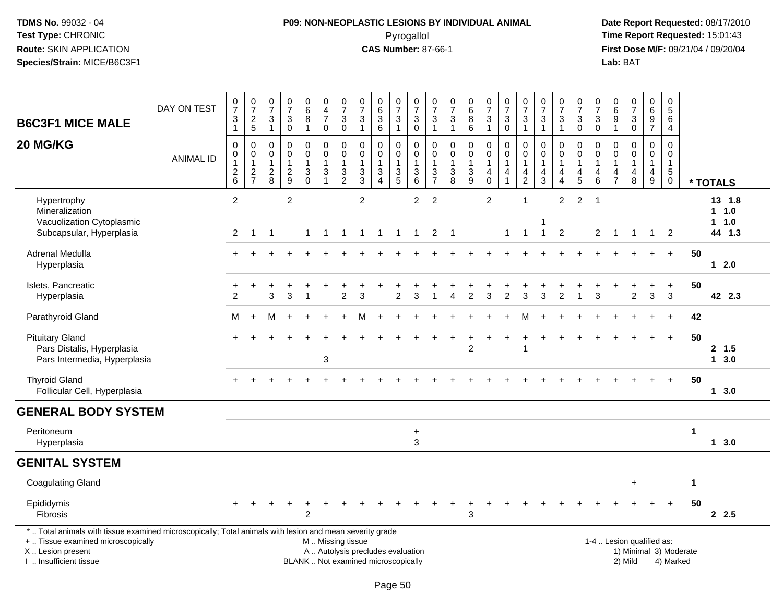## **P09: NON-NEOPLASTIC LESIONS BY INDIVIDUAL ANIMAL**Pyrogallol **Time Report Requested:** 15:01:43

| <b>B6C3F1 MICE MALE</b>                                                                                                                                                                       | DAY ON TEST      | $\frac{0}{7}$<br>$\mathbf 3$<br>$\mathbf{1}$        | $\frac{0}{7}$<br>$\frac{2}{5}$                          | $\begin{array}{c} 0 \\ 7 \end{array}$<br>$\sqrt{3}$<br>$\overline{1}$ | $\begin{smallmatrix}0\\7\end{smallmatrix}$<br>$\sqrt{3}$<br>$\mathbf 0$ | 0<br>$\,6\,$<br>$\overline{8}$<br>$\mathbf{1}$               | 0<br>$\overline{4}$<br>$\overline{7}$<br>$\mathbf 0$ | $\frac{0}{7}$<br>$\mathfrak{S}$<br>$\mathbf 0$       | $\frac{0}{7}$<br>$\mathbf{3}$<br>$\mathbf{1}$                   | $\begin{matrix} 0 \\ 6 \\ 3 \end{matrix}$<br>$6\phantom{1}$                             | $\begin{array}{c} 0 \\ 7 \end{array}$<br>$\mathbf{3}$<br>$\overline{1}$ | $\frac{0}{7}$<br>$\mathbf{3}$<br>$\mathbf 0$                                    | $\frac{0}{7}$<br>3<br>$\mathbf{1}$ | $\begin{array}{c} 0 \\ 7 \end{array}$<br>3<br>$\mathbf{1}$         | $\begin{matrix}0\6\8\end{matrix}$<br>$6\phantom{a}$ | $\begin{smallmatrix}0\\7\end{smallmatrix}$<br>$\sqrt{3}$<br>$\overline{1}$ | $\frac{0}{7}$<br>$\sqrt{3}$<br>$\mathbf 0$             | $\begin{array}{c} 0 \\ 7 \end{array}$<br>$\ensuremath{\mathsf{3}}$<br>$\mathbf{1}$ | $\begin{array}{c} 0 \\ 7 \end{array}$<br>$\sqrt{3}$<br>$\mathbf{1}$        | $\frac{0}{7}$<br>3<br>$\overline{1}$                           | $\frac{0}{7}$<br>$\ensuremath{\mathsf{3}}$<br>$\mathsf{O}\xspace$   | $\begin{array}{c} 0 \\ 7 \end{array}$<br>$\sqrt{3}$<br>$\mathbf 0$ | $\boldsymbol{0}$<br>$\,6$<br>$\overline{9}$<br>$\overline{1}$    | $\begin{array}{c} 0 \\ 7 \end{array}$<br>$\sqrt{3}$<br>$\mathbf 0$ | $_{6}^{\rm 0}$<br>$\overline{9}$<br>$\overline{7}$                           | $\begin{array}{c} 0 \\ 5 \end{array}$<br>$\,6\,$<br>$\overline{4}$ |                        |          |                                    |
|-----------------------------------------------------------------------------------------------------------------------------------------------------------------------------------------------|------------------|-----------------------------------------------------|---------------------------------------------------------|-----------------------------------------------------------------------|-------------------------------------------------------------------------|--------------------------------------------------------------|------------------------------------------------------|------------------------------------------------------|-----------------------------------------------------------------|-----------------------------------------------------------------------------------------|-------------------------------------------------------------------------|---------------------------------------------------------------------------------|------------------------------------|--------------------------------------------------------------------|-----------------------------------------------------|----------------------------------------------------------------------------|--------------------------------------------------------|------------------------------------------------------------------------------------|----------------------------------------------------------------------------|----------------------------------------------------------------|---------------------------------------------------------------------|--------------------------------------------------------------------|------------------------------------------------------------------|--------------------------------------------------------------------|------------------------------------------------------------------------------|--------------------------------------------------------------------|------------------------|----------|------------------------------------|
| 20 MG/KG                                                                                                                                                                                      | <b>ANIMAL ID</b> | $\mathbf 0$<br>0<br>$\overline{1}$<br>$\frac{2}{6}$ | $\mathbf 0$<br>$\,0\,$<br>$\mathbf{1}$<br>$\frac{2}{7}$ | $\mathbf 0$<br>$\mathbf 0$<br>$\mathbf{1}$<br>$\frac{2}{8}$           | $\mathbf 0$<br>$\mathbf 0$<br>$\mathbf{1}$<br>$\boldsymbol{2}$<br>9     | $\mathbf 0$<br>$\pmb{0}$<br>$\mathbf{1}$<br>3<br>$\mathbf 0$ | 0<br>$\mathbf 0$<br>$\mathbf{1}$<br>$\frac{3}{1}$    | $\Omega$<br>0<br>$\mathbf{1}$<br>3<br>$\overline{c}$ | $\mathbf 0$<br>$\mathbf 0$<br>$\mathbf{1}$<br>3<br>$\mathbf{3}$ | $\mathbf 0$<br>$\pmb{0}$<br>$\mathbf{1}$<br>$\ensuremath{\mathsf{3}}$<br>$\overline{4}$ | 0<br>0<br>$\overline{1}$<br>$\sqrt{3}$<br>$\overline{5}$                | $\Omega$<br>$\boldsymbol{0}$<br>$\overline{1}$<br>$\sqrt{3}$<br>$6\phantom{1}6$ | 0<br>0<br>1<br>3<br>$\overline{7}$ | 0<br>$\mathbf 0$<br>$\mathbf{1}$<br>$\ensuremath{\mathsf{3}}$<br>8 | $\mathbf 0$<br>$\pmb{0}$<br>$\mathbf{1}$<br>3<br>9  | 0<br>$\mathbf 0$<br>$\mathbf{1}$<br>4<br>$\mathbf 0$                       | $\Omega$<br>0<br>$\overline{1}$<br>4<br>$\overline{1}$ | $\mathbf 0$<br>0<br>$\mathbf{1}$<br>4<br>$\sqrt{2}$                                | $\mathbf 0$<br>$\pmb{0}$<br>$\mathbf{1}$<br>$\overline{4}$<br>$\mathbf{3}$ | $\Omega$<br>$\mathbf 0$<br>$\mathbf{1}$<br>4<br>$\overline{4}$ | $\mathbf 0$<br>$\mathsf{O}\xspace$<br>$\mathbf{1}$<br>$\frac{4}{5}$ | $\mathbf{0}$<br>$\mathbf 0$<br>$\mathbf{1}$<br>4<br>$6\phantom{1}$ | $\Omega$<br>$\mathbf 0$<br>$\overline{1}$<br>4<br>$\overline{7}$ | $\Omega$<br>$\mathbf 0$<br>$\mathbf{1}$<br>$\overline{4}$<br>8     | $\Omega$<br>$\mathbf 0$<br>$\mathbf 1$<br>$\overline{4}$<br>$\boldsymbol{9}$ | $\Omega$<br>$\mathbf 0$<br>$\mathbf{1}$<br>$5\,$<br>$\mathbf 0$    |                        | * TOTALS |                                    |
| Hypertrophy<br>Mineralization<br>Vacuolization Cytoplasmic<br>Subcapsular, Hyperplasia                                                                                                        |                  | $\overline{2}$<br>$\overline{2}$                    | $\mathbf{1}$                                            | $\overline{1}$                                                        | $\overline{c}$                                                          | $\mathbf{1}$                                                 | $\overline{1}$                                       |                                                      | $\overline{2}$<br>$1 \quad 1 \quad 1$                           |                                                                                         | $\overline{1}$                                                          | 2<br>$\mathbf{1}$                                                               | 2<br>$\overline{2}$                | $\overline{1}$                                                     |                                                     | 2                                                                          | $\overline{1}$                                         | 1<br>$\mathbf{1}$                                                                  | $\mathbf{1}$                                                               | $\overline{2}$<br>$\overline{2}$                               | $\overline{2}$                                                      | $\overline{1}$<br>$\overline{2}$                                   | $\overline{1}$                                                   | $\overline{1}$                                                     | $\overline{1}$                                                               | $\overline{2}$                                                     |                        |          | 13 1.8<br>1 1.0<br>1 1.0<br>44 1.3 |
| Adrenal Medulla<br>Hyperplasia                                                                                                                                                                |                  | $+$                                                 |                                                         |                                                                       |                                                                         |                                                              |                                                      |                                                      |                                                                 |                                                                                         |                                                                         |                                                                                 |                                    |                                                                    |                                                     |                                                                            |                                                        |                                                                                    |                                                                            |                                                                |                                                                     |                                                                    |                                                                  |                                                                    |                                                                              | $+$                                                                | 50                     |          | 12.0                               |
| Islets, Pancreatic<br>Hyperplasia                                                                                                                                                             |                  | +<br>$\overline{2}$                                 |                                                         | 3                                                                     | 3                                                                       | -1                                                           |                                                      | $\overline{2}$                                       | 3                                                               |                                                                                         | $\overline{2}$                                                          | 3                                                                               |                                    | 4                                                                  | $\overline{2}$                                      | 3                                                                          | $\overline{2}$                                         | 3                                                                                  | 3                                                                          | $\overline{2}$                                                 | 1                                                                   | 3                                                                  |                                                                  | $\overline{a}$                                                     | +<br>3                                                                       | $\ddot{}$<br>3                                                     | 50                     |          | 42 2.3                             |
| Parathyroid Gland                                                                                                                                                                             |                  | м                                                   | $\ddot{}$                                               | M                                                                     |                                                                         |                                                              |                                                      |                                                      | м                                                               |                                                                                         |                                                                         |                                                                                 |                                    |                                                                    |                                                     |                                                                            |                                                        | M                                                                                  |                                                                            |                                                                |                                                                     |                                                                    |                                                                  |                                                                    |                                                                              | $\ddot{}$                                                          | 42                     |          |                                    |
| <b>Pituitary Gland</b><br>Pars Distalis, Hyperplasia<br>Pars Intermedia, Hyperplasia                                                                                                          |                  |                                                     |                                                         |                                                                       |                                                                         |                                                              | 3                                                    |                                                      |                                                                 |                                                                                         |                                                                         |                                                                                 |                                    |                                                                    | $\overline{2}$                                      |                                                                            |                                                        | 1                                                                                  |                                                                            |                                                                |                                                                     |                                                                    |                                                                  |                                                                    |                                                                              | $+$                                                                | 50                     |          | 2, 1.5<br>13.0                     |
| <b>Thyroid Gland</b><br>Follicular Cell, Hyperplasia                                                                                                                                          |                  |                                                     |                                                         |                                                                       |                                                                         |                                                              |                                                      |                                                      |                                                                 |                                                                                         |                                                                         |                                                                                 |                                    |                                                                    |                                                     |                                                                            |                                                        |                                                                                    |                                                                            |                                                                |                                                                     |                                                                    |                                                                  |                                                                    |                                                                              | $+$                                                                | 50                     |          | 13.0                               |
| <b>GENERAL BODY SYSTEM</b>                                                                                                                                                                    |                  |                                                     |                                                         |                                                                       |                                                                         |                                                              |                                                      |                                                      |                                                                 |                                                                                         |                                                                         |                                                                                 |                                    |                                                                    |                                                     |                                                                            |                                                        |                                                                                    |                                                                            |                                                                |                                                                     |                                                                    |                                                                  |                                                                    |                                                                              |                                                                    |                        |          |                                    |
| Peritoneum<br>Hyperplasia                                                                                                                                                                     |                  |                                                     |                                                         |                                                                       |                                                                         |                                                              |                                                      |                                                      |                                                                 |                                                                                         |                                                                         | $\ddot{}$<br>3                                                                  |                                    |                                                                    |                                                     |                                                                            |                                                        |                                                                                    |                                                                            |                                                                |                                                                     |                                                                    |                                                                  |                                                                    |                                                                              |                                                                    | $\mathbf{1}$           |          | 13.0                               |
| <b>GENITAL SYSTEM</b>                                                                                                                                                                         |                  |                                                     |                                                         |                                                                       |                                                                         |                                                              |                                                      |                                                      |                                                                 |                                                                                         |                                                                         |                                                                                 |                                    |                                                                    |                                                     |                                                                            |                                                        |                                                                                    |                                                                            |                                                                |                                                                     |                                                                    |                                                                  |                                                                    |                                                                              |                                                                    |                        |          |                                    |
| <b>Coagulating Gland</b>                                                                                                                                                                      |                  |                                                     |                                                         |                                                                       |                                                                         |                                                              |                                                      |                                                      |                                                                 |                                                                                         |                                                                         |                                                                                 |                                    |                                                                    |                                                     |                                                                            |                                                        |                                                                                    |                                                                            |                                                                |                                                                     |                                                                    |                                                                  | $\ddot{}$                                                          |                                                                              |                                                                    | $\mathbf 1$            |          |                                    |
| Epididymis<br>Fibrosis                                                                                                                                                                        |                  |                                                     |                                                         |                                                                       |                                                                         | $\overline{2}$                                               |                                                      |                                                      |                                                                 |                                                                                         |                                                                         |                                                                                 |                                    |                                                                    | 3                                                   |                                                                            |                                                        |                                                                                    |                                                                            |                                                                |                                                                     |                                                                    |                                                                  |                                                                    |                                                                              |                                                                    | 50                     |          | 2.5                                |
| *  Total animals with tissue examined microscopically; Total animals with lesion and mean severity grade<br>+  Tissue examined microscopically<br>X  Lesion present<br>I. Insufficient tissue |                  |                                                     |                                                         |                                                                       |                                                                         |                                                              |                                                      | M  Missing tissue                                    |                                                                 | A  Autolysis precludes evaluation<br>BLANK  Not examined microscopically                |                                                                         |                                                                                 |                                    |                                                                    |                                                     |                                                                            |                                                        |                                                                                    |                                                                            |                                                                |                                                                     |                                                                    |                                                                  | 1-4  Lesion qualified as:<br>2) Mild                               |                                                                              | 4) Marked                                                          | 1) Minimal 3) Moderate |          |                                    |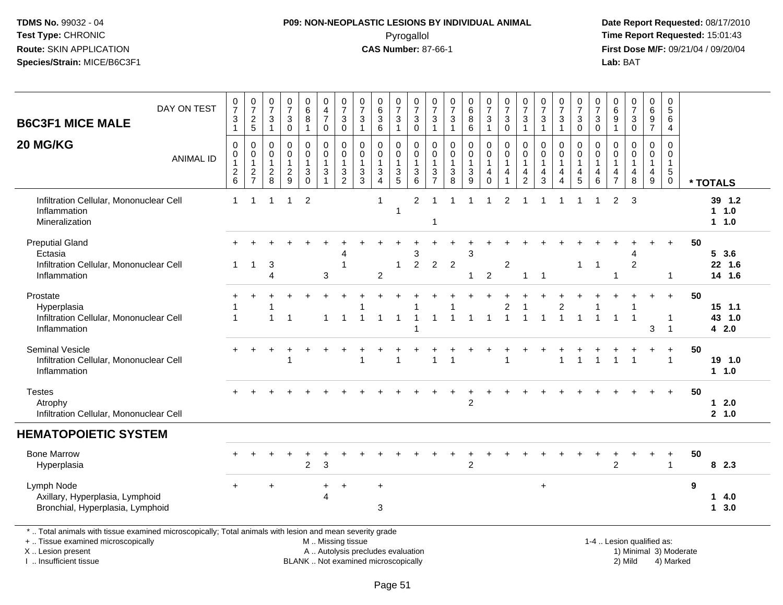# **P09: NON-NEOPLASTIC LESIONS BY INDIVIDUAL ANIMAL**Pyrogallol **Time Report Requested:** 15:01:43

 **Date Report Requested:** 08/17/2010 **First Dose M/F:** 09/21/04 / 09/20/04<br>Lab: BAT **Lab:** BAT

| <b>B6C3F1 MICE MALE</b>                                                                                                                                                                       | DAY ON TEST      | 0<br>$\overline{7}$<br>3<br>$\mathbf{1}$        | $\frac{0}{7}$<br>$\frac{2}{5}$                              | 0<br>$\overline{7}$<br>3<br>$\overline{1}$              | $\mathbf 0$<br>$\overline{7}$<br>$\ensuremath{\mathsf{3}}$<br>$\mathbf 0$ | $_{6}^{\rm 0}$<br>8<br>$\mathbf{1}$                       | 0<br>$\overline{4}$<br>$\overline{7}$<br>$\mathbf 0$  | $\frac{0}{7}$<br>$\ensuremath{\mathsf{3}}$<br>$\mathbf 0$ | 0<br>$\overline{7}$<br>$\sqrt{3}$<br>$\overline{1}$                      | $\boldsymbol{0}$<br>6<br>$\mathbf 3$<br>$6\phantom{1}6$           | 0<br>$\overline{7}$<br>3<br>$\overline{1}$ | 0<br>$\overline{7}$<br>3<br>$\mathbf 0$                                     | 0<br>$\overline{7}$<br>$\ensuremath{\mathsf{3}}$<br>$\mathbf{1}$  | 0<br>$\overline{7}$<br>$\ensuremath{\mathsf{3}}$<br>$\mathbf{1}$ | $\pmb{0}$<br>$6\phantom{a}$<br>$\bf 8$<br>$\,6\,$       | 0<br>$\overline{7}$<br>$\mathsf 3$<br>$\mathbf{1}$                  | 0<br>$\overline{7}$<br>3<br>$\mathbf 0$                 | $\pmb{0}$<br>$\overline{7}$<br>$\ensuremath{\mathsf{3}}$<br>$\mathbf{1}$       | 0<br>$\overline{7}$<br>3<br>$\mathbf{1}$                | $\frac{0}{7}$<br>3<br>$\mathbf{1}$ | 0<br>$\overline{7}$<br>$\ensuremath{\mathsf{3}}$<br>$\mathsf{O}\xspace$ | $\mathbf 0$<br>$\overline{7}$<br>$\ensuremath{\mathsf{3}}$<br>$\pmb{0}$ | $\mathbf 0$<br>$6\phantom{1}6$<br>$\frac{9}{1}$      | $\begin{array}{c} 0 \\ 7 \end{array}$<br>$\ensuremath{\mathsf{3}}$<br>$\mathbf 0$ | 0<br>$\,6\,$<br>$\frac{9}{7}$                                                   | 0<br>5<br>6<br>$\overline{4}$                                  |                        |                            |  |
|-----------------------------------------------------------------------------------------------------------------------------------------------------------------------------------------------|------------------|-------------------------------------------------|-------------------------------------------------------------|---------------------------------------------------------|---------------------------------------------------------------------------|-----------------------------------------------------------|-------------------------------------------------------|-----------------------------------------------------------|--------------------------------------------------------------------------|-------------------------------------------------------------------|--------------------------------------------|-----------------------------------------------------------------------------|-------------------------------------------------------------------|------------------------------------------------------------------|---------------------------------------------------------|---------------------------------------------------------------------|---------------------------------------------------------|--------------------------------------------------------------------------------|---------------------------------------------------------|------------------------------------|-------------------------------------------------------------------------|-------------------------------------------------------------------------|------------------------------------------------------|-----------------------------------------------------------------------------------|---------------------------------------------------------------------------------|----------------------------------------------------------------|------------------------|----------------------------|--|
| 20 MG/KG                                                                                                                                                                                      | <b>ANIMAL ID</b> | 0<br>0<br>$\begin{array}{c} 2 \\ 6 \end{array}$ | $\mathbf 0$<br>$\pmb{0}$<br>$\overline{1}$<br>$\frac{2}{7}$ | 0<br>$\mathbf 0$<br>$\mathbf{1}$<br>$\overline{c}$<br>8 | $\mathbf 0$<br>$\Omega$<br>$\mathbf{1}$<br>$\frac{2}{9}$                  | 0<br>$\mathbf 0$<br>$\ensuremath{\mathsf{3}}$<br>$\Omega$ | 0<br>$\mathbf 0$<br>$\overline{1}$<br>$\sqrt{3}$<br>1 | 0<br>$\mathbf 0$<br>$\mathbf{1}$<br>$\frac{3}{2}$         | $\mathbf 0$<br>$\mathbf{0}$<br>$\sqrt{3}$<br>3                           | $\mathbf 0$<br>$\mathbf 0$<br>$\mathbf{1}$<br>3<br>$\overline{4}$ | 0<br>$\mathbf 0$<br>$\mathbf{1}$<br>3<br>5 | $\mathbf 0$<br>$\mathbf 0$<br>$\mathbf 1$<br>$\ensuremath{\mathsf{3}}$<br>6 | 0<br>$\Omega$<br>1<br>$\ensuremath{\mathsf{3}}$<br>$\overline{7}$ | $\mathbf 0$<br>$\Omega$<br>1<br>$\sqrt{3}$<br>8                  | 0<br>$\mathbf 0$<br>1<br>$\ensuremath{\mathsf{3}}$<br>9 | 0<br>$\mathbf 0$<br>$\overline{1}$<br>$\overline{4}$<br>$\mathbf 0$ | 0<br>$\mathbf 0$<br>$\mathbf{1}$<br>$\overline{4}$<br>1 | $\mathbf 0$<br>$\mathbf 0$<br>$\mathbf{1}$<br>$\overline{4}$<br>$\overline{c}$ | 0<br>$\mathbf 0$<br>$\mathbf{1}$<br>$\overline{4}$<br>3 | 0<br>$\Omega$<br>1<br>4<br>4       | 0<br>$\mathbf 0$<br>$\mathbf{1}$<br>$\overline{4}$<br>5                 | $\mathbf{0}$<br>$\Omega$<br>$\mathbf{1}$<br>$\overline{4}$<br>6         | $\mathbf 0$<br>$\Omega$<br>-1<br>4<br>$\overline{7}$ | $\mathbf 0$<br>$\Omega$<br>$\mathbf{1}$<br>$\overline{4}$<br>8                    | 0<br>$\mathbf 0$<br>$\mathbf{1}$<br>$\overline{\mathbf{4}}$<br>$\boldsymbol{9}$ | 0<br>$\mathbf 0$<br>$\mathbf{1}$<br>$\,$ 5 $\,$<br>$\mathbf 0$ |                        | * TOTALS                   |  |
| Infiltration Cellular, Mononuclear Cell<br>Inflammation<br>Mineralization                                                                                                                     |                  | $\mathbf{1}$                                    | $\overline{\mathbf{1}}$                                     | $\overline{ }$                                          | $\mathbf{1}$                                                              | $\overline{2}$                                            |                                                       |                                                           |                                                                          | $\overline{\mathbf{1}}$                                           | 1                                          | 2                                                                           | 1                                                                 |                                                                  | $\overline{\mathbf{1}}$                                 | $\mathbf{1}$                                                        | $\overline{c}$                                          | $\overline{1}$                                                                 |                                                         | 1                                  | 1                                                                       | -1                                                                      | 2                                                    | 3                                                                                 |                                                                                 |                                                                |                        | 39 1.2<br>$1 1.0$<br>1 1.0 |  |
| <b>Preputial Gland</b><br>Ectasia<br>Infiltration Cellular, Mononuclear Cell<br>Inflammation                                                                                                  |                  | $\mathbf{1}$                                    | $\overline{1}$                                              | 3<br>4                                                  |                                                                           |                                                           | 3                                                     | 4<br>$\overline{1}$                                       |                                                                          | $\overline{2}$                                                    | 1                                          | 3<br>2                                                                      | $\overline{2}$                                                    | $\overline{2}$                                                   | 3<br>-1                                                 | $\overline{c}$                                                      | $\overline{c}$                                          | $\mathbf{1}$                                                                   | -1                                                      |                                    | $\mathbf{1}$                                                            | $\overline{1}$                                                          | 1                                                    | $\overline{c}$                                                                    |                                                                                 | 1                                                              | 50                     | 53.6<br>22 1.6<br>14 1.6   |  |
| Prostate<br>Hyperplasia<br>Infiltration Cellular, Mononuclear Cell<br>Inflammation                                                                                                            |                  | ٠                                               |                                                             | 1                                                       |                                                                           |                                                           |                                                       | $\overline{1}$                                            |                                                                          | -1                                                                | $\overline{1}$                             |                                                                             | $\overline{1}$                                                    |                                                                  |                                                         |                                                                     | 2<br>$\overline{\mathbf{1}}$                            | 1                                                                              |                                                         | $\overline{2}$<br>1                |                                                                         |                                                                         | -1                                                   | -1                                                                                | 3                                                                               | $\ddot{}$<br>$\overline{1}$                                    | 50                     | $15$ 1.1<br>43 1.0<br>42.0 |  |
| <b>Seminal Vesicle</b><br>Infiltration Cellular, Mononuclear Cell<br>Inflammation                                                                                                             |                  |                                                 |                                                             |                                                         | -1                                                                        |                                                           |                                                       |                                                           |                                                                          |                                                                   |                                            |                                                                             | 1                                                                 |                                                                  |                                                         |                                                                     | 1                                                       |                                                                                |                                                         | $\overline{1}$                     | $\overline{1}$                                                          |                                                                         |                                                      |                                                                                   |                                                                                 | $\ddot{}$<br>$\overline{1}$                                    | 50                     | 19 1.0<br>11.0             |  |
| <b>Testes</b><br>Atrophy<br>Infiltration Cellular, Mononuclear Cell                                                                                                                           |                  |                                                 |                                                             |                                                         |                                                                           |                                                           |                                                       |                                                           |                                                                          |                                                                   |                                            |                                                                             |                                                                   |                                                                  | $\div$<br>$\overline{2}$                                |                                                                     |                                                         |                                                                                |                                                         |                                    |                                                                         |                                                                         |                                                      |                                                                                   | $\ddot{}$                                                                       | $+$                                                            | 50                     | $12.0$<br>2, 1.0           |  |
| <b>HEMATOPOIETIC SYSTEM</b>                                                                                                                                                                   |                  |                                                 |                                                             |                                                         |                                                                           |                                                           |                                                       |                                                           |                                                                          |                                                                   |                                            |                                                                             |                                                                   |                                                                  |                                                         |                                                                     |                                                         |                                                                                |                                                         |                                    |                                                                         |                                                                         |                                                      |                                                                                   |                                                                                 |                                                                |                        |                            |  |
| <b>Bone Marrow</b><br>Hyperplasia                                                                                                                                                             |                  |                                                 |                                                             |                                                         |                                                                           | $\ddot{}$<br>$\overline{2}$                               | 3                                                     |                                                           |                                                                          |                                                                   |                                            |                                                                             |                                                                   |                                                                  | $\overline{2}$                                          |                                                                     |                                                         |                                                                                |                                                         |                                    |                                                                         |                                                                         | $\overline{2}$                                       |                                                                                   |                                                                                 | $\overline{1}$                                                 | 50                     | 82.3                       |  |
| Lymph Node<br>Axillary, Hyperplasia, Lymphoid<br>Bronchial, Hyperplasia, Lymphoid                                                                                                             |                  | $+$                                             |                                                             | $\ddot{}$                                               |                                                                           |                                                           | $\ddot{}$<br>4                                        | $\ddot{}$                                                 |                                                                          | $\ddot{}$<br>3                                                    |                                            |                                                                             |                                                                   |                                                                  |                                                         |                                                                     |                                                         |                                                                                | $\ddot{}$                                               |                                    |                                                                         |                                                                         |                                                      |                                                                                   |                                                                                 |                                                                | 9                      | 14.0<br>13.0               |  |
| *  Total animals with tissue examined microscopically; Total animals with lesion and mean severity grade<br>+  Tissue examined microscopically<br>X  Lesion present<br>I  Insufficient tissue |                  |                                                 |                                                             |                                                         |                                                                           |                                                           | M  Missing tissue                                     |                                                           | A  Autolysis precludes evaluation<br>BLANK  Not examined microscopically |                                                                   |                                            |                                                                             |                                                                   |                                                                  |                                                         |                                                                     |                                                         |                                                                                |                                                         |                                    |                                                                         |                                                                         |                                                      | 1-4  Lesion qualified as:<br>2) Mild                                              |                                                                                 | 4) Marked                                                      | 1) Minimal 3) Moderate |                            |  |

I .. Insufficient tissue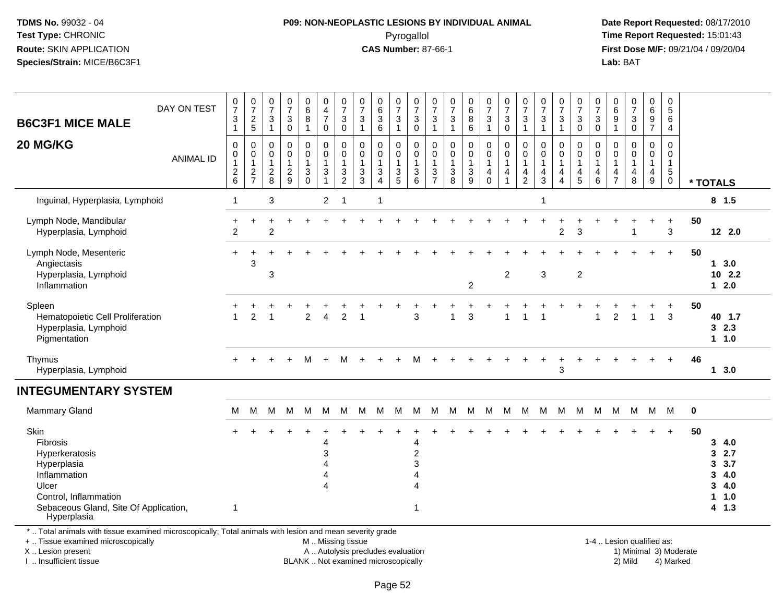## **P09: NON-NEOPLASTIC LESIONS BY INDIVIDUAL ANIMAL**Pyrogallol **Time Report Requested:** 15:01:43

 **Date Report Requested:** 08/17/2010 **First Dose M/F:** 09/21/04 / 09/20/04<br>Lab: BAT **Lab:** BAT

| DAY ON TEST | $\frac{0}{7}$<br>$\sqrt{3}$<br>1                          | $\frac{0}{7}$<br>$\boldsymbol{2}$<br>$\overline{5}$                          | $\pmb{0}$<br>$\overline{7}$<br>$\sqrt{3}$<br>$\mathbf{1}$ | $\frac{0}{7}$<br>$\sqrt{3}$<br>$\Omega$                             | 0<br>$\,6$<br>$\bf 8$<br>$\mathbf{1}$                                           | $\pmb{0}$<br>$\overline{4}$<br>$\overline{7}$<br>$\mathbf 0$           | $\frac{0}{7}$<br>3<br>$\mathbf 0$                       | $\frac{0}{7}$<br>$\sqrt{3}$<br>$\overline{1}$         | $\begin{matrix} 0 \\ 6 \\ 3 \end{matrix}$<br>6                         | $\frac{0}{7}$<br>$\sqrt{3}$<br>$\overline{1}$       | $\pmb{0}$<br>$\overline{7}$<br>$\mathbf{3}$<br>$\mathbf 0$      | 0<br>$\overline{7}$<br>$\mathbf{3}$<br>$\mathbf{1}$                | $\frac{0}{7}$<br>$\sqrt{3}$<br>1                         | $\begin{array}{c} 0 \\ 6 \end{array}$<br>$\bf 8$<br>6         | $\begin{smallmatrix}0\\7\end{smallmatrix}$<br>$\mathsf 3$<br>$\overline{1}$ | $\frac{0}{7}$<br>$\mathbf{3}$<br>$\mathbf 0$                      | $\frac{0}{7}$<br>3<br>$\mathbf{1}$                                                                       | $\frac{0}{7}$<br>$\mathbf{3}$<br>$\mathbf{1}$                 | $\frac{0}{7}$<br>3<br>$\mathbf{1}$            | $\frac{0}{7}$<br>$\mathbf{3}$<br>$\mathbf 0$  | $\frac{0}{7}$<br>$\sqrt{3}$<br>$\mathbf 0$                          | 0<br>$\,6\,$<br>9<br>1                       | $\frac{0}{7}$<br>3<br>$\mathbf 0$                    | 0<br>6<br>9<br>$\overline{7}$    | $\pmb{0}$<br>$\sqrt{5}$<br>$6\phantom{1}6$<br>$\overline{4}$            |          |                                                         |
|-------------|-----------------------------------------------------------|------------------------------------------------------------------------------|-----------------------------------------------------------|---------------------------------------------------------------------|---------------------------------------------------------------------------------|------------------------------------------------------------------------|---------------------------------------------------------|-------------------------------------------------------|------------------------------------------------------------------------|-----------------------------------------------------|-----------------------------------------------------------------|--------------------------------------------------------------------|----------------------------------------------------------|---------------------------------------------------------------|-----------------------------------------------------------------------------|-------------------------------------------------------------------|----------------------------------------------------------------------------------------------------------|---------------------------------------------------------------|-----------------------------------------------|-----------------------------------------------|---------------------------------------------------------------------|----------------------------------------------|------------------------------------------------------|----------------------------------|-------------------------------------------------------------------------|----------|---------------------------------------------------------|
|             | $\pmb{0}$<br>0<br>$\overline{1}$<br>$\boldsymbol{2}$<br>6 | $\pmb{0}$<br>$\pmb{0}$<br>$\mathbf{1}$<br>$\boldsymbol{2}$<br>$\overline{7}$ | $\pmb{0}$<br>0<br>$\mathbf{1}$<br>$\boldsymbol{2}$<br>8   | $\mathbf 0$<br>$\mathbf 0$<br>$\mathbf{1}$<br>$\boldsymbol{2}$<br>9 | $\pmb{0}$<br>$\pmb{0}$<br>$\mathbf{1}$<br>$\ensuremath{\mathsf{3}}$<br>$\Omega$ | $\pmb{0}$<br>$\pmb{0}$<br>$\mathbf{1}$<br>$\mathbf{3}$<br>$\mathbf{1}$ | $\mathbf 0$<br>0<br>$\mathbf{1}$<br>3<br>$\overline{2}$ | $\mathbf 0$<br>0<br>$\mathbf{1}$<br>$\mathbf{3}$<br>3 | $\pmb{0}$<br>$\pmb{0}$<br>$\mathbf{1}$<br>$\sqrt{3}$<br>$\overline{4}$ | $\pmb{0}$<br>0<br>$\overline{1}$<br>$\sqrt{3}$<br>5 | $\mathbf 0$<br>$\mathbf 0$<br>$\overline{1}$<br>$\sqrt{3}$<br>6 | $\mathbf 0$<br>0<br>$\mathbf{1}$<br>$\mathbf{3}$<br>$\overline{7}$ | 0<br>0<br>$\mathbf{1}$<br>$\ensuremath{\mathsf{3}}$<br>8 | $\pmb{0}$<br>$\pmb{0}$<br>1<br>$\ensuremath{\mathsf{3}}$<br>9 | $\mathsf 0$<br>$\mathbf 0$<br>$\mathbf{1}$<br>$\overline{4}$<br>$\Omega$    | $\mathbf 0$<br>$\mathbf 0$<br>$\mathbf{1}$<br>4<br>$\overline{1}$ | 0<br>0<br>1<br>4<br>$\overline{c}$                                                                       | $\pmb{0}$<br>$\pmb{0}$<br>$\mathbf{1}$<br>$\overline{4}$<br>3 | 0<br>0<br>$\mathbf{1}$<br>$\overline{4}$<br>4 | 0<br>0<br>$\mathbf{1}$<br>$\overline{4}$<br>5 | $\mathbf 0$<br>$\mathbf 0$<br>$\overline{1}$<br>$\overline{4}$<br>6 | 0<br>0<br>$\mathbf 1$<br>4<br>$\overline{7}$ | $\mathbf 0$<br>$\mathbf 0$<br>$\mathbf{1}$<br>4<br>8 | 0<br>0<br>$\mathbf{1}$<br>4<br>9 | $\mathbf 0$<br>$\mathbf 0$<br>$\mathbf{1}$<br>$\sqrt{5}$<br>$\mathbf 0$ |          | * TOTALS                                                |
|             | -1                                                        |                                                                              | $\ensuremath{\mathsf{3}}$                                 |                                                                     |                                                                                 | $\overline{2}$                                                         | -1                                                      |                                                       | $\overline{1}$                                                         |                                                     |                                                                 |                                                                    |                                                          |                                                               |                                                                             |                                                                   |                                                                                                          | $\overline{1}$                                                |                                               |                                               |                                                                     |                                              |                                                      |                                  |                                                                         |          | $8$ 1.5                                                 |
|             | $\overline{c}$                                            |                                                                              | $\overline{c}$                                            |                                                                     |                                                                                 |                                                                        |                                                         |                                                       |                                                                        |                                                     |                                                                 |                                                                    |                                                          |                                                               |                                                                             |                                                                   |                                                                                                          |                                                               | $\overline{c}$                                | 3                                             |                                                                     |                                              |                                                      |                                  | +<br>3                                                                  | 50       | 12 2.0                                                  |
|             | $+$                                                       | $\ddot{}$<br>3                                                               | 3                                                         |                                                                     |                                                                                 |                                                                        |                                                         |                                                       |                                                                        |                                                     |                                                                 |                                                                    |                                                          | $\overline{2}$                                                |                                                                             | $\overline{c}$                                                    |                                                                                                          | $\mathbf{3}$                                                  |                                               | $\overline{2}$                                |                                                                     |                                              |                                                      |                                  | $+$                                                                     | 50       | 13.0<br>$10$ 2.2<br>$12.0$                              |
|             |                                                           | $\overline{c}$                                                               |                                                           |                                                                     | $\overline{2}$                                                                  | 4                                                                      | $\overline{c}$                                          |                                                       |                                                                        |                                                     | 3                                                               |                                                                    |                                                          | 3                                                             |                                                                             | 1                                                                 |                                                                                                          |                                                               |                                               |                                               |                                                                     | $\overline{c}$                               |                                                      | $\mathbf{1}$                     | +<br>3                                                                  | 50       | 40 1.7<br>32.3<br>$1 1.0$                               |
|             |                                                           |                                                                              |                                                           |                                                                     | м                                                                               | $+$                                                                    | М                                                       |                                                       |                                                                        | ÷                                                   | M                                                               |                                                                    |                                                          |                                                               |                                                                             |                                                                   |                                                                                                          |                                                               | $\overline{ }$<br>3                           |                                               |                                                                     |                                              |                                                      |                                  |                                                                         | 46       | 13.0                                                    |
|             |                                                           |                                                                              |                                                           |                                                                     |                                                                                 |                                                                        |                                                         |                                                       |                                                                        |                                                     |                                                                 |                                                                    |                                                          |                                                               |                                                                             |                                                                   |                                                                                                          |                                                               |                                               |                                               |                                                                     |                                              |                                                      |                                  |                                                                         |          |                                                         |
|             | м                                                         | M                                                                            | м                                                         | м                                                                   | M                                                                               | M                                                                      | M                                                       | M                                                     | M                                                                      | M                                                   | M                                                               | M                                                                  | M                                                        | M                                                             | M                                                                           | M                                                                 | M                                                                                                        | M                                                             | M                                             | M                                             | M                                                                   | M                                            |                                                      |                                  |                                                                         | $\bf{0}$ |                                                         |
|             | -1                                                        |                                                                              |                                                           |                                                                     |                                                                                 | 4<br>3<br>4<br>4                                                       |                                                         |                                                       |                                                                        |                                                     | 4<br>$\overline{c}$<br>3<br>4<br>4<br>1                         |                                                                    |                                                          |                                                               |                                                                             |                                                                   |                                                                                                          |                                                               |                                               |                                               |                                                                     |                                              |                                                      |                                  | $\ddot{}$                                                               | 50       | 34.0<br>32.7<br>3, 3.7<br>34.0<br>34.0<br>11.0<br>4 1.3 |
|             | <b>ANIMAL ID</b><br>Sebaceous Gland, Site Of Application, |                                                                              |                                                           |                                                                     |                                                                                 |                                                                        |                                                         |                                                       |                                                                        |                                                     |                                                                 |                                                                    |                                                          |                                                               |                                                                             |                                                                   | *  Total animals with tissue examined microscopically; Total animals with lesion and mean severity grade |                                                               |                                               |                                               |                                                                     |                                              |                                                      |                                  |                                                                         | M M M    |                                                         |

+ .. Tissue examined microscopically

X .. Lesion present

I .. Insufficient tissue

M .. Missing tissue

A .. Autolysis precludes evaluation 1) Minimal 3 ... Autolysis precludes evaluation 1, and 30 ... (1) Minimal 3<br>1) Minimal 3) Mild BLANK .. Not examined microscopically 2) Mild 4) Marked

1-4 .. Lesion qualified as: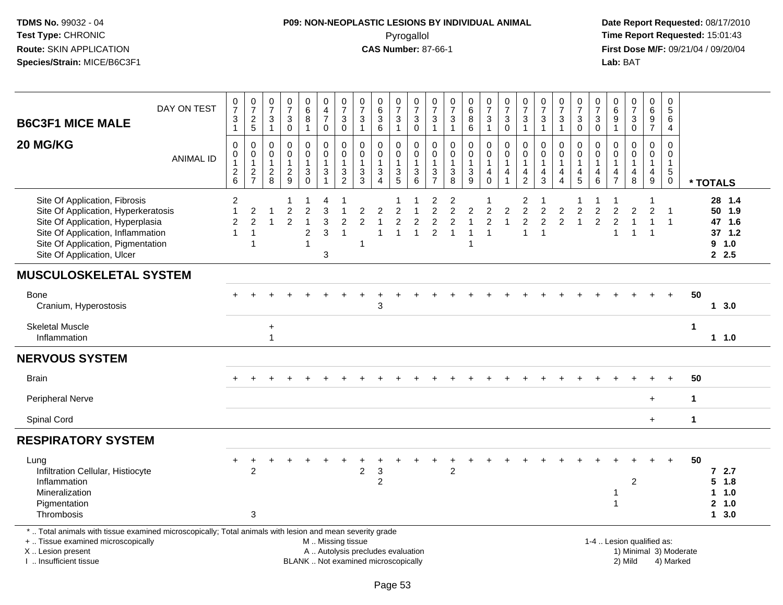# **P09: NON-NEOPLASTIC LESIONS BY INDIVIDUAL ANIMAL**Pyrogallol **Time Report Requested:** 15:01:43

| <b>B6C3F1 MICE MALE</b>                                                                                                                                                                                          | DAY ON TEST      | $\begin{smallmatrix}0\\7\end{smallmatrix}$<br>$\ensuremath{\mathsf{3}}$ | $\frac{0}{7}$<br>$\frac{2}{5}$                                   | $\begin{smallmatrix}0\\7\end{smallmatrix}$<br>$\ensuremath{\mathsf{3}}$ | $\frac{0}{7}$<br>3                                           | $_{6}^{\rm 0}$<br>$\overline{8}$                                   | $_4^{\rm 0}$<br>$\overline{7}$                                                                | $\frac{0}{7}$<br>$\ensuremath{\mathsf{3}}$                  | $\frac{0}{7}$<br>$\sqrt{3}$                                 | $\begin{array}{c} 0 \\ 6 \end{array}$<br>$\ensuremath{\mathsf{3}}$              | $\frac{0}{7}$<br>$\ensuremath{\mathsf{3}}$                | $\frac{0}{7}$<br>3              | $\frac{0}{7}$<br>$\ensuremath{\mathsf{3}}$                           | $\frac{0}{7}$<br>$\mathbf{3}$                                               | $\begin{matrix} 0 \\ 6 \end{matrix}$<br>$\overline{8}$ | $\frac{0}{7}$<br>$\ensuremath{\mathsf{3}}$                     | $\frac{0}{7}$<br>$\sqrt{3}$                                         | $\frac{0}{7}$<br>$\ensuremath{\mathsf{3}}$                     | $\frac{0}{7}$<br>$\ensuremath{\mathsf{3}}$                         | $\frac{0}{7}$<br>$\ensuremath{\mathsf{3}}$                        | $\frac{0}{7}$<br>$\ensuremath{\mathsf{3}}$           | $\frac{0}{7}$<br>$\ensuremath{\mathsf{3}}$                          | $\begin{array}{c} 0 \\ 6 \\ 9 \end{array}$              | $\frac{0}{7}$<br>$\mathbf{3}$                    | $\begin{array}{c} 0 \\ 6 \end{array}$<br>$\boldsymbol{9}$         | $\mathbf 0$<br>$\,$ 5 $\,$<br>6                                           |                        |          |                                                        |  |
|------------------------------------------------------------------------------------------------------------------------------------------------------------------------------------------------------------------|------------------|-------------------------------------------------------------------------|------------------------------------------------------------------|-------------------------------------------------------------------------|--------------------------------------------------------------|--------------------------------------------------------------------|-----------------------------------------------------------------------------------------------|-------------------------------------------------------------|-------------------------------------------------------------|---------------------------------------------------------------------------------|-----------------------------------------------------------|---------------------------------|----------------------------------------------------------------------|-----------------------------------------------------------------------------|--------------------------------------------------------|----------------------------------------------------------------|---------------------------------------------------------------------|----------------------------------------------------------------|--------------------------------------------------------------------|-------------------------------------------------------------------|------------------------------------------------------|---------------------------------------------------------------------|---------------------------------------------------------|--------------------------------------------------|-------------------------------------------------------------------|---------------------------------------------------------------------------|------------------------|----------|--------------------------------------------------------|--|
|                                                                                                                                                                                                                  |                  | $\mathbf{1}$                                                            |                                                                  | $\mathbf{1}$                                                            | $\mathbf 0$                                                  | $\mathbf{1}$                                                       | $\mathbf 0$                                                                                   | $\mathbf 0$                                                 | $\overline{1}$                                              | 6                                                                               | $\mathbf{1}$                                              | $\mathbf 0$                     | $\overline{1}$                                                       | $\mathbf{1}$                                                                | 6                                                      | $\mathbf{1}$                                                   | $\mathbf 0$                                                         | $\overline{1}$                                                 | $\mathbf{1}$                                                       | $\mathbf{1}$                                                      | $\mathbf 0$                                          | $\mathbf 0$                                                         | $\mathbf{1}$                                            | $\mathbf 0$                                      | $\overline{7}$                                                    | 4                                                                         |                        |          |                                                        |  |
| 20 MG/KG                                                                                                                                                                                                         | <b>ANIMAL ID</b> | $\pmb{0}$<br>$\pmb{0}$<br>$\mathbf{1}$<br>$^2$ 6                        | $\mathbf 0$<br>$\mathbf 0$<br>$\mathbf{1}$<br>$\frac{2}{7}$      | $\pmb{0}$<br>$\mathbf 0$<br>$\mathbf{1}$<br>$\frac{2}{8}$               | $\mathsf{O}$<br>$\mathbf 0$<br>$\mathbf{1}$<br>$\frac{2}{9}$ | $\mathsf 0$<br>$\mathsf{O}$<br>$\mathbf{1}$<br>$_0^3$              | $\mathbf 0$<br>$\mathbf 0$<br>1<br>$\mathbf{3}$                                               | $\mathbf 0$<br>$\mathbf 0$<br>$\mathbf{1}$<br>$\frac{3}{2}$ | $\mathbf 0$<br>$\mathbf 0$<br>$\mathbf{1}$<br>$\frac{3}{3}$ | 0<br>$\mathbf 0$<br>$\mathbf{1}$<br>$\ensuremath{\mathsf{3}}$<br>$\overline{4}$ | $\pmb{0}$<br>$\mathbf 0$<br>$\mathbf{1}$<br>$\frac{3}{5}$ | 0<br>$\mathbf 0$<br>1<br>3<br>6 | $\mathbf 0$<br>$\mathbf 0$<br>$\mathbf{1}$<br>$\frac{3}{7}$          | $\mathsf 0$<br>$\mathbf 0$<br>$\mathbf 1$<br>$\mathbf{3}$<br>$\overline{8}$ | 0<br>$\pmb{0}$<br>$\mathbf{1}$<br>$\frac{3}{9}$        | $\mathbf 0$<br>$\mathbf 0$<br>$\mathbf{1}$<br>4<br>$\mathbf 0$ | $\mathbf 0$<br>$\mathbf 0$<br>$\overline{1}$<br>4<br>$\overline{1}$ | $\mathbf 0$<br>$\Omega$<br>$\mathbf{1}$<br>4<br>$\overline{2}$ | 0<br>$\mathbf 0$<br>$\mathbf{1}$<br>$\overline{4}$<br>$\mathbf{3}$ | $\mathbf 0$<br>$\mathbf 0$<br>$\mathbf{1}$<br>4<br>$\overline{4}$ | $\mathbf 0$<br>$\mathbf 0$<br>$\mathbf{1}$<br>4<br>5 | $\mathbf 0$<br>$\mathbf 0$<br>$\overline{1}$<br>4<br>$6\phantom{a}$ | 0<br>$\mathbf 0$<br>$\mathbf{1}$<br>4<br>$\overline{7}$ | 0<br>$\mathbf 0$<br>1<br>4<br>$\,8\,$            | $\mathbf 0$<br>$\mathbf 0$<br>$\mathbf{1}$<br>4<br>$\overline{9}$ | $\mathbf 0$<br>$\mathbf 0$<br>$\overline{1}$<br>$\sqrt{5}$<br>$\mathbf 0$ |                        | * TOTALS |                                                        |  |
| Site Of Application, Fibrosis<br>Site Of Application, Hyperkeratosis<br>Site Of Application, Hyperplasia<br>Site Of Application, Inflammation<br>Site Of Application, Pigmentation<br>Site Of Application, Ulcer |                  | 2<br>$\mathbf{1}$<br>$\overline{c}$<br>1                                | $\overline{\mathbf{c}}$<br>$\overline{2}$<br>$\overline{1}$<br>1 | 1                                                                       | $\overline{c}$<br>$\overline{2}$                             | $\overline{a}$<br>$\mathbf{1}$<br>$\overline{2}$<br>$\overline{1}$ | 4<br>3<br>3<br>3<br>$\sqrt{3}$                                                                | $\overline{1}$<br>$\overline{2}$<br>$\overline{1}$          | $\overline{c}$<br>$\overline{c}$<br>-1                      | $\overline{c}$<br>$\mathbf{1}$<br>$\mathbf{1}$                                  | $\overline{2}$<br>$\overline{2}$<br>$\overline{1}$        | $\overline{c}$<br>$\mathbf{1}$  | $\overline{c}$<br>$\overline{c}$<br>$\overline{c}$<br>$\overline{2}$ | $\overline{2}$<br>$\overline{2}$<br>$\overline{2}$<br>$\overline{1}$        | $\overline{a}$<br>$\overline{1}$<br>$\overline{1}$     | $\overline{2}$<br>$\overline{2}$<br>$\overline{1}$             | $\overline{c}$<br>$\overline{1}$                                    | 2<br>$\overline{c}$<br>$\overline{c}$<br>$\overline{1}$        | -1<br>$\overline{c}$<br>$\overline{2}$<br>$\overline{1}$           | $\overline{c}$<br>$\overline{2}$                                  | 1<br>$\boldsymbol{2}$<br>$\mathbf{1}$                | $\boldsymbol{2}$<br>$\overline{2}$                                  | $\sqrt{2}$<br>$\overline{2}$<br>$\overline{1}$          | $\overline{c}$<br>$\mathbf{1}$<br>$\overline{1}$ | $\overline{c}$<br>$\overline{1}$<br>$\overline{1}$                | $\overline{\mathbf{1}}$<br>$\overline{1}$                                 |                        |          | 28 1.4<br>50 1.9<br>47 1.6<br>$37$ 1.2<br>9 1.0<br>2.5 |  |
| <b>MUSCULOSKELETAL SYSTEM</b>                                                                                                                                                                                    |                  |                                                                         |                                                                  |                                                                         |                                                              |                                                                    |                                                                                               |                                                             |                                                             |                                                                                 |                                                           |                                 |                                                                      |                                                                             |                                                        |                                                                |                                                                     |                                                                |                                                                    |                                                                   |                                                      |                                                                     |                                                         |                                                  |                                                                   |                                                                           |                        |          |                                                        |  |
| <b>Bone</b><br>Cranium, Hyperostosis                                                                                                                                                                             |                  |                                                                         |                                                                  |                                                                         |                                                              |                                                                    |                                                                                               |                                                             |                                                             | 3                                                                               |                                                           |                                 |                                                                      |                                                                             |                                                        |                                                                |                                                                     |                                                                |                                                                    |                                                                   |                                                      |                                                                     |                                                         |                                                  |                                                                   |                                                                           | 50                     |          | $1 \quad 3.0$                                          |  |
| <b>Skeletal Muscle</b><br>Inflammation                                                                                                                                                                           |                  |                                                                         |                                                                  | $\ddot{}$<br>1                                                          |                                                              |                                                                    |                                                                                               |                                                             |                                                             |                                                                                 |                                                           |                                 |                                                                      |                                                                             |                                                        |                                                                |                                                                     |                                                                |                                                                    |                                                                   |                                                      |                                                                     |                                                         |                                                  |                                                                   |                                                                           | $\overline{1}$         |          | $1 1.0$                                                |  |
| <b>NERVOUS SYSTEM</b>                                                                                                                                                                                            |                  |                                                                         |                                                                  |                                                                         |                                                              |                                                                    |                                                                                               |                                                             |                                                             |                                                                                 |                                                           |                                 |                                                                      |                                                                             |                                                        |                                                                |                                                                     |                                                                |                                                                    |                                                                   |                                                      |                                                                     |                                                         |                                                  |                                                                   |                                                                           |                        |          |                                                        |  |
| <b>Brain</b>                                                                                                                                                                                                     |                  |                                                                         |                                                                  |                                                                         |                                                              |                                                                    |                                                                                               |                                                             |                                                             |                                                                                 |                                                           |                                 |                                                                      |                                                                             |                                                        |                                                                |                                                                     |                                                                |                                                                    |                                                                   |                                                      |                                                                     |                                                         |                                                  |                                                                   |                                                                           | 50                     |          |                                                        |  |
| Peripheral Nerve                                                                                                                                                                                                 |                  |                                                                         |                                                                  |                                                                         |                                                              |                                                                    |                                                                                               |                                                             |                                                             |                                                                                 |                                                           |                                 |                                                                      |                                                                             |                                                        |                                                                |                                                                     |                                                                |                                                                    |                                                                   |                                                      |                                                                     |                                                         |                                                  | $\ddot{}$                                                         |                                                                           | $\mathbf{1}$           |          |                                                        |  |
| Spinal Cord                                                                                                                                                                                                      |                  |                                                                         |                                                                  |                                                                         |                                                              |                                                                    |                                                                                               |                                                             |                                                             |                                                                                 |                                                           |                                 |                                                                      |                                                                             |                                                        |                                                                |                                                                     |                                                                |                                                                    |                                                                   |                                                      |                                                                     |                                                         |                                                  | $+$                                                               |                                                                           | $\mathbf{1}$           |          |                                                        |  |
| <b>RESPIRATORY SYSTEM</b>                                                                                                                                                                                        |                  |                                                                         |                                                                  |                                                                         |                                                              |                                                                    |                                                                                               |                                                             |                                                             |                                                                                 |                                                           |                                 |                                                                      |                                                                             |                                                        |                                                                |                                                                     |                                                                |                                                                    |                                                                   |                                                      |                                                                     |                                                         |                                                  |                                                                   |                                                                           |                        |          |                                                        |  |
| Lung<br>Infiltration Cellular, Histiocyte<br>Inflammation<br>Mineralization<br>Pigmentation<br>Thrombosis                                                                                                        |                  |                                                                         | $\boldsymbol{2}$<br>3                                            |                                                                         |                                                              |                                                                    |                                                                                               |                                                             | $\overline{2}$                                              | $\mathbf 3$<br>$\overline{c}$                                                   |                                                           |                                 |                                                                      | $\boldsymbol{2}$                                                            |                                                        |                                                                |                                                                     |                                                                |                                                                    |                                                                   |                                                      |                                                                     | -1<br>$\overline{1}$                                    | $\overline{c}$                                   |                                                                   |                                                                           | 50                     | 5        | 72.7<br>1.8<br>11.0<br>2, 1.0<br>13.0                  |  |
| *  Total animals with tissue examined microscopically; Total animals with lesion and mean severity grade<br>+  Tissue examined microscopically<br>X  Lesion present<br>I  Insufficient tissue                    |                  |                                                                         |                                                                  |                                                                         |                                                              |                                                                    | M  Missing tissue<br>A  Autolysis precludes evaluation<br>BLANK  Not examined microscopically |                                                             |                                                             |                                                                                 |                                                           |                                 |                                                                      |                                                                             |                                                        |                                                                |                                                                     |                                                                |                                                                    |                                                                   |                                                      |                                                                     | 1-4  Lesion qualified as:                               | 2) Mild                                          |                                                                   | 4) Marked                                                                 | 1) Minimal 3) Moderate |          |                                                        |  |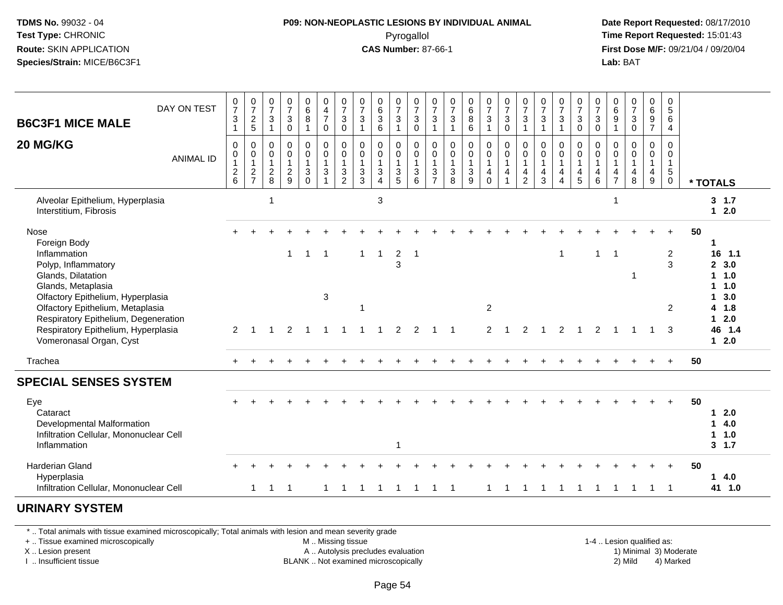## **P09: NON-NEOPLASTIC LESIONS BY INDIVIDUAL ANIMAL**Pyrogallol **Time Report Requested:** 15:01:43

 **Date Report Requested:** 08/17/2010 **First Dose M/F:** 09/21/04 / 09/20/04<br>**Lab:** BAT **Lab:** BAT

| DAY ON TEST<br><b>B6C3F1 MICE MALE</b><br>20 MG/KG<br><b>ANIMAL ID</b>                                                                                                                                                                                                                     | $\frac{0}{7}$<br>$\sqrt{3}$<br>$\mathbf{1}$<br>0<br>$\pmb{0}$<br>$\mathbf{1}$<br>$\frac{2}{6}$ | $\frac{0}{7}$<br>$\frac{2}{5}$<br>0<br>$\pmb{0}$<br>$\mathbf{1}$<br>$\frac{2}{7}$ | $\frac{0}{7}$<br>$\frac{3}{1}$<br>$\mathbf 0$<br>$\boldsymbol{0}$<br>$\overline{1}$<br>$\frac{2}{8}$ | $\frac{0}{7}$<br>$\sqrt{3}$<br>$\mathbf 0$<br>$\mathbf 0$<br>$\mathbf 0$<br>$\mathbf{1}$<br>$\frac{2}{9}$ | $\begin{matrix}0\\6\\8\end{matrix}$<br>$\mathbf{1}$<br>0<br>$\mathbf 0$<br>$\mathbf{1}$<br>$\ensuremath{\mathsf{3}}$<br>$\mathbf 0$ | 0<br>$\frac{4}{7}$<br>$\mathsf 0$<br>$\mathbf 0$<br>$\mathsf 0$<br>$\mathbf{1}$<br>$\ensuremath{\mathsf{3}}$ | $\begin{smallmatrix}0\\7\end{smallmatrix}$<br>3<br>$\mathsf{O}\xspace$<br>0<br>$\mathbf 0$<br>$\mathbf{1}$<br>$\frac{3}{2}$ | $\begin{array}{c} 0 \\ 7 \end{array}$<br>3<br>$\mathbf{1}$<br>0<br>$\pmb{0}$<br>$\mathbf{1}$<br>$\frac{3}{3}$ | $\begin{matrix} 0 \\ 6 \\ 3 \end{matrix}$<br>$6\phantom{1}$<br>$\mathbf 0$<br>$\mathsf{O}\xspace$<br>$\mathbf{1}$<br>$\sqrt{3}$<br>$\overline{4}$ | $\frac{0}{7}$<br>$\frac{3}{1}$<br>0<br>$\mathsf{O}\xspace$<br>$\mathbf{1}$<br>$\frac{3}{5}$ | $\frac{0}{7}$<br>$\sqrt{3}$<br>$\overline{0}$<br>0<br>$\pmb{0}$<br>$\overline{1}$<br>$\sqrt{3}$<br>6 | $\frac{0}{7}$<br>$\ensuremath{\mathsf{3}}$<br>$\overline{1}$<br>$\mathbf 0$<br>$\boldsymbol{0}$<br>$\mathbf{1}$<br>$\mathbf{3}$<br>$\overline{7}$ | $\frac{0}{7}$<br>3<br>$\mathbf{1}$<br>$\mathbf 0$<br>$\mathbf 0$<br>$\mathbf{1}$<br>$\ensuremath{\mathsf{3}}$<br>8 | $\begin{matrix}0\6\8\end{matrix}$<br>$\overline{6}$<br>0<br>$\mathsf{O}\xspace$<br>$\mathbf{1}$<br>$\mathbf{3}$<br>9 | $\begin{smallmatrix}0\\7\end{smallmatrix}$<br>$\mathbf{3}$<br>$\mathbf{1}$<br>$\mathbf 0$<br>$\mathsf{O}\xspace$<br>$\mathbf{1}$<br>$\overline{4}$<br>$\Omega$ | $\frac{0}{7}$<br>$\ensuremath{\mathsf{3}}$<br>$\overline{0}$<br>0<br>$\pmb{0}$<br>$\mathbf{1}$<br>$\overline{4}$ | $\frac{0}{7}$<br>$\frac{3}{1}$<br>0<br>$\mathbf 0$<br>$\overline{1}$<br>$\overline{4}$<br>$\overline{2}$ | $\frac{0}{7}$<br>$\ensuremath{\mathsf{3}}$<br>$\overline{1}$<br>0<br>$\mathbf 0$<br>$\overline{1}$<br>$\overline{4}$<br>3 | $\frac{0}{7}$<br>$\sqrt{3}$<br>$\mathbf{1}$<br>0<br>$\pmb{0}$<br>$\mathbf{1}$<br>4<br>$\overline{4}$ | $\frac{0}{7}$<br>$\ensuremath{\mathsf{3}}$<br>$\mathsf 0$<br>0<br>$\mathsf 0$<br>$\mathbf{1}$<br>4<br>5 | $\frac{0}{7}$<br>$\mathbf{3}$<br>$\pmb{0}$<br>$\mathbf 0$<br>0<br>$\mathbf{1}$<br>$\overline{4}$<br>6 | $\begin{smallmatrix}0\0\0\end{smallmatrix}$<br>$\boldsymbol{9}$<br>$\mathbf{1}$<br>$\mathbf 0$<br>0<br>$\mathbf{1}$<br>$\overline{4}$<br>$\overline{7}$ | $\frac{0}{7}$<br>$_{\rm 0}^3$<br>0<br>$\pmb{0}$<br>$\mathbf{1}$<br>$\overline{\mathbf{4}}$<br>8 | $0\over 6$<br>$\frac{9}{7}$<br>$\overline{0}$<br>$\mathbf 0$<br>$\mathbf{1}$<br>4<br>9 | 0<br>$\sqrt{5}$<br>6<br>$\overline{4}$<br>$\mathbf 0$<br>$\mathbf 0$<br>$\overline{1}$<br>$\,$ 5 $\,$<br>$\mathbf 0$ | * TOTALS                                                                                                                 |
|--------------------------------------------------------------------------------------------------------------------------------------------------------------------------------------------------------------------------------------------------------------------------------------------|------------------------------------------------------------------------------------------------|-----------------------------------------------------------------------------------|------------------------------------------------------------------------------------------------------|-----------------------------------------------------------------------------------------------------------|-------------------------------------------------------------------------------------------------------------------------------------|--------------------------------------------------------------------------------------------------------------|-----------------------------------------------------------------------------------------------------------------------------|---------------------------------------------------------------------------------------------------------------|---------------------------------------------------------------------------------------------------------------------------------------------------|---------------------------------------------------------------------------------------------|------------------------------------------------------------------------------------------------------|---------------------------------------------------------------------------------------------------------------------------------------------------|--------------------------------------------------------------------------------------------------------------------|----------------------------------------------------------------------------------------------------------------------|----------------------------------------------------------------------------------------------------------------------------------------------------------------|------------------------------------------------------------------------------------------------------------------|----------------------------------------------------------------------------------------------------------|---------------------------------------------------------------------------------------------------------------------------|------------------------------------------------------------------------------------------------------|---------------------------------------------------------------------------------------------------------|-------------------------------------------------------------------------------------------------------|---------------------------------------------------------------------------------------------------------------------------------------------------------|-------------------------------------------------------------------------------------------------|----------------------------------------------------------------------------------------|----------------------------------------------------------------------------------------------------------------------|--------------------------------------------------------------------------------------------------------------------------|
| Alveolar Epithelium, Hyperplasia<br>Interstitium, Fibrosis                                                                                                                                                                                                                                 |                                                                                                |                                                                                   | -1                                                                                                   |                                                                                                           |                                                                                                                                     |                                                                                                              |                                                                                                                             |                                                                                                               | $\mathbf{3}$                                                                                                                                      |                                                                                             |                                                                                                      |                                                                                                                                                   |                                                                                                                    |                                                                                                                      |                                                                                                                                                                |                                                                                                                  |                                                                                                          |                                                                                                                           |                                                                                                      |                                                                                                         |                                                                                                       | $\mathbf 1$                                                                                                                                             |                                                                                                 |                                                                                        |                                                                                                                      | 3, 1.7<br>$12.0$                                                                                                         |
| Nose<br>Foreign Body<br>Inflammation<br>Polyp, Inflammatory<br>Glands, Dilatation<br>Glands, Metaplasia<br>Olfactory Epithelium, Hyperplasia<br>Olfactory Epithelium, Metaplasia<br>Respiratory Epithelium, Degeneration<br>Respiratory Epithelium, Hyperplasia<br>Vomeronasal Organ, Cyst | $\overline{2}$                                                                                 |                                                                                   |                                                                                                      | $\mathbf{1}$<br>2                                                                                         | $\overline{1}$                                                                                                                      | $\overline{1}$<br>$\sqrt{3}$                                                                                 |                                                                                                                             | $\mathbf{1}$<br>1                                                                                             | $\overline{1}$                                                                                                                                    | $\overline{2}$<br>3<br>2                                                                    | $\overline{\phantom{0}}$ 1                                                                           |                                                                                                                                                   |                                                                                                                    |                                                                                                                      | $\overline{2}$<br>$\overline{2}$                                                                                                                               |                                                                                                                  | 2                                                                                                        |                                                                                                                           | $\mathbf{1}$<br>2                                                                                    |                                                                                                         | $\mathbf{1}$<br>2                                                                                     | $\mathbf{1}$                                                                                                                                            |                                                                                                 |                                                                                        | $\overline{2}$<br>3<br>2<br>3                                                                                        | 50<br>1<br>16 1.1<br>2, 3.0<br>1 1.0<br>1.0<br>1.<br>3.0<br>1.<br>4 1.8<br>2.0<br>$\mathbf 1$<br>46 1.4<br>$1 \quad 2.0$ |
| Trachea<br><b>SPECIAL SENSES SYSTEM</b>                                                                                                                                                                                                                                                    |                                                                                                |                                                                                   |                                                                                                      |                                                                                                           |                                                                                                                                     |                                                                                                              |                                                                                                                             |                                                                                                               |                                                                                                                                                   |                                                                                             |                                                                                                      |                                                                                                                                                   |                                                                                                                    |                                                                                                                      |                                                                                                                                                                |                                                                                                                  |                                                                                                          |                                                                                                                           |                                                                                                      |                                                                                                         |                                                                                                       |                                                                                                                                                         |                                                                                                 |                                                                                        | $+$                                                                                                                  | 50                                                                                                                       |
| Eye<br>Cataract<br>Developmental Malformation<br>Infiltration Cellular, Mononuclear Cell<br>Inflammation                                                                                                                                                                                   |                                                                                                |                                                                                   |                                                                                                      |                                                                                                           |                                                                                                                                     |                                                                                                              |                                                                                                                             |                                                                                                               |                                                                                                                                                   | 1                                                                                           |                                                                                                      |                                                                                                                                                   |                                                                                                                    |                                                                                                                      |                                                                                                                                                                |                                                                                                                  |                                                                                                          |                                                                                                                           |                                                                                                      |                                                                                                         |                                                                                                       |                                                                                                                                                         |                                                                                                 |                                                                                        |                                                                                                                      | 50<br>2.0<br>4.0<br>1<br>1.0<br>$\overline{1}$<br>3, 1.7                                                                 |
| <b>Harderian Gland</b><br>Hyperplasia<br>Infiltration Cellular, Mononuclear Cell                                                                                                                                                                                                           |                                                                                                |                                                                                   | -1                                                                                                   | - 1                                                                                                       |                                                                                                                                     |                                                                                                              |                                                                                                                             |                                                                                                               |                                                                                                                                                   |                                                                                             |                                                                                                      |                                                                                                                                                   |                                                                                                                    |                                                                                                                      |                                                                                                                                                                |                                                                                                                  |                                                                                                          |                                                                                                                           |                                                                                                      |                                                                                                         |                                                                                                       |                                                                                                                                                         |                                                                                                 | -1                                                                                     | - 1                                                                                                                  | 50<br>4.0<br>41 1.0                                                                                                      |

#### **URINARY SYSTEM**

\* .. Total animals with tissue examined microscopically; Total animals with lesion and mean severity grade

+ .. Tissue examined microscopically

X .. Lesion present

I .. Insufficient tissue

 M .. Missing tissueA .. Autolysis precludes evaluation

1-4 .. Lesion qualified as:<br>1) Minimal 3) Moderate BLANK .. Not examined microscopically 2) Mild 4) Marked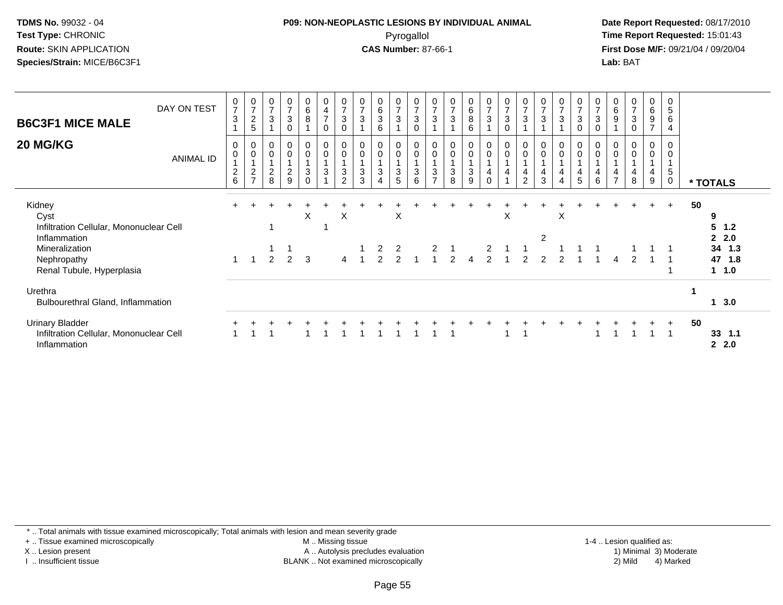### **P09: NON-NEOPLASTIC LESIONS BY INDIVIDUAL ANIMAL**Pyrogallol **Time Report Requested:** 15:01:43

 **Date Report Requested:** 08/17/2010 **First Dose M/F:** 09/21/04 / 09/20/04<br>**Lab:** BAT **Lab:** BAT

| <b>B6C3F1 MICE MALE</b><br>20 MG/KG                                                         | DAY ON TEST<br><b>ANIMAL ID</b> | $\boldsymbol{0}$<br>$\overline{7}$<br>3<br>0<br>$\mathbf 0$ | $\frac{0}{7}$<br>$\overline{c}$<br>5<br>0<br>0 | $\frac{0}{7}$<br>$\mathsf 3$<br>0<br>$\pmb{0}$ | $\frac{0}{7}$<br>$\sqrt{3}$<br>$\mathbf 0$<br>$\pmb{0}$<br>$\pmb{0}$ | $_6^0$<br>$\overline{8}$<br>0<br>0 | $\begin{smallmatrix}0\\4\end{smallmatrix}$<br>$\overline{7}$<br>$\mathbf 0$<br>$\pmb{0}$<br>$\pmb{0}$ | $\frac{0}{7}$<br>3<br>0<br>$\pmb{0}$ | $\frac{0}{7}$<br>3<br>0        | $\begin{matrix} 0 \\ 6 \\ 3 \end{matrix}$<br>6<br>$\pmb{0}$<br>$\pmb{0}$ | $\begin{smallmatrix}0\\7\end{smallmatrix}$<br>$\mathbf{3}$<br>$\mathbf 0$<br>$\mathbf 0$ | $\frac{0}{7}$<br>$\mathbf{3}$<br>$\mathbf 0$<br>$_{\rm 0}^{\rm 0}$<br>$\overline{1}$ | 0<br>$\overline{7}$<br>3<br>$\boldsymbol{0}$ | $\frac{0}{7}$<br>3<br>$\mathbf 0$ | $\begin{matrix} 0 \\ 6 \\ 8 \end{matrix}$<br>6<br>0<br>$\pmb{0}$ | $\begin{smallmatrix}0\\7\end{smallmatrix}$<br>$\mathbf{3}$<br>$\mathbf 0$<br>$\mathsf 0$ | $\frac{0}{7}$<br>$\mathbf{3}$<br>$\mathbf 0$<br>$\pmb{0}$<br>$\pmb{0}$<br>$\mathbf{1}$ | $\frac{0}{7}$<br>3<br>0<br>$\mathbf 0$ | $\frac{0}{7}$<br>3 | $\frac{0}{7}$<br>$\mathfrak{Z}$<br>0<br>$\pmb{0}$ | $\frac{0}{7}$<br>$\mathbf{3}$<br>0<br>0<br>0 | $\frac{0}{7}$<br>$\mathbf{3}$<br>$\mathbf 0$<br>$\,0\,$<br>$\boldsymbol{0}$ | $\mathbf 0$<br>$\,6\,$<br>9<br>0<br>$\mathbf 0$ | $\frac{0}{7}$<br>3<br>$\mathbf 0$<br>$\pmb{0}$ | $_6^0$<br>$\boldsymbol{9}$<br>$\overline{ }$<br>$\overline{0}$<br>$\pmb{0}$ | 0<br>5<br>6<br>$\overline{4}$<br>0<br>0 |    |                                                   |
|---------------------------------------------------------------------------------------------|---------------------------------|-------------------------------------------------------------|------------------------------------------------|------------------------------------------------|----------------------------------------------------------------------|------------------------------------|-------------------------------------------------------------------------------------------------------|--------------------------------------|--------------------------------|--------------------------------------------------------------------------|------------------------------------------------------------------------------------------|--------------------------------------------------------------------------------------|----------------------------------------------|-----------------------------------|------------------------------------------------------------------|------------------------------------------------------------------------------------------|----------------------------------------------------------------------------------------|----------------------------------------|--------------------|---------------------------------------------------|----------------------------------------------|-----------------------------------------------------------------------------|-------------------------------------------------|------------------------------------------------|-----------------------------------------------------------------------------|-----------------------------------------|----|---------------------------------------------------|
|                                                                                             |                                 | $\overline{c}$<br>6                                         | $\overline{c}$<br>$\overline{ }$               | $\boldsymbol{2}$<br>8                          | $\frac{2}{9}$                                                        | 3<br>$\Omega$                      | $\sqrt{3}$                                                                                            | $\mathbf{3}$<br>$\overline{2}$       | $\ensuremath{\mathsf{3}}$<br>3 | $\sqrt{3}$<br>4                                                          | $\mathbf{3}$<br>$5\phantom{.0}$                                                          | $\sqrt{3}$<br>6                                                                      | 3<br>$\overline{ }$                          | $\mathbf{3}$<br>8                 | $\sqrt{3}$<br>9                                                  | 4<br>$\mathbf 0$                                                                         | 4<br>$\overline{A}$                                                                    | 4<br>2                                 | 4<br>3             | 4<br>4                                            | 4<br>5                                       | $\overline{4}$<br>$\,6\,$                                                   | 4<br>$\overline{7}$                             | 4<br>8                                         | 4<br>9                                                                      | 5<br>0                                  |    | * TOTALS                                          |
| Kidney<br>Cyst<br>Infiltration Cellular, Mononuclear Cell<br>Inflammation<br>Mineralization |                                 |                                                             |                                                |                                                |                                                                      | X                                  |                                                                                                       | $\boldsymbol{\mathsf{X}}$            |                                | 2                                                                        | X<br>$\overline{2}$                                                                      |                                                                                      |                                              |                                   |                                                                  | 2                                                                                        | X                                                                                      |                                        | $\overline{2}$     | X                                                 |                                              |                                                                             |                                                 |                                                |                                                                             | $+$                                     | 50 | 9<br>5<br>1.2<br>$\mathbf{2}$<br>2.0<br>34<br>1.3 |
| Nephropathy<br>Renal Tubule, Hyperplasia                                                    |                                 | 1                                                           |                                                | $\mathfrak{p}$                                 | 2                                                                    | 3                                  |                                                                                                       | 4                                    | $\overline{ }$                 | $\overline{2}$                                                           | 2                                                                                        |                                                                                      |                                              | $\mathcal{P}$                     | $\overline{4}$                                                   | $\overline{2}$                                                                           |                                                                                        | $\mathcal{P}$                          | $\mathcal{P}$      | $\mathcal{P}$                                     |                                              |                                                                             | $\boldsymbol{\Lambda}$                          | $\mathcal{P}$                                  |                                                                             |                                         |    | 47<br>1.8<br>$1 \t1.0$                            |
| Urethra<br>Bulbourethral Gland, Inflammation                                                |                                 |                                                             |                                                |                                                |                                                                      |                                    |                                                                                                       |                                      |                                |                                                                          |                                                                                          |                                                                                      |                                              |                                   |                                                                  |                                                                                          |                                                                                        |                                        |                    |                                                   |                                              |                                                                             |                                                 |                                                |                                                                             |                                         |    | 3.0<br>$\mathbf{1}$                               |
| <b>Urinary Bladder</b><br>Infiltration Cellular, Mononuclear Cell<br>Inflammation           |                                 |                                                             |                                                |                                                |                                                                      |                                    |                                                                                                       |                                      |                                |                                                                          |                                                                                          |                                                                                      |                                              |                                   |                                                                  |                                                                                          |                                                                                        |                                        |                    |                                                   |                                              |                                                                             |                                                 |                                                |                                                                             | $+$                                     | 50 | 33<br>1.1<br>2.2.0                                |

\* .. Total animals with tissue examined microscopically; Total animals with lesion and mean severity grade

+ .. Tissue examined microscopically

X .. Lesion present

I .. Insufficient tissue

 M .. Missing tissueA .. Autolysis precludes evaluation

BLANK .. Not examined microscopically 2) Mild 4) Marked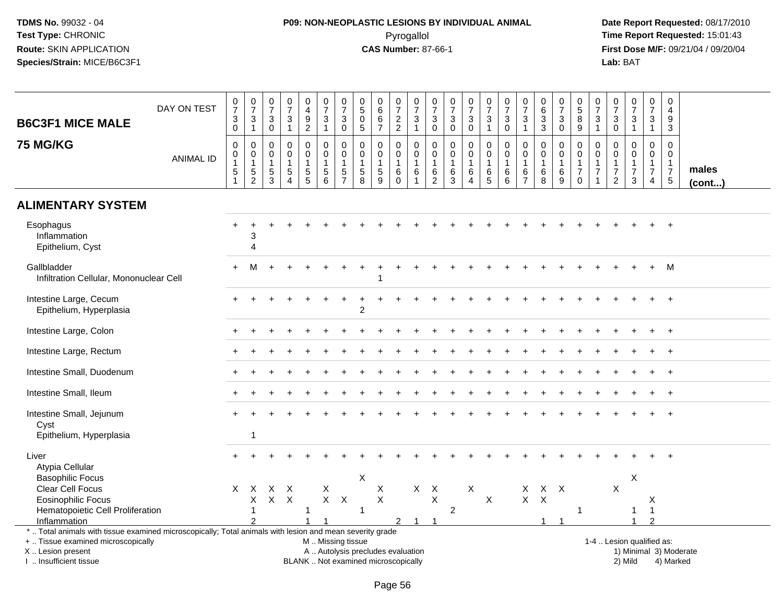# **P09: NON-NEOPLASTIC LESIONS BY INDIVIDUAL ANIMAL**Pyrogallol **Time Report Requested:** 15:01:43

| <b>B6C3F1 MICE MALE</b>                                                                                  | DAY ON TEST      | $\frac{0}{7}$<br>3<br>$\mathbf 0$                   | $\frac{0}{7}$<br>$\ensuremath{\mathsf{3}}$<br>$\mathbf{1}$  | $\frac{0}{7}$<br>$\mathbf{3}$<br>$\mathbf 0$                              | $\begin{smallmatrix} 0\\7 \end{smallmatrix}$<br>$\sqrt{3}$<br>$\overline{1}$ | $\pmb{0}$<br>$\overline{4}$<br>$\overline{9}$<br>$\overline{2}$                             | 0<br>$\overline{7}$<br>$\ensuremath{\mathsf{3}}$<br>$\mathbf{1}$         | $\frac{0}{7}$<br>3<br>$\mathbf 0$                               | 0<br>$\,$ 5 $\,$<br>$\mathbf 0$<br>$\overline{5}$ | $\pmb{0}$<br>$6\phantom{a}$<br>$\,6\,$<br>$\overline{7}$    | $\begin{array}{c} 0 \\ 7 \end{array}$<br>$\frac{2}{2}$               | $\begin{array}{c} 0 \\ 7 \end{array}$<br>$\ensuremath{\mathsf{3}}$<br>$\overline{1}$ | $\pmb{0}$<br>$\overline{7}$<br>$\sqrt{3}$<br>$\boldsymbol{0}$     | $\frac{0}{7}$<br>$\sqrt{3}$<br>$\mathbf 0$           | $\frac{0}{7}$<br>3<br>$\mathbf 0$                                 | $\frac{0}{7}$<br>$\sqrt{3}$<br>$\mathbf{1}$          | $\frac{0}{7}$<br>$\ensuremath{\mathsf{3}}$<br>$\pmb{0}$            | $\frac{0}{7}$<br>$\ensuremath{\mathsf{3}}$<br>$\mathbf{1}$  | $\pmb{0}$<br>$6\phantom{a}$<br>$\sqrt{3}$<br>$\mathbf{3}$  | $\frac{0}{7}$<br>3<br>$\mathbf 0$              | $^{\rm 0}_{\rm 5}$<br>$\bf 8$<br>9                                                    | 0<br>$\overline{7}$<br>$\mathbf{3}$<br>$\mathbf{1}$ | $\begin{array}{c} 0 \\ 7 \end{array}$<br>$\ensuremath{\mathsf{3}}$<br>$\pmb{0}$ | $\frac{0}{7}$<br>$\ensuremath{\mathsf{3}}$<br>$\mathbf{1}$                             | $\begin{smallmatrix}0\\7\end{smallmatrix}$<br>$\mathbf{3}$<br>$\mathbf{1}$       | $\pmb{0}$<br>$\overline{4}$<br>9<br>$\mathbf{3}$                         |                       |
|----------------------------------------------------------------------------------------------------------|------------------|-----------------------------------------------------|-------------------------------------------------------------|---------------------------------------------------------------------------|------------------------------------------------------------------------------|---------------------------------------------------------------------------------------------|--------------------------------------------------------------------------|-----------------------------------------------------------------|---------------------------------------------------|-------------------------------------------------------------|----------------------------------------------------------------------|--------------------------------------------------------------------------------------|-------------------------------------------------------------------|------------------------------------------------------|-------------------------------------------------------------------|------------------------------------------------------|--------------------------------------------------------------------|-------------------------------------------------------------|------------------------------------------------------------|------------------------------------------------|---------------------------------------------------------------------------------------|-----------------------------------------------------|---------------------------------------------------------------------------------|----------------------------------------------------------------------------------------|----------------------------------------------------------------------------------|--------------------------------------------------------------------------|-----------------------|
| <b>75 MG/KG</b>                                                                                          | <b>ANIMAL ID</b> | $\mathbf 0$<br>0<br>$\overline{1}$<br>$\frac{5}{1}$ | $\mathbf 0$<br>$\mathbf 0$<br>$\mathbf{1}$<br>$\frac{5}{2}$ | $\mathbf{0}$<br>$\mathbf 0$<br>$\mathbf{1}$<br>$\sqrt{5}$<br>$\mathbf{3}$ | $\mathbf 0$<br>$\mathbf 0$<br>$\mathbf{1}$<br>$\sqrt{5}$<br>$\overline{A}$   | $\mathbf 0$<br>$\mathsf{O}\xspace$<br>$\mathbf{1}$<br>$\begin{array}{c} 5 \\ 5 \end{array}$ | $\Omega$<br>$\mathbf 0$<br>$\mathbf{1}$<br>$\,$ 5 $\,$<br>$6\phantom{a}$ | $\mathbf 0$<br>$\pmb{0}$<br>$\mathbf{1}$<br>5<br>$\overline{7}$ | 0<br>0<br>$\mathbf{1}$<br>5<br>$\overline{8}$     | $\mathbf 0$<br>$\pmb{0}$<br>$\mathbf{1}$<br>$\sqrt{5}$<br>9 | $\mathbf 0$<br>$\mathbf 0$<br>$\mathbf{1}$<br>$\,6\,$<br>$\mathbf 0$ | $\Omega$<br>$\mathbf 0$<br>$\mathbf{1}$<br>$\,6$<br>$\overline{1}$                   | $\mathbf 0$<br>$\mathbf 0$<br>$\mathbf{1}$<br>6<br>$\overline{c}$ | $\mathbf 0$<br>$\mathbf 0$<br>$\mathbf{1}$<br>6<br>3 | $\mathbf 0$<br>$\mathbf 0$<br>$\mathbf{1}$<br>6<br>$\overline{4}$ | $\mathbf 0$<br>$\mathbf 0$<br>$\mathbf{1}$<br>$^6$ 5 | $\mathbf 0$<br>$\mathsf{O}\xspace$<br>$\mathbf{1}$<br>6<br>$\,6\,$ | $\mathbf 0$<br>$\mathbf 0$<br>$\mathbf{1}$<br>$\frac{6}{7}$ | $\mathbf 0$<br>$\mathbf 0$<br>$\mathbf{1}$<br>$\,6\,$<br>8 | 0<br>$\pmb{0}$<br>$\mathbf{1}$<br>$\,6\,$<br>9 | $\mathbf 0$<br>$\mathsf{O}\xspace$<br>$\mathbf{1}$<br>$\boldsymbol{7}$<br>$\mathbf 0$ | 0<br>0<br>$\mathbf{1}$<br>$\overline{7}$<br>1       | 0<br>$\mathbf 0$<br>$\mathbf{1}$<br>$\overline{7}$<br>$\overline{2}$            | $\mathbf 0$<br>$\mathsf{O}\xspace$<br>$\mathbf{1}$<br>$\overline{7}$<br>$\mathfrak{Z}$ | $\mathbf 0$<br>$\mathbf 0$<br>$\mathbf{1}$<br>$\boldsymbol{7}$<br>$\overline{4}$ | $\Omega$<br>$\mathbf 0$<br>$\mathbf{1}$<br>$\overline{7}$<br>$\,$ 5 $\,$ | males<br>$($ cont $)$ |
| <b>ALIMENTARY SYSTEM</b>                                                                                 |                  |                                                     |                                                             |                                                                           |                                                                              |                                                                                             |                                                                          |                                                                 |                                                   |                                                             |                                                                      |                                                                                      |                                                                   |                                                      |                                                                   |                                                      |                                                                    |                                                             |                                                            |                                                |                                                                                       |                                                     |                                                                                 |                                                                                        |                                                                                  |                                                                          |                       |
| Esophagus<br>Inflammation<br>Epithelium, Cyst                                                            |                  |                                                     | 3<br>$\overline{4}$                                         |                                                                           |                                                                              |                                                                                             |                                                                          |                                                                 |                                                   |                                                             |                                                                      |                                                                                      |                                                                   |                                                      |                                                                   |                                                      |                                                                    |                                                             |                                                            |                                                |                                                                                       |                                                     |                                                                                 |                                                                                        |                                                                                  |                                                                          |                       |
| Gallbladder<br>Infiltration Cellular, Mononuclear Cell                                                   |                  | $+$                                                 | м                                                           |                                                                           |                                                                              |                                                                                             |                                                                          |                                                                 |                                                   |                                                             |                                                                      |                                                                                      |                                                                   |                                                      |                                                                   |                                                      |                                                                    |                                                             |                                                            |                                                |                                                                                       |                                                     |                                                                                 |                                                                                        | $+$                                                                              | M                                                                        |                       |
| Intestine Large, Cecum<br>Epithelium, Hyperplasia                                                        |                  |                                                     |                                                             |                                                                           |                                                                              |                                                                                             |                                                                          |                                                                 | 2                                                 |                                                             |                                                                      |                                                                                      |                                                                   |                                                      |                                                                   |                                                      |                                                                    |                                                             |                                                            |                                                |                                                                                       |                                                     |                                                                                 |                                                                                        |                                                                                  | $+$                                                                      |                       |
| Intestine Large, Colon                                                                                   |                  |                                                     |                                                             |                                                                           |                                                                              |                                                                                             |                                                                          |                                                                 |                                                   |                                                             |                                                                      |                                                                                      |                                                                   |                                                      |                                                                   |                                                      |                                                                    |                                                             |                                                            |                                                |                                                                                       |                                                     |                                                                                 |                                                                                        |                                                                                  | $\overline{+}$                                                           |                       |
| Intestine Large, Rectum                                                                                  |                  |                                                     |                                                             |                                                                           |                                                                              |                                                                                             |                                                                          |                                                                 |                                                   |                                                             |                                                                      |                                                                                      |                                                                   |                                                      |                                                                   |                                                      |                                                                    |                                                             |                                                            |                                                |                                                                                       |                                                     |                                                                                 |                                                                                        |                                                                                  |                                                                          |                       |
| Intestine Small, Duodenum                                                                                |                  |                                                     |                                                             |                                                                           |                                                                              |                                                                                             |                                                                          |                                                                 |                                                   |                                                             |                                                                      |                                                                                      |                                                                   |                                                      |                                                                   |                                                      |                                                                    |                                                             |                                                            |                                                |                                                                                       |                                                     |                                                                                 |                                                                                        |                                                                                  |                                                                          |                       |
| Intestine Small, Ileum                                                                                   |                  |                                                     |                                                             |                                                                           |                                                                              |                                                                                             |                                                                          |                                                                 |                                                   |                                                             |                                                                      |                                                                                      |                                                                   |                                                      |                                                                   |                                                      |                                                                    |                                                             |                                                            |                                                |                                                                                       |                                                     |                                                                                 |                                                                                        |                                                                                  |                                                                          |                       |
| Intestine Small, Jejunum<br>Cyst<br>Epithelium, Hyperplasia                                              |                  |                                                     | $\overline{1}$                                              |                                                                           |                                                                              |                                                                                             |                                                                          |                                                                 |                                                   |                                                             |                                                                      |                                                                                      |                                                                   |                                                      |                                                                   |                                                      |                                                                    |                                                             |                                                            |                                                |                                                                                       |                                                     |                                                                                 |                                                                                        |                                                                                  | $\overline{+}$                                                           |                       |
| Liver                                                                                                    |                  |                                                     |                                                             |                                                                           |                                                                              |                                                                                             |                                                                          |                                                                 |                                                   |                                                             |                                                                      |                                                                                      |                                                                   |                                                      |                                                                   |                                                      |                                                                    |                                                             |                                                            |                                                |                                                                                       |                                                     |                                                                                 |                                                                                        |                                                                                  |                                                                          |                       |
| Atypia Cellular<br><b>Basophilic Focus</b>                                                               |                  |                                                     |                                                             |                                                                           |                                                                              |                                                                                             |                                                                          |                                                                 | X                                                 |                                                             |                                                                      |                                                                                      |                                                                   |                                                      |                                                                   |                                                      |                                                                    |                                                             |                                                            |                                                |                                                                                       |                                                     |                                                                                 | X                                                                                      |                                                                                  |                                                                          |                       |
| <b>Clear Cell Focus</b>                                                                                  |                  | X.                                                  | $\mathsf{X}$                                                | X                                                                         | $\times$                                                                     |                                                                                             | X                                                                        |                                                                 |                                                   | X                                                           |                                                                      | $\mathsf{X}$                                                                         | $\mathsf{X}$                                                      |                                                      | X                                                                 |                                                      |                                                                    | X                                                           | $X$ $X$                                                    |                                                |                                                                                       |                                                     | $\mathsf X$                                                                     |                                                                                        |                                                                                  |                                                                          |                       |
| <b>Eosinophilic Focus</b>                                                                                |                  |                                                     | X                                                           | $\mathsf{X}$                                                              | $\boldsymbol{\mathsf{X}}$                                                    |                                                                                             | $X$ $X$                                                                  |                                                                 |                                                   | $\mathsf{X}$                                                |                                                                      |                                                                                      | $\pmb{\times}$                                                    |                                                      |                                                                   | $\boldsymbol{\mathsf{X}}$                            |                                                                    | $\mathsf{X}^-$                                              | $\boldsymbol{\mathsf{X}}$                                  |                                                |                                                                                       |                                                     |                                                                                 |                                                                                        | Χ                                                                                |                                                                          |                       |
| Hematopoietic Cell Proliferation                                                                         |                  |                                                     | $\overline{1}$                                              |                                                                           |                                                                              | 1                                                                                           |                                                                          |                                                                 | $\mathbf{1}$                                      |                                                             |                                                                      |                                                                                      |                                                                   | $\overline{2}$                                       |                                                                   |                                                      |                                                                    |                                                             |                                                            |                                                | $\mathbf{1}$                                                                          |                                                     |                                                                                 | -1                                                                                     | $\overline{1}$                                                                   |                                                                          |                       |
| Inflammation                                                                                             |                  |                                                     |                                                             |                                                                           |                                                                              |                                                                                             |                                                                          |                                                                 |                                                   |                                                             | $\overline{2}$                                                       | $\overline{1}$                                                                       | -1                                                                |                                                      |                                                                   |                                                      |                                                                    |                                                             | 1                                                          |                                                |                                                                                       |                                                     |                                                                                 |                                                                                        | <sup>o</sup>                                                                     |                                                                          |                       |
| *  Total animals with tissue examined microscopically; Total animals with lesion and mean severity grade |                  |                                                     |                                                             |                                                                           |                                                                              |                                                                                             |                                                                          |                                                                 |                                                   |                                                             |                                                                      |                                                                                      |                                                                   |                                                      |                                                                   |                                                      |                                                                    |                                                             |                                                            |                                                |                                                                                       |                                                     |                                                                                 |                                                                                        |                                                                                  |                                                                          |                       |
| +  Tissue examined microscopically                                                                       |                  |                                                     |                                                             |                                                                           |                                                                              |                                                                                             |                                                                          | M  Missing tissue                                               |                                                   |                                                             |                                                                      |                                                                                      |                                                                   |                                                      |                                                                   |                                                      |                                                                    |                                                             |                                                            |                                                |                                                                                       |                                                     |                                                                                 | 1-4  Lesion qualified as:                                                              |                                                                                  |                                                                          |                       |
| X  Lesion present                                                                                        |                  |                                                     |                                                             |                                                                           |                                                                              |                                                                                             |                                                                          |                                                                 |                                                   | A  Autolysis precludes evaluation                           |                                                                      |                                                                                      |                                                                   |                                                      |                                                                   |                                                      |                                                                    |                                                             |                                                            |                                                |                                                                                       |                                                     |                                                                                 |                                                                                        |                                                                                  | 1) Minimal 3) Moderate                                                   |                       |
| I  Insufficient tissue                                                                                   |                  |                                                     |                                                             |                                                                           |                                                                              |                                                                                             |                                                                          |                                                                 |                                                   | BLANK  Not examined microscopically                         |                                                                      |                                                                                      |                                                                   |                                                      |                                                                   |                                                      |                                                                    |                                                             |                                                            |                                                |                                                                                       |                                                     |                                                                                 | 2) Mild                                                                                |                                                                                  | 4) Marked                                                                |                       |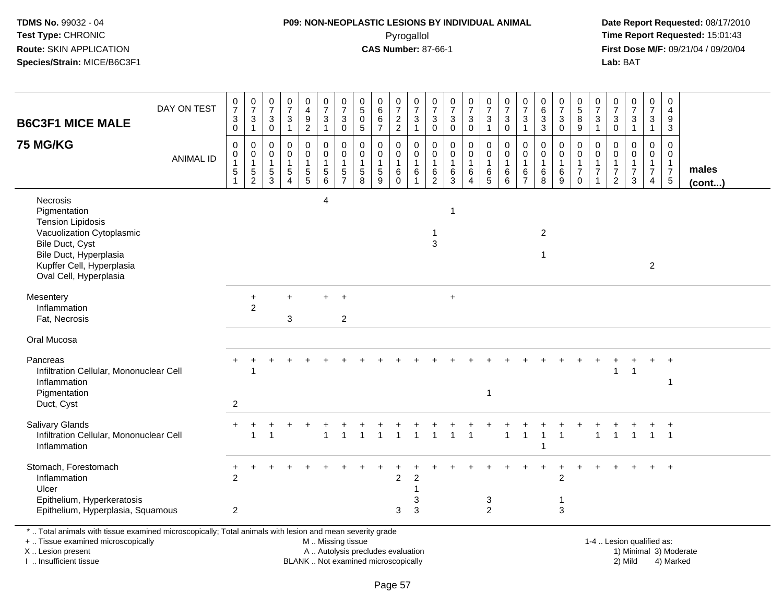#### **P09: NON-NEOPLASTIC LESIONS BY INDIVIDUAL ANIMAL**Pyrogallol **Time Report Requested:** 15:01:43

 **Date Report Requested:** 08/17/2010 **First Dose M/F:** 09/21/04 / 09/20/04<br>Lab: BAT **Lab:** BAT

| <b>B6C3F1 MICE MALE</b>                                                                                                                                                               | DAY ON TEST      | $\pmb{0}$<br>$\overline{7}$<br>$\mathsf 3$<br>$\mathbf 0$ | $\frac{0}{7}$<br>$\sqrt{3}$<br>$\mathbf{1}$                   | $\,0\,$<br>$\overline{7}$<br>3<br>$\mathbf 0$        | $\pmb{0}$<br>$\overline{7}$<br>3<br>$\mathbf{1}$                        | $\begin{smallmatrix}0\0\4\end{smallmatrix}$<br>$\frac{9}{2}$ | $\begin{array}{c} 0 \\ 7 \end{array}$<br>$\ensuremath{\mathsf{3}}$<br>$\mathbf{1}$ | $\begin{array}{c} 0 \\ 7 \end{array}$<br>$\mathbf{3}$<br>$\pmb{0}$        | $\begin{array}{c} 0 \\ 5 \end{array}$<br>$\pmb{0}$<br>$\sqrt{5}$                    | $\mathbf 0$<br>$\,6\,$<br>$\,6$<br>$\overline{7}$   | $\begin{array}{c} 0 \\ 7 \end{array}$<br>$\frac{2}{2}$ | 0<br>$\overline{7}$<br>3<br>$\mathbf{1}$ | 0<br>$\overline{7}$<br>3<br>$\mathsf 0$                 | 0<br>$\overline{7}$<br>$\ensuremath{\mathsf{3}}$<br>$\mathsf{O}\xspace$ | $\begin{array}{c} 0 \\ 7 \end{array}$<br>$\sqrt{3}$<br>$\pmb{0}$ | $\begin{smallmatrix}0\\7\end{smallmatrix}$<br>$\frac{3}{1}$ | $\begin{array}{c} 0 \\ 7 \end{array}$<br>$\sqrt{3}$<br>$\mathsf{O}\xspace$ | $\begin{array}{c} 0 \\ 7 \end{array}$<br>3<br>$\mathbf{1}$ | $\begin{array}{c} 0 \\ 6 \end{array}$<br>$\ensuremath{\mathsf{3}}$<br>$\mathbf{3}$ | $\frac{0}{7}$<br>3<br>$\mathbf 0$  | $\begin{array}{c} 0 \\ 5 \end{array}$<br>$\overline{8}$<br>9       | 0<br>$\overline{7}$<br>$\ensuremath{\mathsf{3}}$<br>$\mathbf{1}$ | 0<br>$\overline{7}$<br>$_0^3$                               | $\begin{array}{c} 0 \\ 7 \end{array}$<br>$\sqrt{3}$<br>$\mathbf{1}$ | $\begin{array}{c} 0 \\ 7 \end{array}$<br>3<br>$\mathbf{1}$ | $\pmb{0}$<br>4<br>$\boldsymbol{9}$<br>$\mathbf{3}$                        |                       |
|---------------------------------------------------------------------------------------------------------------------------------------------------------------------------------------|------------------|-----------------------------------------------------------|---------------------------------------------------------------|------------------------------------------------------|-------------------------------------------------------------------------|--------------------------------------------------------------|------------------------------------------------------------------------------------|---------------------------------------------------------------------------|-------------------------------------------------------------------------------------|-----------------------------------------------------|--------------------------------------------------------|------------------------------------------|---------------------------------------------------------|-------------------------------------------------------------------------|------------------------------------------------------------------|-------------------------------------------------------------|----------------------------------------------------------------------------|------------------------------------------------------------|------------------------------------------------------------------------------------|------------------------------------|--------------------------------------------------------------------|------------------------------------------------------------------|-------------------------------------------------------------|---------------------------------------------------------------------|------------------------------------------------------------|---------------------------------------------------------------------------|-----------------------|
| <b>75 MG/KG</b>                                                                                                                                                                       | <b>ANIMAL ID</b> | 0<br>$\mathbf 0$<br>$\sqrt{5}$                            | $\mathbf 0$<br>$\mathbf 0$<br>$\overline{1}$<br>$\frac{5}{2}$ | 0<br>$\mathbf 0$<br>$\mathbf{1}$<br>$\,$ 5 $\,$<br>3 | $\mathbf 0$<br>$\mathbf 0$<br>1<br>$\sqrt{5}$<br>$\boldsymbol{\Lambda}$ | 0<br>$\mathbf 0$<br>1<br>$\frac{5}{5}$                       | 0<br>0<br>$\mathbf{1}$<br>$\,$ 5 $\,$<br>6                                         | 0<br>$\mathsf{O}\xspace$<br>$\mathbf{1}$<br>$\,$ 5 $\,$<br>$\overline{7}$ | $\mathbf 0$<br>$\mathbf 0$<br>$\mathbf{1}$<br>$\begin{array}{c} 5 \\ 8 \end{array}$ | 0<br>$\mathbf 0$<br>$\mathbf{1}$<br>$\sqrt{5}$<br>9 | 0<br>0<br>$\mathbf{1}$<br>$\,6$<br>$\Omega$            | 0<br>0<br>1<br>$\,6\,$                   | 0<br>$\mathbf 0$<br>$\mathbf{1}$<br>6<br>$\overline{2}$ | 0<br>0<br>$\mathbf{1}$<br>$\,6\,$<br>3                                  | $\mathbf 0$<br>$\mathbf 0$<br>$\,6\,$<br>$\boldsymbol{\Lambda}$  | $\mathbf 0$<br>$\mathbf 0$<br>$\mathbf 1$<br>$^6$ 5         | 0<br>$\mathbf 0$<br>$\mathbf{1}$<br>$\,6\,$<br>6                           | 0<br>$\mathbf 0$<br>$\mathbf{1}$<br>6                      | 0<br>$\mathbf 0$<br>$\mathbf{1}$<br>$\,6\,$<br>8                                   | 0<br>$\mathbf 0$<br>1<br>6<br>9    | 0<br>$\mathsf{O}$<br>$\mathbf{1}$<br>$\overline{7}$<br>$\mathbf 0$ | 0<br>$\mathbf 0$<br>$\mathbf{1}$<br>$\overline{7}$               | 0<br>$\mathbf 0$<br>$\overline{1}$<br>$\boldsymbol{7}$<br>2 | $\mathbf 0$<br>$\mathbf 0$<br>$\mathbf{1}$<br>$\boldsymbol{7}$<br>3 | 0<br>0<br>$\mathbf 1$<br>$\overline{7}$<br>4               | 0<br>$\mathbf 0$<br>$\mathbf{1}$<br>$\begin{array}{c} 7 \\ 5 \end{array}$ | males<br>$($ cont $)$ |
| Necrosis<br>Pigmentation<br><b>Tension Lipidosis</b><br>Vacuolization Cytoplasmic<br>Bile Duct, Cyst<br>Bile Duct, Hyperplasia<br>Kupffer Cell, Hyperplasia<br>Oval Cell, Hyperplasia |                  |                                                           |                                                               |                                                      |                                                                         |                                                              | 4                                                                                  |                                                                           |                                                                                     |                                                     |                                                        |                                          | 1<br>3                                                  | $\mathbf{1}$                                                            |                                                                  |                                                             |                                                                            |                                                            | $\overline{2}$<br>$\mathbf 1$                                                      |                                    |                                                                    |                                                                  |                                                             |                                                                     | $\overline{c}$                                             |                                                                           |                       |
| Mesentery<br>Inflammation<br>Fat, Necrosis                                                                                                                                            |                  |                                                           | $\ddot{}$<br>$\overline{2}$                                   |                                                      | 3                                                                       |                                                              | $^+$                                                                               | $\ddot{}$<br>$\overline{2}$                                               |                                                                                     |                                                     |                                                        |                                          |                                                         | $+$                                                                     |                                                                  |                                                             |                                                                            |                                                            |                                                                                    |                                    |                                                                    |                                                                  |                                                             |                                                                     |                                                            |                                                                           |                       |
| Oral Mucosa                                                                                                                                                                           |                  |                                                           |                                                               |                                                      |                                                                         |                                                              |                                                                                    |                                                                           |                                                                                     |                                                     |                                                        |                                          |                                                         |                                                                         |                                                                  |                                                             |                                                                            |                                                            |                                                                                    |                                    |                                                                    |                                                                  |                                                             |                                                                     |                                                            |                                                                           |                       |
| Pancreas<br>Infiltration Cellular, Mononuclear Cell<br>Inflammation<br>Pigmentation<br>Duct, Cyst                                                                                     |                  | $\overline{2}$                                            | -1                                                            |                                                      |                                                                         |                                                              |                                                                                    |                                                                           |                                                                                     |                                                     |                                                        |                                          |                                                         |                                                                         |                                                                  | -1                                                          |                                                                            |                                                            |                                                                                    |                                    |                                                                    |                                                                  |                                                             | -1                                                                  |                                                            | 1                                                                         |                       |
| Salivary Glands<br>Infiltration Cellular, Mononuclear Cell<br>Inflammation                                                                                                            |                  |                                                           | 1                                                             | 1                                                    |                                                                         |                                                              |                                                                                    |                                                                           |                                                                                     |                                                     | 1                                                      |                                          |                                                         | 1                                                                       | $\overline{1}$                                                   |                                                             | $\mathbf{1}$                                                               | $\mathbf{1}$                                               | -1                                                                                 | $\overline{1}$                     |                                                                    | $\mathbf{1}$                                                     | $\overline{1}$                                              | $\overline{1}$                                                      | $\mathbf{1}$                                               | $\overline{1}$                                                            |                       |
| Stomach, Forestomach<br>Inflammation<br>Ulcer<br>Epithelium, Hyperkeratosis<br>Epithelium, Hyperplasia, Squamous                                                                      |                  | $\ddot{}$<br>2<br>$\overline{2}$                          |                                                               |                                                      |                                                                         |                                                              |                                                                                    |                                                                           |                                                                                     |                                                     | $\overline{2}$<br>3                                    | 2<br>3                                   |                                                         |                                                                         |                                                                  | 3<br>$\overline{2}$                                         |                                                                            |                                                            |                                                                                    | $\overline{2}$<br>-1<br>$\sqrt{3}$ |                                                                    |                                                                  |                                                             |                                                                     | $+$                                                        | $\ddot{+}$                                                                |                       |
| *  Total animals with tissue examined microscopically; Total animals with lesion and mean severity grade<br>+  Tissue examined microscopically<br>X  Lesion present                   |                  |                                                           |                                                               |                                                      |                                                                         |                                                              | M  Missing tissue<br>A  Autolysis precludes evaluation                             |                                                                           |                                                                                     |                                                     |                                                        |                                          |                                                         |                                                                         |                                                                  |                                                             |                                                                            |                                                            |                                                                                    |                                    |                                                                    |                                                                  |                                                             | 1-4  Lesion qualified as:                                           |                                                            | 1) Minimal 3) Moderate                                                    |                       |

I .. Insufficient tissue

BLANK .. Not examined microscopically 2) Mild 4) Marked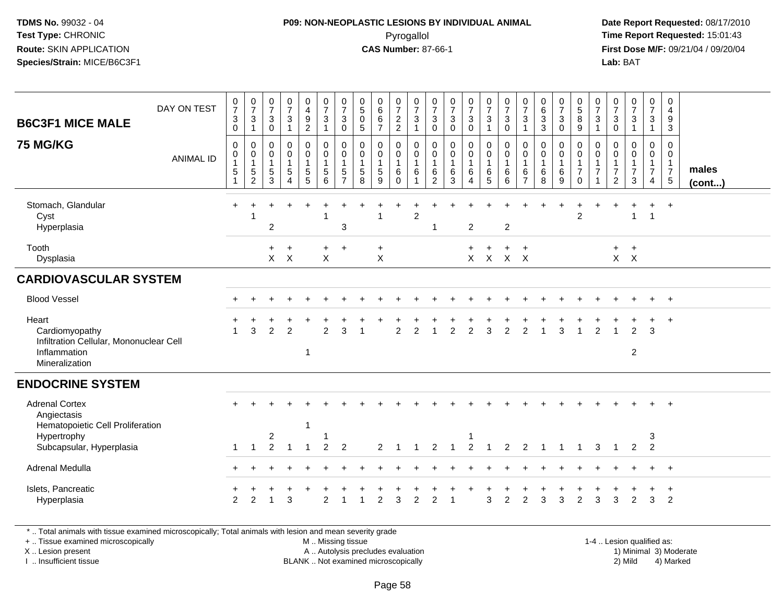## **P09: NON-NEOPLASTIC LESIONS BY INDIVIDUAL ANIMAL**Pyrogallol **Time Report Requested:** 15:01:43

 **Date Report Requested:** 08/17/2010 **First Dose M/F:** 09/21/04 / 09/20/04<br>**Lab:** BAT **Lab:** BAT

| <b>B6C3F1 MICE MALE</b><br><b>75 MG/KG</b>                                                           | DAY ON TEST<br><b>ANIMAL ID</b> | $\begin{array}{c} 0 \\ 7 \end{array}$<br>$\sqrt{3}$<br>$\mathbf 0$<br>$\mathbf 0$<br>$\mathbf 0$<br>$\mathbf{1}$<br>$\sqrt{5}$<br>$\mathbf{1}$ | $\frac{0}{7}$<br>$\sqrt{3}$<br>$\mathbf{1}$<br>$\mathbf 0$<br>$\mathbf 0$<br>$\mathbf{1}$<br>$\,$ 5 $\,$<br>$\overline{c}$ | $\begin{array}{c} 0 \\ 7 \end{array}$<br>$\sqrt{3}$<br>$\mathbf 0$<br>$\mathbf 0$<br>$\mathbf 0$<br>$\mathbf{1}$<br>$\sqrt{5}$<br>3 | $\frac{0}{7}$<br>$\mathbf{3}$<br>$\mathbf 1$<br>$\mathsf{O}$<br>$\bar{0}$<br>$\mathbf{1}$<br>5<br>$\overline{A}$ | 0<br>$\overline{4}$<br>$\frac{9}{2}$<br>0<br>$\ddot{\mathbf{0}}$<br>1<br>$\,$ 5 $\,$<br>5 | $\frac{0}{7}$<br>$\sqrt{3}$<br>$\overline{1}$<br>$\pmb{0}$<br>$\overline{0}$<br>$\mathbf{1}$<br>$\,$ 5 $\,$<br>6 | $\frac{0}{7}$<br>$\mathbf{3}$<br>0<br>0<br>$\mathbf 0$<br>$\mathbf{1}$<br>$\sqrt{5}$<br>$\overline{7}$ | $\begin{smallmatrix}0\0\5\end{smallmatrix}$<br>$\mathsf 0$<br>$\sqrt{5}$<br>$\mathbf 0$<br>$\mathbf 0$<br>$\mathbf{1}$<br>5<br>8 | $_{6}^{\rm 0}$<br>$\,6\,$<br>$\overline{7}$<br>0<br>$\mathbf 0$<br>$\mathbf{1}$<br>$5\phantom{.0}$<br>9 | $\begin{smallmatrix}0\\7\end{smallmatrix}$<br>$\frac{2}{2}$<br>$\pmb{0}$<br>$\ddot{\mathbf{0}}$<br>$\mathbf{1}$<br>6<br>$\Omega$ | $\frac{0}{7}$<br>$\sqrt{3}$<br>$\overline{ }$<br>0<br>$\mathbf 0$<br>$\mathbf{1}$<br>6 | $\frac{0}{7}$<br>$\mathsf 3$<br>$\mathbf 0$<br>$\mathbf 0$<br>$\mathbf 0$<br>$\overline{\mathbf{1}}$<br>$6\phantom{1}6$<br>$\overline{2}$ | $\frac{0}{7}$<br>$\mathbf{3}$<br>$\mathbf 0$<br>$\pmb{0}$<br>$\pmb{0}$<br>$\mathbf{1}$<br>$\,6$<br>3 | $\frac{0}{7}$<br>$\mathbf{3}$<br>$\mathbf 0$<br>0<br>$\mathsf{O}\xspace$<br>$\mathbf{1}$<br>$\,6\,$<br>$\overline{4}$ | $\frac{0}{7}$<br>$\mathbf{3}$<br>$\mathbf{1}$<br>$\begin{smallmatrix} 0\\0 \end{smallmatrix}$<br>$\overline{1}$<br>6<br>5 | $\frac{0}{7}$<br>$\mathbf{3}$<br>$\mathbf 0$<br>$\pmb{0}$<br>$\ddot{\mathbf{0}}$<br>$\mathbf{1}$<br>6<br>6 | $\frac{0}{7}$<br>$\mathbf{3}$<br>$\mathbf 0$<br>0<br>$\mathbf{1}$<br>6<br>$\overline{7}$ | $\begin{matrix} 0 \\ 6 \\ 3 \\ 3 \end{matrix}$<br>$\mathbf 0$<br>$\ddot{\mathbf{0}}$<br>$\mathbf{1}$<br>$\,6\,$<br>8 | $\frac{0}{7}$<br>$\mathbf 3$<br>$\mathbf 0$<br>0<br>$\mathsf{O}\xspace$<br>$\mathbf{1}$<br>$\,6\,$<br>9 | 0<br>$\sqrt{5}$<br>$\,8\,$<br>$\boldsymbol{9}$<br>$\mathbf 0$<br>$\mathsf{O}\xspace$<br>$\mathbf{1}$<br>$\overline{7}$<br>$\mathbf 0$ | $\begin{smallmatrix}0\\7\end{smallmatrix}$<br>$\sqrt{3}$<br>$\mathbf{1}$<br>$\mathbf 0$<br>0<br>$\mathbf{1}$<br>$\overline{7}$ | 0<br>$\boldsymbol{7}$<br>$\mathsf 3$<br>$\pmb{0}$<br>$\mathbf 0$<br>0<br>$\mathbf{1}$<br>$\overline{7}$<br>$\overline{2}$ | $\frac{0}{7}$<br>$\sqrt{3}$<br>$\mathbf 0$<br>$\mathsf{O}\xspace$<br>$\overline{7}$<br>3 | $\frac{0}{7}$<br>$\mathbf{3}$<br>$\overline{1}$<br>$\mathbf 0$<br>$\ddot{\mathbf{0}}$<br>$\frac{1}{7}$<br>$\overline{4}$ | 0<br>$\overline{4}$<br>9<br>$\mathbf{3}$<br>$\mathbf 0$<br>$\mathbf 0$<br>$\frac{1}{7}$<br>$\sqrt{5}$ | males  |
|------------------------------------------------------------------------------------------------------|---------------------------------|------------------------------------------------------------------------------------------------------------------------------------------------|----------------------------------------------------------------------------------------------------------------------------|-------------------------------------------------------------------------------------------------------------------------------------|------------------------------------------------------------------------------------------------------------------|-------------------------------------------------------------------------------------------|------------------------------------------------------------------------------------------------------------------|--------------------------------------------------------------------------------------------------------|----------------------------------------------------------------------------------------------------------------------------------|---------------------------------------------------------------------------------------------------------|----------------------------------------------------------------------------------------------------------------------------------|----------------------------------------------------------------------------------------|-------------------------------------------------------------------------------------------------------------------------------------------|------------------------------------------------------------------------------------------------------|-----------------------------------------------------------------------------------------------------------------------|---------------------------------------------------------------------------------------------------------------------------|------------------------------------------------------------------------------------------------------------|------------------------------------------------------------------------------------------|----------------------------------------------------------------------------------------------------------------------|---------------------------------------------------------------------------------------------------------|---------------------------------------------------------------------------------------------------------------------------------------|--------------------------------------------------------------------------------------------------------------------------------|---------------------------------------------------------------------------------------------------------------------------|------------------------------------------------------------------------------------------|--------------------------------------------------------------------------------------------------------------------------|-------------------------------------------------------------------------------------------------------|--------|
| Stomach, Glandular<br>Cyst<br>Hyperplasia                                                            |                                 | $\ddot{}$                                                                                                                                      |                                                                                                                            | $\overline{2}$                                                                                                                      |                                                                                                                  |                                                                                           | -1                                                                                                               | 3                                                                                                      |                                                                                                                                  | 1                                                                                                       |                                                                                                                                  | $\overline{2}$                                                                         | 1                                                                                                                                         |                                                                                                      | $\overline{c}$                                                                                                        |                                                                                                                           | $\overline{c}$                                                                                             |                                                                                          |                                                                                                                      |                                                                                                         | $\overline{2}$                                                                                                                        |                                                                                                                                |                                                                                                                           |                                                                                          | $\overline{1}$                                                                                                           | $\overline{+}$                                                                                        | (cont) |
| Tooth<br>Dysplasia                                                                                   |                                 |                                                                                                                                                |                                                                                                                            | $+$<br>$\mathsf{X}$                                                                                                                 | $+$<br>$\boldsymbol{\mathsf{X}}$                                                                                 |                                                                                           | $+$<br>X                                                                                                         | $\ddot{}$                                                                                              |                                                                                                                                  | $\ddot{}$<br>X                                                                                          |                                                                                                                                  |                                                                                        |                                                                                                                                           |                                                                                                      | $+$                                                                                                                   | $\ddot{}$<br>$X$ $X$                                                                                                      | $+$<br>$X$ $X$                                                                                             | $\ddot{}$                                                                                |                                                                                                                      |                                                                                                         |                                                                                                                                       |                                                                                                                                | $+$                                                                                                                       | $+$<br>$X$ $X$                                                                           |                                                                                                                          |                                                                                                       |        |
| <b>CARDIOVASCULAR SYSTEM</b>                                                                         |                                 |                                                                                                                                                |                                                                                                                            |                                                                                                                                     |                                                                                                                  |                                                                                           |                                                                                                                  |                                                                                                        |                                                                                                                                  |                                                                                                         |                                                                                                                                  |                                                                                        |                                                                                                                                           |                                                                                                      |                                                                                                                       |                                                                                                                           |                                                                                                            |                                                                                          |                                                                                                                      |                                                                                                         |                                                                                                                                       |                                                                                                                                |                                                                                                                           |                                                                                          |                                                                                                                          |                                                                                                       |        |
| <b>Blood Vessel</b>                                                                                  |                                 |                                                                                                                                                |                                                                                                                            |                                                                                                                                     |                                                                                                                  |                                                                                           |                                                                                                                  |                                                                                                        |                                                                                                                                  |                                                                                                         |                                                                                                                                  |                                                                                        |                                                                                                                                           |                                                                                                      |                                                                                                                       |                                                                                                                           |                                                                                                            |                                                                                          |                                                                                                                      |                                                                                                         |                                                                                                                                       |                                                                                                                                |                                                                                                                           |                                                                                          |                                                                                                                          | $+$                                                                                                   |        |
| Heart<br>Cardiomyopathy<br>Infiltration Cellular, Mononuclear Cell<br>Inflammation<br>Mineralization |                                 | $\overline{1}$                                                                                                                                 | 3                                                                                                                          | $\overline{2}$                                                                                                                      | $\overline{2}$                                                                                                   | $\mathbf 1$                                                                               | $\overline{2}$                                                                                                   | 3                                                                                                      |                                                                                                                                  |                                                                                                         | 2                                                                                                                                | $\overline{c}$                                                                         |                                                                                                                                           | $\overline{2}$                                                                                       | $\overline{2}$                                                                                                        | 3                                                                                                                         | $\overline{2}$                                                                                             | $\overline{2}$                                                                           |                                                                                                                      | 3                                                                                                       |                                                                                                                                       | $\overline{2}$                                                                                                                 |                                                                                                                           | $\overline{2}$<br>$\boldsymbol{2}$                                                       | 3                                                                                                                        | $\ddot{}$                                                                                             |        |
| <b>ENDOCRINE SYSTEM</b>                                                                              |                                 |                                                                                                                                                |                                                                                                                            |                                                                                                                                     |                                                                                                                  |                                                                                           |                                                                                                                  |                                                                                                        |                                                                                                                                  |                                                                                                         |                                                                                                                                  |                                                                                        |                                                                                                                                           |                                                                                                      |                                                                                                                       |                                                                                                                           |                                                                                                            |                                                                                          |                                                                                                                      |                                                                                                         |                                                                                                                                       |                                                                                                                                |                                                                                                                           |                                                                                          |                                                                                                                          |                                                                                                       |        |
| <b>Adrenal Cortex</b><br>Angiectasis<br>Hematopoietic Cell Proliferation<br>Hypertrophy              |                                 |                                                                                                                                                |                                                                                                                            | $\overline{2}$                                                                                                                      |                                                                                                                  |                                                                                           |                                                                                                                  |                                                                                                        |                                                                                                                                  |                                                                                                         |                                                                                                                                  |                                                                                        |                                                                                                                                           |                                                                                                      |                                                                                                                       |                                                                                                                           |                                                                                                            |                                                                                          |                                                                                                                      |                                                                                                         |                                                                                                                                       |                                                                                                                                |                                                                                                                           |                                                                                          | 3                                                                                                                        |                                                                                                       |        |
| Subcapsular, Hyperplasia                                                                             |                                 | $\mathbf 1$                                                                                                                                    | $\mathbf{1}$                                                                                                               | $\overline{2}$                                                                                                                      | -1                                                                                                               |                                                                                           | 2                                                                                                                | $\overline{2}$                                                                                         |                                                                                                                                  | 2                                                                                                       |                                                                                                                                  |                                                                                        | 2                                                                                                                                         |                                                                                                      | $\overline{2}$                                                                                                        |                                                                                                                           | 2                                                                                                          | 2                                                                                        | -1                                                                                                                   | 1                                                                                                       | -1                                                                                                                                    | 3                                                                                                                              | $\overline{1}$                                                                                                            | 2                                                                                        | $\overline{2}$                                                                                                           |                                                                                                       |        |
| Adrenal Medulla                                                                                      |                                 |                                                                                                                                                |                                                                                                                            |                                                                                                                                     |                                                                                                                  |                                                                                           |                                                                                                                  |                                                                                                        |                                                                                                                                  |                                                                                                         |                                                                                                                                  |                                                                                        |                                                                                                                                           |                                                                                                      |                                                                                                                       |                                                                                                                           |                                                                                                            |                                                                                          |                                                                                                                      |                                                                                                         |                                                                                                                                       |                                                                                                                                |                                                                                                                           |                                                                                          | $+$                                                                                                                      | $+$                                                                                                   |        |
| Islets, Pancreatic<br>Hyperplasia                                                                    |                                 | $\overline{2}$                                                                                                                                 | 2                                                                                                                          |                                                                                                                                     | 3                                                                                                                |                                                                                           | $\mathfrak{p}$                                                                                                   |                                                                                                        |                                                                                                                                  | $\overline{2}$                                                                                          | 3                                                                                                                                | $\overline{2}$                                                                         | 2                                                                                                                                         |                                                                                                      |                                                                                                                       | 3                                                                                                                         | $\overline{2}$                                                                                             | $\overline{c}$                                                                           | 3                                                                                                                    | 3                                                                                                       | 2                                                                                                                                     | 3                                                                                                                              | 3                                                                                                                         | 2                                                                                        | 3                                                                                                                        | +<br>$\overline{2}$                                                                                   |        |

\* .. Total animals with tissue examined microscopically; Total animals with lesion and mean severity grade

+ .. Tissue examined microscopically

X .. Lesion present

I .. Insufficient tissue

 M .. Missing tissueA .. Autolysis precludes evaluation

 1-4 .. Lesion qualified as: BLANK .. Not examined microscopically 2) Mild 4) Marked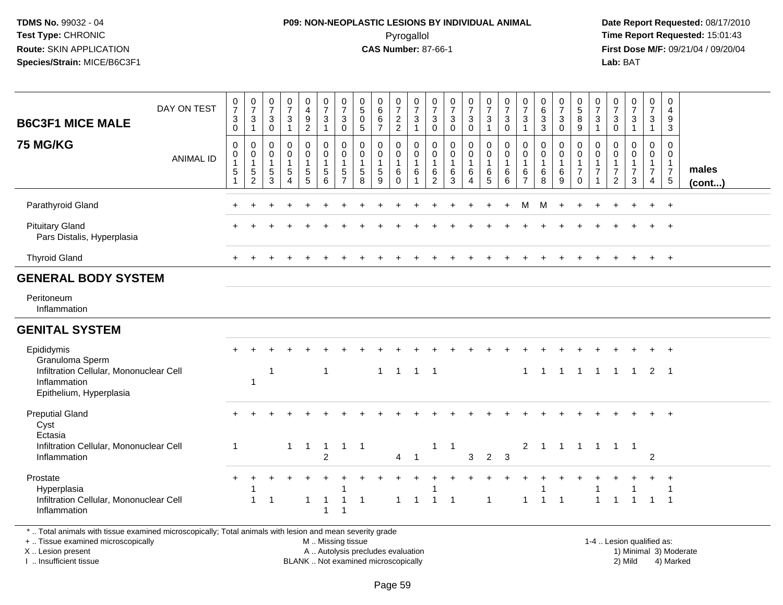## **P09: NON-NEOPLASTIC LESIONS BY INDIVIDUAL ANIMAL**Pyrogallol **Time Report Requested:** 15:01:43

 **Date Report Requested:** 08/17/2010 **First Dose M/F:** 09/21/04 / 09/20/04<br>Lab: BAT **Lab:** BAT

| <b>B6C3F1 MICE MALE</b>                                                                                                                        | DAY ON TEST      | 0<br>$\overline{7}$<br>3<br>$\mathbf 0$                                | 0<br>$\overline{7}$<br>3<br>$\mathbf{1}$      | $\frac{0}{7}$<br>$\mathbf{3}$<br>$\pmb{0}$ | $\frac{0}{7}$<br>$\mathbf{3}$<br>$\mathbf{1}$                         | 0<br>$\overline{4}$<br>$\boldsymbol{9}$<br>$\overline{2}$                 | $\frac{0}{7}$<br>$\mathbf 3$<br>$\overline{1}$                                    | 0<br>$\overline{7}$<br>$\mathbf{3}$<br>$\mathbf 0$                  | $\pmb{0}$<br>$\,$ 5 $\,$<br>$\pmb{0}$<br>5           | 0<br>6<br>$\,6\,$<br>$\overline{7}$ | $\frac{0}{7}$<br>$\frac{2}{2}$                           | $\frac{0}{7}$<br>$\sqrt{3}$<br>$\mathbf{1}$                   | 0<br>$\overline{7}$<br>3<br>$\mathsf 0$         | $\frac{0}{7}$<br>$\sqrt{3}$<br>$\mathbf 0$                        | 0<br>$\overline{7}$<br>3<br>$\mathbf 0$ | $\frac{0}{7}$<br>$\mathbf{3}$<br>$\mathbf{1}$ | $\frac{0}{7}$<br>$\sqrt{3}$<br>$\pmb{0}$                              | $\frac{0}{7}$<br>$\mathbf{3}$<br>$\overline{1}$                 | $\pmb{0}$<br>$6\phantom{a}$<br>$\sqrt{3}$<br>3             | $\frac{0}{7}$<br>$\mathbf{3}$<br>$\mathbf 0$ | $\begin{matrix} 0 \\ 5 \end{matrix}$<br>$\bf 8$<br>9                        | 0<br>$\overline{7}$<br>3<br>$\mathbf{1}$                 | 0<br>$\overline{7}$<br>3<br>$\mathsf 0$    | $\begin{smallmatrix}0\\7\end{smallmatrix}$<br>$\mathsf 3$<br>$\overline{1}$  | $\pmb{0}$<br>$\overline{7}$<br>$\mathbf{3}$<br>$\mathbf{1}$ | 0<br>$\overline{4}$<br>9<br>$\mathbf{3}$                                      |                       |
|------------------------------------------------------------------------------------------------------------------------------------------------|------------------|------------------------------------------------------------------------|-----------------------------------------------|--------------------------------------------|-----------------------------------------------------------------------|---------------------------------------------------------------------------|-----------------------------------------------------------------------------------|---------------------------------------------------------------------|------------------------------------------------------|-------------------------------------|----------------------------------------------------------|---------------------------------------------------------------|-------------------------------------------------|-------------------------------------------------------------------|-----------------------------------------|-----------------------------------------------|-----------------------------------------------------------------------|-----------------------------------------------------------------|------------------------------------------------------------|----------------------------------------------|-----------------------------------------------------------------------------|----------------------------------------------------------|--------------------------------------------|------------------------------------------------------------------------------|-------------------------------------------------------------|-------------------------------------------------------------------------------|-----------------------|
| <b>75 MG/KG</b>                                                                                                                                | <b>ANIMAL ID</b> | $\mathbf 0$<br>$\pmb{0}$<br>$\mathbf{1}$<br>$\sqrt{5}$<br>$\mathbf{1}$ | 0<br>0<br>$\mathbf{1}$<br>5<br>$\overline{c}$ | 0<br>0<br>$\mathbf{1}$<br>$\,$ 5 $\,$<br>3 | 0<br>$\boldsymbol{0}$<br>$\mathbf{1}$<br>$\sqrt{5}$<br>$\overline{4}$ | 0<br>$\mathbf 0$<br>$\mathbf{1}$<br>$\begin{array}{c} 5 \\ 5 \end{array}$ | $\mathbf 0$<br>$\mathbf 0$<br>$\overline{1}$<br>$\overline{5}$<br>$6\phantom{1}6$ | $\mathbf 0$<br>$\mathbf 0$<br>$\overline{1}$<br>5<br>$\overline{7}$ | $\mathbf 0$<br>$\mathbf 0$<br>$\mathbf{1}$<br>5<br>8 | 0<br>0<br>$\mathbf{1}$<br>5<br>9    | 0<br>$\mathsf{O}$<br>$\mathbf 1$<br>$\,6$<br>$\mathbf 0$ | 0<br>$\mathbf 0$<br>$\overline{1}$<br>$\,6\,$<br>$\mathbf{1}$ | 0<br>0<br>$\overline{1}$<br>6<br>$\overline{2}$ | $\mathbf 0$<br>$\mathbf 0$<br>$\overline{1}$<br>6<br>$\mathbf{3}$ | 0<br>0<br>1<br>6<br>$\overline{4}$      | 0<br>0<br>$\mathbf{1}$<br>$\,6$<br>5          | $\mathbf 0$<br>$\pmb{0}$<br>$\mathbf{1}$<br>$\,6\,$<br>$6\phantom{a}$ | 0<br>$\mathbf 0$<br>$\overline{1}$<br>$\,6\,$<br>$\overline{7}$ | $\mathbf 0$<br>$\mathbf 0$<br>$\mathbf{1}$<br>$\,6\,$<br>8 | 0<br>$\mathbf 0$<br>$\mathbf{1}$<br>6<br>9   | 0<br>$\mathsf{O}\xspace$<br>$\mathbf{1}$<br>$\boldsymbol{7}$<br>$\mathbf 0$ | 0<br>0<br>$\mathbf{1}$<br>$\overline{7}$<br>$\mathbf{1}$ | 0<br>0<br>$\overline{7}$<br>$\overline{2}$ | $\mathbf 0$<br>$\mathbf 0$<br>$\mathbf{1}$<br>$\overline{7}$<br>$\mathbf{3}$ | 0<br>$\mathbf 0$<br>$\mathbf{1}$<br>$\overline{7}$<br>4     | $\mathbf 0$<br>$\mathbf 0$<br>$\overline{1}$<br>$\overline{7}$<br>$\,$ 5 $\,$ | males<br>$($ cont $)$ |
| Parathyroid Gland                                                                                                                              |                  |                                                                        |                                               |                                            |                                                                       |                                                                           |                                                                                   |                                                                     |                                                      |                                     |                                                          |                                                               |                                                 |                                                                   |                                         |                                               |                                                                       | M                                                               | м                                                          |                                              |                                                                             |                                                          |                                            |                                                                              |                                                             | $+$                                                                           |                       |
| <b>Pituitary Gland</b><br>Pars Distalis, Hyperplasia                                                                                           |                  |                                                                        |                                               |                                            |                                                                       |                                                                           |                                                                                   |                                                                     |                                                      |                                     |                                                          |                                                               |                                                 |                                                                   |                                         |                                               |                                                                       |                                                                 |                                                            |                                              |                                                                             |                                                          |                                            |                                                                              |                                                             | $\ddot{}$                                                                     |                       |
| <b>Thyroid Gland</b>                                                                                                                           |                  | $+$                                                                    | $\ddot{}$                                     |                                            | $\ddot{}$                                                             |                                                                           |                                                                                   |                                                                     |                                                      |                                     |                                                          |                                                               |                                                 |                                                                   |                                         |                                               | $\ddot{}$                                                             |                                                                 |                                                            |                                              |                                                                             | $\ddot{}$                                                | $\ddot{}$                                  |                                                                              | $+$                                                         | $+$                                                                           |                       |
| <b>GENERAL BODY SYSTEM</b>                                                                                                                     |                  |                                                                        |                                               |                                            |                                                                       |                                                                           |                                                                                   |                                                                     |                                                      |                                     |                                                          |                                                               |                                                 |                                                                   |                                         |                                               |                                                                       |                                                                 |                                                            |                                              |                                                                             |                                                          |                                            |                                                                              |                                                             |                                                                               |                       |
| Peritoneum<br>Inflammation                                                                                                                     |                  |                                                                        |                                               |                                            |                                                                       |                                                                           |                                                                                   |                                                                     |                                                      |                                     |                                                          |                                                               |                                                 |                                                                   |                                         |                                               |                                                                       |                                                                 |                                                            |                                              |                                                                             |                                                          |                                            |                                                                              |                                                             |                                                                               |                       |
| <b>GENITAL SYSTEM</b>                                                                                                                          |                  |                                                                        |                                               |                                            |                                                                       |                                                                           |                                                                                   |                                                                     |                                                      |                                     |                                                          |                                                               |                                                 |                                                                   |                                         |                                               |                                                                       |                                                                 |                                                            |                                              |                                                                             |                                                          |                                            |                                                                              |                                                             |                                                                               |                       |
| Epididymis<br>Granuloma Sperm                                                                                                                  |                  |                                                                        |                                               |                                            |                                                                       |                                                                           |                                                                                   |                                                                     |                                                      |                                     |                                                          |                                                               |                                                 |                                                                   |                                         |                                               |                                                                       |                                                                 |                                                            |                                              |                                                                             |                                                          |                                            |                                                                              | $+$                                                         | $+$                                                                           |                       |
| Infiltration Cellular, Mononuclear Cell<br>Inflammation<br>Epithelium, Hyperplasia                                                             |                  |                                                                        | 1                                             | $\overline{1}$                             |                                                                       |                                                                           | $\overline{1}$                                                                    |                                                                     |                                                      | $\mathbf{1}$                        | $\mathbf{1}$                                             | $1 \quad 1$                                                   |                                                 |                                                                   |                                         |                                               |                                                                       | $\mathbf{1}$                                                    | $\overline{1}$                                             | $\overline{1}$                               | $\overline{1}$                                                              | $\mathbf{1}$                                             | $\mathbf{1}$                               | $\overline{1}$                                                               | 2                                                           | $\overline{\phantom{1}}$                                                      |                       |
| <b>Preputial Gland</b><br>Cyst                                                                                                                 |                  |                                                                        |                                               |                                            |                                                                       |                                                                           |                                                                                   |                                                                     |                                                      |                                     |                                                          |                                                               |                                                 |                                                                   |                                         |                                               |                                                                       |                                                                 |                                                            |                                              |                                                                             |                                                          |                                            |                                                                              |                                                             |                                                                               |                       |
| Ectasia<br>Infiltration Cellular, Mononuclear Cell<br>Inflammation                                                                             |                  | $\overline{1}$                                                         |                                               |                                            | $\mathbf{1}$                                                          | $\overline{1}$                                                            | $\overline{1}$<br>$\overline{2}$                                                  | $\mathbf{1}$                                                        | $\overline{1}$                                       |                                     | $\overline{4}$                                           | $\overline{1}$                                                | 1                                               | -1                                                                | 3                                       | $\overline{2}$                                | $\mathbf{3}$                                                          | $\overline{2}$                                                  | $\overline{1}$                                             | $\overline{1}$                               | $\overline{1}$                                                              | $\overline{1}$                                           |                                            | $1 \quad 1$                                                                  | $\overline{c}$                                              |                                                                               |                       |
| Prostate<br>Hyperplasia<br>Infiltration Cellular, Mononuclear Cell<br>Inflammation                                                             |                  |                                                                        | $\mathbf{1}$                                  | $\mathbf 1$                                |                                                                       | $\mathbf{1}$                                                              | -1<br>$\overline{1}$                                                              | 1<br>$\mathbf{1}$<br>1                                              | $\overline{1}$                                       |                                     | $\mathbf{1}$                                             | $\overline{1}$                                                | $\overline{1}$                                  | $\overline{1}$                                                    |                                         | 1                                             |                                                                       | $\mathbf{1}$                                                    | $\overline{1}$                                             | $\overline{1}$                               |                                                                             | $\blacktriangleleft$                                     | $\overline{1}$                             | $\overline{1}$                                                               | $\overline{1}$                                              | -1<br>$\overline{1}$                                                          |                       |
| *  Total animals with tissue examined microscopically; Total animals with lesion and mean severity grade<br>+  Tissue examined microscopically |                  |                                                                        |                                               |                                            |                                                                       |                                                                           | M  Missing tissue                                                                 |                                                                     |                                                      |                                     |                                                          |                                                               |                                                 |                                                                   |                                         |                                               |                                                                       |                                                                 |                                                            |                                              |                                                                             |                                                          |                                            | 1-4  Lesion qualified as:                                                    |                                                             |                                                                               |                       |

+ .. Tissue examined microscopicallyX .. Lesion present

I .. Insufficient tissue

A .. Autolysis precludes evaluation

BLANK .. Not examined microscopically 2) Mild 4) Marked

1-4 .. Lesion qualified as: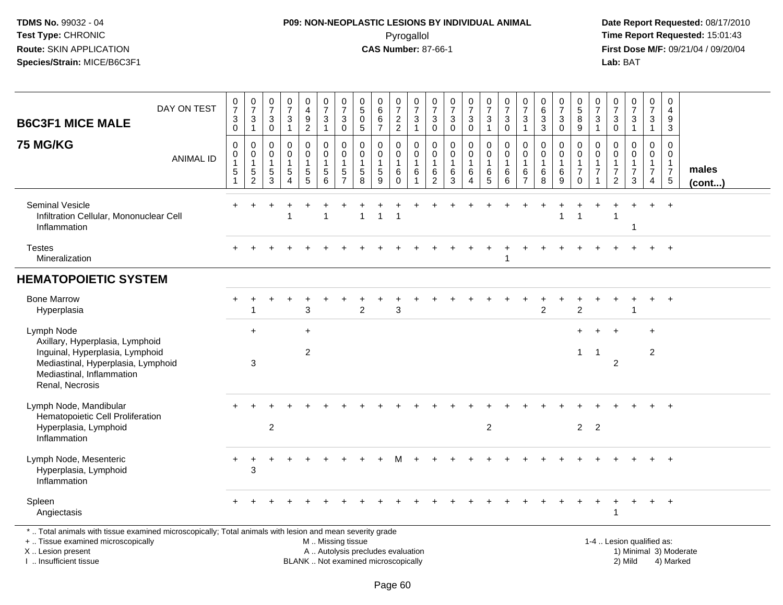## **P09: NON-NEOPLASTIC LESIONS BY INDIVIDUAL ANIMAL**Pyrogallol **Time Report Requested:** 15:01:43

 **Date Report Requested:** 08/17/2010 **First Dose M/F:** 09/21/04 / 09/20/04<br>Lab: BAT **Lab:** BAT

| <b>B6C3F1 MICE MALE</b>                                                                                                                                                | DAY ON TEST      | 0<br>$\overline{7}$<br>3<br>$\mathbf 0$                                  | $\frac{0}{7}$<br>3<br>$\mathbf{1}$                     | $\frac{0}{7}$<br>3<br>0                              | $\frac{0}{7}$<br>$\mathbf{3}$<br>$\mathbf{1}$         | 0<br>$\overline{\mathbf{4}}$<br>$\frac{9}{2}$                             | $\frac{0}{7}$<br>$\sqrt{3}$<br>$\overline{1}$                                 | $\boldsymbol{0}$<br>$\overline{7}$<br>$\mathbf{3}$<br>$\mathbf 0$             | 0<br>$\sqrt{5}$<br>$\mathbf 0$<br>$\overline{5}$        | $\begin{array}{c} 0 \\ 6 \end{array}$<br>$\,6$<br>$\overline{7}$ | 0<br>$\overline{7}$<br>$\frac{2}{2}$                        | $\frac{0}{7}$<br>$\mathbf{3}$<br>$\mathbf{1}$  | $\frac{0}{7}$<br>$_0^3$                                             | $\frac{0}{7}$<br>$\sqrt{3}$<br>$\mathbf 0$                 | $\frac{0}{7}$<br>3<br>$\mathbf 0$          | $\frac{0}{7}$<br>$\sqrt{3}$<br>$\mathbf{1}$        | $\begin{array}{c} 0 \\ 7 \end{array}$<br>$\mathbf{3}$<br>$\mathbf 0$ | 0<br>$\overline{7}$<br>3<br>$\mathbf{1}$    | $\begin{array}{c} 0 \\ 6 \end{array}$<br>$\sqrt{3}$<br>$\overline{3}$ | 0<br>$\overline{7}$<br>$\sqrt{3}$<br>$\mathbf 0$ | 0<br>$\overline{5}$<br>8<br>$9\,$                                           | 0<br>$\overline{7}$<br>3<br>$\mathbf{1}$        | 0<br>$\overline{7}$<br>3<br>0                                             | $\frac{0}{7}$<br>$\ensuremath{\mathsf{3}}$<br>$\mathbf{1}$ | $\mathbf 0$<br>$\overline{7}$<br>$\mathbf{3}$<br>$\mathbf{1}$                  | 0<br>$\overline{4}$<br>9<br>3                                           |                        |
|------------------------------------------------------------------------------------------------------------------------------------------------------------------------|------------------|--------------------------------------------------------------------------|--------------------------------------------------------|------------------------------------------------------|-------------------------------------------------------|---------------------------------------------------------------------------|-------------------------------------------------------------------------------|-------------------------------------------------------------------------------|---------------------------------------------------------|------------------------------------------------------------------|-------------------------------------------------------------|------------------------------------------------|---------------------------------------------------------------------|------------------------------------------------------------|--------------------------------------------|----------------------------------------------------|----------------------------------------------------------------------|---------------------------------------------|-----------------------------------------------------------------------|--------------------------------------------------|-----------------------------------------------------------------------------|-------------------------------------------------|---------------------------------------------------------------------------|------------------------------------------------------------|--------------------------------------------------------------------------------|-------------------------------------------------------------------------|------------------------|
| <b>75 MG/KG</b>                                                                                                                                                        | <b>ANIMAL ID</b> | $\mathbf 0$<br>$\mathbf 0$<br>$\mathbf{1}$<br>$\sqrt{5}$<br>$\mathbf{1}$ | $\mathbf 0$<br>$\mathbf 0$<br>1<br>5<br>$\overline{c}$ | $\Omega$<br>$\mathbf 0$<br>$\mathbf 1$<br>$5\,$<br>3 | 0<br>$\mathbf 0$<br>1<br>$\sqrt{5}$<br>$\overline{4}$ | 0<br>$\mathbf 0$<br>$\mathbf{1}$<br>$\begin{array}{c} 5 \\ 5 \end{array}$ | $\mathbf 0$<br>$\mathbf 0$<br>$\overline{1}$<br>$\sqrt{5}$<br>$6\phantom{1}6$ | $\mathbf 0$<br>$\mathbf{0}$<br>$\overline{1}$<br>$\sqrt{5}$<br>$\overline{7}$ | $\Omega$<br>$\Omega$<br>$\mathbf{1}$<br>$\sqrt{5}$<br>8 | 0<br>$\mathbf 0$<br>1<br>5<br>9                                  | $\mathbf 0$<br>$\mathbf 0$<br>$\mathbf{1}$<br>6<br>$\Omega$ | $\mathbf 0$<br>$\mathbf 0$<br>$\mathbf 1$<br>6 | $\mathbf 0$<br>$\mathbf 0$<br>$\overline{1}$<br>6<br>$\overline{2}$ | $\mathbf 0$<br>$\mathbf 0$<br>$\mathbf{1}$<br>$\,6\,$<br>3 | 0<br>$\mathbf 0$<br>$\mathbf{1}$<br>6<br>4 | 0<br>$\mathsf{O}\xspace$<br>$\mathbf{1}$<br>6<br>5 | $\mathbf 0$<br>$\mathbf 0$<br>$\mathbf{1}$<br>6<br>6                 | $\Omega$<br>$\Omega$<br>6<br>$\overline{7}$ | $\mathbf 0$<br>$\mathbf 0$<br>$\mathbf{1}$<br>$\,6$<br>8              | 0<br>$\mathbf 0$<br>$\mathbf{1}$<br>$\,6$<br>9   | $\mathbf 0$<br>$\mathbf 0$<br>$\mathbf{1}$<br>$\overline{7}$<br>$\mathbf 0$ | 0<br>$\Omega$<br>$\mathbf{1}$<br>$\overline{7}$ | $\Omega$<br>$\Omega$<br>$\mathbf 1$<br>$\boldsymbol{7}$<br>$\overline{c}$ | $\mathbf 0$<br>$\mathbf 0$<br>1<br>$\overline{7}$<br>3     | $\mathbf 0$<br>$\mathbf 0$<br>$\mathbf{1}$<br>$\overline{7}$<br>$\overline{4}$ | $\Omega$<br>$\mathbf 0$<br>$\mathbf{1}$<br>$\overline{7}$<br>$\sqrt{5}$ | males<br>$($ cont $)$  |
| <b>Seminal Vesicle</b><br>Infiltration Cellular, Mononuclear Cell<br>Inflammation                                                                                      |                  |                                                                          |                                                        |                                                      | $\overline{1}$                                        |                                                                           | $\overline{1}$                                                                |                                                                               |                                                         | $\mathbf{1}$                                                     | -1                                                          |                                                |                                                                     |                                                            |                                            |                                                    |                                                                      |                                             |                                                                       | $\mathbf{1}$                                     | $\mathbf{1}$                                                                |                                                 |                                                                           |                                                            |                                                                                | $+$                                                                     |                        |
| <b>Testes</b><br>Mineralization                                                                                                                                        |                  |                                                                          |                                                        |                                                      |                                                       |                                                                           |                                                                               |                                                                               |                                                         |                                                                  |                                                             |                                                |                                                                     |                                                            |                                            |                                                    |                                                                      |                                             |                                                                       |                                                  |                                                                             |                                                 |                                                                           |                                                            |                                                                                |                                                                         |                        |
| <b>HEMATOPOIETIC SYSTEM</b>                                                                                                                                            |                  |                                                                          |                                                        |                                                      |                                                       |                                                                           |                                                                               |                                                                               |                                                         |                                                                  |                                                             |                                                |                                                                     |                                                            |                                            |                                                    |                                                                      |                                             |                                                                       |                                                  |                                                                             |                                                 |                                                                           |                                                            |                                                                                |                                                                         |                        |
| <b>Bone Marrow</b><br>Hyperplasia                                                                                                                                      |                  |                                                                          |                                                        |                                                      |                                                       | 3                                                                         |                                                                               |                                                                               | 2                                                       |                                                                  | 3                                                           |                                                |                                                                     |                                                            |                                            |                                                    |                                                                      |                                             | $\overline{2}$                                                        |                                                  | $\overline{2}$                                                              |                                                 |                                                                           |                                                            | $\pm$                                                                          | $+$                                                                     |                        |
| Lymph Node<br>Axillary, Hyperplasia, Lymphoid<br>Inguinal, Hyperplasia, Lymphoid<br>Mediastinal, Hyperplasia, Lymphoid<br>Mediastinal, Inflammation<br>Renal, Necrosis |                  |                                                                          | $\ddot{}$<br>3                                         |                                                      |                                                       | $+$<br>$\overline{2}$                                                     |                                                                               |                                                                               |                                                         |                                                                  |                                                             |                                                |                                                                     |                                                            |                                            |                                                    |                                                                      |                                             |                                                                       |                                                  | $\mathbf{1}$                                                                | $\ddot{}$<br>$\mathbf 1$                        | $\ddot{}$<br>$\overline{a}$                                               |                                                            | $\ddot{}$<br>$\overline{c}$                                                    |                                                                         |                        |
| Lymph Node, Mandibular<br>Hematopoietic Cell Proliferation<br>Hyperplasia, Lymphoid<br>Inflammation                                                                    |                  |                                                                          |                                                        | $\overline{c}$                                       |                                                       |                                                                           |                                                                               |                                                                               |                                                         |                                                                  |                                                             |                                                |                                                                     |                                                            |                                            | $\overline{c}$                                     |                                                                      |                                             |                                                                       |                                                  | $\overline{2}$                                                              | $\overline{2}$                                  |                                                                           |                                                            |                                                                                | $\ddot{}$                                                               |                        |
| Lymph Node, Mesenteric<br>Hyperplasia, Lymphoid<br>Inflammation                                                                                                        |                  |                                                                          | $\pm$<br>3                                             |                                                      |                                                       |                                                                           |                                                                               |                                                                               |                                                         |                                                                  |                                                             |                                                |                                                                     |                                                            |                                            |                                                    |                                                                      |                                             |                                                                       |                                                  |                                                                             |                                                 |                                                                           |                                                            |                                                                                |                                                                         |                        |
| Spleen<br>Angiectasis                                                                                                                                                  |                  |                                                                          |                                                        |                                                      |                                                       |                                                                           |                                                                               |                                                                               |                                                         |                                                                  |                                                             |                                                |                                                                     |                                                            |                                            |                                                    |                                                                      |                                             |                                                                       |                                                  |                                                                             |                                                 |                                                                           |                                                            | $+$                                                                            | $+$                                                                     |                        |
| *  Total animals with tissue examined microscopically; Total animals with lesion and mean severity grade<br>+  Tissue examined microscopically<br>X  Lesion present    |                  |                                                                          |                                                        |                                                      |                                                       |                                                                           | M  Missing tissue                                                             |                                                                               | A  Autolysis precludes evaluation                       |                                                                  |                                                             |                                                |                                                                     |                                                            |                                            |                                                    |                                                                      |                                             |                                                                       |                                                  |                                                                             |                                                 |                                                                           | 1-4  Lesion qualified as:                                  |                                                                                |                                                                         | 1) Minimal 3) Moderate |

I .. Insufficient tissue

BLANK .. Not examined microscopically 2) Mild 4) Marked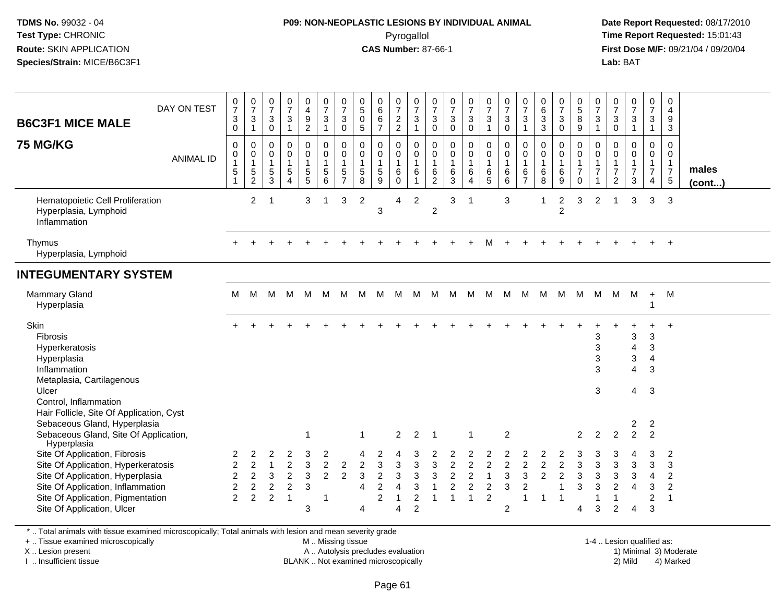## **P09: NON-NEOPLASTIC LESIONS BY INDIVIDUAL ANIMAL**Pyrogallol **Time Report Requested:** 15:01:43

 **Date Report Requested:** 08/17/2010 **First Dose M/F:** 09/21/04 / 09/20/04<br>**Lab:** BAT **Lab:** BAT

| <b>B6C3F1 MICE MALE</b><br><b>75 MG/KG</b>                                                                                                                                                                       | DAY ON TEST<br><b>ANIMAL ID</b> | $\frac{0}{7}$<br>3<br>0<br>0<br>$\mathbf 0$<br>1<br>$\sqrt{5}$            | $\frac{0}{7}$<br>$\ensuremath{\mathsf{3}}$<br>$\overline{1}$<br>$\pmb{0}$<br>$\mathbf 0$<br>$\overline{1}$<br>$\sqrt{5}$<br>$\overline{2}$ | 0<br>$\overline{7}$<br>3<br>$\mathbf 0$<br>0<br>0<br>$\mathbf{1}$<br>$\sqrt{5}$<br>3 | $\frac{0}{7}$<br>3<br>$\mathbf{1}$<br>$\mathbf 0$<br>$\mathbf 0$<br>$\mathbf{1}$<br>$\sqrt{5}$<br>$\Delta$ | 0<br>4<br>9<br>$\overline{2}$<br>$\boldsymbol{0}$<br>$\mathbf 0$<br>$\mathbf{1}$<br>5<br>5 | $\frac{0}{7}$<br>$\mathbf{3}$<br>$\mathbf{1}$<br>0<br>$\mathbf 0$<br>$\mathbf{1}$<br>$\sqrt{5}$<br>6 | $\frac{0}{7}$<br>$\mathbf{3}$<br>0<br>$\pmb{0}$<br>$\mathbf 0$<br>$\mathbf{1}$<br>5<br>$\overline{7}$ | $\begin{matrix} 0 \\ 5 \end{matrix}$<br>0<br>$\sqrt{5}$<br>0<br>0<br>$\mathbf{1}$<br>$\sqrt{5}$<br>8 | $\begin{matrix} 0 \\ 6 \\ 6 \end{matrix}$<br>$\overline{7}$<br>$\pmb{0}$<br>$\pmb{0}$<br>$\mathbf{1}$<br>$\sqrt{5}$<br>9 | $\frac{0}{7}$<br>$\frac{2}{2}$<br>0<br>$\mathbf 0$<br>$\overline{1}$<br>$\,6$<br>$\mathbf 0$ | $\frac{0}{7}$<br>$\mathbf 3$<br>$\mathbf{1}$<br>$\pmb{0}$<br>$\mathbf 0$<br>$\overline{1}$<br>$\,6\,$<br>$\mathbf{1}$ | 0<br>$\overline{7}$<br>3<br>0<br>0<br>0<br>$\mathbf{1}$<br>6<br>$\overline{c}$ | $\frac{0}{7}$<br>$\ensuremath{\mathsf{3}}$<br>$\pmb{0}$<br>$\mathsf 0$<br>$\mathbf 0$<br>$\mathbf{1}$<br>6<br>3 | $\frac{0}{7}$<br>$\mathbf{3}$<br>$\pmb{0}$<br>$\mathsf{O}$<br>$\mathbf 0$<br>$\mathbf{1}$<br>6<br>$\boldsymbol{\Lambda}$ | $\frac{0}{7}$<br>$\mathbf{3}$<br>$\mathbf{1}$<br>0<br>$\mathsf{O}\xspace$<br>$\mathbf{1}$<br>$\,6$<br>$\overline{5}$ | $\frac{0}{7}$<br>$\ensuremath{\mathsf{3}}$<br>$\mathbf 0$<br>$\mathbf 0$<br>$\mathsf{O}\xspace$<br>$\overline{1}$<br>$\,6$<br>6 | $\frac{0}{7}$<br>$\mathbf{3}$<br>$\overline{1}$<br>$\pmb{0}$<br>$\mathbf 0$<br>$\mathbf{1}$<br>6<br>$\overline{7}$ | $\begin{array}{c} 0 \\ 6 \end{array}$<br>$\frac{3}{3}$<br>$\pmb{0}$<br>$\mathbf 0$<br>$\mathbf{1}$<br>$\,6\,$<br>8 | $\frac{0}{7}$<br>$\mathbf{3}$<br>$\pmb{0}$<br>0<br>$\mathbf 0$<br>$\mathbf{1}$<br>$\,6\,$<br>9 | 0<br>$\overline{5}$<br>8<br>9<br>$\mathbf 0$<br>$\mathsf{O}\xspace$<br>$\mathbf{1}$<br>$\overline{7}$<br>$\mathbf 0$ | $\frac{0}{7}$<br>3<br>$\mathbf{1}$<br>$\mathbf 0$<br>$\mathbf 0$<br>$\mathbf{1}$<br>$\overline{7}$ | $\frac{0}{7}$<br>$\ensuremath{\mathsf{3}}$<br>$\pmb{0}$<br>$\mathbf 0$<br>0<br>$\mathbf{1}$<br>$\overline{7}$<br>$\overline{2}$ | $\frac{0}{7}$<br>$\sqrt{3}$<br>$\mathbf{1}$<br>0<br>$\pmb{0}$<br>1<br>$\overline{7}$<br>3 | 0<br>$\overline{7}$<br>$\mathsf 3$<br>$\mathbf{1}$<br>$\mathbf 0$<br>$\mathsf{O}\xspace$<br>$\mathbf{1}$<br>$\overline{7}$<br>$\overline{4}$ | 0<br>$\overline{4}$<br>9<br>$\mathbf{3}$<br>$\mathbf 0$<br>$\mathbf 0$<br>$\mathbf{1}$<br>$\overline{7}$<br>$\sqrt{5}$ | males<br>$($ cont $)$ |
|------------------------------------------------------------------------------------------------------------------------------------------------------------------------------------------------------------------|---------------------------------|---------------------------------------------------------------------------|--------------------------------------------------------------------------------------------------------------------------------------------|--------------------------------------------------------------------------------------|------------------------------------------------------------------------------------------------------------|--------------------------------------------------------------------------------------------|------------------------------------------------------------------------------------------------------|-------------------------------------------------------------------------------------------------------|------------------------------------------------------------------------------------------------------|--------------------------------------------------------------------------------------------------------------------------|----------------------------------------------------------------------------------------------|-----------------------------------------------------------------------------------------------------------------------|--------------------------------------------------------------------------------|-----------------------------------------------------------------------------------------------------------------|--------------------------------------------------------------------------------------------------------------------------|----------------------------------------------------------------------------------------------------------------------|---------------------------------------------------------------------------------------------------------------------------------|--------------------------------------------------------------------------------------------------------------------|--------------------------------------------------------------------------------------------------------------------|------------------------------------------------------------------------------------------------|----------------------------------------------------------------------------------------------------------------------|----------------------------------------------------------------------------------------------------|---------------------------------------------------------------------------------------------------------------------------------|-------------------------------------------------------------------------------------------|----------------------------------------------------------------------------------------------------------------------------------------------|------------------------------------------------------------------------------------------------------------------------|-----------------------|
| Hematopoietic Cell Proliferation<br>Hyperplasia, Lymphoid<br>Inflammation                                                                                                                                        |                                 |                                                                           | $\overline{2}$                                                                                                                             | $\overline{1}$                                                                       |                                                                                                            | 3                                                                                          |                                                                                                      | 3                                                                                                     | $\overline{c}$                                                                                       | $\mathbf{3}$                                                                                                             | 4                                                                                            | $\overline{2}$                                                                                                        | $\overline{c}$                                                                 | 3                                                                                                               | -1                                                                                                                       |                                                                                                                      | $\mathbf{3}$                                                                                                                    |                                                                                                                    | 1                                                                                                                  | $\overline{c}$<br>$\overline{2}$                                                               | 3                                                                                                                    | $\overline{2}$                                                                                     |                                                                                                                                 | 3                                                                                         | 3                                                                                                                                            | 3                                                                                                                      |                       |
| Thymus<br>Hyperplasia, Lymphoid                                                                                                                                                                                  |                                 |                                                                           |                                                                                                                                            |                                                                                      |                                                                                                            |                                                                                            |                                                                                                      |                                                                                                       |                                                                                                      |                                                                                                                          |                                                                                              |                                                                                                                       |                                                                                |                                                                                                                 |                                                                                                                          |                                                                                                                      |                                                                                                                                 |                                                                                                                    |                                                                                                                    |                                                                                                |                                                                                                                      |                                                                                                    |                                                                                                                                 |                                                                                           |                                                                                                                                              | $+$                                                                                                                    |                       |
| <b>INTEGUMENTARY SYSTEM</b>                                                                                                                                                                                      |                                 |                                                                           |                                                                                                                                            |                                                                                      |                                                                                                            |                                                                                            |                                                                                                      |                                                                                                       |                                                                                                      |                                                                                                                          |                                                                                              |                                                                                                                       |                                                                                |                                                                                                                 |                                                                                                                          |                                                                                                                      |                                                                                                                                 |                                                                                                                    |                                                                                                                    |                                                                                                |                                                                                                                      |                                                                                                    |                                                                                                                                 |                                                                                           |                                                                                                                                              |                                                                                                                        |                       |
| <b>Mammary Gland</b><br>Hyperplasia                                                                                                                                                                              |                                 | М                                                                         | M                                                                                                                                          | M                                                                                    |                                                                                                            | M M                                                                                        | M                                                                                                    | M                                                                                                     | M M                                                                                                  |                                                                                                                          | M                                                                                            | M                                                                                                                     | M                                                                              | M M                                                                                                             |                                                                                                                          | M                                                                                                                    |                                                                                                                                 |                                                                                                                    | M M M M M                                                                                                          |                                                                                                |                                                                                                                      | M                                                                                                  | M                                                                                                                               | M                                                                                         | $+$<br>1                                                                                                                                     | M                                                                                                                      |                       |
| Skin<br>Fibrosis<br>Hyperkeratosis<br>Hyperplasia<br>Inflammation<br>Metaplasia, Cartilagenous<br>Ulcer<br>Control, Inflammation                                                                                 |                                 |                                                                           |                                                                                                                                            |                                                                                      |                                                                                                            |                                                                                            |                                                                                                      |                                                                                                       |                                                                                                      |                                                                                                                          |                                                                                              |                                                                                                                       |                                                                                |                                                                                                                 |                                                                                                                          |                                                                                                                      |                                                                                                                                 |                                                                                                                    |                                                                                                                    |                                                                                                |                                                                                                                      | 3<br>3<br>3<br>3<br>3                                                                              |                                                                                                                                 | 3<br>4<br>3<br>$\overline{4}$<br>4                                                        | $\mathbf{3}$<br>3<br>$\overline{4}$<br>3<br>3                                                                                                | $\ddot{}$                                                                                                              |                       |
| Hair Follicle, Site Of Application, Cyst<br>Sebaceous Gland, Hyperplasia<br>Sebaceous Gland, Site Of Application,<br>Hyperplasia                                                                                 |                                 |                                                                           |                                                                                                                                            |                                                                                      |                                                                                                            | 1                                                                                          |                                                                                                      |                                                                                                       | $\mathbf{1}$                                                                                         |                                                                                                                          | $\overline{2}$                                                                               | 2                                                                                                                     | $\overline{1}$                                                                 |                                                                                                                 | -1                                                                                                                       |                                                                                                                      | $\overline{2}$                                                                                                                  |                                                                                                                    |                                                                                                                    |                                                                                                | $\overline{2}$                                                                                                       | $\overline{2}$                                                                                     | $\overline{2}$                                                                                                                  | $\overline{\mathbf{c}}$<br>$\overline{2}$                                                 | 2<br>$\overline{2}$                                                                                                                          |                                                                                                                        |                       |
| Site Of Application, Fibrosis<br>Site Of Application, Hyperkeratosis<br>Site Of Application, Hyperplasia<br>Site Of Application, Inflammation<br>Site Of Application, Pigmentation<br>Site Of Application, Ulcer |                                 | 2<br>$\overline{2}$<br>$\overline{c}$<br>$\overline{c}$<br>$\overline{2}$ | 2<br>$\overline{2}$<br>$\sqrt{2}$<br>$\boldsymbol{2}$<br>$\overline{c}$                                                                    | 2<br>$\mathbf{1}$<br>3<br>$\overline{c}$<br>$\overline{c}$                           | $\overline{c}$<br>$\overline{c}$<br>$\overline{c}$<br>$\overline{1}$                                       | 3<br>$\ensuremath{\mathsf{3}}$<br>$\ensuremath{\mathsf{3}}$<br>$\mathbf{3}$<br>3           | 2<br>$\overline{2}$<br>$\overline{2}$<br>-1                                                          | $\sqrt{2}$<br>$\overline{2}$                                                                          | $\overline{c}$<br>3<br>$\overline{4}$<br>$\overline{4}$                                              | $\sqrt{3}$<br>$\sqrt{2}$<br>$\overline{c}$<br>$\overline{c}$                                                             | 3<br>3<br>$\overline{\mathbf{4}}$<br>$\overline{1}$<br>$\overline{A}$                        | 3<br>3<br>3<br>$\boldsymbol{2}$<br>$\overline{2}$                                                                     | 3<br>3<br>$\mathbf{1}$                                                         | $\boldsymbol{2}$<br>$\overline{c}$<br>$\overline{c}$<br>$\mathbf{1}$                                            | $\overline{2}$<br>$\boldsymbol{2}$<br>$\overline{c}$<br>$\mathbf{1}$                                                     | $\overline{c}$<br>1<br>$\overline{c}$<br>$\overline{2}$                                                              | $\overline{2}$<br>3<br>$\mathbf{3}$<br>$\overline{2}$                                                                           | 2<br>$\overline{c}$<br>3<br>$\overline{\mathbf{c}}$<br>1                                                           | $\overline{c}$<br>$\overline{c}$<br>$\mathbf{1}$                                                                   | $\boldsymbol{2}$<br>$\boldsymbol{2}$<br>$\mathbf{1}$<br>1                                      | 3<br>$\mathbf{3}$<br>3<br>4                                                                                          | $\sqrt{3}$<br>$\sqrt{3}$<br>3<br>1<br>3                                                            | 3<br>3<br>$\overline{2}$<br>1<br>$\overline{2}$                                                                                 | $\mathbf{3}$<br>$\mathbf{3}$<br>$\overline{4}$<br>$\overline{4}$                          | 3<br>3<br>$\overline{4}$<br>$\mathbf{3}$<br>$\overline{c}$<br>3                                                                              | $\overline{2}$<br>3<br>$\overline{2}$<br>$\overline{2}$<br>$\overline{1}$                                              |                       |

\* .. Total animals with tissue examined microscopically; Total animals with lesion and mean severity grade

+ .. Tissue examined microscopically

X .. Lesion present

I .. Insufficient tissue

 M .. Missing tissueA .. Autolysis precludes evaluation

BLANK .. Not examined microscopically 2) Mild 4) Marked

1-4 .. Lesion qualified as:<br>1) Minimal 3) Moderate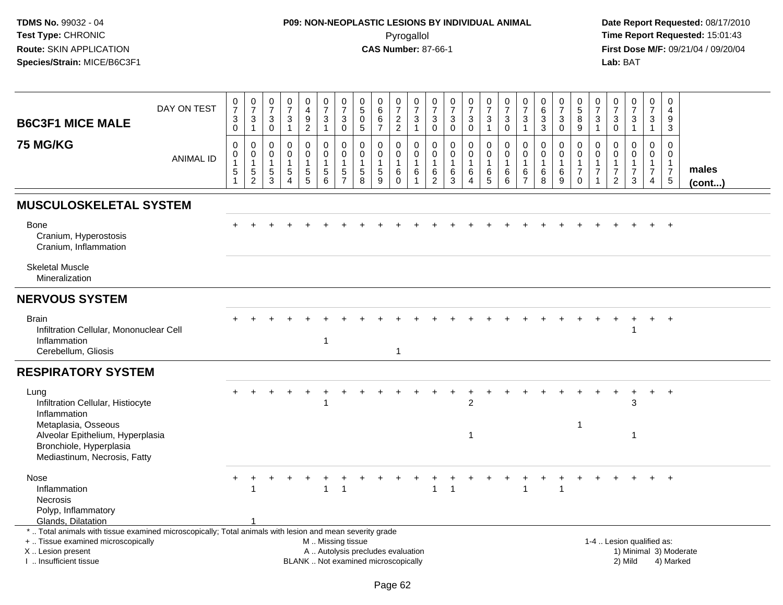## **P09: NON-NEOPLASTIC LESIONS BY INDIVIDUAL ANIMAL**Pyrogallol **Time Report Requested:** 15:01:43

| <b>B6C3F1 MICE MALE</b>                                                                                                        | DAY ON TEST      | $\frac{0}{7}$<br>$\ensuremath{\mathsf{3}}$<br>$\mathbf 0$                 | $\frac{0}{7}$<br>$\ensuremath{\mathsf{3}}$<br>$\mathbf{1}$ | $\frac{0}{7}$<br>$\ensuremath{\mathsf{3}}$<br>0 | $\begin{array}{c} 0 \\ 7 \end{array}$<br>$\ensuremath{\mathsf{3}}$<br>$\mathbf{1}$ | $\mathbf 0$<br>$\overline{4}$<br>$\boldsymbol{9}$<br>$\overline{2}$ | $\frac{0}{7}$<br>$\ensuremath{\mathsf{3}}$<br>$\mathbf{1}$                                    | $\mathbf 0$<br>$\overline{7}$<br>3<br>$\mathbf 0$ | $\begin{array}{c} 0 \\ 5 \end{array}$<br>$\pmb{0}$<br>$5\phantom{.0}$ | $_6^0$<br>6<br>$\overline{7}$ | $\frac{0}{7}$<br>$\frac{2}{2}$                     | $\begin{array}{c} 0 \\ 7 \end{array}$<br>$\ensuremath{\mathsf{3}}$<br>$\mathbf{1}$ | 0<br>$\overline{7}$<br>$\sqrt{3}$<br>$\mathsf{O}$      | $\begin{array}{c} 0 \\ 7 \end{array}$<br>$\sqrt{3}$<br>$\mathbf 0$ | $\frac{0}{7}$<br>$\ensuremath{\mathsf{3}}$<br>$\mathbf 0$ | $\frac{0}{7}$<br>$\ensuremath{\mathsf{3}}$<br>$\mathbf{1}$ | $\frac{0}{7}$<br>$\ensuremath{\mathsf{3}}$<br>$\mathbf 0$ | 0<br>$\overline{7}$<br>$\mathbf{3}$<br>$\mathbf{1}$  | $\begin{array}{c} 0 \\ 6 \end{array}$<br>$\overline{3}$<br>3       | 0<br>$\frac{5}{7}$<br>$\ensuremath{\mathsf{3}}$<br>$\mathbf 0$ | 0<br>$\sqrt{5}$<br>$\, 8$<br>$9\,$                                           | 0<br>$\overline{7}$<br>$\ensuremath{\mathsf{3}}$<br>$\mathbf{1}$ | 0<br>$\overline{7}$<br>3<br>$\mathbf 0$        | $\begin{array}{c} 0 \\ 7 \end{array}$<br>$\ensuremath{\mathsf{3}}$<br>$\mathbf{1}$ | $\mathbf 0$<br>$\overline{7}$<br>$\ensuremath{\mathsf{3}}$<br>$\overline{1}$   | $\mathbf 0$<br>$\overline{4}$<br>9<br>$\mathbf{3}$                      |                        |
|--------------------------------------------------------------------------------------------------------------------------------|------------------|---------------------------------------------------------------------------|------------------------------------------------------------|-------------------------------------------------|------------------------------------------------------------------------------------|---------------------------------------------------------------------|-----------------------------------------------------------------------------------------------|---------------------------------------------------|-----------------------------------------------------------------------|-------------------------------|----------------------------------------------------|------------------------------------------------------------------------------------|--------------------------------------------------------|--------------------------------------------------------------------|-----------------------------------------------------------|------------------------------------------------------------|-----------------------------------------------------------|------------------------------------------------------|--------------------------------------------------------------------|----------------------------------------------------------------|------------------------------------------------------------------------------|------------------------------------------------------------------|------------------------------------------------|------------------------------------------------------------------------------------|--------------------------------------------------------------------------------|-------------------------------------------------------------------------|------------------------|
| <b>75 MG/KG</b>                                                                                                                | <b>ANIMAL ID</b> | $\mathbf 0$<br>$\mathbf 0$<br>$\mathbf{1}$<br>$\,$ 5 $\,$<br>$\mathbf{1}$ | 0<br>$\mathbf 0$<br>$\mathbf{1}$<br>5<br>$\overline{2}$    | 0<br>0<br>$\mathbf{1}$<br>5<br>3                | $\mathbf 0$<br>$\pmb{0}$<br>1<br>$\,$ 5 $\,$<br>$\boldsymbol{\Lambda}$             | 0<br>$\mathbf 0$<br>$\overline{1}$<br>$\frac{5}{5}$                 | $\mathbf 0$<br>$\pmb{0}$<br>$\mathbf{1}$<br>$\sqrt{5}$<br>6                                   | 0<br>$\mathbf 0$<br>1<br>5<br>$\overline{7}$      | $\mathbf 0$<br>$\mathbf 0$<br>$\mathbf{1}$<br>$\sqrt{5}$<br>8         | 0<br>$\mathbf 0$<br>5<br>9    | 0<br>$\pmb{0}$<br>$\mathbf{1}$<br>6<br>$\mathbf 0$ | $\mathbf 0$<br>$\mathbf 0$<br>$\mathbf{1}$<br>6<br>$\overline{1}$                  | $\mathbf 0$<br>$\mathbf 0$<br>$\overline{1}$<br>6<br>2 | $\mathbf 0$<br>$\mathbf 0$<br>$\mathbf{1}$<br>$\,6\,$<br>3         | 0<br>$\mathbf 0$<br>6<br>$\overline{4}$                   | 0<br>$\mathbf 0$<br>$\mathbf{1}$<br>6<br>5                 | $\mathbf 0$<br>$\mathsf 0$<br>$\mathbf{1}$<br>6<br>6      | $\Omega$<br>$\mathbf 0$<br>-1<br>6<br>$\overline{7}$ | $\mathbf 0$<br>$\mathbf 0$<br>$\mathbf{1}$<br>$6\phantom{1}6$<br>8 | 0<br>$\mathbf 0$<br>$\mathbf{1}$<br>$\,6$<br>9                 | $\mathbf 0$<br>$\mathsf{O}$<br>$\mathbf{1}$<br>$\overline{7}$<br>$\mathbf 0$ | $\Omega$<br>$\mathbf 0$<br>1<br>7<br>1                           | $\Omega$<br>$\mathbf 0$<br>$\overline{7}$<br>2 | $\Omega$<br>$\mathbf 0$<br>$\overline{7}$<br>3                                     | $\mathbf 0$<br>$\mathbf 0$<br>$\mathbf{1}$<br>$\overline{7}$<br>$\overline{4}$ | $\Omega$<br>$\mathbf 0$<br>$\mathbf{1}$<br>$\overline{7}$<br>$\sqrt{5}$ | males<br>$($ cont $)$  |
| <b>MUSCULOSKELETAL SYSTEM</b>                                                                                                  |                  |                                                                           |                                                            |                                                 |                                                                                    |                                                                     |                                                                                               |                                                   |                                                                       |                               |                                                    |                                                                                    |                                                        |                                                                    |                                                           |                                                            |                                                           |                                                      |                                                                    |                                                                |                                                                              |                                                                  |                                                |                                                                                    |                                                                                |                                                                         |                        |
| Bone<br>Cranium, Hyperostosis<br>Cranium, Inflammation                                                                         |                  |                                                                           |                                                            |                                                 |                                                                                    |                                                                     |                                                                                               |                                                   |                                                                       |                               |                                                    |                                                                                    |                                                        |                                                                    |                                                           |                                                            |                                                           |                                                      |                                                                    |                                                                |                                                                              |                                                                  |                                                |                                                                                    |                                                                                | $+$                                                                     |                        |
| <b>Skeletal Muscle</b><br>Mineralization                                                                                       |                  |                                                                           |                                                            |                                                 |                                                                                    |                                                                     |                                                                                               |                                                   |                                                                       |                               |                                                    |                                                                                    |                                                        |                                                                    |                                                           |                                                            |                                                           |                                                      |                                                                    |                                                                |                                                                              |                                                                  |                                                |                                                                                    |                                                                                |                                                                         |                        |
| <b>NERVOUS SYSTEM</b>                                                                                                          |                  |                                                                           |                                                            |                                                 |                                                                                    |                                                                     |                                                                                               |                                                   |                                                                       |                               |                                                    |                                                                                    |                                                        |                                                                    |                                                           |                                                            |                                                           |                                                      |                                                                    |                                                                |                                                                              |                                                                  |                                                |                                                                                    |                                                                                |                                                                         |                        |
| <b>Brain</b><br>Infiltration Cellular, Mononuclear Cell<br>Inflammation<br>Cerebellum, Gliosis                                 |                  |                                                                           |                                                            |                                                 |                                                                                    |                                                                     | $\overline{1}$                                                                                |                                                   |                                                                       |                               | $\mathbf{1}$                                       |                                                                                    |                                                        |                                                                    |                                                           |                                                            |                                                           |                                                      |                                                                    |                                                                |                                                                              |                                                                  |                                                |                                                                                    |                                                                                | $\ddot{}$                                                               |                        |
| <b>RESPIRATORY SYSTEM</b>                                                                                                      |                  |                                                                           |                                                            |                                                 |                                                                                    |                                                                     |                                                                                               |                                                   |                                                                       |                               |                                                    |                                                                                    |                                                        |                                                                    |                                                           |                                                            |                                                           |                                                      |                                                                    |                                                                |                                                                              |                                                                  |                                                |                                                                                    |                                                                                |                                                                         |                        |
| Lung<br>Infiltration Cellular, Histiocyte<br>Inflammation<br>Metaplasia, Osseous                                               |                  |                                                                           |                                                            |                                                 |                                                                                    | $\ddot{}$                                                           |                                                                                               |                                                   |                                                                       |                               |                                                    |                                                                                    |                                                        |                                                                    | $\ddot{}$<br>$\mathfrak{p}$                               |                                                            |                                                           |                                                      |                                                                    |                                                                | -1                                                                           |                                                                  | $\ddot{}$                                      | +<br>3                                                                             | $+$                                                                            | $+$                                                                     |                        |
| Alveolar Epithelium, Hyperplasia<br>Bronchiole, Hyperplasia<br>Mediastinum, Necrosis, Fatty                                    |                  |                                                                           |                                                            |                                                 |                                                                                    |                                                                     |                                                                                               |                                                   |                                                                       |                               |                                                    |                                                                                    |                                                        |                                                                    | 1                                                         |                                                            |                                                           |                                                      |                                                                    |                                                                |                                                                              |                                                                  |                                                | $\overline{1}$                                                                     |                                                                                |                                                                         |                        |
| Nose<br>Inflammation<br><b>Necrosis</b><br>Polyp, Inflammatory                                                                 |                  |                                                                           |                                                            |                                                 |                                                                                    |                                                                     |                                                                                               | $\overline{1}$                                    |                                                                       |                               |                                                    |                                                                                    |                                                        |                                                                    |                                                           |                                                            |                                                           |                                                      |                                                                    |                                                                |                                                                              |                                                                  |                                                |                                                                                    |                                                                                | $\ddot{}$                                                               |                        |
| Glands, Dilatation<br>*  Total animals with tissue examined microscopically; Total animals with lesion and mean severity grade |                  |                                                                           |                                                            |                                                 |                                                                                    |                                                                     |                                                                                               |                                                   |                                                                       |                               |                                                    |                                                                                    |                                                        |                                                                    |                                                           |                                                            |                                                           |                                                      |                                                                    |                                                                |                                                                              |                                                                  |                                                |                                                                                    |                                                                                |                                                                         |                        |
| +  Tissue examined microscopically<br>X  Lesion present<br>I  Insufficient tissue                                              |                  |                                                                           |                                                            |                                                 |                                                                                    |                                                                     | M  Missing tissue<br>A  Autolysis precludes evaluation<br>BLANK  Not examined microscopically |                                                   |                                                                       |                               |                                                    |                                                                                    |                                                        |                                                                    |                                                           |                                                            |                                                           |                                                      |                                                                    |                                                                |                                                                              |                                                                  |                                                | 1-4  Lesion qualified as:<br>2) Mild                                               |                                                                                | 4) Marked                                                               | 1) Minimal 3) Moderate |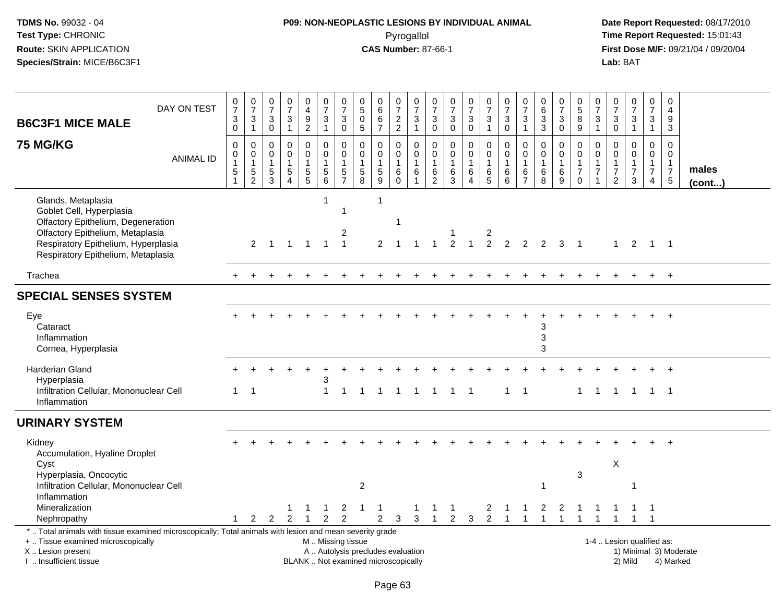# **P09: NON-NEOPLASTIC LESIONS BY INDIVIDUAL ANIMAL**Pyrogallol **Time Report Requested:** 15:01:43

| <b>B6C3F1 MICE MALE</b>                                                                                                                                                                               | DAY ON TEST                                                                                                                                                                                                                                                                                  | 0<br>$\overline{7}$<br>$_{0}^{3}$                                                | $\begin{array}{c} 0 \\ 7 \end{array}$<br>$\frac{3}{1}$        | 0<br>$\overline{7}$<br>$\sqrt{3}$<br>$\mathbf 0$                              | $\frac{0}{7}$<br>$\sqrt{3}$<br>$\mathbf{1}$               | $\begin{array}{c} 0 \\ 4 \end{array}$<br>$\frac{9}{2}$      | $\begin{array}{c} 0 \\ 7 \end{array}$<br>$\sqrt{3}$<br>$\mathbf{1}$                  | $\frac{0}{7}$<br>$\sqrt{3}$<br>$\pmb{0}$                          | $\begin{smallmatrix}0\5\0\end{smallmatrix}$<br>$\sqrt{5}$                           | $\mathbf 0$<br>$\overline{6}$<br>$\,6\,$<br>$\overline{7}$    | $\frac{0}{7}$<br>$\frac{2}{2}$                                          | 0<br>$\overline{7}$<br>$\ensuremath{\mathsf{3}}$<br>$\mathbf{1}$    | $\frac{0}{7}$<br>3<br>$\mathbf 0$                               | 0<br>$\overline{7}$<br>$\sqrt{3}$<br>$\mathbf 0$         | $\begin{array}{c} 0 \\ 7 \end{array}$<br>$\ensuremath{\mathsf{3}}$<br>$\mathbf 0$ | $\mathbf 0$<br>$\overline{7}$<br>$\mathbf{3}$<br>$\mathbf{1}$ | $\frac{0}{7}$<br>$\ensuremath{\mathsf{3}}$<br>$\mathbf 0$               | 0<br>$\overline{7}$<br>$\mathbf{3}$<br>$\overline{1}$                   | $\mathbf 0$<br>$6\phantom{1}6$<br>$\sqrt{3}$<br>$\mathbf{3}$          | $\frac{0}{7}$<br>$\sqrt{3}$<br>$\mathbf 0$                         | $\begin{array}{c} 0 \\ 5 \end{array}$<br>$\,8\,$<br>$\overline{9}$          | $\frac{0}{7}$<br>$\sqrt{3}$<br>$\mathbf{1}$                      | 0<br>$\overline{7}$<br>$\mathbf{3}$<br>$\mathbf 0$                     | $\begin{array}{c} 0 \\ 7 \end{array}$<br>$\frac{3}{1}$                       | 0<br>$\overline{7}$<br>$\sqrt{3}$<br>$\overline{1}$       | $\mathbf 0$<br>$\overline{a}$<br>$9\,$<br>3                                  |                        |
|-------------------------------------------------------------------------------------------------------------------------------------------------------------------------------------------------------|----------------------------------------------------------------------------------------------------------------------------------------------------------------------------------------------------------------------------------------------------------------------------------------------|----------------------------------------------------------------------------------|---------------------------------------------------------------|-------------------------------------------------------------------------------|-----------------------------------------------------------|-------------------------------------------------------------|--------------------------------------------------------------------------------------|-------------------------------------------------------------------|-------------------------------------------------------------------------------------|---------------------------------------------------------------|-------------------------------------------------------------------------|---------------------------------------------------------------------|-----------------------------------------------------------------|----------------------------------------------------------|-----------------------------------------------------------------------------------|---------------------------------------------------------------|-------------------------------------------------------------------------|-------------------------------------------------------------------------|-----------------------------------------------------------------------|--------------------------------------------------------------------|-----------------------------------------------------------------------------|------------------------------------------------------------------|------------------------------------------------------------------------|------------------------------------------------------------------------------|-----------------------------------------------------------|------------------------------------------------------------------------------|------------------------|
| <b>75 MG/KG</b>                                                                                                                                                                                       | <b>ANIMAL ID</b>                                                                                                                                                                                                                                                                             | $\pmb{0}$<br>$\pmb{0}$<br>$\mathbf{1}$<br>$\mathbf 5$<br>$\overline{\mathbf{1}}$ | $\mathsf 0$<br>$\mathbf 0$<br>$\overline{1}$<br>$\frac{5}{2}$ | $\mathbf 0$<br>$\mathbf 0$<br>$\overline{1}$<br>$\,$ 5 $\,$<br>$\overline{3}$ | $\pmb{0}$<br>$\mathbf 0$<br>$\mathbf{1}$<br>$\frac{5}{4}$ | $\mathbf 0$<br>$\mathbf 0$<br>$\mathbf{1}$<br>$\frac{5}{5}$ | $\pmb{0}$<br>$\overline{0}$<br>$\mathbf{1}$<br>$\begin{array}{c} 5 \\ 6 \end{array}$ | $\pmb{0}$<br>$\mathsf{O}\xspace$<br>$\mathbf{1}$<br>$\frac{5}{7}$ | $\mathbf 0$<br>$\pmb{0}$<br>$\overline{1}$<br>$\begin{array}{c} 5 \\ 8 \end{array}$ | $\mathbf 0$<br>$\mathbf 0$<br>$\mathbf{1}$<br>$\sqrt{5}$<br>9 | $\mathbf 0$<br>$\mathbf 0$<br>$\mathbf{1}$<br>$\,6\,$<br>$\overline{0}$ | $\mathbf 0$<br>$\mathbf 0$<br>$\mathbf{1}$<br>$\,6$<br>$\mathbf{1}$ | $\pmb{0}$<br>$\mathbf 0$<br>$\mathbf{1}$<br>6<br>$\overline{2}$ | $\pmb{0}$<br>$\mathbf 0$<br>$\mathbf{1}$<br>$\,6\,$<br>3 | $\mathbf 0$<br>$\mathbf 0$<br>$\mathbf{1}$<br>$\,6$<br>$\overline{4}$             | 0<br>$\mathbf 0$<br>$\overline{1}$<br>$^6$ 5                  | $\pmb{0}$<br>$\mathbf 0$<br>$\overline{1}$<br>$\,6\,$<br>$\overline{6}$ | $\pmb{0}$<br>$\mathbf 0$<br>$\overline{1}$<br>$\,6\,$<br>$\overline{7}$ | $\pmb{0}$<br>$\mathbf 0$<br>$\mathbf{1}$<br>$\,6\,$<br>$\overline{8}$ | $\mathbf 0$<br>$\Omega$<br>$\mathbf{1}$<br>$\,6$<br>$\overline{9}$ | $\pmb{0}$<br>$\mathbf 0$<br>$\mathbf{1}$<br>$\boldsymbol{7}$<br>$\mathbf 0$ | $\pmb{0}$<br>0<br>$\mathbf{1}$<br>$\overline{7}$<br>$\mathbf{1}$ | $\mathbf 0$<br>0<br>$\mathbf{1}$<br>$\boldsymbol{7}$<br>$\overline{c}$ | $\mathbf 0$<br>$\mathbf 0$<br>$\mathbf{1}$<br>$\overline{7}$<br>$\mathbf{3}$ | 0<br>$\mathbf 0$<br>$\overline{1}$<br>$\overline{7}$<br>4 | $\mathbf 0$<br>$\mathbf 0$<br>$\overline{1}$<br>$\overline{7}$<br>$\sqrt{5}$ | males<br>$($ cont $)$  |
| Glands, Metaplasia<br>Goblet Cell, Hyperplasia<br>Olfactory Epithelium, Degeneration<br>Olfactory Epithelium, Metaplasia<br>Respiratory Epithelium, Hyperplasia<br>Respiratory Epithelium, Metaplasia |                                                                                                                                                                                                                                                                                              |                                                                                  | $\overline{2}$                                                |                                                                               | -1                                                        | $\overline{1}$                                              | $\mathbf{1}$<br>1                                                                    | -1<br>$\overline{1}$                                              |                                                                                     | $\overline{1}$<br>$\overline{2}$                              | 1<br>-1                                                                 |                                                                     |                                                                 | $\overline{2}$                                           | $\overline{1}$                                                                    | 2<br>$\overline{2}$                                           | 2                                                                       | 2                                                                       | 2                                                                     | 3                                                                  | $\overline{1}$                                                              |                                                                  | $\mathbf{1}$                                                           | 2                                                                            | $1 \quad 1$                                               |                                                                              |                        |
| Trachea                                                                                                                                                                                               |                                                                                                                                                                                                                                                                                              |                                                                                  |                                                               |                                                                               |                                                           |                                                             |                                                                                      |                                                                   |                                                                                     |                                                               |                                                                         |                                                                     |                                                                 |                                                          |                                                                                   |                                                               |                                                                         |                                                                         |                                                                       |                                                                    |                                                                             |                                                                  |                                                                        |                                                                              |                                                           | $+$                                                                          |                        |
| <b>SPECIAL SENSES SYSTEM</b>                                                                                                                                                                          |                                                                                                                                                                                                                                                                                              |                                                                                  |                                                               |                                                                               |                                                           |                                                             |                                                                                      |                                                                   |                                                                                     |                                                               |                                                                         |                                                                     |                                                                 |                                                          |                                                                                   |                                                               |                                                                         |                                                                         |                                                                       |                                                                    |                                                                             |                                                                  |                                                                        |                                                                              |                                                           |                                                                              |                        |
| Eye<br>Cataract<br>Inflammation<br>Cornea, Hyperplasia                                                                                                                                                |                                                                                                                                                                                                                                                                                              |                                                                                  |                                                               |                                                                               |                                                           |                                                             |                                                                                      |                                                                   |                                                                                     |                                                               |                                                                         |                                                                     |                                                                 |                                                          |                                                                                   |                                                               |                                                                         |                                                                         | 3<br>3                                                                |                                                                    |                                                                             |                                                                  |                                                                        |                                                                              |                                                           |                                                                              |                        |
| <b>Harderian Gland</b><br>Hyperplasia<br>Inflammation                                                                                                                                                 | 3<br>Infiltration Cellular, Mononuclear Cell<br>$\mathbf{1}$<br>$\overline{1}$<br>$1 \quad 1$<br>$\mathbf{1}$<br>$\overline{1}$<br>$\overline{1}$<br>$1 \quad 1$<br>$\mathbf{1}$<br>-1<br>$\mathbf 1$<br>$\overline{1}$<br>$\overline{1}$<br>$\overline{1}$<br>$\overline{1}$<br>1<br>$-1$ 1 |                                                                                  |                                                               |                                                                               |                                                           |                                                             |                                                                                      |                                                                   |                                                                                     |                                                               |                                                                         |                                                                     |                                                                 |                                                          |                                                                                   |                                                               |                                                                         |                                                                         |                                                                       |                                                                    |                                                                             |                                                                  |                                                                        |                                                                              |                                                           |                                                                              |                        |
| <b>URINARY SYSTEM</b>                                                                                                                                                                                 |                                                                                                                                                                                                                                                                                              |                                                                                  |                                                               |                                                                               |                                                           |                                                             |                                                                                      |                                                                   |                                                                                     |                                                               |                                                                         |                                                                     |                                                                 |                                                          |                                                                                   |                                                               |                                                                         |                                                                         |                                                                       |                                                                    |                                                                             |                                                                  |                                                                        |                                                                              |                                                           |                                                                              |                        |
| Kidney<br>Accumulation, Hyaline Droplet<br>Cyst<br>Hyperplasia, Oncocytic<br>Infiltration Cellular, Mononuclear Cell<br>Inflammation                                                                  |                                                                                                                                                                                                                                                                                              |                                                                                  |                                                               |                                                                               |                                                           |                                                             |                                                                                      |                                                                   | $\overline{2}$                                                                      |                                                               |                                                                         |                                                                     |                                                                 |                                                          |                                                                                   |                                                               |                                                                         |                                                                         | -1                                                                    |                                                                    | 3                                                                           |                                                                  | $\mathsf X$                                                            | 1                                                                            |                                                           |                                                                              |                        |
| Mineralization<br>Nephropathy                                                                                                                                                                         |                                                                                                                                                                                                                                                                                              | $\mathbf{1}$                                                                     | 2                                                             | 2                                                                             | 2                                                         | $\overline{1}$                                              | $\overline{2}$                                                                       | 2                                                                 |                                                                                     | $\overline{2}$                                                | 3                                                                       | 3                                                                   | $\mathbf{1}$                                                    | 2                                                        | 3                                                                                 | $\overline{c}$<br>$\overline{2}$                              | -1                                                                      |                                                                         |                                                                       | 2<br>$\mathbf{1}$                                                  |                                                                             |                                                                  |                                                                        | $\overline{1}$                                                               | $\overline{1}$                                            |                                                                              |                        |
| *  Total animals with tissue examined microscopically; Total animals with lesion and mean severity grade<br>+  Tissue examined microscopically<br>X  Lesion present<br>I  Insufficient tissue         |                                                                                                                                                                                                                                                                                              |                                                                                  |                                                               |                                                                               |                                                           |                                                             | M  Missing tissue                                                                    |                                                                   | A  Autolysis precludes evaluation<br>BLANK  Not examined microscopically            |                                                               |                                                                         |                                                                     |                                                                 |                                                          |                                                                                   |                                                               |                                                                         |                                                                         |                                                                       |                                                                    |                                                                             |                                                                  |                                                                        | 1-4  Lesion qualified as:<br>2) Mild                                         |                                                           | 4) Marked                                                                    | 1) Minimal 3) Moderate |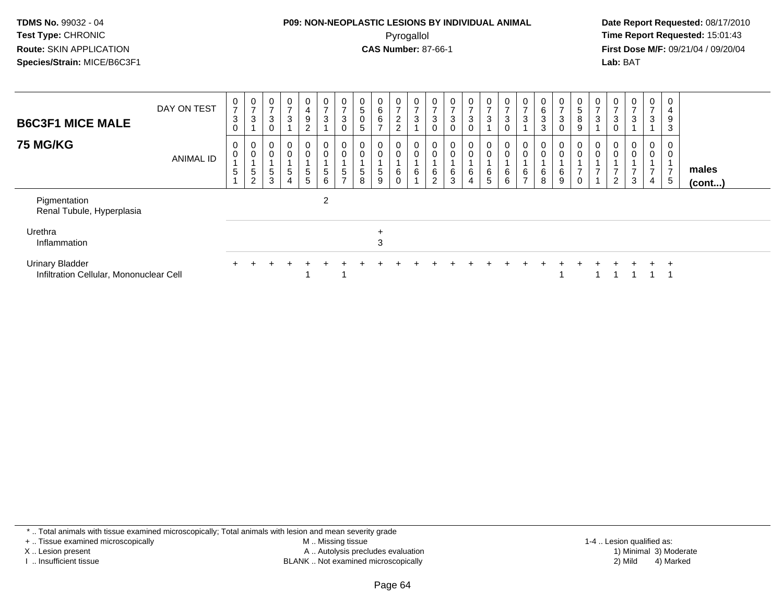#### **P09: NON-NEOPLASTIC LESIONS BY INDIVIDUAL ANIMAL**Pyrogallol **Time Report Requested:** 15:01:43

 **Date Report Requested:** 08/17/2010 **First Dose M/F:** 09/21/04 / 09/20/04<br>**Lab:** BAT **Lab:** BAT

| <b>B6C3F1 MICE MALE</b><br><b>75 MG/KG</b>                        | DAY ON TEST<br><b>ANIMAL ID</b> | 0<br>$\overline{ }$<br>3<br>$\Omega$<br>0<br>$\mathbf 0$<br>5 | 0<br>$\overline{ }$<br>3<br>0<br>0<br>5<br>$\sim$ | $\mathbf{0}$<br>$\overline{ }$<br>3<br>$\Omega$<br>0<br>$\mathbf 0$<br>$\,$ 5 $\,$<br>3 | $\overline{0}$<br>$\rightarrow$<br>$\mathbf{3}$<br>0<br>0<br>5<br>4 | $\mathbf{0}$<br>4<br>9<br>$\Omega$<br>0<br>0<br>$5\phantom{.0}$<br>5 | 0<br>$\overline{ }$<br>$\mathbf{3}$<br>$\mathbf 0$<br>$\pmb{0}$<br>$\sqrt{5}$<br>$6\phantom{1}6$ | 0<br>$\overline{ }$<br>$\mathbf{3}$<br>$\mathbf 0$<br>0<br>$\pmb{0}$<br>5<br>$\rightarrow$ | 0<br>5<br>$\boldsymbol{0}$<br>5<br>0<br>$\pmb{0}$<br>5<br>8 | 0<br>6<br>6<br>$\rightarrow$<br>0<br>0<br>5<br>9 | 0<br>$\overline{ }$<br>$\overline{c}$<br>$\overline{2}$<br>0<br>$\mathbf 0$<br>6<br>$\overline{0}$ | $\frac{0}{7}$<br>$\mathbf{3}$<br>$_0^0$<br>6 | $\mathbf 0$<br>$\overline{ }$<br>3<br>0<br>$_{0}^{0}$<br>6<br>$\overline{c}$ | $\frac{0}{7}$<br>$\sqrt{3}$<br>$\mathbf 0$<br>$\begin{smallmatrix} 0\\0 \end{smallmatrix}$<br>$^6_3$ | $\mathbf{0}$<br>$\overline{ }$<br>3<br>0<br>0<br>6<br>4 | 0<br>$\overline{7}$<br>$\sqrt{3}$<br>$\mathbf 0$<br>$\pmb{0}$<br>$\,6\,$<br>5 | $\overline{0}$<br>3<br>0<br>$\mathbf 0$<br>6<br>6 | 0<br>$\overline{ }$<br>3<br>$\boldsymbol{0}$<br>$\mathbf 0$<br>6<br>$\overline{ }$ | $\mathbf{0}$<br>6<br>3<br>3<br>0<br>$\pmb{0}$<br>$\frac{6}{8}$ | $\mathbf{0}$<br>$\rightarrow$<br>3<br>0<br>0<br>0<br>6<br>9 | 0<br>$\sqrt{5}$<br>$\,8\,$<br>$9\,$<br>0<br>$\pmb{0}$<br>$\overline{ }$<br>$\mathbf 0$ | 0<br>$\overline{ }$<br>3<br>0<br>$\pmb{0}$<br>$\overline{ }$ | 0<br>$\overline{7}$<br>3<br>$\mathbf 0$<br>0<br>$\pmb{0}$<br>$\overline{ }$<br>$\overline{2}$ | 0<br>$\overline{ }$<br>3<br>0<br>0<br>3 | 0<br>$\overline{ }$<br>3<br>$\mathbf 0$<br>0<br>$\overline{ }$<br>$\overline{4}$ | 0<br>4<br>9<br>3<br>0<br>0<br>$\overline{ }$<br>5 | males<br>$($ cont $)$ |  |
|-------------------------------------------------------------------|---------------------------------|---------------------------------------------------------------|---------------------------------------------------|-----------------------------------------------------------------------------------------|---------------------------------------------------------------------|----------------------------------------------------------------------|--------------------------------------------------------------------------------------------------|--------------------------------------------------------------------------------------------|-------------------------------------------------------------|--------------------------------------------------|----------------------------------------------------------------------------------------------------|----------------------------------------------|------------------------------------------------------------------------------|------------------------------------------------------------------------------------------------------|---------------------------------------------------------|-------------------------------------------------------------------------------|---------------------------------------------------|------------------------------------------------------------------------------------|----------------------------------------------------------------|-------------------------------------------------------------|----------------------------------------------------------------------------------------|--------------------------------------------------------------|-----------------------------------------------------------------------------------------------|-----------------------------------------|----------------------------------------------------------------------------------|---------------------------------------------------|-----------------------|--|
| Pigmentation<br>Renal Tubule, Hyperplasia                         |                                 |                                                               |                                                   |                                                                                         |                                                                     |                                                                      | $\overline{2}$                                                                                   |                                                                                            |                                                             |                                                  |                                                                                                    |                                              |                                                                              |                                                                                                      |                                                         |                                                                               |                                                   |                                                                                    |                                                                |                                                             |                                                                                        |                                                              |                                                                                               |                                         |                                                                                  |                                                   |                       |  |
| Urethra<br>Inflammation                                           |                                 |                                                               |                                                   |                                                                                         |                                                                     |                                                                      |                                                                                                  |                                                                                            |                                                             | 3                                                |                                                                                                    |                                              |                                                                              |                                                                                                      |                                                         |                                                                               |                                                   |                                                                                    |                                                                |                                                             |                                                                                        |                                                              |                                                                                               |                                         |                                                                                  |                                                   |                       |  |
| <b>Urinary Bladder</b><br>Infiltration Cellular, Mononuclear Cell |                                 |                                                               |                                                   |                                                                                         |                                                                     |                                                                      |                                                                                                  |                                                                                            |                                                             |                                                  |                                                                                                    |                                              |                                                                              |                                                                                                      |                                                         |                                                                               |                                                   |                                                                                    |                                                                |                                                             |                                                                                        |                                                              |                                                                                               |                                         |                                                                                  | $\pm$                                             |                       |  |

\* .. Total animals with tissue examined microscopically; Total animals with lesion and mean severity grade

+ .. Tissue examined microscopically

X .. Lesion present

I .. Insufficient tissue

 M .. Missing tissueA .. Autolysis precludes evaluation

BLANK .. Not examined microscopically 2) Mild 4) Marked

1-4 .. Lesion qualified as: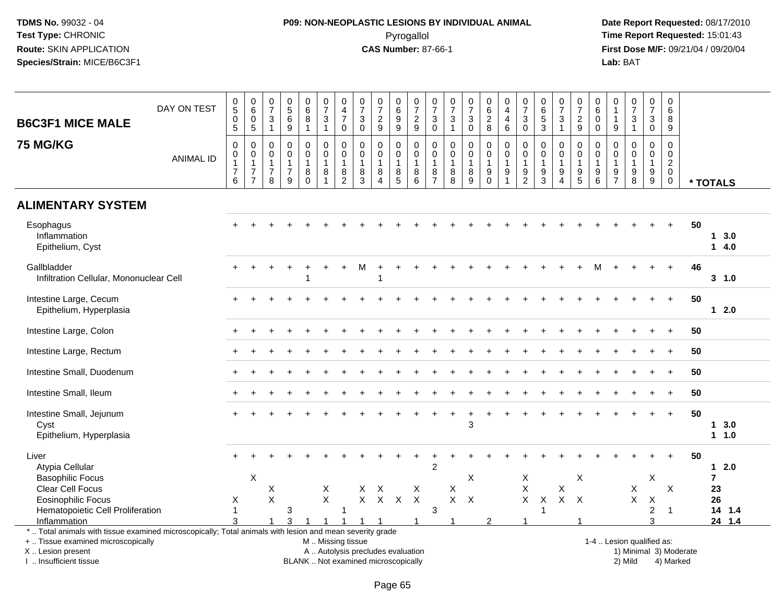# **P09: NON-NEOPLASTIC LESIONS BY INDIVIDUAL ANIMAL**Pyrogallol **Time Report Requested:** 15:01:43

| <b>B6C3F1 MICE MALE</b>                                                                                  | DAY ON TEST      | $\begin{array}{c} 0 \\ 5 \end{array}$<br>$\mathbf 0$<br>$\overline{5}$ | $\begin{array}{c} 0 \\ 6 \end{array}$<br>$\mathbf 0$<br>$\overline{5}$         | $\pmb{0}$<br>$\overline{7}$<br>$\ensuremath{\mathsf{3}}$<br>$\mathbf{1}$ | 0<br>$\overline{5}$<br>$\,6$<br>9                   | $_{6}^{\rm 0}$<br>$\bf 8$<br>$\mathbf{1}$ | $\begin{smallmatrix}0\\7\end{smallmatrix}$<br>$\ensuremath{\mathsf{3}}$<br>$\mathbf{1}$ | $\pmb{0}$<br>$\overline{4}$<br>$\overline{7}$<br>0                    | $\frac{0}{7}$<br>$\ensuremath{\mathsf{3}}$<br>$\mathbf 0$ | $\begin{array}{c} 0 \\ 7 \end{array}$<br>$\sqrt{2}$<br>9               | $\begin{array}{c} 0 \\ 6 \end{array}$<br>$\boldsymbol{9}$<br>$9\,$ | $\frac{0}{7}$<br>$\frac{2}{9}$             | $\frac{0}{7}$<br>$\ensuremath{\mathsf{3}}$<br>$\mathbf 0$         | $\pmb{0}$<br>$\overline{7}$<br>$\ensuremath{\mathsf{3}}$<br>$\mathbf{1}$ | $\frac{0}{7}$<br>$\ensuremath{\mathsf{3}}$<br>$\mathbf 0$             | $\begin{array}{c} 0 \\ 6 \end{array}$<br>$\frac{2}{8}$ | $\begin{smallmatrix}0\\4\end{smallmatrix}$<br>$\overline{4}$<br>6              | $\frac{0}{7}$<br>$\ensuremath{\mathsf{3}}$<br>$\mathbf 0$ | $\begin{array}{c} 0 \\ 6 \\ 5 \\ 3 \end{array}$             | $\frac{0}{7}$<br>$\mathsf 3$<br>$\mathbf{1}$                       | $\frac{0}{7}$<br>$\frac{2}{9}$                                            | 0<br>$\overline{6}$<br>$\pmb{0}$<br>$\mathbf 0$                             | 0<br>$\overline{1}$<br>9                                         | $\frac{0}{7}$<br>$\ensuremath{\mathsf{3}}$<br>$\mathbf{1}$       | $\frac{0}{7}$<br>$\ensuremath{\mathsf{3}}$<br>$\mathbf 0$ | 0<br>6<br>$\bf 8$<br>$\boldsymbol{9}$                                      |    |                |
|----------------------------------------------------------------------------------------------------------|------------------|------------------------------------------------------------------------|--------------------------------------------------------------------------------|--------------------------------------------------------------------------|-----------------------------------------------------|-------------------------------------------|-----------------------------------------------------------------------------------------|-----------------------------------------------------------------------|-----------------------------------------------------------|------------------------------------------------------------------------|--------------------------------------------------------------------|--------------------------------------------|-------------------------------------------------------------------|--------------------------------------------------------------------------|-----------------------------------------------------------------------|--------------------------------------------------------|--------------------------------------------------------------------------------|-----------------------------------------------------------|-------------------------------------------------------------|--------------------------------------------------------------------|---------------------------------------------------------------------------|-----------------------------------------------------------------------------|------------------------------------------------------------------|------------------------------------------------------------------|-----------------------------------------------------------|----------------------------------------------------------------------------|----|----------------|
| <b>75 MG/KG</b>                                                                                          | <b>ANIMAL ID</b> | 0<br>$\mathbf 0$<br>$\overline{7}$<br>6                                | $\mathbf 0$<br>$\pmb{0}$<br>$\overline{1}$<br>$\overline{7}$<br>$\overline{7}$ | $\mathbf 0$<br>0<br>$\mathbf{1}$<br>$\overline{7}$<br>8                  | $\Omega$<br>$\mathbf 0$<br>1<br>$\overline{7}$<br>9 | 0<br>$\mathbf 0$<br>1<br>8<br>$\Omega$    | $\mathbf 0$<br>$\mathbf 0$<br>$\mathbf{1}$<br>8<br>$\overline{1}$                       | $\mathbf 0$<br>$\pmb{0}$<br>$\mathbf{1}$<br>$\bf 8$<br>$\overline{2}$ | $\mathbf 0$<br>$\pmb{0}$<br>$\mathbf{1}$<br>$\frac{8}{3}$ | $\mathbf 0$<br>$\mathbf 0$<br>$\mathbf{1}$<br>$\bf8$<br>$\overline{A}$ | 0<br>$\mathbf 0$<br>$\mathbf{1}$<br>$\, 8$<br>$\overline{5}$       | 0<br>$\mathbf 0$<br>$\mathbf{1}$<br>8<br>6 | $\mathbf 0$<br>$\mathbf 0$<br>$\mathbf{1}$<br>8<br>$\overline{7}$ | $\mathbf 0$<br>$\mathbf 0$<br>$\mathbf{1}$<br>$\,8\,$<br>8               | $\mathbf 0$<br>$\pmb{0}$<br>$\mathbf{1}$<br>$\bf 8$<br>$\overline{9}$ | 0<br>$\pmb{0}$<br>$\mathbf{1}$<br>9<br>$\mathbf 0$     | $\mathbf 0$<br>$\mathbf 0$<br>$\mathbf{1}$<br>$\boldsymbol{9}$<br>$\mathbf{1}$ | 0<br>0<br>1<br>9<br>$\overline{2}$                        | $\mathbf 0$<br>$\mathbf 0$<br>$\mathbf{1}$<br>$\frac{9}{3}$ | $\mathbf 0$<br>$\mathsf{O}$<br>$\mathbf{1}$<br>9<br>$\overline{4}$ | 0<br>$\mathbf 0$<br>$\mathbf{1}$<br>$\begin{array}{c} 9 \\ 5 \end{array}$ | $\mathbf 0$<br>$\mathbf 0$<br>$\overline{1}$<br>$\boldsymbol{9}$<br>$\,6\,$ | $\Omega$<br>$\mathbf 0$<br>$\overline{1}$<br>9<br>$\overline{7}$ | $\Omega$<br>$\mathbf 0$<br>$\mathbf{1}$<br>$\boldsymbol{9}$<br>8 | $\mathbf 0$<br>$\overline{0}$<br>$\mathbf{1}$<br>9<br>9   | $\mathbf 0$<br>$\mathbf 0$<br>$\overline{a}$<br>$\mathbf 0$<br>$\mathbf 0$ |    | * TOTALS       |
| <b>ALIMENTARY SYSTEM</b>                                                                                 |                  |                                                                        |                                                                                |                                                                          |                                                     |                                           |                                                                                         |                                                                       |                                                           |                                                                        |                                                                    |                                            |                                                                   |                                                                          |                                                                       |                                                        |                                                                                |                                                           |                                                             |                                                                    |                                                                           |                                                                             |                                                                  |                                                                  |                                                           |                                                                            |    |                |
| Esophagus<br>Inflammation<br>Epithelium, Cyst                                                            |                  |                                                                        |                                                                                |                                                                          |                                                     |                                           |                                                                                         |                                                                       |                                                           |                                                                        |                                                                    |                                            |                                                                   |                                                                          |                                                                       |                                                        |                                                                                |                                                           |                                                             |                                                                    |                                                                           |                                                                             |                                                                  |                                                                  |                                                           |                                                                            | 50 | 13.0<br>14.0   |
| Gallbladder<br>Infiltration Cellular, Mononuclear Cell                                                   |                  |                                                                        |                                                                                |                                                                          |                                                     |                                           |                                                                                         |                                                                       | м                                                         |                                                                        |                                                                    |                                            |                                                                   |                                                                          |                                                                       |                                                        |                                                                                |                                                           |                                                             |                                                                    |                                                                           |                                                                             |                                                                  |                                                                  |                                                           | $\ddot{}$                                                                  | 46 | $3 - 1.0$      |
| Intestine Large, Cecum<br>Epithelium, Hyperplasia                                                        |                  |                                                                        |                                                                                |                                                                          |                                                     |                                           |                                                                                         |                                                                       |                                                           |                                                                        |                                                                    |                                            |                                                                   |                                                                          |                                                                       |                                                        |                                                                                |                                                           |                                                             |                                                                    |                                                                           |                                                                             |                                                                  |                                                                  |                                                           | $+$                                                                        | 50 | $12.0$         |
| Intestine Large, Colon                                                                                   |                  |                                                                        |                                                                                |                                                                          |                                                     |                                           |                                                                                         |                                                                       |                                                           |                                                                        |                                                                    |                                            |                                                                   |                                                                          |                                                                       |                                                        |                                                                                |                                                           |                                                             |                                                                    |                                                                           |                                                                             |                                                                  |                                                                  |                                                           |                                                                            | 50 |                |
| Intestine Large, Rectum                                                                                  |                  |                                                                        |                                                                                |                                                                          |                                                     |                                           |                                                                                         |                                                                       |                                                           |                                                                        |                                                                    |                                            |                                                                   |                                                                          |                                                                       |                                                        |                                                                                |                                                           |                                                             |                                                                    |                                                                           |                                                                             |                                                                  |                                                                  |                                                           |                                                                            | 50 |                |
| Intestine Small, Duodenum                                                                                |                  |                                                                        |                                                                                |                                                                          |                                                     |                                           |                                                                                         |                                                                       |                                                           |                                                                        |                                                                    |                                            |                                                                   |                                                                          |                                                                       |                                                        |                                                                                |                                                           |                                                             |                                                                    |                                                                           |                                                                             |                                                                  |                                                                  |                                                           | $\div$                                                                     | 50 |                |
| Intestine Small, Ileum                                                                                   |                  |                                                                        |                                                                                |                                                                          |                                                     |                                           |                                                                                         |                                                                       |                                                           |                                                                        |                                                                    |                                            |                                                                   |                                                                          |                                                                       |                                                        |                                                                                |                                                           |                                                             |                                                                    |                                                                           |                                                                             |                                                                  |                                                                  |                                                           |                                                                            | 50 |                |
| Intestine Small, Jejunum<br>Cyst<br>Epithelium, Hyperplasia                                              |                  |                                                                        |                                                                                |                                                                          |                                                     |                                           |                                                                                         |                                                                       |                                                           |                                                                        |                                                                    |                                            |                                                                   |                                                                          | 3                                                                     |                                                        |                                                                                |                                                           |                                                             |                                                                    |                                                                           |                                                                             |                                                                  |                                                                  |                                                           | $\ddot{}$                                                                  | 50 | 13.0<br>11.0   |
| Liver<br>Atypia Cellular                                                                                 |                  |                                                                        |                                                                                |                                                                          |                                                     |                                           |                                                                                         |                                                                       |                                                           |                                                                        |                                                                    |                                            | $\overline{2}$                                                    |                                                                          |                                                                       |                                                        |                                                                                |                                                           |                                                             |                                                                    |                                                                           |                                                                             |                                                                  |                                                                  |                                                           |                                                                            | 50 | 12.0           |
| <b>Basophilic Focus</b>                                                                                  |                  |                                                                        | X                                                                              |                                                                          |                                                     |                                           |                                                                                         |                                                                       |                                                           |                                                                        |                                                                    |                                            |                                                                   |                                                                          | X                                                                     |                                                        |                                                                                | X                                                         |                                                             |                                                                    | X                                                                         |                                                                             |                                                                  |                                                                  | X                                                         |                                                                            |    | $\overline{7}$ |
| Clear Cell Focus                                                                                         |                  |                                                                        |                                                                                | Х                                                                        |                                                     |                                           | Χ                                                                                       |                                                                       | X                                                         | Χ                                                                      |                                                                    | Χ                                          |                                                                   | X                                                                        |                                                                       |                                                        |                                                                                | $\mathsf X$                                               |                                                             | Χ                                                                  |                                                                           |                                                                             |                                                                  | X                                                                |                                                           | X                                                                          |    | 23             |
| <b>Eosinophilic Focus</b>                                                                                |                  | X                                                                      |                                                                                | $\sf X$                                                                  |                                                     |                                           | $\sf X$                                                                                 |                                                                       | $\mathsf{X}$                                              | $\mathsf{X}$                                                           | $\boldsymbol{X}$                                                   | $\boldsymbol{\mathsf{X}}$                  |                                                                   | X                                                                        | $\times$                                                              |                                                        |                                                                                | $\boldsymbol{\mathsf{X}}$                                 | $\pmb{\times}$                                              |                                                                    | $X$ $X$                                                                   |                                                                             |                                                                  | $\mathsf X$                                                      | X                                                         |                                                                            |    | 26             |
| Hematopoietic Cell Proliferation                                                                         |                  | 1                                                                      |                                                                                |                                                                          | 3                                                   |                                           |                                                                                         | -1                                                                    |                                                           |                                                                        |                                                                    |                                            | 3                                                                 |                                                                          |                                                                       |                                                        |                                                                                |                                                           | -1                                                          |                                                                    |                                                                           |                                                                             |                                                                  |                                                                  | $\overline{c}$                                            | $\overline{1}$                                                             |    | 14 1.4         |
| Inflammation                                                                                             |                  | 3                                                                      |                                                                                |                                                                          |                                                     |                                           |                                                                                         |                                                                       |                                                           |                                                                        |                                                                    |                                            |                                                                   |                                                                          |                                                                       | $\mathcal{P}$                                          |                                                                                |                                                           |                                                             |                                                                    |                                                                           |                                                                             |                                                                  |                                                                  | 3                                                         |                                                                            |    | 24 1.4         |
| *  Total animals with tissue examined microscopically; Total animals with lesion and mean severity grade |                  |                                                                        |                                                                                |                                                                          |                                                     |                                           |                                                                                         |                                                                       |                                                           |                                                                        |                                                                    |                                            |                                                                   |                                                                          |                                                                       |                                                        |                                                                                |                                                           |                                                             |                                                                    |                                                                           |                                                                             |                                                                  |                                                                  |                                                           |                                                                            |    |                |
| +  Tissue examined microscopically                                                                       |                  |                                                                        |                                                                                |                                                                          |                                                     |                                           | M  Missing tissue                                                                       |                                                                       |                                                           |                                                                        |                                                                    |                                            |                                                                   |                                                                          |                                                                       |                                                        |                                                                                |                                                           |                                                             |                                                                    |                                                                           |                                                                             |                                                                  | 1-4  Lesion qualified as:                                        |                                                           |                                                                            |    |                |
| X  Lesion present                                                                                        |                  |                                                                        |                                                                                |                                                                          |                                                     |                                           |                                                                                         |                                                                       | A  Autolysis precludes evaluation                         |                                                                        |                                                                    |                                            |                                                                   |                                                                          |                                                                       |                                                        |                                                                                |                                                           |                                                             |                                                                    |                                                                           |                                                                             |                                                                  |                                                                  |                                                           | 1) Minimal 3) Moderate                                                     |    |                |
| I. Insufficient tissue                                                                                   |                  |                                                                        |                                                                                |                                                                          |                                                     |                                           |                                                                                         |                                                                       | BLANK  Not examined microscopically                       |                                                                        |                                                                    |                                            |                                                                   |                                                                          |                                                                       |                                                        |                                                                                |                                                           |                                                             |                                                                    |                                                                           |                                                                             |                                                                  | 2) Mild                                                          |                                                           | 4) Marked                                                                  |    |                |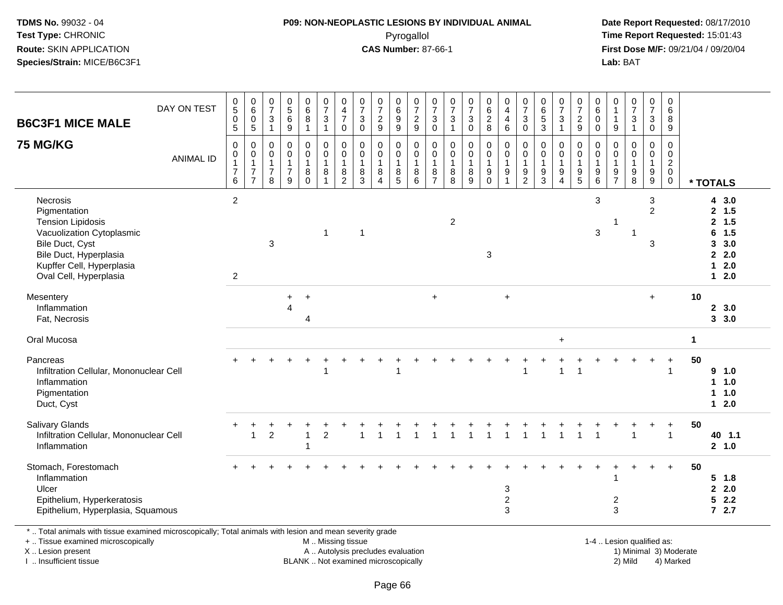### **P09: NON-NEOPLASTIC LESIONS BY INDIVIDUAL ANIMAL**Pyrogallol **Time Report Requested:** 15:01:43

 **Date Report Requested:** 08/17/2010 **First Dose M/F:** 09/21/04 / 09/20/04<br>Lab: BAT **Lab:** BAT

| <b>B6C3F1 MICE MALE</b>                                                                                                                                                               | DAY ON TEST      | $\begin{array}{c} 0 \\ 5 \end{array}$<br>$\pmb{0}$<br>$\overline{5}$         | $\begin{matrix} 0 \\ 6 \end{matrix}$<br>$\mathbf 0$<br>5                     | $\frac{0}{7}$<br>$\mathsf 3$<br>$\mathbf{1}$                      | $\begin{matrix}0\5\6\end{matrix}$<br>9                             | $\begin{matrix} 0 \\ 6 \\ 8 \end{matrix}$<br>$\mathbf{1}$ | $\frac{0}{7}$<br>$\sqrt{3}$<br>1                                  | $\begin{smallmatrix}0\0\4\end{smallmatrix}$<br>$\overline{7}$<br>0 | $\frac{0}{7}$<br>$\sqrt{3}$<br>$\mathbf 0$             | $\frac{0}{7}$<br>$\overline{c}$<br>9                  | 0<br>$\,6\,$<br>$\boldsymbol{9}$<br>$\boldsymbol{9}$           | $\frac{0}{7}$<br>$\frac{2}{9}$             | $\frac{0}{7}$<br>$\mathbf{3}$<br>$\mathbf 0$            | $\frac{0}{7}$<br>$\mathbf{3}$<br>$\mathbf{1}$             | $\frac{0}{7}$<br>3<br>0                    | $\begin{matrix} 0 \\ 6 \\ 2 \end{matrix}$<br>$\,8\,$                       | 0<br>$\overline{4}$<br>$\overline{4}$<br>$\,6\,$ | $\frac{0}{7}$<br>$\sqrt{3}$<br>$\mathbf 0$                      | 0<br>$\overline{6}$<br>$\overline{5}$<br>3 | $\frac{0}{7}$<br>$\mathbf{3}$<br>$\mathbf{1}$                                | $\frac{0}{7}$<br>$\overline{c}$<br>9       | $_{6}^{\rm 0}$<br>$\pmb{0}$<br>0                                | $\begin{smallmatrix}0\\1\end{smallmatrix}$<br>$\mathbf{1}$<br>$\boldsymbol{9}$           | $\frac{0}{7}$<br>$\sqrt{3}$<br>$\overline{1}$            | $\frac{0}{7}$<br>$\mathfrak{S}$<br>0                                | 0<br>6<br>8<br>9                                       |                      |                                                                                                        |  |
|---------------------------------------------------------------------------------------------------------------------------------------------------------------------------------------|------------------|------------------------------------------------------------------------------|------------------------------------------------------------------------------|-------------------------------------------------------------------|--------------------------------------------------------------------|-----------------------------------------------------------|-------------------------------------------------------------------|--------------------------------------------------------------------|--------------------------------------------------------|-------------------------------------------------------|----------------------------------------------------------------|--------------------------------------------|---------------------------------------------------------|-----------------------------------------------------------|--------------------------------------------|----------------------------------------------------------------------------|--------------------------------------------------|-----------------------------------------------------------------|--------------------------------------------|------------------------------------------------------------------------------|--------------------------------------------|-----------------------------------------------------------------|------------------------------------------------------------------------------------------|----------------------------------------------------------|---------------------------------------------------------------------|--------------------------------------------------------|----------------------|--------------------------------------------------------------------------------------------------------|--|
| <b>75 MG/KG</b>                                                                                                                                                                       | <b>ANIMAL ID</b> | $\mathbf 0$<br>$\boldsymbol{0}$<br>$\mathbf{1}$<br>$\overline{7}$<br>$\,6\,$ | $\mathbf 0$<br>$\pmb{0}$<br>$\mathbf{1}$<br>$\overline{7}$<br>$\overline{7}$ | $\mathbf 0$<br>$\pmb{0}$<br>$\mathbf{1}$<br>$\boldsymbol{7}$<br>8 | $\mathsf{O}$<br>$\mathbf 0$<br>$\mathbf{1}$<br>$\overline{7}$<br>9 | $\pmb{0}$<br>$\pmb{0}$<br>$\mathbf{1}$<br>8<br>$\Omega$   | $\mathbf 0$<br>$\pmb{0}$<br>$\overline{1}$<br>8<br>$\overline{ }$ | $\mathbf 0$<br>$\pmb{0}$<br>$\overline{1}$<br>$\bf 8$<br>2         | $\mathbf 0$<br>$\mathbf 0$<br>$\overline{1}$<br>8<br>3 | 0<br>$\pmb{0}$<br>$\mathbf{1}$<br>8<br>$\overline{4}$ | $\mathbf 0$<br>$\mathsf{O}\xspace$<br>$\overline{1}$<br>8<br>5 | 0<br>$\mathbf 0$<br>$\mathbf{1}$<br>8<br>6 | $\mathbf 0$<br>0<br>$\mathbf{1}$<br>8<br>$\overline{7}$ | $\mathbf 0$<br>$\boldsymbol{0}$<br>$\mathbf{1}$<br>8<br>8 | 0<br>$\mathbf 0$<br>$\mathbf{1}$<br>8<br>9 | $\mathbf 0$<br>$\pmb{0}$<br>$\overline{1}$<br>$\boldsymbol{9}$<br>$\Omega$ | 0<br>$\mathbf 0$<br>$\mathbf{1}$<br>9            | $\mathbf 0$<br>$\pmb{0}$<br>$\mathbf{1}$<br>9<br>$\overline{2}$ | 0<br>$\mathbf 0$<br>9<br>3                 | 0<br>$\pmb{0}$<br>$\mathbf{1}$<br>$\boldsymbol{9}$<br>$\boldsymbol{\Lambda}$ | $\mathbf 0$<br>0<br>$\mathbf{1}$<br>9<br>5 | 0<br>0<br>$\mathbf{1}$<br>$\begin{array}{c} 9 \\ 6 \end{array}$ | $\mathbf 0$<br>$\mathsf{O}\xspace$<br>$\mathbf{1}$<br>$\boldsymbol{9}$<br>$\overline{7}$ | $\pmb{0}$<br>$\pmb{0}$<br>$\mathbf{1}$<br>$_{8}^{\rm 9}$ | $\mathbf 0$<br>$\mathbf 0$<br>$\mathbf{1}$<br>$\boldsymbol{9}$<br>9 | $\mathbf 0$<br>0<br>$\overline{2}$<br>$\mathbf 0$<br>0 |                      | * TOTALS                                                                                               |  |
| Necrosis<br>Pigmentation<br><b>Tension Lipidosis</b><br>Vacuolization Cytoplasmic<br>Bile Duct, Cyst<br>Bile Duct, Hyperplasia<br>Kupffer Cell, Hyperplasia<br>Oval Cell, Hyperplasia |                  | $\overline{2}$<br>$\overline{c}$                                             |                                                                              | $\sqrt{3}$                                                        |                                                                    |                                                           | $\overline{1}$                                                    |                                                                    | $\overline{\mathbf{1}}$                                |                                                       |                                                                |                                            |                                                         | $\overline{2}$                                            |                                            | 3                                                                          |                                                  |                                                                 |                                            |                                                                              |                                            | $\mathfrak{S}$<br>$\mathfrak{S}$                                | -1                                                                                       |                                                          | $\sqrt{3}$<br>$\overline{2}$<br>3                                   |                                                        |                      | 4 3.0<br>2, 1.5<br>1.5<br>$\mathbf{2}$<br>1.5<br>6<br>3.0<br>3<br>2.0<br>2.0<br>$\mathbf 1$<br>$1 2.0$ |  |
| Mesentery<br>Inflammation<br>Fat, Necrosis                                                                                                                                            |                  |                                                                              |                                                                              |                                                                   | $\ddot{}$<br>$\boldsymbol{\Lambda}$                                | $\ddot{}$<br>$\overline{4}$                               |                                                                   |                                                                    |                                                        |                                                       |                                                                |                                            | $\ddot{}$                                               |                                                           |                                            |                                                                            | $\ddot{}$                                        |                                                                 |                                            |                                                                              |                                            |                                                                 |                                                                                          |                                                          | $+$                                                                 |                                                        | 10                   | 2, 3.0<br>3, 3.0                                                                                       |  |
| Oral Mucosa                                                                                                                                                                           |                  |                                                                              |                                                                              |                                                                   |                                                                    |                                                           |                                                                   |                                                                    |                                                        |                                                       |                                                                |                                            |                                                         |                                                           |                                            |                                                                            |                                                  |                                                                 |                                            | $\ddot{}$                                                                    |                                            |                                                                 |                                                                                          |                                                          |                                                                     |                                                        | $\blacktriangleleft$ |                                                                                                        |  |
| Pancreas<br>Infiltration Cellular, Mononuclear Cell<br>Inflammation<br>Pigmentation<br>Duct, Cyst                                                                                     |                  |                                                                              |                                                                              |                                                                   |                                                                    |                                                           |                                                                   |                                                                    |                                                        |                                                       |                                                                |                                            |                                                         |                                                           |                                            |                                                                            |                                                  |                                                                 |                                            |                                                                              | -1                                         |                                                                 |                                                                                          |                                                          |                                                                     | 1                                                      | 50                   | 9 1.0<br>1 1.0<br>1 1.0<br>$12.0$                                                                      |  |
| <b>Salivary Glands</b><br>Infiltration Cellular, Mononuclear Cell<br>Inflammation                                                                                                     |                  |                                                                              | 1                                                                            | $\overline{2}$                                                    |                                                                    | $\overline{1}$                                            | $\overline{2}$                                                    |                                                                    | $\overline{1}$                                         | $\overline{1}$                                        |                                                                |                                            |                                                         |                                                           |                                            |                                                                            | $\mathbf{1}$                                     |                                                                 |                                            |                                                                              |                                            |                                                                 |                                                                                          |                                                          |                                                                     | +<br>$\mathbf{1}$                                      | 50                   | 40 1.1<br>2, 1.0                                                                                       |  |
| Stomach, Forestomach<br>Inflammation<br>Ulcer<br>Epithelium, Hyperkeratosis<br>Epithelium, Hyperplasia, Squamous                                                                      |                  |                                                                              |                                                                              |                                                                   |                                                                    |                                                           |                                                                   |                                                                    |                                                        |                                                       |                                                                |                                            |                                                         |                                                           |                                            |                                                                            | 3<br>$\boldsymbol{2}$<br>3                       |                                                                 |                                            |                                                                              |                                            |                                                                 | $\overline{c}$<br>3                                                                      |                                                          |                                                                     | $\ddot{}$                                              | 50                   | $5 \t1.8$<br>2.0<br>$\mathbf{2}$<br>52.2<br>72.7                                                       |  |

\* .. Total animals with tissue examined microscopically; Total animals with lesion and mean severity grade

+ .. Tissue examined microscopically

X .. Lesion present

I .. Insufficient tissue

 M .. Missing tissueA .. Autolysis precludes evaluation

BLANK .. Not examined microscopically 2) Mild 4) Marked

1-4 .. Lesion qualified as:<br>1) Minimal 3) Moderate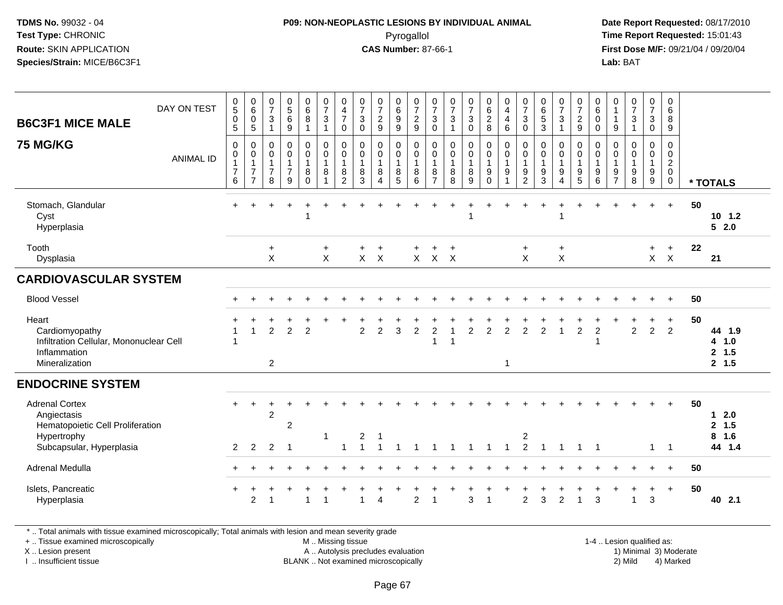## **P09: NON-NEOPLASTIC LESIONS BY INDIVIDUAL ANIMAL**Pyrogallol **Time Report Requested:** 15:01:43

 **Date Report Requested:** 08/17/2010 **First Dose M/F:** 09/21/04 / 09/20/04<br>**Lab:** BAT **Lab:** BAT

| <b>B6C3F1 MICE MALE</b>                                                                                             | DAY ON TEST      | $\begin{array}{c} 0 \\ 5 \end{array}$<br>$\pmb{0}$<br>$\sqrt{5}$ | $\begin{array}{c} 0 \\ 6 \end{array}$<br>$\pmb{0}$<br>$\sqrt{5}$               | $\frac{0}{7}$<br>$\mathbf{3}$<br>$\overline{1}$                        | $\begin{array}{c} 0 \\ 5 \end{array}$<br>6<br>9               | $\begin{array}{c} 0 \\ 6 \end{array}$<br>8<br>$\overline{1}$ | $\begin{array}{c} 0 \\ 7 \end{array}$<br>$\sqrt{3}$<br>1 | $\begin{array}{c} 0 \\ 4 \\ 7 \end{array}$<br>$\mathbf 0$             | $\frac{0}{7}$<br>$\mathbf{3}$<br>$\mathbf 0$       | $\frac{0}{7}$<br>$\overline{c}$<br>$9\,$                | 0<br>0<br>0<br>0<br>0                                        | $\frac{0}{7}$<br>$\overline{c}$<br>9               | $\frac{0}{7}$<br>$\mathsf 3$<br>$\mathbf 0$             | $\frac{0}{7}$<br>$\ensuremath{\mathsf{3}}$<br>$\overline{1}$ | $\frac{0}{7}$<br>$\sqrt{3}$<br>$\pmb{0}$                | $_{6}^{\rm 0}$<br>$\frac{2}{8}$                                                  | 0<br>$\overline{4}$<br>$\overline{\mathbf{4}}$<br>6        | $\frac{0}{7}$<br>$\mathbf{3}$<br>$\mathbf 0$                           | 0<br>6<br>5<br>3                                                  | $\frac{0}{7}$<br>$\mathbf 3$<br>$\mathbf{1}$                         | $\frac{0}{7}$<br>$\sqrt{2}$<br>$\boldsymbol{9}$                   | 0<br>$\,6$<br>$\pmb{0}$<br>$\mathbf 0$                    | 0<br>$\mathbf{1}$<br>$\mathbf{1}$<br>9                    | $\begin{array}{c} 0 \\ 7 \end{array}$<br>$\mathfrak{S}$<br>$\mathbf{1}$     | $\frac{0}{7}$<br>$\mathfrak{S}$<br>0                           | 0<br>$\,6\,$<br>$\,8\,$<br>$9\,$                                       |    |                                     |
|---------------------------------------------------------------------------------------------------------------------|------------------|------------------------------------------------------------------|--------------------------------------------------------------------------------|------------------------------------------------------------------------|---------------------------------------------------------------|--------------------------------------------------------------|----------------------------------------------------------|-----------------------------------------------------------------------|----------------------------------------------------|---------------------------------------------------------|--------------------------------------------------------------|----------------------------------------------------|---------------------------------------------------------|--------------------------------------------------------------|---------------------------------------------------------|----------------------------------------------------------------------------------|------------------------------------------------------------|------------------------------------------------------------------------|-------------------------------------------------------------------|----------------------------------------------------------------------|-------------------------------------------------------------------|-----------------------------------------------------------|-----------------------------------------------------------|-----------------------------------------------------------------------------|----------------------------------------------------------------|------------------------------------------------------------------------|----|-------------------------------------|
| <b>75 MG/KG</b>                                                                                                     | <b>ANIMAL ID</b> | $\mathbf 0$<br>$\mathbf 0$<br>$\overline{7}$<br>6                | $\mathbf 0$<br>$\mathbf 0$<br>$\mathbf{1}$<br>$\overline{7}$<br>$\overline{7}$ | $\pmb{0}$<br>$\boldsymbol{0}$<br>$\overline{1}$<br>$\overline{7}$<br>8 | $\pmb{0}$<br>$\pmb{0}$<br>$\mathbf{1}$<br>$\overline{7}$<br>9 | 0<br>$\ddot{\mathbf{0}}$<br>$\mathbf{1}$<br>8<br>$\Omega$    | $\pmb{0}$<br>$\pmb{0}$<br>$\mathbf{1}$<br>8              | $\pmb{0}$<br>$\pmb{0}$<br>$\overline{1}$<br>$\bf 8$<br>$\overline{2}$ | $\pmb{0}$<br>$\mathbf 0$<br>$\mathbf{1}$<br>8<br>3 | 0<br>$\mathbf 0$<br>$\mathbf{1}$<br>8<br>$\overline{4}$ | $\pmb{0}$<br>$\ddot{\mathbf{0}}$<br>$\overline{1}$<br>8<br>5 | $\pmb{0}$<br>$\mathbf 0$<br>$\mathbf{1}$<br>8<br>6 | 0<br>$\mathbf 0$<br>$\mathbf{1}$<br>8<br>$\overline{7}$ | $\pmb{0}$<br>$\pmb{0}$<br>$\mathbf{1}$<br>$\,8\,$<br>8       | $\pmb{0}$<br>$\mathbf 0$<br>$\mathbf{1}$<br>$\bf8$<br>9 | $\pmb{0}$<br>$\ddot{\mathbf{0}}$<br>$\mathbf{1}$<br>$\boldsymbol{9}$<br>$\Omega$ | $\pmb{0}$<br>$\ddot{\mathbf{0}}$<br>$\mathbf{1}$<br>9<br>1 | $\mathbf 0$<br>0<br>$\mathbf{1}$<br>$\boldsymbol{9}$<br>$\overline{2}$ | $\mathbf 0$<br>$\pmb{0}$<br>$\mathbf{1}$<br>$\boldsymbol{9}$<br>3 | 0<br>$\pmb{0}$<br>$\mathbf{1}$<br>$\boldsymbol{9}$<br>$\overline{4}$ | $\mathbf 0$<br>$\pmb{0}$<br>$\mathbf{1}$<br>$\boldsymbol{9}$<br>5 | $\mathbf 0$<br>0<br>$\mathbf{1}$<br>$\boldsymbol{9}$<br>6 | $\mathbf 0$<br>0<br>$\overline{1}$<br>9<br>$\overline{7}$ | $\mathbf 0$<br>$\ddot{\mathbf{0}}$<br>$\mathbf{1}$<br>$\boldsymbol{9}$<br>8 | 0<br>0<br>$\mathbf{1}$<br>$\boldsymbol{9}$<br>$\boldsymbol{9}$ | $\pmb{0}$<br>$\pmb{0}$<br>$\overline{2}$<br>$\mathbf 0$<br>$\mathbf 0$ |    | * TOTALS                            |
| Stomach, Glandular<br>Cyst<br>Hyperplasia                                                                           |                  |                                                                  |                                                                                |                                                                        |                                                               |                                                              |                                                          |                                                                       |                                                    |                                                         |                                                              |                                                    |                                                         |                                                              |                                                         |                                                                                  |                                                            |                                                                        |                                                                   |                                                                      |                                                                   |                                                           |                                                           |                                                                             |                                                                | $\ddot{}$                                                              | 50 | $10$ 1.2<br>52.0                    |
| Tooth<br>Dysplasia                                                                                                  |                  |                                                                  |                                                                                | +<br>X                                                                 |                                                               |                                                              | $\ddot{}$<br>X                                           |                                                                       | $\ddot{}$<br>$\mathsf{X}$                          | $\overline{+}$<br>$\boldsymbol{\mathsf{X}}$             |                                                              | $\ddot{}$<br>$\mathsf{X}$                          | +<br>$\mathsf{X}$                                       | $\div$<br>$\boldsymbol{\mathsf{X}}$                          |                                                         |                                                                                  |                                                            | $+$<br>X                                                               |                                                                   | $\ddot{}$<br>$\mathsf X$                                             |                                                                   |                                                           |                                                           |                                                                             | $+$<br>$\mathsf{X}^-$                                          | $+$<br>$\boldsymbol{\mathsf{X}}$                                       | 22 | 21                                  |
| <b>CARDIOVASCULAR SYSTEM</b>                                                                                        |                  |                                                                  |                                                                                |                                                                        |                                                               |                                                              |                                                          |                                                                       |                                                    |                                                         |                                                              |                                                    |                                                         |                                                              |                                                         |                                                                                  |                                                            |                                                                        |                                                                   |                                                                      |                                                                   |                                                           |                                                           |                                                                             |                                                                |                                                                        |    |                                     |
| <b>Blood Vessel</b>                                                                                                 |                  |                                                                  |                                                                                |                                                                        |                                                               |                                                              |                                                          |                                                                       |                                                    |                                                         |                                                              |                                                    |                                                         |                                                              |                                                         |                                                                                  |                                                            |                                                                        |                                                                   |                                                                      |                                                                   |                                                           |                                                           |                                                                             | $\ddot{}$                                                      | $+$                                                                    | 50 |                                     |
| Heart<br>Cardiomyopathy<br>Infiltration Cellular, Mononuclear Cell<br>Inflammation<br>Mineralization                |                  | $\overline{1}$<br>$\overline{1}$                                 | $\overline{1}$                                                                 | $\overline{2}$<br>$\overline{c}$                                       | $\overline{2}$                                                | $\overline{2}$                                               |                                                          |                                                                       | $\overline{c}$                                     | $\overline{c}$                                          | 3                                                            | $\overline{c}$                                     | $\overline{c}$<br>1                                     | $\overline{1}$<br>$\overline{\mathbf{1}}$                    | $\overline{c}$                                          | $\overline{2}$                                                                   | $\overline{c}$<br>$\mathbf{1}$                             | $\overline{c}$                                                         | $\overline{2}$                                                    | $\mathbf{1}$                                                         | $\overline{2}$                                                    | $\overline{c}$<br>$\overline{1}$                          |                                                           | $\overline{2}$                                                              | $\ddot{}$<br>$\overline{2}$                                    | $\ddot{}$<br>$\overline{2}$                                            | 50 | 44 1.9<br>4 1.0<br>2, 1.5<br>2, 1.5 |
| <b>ENDOCRINE SYSTEM</b>                                                                                             |                  |                                                                  |                                                                                |                                                                        |                                                               |                                                              |                                                          |                                                                       |                                                    |                                                         |                                                              |                                                    |                                                         |                                                              |                                                         |                                                                                  |                                                            |                                                                        |                                                                   |                                                                      |                                                                   |                                                           |                                                           |                                                                             |                                                                |                                                                        |    |                                     |
| <b>Adrenal Cortex</b><br>Angiectasis<br>Hematopoietic Cell Proliferation<br>Hypertrophy<br>Subcapsular, Hyperplasia |                  | 2                                                                | $\overline{2}$                                                                 | $\overline{2}$<br>$\overline{2}$                                       | $\overline{2}$<br>$\overline{\mathbf{1}}$                     |                                                              | $\overline{1}$                                           | 1                                                                     | 2                                                  | -1                                                      |                                                              |                                                    |                                                         |                                                              | -1                                                      | -1                                                                               | $\mathbf 1$                                                | 2<br>$\overline{2}$                                                    | $\overline{1}$                                                    | $\mathbf 1$                                                          | -1                                                                | $\overline{1}$                                            |                                                           |                                                                             | $\mathbf{1}$                                                   | $\overline{1}$                                                         | 50 | $12.0$<br>2, 1.5<br>8 1.6<br>44 1.4 |
| Adrenal Medulla                                                                                                     |                  |                                                                  |                                                                                |                                                                        |                                                               |                                                              |                                                          |                                                                       |                                                    |                                                         |                                                              |                                                    |                                                         |                                                              |                                                         |                                                                                  |                                                            |                                                                        |                                                                   |                                                                      |                                                                   |                                                           |                                                           |                                                                             |                                                                | $\ddot{}$                                                              | 50 |                                     |
| Islets, Pancreatic<br>Hyperplasia                                                                                   |                  | $\ddot{}$                                                        | $\overline{c}$                                                                 | 1                                                                      |                                                               |                                                              |                                                          |                                                                       | 1                                                  | $\overline{4}$                                          |                                                              | $\overline{2}$                                     |                                                         |                                                              | 3                                                       |                                                                                  |                                                            | $\overline{2}$                                                         | $\sqrt{3}$                                                        | $\overline{c}$                                                       |                                                                   | 3                                                         |                                                           | $\overline{1}$                                                              | +<br>3                                                         | $+$                                                                    | 50 | 40 2.1                              |

\* .. Total animals with tissue examined microscopically; Total animals with lesion and mean severity grade

+ .. Tissue examined microscopically

X .. Lesion present

I .. Insufficient tissue

 M .. Missing tissueA .. Autolysis precludes evaluation

BLANK .. Not examined microscopically 2) Mild 4) Marked

1-4 .. Lesion qualified as: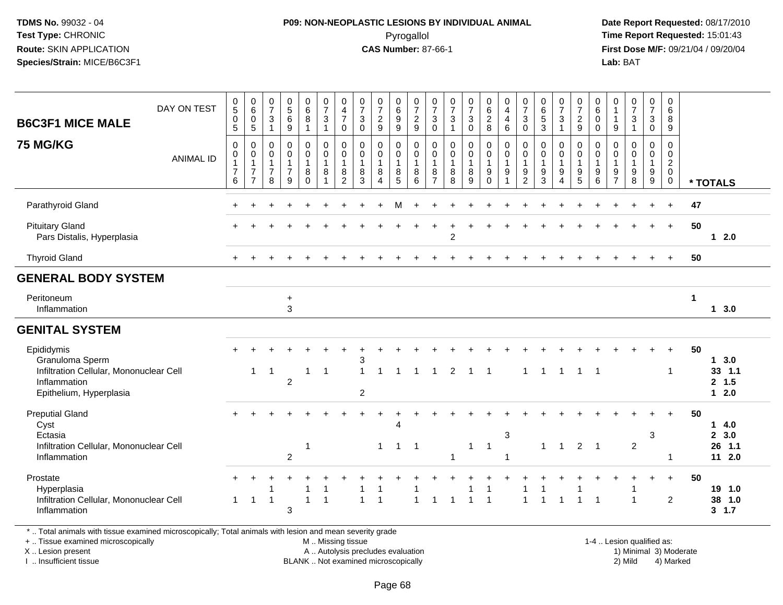## **P09: NON-NEOPLASTIC LESIONS BY INDIVIDUAL ANIMAL**Pyrogallol **Time Report Requested:** 15:01:43

 **Date Report Requested:** 08/17/2010 **First Dose M/F:** 09/21/04 / 09/20/04<br>**Lab:** BAT **Lab:** BAT

| $\begin{array}{c} 0 \\ 5 \end{array}$<br>$\begin{array}{c} 0 \\ 7 \end{array}$<br>$0$<br>5<br>6<br>$\begin{array}{c} 0 \\ 6 \end{array}$<br>$\frac{0}{7}$<br>$\begin{array}{c} 0 \\ 6 \end{array}$<br>$\frac{0}{7}$<br>$\begin{matrix} 0 \\ 6 \\ 2 \end{matrix}$<br>$\begin{smallmatrix}0\\4\end{smallmatrix}$<br>$\begin{matrix} 0 \\ 6 \\ 5 \end{matrix}$<br>$_{6}^{\rm 0}$<br>$\frac{0}{7}$<br>$\begin{array}{c} 0 \\ 6 \end{array}$<br>0<br>$\frac{0}{7}$<br>$\frac{0}{7}$<br>$\frac{0}{7}$<br>$\frac{0}{7}$<br>$\frac{0}{7}$<br>$\begin{smallmatrix}0\\7\end{smallmatrix}$<br>$\frac{0}{7}$<br>$\frac{0}{7}$<br>$\mathbf 0$<br>$\frac{0}{7}$<br>$\mathbf 0$<br>DAY ON TEST<br>$\overline{\mathbf{4}}$<br>$\overline{1}$<br>$\,6\,$<br>$\boldsymbol{2}$<br>$\bf 8$<br>$\sqrt{3}$<br>$\overline{7}$<br>$\frac{9}{9}$<br>$\boldsymbol{2}$<br>$\mathbf{3}$<br>$\mathbf{3}$<br>$\ensuremath{\mathsf{3}}$<br>$\mathbf{3}$<br>$\,0\,$<br>$\mathbf 3$<br>$\pmb{0}$<br>$\mathbf 0$<br>$\sqrt{3}$<br>$\mathbf 3$<br>$\overline{c}$<br>$\sqrt{3}$<br>$\overline{\mathbf{4}}$<br>$\mathbf{3}$<br>$\bf 8$<br>$\overline{1}$<br><b>B6C3F1 MICE MALE</b><br>5<br>$\mathsf g$<br>9<br>9<br>8<br>$6\phantom{1}$<br>$\mathbf 0$<br>$\mathbf{3}$<br>9<br>$\boldsymbol{9}$<br>$\sqrt{5}$<br>$\mathbf 0$<br>$\mathbf 0$<br>$\overline{1}$<br>$\mathbf 0$<br>9<br>$\mathbf{1}$<br>$\mathbf 0$<br>$\mathbf 0$<br>$\mathbf{1}$<br>$\mathbf{1}$<br>$\overline{1}$<br>$\mathbf 0$<br>$\mathbf{1}$<br>$\mathsf 0$<br>$\mathsf 0$<br>$\pmb{0}$<br>$\mathbf 0$<br>$\mathbf 0$<br>$\pmb{0}$<br>$\mathbf 0$<br>$\pmb{0}$<br>$\pmb{0}$<br>$\mathbf 0$<br>$\mathbf 0$<br>$\mathbf 0$<br>$\mathbf 0$<br>$\mathbf 0$<br>0<br>$\mathbf 0$<br>0<br>0<br>0<br>$\mathbf 0$<br>0<br>0<br>$\mathbf 0$<br>$\mathbf 0$<br>$\mathbf 0$<br>$\ddot{\mathbf{0}}$<br>$\bar{0}$<br>$\mathsf{O}\xspace$<br>$\pmb{0}$<br>$\mathsf{O}\xspace$<br>$\mathbf 0$<br>$\pmb{0}$<br>$\mathbf 0$<br>$\mathbf 0$<br>$\mathbf 0$<br>$\mathbf 0$<br>0<br>$\pmb{0}$<br>$\mathbf 0$<br>0<br>$\mathbf 0$<br>$\mathbf 0$<br>0<br>$\,0\,$<br>0<br>0<br>0<br>0<br>0<br>$\mathbf 0$<br><b>ANIMAL ID</b><br>$\frac{2}{0}$<br>$\mathbf{1}$<br>$\mathbf{1}$<br>$\mathbf{1}$<br>$\mathbf{1}$<br>$\mathbf{1}$<br>$\mathbf{1}$<br>$\mathbf{1}$<br>$\mathbf{1}$<br>$\mathbf{1}$<br>$\mathbf{1}$<br>$\mathbf{1}$<br>$\mathbf{1}$<br>$\mathbf{1}$<br>$\mathbf{1}$<br>$\mathbf{1}$<br>$\mathbf{1}$<br>$\mathbf{1}$<br>$\overline{1}$<br>$\mathbf{1}$<br>$\overline{1}$<br>1<br>$\overline{1}$<br>$\mathbf{1}$<br>$\mathbf{1}$<br>$\overline{7}$<br>$\overline{7}$<br>$\overline{7}$<br>$\overline{7}$<br>8<br>8<br>8<br>8<br>8<br>8<br>8<br>8<br>9<br>9<br>9<br>9<br>9<br>9<br>9<br>9<br>8<br>8<br>9<br>9<br>$\overline{2}$<br>6<br>9<br>$\mathbf 0$<br>$\overline{2}$<br>3<br>5<br>6<br>$\overline{7}$<br>8<br>9<br>$\Omega$<br>3<br>5<br>6<br>$\overline{7}$<br>8<br>$\boldsymbol{9}$<br>$\mathbf 0$<br>$\overline{7}$<br>8<br>1<br>$\boldsymbol{\Lambda}$<br>4<br>* TOTALS<br>Parathyroid Gland<br>47<br>50<br><b>Pituitary Gland</b><br>$+$<br>Pars Distalis, Hyperplasia<br>$\overline{2}$<br>$12.0$<br><b>Thyroid Gland</b><br>50<br>$+$<br><b>GENERAL BODY SYSTEM</b><br>Peritoneum<br>$\mathbf{1}$<br>$\ddot{}$<br>3<br>Inflammation<br>13.0<br><b>GENITAL SYSTEM</b><br>Epididymis<br>50<br>Granuloma Sperm<br>13.0<br>3<br>Infiltration Cellular, Mononuclear Cell<br>33, 1.1<br>$\mathbf{1}$<br>$\overline{2}$<br>1<br>$\overline{1}$<br>1<br>1<br>$\overline{1}$<br>-1<br>1<br>-1<br>-1<br>$\overline{c}$<br>2, 1.5<br>Inflammation<br>$12.0$<br>Epithelium, Hyperplasia<br>$\overline{\mathbf{c}}$<br><b>Preputial Gland</b><br>50<br>+<br>Cyst<br>14.0<br>$\overline{A}$<br>$\sqrt{3}$<br>2, 3.0<br>Ectasia<br>3<br>$\overline{2}$<br>Infiltration Cellular, Mononuclear Cell<br>$\overline{2}$<br>26 1.1<br>$\mathbf{1}$<br>$\mathbf{1}$<br>$\mathbf{1}$<br>$\mathbf{1}$<br>$\overline{1}$<br>$\overline{1}$<br>-1<br>$\mathbf{1}$<br>$\overline{1}$<br>$\overline{2}$<br>11 2.0<br>Inflammation<br>1<br>$\overline{1}$<br>-1<br>Prostate<br>50<br>$\ddot{}$<br>19 1.0<br>Hyperplasia<br>-1<br>1<br>Infiltration Cellular, Mononuclear Cell<br>$\overline{1}$<br>$\overline{2}$<br>38 1.0<br>$\mathbf{1}$<br>$\overline{1}$<br>$\overline{1}$<br>$\overline{1}$<br>1<br>$\overline{1}$<br>$\overline{\mathbf{1}}$<br>1<br>$\overline{1}$<br>1<br>-1<br>Inflammation<br>3<br>3, 1.7 |                 |  |  |  |  |  |  |  |  |  |  |  |  |  |  |
|------------------------------------------------------------------------------------------------------------------------------------------------------------------------------------------------------------------------------------------------------------------------------------------------------------------------------------------------------------------------------------------------------------------------------------------------------------------------------------------------------------------------------------------------------------------------------------------------------------------------------------------------------------------------------------------------------------------------------------------------------------------------------------------------------------------------------------------------------------------------------------------------------------------------------------------------------------------------------------------------------------------------------------------------------------------------------------------------------------------------------------------------------------------------------------------------------------------------------------------------------------------------------------------------------------------------------------------------------------------------------------------------------------------------------------------------------------------------------------------------------------------------------------------------------------------------------------------------------------------------------------------------------------------------------------------------------------------------------------------------------------------------------------------------------------------------------------------------------------------------------------------------------------------------------------------------------------------------------------------------------------------------------------------------------------------------------------------------------------------------------------------------------------------------------------------------------------------------------------------------------------------------------------------------------------------------------------------------------------------------------------------------------------------------------------------------------------------------------------------------------------------------------------------------------------------------------------------------------------------------------------------------------------------------------------------------------------------------------------------------------------------------------------------------------------------------------------------------------------------------------------------------------------------------------------------------------------------------------------------------------------------------------------------------------------------------------------------------------------------------------------------------------------------------------------------------------------------------------------------------------------------------------------------------------------------------------------------------------------------------------------------------------------------------------------------------------------------------------------------------------------------------------------------------------------------------------------------------------------------------------------------------------------------------------------------------------------------------------------------------------------------------------------------------------------------------------------------------------------------------------------------------------------------------------------------------------------------------------------------------------------------------------------------------------------------------------------------------------------------------------------------------------------------------------------------------------------------------------------------------------------------------------------------------------------------------------------------------------------------------------------------------------------------------|-----------------|--|--|--|--|--|--|--|--|--|--|--|--|--|--|
|                                                                                                                                                                                                                                                                                                                                                                                                                                                                                                                                                                                                                                                                                                                                                                                                                                                                                                                                                                                                                                                                                                                                                                                                                                                                                                                                                                                                                                                                                                                                                                                                                                                                                                                                                                                                                                                                                                                                                                                                                                                                                                                                                                                                                                                                                                                                                                                                                                                                                                                                                                                                                                                                                                                                                                                                                                                                                                                                                                                                                                                                                                                                                                                                                                                                                                                                                                                                                                                                                                                                                                                                                                                                                                                                                                                                                                                                                                                                                                                                                                                                                                                                                                                                                                                                                                                                                                                                                        |                 |  |  |  |  |  |  |  |  |  |  |  |  |  |  |
|                                                                                                                                                                                                                                                                                                                                                                                                                                                                                                                                                                                                                                                                                                                                                                                                                                                                                                                                                                                                                                                                                                                                                                                                                                                                                                                                                                                                                                                                                                                                                                                                                                                                                                                                                                                                                                                                                                                                                                                                                                                                                                                                                                                                                                                                                                                                                                                                                                                                                                                                                                                                                                                                                                                                                                                                                                                                                                                                                                                                                                                                                                                                                                                                                                                                                                                                                                                                                                                                                                                                                                                                                                                                                                                                                                                                                                                                                                                                                                                                                                                                                                                                                                                                                                                                                                                                                                                                                        | <b>75 MG/KG</b> |  |  |  |  |  |  |  |  |  |  |  |  |  |  |
|                                                                                                                                                                                                                                                                                                                                                                                                                                                                                                                                                                                                                                                                                                                                                                                                                                                                                                                                                                                                                                                                                                                                                                                                                                                                                                                                                                                                                                                                                                                                                                                                                                                                                                                                                                                                                                                                                                                                                                                                                                                                                                                                                                                                                                                                                                                                                                                                                                                                                                                                                                                                                                                                                                                                                                                                                                                                                                                                                                                                                                                                                                                                                                                                                                                                                                                                                                                                                                                                                                                                                                                                                                                                                                                                                                                                                                                                                                                                                                                                                                                                                                                                                                                                                                                                                                                                                                                                                        |                 |  |  |  |  |  |  |  |  |  |  |  |  |  |  |
|                                                                                                                                                                                                                                                                                                                                                                                                                                                                                                                                                                                                                                                                                                                                                                                                                                                                                                                                                                                                                                                                                                                                                                                                                                                                                                                                                                                                                                                                                                                                                                                                                                                                                                                                                                                                                                                                                                                                                                                                                                                                                                                                                                                                                                                                                                                                                                                                                                                                                                                                                                                                                                                                                                                                                                                                                                                                                                                                                                                                                                                                                                                                                                                                                                                                                                                                                                                                                                                                                                                                                                                                                                                                                                                                                                                                                                                                                                                                                                                                                                                                                                                                                                                                                                                                                                                                                                                                                        |                 |  |  |  |  |  |  |  |  |  |  |  |  |  |  |
|                                                                                                                                                                                                                                                                                                                                                                                                                                                                                                                                                                                                                                                                                                                                                                                                                                                                                                                                                                                                                                                                                                                                                                                                                                                                                                                                                                                                                                                                                                                                                                                                                                                                                                                                                                                                                                                                                                                                                                                                                                                                                                                                                                                                                                                                                                                                                                                                                                                                                                                                                                                                                                                                                                                                                                                                                                                                                                                                                                                                                                                                                                                                                                                                                                                                                                                                                                                                                                                                                                                                                                                                                                                                                                                                                                                                                                                                                                                                                                                                                                                                                                                                                                                                                                                                                                                                                                                                                        |                 |  |  |  |  |  |  |  |  |  |  |  |  |  |  |
|                                                                                                                                                                                                                                                                                                                                                                                                                                                                                                                                                                                                                                                                                                                                                                                                                                                                                                                                                                                                                                                                                                                                                                                                                                                                                                                                                                                                                                                                                                                                                                                                                                                                                                                                                                                                                                                                                                                                                                                                                                                                                                                                                                                                                                                                                                                                                                                                                                                                                                                                                                                                                                                                                                                                                                                                                                                                                                                                                                                                                                                                                                                                                                                                                                                                                                                                                                                                                                                                                                                                                                                                                                                                                                                                                                                                                                                                                                                                                                                                                                                                                                                                                                                                                                                                                                                                                                                                                        |                 |  |  |  |  |  |  |  |  |  |  |  |  |  |  |
|                                                                                                                                                                                                                                                                                                                                                                                                                                                                                                                                                                                                                                                                                                                                                                                                                                                                                                                                                                                                                                                                                                                                                                                                                                                                                                                                                                                                                                                                                                                                                                                                                                                                                                                                                                                                                                                                                                                                                                                                                                                                                                                                                                                                                                                                                                                                                                                                                                                                                                                                                                                                                                                                                                                                                                                                                                                                                                                                                                                                                                                                                                                                                                                                                                                                                                                                                                                                                                                                                                                                                                                                                                                                                                                                                                                                                                                                                                                                                                                                                                                                                                                                                                                                                                                                                                                                                                                                                        |                 |  |  |  |  |  |  |  |  |  |  |  |  |  |  |
|                                                                                                                                                                                                                                                                                                                                                                                                                                                                                                                                                                                                                                                                                                                                                                                                                                                                                                                                                                                                                                                                                                                                                                                                                                                                                                                                                                                                                                                                                                                                                                                                                                                                                                                                                                                                                                                                                                                                                                                                                                                                                                                                                                                                                                                                                                                                                                                                                                                                                                                                                                                                                                                                                                                                                                                                                                                                                                                                                                                                                                                                                                                                                                                                                                                                                                                                                                                                                                                                                                                                                                                                                                                                                                                                                                                                                                                                                                                                                                                                                                                                                                                                                                                                                                                                                                                                                                                                                        |                 |  |  |  |  |  |  |  |  |  |  |  |  |  |  |
|                                                                                                                                                                                                                                                                                                                                                                                                                                                                                                                                                                                                                                                                                                                                                                                                                                                                                                                                                                                                                                                                                                                                                                                                                                                                                                                                                                                                                                                                                                                                                                                                                                                                                                                                                                                                                                                                                                                                                                                                                                                                                                                                                                                                                                                                                                                                                                                                                                                                                                                                                                                                                                                                                                                                                                                                                                                                                                                                                                                                                                                                                                                                                                                                                                                                                                                                                                                                                                                                                                                                                                                                                                                                                                                                                                                                                                                                                                                                                                                                                                                                                                                                                                                                                                                                                                                                                                                                                        |                 |  |  |  |  |  |  |  |  |  |  |  |  |  |  |
|                                                                                                                                                                                                                                                                                                                                                                                                                                                                                                                                                                                                                                                                                                                                                                                                                                                                                                                                                                                                                                                                                                                                                                                                                                                                                                                                                                                                                                                                                                                                                                                                                                                                                                                                                                                                                                                                                                                                                                                                                                                                                                                                                                                                                                                                                                                                                                                                                                                                                                                                                                                                                                                                                                                                                                                                                                                                                                                                                                                                                                                                                                                                                                                                                                                                                                                                                                                                                                                                                                                                                                                                                                                                                                                                                                                                                                                                                                                                                                                                                                                                                                                                                                                                                                                                                                                                                                                                                        |                 |  |  |  |  |  |  |  |  |  |  |  |  |  |  |
|                                                                                                                                                                                                                                                                                                                                                                                                                                                                                                                                                                                                                                                                                                                                                                                                                                                                                                                                                                                                                                                                                                                                                                                                                                                                                                                                                                                                                                                                                                                                                                                                                                                                                                                                                                                                                                                                                                                                                                                                                                                                                                                                                                                                                                                                                                                                                                                                                                                                                                                                                                                                                                                                                                                                                                                                                                                                                                                                                                                                                                                                                                                                                                                                                                                                                                                                                                                                                                                                                                                                                                                                                                                                                                                                                                                                                                                                                                                                                                                                                                                                                                                                                                                                                                                                                                                                                                                                                        |                 |  |  |  |  |  |  |  |  |  |  |  |  |  |  |

\* .. Total animals with tissue examined microscopically; Total animals with lesion and mean severity grade

+ .. Tissue examined microscopically

X .. Lesion present

I .. Insufficient tissue

 M .. Missing tissueA .. Autolysis precludes evaluation

BLANK .. Not examined microscopically 2) Mild 4) Marked

1-4 .. Lesion qualified as: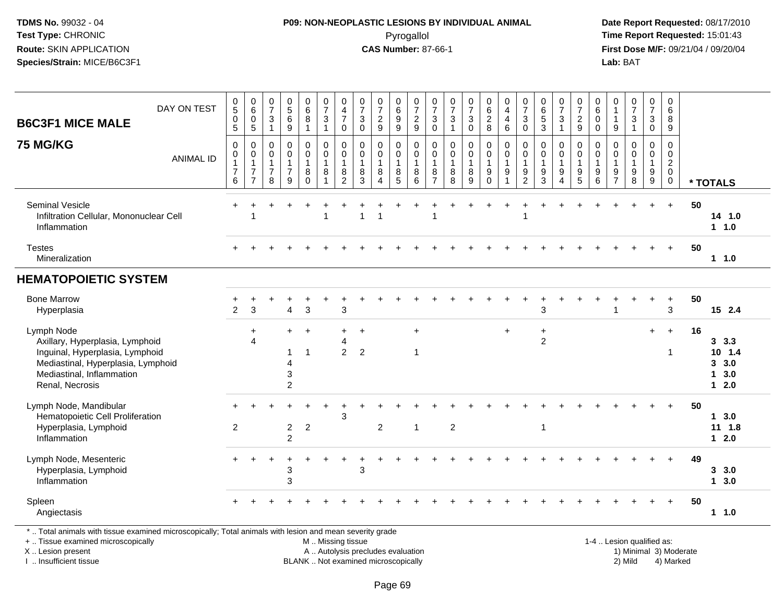## **P09: NON-NEOPLASTIC LESIONS BY INDIVIDUAL ANIMAL**Pyrogallol **Time Report Requested:** 15:01:43

 **Date Report Requested:** 08/17/2010 **First Dose M/F:** 09/21/04 / 09/20/04<br>Lab: BAT **Lab:** BAT

| DAY ON TEST<br><b>B6C3F1 MICE MALE</b>                                                                                                                                 | $\begin{array}{c} 0 \\ 5 \end{array}$<br>$\pmb{0}$<br>$\overline{5}$ | $\begin{array}{c} 0 \\ 6 \end{array}$<br>$\pmb{0}$<br>$5\phantom{.0}$      | $\begin{array}{c} 0 \\ 7 \end{array}$<br>$\mathsf 3$<br>$\mathbf{1}$ | $\begin{array}{c} 0 \\ 5 \end{array}$<br>$\,6\,$<br>9               | $\begin{array}{c} 0 \\ 6 \end{array}$<br>$\, 8$<br>$\mathbf{1}$ | $\begin{array}{c} 0 \\ 7 \\ 3 \end{array}$<br>$\mathbf{1}$ | 0<br>4<br>7<br>0                                            | $\begin{array}{c} 0 \\ 7 \end{array}$<br>$\mathbf{3}$<br>$\mathbf 0$ | $\frac{0}{7}$<br>$\frac{2}{9}$                                            | 0<br>0<br>0<br>0<br>0                                                 | $\begin{array}{c} 0 \\ 7 \\ 2 \end{array}$<br>9                    | $\frac{0}{7}$<br>$\sqrt{3}$<br>$\mathbf 0$                        | $\begin{array}{c} 0 \\ 7 \\ 3 \end{array}$<br>$\mathbf{1}$ | $\frac{0}{7}$<br>$\mathbf{3}$<br>$\mathbf 0$         | $\begin{array}{c} 0 \\ 6 \\ 2 \end{array}$<br>8                             | $\begin{array}{c} 0 \\ 4 \\ 4 \end{array}$<br>$\,6\,$                            | $\frac{0}{7}$<br>$\mathbf 3$<br>$\mathbf 0$                           | $\begin{array}{c} 0 \\ 6 \end{array}$<br>$\overline{5}$<br>3     | $\frac{0}{7}$<br>$\mathbf{3}$<br>$\mathbf{1}$                              | $\frac{0}{7}$<br>$\sqrt{2}$<br>9                                          | $_{6}^{\rm 0}$<br>$\pmb{0}$<br>$\mathbf 0$                                        | 0<br>$\mathbf{1}$<br>$\mathbf{1}$<br>9                        | $\frac{0}{7}$<br>$\sqrt{3}$<br>$\overline{1}$                                       | $\begin{smallmatrix} 0\\7 \end{smallmatrix}$<br>$\sqrt{3}$<br>$\mathbf 0$ | $\pmb{0}$<br>6<br>8<br>9                                                   |    |                                               |
|------------------------------------------------------------------------------------------------------------------------------------------------------------------------|----------------------------------------------------------------------|----------------------------------------------------------------------------|----------------------------------------------------------------------|---------------------------------------------------------------------|-----------------------------------------------------------------|------------------------------------------------------------|-------------------------------------------------------------|----------------------------------------------------------------------|---------------------------------------------------------------------------|-----------------------------------------------------------------------|--------------------------------------------------------------------|-------------------------------------------------------------------|------------------------------------------------------------|------------------------------------------------------|-----------------------------------------------------------------------------|----------------------------------------------------------------------------------|-----------------------------------------------------------------------|------------------------------------------------------------------|----------------------------------------------------------------------------|---------------------------------------------------------------------------|-----------------------------------------------------------------------------------|---------------------------------------------------------------|-------------------------------------------------------------------------------------|---------------------------------------------------------------------------|----------------------------------------------------------------------------|----|-----------------------------------------------|
| <b>75 MG/KG</b><br><b>ANIMAL ID</b>                                                                                                                                    | $\mathbf 0$<br>0<br>$\overline{1}$<br>$\overline{7}$<br>6            | $\pmb{0}$<br>$\pmb{0}$<br>$\mathbf{1}$<br>$\overline{7}$<br>$\overline{7}$ | $\mathbf 0$<br>$\mathbf 0$<br>$\mathbf{1}$<br>$\overline{7}$<br>8    | $\mathbf 0$<br>$\mathbf 0$<br>$\overline{1}$<br>$\overline{7}$<br>9 | $\mathbf 0$<br>$\mathbf 0$<br>$\mathbf{1}$<br>8<br>$\Omega$     | $\mathbf 0$<br>$\mathbf 0$<br>$\mathbf{1}$<br>8<br>1       | $\mathbf 0$<br>$\mathbf 0$<br>$\mathbf{1}$<br>$\frac{8}{2}$ | $\mathbf 0$<br>$\pmb{0}$<br>$\mathbf{1}$<br>$\frac{8}{3}$            | $\mathbf 0$<br>$\mathsf{O}\xspace$<br>$\mathbf{1}$<br>$\bf 8$<br>$\Delta$ | $\mathsf{O}\xspace$<br>$\mathbf 0$<br>$\overline{1}$<br>$\frac{8}{5}$ | $\mathbf 0$<br>$\mathsf{O}\xspace$<br>$\mathbf{1}$<br>$\,8\,$<br>6 | $\mathbf 0$<br>$\mathbf 0$<br>$\mathbf{1}$<br>8<br>$\overline{7}$ | $_{\rm 0}^{\rm 0}$<br>$\mathbf{1}$<br>$\frac{8}{8}$        | $\mathsf{O}$<br>$\overline{0}$<br>1<br>$\frac{8}{9}$ | 0<br>$\overline{0}$<br>$\mathbf{1}$<br>$\begin{matrix} 9 \\ 0 \end{matrix}$ | $\mathbf 0$<br>$\pmb{0}$<br>$\overline{1}$<br>$\boldsymbol{9}$<br>$\overline{1}$ | $\mathbf 0$<br>$\mathbf 0$<br>$\mathbf{1}$<br>$9\,$<br>$\overline{2}$ | $\mathbf 0$<br>$\boldsymbol{0}$<br>$\mathbf{1}$<br>$\frac{9}{3}$ | $\mathbf 0$<br>$\mathbf 0$<br>$\mathbf{1}$<br>$\boldsymbol{9}$<br>$\Delta$ | 0<br>$\mathbf 0$<br>$\mathbf{1}$<br>$\begin{array}{c} 9 \\ 5 \end{array}$ | $\mathbf 0$<br>$\pmb{0}$<br>$\mathbf{1}$<br>$\begin{array}{c} 9 \\ 6 \end{array}$ | $\mathbf 0$<br>$\mathbf 0$<br>$\overline{1}$<br>$\frac{9}{7}$ | $\mathbf 0$<br>$\mathbf 0$<br>$\mathbf{1}$<br>$\begin{array}{c} 9 \\ 8 \end{array}$ | $\mathbf 0$<br>$\mathbf 0$<br>$\mathbf{1}$<br>$^9_9$                      | $\mathbf 0$<br>$\mathbf 0$<br>$\overline{2}$<br>$\mathbf 0$<br>$\mathbf 0$ |    | * TOTALS                                      |
| <b>Seminal Vesicle</b><br>Infiltration Cellular, Mononuclear Cell<br>Inflammation                                                                                      | $+$                                                                  |                                                                            |                                                                      |                                                                     |                                                                 |                                                            |                                                             | 1                                                                    |                                                                           |                                                                       |                                                                    |                                                                   |                                                            |                                                      |                                                                             |                                                                                  |                                                                       |                                                                  |                                                                            |                                                                           |                                                                                   |                                                               |                                                                                     | $+$                                                                       | $+$                                                                        | 50 | 14 1.0<br>1 1.0                               |
| <b>Testes</b><br>Mineralization                                                                                                                                        |                                                                      |                                                                            |                                                                      |                                                                     |                                                                 |                                                            |                                                             |                                                                      |                                                                           |                                                                       |                                                                    |                                                                   |                                                            |                                                      |                                                                             |                                                                                  |                                                                       |                                                                  |                                                                            |                                                                           |                                                                                   |                                                               |                                                                                     |                                                                           | $+$                                                                        | 50 | 11.0                                          |
| <b>HEMATOPOIETIC SYSTEM</b>                                                                                                                                            |                                                                      |                                                                            |                                                                      |                                                                     |                                                                 |                                                            |                                                             |                                                                      |                                                                           |                                                                       |                                                                    |                                                                   |                                                            |                                                      |                                                                             |                                                                                  |                                                                       |                                                                  |                                                                            |                                                                           |                                                                                   |                                                               |                                                                                     |                                                                           |                                                                            |    |                                               |
| <b>Bone Marrow</b><br>Hyperplasia                                                                                                                                      | $\overline{2}$                                                       | 3                                                                          |                                                                      | 4                                                                   | 3                                                               |                                                            | 3                                                           |                                                                      |                                                                           |                                                                       |                                                                    |                                                                   |                                                            |                                                      |                                                                             |                                                                                  |                                                                       | 3                                                                |                                                                            |                                                                           |                                                                                   |                                                               |                                                                                     |                                                                           | $\ddot{}$<br>3                                                             | 50 | 15 2.4                                        |
| Lymph Node<br>Axillary, Hyperplasia, Lymphoid<br>Inguinal, Hyperplasia, Lymphoid<br>Mediastinal, Hyperplasia, Lymphoid<br>Mediastinal, Inflammation<br>Renal, Necrosis |                                                                      | $\ddot{}$<br>$\overline{4}$                                                |                                                                      | $+$<br>1<br>Δ<br>3<br>$\overline{2}$                                | $\ddot{}$<br>$\mathbf{1}$                                       |                                                            | $\ddot{}$<br>$\overline{4}$<br>$\overline{2}$               | $\ddot{}$<br>2                                                       |                                                                           |                                                                       | $\ddot{}$<br>$\overline{1}$                                        |                                                                   |                                                            |                                                      |                                                                             | $\ddot{}$                                                                        |                                                                       | $\ddot{}$<br>$\overline{c}$                                      |                                                                            |                                                                           |                                                                                   |                                                               |                                                                                     | $+$                                                                       | $+$<br>$\mathbf 1$                                                         | 16 | 3, 3, 3<br>10 1.4<br>3, 3.0<br>13.0<br>$12.0$ |
| Lymph Node, Mandibular<br>Hematopoietic Cell Proliferation<br>Hyperplasia, Lymphoid<br>Inflammation                                                                    | 2                                                                    |                                                                            |                                                                      | $\overline{c}$<br>$\overline{2}$                                    | $\overline{c}$                                                  |                                                            | $\sqrt{3}$                                                  |                                                                      | $\overline{2}$                                                            |                                                                       | $\mathbf{1}$                                                       |                                                                   | $\overline{2}$                                             |                                                      |                                                                             |                                                                                  |                                                                       | $\overline{1}$                                                   |                                                                            |                                                                           |                                                                                   |                                                               |                                                                                     |                                                                           | $+$                                                                        | 50 | 13.0<br>$11 \t1.8$<br>$12.0$                  |
| Lymph Node, Mesenteric<br>Hyperplasia, Lymphoid<br>Inflammation                                                                                                        |                                                                      |                                                                            |                                                                      | 3<br>3                                                              |                                                                 |                                                            |                                                             | 3                                                                    |                                                                           |                                                                       |                                                                    |                                                                   |                                                            |                                                      |                                                                             |                                                                                  |                                                                       |                                                                  |                                                                            |                                                                           |                                                                                   |                                                               |                                                                                     |                                                                           | $+$                                                                        | 49 | 3, 3.0<br>13.0                                |
| Spleen<br>Angiectasis                                                                                                                                                  |                                                                      |                                                                            |                                                                      |                                                                     |                                                                 |                                                            |                                                             |                                                                      |                                                                           |                                                                       |                                                                    |                                                                   |                                                            |                                                      |                                                                             |                                                                                  |                                                                       |                                                                  |                                                                            |                                                                           |                                                                                   |                                                               |                                                                                     |                                                                           | $+$                                                                        | 50 | $1 \t1.0$                                     |

+ .. Tissue examined microscopically

X .. Lesion present

I .. Insufficient tissue

M .. Missing tissue

BLANK .. Not examined microscopically

 1-4 .. Lesion qualified as: A .. Autolysis precludes evaluation 19 and 10 minimal 3) Moderate 1 and 20 minimal 3) Moderate 19 minimal 3) Moderat<br>19 and 19 and 19 and 19 and 19 and 19 and 19 and 19 and 19 and 19 and 19 and 19 and 19 and 19 and 19 and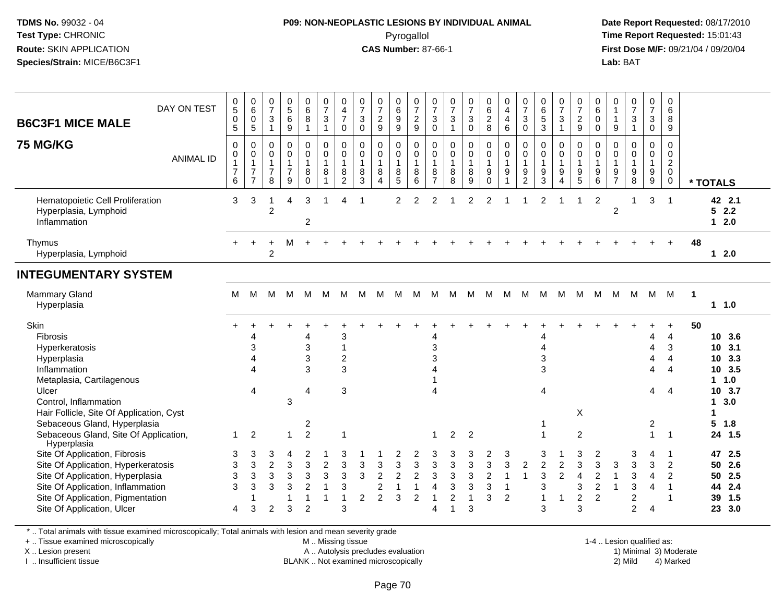## **P09: NON-NEOPLASTIC LESIONS BY INDIVIDUAL ANIMAL**Pyrogallol **Time Report Requested:** 15:01:43

 **Date Report Requested:** 08/17/2010 **First Dose M/F:** 09/21/04 / 09/20/04<br>**Lab:** BAT **Lab:** BAT

| <b>B6C3F1 MICE MALE</b>                                                                                                                                                                                                                                              | DAY ON TEST      | $\mathbf 0$<br>5<br>$\mathbf 0$<br>5                              | $_{6}^{\rm 0}$<br>$\pmb{0}$<br>5                                                       | $\frac{0}{7}$<br>$\sqrt{3}$<br>$\mathbf{1}$             | $\begin{array}{c} 0 \\ 5 \end{array}$<br>$\,6\,$<br>$\boldsymbol{9}$ | $\begin{array}{c} 0 \\ 6 \end{array}$<br>$\, 8$<br>$\overline{1}$            | $\frac{0}{7}$<br>$\sqrt{3}$<br>$\mathbf{1}$                     | 0<br>$\overline{\mathbf{4}}$<br>$\overline{7}$<br>0             | $\frac{0}{7}$<br>$\ensuremath{\mathsf{3}}$<br>$\pmb{0}$ | $\frac{0}{7}$<br>$\frac{2}{9}$                                            | 0<br>6<br>9<br>9                                | $\frac{0}{7}$<br>$\frac{2}{9}$                                    | $\frac{0}{7}$<br>$\ensuremath{\mathsf{3}}$<br>$\mathbf 0$     | $\frac{0}{7}$<br>$\sqrt{3}$<br>$\mathbf{1}$          | $\frac{0}{7}$<br>$\ensuremath{\mathsf{3}}$<br>$\pmb{0}$                  | 0<br>6<br>$\frac{2}{8}$                                     | $\pmb{0}$<br>$\overline{\mathbf{4}}$<br>$\overline{\mathbf{4}}$<br>6 | $\frac{0}{7}$<br>$\ensuremath{\mathsf{3}}$<br>$\pmb{0}$                        | $\begin{array}{c} 0 \\ 6 \end{array}$<br>$\sqrt{5}$<br>$\sqrt{3}$ | $\frac{0}{7}$<br>3<br>$\mathbf{1}$                 | $\pmb{0}$<br>$\boldsymbol{7}$<br>$\frac{2}{9}$            | 0<br>6<br>0<br>$\mathbf 0$                                              | 0<br>$\mathbf{1}$<br>$\mathbf{1}$<br>$9\,$              | $\frac{0}{7}$<br>$\frac{3}{1}$                                              | $\frac{0}{7}$<br>$\sqrt{3}$<br>$\pmb{0}$        | 0<br>6<br>8<br>$9\,$                                                       |                |                                                                                                           |
|----------------------------------------------------------------------------------------------------------------------------------------------------------------------------------------------------------------------------------------------------------------------|------------------|-------------------------------------------------------------------|----------------------------------------------------------------------------------------|---------------------------------------------------------|----------------------------------------------------------------------|------------------------------------------------------------------------------|-----------------------------------------------------------------|-----------------------------------------------------------------|---------------------------------------------------------|---------------------------------------------------------------------------|-------------------------------------------------|-------------------------------------------------------------------|---------------------------------------------------------------|------------------------------------------------------|--------------------------------------------------------------------------|-------------------------------------------------------------|----------------------------------------------------------------------|--------------------------------------------------------------------------------|-------------------------------------------------------------------|----------------------------------------------------|-----------------------------------------------------------|-------------------------------------------------------------------------|---------------------------------------------------------|-----------------------------------------------------------------------------|-------------------------------------------------|----------------------------------------------------------------------------|----------------|-----------------------------------------------------------------------------------------------------------|
| <b>75 MG/KG</b>                                                                                                                                                                                                                                                      | <b>ANIMAL ID</b> | $\mathbf 0$<br>$\mathbf 0$<br>$\mathbf{1}$<br>$\overline{7}$<br>6 | $\mathbf 0$<br>$\mathsf{O}\xspace$<br>$\mathbf{1}$<br>$\overline{7}$<br>$\overline{7}$ | $\mathbf 0$<br>0<br>$\mathbf{1}$<br>$\overline{7}$<br>8 | $\mathbf 0$<br>$\pmb{0}$<br>$\mathbf{1}$<br>$\overline{7}$<br>9      | $\mathbf 0$<br>$\mathbf 0$<br>$\overline{1}$<br>$\bf 8$<br>$\mathbf 0$       | $\mathsf 0$<br>$\mathbf 0$<br>$\mathbf{1}$<br>8<br>$\mathbf{1}$ | 0<br>$\mathsf{O}\xspace$<br>$\mathbf{1}$<br>8<br>$\overline{2}$ | $\mathbf 0$<br>$\mathbf 0$<br>$\mathbf{1}$<br>8<br>3    | $\mathbf 0$<br>$\mathbf 0$<br>$\mathbf{1}$<br>8<br>$\boldsymbol{\Lambda}$ | 0<br>$\mathbf 0$<br>$\mathbf{1}$<br>8<br>5      | $\mathbf 0$<br>$\boldsymbol{0}$<br>$\mathbf{1}$<br>8<br>6         | 0<br>$\mathbf 0$<br>$\mathbf{1}$<br>8<br>$\overline{7}$       | $\mathbf 0$<br>$\mathbf 0$<br>$\mathbf{1}$<br>8<br>8 | $\mathbf 0$<br>$\mathsf 0$<br>$\mathbf{1}$<br>8<br>9                     | $\mathbf 0$<br>$\mathbf 0$<br>$\mathbf{1}$<br>9<br>$\Omega$ | $\mathbf 0$<br>$\pmb{0}$<br>$\mathbf{1}$<br>$\boldsymbol{9}$         | $\mathbf 0$<br>$\pmb{0}$<br>$\mathbf{1}$<br>$\boldsymbol{9}$<br>$\overline{2}$ | $\mathbf 0$<br>$\pmb{0}$<br>$\mathbf{1}$<br>$\boldsymbol{9}$<br>3 | 0<br>$\mathsf{O}\xspace$<br>$\mathbf{1}$<br>9<br>4 | 0<br>$\mathbf 0$<br>$\mathbf{1}$<br>$\boldsymbol{9}$<br>5 | $\mathbf 0$<br>$\mathbf 0$<br>$\mathbf{1}$<br>9<br>6                    | $\mathbf 0$<br>0<br>$\mathbf{1}$<br>9<br>$\overline{7}$ | $\mathbf 0$<br>$\mathsf{O}\xspace$<br>$\mathbf{1}$<br>$\boldsymbol{9}$<br>8 | 0<br>0<br>$\mathbf{1}$<br>9<br>$\boldsymbol{9}$ | $\mathbf 0$<br>$\mathbf 0$<br>$\overline{2}$<br>$\mathbf 0$<br>$\mathbf 0$ |                | * TOTALS                                                                                                  |
| Hematopoietic Cell Proliferation<br>Hyperplasia, Lymphoid<br>Inflammation                                                                                                                                                                                            |                  | 3                                                                 | 3                                                                                      | $\overline{c}$                                          | Δ                                                                    | 3<br>$\overline{c}$                                                          | 1                                                               | 4                                                               | -1                                                      |                                                                           | 2                                               | 2                                                                 | $\mathcal{P}$                                                 |                                                      | 2                                                                        | 2                                                           |                                                                      |                                                                                | $\overline{2}$                                                    |                                                    |                                                           | 2                                                                       | $\overline{2}$                                          | $\mathbf 1$                                                                 | 3                                               | $\overline{1}$                                                             |                | 42 2.1<br>52.2<br>$12.0$                                                                                  |
| Thymus<br>Hyperplasia, Lymphoid                                                                                                                                                                                                                                      |                  |                                                                   |                                                                                        | $\overline{2}$                                          | м                                                                    |                                                                              |                                                                 |                                                                 |                                                         |                                                                           |                                                 |                                                                   |                                                               |                                                      |                                                                          |                                                             |                                                                      |                                                                                |                                                                   |                                                    |                                                           |                                                                         |                                                         |                                                                             |                                                 |                                                                            | 48             | $12.0$                                                                                                    |
| <b>INTEGUMENTARY SYSTEM</b>                                                                                                                                                                                                                                          |                  |                                                                   |                                                                                        |                                                         |                                                                      |                                                                              |                                                                 |                                                                 |                                                         |                                                                           |                                                 |                                                                   |                                                               |                                                      |                                                                          |                                                             |                                                                      |                                                                                |                                                                   |                                                    |                                                           |                                                                         |                                                         |                                                                             |                                                 |                                                                            |                |                                                                                                           |
| <b>Mammary Gland</b><br>Hyperplasia                                                                                                                                                                                                                                  |                  | M                                                                 | м                                                                                      | M                                                       | м                                                                    | M                                                                            | M                                                               | M                                                               | M                                                       | M                                                                         | M                                               | M                                                                 | м                                                             | M                                                    | M                                                                        | M                                                           | м                                                                    | м                                                                              | м                                                                 | м                                                  | M                                                         | м                                                                       |                                                         | M M M                                                                       |                                                 | M                                                                          | $\blacksquare$ | 1 1.0                                                                                                     |
| Skin<br>Fibrosis<br>Hyperkeratosis<br>Hyperplasia<br>Inflammation<br>Metaplasia, Cartilagenous<br>Ulcer<br>Control, Inflammation<br>Hair Follicle, Site Of Application, Cyst<br>Sebaceous Gland, Hyperplasia<br>Sebaceous Gland, Site Of Application,<br>Hyperplasia |                  | 1                                                                 | Δ<br>3<br>$\lambda$<br>$\overline{A}$<br>$\overline{4}$<br>$\overline{2}$              |                                                         | $\mathfrak{Z}$<br>1                                                  | 4<br>3<br>3<br>3<br>4<br>2<br>$\overline{2}$                                 |                                                                 | 3<br>1<br>$\overline{\mathbf{c}}$<br>3<br>3<br>1                |                                                         |                                                                           |                                                 |                                                                   | 4<br>3<br>3<br>4<br>$\overline{1}$                            | $\overline{2}$                                       | $\overline{2}$                                                           |                                                             |                                                                      |                                                                                | Δ<br>4<br>3<br>3<br>4<br>-1<br>$\overline{\mathbf{1}}$            |                                                    | X<br>2                                                    |                                                                         |                                                         |                                                                             | 4<br>4<br>4<br>4<br>4<br>2<br>1                 | 4<br>3<br>4<br>$\overline{4}$<br>$\overline{4}$<br>$\overline{1}$          | 50             | 10 3.6<br>10, 3.1<br>10 3.3<br>10 3.5<br>1 1.0<br>10 3.7<br>3.0<br>$\mathbf 1$<br>1<br>5<br>1.8<br>24 1.5 |
| Site Of Application, Fibrosis<br>Site Of Application, Hyperkeratosis<br>Site Of Application, Hyperplasia<br>Site Of Application, Inflammation<br>Site Of Application, Pigmentation<br>Site Of Application, Ulcer                                                     |                  | 3<br>3<br>3<br>3<br>4                                             | 3<br>3<br>3<br>3<br>3                                                                  | 3<br>$\overline{c}$<br>3<br>3<br>$\overline{2}$         | 4<br>$\mathbf{3}$<br>$\sqrt{3}$<br>$\mathbf{3}$<br>3                 | 2<br>$\mathbf{3}$<br>$\mathfrak{Z}$<br>$\overline{c}$<br>1<br>$\overline{2}$ | $\boldsymbol{2}$<br>3<br>1<br>1                                 | 3<br>3<br>3<br>3<br>1<br>3                                      | 3<br>$\mathsf 3$<br>2                                   | $\sqrt{3}$<br>$\sqrt{2}$<br>$\overline{c}$<br>$\overline{2}$              | 2<br>3<br>$\overline{c}$<br>$\overline{1}$<br>3 | 2<br>$\sqrt{3}$<br>$\sqrt{2}$<br>$\overline{1}$<br>$\overline{2}$ | 3<br>3<br>3<br>$\overline{\mathbf{4}}$<br>$\overline{1}$<br>4 | 3<br>3<br>3<br>$\overline{c}$<br>1                   | 3<br>$\mathbf{3}$<br>$\ensuremath{\mathsf{3}}$<br>3<br>$\mathbf{1}$<br>3 | 2<br>3<br>$\boldsymbol{2}$<br>3<br>3                        | 3<br>3<br>$\overline{1}$<br>$\mathbf{1}$<br>$\overline{2}$           | $\overline{2}$<br>$\overline{1}$                                               | 3<br>$\boldsymbol{2}$<br>$\mathbf{3}$<br>3<br>$\overline{1}$<br>3 | $\boldsymbol{2}$<br>$\overline{c}$<br>$\mathbf{1}$ | 3<br>3<br>$\overline{4}$<br>3<br>$\overline{c}$<br>3      | $\overline{\mathbf{c}}$<br>3<br>$\boldsymbol{2}$<br>$\overline{2}$<br>2 | 3<br>$\mathbf{1}$<br>$\overline{1}$                     | 3<br>3<br>$\mathbf{3}$<br>$\mathbf{3}$<br>$\boldsymbol{2}$<br>2             | 4<br>3<br>4<br>4<br>4                           | -1<br>2<br>2<br>-1<br>$\overline{1}$                                       |                | 47<br>2.5<br>50<br>2.6<br>2.5<br>50<br>2.4<br>44<br>1.5<br>39<br>23<br>3.0                                |

\* .. Total animals with tissue examined microscopically; Total animals with lesion and mean severity grade

+ .. Tissue examined microscopically

X .. Lesion present

I .. Insufficient tissue

 M .. Missing tissueA .. Autolysis precludes evaluation

BLANK .. Not examined microscopically 2) Mild 4) Marked

1-4 .. Lesion qualified as: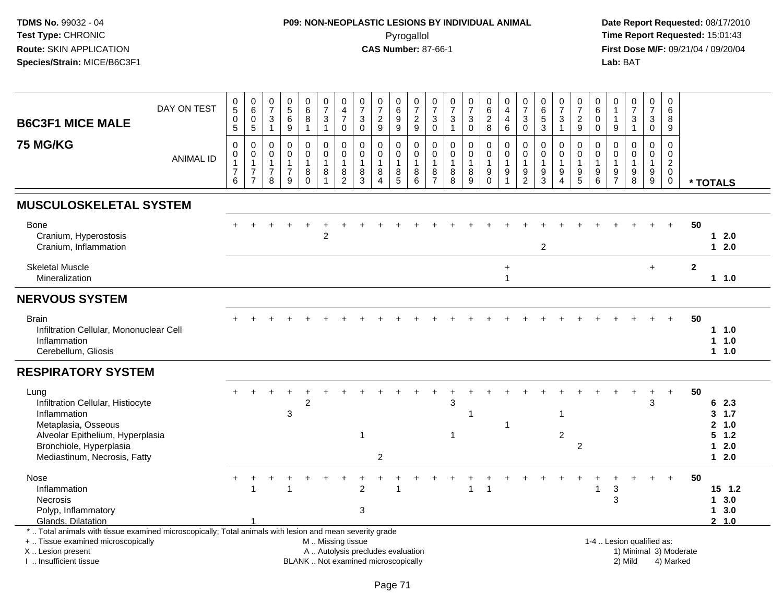# **P09: NON-NEOPLASTIC LESIONS BY INDIVIDUAL ANIMAL**Pyrogallol **Time Report Requested:** 15:01:43

| <b>B6C3F1 MICE MALE</b>                                                                                                                                                                       | DAY ON TEST      | $\begin{array}{c} 0 \\ 5 \end{array}$<br>$\mathbf 0$<br>$5\phantom{.0}$ | $\begin{array}{c} 0 \\ 6 \end{array}$<br>$\pmb{0}$<br>$\sqrt{5}$   | $\frac{0}{7}$<br>$\sqrt{3}$<br>$\overline{1}$                       | $\begin{array}{c} 0 \\ 5 \end{array}$<br>$\,6\,$<br>9           | $\begin{array}{c} 0 \\ 6 \end{array}$<br>$\bf 8$<br>1 | $\begin{smallmatrix}0\\7\end{smallmatrix}$<br>$\ensuremath{\mathsf{3}}$<br>$\mathbf{1}$ | $\mathbf 0$<br>4<br>$\overline{7}$<br>$\mathbf 0$               | $\pmb{0}$<br>$\overline{7}$<br>$\ensuremath{\mathsf{3}}$<br>$\mathsf{O}\xspace$ | $\frac{0}{7}$<br>$\sqrt{2}$<br>$\boldsymbol{9}$                               | $_{6}^{\rm 0}$<br>$\boldsymbol{9}$<br>9            | $\frac{0}{7}$<br>$\sqrt{2}$<br>9                     | $\frac{0}{7}$<br>3<br>$\mathbf 0$            | $\frac{0}{7}$<br>$\ensuremath{\mathsf{3}}$<br>$\mathbf{1}$ | $\frac{0}{7}$<br>3<br>$\mathsf{O}$ | $\pmb{0}$<br>$\,6\,$<br>$\overline{2}$<br>8        | 0<br>$\overline{4}$<br>$\overline{\mathbf{4}}$<br>$\,6\,$         | $\frac{0}{7}$<br>$\ensuremath{\mathsf{3}}$<br>$\mathbf 0$         | $\begin{array}{c} 0 \\ 6 \end{array}$<br>$\overline{5}$<br>$\mathbf{3}$ | $\frac{0}{7}$<br>$\ensuremath{\mathsf{3}}$<br>1 | $\frac{0}{7}$<br>$\frac{2}{9}$                     | $\mathbf 0$<br>6<br>$\mathbf 0$<br>0              | 0<br>$\mathbf 1$<br>9                               | $\begin{smallmatrix}0\\7\end{smallmatrix}$<br>$\ensuremath{\mathsf{3}}$<br>$\mathbf{1}$ | $\mathbf 0$<br>$\overline{7}$<br>$\ensuremath{\mathsf{3}}$<br>$\mathbf 0$ | $\mathbf 0$<br>6<br>8<br>9                                                    |                        |                                                            |
|-----------------------------------------------------------------------------------------------------------------------------------------------------------------------------------------------|------------------|-------------------------------------------------------------------------|--------------------------------------------------------------------|---------------------------------------------------------------------|-----------------------------------------------------------------|-------------------------------------------------------|-----------------------------------------------------------------------------------------|-----------------------------------------------------------------|---------------------------------------------------------------------------------|-------------------------------------------------------------------------------|----------------------------------------------------|------------------------------------------------------|----------------------------------------------|------------------------------------------------------------|------------------------------------|----------------------------------------------------|-------------------------------------------------------------------|-------------------------------------------------------------------|-------------------------------------------------------------------------|-------------------------------------------------|----------------------------------------------------|---------------------------------------------------|-----------------------------------------------------|-----------------------------------------------------------------------------------------|---------------------------------------------------------------------------|-------------------------------------------------------------------------------|------------------------|------------------------------------------------------------|
| <b>75 MG/KG</b>                                                                                                                                                                               | <b>ANIMAL ID</b> | $\mathbf 0$<br>$\pmb{0}$<br>$\mathbf{1}$<br>$\overline{7}$<br>6         | 0<br>$\pmb{0}$<br>$\mathbf{1}$<br>$\overline{7}$<br>$\overline{7}$ | $\mathbf 0$<br>$\mathbf 0$<br>$\overline{1}$<br>$\overline{7}$<br>8 | $\mathbf 0$<br>$\pmb{0}$<br>$\mathbf{1}$<br>$\overline{7}$<br>9 | 0<br>$\pmb{0}$<br>1<br>8<br>$\Omega$                  | 0<br>$\mathsf 0$<br>$\mathbf{1}$<br>$\,8\,$<br>$\mathbf{1}$                             | $\mathbf 0$<br>$\pmb{0}$<br>$\mathbf{1}$<br>8<br>$\overline{2}$ | $\mathbf 0$<br>0<br>$\mathbf{1}$<br>8<br>3                                      | $\mathbf 0$<br>$\pmb{0}$<br>$\mathbf{1}$<br>$\bf 8$<br>$\boldsymbol{\Lambda}$ | 0<br>$\mathbf 0$<br>$\overline{1}$<br>$\,8\,$<br>5 | $\mathbf 0$<br>$\mathsf 0$<br>$\mathbf{1}$<br>8<br>6 | 0<br>$\mathbf 0$<br>1<br>8<br>$\overline{7}$ | $\mathbf 0$<br>$\mathbf 0$<br>$\mathbf{1}$<br>$\,8\,$<br>8 | 0<br>$\mathsf{O}$<br>8<br>9        | 0<br>$\pmb{0}$<br>$\mathbf{1}$<br>9<br>$\mathbf 0$ | $\mathbf 0$<br>$\mathbf 0$<br>$\overline{1}$<br>9<br>$\mathbf{1}$ | $\mathbf 0$<br>$\mathbf 0$<br>$\mathbf{1}$<br>9<br>$\overline{2}$ | 0<br>$\mathbf 0$<br>$\mathbf{1}$<br>9<br>3                              | 0<br>$\mathbf 0$<br>9<br>$\overline{4}$         | 0<br>$\mathsf{O}\xspace$<br>$\mathbf{1}$<br>9<br>5 | $\Omega$<br>$\mathbf 0$<br>$\mathbf{1}$<br>9<br>6 | $\Omega$<br>0<br>$\mathbf 1$<br>9<br>$\overline{7}$ | $\mathbf 0$<br>$\mathbf 0$<br>9<br>8                                                    | $\mathbf 0$<br>$\pmb{0}$<br>$\mathbf{1}$<br>9<br>9                        | $\mathbf 0$<br>$\mathbf 0$<br>$\overline{2}$<br>$\mathbf 0$<br>$\overline{0}$ |                        | * TOTALS                                                   |
| <b>MUSCULOSKELETAL SYSTEM</b>                                                                                                                                                                 |                  |                                                                         |                                                                    |                                                                     |                                                                 |                                                       |                                                                                         |                                                                 |                                                                                 |                                                                               |                                                    |                                                      |                                              |                                                            |                                    |                                                    |                                                                   |                                                                   |                                                                         |                                                 |                                                    |                                                   |                                                     |                                                                                         |                                                                           |                                                                               |                        |                                                            |
| Bone<br>Cranium, Hyperostosis<br>Cranium, Inflammation                                                                                                                                        |                  |                                                                         |                                                                    |                                                                     |                                                                 |                                                       | $\overline{2}$                                                                          |                                                                 |                                                                                 |                                                                               |                                                    |                                                      |                                              |                                                            |                                    |                                                    |                                                                   |                                                                   | $\overline{c}$                                                          |                                                 |                                                    |                                                   |                                                     |                                                                                         |                                                                           |                                                                               | 50                     | $1 2.0$<br>$12.0$                                          |
| <b>Skeletal Muscle</b><br>Mineralization                                                                                                                                                      |                  |                                                                         |                                                                    |                                                                     |                                                                 |                                                       |                                                                                         |                                                                 |                                                                                 |                                                                               |                                                    |                                                      |                                              |                                                            |                                    |                                                    | $\ddot{}$<br>$\overline{1}$                                       |                                                                   |                                                                         |                                                 |                                                    |                                                   |                                                     |                                                                                         | $\ddot{}$                                                                 |                                                                               | $\mathbf{2}$           | $1 \t1.0$                                                  |
| <b>NERVOUS SYSTEM</b>                                                                                                                                                                         |                  |                                                                         |                                                                    |                                                                     |                                                                 |                                                       |                                                                                         |                                                                 |                                                                                 |                                                                               |                                                    |                                                      |                                              |                                                            |                                    |                                                    |                                                                   |                                                                   |                                                                         |                                                 |                                                    |                                                   |                                                     |                                                                                         |                                                                           |                                                                               |                        |                                                            |
| <b>Brain</b><br>Infiltration Cellular, Mononuclear Cell<br>Inflammation<br>Cerebellum, Gliosis                                                                                                |                  |                                                                         |                                                                    |                                                                     |                                                                 |                                                       |                                                                                         |                                                                 |                                                                                 |                                                                               |                                                    |                                                      |                                              |                                                            |                                    |                                                    |                                                                   |                                                                   |                                                                         |                                                 |                                                    |                                                   |                                                     |                                                                                         |                                                                           |                                                                               | 50                     | 11.0<br>11.0<br>$1 1.0$                                    |
| <b>RESPIRATORY SYSTEM</b>                                                                                                                                                                     |                  |                                                                         |                                                                    |                                                                     |                                                                 |                                                       |                                                                                         |                                                                 |                                                                                 |                                                                               |                                                    |                                                      |                                              |                                                            |                                    |                                                    |                                                                   |                                                                   |                                                                         |                                                 |                                                    |                                                   |                                                     |                                                                                         |                                                                           |                                                                               |                        |                                                            |
| Lung<br>Infiltration Cellular, Histiocyte<br>Inflammation<br>Metaplasia, Osseous<br>Alveolar Epithelium, Hyperplasia<br>Bronchiole, Hyperplasia<br>Mediastinum, Necrosis, Fatty               |                  |                                                                         |                                                                    |                                                                     | 3                                                               | $\overline{c}$                                        |                                                                                         |                                                                 |                                                                                 | $\sqrt{2}$                                                                    |                                                    |                                                      |                                              | 3<br>$\mathbf 1$                                           |                                    |                                                    |                                                                   |                                                                   |                                                                         | 1<br>$\overline{c}$                             | 2                                                  |                                                   |                                                     |                                                                                         | $\ddot{}$<br>3                                                            | $\ddot{}$                                                                     | 50                     | 62.3<br>3, 1.7<br>2 1.0<br>$5 \t1.2$<br>2.0<br>1<br>$12.0$ |
| Nose<br>Inflammation<br><b>Necrosis</b><br>Polyp, Inflammatory<br>Glands, Dilatation                                                                                                          |                  |                                                                         |                                                                    |                                                                     |                                                                 |                                                       |                                                                                         |                                                                 | 2<br>3                                                                          |                                                                               |                                                    |                                                      |                                              |                                                            | 1                                  |                                                    |                                                                   |                                                                   |                                                                         |                                                 |                                                    | -1                                                | 3<br>3                                              |                                                                                         |                                                                           |                                                                               | 50                     | $15$ 1.2<br>13.0<br>13.0<br>2 1.0                          |
| *  Total animals with tissue examined microscopically; Total animals with lesion and mean severity grade<br>+  Tissue examined microscopically<br>X  Lesion present<br>I  Insufficient tissue |                  |                                                                         |                                                                    |                                                                     |                                                                 |                                                       |                                                                                         | M  Missing tissue                                               |                                                                                 | A  Autolysis precludes evaluation<br>BLANK  Not examined microscopically      |                                                    |                                                      |                                              |                                                            |                                    |                                                    |                                                                   |                                                                   |                                                                         |                                                 |                                                    | 1-4  Lesion qualified as:                         |                                                     | 2) Mild                                                                                 |                                                                           | 4) Marked                                                                     | 1) Minimal 3) Moderate |                                                            |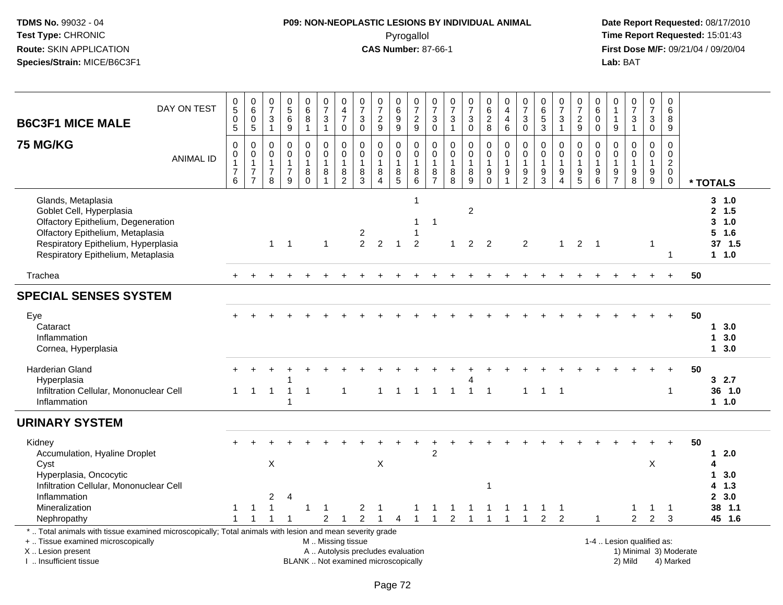# **P09: NON-NEOPLASTIC LESIONS BY INDIVIDUAL ANIMAL**Pyrogallol **Time Report Requested:** 15:01:43

| <b>B6C3F1 MICE MALE</b><br><b>75 MG/KG</b>                                                                                                                                                            | DAY ON TEST<br><b>ANIMAL ID</b> | $\mathbf 0$<br>$\overline{5}$<br>$\mathbf 0$<br>$\overline{5}$<br>$\mathbf 0$<br>$\mathbf 0$<br>$\mathbf{1}$<br>$\overline{7}$ | $\mathbf 0$<br>$6\phantom{1}6$<br>$\mathbf 0$<br>$\overline{5}$<br>$\boldsymbol{0}$<br>$\pmb{0}$<br>$\overline{1}$<br>$\overline{7}$ | $\pmb{0}$<br>$\overline{7}$<br>3<br>$\overline{1}$<br>$\mathbf 0$<br>$\mathbf 0$<br>$\mathbf{1}$<br>$\overline{7}$ | $\pmb{0}$<br>$\overline{5}$<br>6<br>9<br>$\mathbf 0$<br>$\mathbf 0$<br>$\mathbf{1}$<br>$\overline{7}$ | $_{6}^{\rm 0}$<br>8<br>$\mathbf{1}$<br>0<br>$\mathbf 0$<br>$\mathbf{1}$<br>8 | $\frac{0}{7}$<br>$\mathbf{3}$<br>$\mathbf{1}$<br>$\mathbf 0$<br>$\mathbf 0$<br>$\mathbf{1}$<br>$\bf 8$ | $\pmb{0}$<br>$\overline{4}$<br>$\overline{7}$<br>$\mathbf 0$<br>$\boldsymbol{0}$<br>$\pmb{0}$<br>$\mathbf{1}$ | $\pmb{0}$<br>$\overline{7}$<br>$\mathbf{3}$<br>$\mathbf 0$<br>$\mathbf 0$<br>$\mathbf 0$<br>$\overline{1}$<br>8 | $\begin{array}{c} 0 \\ 7 \end{array}$<br>$\overline{2}$<br>$\overline{9}$<br>$\boldsymbol{0}$<br>$\mathbf 0$<br>$\overline{1}$<br>$\,8\,$ | 0<br>$6\phantom{a}$<br>$\boldsymbol{9}$<br>$\overline{9}$<br>0<br>0<br>$\mathbf{1}$ | $\frac{0}{7}$<br>$\frac{2}{9}$<br>$\mathbf 0$<br>$\mathbf 0$<br>$\overline{1}$<br>$\,8\,$ | 0<br>$\overline{7}$<br>$\sqrt{3}$<br>$\mathbf 0$<br>$\mathbf 0$<br>$\,0\,$<br>$\mathbf{1}$<br>8 | $\frac{0}{7}$<br>$\mathbf{3}$<br>$\mathbf{1}$<br>0<br>$\mathbf 0$<br>$\mathbf{1}$<br>$\,$ 8 $\,$ | $\frac{0}{7}$<br>$\mathbf{3}$<br>$\mathsf 0$<br>$\boldsymbol{0}$<br>$\mathbf 0$<br>$\mathbf{1}$ | $\boldsymbol{0}$<br>$6\phantom{a}$<br>$_{\rm 8}^2$<br>0<br>$\mathbf 0$<br>$\mathbf{1}$ | $\pmb{0}$<br>$\overline{4}$<br>$\overline{4}$<br>$\,6\,$<br>$\mathbf 0$<br>$\pmb{0}$<br>$\mathbf{1}$<br>$\boldsymbol{9}$ | $\pmb{0}$<br>$\overline{7}$<br>3<br>$\mathbf 0$<br>0<br>0<br>$\mathbf{1}$<br>9 | $\pmb{0}$<br>$6\phantom{1}6$<br>$\overline{5}$<br>$\mathbf{3}$<br>$\mathbf 0$<br>$\mathbf 0$<br>$\mathbf{1}$<br>$\boldsymbol{9}$ | $\frac{0}{7}$<br>3<br>$\mathbf{1}$<br>0<br>$\mathbf 0$<br>$\mathbf{1}$<br>9 | $\frac{0}{7}$<br>$\frac{2}{9}$<br>0<br>$\mathbf 0$<br>$\mathbf{1}$ | $\pmb{0}$<br>$6\overline{6}$<br>$\mathbf 0$<br>0<br>0<br>$\mathbf 0$<br>$\mathbf{1}$ | 0<br>1<br>9<br>0<br>$\mathbf 0$<br>$\mathbf{1}$ | $\begin{array}{c} 0 \\ 7 \end{array}$<br>$\frac{3}{1}$<br>$\pmb{0}$<br>$\mathsf{O}\xspace$<br>$\mathbf{1}$ | 0<br>$\overline{7}$<br>$\mathbf{3}$<br>0<br>0<br>$\mathbf 0$<br>$\mathbf{1}$<br>$\boldsymbol{9}$ | $\mathbf 0$<br>$6\phantom{1}6$<br>8<br>9<br>$\mathbf 0$<br>$\mathbf 0$<br>$\overline{2}$<br>$\mathbf 0$ |                        |                                                                             |
|-------------------------------------------------------------------------------------------------------------------------------------------------------------------------------------------------------|---------------------------------|--------------------------------------------------------------------------------------------------------------------------------|--------------------------------------------------------------------------------------------------------------------------------------|--------------------------------------------------------------------------------------------------------------------|-------------------------------------------------------------------------------------------------------|------------------------------------------------------------------------------|--------------------------------------------------------------------------------------------------------|---------------------------------------------------------------------------------------------------------------|-----------------------------------------------------------------------------------------------------------------|-------------------------------------------------------------------------------------------------------------------------------------------|-------------------------------------------------------------------------------------|-------------------------------------------------------------------------------------------|-------------------------------------------------------------------------------------------------|--------------------------------------------------------------------------------------------------|-------------------------------------------------------------------------------------------------|----------------------------------------------------------------------------------------|--------------------------------------------------------------------------------------------------------------------------|--------------------------------------------------------------------------------|----------------------------------------------------------------------------------------------------------------------------------|-----------------------------------------------------------------------------|--------------------------------------------------------------------|--------------------------------------------------------------------------------------|-------------------------------------------------|------------------------------------------------------------------------------------------------------------|--------------------------------------------------------------------------------------------------|---------------------------------------------------------------------------------------------------------|------------------------|-----------------------------------------------------------------------------|
| Glands, Metaplasia<br>Goblet Cell, Hyperplasia<br>Olfactory Epithelium, Degeneration<br>Olfactory Epithelium, Metaplasia<br>Respiratory Epithelium, Hyperplasia<br>Respiratory Epithelium, Metaplasia |                                 | 6                                                                                                                              | $\overline{7}$                                                                                                                       | 8<br>$\mathbf{1}$                                                                                                  | 9<br>$\overline{1}$                                                                                   | $\Omega$                                                                     | $\overline{1}$<br>$\mathbf 1$                                                                          | $\begin{smallmatrix} 8 \\ 2 \end{smallmatrix}$                                                                | $\overline{3}$<br>$\overline{c}$<br>2                                                                           | $\overline{4}$<br>2                                                                                                                       | $^8$ 5<br>-1                                                                        | $6\phantom{1}6$<br>1<br>-1<br>-1<br>2                                                     | $\overline{7}$<br>$\mathbf{1}$                                                                  | $\overline{8}$                                                                                   | $^8_9$<br>$\overline{c}$<br>2                                                                   | $_{0}^{9}$<br>2                                                                        | $\overline{1}$                                                                                                           | $\overline{2}$<br>2                                                            | 3                                                                                                                                | $\overline{4}$<br>$\mathbf{1}$                                              | $\frac{9}{5}$<br>2                                                 | $^9$ 6<br>$\overline{1}$                                                             | $\frac{9}{7}$                                   | $_{\rm 8}^{\rm 9}$                                                                                         | $\boldsymbol{9}$<br>$\mathbf{1}$                                                                 | $\mathbf 0$<br>-1                                                                                       |                        | * TOTALS<br>3, 1.0<br>2, 1.5<br>$3 - 1.0$<br>$5 \t1.6$<br>37 1.5<br>$1 1.0$ |
| Trachea                                                                                                                                                                                               |                                 |                                                                                                                                |                                                                                                                                      |                                                                                                                    |                                                                                                       |                                                                              |                                                                                                        |                                                                                                               |                                                                                                                 |                                                                                                                                           |                                                                                     |                                                                                           |                                                                                                 |                                                                                                  |                                                                                                 |                                                                                        |                                                                                                                          |                                                                                |                                                                                                                                  |                                                                             |                                                                    |                                                                                      |                                                 |                                                                                                            |                                                                                                  | $+$                                                                                                     | 50                     |                                                                             |
| <b>SPECIAL SENSES SYSTEM</b>                                                                                                                                                                          |                                 |                                                                                                                                |                                                                                                                                      |                                                                                                                    |                                                                                                       |                                                                              |                                                                                                        |                                                                                                               |                                                                                                                 |                                                                                                                                           |                                                                                     |                                                                                           |                                                                                                 |                                                                                                  |                                                                                                 |                                                                                        |                                                                                                                          |                                                                                |                                                                                                                                  |                                                                             |                                                                    |                                                                                      |                                                 |                                                                                                            |                                                                                                  |                                                                                                         |                        |                                                                             |
| Eye<br>Cataract<br>Inflammation<br>Cornea, Hyperplasia                                                                                                                                                |                                 |                                                                                                                                |                                                                                                                                      |                                                                                                                    |                                                                                                       |                                                                              |                                                                                                        |                                                                                                               |                                                                                                                 |                                                                                                                                           |                                                                                     |                                                                                           |                                                                                                 |                                                                                                  |                                                                                                 |                                                                                        |                                                                                                                          |                                                                                |                                                                                                                                  |                                                                             |                                                                    |                                                                                      |                                                 |                                                                                                            |                                                                                                  |                                                                                                         | 50                     | 13.0<br>13.0<br>1, 3.0                                                      |
| <b>Harderian Gland</b><br>Hyperplasia<br>Infiltration Cellular, Mononuclear Cell<br>Inflammation                                                                                                      |                                 | $\mathbf{1}$                                                                                                                   | $\overline{1}$                                                                                                                       | $\overline{1}$                                                                                                     | $\overline{1}$                                                                                        | $\overline{1}$                                                               |                                                                                                        | $\overline{1}$                                                                                                |                                                                                                                 | $\overline{1}$                                                                                                                            | $\overline{1}$                                                                      | $\overline{1}$                                                                            | $\overline{1}$                                                                                  | $\overline{1}$                                                                                   | $\overline{1}$                                                                                  | $\overline{1}$                                                                         |                                                                                                                          |                                                                                | $1 \quad 1 \quad 1$                                                                                                              |                                                                             |                                                                    |                                                                                      |                                                 |                                                                                                            |                                                                                                  | $+$<br>$\mathbf 1$                                                                                      | 50                     | 32.7<br>36 1.0<br>1 1.0                                                     |
| <b>URINARY SYSTEM</b>                                                                                                                                                                                 |                                 |                                                                                                                                |                                                                                                                                      |                                                                                                                    |                                                                                                       |                                                                              |                                                                                                        |                                                                                                               |                                                                                                                 |                                                                                                                                           |                                                                                     |                                                                                           |                                                                                                 |                                                                                                  |                                                                                                 |                                                                                        |                                                                                                                          |                                                                                |                                                                                                                                  |                                                                             |                                                                    |                                                                                      |                                                 |                                                                                                            |                                                                                                  |                                                                                                         |                        |                                                                             |
| Kidney<br>Accumulation, Hyaline Droplet<br>Cyst<br>Hyperplasia, Oncocytic<br>Infiltration Cellular, Mononuclear Cell<br>Inflammation                                                                  |                                 |                                                                                                                                |                                                                                                                                      | $\times$<br>$\overline{\mathbf{c}}$                                                                                | 4                                                                                                     |                                                                              |                                                                                                        |                                                                                                               |                                                                                                                 | $\boldsymbol{\mathsf{X}}$                                                                                                                 |                                                                                     |                                                                                           | $\overline{c}$                                                                                  |                                                                                                  |                                                                                                 |                                                                                        |                                                                                                                          |                                                                                |                                                                                                                                  |                                                                             |                                                                    |                                                                                      |                                                 |                                                                                                            | Χ                                                                                                | $\ddot{}$                                                                                               | 50                     | 2.0<br>1<br>4<br>3.0<br>1<br>4<br>1.3<br>2, 3.0                             |
| Mineralization<br>Nephropathy                                                                                                                                                                         |                                 | $\mathbf{1}$                                                                                                                   | -1<br>-1                                                                                                                             | 1<br>1                                                                                                             |                                                                                                       | 1                                                                            | $\overline{2}$                                                                                         | $\mathbf 1$                                                                                                   | 2<br>2                                                                                                          | -1<br>-1                                                                                                                                  | 4                                                                                   |                                                                                           | $\mathbf{1}$                                                                                    | $\overline{2}$                                                                                   | $\overline{1}$                                                                                  |                                                                                        | -1                                                                                                                       | $\mathbf{1}$                                                                   | $\overline{2}$                                                                                                                   | 1<br>$\overline{2}$                                                         |                                                                    | $\mathbf{1}$                                                                         |                                                 | 1<br>2                                                                                                     | -1<br>2                                                                                          | $\overline{1}$<br>3                                                                                     |                        | 38 1.1<br>45 1.6                                                            |
| *  Total animals with tissue examined microscopically; Total animals with lesion and mean severity grade<br>+  Tissue examined microscopically<br>X Lesion present<br>I. Insufficient tissue          |                                 |                                                                                                                                |                                                                                                                                      |                                                                                                                    |                                                                                                       | BLANK  Not examined microscopically                                          | M Missing tissue                                                                                       |                                                                                                               |                                                                                                                 | A  Autolysis precludes evaluation                                                                                                         |                                                                                     |                                                                                           |                                                                                                 |                                                                                                  |                                                                                                 |                                                                                        |                                                                                                                          |                                                                                |                                                                                                                                  |                                                                             |                                                                    |                                                                                      |                                                 | 1-4  Lesion qualified as:<br>2) Mild                                                                       |                                                                                                  | 4) Marked                                                                                               | 1) Minimal 3) Moderate |                                                                             |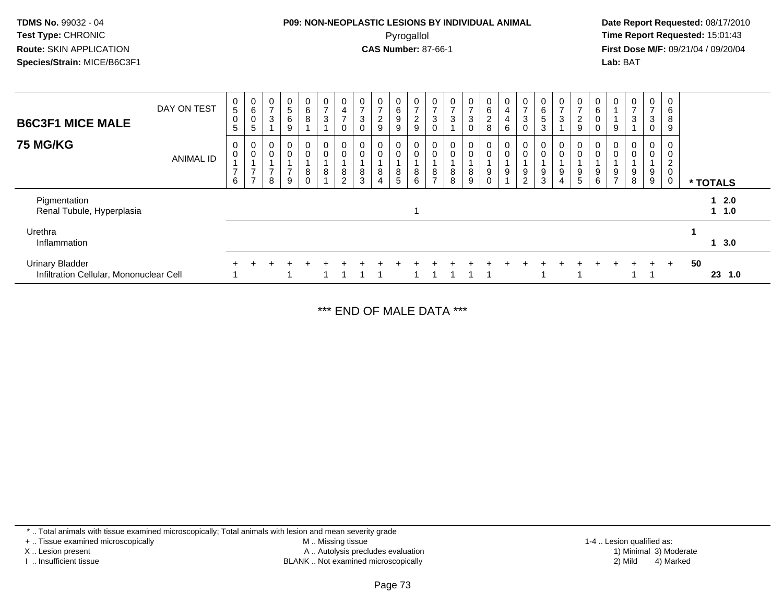#### **P09: NON-NEOPLASTIC LESIONS BY INDIVIDUAL ANIMAL**Pyrogallol **Time Report Requested:** 15:01:43

 **Date Report Requested:** 08/17/2010 **First Dose M/F:** 09/21/04 / 09/20/04<br>**Lab:** BAT **Lab:** BAT

| <b>B6C3F1 MICE MALE</b>                                           | DAY ON TEST      | 0<br>5 <sup>5</sup><br>$\mathbf 0$<br>5 | 0<br>$\,6\,$<br>$\pmb{0}$<br>5                  | $\mathbf 0$<br>$\overline{ }$<br>$\sqrt{3}$ | $\begin{array}{c} 0 \\ 5 \\ 6 \end{array}$<br>9                | $\overline{0}$<br>6<br>8          | 0<br>$\overline{ }$<br>3 | $\overline{0}$<br>4<br>$\overline{ }$<br>$\mathbf 0$ | 3           | 0<br>$\overline{ }$<br>$\boldsymbol{2}$<br>$\overline{9}$ | 0<br>6<br>9<br>9          | 0<br>$\overline{ }$<br>$\overline{c}$<br>9 | 0<br>3                   | 0<br>$\overline{ }$<br>$\sqrt{3}$ | 0<br>$\rightarrow$<br>$\sqrt{3}$<br>$\pmb{0}$ | $\mathbf{0}$<br>6<br>$\overline{c}$<br>8 | 0<br>$\overline{4}$<br>$\overline{\mathbf{4}}$<br>$\,6\,$ | $\frac{0}{7}$<br>$\mathbf{3}$<br>$\mathbf 0$ | $\mathbf 0$<br>6<br>5<br>3 | 0<br>$\rightarrow$<br>3 | $\frac{0}{7}$<br>$\frac{2}{9}$                         | $\mathbf{0}$<br>6<br>$\,0\,$<br>$\mathbf 0$ | 0<br>9                                | $\frac{0}{7}$<br>$\mathbf{3}$ | 0<br>$\overline{ }$<br>3<br>$\mathbf 0$ | 0<br>6<br>8<br>9                             |    |                   |     |
|-------------------------------------------------------------------|------------------|-----------------------------------------|-------------------------------------------------|---------------------------------------------|----------------------------------------------------------------|-----------------------------------|--------------------------|------------------------------------------------------|-------------|-----------------------------------------------------------|---------------------------|--------------------------------------------|--------------------------|-----------------------------------|-----------------------------------------------|------------------------------------------|-----------------------------------------------------------|----------------------------------------------|----------------------------|-------------------------|--------------------------------------------------------|---------------------------------------------|---------------------------------------|-------------------------------|-----------------------------------------|----------------------------------------------|----|-------------------|-----|
| <b>75 MG/KG</b>                                                   | <b>ANIMAL ID</b> | 0<br>$\pmb{0}$<br>$\overline{ }$<br>6   | 0<br>$\,0\,$<br>$\rightarrow$<br>$\overline{ }$ | 0<br>$\overline{0}$<br>$\overline{ }$<br>8  | $\boldsymbol{0}$<br>$\ddot{\mathbf{0}}$<br>$\overline{7}$<br>9 | 0<br>$\mathbf 0$<br>8<br>$\Omega$ | 0<br>$\mathbf 0$<br>8    | $\mathbf 0$<br>$\pmb{0}$<br>8<br>$\overline{c}$      | 0<br>8<br>3 | 0<br>$\boldsymbol{0}$<br>8<br>4                           | 0<br>0<br>8<br>$\sqrt{5}$ | 0<br>$\mathsf{O}\xspace$<br>8<br>6         | 0<br>8<br>$\overline{ }$ | $\mathbf 0$<br>8<br>8             | 0<br>0<br>8<br>9                              | 0<br>$\mathbf 0$<br>9<br>0               | 0<br>$\pmb{0}$<br>9                                       | 0<br>$\pmb{0}$<br>9<br>$\overline{2}$        | $\mathbf 0$<br>9<br>3      | 0<br>0<br>9<br>4        | $\begin{smallmatrix} 0\\0 \end{smallmatrix}$<br>9<br>5 | 0<br>0<br>9<br>6                            | 0<br>$\pmb{0}$<br>9<br>$\overline{ }$ | 0<br>$\pmb{0}$<br>9<br>8      | 0<br>0<br>9<br>9                        | 0<br>0<br>$\overline{2}$<br>$\mathbf 0$<br>0 |    | * TOTALS          |     |
| Pigmentation<br>Renal Tubule, Hyperplasia                         |                  |                                         |                                                 |                                             |                                                                |                                   |                          |                                                      |             |                                                           |                           |                                            |                          |                                   |                                               |                                          |                                                           |                                              |                            |                         |                                                        |                                             |                                       |                               |                                         |                                              |    | 12.0<br>$1 \t1.0$ |     |
| Urethra<br>Inflammation                                           |                  |                                         |                                                 |                                             |                                                                |                                   |                          |                                                      |             |                                                           |                           |                                            |                          |                                   |                                               |                                          |                                                           |                                              |                            |                         |                                                        |                                             |                                       |                               |                                         |                                              |    | 13.0              |     |
| <b>Urinary Bladder</b><br>Infiltration Cellular, Mononuclear Cell |                  |                                         |                                                 |                                             |                                                                |                                   |                          |                                                      |             |                                                           |                           |                                            |                          |                                   |                                               |                                          |                                                           |                                              |                            |                         |                                                        |                                             |                                       |                               | $\div$                                  | $+$                                          | 50 | 23                | 1.0 |

\*\*\* END OF MALE DATA \*\*\*

\* .. Total animals with tissue examined microscopically; Total animals with lesion and mean severity grade

+ .. Tissue examined microscopically

X .. Lesion present

I .. Insufficient tissue

 M .. Missing tissueA .. Autolysis precludes evaluation

BLANK .. Not examined microscopically 2) Mild 4) Marked

1-4 .. Lesion qualified as:<br>1) Minimal 3) Moderate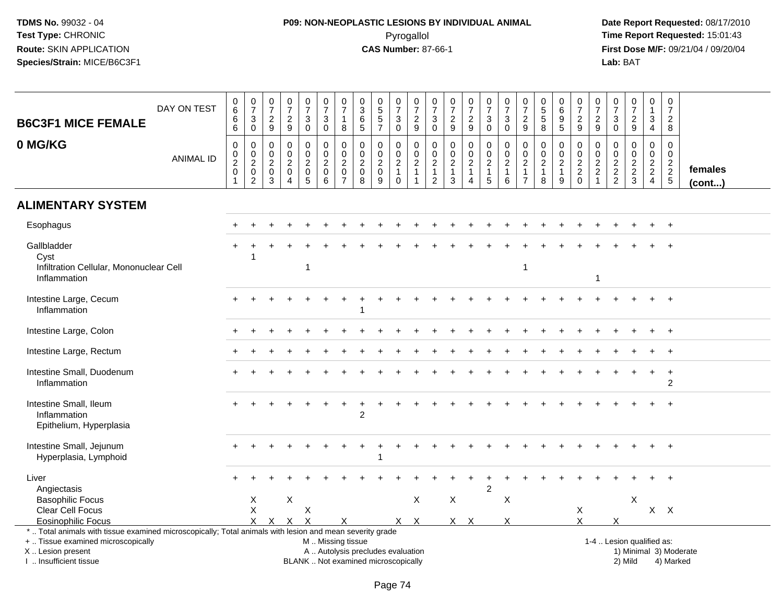# **P09: NON-NEOPLASTIC LESIONS BY INDIVIDUAL ANIMAL**Pyrogallol **Time Report Requested:** 15:01:43

| <b>B6C3F1 MICE FEMALE</b><br>0 MG/KG                                                                                                                                                          | DAY ON TEST      | $_{6}^{\rm 0}$<br>6<br>$\overline{6}$<br>$\pmb{0}$                | $\begin{array}{c} 0 \\ 7 \end{array}$<br>$\mathbf{3}$<br>$\overline{0}$<br>$\pmb{0}$ | $\begin{array}{c} 0 \\ 7 \end{array}$<br>$\frac{2}{9}$<br>$\mathbf 0$ | $\begin{array}{c} 0 \\ 7 \end{array}$<br>$\frac{2}{9}$<br>$\pmb{0}$              | $\begin{array}{c} 0 \\ 7 \end{array}$<br>$\mathbf{3}$<br>$\mathbf 0$<br>0 | $\frac{0}{7}$<br>3<br>$\mathbf 0$<br>$\mathbf 0$                         | $\frac{0}{7}$<br>$\mathbf{1}$<br>8<br>$\pmb{0}$                                               | $\mathbf 0$<br>$\overline{3}$<br>6<br>$\overline{5}$<br>0 | $\begin{smallmatrix} 0\\5 \end{smallmatrix}$<br>5<br>$\overline{7}$<br>$\mathbf 0$ | $\begin{array}{c} 0 \\ 7 \end{array}$<br>$_{\rm 0}^3$<br>$\mathbf 0$ | $\begin{array}{c} 0 \\ 7 \end{array}$<br>$\frac{2}{9}$<br>$\mathbf 0$ | 0<br>$\overline{7}$<br>3<br>$\overline{0}$<br>$\boldsymbol{0}$    | $\begin{array}{c} 0 \\ 7 \end{array}$<br>$\frac{2}{9}$<br>$\pmb{0}$ | $\frac{0}{7}$<br>$\frac{2}{9}$<br>$\mathsf{O}$     | $\begin{array}{c} 0 \\ 7 \end{array}$<br>$\mathbf{3}$<br>$\overline{0}$<br>$\pmb{0}$ | $\begin{array}{c} 0 \\ 7 \end{array}$<br>$\sqrt{3}$<br>$\mathsf{O}\xspace$<br>$\pmb{0}$ | $\frac{0}{7}$<br>$\frac{2}{9}$<br>$\pmb{0}$                 | $\begin{array}{c} 0 \\ 5 \end{array}$<br>$\sqrt{5}$<br>8<br>$\mathbf 0$ | 0<br>6<br>9<br>$\overline{5}$<br>0                 | $\begin{array}{c} 0 \\ 7 \end{array}$<br>$\frac{2}{9}$<br>0 | $\frac{0}{7}$<br>$\frac{2}{9}$<br>0                             | 0<br>$\overline{7}$<br>$\mathbf{3}$<br>0<br>0 | $\begin{smallmatrix}0\\7\end{smallmatrix}$<br>$\frac{2}{9}$<br>$\mathbf 0$ | 0<br>$\mathbf{1}$<br>$\sqrt{3}$<br>4<br>0                        | $\mathbf 0$<br>$\overline{7}$<br>$\boldsymbol{2}$<br>8<br>$\mathbf 0$ |                   |
|-----------------------------------------------------------------------------------------------------------------------------------------------------------------------------------------------|------------------|-------------------------------------------------------------------|--------------------------------------------------------------------------------------|-----------------------------------------------------------------------|----------------------------------------------------------------------------------|---------------------------------------------------------------------------|--------------------------------------------------------------------------|-----------------------------------------------------------------------------------------------|-----------------------------------------------------------|------------------------------------------------------------------------------------|----------------------------------------------------------------------|-----------------------------------------------------------------------|-------------------------------------------------------------------|---------------------------------------------------------------------|----------------------------------------------------|--------------------------------------------------------------------------------------|-----------------------------------------------------------------------------------------|-------------------------------------------------------------|-------------------------------------------------------------------------|----------------------------------------------------|-------------------------------------------------------------|-----------------------------------------------------------------|-----------------------------------------------|----------------------------------------------------------------------------|------------------------------------------------------------------|-----------------------------------------------------------------------|-------------------|
|                                                                                                                                                                                               | <b>ANIMAL ID</b> | $\boldsymbol{0}$<br>$\overline{2}$<br>$\pmb{0}$<br>$\overline{1}$ | $\begin{smallmatrix} 0\\2 \end{smallmatrix}$<br>$\pmb{0}$<br>$\overline{2}$          | $\mathbf 0$<br>$\overline{c}$<br>$\mathbf 0$<br>3                     | $\mathbf 0$<br>$\boldsymbol{2}$<br>$\mathsf{O}\xspace$<br>$\boldsymbol{\Lambda}$ | $\mathbf 0$<br>$\boldsymbol{2}$<br>$\mathbf 0$<br>5                       | $\mathbf 0$<br>$\boldsymbol{2}$<br>$\mathsf{O}\xspace$<br>$6\phantom{1}$ | 0<br>$\overline{c}$<br>$\pmb{0}$<br>$\overline{7}$                                            | $\mathbf 0$<br>$\overline{c}$<br>$\mathbf 0$<br>8         | 0<br>$\overline{c}$<br>$\mathsf{O}\xspace$<br>9                                    | 0<br>$\overline{c}$<br>$\mathbf{1}$<br>$\mathbf 0$                   | $\mathbf 0$<br>$\overline{c}$<br>$\overline{1}$<br>$\overline{1}$     | $\mathbf 0$<br>$\boldsymbol{2}$<br>$\mathbf{1}$<br>$\overline{2}$ | $\mathbf 0$<br>$\overline{c}$<br>$\mathbf{1}$<br>$\mathbf{3}$       | $\mathbf 0$<br>$\overline{a}$<br>$\mathbf{1}$<br>4 | $\mathbf 0$<br>$\sqrt{2}$<br>$\mathbf{1}$<br>5                                       | $\mathsf 0$<br>$\boldsymbol{2}$<br>$\overline{1}$<br>$6\phantom{1}6$                    | $\mathbf 0$<br>$\sqrt{2}$<br>$\mathbf{1}$<br>$\overline{7}$ | $\mathbf 0$<br>$\sqrt{2}$<br>$\mathbf{1}$<br>8                          | $\mathbf 0$<br>$\overline{2}$<br>$\mathbf{1}$<br>9 | $\mathbf 0$<br>$\overline{2}$<br>$^2_{\rm 0}$               | $\mathbf 0$<br>$\overline{c}$<br>$\overline{c}$<br>$\mathbf{1}$ | $\mathbf 0$<br>$\sqrt{2}$<br>$\frac{2}{2}$    | $\mathbf 0$<br>$\frac{2}{3}$                                               | $\overline{0}$<br>$\sqrt{2}$<br>$\overline{2}$<br>$\overline{4}$ | $\mathbf 0$<br>$\overline{2}$<br>$\frac{2}{5}$                        | females<br>(cont) |
| <b>ALIMENTARY SYSTEM</b>                                                                                                                                                                      |                  |                                                                   |                                                                                      |                                                                       |                                                                                  |                                                                           |                                                                          |                                                                                               |                                                           |                                                                                    |                                                                      |                                                                       |                                                                   |                                                                     |                                                    |                                                                                      |                                                                                         |                                                             |                                                                         |                                                    |                                                             |                                                                 |                                               |                                                                            |                                                                  |                                                                       |                   |
| Esophagus                                                                                                                                                                                     |                  |                                                                   |                                                                                      |                                                                       |                                                                                  |                                                                           |                                                                          |                                                                                               |                                                           |                                                                                    |                                                                      |                                                                       |                                                                   |                                                                     |                                                    |                                                                                      |                                                                                         |                                                             |                                                                         |                                                    |                                                             |                                                                 |                                               |                                                                            |                                                                  |                                                                       |                   |
| Gallbladder<br>Cyst<br>Infiltration Cellular, Mononuclear Cell<br>Inflammation                                                                                                                |                  |                                                                   | -1                                                                                   |                                                                       |                                                                                  | 1                                                                         |                                                                          |                                                                                               |                                                           |                                                                                    |                                                                      |                                                                       |                                                                   |                                                                     |                                                    |                                                                                      |                                                                                         | -1                                                          |                                                                         |                                                    |                                                             | $\mathbf{1}$                                                    |                                               |                                                                            |                                                                  |                                                                       |                   |
| Intestine Large, Cecum<br>Inflammation                                                                                                                                                        |                  |                                                                   |                                                                                      |                                                                       |                                                                                  |                                                                           |                                                                          |                                                                                               |                                                           |                                                                                    |                                                                      |                                                                       |                                                                   |                                                                     |                                                    |                                                                                      |                                                                                         |                                                             |                                                                         |                                                    |                                                             |                                                                 |                                               |                                                                            |                                                                  | $\ddot{}$                                                             |                   |
| Intestine Large, Colon                                                                                                                                                                        |                  |                                                                   |                                                                                      |                                                                       |                                                                                  |                                                                           |                                                                          |                                                                                               |                                                           |                                                                                    |                                                                      |                                                                       |                                                                   |                                                                     |                                                    |                                                                                      |                                                                                         |                                                             |                                                                         |                                                    |                                                             |                                                                 |                                               |                                                                            |                                                                  | $\ddot{}$                                                             |                   |
| Intestine Large, Rectum                                                                                                                                                                       |                  |                                                                   |                                                                                      |                                                                       |                                                                                  |                                                                           |                                                                          |                                                                                               |                                                           |                                                                                    |                                                                      |                                                                       |                                                                   |                                                                     |                                                    |                                                                                      |                                                                                         |                                                             |                                                                         |                                                    |                                                             |                                                                 |                                               |                                                                            |                                                                  |                                                                       |                   |
| Intestine Small, Duodenum<br>Inflammation                                                                                                                                                     |                  |                                                                   |                                                                                      |                                                                       |                                                                                  |                                                                           |                                                                          |                                                                                               |                                                           |                                                                                    |                                                                      |                                                                       |                                                                   |                                                                     |                                                    |                                                                                      |                                                                                         |                                                             |                                                                         |                                                    |                                                             |                                                                 |                                               |                                                                            | $+$                                                              | $\ddot{}$<br>$\overline{2}$                                           |                   |
| Intestine Small, Ileum<br>Inflammation<br>Epithelium, Hyperplasia                                                                                                                             |                  |                                                                   |                                                                                      |                                                                       |                                                                                  |                                                                           |                                                                          |                                                                                               | $\overline{2}$                                            |                                                                                    |                                                                      |                                                                       |                                                                   |                                                                     |                                                    |                                                                                      |                                                                                         |                                                             |                                                                         |                                                    |                                                             |                                                                 |                                               |                                                                            |                                                                  |                                                                       |                   |
| Intestine Small, Jejunum<br>Hyperplasia, Lymphoid                                                                                                                                             |                  |                                                                   |                                                                                      |                                                                       |                                                                                  |                                                                           |                                                                          |                                                                                               |                                                           |                                                                                    |                                                                      |                                                                       |                                                                   |                                                                     |                                                    |                                                                                      |                                                                                         |                                                             |                                                                         |                                                    |                                                             |                                                                 |                                               |                                                                            |                                                                  |                                                                       |                   |
| Liver<br>Angiectasis                                                                                                                                                                          |                  |                                                                   |                                                                                      |                                                                       |                                                                                  |                                                                           |                                                                          |                                                                                               |                                                           |                                                                                    |                                                                      |                                                                       |                                                                   |                                                                     |                                                    | $\overline{2}$                                                                       |                                                                                         |                                                             |                                                                         |                                                    |                                                             |                                                                 |                                               |                                                                            |                                                                  |                                                                       |                   |
| <b>Basophilic Focus</b><br>Clear Cell Focus<br><b>Eosinophilic Focus</b>                                                                                                                      |                  |                                                                   | X<br>$\boldsymbol{\mathsf{X}}$<br>x                                                  | X                                                                     | X<br>$\times$                                                                    | Χ<br>X                                                                    |                                                                          | X                                                                                             |                                                           |                                                                                    |                                                                      | X<br>$X$ $X$                                                          |                                                                   | X<br>$X$ $X$                                                        |                                                    |                                                                                      | X<br>X                                                                                  |                                                             |                                                                         |                                                    | X<br>X                                                      |                                                                 | X                                             | X                                                                          |                                                                  | $X$ $X$                                                               |                   |
| *  Total animals with tissue examined microscopically; Total animals with lesion and mean severity grade<br>+  Tissue examined microscopically<br>X  Lesion present<br>I. Insufficient tissue |                  |                                                                   |                                                                                      |                                                                       |                                                                                  |                                                                           |                                                                          | M  Missing tissue<br>A  Autolysis precludes evaluation<br>BLANK  Not examined microscopically |                                                           |                                                                                    |                                                                      |                                                                       |                                                                   |                                                                     |                                                    |                                                                                      |                                                                                         |                                                             |                                                                         |                                                    |                                                             |                                                                 |                                               | 1-4  Lesion qualified as:<br>2) Mild                                       |                                                                  | 1) Minimal 3) Moderate<br>4) Marked                                   |                   |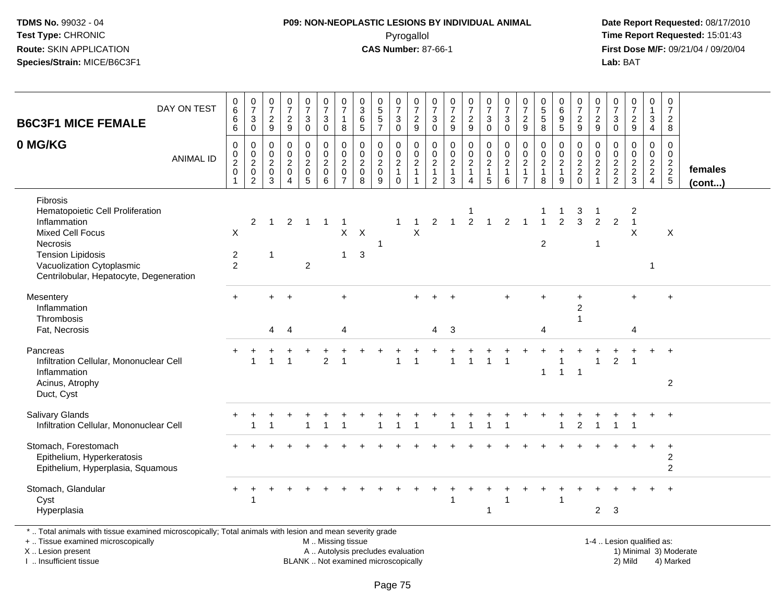## **P09: NON-NEOPLASTIC LESIONS BY INDIVIDUAL ANIMAL**Pyrogallol **Time Report Requested:** 15:01:43

 **Date Report Requested:** 08/17/2010 **First Dose M/F:** 09/21/04 / 09/20/04<br>Lab: BAT **Lab:** BAT

| <b>B6C3F1 MICE FEMALE</b>                                                                                                                                                                                             | DAY ON TEST      | $\begin{array}{c} 0 \\ 6 \end{array}$<br>$\,6$<br>6 | $\frac{0}{7}$<br>$\ensuremath{\mathsf{3}}$<br>$\mathbf 0$                        | $\pmb{0}$<br>$\overline{7}$<br>$\frac{2}{9}$                          | $\pmb{0}$<br>$\boldsymbol{7}$<br>$\frac{2}{9}$                      | $\frac{0}{7}$<br>$\mathbf{3}$<br>$\mathbf 0$        | $\frac{0}{7}$<br>$\ensuremath{\mathsf{3}}$<br>$\mathbf 0$                       | $\begin{array}{c} 0 \\ 7 \end{array}$<br>$\mathbf 1$<br>8 | $_{3}^{\rm 0}$<br>$\begin{array}{c} 6 \\ 5 \end{array}$ | $\begin{array}{c} 0 \\ 5 \end{array}$<br>$\sqrt{5}$<br>$\overline{7}$ | $\frac{0}{7}$<br>$\ensuremath{\mathsf{3}}$<br>$\mathbf 0$       | 0<br>$\overline{7}$<br>$\frac{2}{9}$    | 0<br>$\overline{7}$<br>$\mathbf{3}$<br>$\mathbf 0$  | 0<br>$\boldsymbol{7}$<br>$\frac{2}{9}$    | $\frac{0}{7}$<br>$\frac{2}{9}$               | $\frac{0}{7}$<br>$\mathbf{3}$<br>$\mathbf 0$                     | $\frac{0}{7}$<br>$\sqrt{3}$<br>$\mathbf 0$                        | $\frac{0}{7}$<br>$\frac{2}{9}$                             | 0<br>$\overline{5}$<br>$\sqrt{5}$<br>8         | $\begin{array}{c} 0 \\ 6 \end{array}$<br>$\boldsymbol{9}$<br>5 | $\begin{smallmatrix}0\\7\end{smallmatrix}$<br>$\frac{2}{9}$ | 0<br>$\overline{7}$<br>$\frac{2}{9}$          | 0<br>$\overline{7}$<br>$\sqrt{3}$<br>$\Omega$               | 0<br>$\boldsymbol{7}$<br>$\sqrt{2}$<br>9 | 0<br>$\mathbf{1}$<br>$\mathfrak{S}$<br>$\overline{4}$ | $\pmb{0}$<br>$\boldsymbol{7}$<br>$\sqrt{2}$<br>8 |                   |
|-----------------------------------------------------------------------------------------------------------------------------------------------------------------------------------------------------------------------|------------------|-----------------------------------------------------|----------------------------------------------------------------------------------|-----------------------------------------------------------------------|---------------------------------------------------------------------|-----------------------------------------------------|---------------------------------------------------------------------------------|-----------------------------------------------------------|---------------------------------------------------------|-----------------------------------------------------------------------|-----------------------------------------------------------------|-----------------------------------------|-----------------------------------------------------|-------------------------------------------|----------------------------------------------|------------------------------------------------------------------|-------------------------------------------------------------------|------------------------------------------------------------|------------------------------------------------|----------------------------------------------------------------|-------------------------------------------------------------|-----------------------------------------------|-------------------------------------------------------------|------------------------------------------|-------------------------------------------------------|--------------------------------------------------|-------------------|
| 0 MG/KG                                                                                                                                                                                                               | <b>ANIMAL ID</b> | 0<br>$\mathbf 0$<br>$\frac{2}{0}$                   | $\mathbf 0$<br>$\begin{smallmatrix} 0\\2\\0 \end{smallmatrix}$<br>$\overline{2}$ | $\mathbf 0$<br>$\mathbf 0$<br>$\overline{2}$<br>$\boldsymbol{0}$<br>3 | $\mathbf 0$<br>0<br>$\overline{2}$<br>$\mathsf 0$<br>$\overline{4}$ | $\mathbf 0$<br>0<br>$\frac{2}{0}$<br>$\overline{5}$ | $\pmb{0}$<br>$\begin{smallmatrix} 0\\2\\0 \end{smallmatrix}$<br>$6\overline{6}$ | $\pmb{0}$<br>$\pmb{0}$<br>$\frac{2}{0}$<br>$\overline{7}$ | $\mathbf 0$<br>$\boldsymbol{0}$<br>$\frac{2}{0}$<br>8   | $\mathbf 0$<br>$\mathbf 0$<br>$\frac{2}{0}$<br>9                      | 0<br>$\pmb{0}$<br>$\overline{2}$<br>$\mathbf{1}$<br>$\mathbf 0$ | 0<br>$\frac{0}{2}$<br>1<br>$\mathbf{1}$ | 0<br>$\mathbf 0$<br>$\frac{2}{1}$<br>$\overline{2}$ | 0<br>0<br>$\frac{2}{1}$<br>$\mathfrak{S}$ | $\pmb{0}$<br>$\frac{0}{2}$<br>$\overline{4}$ | 0<br>$\begin{matrix} 0 \\ 2 \\ 1 \end{matrix}$<br>$\overline{5}$ | $\pmb{0}$<br>$\begin{matrix} 0 \\ 2 \\ 1 \end{matrix}$<br>$\,6\,$ | 0<br>0<br>$\overline{c}$<br>$\mathbf{1}$<br>$\overline{7}$ | $\mathbf 0$<br>$\pmb{0}$<br>$\frac{2}{1}$<br>8 | 0<br>$\pmb{0}$<br>$\frac{2}{1}$<br>9                           | 0<br>$\mathbf 0$<br>$\frac{2}{2}$<br>0                      | $\mathbf 0$<br>$\frac{0}{2}$<br>$\frac{2}{1}$ | $\Omega$<br>0<br>$\begin{array}{c} 2 \\ 2 \\ 2 \end{array}$ | $\Omega$<br>0<br>$\frac{2}{3}$           | $\mathbf 0$<br>0<br>$\frac{2}{2}$                     | $\mathbf 0$<br>0<br>$\frac{2}{2}$                | females<br>(cont) |
| <b>Fibrosis</b><br>Hematopoietic Cell Proliferation<br>Inflammation<br><b>Mixed Cell Focus</b><br><b>Necrosis</b><br><b>Tension Lipidosis</b><br>Vacuolization Cytoplasmic<br>Centrilobular, Hepatocyte, Degeneration |                  | X<br>$\overline{2}$<br>2                            | $\overline{2}$                                                                   | $\mathbf{1}$<br>$\mathbf{1}$                                          | $\overline{2}$                                                      | $\overline{1}$<br>$\overline{c}$                    | $\mathbf{1}$                                                                    | $\mathbf 1$<br>X<br>$\mathbf{1}$                          | $\boldsymbol{\mathsf{X}}$<br>$\mathbf{3}$               | $\mathbf{1}$                                                          | $\mathbf 1$                                                     | $\mathbf{1}$<br>X                       | $\overline{2}$                                      | $\mathbf{1}$                              | $\overline{2}$                               | $\overline{1}$                                                   | $\overline{2}$                                                    |                                                            | $\overline{2}$                                 | $\overline{2}$                                                 | 3<br>3                                                      | 2<br>-1                                       | $\overline{2}$                                              | $\overline{c}$<br>$\overline{1}$<br>X    | $\mathbf{1}$                                          | X                                                |                   |
| Mesentery<br>Inflammation<br>Thrombosis<br>Fat, Necrosis                                                                                                                                                              |                  |                                                     |                                                                                  | 4                                                                     | 4                                                                   |                                                     |                                                                                 | 4                                                         |                                                         |                                                                       |                                                                 |                                         | 4                                                   | 3                                         |                                              |                                                                  |                                                                   |                                                            | 4                                              |                                                                | $\ddot{}$<br>$\overline{c}$                                 |                                               |                                                             | 4                                        |                                                       | $\ddot{}$                                        |                   |
| Pancreas<br>Infiltration Cellular, Mononuclear Cell<br>Inflammation<br>Acinus, Atrophy<br>Duct, Cyst                                                                                                                  |                  |                                                     | -1                                                                               | $\mathbf{1}$                                                          |                                                                     |                                                     | 2                                                                               |                                                           |                                                         |                                                                       | 1                                                               | 1                                       |                                                     |                                           | -1                                           | -1                                                               | -1                                                                |                                                            | 1                                              | $\overline{1}$                                                 | $\overline{1}$                                              | 1                                             | $\overline{2}$                                              | -1                                       |                                                       | $+$<br>$\overline{2}$                            |                   |
| Salivary Glands<br>Infiltration Cellular, Mononuclear Cell                                                                                                                                                            |                  |                                                     |                                                                                  |                                                                       |                                                                     |                                                     |                                                                                 |                                                           |                                                         |                                                                       |                                                                 |                                         |                                                     |                                           |                                              |                                                                  |                                                                   |                                                            |                                                |                                                                | $\overline{c}$                                              |                                               |                                                             |                                          | $\ddot{}$                                             | $+$                                              |                   |
| Stomach, Forestomach<br>Epithelium, Hyperkeratosis<br>Epithelium, Hyperplasia, Squamous                                                                                                                               |                  |                                                     |                                                                                  |                                                                       |                                                                     |                                                     |                                                                                 |                                                           |                                                         |                                                                       |                                                                 |                                         |                                                     |                                           |                                              |                                                                  |                                                                   |                                                            |                                                |                                                                |                                                             |                                               |                                                             |                                          |                                                       | $\ddot{}$<br>$\overline{2}$<br>$\overline{2}$    |                   |
| Stomach, Glandular<br>Cyst<br>Hyperplasia                                                                                                                                                                             |                  | $\ddot{}$                                           | -1                                                                               |                                                                       |                                                                     |                                                     |                                                                                 |                                                           |                                                         |                                                                       |                                                                 |                                         |                                                     |                                           |                                              | 1                                                                | -1                                                                |                                                            |                                                | 1                                                              |                                                             | $\overline{2}$                                | 3                                                           |                                          |                                                       |                                                  |                   |
| *  Total animals with tissue examined microscopically; Total animals with lesion and mean severity grade<br>+  Tissue examined microscopically                                                                        |                  |                                                     |                                                                                  |                                                                       |                                                                     |                                                     | M  Missing tissue                                                               |                                                           |                                                         |                                                                       |                                                                 |                                         |                                                     |                                           |                                              |                                                                  |                                                                   |                                                            |                                                |                                                                |                                                             |                                               |                                                             | 1-4  Lesion qualified as:                |                                                       |                                                  |                   |

+ .. Tissue examined microscopicallyX .. Lesion present

I .. Insufficient tissue

BLANK .. Not examined microscopically

 1-4 .. Lesion qualified as: A .. Autolysis precludes evaluation 19 and 10 minimal 3) Moderate 1 and 20 minimal 3) Moderate 19 minimal 3) Moderat<br>19 and 19 and 19 and 19 and 19 and 19 and 19 and 19 and 19 and 19 and 19 and 19 and 19 and 19 and 19 and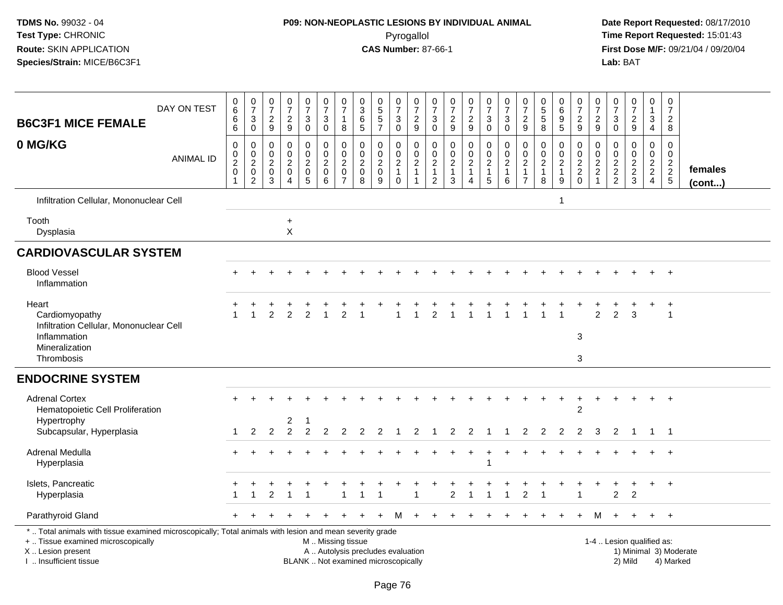# **P09: NON-NEOPLASTIC LESIONS BY INDIVIDUAL ANIMAL**Pyrogallol **Time Report Requested:** 15:01:43

| <b>B6C3F1 MICE FEMALE</b><br>0 MG/KG                                                                                                                                                          | DAY ON TEST<br><b>ANIMAL ID</b> | $_{6}^{\rm 0}$<br>6<br>$\overline{6}$<br>$\pmb{0}$<br>$\pmb{0}$<br>$\overline{2}$<br>$\mathsf{O}\xspace$ | $\frac{0}{7}$<br>$_{\rm 0}^3$<br>$\pmb{0}$<br>$\begin{smallmatrix} 0\\2 \end{smallmatrix}$<br>$\mathbf 0$ | $\frac{0}{7}$<br>$\frac{2}{9}$<br>0<br>0<br>$\boldsymbol{2}$<br>0 | $\frac{0}{7}$<br>$\frac{2}{9}$<br>$\pmb{0}$<br>$\mathbf 0$<br>$\boldsymbol{2}$<br>$\mathbf 0$ | $\frac{0}{7}$<br>$\mathbf{3}$<br>$\ddot{\mathbf{0}}$<br>$\mathbf 0$<br>$\mathbf 0$<br>$\boldsymbol{2}$<br>$\mathbf 0$ | $\begin{array}{c} 0 \\ 7 \end{array}$<br>$\mathbf{3}$<br>$\mathbf 0$<br>$\mathsf 0$<br>$\mathbf 0$<br>$\overline{2}$<br>$\mathbf 0$ | $\begin{array}{c} 0 \\ 7 \end{array}$<br>$\mathbf{1}$<br>8<br>$\pmb{0}$<br>$\pmb{0}$<br>$\overline{2}$<br>$\pmb{0}$ | $\pmb{0}$<br>$\overline{3}$<br>$\,6\,$<br>$\overline{5}$<br>$\mathbf 0$<br>0<br>$\overline{2}$<br>$\mathbf 0$ | $\begin{array}{c} 0 \\ 5 \end{array}$<br>$\sqrt{5}$<br>$\overline{7}$<br>$\boldsymbol{0}$<br>$\mathbf 0$<br>$\overline{2}$<br>$\mathbf 0$ | $\frac{0}{7}$<br>3<br>$\ddot{\mathbf{0}}$<br>0<br>$\mathbf 0$<br>$\overline{2}$<br>$\mathbf{1}$ | $\frac{0}{7}$<br>$\frac{2}{9}$<br>$\mathbf 0$<br>$\pmb{0}$<br>$\overline{2}$<br>$\mathbf{1}$ | 0<br>$\overline{7}$<br>3<br>$\mathsf{O}\xspace$<br>$\mathbf 0$<br>0<br>$\boldsymbol{2}$<br>$\mathbf{1}$ | $\begin{array}{c} 0 \\ 7 \end{array}$<br>$\frac{2}{9}$<br>$\mathsf 0$<br>0<br>$\overline{2}$<br>$\mathbf{1}$ | $\begin{array}{c} 0 \\ 7 \end{array}$<br>$\frac{2}{9}$<br>$\pmb{0}$<br>$\pmb{0}$<br>$\overline{2}$<br>$\mathbf{1}$ | $\begin{array}{c} 0 \\ 7 \end{array}$<br>$_{\rm 0}^3$<br>$\mathbf 0$<br>$\mathbf 0$<br>$\overline{2}$<br>$\begin{array}{c} 1 \\ 5 \end{array}$ | $\begin{array}{c} 0 \\ 7 \end{array}$<br>$\mathbf{3}$<br>$\pmb{0}$<br>$\pmb{0}$<br>$\mathbf 0$<br>$\overline{2}$<br>$\mathbf{1}$ | $\pmb{0}$<br>$\overline{7}$<br>$\frac{2}{9}$<br>$\pmb{0}$<br>$\mathbf 0$<br>$\sqrt{2}$<br>$\mathbf{1}$ | $\begin{array}{c} 0 \\ 5 \end{array}$<br>5<br>$\,8\,$<br>$\pmb{0}$<br>$\mathbf 0$<br>$\overline{2}$<br>$\mathbf{1}$ | 0<br>$\overline{6}$<br>9<br>$\overline{5}$<br>0<br>0<br>$\overline{2}$<br>$\mathbf 1$ | $\begin{array}{c} 0 \\ 7 \end{array}$<br>$\frac{2}{9}$<br>0<br>$\mathbf 0$<br>$\overline{2}$<br>$\frac{2}{0}$ | $\frac{0}{7}$<br>$\frac{2}{9}$<br>$\mathbf 0$<br>$\pmb{0}$<br>$\overline{2}$<br>$\boldsymbol{2}$ | $\begin{smallmatrix}0\\7\end{smallmatrix}$<br>$_{\rm 0}^3$<br>$\mathbf 0$<br>0<br>$\frac{2}{2}$ | $\begin{array}{c} 0 \\ 7 \end{array}$<br>$\frac{2}{9}$<br>$\pmb{0}$<br>$\mathbf 0$<br>$\frac{2}{3}$ | 0<br>$\mathbf{1}$<br>$\frac{3}{4}$<br>0<br>$\overline{0}$<br>$\frac{2}{2}$<br>4 | $\frac{0}{7}$<br>$\frac{2}{8}$<br>$\mathsf 0$<br>$\mathbf 0$<br>$\overline{2}$<br>$\frac{2}{5}$ | females                |
|-----------------------------------------------------------------------------------------------------------------------------------------------------------------------------------------------|---------------------------------|----------------------------------------------------------------------------------------------------------|-----------------------------------------------------------------------------------------------------------|-------------------------------------------------------------------|-----------------------------------------------------------------------------------------------|-----------------------------------------------------------------------------------------------------------------------|-------------------------------------------------------------------------------------------------------------------------------------|---------------------------------------------------------------------------------------------------------------------|---------------------------------------------------------------------------------------------------------------|-------------------------------------------------------------------------------------------------------------------------------------------|-------------------------------------------------------------------------------------------------|----------------------------------------------------------------------------------------------|---------------------------------------------------------------------------------------------------------|--------------------------------------------------------------------------------------------------------------|--------------------------------------------------------------------------------------------------------------------|------------------------------------------------------------------------------------------------------------------------------------------------|----------------------------------------------------------------------------------------------------------------------------------|--------------------------------------------------------------------------------------------------------|---------------------------------------------------------------------------------------------------------------------|---------------------------------------------------------------------------------------|---------------------------------------------------------------------------------------------------------------|--------------------------------------------------------------------------------------------------|-------------------------------------------------------------------------------------------------|-----------------------------------------------------------------------------------------------------|---------------------------------------------------------------------------------|-------------------------------------------------------------------------------------------------|------------------------|
|                                                                                                                                                                                               |                                 |                                                                                                          | $\overline{2}$                                                                                            | 3                                                                 | 4                                                                                             | $\overline{5}$                                                                                                        | $\,6\,$                                                                                                                             | $\overline{7}$                                                                                                      | 8                                                                                                             | 9                                                                                                                                         | 0                                                                                               | $\overline{1}$                                                                               | $\overline{c}$                                                                                          | $\overline{3}$                                                                                               | $\overline{4}$                                                                                                     |                                                                                                                                                | $\,6\,$                                                                                                                          | $\overline{7}$                                                                                         | $\overline{8}$                                                                                                      | 9                                                                                     |                                                                                                               |                                                                                                  |                                                                                                 |                                                                                                     |                                                                                 |                                                                                                 | (cont)                 |
| Infiltration Cellular, Mononuclear Cell                                                                                                                                                       |                                 |                                                                                                          |                                                                                                           |                                                                   |                                                                                               |                                                                                                                       |                                                                                                                                     |                                                                                                                     |                                                                                                               |                                                                                                                                           |                                                                                                 |                                                                                              |                                                                                                         |                                                                                                              |                                                                                                                    |                                                                                                                                                |                                                                                                                                  |                                                                                                        |                                                                                                                     | 1                                                                                     |                                                                                                               |                                                                                                  |                                                                                                 |                                                                                                     |                                                                                 |                                                                                                 |                        |
| Tooth<br>Dysplasia                                                                                                                                                                            |                                 |                                                                                                          |                                                                                                           |                                                                   | $\ddot{}$<br>X                                                                                |                                                                                                                       |                                                                                                                                     |                                                                                                                     |                                                                                                               |                                                                                                                                           |                                                                                                 |                                                                                              |                                                                                                         |                                                                                                              |                                                                                                                    |                                                                                                                                                |                                                                                                                                  |                                                                                                        |                                                                                                                     |                                                                                       |                                                                                                               |                                                                                                  |                                                                                                 |                                                                                                     |                                                                                 |                                                                                                 |                        |
| <b>CARDIOVASCULAR SYSTEM</b>                                                                                                                                                                  |                                 |                                                                                                          |                                                                                                           |                                                                   |                                                                                               |                                                                                                                       |                                                                                                                                     |                                                                                                                     |                                                                                                               |                                                                                                                                           |                                                                                                 |                                                                                              |                                                                                                         |                                                                                                              |                                                                                                                    |                                                                                                                                                |                                                                                                                                  |                                                                                                        |                                                                                                                     |                                                                                       |                                                                                                               |                                                                                                  |                                                                                                 |                                                                                                     |                                                                                 |                                                                                                 |                        |
| <b>Blood Vessel</b><br>Inflammation                                                                                                                                                           |                                 |                                                                                                          |                                                                                                           |                                                                   |                                                                                               |                                                                                                                       |                                                                                                                                     |                                                                                                                     |                                                                                                               |                                                                                                                                           |                                                                                                 |                                                                                              |                                                                                                         |                                                                                                              |                                                                                                                    |                                                                                                                                                |                                                                                                                                  |                                                                                                        |                                                                                                                     |                                                                                       |                                                                                                               |                                                                                                  |                                                                                                 |                                                                                                     | $+$                                                                             | $+$                                                                                             |                        |
| Heart<br>Cardiomyopathy<br>Infiltration Cellular, Mononuclear Cell<br>Inflammation<br>Mineralization<br>Thrombosis                                                                            |                                 |                                                                                                          |                                                                                                           | $\overline{2}$                                                    | $\overline{2}$                                                                                | $\overline{2}$                                                                                                        |                                                                                                                                     | $\overline{2}$                                                                                                      |                                                                                                               |                                                                                                                                           |                                                                                                 |                                                                                              | $\overline{2}$                                                                                          |                                                                                                              |                                                                                                                    |                                                                                                                                                |                                                                                                                                  |                                                                                                        |                                                                                                                     | $\overline{1}$                                                                        | 3<br>3                                                                                                        | $\overline{2}$                                                                                   | $\overline{2}$                                                                                  | 3                                                                                                   | $\ddot{}$                                                                       | $\ddot{}$<br>$\overline{1}$                                                                     |                        |
| <b>ENDOCRINE SYSTEM</b>                                                                                                                                                                       |                                 |                                                                                                          |                                                                                                           |                                                                   |                                                                                               |                                                                                                                       |                                                                                                                                     |                                                                                                                     |                                                                                                               |                                                                                                                                           |                                                                                                 |                                                                                              |                                                                                                         |                                                                                                              |                                                                                                                    |                                                                                                                                                |                                                                                                                                  |                                                                                                        |                                                                                                                     |                                                                                       |                                                                                                               |                                                                                                  |                                                                                                 |                                                                                                     |                                                                                 |                                                                                                 |                        |
| <b>Adrenal Cortex</b><br>Hematopoietic Cell Proliferation<br>Hypertrophy<br>Subcapsular, Hyperplasia                                                                                          |                                 | $\pm$<br>1                                                                                               | 2                                                                                                         | 2                                                                 | $\overline{c}$<br>$\mathcal{P}$                                                               | 1<br>2                                                                                                                | $\overline{2}$                                                                                                                      | $\overline{2}$                                                                                                      | 2                                                                                                             | 2                                                                                                                                         |                                                                                                 | 2                                                                                            |                                                                                                         | 2                                                                                                            | $\overline{2}$                                                                                                     |                                                                                                                                                | -1                                                                                                                               | 2                                                                                                      | 2                                                                                                                   | $\overline{2}$                                                                        | $\ddot{}$<br>$\overline{2}$<br>2                                                                              | 3                                                                                                | 2                                                                                               |                                                                                                     | $\mathbf{1}$                                                                    | $\ddot{+}$<br>$\overline{\phantom{0}}$                                                          |                        |
| Adrenal Medulla<br>Hyperplasia                                                                                                                                                                |                                 | $+$                                                                                                      |                                                                                                           |                                                                   |                                                                                               |                                                                                                                       |                                                                                                                                     |                                                                                                                     |                                                                                                               |                                                                                                                                           |                                                                                                 |                                                                                              |                                                                                                         |                                                                                                              |                                                                                                                    |                                                                                                                                                |                                                                                                                                  |                                                                                                        |                                                                                                                     |                                                                                       |                                                                                                               |                                                                                                  |                                                                                                 |                                                                                                     |                                                                                 | $\ddot{}$                                                                                       |                        |
| Islets, Pancreatic<br>Hyperplasia                                                                                                                                                             |                                 |                                                                                                          |                                                                                                           | 2                                                                 |                                                                                               |                                                                                                                       |                                                                                                                                     |                                                                                                                     |                                                                                                               |                                                                                                                                           |                                                                                                 |                                                                                              |                                                                                                         | 2                                                                                                            |                                                                                                                    |                                                                                                                                                | 1                                                                                                                                | $\overline{2}$                                                                                         |                                                                                                                     |                                                                                       |                                                                                                               |                                                                                                  | $\overline{2}$                                                                                  | $\overline{2}$                                                                                      |                                                                                 |                                                                                                 |                        |
| Parathyroid Gland                                                                                                                                                                             |                                 |                                                                                                          |                                                                                                           |                                                                   |                                                                                               |                                                                                                                       |                                                                                                                                     |                                                                                                                     |                                                                                                               |                                                                                                                                           | м                                                                                               |                                                                                              |                                                                                                         |                                                                                                              |                                                                                                                    |                                                                                                                                                |                                                                                                                                  |                                                                                                        |                                                                                                                     |                                                                                       |                                                                                                               | м                                                                                                |                                                                                                 |                                                                                                     | $\ddot{+}$                                                                      | $+$                                                                                             |                        |
| *  Total animals with tissue examined microscopically; Total animals with lesion and mean severity grade<br>+  Tissue examined microscopically<br>X  Lesion present<br>I  Insufficient tissue |                                 |                                                                                                          |                                                                                                           |                                                                   |                                                                                               |                                                                                                                       | M  Missing tissue                                                                                                                   |                                                                                                                     | A  Autolysis precludes evaluation<br>BLANK  Not examined microscopically                                      |                                                                                                                                           |                                                                                                 |                                                                                              |                                                                                                         |                                                                                                              |                                                                                                                    |                                                                                                                                                |                                                                                                                                  |                                                                                                        |                                                                                                                     |                                                                                       |                                                                                                               |                                                                                                  |                                                                                                 | 1-4  Lesion qualified as:<br>2) Mild                                                                |                                                                                 | 4) Marked                                                                                       | 1) Minimal 3) Moderate |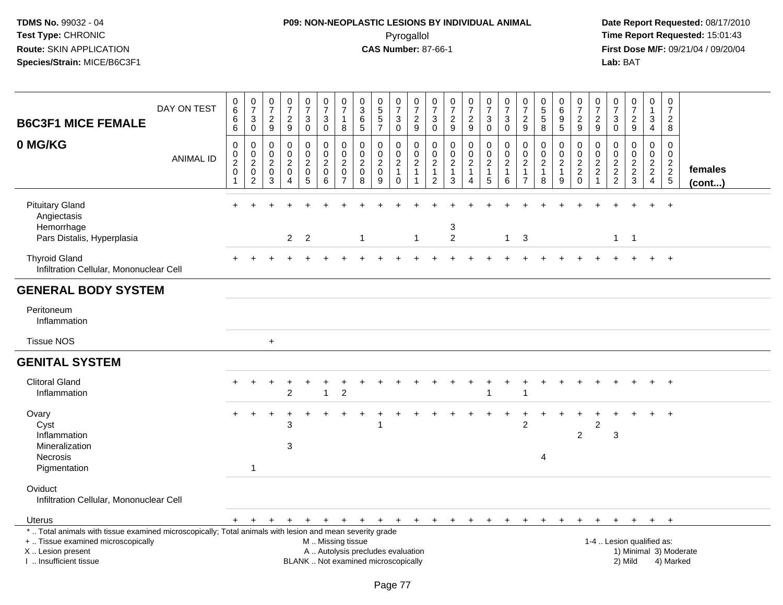# **P09: NON-NEOPLASTIC LESIONS BY INDIVIDUAL ANIMAL**Pyrogallol **Time Report Requested:** 15:01:43

| <b>B6C3F1 MICE FEMALE</b>                                                                                                                                                                     | DAY ON TEST      | $\begin{array}{c} 0 \\ 6 \end{array}$<br>6<br>6                          | $\begin{array}{c} 0 \\ 7 \end{array}$<br>$\sqrt{3}$<br>$\mathbf 0$        | $\frac{0}{7}$<br>$\boldsymbol{2}$<br>9                   | $\begin{array}{c} 0 \\ 7 \end{array}$<br>$\frac{2}{9}$ | $\frac{0}{7}$<br>$\mathbf{3}$<br>$\mathbf 0$                        | $\begin{array}{c} 0 \\ 7 \end{array}$<br>$\mathbf{3}$<br>$\mathbf 0$                          | $\frac{0}{7}$<br>$\mathbf{1}$<br>8                            | $\pmb{0}$<br>$\overline{3}$<br>$\,6\,$<br>5            | $\begin{array}{c} 0 \\ 5 \end{array}$<br>$\frac{5}{7}$              | 0<br>$\overline{7}$<br>$\mathbf{3}$<br>$\mathbf 0$           | $\frac{0}{7}$<br>$\overline{\mathbf{c}}$<br>$9\,$     | $\pmb{0}$<br>$\overline{7}$<br>$\ensuremath{\mathsf{3}}$<br>$\mathbf 0$ | $\frac{0}{7}$<br>$\frac{2}{9}$                                   | $\begin{array}{c} 0 \\ 7 \end{array}$<br>$\frac{2}{9}$                         | $\begin{array}{c} 0 \\ 7 \end{array}$<br>$\ensuremath{\mathsf{3}}$<br>$\mathbf 0$ | $\frac{0}{7}$<br>$\sqrt{3}$<br>$\mathbf 0$                        | $\frac{0}{7}$<br>$\overline{\mathbf{c}}$<br>9                                    | 0<br>5<br>5<br>8                              | $\pmb{0}$<br>$6\phantom{a}$<br>$\begin{array}{c} 9 \\ 5 \end{array}$ | $\begin{array}{c} 0 \\ 7 \end{array}$<br>$\frac{2}{9}$    | 0<br>$\overline{7}$<br>$\frac{2}{9}$                                               | $\frac{0}{7}$<br>$\ensuremath{\mathsf{3}}$<br>$\mathbf 0$ | $\frac{0}{7}$<br>$\frac{2}{9}$                                  | 0<br>$\mathbf{1}$<br>3<br>$\overline{4}$                           | 0<br>$\overline{7}$<br>$\overline{c}$<br>8          |                        |
|-----------------------------------------------------------------------------------------------------------------------------------------------------------------------------------------------|------------------|--------------------------------------------------------------------------|---------------------------------------------------------------------------|----------------------------------------------------------|--------------------------------------------------------|---------------------------------------------------------------------|-----------------------------------------------------------------------------------------------|---------------------------------------------------------------|--------------------------------------------------------|---------------------------------------------------------------------|--------------------------------------------------------------|-------------------------------------------------------|-------------------------------------------------------------------------|------------------------------------------------------------------|--------------------------------------------------------------------------------|-----------------------------------------------------------------------------------|-------------------------------------------------------------------|----------------------------------------------------------------------------------|-----------------------------------------------|----------------------------------------------------------------------|-----------------------------------------------------------|------------------------------------------------------------------------------------|-----------------------------------------------------------|-----------------------------------------------------------------|--------------------------------------------------------------------|-----------------------------------------------------|------------------------|
| 0 MG/KG                                                                                                                                                                                       | <b>ANIMAL ID</b> | $\mathsf{O}\xspace$<br>$\mathbf 0$<br>$\overline{2}$<br>$\mathbf 0$<br>1 | $\pmb{0}$<br>$\mathbf 0$<br>$\boldsymbol{2}$<br>$\mathbf 0$<br>$\sqrt{2}$ | 0<br>$\mathbf 0$<br>$\boldsymbol{2}$<br>$\mathbf 0$<br>3 | 0<br>0<br>$\overline{c}$<br>$\pmb{0}$<br>4             | 0<br>$\mathbf 0$<br>$\overline{2}$<br>$\mathbf 0$<br>$\overline{5}$ | $\mathbf 0$<br>$\pmb{0}$<br>$\boldsymbol{2}$<br>$\pmb{0}$<br>$\,6\,$                          | $\mathbf 0$<br>0<br>$\sqrt{2}$<br>$\pmb{0}$<br>$\overline{7}$ | 0<br>$\mathbf 0$<br>$\overline{c}$<br>$\mathbf 0$<br>8 | 0<br>$\mathbf 0$<br>$\overline{2}$<br>$\pmb{0}$<br>$\boldsymbol{9}$ | 0<br>0<br>$\overline{c}$<br>$\mathbf{1}$<br>$\boldsymbol{0}$ | 0<br>$\mathbf 0$<br>$\overline{\mathbf{c}}$<br>1<br>1 | $\pmb{0}$<br>$\mathbf 0$<br>$\sqrt{2}$<br>$\mathbf{1}$<br>2             | $\pmb{0}$<br>0<br>$\overline{2}$<br>$\mathbf{1}$<br>$\mathbf{3}$ | $\mathbf 0$<br>$\mathbf 0$<br>$\overline{2}$<br>$\mathbf{1}$<br>$\overline{4}$ | $\mathbf 0$<br>$\mathbf 0$<br>$\overline{2}$<br>$\mathbf{1}$<br>$\overline{5}$    | $\mathbf 0$<br>$\mathbf 0$<br>$\overline{2}$<br>$\mathbf{1}$<br>6 | $\mathbf 0$<br>$\mathbf 0$<br>$\boldsymbol{2}$<br>$\mathbf{1}$<br>$\overline{7}$ | 0<br>0<br>$\overline{c}$<br>$\mathbf{1}$<br>8 | 0<br>$\mathbf 0$<br>$\overline{2}$<br>$\mathbf{1}$<br>9              | 0<br>0<br>$\overline{2}$<br>$\overline{c}$<br>$\mathbf 0$ | $\mathbf 0$<br>$\mathbf 0$<br>$\boldsymbol{2}$<br>$\overline{c}$<br>$\overline{1}$ | 0<br>$\mathbf 0$<br>$\overline{2}$<br>$\frac{2}{2}$       | 0<br>$\mathbf 0$<br>$\overline{c}$<br>$\sqrt{2}$<br>$\mathbf 3$ | 0<br>$\mathbf 0$<br>$\sqrt{2}$<br>$\overline{2}$<br>$\overline{4}$ | 0<br>$\mathbf 0$<br>$\overline{c}$<br>$\frac{2}{5}$ | females<br>(cont)      |
| <b>Pituitary Gland</b><br>Angiectasis<br>Hemorrhage<br>Pars Distalis, Hyperplasia                                                                                                             |                  |                                                                          |                                                                           |                                                          | $\overline{2}$                                         | 2                                                                   |                                                                                               |                                                               | $\overline{1}$                                         |                                                                     |                                                              | $\mathbf{1}$                                          |                                                                         | 3<br>$\overline{2}$                                              |                                                                                |                                                                                   | $1 \quad 3$                                                       |                                                                                  |                                               |                                                                      |                                                           |                                                                                    | $\mathbf{1}$                                              | $\overline{1}$                                                  |                                                                    | $\ddot{}$                                           |                        |
| <b>Thyroid Gland</b><br>Infiltration Cellular, Mononuclear Cell                                                                                                                               |                  |                                                                          |                                                                           |                                                          |                                                        |                                                                     |                                                                                               |                                                               |                                                        |                                                                     |                                                              |                                                       |                                                                         |                                                                  |                                                                                |                                                                                   |                                                                   |                                                                                  |                                               |                                                                      |                                                           |                                                                                    |                                                           |                                                                 |                                                                    | $+$                                                 |                        |
| <b>GENERAL BODY SYSTEM</b>                                                                                                                                                                    |                  |                                                                          |                                                                           |                                                          |                                                        |                                                                     |                                                                                               |                                                               |                                                        |                                                                     |                                                              |                                                       |                                                                         |                                                                  |                                                                                |                                                                                   |                                                                   |                                                                                  |                                               |                                                                      |                                                           |                                                                                    |                                                           |                                                                 |                                                                    |                                                     |                        |
| Peritoneum<br>Inflammation                                                                                                                                                                    |                  |                                                                          |                                                                           |                                                          |                                                        |                                                                     |                                                                                               |                                                               |                                                        |                                                                     |                                                              |                                                       |                                                                         |                                                                  |                                                                                |                                                                                   |                                                                   |                                                                                  |                                               |                                                                      |                                                           |                                                                                    |                                                           |                                                                 |                                                                    |                                                     |                        |
| <b>Tissue NOS</b>                                                                                                                                                                             |                  |                                                                          |                                                                           | $\ddot{}$                                                |                                                        |                                                                     |                                                                                               |                                                               |                                                        |                                                                     |                                                              |                                                       |                                                                         |                                                                  |                                                                                |                                                                                   |                                                                   |                                                                                  |                                               |                                                                      |                                                           |                                                                                    |                                                           |                                                                 |                                                                    |                                                     |                        |
| <b>GENITAL SYSTEM</b>                                                                                                                                                                         |                  |                                                                          |                                                                           |                                                          |                                                        |                                                                     |                                                                                               |                                                               |                                                        |                                                                     |                                                              |                                                       |                                                                         |                                                                  |                                                                                |                                                                                   |                                                                   |                                                                                  |                                               |                                                                      |                                                           |                                                                                    |                                                           |                                                                 |                                                                    |                                                     |                        |
| <b>Clitoral Gland</b><br>Inflammation                                                                                                                                                         |                  |                                                                          |                                                                           |                                                          | $\overline{2}$                                         |                                                                     | 1                                                                                             | $\overline{c}$                                                |                                                        |                                                                     |                                                              |                                                       |                                                                         |                                                                  |                                                                                |                                                                                   |                                                                   |                                                                                  |                                               |                                                                      |                                                           |                                                                                    |                                                           |                                                                 |                                                                    |                                                     |                        |
| Ovary<br>Cyst<br>Inflammation<br>Mineralization<br><b>Necrosis</b><br>Pigmentation                                                                                                            |                  |                                                                          | 1                                                                         |                                                          | 3<br>3                                                 |                                                                     |                                                                                               |                                                               |                                                        | 1                                                                   |                                                              |                                                       |                                                                         |                                                                  |                                                                                |                                                                                   |                                                                   | 2                                                                                | 4                                             |                                                                      | $\overline{c}$                                            | $\overline{c}$                                                                     | 3                                                         |                                                                 |                                                                    | $\ddot{}$                                           |                        |
| Oviduct<br>Infiltration Cellular, Mononuclear Cell                                                                                                                                            |                  |                                                                          |                                                                           |                                                          |                                                        |                                                                     |                                                                                               |                                                               |                                                        |                                                                     |                                                              |                                                       |                                                                         |                                                                  |                                                                                |                                                                                   |                                                                   |                                                                                  |                                               |                                                                      |                                                           |                                                                                    |                                                           |                                                                 |                                                                    |                                                     |                        |
| <b>Uterus</b>                                                                                                                                                                                 |                  | $+$                                                                      | $+$                                                                       | $+$                                                      | $+$                                                    | $+$                                                                 |                                                                                               |                                                               | $+$ $+$ $+$ $+$                                        |                                                                     | $+$                                                          |                                                       |                                                                         | $+ + + +$                                                        |                                                                                | $+$                                                                               | $+$                                                               | $+$                                                                              | $^{+}$                                        | $+$                                                                  | $+$                                                       | $\ddot{}$                                                                          | $+$                                                       | $+$                                                             |                                                                    | $+$ $+$                                             |                        |
| *  Total animals with tissue examined microscopically; Total animals with lesion and mean severity grade<br>+  Tissue examined microscopically<br>X  Lesion present<br>I  Insufficient tissue |                  |                                                                          |                                                                           |                                                          |                                                        |                                                                     | M  Missing tissue<br>A  Autolysis precludes evaluation<br>BLANK  Not examined microscopically |                                                               |                                                        |                                                                     |                                                              |                                                       |                                                                         |                                                                  |                                                                                |                                                                                   |                                                                   |                                                                                  |                                               |                                                                      |                                                           |                                                                                    |                                                           | 1-4  Lesion qualified as:<br>2) Mild                            |                                                                    | 4) Marked                                           | 1) Minimal 3) Moderate |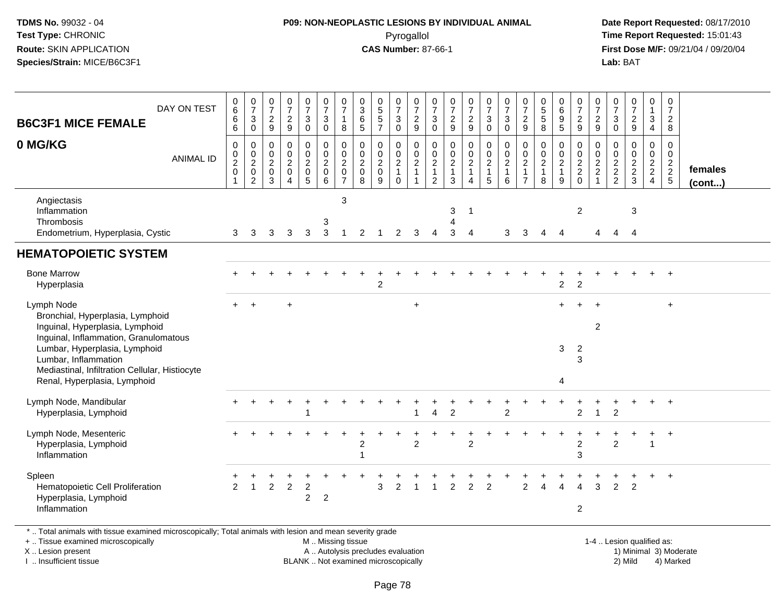#### **P09: NON-NEOPLASTIC LESIONS BY INDIVIDUAL ANIMAL**Pyrogallol **Time Report Requested:** 15:01:43

 **Date Report Requested:** 08/17/2010 **First Dose M/F:** 09/21/04 / 09/20/04<br>Lab: BAT **Lab:** BAT

| DAY ON TEST<br><b>B6C3F1 MICE FEMALE</b>                                                                                                                                                                                                                              | $_{6}^{\rm 0}$<br>$\overline{6}$<br>$6\overline{6}$                          | $\frac{0}{7}$<br>$\sqrt{3}$<br>$\mathbf 0$ | $\frac{0}{7}$<br>$\frac{2}{9}$                                                        | $\frac{0}{7}$<br>$\frac{2}{9}$                   | $\frac{0}{7}$<br>$\sqrt{3}$<br>$\mathsf 0$        | $\frac{0}{7}$<br>$\mathbf{3}$<br>$\mathbf 0$ | $\frac{0}{7}$<br>$\mathbf{1}$<br>8                        | $_3^0$<br>$\overline{6}$<br>5              | $0$<br>5<br>5<br>5<br>7                        | $\begin{smallmatrix}0\\7\end{smallmatrix}$<br>$\ensuremath{\mathsf{3}}$<br>$\overline{0}$ | $\frac{0}{7}$<br>$\frac{2}{9}$                                                   | $\frac{0}{7}$<br>3<br>$\mathbf 0$                                 | $\frac{0}{7}$<br>$\frac{2}{9}$                                    | $\frac{0}{7}$<br>$\frac{2}{9}$   | $\frac{0}{7}$<br>$\mathbf{3}$<br>$\mathbf 0$               | $\begin{array}{c} 0 \\ 7 \end{array}$<br>$\ensuremath{\mathsf{3}}$<br>$\mathbf 0$ | $\frac{0}{7}$<br>$\frac{2}{9}$                                             | $\begin{array}{c} 0 \\ 5 \\ 5 \end{array}$<br>8 | 0<br>$6\phantom{a}$<br>$\boldsymbol{9}$<br>5            | $\frac{0}{7}$<br>$\frac{2}{9}$                   | 0<br>$\overline{7}$<br>$\frac{2}{9}$                               | $\frac{0}{7}$<br>$\mathbf{3}$<br>$\mathbf 0$ | $\frac{0}{7}$<br>$\frac{2}{9}$ | 0<br>$\mathbf 1$<br>$\mathbf{3}$<br>4  | $\boldsymbol{0}$<br>$\overline{7}$<br>$\frac{2}{8}$ |                   |
|-----------------------------------------------------------------------------------------------------------------------------------------------------------------------------------------------------------------------------------------------------------------------|------------------------------------------------------------------------------|--------------------------------------------|---------------------------------------------------------------------------------------|--------------------------------------------------|---------------------------------------------------|----------------------------------------------|-----------------------------------------------------------|--------------------------------------------|------------------------------------------------|-------------------------------------------------------------------------------------------|----------------------------------------------------------------------------------|-------------------------------------------------------------------|-------------------------------------------------------------------|----------------------------------|------------------------------------------------------------|-----------------------------------------------------------------------------------|----------------------------------------------------------------------------|-------------------------------------------------|---------------------------------------------------------|--------------------------------------------------|--------------------------------------------------------------------|----------------------------------------------|--------------------------------|----------------------------------------|-----------------------------------------------------|-------------------|
| 0 MG/KG<br><b>ANIMAL ID</b>                                                                                                                                                                                                                                           | $\pmb{0}$<br>$\begin{smallmatrix} 0\\2\\0 \end{smallmatrix}$<br>$\mathbf{1}$ | 0<br>$\frac{0}{2}$<br>$\sqrt{2}$           | $\mathbf 0$<br>$\boldsymbol{0}$<br>$\overline{2}$<br>$\boldsymbol{0}$<br>$\mathbf{3}$ | $\mathbf 0$<br>$\mathbf 0$<br>$\frac{2}{0}$<br>4 | 0<br>$\pmb{0}$<br>$\frac{2}{0}$<br>$\overline{5}$ | 0<br>$\frac{0}{2}$<br>6                      | 0<br>$\mathbf 0$<br>$\overline{2}$<br>0<br>$\overline{7}$ | 0<br>0<br>$\overline{2}$<br>$\pmb{0}$<br>8 | $\mathbf 0$<br>$\pmb{0}$<br>$\frac{2}{0}$<br>9 | 0<br>$\mathbf 0$<br>$\overline{2}$<br>$\mathbf{1}$<br>$\mathbf 0$                         | 0<br>$\mathop{2}\limits^{\mathbb{O}}$<br>$\mathbf{1}$<br>$\overline{\mathbf{1}}$ | $\mathbf 0$<br>$\mathbf 0$<br>$\overline{c}$<br>$\mathbf{1}$<br>2 | $\mathbf 0$<br>$\mathbf 0$<br>$\overline{2}$<br>$\mathbf{1}$<br>3 | 0<br>$_2^0$<br>$\mathbf{1}$<br>4 | 0<br>$\mathbf 0$<br>$\overline{2}$<br>1<br>$5\phantom{.0}$ | $\mathbf 0$<br>$_{2}^{\rm 0}$<br>$\mathbf{1}$<br>6                                | $\mathbf 0$<br>$\mathbf 0$<br>$\sqrt{2}$<br>$\mathbf{1}$<br>$\overline{7}$ | $\mathbf 0$<br>$\frac{0}{2}$<br>8               | $\mathbf 0$<br>0<br>$\overline{2}$<br>$\mathbf{1}$<br>9 | $\mathbf 0$<br>$\mathbf 0$<br>$\frac{2}{2}$<br>0 | 0<br>$\mathbf 0$<br>$\boldsymbol{2}$<br>$\sqrt{2}$<br>$\mathbf{1}$ | 0<br>0<br>$\frac{2}{2}$                      | 0<br>$0$<br>$2$<br>$2$<br>$3$  | 0<br>$\mathbf 0$<br>$\frac{2}{2}$<br>4 | $\mathbf 0$<br>$\mathbf 0$<br>$rac{2}{2}$ 5         | females<br>(cont) |
| Angiectasis<br>Inflammation<br>Thrombosis<br>Endometrium, Hyperplasia, Cystic                                                                                                                                                                                         | 3                                                                            | 3                                          | 3                                                                                     | 3                                                | 3                                                 | 3<br>$\mathbf{3}$                            | 3<br>$\overline{1}$                                       | 2                                          |                                                | $\overline{2}$                                                                            | 3                                                                                | Δ                                                                 | 3<br>3                                                            | $\mathbf{1}$<br>$\overline{4}$   |                                                            | 3                                                                                 | 3                                                                          | 4                                               | $\boldsymbol{\Lambda}$                                  | $\overline{c}$                                   | 4                                                                  | $\overline{4}$                               | 3<br>$\overline{4}$            |                                        |                                                     |                   |
| <b>HEMATOPOIETIC SYSTEM</b>                                                                                                                                                                                                                                           |                                                                              |                                            |                                                                                       |                                                  |                                                   |                                              |                                                           |                                            |                                                |                                                                                           |                                                                                  |                                                                   |                                                                   |                                  |                                                            |                                                                                   |                                                                            |                                                 |                                                         |                                                  |                                                                    |                                              |                                |                                        |                                                     |                   |
| <b>Bone Marrow</b><br>Hyperplasia                                                                                                                                                                                                                                     |                                                                              |                                            |                                                                                       |                                                  |                                                   |                                              |                                                           |                                            | $\overline{c}$                                 |                                                                                           |                                                                                  |                                                                   |                                                                   |                                  |                                                            |                                                                                   |                                                                            |                                                 | $\overline{c}$                                          | $\overline{c}$                                   |                                                                    |                                              |                                |                                        | $+$                                                 |                   |
| Lymph Node<br>Bronchial, Hyperplasia, Lymphoid<br>Inguinal, Hyperplasia, Lymphoid<br>Inguinal, Inflammation, Granulomatous<br>Lumbar, Hyperplasia, Lymphoid<br>Lumbar, Inflammation<br>Mediastinal, Infiltration Cellular, Histiocyte<br>Renal, Hyperplasia, Lymphoid |                                                                              |                                            |                                                                                       |                                                  |                                                   |                                              |                                                           |                                            |                                                |                                                                                           | $+$                                                                              |                                                                   |                                                                   |                                  |                                                            |                                                                                   |                                                                            |                                                 | 3<br>4                                                  | $\overline{2}$<br>3                              | $\boldsymbol{2}$                                                   |                                              |                                |                                        | $+$                                                 |                   |
| Lymph Node, Mandibular<br>Hyperplasia, Lymphoid                                                                                                                                                                                                                       |                                                                              |                                            |                                                                                       |                                                  | 1                                                 |                                              |                                                           |                                            |                                                |                                                                                           | -1                                                                               | 4                                                                 | 2                                                                 |                                  |                                                            | $\overline{c}$                                                                    |                                                                            |                                                 |                                                         | 2                                                | 1                                                                  | $\overline{2}$                               |                                |                                        | $\overline{+}$                                      |                   |
| Lymph Node, Mesenteric<br>Hyperplasia, Lymphoid<br>Inflammation                                                                                                                                                                                                       |                                                                              |                                            |                                                                                       |                                                  |                                                   |                                              |                                                           | 2                                          |                                                |                                                                                           | $\overline{c}$                                                                   |                                                                   |                                                                   | $\overline{2}$                   |                                                            |                                                                                   |                                                                            |                                                 |                                                         | $\overline{2}$<br>3                              |                                                                    | 2                                            |                                | $\ddot{}$                              | $+$                                                 |                   |
| Spleen<br>Hematopoietic Cell Proliferation<br>Hyperplasia, Lymphoid<br>Inflammation<br>*  Total animals with tissue examined microscopically; Total animals with lesion and mean severity grade                                                                       | 2                                                                            | $\overline{1}$                             | $\overline{2}$                                                                        | $\overline{c}$                                   | $\overline{c}$<br>$\overline{2}$                  | $\overline{2}$                               |                                                           |                                            | 3                                              | 2                                                                                         | $\overline{\mathbf{1}}$                                                          | 1                                                                 | 2                                                                 | $\overline{2}$                   | $\overline{2}$                                             |                                                                                   | $\overline{2}$                                                             | 4                                               | 4                                                       | Δ<br>$\overline{c}$                              | 3                                                                  | $\overline{2}$                               | $\overline{2}$                 |                                        | $\overline{+}$                                      |                   |

+ .. Tissue examined microscopically

X .. Lesion present

I .. Insufficient tissue

M .. Missing tissue

A .. Autolysis precludes evaluation 1) Minimal 3 ... Autolysis precludes evaluation 1, and 30 ... (1) Minimal 3<br>1) Minimal 30 ... Autor microscopically 1990 ... (1) Minimal 30 ... (1) Minimal 30 ... (1) Minimal 30 ... (1)

 1-4 .. Lesion qualified as: BLANK .. Not examined microscopically 2) Mild 4) Marked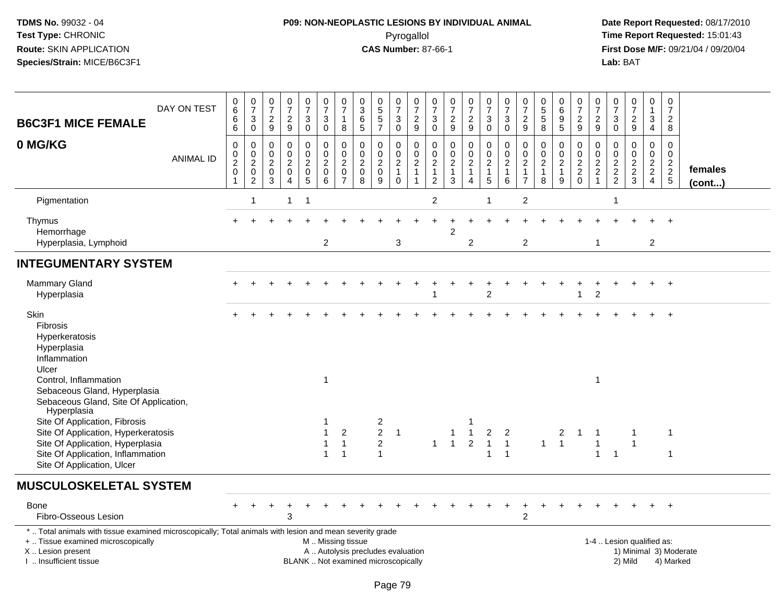# **P09: NON-NEOPLASTIC LESIONS BY INDIVIDUAL ANIMAL**Pyrogallol **Time Report Requested:** 15:01:43

| <b>B6C3F1 MICE FEMALE</b><br>0 MG/KG                                                                                                                                                          | DAY ON TEST      | $\begin{array}{c} 0 \\ 6 \end{array}$<br>$\,6\,$<br>$\,6\,$<br>$\mathbf 0$ | $\begin{matrix} 0 \\ 7 \\ 3 \\ 0 \end{matrix}$                                   | $\frac{0}{7}$<br>$\boldsymbol{2}$<br>$\boldsymbol{9}$ | $\frac{0}{7}$<br>$\frac{2}{9}$<br>$\mathbf 0$              | $\frac{0}{7}$<br>$\mathbf{3}$<br>$\pmb{0}$<br>$\mathbf 0$ | $\begin{array}{c} 0 \\ 7 \end{array}$<br>$\sqrt{3}$<br>$\mathbf 0$<br>$\mathbf 0$ | $\frac{0}{7}$<br>$\mathbf{1}$<br>8                                | $\pmb{0}$<br>$\overline{3}$<br>$\,6\,$<br>$\overline{5}$ | $0$<br>5<br>5<br>5<br>7<br>$\mathbf 0$                                   | $\frac{0}{7}$<br>$\sqrt{3}$<br>$\pmb{0}$                                 | $\frac{0}{7}$<br>$\frac{2}{9}$<br>$\mathbf 0$ | $\frac{0}{7}$<br>$\ensuremath{\mathsf{3}}$<br>$\pmb{0}$    | $\begin{smallmatrix} 0\\7 \end{smallmatrix}$<br>$\frac{2}{9}$              | $\frac{0}{7}$<br>$\frac{2}{9}$                                          | $\begin{array}{c} 0 \\ 7 \end{array}$<br>3<br>$\mathbf 0$            | $\frac{0}{7}$<br>$\sqrt{3}$<br>$\mathsf{O}\xspace$<br>$\mathbf 0$ | $\frac{0}{7}$<br>$\overline{c}$<br>$\boldsymbol{9}$        | $\begin{array}{c} 0 \\ 5 \end{array}$<br>$\sqrt{5}$<br>8<br>$\mathbf 0$ | $_6^0$<br>$\boldsymbol{9}$<br>5                 | $\frac{0}{7}$<br>$\frac{2}{9}$                   | $\frac{0}{7}$<br>$\frac{2}{9}$                                      | 0<br>$\overline{7}$<br>$\sqrt{3}$<br>$\pmb{0}$ | $\begin{smallmatrix}0\\7\end{smallmatrix}$<br>$\frac{2}{9}$<br>$\mathbf 0$ | $\pmb{0}$<br>$\overline{1}$<br>$\ensuremath{\mathsf{3}}$<br>$\overline{4}$<br>$\mathbf 0$ | $\begin{smallmatrix}0\\7\end{smallmatrix}$<br>$\overline{c}$<br>$\,8\,$<br>$\mathbf 0$ |                        |
|-----------------------------------------------------------------------------------------------------------------------------------------------------------------------------------------------|------------------|----------------------------------------------------------------------------|----------------------------------------------------------------------------------|-------------------------------------------------------|------------------------------------------------------------|-----------------------------------------------------------|-----------------------------------------------------------------------------------|-------------------------------------------------------------------|----------------------------------------------------------|--------------------------------------------------------------------------|--------------------------------------------------------------------------|-----------------------------------------------|------------------------------------------------------------|----------------------------------------------------------------------------|-------------------------------------------------------------------------|----------------------------------------------------------------------|-------------------------------------------------------------------|------------------------------------------------------------|-------------------------------------------------------------------------|-------------------------------------------------|--------------------------------------------------|---------------------------------------------------------------------|------------------------------------------------|----------------------------------------------------------------------------|-------------------------------------------------------------------------------------------|----------------------------------------------------------------------------------------|------------------------|
|                                                                                                                                                                                               | <b>ANIMAL ID</b> | 0<br>$\frac{2}{0}$<br>$\mathbf 1$                                          | $\mathbf 0$<br>$\begin{smallmatrix} 0\\2\\0 \end{smallmatrix}$<br>$\overline{2}$ | 0<br>0<br>$\sqrt{2}$<br>0<br>$\mathbf{3}$             | $\mathbf 0$<br>$\sqrt{2}$<br>$\mathbf 0$<br>$\overline{4}$ | $\mathbf 0$<br>$\overline{c}$<br>$\pmb{0}$<br>5           | $\mathbf 0$<br>$\boldsymbol{2}$<br>$\mathbf 0$<br>6                               | 0<br>$\mathsf{O}\xspace$<br>$\overline{c}$<br>0<br>$\overline{7}$ | 0<br>0<br>$\overline{c}$<br>0<br>8                       | $\pmb{0}$<br>$\frac{2}{0}$<br>9                                          | 0<br>$\pmb{0}$<br>$\overline{\mathbf{c}}$<br>$\mathbf{1}$<br>$\mathbf 0$ | $\frac{0}{2}$<br>$\overline{1}$               | 0<br>0<br>$\overline{c}$<br>$\mathbf{1}$<br>$\overline{c}$ | $\mathbf 0$<br>$\pmb{0}$<br>$\overline{2}$<br>$\mathbf{1}$<br>$\mathbf{3}$ | 0<br>$\overline{0}$<br>$\overline{2}$<br>$\mathbf{1}$<br>$\overline{4}$ | 0<br>$\mathbf 0$<br>$\overline{2}$<br>$\mathbf{1}$<br>$\overline{5}$ | $\pmb{0}$<br>$\overline{2}$<br>$\mathbf{1}$<br>$\,6\,$            | 0<br>0<br>$\overline{c}$<br>$\mathbf{1}$<br>$\overline{7}$ | $\mathbf 0$<br>$\sqrt{2}$<br>$\mathbf{1}$<br>8                          | 0<br>0<br>$\boldsymbol{2}$<br>$\mathbf{1}$<br>9 | $\mathbf 0$<br>$\mathbf 0$<br>$\frac{2}{2}$<br>0 | 0<br>0<br>$\overline{\mathbf{c}}$<br>$\overline{c}$<br>$\mathbf{1}$ | $\mathbf 0$<br>0<br>$\frac{2}{2}$              | $\mathbf 0$<br>$\frac{2}{3}$                                               | $\mathbf 0$<br>$\frac{2}{2}$<br>$\overline{4}$                                            | $\mathbf 0$<br>$\frac{2}{2}$<br>5                                                      | females<br>$($ cont $$ |
| Pigmentation                                                                                                                                                                                  |                  |                                                                            | -1                                                                               |                                                       | $\mathbf{1}$                                               | -1                                                        |                                                                                   |                                                                   |                                                          |                                                                          |                                                                          |                                               | $\overline{c}$                                             |                                                                            |                                                                         |                                                                      |                                                                   | $\boldsymbol{2}$                                           |                                                                         |                                                 |                                                  |                                                                     | 1                                              |                                                                            |                                                                                           |                                                                                        |                        |
| Thymus<br>Hemorrhage<br>Hyperplasia, Lymphoid                                                                                                                                                 |                  | $\pm$                                                                      |                                                                                  |                                                       |                                                            |                                                           | $\overline{2}$                                                                    |                                                                   |                                                          |                                                                          | 3                                                                        |                                               |                                                            | $\overline{2}$                                                             | $\overline{2}$                                                          |                                                                      |                                                                   | $\overline{2}$                                             |                                                                         |                                                 |                                                  | $\mathbf 1$                                                         |                                                |                                                                            | $\overline{2}$                                                                            | $\overline{+}$                                                                         |                        |
| <b>INTEGUMENTARY SYSTEM</b>                                                                                                                                                                   |                  |                                                                            |                                                                                  |                                                       |                                                            |                                                           |                                                                                   |                                                                   |                                                          |                                                                          |                                                                          |                                               |                                                            |                                                                            |                                                                         |                                                                      |                                                                   |                                                            |                                                                         |                                                 |                                                  |                                                                     |                                                |                                                                            |                                                                                           |                                                                                        |                        |
| <b>Mammary Gland</b><br>Hyperplasia                                                                                                                                                           |                  |                                                                            |                                                                                  |                                                       |                                                            |                                                           |                                                                                   |                                                                   |                                                          |                                                                          |                                                                          |                                               |                                                            |                                                                            |                                                                         | $\overline{c}$                                                       |                                                                   |                                                            |                                                                         |                                                 |                                                  | $\boldsymbol{2}$                                                    |                                                |                                                                            | $+$                                                                                       | $+$                                                                                    |                        |
| Skin<br><b>Fibrosis</b><br>Hyperkeratosis<br>Hyperplasia<br>Inflammation<br>Ulcer<br>Control, Inflammation                                                                                    |                  |                                                                            |                                                                                  |                                                       |                                                            |                                                           | 1                                                                                 |                                                                   |                                                          |                                                                          |                                                                          |                                               |                                                            |                                                                            |                                                                         |                                                                      |                                                                   |                                                            |                                                                         |                                                 |                                                  | $\mathbf 1$                                                         |                                                |                                                                            |                                                                                           | $\overline{+}$                                                                         |                        |
| Sebaceous Gland, Hyperplasia<br>Sebaceous Gland, Site Of Application,<br>Hyperplasia<br>Site Of Application, Fibrosis                                                                         |                  |                                                                            |                                                                                  |                                                       |                                                            |                                                           |                                                                                   |                                                                   |                                                          | $\overline{c}$                                                           |                                                                          |                                               |                                                            |                                                                            |                                                                         |                                                                      |                                                                   |                                                            |                                                                         |                                                 |                                                  |                                                                     |                                                |                                                                            |                                                                                           |                                                                                        |                        |
| Site Of Application, Hyperkeratosis<br>Site Of Application, Hyperplasia<br>Site Of Application, Inflammation<br>Site Of Application, Ulcer                                                    |                  |                                                                            |                                                                                  |                                                       |                                                            |                                                           | $\mathbf{1}$<br>$\overline{1}$                                                    | $\overline{2}$<br>$\mathbf{1}$<br>$\mathbf{1}$                    |                                                          | $\sqrt{2}$<br>$\overline{2}$<br>$\overline{1}$                           | $\overline{1}$                                                           |                                               | $\mathbf{1}$                                               | $\mathbf{1}$<br>$\overline{1}$                                             | $\mathbf{1}$<br>$\overline{2}$                                          | $\overline{2}$<br>$\mathbf{1}$<br>1                                  | $\overline{\phantom{0}}$ 2<br>$\overline{1}$<br>$\overline{1}$    |                                                            | $\mathbf{1}$                                                            | 2<br>$\overline{1}$                             | -1                                               | -1<br>$\mathbf{1}$<br>$\mathbf{1}$                                  | $\overline{1}$                                 | -1<br>$\overline{1}$                                                       |                                                                                           | $\mathbf{1}$<br>-1                                                                     |                        |
| <b>MUSCULOSKELETAL SYSTEM</b>                                                                                                                                                                 |                  |                                                                            |                                                                                  |                                                       |                                                            |                                                           |                                                                                   |                                                                   |                                                          |                                                                          |                                                                          |                                               |                                                            |                                                                            |                                                                         |                                                                      |                                                                   |                                                            |                                                                         |                                                 |                                                  |                                                                     |                                                |                                                                            |                                                                                           |                                                                                        |                        |
| <b>Bone</b><br>Fibro-Osseous Lesion                                                                                                                                                           |                  |                                                                            |                                                                                  |                                                       | 3                                                          |                                                           |                                                                                   |                                                                   |                                                          |                                                                          |                                                                          |                                               |                                                            |                                                                            |                                                                         |                                                                      |                                                                   | $\overline{2}$                                             |                                                                         |                                                 |                                                  |                                                                     |                                                |                                                                            |                                                                                           |                                                                                        |                        |
| *  Total animals with tissue examined microscopically; Total animals with lesion and mean severity grade<br>+  Tissue examined microscopically<br>X  Lesion present<br>I. Insufficient tissue |                  |                                                                            |                                                                                  |                                                       |                                                            |                                                           | M  Missing tissue                                                                 |                                                                   |                                                          | A  Autolysis precludes evaluation<br>BLANK  Not examined microscopically |                                                                          |                                               |                                                            |                                                                            |                                                                         |                                                                      |                                                                   |                                                            |                                                                         |                                                 |                                                  |                                                                     |                                                | 1-4  Lesion qualified as:<br>2) Mild                                       |                                                                                           | 1) Minimal 3) Moderate<br>4) Marked                                                    |                        |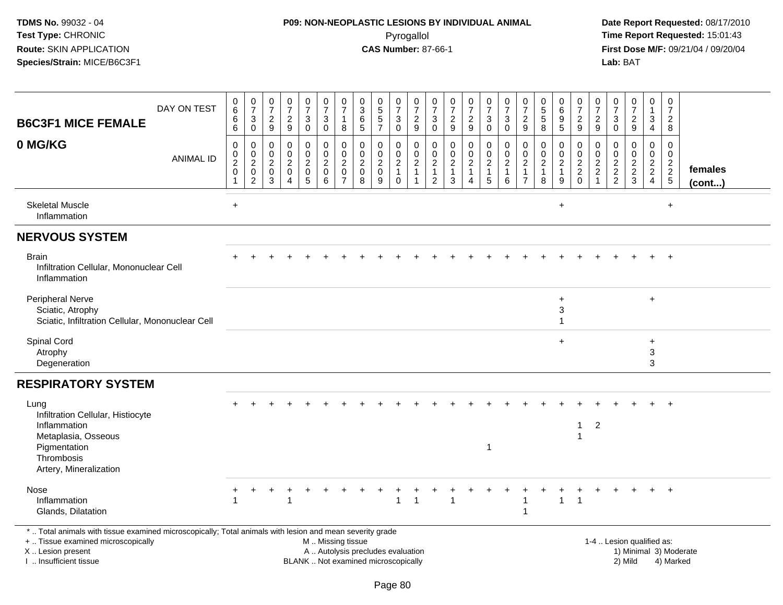# **P09: NON-NEOPLASTIC LESIONS BY INDIVIDUAL ANIMAL**Pyrogallol **Time Report Requested:** 15:01:43

| <b>B6C3F1 MICE FEMALE</b>                                                                                                                                                                     | DAY ON TEST      | $\begin{array}{c} 0 \\ 6 \end{array}$<br>6<br>6     | $\frac{0}{7}$<br>$\frac{3}{0}$                              | $\frac{0}{7}$<br>$\frac{2}{9}$            | 0<br>$\overline{7}$<br>$\frac{2}{9}$                                                | $\frac{0}{7}$<br>3<br>$\overline{0}$                 | $\frac{0}{7}$<br>3<br>$\mathsf 0$                    | $\frac{0}{7}$<br>$\mathbf{1}$<br>$\bf 8$                            | $_{3}^{\rm 0}$<br>$\,6\,$<br>$\sqrt{5}$                                  | $\begin{array}{c} 0 \\ 5 \end{array}$<br>$\frac{5}{7}$             | $\frac{0}{7}$<br>$_0^3$                                          | 0<br>$\overline{7}$<br>$\frac{2}{9}$                                               | 0<br>$\overline{7}$<br>$\mathbf{3}$<br>$\mathbf 0$                | 0<br>$\overline{7}$<br>$\frac{2}{9}$                                    | $\frac{0}{7}$<br>$\frac{2}{9}$                                       | $\frac{0}{7}$<br>$\mathsf 3$<br>$\mathbf 0$                          | $\begin{array}{c} 0 \\ 7 \end{array}$<br>$_{0}^{3}$           | $\frac{0}{7}$<br>$\frac{2}{9}$                                                 | 0<br>$\overline{5}$<br>$\sqrt{5}$<br>8                           | $\begin{array}{c} 0 \\ 6 \end{array}$<br>$\boldsymbol{9}$<br>$\overline{5}$ | 0<br>$\overline{7}$<br>$\frac{2}{9}$  | $\boldsymbol{0}$<br>$\overline{7}$<br>$\frac{2}{9}$                          | 0<br>$\overline{7}$<br>$\sqrt{3}$<br>$\mathbf 0$                         | $\begin{array}{c} 0 \\ 7 \end{array}$<br>$\frac{2}{9}$    | $\pmb{0}$<br>$\mathbf{1}$<br>$\mathbf{3}$<br>$\overline{4}$   | 0<br>$\overline{7}$<br>$\overline{a}$<br>$\bf 8$ |                   |
|-----------------------------------------------------------------------------------------------------------------------------------------------------------------------------------------------|------------------|-----------------------------------------------------|-------------------------------------------------------------|-------------------------------------------|-------------------------------------------------------------------------------------|------------------------------------------------------|------------------------------------------------------|---------------------------------------------------------------------|--------------------------------------------------------------------------|--------------------------------------------------------------------|------------------------------------------------------------------|------------------------------------------------------------------------------------|-------------------------------------------------------------------|-------------------------------------------------------------------------|----------------------------------------------------------------------|----------------------------------------------------------------------|---------------------------------------------------------------|--------------------------------------------------------------------------------|------------------------------------------------------------------|-----------------------------------------------------------------------------|---------------------------------------|------------------------------------------------------------------------------|--------------------------------------------------------------------------|-----------------------------------------------------------|---------------------------------------------------------------|--------------------------------------------------|-------------------|
| 0 MG/KG                                                                                                                                                                                       | <b>ANIMAL ID</b> | 0<br>$\mathbf 0$<br>$\boldsymbol{2}$<br>$\mathsf 0$ | $\mathbf 0$<br>$\frac{0}{2}$<br>$\pmb{0}$<br>$\overline{2}$ | 0<br>$\Omega$<br>$\overline{c}$<br>0<br>3 | $\mathbf 0$<br>$\Omega$<br>$\overline{c}$<br>$\mathbf 0$<br>$\overline{\mathbf{4}}$ | 0<br>$\mathbf 0$<br>$\overline{c}$<br>$\pmb{0}$<br>5 | 0<br>$\mathbf 0$<br>$\overline{c}$<br>$\pmb{0}$<br>6 | $\mathbf 0$<br>0<br>$\boldsymbol{2}$<br>$\pmb{0}$<br>$\overline{7}$ | $\mathbf 0$<br>$\Omega$<br>$\overline{c}$<br>$\mathbf 0$<br>8            | $\mathbf 0$<br>$\mathbf 0$<br>$\boldsymbol{2}$<br>$\mathbf 0$<br>9 | 0<br>$\mathbf 0$<br>$\boldsymbol{2}$<br>$\mathbf{1}$<br>$\Omega$ | $\mathbf 0$<br>$\mathbf 0$<br>$\boldsymbol{2}$<br>$\overline{1}$<br>$\overline{1}$ | 0<br>$\Omega$<br>$\overline{c}$<br>$\mathbf{1}$<br>$\overline{2}$ | $\mathbf 0$<br>$\Omega$<br>$\overline{\mathbf{c}}$<br>$\mathbf{1}$<br>3 | $\mathsf 0$<br>0<br>$\overline{2}$<br>$\mathbf{1}$<br>$\overline{4}$ | $\mathbf 0$<br>$\mathbf{0}$<br>$\overline{c}$<br>$\overline{1}$<br>5 | $\mathbf 0$<br>$\mathbf 0$<br>$\sqrt{2}$<br>$\mathbf{1}$<br>6 | $\mathbf 0$<br>$\mathbf 0$<br>$\overline{c}$<br>$\mathbf{1}$<br>$\overline{7}$ | $\mathbf 0$<br>$\Omega$<br>$\boldsymbol{2}$<br>$\mathbf{1}$<br>8 | 0<br>$\mathbf 0$<br>$\overline{\mathbf{c}}$<br>$\mathbf{1}$<br>9            | 0<br>0<br>$\sqrt{2}$<br>$\frac{2}{0}$ | $\mathbf 0$<br>$\mathbf 0$<br>$\sqrt{2}$<br>$\overline{c}$<br>$\overline{1}$ | $\mathbf 0$<br>$\mathbf 0$<br>$\begin{array}{c} 2 \\ 2 \\ 2 \end{array}$ | $\mathbf 0$<br>$\mathbf 0$<br>$\sqrt{2}$<br>$\frac{2}{3}$ | $\mathbf 0$<br>$\mathbf 0$<br>$\frac{2}{2}$<br>$\overline{4}$ | 0<br>$\mathbf 0$<br>$\frac{2}{2}$<br>5           | females<br>(cont) |
| <b>Skeletal Muscle</b><br>Inflammation                                                                                                                                                        |                  | $\ddot{}$                                           |                                                             |                                           |                                                                                     |                                                      |                                                      |                                                                     |                                                                          |                                                                    |                                                                  |                                                                                    |                                                                   |                                                                         |                                                                      |                                                                      |                                                               |                                                                                |                                                                  | $\ddot{}$                                                                   |                                       |                                                                              |                                                                          |                                                           |                                                               | $\ddot{}$                                        |                   |
| <b>NERVOUS SYSTEM</b>                                                                                                                                                                         |                  |                                                     |                                                             |                                           |                                                                                     |                                                      |                                                      |                                                                     |                                                                          |                                                                    |                                                                  |                                                                                    |                                                                   |                                                                         |                                                                      |                                                                      |                                                               |                                                                                |                                                                  |                                                                             |                                       |                                                                              |                                                                          |                                                           |                                                               |                                                  |                   |
| <b>Brain</b><br>Infiltration Cellular, Mononuclear Cell<br>Inflammation                                                                                                                       |                  |                                                     |                                                             |                                           |                                                                                     |                                                      |                                                      |                                                                     |                                                                          |                                                                    |                                                                  |                                                                                    |                                                                   |                                                                         |                                                                      |                                                                      |                                                               |                                                                                |                                                                  |                                                                             |                                       |                                                                              |                                                                          |                                                           |                                                               |                                                  |                   |
| <b>Peripheral Nerve</b><br>Sciatic, Atrophy<br>Sciatic, Infiltration Cellular, Mononuclear Cell                                                                                               |                  |                                                     |                                                             |                                           |                                                                                     |                                                      |                                                      |                                                                     |                                                                          |                                                                    |                                                                  |                                                                                    |                                                                   |                                                                         |                                                                      |                                                                      |                                                               |                                                                                |                                                                  | $\ddot{}$<br>3<br>$\mathbf{1}$                                              |                                       |                                                                              |                                                                          |                                                           | $\ddot{}$                                                     |                                                  |                   |
| Spinal Cord<br>Atrophy<br>Degeneration                                                                                                                                                        |                  |                                                     |                                                             |                                           |                                                                                     |                                                      |                                                      |                                                                     |                                                                          |                                                                    |                                                                  |                                                                                    |                                                                   |                                                                         |                                                                      |                                                                      |                                                               |                                                                                |                                                                  | $\ddot{}$                                                                   |                                       |                                                                              |                                                                          |                                                           | +<br>3<br>3                                                   |                                                  |                   |
| <b>RESPIRATORY SYSTEM</b>                                                                                                                                                                     |                  |                                                     |                                                             |                                           |                                                                                     |                                                      |                                                      |                                                                     |                                                                          |                                                                    |                                                                  |                                                                                    |                                                                   |                                                                         |                                                                      |                                                                      |                                                               |                                                                                |                                                                  |                                                                             |                                       |                                                                              |                                                                          |                                                           |                                                               |                                                  |                   |
| Lung<br>Infiltration Cellular, Histiocyte<br>Inflammation<br>Metaplasia, Osseous                                                                                                              |                  |                                                     |                                                             |                                           |                                                                                     |                                                      |                                                      |                                                                     |                                                                          |                                                                    |                                                                  |                                                                                    |                                                                   |                                                                         |                                                                      |                                                                      |                                                               |                                                                                |                                                                  |                                                                             | 1                                     | $\overline{2}$                                                               |                                                                          |                                                           |                                                               |                                                  |                   |
| Pigmentation<br>Thrombosis<br>Artery, Mineralization                                                                                                                                          |                  |                                                     |                                                             |                                           |                                                                                     |                                                      |                                                      |                                                                     |                                                                          |                                                                    |                                                                  |                                                                                    |                                                                   |                                                                         |                                                                      |                                                                      |                                                               |                                                                                |                                                                  |                                                                             |                                       |                                                                              |                                                                          |                                                           |                                                               |                                                  |                   |
| Nose<br>Inflammation<br>Glands, Dilatation                                                                                                                                                    |                  |                                                     |                                                             |                                           |                                                                                     |                                                      |                                                      |                                                                     |                                                                          |                                                                    | 1                                                                | -1                                                                                 |                                                                   |                                                                         |                                                                      |                                                                      |                                                               | 1<br>1                                                                         |                                                                  | $\mathbf{1}$                                                                | $\overline{1}$                        |                                                                              |                                                                          |                                                           |                                                               |                                                  |                   |
| *  Total animals with tissue examined microscopically; Total animals with lesion and mean severity grade<br>+  Tissue examined microscopically<br>X  Lesion present<br>I  Insufficient tissue |                  |                                                     |                                                             |                                           |                                                                                     |                                                      | M  Missing tissue                                    |                                                                     | A  Autolysis precludes evaluation<br>BLANK  Not examined microscopically |                                                                    |                                                                  |                                                                                    |                                                                   |                                                                         |                                                                      |                                                                      |                                                               |                                                                                |                                                                  |                                                                             |                                       |                                                                              |                                                                          | 1-4  Lesion qualified as:<br>2) Mild                      |                                                               | 1) Minimal 3) Moderate<br>4) Marked              |                   |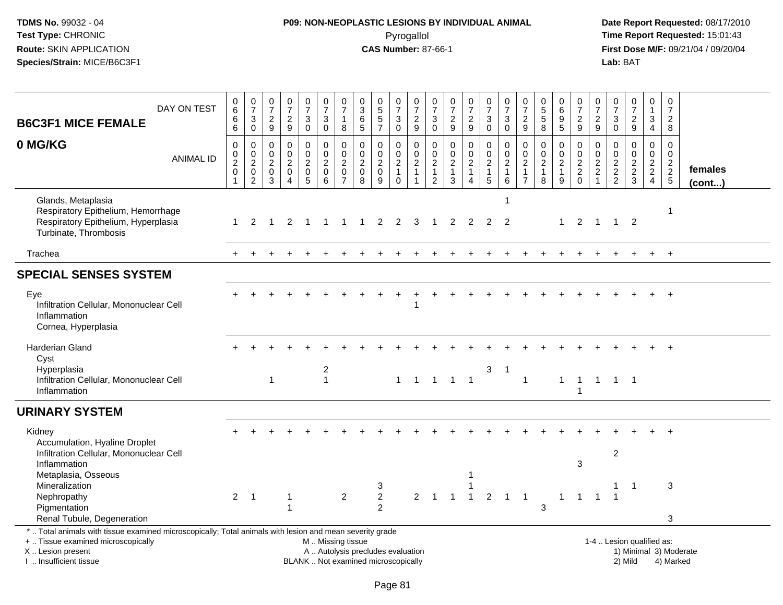# **P09: NON-NEOPLASTIC LESIONS BY INDIVIDUAL ANIMAL**Pyrogallol **Time Report Requested:** 15:01:43

| DAY ON TEST<br><b>B6C3F1 MICE FEMALE</b>                                                                                                                                                      | 0<br>6<br>6<br>$\overline{6}$                   | $\frac{0}{7}$<br>$\overline{3}$<br>$\overline{0}$ | $\frac{0}{7}$<br>$\frac{2}{9}$                                           | $\frac{0}{7}$<br>$\frac{2}{9}$                                 |                | $\begin{smallmatrix}0\\7\end{smallmatrix}$<br>3<br>$\ddot{\mathbf{0}}$          | $\begin{array}{c} 0 \\ 7 \end{array}$<br>$\sqrt{3}$<br>$\overline{0}$ | $\frac{0}{7}$<br>1<br>8                            | $\frac{0}{3}$<br>$^6$ 5         | 0<br>5<br>5<br>7                                                         | $\frac{0}{7}$<br>$_0^3$                | $\begin{array}{c} 0 \\ 7 \end{array}$<br>$\frac{2}{9}$ | $\frac{0}{7}$<br>$_{\rm 0}^3$                  | $\frac{0}{7}$<br>$\frac{2}{9}$                                 | $\frac{0}{7}$<br>$\frac{2}{9}$            | $\frac{0}{7}$<br>$_{0}^{3}$ | $\frac{0}{7}$<br>3<br>$\overline{0}$           | $\frac{0}{7}$<br>$\frac{2}{9}$                      | 0<br>5<br>5<br>8                               | $\begin{array}{c} 0 \\ 6 \end{array}$<br>$\begin{array}{c} 9 \\ 5 \end{array}$ | $\frac{0}{7}$<br>$\frac{2}{9}$                       | $\pmb{0}$<br>$\overline{7}$<br>$\frac{2}{9}$      | $\frac{0}{7}$<br>3<br>$\overline{0}$        | $\frac{0}{7}$<br>$\frac{2}{9}$       | $\mathbf 0$<br>$\mathbf{1}$<br>$\mathbf{3}$<br>$\overline{4}$ | $\frac{0}{7}$<br>$\overline{2}$<br>8        |                                     |
|-----------------------------------------------------------------------------------------------------------------------------------------------------------------------------------------------|-------------------------------------------------|---------------------------------------------------|--------------------------------------------------------------------------|----------------------------------------------------------------|----------------|---------------------------------------------------------------------------------|-----------------------------------------------------------------------|----------------------------------------------------|---------------------------------|--------------------------------------------------------------------------|----------------------------------------|--------------------------------------------------------|------------------------------------------------|----------------------------------------------------------------|-------------------------------------------|-----------------------------|------------------------------------------------|-----------------------------------------------------|------------------------------------------------|--------------------------------------------------------------------------------|------------------------------------------------------|---------------------------------------------------|---------------------------------------------|--------------------------------------|---------------------------------------------------------------|---------------------------------------------|-------------------------------------|
| 0 MG/KG<br><b>ANIMAL ID</b>                                                                                                                                                                   | 0<br>$\pmb{0}$<br>$\frac{2}{0}$<br>$\mathbf{1}$ | $\pmb{0}$<br>$\frac{0}{2}$<br>$\overline{2}$      | $\mathbf 0$<br>$\mathbf 0$<br>$\overline{c}$<br>$\mathsf{O}\xspace$<br>3 | $\pmb{0}$<br>$\overline{0}$<br>$\frac{2}{0}$<br>$\overline{4}$ |                | 0<br>$\mathsf{O}\xspace$<br>$\overline{c}$<br>$\mathsf{O}\xspace$<br>$\sqrt{5}$ | $\mathbf 0$<br>$\overline{0}$<br>$\frac{2}{0}$<br>6                   | 0<br>$\mathbf 0$<br>$^2_{\rm 0}$<br>$\overline{7}$ | $\pmb{0}$<br>$\frac{0}{2}$<br>8 | 0<br>$\bar{0}$<br>$\frac{2}{0}$<br>9                                     | 0<br>$\frac{0}{2}$<br>1<br>$\mathbf 0$ | $\mathbf 0$<br>$\frac{0}{2}$<br>$\mathbf{1}$           | $\mathbf 0$<br>$\frac{0}{2}$<br>$\overline{2}$ | $\mathbf 0$<br>$\begin{array}{c} 0 \\ 2 \\ 1 \\ 3 \end{array}$ | 0<br>$\frac{0}{2}$<br>1<br>$\overline{4}$ | 000215                      | 0<br>$\ddot{\mathbf{0}}$<br>$\frac{2}{1}$<br>6 | 0<br>$\mathbf 0$<br>$\frac{2}{1}$<br>$\overline{7}$ | 0<br>$\ddot{\mathbf{0}}$<br>$\frac{2}{1}$<br>8 | 0<br>$\ddot{\mathbf{0}}$<br>$\frac{2}{1}$<br>9                                 | 0<br>$\begin{array}{c} 0 \\ 2 \\ 2 \\ 0 \end{array}$ | 0<br>$\mathbf 0$<br>$\frac{2}{2}$<br>$\mathbf{1}$ | $\mathbf 0$<br>$\mathbf 0$<br>$\frac{2}{2}$ | 0<br>$\overline{0}$<br>$\frac{2}{3}$ | 0<br>$\frac{0}{2}$<br>$\overline{4}$                          | $\mathbf 0$<br>$\mathbf 0$<br>$\frac{2}{2}$ | females<br>(cont)                   |
| Glands, Metaplasia<br>Respiratory Epithelium, Hemorrhage<br>Respiratory Epithelium, Hyperplasia<br>Turbinate, Thrombosis                                                                      | $\mathbf{1}$                                    | 2                                                 | $\overline{1}$                                                           | 2                                                              | $\overline{1}$ |                                                                                 | $\mathbf{1}$                                                          | -1                                                 | $\overline{1}$                  | $\overline{2}$                                                           | 2                                      | 3                                                      | $\overline{1}$                                 | 2                                                              | $\overline{2}$                            | $\overline{2}$              | -1<br>$\overline{2}$                           |                                                     |                                                | $\mathbf{1}$                                                                   | $\overline{2}$                                       | $\overline{1}$                                    |                                             | $1 \quad 2$                          |                                                               | 1                                           |                                     |
| Trachea                                                                                                                                                                                       |                                                 |                                                   |                                                                          |                                                                |                |                                                                                 |                                                                       |                                                    |                                 |                                                                          |                                        |                                                        |                                                |                                                                |                                           |                             |                                                |                                                     |                                                |                                                                                |                                                      |                                                   |                                             |                                      | $+$                                                           | $+$                                         |                                     |
| <b>SPECIAL SENSES SYSTEM</b>                                                                                                                                                                  |                                                 |                                                   |                                                                          |                                                                |                |                                                                                 |                                                                       |                                                    |                                 |                                                                          |                                        |                                                        |                                                |                                                                |                                           |                             |                                                |                                                     |                                                |                                                                                |                                                      |                                                   |                                             |                                      |                                                               |                                             |                                     |
| Eye<br>Infiltration Cellular, Mononuclear Cell<br>Inflammation<br>Cornea, Hyperplasia                                                                                                         |                                                 |                                                   |                                                                          |                                                                |                |                                                                                 |                                                                       |                                                    |                                 |                                                                          |                                        |                                                        |                                                |                                                                |                                           |                             |                                                |                                                     |                                                |                                                                                |                                                      |                                                   |                                             |                                      |                                                               |                                             |                                     |
| <b>Harderian Gland</b><br>Cyst<br>Hyperplasia<br>Infiltration Cellular, Mononuclear Cell<br>Inflammation                                                                                      |                                                 |                                                   | $\mathbf{1}$                                                             |                                                                |                |                                                                                 | 2<br>$\mathbf{1}$                                                     |                                                    |                                 |                                                                          | $\mathbf{1}$                           |                                                        |                                                | $1 \quad 1 \quad 1 \quad 1$                                    |                                           | 3                           | $\overline{1}$                                 | $\mathbf{1}$                                        |                                                | $\mathbf{1}$                                                                   | $\overline{1}$<br>$\overline{1}$                     |                                                   | 1 1 1                                       |                                      |                                                               |                                             |                                     |
| <b>URINARY SYSTEM</b>                                                                                                                                                                         |                                                 |                                                   |                                                                          |                                                                |                |                                                                                 |                                                                       |                                                    |                                 |                                                                          |                                        |                                                        |                                                |                                                                |                                           |                             |                                                |                                                     |                                                |                                                                                |                                                      |                                                   |                                             |                                      |                                                               |                                             |                                     |
| Kidney<br>Accumulation, Hyaline Droplet<br>Infiltration Cellular, Mononuclear Cell<br>Inflammation                                                                                            |                                                 |                                                   |                                                                          |                                                                |                |                                                                                 |                                                                       |                                                    |                                 |                                                                          |                                        |                                                        |                                                |                                                                |                                           |                             |                                                |                                                     |                                                |                                                                                | 3                                                    |                                                   | $\boldsymbol{2}$                            |                                      |                                                               |                                             |                                     |
| Metaplasia, Osseous<br>Mineralization<br>Nephropathy<br>Pigmentation<br>Renal Tubule, Degeneration                                                                                            | $\overline{2}$                                  | $\overline{1}$                                    |                                                                          | -1                                                             |                |                                                                                 |                                                                       | $\overline{2}$                                     |                                 | 3<br>$\overline{2}$<br>$\overline{2}$                                    |                                        | $\overline{2}$                                         | $\overline{1}$                                 | $\overline{1}$                                                 | 1<br>$\overline{1}$                       | $\overline{2}$              | $\overline{1}$                                 | $\mathbf 1$                                         | 3                                              | $\mathbf{1}$                                                                   | $\overline{1}$                                       | $\overline{1}$                                    | $\overline{1}$                              | $\overline{1}$                       |                                                               | 3<br>3                                      |                                     |
| *  Total animals with tissue examined microscopically; Total animals with lesion and mean severity grade<br>+  Tissue examined microscopically<br>X  Lesion present<br>I  Insufficient tissue |                                                 |                                                   |                                                                          |                                                                |                |                                                                                 |                                                                       | M  Missing tissue                                  |                                 | A  Autolysis precludes evaluation<br>BLANK  Not examined microscopically |                                        |                                                        |                                                |                                                                |                                           |                             |                                                |                                                     |                                                |                                                                                |                                                      | 1-4  Lesion qualified as:                         |                                             | 2) Mild                              |                                                               |                                             | 1) Minimal 3) Moderate<br>4) Marked |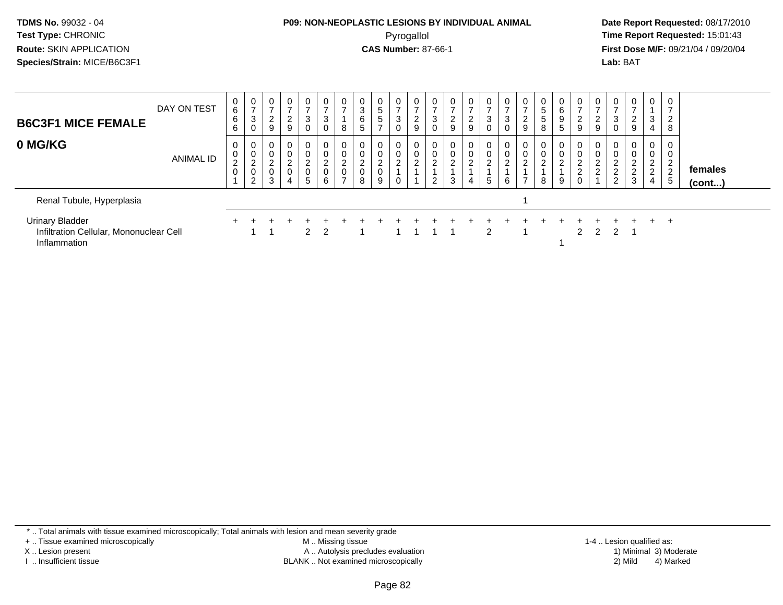#### **P09: NON-NEOPLASTIC LESIONS BY INDIVIDUAL ANIMAL**Pyrogallol **Time Report Requested:** 15:01:43

 **Date Report Requested:** 08/17/2010 **First Dose M/F:** 09/21/04 / 09/20/04<br>**Lab:** BAT **Lab:** BAT

| <b>B6C3F1 MICE FEMALE</b>                                                         | DAY ON TEST | 0<br>6<br>6<br>6              | 0<br>$\rightarrow$<br>3<br>0       | $\overline{0}$<br>$\overline{ }$<br>2<br>9                       | $\overline{0}$<br>$\rightarrow$<br>$\overline{a}$<br>9 | $\overline{0}$<br>$\rightarrow$<br>3<br>0                             | 0<br>3<br>0                        | $\mathbf 0$<br>8                                                | 0<br>3<br>6<br>5                           | 0<br>$\,$ 5 $\,$<br>5<br>⇁         | 0<br>-<br>3 | $\epsilon$<br>9      | 0<br>$\rightarrow$<br>3<br>$\mathbf 0$ | 0<br>-<br>ົ<br>$\epsilon$<br>9 | 0<br>$\overline{2}$<br>9      | 0<br>$\overline{ }$<br>$\mathbf{3}$<br>$\mathbf 0$ | $\mathbf 0$<br>$\rightarrow$<br>3<br>0 | $\overline{0}$<br>っ<br>9                             | 0<br>5<br>5<br>8 | 0<br>6<br>9<br>5         | 0<br>$\rightarrow$<br>ົ<br>$\epsilon$<br>9     | 0<br>$\epsilon$<br>9           | $\mathbf{0}$<br>$\rightarrow$<br>3<br>$\mathbf 0$         | $\mathbf{0}$<br>$\rightarrow$<br>2<br>9                                | $\mathbf 0$<br>3<br>$\overline{4}$                                               | 0<br><u>_</u><br>8                |                   |
|-----------------------------------------------------------------------------------|-------------|-------------------------------|------------------------------------|------------------------------------------------------------------|--------------------------------------------------------|-----------------------------------------------------------------------|------------------------------------|-----------------------------------------------------------------|--------------------------------------------|------------------------------------|-------------|----------------------|----------------------------------------|--------------------------------|-------------------------------|----------------------------------------------------|----------------------------------------|------------------------------------------------------|------------------|--------------------------|------------------------------------------------|--------------------------------|-----------------------------------------------------------|------------------------------------------------------------------------|----------------------------------------------------------------------------------|-----------------------------------|-------------------|
| 0 MG/KG                                                                           | ANIMAL ID   | 0<br>0<br>$\overline{c}$<br>0 | 0<br>0<br>$\overline{c}$<br>0<br>2 | $\mathbf 0$<br>$\mathbf 0$<br>$\overline{2}$<br>$\mathbf 0$<br>3 | 0<br>0<br>$\frac{2}{0}$<br>4                           | 0<br>$\overline{0}$<br>$\overline{2}$<br>$\pmb{0}$<br>$5\phantom{.0}$ | 0<br>0<br>$\overline{2}$<br>0<br>6 | 0<br>$\pmb{0}$<br>$\overline{2}$<br>$\pmb{0}$<br>$\overline{ }$ | 0<br>0<br>$\overline{c}$<br>$\pmb{0}$<br>8 | 0<br>0<br>$\overline{c}$<br>0<br>9 | 2           | $\sim$<br>$\epsilon$ | $\mathbf 0$<br>$\overline{2}$<br>2     | 0<br>0<br>$\overline{2}$<br>3  | 0<br>0<br>$\overline{2}$<br>4 | 0<br>$\pmb{0}$<br>$\overline{c}$<br>$\overline{5}$ | 0<br>$\pmb{0}$<br>$\overline{2}$<br>6  | 0<br>$\mathbf 0$<br>$\overline{2}$<br>$\overline{ }$ | $\sim$<br>∠<br>8 | 0<br>$\overline{c}$<br>9 | 0<br>0<br>$\overline{2}$<br>$\Omega$<br>∠<br>0 | 0<br>ົ<br>$\epsilon$<br>◠<br>∠ | 0<br>$\mathbf 0$<br>$\overline{2}$<br>$\overline{2}$<br>2 | $\overline{0}$<br>$\mathbf 0$<br>$\overline{c}$<br>$\overline{2}$<br>3 | $\mathbf 0$<br>$\mathbf 0$<br>$\overline{2}$<br>$\overline{2}$<br>$\overline{4}$ | 0<br>$\sim$<br><u>.</u><br>っ<br>5 | females<br>(cont) |
| Renal Tubule, Hyperplasia                                                         |             |                               |                                    |                                                                  |                                                        |                                                                       |                                    |                                                                 |                                            |                                    |             |                      |                                        |                                |                               |                                                    |                                        |                                                      |                  |                          |                                                |                                |                                                           |                                                                        |                                                                                  |                                   |                   |
| <b>Urinary Bladder</b><br>Infiltration Cellular, Mononuclear Cell<br>Inflammation |             |                               |                                    |                                                                  |                                                        | $2 \quad 2$                                                           |                                    |                                                                 |                                            |                                    |             |                      |                                        |                                |                               | $\mathcal{P}$                                      |                                        |                                                      |                  |                          | $\mathcal{P}$                                  | $\overline{2}$                 | 2                                                         |                                                                        | $+$                                                                              | $\overline{ }$                    |                   |

\* .. Total animals with tissue examined microscopically; Total animals with lesion and mean severity grade

+ .. Tissue examined microscopically

X .. Lesion present

I .. Insufficient tissue

 M .. Missing tissueA .. Autolysis precludes evaluation

BLANK .. Not examined microscopically 2) Mild 4) Marked

1-4 .. Lesion qualified as: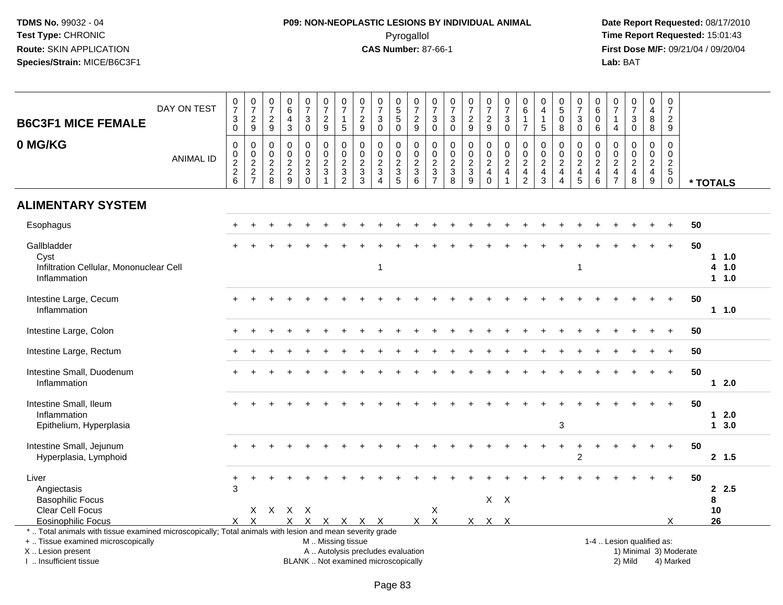# **P09: NON-NEOPLASTIC LESIONS BY INDIVIDUAL ANIMAL**Pyrogallol **Time Report Requested:** 15:01:43

| <b>B6C3F1 MICE FEMALE</b>                                                                                                                                                                     | DAY ON TEST       | $\frac{0}{7}$<br>$\ensuremath{\mathsf{3}}$<br>$\mathbf 0$ | $\frac{0}{7}$<br>$\frac{2}{9}$         | $\frac{0}{7}$<br>$\sqrt{2}$<br>9                            | $\mathbf 0$<br>$\,6\,$<br>$\overline{4}$<br>$\mathbf{3}$          | $\frac{0}{7}$<br>$\mathbf 3$<br>$\mathbf 0$                    | $\begin{array}{c} 0 \\ 7 \end{array}$<br>$\overline{2}$<br>9         | $\frac{0}{7}$<br>$\mathbf{1}$<br>$\sqrt{5}$                               | $\frac{0}{7}$<br>$\sqrt{2}$<br>9                                                          | $\frac{0}{7}$<br>$\sqrt{3}$<br>$\mathbf 0$                                        | $\begin{array}{c} 0 \\ 5 \end{array}$<br>$\overline{5}$<br>$\mathbf 0$          | $\begin{array}{c} 0 \\ 7 \end{array}$<br>$\frac{2}{9}$                | $\frac{0}{7}$<br>$\ensuremath{\mathsf{3}}$<br>$\mathbf 0$                                   | $\frac{0}{7}$<br>$\ensuremath{\mathsf{3}}$<br>$\mathbf 0$                      | $\frac{0}{7}$<br>$\frac{2}{9}$                                                    | $\frac{0}{7}$<br>$\frac{2}{9}$                      | $\begin{smallmatrix}0\\7\end{smallmatrix}$<br>$\ensuremath{\mathsf{3}}$<br>$\mathbf 0$  | $\begin{array}{c} 0 \\ 6 \end{array}$<br>$\mathbf{1}$<br>$\overline{7}$                   | 0<br>$\overline{4}$<br>$\mathbf{1}$<br>5                          | $\begin{array}{c} 0 \\ 5 \end{array}$<br>$\bar{0}$<br>8                | $\begin{smallmatrix}0\\7\end{smallmatrix}$<br>$\ensuremath{\mathsf{3}}$<br>$\mathbf 0$ | 0<br>$\overline{6}$<br>$\mathbf 0$<br>$\,6\,$             | $\mathbf 0$<br>$\overline{7}$<br>$\overline{1}$<br>$\overline{4}$ | $\begin{array}{c} 0 \\ 7 \end{array}$<br>$\sqrt{3}$<br>$\mathbf 0$  | $_4^{\rm 0}$<br>$\bf 8$<br>8                              | $\begin{array}{c} 0 \\ 7 \end{array}$<br>$\frac{2}{9}$ |                        |                             |
|-----------------------------------------------------------------------------------------------------------------------------------------------------------------------------------------------|-------------------|-----------------------------------------------------------|----------------------------------------|-------------------------------------------------------------|-------------------------------------------------------------------|----------------------------------------------------------------|----------------------------------------------------------------------|---------------------------------------------------------------------------|-------------------------------------------------------------------------------------------|-----------------------------------------------------------------------------------|---------------------------------------------------------------------------------|-----------------------------------------------------------------------|---------------------------------------------------------------------------------------------|--------------------------------------------------------------------------------|-----------------------------------------------------------------------------------|-----------------------------------------------------|-----------------------------------------------------------------------------------------|-------------------------------------------------------------------------------------------|-------------------------------------------------------------------|------------------------------------------------------------------------|----------------------------------------------------------------------------------------|-----------------------------------------------------------|-------------------------------------------------------------------|---------------------------------------------------------------------|-----------------------------------------------------------|--------------------------------------------------------|------------------------|-----------------------------|
| 0 MG/KG                                                                                                                                                                                       | <b>ANIMAL ID</b>  | $\mathbf 0$<br>$_{2}^{\rm 0}$<br>$\frac{2}{6}$            | $\boldsymbol{0}$<br>$\frac{0}{2}$<br>7 | 0<br>$\mathbf 0$<br>$\boldsymbol{2}$<br>$\overline{2}$<br>8 | $\mathbf 0$<br>$\mathbf 0$<br>$\boldsymbol{2}$<br>$\sqrt{2}$<br>9 | 0<br>$\mathbf 0$<br>$\overline{c}$<br>$\mathbf{3}$<br>$\Omega$ | 0<br>$\mathbf 0$<br>$\overline{2}$<br>$\mathbf{3}$<br>$\overline{1}$ | $\pmb{0}$<br>$\frac{0}{2}$<br>$\ensuremath{\mathsf{3}}$<br>$\overline{2}$ | $\mathbf 0$<br>$\mathbf 0$<br>$\overline{2}$<br>$\ensuremath{\mathsf{3}}$<br>$\mathbf{3}$ | $\mathbf 0$<br>$\mathbf 0$<br>$\sqrt{2}$<br>$\mathbf 3$<br>$\boldsymbol{\Lambda}$ | 0<br>$\mathbf 0$<br>$\boldsymbol{2}$<br>$\ensuremath{\mathsf{3}}$<br>$\sqrt{5}$ | $\mathbf 0$<br>$\mathbf 0$<br>$\overline{2}$<br>$\sqrt{3}$<br>$\,6\,$ | $\mathbf 0$<br>$\mathbf 0$<br>$\overline{c}$<br>$\ensuremath{\mathsf{3}}$<br>$\overline{7}$ | $\mathbf 0$<br>$\mathbf 0$<br>$\overline{2}$<br>$\ensuremath{\mathsf{3}}$<br>8 | 0<br>$\mathbf 0$<br>$\overline{2}$<br>$\ensuremath{\mathsf{3}}$<br>$\overline{9}$ | 0<br>$\frac{0}{2}$<br>$\overline{4}$<br>$\mathbf 0$ | $\mathbf 0$<br>$\mathbf 0$<br>$\overline{2}$<br>$\overline{\mathbf{4}}$<br>$\mathbf{1}$ | $\mathbf 0$<br>$\mathbf 0$<br>$\overline{c}$<br>$\overline{\mathbf{4}}$<br>$\overline{c}$ | $\mathbf 0$<br>$\pmb{0}$<br>$\overline{2}$<br>$\overline{4}$<br>3 | 0<br>$\mathbf 0$<br>$\overline{2}$<br>$\overline{4}$<br>$\overline{4}$ | 0<br>$\frac{0}{2}$<br>$\frac{4}{5}$                                                    | $\mathbf 0$<br>$\frac{0}{2}$<br>$\overline{4}$<br>$\,6\,$ | $\mathbf 0$<br>$\frac{0}{2}$<br>$\frac{2}{7}$                     | $\mathbf 0$<br>$\mathbf 0$<br>$\overline{2}$<br>$\overline{4}$<br>8 | 0<br>$\mathbf 0$<br>$\overline{2}$<br>$\overline{4}$<br>9 | $\mathbf 0$<br>$\frac{0}{2}$<br>$\boldsymbol{0}$       |                        | * TOTALS                    |
| <b>ALIMENTARY SYSTEM</b>                                                                                                                                                                      |                   |                                                           |                                        |                                                             |                                                                   |                                                                |                                                                      |                                                                           |                                                                                           |                                                                                   |                                                                                 |                                                                       |                                                                                             |                                                                                |                                                                                   |                                                     |                                                                                         |                                                                                           |                                                                   |                                                                        |                                                                                        |                                                           |                                                                   |                                                                     |                                                           |                                                        |                        |                             |
| Esophagus                                                                                                                                                                                     |                   |                                                           |                                        |                                                             |                                                                   |                                                                |                                                                      |                                                                           |                                                                                           |                                                                                   |                                                                                 |                                                                       |                                                                                             |                                                                                |                                                                                   |                                                     |                                                                                         |                                                                                           |                                                                   |                                                                        |                                                                                        |                                                           |                                                                   |                                                                     |                                                           |                                                        | 50                     |                             |
| Gallbladder<br>Cyst<br>Infiltration Cellular, Mononuclear Cell<br>Inflammation                                                                                                                |                   |                                                           |                                        |                                                             |                                                                   |                                                                |                                                                      |                                                                           |                                                                                           | $\overline{1}$                                                                    |                                                                                 |                                                                       |                                                                                             |                                                                                |                                                                                   |                                                     |                                                                                         |                                                                                           |                                                                   |                                                                        | $\mathbf{1}$                                                                           |                                                           |                                                                   |                                                                     |                                                           | $\ddot{}$                                              | 50                     | $1 \t1.0$<br>4 1.0<br>1 1.0 |
| Intestine Large, Cecum<br>Inflammation                                                                                                                                                        |                   |                                                           |                                        |                                                             |                                                                   |                                                                |                                                                      |                                                                           |                                                                                           |                                                                                   |                                                                                 |                                                                       |                                                                                             |                                                                                |                                                                                   |                                                     |                                                                                         |                                                                                           |                                                                   |                                                                        |                                                                                        |                                                           |                                                                   |                                                                     |                                                           | $+$                                                    | 50                     | $1 \t1.0$                   |
| Intestine Large, Colon                                                                                                                                                                        |                   |                                                           |                                        |                                                             |                                                                   |                                                                |                                                                      |                                                                           |                                                                                           |                                                                                   |                                                                                 |                                                                       |                                                                                             |                                                                                |                                                                                   |                                                     |                                                                                         |                                                                                           |                                                                   |                                                                        |                                                                                        |                                                           |                                                                   |                                                                     |                                                           |                                                        | 50                     |                             |
| Intestine Large, Rectum                                                                                                                                                                       |                   |                                                           |                                        |                                                             |                                                                   |                                                                |                                                                      |                                                                           |                                                                                           |                                                                                   |                                                                                 |                                                                       |                                                                                             |                                                                                |                                                                                   |                                                     | 50                                                                                      |                                                                                           |                                                                   |                                                                        |                                                                                        |                                                           |                                                                   |                                                                     |                                                           |                                                        |                        |                             |
| Intestine Small, Duodenum<br>Inflammation                                                                                                                                                     | $\ddot{+}$<br>$+$ |                                                           |                                        |                                                             |                                                                   |                                                                |                                                                      |                                                                           |                                                                                           |                                                                                   |                                                                                 |                                                                       |                                                                                             |                                                                                |                                                                                   | 50                                                  | $12.0$                                                                                  |                                                                                           |                                                                   |                                                                        |                                                                                        |                                                           |                                                                   |                                                                     |                                                           |                                                        |                        |                             |
| Intestine Small, Ileum<br>Inflammation<br>Epithelium, Hyperplasia                                                                                                                             |                   |                                                           |                                        |                                                             |                                                                   |                                                                |                                                                      |                                                                           |                                                                                           |                                                                                   |                                                                                 |                                                                       |                                                                                             |                                                                                |                                                                                   |                                                     |                                                                                         |                                                                                           |                                                                   | 3                                                                      |                                                                                        |                                                           |                                                                   |                                                                     |                                                           |                                                        | 50                     | $12.0$<br>13.0              |
| Intestine Small, Jejunum<br>Hyperplasia, Lymphoid                                                                                                                                             |                   |                                                           |                                        |                                                             |                                                                   |                                                                |                                                                      |                                                                           |                                                                                           |                                                                                   |                                                                                 |                                                                       |                                                                                             |                                                                                |                                                                                   |                                                     |                                                                                         |                                                                                           |                                                                   |                                                                        | $\overline{c}$                                                                         |                                                           |                                                                   |                                                                     |                                                           |                                                        | 50                     | 2, 1.5                      |
| Liver<br>Angiectasis<br><b>Basophilic Focus</b><br>Clear Cell Focus                                                                                                                           |                   | $\ddot{}$<br>3                                            | X                                      |                                                             | X X X                                                             |                                                                |                                                                      |                                                                           |                                                                                           |                                                                                   |                                                                                 |                                                                       | X                                                                                           |                                                                                |                                                                                   |                                                     | $X$ $X$                                                                                 |                                                                                           |                                                                   |                                                                        |                                                                                        |                                                           |                                                                   |                                                                     |                                                           |                                                        | 50                     | 2.5<br>8<br>10              |
| <b>Eosinophilic Focus</b>                                                                                                                                                                     |                   | X                                                         | $\mathsf{X}$                           |                                                             | X                                                                 | $\times$                                                       | X                                                                    |                                                                           | x x x                                                                                     |                                                                                   |                                                                                 | X.                                                                    | $\mathsf{X}$                                                                                |                                                                                | X                                                                                 | $X$ $X$                                             |                                                                                         |                                                                                           |                                                                   |                                                                        |                                                                                        |                                                           |                                                                   |                                                                     |                                                           | X                                                      |                        | 26                          |
| *  Total animals with tissue examined microscopically; Total animals with lesion and mean severity grade<br>+  Tissue examined microscopically<br>X  Lesion present<br>I. Insufficient tissue |                   |                                                           |                                        |                                                             |                                                                   |                                                                | M  Missing tissue                                                    |                                                                           | A  Autolysis precludes evaluation<br>BLANK  Not examined microscopically                  |                                                                                   |                                                                                 |                                                                       |                                                                                             |                                                                                |                                                                                   |                                                     |                                                                                         |                                                                                           |                                                                   |                                                                        |                                                                                        |                                                           |                                                                   | 1-4  Lesion qualified as:<br>2) Mild                                |                                                           | 4) Marked                                              | 1) Minimal 3) Moderate |                             |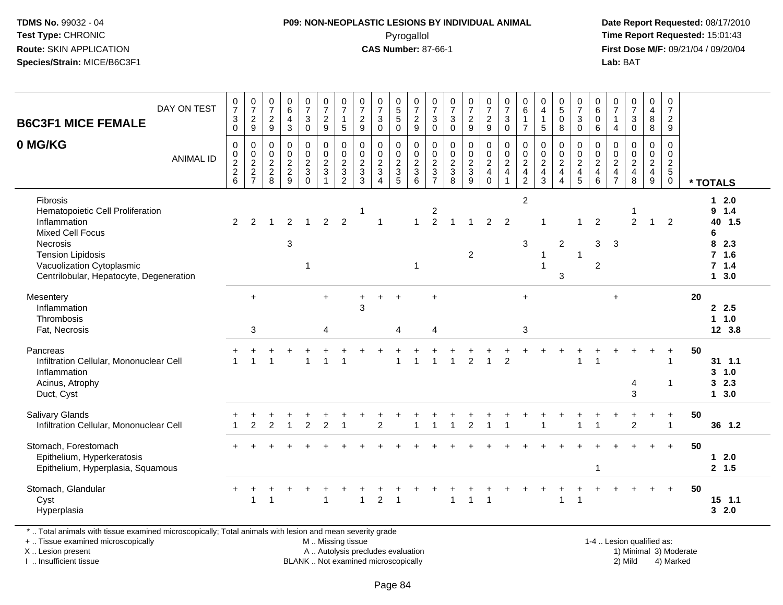#### **P09: NON-NEOPLASTIC LESIONS BY INDIVIDUAL ANIMAL**Pyrogallol **Time Report Requested:** 15:01:43

 **Date Report Requested:** 08/17/2010 **First Dose M/F:** 09/21/04 / 09/20/04<br>**Lab:** BAT **Lab:** BAT

| <b>B6C3F1 MICE FEMALE</b>                                                                                                                                                                               | DAY ON TEST      | $\frac{0}{7}$<br>$\mathsf 3$ | $\frac{0}{7}$<br>$\sqrt{2}$ | $\begin{matrix} 0 \\ 7 \end{matrix}$<br>$\overline{c}$ | $_{6}^{\rm 0}$<br>$\overline{4}$             | $\frac{0}{7}$<br>3                        | $\begin{array}{c} 0 \\ 7 \end{array}$<br>$\sqrt{2}$ | $\frac{0}{7}$<br>$\mathbf{1}$                   | $\frac{0}{7}$<br>$\sqrt{2}$                     | $\frac{0}{7}$<br>$\ensuremath{\mathsf{3}}$                     | $\begin{array}{c} 0 \\ 5 \\ 5 \end{array}$ | $\begin{array}{c} 0 \\ 7 \\ 2 \end{array}$ | $\frac{0}{7}$<br>3                                     | $\frac{0}{7}$<br>$\ensuremath{\mathsf{3}}$ | $\begin{smallmatrix} 0\\7 \end{smallmatrix}$<br>$\sqrt{2}$ | $\begin{array}{c} 0 \\ 7 \end{array}$<br>$\overline{2}$ | $\begin{array}{c} 0 \\ 7 \end{array}$<br>$\sqrt{3}$ | 0<br>$\,6$<br>$\mathbf{1}$      | 0<br>$\overline{4}$<br>$\mathbf{1}$  | $\begin{smallmatrix}0\0\5\end{smallmatrix}$<br>$\pmb{0}$ | $\frac{0}{7}$<br>$\ensuremath{\mathsf{3}}$ | $\begin{array}{c} 0 \\ 6 \end{array}$<br>$\pmb{0}$ | $\frac{0}{7}$<br>$\overline{1}$                                 | $\frac{0}{7}$<br>$\ensuremath{\mathsf{3}}$ | $\begin{smallmatrix}0\0\4\end{smallmatrix}$<br>8       | $\begin{smallmatrix}0\\7\end{smallmatrix}$<br>$\overline{c}$ |    |                                                                                          |
|---------------------------------------------------------------------------------------------------------------------------------------------------------------------------------------------------------|------------------|------------------------------|-----------------------------|--------------------------------------------------------|----------------------------------------------|-------------------------------------------|-----------------------------------------------------|-------------------------------------------------|-------------------------------------------------|----------------------------------------------------------------|--------------------------------------------|--------------------------------------------|--------------------------------------------------------|--------------------------------------------|------------------------------------------------------------|---------------------------------------------------------|-----------------------------------------------------|---------------------------------|--------------------------------------|----------------------------------------------------------|--------------------------------------------|----------------------------------------------------|-----------------------------------------------------------------|--------------------------------------------|--------------------------------------------------------|--------------------------------------------------------------|----|------------------------------------------------------------------------------------------|
| 0 MG/KG                                                                                                                                                                                                 |                  | $\mathbf 0$<br>0             | 9<br>$\mathbf 0$            | 9<br>$\mathbf 0$                                       | $\mathbf{3}$<br>$\mathbf 0$                  | $\mathbf 0$<br>$\mathsf{O}$               | 9<br>$\pmb{0}$                                      | $\sqrt{5}$<br>$\pmb{0}$                         | 9<br>$\mathbf 0$                                | $\mathbf{0}$<br>$\pmb{0}$                                      | $\mathbf 0$<br>0                           | 9<br>$\mathbf 0$                           | $\Omega$<br>0                                          | $\mathbf 0$<br>$\mathbf 0$                 | $\boldsymbol{9}$<br>$\pmb{0}$                              | $\boldsymbol{9}$<br>0                                   | $\overline{0}$<br>$\mathbf 0$                       | $\overline{7}$<br>0             | 5<br>$\mathbf 0$                     | 8<br>$\mathbf 0$                                         | $\mathbf 0$<br>$\mathbf 0$                 | 6<br>$\mathbf 0$                                   | $\overline{4}$<br>$\mathbf 0$                                   | $\mathbf 0$<br>$\mathbf 0$                 | 8<br>$\mathbf 0$                                       | 9<br>$\mathsf 0$                                             |    |                                                                                          |
|                                                                                                                                                                                                         | <b>ANIMAL ID</b> | 0<br>$\frac{2}{2}$ 6         | $\frac{0}{2}$<br>7          | $\mathbf 0$<br>$\frac{2}{8}$                           | $\pmb{0}$<br>$\overline{2}$<br>$\frac{2}{9}$ | $\mathsf{O}\xspace$<br>$\frac{2}{3}$<br>0 | $\frac{0}{2}$<br>$\overline{1}$                     | $\begin{array}{c} 0 \\ 2 \\ 3 \\ 2 \end{array}$ | $\begin{array}{c} 0 \\ 2 \\ 3 \\ 3 \end{array}$ | $\mathsf{O}\xspace$<br>$\frac{2}{3}$<br>$\boldsymbol{\Lambda}$ | $\pmb{0}$<br>$\frac{2}{3}$<br>5            | $\frac{0}{2}$<br>6                         | $\mathsf{O}\xspace$<br>$\frac{2}{3}$<br>$\overline{7}$ | $0$<br>$3$<br>$8$                          | $\frac{0}{3}$                                              | $\pmb{0}$<br>$\frac{2}{4}$<br>$\Omega$                  | $\frac{0}{2}$<br>$\overline{1}$                     | $\frac{0}{2}$<br>$\overline{c}$ | $\frac{0}{2}$<br>$\overline{4}$<br>3 | $\frac{0}{2}$<br>$\boldsymbol{\Lambda}$                  | $\mathsf{O}\xspace$<br>$\frac{2}{4}$<br>5  | $\pmb{0}$<br>$\frac{2}{4}$<br>6                    | $\pmb{0}$<br>$\overline{c}$<br>$\overline{4}$<br>$\overline{7}$ | $\pmb{0}$<br>$\frac{2}{4}$<br>8            | $\mathsf{O}\xspace$<br>$\frac{2}{4}$<br>$\overline{9}$ | $\mathsf{O}\xspace$<br>$\frac{2}{5}$<br>$\mathbf 0$          |    | * TOTALS                                                                                 |
| Fibrosis<br>Hematopoietic Cell Proliferation<br>Inflammation<br><b>Mixed Cell Focus</b><br>Necrosis<br><b>Tension Lipidosis</b><br>Vacuolization Cytoplasmic<br>Centrilobular, Hepatocyte, Degeneration |                  | $\overline{2}$               | 2                           | 1                                                      | $\overline{2}$<br>3                          | $\overline{1}$<br>1                       | $\overline{2}$                                      | $\overline{2}$                                  | 1                                               | $\overline{1}$                                                 |                                            | $\overline{1}$<br>1                        | $\overline{\mathbf{c}}$<br>$\overline{2}$              | $\overline{\mathbf{1}}$                    | $\overline{2}$                                             | $\overline{2}$                                          | $\overline{2}$                                      | $\overline{c}$<br>3             |                                      | $\overline{2}$<br>3                                      | 1<br>$\overline{1}$                        | $\overline{2}$<br>3<br>$\overline{2}$              | 3                                                               | $\overline{2}$                             | $\mathbf{1}$                                           | $\overline{2}$                                               |    | $12.0$<br>9 1.4<br>40 1.5<br>6<br>8<br>2.3<br>7 <sub>1.6</sub><br>7.1.4<br>$1 \quad 3.0$ |
| Mesentery<br>Inflammation<br>Thrombosis<br>Fat, Necrosis                                                                                                                                                |                  |                              | $+$<br>3                    |                                                        |                                              |                                           | $+$<br>4                                            |                                                 | $\ddot{}$<br>3                                  |                                                                | $\ddot{}$<br>4                             |                                            | $\ddot{}$<br>$\overline{4}$                            |                                            |                                                            |                                                         |                                                     | $\ddot{}$<br>3                  |                                      |                                                          |                                            |                                                    | $\ddot{}$                                                       |                                            |                                                        |                                                              | 20 | 2.5<br>1 1.0<br>12 3.8                                                                   |
| Pancreas<br>Infiltration Cellular, Mononuclear Cell<br>Inflammation<br>Acinus, Atrophy<br>Duct, Cyst                                                                                                    |                  |                              | $\overline{1}$              | 1                                                      |                                              |                                           |                                                     | $\overline{1}$                                  |                                                 |                                                                | 1                                          |                                            |                                                        |                                            | $\overline{2}$                                             | $\overline{1}$                                          | $\overline{c}$                                      |                                 |                                      |                                                          | $\mathbf{1}$                               | $\overline{1}$                                     |                                                                 | 4<br>3                                     |                                                        | $\ddot{}$<br>-1<br>$\mathbf{1}$                              | 50 | $31$ 1.1<br>3, 1.0<br>32.3<br>$1 \quad 3.0$                                              |
| <b>Salivary Glands</b><br>Infiltration Cellular, Mononuclear Cell                                                                                                                                       |                  |                              | $\overline{2}$              | $\overline{2}$                                         |                                              | $\overline{2}$                            | +<br>$\overline{2}$                                 |                                                 |                                                 | $\overline{2}$                                                 |                                            |                                            |                                                        |                                            | $\overline{2}$                                             |                                                         |                                                     |                                 |                                      |                                                          |                                            |                                                    |                                                                 | $\mathfrak{p}$                             | $+$                                                    | $\ddot{}$<br>$\overline{1}$                                  | 50 | 36 1.2                                                                                   |
| Stomach, Forestomach<br>Epithelium, Hyperkeratosis<br>Epithelium, Hyperplasia, Squamous                                                                                                                 |                  |                              |                             |                                                        |                                              |                                           |                                                     |                                                 |                                                 |                                                                |                                            |                                            |                                                        |                                            |                                                            |                                                         |                                                     |                                 |                                      |                                                          |                                            | $\overline{1}$                                     |                                                                 |                                            |                                                        | $\ddot{}$                                                    | 50 | $12.0$<br>2, 1.5                                                                         |
| Stomach, Glandular<br>Cyst<br>Hyperplasia                                                                                                                                                               |                  |                              | $\overline{1}$              | 1                                                      |                                              |                                           |                                                     |                                                 | 1                                               | $\overline{2}$                                                 | 1                                          |                                            |                                                        | 1                                          | $\overline{1}$                                             | $\overline{\mathbf{1}}$                                 |                                                     |                                 |                                      | $\mathbf{1}$                                             | $\overline{1}$                             |                                                    |                                                                 |                                            |                                                        | $\ddot{}$                                                    | 50 | $15$ 1.1<br>32.0                                                                         |

\* .. Total animals with tissue examined microscopically; Total animals with lesion and mean severity grade

+ .. Tissue examined microscopically

X .. Lesion present

I .. Insufficient tissue

 M .. Missing tissueA .. Autolysis precludes evaluation

BLANK .. Not examined microscopically 2) Mild 4) Marked

1-4 .. Lesion qualified as: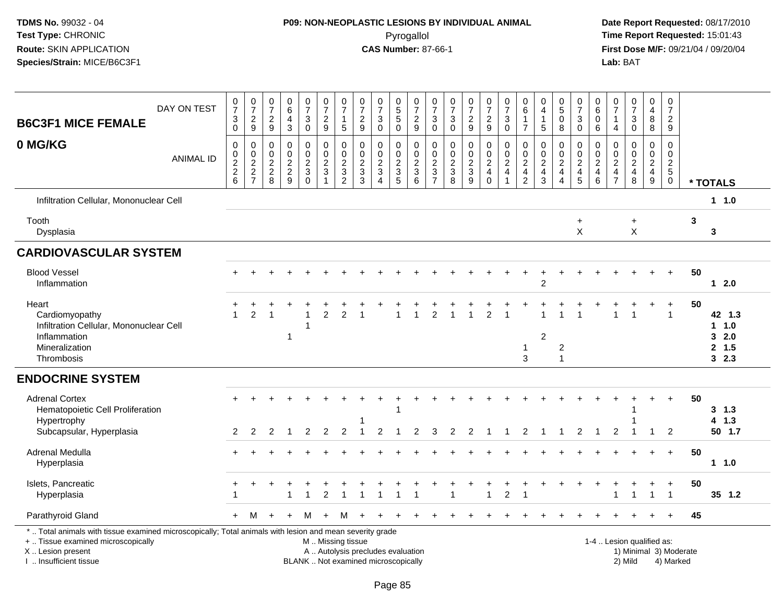## **P09: NON-NEOPLASTIC LESIONS BY INDIVIDUAL ANIMAL**Pyrogallol **Time Report Requested:** 15:01:43

| <b>B6C3F1 MICE FEMALE</b>                                                                                                                                                                     | DAY ON TEST      | $\frac{0}{7}$<br>$_0^3$   | $\frac{0}{7}$<br>$\frac{2}{9}$                                 | $\frac{0}{7}$<br>$\frac{2}{9}$    | $\pmb{0}$<br>$\overline{6}$<br>$\overline{4}$<br>$\overline{3}$ | $\frac{0}{7}$<br>3<br>$\bar{0}$                  | $\begin{smallmatrix}0\\7\end{smallmatrix}$<br>$\frac{2}{9}$ | $\frac{0}{7}$<br>$\mathbf{1}$<br>5             | $\frac{0}{7}$<br>$\frac{2}{9}$ | $\frac{0}{7}$<br>$_{\rm 0}^3$                                            | $\begin{array}{c} 0 \\ 5 \end{array}$<br>$\sqrt{5}$<br>0 | $\frac{0}{7}$<br>$\frac{2}{9}$                                         | $\frac{0}{7}$<br>3<br>$\mathbf 0$ | $\frac{0}{7}$<br>$_{\rm 0}^3$                                | $\frac{0}{7}$<br>$\frac{2}{9}$              | $\frac{0}{7}$<br>$\frac{2}{9}$                   | $\frac{0}{7}$<br>$\sqrt{3}$<br>$\mathsf{O}\xspace$ | 0<br>6<br>$\mathbf{1}$<br>$\overline{7}$  | 0<br>$\overline{4}$<br>$\mathbf{1}$<br>$\overline{5}$       | $\begin{array}{c} 0 \\ 5 \end{array}$<br>$\mathbf 0$<br>8 | $\frac{0}{7}$<br>$_0^3$  | $\begin{smallmatrix}0\0\0\end{smallmatrix}$<br>$\pmb{0}$<br>$\overline{6}$ | 0<br>$\overline{7}$<br>$\mathbf{1}$<br>4     | $\begin{smallmatrix}0\\7\end{smallmatrix}$<br>$_{\rm 0}^3$ | 0<br>$\overline{4}$<br>$\bf 8$<br>$\overline{8}$ | $\pmb{0}$<br>$\overline{7}$<br>$\frac{2}{9}$               |                        |                                          |
|-----------------------------------------------------------------------------------------------------------------------------------------------------------------------------------------------|------------------|---------------------------|----------------------------------------------------------------|-----------------------------------|-----------------------------------------------------------------|--------------------------------------------------|-------------------------------------------------------------|------------------------------------------------|--------------------------------|--------------------------------------------------------------------------|----------------------------------------------------------|------------------------------------------------------------------------|-----------------------------------|--------------------------------------------------------------|---------------------------------------------|--------------------------------------------------|----------------------------------------------------|-------------------------------------------|-------------------------------------------------------------|-----------------------------------------------------------|--------------------------|----------------------------------------------------------------------------|----------------------------------------------|------------------------------------------------------------|--------------------------------------------------|------------------------------------------------------------|------------------------|------------------------------------------|
| 0 MG/KG                                                                                                                                                                                       | <b>ANIMAL ID</b> | 0<br>0<br>$\frac{2}{2}$ 6 | $\mathbf 0$<br>$\begin{array}{c} 0 \\ 2 \\ 2 \\ 7 \end{array}$ | 0<br>$\mathbf 0$<br>$\frac{2}{8}$ | $\mathbf 0$<br>$\pmb{0}$<br>$\frac{2}{9}$                       | 0<br>$\mathbf 0$<br>$\frac{2}{3}$<br>$\mathbf 0$ | 0<br>$\ddot{\mathbf{0}}$<br>$\frac{2}{3}$<br>$\mathbf{1}$   | $\mathbf 0$<br>$\overline{0}$<br>$\frac{2}{3}$ | 0<br>0<br>$\frac{2}{3}$        | $\mathbf 0$<br>$\overline{0}$<br>$\frac{2}{3}$                           | 0<br>0<br>$\frac{2}{3}$                                  | $\mathbf 0$<br>$\ddot{\mathbf{0}}$<br>$\frac{2}{3}$<br>$6\phantom{1}6$ | 0<br>0<br>$\frac{2}{3}$           | $\pmb{0}$<br>$\begin{array}{c} 0 \\ 2 \\ 3 \\ 8 \end{array}$ | $\mathsf 0$<br>$\tilde{0}$<br>$\frac{2}{3}$ | 0<br>$\mathbf 0$<br>$\frac{2}{4}$<br>$\mathbf 0$ | $\mathbf 0$<br>$\frac{0}{2}$<br>$\mathbf{1}$       | 0<br>0<br>$\frac{2}{4}$<br>$\overline{c}$ | $\mathbf 0$<br>$\mathbf 0$<br>$\frac{2}{4}$<br>$\mathbf{3}$ | 0<br>$\mathbf 0$<br>$\frac{2}{4}$<br>4                    | 0<br>$\frac{0}{2}$<br>45 | 0<br>$\bar{0}$<br>$\frac{2}{4}$<br>6                                       | $\mathbf 0$<br>0<br>$_4^2$<br>$\overline{7}$ | $\mathbf 0$<br>$\overline{0}$<br>$\frac{2}{4}$<br>8        | 0<br>0<br>$\frac{2}{4}$<br>$9\,$                 | $\mathbf 0$<br>$\mathbf 0$<br>$\frac{2}{5}$<br>$\mathsf 0$ |                        | * TOTALS                                 |
| Infiltration Cellular, Mononuclear Cell                                                                                                                                                       |                  |                           |                                                                |                                   |                                                                 |                                                  |                                                             |                                                |                                |                                                                          |                                                          |                                                                        |                                   |                                                              |                                             |                                                  |                                                    |                                           |                                                             |                                                           |                          |                                                                            |                                              |                                                            |                                                  |                                                            |                        | $1 1.0$                                  |
| Tooth<br>Dysplasia                                                                                                                                                                            |                  |                           |                                                                |                                   |                                                                 |                                                  |                                                             |                                                |                                |                                                                          |                                                          |                                                                        |                                   |                                                              |                                             |                                                  |                                                    |                                           |                                                             |                                                           | $\ddot{}$<br>X           |                                                                            |                                              | $\ddot{}$<br>$\times$                                      |                                                  |                                                            | 3                      | 3                                        |
| <b>CARDIOVASCULAR SYSTEM</b>                                                                                                                                                                  |                  |                           |                                                                |                                   |                                                                 |                                                  |                                                             |                                                |                                |                                                                          |                                                          |                                                                        |                                   |                                                              |                                             |                                                  |                                                    |                                           |                                                             |                                                           |                          |                                                                            |                                              |                                                            |                                                  |                                                            |                        |                                          |
| <b>Blood Vessel</b><br>Inflammation                                                                                                                                                           |                  | $+$                       | $+$                                                            | $+$                               |                                                                 |                                                  |                                                             |                                                |                                |                                                                          |                                                          |                                                                        |                                   |                                                              |                                             |                                                  |                                                    |                                           | $\overline{c}$                                              |                                                           |                          |                                                                            |                                              |                                                            | $+$                                              | $+$                                                        | 50                     | 12.0                                     |
| Heart<br>Cardiomyopathy<br>Infiltration Cellular, Mononuclear Cell<br>Inflammation<br>Mineralization<br>Thrombosis                                                                            |                  |                           | 2                                                              |                                   | 1                                                               |                                                  | $\overline{2}$                                              | $\overline{2}$                                 |                                |                                                                          |                                                          |                                                                        | 2                                 |                                                              |                                             | $\overline{2}$                                   | -1                                                 | 1<br>$\sqrt{3}$                           | $\overline{2}$                                              | $\overline{c}$<br>$\overline{1}$                          |                          |                                                                            |                                              | -1                                                         |                                                  | $\ddot{}$<br>$\mathbf{1}$                                  | 50                     | 42 1.3<br>11.0<br>32.0<br>2, 1.5<br>32.3 |
| <b>ENDOCRINE SYSTEM</b>                                                                                                                                                                       |                  |                           |                                                                |                                   |                                                                 |                                                  |                                                             |                                                |                                |                                                                          |                                                          |                                                                        |                                   |                                                              |                                             |                                                  |                                                    |                                           |                                                             |                                                           |                          |                                                                            |                                              |                                                            |                                                  |                                                            |                        |                                          |
| <b>Adrenal Cortex</b><br>Hematopoietic Cell Proliferation<br>Hypertrophy<br>Subcapsular, Hyperplasia                                                                                          |                  | $\pm$<br>2                | 2                                                              | 2                                 |                                                                 | 2                                                | $\overline{2}$                                              | $\overline{2}$                                 |                                | $\overline{2}$                                                           |                                                          | 2                                                                      | 3                                 | $\overline{2}$                                               | 2                                           |                                                  |                                                    | $\overline{2}$                            |                                                             |                                                           | $\overline{2}$           |                                                                            | $\overline{2}$                               |                                                            | 1                                                | $\ddot{}$<br>$\overline{2}$                                | 50                     | 3, 1.3<br>4 1.3<br>50 1.7                |
| Adrenal Medulla<br>Hyperplasia                                                                                                                                                                |                  | $+$                       |                                                                |                                   |                                                                 |                                                  |                                                             |                                                |                                |                                                                          |                                                          |                                                                        |                                   |                                                              |                                             |                                                  |                                                    |                                           |                                                             |                                                           |                          |                                                                            |                                              |                                                            | $\div$                                           | $+$                                                        | 50                     | $1 \t1.0$                                |
| Islets, Pancreatic<br>Hyperplasia                                                                                                                                                             |                  |                           |                                                                |                                   |                                                                 |                                                  | $\overline{2}$                                              |                                                |                                | -1                                                                       | 1                                                        |                                                                        |                                   |                                                              |                                             | $\mathbf{1}$                                     | $\overline{c}$                                     |                                           |                                                             |                                                           |                          |                                                                            |                                              | $\overline{1}$                                             | $\ddot{}$<br>$\overline{\mathbf{1}}$             | $\ddot{}$<br>$\overline{1}$                                | 50                     | 35 1.2                                   |
| Parathyroid Gland                                                                                                                                                                             |                  | $+$                       | M                                                              | $+$                               | $+$                                                             | м                                                | $\ddot{}$                                                   | M                                              |                                |                                                                          |                                                          |                                                                        |                                   |                                                              |                                             |                                                  |                                                    |                                           |                                                             |                                                           |                          |                                                                            |                                              |                                                            |                                                  | $+$                                                        | 45                     |                                          |
| *  Total animals with tissue examined microscopically; Total animals with lesion and mean severity grade<br>+  Tissue examined microscopically<br>X  Lesion present<br>I  Insufficient tissue |                  |                           |                                                                |                                   |                                                                 |                                                  |                                                             |                                                | M  Missing tissue              | A  Autolysis precludes evaluation<br>BLANK  Not examined microscopically |                                                          |                                                                        |                                   |                                                              |                                             |                                                  |                                                    |                                           |                                                             |                                                           |                          |                                                                            |                                              | 1-4  Lesion qualified as:<br>2) Mild                       |                                                  | 4) Marked                                                  | 1) Minimal 3) Moderate |                                          |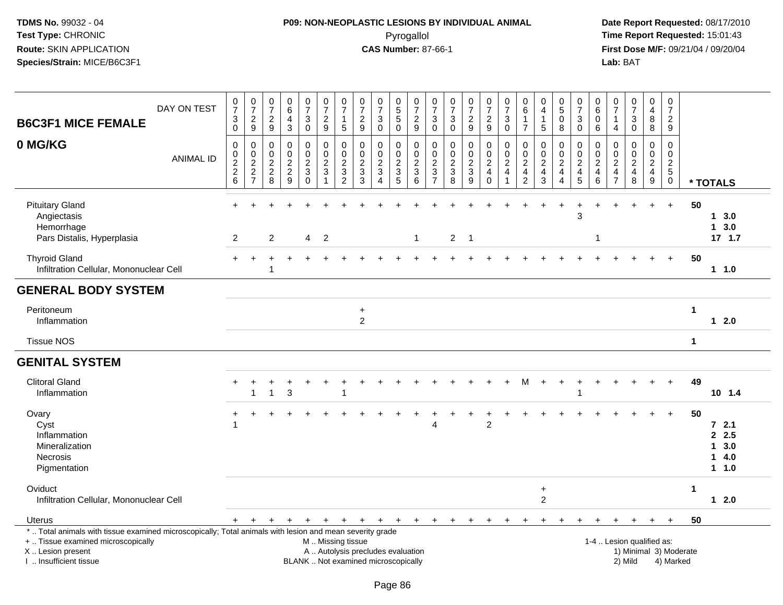# **P09: NON-NEOPLASTIC LESIONS BY INDIVIDUAL ANIMAL**Pyrogallol **Time Report Requested:** 15:01:43

| <b>B6C3F1 MICE FEMALE</b>                                                                                                                                                                     | DAY ON TEST      | $\frac{0}{7}$<br>$\ensuremath{\mathsf{3}}$<br>$\overline{0}$        | $\begin{array}{c} 0 \\ 7 \end{array}$<br>$\overline{c}$<br>$\boldsymbol{9}$ | $\pmb{0}$<br>$\overline{7}$<br>$\overline{c}$<br>$\boldsymbol{9}$ | $_{\rm 6}^{\rm 0}$<br>$\overline{\mathbf{4}}$<br>$\mathsf 3$                     | $\frac{0}{7}$<br>$\sqrt{3}$<br>$\overline{0}$                    | $\frac{0}{7}$<br>$\frac{2}{9}$                                                                | $\begin{array}{c} 0 \\ 7 \end{array}$<br>1<br>5                        | $\frac{0}{7}$<br>$\overline{c}$<br>$\boldsymbol{9}$            | $\frac{0}{7}$<br>$\mathbf{3}$<br>$\mathbf 0$              | 0<br>5<br>5<br>0                                                                | $\begin{array}{c} 0 \\ 7 \end{array}$<br>$\frac{2}{9}$ | $\frac{0}{7}$<br>3<br>$\mathbf 0$                                   | $\frac{0}{7}$<br>$\mathbf{3}$<br>$\overline{0}$               | $\frac{0}{7}$<br>$\overline{2}$<br>9           | $\frac{0}{7}$<br>$\frac{2}{9}$                               | $\frac{0}{7}$<br>3<br>$\pmb{0}$                                                               | 0<br>$6\phantom{1}$<br>$\mathbf{1}$<br>$\overline{7}$                          | $\begin{smallmatrix}0\\4\end{smallmatrix}$<br>$\overline{1}$<br>$\overline{5}$ | 0<br>$\sqrt{5}$<br>0<br>$\,8\,$                             | $\pmb{0}$<br>$\overline{7}$<br>$\ensuremath{\mathsf{3}}$<br>$\mathbf 0$ | 0<br>$6\phantom{a}$<br>0<br>$\,6$              | 0<br>$\overline{7}$<br>$\mathbf{1}$<br>$\overline{4}$                  | $\frac{0}{7}$<br>$\mathbf{3}$<br>$\overline{0}$         | $\pmb{0}$<br>$\overline{\mathbf{4}}$<br>8<br>$\bf 8$ | $\pmb{0}$<br>$\overline{7}$<br>$\overline{2}$<br>$\boldsymbol{9}$       |                                     |    |                                                       |
|-----------------------------------------------------------------------------------------------------------------------------------------------------------------------------------------------|------------------|---------------------------------------------------------------------|-----------------------------------------------------------------------------|-------------------------------------------------------------------|----------------------------------------------------------------------------------|------------------------------------------------------------------|-----------------------------------------------------------------------------------------------|------------------------------------------------------------------------|----------------------------------------------------------------|-----------------------------------------------------------|---------------------------------------------------------------------------------|--------------------------------------------------------|---------------------------------------------------------------------|---------------------------------------------------------------|------------------------------------------------|--------------------------------------------------------------|-----------------------------------------------------------------------------------------------|--------------------------------------------------------------------------------|--------------------------------------------------------------------------------|-------------------------------------------------------------|-------------------------------------------------------------------------|------------------------------------------------|------------------------------------------------------------------------|---------------------------------------------------------|------------------------------------------------------|-------------------------------------------------------------------------|-------------------------------------|----|-------------------------------------------------------|
| 0 MG/KG                                                                                                                                                                                       | <b>ANIMAL ID</b> | $\boldsymbol{0}$<br>$\begin{array}{c} 0 \\ 2 \\ 2 \\ 6 \end{array}$ | 0<br>$\mathbf 0$<br>$\overline{a}$<br>$\overline{c}$<br>$\overline{7}$      | 0<br>$\pmb{0}$<br>$\overline{c}$<br>$\sqrt{2}$<br>8               | $\mathbf 0$<br>$\ddot{\mathbf{0}}$<br>$\begin{array}{c} 2 \\ 2 \\ 9 \end{array}$ | 0<br>$\pmb{0}$<br>$\boldsymbol{2}$<br>$\mathbf 3$<br>$\mathbf 0$ | $\mathbf 0$<br>$\ddot{\mathbf{0}}$<br>$\sqrt{2}$<br>$\sqrt{3}$<br>$\overline{1}$              | 0<br>$\mathbf 0$<br>$\overline{c}$<br>$\mathfrak{S}$<br>$\overline{c}$ | $\mathbf 0$<br>$\frac{0}{2}$<br>$\ensuremath{\mathsf{3}}$<br>3 | 0<br>$\mathbf 0$<br>$\overline{2}$<br>3<br>$\overline{4}$ | 0<br>$\pmb{0}$<br>$\overline{c}$<br>$\ensuremath{\mathsf{3}}$<br>$\overline{5}$ | 0<br>$\mathbf 0$<br>$\frac{2}{3}$<br>6                 | 0<br>0<br>$\sqrt{2}$<br>$\ensuremath{\mathsf{3}}$<br>$\overline{7}$ | $\mathbf 0$<br>$\mathbf 0$<br>$\sqrt{2}$<br>$\mathbf{3}$<br>8 | 0<br>$\mathsf{O}\xspace$<br>$\frac{2}{3}$<br>9 | 0<br>$\frac{0}{2}$<br>$\overline{\mathbf{4}}$<br>$\mathbf 0$ | $\pmb{0}$<br>$\ddot{\mathbf{0}}$<br>$\overline{c}$<br>$\overline{\mathbf{4}}$<br>$\mathbf{1}$ | 0<br>$\mathsf{O}\xspace$<br>$\overline{c}$<br>$\overline{4}$<br>$\overline{2}$ | 0<br>$\pmb{0}$<br>$\sqrt{2}$<br>$\overline{4}$<br>3                            | 0<br>$\mathbf 0$<br>$\boldsymbol{2}$<br>$\overline{4}$<br>4 | $\mathbf 0$<br>$\,0\,$<br>$\frac{2}{4}$<br>$\overline{5}$               | 0<br>$\mathsf 0$<br>$\boldsymbol{2}$<br>4<br>6 | 0<br>$\mathbf 0$<br>$\overline{c}$<br>$\overline{4}$<br>$\overline{7}$ | 0<br>$\pmb{0}$<br>$\overline{c}$<br>$\overline{4}$<br>8 | 0<br>$\mathbf 0$<br>$\frac{2}{4}$<br>9               | $\mathbf 0$<br>$\pmb{0}$<br>$\overline{c}$<br>$\sqrt{5}$<br>$\mathbf 0$ |                                     |    | * TOTALS                                              |
| <b>Pituitary Gland</b><br>Angiectasis<br>Hemorrhage<br>Pars Distalis, Hyperplasia                                                                                                             |                  | $\overline{2}$                                                      |                                                                             | 2                                                                 |                                                                                  | $\overline{4}$                                                   | $\overline{2}$                                                                                |                                                                        |                                                                |                                                           |                                                                                 | $\mathbf{1}$                                           |                                                                     |                                                               | $2 \quad 1$                                    |                                                              |                                                                                               |                                                                                |                                                                                | $\ddot{}$                                                   | 3                                                                       | 1                                              |                                                                        | $\ddot{}$                                               | $+$                                                  | $+$                                                                     |                                     | 50 | 13.0<br>13.0<br>17, 1.7                               |
| <b>Thyroid Gland</b><br>Infiltration Cellular, Mononuclear Cell                                                                                                                               |                  |                                                                     |                                                                             |                                                                   |                                                                                  |                                                                  |                                                                                               |                                                                        |                                                                |                                                           |                                                                                 |                                                        |                                                                     |                                                               |                                                |                                                              |                                                                                               |                                                                                |                                                                                |                                                             |                                                                         |                                                |                                                                        |                                                         |                                                      | $+$                                                                     |                                     | 50 | 1 1.0                                                 |
| <b>GENERAL BODY SYSTEM</b>                                                                                                                                                                    |                  |                                                                     |                                                                             |                                                                   |                                                                                  |                                                                  |                                                                                               |                                                                        |                                                                |                                                           |                                                                                 |                                                        |                                                                     |                                                               |                                                |                                                              |                                                                                               |                                                                                |                                                                                |                                                             |                                                                         |                                                |                                                                        |                                                         |                                                      |                                                                         |                                     |    |                                                       |
| Peritoneum<br>Inflammation                                                                                                                                                                    |                  |                                                                     |                                                                             |                                                                   |                                                                                  |                                                                  |                                                                                               |                                                                        | $\ddot{}$<br>$\overline{2}$                                    |                                                           |                                                                                 |                                                        |                                                                     |                                                               |                                                |                                                              |                                                                                               |                                                                                |                                                                                |                                                             |                                                                         |                                                |                                                                        |                                                         |                                                      |                                                                         | 1                                   |    | $12.0$                                                |
| <b>Tissue NOS</b>                                                                                                                                                                             |                  |                                                                     |                                                                             |                                                                   |                                                                                  |                                                                  |                                                                                               |                                                                        |                                                                |                                                           |                                                                                 |                                                        |                                                                     |                                                               |                                                |                                                              |                                                                                               |                                                                                |                                                                                |                                                             |                                                                         |                                                |                                                                        |                                                         |                                                      |                                                                         | $\mathbf 1$                         |    |                                                       |
| <b>GENITAL SYSTEM</b>                                                                                                                                                                         |                  |                                                                     |                                                                             |                                                                   |                                                                                  |                                                                  |                                                                                               |                                                                        |                                                                |                                                           |                                                                                 |                                                        |                                                                     |                                                               |                                                |                                                              |                                                                                               |                                                                                |                                                                                |                                                             |                                                                         |                                                |                                                                        |                                                         |                                                      |                                                                         |                                     |    |                                                       |
| <b>Clitoral Gland</b><br>Inflammation                                                                                                                                                         |                  |                                                                     |                                                                             |                                                                   | 3                                                                                |                                                                  |                                                                                               |                                                                        |                                                                |                                                           |                                                                                 |                                                        |                                                                     |                                                               |                                                |                                                              |                                                                                               | М                                                                              | $\ddot{}$                                                                      | $\ddot{}$                                                   |                                                                         |                                                |                                                                        |                                                         |                                                      | $+$                                                                     |                                     | 49 | $10$ 1.4                                              |
| Ovary<br>Cyst<br>Inflammation<br>Mineralization<br><b>Necrosis</b><br>Pigmentation                                                                                                            |                  |                                                                     |                                                                             |                                                                   |                                                                                  |                                                                  |                                                                                               |                                                                        |                                                                |                                                           |                                                                                 |                                                        | 4                                                                   |                                                               |                                                | 2                                                            |                                                                                               |                                                                                |                                                                                |                                                             |                                                                         |                                                |                                                                        |                                                         |                                                      | $\ddot{+}$                                                              |                                     | 50 | 72.1<br>2.5<br>3.0<br>$\mathbf{1}$<br>14.0<br>$1 1.0$ |
| Oviduct<br>Infiltration Cellular, Mononuclear Cell                                                                                                                                            |                  |                                                                     |                                                                             |                                                                   |                                                                                  |                                                                  |                                                                                               |                                                                        |                                                                |                                                           |                                                                                 |                                                        |                                                                     |                                                               |                                                |                                                              |                                                                                               |                                                                                | $\ddot{}$<br>$\overline{2}$                                                    |                                                             |                                                                         |                                                |                                                                        |                                                         |                                                      |                                                                         | 1                                   |    | $12.0$                                                |
| <b>Uterus</b>                                                                                                                                                                                 |                  | $+$                                                                 | $+$                                                                         | $+$                                                               | $+$                                                                              | $+$                                                              | $+$                                                                                           |                                                                        | $+$ $+$ $+$                                                    |                                                           | $+$                                                                             | $+$                                                    |                                                                     | $+$ $+$                                                       | $+$                                            | $+$                                                          | $+$                                                                                           | $\pm$                                                                          | $\ddot{}$                                                                      | $\ddot{}$                                                   | $\pm$                                                                   | $\div$                                         | $\ddot{}$                                                              | $\overline{+}$                                          | $+$                                                  | $+$                                                                     |                                     | 50 |                                                       |
| *  Total animals with tissue examined microscopically; Total animals with lesion and mean severity grade<br>+  Tissue examined microscopically<br>X  Lesion present<br>I  Insufficient tissue |                  |                                                                     |                                                                             |                                                                   |                                                                                  |                                                                  | M  Missing tissue<br>A  Autolysis precludes evaluation<br>BLANK  Not examined microscopically |                                                                        |                                                                |                                                           |                                                                                 |                                                        |                                                                     |                                                               |                                                |                                                              |                                                                                               |                                                                                |                                                                                |                                                             |                                                                         |                                                |                                                                        | 1-4  Lesion qualified as:<br>2) Mild                    |                                                      |                                                                         | 1) Minimal 3) Moderate<br>4) Marked |    |                                                       |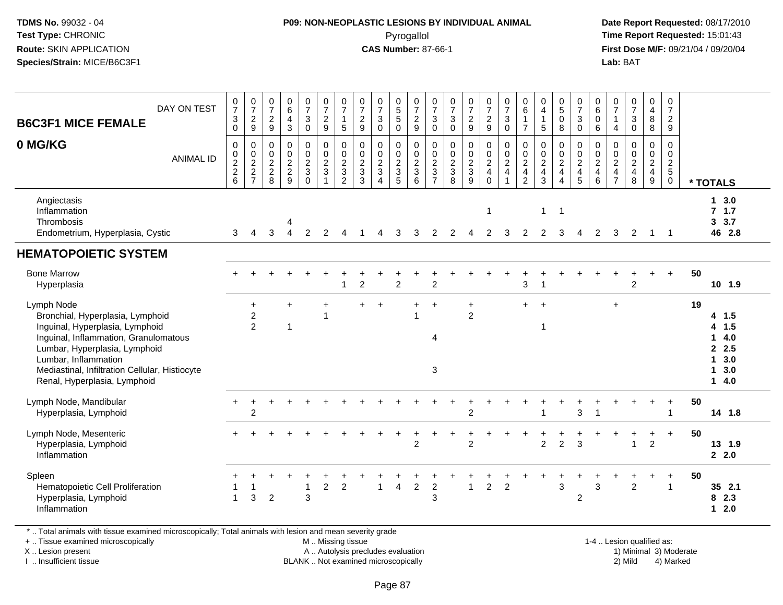#### **P09: NON-NEOPLASTIC LESIONS BY INDIVIDUAL ANIMAL**Pyrogallol **Time Report Requested:** 15:01:43

 **Date Report Requested:** 08/17/2010 **First Dose M/F:** 09/21/04 / 09/20/04<br>**Lab:** BAT **Lab:** BAT

| DAY ON TEST<br><b>B6C3F1 MICE FEMALE</b>                                                                                                                                                                                                                              | $\frac{0}{7}$<br>3<br>$\pmb{0}$                   | $\begin{array}{c} 0 \\ 7 \end{array}$<br>$\overline{c}$<br>$\boldsymbol{9}$                       | $\frac{0}{7}$<br>$\frac{2}{9}$                        | $\begin{array}{c} 0 \\ 6 \end{array}$<br>$\frac{4}{3}$        | $\frac{0}{7}$<br>3<br>$\pmb{0}$                                              | $\frac{0}{7}$<br>$\frac{2}{9}$                                                                           | $\frac{0}{7}$<br>$\mathbf{1}$<br>$\overline{5}$                                      | $\frac{0}{7}$<br>$\boldsymbol{2}$<br>$\boldsymbol{9}$ | $\frac{0}{7}$<br>$\mathbf 3$<br>$\pmb{0}$            | $\begin{array}{c} 0 \\ 5 \\ 5 \end{array}$<br>$\mathbf 0$ | 0729                                 | $\frac{0}{7}$<br>$\sqrt{3}$<br>$\mathsf{O}\xspace$ | $\frac{0}{7}$<br>3<br>$\mathbf 0$                                  | $\frac{0}{7}$<br>$\frac{2}{9}$                                               | $\frac{0}{7}$<br>$\frac{2}{9}$ | $\frac{0}{7}$<br>$\mathbf{3}$<br>$\pmb{0}$                                                   | $\begin{array}{c} 0 \\ 6 \end{array}$<br>$\mathbf{1}$<br>$\overline{7}$             | 0<br>$\overline{\mathbf{4}}$<br>$\mathbf{1}$<br>$\sqrt{5}$               | $\begin{array}{c} 0 \\ 5 \end{array}$<br>$\mathbf 0$<br>8                                                        | $\frac{0}{7}$<br>$\mathbf{3}$<br>$\mathbf 0$            | 0<br>$\,6$<br>$\mathbf 0$<br>$\,6\,$                               | $\frac{0}{7}$<br>$\mathbf{1}$<br>$\overline{4}$                               | $\begin{smallmatrix}0\\7\end{smallmatrix}$<br>$\mathsf 3$<br>$\mathsf{O}\xspace$            | $\begin{smallmatrix}0\0\4\end{smallmatrix}$<br>$\bf 8$<br>$\bf 8$ | $\frac{0}{7}$<br>$\frac{2}{9}$            |    |                                                                                              |
|-----------------------------------------------------------------------------------------------------------------------------------------------------------------------------------------------------------------------------------------------------------------------|---------------------------------------------------|---------------------------------------------------------------------------------------------------|-------------------------------------------------------|---------------------------------------------------------------|------------------------------------------------------------------------------|----------------------------------------------------------------------------------------------------------|--------------------------------------------------------------------------------------|-------------------------------------------------------|------------------------------------------------------|-----------------------------------------------------------|--------------------------------------|----------------------------------------------------|--------------------------------------------------------------------|------------------------------------------------------------------------------|--------------------------------|----------------------------------------------------------------------------------------------|-------------------------------------------------------------------------------------|--------------------------------------------------------------------------|------------------------------------------------------------------------------------------------------------------|---------------------------------------------------------|--------------------------------------------------------------------|-------------------------------------------------------------------------------|---------------------------------------------------------------------------------------------|-------------------------------------------------------------------|-------------------------------------------|----|----------------------------------------------------------------------------------------------|
| 0 MG/KG<br><b>ANIMAL ID</b>                                                                                                                                                                                                                                           | 0<br>$\pmb{0}$<br>$\overline{c}$<br>$\frac{2}{6}$ | $\mathbf 0$<br>$\begin{smallmatrix} 0\\2 \end{smallmatrix}$<br>$\boldsymbol{2}$<br>$\overline{7}$ | 0<br>$\,0\,$<br>$\overline{c}$<br>$\overline{c}$<br>8 | $\mathbf 0$<br>$\pmb{0}$<br>$\overline{2}$<br>$\sqrt{2}$<br>9 | 0<br>$\pmb{0}$<br>$\overline{c}$<br>$\ensuremath{\mathsf{3}}$<br>$\mathbf 0$ | $\pmb{0}$<br>$\begin{smallmatrix} 0\\2 \end{smallmatrix}$<br>$\ensuremath{\mathsf{3}}$<br>$\overline{1}$ | 0<br>$\mathop{2}\limits^{\mathbb{O}}$<br>$\ensuremath{\mathsf{3}}$<br>$\overline{c}$ | 0<br>$\pmb{0}$<br>$\sqrt{2}$<br>3<br>3                | $\pmb{0}$<br>$\frac{0}{2}$<br>$\boldsymbol{\Lambda}$ | 0<br>$\mathbf 0$<br>$\frac{2}{3}$<br>5                    | $\pmb{0}$<br>$_2^0$<br>$\frac{3}{6}$ | $\pmb{0}$<br>$\frac{0}{2}$<br>$\frac{3}{7}$        | 0<br>$\pmb{0}$<br>$\overline{c}$<br>$\ensuremath{\mathsf{3}}$<br>8 | $\pmb{0}$<br>$\begin{smallmatrix} 0\\2 \end{smallmatrix}$<br>$\sqrt{3}$<br>9 | 0<br>$\frac{0}{2}$<br>$\Omega$ | $\begin{smallmatrix} 0\\0\\2 \end{smallmatrix}$<br>$\overline{\mathbf{4}}$<br>$\overline{1}$ | $\begin{smallmatrix} 0\\0\\2 \end{smallmatrix}$<br>$\overline{4}$<br>$\overline{2}$ | 0<br>$\begin{smallmatrix} 0\\2 \end{smallmatrix}$<br>$\overline{4}$<br>3 | $\mathbf 0$<br>$\begin{smallmatrix} 0\\2 \end{smallmatrix}$<br>$\overline{\mathbf{4}}$<br>$\boldsymbol{\Lambda}$ | 0<br>$\pmb{0}$<br>$\overline{c}$<br>$\overline{4}$<br>5 | 0<br>$\pmb{0}$<br>$\boldsymbol{2}$<br>$\overline{\mathbf{4}}$<br>6 | 0<br>$\pmb{0}$<br>$\overline{c}$<br>$\overline{\mathbf{4}}$<br>$\overline{7}$ | $\mathbf 0$<br>$\begin{smallmatrix} 0\\2 \end{smallmatrix}$<br>$\overline{\mathbf{4}}$<br>8 | $\pmb{0}$<br>$_2^0$<br>$\overline{4}$<br>$\boldsymbol{9}$         | $\mathbf 0$<br>$\pmb{0}$<br>$\frac{2}{5}$ |    | * TOTALS                                                                                     |
| Angiectasis<br>Inflammation<br>Thrombosis<br>Endometrium, Hyperplasia, Cystic                                                                                                                                                                                         | 3                                                 | $\overline{4}$                                                                                    | 3                                                     | 4<br>$\overline{4}$                                           | 2                                                                            | 2                                                                                                        |                                                                                      |                                                       |                                                      | 3                                                         | 3                                    | 2                                                  | 2                                                                  |                                                                              | $\mathbf{1}$<br>$\overline{2}$ | 3                                                                                            | $\overline{2}$                                                                      | $\mathbf{1}$<br>$\overline{2}$                                           | $\overline{1}$<br>3                                                                                              | 4                                                       | 2                                                                  | 3                                                                             | $\overline{2}$                                                                              | -1                                                                | $\overline{\phantom{0}}$                  |    | 13.0<br>7.1.7<br>3.7<br>3 <sup>1</sup><br>46 2.8                                             |
| <b>HEMATOPOIETIC SYSTEM</b>                                                                                                                                                                                                                                           |                                                   |                                                                                                   |                                                       |                                                               |                                                                              |                                                                                                          |                                                                                      |                                                       |                                                      |                                                           |                                      |                                                    |                                                                    |                                                                              |                                |                                                                                              |                                                                                     |                                                                          |                                                                                                                  |                                                         |                                                                    |                                                                               |                                                                                             |                                                                   |                                           |    |                                                                                              |
| <b>Bone Marrow</b><br>Hyperplasia                                                                                                                                                                                                                                     |                                                   |                                                                                                   |                                                       |                                                               |                                                                              |                                                                                                          |                                                                                      | $\overline{c}$                                        |                                                      | $\overline{2}$                                            |                                      | $\overline{2}$                                     |                                                                    |                                                                              |                                |                                                                                              | 3                                                                                   |                                                                          |                                                                                                                  |                                                         |                                                                    |                                                                               | 2                                                                                           |                                                                   | $+$                                       | 50 | 10 1.9                                                                                       |
| Lymph Node<br>Bronchial, Hyperplasia, Lymphoid<br>Inguinal, Hyperplasia, Lymphoid<br>Inguinal, Inflammation, Granulomatous<br>Lumbar, Hyperplasia, Lymphoid<br>Lumbar, Inflammation<br>Mediastinal, Infiltration Cellular, Histiocyte<br>Renal, Hyperplasia, Lymphoid |                                                   | +<br>$\overline{c}$<br>$\overline{2}$                                                             |                                                       | $\ddot{}$<br>$\mathbf 1$                                      |                                                                              | $\overline{\phantom{a}}$                                                                                 |                                                                                      | $+$                                                   |                                                      |                                                           |                                      | $\overline{1}$<br>4<br>3                           |                                                                    | $\ddot{}$<br>$\overline{c}$                                                  |                                |                                                                                              | $+$                                                                                 | $\overline{ }$<br>-1                                                     |                                                                                                                  |                                                         |                                                                    | $\ddot{}$                                                                     |                                                                                             |                                                                   |                                           | 19 | 4 1.5<br>4 1.5<br>4.0<br>$\mathbf{1}$<br>$\mathbf{2}$<br>2.5<br>3.0<br>1<br>3.0<br>1<br>14.0 |
| Lymph Node, Mandibular<br>Hyperplasia, Lymphoid                                                                                                                                                                                                                       |                                                   | $\boldsymbol{2}$                                                                                  |                                                       |                                                               |                                                                              |                                                                                                          |                                                                                      |                                                       |                                                      |                                                           |                                      |                                                    |                                                                    | $\overline{c}$                                                               |                                |                                                                                              |                                                                                     |                                                                          |                                                                                                                  | 3                                                       |                                                                    |                                                                               |                                                                                             |                                                                   |                                           | 50 | 14 1.8                                                                                       |
| Lymph Node, Mesenteric<br>Hyperplasia, Lymphoid<br>Inflammation                                                                                                                                                                                                       |                                                   |                                                                                                   |                                                       |                                                               |                                                                              |                                                                                                          |                                                                                      |                                                       |                                                      |                                                           | ÷<br>$\overline{c}$                  |                                                    |                                                                    | $\overline{2}$                                                               |                                |                                                                                              | $\mathbf +$                                                                         | $\overline{c}$                                                           | $\overline{c}$                                                                                                   | 3                                                       |                                                                    |                                                                               |                                                                                             | $\ddot{}$<br>$\overline{2}$                                       | $\ddot{}$                                 | 50 | 13 1.9<br>2.2.0                                                                              |
| Spleen<br>Hematopoietic Cell Proliferation<br>Hyperplasia, Lymphoid<br>Inflammation                                                                                                                                                                                   | $\mathbf{1}$                                      | 3                                                                                                 | 2                                                     |                                                               | 3                                                                            | $\overline{c}$                                                                                           | $\overline{c}$                                                                       |                                                       | 1                                                    | $\overline{4}$                                            | $\overline{c}$                       | $\sqrt{2}$<br>3                                    |                                                                    | $\mathbf{1}$                                                                 | $\overline{2}$                 | $\overline{c}$                                                                               |                                                                                     |                                                                          | $\mathbf 3$                                                                                                      | $\overline{c}$                                          | 3                                                                  |                                                                               | $\overline{2}$                                                                              |                                                                   | $+$<br>$\overline{\mathbf{1}}$            | 50 | 35 2.1<br>2.3<br>8<br>2.0<br>$\mathbf 1$                                                     |

\* .. Total animals with tissue examined microscopically; Total animals with lesion and mean severity grade

+ .. Tissue examined microscopically

X .. Lesion present

I .. Insufficient tissue

 M .. Missing tissueA .. Autolysis precludes evaluation

BLANK .. Not examined microscopically 2) Mild 4) Marked

1-4 .. Lesion qualified as: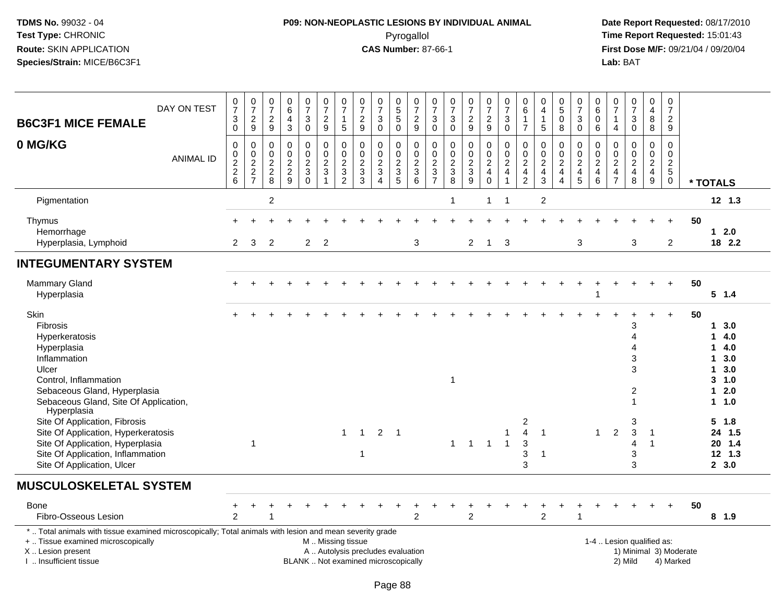# **P09: NON-NEOPLASTIC LESIONS BY INDIVIDUAL ANIMAL**Pyrogallol **Time Report Requested:** 15:01:43

| <b>B6C3F1 MICE FEMALE</b>                                                                                                                                                                     | DAY ON TEST      | $\frac{0}{7}$<br>$\ensuremath{\mathsf{3}}$<br>$\mathsf{O}\xspace$ | $\frac{0}{7}$<br>$\frac{2}{9}$         | $\frac{0}{7}$<br>$\frac{2}{9}$                                         | $\begin{array}{c} 0 \\ 6 \end{array}$<br>$\overline{4}$<br>$\mathbf{3}$ | $\begin{array}{c} 0 \\ 7 \end{array}$<br>3<br>$\pmb{0}$ | $\frac{0}{7}$<br>$\frac{2}{9}$                                                                | $\frac{0}{7}$<br>$\mathbf{1}$<br>5        | $\frac{0}{7}$<br>$\frac{2}{9}$    | $\begin{array}{c} 0 \\ 7 \end{array}$<br>$\ensuremath{\mathsf{3}}$<br>$\mathbf 0$ | $\begin{array}{c} 0 \\ 5 \\ 5 \end{array}$<br>$\mathbf 0$ | $\frac{0}{7}$<br>$\frac{2}{9}$         | $\frac{0}{7}$<br>$\mathbf{3}$<br>$\boldsymbol{0}$                                           | $\begin{array}{c} 0 \\ 7 \end{array}$<br>$\sqrt{3}$<br>$\mathbf 0$                   | $\frac{0}{7}$<br>$\frac{2}{9}$         | $\frac{0}{7}$<br>$\frac{2}{9}$                                                         | $\frac{0}{7}$<br>$\ensuremath{\mathsf{3}}$<br>$\pmb{0}$                       | 0<br>6<br>$\mathbf{1}$<br>$\overline{7}$            | $\begin{smallmatrix}0\\4\end{smallmatrix}$<br>$\mathbf{1}$<br>5 | $^{\rm 0}_{\rm 5}$<br>0<br>8                              | $\frac{0}{7}$<br>$\mathbf{3}$<br>$\mathbf 0$ | 0<br>$\,6$<br>$\mathbf 0$<br>6               | $\frac{0}{7}$<br>$\mathbf{1}$<br>$\overline{4}$                          | $\frac{0}{7}$<br>$\mathbf{3}$<br>$\mathsf{O}$       | $_4^{\rm 0}$<br>8<br>8                              | $\pmb{0}$<br>$\overline{7}$<br>$\boldsymbol{2}$<br>$9\,$ |                                     |                                                                                    |
|-----------------------------------------------------------------------------------------------------------------------------------------------------------------------------------------------|------------------|-------------------------------------------------------------------|----------------------------------------|------------------------------------------------------------------------|-------------------------------------------------------------------------|---------------------------------------------------------|-----------------------------------------------------------------------------------------------|-------------------------------------------|-----------------------------------|-----------------------------------------------------------------------------------|-----------------------------------------------------------|----------------------------------------|---------------------------------------------------------------------------------------------|--------------------------------------------------------------------------------------|----------------------------------------|----------------------------------------------------------------------------------------|-------------------------------------------------------------------------------|-----------------------------------------------------|-----------------------------------------------------------------|-----------------------------------------------------------|----------------------------------------------|----------------------------------------------|--------------------------------------------------------------------------|-----------------------------------------------------|-----------------------------------------------------|----------------------------------------------------------|-------------------------------------|------------------------------------------------------------------------------------|
| 0 MG/KG                                                                                                                                                                                       | <b>ANIMAL ID</b> | 0<br>$\pmb{0}$<br>$\frac{2}{6}$                                   | 0<br>$\mathbf 0$<br>$\frac{2}{2}$<br>7 | 0<br>$\mathsf{O}\xspace$<br>$\begin{array}{c} 2 \\ 2 \\ 8 \end{array}$ | $\mathbf 0$<br>$\mathbf 0$<br>$\frac{2}{9}$                             | 0<br>$\pmb{0}$<br>$\overline{c}$<br>3<br>$\mathbf 0$    | 0<br>$\pmb{0}$<br>$\frac{2}{3}$<br>$\mathbf{1}$                                               | 0<br>0<br>$\frac{2}{3}$<br>$\overline{2}$ | 0<br>$\mathbf 0$<br>$\frac{2}{3}$ | $\mathbf 0$<br>$\mathsf{O}\xspace$<br>$\frac{2}{3}$<br>$\overline{4}$             | 0<br>$\mathbf 0$<br>$\frac{2}{3}$<br>$\sqrt{5}$           | 0<br>$\mathbf 0$<br>$\frac{2}{3}$<br>6 | $\mathbf 0$<br>$\mathbf 0$<br>$\overline{c}$<br>$\ensuremath{\mathsf{3}}$<br>$\overline{7}$ | $\Omega$<br>$\mathbf 0$<br>$\overline{\mathbf{c}}$<br>$\ensuremath{\mathsf{3}}$<br>8 | 0<br>$\mathsf 0$<br>$\frac{2}{3}$<br>9 | $\mathbf 0$<br>$\mathbf 0$<br>$\overline{\mathbf{c}}$<br>$\overline{4}$<br>$\mathbf 0$ | 0<br>$\pmb{0}$<br>$\boldsymbol{2}$<br>$\overline{\mathbf{4}}$<br>$\mathbf{1}$ | 0<br>$\mathbf 0$<br>$\frac{2}{4}$<br>$\overline{c}$ | 0<br>$\pmb{0}$<br>$\frac{2}{4}$<br>$\mathbf{3}$                 | 0<br>$\pmb{0}$<br>$\boldsymbol{2}$<br>$\overline{4}$<br>4 | 0<br>$\mathbf 0$<br>$\frac{2}{4}$            | 0<br>$\mathbf 0$<br>$\overline{c}$<br>4<br>6 | $\mathbf 0$<br>$\mathbf 0$<br>$\begin{array}{c} 2 \\ 4 \\ 7 \end{array}$ | $\mathbf 0$<br>$\overline{0}$<br>$\frac{2}{4}$<br>8 | 0<br>$\pmb{0}$<br>$\frac{2}{4}$<br>$\boldsymbol{9}$ | $\mathbf 0$<br>$\pmb{0}$<br>$\frac{2}{5}$<br>$\pmb{0}$   |                                     | * TOTALS                                                                           |
| Pigmentation                                                                                                                                                                                  |                  |                                                                   |                                        | $\overline{\mathbf{c}}$                                                |                                                                         |                                                         |                                                                                               |                                           |                                   |                                                                                   |                                                           |                                        |                                                                                             | 1                                                                                    |                                        | 1                                                                                      | $\overline{1}$                                                                |                                                     | $\sqrt{2}$                                                      |                                                           |                                              |                                              |                                                                          |                                                     |                                                     |                                                          |                                     | $12$ 1.3                                                                           |
| Thymus<br>Hemorrhage                                                                                                                                                                          |                  |                                                                   |                                        |                                                                        |                                                                         |                                                         |                                                                                               |                                           |                                   |                                                                                   |                                                           |                                        |                                                                                             |                                                                                      |                                        |                                                                                        |                                                                               |                                                     |                                                                 |                                                           |                                              |                                              |                                                                          |                                                     |                                                     |                                                          | 50                                  | $1 \quad 2.0$                                                                      |
| Hyperplasia, Lymphoid                                                                                                                                                                         |                  | $\overline{2}$                                                    | 3                                      | $\overline{2}$                                                         |                                                                         | $\overline{2}$                                          | $\overline{2}$                                                                                |                                           |                                   |                                                                                   |                                                           | 3                                      |                                                                                             |                                                                                      | $\overline{2}$                         | $\mathbf{1}$                                                                           | 3                                                                             |                                                     |                                                                 |                                                           | 3                                            |                                              |                                                                          | 3                                                   |                                                     | $\overline{2}$                                           |                                     | 18 2.2                                                                             |
| <b>INTEGUMENTARY SYSTEM</b>                                                                                                                                                                   |                  |                                                                   |                                        |                                                                        |                                                                         |                                                         |                                                                                               |                                           |                                   |                                                                                   |                                                           |                                        |                                                                                             |                                                                                      |                                        |                                                                                        |                                                                               |                                                     |                                                                 |                                                           |                                              |                                              |                                                                          |                                                     |                                                     |                                                          |                                     |                                                                                    |
| <b>Mammary Gland</b><br>Hyperplasia                                                                                                                                                           |                  |                                                                   |                                        |                                                                        |                                                                         |                                                         |                                                                                               |                                           |                                   |                                                                                   |                                                           |                                        |                                                                                             |                                                                                      |                                        |                                                                                        |                                                                               |                                                     |                                                                 |                                                           |                                              |                                              |                                                                          |                                                     |                                                     | $\overline{+}$                                           | 50                                  | $5 \t1.4$                                                                          |
| Skin<br>Fibrosis<br>Hyperkeratosis<br>Hyperplasia<br>Inflammation<br>Ulcer<br>Control, Inflammation<br>Sebaceous Gland, Hyperplasia<br>Sebaceous Gland, Site Of Application,<br>Hyperplasia   |                  |                                                                   |                                        |                                                                        |                                                                         |                                                         |                                                                                               |                                           |                                   |                                                                                   |                                                           |                                        |                                                                                             | 1                                                                                    |                                        |                                                                                        |                                                                               |                                                     |                                                                 |                                                           |                                              |                                              |                                                                          | 3<br>$\overline{A}$<br>$\Delta$<br>3<br>3<br>2<br>1 |                                                     |                                                          | 50                                  | 1, 3.0<br>14.0<br>14.0<br>3.0<br>1.<br>3.0<br>1.<br>$3 - 1.0$<br>$12.0$<br>$1 1.0$ |
| Site Of Application, Fibrosis<br>Site Of Application, Hyperkeratosis<br>Site Of Application, Hyperplasia<br>Site Of Application, Inflammation<br>Site Of Application, Ulcer                   |                  |                                                                   | $\overline{1}$                         |                                                                        |                                                                         |                                                         |                                                                                               | $\mathbf{1}$                              | $\mathbf{1}$<br>$\mathbf{1}$      | $2 \quad 1$                                                                       |                                                           |                                        |                                                                                             | $\mathbf{1}$                                                                         | $\overline{1}$                         | $\overline{1}$                                                                         | $\overline{1}$<br>$\overline{1}$                                              | 2<br>$\overline{4}$<br>$\mathbf{3}$<br>3<br>3       | $\overline{1}$<br>-1                                            |                                                           |                                              | $\mathbf{1}$                                 | 2                                                                        | 3<br>$\mathbf{3}$<br>$\overline{4}$<br>3<br>3       | $\mathbf{1}$<br>$\mathbf{1}$                        |                                                          |                                     | 5 1.8<br>24 1.5<br>20 1.4<br>12 1.3<br>2, 3.0                                      |
| <b>MUSCULOSKELETAL SYSTEM</b>                                                                                                                                                                 |                  |                                                                   |                                        |                                                                        |                                                                         |                                                         |                                                                                               |                                           |                                   |                                                                                   |                                                           |                                        |                                                                                             |                                                                                      |                                        |                                                                                        |                                                                               |                                                     |                                                                 |                                                           |                                              |                                              |                                                                          |                                                     |                                                     |                                                          |                                     |                                                                                    |
| <b>Bone</b><br>Fibro-Osseous Lesion                                                                                                                                                           |                  | +<br>2                                                            |                                        |                                                                        |                                                                         |                                                         |                                                                                               |                                           |                                   |                                                                                   |                                                           | $\overline{c}$                         |                                                                                             |                                                                                      | $\overline{c}$                         |                                                                                        |                                                                               |                                                     | $\overline{c}$                                                  |                                                           |                                              |                                              |                                                                          |                                                     |                                                     |                                                          | 50                                  | 8 1.9                                                                              |
| *  Total animals with tissue examined microscopically; Total animals with lesion and mean severity grade<br>+  Tissue examined microscopically<br>X  Lesion present<br>I. Insufficient tissue |                  |                                                                   |                                        |                                                                        |                                                                         |                                                         | M  Missing tissue<br>A  Autolysis precludes evaluation<br>BLANK  Not examined microscopically |                                           |                                   |                                                                                   |                                                           |                                        |                                                                                             |                                                                                      |                                        |                                                                                        |                                                                               |                                                     |                                                                 |                                                           |                                              |                                              |                                                                          | 1-4  Lesion qualified as:<br>2) Mild                |                                                     |                                                          | 1) Minimal 3) Moderate<br>4) Marked |                                                                                    |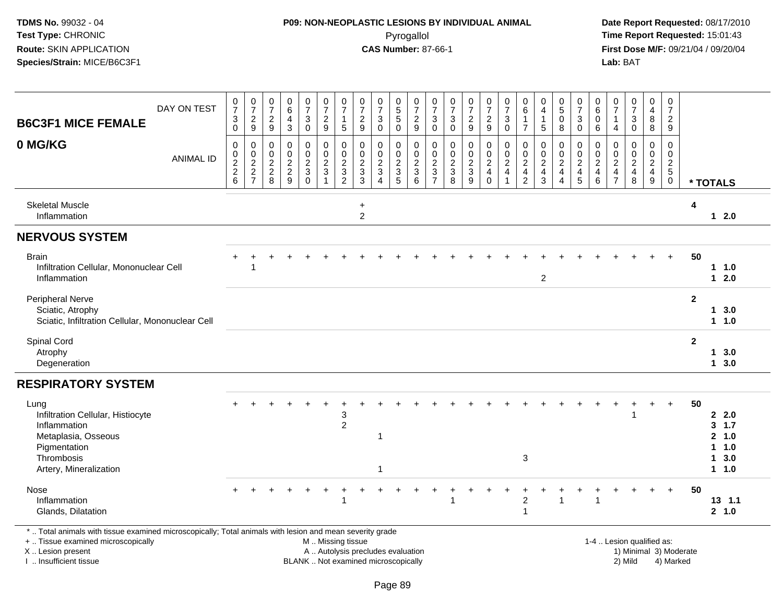#### **P09: NON-NEOPLASTIC LESIONS BY INDIVIDUAL ANIMAL**Pyrogallol **Time Report Requested:** 15:01:43

 **Date Report Requested:** 08/17/2010 **First Dose M/F:** 09/21/04 / 09/20/04<br>Lab: BAT **Lab:** BAT

| DAY ON TEST<br><b>B6C3F1 MICE FEMALE</b>                                                                       | $\frac{0}{7}$<br>$\ensuremath{\mathsf{3}}$<br>$\pmb{0}$ | $\begin{array}{c} 0 \\ 7 \end{array}$<br>$\frac{2}{9}$ | $\frac{0}{7}$<br>$\frac{2}{9}$                              | $\begin{array}{c} 0 \\ 6 \end{array}$<br>$\overline{\mathbf{4}}$<br>$\mathbf{3}$ | $\frac{0}{7}$<br>3<br>$\pmb{0}$                                 | $\frac{0}{7}$<br>$\frac{2}{9}$     | $\frac{0}{7}$<br>$\mathbf{1}$<br>5                                | $\frac{0}{7}$<br>$\frac{2}{9}$                      | $\frac{0}{7}$<br>$\ensuremath{\mathsf{3}}$<br>$\mathsf{O}\xspace$           | $\begin{array}{c} 0 \\ 5 \\ 5 \end{array}$<br>$\mathsf{O}\xspace$   | $\frac{0}{7}$<br>$\frac{2}{9}$                                           | 0<br>$\overline{7}$<br>$\mathbf{3}$<br>$\boldsymbol{0}$                                     | $\frac{0}{7}$<br>$\sqrt{3}$<br>$\mathbf 0$                        | $\frac{0}{7}$<br>$\overline{c}$<br>$\boldsymbol{9}$ | $\frac{0}{7}$<br>$\overline{a}$<br>$9\,$                                          | $\frac{0}{7}$<br>$\ensuremath{\mathsf{3}}$<br>$\mathsf 0$           | 0<br>$\,6\,$<br>$\mathbf{1}$<br>$\overline{7}$                                          | $\begin{smallmatrix}0\0\4\end{smallmatrix}$<br>$\mathbf 1$<br>$\sqrt{5}$                      | 0<br>$\overline{5}$<br>$\pmb{0}$<br>$\bf 8$                                      | $\frac{0}{7}$<br>$\sqrt{3}$<br>$\mathbf 0$                                                      | 0<br>6<br>$\mathbf 0$<br>$\,6$     | $\frac{0}{7}$<br>$\mathbf{1}$<br>$\overline{4}$   | $\frac{0}{7}$<br>3<br>$\mathsf{O}$                                  | $_4^{\rm 0}$<br>$\bf 8$<br>8                                                 | $\mathbf 0$<br>$\overline{7}$<br>$\overline{a}$<br>$9\,$      |              |                                         |
|----------------------------------------------------------------------------------------------------------------|---------------------------------------------------------|--------------------------------------------------------|-------------------------------------------------------------|----------------------------------------------------------------------------------|-----------------------------------------------------------------|------------------------------------|-------------------------------------------------------------------|-----------------------------------------------------|-----------------------------------------------------------------------------|---------------------------------------------------------------------|--------------------------------------------------------------------------|---------------------------------------------------------------------------------------------|-------------------------------------------------------------------|-----------------------------------------------------|-----------------------------------------------------------------------------------|---------------------------------------------------------------------|-----------------------------------------------------------------------------------------|-----------------------------------------------------------------------------------------------|----------------------------------------------------------------------------------|-------------------------------------------------------------------------------------------------|------------------------------------|---------------------------------------------------|---------------------------------------------------------------------|------------------------------------------------------------------------------|---------------------------------------------------------------|--------------|-----------------------------------------|
| 0 MG/KG<br><b>ANIMAL ID</b>                                                                                    | 0<br>$\begin{array}{c} 0 \\ 2 \\ 2 \end{array}$<br>6    | 0<br>$\frac{0}{2}$<br>$\overline{7}$                   | 0<br>$\mathbf 0$<br>$\overline{2}$<br>$\sqrt{2}$<br>$\,8\,$ | $\mathbf 0$<br>$\mathbf 0$<br>$\frac{2}{2}$<br>9                                 | 0<br>$\mathbf 0$<br>$\overline{2}$<br>$\sqrt{3}$<br>$\mathbf 0$ | 0<br>$\frac{0}{2}$<br>$\mathbf{1}$ | $\mathbf 0$<br>$\pmb{0}$<br>$\overline{2}$<br>3<br>$\overline{2}$ | 0<br>$\mathbf 0$<br>$\overline{2}$<br>$\frac{1}{3}$ | $\mathbf 0$<br>$\pmb{0}$<br>$\overline{2}$<br>$\mathsf 3$<br>$\overline{4}$ | $\mathbf 0$<br>$\mathbf 0$<br>$\overline{2}$<br>$\overline{3}$<br>5 | $\mathbf 0$<br>$\mathsf{O}$<br>$\overline{2}$<br>$\mathbf{3}$<br>$\,6\,$ | $\mathbf 0$<br>$\mathbf 0$<br>$\overline{2}$<br>$\ensuremath{\mathsf{3}}$<br>$\overline{7}$ | $\mathbf 0$<br>$\mathbf 0$<br>$\overline{2}$<br>$\mathbf{3}$<br>8 | $\mathbf 0$<br>$\frac{0}{2}$<br>9                   | 0<br>$\begin{smallmatrix} 0\\2 \end{smallmatrix}$<br>$\overline{\mathbf{4}}$<br>0 | $\mathbf 0$<br>$^{\rm 0}_{\rm 2}$<br>$\overline{4}$<br>$\mathbf{1}$ | $\mathbf 0$<br>$\pmb{0}$<br>$\overline{2}$<br>$\overline{\mathbf{4}}$<br>$\overline{c}$ | $\mathbf 0$<br>$\begin{smallmatrix} 0\\2 \end{smallmatrix}$<br>$\overline{4}$<br>$\mathbf{3}$ | 0<br>$\mathsf{O}$<br>$\overline{2}$<br>$\overline{\mathbf{4}}$<br>$\overline{4}$ | $\mathbf 0$<br>$\begin{smallmatrix} 0\\2 \end{smallmatrix}$<br>$\overline{4}$<br>$\overline{5}$ | 0<br>0<br>$\overline{2}$<br>4<br>6 | 0<br>$\pmb{0}$<br>$\overline{2}$<br>$\frac{4}{7}$ | $\mathbf 0$<br>$\mathbf 0$<br>$\overline{2}$<br>$\overline{4}$<br>8 | $\mathbf 0$<br>$\begin{smallmatrix} 0\\2 \end{smallmatrix}$<br>$\frac{4}{9}$ | $\mathbf 0$<br>0<br>$\overline{2}$<br>$\sqrt{5}$<br>$\pmb{0}$ |              | * TOTALS                                |
| <b>Skeletal Muscle</b><br>Inflammation                                                                         |                                                         |                                                        |                                                             |                                                                                  |                                                                 |                                    |                                                                   | $\ddot{}$<br>$\overline{2}$                         |                                                                             |                                                                     |                                                                          |                                                                                             |                                                                   |                                                     |                                                                                   |                                                                     |                                                                                         |                                                                                               |                                                                                  |                                                                                                 |                                    |                                                   |                                                                     |                                                                              |                                                               | 4            | $12.0$                                  |
| <b>NERVOUS SYSTEM</b>                                                                                          |                                                         |                                                        |                                                             |                                                                                  |                                                                 |                                    |                                                                   |                                                     |                                                                             |                                                                     |                                                                          |                                                                                             |                                                                   |                                                     |                                                                                   |                                                                     |                                                                                         |                                                                                               |                                                                                  |                                                                                                 |                                    |                                                   |                                                                     |                                                                              |                                                               |              |                                         |
| <b>Brain</b><br>Infiltration Cellular, Mononuclear Cell<br>Inflammation                                        | $\pm$                                                   |                                                        |                                                             |                                                                                  |                                                                 |                                    |                                                                   |                                                     |                                                                             |                                                                     |                                                                          |                                                                                             |                                                                   |                                                     |                                                                                   |                                                                     |                                                                                         | 2                                                                                             |                                                                                  |                                                                                                 |                                    |                                                   |                                                                     |                                                                              | $\ddot{}$                                                     | 50           | 1 1.0<br>$12.0$                         |
| <b>Peripheral Nerve</b><br>Sciatic, Atrophy<br>Sciatic, Infiltration Cellular, Mononuclear Cell                |                                                         |                                                        |                                                             |                                                                                  |                                                                 |                                    |                                                                   |                                                     |                                                                             |                                                                     |                                                                          |                                                                                             |                                                                   |                                                     |                                                                                   |                                                                     |                                                                                         |                                                                                               |                                                                                  |                                                                                                 |                                    |                                                   |                                                                     |                                                                              |                                                               | $\mathbf{2}$ | 13.0<br>$1 1.0$                         |
| Spinal Cord<br>Atrophy<br>Degeneration                                                                         |                                                         |                                                        |                                                             |                                                                                  |                                                                 |                                    |                                                                   |                                                     |                                                                             |                                                                     |                                                                          |                                                                                             |                                                                   |                                                     |                                                                                   |                                                                     |                                                                                         |                                                                                               |                                                                                  |                                                                                                 |                                    |                                                   |                                                                     |                                                                              |                                                               | $\mathbf{2}$ | 13.0<br>13.0                            |
| <b>RESPIRATORY SYSTEM</b>                                                                                      |                                                         |                                                        |                                                             |                                                                                  |                                                                 |                                    |                                                                   |                                                     |                                                                             |                                                                     |                                                                          |                                                                                             |                                                                   |                                                     |                                                                                   |                                                                     |                                                                                         |                                                                                               |                                                                                  |                                                                                                 |                                    |                                                   |                                                                     |                                                                              |                                                               |              |                                         |
| Lung<br>Infiltration Cellular, Histiocyte<br>Inflammation<br>Metaplasia, Osseous<br>Pigmentation<br>Thrombosis |                                                         |                                                        |                                                             |                                                                                  |                                                                 |                                    | 3<br>$\overline{2}$                                               |                                                     |                                                                             |                                                                     |                                                                          |                                                                                             |                                                                   |                                                     |                                                                                   |                                                                     | $\mathbf{3}$                                                                            |                                                                                               |                                                                                  |                                                                                                 |                                    |                                                   |                                                                     | $+$                                                                          | $\ddot{}$                                                     | 50           | 2.0<br>3, 1.7<br>2, 1.0<br>11.0<br>13.0 |
| Artery, Mineralization<br>Nose<br>Inflammation<br>Glands, Dilatation                                           |                                                         |                                                        |                                                             |                                                                                  |                                                                 | $\pm$                              | $\ddot{}$<br>$\overline{1}$                                       |                                                     | -1                                                                          |                                                                     |                                                                          |                                                                                             | 1                                                                 |                                                     |                                                                                   |                                                                     | ÷<br>$\overline{c}$                                                                     |                                                                                               | $\overline{1}$                                                                   |                                                                                                 | $\mathbf{1}$                       |                                                   |                                                                     | $\ddot{}$                                                                    | $+$                                                           | 50           | 11.0<br>13, 1.1<br>2 1.0                |

X .. Lesion present

I .. Insufficient tissue

BLANK .. Not examined microscopically and the state of the 2) Mild

A .. Autolysis precludes evaluation and the service of the service of the service of the service of the service of the service of the service of the service of the service of the service of the service of the service of th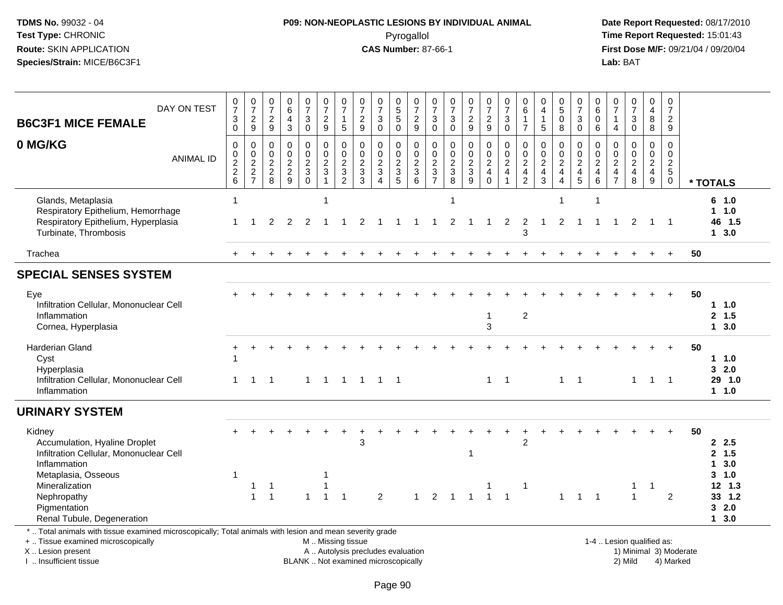#### **P09: NON-NEOPLASTIC LESIONS BY INDIVIDUAL ANIMAL**Pyrogallol **Time Report Requested:** 15:01:43

 **Date Report Requested:** 08/17/2010 **First Dose M/F:** 09/21/04 / 09/20/04<br>Lab: BAT **Lab:** BAT

| DAY ON TEST<br><b>B6C3F1 MICE FEMALE</b>                                                                                                                            | $\frac{0}{7}$<br>3<br>$\mathbf 0$      | $\frac{0}{7}$<br>$\frac{2}{9}$  | $\begin{smallmatrix}0\\7\end{smallmatrix}$<br>$\frac{2}{9}$ | $\begin{array}{c} 0 \\ 6 \end{array}$<br>$\overline{4}$<br>$\overline{3}$ | $\begin{array}{c} 0 \\ 7 \end{array}$<br>$\mathbf{3}$<br>$\overline{0}$ | $\frac{0}{7}$<br>$\frac{2}{9}$                         | $\frac{0}{7}$<br>$\mathbf{1}$<br>5                            | $\frac{0}{7}$<br>$\frac{2}{9}$                        | $\frac{0}{7}$<br>3<br>$\Omega$                    | $\begin{array}{c} 0 \\ 5 \\ 5 \end{array}$<br>$\overline{0}$     | $\frac{0}{7}$<br>$\overline{2}$<br>$\overline{9}$ | $\frac{0}{7}$<br>$\sqrt{3}$<br>$\Omega$ | $\frac{0}{7}$<br>$_{0}^{3}$                                  | $\frac{0}{7}$<br>$\frac{2}{9}$       | $\frac{0}{7}$<br>9                        | 0<br>$\overline{7}$<br>$\mathbf{3}$<br>$\Omega$ | $\begin{array}{c} 0 \\ 6 \end{array}$<br>$\mathbf{1}$<br>$\overline{7}$ | 0<br>$\overline{4}$<br>$\mathbf{1}$<br>5                   | $\begin{array}{c} 0 \\ 5 \\ 0 \\ 8 \end{array}$ | $\begin{array}{c} 0 \\ 7 \end{array}$<br>$_{0}^{3}$       | $\begin{matrix} 0 \\ 6 \end{matrix}$<br>$\mathbf 0$<br>$6^{\circ}$ | $\frac{0}{7}$<br>$\mathbf{1}$<br>$\overline{4}$     | $\frac{0}{7}$<br>3<br>$\overline{0}$ | 0<br>$\overline{4}$<br>8<br>$\overline{8}$       | 0<br>$\overline{7}$<br>$\boldsymbol{2}$<br>9   |    |                                                          |
|---------------------------------------------------------------------------------------------------------------------------------------------------------------------|----------------------------------------|---------------------------------|-------------------------------------------------------------|---------------------------------------------------------------------------|-------------------------------------------------------------------------|--------------------------------------------------------|---------------------------------------------------------------|-------------------------------------------------------|---------------------------------------------------|------------------------------------------------------------------|---------------------------------------------------|-----------------------------------------|--------------------------------------------------------------|--------------------------------------|-------------------------------------------|-------------------------------------------------|-------------------------------------------------------------------------|------------------------------------------------------------|-------------------------------------------------|-----------------------------------------------------------|--------------------------------------------------------------------|-----------------------------------------------------|--------------------------------------|--------------------------------------------------|------------------------------------------------|----|----------------------------------------------------------|
| 0 MG/KG<br><b>ANIMAL ID</b>                                                                                                                                         | $\mathbf 0$<br>0<br>$\frac{2}{2}$<br>6 | $\pmb{0}$<br>$\frac{0}{2}$<br>7 | $\mathbf 0$<br>$\mathbf 0$<br>$\frac{2}{8}$                 | $\mathbf 0$<br>$0$<br>$2$<br>$9$                                          | $\mathbf 0$<br>$\frac{0}{2}$<br>$\mathbf 0$                             | $\pmb{0}$<br>$\frac{0}{2}$<br>$\mathbf{1}$             | $\mathbf 0$<br>$\mathbf 0$<br>$\frac{2}{3}$<br>$\overline{2}$ | $\mathbf 0$<br>$\boldsymbol{0}$<br>$\frac{2}{3}$<br>3 | 0<br>$\pmb{0}$<br>$\frac{2}{3}$<br>$\overline{4}$ | $\mathbf 0$<br>$\begin{array}{c}\n0 \\ 2 \\ 3 \\ 5\n\end{array}$ | $\pmb{0}$<br>$\frac{0}{2}$<br>$6\overline{6}$     | $\mathbf 0$<br>0<br>$\frac{2}{3}$       | $\pmb{0}$<br>$\begin{array}{c} 0 \\ 2 \\ 3 \\ 8 \end{array}$ | 0<br>$\frac{0}{2}$<br>$\overline{9}$ | $\pmb{0}$<br>$\frac{0}{2}$<br>$\mathbf 0$ | $\mathbf 0$<br>$\pmb{0}$<br>$\frac{2}{4}$       | $\mathbf 0$<br>$\frac{0}{2}$<br>42                                      | $\Omega$<br>$\mathbf 0$<br>$\frac{2}{4}$<br>$\overline{3}$ | 0<br>$\frac{0}{2}$<br>$\overline{\mathbf{4}}$   | $\mathbf 0$<br>$\mathsf 0$<br>$\frac{2}{4}$<br>$\sqrt{5}$ | $\mathbf 0$<br>$\mathbf 0$<br>$\frac{2}{4}$ 6                      | $\mathbf 0$<br>0<br>$\frac{2}{4}$<br>$\overline{7}$ | 0<br>$\mathbf 0$<br>$\frac{2}{4}$    | $\mathbf 0$<br>$\mathbf 0$<br>$\frac{2}{4}$<br>9 | $\mathbf 0$<br>0<br>$rac{2}{5}$<br>$\mathbf 0$ |    | * TOTALS                                                 |
| Glands, Metaplasia<br>Respiratory Epithelium, Hemorrhage<br>Respiratory Epithelium, Hyperplasia<br>Turbinate, Thrombosis                                            | 1                                      |                                 | $\overline{2}$                                              | 2                                                                         | 2                                                                       | $\overline{\mathbf{1}}$                                |                                                               | 2                                                     |                                                   |                                                                  |                                                   |                                         | 1<br>2                                                       | $\overline{1}$                       | 1                                         | 2                                               | 2<br>3                                                                  | $\mathbf{1}$                                               | 2                                               | $\overline{1}$                                            | $\overline{1}$<br>-1                                               | $\overline{1}$                                      | 2                                    |                                                  | $\overline{\phantom{0}}$                       |    | 6 1.0<br>1 1.0<br>46 1.5<br>$1 \quad 3.0$                |
| Trachea                                                                                                                                                             |                                        |                                 |                                                             |                                                                           |                                                                         |                                                        |                                                               |                                                       |                                                   |                                                                  |                                                   |                                         |                                                              |                                      |                                           |                                                 |                                                                         |                                                            |                                                 |                                                           |                                                                    |                                                     |                                      |                                                  |                                                | 50 |                                                          |
| <b>SPECIAL SENSES SYSTEM</b>                                                                                                                                        |                                        |                                 |                                                             |                                                                           |                                                                         |                                                        |                                                               |                                                       |                                                   |                                                                  |                                                   |                                         |                                                              |                                      |                                           |                                                 |                                                                         |                                                            |                                                 |                                                           |                                                                    |                                                     |                                      |                                                  |                                                |    |                                                          |
| Eye<br>Infiltration Cellular, Mononuclear Cell<br>Inflammation<br>Cornea, Hyperplasia                                                                               |                                        |                                 |                                                             |                                                                           |                                                                         |                                                        |                                                               |                                                       |                                                   |                                                                  |                                                   |                                         |                                                              |                                      | -1<br>3                                   |                                                 | $\overline{2}$                                                          |                                                            |                                                 |                                                           |                                                                    |                                                     |                                      |                                                  |                                                | 50 | 11.0<br>2, 1.5<br>13.0                                   |
| Harderian Gland<br>Cyst<br>Hyperplasia<br>Infiltration Cellular, Mononuclear Cell<br>Inflammation                                                                   |                                        | $\mathbf 1$                     | -1                                                          |                                                                           | $\mathbf{1}$                                                            | $\overline{1}$                                         |                                                               | 1 1 1 1                                               |                                                   |                                                                  |                                                   |                                         |                                                              |                                      | $\mathbf{1}$                              | $\overline{1}$                                  |                                                                         |                                                            |                                                 | $1 \quad 1$                                               |                                                                    |                                                     | 1                                    | $\overline{1}$                                   | $\overline{1}$                                 | 50 | 1 1.0<br>32.0<br>29 1.0<br>1 1.0                         |
| <b>URINARY SYSTEM</b>                                                                                                                                               |                                        |                                 |                                                             |                                                                           |                                                                         |                                                        |                                                               |                                                       |                                                   |                                                                  |                                                   |                                         |                                                              |                                      |                                           |                                                 |                                                                         |                                                            |                                                 |                                                           |                                                                    |                                                     |                                      |                                                  |                                                |    |                                                          |
| Kidney<br>Accumulation, Hyaline Droplet<br>Infiltration Cellular, Mononuclear Cell<br>Inflammation<br>Metaplasia, Osseous<br>Mineralization<br>Nephropathy          | 1                                      | $\mathbf{1}$<br>$\mathbf{1}$    | $\mathbf{1}$<br>$\overline{1}$                              |                                                                           |                                                                         | -1<br>$\overline{\mathbf{1}}$<br>$\overline{1}$        | $\mathbf{1}$                                                  | 3                                                     | 2                                                 |                                                                  | $\mathbf{1}$                                      |                                         | $2 \quad 1$                                                  | 1<br>$\overline{1}$                  | $\mathbf{1}$                              | $\overline{1}$                                  | 2<br>-1                                                                 |                                                            | $\mathbf{1}$                                    | 1                                                         | $\overline{1}$                                                     |                                                     | 1<br>$\mathbf{1}$                    | -1                                               | 2                                              | 50 | 2.5<br>2, 1.5<br>13.0<br>$3 - 1.0$<br>$12$ 1.3<br>33 1.2 |
| Pigmentation<br>Renal Tubule, Degeneration                                                                                                                          |                                        |                                 |                                                             |                                                                           |                                                                         |                                                        |                                                               |                                                       |                                                   |                                                                  |                                                   |                                         |                                                              |                                      |                                           |                                                 |                                                                         |                                                            |                                                 |                                                           |                                                                    |                                                     |                                      |                                                  |                                                |    | 32.0<br>13.0                                             |
| *  Total animals with tissue examined microscopically; Total animals with lesion and mean severity grade<br>+  Tissue examined microscopically<br>X  Lesion present |                                        |                                 |                                                             |                                                                           |                                                                         | M  Missing tissue<br>A  Autolysis precludes evaluation |                                                               |                                                       |                                                   |                                                                  |                                                   |                                         |                                                              |                                      |                                           |                                                 |                                                                         |                                                            |                                                 |                                                           |                                                                    | 1-4  Lesion qualified as:                           |                                      |                                                  | 1) Minimal 3) Moderate                         |    |                                                          |

I .. Insufficient tissue

BLANK .. Not examined microscopically 2) Mild 4) Marked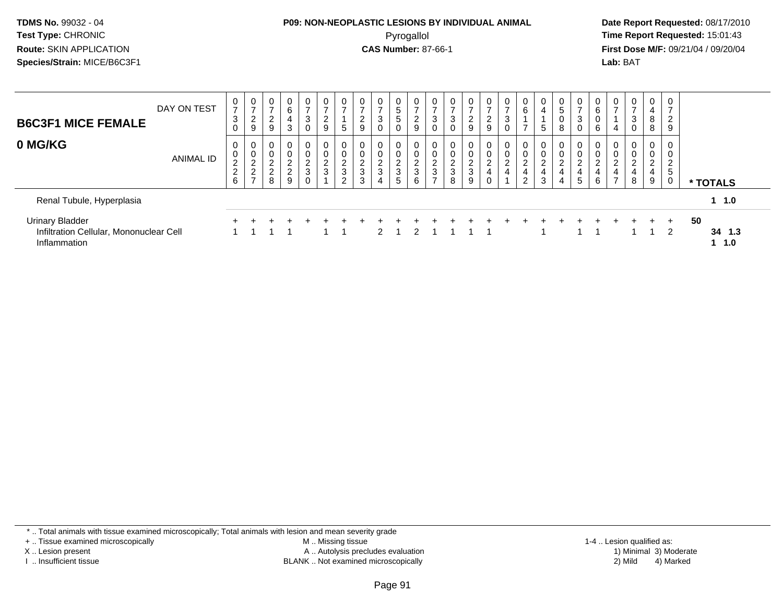#### **P09: NON-NEOPLASTIC LESIONS BY INDIVIDUAL ANIMAL**Pyrogallol **Time Report Requested:** 15:01:43

 **Date Report Requested:** 08/17/2010 **First Dose M/F:** 09/21/04 / 09/20/04<br>**Lab:** BAT **Lab:** BAT

| <b>B6C3F1 MICE FEMALE</b>                                                         | DAY ON TEST      | 0<br>$\rightarrow$<br>3<br>$\mathbf 0$       | 0<br>◠<br>$\epsilon$<br>9                                  | 0<br>2<br>$\boldsymbol{9}$                 | $\mathbf 0$<br>6<br>$\overline{4}$<br>$\mathbf{3}$ | 0<br>$\overline{ }$<br>3<br>$\pmb{0}$ | $\overline{0}$<br>$\overline{ }$<br>$\overline{a}$<br>9 | $\rightarrow$<br>5                                  | 0<br>2<br>9           | 0<br>3<br>$\mathbf 0$                               | $\overline{0}$<br>$5\overline{)}$<br>$\sqrt{5}$<br>$\mathbf 0$ | 0<br>$\overline{ }$<br>$\overline{2}$<br>9    | 0<br>3<br>0                     | $\overline{0}$<br>3<br>$\mathbf 0$           | $\mathbf 0$<br>$\rightarrow$<br>$\overline{2}$<br>9 | 0<br>2<br>9      | 0<br>3<br>$\mathbf 0$                      | 0<br>6                                           | 0<br>$\overline{4}$<br>5           | 0<br>5<br>0<br>8                              | $\rightarrow$<br>3            | 0<br>6<br>0<br>6                                | $\mathbf 0$<br>4          | 0<br>$\rightarrow$<br>3<br>0                  | $\mathbf{0}$<br>4<br>8<br>8        | $\mathbf 0$<br>$\overline{ }$<br>$\overline{2}$<br>9 |                           |  |
|-----------------------------------------------------------------------------------|------------------|----------------------------------------------|------------------------------------------------------------|--------------------------------------------|----------------------------------------------------|---------------------------------------|---------------------------------------------------------|-----------------------------------------------------|-----------------------|-----------------------------------------------------|----------------------------------------------------------------|-----------------------------------------------|---------------------------------|----------------------------------------------|-----------------------------------------------------|------------------|--------------------------------------------|--------------------------------------------------|------------------------------------|-----------------------------------------------|-------------------------------|-------------------------------------------------|---------------------------|-----------------------------------------------|------------------------------------|------------------------------------------------------|---------------------------|--|
| 0 MG/KG                                                                           | <b>ANIMAL ID</b> | 0<br>0<br>$\sim$<br>∠<br>$\overline{c}$<br>6 | $\overline{0}$<br>0<br>റ<br>$\epsilon$<br>$\sim$<br>∠<br>- | 0<br>0<br>2<br>$\Omega$<br>$\epsilon$<br>8 | $\mathbf 0$<br>0<br>$\frac{2}{2}$<br>9             | 0<br>0<br>$\frac{2}{3}$<br>0          | 0<br>0<br>$\frac{2}{3}$                                 | 0<br>0<br>$\sim$<br>$rac{6}{3}$<br>C.<br>$\epsilon$ | 0<br>C<br>∠<br>3<br>3 | 0<br>0<br>$\Omega$<br>$rac{2}{3}$<br>$\overline{4}$ | 0<br>0<br>$\frac{2}{3}$<br>$5\overline{)}$                     | 0<br>0<br>$\overline{c}$<br>$\mathbf{3}$<br>6 | 0<br>0<br>$\sim$<br>L<br>3<br>⇁ | 0<br>$\mathbf 0$<br>$\overline{2}$<br>3<br>8 | $\mathbf 0$<br>0<br>$\frac{2}{3}$<br>9              | 0<br>0<br>2<br>4 | 0<br>0<br>$\overline{c}$<br>$\overline{4}$ | 0<br>0<br>ົ<br>$\epsilon$<br>4<br>$\overline{2}$ | 0<br>0<br>$\overline{c}$<br>4<br>3 | $\mathbf 0$<br>$\sim$<br>$\epsilon$<br>4<br>4 | 0<br>$\overline{c}$<br>4<br>5 | $\overline{0}$<br>0<br>$\overline{c}$<br>4<br>6 | 0<br>0<br>$\epsilon$<br>4 | $\mathbf{0}$<br>0<br>$\overline{2}$<br>4<br>8 | 0<br>0<br>$\overline{2}$<br>4<br>9 | 0<br>0<br>$\overline{2}$<br>5<br>0                   | * TOTALS                  |  |
| Renal Tubule, Hyperplasia                                                         |                  |                                              |                                                            |                                            |                                                    |                                       |                                                         |                                                     |                       |                                                     |                                                                |                                               |                                 |                                              |                                                     |                  |                                            |                                                  |                                    |                                               |                               |                                                 |                           |                                               |                                    |                                                      | $1 \t1.0$                 |  |
| <b>Urinary Bladder</b><br>Infiltration Cellular, Mononuclear Cell<br>Inflammation |                  |                                              |                                                            |                                            |                                                    |                                       |                                                         |                                                     |                       | $\mathcal{P}$                                       |                                                                | $\mathcal{P}$                                 |                                 |                                              |                                                     |                  |                                            |                                                  |                                    |                                               |                               |                                                 |                           |                                               | $\div$                             | $+$<br>$\mathcal{P}$                                 | 50<br>34 1.3<br>$1 \t1.0$ |  |

\* .. Total animals with tissue examined microscopically; Total animals with lesion and mean severity grade

+ .. Tissue examined microscopically

X .. Lesion present

I .. Insufficient tissue

 M .. Missing tissueA .. Autolysis precludes evaluation

BLANK .. Not examined microscopically 2) Mild 4) Marked

1-4 .. Lesion qualified as: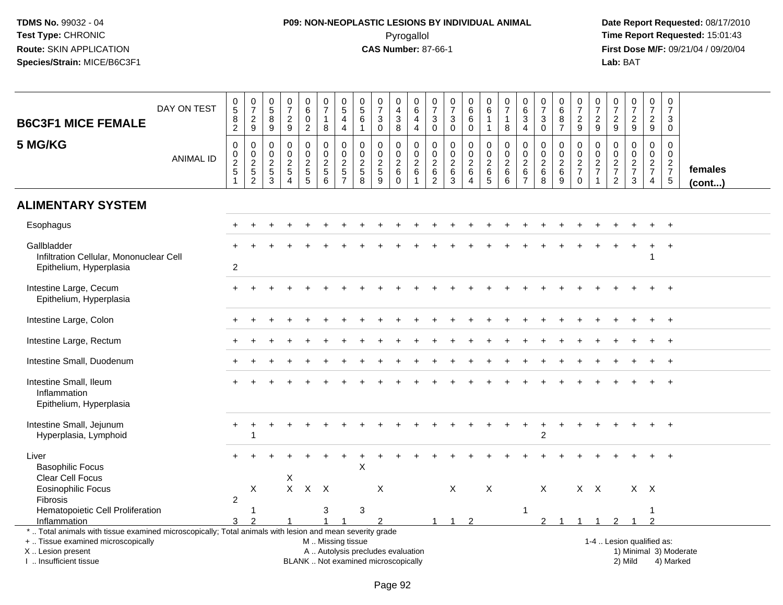# **P09: NON-NEOPLASTIC LESIONS BY INDIVIDUAL ANIMAL**Pyrogallol **Time Report Requested:** 15:01:43

| <b>B6C3F1 MICE FEMALE</b>                                                                                                                                                                     | DAY ON TEST      | $\begin{array}{c} 0 \\ 5 \\ 8 \end{array}$<br>$\overline{2}$ | $\begin{array}{c} 0 \\ 7 \end{array}$<br>$\frac{2}{9}$ | $\begin{array}{c} 0 \\ 5 \\ 8 \end{array}$<br>$\overline{9}$ | $\begin{smallmatrix}0\\7\end{smallmatrix}$<br>$\frac{2}{9}$   | $\begin{array}{c} 0 \\ 6 \end{array}$<br>$\pmb{0}$<br>$\sqrt{2}$ | $\begin{array}{c} 0 \\ 7 \end{array}$<br>$\mathbf{1}$<br>$\bf8$ | 0<br>$\overline{5}$<br>$\overline{\mathbf{4}}$<br>4                           | $\begin{array}{c} 0 \\ 5 \end{array}$<br>$\,6\,$<br>$\mathbf{1}$ | $\frac{0}{7}$<br>3<br>$\mathbf 0$                                        | $_4^{\rm O}$<br>$\mathbf{3}$<br>8                 | $\pmb{0}$<br>6<br>$\overline{a}$<br>$\overline{4}$        | 0<br>$\overline{7}$<br>$\sqrt{3}$<br>$\mathbf 0$            | $\frac{0}{7}$<br>$\sqrt{3}$<br>$\mathbf 0$                          | 0<br>$\overline{6}$<br>$\,6$<br>$\mathbf 0$                   | $_{6}^{\rm 0}$<br>$\overline{1}$<br>$\mathbf{1}$ | $\frac{0}{7}$<br>$\mathbf{1}$<br>8                            | 0<br>$6\phantom{a}$<br>$\mathbf{3}$<br>$\overline{4}$                 | $\begin{array}{c} 0 \\ 7 \end{array}$<br>$\mathbf 3$<br>$\mathbf 0$ | 0<br>$6\phantom{a}$<br>$\bf 8$<br>$\overline{7}$ | $\frac{0}{7}$<br>$\frac{2}{9}$                             | 0<br>$\overline{7}$<br>$\boldsymbol{2}$<br>9 | $\frac{0}{7}$<br>$\frac{2}{9}$                      | $\frac{0}{7}$<br>$\frac{2}{9}$         | $\begin{smallmatrix}0\\7\end{smallmatrix}$<br>$\frac{2}{9}$   | $\mathbf 0$<br>$\overline{7}$<br>$\mathbf{3}$<br>$\mathbf 0$ |                         |
|-----------------------------------------------------------------------------------------------------------------------------------------------------------------------------------------------|------------------|--------------------------------------------------------------|--------------------------------------------------------|--------------------------------------------------------------|---------------------------------------------------------------|------------------------------------------------------------------|-----------------------------------------------------------------|-------------------------------------------------------------------------------|------------------------------------------------------------------|--------------------------------------------------------------------------|---------------------------------------------------|-----------------------------------------------------------|-------------------------------------------------------------|---------------------------------------------------------------------|---------------------------------------------------------------|--------------------------------------------------|---------------------------------------------------------------|-----------------------------------------------------------------------|---------------------------------------------------------------------|--------------------------------------------------|------------------------------------------------------------|----------------------------------------------|-----------------------------------------------------|----------------------------------------|---------------------------------------------------------------|--------------------------------------------------------------|-------------------------|
| 5 MG/KG                                                                                                                                                                                       | <b>ANIMAL ID</b> | $\boldsymbol{0}$<br>025                                      | 0<br>$\mathbf 0$<br>$\frac{2}{5}$<br>$\overline{2}$    | $\mathbf 0$<br>0<br>$\frac{2}{3}$                            | $\mathbf 0$<br>$\mathbf 0$<br>$\frac{2}{5}$<br>$\overline{4}$ | $\mathbf 0$<br>$\mathbf 0$<br>$rac{2}{5}$                        | $\mathbf 0$<br>$\mathbf 0$<br>$\frac{2}{5}$<br>$\overline{6}$   | $\mathbf 0$<br>$\mathbf 0$<br>$\overline{c}$<br>$\,$ 5 $\,$<br>$\overline{7}$ | $\mathbf 0$<br>$\mathbf 0$<br>$\frac{2}{5}$                      | $\mathbf 0$<br>$\mathbf 0$<br>$\frac{2}{5}$<br>9                         | 0<br>$\mathsf{O}$<br>$\frac{2}{6}$<br>$\mathbf 0$ | $\mathbf 0$<br>$\pmb{0}$<br>$\frac{2}{6}$<br>$\mathbf{1}$ | $\mathbf 0$<br>0<br>$\sqrt{2}$<br>$\,6\,$<br>$\overline{c}$ | $\mathbf 0$<br>$\mathbf 0$<br>$\sqrt{2}$<br>$\,6\,$<br>$\mathbf{3}$ | $\mathbf 0$<br>$\mathbf 0$<br>$\frac{2}{6}$<br>$\overline{4}$ | $\mathbf 0$<br>$\mathbf 0$<br>$\frac{2}{6}$      | $\mathbf 0$<br>$\mathsf 0$<br>$\frac{2}{6}$<br>$6\phantom{a}$ | $\mathbf 0$<br>$\mathbf 0$<br>$\sqrt{2}$<br>$\,6\,$<br>$\overline{7}$ | $\mathbf 0$<br>$\mathbf 0$<br>$\frac{2}{6}$<br>8                    | 0<br>$\mathbf 0$<br>$\frac{2}{6}$<br>$9\,$       | $\mathbf 0$<br>$\mathbf 0$<br>$\frac{2}{7}$<br>$\mathbf 0$ | $\mathbf 0$<br>0<br>$\frac{2}{7}$<br>1       | 0<br>$\mathbf 0$<br>$\frac{2}{7}$<br>$\overline{2}$ | $\mathbf 0$<br>0<br>$\frac{2}{7}$<br>3 | $\mathbf 0$<br>$\mathbf 0$<br>$\frac{2}{7}$<br>$\overline{4}$ | $\mathbf 0$<br>0<br>$\frac{2}{7}$<br>$\sqrt{5}$              | females<br>$($ cont $)$ |
| <b>ALIMENTARY SYSTEM</b>                                                                                                                                                                      |                  |                                                              |                                                        |                                                              |                                                               |                                                                  |                                                                 |                                                                               |                                                                  |                                                                          |                                                   |                                                           |                                                             |                                                                     |                                                               |                                                  |                                                               |                                                                       |                                                                     |                                                  |                                                            |                                              |                                                     |                                        |                                                               |                                                              |                         |
| Esophagus                                                                                                                                                                                     |                  |                                                              |                                                        |                                                              |                                                               |                                                                  |                                                                 |                                                                               |                                                                  |                                                                          |                                                   |                                                           |                                                             |                                                                     |                                                               |                                                  |                                                               |                                                                       |                                                                     |                                                  |                                                            |                                              |                                                     |                                        |                                                               |                                                              |                         |
| Gallbladder<br>Infiltration Cellular, Mononuclear Cell<br>Epithelium, Hyperplasia                                                                                                             |                  | $\mathbf{2}$                                                 |                                                        |                                                              |                                                               |                                                                  |                                                                 |                                                                               |                                                                  |                                                                          |                                                   |                                                           |                                                             |                                                                     |                                                               |                                                  |                                                               |                                                                       |                                                                     |                                                  |                                                            |                                              |                                                     |                                        |                                                               | $\overline{+}$                                               |                         |
| Intestine Large, Cecum<br>Epithelium, Hyperplasia                                                                                                                                             |                  |                                                              |                                                        |                                                              |                                                               |                                                                  |                                                                 |                                                                               |                                                                  |                                                                          |                                                   |                                                           |                                                             |                                                                     |                                                               |                                                  |                                                               |                                                                       |                                                                     |                                                  |                                                            |                                              |                                                     |                                        |                                                               |                                                              |                         |
| Intestine Large, Colon                                                                                                                                                                        |                  |                                                              |                                                        |                                                              |                                                               |                                                                  |                                                                 |                                                                               |                                                                  |                                                                          |                                                   |                                                           |                                                             |                                                                     |                                                               |                                                  |                                                               |                                                                       |                                                                     |                                                  |                                                            |                                              |                                                     |                                        |                                                               |                                                              |                         |
| Intestine Large, Rectum                                                                                                                                                                       |                  |                                                              |                                                        |                                                              |                                                               |                                                                  |                                                                 |                                                                               |                                                                  |                                                                          |                                                   |                                                           |                                                             |                                                                     |                                                               |                                                  |                                                               |                                                                       |                                                                     |                                                  |                                                            |                                              |                                                     |                                        |                                                               |                                                              |                         |
| Intestine Small, Duodenum                                                                                                                                                                     |                  |                                                              |                                                        |                                                              |                                                               |                                                                  |                                                                 |                                                                               |                                                                  |                                                                          |                                                   |                                                           |                                                             |                                                                     |                                                               |                                                  |                                                               |                                                                       |                                                                     |                                                  |                                                            |                                              |                                                     |                                        |                                                               |                                                              |                         |
| Intestine Small, Ileum<br>Inflammation<br>Epithelium, Hyperplasia                                                                                                                             |                  |                                                              |                                                        |                                                              |                                                               |                                                                  |                                                                 |                                                                               |                                                                  |                                                                          |                                                   |                                                           |                                                             |                                                                     |                                                               |                                                  |                                                               |                                                                       |                                                                     |                                                  |                                                            |                                              |                                                     |                                        |                                                               |                                                              |                         |
| Intestine Small, Jejunum<br>Hyperplasia, Lymphoid                                                                                                                                             |                  |                                                              | $\overline{1}$                                         |                                                              |                                                               |                                                                  |                                                                 |                                                                               |                                                                  |                                                                          |                                                   |                                                           |                                                             |                                                                     |                                                               |                                                  |                                                               |                                                                       | 2                                                                   |                                                  |                                                            |                                              |                                                     |                                        |                                                               |                                                              |                         |
| Liver<br><b>Basophilic Focus</b><br>Clear Cell Focus                                                                                                                                          |                  |                                                              |                                                        |                                                              | Χ                                                             |                                                                  |                                                                 |                                                                               | X                                                                |                                                                          |                                                   |                                                           |                                                             |                                                                     |                                                               |                                                  |                                                               |                                                                       |                                                                     |                                                  |                                                            |                                              |                                                     |                                        |                                                               |                                                              |                         |
| <b>Eosinophilic Focus</b><br><b>Fibrosis</b>                                                                                                                                                  |                  | $\overline{c}$                                               | X                                                      |                                                              |                                                               | $X$ $X$                                                          | $\mathsf{X}$                                                    |                                                                               |                                                                  | X                                                                        |                                                   |                                                           |                                                             | $\mathsf{X}$                                                        |                                                               | X                                                |                                                               |                                                                       | $\mathsf{X}$                                                        |                                                  |                                                            | $X$ $X$                                      |                                                     | $X$ $X$                                |                                                               |                                                              |                         |
| Hematopoietic Cell Proliferation<br>Inflammation                                                                                                                                              |                  | 3                                                            | -1                                                     |                                                              |                                                               |                                                                  | 3                                                               |                                                                               | $\sqrt{3}$                                                       |                                                                          |                                                   |                                                           | -1                                                          | $\overline{1}$                                                      | $\overline{2}$                                                |                                                  |                                                               | $\mathbf 1$                                                           | $\mathfrak{p}$                                                      |                                                  |                                                            | -1                                           |                                                     |                                        | っ                                                             |                                                              |                         |
| *  Total animals with tissue examined microscopically; Total animals with lesion and mean severity grade<br>+  Tissue examined microscopically<br>X  Lesion present<br>I. Insufficient tissue |                  |                                                              |                                                        |                                                              |                                                               |                                                                  | M  Missing tissue                                               |                                                                               |                                                                  | A  Autolysis precludes evaluation<br>BLANK  Not examined microscopically |                                                   |                                                           |                                                             |                                                                     |                                                               |                                                  |                                                               |                                                                       |                                                                     |                                                  |                                                            |                                              |                                                     | 1-4  Lesion qualified as:<br>2) Mild   |                                                               | 4) Marked                                                    | 1) Minimal 3) Moderate  |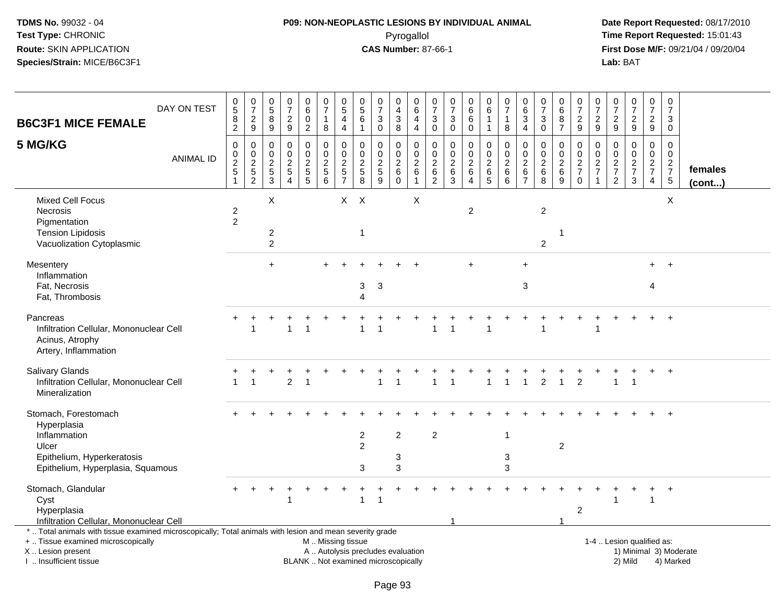# **P09: NON-NEOPLASTIC LESIONS BY INDIVIDUAL ANIMAL**Pyrogallol **Time Report Requested:** 15:01:43

| <b>B6C3F1 MICE FEMALE</b>                                                                                                                                                                     | DAY ON TEST      | $\begin{array}{c} 0 \\ 5 \end{array}$<br>8<br>$\overline{c}$ | $\frac{0}{7}$<br>$\overline{2}$<br>$\boldsymbol{9}$ | $\pmb{0}$<br>$\sqrt{5}$<br>$\,8\,$<br>$\boldsymbol{9}$ | $\begin{array}{c} 0 \\ 7 \end{array}$<br>$\sqrt{2}$<br>9                              | 0<br>$\,6\,$<br>$\mathbf 0$<br>$\overline{c}$       | 0<br>$\overline{7}$<br>1<br>8                                                   | 0<br>5<br>4<br>$\overline{4}$             | $\pmb{0}$<br>$\sqrt{5}$<br>6<br>$\mathbf{1}$                     | $\frac{0}{7}$<br>3<br>$\mathbf 0$                                           | $\pmb{0}$<br>$\overline{4}$<br>$\ensuremath{\mathsf{3}}$<br>8     | 0<br>$\,6\,$<br>$\overline{4}$<br>$\overline{4}$                       | $\pmb{0}$<br>$\overline{7}$<br>3<br>$\mathbf 0$                    | $\begin{array}{c} 0 \\ 7 \end{array}$<br>3<br>$\mathbf 0$ | 0<br>6<br>$\,6$<br>$\mathbf 0$                               | 0<br>$\,6\,$<br>$\overline{1}$<br>$\mathbf{1}$                     | $\pmb{0}$<br>$\overline{7}$<br>$\mathbf{1}$<br>$\bf 8$                  | $\pmb{0}$<br>$\,6\,$<br>$\mathbf{3}$<br>$\overline{4}$           | $\begin{array}{c} 0 \\ 7 \end{array}$<br>$\sqrt{3}$<br>$\mathbf{0}$ | 0<br>$\,6\,$<br>8<br>$\overline{7}$                       | $\frac{0}{7}$<br>$\overline{c}$<br>9                 | $\frac{0}{7}$<br>$\overline{c}$<br>9              | $\frac{0}{7}$<br>$\overline{c}$<br>9                       | $\frac{0}{7}$<br>$\overline{c}$<br>9             | $\frac{0}{7}$<br>$\overline{a}$<br>9                       | $\pmb{0}$<br>$\overline{7}$<br>3<br>$\Omega$              |                   |
|-----------------------------------------------------------------------------------------------------------------------------------------------------------------------------------------------|------------------|--------------------------------------------------------------|-----------------------------------------------------|--------------------------------------------------------|---------------------------------------------------------------------------------------|-----------------------------------------------------|---------------------------------------------------------------------------------|-------------------------------------------|------------------------------------------------------------------|-----------------------------------------------------------------------------|-------------------------------------------------------------------|------------------------------------------------------------------------|--------------------------------------------------------------------|-----------------------------------------------------------|--------------------------------------------------------------|--------------------------------------------------------------------|-------------------------------------------------------------------------|------------------------------------------------------------------|---------------------------------------------------------------------|-----------------------------------------------------------|------------------------------------------------------|---------------------------------------------------|------------------------------------------------------------|--------------------------------------------------|------------------------------------------------------------|-----------------------------------------------------------|-------------------|
| 5 MG/KG                                                                                                                                                                                       | <b>ANIMAL ID</b> | $\mathbf 0$<br>0<br>$\overline{c}$<br>$\overline{5}$         | $\mathbf 0$<br>$\pmb{0}$<br>$\frac{2}{5}$           | $\mathbf{0}$<br>0<br>$\frac{2}{5}$<br>$\overline{3}$   | $\Omega$<br>$\mathbf 0$<br>$\overline{c}$<br>$\overline{5}$<br>$\boldsymbol{\Lambda}$ | 0<br>$\mathbf 0$<br>$\frac{2}{5}$<br>$\overline{5}$ | $\Omega$<br>$\mathbf 0$<br>$\boldsymbol{2}$<br>$\overline{5}$<br>$6\phantom{1}$ | 0<br>0<br>$\frac{2}{5}$<br>$\overline{7}$ | $\Omega$<br>$\mathbf 0$<br>$\overline{c}$<br>$\overline{5}$<br>8 | $\Omega$<br>$\mathbf 0$<br>$\overline{c}$<br>$\overline{5}$<br>$\mathbf{q}$ | $\Omega$<br>$\mathbf{0}$<br>$\overline{2}$<br>$\,6\,$<br>$\Omega$ | $\Omega$<br>$\mathbf 0$<br>$\overline{c}$<br>$\,6\,$<br>$\overline{1}$ | $\Omega$<br>$\mathbf 0$<br>$\boldsymbol{2}$<br>6<br>$\overline{2}$ | $\Omega$<br>$\mathbf 0$<br>$\sqrt{2}$<br>$\,6$<br>3       | 0<br>0<br>$\overline{c}$<br>$\overline{6}$<br>$\overline{4}$ | $\Omega$<br>$\mathbf 0$<br>$\boldsymbol{2}$<br>6<br>$\overline{5}$ | $\mathbf 0$<br>$\pmb{0}$<br>$\overline{c}$<br>$\,6\,$<br>$6\phantom{a}$ | $\Omega$<br>$\mathbf 0$<br>$\overline{2}$<br>6<br>$\overline{7}$ | $\mathbf 0$<br>$\mathbf 0$<br>$\frac{2}{6}$<br>8                    | 0<br>$\mathbf 0$<br>$\overline{c}$<br>$\overline{6}$<br>9 | $\Omega$<br>$\mathbf 0$<br>$\frac{2}{7}$<br>$\Omega$ | $\Omega$<br>0<br>$\overline{c}$<br>$\overline{7}$ | $\Omega$<br>$\mathbf 0$<br>$\frac{2}{7}$<br>$\overline{2}$ | $\mathbf 0$<br>$\mathbf 0$<br>$\frac{2}{7}$<br>3 | $\Omega$<br>$\mathbf 0$<br>$\frac{2}{7}$<br>$\overline{4}$ | $\mathbf 0$<br>$\mathbf 0$<br>$\frac{2}{7}$<br>$\sqrt{5}$ | females<br>(cont) |
| <b>Mixed Cell Focus</b><br><b>Necrosis</b><br>Pigmentation<br><b>Tension Lipidosis</b><br>Vacuolization Cytoplasmic                                                                           |                  | $\overline{c}$<br>$\overline{2}$                             |                                                     | X<br>$\overline{c}$<br>$\overline{2}$                  |                                                                                       |                                                     |                                                                                 | X                                         | $\times$<br>-1                                                   |                                                                             |                                                                   | X                                                                      |                                                                    |                                                           | $\overline{c}$                                               |                                                                    |                                                                         |                                                                  | $\overline{2}$<br>$\overline{c}$                                    | 1                                                         |                                                      |                                                   |                                                            |                                                  |                                                            | X                                                         |                   |
| Mesentery<br>Inflammation<br>Fat, Necrosis<br>Fat, Thrombosis                                                                                                                                 |                  |                                                              |                                                     | $+$                                                    |                                                                                       |                                                     |                                                                                 |                                           | 3                                                                | $\mathbf{3}$                                                                |                                                                   |                                                                        |                                                                    |                                                           | $\div$                                                       |                                                                    |                                                                         | $+$<br>$\mathbf{3}$                                              |                                                                     |                                                           |                                                      |                                                   |                                                            |                                                  | $+$<br>4                                                   | $+$                                                       |                   |
| Pancreas<br>Infiltration Cellular, Mononuclear Cell<br>Acinus, Atrophy<br>Artery, Inflammation                                                                                                |                  |                                                              |                                                     |                                                        | $\overline{1}$                                                                        | 1                                                   |                                                                                 |                                           |                                                                  |                                                                             |                                                                   |                                                                        |                                                                    |                                                           |                                                              |                                                                    |                                                                         |                                                                  |                                                                     |                                                           |                                                      |                                                   |                                                            |                                                  |                                                            | $\overline{+}$                                            |                   |
| Salivary Glands<br>Infiltration Cellular, Mononuclear Cell<br>Mineralization                                                                                                                  |                  |                                                              | $\overline{1}$                                      |                                                        | $\overline{2}$                                                                        |                                                     |                                                                                 |                                           |                                                                  |                                                                             |                                                                   |                                                                        |                                                                    |                                                           |                                                              |                                                                    | $\mathbf{1}$                                                            |                                                                  | $\overline{2}$                                                      | $\overline{1}$                                            | $\overline{2}$                                       |                                                   | $\mathbf{1}$                                               | $\overline{1}$                                   | +                                                          | $+$                                                       |                   |
| Stomach, Forestomach<br>Hyperplasia<br>Inflammation<br>Ulcer<br>Epithelium, Hyperkeratosis<br>Epithelium, Hyperplasia, Squamous                                                               |                  |                                                              |                                                     |                                                        |                                                                                       |                                                     |                                                                                 |                                           | $\overline{c}$<br>$\overline{2}$<br>3                            |                                                                             | $\overline{2}$<br>3<br>3                                          |                                                                        | $\boldsymbol{2}$                                                   |                                                           |                                                              |                                                                    | $\mathbf{1}$<br>3<br>3                                                  |                                                                  |                                                                     | 2                                                         |                                                      |                                                   |                                                            |                                                  |                                                            |                                                           |                   |
| Stomach, Glandular<br>Cyst<br>Hyperplasia<br>Infiltration Cellular, Mononuclear Cell                                                                                                          |                  |                                                              |                                                     |                                                        |                                                                                       |                                                     |                                                                                 |                                           |                                                                  | $\overline{\mathbf{1}}$                                                     |                                                                   |                                                                        |                                                                    | -1                                                        |                                                              |                                                                    |                                                                         |                                                                  |                                                                     |                                                           | $\overline{\mathbf{c}}$                              |                                                   |                                                            |                                                  | 1                                                          | $\ddot{}$                                                 |                   |
| *  Total animals with tissue examined microscopically; Total animals with lesion and mean severity grade<br>+  Tissue examined microscopically<br>X  Lesion present<br>I. Insufficient tissue |                  |                                                              |                                                     |                                                        |                                                                                       |                                                     | M  Missing tissue                                                               |                                           |                                                                  | A  Autolysis precludes evaluation<br>BLANK  Not examined microscopically    |                                                                   |                                                                        |                                                                    |                                                           |                                                              |                                                                    |                                                                         |                                                                  |                                                                     |                                                           |                                                      |                                                   |                                                            | 1-4  Lesion qualified as:<br>2) Mild             |                                                            | 1) Minimal 3) Moderate<br>4) Marked                       |                   |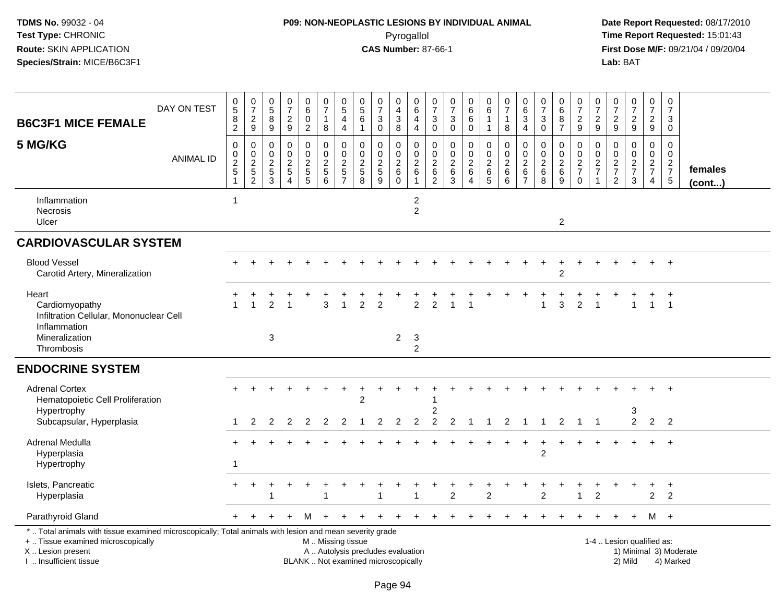## **P09: NON-NEOPLASTIC LESIONS BY INDIVIDUAL ANIMAL**Pyrogallol **Time Report Requested:** 15:01:43

 **Date Report Requested:** 08/17/2010 **First Dose M/F:** 09/21/04 / 09/20/04<br>Lab: BAT **Lab:** BAT

| <b>B6C3F1 MICE FEMALE</b>                                                                                                                                                                     | DAY ON TEST      | 0<br>$\overline{5}$<br>8<br>$\overline{2}$ | $\frac{0}{7}$<br>$\overline{c}$<br>9              | 0<br>$\overline{5}$<br>8<br>$\boldsymbol{9}$          | $\pmb{0}$<br>$\overline{7}$<br>$\overline{c}$<br>$\boldsymbol{9}$ | 0<br>$\,6\,$<br>$\mathbf 0$<br>$\overline{2}$ | 0<br>$\overline{7}$<br>$\mathbf{1}$<br>8 | $\begin{array}{c} 0 \\ 5 \end{array}$<br>4<br>$\overline{4}$ | 0<br>$\sqrt{5}$<br>6<br>$\overline{1}$ | 0<br>$\overline{7}$<br>3<br>$\mathbf 0$                                  | 0<br>4<br>$\ensuremath{\mathsf{3}}$<br>8         | 0<br>6<br>4<br>$\overline{4}$                          | $\mathbf 0$<br>$\overline{7}$<br>$\ensuremath{\mathsf{3}}$<br>$\mathbf 0$      | 0<br>$\overline{7}$<br>3<br>$\mathbf 0$            | $\begin{matrix} 0\ 6\ 6 \end{matrix}$<br>0          | 0<br>$\,6\,$<br>$\mathbf{1}$<br>$\mathbf{1}$ | $\mathbf 0$<br>$\overline{7}$<br>$\mathbf{1}$<br>8 | $\mathbf 0$<br>$6\phantom{a}$<br>$\mathbf{3}$<br>$\overline{4}$ | $\pmb{0}$<br>$\overline{7}$<br>$\ensuremath{\mathsf{3}}$<br>$\mathbf 0$ | 0<br>$\,6$<br>8<br>$\overline{7}$      | 0<br>$\overline{7}$<br>$\frac{2}{9}$                     | 0<br>$\overline{7}$<br>$\overline{c}$<br>9 | 0<br>7<br>$\frac{2}{9}$                          | $\begin{array}{c} 0 \\ 7 \end{array}$<br>$\frac{2}{9}$ | 0<br>$\overline{7}$<br>$\frac{2}{9}$              | $\mathbf 0$<br>$\overline{7}$<br>3<br>$\mathbf 0$           |                         |
|-----------------------------------------------------------------------------------------------------------------------------------------------------------------------------------------------|------------------|--------------------------------------------|---------------------------------------------------|-------------------------------------------------------|-------------------------------------------------------------------|-----------------------------------------------|------------------------------------------|--------------------------------------------------------------|----------------------------------------|--------------------------------------------------------------------------|--------------------------------------------------|--------------------------------------------------------|--------------------------------------------------------------------------------|----------------------------------------------------|-----------------------------------------------------|----------------------------------------------|----------------------------------------------------|-----------------------------------------------------------------|-------------------------------------------------------------------------|----------------------------------------|----------------------------------------------------------|--------------------------------------------|--------------------------------------------------|--------------------------------------------------------|---------------------------------------------------|-------------------------------------------------------------|-------------------------|
| 5 MG/KG                                                                                                                                                                                       | <b>ANIMAL ID</b> | 0<br>0<br>$\frac{2}{5}$                    | 0<br>$\pmb{0}$<br>$\frac{2}{5}$<br>$\overline{2}$ | 0<br>$\mathbf 0$<br>$\overline{c}$<br>$\sqrt{5}$<br>3 | 0<br>$\Omega$<br>$\overline{c}$<br>$\sqrt{5}$<br>$\overline{4}$   | 0<br>$\mathbf 0$<br>$\frac{2}{5}$<br>5        | 0<br>$\mathbf 0$<br>$\frac{2}{5}$<br>6   | 0<br>$\mathbf 0$<br>$\frac{2}{5}$<br>$\overline{7}$          | 0<br>$\Omega$<br>$\frac{2}{5}$<br>8    | $\mathbf 0$<br>$\Omega$<br>$\frac{2}{5}$<br>9                            | 0<br>$\mathbf 0$<br>$^2\phantom{1}6$<br>$\Omega$ | 0<br>$\Omega$<br>$\overline{c}$<br>6<br>$\overline{1}$ | $\mathbf 0$<br>$\Omega$<br>$\overline{c}$<br>$6\phantom{1}6$<br>$\overline{2}$ | 0<br>$\mathbf 0$<br>$\overline{c}$<br>$\,6\,$<br>3 | 0<br>$\mathbf 0$<br>$\frac{2}{6}$<br>$\overline{4}$ | 0<br>$\mathsf{O}\xspace$<br>$\frac{2}{6}$    | 0<br>$\mathbf 0$<br>$^2\phantom{1}6$<br>6          | 0<br>$\mathbf 0$<br>$^2\phantom{1}6$<br>$\overline{7}$          | 0<br>$\mathbf{0}$<br>$\frac{2}{6}$<br>8                                 | 0<br>$\mathbf 0$<br>$\frac{2}{6}$<br>9 | 0<br>$\mathsf{O}\xspace$<br>$\frac{2}{7}$<br>$\mathbf 0$ | 0<br>$\Omega$<br>$\frac{2}{7}$             | 0<br>$\Omega$<br>$\frac{2}{7}$<br>$\overline{2}$ | 0<br>$\mathbf 0$<br>$\frac{2}{7}$<br>$\mathbf{3}$      | 0<br>$\mathbf 0$<br>$rac{2}{7}$<br>$\overline{4}$ | $\mathbf 0$<br>$\Omega$<br>$\frac{2}{7}$<br>$5\phantom{.0}$ | females<br>$($ cont $)$ |
| Inflammation<br>Necrosis<br>Ulcer                                                                                                                                                             |                  |                                            |                                                   |                                                       |                                                                   |                                               |                                          |                                                              |                                        |                                                                          |                                                  | $\overline{c}$<br>$\overline{2}$                       |                                                                                |                                                    |                                                     |                                              |                                                    |                                                                 |                                                                         | $\overline{\mathbf{c}}$                |                                                          |                                            |                                                  |                                                        |                                                   |                                                             |                         |
| <b>CARDIOVASCULAR SYSTEM</b>                                                                                                                                                                  |                  |                                            |                                                   |                                                       |                                                                   |                                               |                                          |                                                              |                                        |                                                                          |                                                  |                                                        |                                                                                |                                                    |                                                     |                                              |                                                    |                                                                 |                                                                         |                                        |                                                          |                                            |                                                  |                                                        |                                                   |                                                             |                         |
| <b>Blood Vessel</b><br>Carotid Artery, Mineralization                                                                                                                                         |                  |                                            |                                                   |                                                       |                                                                   |                                               |                                          |                                                              |                                        |                                                                          |                                                  |                                                        |                                                                                |                                                    |                                                     |                                              |                                                    |                                                                 |                                                                         | $\overline{2}$                         |                                                          |                                            |                                                  |                                                        |                                                   | $\overline{+}$                                              |                         |
| Heart<br>Cardiomyopathy<br>Infiltration Cellular, Mononuclear Cell<br>Inflammation<br>Mineralization<br>Thrombosis                                                                            |                  |                                            |                                                   | 2<br>3                                                |                                                                   |                                               | 3                                        |                                                              | 2                                      | 2                                                                        | 2                                                | 2<br>$\mathbf{3}$<br>2                                 | 2                                                                              |                                                    |                                                     |                                              |                                                    |                                                                 | 1                                                                       | 3                                      | 2                                                        |                                            |                                                  |                                                        |                                                   | $\overline{1}$                                              |                         |
| <b>ENDOCRINE SYSTEM</b>                                                                                                                                                                       |                  |                                            |                                                   |                                                       |                                                                   |                                               |                                          |                                                              |                                        |                                                                          |                                                  |                                                        |                                                                                |                                                    |                                                     |                                              |                                                    |                                                                 |                                                                         |                                        |                                                          |                                            |                                                  |                                                        |                                                   |                                                             |                         |
| <b>Adrenal Cortex</b><br>Hematopoietic Cell Proliferation<br>Hypertrophy<br>Subcapsular, Hyperplasia                                                                                          |                  | 1                                          | 2                                                 | 2                                                     | 2                                                                 | 2                                             | 2                                        | 2                                                            | $\overline{2}$                         | 2                                                                        | 2                                                | 2                                                      | 2<br>$\overline{c}$                                                            | $\overline{2}$                                     | $\overline{1}$                                      | $\mathbf{1}$                                 | $\overline{2}$                                     | $\overline{1}$                                                  | $\overline{1}$                                                          | $\overline{2}$                         | $\mathbf{1}$                                             | $\overline{1}$                             |                                                  | 3<br>$\overline{2}$                                    |                                                   | 2 <sub>2</sub>                                              |                         |
| Adrenal Medulla<br>Hyperplasia<br>Hypertrophy                                                                                                                                                 |                  |                                            |                                                   |                                                       |                                                                   |                                               |                                          |                                                              |                                        |                                                                          |                                                  |                                                        |                                                                                |                                                    |                                                     |                                              |                                                    |                                                                 | $\ddot{}$<br>$\overline{2}$                                             |                                        |                                                          |                                            |                                                  |                                                        |                                                   | $+$                                                         |                         |
| Islets, Pancreatic<br>Hyperplasia                                                                                                                                                             |                  |                                            |                                                   |                                                       |                                                                   |                                               |                                          |                                                              |                                        |                                                                          |                                                  |                                                        |                                                                                | 2                                                  |                                                     | $\overline{2}$                               |                                                    |                                                                 | $\overline{2}$                                                          |                                        |                                                          | $\overline{2}$                             |                                                  |                                                        | $\overline{c}$                                    | $\overline{+}$<br>$\overline{c}$                            |                         |
| Parathyroid Gland                                                                                                                                                                             |                  |                                            |                                                   |                                                       |                                                                   | м                                             |                                          |                                                              |                                        |                                                                          |                                                  |                                                        |                                                                                |                                                    |                                                     |                                              |                                                    |                                                                 |                                                                         |                                        |                                                          |                                            |                                                  |                                                        |                                                   | M +                                                         |                         |
| *  Total animals with tissue examined microscopically; Total animals with lesion and mean severity grade<br>+  Tissue examined microscopically<br>X  Lesion present<br>I  Insufficient tissue |                  |                                            |                                                   |                                                       |                                                                   |                                               | M  Missing tissue                        |                                                              |                                        | A  Autolysis precludes evaluation<br>BLANK  Not examined microscopically |                                                  |                                                        |                                                                                |                                                    |                                                     |                                              |                                                    |                                                                 |                                                                         |                                        |                                                          | 1-4  Lesion qualified as:                  |                                                  | 2) Mild                                                |                                                   | 4) Marked                                                   | 1) Minimal 3) Moderate  |

I .. Insufficient tissue

Page 94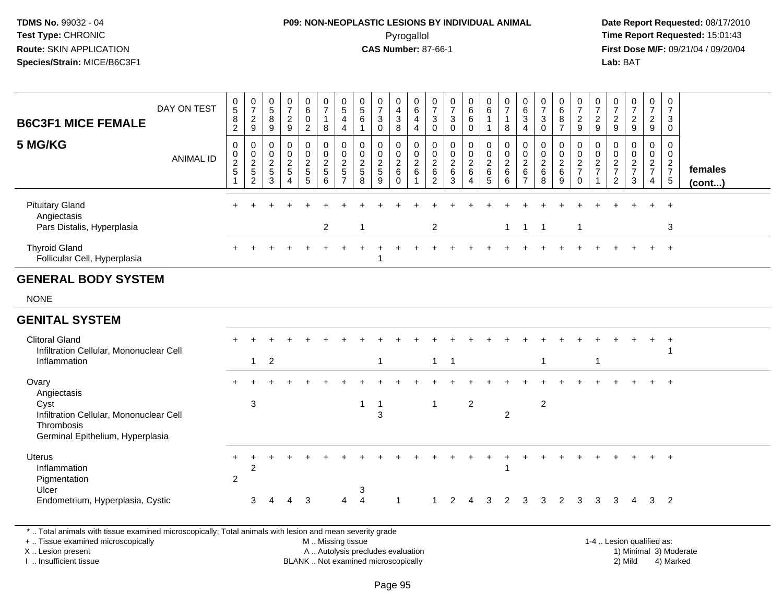## **P09: NON-NEOPLASTIC LESIONS BY INDIVIDUAL ANIMAL**Pyrogallol **Time Report Requested:** 15:01:43

 **Date Report Requested:** 08/17/2010 **First Dose M/F:** 09/21/04 / 09/20/04<br>Lab: BAT **Lab:** BAT

| <b>B6C3F1 MICE FEMALE</b>                                                                                | DAY ON TEST      | $\begin{matrix} 0 \\ 5 \end{matrix}$<br>$\overline{8}$<br>$\overline{2}$ | $\frac{0}{7}$<br>$\overline{2}$<br>9      | 0<br>$\overline{5}$<br>8<br>9            | $\frac{0}{7}$<br>$\frac{2}{9}$             | $\begin{matrix} 0 \\ 6 \end{matrix}$<br>$\pmb{0}$<br>$\overline{2}$ | $\frac{0}{7}$<br>$\mathbf{1}$<br>8                        | $\begin{array}{c} 0 \\ 5 \end{array}$<br>$\overline{4}$<br>$\overline{4}$ | 0<br>$\sqrt{5}$<br>6<br>$\overline{1}$  | 0<br>$\overline{7}$<br>$\sqrt{3}$<br>$\mathbf 0$                    | 0<br>$\overline{4}$<br>$\mathfrak{S}$<br>8             | 0<br>$6\overline{6}$<br>$\overline{\mathbf{4}}$<br>$\overline{4}$ | $\frac{0}{7}$<br>$\mathbf{3}$<br>$\mathbf 0$                  | 0<br>$\overline{7}$<br>3<br>$\mathbf 0$    | $\begin{array}{c} 0 \\ 6 \end{array}$<br>$\,6\,$<br>$\mathbf 0$         | 0<br>$6\overline{6}$<br>$\mathbf{1}$<br>$\mathbf{1}$          | 0<br>$\overline{7}$<br>$\mathbf{1}$<br>8                            | $\begin{matrix} 0 \\ 6 \end{matrix}$<br>$\sqrt{3}$<br>$\overline{4}$ | 0<br>$\overline{7}$<br>$\mathbf{3}$<br>$\mathbf 0$ | 0<br>$6\phantom{a}$<br>$\bf 8$<br>$\overline{7}$ | 0<br>$\overline{7}$<br>$\overline{c}$<br>$\overline{9}$ | 0<br>$\overline{7}$<br>$\overline{c}$<br>9                     | 0<br>$\overline{7}$<br>$\overline{2}$<br>$\overline{9}$  | $\frac{0}{7}$<br>$\overline{2}$<br>9                        | $\frac{0}{7}$<br>$\frac{2}{9}$ | $\frac{0}{7}$<br>3<br>$\mathbf 0$             |                   |
|----------------------------------------------------------------------------------------------------------|------------------|--------------------------------------------------------------------------|-------------------------------------------|------------------------------------------|--------------------------------------------|---------------------------------------------------------------------|-----------------------------------------------------------|---------------------------------------------------------------------------|-----------------------------------------|---------------------------------------------------------------------|--------------------------------------------------------|-------------------------------------------------------------------|---------------------------------------------------------------|--------------------------------------------|-------------------------------------------------------------------------|---------------------------------------------------------------|---------------------------------------------------------------------|----------------------------------------------------------------------|----------------------------------------------------|--------------------------------------------------|---------------------------------------------------------|----------------------------------------------------------------|----------------------------------------------------------|-------------------------------------------------------------|--------------------------------|-----------------------------------------------|-------------------|
| 5 MG/KG                                                                                                  | <b>ANIMAL ID</b> | $\pmb{0}$<br>$\begin{array}{c} 0 \\ 2 \\ 5 \end{array}$                  | 0<br>0<br>$\frac{2}{5}$<br>$\overline{2}$ | 0<br>$\mathbf 0$<br>$\sqrt{2}$<br>5<br>3 | 0<br>$\pmb{0}$<br>$\overline{2}$<br>5<br>4 | 0<br>$\pmb{0}$<br>$\overline{2}$<br>5<br>5                          | 0<br>$\mathbf 0$<br>$\overline{2}$<br>$\overline{5}$<br>6 | 0<br>$\mathbf 0$<br>$\frac{2}{5}$<br>$\overline{7}$                       | 0<br>0<br>$\sqrt{2}$<br>$\sqrt{5}$<br>8 | $\mathbf 0$<br>$\mathbf 0$<br>$\overline{2}$<br>$\overline{5}$<br>9 | 0<br>0<br>$\overline{c}$<br>$6\phantom{1}$<br>$\Omega$ | 0<br>$\pmb{0}$<br>$\overline{2}$<br>$6\phantom{a}$                | 0<br>$\pmb{0}$<br>$\overline{2}$<br>$\,6\,$<br>$\overline{2}$ | 0<br>0<br>$\boldsymbol{2}$<br>$\,6\,$<br>3 | 0<br>$\mathbf 0$<br>$\overline{2}$<br>$\,6\,$<br>$\boldsymbol{\Lambda}$ | 0<br>$\mathbf 0$<br>$\boldsymbol{2}$<br>$\,6\,$<br>$\sqrt{5}$ | $\mathbf 0$<br>$\mathbf 0$<br>$\overline{2}$<br>$6\phantom{1}$<br>6 | 0<br>$\pmb{0}$<br>$\overline{2}$<br>$\,6\,$<br>$\overline{7}$        | 0<br>0<br>$\overline{c}$<br>$\,6\,$<br>8           | 0<br>0<br>$\overline{2}$<br>$\,6\,$<br>9         | 0<br>$\mathbf 0$<br>$\frac{2}{7}$<br>$\mathbf 0$        | $\mathbf{0}$<br>$\mathbf 0$<br>$\frac{2}{7}$<br>$\overline{1}$ | 0<br>0<br>$\sqrt{2}$<br>$\overline{7}$<br>$\overline{2}$ | 0<br>$\mathbf 0$<br>$\boldsymbol{2}$<br>$\overline{7}$<br>3 | 0<br>0<br>$\frac{2}{7}$<br>4   | 0<br>$\mathbf 0$<br>$rac{2}{7}$<br>$\sqrt{5}$ | females<br>(cont) |
| <b>Pituitary Gland</b><br>Angiectasis<br>Pars Distalis, Hyperplasia                                      |                  |                                                                          |                                           |                                          |                                            |                                                                     | $\overline{2}$                                            |                                                                           | -1                                      |                                                                     |                                                        |                                                                   | $\mathbf{2}$                                                  |                                            |                                                                         |                                                               | $\mathbf{1}$                                                        | $\mathbf{1}$                                                         | $\mathbf{1}$                                       |                                                  | $\overline{1}$                                          |                                                                |                                                          |                                                             |                                | $\ddot{}$<br>3                                |                   |
| <b>Thyroid Gland</b><br>Follicular Cell, Hyperplasia                                                     |                  |                                                                          |                                           |                                          |                                            |                                                                     |                                                           |                                                                           |                                         | -1                                                                  |                                                        |                                                                   |                                                               |                                            |                                                                         |                                                               |                                                                     |                                                                      |                                                    |                                                  |                                                         |                                                                |                                                          |                                                             |                                | $+$                                           |                   |
| <b>GENERAL BODY SYSTEM</b>                                                                               |                  |                                                                          |                                           |                                          |                                            |                                                                     |                                                           |                                                                           |                                         |                                                                     |                                                        |                                                                   |                                                               |                                            |                                                                         |                                                               |                                                                     |                                                                      |                                                    |                                                  |                                                         |                                                                |                                                          |                                                             |                                |                                               |                   |
| <b>NONE</b>                                                                                              |                  |                                                                          |                                           |                                          |                                            |                                                                     |                                                           |                                                                           |                                         |                                                                     |                                                        |                                                                   |                                                               |                                            |                                                                         |                                                               |                                                                     |                                                                      |                                                    |                                                  |                                                         |                                                                |                                                          |                                                             |                                |                                               |                   |
| <b>GENITAL SYSTEM</b>                                                                                    |                  |                                                                          |                                           |                                          |                                            |                                                                     |                                                           |                                                                           |                                         |                                                                     |                                                        |                                                                   |                                                               |                                            |                                                                         |                                                               |                                                                     |                                                                      |                                                    |                                                  |                                                         |                                                                |                                                          |                                                             |                                |                                               |                   |
| <b>Clitoral Gland</b><br>Infiltration Cellular, Mononuclear Cell<br>Inflammation                         |                  |                                                                          | $\mathbf{1}$                              | $\overline{2}$                           |                                            |                                                                     |                                                           |                                                                           |                                         | $\mathbf{1}$                                                        |                                                        |                                                                   | $\mathbf{1}$                                                  | $\overline{1}$                             |                                                                         |                                                               |                                                                     |                                                                      | 1                                                  |                                                  |                                                         | -1                                                             |                                                          |                                                             |                                | 1                                             |                   |
| Ovary<br>Angiectasis                                                                                     |                  |                                                                          |                                           |                                          |                                            |                                                                     |                                                           |                                                                           |                                         |                                                                     |                                                        |                                                                   |                                                               |                                            |                                                                         |                                                               |                                                                     |                                                                      |                                                    |                                                  |                                                         |                                                                |                                                          |                                                             |                                |                                               |                   |
| Cyst<br>Infiltration Cellular, Mononuclear Cell<br>Thrombosis<br>Germinal Epithelium, Hyperplasia        |                  |                                                                          | 3                                         |                                          |                                            |                                                                     |                                                           |                                                                           | $\overline{1}$                          | $\overline{1}$<br>3                                                 |                                                        |                                                                   | $\overline{1}$                                                |                                            | $\overline{2}$                                                          |                                                               | $\overline{2}$                                                      |                                                                      | $\overline{2}$                                     |                                                  |                                                         |                                                                |                                                          |                                                             |                                |                                               |                   |
| <b>Uterus</b><br>Inflammation<br>Pigmentation<br>Ulcer                                                   |                  | $\pm$<br>$\overline{2}$                                                  | $\overline{c}$                            |                                          |                                            |                                                                     |                                                           |                                                                           | 3                                       |                                                                     |                                                        |                                                                   |                                                               |                                            |                                                                         |                                                               |                                                                     |                                                                      |                                                    |                                                  |                                                         |                                                                |                                                          |                                                             |                                | $\ddot{}$                                     |                   |
| Endometrium, Hyperplasia, Cystic                                                                         |                  |                                                                          | 3                                         | Δ                                        | 4                                          | 3                                                                   |                                                           | 4                                                                         | $\overline{4}$                          |                                                                     | 1                                                      |                                                                   | -1                                                            | 2                                          | 4                                                                       | 3                                                             | $\overline{2}$                                                      | 3                                                                    | 3                                                  | 2                                                | 3                                                       | 3                                                              | 3                                                        | $\overline{4}$                                              | $\overline{\mathbf{3}}$        | $\overline{2}$                                |                   |
| *  Total animals with tissue examined microscopically; Total animals with lesion and mean severity grade |                  |                                                                          |                                           |                                          |                                            |                                                                     |                                                           |                                                                           |                                         |                                                                     |                                                        |                                                                   |                                                               |                                            |                                                                         |                                                               |                                                                     |                                                                      |                                                    |                                                  |                                                         |                                                                |                                                          |                                                             |                                |                                               |                   |

+ .. Tissue examined microscopically

X .. Lesion present

I .. Insufficient tissue

M .. Missing tissue

A .. Autolysis precludes evaluation 1) Minimal 3 ... Autolysis precludes evaluation 1, and 30 ... (1) Minimal 3<br>1) Minimal 30 ... Autor microscopically 1990 ... (1) Minimal 30 ... (1) Minimal 30 ... (1) Minimal 30 ... (1) BLANK .. Not examined microscopically 2) Mild 4) Marked

1-4 .. Lesion qualified as: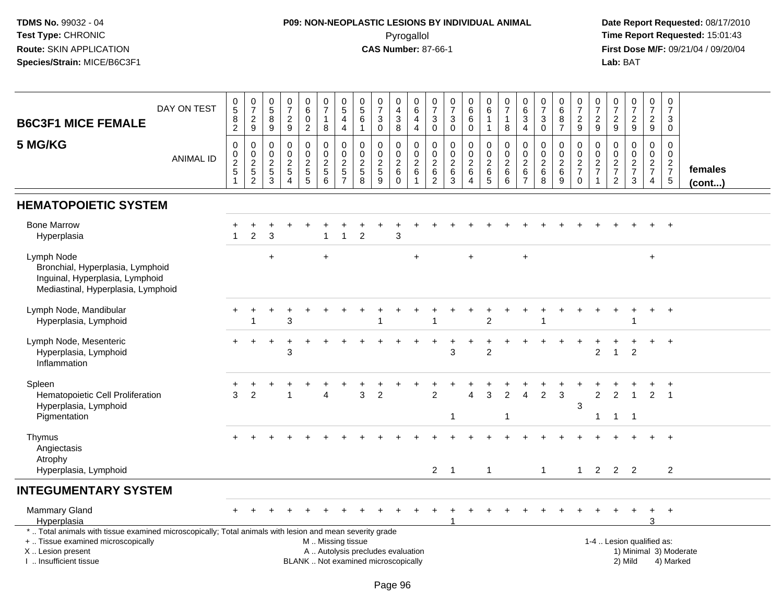## **P09: NON-NEOPLASTIC LESIONS BY INDIVIDUAL ANIMAL**Pyrogallol **Time Report Requested:** 15:01:43

| <b>B6C3F1 MICE FEMALE</b>                                                                                                                                                                     | DAY ON TEST      | $\begin{array}{c} 0 \\ 5 \end{array}$<br>$^8_2$ | $\frac{0}{7}$<br>$\frac{2}{9}$          | $\,0\,$<br>$\overline{5}$<br>8<br>$\boldsymbol{9}$                | $\frac{0}{7}$<br>$\frac{2}{9}$                                                 | $_{6}^{\rm 0}$<br>$\pmb{0}$<br>$\overline{2}$ | $\begin{smallmatrix}0\\7\end{smallmatrix}$<br>$\overline{1}$<br>8      | $\begin{array}{c} 0 \\ 5 \end{array}$<br>$\overline{4}$<br>$\overline{4}$ | $\begin{array}{c} 0 \\ 5 \end{array}$<br>$\,6\,$<br>$\mathbf{1}$ | $\begin{array}{c} 0 \\ 7 \end{array}$<br>$\sqrt{3}$<br>0                 | 0<br>$\overline{4}$<br>3<br>8                  | $\mathbf 0$<br>$6\phantom{a}$<br>$\overline{4}$<br>$\overline{\mathbf{4}}$             | 0<br>$\overline{7}$<br>3<br>$\pmb{0}$                           | $\frac{0}{7}$<br>$\ensuremath{\mathsf{3}}$<br>$\mathbf 0$     | $_{6}^{\rm 0}$<br>$\,6$<br>$\mathbf 0$            | $\begin{array}{c} 0 \\ 6 \end{array}$<br>$\mathbf{1}$                                 | $\frac{0}{7}$<br>$\overline{1}$<br>$\,8\,$                 | $\pmb{0}$<br>$6\phantom{a}$<br>$\mathbf{3}$<br>$\overline{4}$ | $\frac{0}{7}$<br>$\sqrt{3}$<br>$\mathbf 0$                             | 0<br>$\overline{6}$<br>8<br>$\overline{7}$          | $\frac{0}{7}$<br>$\frac{2}{9}$               | $\frac{0}{7}$<br>$\frac{2}{9}$                  | $\begin{array}{c} 0 \\ 7 \end{array}$<br>$\frac{2}{9}$ | $\begin{smallmatrix} 0\\7 \end{smallmatrix}$<br>$\frac{2}{9}$ | $\frac{0}{7}$<br>$\frac{2}{9}$         | $\pmb{0}$<br>$\overline{7}$<br>$\mathbf{3}$<br>$\mathbf 0$ |                         |
|-----------------------------------------------------------------------------------------------------------------------------------------------------------------------------------------------|------------------|-------------------------------------------------|-----------------------------------------|-------------------------------------------------------------------|--------------------------------------------------------------------------------|-----------------------------------------------|------------------------------------------------------------------------|---------------------------------------------------------------------------|------------------------------------------------------------------|--------------------------------------------------------------------------|------------------------------------------------|----------------------------------------------------------------------------------------|-----------------------------------------------------------------|---------------------------------------------------------------|---------------------------------------------------|---------------------------------------------------------------------------------------|------------------------------------------------------------|---------------------------------------------------------------|------------------------------------------------------------------------|-----------------------------------------------------|----------------------------------------------|-------------------------------------------------|--------------------------------------------------------|---------------------------------------------------------------|----------------------------------------|------------------------------------------------------------|-------------------------|
| 5 MG/KG                                                                                                                                                                                       | <b>ANIMAL ID</b> | 0<br>$\pmb{0}$<br>$\frac{2}{5}$<br>$\mathbf{1}$ | $\mathbf 0$<br>$0$<br>$2$<br>$5$<br>$2$ | $\mathbf 0$<br>$\mathbf 0$<br>$\boldsymbol{2}$<br>$\sqrt{5}$<br>3 | $\mathbf 0$<br>$\mathbf 0$<br>$\boldsymbol{2}$<br>$\sqrt{5}$<br>$\overline{A}$ | 0<br>0<br>$rac{2}{5}$                         | $\mathbf 0$<br>$\mathbf 0$<br>$\boldsymbol{2}$<br>$5\,$<br>$6^{\circ}$ | $\mathbf 0$<br>$\pmb{0}$<br>$\boldsymbol{2}$<br>$\frac{5}{7}$             | $\mathbf 0$<br>$\mathbf 0$<br>$\frac{2}{5}$<br>$\overline{8}$    | $\mathbf 0$<br>$\mathbf 0$<br>$\boldsymbol{2}$<br>$\overline{5}$<br>9    | 0<br>0<br>$\boldsymbol{2}$<br>6<br>$\mathbf 0$ | $\mathbf 0$<br>$\boldsymbol{0}$<br>$\overline{c}$<br>$6\phantom{1}6$<br>$\overline{1}$ | $\mathbf 0$<br>$\mathbf 0$<br>$\sqrt{2}$<br>6<br>$\overline{c}$ | 0<br>$\mathbf 0$<br>$\overline{c}$<br>$\,6$<br>$\overline{3}$ | 0<br>$\pmb{0}$<br>$\frac{2}{6}$<br>$\overline{4}$ | $\mathbf 0$<br>$\overline{0}$<br>$\overline{\mathbf{c}}$<br>$\,6\,$<br>$\overline{5}$ | $\mathbf 0$<br>$\pmb{0}$<br>$\overline{2}$<br>$\,6\,$<br>6 | 0<br>0<br>$\sqrt{2}$<br>$\,6\,$<br>$\overline{7}$             | $\mathbf 0$<br>$\mathbf 0$<br>$\boldsymbol{2}$<br>$6\phantom{1}6$<br>8 | 0<br>$\mathbf 0$<br>$\frac{2}{6}$<br>$\overline{9}$ | 0<br>$\pmb{0}$<br>$\frac{2}{7}$<br>$\pmb{0}$ | 0<br>$\pmb{0}$<br>$\frac{2}{7}$<br>$\mathbf{1}$ | 0<br>0<br>$\frac{2}{7}$<br>$\sqrt{2}$                  | $\mathbf 0$<br>$\mathbf 0$<br>$\frac{2}{7}$<br>$\mathbf{3}$   | 0<br>$\mathbf 0$<br>$\frac{2}{7}$<br>4 | $\mathbf 0$<br>$\mathbf 0$<br>$\frac{2}{7}$<br>$\sqrt{5}$  | females<br>$($ cont $)$ |
| <b>HEMATOPOIETIC SYSTEM</b>                                                                                                                                                                   |                  |                                                 |                                         |                                                                   |                                                                                |                                               |                                                                        |                                                                           |                                                                  |                                                                          |                                                |                                                                                        |                                                                 |                                                               |                                                   |                                                                                       |                                                            |                                                               |                                                                        |                                                     |                                              |                                                 |                                                        |                                                               |                                        |                                                            |                         |
| <b>Bone Marrow</b><br>Hyperplasia                                                                                                                                                             |                  | $\overline{1}$                                  | $\overline{2}$                          | 3                                                                 |                                                                                |                                               |                                                                        | $\overline{1}$                                                            | $\overline{2}$                                                   |                                                                          | 3                                              |                                                                                        |                                                                 |                                                               |                                                   |                                                                                       |                                                            |                                                               |                                                                        |                                                     |                                              |                                                 |                                                        |                                                               |                                        | $+$                                                        |                         |
| Lymph Node<br>Bronchial, Hyperplasia, Lymphoid<br>Inguinal, Hyperplasia, Lymphoid<br>Mediastinal, Hyperplasia, Lymphoid                                                                       |                  |                                                 |                                         | $\ddot{}$                                                         |                                                                                |                                               | $+$                                                                    |                                                                           |                                                                  |                                                                          |                                                | ÷                                                                                      |                                                                 |                                                               | $+$                                               |                                                                                       |                                                            | $\ddot{}$                                                     |                                                                        |                                                     |                                              |                                                 |                                                        |                                                               | $+$                                    |                                                            |                         |
| Lymph Node, Mandibular<br>Hyperplasia, Lymphoid                                                                                                                                               |                  |                                                 | 1                                       |                                                                   | 3                                                                              |                                               |                                                                        |                                                                           |                                                                  | 1                                                                        |                                                |                                                                                        | 1                                                               |                                                               |                                                   | $\overline{2}$                                                                        |                                                            |                                                               | -1                                                                     |                                                     |                                              |                                                 |                                                        |                                                               | $+$                                    | $+$                                                        |                         |
| Lymph Node, Mesenteric<br>Hyperplasia, Lymphoid<br>Inflammation                                                                                                                               |                  |                                                 |                                         | $\ddot{}$                                                         | 3                                                                              |                                               |                                                                        |                                                                           |                                                                  |                                                                          |                                                |                                                                                        |                                                                 | 3                                                             | $\ddot{}$                                         | $\ddot{}$<br>$\overline{2}$                                                           |                                                            |                                                               |                                                                        |                                                     |                                              | 2                                               |                                                        | $\overline{2}$                                                | +                                      | $\ddot{}$                                                  |                         |
| Spleen<br>Hematopoietic Cell Proliferation<br>Hyperplasia, Lymphoid<br>Pigmentation                                                                                                           |                  | 3                                               | $\overline{2}$                          |                                                                   |                                                                                |                                               | $\Delta$                                                               |                                                                           | 3                                                                | $\overline{2}$                                                           |                                                |                                                                                        | $\overline{2}$                                                  | -1                                                            | $\Delta$                                          | 3                                                                                     | $\overline{2}$<br>$\overline{1}$                           | 4                                                             | $\overline{2}$                                                         | 3                                                   | $\sqrt{3}$                                   | $\overline{2}$<br>$\mathbf 1$                   | $\overline{2}$<br>$\mathbf{1}$                         | $\overline{1}$<br>$\overline{1}$                              | $\overline{2}$                         | $\overline{1}$                                             |                         |
| Thymus<br>Angiectasis<br>Atrophy                                                                                                                                                              |                  |                                                 |                                         |                                                                   |                                                                                |                                               |                                                                        |                                                                           |                                                                  |                                                                          |                                                |                                                                                        |                                                                 |                                                               |                                                   |                                                                                       |                                                            |                                                               |                                                                        |                                                     |                                              |                                                 |                                                        |                                                               |                                        | $+$                                                        |                         |
| Hyperplasia, Lymphoid                                                                                                                                                                         |                  |                                                 |                                         |                                                                   |                                                                                |                                               |                                                                        |                                                                           |                                                                  |                                                                          |                                                |                                                                                        |                                                                 | $2 \quad 1$                                                   |                                                   | $\mathbf{1}$                                                                          |                                                            |                                                               | $\mathbf{1}$                                                           |                                                     | 1                                            |                                                 | $2 \quad 2 \quad 2$                                    |                                                               |                                        | $\overline{2}$                                             |                         |
| <b>INTEGUMENTARY SYSTEM</b>                                                                                                                                                                   |                  |                                                 |                                         |                                                                   |                                                                                |                                               |                                                                        |                                                                           |                                                                  |                                                                          |                                                |                                                                                        |                                                                 |                                                               |                                                   |                                                                                       |                                                            |                                                               |                                                                        |                                                     |                                              |                                                 |                                                        |                                                               |                                        |                                                            |                         |
| <b>Mammary Gland</b><br>Hyperplasia                                                                                                                                                           |                  |                                                 |                                         |                                                                   |                                                                                |                                               |                                                                        |                                                                           |                                                                  |                                                                          |                                                |                                                                                        |                                                                 |                                                               |                                                   |                                                                                       |                                                            |                                                               |                                                                        |                                                     |                                              |                                                 |                                                        |                                                               | R                                      | $\ddot{}$                                                  |                         |
| *  Total animals with tissue examined microscopically; Total animals with lesion and mean severity grade<br>+  Tissue examined microscopically<br>X  Lesion present<br>I  Insufficient tissue |                  |                                                 |                                         |                                                                   |                                                                                |                                               | M  Missing tissue                                                      |                                                                           |                                                                  | A  Autolysis precludes evaluation<br>BLANK  Not examined microscopically |                                                |                                                                                        |                                                                 |                                                               |                                                   |                                                                                       |                                                            |                                                               |                                                                        |                                                     |                                              |                                                 |                                                        | 1-4  Lesion qualified as:<br>2) Mild                          |                                        | 1) Minimal 3) Moderate<br>4) Marked                        |                         |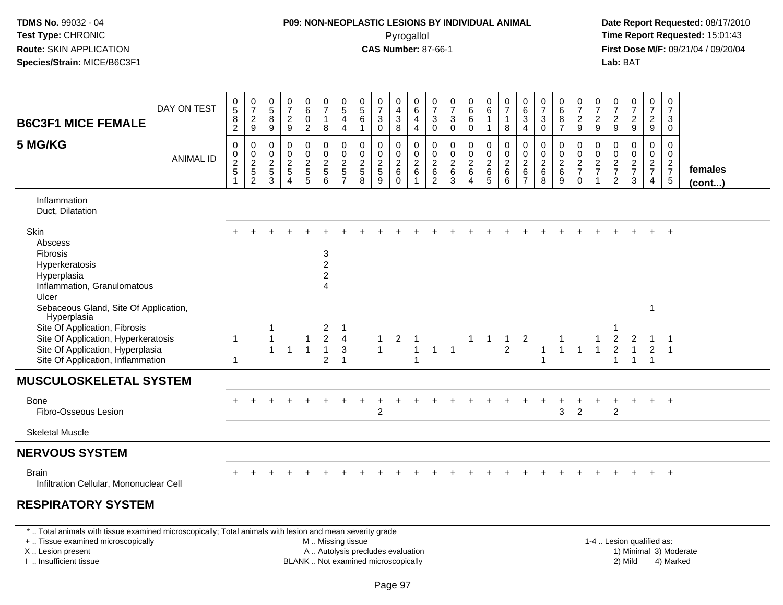#### **P09: NON-NEOPLASTIC LESIONS BY INDIVIDUAL ANIMAL**Pyrogallol **Time Report Requested:** 15:01:43

 **Date Report Requested:** 08/17/2010 **First Dose M/F:** 09/21/04 / 09/20/04<br>**Lab:** BAT **Lab:** BAT

| DAY ON TEST<br><b>B6C3F1 MICE FEMALE</b>                                                                                                                                                              |                  | $\begin{matrix} 0 \\ 5 \end{matrix}$<br>$\, 8$<br>$\overline{2}$          | $\frac{0}{7}$<br>$\overline{c}$<br>$9\,$ | 0<br>$\overline{5}$<br>$\, 8$<br>$9\,$                 | 0<br>$\overline{7}$<br>$\overline{c}$<br>$\boldsymbol{9}$ | $_6^0$<br>$\boldsymbol{0}$<br>$\overline{2}$ | $\begin{smallmatrix}0\\7\end{smallmatrix}$<br>$\mathbf{1}$<br>8    | $\begin{smallmatrix}0\0\5\end{smallmatrix}$<br>$\overline{4}$<br>$\overline{4}$ | $\begin{array}{c} 0 \\ 5 \\ 6 \end{array}$<br>$\mathbf{1}$ | 0<br>$\overline{7}$<br>$\sqrt{3}$<br>$\mathbf 0$            | 0<br>$\frac{4}{3}$<br>8                      | 0<br>6<br>4<br>4                                        | 0<br>$\overline{7}$<br>$\sqrt{3}$<br>$\mathsf{O}\xspace$ | 0<br>$\overline{7}$<br>$\sqrt{3}$<br>$\pmb{0}$ | 0<br>$6\phantom{a}$<br>$\,6$<br>$\mathbf 0$      | $\begin{array}{c} 0 \\ 6 \end{array}$<br>$\overline{1}$<br>$\mathbf{1}$ | 0<br>$\overline{7}$<br>$\mathbf{1}$<br>8                     | 0<br>$\,6\,$<br>$\sqrt{3}$<br>$\overline{4}$        | 0<br>$\overline{7}$<br>$\mathbf{3}$<br>$\mathbf 0$       | $\begin{matrix}0\\6\\8\end{matrix}$<br>$\overline{7}$ | $\frac{0}{7}$<br>$\frac{2}{9}$                       | 0<br>$\overline{7}$<br>$\boldsymbol{2}$<br>$\boldsymbol{9}$ | 0<br>$\overline{7}$<br>$\frac{2}{9}$      | $\frac{0}{7}$<br>$\frac{2}{9}$        | 0<br>$\overline{7}$<br>$\overline{c}$<br>$\boldsymbol{9}$ | 0<br>$\overline{7}$<br>3<br>0                        |                   |
|-------------------------------------------------------------------------------------------------------------------------------------------------------------------------------------------------------|------------------|---------------------------------------------------------------------------|------------------------------------------|--------------------------------------------------------|-----------------------------------------------------------|----------------------------------------------|--------------------------------------------------------------------|---------------------------------------------------------------------------------|------------------------------------------------------------|-------------------------------------------------------------|----------------------------------------------|---------------------------------------------------------|----------------------------------------------------------|------------------------------------------------|--------------------------------------------------|-------------------------------------------------------------------------|--------------------------------------------------------------|-----------------------------------------------------|----------------------------------------------------------|-------------------------------------------------------|------------------------------------------------------|-------------------------------------------------------------|-------------------------------------------|---------------------------------------|-----------------------------------------------------------|------------------------------------------------------|-------------------|
| 5 MG/KG                                                                                                                                                                                               | <b>ANIMAL ID</b> | $\pmb{0}$<br>$\begin{array}{c} 0 \\ 2 \\ 5 \end{array}$<br>$\overline{1}$ | $\pmb{0}$<br>$0$<br>$2$<br>$5$<br>$2$    | $\mathbf 0$<br>0<br>$\overline{c}$<br>$\mathbf 5$<br>3 | 0<br>$\mathbf 0$<br>$\frac{2}{5}$<br>$\overline{4}$       | $\mathbf 0$<br>$0$<br>$2$<br>$5$<br>$5$      | $\pmb{0}$<br>$\frac{0}{2}$<br>6                                    | $\pmb{0}$<br>$\pmb{0}$<br>$\overline{c}$<br>$\frac{5}{7}$                       | 0<br>$\pmb{0}$<br>$\frac{2}{5}$                            | $\mathbf 0$<br>$\mathbf 0$<br>$\sqrt{2}$<br>$\sqrt{5}$<br>9 | 0<br>$\,0\,$<br>$\frac{2}{6}$<br>$\mathbf 0$ | 0<br>0<br>$\boldsymbol{2}$<br>$\,6\,$<br>$\overline{1}$ | 0<br>0<br>$\sqrt{2}$<br>6<br>$\overline{2}$              | $\mathbf 0$<br>0<br>$^2\phantom{1}6$<br>3      | $\pmb{0}$<br>$_2^0$<br>$\,6\,$<br>$\overline{4}$ | 0<br>$0$<br>$6$<br>$5$                                                  | $\mathbf 0$<br>$\mathbf 0$<br>$\overline{c}$<br>$\,6\,$<br>6 | 0<br>0<br>$\overline{c}$<br>$\,6$<br>$\overline{7}$ | $\mathbf 0$<br>$\mathbf 0$<br>$\sqrt{2}$<br>$\,6\,$<br>8 | 0<br>0<br>$\frac{2}{6}$<br>9                          | 0<br>$\begin{array}{c} 0 \\ 2 \\ 7 \end{array}$<br>0 | 0<br>$\pmb{0}$<br>$\overline{c}$<br>$\overline{7}$          | 0<br>0<br>$\frac{2}{7}$<br>$\overline{2}$ | 0<br>0<br>$\frac{2}{7}$<br>3          | 0<br>$\mathbf 0$<br>$rac{2}{7}$<br>4                      | $\mathbf 0$<br>$\mathbf 0$<br>$\frac{2}{7}$<br>$5\,$ | females<br>(cont) |
| Inflammation<br>Duct, Dilatation                                                                                                                                                                      |                  |                                                                           |                                          |                                                        |                                                           |                                              |                                                                    |                                                                                 |                                                            |                                                             |                                              |                                                         |                                                          |                                                |                                                  |                                                                         |                                                              |                                                     |                                                          |                                                       |                                                      |                                                             |                                           |                                       |                                                           |                                                      |                   |
| Skin<br>Abscess<br><b>Fibrosis</b><br>Hyperkeratosis<br>Hyperplasia<br>Inflammation, Granulomatous<br>Ulcer                                                                                           |                  |                                                                           |                                          |                                                        |                                                           |                                              | 3<br>$\overline{2}$<br>$\overline{a}$<br>$\overline{\mathbf{4}}$   |                                                                                 |                                                            |                                                             |                                              |                                                         |                                                          |                                                |                                                  |                                                                         |                                                              |                                                     |                                                          |                                                       |                                                      |                                                             |                                           |                                       |                                                           |                                                      |                   |
| Sebaceous Gland, Site Of Application,<br>Hyperplasia<br>Site Of Application, Fibrosis<br>Site Of Application, Hyperkeratosis<br>Site Of Application, Hyperplasia<br>Site Of Application, Inflammation |                  | 1<br>1                                                                    |                                          | 1<br>1<br>$\mathbf{1}$                                 | $\mathbf{1}$                                              | 1<br>$\overline{1}$                          | $\overline{2}$<br>$\overline{a}$<br>$\mathbf{1}$<br>$\overline{c}$ | -1<br>$\overline{4}$<br>3<br>$\overline{1}$                                     |                                                            | $\mathbf{1}$<br>$\mathbf{1}$                                | $\overline{c}$                               | $\overline{1}$                                          | $\mathbf{1}$                                             | $\overline{1}$                                 | $\mathbf{1}$                                     | $\mathbf{1}$                                                            | $\overline{1}$<br>$\overline{2}$                             | 2                                                   |                                                          | 1<br>$\mathbf{1}$                                     | $\mathbf{1}$                                         | $\overline{1}$                                              | $\overline{2}$                            | 2<br>$\overline{1}$<br>$\overline{1}$ | 1<br>$\overline{c}$<br>$\overline{1}$                     | $\overline{1}$                                       |                   |
| <b>MUSCULOSKELETAL SYSTEM</b>                                                                                                                                                                         |                  |                                                                           |                                          |                                                        |                                                           |                                              |                                                                    |                                                                                 |                                                            |                                                             |                                              |                                                         |                                                          |                                                |                                                  |                                                                         |                                                              |                                                     |                                                          |                                                       |                                                      |                                                             |                                           |                                       |                                                           |                                                      |                   |
| Bone<br>Fibro-Osseous Lesion                                                                                                                                                                          |                  |                                                                           |                                          |                                                        |                                                           |                                              |                                                                    |                                                                                 |                                                            | $\overline{c}$                                              |                                              |                                                         |                                                          |                                                |                                                  |                                                                         |                                                              |                                                     |                                                          | 3                                                     | $\overline{2}$                                       |                                                             | 2                                         | ٠                                     | $+$                                                       | $+$                                                  |                   |
| <b>Skeletal Muscle</b>                                                                                                                                                                                |                  |                                                                           |                                          |                                                        |                                                           |                                              |                                                                    |                                                                                 |                                                            |                                                             |                                              |                                                         |                                                          |                                                |                                                  |                                                                         |                                                              |                                                     |                                                          |                                                       |                                                      |                                                             |                                           |                                       |                                                           |                                                      |                   |
| <b>NERVOUS SYSTEM</b>                                                                                                                                                                                 |                  |                                                                           |                                          |                                                        |                                                           |                                              |                                                                    |                                                                                 |                                                            |                                                             |                                              |                                                         |                                                          |                                                |                                                  |                                                                         |                                                              |                                                     |                                                          |                                                       |                                                      |                                                             |                                           |                                       |                                                           |                                                      |                   |
| <b>Brain</b><br>Infiltration Cellular, Mononuclear Cell                                                                                                                                               |                  |                                                                           |                                          |                                                        |                                                           |                                              |                                                                    |                                                                                 |                                                            |                                                             |                                              |                                                         |                                                          |                                                |                                                  |                                                                         |                                                              |                                                     |                                                          |                                                       |                                                      |                                                             |                                           |                                       |                                                           | $+$                                                  |                   |
| <b>RESPIRATORY SYSTEM</b>                                                                                                                                                                             |                  |                                                                           |                                          |                                                        |                                                           |                                              |                                                                    |                                                                                 |                                                            |                                                             |                                              |                                                         |                                                          |                                                |                                                  |                                                                         |                                                              |                                                     |                                                          |                                                       |                                                      |                                                             |                                           |                                       |                                                           |                                                      |                   |

\* .. Total animals with tissue examined microscopically; Total animals with lesion and mean severity grade

+ .. Tissue examined microscopically

X .. Lesion present

I .. Insufficient tissue

M .. Missing tissue

A .. Autolysis precludes evaluation

BLANK .. Not examined microscopically 2) Mild 4) Marked

1-4 .. Lesion qualified as: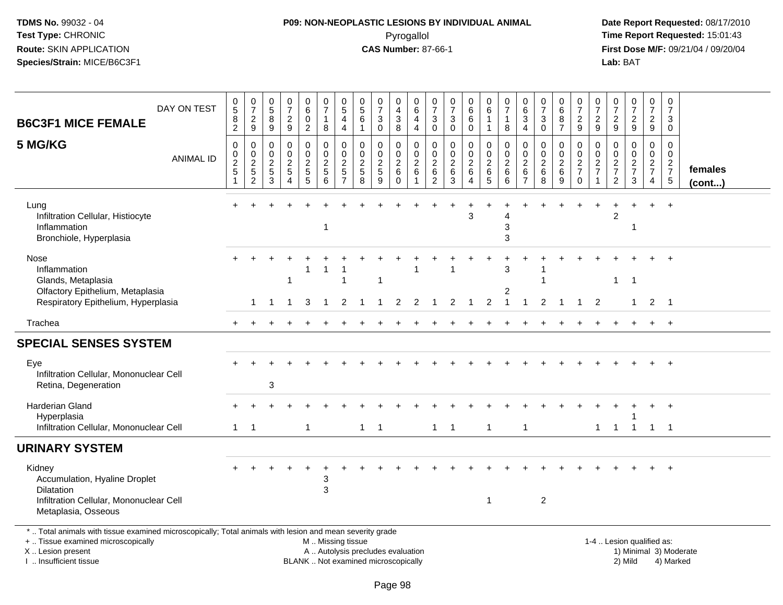# **P09: NON-NEOPLASTIC LESIONS BY INDIVIDUAL ANIMAL**Pyrogallol **Time Report Requested:** 15:01:43

| DAY ON TEST<br><b>B6C3F1 MICE FEMALE</b>                                                                                                                                                      | $\begin{array}{c} 0 \\ 5 \end{array}$<br>8<br>$\overline{2}$           | $\frac{0}{7}$<br>$\frac{2}{9}$                                            | $\begin{array}{c} 0 \\ 5 \end{array}$<br>8<br>9                                         | $\frac{0}{7}$<br>$\frac{2}{9}$                                                                  | $_{6}^{\rm 0}$<br>$\mathsf 0$<br>$\overline{2}$ | $\frac{0}{7}$<br>$\mathbf{1}$<br>8                                                            | $\begin{matrix} 0 \\ 5 \end{matrix}$<br>$\overline{\mathbf{4}}$<br>$\overline{4}$ | $\frac{0}{5}$<br>6<br>$\mathbf{1}$                                       | $\frac{0}{7}$<br>3<br>$\mathbf 0$                        | 0<br>$\overline{4}$<br>$\ensuremath{\mathsf{3}}$<br>8           | $\pmb{0}$<br>$\overline{6}$<br>$\overline{4}$<br>$\overline{4}$ | 0<br>$\overline{7}$<br>$\ensuremath{\mathsf{3}}$<br>0                 | $\frac{0}{7}$<br>$_{0}^{3}$                                                       | $\begin{array}{c} 0 \\ 6 \end{array}$<br>$\,6\,$<br>$\mathbf 0$ | 0<br>$\,6\,$<br>$\overline{1}$<br>$\mathbf{1}$               | $\frac{0}{7}$<br>$\mathbf{1}$<br>8                         | 0<br>$\,6\,$<br>$\ensuremath{\mathsf{3}}$<br>$\overline{4}$                    | $\frac{0}{7}$<br>$\ensuremath{\mathsf{3}}$<br>$\Omega$ | $\mathbf 0$<br>$\overline{6}$<br>8<br>$\overline{7}$ | $\frac{0}{7}$<br>$\frac{2}{9}$                             | 0<br>$\overline{7}$<br>$\frac{2}{9}$                                  | $\frac{0}{7}$<br>$\frac{2}{9}$                                | $\frac{0}{7}$<br>$\frac{2}{9}$         | $\begin{array}{c} 0 \\ 7 \end{array}$<br>$\frac{2}{9}$        | 0<br>$\overline{7}$<br>3<br>$\mathbf 0$ |                         |
|-----------------------------------------------------------------------------------------------------------------------------------------------------------------------------------------------|------------------------------------------------------------------------|---------------------------------------------------------------------------|-----------------------------------------------------------------------------------------|-------------------------------------------------------------------------------------------------|-------------------------------------------------|-----------------------------------------------------------------------------------------------|-----------------------------------------------------------------------------------|--------------------------------------------------------------------------|----------------------------------------------------------|-----------------------------------------------------------------|-----------------------------------------------------------------|-----------------------------------------------------------------------|-----------------------------------------------------------------------------------|-----------------------------------------------------------------|--------------------------------------------------------------|------------------------------------------------------------|--------------------------------------------------------------------------------|--------------------------------------------------------|------------------------------------------------------|------------------------------------------------------------|-----------------------------------------------------------------------|---------------------------------------------------------------|----------------------------------------|---------------------------------------------------------------|-----------------------------------------|-------------------------|
| 5 MG/KG<br><b>ANIMAL ID</b>                                                                                                                                                                   | $\mathsf 0$<br>0<br>$\boldsymbol{2}$<br>$\overline{5}$<br>$\mathbf{1}$ | $\boldsymbol{0}$<br>$\mathbf 0$<br>$\sqrt{2}$<br>$\sqrt{5}$<br>$\sqrt{2}$ | $\mathsf{O}\xspace$<br>$\mathbf 0$<br>$\boldsymbol{2}$<br>$\,$ 5 $\,$<br>$\overline{3}$ | $\mathbf 0$<br>$\Omega$<br>$\overline{\mathbf{c}}$<br>$5\phantom{.0}$<br>$\boldsymbol{\Lambda}$ | $\pmb{0}$<br>$\mathbf 0$<br>$rac{2}{5}$         | $\pmb{0}$<br>$\ddot{\mathbf{0}}$<br>$\sqrt{2}$<br>$\sqrt{5}$<br>6                             | $\mathbf 0$<br>$\mathbf 0$<br>$\overline{c}$<br>$\sqrt{5}$<br>$\overline{7}$      | $\pmb{0}$<br>$\mathbf 0$<br>$\overline{2}$<br>$\sqrt{5}$<br>$\mathbf{8}$ | 0<br>$\mathbf{0}$<br>$\boldsymbol{2}$<br>$\sqrt{5}$<br>9 | $\pmb{0}$<br>$\mathsf{O}$<br>$\overline{2}$<br>6<br>$\mathbf 0$ | $\mathsf{O}\xspace$<br>$\Omega$<br>$\boldsymbol{2}$<br>6<br>1.  | $\mathbf 0$<br>$\mathbf 0$<br>$\boldsymbol{2}$<br>6<br>$\overline{2}$ | $\mathbf 0$<br>$\mathsf{O}\xspace$<br>$\overline{2}$<br>$\,6\,$<br>$\overline{3}$ | 0<br>$\mathbf 0$<br>$\sqrt{2}$<br>$\,6\,$<br>$\overline{A}$     | $\pmb{0}$<br>$\mathbf 0$<br>$\boldsymbol{2}$<br>$\,6\,$<br>5 | $\mathbf 0$<br>$\mathbf 0$<br>$\overline{c}$<br>$\,6$<br>6 | $\mathsf{O}\xspace$<br>$\Omega$<br>$\overline{c}$<br>$\,6\,$<br>$\overline{7}$ | 0<br>0<br>$^2\phantom{1}6$<br>$\overline{8}$           | 0<br>$\mathbf 0$<br>$^2\phantom{1}6$<br>9            | $\mathbf 0$<br>$\mathbf 0$<br>$\frac{2}{7}$<br>$\mathbf 0$ | $\boldsymbol{0}$<br>$\Omega$<br>$\frac{2}{7}$<br>$\blacktriangleleft$ | $\mathsf 0$<br>$\mathbf 0$<br>$\frac{2}{7}$<br>$\overline{2}$ | 0<br>$\mathbf 0$<br>$\frac{2}{7}$<br>3 | $\mathsf 0$<br>$\mathbf 0$<br>$\frac{2}{7}$<br>$\overline{4}$ | 0<br>$\mathbf 0$<br>$\frac{2}{7}$<br>5  | females<br>$($ cont $)$ |
| Lung<br>Infiltration Cellular, Histiocyte<br>Inflammation<br>Bronchiole, Hyperplasia                                                                                                          |                                                                        |                                                                           |                                                                                         |                                                                                                 |                                                 | $\mathbf 1$                                                                                   |                                                                                   |                                                                          |                                                          |                                                                 |                                                                 |                                                                       |                                                                                   | 3                                                               |                                                              | 4<br>3<br>3                                                |                                                                                |                                                        |                                                      |                                                            |                                                                       |                                                               | -1                                     |                                                               |                                         |                         |
| Nose<br>Inflammation<br>Glands, Metaplasia<br>Olfactory Epithelium, Metaplasia                                                                                                                |                                                                        |                                                                           |                                                                                         | $\mathbf{1}$                                                                                    | 1                                               | $\overline{1}$                                                                                | 1                                                                                 |                                                                          |                                                          |                                                                 |                                                                 |                                                                       |                                                                                   |                                                                 |                                                              | 3<br>2                                                     |                                                                                |                                                        |                                                      |                                                            |                                                                       | $\mathbf{1}$                                                  | $\overline{1}$                         |                                                               |                                         |                         |
| Respiratory Epithelium, Hyperplasia                                                                                                                                                           |                                                                        | 1.                                                                        | $\overline{1}$                                                                          | $\overline{1}$                                                                                  | 3                                               | $\mathbf{1}$                                                                                  | 2                                                                                 | $\overline{1}$                                                           | -1                                                       | $\overline{2}$                                                  | 2                                                               | $\mathbf{1}$                                                          | $\overline{2}$                                                                    | $\overline{1}$                                                  | $\overline{2}$                                               | $\overline{1}$                                             | $\overline{1}$                                                                 | $\overline{2}$                                         | $\overline{1}$                                       | $\overline{1}$                                             | $\overline{2}$                                                        |                                                               | $\mathbf{1}$                           | $2 \quad 1$                                                   |                                         |                         |
| Trachea                                                                                                                                                                                       |                                                                        |                                                                           |                                                                                         |                                                                                                 |                                                 |                                                                                               |                                                                                   |                                                                          |                                                          |                                                                 |                                                                 |                                                                       |                                                                                   |                                                                 |                                                              |                                                            |                                                                                |                                                        |                                                      |                                                            |                                                                       |                                                               |                                        | $+$                                                           | $+$                                     |                         |
| <b>SPECIAL SENSES SYSTEM</b>                                                                                                                                                                  |                                                                        |                                                                           |                                                                                         |                                                                                                 |                                                 |                                                                                               |                                                                                   |                                                                          |                                                          |                                                                 |                                                                 |                                                                       |                                                                                   |                                                                 |                                                              |                                                            |                                                                                |                                                        |                                                      |                                                            |                                                                       |                                                               |                                        |                                                               |                                         |                         |
| Eye<br>Infiltration Cellular, Mononuclear Cell<br>Retina, Degeneration                                                                                                                        |                                                                        |                                                                           | 3                                                                                       |                                                                                                 |                                                 |                                                                                               |                                                                                   |                                                                          |                                                          |                                                                 |                                                                 |                                                                       |                                                                                   |                                                                 |                                                              |                                                            |                                                                                |                                                        |                                                      |                                                            |                                                                       |                                                               |                                        |                                                               | $+$                                     |                         |
| Harderian Gland<br>Hyperplasia<br>Infiltration Cellular, Mononuclear Cell                                                                                                                     | $\mathbf{1}$                                                           | $\overline{1}$                                                            |                                                                                         |                                                                                                 | $\mathbf{1}$                                    |                                                                                               |                                                                                   |                                                                          | $1 \quad 1$                                              |                                                                 |                                                                 |                                                                       | $1 \quad 1$                                                                       |                                                                 | $\overline{1}$                                               |                                                            | $\mathbf{1}$                                                                   |                                                        |                                                      |                                                            |                                                                       | $1 \quad 1$                                                   | $\overline{1}$                         | $+$<br>$1 \quad 1$                                            | $+$                                     |                         |
| <b>URINARY SYSTEM</b>                                                                                                                                                                         |                                                                        |                                                                           |                                                                                         |                                                                                                 |                                                 |                                                                                               |                                                                                   |                                                                          |                                                          |                                                                 |                                                                 |                                                                       |                                                                                   |                                                                 |                                                              |                                                            |                                                                                |                                                        |                                                      |                                                            |                                                                       |                                                               |                                        |                                                               |                                         |                         |
| Kidney<br>Accumulation, Hyaline Droplet<br><b>Dilatation</b><br>Infiltration Cellular, Mononuclear Cell<br>Metaplasia, Osseous                                                                |                                                                        |                                                                           |                                                                                         |                                                                                                 |                                                 | 3<br>3                                                                                        |                                                                                   |                                                                          |                                                          |                                                                 |                                                                 |                                                                       |                                                                                   |                                                                 | $\mathbf{1}$                                                 |                                                            |                                                                                | $\overline{2}$                                         |                                                      |                                                            |                                                                       |                                                               |                                        |                                                               |                                         |                         |
| *  Total animals with tissue examined microscopically; Total animals with lesion and mean severity grade<br>+  Tissue examined microscopically<br>X  Lesion present<br>I  Insufficient tissue |                                                                        |                                                                           |                                                                                         |                                                                                                 |                                                 | M  Missing tissue<br>A  Autolysis precludes evaluation<br>BLANK  Not examined microscopically |                                                                                   |                                                                          |                                                          |                                                                 |                                                                 |                                                                       |                                                                                   |                                                                 |                                                              |                                                            |                                                                                |                                                        |                                                      |                                                            |                                                                       | 1-4  Lesion qualified as:                                     | 2) Mild                                |                                                               | 4) Marked                               | 1) Minimal 3) Moderate  |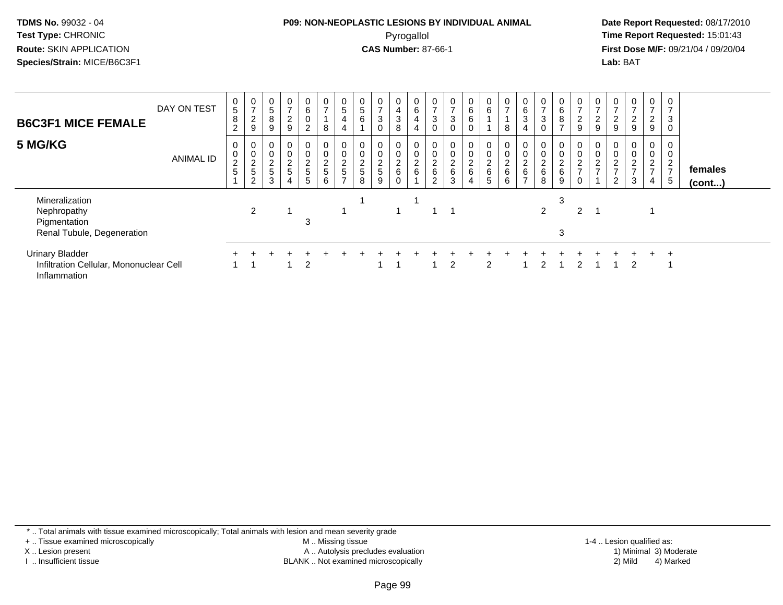#### **P09: NON-NEOPLASTIC LESIONS BY INDIVIDUAL ANIMAL**Pyrogallol **Time Report Requested:** 15:01:43

 **Date Report Requested:** 08/17/2010 **First Dose M/F:** 09/21/04 / 09/20/04<br>**Lab:** BAT **Lab:** BAT

| <b>B6C3F1 MICE FEMALE</b>                                                         | DAY ON TEST      | 0<br>5<br>8<br>$\overline{c}$     | 0<br>$\overline{ }$<br>2<br>9          | 0<br>5<br>8<br>9                          | $\overline{0}$<br>$\rightarrow$<br>$\overline{c}$<br>9 | $\overline{0}$<br>6<br>$\pmb{0}$<br>2 <sup>7</sup> | $\frac{0}{7}$<br>$\bf8$              | 0<br>$\sqrt{5}$<br>$\overline{4}$<br>$\overline{4}$ | $\frac{0}{5}$<br>$\,6\,$             | $\mathbf 0$<br>$\overline{ }$<br>3<br>$\Omega$ | 0<br>$\overline{\mathbf{4}}$<br>$\mathbf{3}$<br>8 | $\begin{matrix} 0 \\ 6 \end{matrix}$<br>4 | $\frac{0}{7}$<br>$\ensuremath{\mathsf{3}}$ | $\overline{0}$<br>$\overline{ }$<br>$\mathfrak{S}$<br>0 | $\begin{matrix}0\0\0\0\end{matrix}$<br>$\mathbf 0$ | $\begin{matrix} 0 \\ 6 \end{matrix}$ | $\frac{0}{7}$<br>8                   | 0<br>$\,6\,$<br>$\mathbf{3}$                        | 0<br>$\overline{ }$<br>3 | $\mathbf 0$<br>6<br>8<br>$\overline{ }$ | $\frac{0}{7}$<br>$\mathbf{2}$<br>9        | 0<br>$\overline{2}$<br>$\boldsymbol{9}$   | 0<br>$\overline{ }$<br>$\frac{2}{9}$        | $\mathbf{0}$<br>$\overline{ }$<br>$\overline{2}$<br>9 | 0<br>$\overline{7}$<br>$\overline{2}$<br>$9\,$                       | 3                         |                   |  |
|-----------------------------------------------------------------------------------|------------------|-----------------------------------|----------------------------------------|-------------------------------------------|--------------------------------------------------------|----------------------------------------------------|--------------------------------------|-----------------------------------------------------|--------------------------------------|------------------------------------------------|---------------------------------------------------|-------------------------------------------|--------------------------------------------|---------------------------------------------------------|----------------------------------------------------|--------------------------------------|--------------------------------------|-----------------------------------------------------|--------------------------|-----------------------------------------|-------------------------------------------|-------------------------------------------|---------------------------------------------|-------------------------------------------------------|----------------------------------------------------------------------|---------------------------|-------------------|--|
| 5 MG/KG                                                                           | <b>ANIMAL ID</b> | 0<br>$\overline{c}$<br>$\sqrt{5}$ | 0<br>$\Omega$<br>$rac{2}{5}$<br>$\sim$ | $\pmb{0}$<br>$\Omega$<br>$rac{2}{5}$<br>3 | 0<br>0<br>$\frac{2}{5}$<br>4                           | 0<br>0<br>$\frac{2}{5}$<br>5                       | 0<br>$\pmb{0}$<br>$\frac{2}{5}$<br>6 | $\pmb{0}$<br>$\frac{2}{5}$<br>$\overline{ }$        | 0<br>$\pmb{0}$<br>$\frac{2}{5}$<br>8 | 0<br>$\mathbf 0$<br>$rac{2}{5}$<br>9           | $\mathbf 0$<br>$\frac{2}{6}$                      | 0<br>$\boldsymbol{0}$<br>$\frac{2}{6}$    | $\pmb{0}$<br>$\frac{2}{6}$<br>2            | 0<br>$\pmb{0}$<br>$\frac{2}{6}$<br>$\mathbf{3}$         | $\mathbf 0$<br>$\frac{0}{2}$ 6<br>4                | 0<br>$\pmb{0}$<br>$\frac{2}{6}$<br>5 | 0<br>$\pmb{0}$<br>$\frac{2}{6}$<br>6 | $\boldsymbol{0}$<br>$\frac{2}{6}$<br>$\overline{ }$ | 0<br>$\frac{2}{6}$<br>8  | 0<br>$\frac{0}{2}$ 6<br>9               | $\mathbf 0$<br>$\pmb{0}$<br>$\frac{2}{7}$ | $\mathbf 0$<br>$\pmb{0}$<br>$\frac{2}{7}$ | $\theta$<br>$\pmb{0}$<br>$\frac{2}{7}$<br>2 | $\mathbf{0}$<br>0<br>$\frac{2}{7}$<br>3               | 0<br>$\pmb{0}$<br>$\overline{2}$<br>$\overline{7}$<br>$\overline{4}$ | 0<br>◠<br>$\epsilon$<br>5 | females<br>(cont) |  |
| Mineralization<br>Nephropathy<br>Pigmentation<br>Renal Tubule, Degeneration       |                  |                                   | $\overline{2}$                         |                                           |                                                        | 3                                                  |                                      |                                                     |                                      |                                                |                                                   |                                           |                                            |                                                         |                                                    |                                      |                                      |                                                     | $\overline{2}$           | 3<br>3                                  | 2                                         |                                           |                                             |                                                       |                                                                      |                           |                   |  |
| <b>Urinary Bladder</b><br>Infiltration Cellular, Mononuclear Cell<br>Inflammation |                  |                                   |                                        |                                           |                                                        | $\overline{2}$                                     |                                      |                                                     |                                      |                                                |                                                   |                                           |                                            | 2                                                       |                                                    | 2                                    |                                      |                                                     |                          |                                         |                                           |                                           |                                             | 2                                                     |                                                                      | $\overline{ }$            |                   |  |

\* .. Total animals with tissue examined microscopically; Total animals with lesion and mean severity grade

+ .. Tissue examined microscopically

X .. Lesion present

I .. Insufficient tissue

 M .. Missing tissueA .. Autolysis precludes evaluation

BLANK .. Not examined microscopically 2) Mild 4) Marked

1-4 .. Lesion qualified as: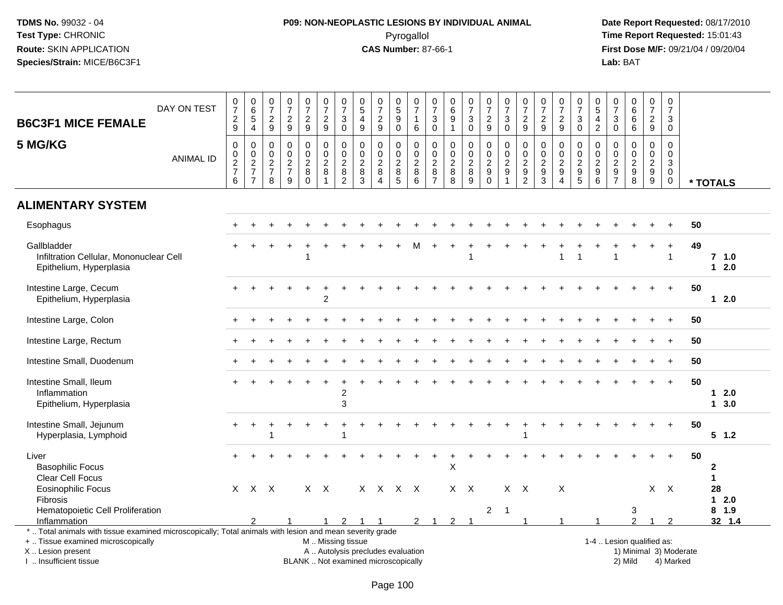# **P09: NON-NEOPLASTIC LESIONS BY INDIVIDUAL ANIMAL**Pyrogallol **Time Report Requested:** 15:01:43

| <b>B6C3F1 MICE FEMALE</b>                                                                                                                                                                     | DAY ON TEST      | 0<br>$\overline{7}$<br>$\overline{c}$<br>9 | $\begin{array}{c} 0 \\ 6 \end{array}$<br>$\overline{5}$<br>$\overline{4}$ | $\frac{0}{7}$<br>$\boldsymbol{2}$<br>9                         | $\frac{0}{7}$<br>$\overline{c}$<br>9             | $\frac{0}{7}$<br>$\overline{c}$<br>9             | 0<br>$\overline{7}$<br>$\overline{c}$<br>$9\,$                                                | $\frac{0}{7}$<br>3<br>$\mathbf 0$                  | 0<br>$\sqrt{5}$<br>$\overline{\mathbf{4}}$<br>9  | $\begin{array}{c} 0 \\ 7 \end{array}$<br>$\overline{c}$<br>9 | $\begin{array}{c} 0 \\ 5 \end{array}$<br>$\boldsymbol{9}$<br>$\mathbf 0$ | $\pmb{0}$<br>$\overline{7}$<br>$\mathbf{1}$<br>6                                   | $\pmb{0}$<br>$\overline{7}$<br>3<br>$\mathbf 0$               | 0<br>$\,6\,$<br>9<br>$\mathbf{1}$                      | $\frac{0}{7}$<br>3<br>$\mathbf 0$                   | $\pmb{0}$<br>$\overline{7}$<br>$\overline{c}$<br>9 | $\begin{array}{c} 0 \\ 7 \end{array}$<br>$\sqrt{3}$<br>$\mathbf 0$ | $\frac{0}{7}$<br>$\boldsymbol{2}$<br>9 | $\begin{array}{c} 0 \\ 7 \end{array}$<br>$\overline{c}$<br>9                     | $\frac{0}{7}$<br>$\boldsymbol{2}$<br>9            | 0<br>$\overline{7}$<br>3<br>$\mathbf 0$          | $\begin{matrix} 0 \\ 5 \end{matrix}$<br>4<br>$\overline{2}$  | 0<br>$\overline{7}$<br>$\ensuremath{\mathsf{3}}$<br>$\mathsf{O}\xspace$ | $\begin{array}{c} 0 \\ 6 \end{array}$<br>$\overline{6}$<br>$\,6\,$ | $\mathbf 0$<br>$\overline{7}$<br>$\overline{c}$<br>9 | $\mathbf 0$<br>$\overline{7}$<br>3<br>$\Omega$                       |                        |                       |
|-----------------------------------------------------------------------------------------------------------------------------------------------------------------------------------------------|------------------|--------------------------------------------|---------------------------------------------------------------------------|----------------------------------------------------------------|--------------------------------------------------|--------------------------------------------------|-----------------------------------------------------------------------------------------------|----------------------------------------------------|--------------------------------------------------|--------------------------------------------------------------|--------------------------------------------------------------------------|------------------------------------------------------------------------------------|---------------------------------------------------------------|--------------------------------------------------------|-----------------------------------------------------|----------------------------------------------------|--------------------------------------------------------------------|----------------------------------------|----------------------------------------------------------------------------------|---------------------------------------------------|--------------------------------------------------|--------------------------------------------------------------|-------------------------------------------------------------------------|--------------------------------------------------------------------|------------------------------------------------------|----------------------------------------------------------------------|------------------------|-----------------------|
| 5 MG/KG                                                                                                                                                                                       | <b>ANIMAL ID</b> | $\pmb{0}$<br>$\frac{0}{2}$<br>6            | $\mathbf 0$<br>$\frac{0}{2}$<br>$\overline{7}$                            | $\mathbf 0$<br>$\begin{array}{c} 0 \\ 2 \\ 7 \end{array}$<br>8 | $\mathbf 0$<br>$\mathbf 0$<br>$\frac{2}{7}$<br>9 | 0<br>$\mathbf 0$<br>$\frac{2}{8}$<br>$\mathbf 0$ | $\mathbf 0$<br>$\mathsf 0$<br>$\frac{2}{8}$<br>$\mathbf{1}$                                   | 0<br>$\pmb{0}$<br>$_{8}^{\rm 2}$<br>$\overline{2}$ | $\mathbf 0$<br>$\mathbf 0$<br>$\frac{2}{8}$<br>3 | 0<br>$\mathbf 0$<br>$_{8}^{\rm 2}$<br>$\boldsymbol{\Lambda}$ | $\mathbf 0$<br>$\mathsf{O}\xspace$<br>$\frac{2}{8}$<br>$\overline{5}$    | $\mathbf 0$<br>$\mathsf{O}\xspace$<br>$\overline{c}$<br>$\bf 8$<br>$6\phantom{1}6$ | $\mathbf 0$<br>$\mathbf 0$<br>$\frac{2}{8}$<br>$\overline{7}$ | $\mathbf 0$<br>$\mathbf 0$<br>$\overline{c}$<br>8<br>8 | 0<br>$\mathbf 0$<br>$\frac{2}{8}$<br>$\overline{9}$ | 0<br>$\mathbf 0$<br>$\frac{2}{9}$<br>$\mathbf 0$   | 0<br>$\pmb{0}$<br>$\overline{c}$<br>$\boldsymbol{9}$               | $\mathbf 0$<br>$\frac{0}{2}$<br>2      | $\mathbf 0$<br>$\mathbf 0$<br>$\overline{c}$<br>$\boldsymbol{9}$<br>$\mathbf{3}$ | 0<br>$\pmb{0}$<br>$\frac{2}{9}$<br>$\overline{4}$ | $\mathbf 0$<br>$\mathbf 0$<br>$\frac{2}{9}$<br>5 | $\mathbf 0$<br>0<br>$\boldsymbol{2}$<br>$\mathsf g$<br>$\,6$ | $\pmb{0}$<br>$\mathbf 0$<br>$\begin{array}{c} 2 \\ 9 \\ 7 \end{array}$  | 0<br>$\pmb{0}$<br>$\frac{2}{9}$<br>$\overline{8}$                  | $\mathbf 0$<br>$\frac{0}{2}$<br>9                    | $\Omega$<br>$\mathbf 0$<br>$\sqrt{3}$<br>$\mathbf{0}$<br>$\mathbf 0$ |                        | * TOTALS              |
| <b>ALIMENTARY SYSTEM</b>                                                                                                                                                                      |                  |                                            |                                                                           |                                                                |                                                  |                                                  |                                                                                               |                                                    |                                                  |                                                              |                                                                          |                                                                                    |                                                               |                                                        |                                                     |                                                    |                                                                    |                                        |                                                                                  |                                                   |                                                  |                                                              |                                                                         |                                                                    |                                                      |                                                                      |                        |                       |
| Esophagus                                                                                                                                                                                     |                  |                                            |                                                                           |                                                                |                                                  |                                                  |                                                                                               |                                                    |                                                  |                                                              |                                                                          |                                                                                    |                                                               |                                                        |                                                     |                                                    |                                                                    |                                        |                                                                                  |                                                   |                                                  |                                                              |                                                                         |                                                                    |                                                      |                                                                      | 50                     |                       |
| Gallbladder<br>Infiltration Cellular, Mononuclear Cell<br>Epithelium, Hyperplasia                                                                                                             |                  |                                            |                                                                           |                                                                |                                                  | 1                                                |                                                                                               |                                                    |                                                  |                                                              |                                                                          |                                                                                    |                                                               |                                                        |                                                     |                                                    |                                                                    |                                        |                                                                                  | 1                                                 |                                                  |                                                              |                                                                         |                                                                    |                                                      | $\ddot{}$<br>$\overline{1}$                                          | 49                     | $7$ 1.0<br>12.0       |
| Intestine Large, Cecum<br>Epithelium, Hyperplasia                                                                                                                                             |                  |                                            |                                                                           |                                                                |                                                  |                                                  | $\overline{2}$                                                                                |                                                    |                                                  |                                                              |                                                                          |                                                                                    |                                                               |                                                        |                                                     |                                                    |                                                                    |                                        |                                                                                  |                                                   |                                                  |                                                              |                                                                         |                                                                    |                                                      | $\ddot{}$                                                            | 50                     | $12.0$                |
| Intestine Large, Colon                                                                                                                                                                        |                  |                                            |                                                                           |                                                                |                                                  |                                                  |                                                                                               |                                                    |                                                  |                                                              |                                                                          |                                                                                    |                                                               |                                                        |                                                     |                                                    |                                                                    |                                        |                                                                                  |                                                   |                                                  |                                                              |                                                                         |                                                                    |                                                      |                                                                      | 50                     |                       |
| Intestine Large, Rectum                                                                                                                                                                       |                  |                                            |                                                                           |                                                                |                                                  |                                                  |                                                                                               |                                                    |                                                  |                                                              |                                                                          |                                                                                    |                                                               |                                                        |                                                     |                                                    |                                                                    |                                        |                                                                                  |                                                   |                                                  |                                                              |                                                                         |                                                                    |                                                      | $+$                                                                  | 50                     |                       |
| Intestine Small, Duodenum                                                                                                                                                                     |                  |                                            |                                                                           |                                                                |                                                  |                                                  |                                                                                               |                                                    |                                                  |                                                              |                                                                          |                                                                                    |                                                               |                                                        |                                                     |                                                    |                                                                    |                                        |                                                                                  |                                                   |                                                  |                                                              |                                                                         |                                                                    |                                                      | $+$                                                                  | 50                     |                       |
| Intestine Small, Ileum<br>Inflammation<br>Epithelium, Hyperplasia                                                                                                                             |                  |                                            |                                                                           |                                                                |                                                  |                                                  |                                                                                               | 2<br>3                                             |                                                  |                                                              |                                                                          |                                                                                    |                                                               |                                                        |                                                     |                                                    |                                                                    |                                        |                                                                                  |                                                   |                                                  |                                                              |                                                                         |                                                                    |                                                      | $\ddot{}$                                                            | 50                     | 12.0<br>13.0          |
| Intestine Small, Jejunum<br>Hyperplasia, Lymphoid                                                                                                                                             |                  | $+$                                        |                                                                           |                                                                |                                                  |                                                  |                                                                                               | -1                                                 |                                                  |                                                              |                                                                          |                                                                                    |                                                               |                                                        |                                                     |                                                    |                                                                    |                                        |                                                                                  |                                                   |                                                  |                                                              |                                                                         |                                                                    |                                                      | $+$                                                                  | 50                     | $5 \t1.2$             |
| Liver<br><b>Basophilic Focus</b><br>Clear Cell Focus                                                                                                                                          |                  |                                            |                                                                           |                                                                |                                                  |                                                  |                                                                                               |                                                    |                                                  |                                                              |                                                                          |                                                                                    |                                                               | X                                                      |                                                     |                                                    |                                                                    |                                        |                                                                                  |                                                   |                                                  |                                                              |                                                                         |                                                                    |                                                      | $+$                                                                  | 50                     | 2<br>$\mathbf{1}$     |
| Eosinophilic Focus<br><b>Fibrosis</b><br>Hematopoietic Cell Proliferation                                                                                                                     |                  |                                            | $X$ $X$ $X$                                                               |                                                                |                                                  |                                                  | $X$ $X$                                                                                       |                                                    |                                                  | X X X X                                                      |                                                                          |                                                                                    |                                                               |                                                        | $X$ $X$                                             | $\overline{a}$                                     | $\mathbf{1}$                                                       | $X \times$                             |                                                                                  | X                                                 |                                                  |                                                              |                                                                         | 3                                                                  |                                                      | $X$ $X$                                                              |                        | 28<br>12.0<br>$8$ 1.9 |
| Inflammation                                                                                                                                                                                  |                  |                                            |                                                                           |                                                                |                                                  |                                                  |                                                                                               | 2                                                  | $\overline{1}$                                   |                                                              |                                                                          |                                                                                    |                                                               | 2                                                      | $\overline{1}$                                      |                                                    |                                                                    |                                        |                                                                                  |                                                   |                                                  |                                                              |                                                                         | $\mathcal{D}$                                                      |                                                      | $\mathcal{P}$                                                        |                        | 32 1.4                |
|                                                                                                                                                                                               |                  |                                            |                                                                           |                                                                |                                                  |                                                  |                                                                                               |                                                    |                                                  |                                                              |                                                                          | 2                                                                                  | $\overline{1}$                                                |                                                        |                                                     |                                                    |                                                                    |                                        |                                                                                  |                                                   |                                                  |                                                              |                                                                         |                                                                    |                                                      |                                                                      |                        |                       |
| *  Total animals with tissue examined microscopically; Total animals with lesion and mean severity grade<br>+  Tissue examined microscopically<br>X  Lesion present<br>I. Insufficient tissue |                  |                                            |                                                                           |                                                                |                                                  |                                                  | M  Missing tissue<br>A  Autolysis precludes evaluation<br>BLANK  Not examined microscopically |                                                    |                                                  |                                                              |                                                                          |                                                                                    |                                                               |                                                        |                                                     |                                                    |                                                                    |                                        |                                                                                  |                                                   |                                                  |                                                              |                                                                         | 1-4  Lesion qualified as:<br>2) Mild                               |                                                      | 4) Marked                                                            | 1) Minimal 3) Moderate |                       |
|                                                                                                                                                                                               |                  |                                            |                                                                           |                                                                |                                                  |                                                  |                                                                                               |                                                    |                                                  |                                                              |                                                                          |                                                                                    |                                                               |                                                        |                                                     |                                                    |                                                                    |                                        |                                                                                  |                                                   |                                                  |                                                              |                                                                         |                                                                    |                                                      |                                                                      |                        |                       |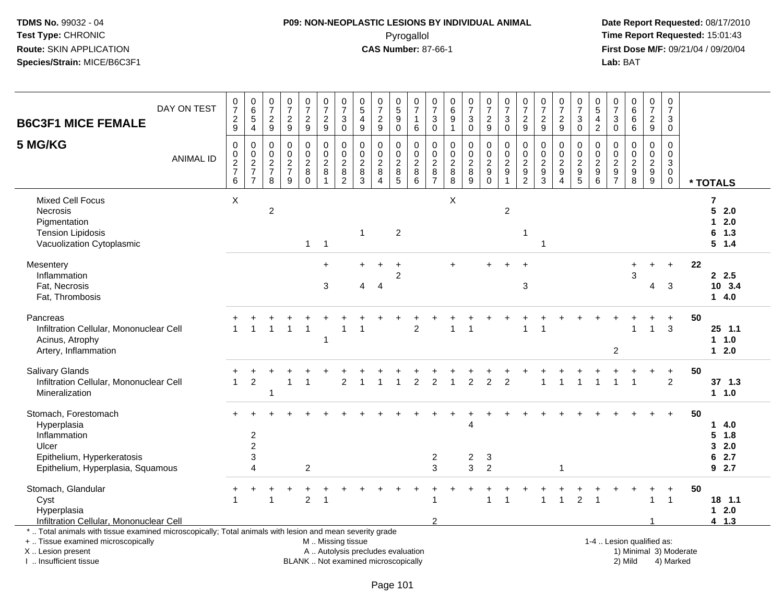#### **P09: NON-NEOPLASTIC LESIONS BY INDIVIDUAL ANIMAL**Pyrogallol **Time Report Requested:** 15:01:43

 **Date Report Requested:** 08/17/2010 **First Dose M/F:** 09/21/04 / 09/20/04<br>Lab: BAT **Lab:** BAT

| DAY ON TEST<br><b>B6C3F1 MICE FEMALE</b>                                                                                                                            | $\frac{0}{7}$<br>$\frac{2}{9}$                                           | $\begin{array}{c} 0 \\ 6 \\ 5 \end{array}$<br>$\overline{4}$     | $\frac{0}{7}$<br>$\boldsymbol{2}$<br>9                | $\frac{0}{7}$<br>$\frac{2}{9}$                                | $\begin{smallmatrix}0\\7\end{smallmatrix}$<br>$\overline{c}$<br>9 | $\begin{array}{c} 0 \\ 7 \end{array}$<br>$\overline{c}$<br>9 | $\frac{0}{7}$<br>$\ensuremath{\mathsf{3}}$<br>$\mathbf 0$   | $\begin{array}{c} 0 \\ 5 \end{array}$<br>$\overline{4}$<br>9 | $\frac{0}{7}$<br>$\overline{c}$<br>9                                         | $\begin{array}{c} 0 \\ 5 \end{array}$<br>$\overline{9}$<br>$\mathbf 0$ | $\frac{0}{7}$<br>$\mathbf{1}$<br>$6\phantom{1}6$             | $\frac{0}{7}$<br>$\sqrt{3}$<br>$\mathbf 0$                   | 0<br>$\,6\,$<br>$\boldsymbol{9}$<br>$\overline{1}$ | $\frac{0}{7}$<br>$\mathbf{3}$<br>$\mathbf 0$               | $\frac{0}{7}$<br>$\overline{c}$<br>9                             | $\begin{array}{c} 0 \\ 7 \end{array}$<br>$\sqrt{3}$<br>$\mathbf 0$ | $\frac{0}{7}$<br>$\frac{2}{9}$                      | $\frac{0}{7}$<br>$\frac{2}{9}$                                  | $\frac{0}{7}$<br>$\boldsymbol{2}$<br>9                                   | $\frac{0}{7}$<br>$\sqrt{3}$<br>$\mathbf 0$             | $\begin{array}{c} 0 \\ 5 \end{array}$<br>4<br>$\overline{2}$ | $\frac{0}{7}$<br>$\sqrt{3}$<br>$\mathbf 0$   | $\begin{matrix} 0 \\ 6 \\ 6 \end{matrix}$<br>6      | $\frac{0}{7}$<br>$\frac{2}{9}$                                                 | 0<br>$\overline{7}$<br>3<br>$\Omega$                                     |    |                                                       |
|---------------------------------------------------------------------------------------------------------------------------------------------------------------------|--------------------------------------------------------------------------|------------------------------------------------------------------|-------------------------------------------------------|---------------------------------------------------------------|-------------------------------------------------------------------|--------------------------------------------------------------|-------------------------------------------------------------|--------------------------------------------------------------|------------------------------------------------------------------------------|------------------------------------------------------------------------|--------------------------------------------------------------|--------------------------------------------------------------|----------------------------------------------------|------------------------------------------------------------|------------------------------------------------------------------|--------------------------------------------------------------------|-----------------------------------------------------|-----------------------------------------------------------------|--------------------------------------------------------------------------|--------------------------------------------------------|--------------------------------------------------------------|----------------------------------------------|-----------------------------------------------------|--------------------------------------------------------------------------------|--------------------------------------------------------------------------|----|-------------------------------------------------------|
| 5 MG/KG<br><b>ANIMAL ID</b>                                                                                                                                         | $\mathbf 0$<br>$\mathbf 0$<br>$\begin{array}{c} 2 \\ 7 \\ 6 \end{array}$ | $\pmb{0}$<br>$\mathbf 0$<br>$\frac{2}{7}$<br>$\overline{7}$      | $\mathbf 0$<br>0<br>$\sqrt{2}$<br>$\overline{7}$<br>8 | $\mathbf 0$<br>$\pmb{0}$<br>$\sqrt{2}$<br>$\overline{7}$<br>9 | 0<br>$\pmb{0}$<br>$\overline{c}$<br>8<br>$\Omega$                 | $\mathbf 0$<br>$\mathbf 0$<br>$\boldsymbol{2}$<br>8<br>1     | $\mathbf 0$<br>0<br>$\boldsymbol{2}$<br>8<br>$\overline{2}$ | $\Omega$<br>0<br>$\sqrt{2}$<br>8<br>3                        | $\mathbf 0$<br>$\pmb{0}$<br>$\sqrt{2}$<br>$\bf 8$<br>$\overline{\mathbf{4}}$ | $\mathbf 0$<br>$\mathbf 0$<br>$\sqrt{2}$<br>$\bf 8$<br>$\overline{5}$  | $\mathbf 0$<br>$\boldsymbol{0}$<br>$\sqrt{2}$<br>$\bf8$<br>6 | $\Omega$<br>$\mathbf 0$<br>$\sqrt{2}$<br>8<br>$\overline{7}$ | $\Omega$<br>0<br>$\sqrt{2}$<br>8<br>8              | $\mathbf 0$<br>$\pmb{0}$<br>$\overline{2}$<br>$\bf 8$<br>9 | $\mathbf 0$<br>$\mathbf 0$<br>$\sqrt{2}$<br>$9\,$<br>$\mathbf 0$ | $\mathbf 0$<br>$\pmb{0}$<br>$\sqrt{2}$<br>$\boldsymbol{9}$         | $\mathbf 0$<br>0<br>$\frac{2}{9}$<br>$\overline{2}$ | $\mathbf 0$<br>$\mathbf 0$<br>$\sqrt{2}$<br>9<br>$\overline{3}$ | $\mathbf 0$<br>0<br>$\overline{2}$<br>$\boldsymbol{9}$<br>$\overline{4}$ | $\mathbf 0$<br>$\mathbf 0$<br>$\sqrt{2}$<br>$9\,$<br>5 | $\mathbf 0$<br>0<br>$\overline{c}$<br>$9\,$<br>6             | $\Omega$<br>0<br>$\sqrt{2}$<br>$\frac{9}{7}$ | $\mathbf 0$<br>$\pmb{0}$<br>$\frac{2}{9}$           | $\mathbf 0$<br>$\mathbf 0$<br>$\sqrt{2}$<br>$\boldsymbol{9}$<br>$\overline{9}$ | $\mathbf 0$<br>$\mathbf 0$<br>$\mathbf{3}$<br>$\mathbf 0$<br>$\mathbf 0$ |    | * TOTALS                                              |
| Mixed Cell Focus<br>Necrosis<br>Pigmentation<br><b>Tension Lipidosis</b><br>Vacuolization Cytoplasmic                                                               | X                                                                        |                                                                  | $\overline{2}$                                        |                                                               | $\mathbf{1}$                                                      | $\overline{1}$                                               |                                                             | -1                                                           |                                                                              | $\overline{c}$                                                         |                                                              |                                                              | X                                                  |                                                            |                                                                  | $\overline{c}$                                                     |                                                     | $\overline{1}$                                                  |                                                                          |                                                        |                                                              |                                              |                                                     |                                                                                |                                                                          |    | 7<br>5<br>2.0<br>2.0<br>1.<br>6 1.3<br>$5 \t1.4$      |
| Mesentery<br>Inflammation<br>Fat, Necrosis<br>Fat, Thrombosis                                                                                                       |                                                                          |                                                                  |                                                       |                                                               |                                                                   | $\div$<br>3                                                  |                                                             | $\overline{4}$                                               | $\boldsymbol{\Lambda}$                                                       | $\ddot{}$<br>$\overline{c}$                                            |                                                              |                                                              | ÷.                                                 |                                                            |                                                                  |                                                                    | $\sqrt{3}$                                          |                                                                 |                                                                          |                                                        |                                                              |                                              | $\ddot{}$<br>3                                      | +<br>4                                                                         | $\ddot{}$<br>3                                                           | 22 | 2.5<br>10 3.4<br>14.0                                 |
| Pancreas<br>Infiltration Cellular, Mononuclear Cell<br>Acinus, Atrophy<br>Artery, Inflammation                                                                      |                                                                          | $\overline{1}$                                                   |                                                       | $\overline{1}$                                                | $\overline{1}$                                                    | -1                                                           |                                                             |                                                              |                                                                              |                                                                        | 2                                                            |                                                              | 1                                                  | -1                                                         |                                                                  |                                                                    | 1                                                   | $\overline{1}$                                                  |                                                                          |                                                        |                                                              | $\overline{2}$                               | $\mathbf{1}$                                        | $\mathbf{1}$                                                                   | $\ddot{}$<br>3                                                           | 50 | $25$ 1.1<br>1 1.0<br>$12.0$                           |
| Salivary Glands<br>Infiltration Cellular, Mononuclear Cell<br>Mineralization                                                                                        | $\mathbf{1}$                                                             | $\overline{2}$                                                   | $\overline{1}$                                        | $\overline{1}$                                                | $\overline{1}$                                                    |                                                              | $\overline{2}$                                              |                                                              |                                                                              |                                                                        | 2                                                            | $\overline{2}$                                               |                                                    | $\overline{2}$                                             | $\overline{2}$                                                   | $\overline{2}$                                                     |                                                     |                                                                 |                                                                          |                                                        |                                                              |                                              | 1                                                   | $\ddot{}$                                                                      | $+$<br>$\overline{2}$                                                    | 50 | 37 1.3<br>$1 1.0$                                     |
| Stomach, Forestomach<br>Hyperplasia<br>Inflammation<br>Ulcer<br>Epithelium, Hyperkeratosis<br>Epithelium, Hyperplasia, Squamous                                     |                                                                          | $\overline{2}$<br>$\overline{2}$<br>$\sqrt{3}$<br>$\overline{A}$ |                                                       |                                                               | $\overline{2}$                                                    |                                                              |                                                             |                                                              |                                                                              |                                                                        |                                                              | $\overline{c}$<br>3                                          |                                                    | 4<br>$\overline{c}$<br>3                                   | 3<br>$\overline{2}$                                              |                                                                    |                                                     |                                                                 | $\mathbf 1$                                                              |                                                        |                                                              |                                              |                                                     |                                                                                |                                                                          | 50 | 4.0<br>1<br>$5 \t1.8$<br>2.0<br>3<br>6<br>2.7<br>92.7 |
| Stomach, Glandular<br>Cyst<br>Hyperplasia<br>Infiltration Cellular, Mononuclear Cell                                                                                |                                                                          |                                                                  |                                                       |                                                               | $\overline{2}$                                                    | $\overline{\mathbf{1}}$                                      |                                                             |                                                              |                                                                              |                                                                        |                                                              | 1<br>$\mathfrak{p}$                                          |                                                    |                                                            |                                                                  | $\overline{1}$                                                     |                                                     | 1                                                               | $\overline{1}$                                                           | $\overline{2}$                                         | $\overline{1}$                                               |                                              |                                                     | $\mathbf{1}$                                                                   | $\overline{1}$                                                           | 50 | 18 1.1<br>$1 \quad 2.0$<br>4 1.3                      |
| *  Total animals with tissue examined microscopically; Total animals with lesion and mean severity grade<br>+  Tissue examined microscopically<br>X  Lesion present |                                                                          |                                                                  |                                                       |                                                               |                                                                   | M  Missing tissue<br>A  Autolysis precludes evaluation       |                                                             |                                                              |                                                                              |                                                                        |                                                              |                                                              |                                                    |                                                            |                                                                  |                                                                    |                                                     |                                                                 |                                                                          |                                                        |                                                              |                                              | 1-4  Lesion qualified as:<br>1) Minimal 3) Moderate |                                                                                |                                                                          |    |                                                       |

I .. Insufficient tissue

BLANK .. Not examined microscopically 2) Mild 4) Marked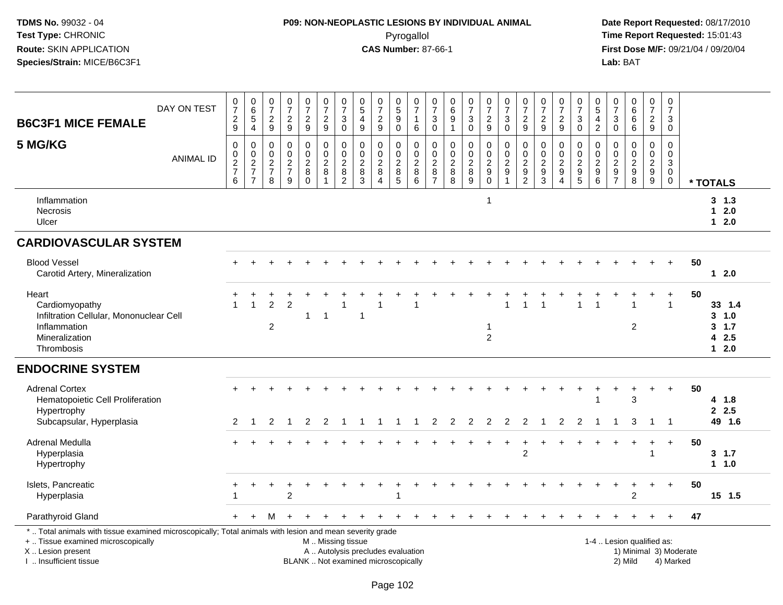## **P09: NON-NEOPLASTIC LESIONS BY INDIVIDUAL ANIMAL**Pyrogallol **Time Report Requested:** 15:01:43

|                                                                                                                                                                                              |                  |                                                                                      |                                                                                  |                                                                         |                                                                   |                                                     |                                                                           |                                                                              |                                                                             |                                                                          |                                                                               |                                                                           |                                                     |                                                                         |                                                        |                                                        |                                                                                |                                                                               |                                                          |                                                                          |                                                                                            |                                                                             | 0                                                        |                                                                     |                                                |                                                                            |                                     |                                               |
|----------------------------------------------------------------------------------------------------------------------------------------------------------------------------------------------|------------------|--------------------------------------------------------------------------------------|----------------------------------------------------------------------------------|-------------------------------------------------------------------------|-------------------------------------------------------------------|-----------------------------------------------------|---------------------------------------------------------------------------|------------------------------------------------------------------------------|-----------------------------------------------------------------------------|--------------------------------------------------------------------------|-------------------------------------------------------------------------------|---------------------------------------------------------------------------|-----------------------------------------------------|-------------------------------------------------------------------------|--------------------------------------------------------|--------------------------------------------------------|--------------------------------------------------------------------------------|-------------------------------------------------------------------------------|----------------------------------------------------------|--------------------------------------------------------------------------|--------------------------------------------------------------------------------------------|-----------------------------------------------------------------------------|----------------------------------------------------------|---------------------------------------------------------------------|------------------------------------------------|----------------------------------------------------------------------------|-------------------------------------|-----------------------------------------------|
| <b>B6C3F1 MICE FEMALE</b>                                                                                                                                                                    | DAY ON TEST      | $\frac{0}{7}$<br>$\frac{2}{9}$                                                       | $065$<br>4                                                                       | $\begin{array}{c} 0 \\ 7 \end{array}$<br>$\sqrt{2}$<br>$\boldsymbol{9}$ | $\frac{0}{7}$<br>$\sqrt{2}$<br>9                                  | $\frac{0}{7}$<br>$\frac{2}{9}$                      | $\begin{array}{c} 0 \\ 7 \end{array}$<br>$\frac{2}{9}$                    | $\frac{0}{7}$<br>$\sqrt{3}$<br>$\mathbf 0$                                   | $\begin{array}{c} 0 \\ 5 \end{array}$<br>$\overline{4}$<br>$\boldsymbol{9}$ | $\begin{array}{c} 0 \\ 7 \end{array}$<br>$\frac{2}{9}$                   | $\begin{array}{c} 0 \\ 5 \end{array}$<br>$\overline{9}$<br>$\mathsf 0$        | $\begin{matrix} 0 \\ 7 \end{matrix}$<br>$\mathbf{1}$<br>6                 | $\frac{0}{7}$<br>3<br>$\mathsf 0$                   | $\begin{array}{c} 0 \\ 6 \end{array}$<br>$\overline{9}$<br>$\mathbf{1}$ | $\frac{0}{7}$<br>$\sqrt{3}$<br>$\mathsf 0$             | $\begin{array}{c} 0 \\ 7 \end{array}$<br>$\frac{2}{9}$ | $\frac{0}{7}$<br>$\sqrt{3}$<br>$\mathbf 0$                                     | $\begin{array}{c} 0 \\ 7 \end{array}$<br>$\sqrt{2}$<br>9                      | $\begin{array}{c} 0 \\ 7 \end{array}$<br>$\sqrt{2}$<br>9 | $\begin{array}{c} 0 \\ 7 \end{array}$<br>$\frac{2}{9}$                   | $\frac{0}{7}$<br>$\ensuremath{\mathsf{3}}$<br>$\mathbf 0$                                  | $^{\rm 0}_{\rm 5}$<br>$\overline{\mathbf{4}}$<br>$\overline{c}$             | $\overline{7}$<br>$\ensuremath{\mathsf{3}}$<br>$\pmb{0}$ | $\begin{array}{c} 0 \\ 6 \end{array}$<br>$6\phantom{a}$<br>$\,6\,$  | $\frac{0}{7}$<br>$\sqrt{2}$<br>$9\,$           | $\frac{0}{7}$<br>$\ensuremath{\mathsf{3}}$<br>$\mathbf 0$                  |                                     |                                               |
| 5 MG/KG                                                                                                                                                                                      | <b>ANIMAL ID</b> | $\mathbf 0$<br>$\begin{smallmatrix} 0\\2 \end{smallmatrix}$<br>$\boldsymbol{7}$<br>6 | $\boldsymbol{0}$<br>$\begin{array}{c} 0 \\ 2 \\ 7 \end{array}$<br>$\overline{7}$ | 0<br>$\mathbf 0$<br>$\boldsymbol{2}$<br>$\overline{7}$<br>8             | $\pmb{0}$<br>$\mathbf 0$<br>$\overline{2}$<br>$\overline{7}$<br>9 | 0<br>$\mathbf 0$<br>$\overline{c}$<br>8<br>$\Omega$ | $\pmb{0}$<br>$\mathsf{O}\xspace$<br>$\overline{2}$<br>8<br>$\overline{1}$ | $\mathbf 0$<br>$\begin{smallmatrix} 0\\2 \end{smallmatrix}$<br>$\frac{8}{2}$ | $\mathbf 0$<br>$\pmb{0}$<br>$\overline{2}$<br>$\bf 8$<br>$\mathbf{3}$       | $\mathbf 0$<br>$\pmb{0}$<br>$\overline{2}$<br>$\, 8$<br>$\overline{4}$   | 0<br>$\mathbf 0$<br>$\boldsymbol{2}$<br>$\begin{array}{c} 8 \\ 5 \end{array}$ | $\mathbf 0$<br>$\mathbf 0$<br>$\overline{2}$<br>$\bf 8$<br>$\overline{6}$ | 0<br>$\mathbf 0$<br>$\overline{c}$<br>$\frac{8}{7}$ | 0<br>$\begin{smallmatrix} 0\\2 \end{smallmatrix}$<br>$_{8}^8$           | $\mathsf 0$<br>$\mathbf 0$<br>$\overline{2}$<br>$^8_9$ | 0<br>$\frac{0}{2}$<br>$_{0}^{9}$                       | $\mathbf 0$<br>$\pmb{0}$<br>$\overline{2}$<br>$\boldsymbol{9}$<br>$\mathbf{1}$ | 0<br>$\boldsymbol{0}$<br>$\overline{c}$<br>$\boldsymbol{9}$<br>$\overline{2}$ | $\pmb{0}$<br>$\mathbf 0$<br>$\sqrt{2}$<br>$\frac{9}{3}$  | 0<br>$\mathbf 0$<br>$\overline{c}$<br>$\boldsymbol{9}$<br>$\overline{4}$ | 0<br>$\begin{smallmatrix} 0\\2 \end{smallmatrix}$<br>$\begin{array}{c} 9 \\ 5 \end{array}$ | $\mathbf 0$<br>0<br>$\overline{2}$<br>$\begin{array}{c} 9 \\ 6 \end{array}$ | $\mathbf 0$<br>0<br>$\boldsymbol{2}$<br>$\frac{9}{7}$    | $\mathbf 0$<br>$\mathbf 0$<br>$\overline{2}$<br>$\overline{9}$<br>8 | 0<br>$\mathbf 0$<br>$\overline{c}$<br>$_{9}^9$ | $\mathbf 0$<br>$\mathbf 0$<br>$\mathsf 3$<br>$\overline{0}$<br>$\mathbf 0$ |                                     | * TOTALS                                      |
| Inflammation<br>Necrosis<br>Ulcer                                                                                                                                                            |                  |                                                                                      |                                                                                  |                                                                         |                                                                   |                                                     |                                                                           |                                                                              |                                                                             |                                                                          |                                                                               |                                                                           |                                                     |                                                                         |                                                        | -1                                                     |                                                                                |                                                                               |                                                          |                                                                          |                                                                                            |                                                                             |                                                          |                                                                     |                                                |                                                                            |                                     | $3 \t1.3$<br>$12.0$<br>$1 2.0$                |
| <b>CARDIOVASCULAR SYSTEM</b>                                                                                                                                                                 |                  |                                                                                      |                                                                                  |                                                                         |                                                                   |                                                     |                                                                           |                                                                              |                                                                             |                                                                          |                                                                               |                                                                           |                                                     |                                                                         |                                                        |                                                        |                                                                                |                                                                               |                                                          |                                                                          |                                                                                            |                                                                             |                                                          |                                                                     |                                                |                                                                            |                                     |                                               |
| <b>Blood Vessel</b><br>Carotid Artery, Mineralization                                                                                                                                        |                  |                                                                                      |                                                                                  |                                                                         |                                                                   |                                                     |                                                                           |                                                                              |                                                                             |                                                                          |                                                                               |                                                                           |                                                     |                                                                         |                                                        |                                                        |                                                                                |                                                                               |                                                          |                                                                          |                                                                                            |                                                                             |                                                          |                                                                     |                                                |                                                                            | 50                                  | $12.0$                                        |
| Heart<br>Cardiomyopathy<br>Infiltration Cellular, Mononuclear Cell<br>Inflammation<br>Mineralization<br>Thrombosis                                                                           |                  |                                                                                      |                                                                                  | $\overline{c}$<br>$\overline{c}$                                        | 2                                                                 | 1                                                   | $\overline{1}$                                                            |                                                                              | $\mathbf{1}$                                                                |                                                                          |                                                                               |                                                                           |                                                     |                                                                         |                                                        | $\mathbf 1$<br>$\overline{2}$                          |                                                                                |                                                                               |                                                          |                                                                          |                                                                                            |                                                                             |                                                          | $\overline{2}$                                                      |                                                | $\mathbf 1$                                                                | 50                                  | 33 1.4<br>3, 1.0<br>3, 1.7<br>42.5<br>$1 2.0$ |
| <b>ENDOCRINE SYSTEM</b>                                                                                                                                                                      |                  |                                                                                      |                                                                                  |                                                                         |                                                                   |                                                     |                                                                           |                                                                              |                                                                             |                                                                          |                                                                               |                                                                           |                                                     |                                                                         |                                                        |                                                        |                                                                                |                                                                               |                                                          |                                                                          |                                                                                            |                                                                             |                                                          |                                                                     |                                                |                                                                            |                                     |                                               |
| <b>Adrenal Cortex</b><br>Hematopoietic Cell Proliferation<br>Hypertrophy<br>Subcapsular, Hyperplasia                                                                                         |                  | 2                                                                                    | -1                                                                               | 2                                                                       | -1                                                                | 2                                                   | 2                                                                         |                                                                              |                                                                             |                                                                          | -1                                                                            | 1                                                                         | 2                                                   | $\overline{2}$                                                          | $\overline{2}$                                         | $\overline{2}$                                         | $\overline{2}$                                                                 | $\overline{2}$                                                                | -1                                                       | 2                                                                        | 2                                                                                          |                                                                             |                                                          | 3<br>3                                                              | $\overline{1}$                                 | $\ddot{}$<br>$\overline{1}$                                                | 50                                  | 4 1.8<br>2.5<br>49 1.6                        |
| Adrenal Medulla<br>Hyperplasia<br>Hypertrophy                                                                                                                                                |                  |                                                                                      |                                                                                  |                                                                         |                                                                   |                                                     |                                                                           |                                                                              |                                                                             |                                                                          |                                                                               |                                                                           |                                                     |                                                                         |                                                        |                                                        | $\ddot{}$                                                                      | $\ddot{}$<br>2                                                                |                                                          |                                                                          |                                                                                            |                                                                             |                                                          |                                                                     | $\ddot{}$                                      | $\ddot{}$                                                                  | 50                                  | 3, 1.7<br>11.0                                |
| Islets, Pancreatic<br>Hyperplasia                                                                                                                                                            |                  |                                                                                      |                                                                                  | $\ddot{}$                                                               | $\overline{c}$                                                    |                                                     |                                                                           |                                                                              |                                                                             |                                                                          |                                                                               |                                                                           |                                                     |                                                                         |                                                        |                                                        |                                                                                |                                                                               |                                                          |                                                                          |                                                                                            |                                                                             |                                                          | $\overline{2}$                                                      | $\div$                                         | $+$                                                                        | 50                                  | $15$ 1.5                                      |
| Parathyroid Gland                                                                                                                                                                            |                  | $+$                                                                                  |                                                                                  | М                                                                       |                                                                   |                                                     |                                                                           |                                                                              |                                                                             |                                                                          |                                                                               |                                                                           |                                                     |                                                                         |                                                        |                                                        |                                                                                |                                                                               |                                                          |                                                                          |                                                                                            |                                                                             |                                                          |                                                                     |                                                | $+$                                                                        | 47                                  |                                               |
| *  Total animals with tissue examined microscopically; Total animals with lesion and mean severity grade<br>+  Tissue examined microscopically<br>X Lesion present<br>I. Insufficient tissue |                  |                                                                                      |                                                                                  |                                                                         |                                                                   |                                                     |                                                                           |                                                                              | M  Missing tissue                                                           | A  Autolysis precludes evaluation<br>BLANK  Not examined microscopically |                                                                               |                                                                           |                                                     |                                                                         |                                                        |                                                        |                                                                                |                                                                               |                                                          |                                                                          |                                                                                            | 1-4  Lesion qualified as:                                                   |                                                          | 2) Mild                                                             |                                                |                                                                            | 1) Minimal 3) Moderate<br>4) Marked |                                               |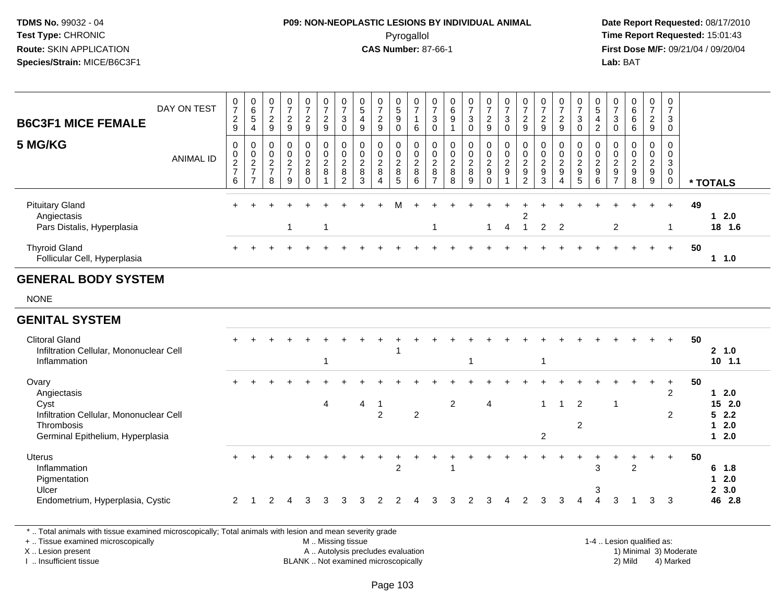## **P09: NON-NEOPLASTIC LESIONS BY INDIVIDUAL ANIMAL**Pyrogallol **Time Report Requested:** 15:01:43

 **Date Report Requested:** 08/17/2010 **First Dose M/F:** 09/21/04 / 09/20/04<br>Lab: BAT **Lab:** BAT

| <b>B6C3F1 MICE FEMALE</b>                                                                                                 | DAY ON TEST      | $\frac{0}{7}$<br>$\frac{2}{9}$                                     | $\begin{array}{c} 0 \\ 6 \end{array}$<br>$\sqrt{5}$<br>$\overline{4}$ | $\frac{0}{7}$<br>$\overline{c}$<br>$\boldsymbol{9}$                   | $\frac{0}{7}$<br>$\overline{2}$<br>$\boldsymbol{9}$               | $\frac{0}{7}$<br>$\frac{2}{9}$              | $\begin{array}{c} 0 \\ 7 \end{array}$<br>$\frac{2}{9}$        | $\begin{array}{c} 0 \\ 7 \end{array}$<br>$\ensuremath{\mathsf{3}}$<br>$\mathsf{O}\xspace$ | $\begin{array}{c} 0 \\ 5 \end{array}$<br>$\overline{4}$<br>9 | $\frac{0}{7}$<br>$\frac{2}{9}$                          | $\begin{array}{c} 0 \\ 5 \end{array}$<br>$\boldsymbol{9}$<br>$\mathbf 0$ | $\frac{0}{7}$<br>$\mathbf{1}$<br>$\,6\,$                           | $\frac{0}{7}$<br>$\mathbf{3}$<br>$\mathbf 0$                      | $\begin{array}{c} 0 \\ 6 \end{array}$<br>$\boldsymbol{9}$<br>$\overline{1}$ | $\frac{0}{7}$<br>$\sqrt{3}$<br>$\mathsf{O}$  | $\frac{0}{7}$<br>$\frac{2}{9}$                | $\begin{array}{c} 0 \\ 7 \\ 3 \end{array}$<br>$\mathbf 0$ | $\frac{0}{7}$<br>$\frac{2}{9}$                      | $\frac{0}{7}$<br>$\frac{2}{9}$                             | $\frac{0}{7}$<br>$\frac{2}{9}$                            | $\begin{array}{c} 0 \\ 7 \\ 3 \end{array}$<br>$\mathbf 0$  | $\begin{array}{c} 0 \\ 5 \end{array}$<br>4<br>$\overline{2}$ | $\frac{0}{7}$<br>$\ensuremath{\mathsf{3}}$<br>$\mathsf{O}\xspace$ | $\begin{matrix} 0 \\ 6 \\ 6 \end{matrix}$<br>$\,6\,$ | $\begin{smallmatrix}0\\7\end{smallmatrix}$<br>$\frac{2}{9}$ | 0<br>$\overline{7}$<br>$\mathbf{3}$<br>$\mathbf 0$                       |    |                                                             |
|---------------------------------------------------------------------------------------------------------------------------|------------------|--------------------------------------------------------------------|-----------------------------------------------------------------------|-----------------------------------------------------------------------|-------------------------------------------------------------------|---------------------------------------------|---------------------------------------------------------------|-------------------------------------------------------------------------------------------|--------------------------------------------------------------|---------------------------------------------------------|--------------------------------------------------------------------------|--------------------------------------------------------------------|-------------------------------------------------------------------|-----------------------------------------------------------------------------|----------------------------------------------|-----------------------------------------------|-----------------------------------------------------------|-----------------------------------------------------|------------------------------------------------------------|-----------------------------------------------------------|------------------------------------------------------------|--------------------------------------------------------------|-------------------------------------------------------------------|------------------------------------------------------|-------------------------------------------------------------|--------------------------------------------------------------------------|----|-------------------------------------------------------------|
| 5 MG/KG                                                                                                                   | <b>ANIMAL ID</b> | $\pmb{0}$<br>$\begin{array}{c} 0 \\ 2 \\ 7 \end{array}$<br>$\,6\,$ | 0<br>$\,0\,$<br>$\frac{2}{7}$<br>$\overline{7}$                       | $\mathbf 0$<br>$\mathbf 0$<br>$\boldsymbol{2}$<br>$\overline{7}$<br>8 | $\pmb{0}$<br>$\mathbf 0$<br>$\overline{c}$<br>$\overline{7}$<br>9 | 0<br>$\pmb{0}$<br>$\frac{2}{8}$<br>$\Omega$ | $\pmb{0}$<br>$\mathsf{O}\xspace$<br>$\overline{c}$<br>$\bf 8$ | $\pmb{0}$<br>$\mathbf 0$<br>$\overline{c}$<br>$\, 8$<br>$\overline{c}$                    | $\mathbf 0$<br>$\mathbf 0$<br>$\sqrt{2}$<br>$\bf{8}$<br>3    | $\pmb{0}$<br>$\pmb{0}$<br>$\overline{c}$<br>$\, 8$<br>Δ | 0<br>$\mathbf 0$<br>$\sqrt{2}$<br>$\,8\,$<br>5                           | $\pmb{0}$<br>$\mathsf{O}\xspace$<br>$\overline{c}$<br>$\,8\,$<br>6 | 0<br>$\mathsf 0$<br>$\boldsymbol{2}$<br>$\,8\,$<br>$\overline{7}$ | $\pmb{0}$<br>$\pmb{0}$<br>$\frac{2}{8}$<br>8                                | $\pmb{0}$<br>$\pmb{0}$<br>$\frac{2}{8}$<br>9 | 0<br>$\mathbf 0$<br>$\frac{2}{9}$<br>$\Omega$ | $\pmb{0}$<br>$\frac{0}{2}$<br>-1                          | 0<br>$\mathbf 0$<br>$\frac{2}{9}$<br>$\overline{2}$ | $\pmb{0}$<br>$\mathbf 0$<br>$\boldsymbol{2}$<br>$9\,$<br>3 | 0<br>$\pmb{0}$<br>$\overline{c}$<br>$\boldsymbol{9}$<br>Δ | $\,0\,$<br>$\begin{array}{c} 0 \\ 2 \\ 9 \\ 5 \end{array}$ | $\mathbf 0$<br>0<br>$\frac{2}{9}$<br>6                       | $\mathbf 0$<br>$\pmb{0}$<br>$\frac{2}{9}$                         | $\pmb{0}$<br>$\frac{0}{2}$<br>8                      | $\mathbf 0$<br>$\begin{array}{c} 0 \\ 2 \\ 9 \end{array}$   | $\mathbf 0$<br>$\mathbf 0$<br>$\mathbf{3}$<br>$\mathbf 0$<br>$\mathbf 0$ |    | * TOTALS                                                    |
| <b>Pituitary Gland</b><br>Angiectasis<br>Pars Distalis, Hyperplasia                                                       |                  |                                                                    |                                                                       |                                                                       |                                                                   |                                             |                                                               |                                                                                           |                                                              |                                                         |                                                                          |                                                                    | 1                                                                 |                                                                             |                                              | $\mathbf 1$                                   | 4                                                         | 2<br>-1                                             | $\overline{2}$                                             | $\overline{2}$                                            |                                                            |                                                              | $\overline{2}$                                                    |                                                      |                                                             | $\div$<br>-1                                                             | 49 | $1 \quad 2.0$<br>18 1.6                                     |
| <b>Thyroid Gland</b><br>Follicular Cell, Hyperplasia                                                                      |                  |                                                                    |                                                                       |                                                                       |                                                                   |                                             |                                                               |                                                                                           |                                                              |                                                         |                                                                          |                                                                    |                                                                   |                                                                             |                                              |                                               |                                                           |                                                     |                                                            |                                                           |                                                            |                                                              |                                                                   |                                                      |                                                             | $+$                                                                      | 50 | 11.0                                                        |
| <b>GENERAL BODY SYSTEM</b>                                                                                                |                  |                                                                    |                                                                       |                                                                       |                                                                   |                                             |                                                               |                                                                                           |                                                              |                                                         |                                                                          |                                                                    |                                                                   |                                                                             |                                              |                                               |                                                           |                                                     |                                                            |                                                           |                                                            |                                                              |                                                                   |                                                      |                                                             |                                                                          |    |                                                             |
| <b>NONE</b>                                                                                                               |                  |                                                                    |                                                                       |                                                                       |                                                                   |                                             |                                                               |                                                                                           |                                                              |                                                         |                                                                          |                                                                    |                                                                   |                                                                             |                                              |                                               |                                                           |                                                     |                                                            |                                                           |                                                            |                                                              |                                                                   |                                                      |                                                             |                                                                          |    |                                                             |
| <b>GENITAL SYSTEM</b>                                                                                                     |                  |                                                                    |                                                                       |                                                                       |                                                                   |                                             |                                                               |                                                                                           |                                                              |                                                         |                                                                          |                                                                    |                                                                   |                                                                             |                                              |                                               |                                                           |                                                     |                                                            |                                                           |                                                            |                                                              |                                                                   |                                                      |                                                             |                                                                          |    |                                                             |
| <b>Clitoral Gland</b><br>Infiltration Cellular, Mononuclear Cell<br>Inflammation                                          |                  |                                                                    |                                                                       |                                                                       |                                                                   |                                             |                                                               |                                                                                           |                                                              |                                                         |                                                                          |                                                                    |                                                                   |                                                                             | $\mathbf{1}$                                 |                                               |                                                           |                                                     | $\overline{1}$                                             |                                                           |                                                            |                                                              |                                                                   |                                                      |                                                             |                                                                          | 50 | 2 1.0<br>$10$ 1.1                                           |
| Ovary<br>Angiectasis<br>Cyst<br>Infiltration Cellular, Mononuclear Cell<br>Thrombosis<br>Germinal Epithelium, Hyperplasia |                  |                                                                    |                                                                       |                                                                       |                                                                   |                                             | 4                                                             |                                                                                           | 4                                                            | -1<br>$\overline{2}$                                    |                                                                          | $\overline{c}$                                                     |                                                                   | 2                                                                           |                                              | 4                                             |                                                           |                                                     | $\mathbf{1}$<br>$\overline{2}$                             | $\overline{1}$                                            | 2<br>$\sqrt{2}$                                            |                                                              |                                                                   |                                                      |                                                             | $\ddot{}$<br>2<br>$\overline{2}$                                         | 50 | $12.0$<br>15 2.0<br>52.2<br>2.0<br>$\overline{1}$<br>$12.0$ |
| <b>Uterus</b><br>Inflammation<br>Pigmentation<br>Ulcer<br>Endometrium, Hyperplasia, Cystic                                |                  | 2                                                                  |                                                                       | 2                                                                     |                                                                   | 3                                           | 3                                                             | 3                                                                                         | 3                                                            | 2                                                       | $\overline{2}$<br>2                                                      |                                                                    | 3                                                                 | 3                                                                           | 2                                            | 3                                             | Δ                                                         | $\overline{2}$                                      | 3                                                          | 3                                                         |                                                            | 3<br>3<br>$\overline{4}$                                     | 3                                                                 | $\overline{2}$                                       | 3                                                           | $\ddot{}$<br>3                                                           | 50 | 6<br>1.8<br>2.0<br>$\mathbf{1}$<br>2, 3.0<br>46 2.8         |

\* .. Total animals with tissue examined microscopically; Total animals with lesion and mean severity grade

+ .. Tissue examined microscopically

X .. Lesion present

I .. Insufficient tissue

 M .. Missing tissueA .. Autolysis precludes evaluation

BLANK .. Not examined microscopically 2) Mild 4) Marked

1-4 .. Lesion qualified as:<br>1) Minimal 3) Moderate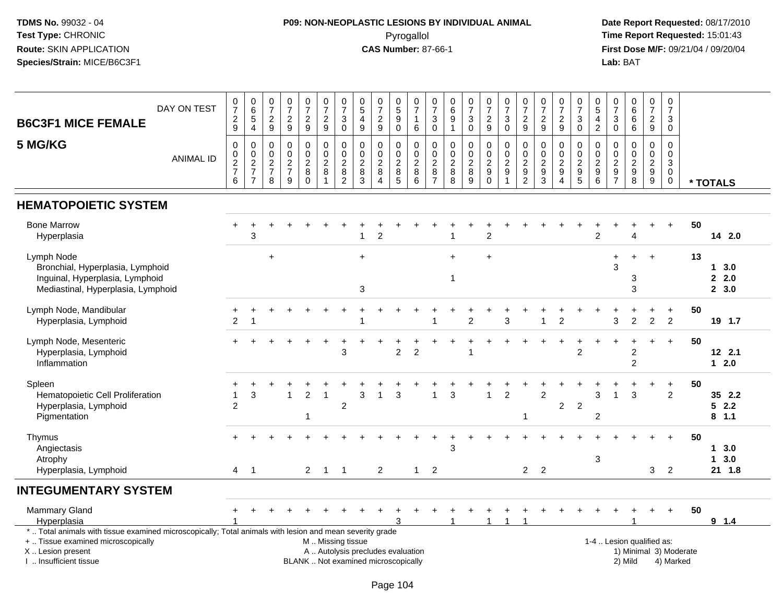## **P09: NON-NEOPLASTIC LESIONS BY INDIVIDUAL ANIMAL**Pyrogallol **Time Report Requested:** 15:01:43

| <b>B6C3F1 MICE FEMALE</b>                                                                                                                                                                    | DAY ON TEST      | $\frac{0}{7}$<br>$\frac{2}{9}$               | $_{6}^{\rm 0}$<br>$\sqrt{5}$<br>$\overline{4}$                              | $\frac{0}{7}$<br>$\frac{2}{9}$         | $\frac{0}{7}$<br>$\frac{2}{9}$                                | $\frac{0}{7}$<br>$\frac{2}{9}$                 | $\begin{smallmatrix}0\\7\end{smallmatrix}$<br>$\frac{2}{9}$ | $\frac{0}{7}$<br>$\ensuremath{\mathsf{3}}$<br>$\pmb{0}$ | $\begin{array}{c} 0 \\ 5 \end{array}$<br>$\overline{\mathbf{4}}$<br>$\boldsymbol{9}$ | $\frac{0}{7}$<br>$\frac{2}{9}$                                  | $\begin{smallmatrix}0\0\5\end{smallmatrix}$<br>$\boldsymbol{9}$<br>$\mathsf 0$ | $\frac{0}{7}$<br>$\mathbf{1}$<br>6        | $\begin{array}{c} 0 \\ 7 \end{array}$<br>$\sqrt{3}$<br>$\mathbf 0$ | $\pmb{0}$<br>$6\phantom{a}$<br>9<br>$\mathbf{1}$ | $\begin{smallmatrix}0\\7\end{smallmatrix}$<br>$\ensuremath{\mathsf{3}}$<br>$\overline{0}$ | $\frac{0}{7}$<br>$\frac{2}{9}$                        | $\frac{0}{7}$<br>$\sqrt{3}$<br>$\mathbf 0$                | $\frac{0}{7}$<br>$\frac{2}{9}$                              | $\frac{0}{7}$<br>$\frac{2}{9}$            | $\frac{0}{7}$<br>$\overline{c}$<br>9                | $\frac{0}{7}$<br>$\ensuremath{\mathsf{3}}$<br>$\mathsf{O}\xspace$ | $\begin{array}{c} 0 \\ 5 \end{array}$<br>$\overline{4}$<br>$\overline{2}$ | $\begin{array}{c} 0 \\ 7 \end{array}$<br>$\sqrt{3}$<br>$\pmb{0}$ | $\begin{array}{c} 0 \\ 6 \end{array}$<br>$\,6\,$<br>6                    | $\frac{0}{7}$<br>$\frac{2}{9}$    | $\begin{array}{c} 0 \\ 7 \end{array}$<br>3<br>$\mathbf 0$              |                        |                           |
|----------------------------------------------------------------------------------------------------------------------------------------------------------------------------------------------|------------------|----------------------------------------------|-----------------------------------------------------------------------------|----------------------------------------|---------------------------------------------------------------|------------------------------------------------|-------------------------------------------------------------|---------------------------------------------------------|--------------------------------------------------------------------------------------|-----------------------------------------------------------------|--------------------------------------------------------------------------------|-------------------------------------------|--------------------------------------------------------------------|--------------------------------------------------|-------------------------------------------------------------------------------------------|-------------------------------------------------------|-----------------------------------------------------------|-------------------------------------------------------------|-------------------------------------------|-----------------------------------------------------|-------------------------------------------------------------------|---------------------------------------------------------------------------|------------------------------------------------------------------|--------------------------------------------------------------------------|-----------------------------------|------------------------------------------------------------------------|------------------------|---------------------------|
| 5 MG/KG                                                                                                                                                                                      | <b>ANIMAL ID</b> | $\mathbf 0$<br>0<br>$\frac{2}{7}$<br>$\,6\,$ | $\mathbf 0$<br>$\begin{array}{c} 0 \\ 2 \\ 7 \end{array}$<br>$\overline{7}$ | $\mathbf 0$<br>0<br>$\frac{2}{7}$<br>8 | $\mathbf 0$<br>$\pmb{0}$<br>$\frac{2}{7}$<br>$\boldsymbol{9}$ | 0<br>$\pmb{0}$<br>$\frac{2}{8}$<br>$\mathbf 0$ | $\mathbf 0$<br>$\mathbf 0$<br>$\frac{2}{8}$<br>$\mathbf{1}$ | $\mathbf 0$<br>$\pmb{0}$<br>$\frac{2}{8}$               | $\mathbf 0$<br>0<br>$\sqrt{2}$<br>8<br>$\mathbf{3}$                                  | $\mathbf 0$<br>$\mathbf 0$<br>$\sqrt{2}$<br>8<br>$\overline{4}$ | 0<br>$\mathbf 0$<br>$\boldsymbol{2}$<br>$\bf 8$<br>5                           | $\mathbf 0$<br>$\pmb{0}$<br>$\frac{2}{6}$ | 0<br>$\pmb{0}$<br>$\frac{2}{8}$                                    | $\mathbf 0$<br>0<br>$\frac{2}{8}$                | $\mathbf 0$<br>$\pmb{0}$<br>$\begin{array}{c}\n 2 \\  8 \\  9\n \end{array}$              | 0<br>$\boldsymbol{0}$<br>$\frac{2}{9}$<br>$\mathbf 0$ | $\mathbf 0$<br>$\pmb{0}$<br>$\frac{2}{9}$<br>$\mathbf{1}$ | $\mathbf 0$<br>$\pmb{0}$<br>$\frac{2}{9}$<br>$\overline{c}$ | 0<br>$\mathsf{O}\xspace$<br>$\frac{2}{3}$ | $\mathbf 0$<br>0<br>$\frac{2}{9}$<br>$\overline{4}$ | 0<br>$\mathsf{O}$<br>$\frac{2}{9}$                                | $\mathbf 0$<br>$\mathbf 0$<br>$\begin{array}{c} 2 \\ 9 \\ 6 \end{array}$  | 0<br>0<br>$\frac{2}{9}$<br>$\overline{7}$                        | $\mathbf 0$<br>$\mathbf 0$<br>$\begin{array}{c} 2 \\ 9 \\ 8 \end{array}$ | $\mathbf 0$<br>0<br>$\frac{2}{9}$ | $\mathbf 0$<br>$\mathbf 0$<br>$\mathbf{3}$<br>$\mathbf 0$<br>$\pmb{0}$ |                        | * TOTALS                  |
| <b>HEMATOPOIETIC SYSTEM</b>                                                                                                                                                                  |                  |                                              |                                                                             |                                        |                                                               |                                                |                                                             |                                                         |                                                                                      |                                                                 |                                                                                |                                           |                                                                    |                                                  |                                                                                           |                                                       |                                                           |                                                             |                                           |                                                     |                                                                   |                                                                           |                                                                  |                                                                          |                                   |                                                                        |                        |                           |
| <b>Bone Marrow</b><br>Hyperplasia                                                                                                                                                            |                  |                                              | 3                                                                           |                                        |                                                               |                                                |                                                             |                                                         | 1                                                                                    | $\overline{2}$                                                  |                                                                                |                                           |                                                                    |                                                  |                                                                                           | $\overline{2}$                                        |                                                           |                                                             |                                           |                                                     |                                                                   | 2                                                                         |                                                                  | Δ                                                                        |                                   |                                                                        | 50                     | 14 2.0                    |
| Lymph Node<br>Bronchial, Hyperplasia, Lymphoid<br>Inguinal, Hyperplasia, Lymphoid<br>Mediastinal, Hyperplasia, Lymphoid                                                                      |                  |                                              |                                                                             | $\ddot{}$                              |                                                               |                                                |                                                             |                                                         | $\ddot{}$<br>$\ensuremath{\mathsf{3}}$                                               |                                                                 |                                                                                |                                           |                                                                    | $+$<br>$\mathbf{1}$                              |                                                                                           | $\ddot{}$                                             |                                                           |                                                             |                                           |                                                     |                                                                   |                                                                           | 3                                                                | 3<br>3                                                                   | $\overline{+}$                    |                                                                        | 13                     | 13.0<br>2.0<br>2, 3.0     |
| Lymph Node, Mandibular<br>Hyperplasia, Lymphoid                                                                                                                                              |                  | $\overline{c}$                               | 1                                                                           |                                        |                                                               |                                                |                                                             |                                                         |                                                                                      |                                                                 |                                                                                |                                           |                                                                    |                                                  | 2                                                                                         |                                                       | 3                                                         |                                                             |                                           | $\overline{2}$                                      |                                                                   |                                                                           | 3                                                                | $\overline{c}$                                                           | $\overline{c}$                    | $\ddot{}$<br>$\overline{c}$                                            | 50                     | 19 1.7                    |
| Lymph Node, Mesenteric<br>Hyperplasia, Lymphoid<br>Inflammation                                                                                                                              |                  |                                              |                                                                             |                                        |                                                               |                                                |                                                             | 3                                                       |                                                                                      |                                                                 | $\overline{2}$                                                                 | $\overline{2}$                            |                                                                    |                                                  |                                                                                           |                                                       |                                                           |                                                             |                                           |                                                     | $\overline{2}$                                                    |                                                                           |                                                                  | $\overline{\mathbf{c}}$<br>$\overline{2}$                                | $\div$                            | $+$                                                                    | 50                     | 12 2.1<br>$12.0$          |
| Spleen<br>Hematopoietic Cell Proliferation<br>Hyperplasia, Lymphoid<br>Pigmentation                                                                                                          |                  | $\overline{1}$<br>$\overline{2}$             | 3                                                                           |                                        | $\mathbf{1}$                                                  | $\overline{2}$<br>$\mathbf 1$                  | $\overline{1}$                                              | $\overline{2}$                                          | 3                                                                                    | -1                                                              | 3                                                                              |                                           | $\overline{1}$                                                     | 3                                                |                                                                                           | $\mathbf{1}$                                          | $\overline{2}$                                            | 1                                                           | $\overline{2}$                            | $\overline{c}$                                      | $\overline{2}$                                                    | 3<br>$\overline{c}$                                                       | 1                                                                | 3                                                                        |                                   | $\ddot{}$<br>$\overline{2}$                                            | 50                     | 35 2.2<br>52.2<br>$8$ 1.1 |
| Thymus<br>Angiectasis<br>Atrophy<br>Hyperplasia, Lymphoid                                                                                                                                    |                  |                                              | $4 \quad 1$                                                                 |                                        |                                                               | $2^{\circ}$                                    | $1 \quad 1$                                                 |                                                         |                                                                                      | $\overline{2}$                                                  |                                                                                | $\mathbf{1}$                              | $\overline{2}$                                                     | 3                                                |                                                                                           |                                                       |                                                           |                                                             | $2 \quad 2$                               |                                                     |                                                                   | $\mathbf{3}$                                                              |                                                                  |                                                                          | $\mathbf{3}$                      | $\ddot{+}$<br>$\overline{2}$                                           | 50                     | 13.0<br>13.0<br>21 1.8    |
| <b>INTEGUMENTARY SYSTEM</b>                                                                                                                                                                  |                  |                                              |                                                                             |                                        |                                                               |                                                |                                                             |                                                         |                                                                                      |                                                                 |                                                                                |                                           |                                                                    |                                                  |                                                                                           |                                                       |                                                           |                                                             |                                           |                                                     |                                                                   |                                                                           |                                                                  |                                                                          |                                   |                                                                        |                        |                           |
| <b>Mammary Gland</b><br>Hyperplasia                                                                                                                                                          |                  |                                              |                                                                             |                                        |                                                               |                                                |                                                             |                                                         |                                                                                      |                                                                 |                                                                                |                                           |                                                                    |                                                  |                                                                                           | 1                                                     | -1                                                        |                                                             |                                           |                                                     |                                                                   |                                                                           |                                                                  |                                                                          |                                   |                                                                        | 50                     | 9 1.4                     |
| *  Total animals with tissue examined microscopically; Total animals with lesion and mean severity grade<br>+  Tissue examined microscopically<br>X Lesion present<br>I. Insufficient tissue |                  |                                              |                                                                             |                                        |                                                               |                                                | M  Missing tissue                                           |                                                         |                                                                                      | BLANK  Not examined microscopically                             |                                                                                | A  Autolysis precludes evaluation         |                                                                    |                                                  |                                                                                           |                                                       |                                                           |                                                             |                                           |                                                     |                                                                   |                                                                           |                                                                  | 1-4  Lesion qualified as:<br>2) Mild                                     |                                   | 4) Marked                                                              | 1) Minimal 3) Moderate |                           |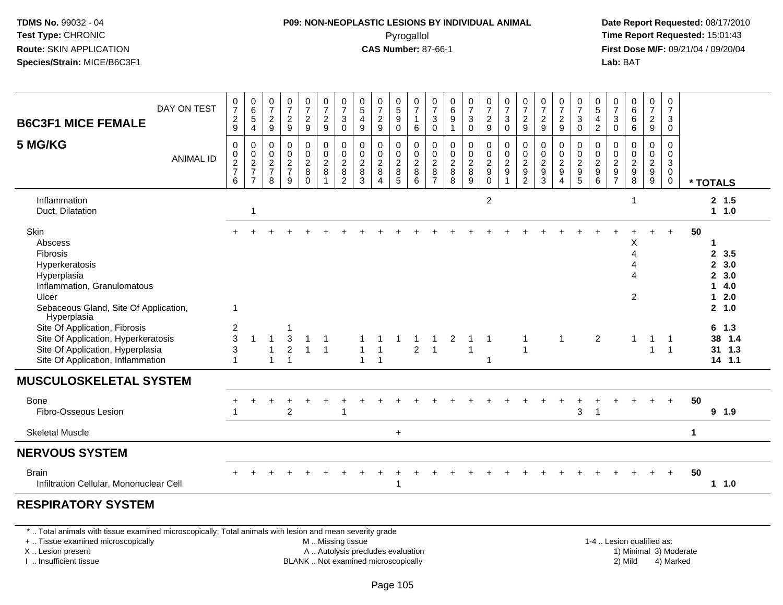#### **P09: NON-NEOPLASTIC LESIONS BY INDIVIDUAL ANIMAL**Pyrogallol **Time Report Requested:** 15:01:43

 **Date Report Requested:** 08/17/2010 **First Dose M/F:** 09/21/04 / 09/20/04<br>**Lab:** BAT **Lab:** BAT

| <b>B6C3F1 MICE FEMALE</b>                                                                                                                                    | DAY ON TEST      | $\frac{0}{7}$<br>$\frac{2}{9}$                               | $\begin{array}{c} 0 \\ 6 \end{array}$<br>$\sqrt{5}$<br>$\overline{4}$ | $\frac{0}{7}$<br>$\overline{2}$<br>$\boldsymbol{9}$               | $\frac{0}{7}$<br>$\boldsymbol{2}$<br>$\overline{9}$             | $\frac{0}{7}$<br>$\overline{c}$<br>9                | $\frac{0}{7}$<br>$\frac{2}{9}$                  | $\frac{0}{7}$<br>$\sqrt{3}$<br>$\pmb{0}$                | $\begin{matrix} 0 \\ 5 \end{matrix}$<br>$\overline{a}$<br>$\boldsymbol{9}$ | $\frac{0}{7}$<br>$\frac{2}{9}$                           | 0<br>$\overline{5}$<br>9<br>$\mathsf 0$  | $\frac{0}{7}$<br>$\overline{1}$<br>$\,6\,$             | $\frac{0}{7}$<br>$\mathbf{3}$<br>$\mathbf 0$      | $\begin{array}{c} 0 \\ 6 \end{array}$<br>$\boldsymbol{9}$<br>1 | $\frac{0}{7}$<br>$\mathbf{3}$<br>$\overline{0}$ | $\frac{0}{7}$<br>$\frac{2}{9}$                                  | $\frac{0}{7}$<br>$\sqrt{3}$<br>$\overline{0}$                       | 0<br>$\overline{7}$<br>$\sqrt{2}$<br>$\boldsymbol{9}$                  | $\frac{0}{7}$<br>$\overline{2}$<br>$9\,$       | $\frac{0}{7}$<br>$\overline{c}$<br>9 | $\frac{0}{7}$<br>$\mathbf{3}$<br>$\pmb{0}$   | $\begin{array}{c} 0 \\ 5 \end{array}$<br>$\overline{4}$<br>$\overline{c}$ | 0<br>$\overline{7}$<br>$\sqrt{3}$<br>0             | $\begin{array}{c} 0 \\ 6 \\ 6 \end{array}$<br>$\,6\,$ | 0<br>$\overline{7}$<br>$\boldsymbol{2}$<br>$\boldsymbol{9}$                | 0<br>$\overline{7}$<br>$\sqrt{3}$<br>0                                   |             |                                                                                          |
|--------------------------------------------------------------------------------------------------------------------------------------------------------------|------------------|--------------------------------------------------------------|-----------------------------------------------------------------------|-------------------------------------------------------------------|-----------------------------------------------------------------|-----------------------------------------------------|-------------------------------------------------|---------------------------------------------------------|----------------------------------------------------------------------------|----------------------------------------------------------|------------------------------------------|--------------------------------------------------------|---------------------------------------------------|----------------------------------------------------------------|-------------------------------------------------|-----------------------------------------------------------------|---------------------------------------------------------------------|------------------------------------------------------------------------|------------------------------------------------|--------------------------------------|----------------------------------------------|---------------------------------------------------------------------------|----------------------------------------------------|-------------------------------------------------------|----------------------------------------------------------------------------|--------------------------------------------------------------------------|-------------|------------------------------------------------------------------------------------------|
| 5 MG/KG                                                                                                                                                      | <b>ANIMAL ID</b> | $\pmb{0}$<br>$\begin{array}{c} 0 \\ 2 \\ 7 \end{array}$<br>6 | $\pmb{0}$<br>$\frac{0}{2}$<br>$\overline{7}$                          | $\mathbf 0$<br>$\pmb{0}$<br>$\overline{2}$<br>$\overline{7}$<br>8 | $\pmb{0}$<br>$\pmb{0}$<br>$\overline{2}$<br>$\overline{7}$<br>9 | 0<br>$\mathbf 0$<br>$\overline{2}$<br>8<br>$\Omega$ | $\pmb{0}$<br>$\mathsf 0$<br>$\overline{2}$<br>8 | $\pmb{0}$<br>$\frac{0}{2}$<br>$\bf 8$<br>$\overline{2}$ | 0<br>$\mathbf 0$<br>$\overline{2}$<br>$\bf 8$<br>3                         | 0<br>$\mathbf 0$<br>$\overline{2}$<br>$\, 8$<br>$\Delta$ | 0<br>0<br>$\overline{2}$<br>$\bf 8$<br>5 | $\mathbf 0$<br>$\mathbf 0$<br>$\overline{2}$<br>8<br>6 | 0<br>0<br>$\sqrt{2}$<br>$\bf 8$<br>$\overline{7}$ | 0<br>$\pmb{0}$<br>$\overline{2}$<br>$\bf 8$<br>8               | $\pmb{0}$<br>$\frac{0}{2}$<br>9                 | $\mathbf 0$<br>$\frac{0}{2}$<br>$\boldsymbol{9}$<br>$\mathbf 0$ | $\begin{smallmatrix} 0\\0\\2 \end{smallmatrix}$<br>$\boldsymbol{9}$ | 0<br>$\pmb{0}$<br>$\overline{2}$<br>$\boldsymbol{9}$<br>$\overline{2}$ | 0<br>$\pmb{0}$<br>$\overline{2}$<br>$9\,$<br>3 | 0<br>0<br>$\overline{c}$<br>9<br>4   | 0<br>$_{2}^{\rm 0}$<br>$\boldsymbol{9}$<br>5 | 0<br>$_{2}^{\rm 0}$<br>9<br>6                                             | $\Omega$<br>0<br>$\sqrt{2}$<br>9<br>$\overline{7}$ | $\mathbf 0$<br>$\frac{0}{2}$<br>8                     | 0<br>$\mathbf 0$<br>$\overline{2}$<br>$\boldsymbol{9}$<br>$\boldsymbol{9}$ | $\mathbf 0$<br>$\mathbf 0$<br>$\mathbf{3}$<br>$\mathbf 0$<br>$\mathbf 0$ |             | * TOTALS                                                                                 |
| Inflammation<br>Duct, Dilatation                                                                                                                             |                  |                                                              | $\overline{1}$                                                        |                                                                   |                                                                 |                                                     |                                                 |                                                         |                                                                            |                                                          |                                          |                                                        |                                                   |                                                                |                                                 | $\overline{c}$                                                  |                                                                     |                                                                        |                                                |                                      |                                              |                                                                           |                                                    |                                                       |                                                                            |                                                                          |             | 2, 1.5<br>1 1.0                                                                          |
| Skin<br>Abscess<br>Fibrosis<br>Hyperkeratosis<br>Hyperplasia<br>Inflammation, Granulomatous<br>Ulcer<br>Sebaceous Gland, Site Of Application,                |                  | $\mathbf{1}$                                                 |                                                                       |                                                                   |                                                                 |                                                     |                                                 |                                                         |                                                                            |                                                          |                                          |                                                        |                                                   |                                                                |                                                 |                                                                 |                                                                     |                                                                        |                                                |                                      |                                              |                                                                           |                                                    | X<br>$\Delta$<br>Λ<br>Δ<br>2                          |                                                                            |                                                                          | 50          | 1<br>$\mathbf{2}$<br>3.5<br>2, 3.0<br>$\mathbf{2}$<br>3.0<br>4.0<br>1.<br>12.0<br>2, 1.0 |
| Hyperplasia<br>Site Of Application, Fibrosis<br>Site Of Application, Hyperkeratosis<br>Site Of Application, Hyperplasia<br>Site Of Application, Inflammation |                  | $\overline{c}$<br>3<br>3                                     | $\overline{ }$                                                        | $\overline{1}$<br>$\mathbf{1}$                                    | 3<br>$\overline{c}$<br>1                                        | 1<br>$\mathbf{1}$                                   | $\mathbf{1}$                                    |                                                         | $\mathbf{1}$<br>$\mathbf{1}$                                               | $\overline{1}$<br>$\overline{1}$                         |                                          | $\overline{2}$                                         | $\overline{1}$                                    | $\overline{\mathbf{c}}$                                        | $\overline{1}$                                  |                                                                 |                                                                     | $\overline{1}$<br>$\overline{1}$                                       |                                                | $\mathbf{1}$                         |                                              | $\overline{2}$                                                            |                                                    | $\mathbf{1}$                                          | $\overline{1}$<br>$\overline{1}$                                           | $\overline{1}$<br>$\overline{1}$                                         |             | $6 \t1.3$<br>38 1.4<br>31 1.3<br>$14$ 1.1                                                |
| <b>MUSCULOSKELETAL SYSTEM</b>                                                                                                                                |                  |                                                              |                                                                       |                                                                   |                                                                 |                                                     |                                                 |                                                         |                                                                            |                                                          |                                          |                                                        |                                                   |                                                                |                                                 |                                                                 |                                                                     |                                                                        |                                                |                                      |                                              |                                                                           |                                                    |                                                       |                                                                            |                                                                          |             |                                                                                          |
| Bone<br>Fibro-Osseous Lesion                                                                                                                                 |                  |                                                              |                                                                       |                                                                   | $\overline{c}$                                                  |                                                     |                                                 | -1                                                      |                                                                            |                                                          |                                          |                                                        |                                                   |                                                                |                                                 |                                                                 |                                                                     |                                                                        |                                                |                                      | 3                                            | $\overline{1}$                                                            |                                                    |                                                       |                                                                            | $+$                                                                      | 50          | 9 1.9                                                                                    |
| <b>Skeletal Muscle</b>                                                                                                                                       |                  |                                                              |                                                                       |                                                                   |                                                                 |                                                     |                                                 |                                                         |                                                                            |                                                          | $\ddot{}$                                |                                                        |                                                   |                                                                |                                                 |                                                                 |                                                                     |                                                                        |                                                |                                      |                                              |                                                                           |                                                    |                                                       |                                                                            |                                                                          | $\mathbf 1$ |                                                                                          |
| <b>NERVOUS SYSTEM</b>                                                                                                                                        |                  |                                                              |                                                                       |                                                                   |                                                                 |                                                     |                                                 |                                                         |                                                                            |                                                          |                                          |                                                        |                                                   |                                                                |                                                 |                                                                 |                                                                     |                                                                        |                                                |                                      |                                              |                                                                           |                                                    |                                                       |                                                                            |                                                                          |             |                                                                                          |
| <b>Brain</b><br>Infiltration Cellular, Mononuclear Cell                                                                                                      |                  |                                                              |                                                                       |                                                                   |                                                                 |                                                     |                                                 |                                                         |                                                                            |                                                          |                                          |                                                        |                                                   |                                                                |                                                 |                                                                 |                                                                     |                                                                        |                                                |                                      |                                              |                                                                           |                                                    |                                                       |                                                                            |                                                                          | 50          | $1 1.0$                                                                                  |
| <b>DECDIDATODV CVCTEM</b>                                                                                                                                    |                  |                                                              |                                                                       |                                                                   |                                                                 |                                                     |                                                 |                                                         |                                                                            |                                                          |                                          |                                                        |                                                   |                                                                |                                                 |                                                                 |                                                                     |                                                                        |                                                |                                      |                                              |                                                                           |                                                    |                                                       |                                                                            |                                                                          |             |                                                                                          |

#### **RESPIRATORY SYSTEM**

\* .. Total animals with tissue examined microscopically; Total animals with lesion and mean severity grade

+ .. Tissue examined microscopically

X .. Lesion present

I .. Insufficient tissue

M .. Missing tissue

A .. Autolysis precludes evaluation

BLANK .. Not examined microscopically 2) Mild 4) Marked

1-4 .. Lesion qualified as:<br>1) Minimal 3) Moderate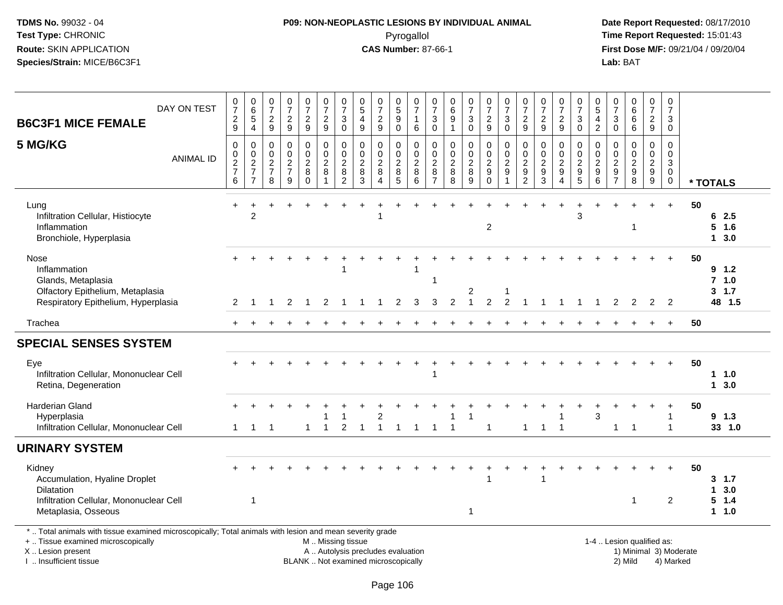## **P09: NON-NEOPLASTIC LESIONS BY INDIVIDUAL ANIMAL**Pyrogallol **Time Report Requested:** 15:01:43

| DAY ON TEST<br><b>B6C3F1 MICE FEMALE</b>                                                                                                                                                      | $\frac{0}{7}$<br>$\frac{2}{9}$         | $\begin{array}{c} 0 \\ 6 \\ 5 \end{array}$<br>$\overline{4}$ | 0<br>$\overline{7}$<br>$\overline{\mathbf{c}}$<br>$\boldsymbol{9}$ | $\frac{0}{7}$<br>$\frac{2}{9}$                           | $\frac{0}{7}$<br>$\overline{c}$<br>$\overline{9}$ | $\frac{0}{7}$<br>$\overline{c}$<br>9                                | $\frac{0}{7}$<br>$\ensuremath{\mathsf{3}}$<br>$\mathbf 0$ | 0<br>$\overline{5}$<br>$\overline{\mathbf{4}}$<br>9          | $\frac{0}{7}$<br>$\overline{c}$<br>9                                     | $\begin{array}{c} 0 \\ 5 \end{array}$<br>$\boldsymbol{9}$<br>$\mathbf 0$ | 0<br>$\overline{7}$<br>$\mathbf{1}$<br>6                                    | $\frac{0}{7}$<br>3<br>$\mathbf 0$                                 | $\begin{array}{c} 0 \\ 6 \end{array}$<br>$\frac{9}{1}$ | $\frac{0}{7}$<br>$\sqrt{3}$<br>$\overline{0}$ | 0<br>$\overline{7}$<br>$\overline{c}$<br>9               | $\frac{0}{7}$<br>$\sqrt{3}$<br>$\mathbf 0$                                | $\frac{0}{7}$<br>$\boldsymbol{2}$<br>9              | 0<br>$\overline{7}$<br>$\boldsymbol{2}$<br>9                   | $\frac{0}{7}$<br>$\overline{\mathbf{c}}$<br>9       | 0<br>$\overline{7}$<br>$\ensuremath{\mathsf{3}}$<br>$\mathbf 0$ | $\begin{array}{c} 0 \\ 5 \end{array}$<br>4<br>$\overline{c}$ | $\frac{0}{7}$<br>$_{0}^{3}$                 | $\begin{matrix}0\6\6\end{matrix}$<br>6           | $\frac{0}{7}$<br>$\overline{a}$<br>9   | $\pmb{0}$<br>$\overline{7}$<br>$\sqrt{3}$<br>$\mathbf 0$                |    |                                             |
|-----------------------------------------------------------------------------------------------------------------------------------------------------------------------------------------------|----------------------------------------|--------------------------------------------------------------|--------------------------------------------------------------------|----------------------------------------------------------|---------------------------------------------------|---------------------------------------------------------------------|-----------------------------------------------------------|--------------------------------------------------------------|--------------------------------------------------------------------------|--------------------------------------------------------------------------|-----------------------------------------------------------------------------|-------------------------------------------------------------------|--------------------------------------------------------|-----------------------------------------------|----------------------------------------------------------|---------------------------------------------------------------------------|-----------------------------------------------------|----------------------------------------------------------------|-----------------------------------------------------|-----------------------------------------------------------------|--------------------------------------------------------------|---------------------------------------------|--------------------------------------------------|----------------------------------------|-------------------------------------------------------------------------|----|---------------------------------------------|
| 5 MG/KG<br><b>ANIMAL ID</b>                                                                                                                                                                   | 0<br>$\mathbf 0$<br>$\frac{2}{7}$<br>6 | 0<br>$\boldsymbol{0}$<br>$\frac{2}{7}$<br>$\overline{7}$     | $\mathbf 0$<br>0<br>$\boldsymbol{2}$<br>$\overline{7}$<br>8        | $\mathbf 0$<br>$\ddot{\mathbf{0}}$<br>$\frac{2}{7}$<br>9 | 0<br>$\pmb{0}$<br>$_{8}^{\rm 2}$<br>0             | $\mathbf 0$<br>$\pmb{0}$<br>$\boldsymbol{2}$<br>8<br>$\overline{1}$ | 0<br>$\pmb{0}$<br>$\frac{2}{8}$<br>$\overline{2}$         | $\mathbf 0$<br>$\mathbf 0$<br>$\overline{c}$<br>$\bf 8$<br>3 | $\mathbf 0$<br>$\mathbf 0$<br>$\overline{c}$<br>$\bf 8$<br>$\Delta$      | $\mathbf 0$<br>$\mathsf{O}\xspace$<br>$_{8}^{\rm 2}$<br>5                | $\mathbf 0$<br>$\mathbf 0$<br>$\boldsymbol{2}$<br>$\,8\,$<br>$6\phantom{1}$ | 0<br>$\mathbf 0$<br>$\boldsymbol{2}$<br>$\bf 8$<br>$\overline{7}$ | $\mathbf 0$<br>$\frac{0}{2}$<br>8                      | 0<br>$\overline{0}$<br>$_{8}^{\rm 2}$<br>9    | 0<br>$\mathsf{O}\xspace$<br>$\frac{2}{9}$<br>$\mathbf 0$ | $\mathbf 0$<br>$\begin{array}{c} 0 \\ 2 \\ 9 \end{array}$<br>$\mathbf{1}$ | 0<br>$\mathbf 0$<br>$\frac{2}{9}$<br>$\overline{c}$ | $\Omega$<br>$\mathbf 0$<br>$\sqrt{2}$<br>$\boldsymbol{9}$<br>3 | 0<br>$\mathbf 0$<br>$\frac{2}{9}$<br>$\overline{4}$ | 0<br>$\mathbf 0$<br>$\frac{2}{9}$<br>$\overline{5}$             | $\mathbf 0$<br>$\mathbf 0$<br>$\frac{2}{9}$<br>$\,6\,$       | $\mathbf 0$<br>$\mathbf 0$<br>$\frac{2}{9}$ | $\mathbf 0$<br>$\mathbf 0$<br>$\frac{2}{9}$<br>8 | 0<br>$\mathbf 0$<br>$\frac{2}{9}$<br>9 | $\mathbf 0$<br>$\pmb{0}$<br>$\sqrt{3}$<br>$\boldsymbol{0}$<br>$\pmb{0}$ |    | * TOTALS                                    |
| Lung<br>Infiltration Cellular, Histiocyte<br>Inflammation<br>Bronchiole, Hyperplasia                                                                                                          |                                        | $\overline{2}$                                               |                                                                    |                                                          |                                                   |                                                                     |                                                           |                                                              |                                                                          |                                                                          |                                                                             |                                                                   |                                                        |                                               | $\overline{2}$                                           |                                                                           |                                                     |                                                                |                                                     | 3                                                               |                                                              |                                             | -1                                               |                                        | $\ddot{+}$                                                              | 50 | 62.5<br>$5$ 1.6<br>13.0                     |
| Nose<br>Inflammation<br>Glands, Metaplasia<br>Olfactory Epithelium, Metaplasia<br>Respiratory Epithelium, Hyperplasia                                                                         | 2                                      |                                                              |                                                                    | 2                                                        | $\overline{1}$                                    | 2                                                                   |                                                           |                                                              |                                                                          | 2                                                                        | -1<br>3                                                                     | 1<br>3                                                            | 2                                                      | $\overline{2}$<br>$\mathbf{1}$                | $\overline{2}$                                           | 2                                                                         | $\overline{1}$                                      | -1                                                             | $\overline{1}$                                      | $\overline{1}$                                                  | $\mathbf{1}$                                                 | 2                                           | 2                                                | 2                                      | $\overline{2}$                                                          | 50 | $9 \t1.2$<br>$7$ 1.0<br>$3 \t1.7$<br>48 1.5 |
| Trachea                                                                                                                                                                                       |                                        |                                                              |                                                                    |                                                          |                                                   |                                                                     |                                                           |                                                              |                                                                          |                                                                          |                                                                             |                                                                   |                                                        |                                               |                                                          |                                                                           |                                                     |                                                                |                                                     |                                                                 |                                                              |                                             |                                                  |                                        | $\ddot{}$                                                               | 50 |                                             |
| <b>SPECIAL SENSES SYSTEM</b>                                                                                                                                                                  |                                        |                                                              |                                                                    |                                                          |                                                   |                                                                     |                                                           |                                                              |                                                                          |                                                                          |                                                                             |                                                                   |                                                        |                                               |                                                          |                                                                           |                                                     |                                                                |                                                     |                                                                 |                                                              |                                             |                                                  |                                        |                                                                         |    |                                             |
|                                                                                                                                                                                               |                                        |                                                              |                                                                    |                                                          |                                                   |                                                                     |                                                           |                                                              |                                                                          |                                                                          |                                                                             |                                                                   |                                                        |                                               |                                                          |                                                                           |                                                     |                                                                |                                                     |                                                                 |                                                              |                                             |                                                  |                                        |                                                                         |    |                                             |
| Eye<br>Infiltration Cellular, Mononuclear Cell<br>Retina, Degeneration                                                                                                                        |                                        |                                                              |                                                                    |                                                          |                                                   |                                                                     |                                                           |                                                              |                                                                          |                                                                          |                                                                             | 1                                                                 |                                                        |                                               |                                                          |                                                                           |                                                     |                                                                |                                                     |                                                                 |                                                              |                                             |                                                  |                                        |                                                                         | 50 | 11.0<br>13.0                                |
| Harderian Gland<br>Hyperplasia<br>Infiltration Cellular, Mononuclear Cell                                                                                                                     | 1                                      | $\mathbf{1}$                                                 | -1                                                                 |                                                          | $\mathbf{1}$                                      | $\overline{1}$                                                      | $\overline{2}$                                            | $\overline{1}$                                               | 2<br>$\overline{1}$                                                      | $\mathbf{1}$                                                             | $\overline{1}$                                                              | $\mathbf{1}$                                                      | $\overline{1}$                                         |                                               | $\mathbf{1}$                                             |                                                                           | $\mathbf{1}$                                        | $\overline{1}$                                                 | $\overline{1}$                                      |                                                                 | 3                                                            | $\mathbf{1}$                                | $\overline{1}$                                   |                                        | $\overline{1}$                                                          | 50 | 9 1.3<br>33 1.0                             |
| <b>URINARY SYSTEM</b>                                                                                                                                                                         |                                        |                                                              |                                                                    |                                                          |                                                   |                                                                     |                                                           |                                                              |                                                                          |                                                                          |                                                                             |                                                                   |                                                        |                                               |                                                          |                                                                           |                                                     |                                                                |                                                     |                                                                 |                                                              |                                             |                                                  |                                        |                                                                         |    |                                             |
| Kidney<br>Accumulation, Hyaline Droplet<br>Dilatation<br>Infiltration Cellular, Mononuclear Cell<br>Metaplasia, Osseous                                                                       |                                        | -1                                                           |                                                                    |                                                          |                                                   |                                                                     |                                                           |                                                              |                                                                          |                                                                          |                                                                             |                                                                   |                                                        | $\mathbf 1$                                   |                                                          |                                                                           |                                                     |                                                                |                                                     |                                                                 |                                                              |                                             | $\mathbf 1$                                      |                                        | 2                                                                       | 50 | 3, 1.7<br>13.0<br>$5 \t1.4$<br>1.0          |
| *  Total animals with tissue examined microscopically; Total animals with lesion and mean severity grade<br>+  Tissue examined microscopically<br>X  Lesion present<br>I  Insufficient tissue |                                        |                                                              |                                                                    |                                                          |                                                   | M  Missing tissue                                                   |                                                           |                                                              | A  Autolysis precludes evaluation<br>BLANK  Not examined microscopically |                                                                          |                                                                             |                                                                   |                                                        |                                               |                                                          |                                                                           |                                                     |                                                                |                                                     |                                                                 |                                                              |                                             | 1-4  Lesion qualified as:<br>2) Mild             |                                        | 1) Minimal 3) Moderate<br>4) Marked                                     |    |                                             |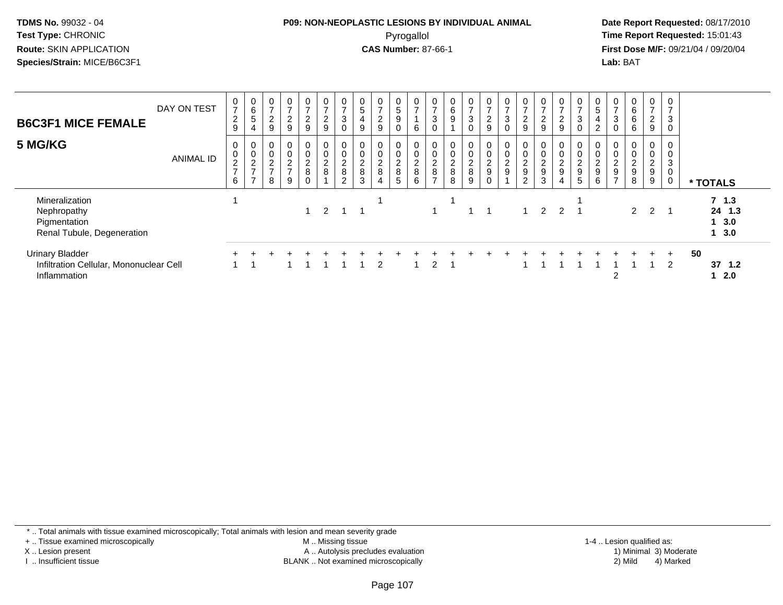#### **P09: NON-NEOPLASTIC LESIONS BY INDIVIDUAL ANIMAL**Pyrogallol **Time Report Requested:** 15:01:43

 **Date Report Requested:** 08/17/2010 **First Dose M/F:** 09/21/04 / 09/20/04<br>**Lab:** BAT **Lab:** BAT

| <b>B6C3F1 MICE FEMALE</b>                                                         | DAY ON TEST      | 0<br>$\overline{ }$<br>$\frac{2}{9}$ | $\mathbf 0$<br>6<br>5<br>$\overline{4}$ | $\frac{0}{7}$<br>$\frac{2}{9}$                                | 0<br>$\overline{7}$<br>$\frac{2}{9}$                             | $\overline{0}$<br>$\overline{ }$<br>$\frac{2}{9}$ | $\frac{0}{7}$<br>$\frac{2}{9}$ | 0<br>$\rightarrow$<br>$\ensuremath{\mathsf{3}}$<br>$\mathbf 0$ | $\boldsymbol{0}$<br>$\sqrt{5}$<br>$\overline{4}$<br>9 | 0<br>$\overline{ }$<br>$\frac{2}{9}$             | $\mathbf 0$<br>$\mathbf 5$<br>9<br>0 | $\mathbf 0$<br>$\overline{ }$<br>6 | 0<br>$\overline{ }$<br>3                 | 6<br>9                                                         | 0<br>$\rightarrow$<br>$\mathsf 3$<br>$\mathbf 0$ | $\frac{0}{7}$<br>$\frac{2}{9}$ | 0<br>$\overline{7}$<br>$\mathbf{3}$<br>$\Omega$ | $\mathbf 0$<br>$\rightarrow$<br>$\frac{2}{9}$ | $\overline{ }$<br>$\overline{2}$<br>9                    | 0<br>$\rightarrow$<br>$\overline{c}$<br>9 | 0<br>$\rightarrow$<br>$\sqrt{3}$<br>$\mathbf 0$                | 0<br>$\sqrt{5}$<br>$\overline{4}$<br>$\overline{2}$    | 0<br>$\overline{ }$<br>3<br>$\Omega$                                 | 0<br>6<br>$\,6$<br>6                      | $\frac{0}{7}$<br>$\frac{2}{9}$          | $\overline{ }$<br>3<br>0 |    |                                       |  |
|-----------------------------------------------------------------------------------|------------------|--------------------------------------|-----------------------------------------|---------------------------------------------------------------|------------------------------------------------------------------|---------------------------------------------------|--------------------------------|----------------------------------------------------------------|-------------------------------------------------------|--------------------------------------------------|--------------------------------------|------------------------------------|------------------------------------------|----------------------------------------------------------------|--------------------------------------------------|--------------------------------|-------------------------------------------------|-----------------------------------------------|----------------------------------------------------------|-------------------------------------------|----------------------------------------------------------------|--------------------------------------------------------|----------------------------------------------------------------------|-------------------------------------------|-----------------------------------------|--------------------------|----|---------------------------------------|--|
| 5 MG/KG                                                                           | <b>ANIMAL ID</b> | 0<br>0<br>$\frac{2}{7}$<br>6         | 0<br>$\mathbf 0$<br>$\frac{2}{7}$       | $\begin{smallmatrix} 0 \\ 0 \\ 2 \\ 7 \end{smallmatrix}$<br>8 | $\begin{matrix} 0 \\ 0 \\ 2 \end{matrix}$<br>$\overline{7}$<br>9 | 0<br>$\mathsf 0$<br>$\frac{2}{8}$<br>$\Omega$     | 0<br>0<br>$\frac{2}{8}$        | $\boldsymbol{0}$<br>$\pmb{0}$<br>$_{\rm 8}^2$<br>$\Omega$      | $\pmb{0}$<br>$\sqrt{2}$<br>$\,8\,$<br>3               | 0<br>$\pmb{0}$<br>$_{\rm 8}^2$<br>$\overline{4}$ | 0<br>0<br>$_{8}^2$<br>5              | $\pmb{0}$<br>$_{\rm 8}^2$<br>6     | 0<br>0<br>$\frac{2}{8}$<br>$\rightarrow$ | 0<br>$\mathbf 0$<br>$\begin{array}{c} 2 \\ 8 \end{array}$<br>8 | 0<br>$\mathbf 0$<br>$_{8}^{\rm 2}$<br>9          | 0<br>0<br>$\frac{2}{9}$        | 0<br>$\pmb{0}$<br>$\frac{2}{9}$                 | $\mathbf 0$<br>$\frac{2}{9}$<br>2             | $\mathbf 0$<br>$\boldsymbol{2}$<br>$\boldsymbol{9}$<br>3 | 0<br>$\frac{2}{9}$<br>4                   | 0<br>$\mathsf{O}\xspace$<br>$\overline{c}$<br>$\mathsf g$<br>5 | $\mathsf 0$<br>$\overline{c}$<br>$\boldsymbol{9}$<br>6 | 0<br>$\mathbf 0$<br>$\sqrt{2}$<br>$\boldsymbol{9}$<br>$\overline{ }$ | $\boldsymbol{2}$<br>$\boldsymbol{9}$<br>8 | 0<br>$\mathsf{O}$<br>$\frac{2}{9}$<br>9 | 0<br>0<br>3<br>0         |    | * TOTALS                              |  |
| Mineralization<br>Nephropathy<br>Pigmentation<br>Renal Tubule, Degeneration       |                  |                                      |                                         |                                                               |                                                                  | 1                                                 | $\mathcal{P}$                  | -1                                                             |                                                       |                                                  |                                      |                                    |                                          |                                                                |                                                  |                                |                                                 |                                               | $\mathcal{P}$                                            | $2 \quad 1$                               |                                                                |                                                        |                                                                      | 2                                         | 2                                       |                          |    | $7 \t1.3$<br>24 1.3<br>1, 3.0<br>13.0 |  |
| <b>Urinary Bladder</b><br>Infiltration Cellular, Mononuclear Cell<br>Inflammation |                  |                                      |                                         |                                                               |                                                                  |                                                   |                                |                                                                |                                                       | 2                                                |                                      |                                    | 2                                        |                                                                |                                                  |                                |                                                 |                                               |                                                          |                                           |                                                                |                                                        | 2                                                                    |                                           | $+$                                     | $+$<br>$\overline{2}$    | 50 | 37, 1.2<br>2.0                        |  |

\* .. Total animals with tissue examined microscopically; Total animals with lesion and mean severity grade

+ .. Tissue examined microscopically

X .. Lesion present

I .. Insufficient tissue

 M .. Missing tissueA .. Autolysis precludes evaluation

1-4 .. Lesion qualified as:<br>1) Minimal 3) Moderate BLANK .. Not examined microscopically 2) Mild 4) Marked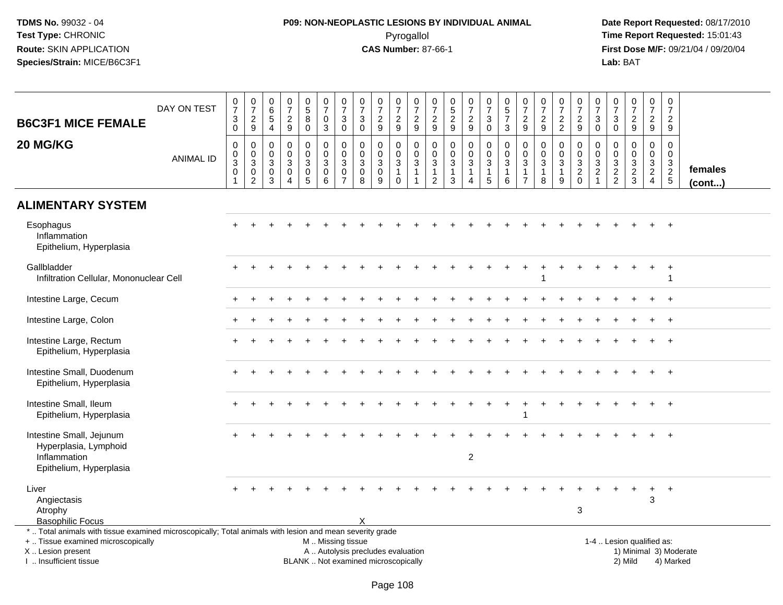# **P09: NON-NEOPLASTIC LESIONS BY INDIVIDUAL ANIMAL**Pyrogallol **Time Report Requested:** 15:01:43

| <b>B6C3F1 MICE FEMALE</b><br>20 MG/KG                                                                                                                                                         | DAY ON TEST<br><b>ANIMAL ID</b> | $\frac{0}{7}$<br>$\sqrt{3}$<br>$\mathbf 0$<br>$\mathbf 0$<br>$_{3}^{\rm 0}$<br>$\mathsf 0$ | $\frac{0}{7}$<br>$\sqrt{2}$<br>$\boldsymbol{9}$<br>$\pmb{0}$<br>$_{3}^{\rm 0}$<br>$\pmb{0}$ | 0<br>6<br>$\overline{5}$<br>$\overline{4}$<br>$\Omega$<br>$\mathbf 0$<br>3<br>0 | $\mathbf 0$<br>$\overline{7}$<br>$\sqrt{2}$<br>9<br>$\Omega$<br>$\Omega$<br>3<br>$\mathbf 0$ | 0<br>$\overline{5}$<br>8<br>$\pmb{0}$<br>0<br>$\mathbf 0$<br>3<br>$\mathbf 0$ | $\begin{array}{c} 0 \\ 7 \end{array}$<br>$\pmb{0}$<br>3<br>0<br>$\mathbf 0$<br>$\overline{3}$<br>$\mathbf 0$ | $\frac{0}{7}$<br>$\mathbf{3}$<br>$\mathbf 0$<br>0<br>$\mathbf 0$<br>3<br>$\mathbf 0$ | 0<br>$\overline{7}$<br>3<br>$\pmb{0}$<br>$\Omega$<br>$\mathbf 0$<br>$\mathbf{3}$<br>0 | $\frac{0}{7}$<br>$\boldsymbol{2}$<br>9<br>$\mathbf{0}$<br>$\mathbf 0$<br>$\sqrt{3}$<br>$\pmb{0}$ | 0<br>$\overline{7}$<br>$\boldsymbol{2}$<br>9<br>0<br>$\mathbf 0$<br>$\sqrt{3}$<br>$\overline{1}$ | $\begin{array}{c} 0 \\ 7 \end{array}$<br>$\boldsymbol{2}$<br>9<br>$\mathbf 0$<br>$\mathsf 0$<br>$\sqrt{3}$<br>$\mathbf{1}$ | 0<br>$\overline{7}$<br>$\boldsymbol{2}$<br>9<br>0<br>$\mathbf 0$<br>3<br>1 | 0<br>$\overline{5}$<br>$\overline{2}$<br>9<br>0<br>$\mathbf 0$<br>$\overline{3}$<br>$\mathbf{1}$ | $\frac{0}{7}$<br>$\overline{c}$<br>9<br>0<br>$\mathbf 0$<br>$\mathbf{3}$<br>$\mathbf{1}$ | $\frac{0}{7}$<br>3<br>$\mathbf 0$<br>0<br>$\mathbf 0$<br>$\overline{3}$<br>1 | $\begin{array}{c} 0 \\ 5 \\ 7 \end{array}$<br>3<br>$\mathbf 0$<br>$\mathbf 0$<br>$\sqrt{3}$<br>$\mathbf{1}$ | 0<br>$\overline{7}$<br>$\overline{2}$<br>9<br>$\Omega$<br>$\Omega$<br>3<br>$\overline{1}$ | $\frac{0}{7}$<br>$\boldsymbol{2}$<br>9<br>$\Omega$<br>$\mathbf 0$<br>3<br>$\mathbf{1}$ | $\mathbf 0$<br>$\overline{7}$<br>$\boldsymbol{2}$<br>$\overline{2}$<br>0<br>$\mathbf 0$<br>3<br>1 | $\frac{0}{7}$<br>$\overline{c}$<br>$\boldsymbol{9}$<br>0<br>$\mathsf{O}\xspace$<br>$\overline{3}$<br>$\sqrt{2}$ | $\frac{0}{7}$<br>3<br>$\mathbf 0$<br>$\Omega$<br>$\mathbf 0$<br>3<br>$\overline{c}$ | 0<br>$\overline{7}$<br>$\mathbf{3}$<br>$\mathsf 0$<br>$\mathbf{0}$<br>$\mathbf 0$<br>$\mathbf{3}$<br>$\frac{2}{2}$ | $\begin{smallmatrix}0\\7\end{smallmatrix}$<br>$\frac{2}{9}$<br>$\Omega$<br>$\mathbf 0$<br>$\sqrt{3}$<br>$\frac{2}{3}$ | $\mathbf 0$<br>$\overline{7}$<br>$\overline{a}$<br>9<br>0<br>$\mathbf 0$<br>3<br>$\overline{2}$ | $\mathbf 0$<br>$\overline{7}$<br>$\sqrt{2}$<br>9<br>$\Omega$<br>$\mathbf 0$<br>$\mathbf{3}$<br>$\frac{2}{5}$ | females      |
|-----------------------------------------------------------------------------------------------------------------------------------------------------------------------------------------------|---------------------------------|--------------------------------------------------------------------------------------------|---------------------------------------------------------------------------------------------|---------------------------------------------------------------------------------|----------------------------------------------------------------------------------------------|-------------------------------------------------------------------------------|--------------------------------------------------------------------------------------------------------------|--------------------------------------------------------------------------------------|---------------------------------------------------------------------------------------|--------------------------------------------------------------------------------------------------|--------------------------------------------------------------------------------------------------|----------------------------------------------------------------------------------------------------------------------------|----------------------------------------------------------------------------|--------------------------------------------------------------------------------------------------|------------------------------------------------------------------------------------------|------------------------------------------------------------------------------|-------------------------------------------------------------------------------------------------------------|-------------------------------------------------------------------------------------------|----------------------------------------------------------------------------------------|---------------------------------------------------------------------------------------------------|-----------------------------------------------------------------------------------------------------------------|-------------------------------------------------------------------------------------|--------------------------------------------------------------------------------------------------------------------|-----------------------------------------------------------------------------------------------------------------------|-------------------------------------------------------------------------------------------------|--------------------------------------------------------------------------------------------------------------|--------------|
|                                                                                                                                                                                               |                                 |                                                                                            | $\overline{2}$                                                                              | 3                                                                               | $\overline{4}$                                                                               | $\overline{5}$                                                                | $\,6\,$                                                                                                      | $\overline{7}$                                                                       | 8                                                                                     | 9                                                                                                | $\mathbf 0$                                                                                      | $\overline{1}$                                                                                                             | $\overline{2}$                                                             | 3                                                                                                | 4                                                                                        | $\overline{5}$                                                               | 6                                                                                                           | $\overline{7}$                                                                            | 8                                                                                      | 9                                                                                                 | $\mathbf 0$                                                                                                     | $\blacktriangleleft$                                                                |                                                                                                                    |                                                                                                                       | $\overline{4}$                                                                                  |                                                                                                              | $($ cont $)$ |
| <b>ALIMENTARY SYSTEM</b>                                                                                                                                                                      |                                 |                                                                                            |                                                                                             |                                                                                 |                                                                                              |                                                                               |                                                                                                              |                                                                                      |                                                                                       |                                                                                                  |                                                                                                  |                                                                                                                            |                                                                            |                                                                                                  |                                                                                          |                                                                              |                                                                                                             |                                                                                           |                                                                                        |                                                                                                   |                                                                                                                 |                                                                                     |                                                                                                                    |                                                                                                                       |                                                                                                 |                                                                                                              |              |
| Esophagus<br>Inflammation<br>Epithelium, Hyperplasia                                                                                                                                          |                                 |                                                                                            |                                                                                             |                                                                                 |                                                                                              |                                                                               |                                                                                                              |                                                                                      |                                                                                       |                                                                                                  |                                                                                                  |                                                                                                                            |                                                                            |                                                                                                  |                                                                                          |                                                                              |                                                                                                             |                                                                                           |                                                                                        |                                                                                                   |                                                                                                                 |                                                                                     |                                                                                                                    |                                                                                                                       |                                                                                                 |                                                                                                              |              |
| Gallbladder<br>Infiltration Cellular, Mononuclear Cell                                                                                                                                        |                                 |                                                                                            |                                                                                             |                                                                                 |                                                                                              |                                                                               |                                                                                                              |                                                                                      |                                                                                       |                                                                                                  |                                                                                                  |                                                                                                                            |                                                                            |                                                                                                  |                                                                                          |                                                                              |                                                                                                             |                                                                                           |                                                                                        |                                                                                                   |                                                                                                                 |                                                                                     |                                                                                                                    |                                                                                                                       |                                                                                                 | $\ddot{}$<br>-1                                                                                              |              |
| Intestine Large, Cecum                                                                                                                                                                        |                                 |                                                                                            |                                                                                             |                                                                                 |                                                                                              |                                                                               |                                                                                                              |                                                                                      |                                                                                       |                                                                                                  |                                                                                                  |                                                                                                                            |                                                                            |                                                                                                  |                                                                                          |                                                                              |                                                                                                             |                                                                                           |                                                                                        |                                                                                                   |                                                                                                                 |                                                                                     |                                                                                                                    |                                                                                                                       |                                                                                                 | $\overline{+}$                                                                                               |              |
| Intestine Large, Colon                                                                                                                                                                        |                                 |                                                                                            |                                                                                             |                                                                                 |                                                                                              |                                                                               |                                                                                                              |                                                                                      |                                                                                       |                                                                                                  |                                                                                                  |                                                                                                                            |                                                                            |                                                                                                  |                                                                                          |                                                                              |                                                                                                             |                                                                                           |                                                                                        |                                                                                                   |                                                                                                                 |                                                                                     |                                                                                                                    |                                                                                                                       |                                                                                                 | $\ddot{}$                                                                                                    |              |
| Intestine Large, Rectum<br>Epithelium, Hyperplasia                                                                                                                                            |                                 |                                                                                            |                                                                                             |                                                                                 |                                                                                              |                                                                               |                                                                                                              |                                                                                      |                                                                                       |                                                                                                  |                                                                                                  |                                                                                                                            |                                                                            |                                                                                                  |                                                                                          |                                                                              |                                                                                                             |                                                                                           |                                                                                        |                                                                                                   |                                                                                                                 |                                                                                     |                                                                                                                    |                                                                                                                       |                                                                                                 |                                                                                                              |              |
| Intestine Small, Duodenum<br>Epithelium, Hyperplasia                                                                                                                                          |                                 |                                                                                            |                                                                                             |                                                                                 |                                                                                              |                                                                               |                                                                                                              |                                                                                      |                                                                                       |                                                                                                  |                                                                                                  |                                                                                                                            |                                                                            |                                                                                                  |                                                                                          |                                                                              |                                                                                                             |                                                                                           |                                                                                        |                                                                                                   |                                                                                                                 |                                                                                     |                                                                                                                    |                                                                                                                       |                                                                                                 | $\overline{+}$                                                                                               |              |
| Intestine Small, Ileum<br>Epithelium, Hyperplasia                                                                                                                                             |                                 |                                                                                            |                                                                                             |                                                                                 |                                                                                              |                                                                               |                                                                                                              |                                                                                      |                                                                                       |                                                                                                  |                                                                                                  |                                                                                                                            |                                                                            |                                                                                                  |                                                                                          |                                                                              |                                                                                                             |                                                                                           |                                                                                        |                                                                                                   |                                                                                                                 |                                                                                     |                                                                                                                    |                                                                                                                       |                                                                                                 | $\overline{+}$                                                                                               |              |
| Intestine Small, Jejunum<br>Hyperplasia, Lymphoid                                                                                                                                             |                                 |                                                                                            |                                                                                             |                                                                                 |                                                                                              |                                                                               |                                                                                                              |                                                                                      |                                                                                       |                                                                                                  |                                                                                                  |                                                                                                                            |                                                                            |                                                                                                  |                                                                                          |                                                                              |                                                                                                             |                                                                                           |                                                                                        |                                                                                                   |                                                                                                                 |                                                                                     |                                                                                                                    |                                                                                                                       |                                                                                                 |                                                                                                              |              |
| Inflammation<br>Epithelium, Hyperplasia                                                                                                                                                       |                                 |                                                                                            |                                                                                             |                                                                                 |                                                                                              |                                                                               |                                                                                                              |                                                                                      |                                                                                       |                                                                                                  |                                                                                                  |                                                                                                                            |                                                                            |                                                                                                  | $\boldsymbol{2}$                                                                         |                                                                              |                                                                                                             |                                                                                           |                                                                                        |                                                                                                   |                                                                                                                 |                                                                                     |                                                                                                                    |                                                                                                                       |                                                                                                 |                                                                                                              |              |
| Liver<br>Angiectasis<br>Atrophy                                                                                                                                                               |                                 |                                                                                            |                                                                                             |                                                                                 |                                                                                              |                                                                               |                                                                                                              |                                                                                      |                                                                                       |                                                                                                  |                                                                                                  |                                                                                                                            |                                                                            |                                                                                                  |                                                                                          |                                                                              |                                                                                                             |                                                                                           |                                                                                        |                                                                                                   | 3                                                                                                               |                                                                                     |                                                                                                                    |                                                                                                                       | $\ddot{}$<br>3                                                                                  | $+$                                                                                                          |              |
| <b>Basophilic Focus</b>                                                                                                                                                                       |                                 |                                                                                            |                                                                                             |                                                                                 |                                                                                              |                                                                               |                                                                                                              |                                                                                      |                                                                                       |                                                                                                  |                                                                                                  |                                                                                                                            |                                                                            |                                                                                                  |                                                                                          |                                                                              |                                                                                                             |                                                                                           |                                                                                        |                                                                                                   |                                                                                                                 |                                                                                     |                                                                                                                    |                                                                                                                       |                                                                                                 |                                                                                                              |              |
| *  Total animals with tissue examined microscopically; Total animals with lesion and mean severity grade<br>+  Tissue examined microscopically<br>X  Lesion present<br>I  Insufficient tissue |                                 |                                                                                            |                                                                                             |                                                                                 |                                                                                              |                                                                               | M  Missing tissue<br>A  Autolysis precludes evaluation<br>BLANK  Not examined microscopically                |                                                                                      |                                                                                       |                                                                                                  |                                                                                                  |                                                                                                                            |                                                                            |                                                                                                  |                                                                                          |                                                                              |                                                                                                             |                                                                                           |                                                                                        |                                                                                                   |                                                                                                                 |                                                                                     |                                                                                                                    | 1-4  Lesion qualified as:<br>2) Mild                                                                                  |                                                                                                 | 1) Minimal 3) Moderate<br>4) Marked                                                                          |              |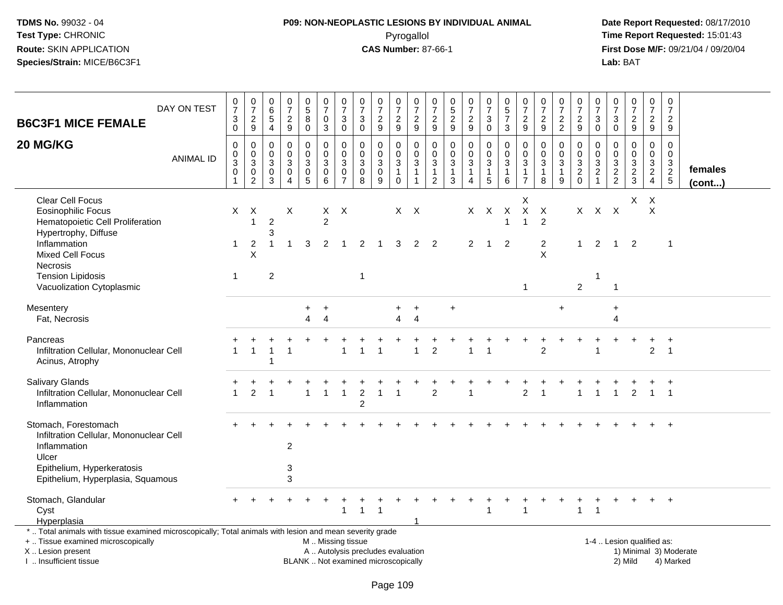## **P09: NON-NEOPLASTIC LESIONS BY INDIVIDUAL ANIMAL**Pyrogallol **Time Report Requested:** 15:01:43

 **Date Report Requested:** 08/17/2010 **First Dose M/F:** 09/21/04 / 09/20/04<br>Lab: BAT **Lab:** BAT

| DAY ON TEST<br><b>B6C3F1 MICE FEMALE</b>                                                                                                                                                      | $\frac{0}{7}$<br>$\mathbf{3}$<br>$\mathbf 0$ | $\frac{0}{7}$<br>$\frac{2}{9}$                          | 0<br>$\,6\,$<br>$\sqrt{5}$<br>$\overline{4}$ | $\frac{0}{7}$<br>$\boldsymbol{2}$<br>9                     | $\begin{array}{c} 0 \\ 5 \end{array}$<br>$\overline{8}$<br>$\mathbf 0$ | $\begin{array}{c} 0 \\ 7 \end{array}$<br>$\mathbf 0$<br>3    | $\frac{0}{7}$<br>$\sqrt{3}$<br>$\mathsf{O}\xspace$                        | $\begin{matrix} 0 \\ 7 \end{matrix}$<br>$\sqrt{3}$<br>$\mathbf 0$        | $\frac{0}{7}$<br>$\boldsymbol{2}$<br>9                   | $\begin{array}{c} 0 \\ 7 \end{array}$<br>$\overline{c}$<br>$\boldsymbol{9}$ | 0<br>$\overline{7}$<br>$\overline{c}$<br>$\mathsf g$  | 0<br>$\overline{7}$<br>$\overline{a}$<br>9           | $\pmb{0}$<br>$\frac{5}{2}$<br>9            | $\frac{0}{7}$<br>$\boldsymbol{2}$<br>$\boldsymbol{9}$             | $\frac{0}{7}$<br>$\mathbf{3}$<br>$\mathbf 0$                     | $\begin{array}{c} 0 \\ 5 \end{array}$<br>$\overline{7}$<br>3 | $\frac{0}{7}$<br>$\boldsymbol{2}$<br>9              | $\frac{0}{7}$<br>$\boldsymbol{2}$<br>$9\,$                | $\begin{array}{c} 0 \\ 7 \end{array}$<br>$\sqrt{2}$<br>$\overline{c}$ | $\begin{array}{c} 0 \\ 7 \end{array}$<br>$\overline{a}$<br>9 | $\frac{0}{7}$<br>$\mathsf 3$<br>$\mathbf{0}$  | $\pmb{0}$<br>$\overline{7}$<br>3<br>$\mathbf 0$ | $\frac{0}{7}$<br>$\overline{2}$<br>$9\,$                             | $\frac{0}{7}$<br>$\overline{a}$<br>9        | $\begin{smallmatrix} 0\\7 \end{smallmatrix}$<br>$\overline{c}$<br>9 |                         |
|-----------------------------------------------------------------------------------------------------------------------------------------------------------------------------------------------|----------------------------------------------|---------------------------------------------------------|----------------------------------------------|------------------------------------------------------------|------------------------------------------------------------------------|--------------------------------------------------------------|---------------------------------------------------------------------------|--------------------------------------------------------------------------|----------------------------------------------------------|-----------------------------------------------------------------------------|-------------------------------------------------------|------------------------------------------------------|--------------------------------------------|-------------------------------------------------------------------|------------------------------------------------------------------|--------------------------------------------------------------|-----------------------------------------------------|-----------------------------------------------------------|-----------------------------------------------------------------------|--------------------------------------------------------------|-----------------------------------------------|-------------------------------------------------|----------------------------------------------------------------------|---------------------------------------------|---------------------------------------------------------------------|-------------------------|
| 20 MG/KG<br><b>ANIMAL ID</b>                                                                                                                                                                  | 0<br>0<br>3<br>$\pmb{0}$<br>1                | 0<br>$\,0\,$<br>$\sqrt{3}$<br>$\,0\,$<br>$\overline{2}$ | $\Omega$<br>$\mathbf 0$<br>3<br>0<br>3       | $\Omega$<br>$\Omega$<br>3<br>$\mathbf 0$<br>$\overline{4}$ | 0<br>$\mathbf 0$<br>$\mathbf{3}$<br>$\pmb{0}$<br>5                     | $\mathbf 0$<br>$\mathbf 0$<br>$\mathbf{3}$<br>$\pmb{0}$<br>6 | $\mathbf 0$<br>$\mathbf 0$<br>$\mathbf{3}$<br>$\pmb{0}$<br>$\overline{7}$ | $\mathbf{0}$<br>$\mathbf 0$<br>$\mathbf{3}$<br>$\pmb{0}$<br>8            | $\Omega$<br>$\Omega$<br>$\mathbf{3}$<br>$\mathbf 0$<br>9 | 0<br>$\pmb{0}$<br>$\mathbf{3}$<br>$\mathbf{1}$<br>$\mathbf 0$               | 0<br>$\mathbf 0$<br>3<br>$\mathbf{1}$<br>$\mathbf{1}$ | 0<br>$\Omega$<br>3<br>$\mathbf{1}$<br>$\overline{2}$ | 0<br>$\mathbf 0$<br>3<br>$\mathbf{1}$<br>3 | $\mathbf 0$<br>$\mathbf 0$<br>3<br>$\mathbf{1}$<br>$\overline{4}$ | 0<br>$\pmb{0}$<br>$\mathbf{3}$<br>$\mathbf{1}$<br>$\overline{5}$ | $\Omega$<br>$\mathbf 0$<br>3<br>$\mathbf{1}$<br>6            | $\Omega$<br>$\mathbf 0$<br>3<br>1<br>$\overline{7}$ | $\Omega$<br>$\Omega$<br>$\mathbf{3}$<br>$\mathbf{1}$<br>8 | $\mathbf 0$<br>$\mathbf 0$<br>$\mathbf{3}$<br>$\mathbf{1}$<br>9       | 0<br>$\mathbf 0$<br>3<br>$^2_{\rm 0}$                        | $\Omega$<br>$\mathbf 0$<br>$\frac{3}{2}$<br>1 | $\Omega$<br>$\mathbf 0$<br>3<br>$\frac{2}{2}$   | $\Omega$<br>$\Omega$<br>3<br>$\overline{\mathbf{c}}$<br>$\mathbf{3}$ | $\mathbf 0$<br>$\mathbf 0$<br>$\frac{3}{2}$ | $\mathsf 0$<br>$\mathbf 0$<br>3<br>$rac{2}{5}$                      | females<br>$($ cont $)$ |
| <b>Clear Cell Focus</b><br><b>Eosinophilic Focus</b><br>Hematopoietic Cell Proliferation<br>Hypertrophy, Diffuse<br>Inflammation<br><b>Mixed Cell Focus</b>                                   | X<br>1                                       | X<br>$\overline{1}$<br>2<br>X                           | $\overline{c}$<br>3<br>-1                    | X<br>$\overline{1}$                                        | 3                                                                      | X<br>$\overline{2}$<br>2                                     | $\mathsf{X}$<br>-1                                                        | 2                                                                        | -1                                                       | $X$ $X$<br>3                                                                | 2                                                     | $\overline{2}$                                       |                                            | X<br>$\overline{2}$                                               | $\mathsf{X}$<br>$\overline{1}$                                   | $\mathsf{X}$<br>$\mathbf{1}$<br>$\overline{2}$               | Χ<br>$\boldsymbol{X}$<br>1                          | $\mathsf{X}$<br>2<br>$\overline{2}$<br>X                  |                                                                       | X<br>$\mathbf 1$                                             | $\mathsf{X}$<br>2                             | $\boldsymbol{\mathsf{X}}$<br>$\mathbf{1}$       | X<br>$\overline{2}$                                                  | $\times$<br>X                               | $\mathbf 1$                                                         |                         |
| <b>Necrosis</b><br><b>Tension Lipidosis</b><br>Vacuolization Cytoplasmic                                                                                                                      | -1                                           |                                                         | $\overline{c}$                               |                                                            |                                                                        |                                                              |                                                                           | $\mathbf{1}$                                                             |                                                          |                                                                             |                                                       |                                                      |                                            |                                                                   |                                                                  |                                                              | 1                                                   |                                                           |                                                                       | $\overline{2}$                                               | -1                                            | $\mathbf{1}$                                    |                                                                      |                                             |                                                                     |                         |
| Mesentery<br>Fat, Necrosis                                                                                                                                                                    |                                              |                                                         |                                              |                                                            | $\ddot{}$<br>$\overline{4}$                                            | $\ddot{}$<br>$\overline{4}$                                  |                                                                           |                                                                          |                                                          | 4                                                                           | $\overline{4}$                                        |                                                      | $\ddot{}$                                  |                                                                   |                                                                  |                                                              |                                                     |                                                           | $\ddot{}$                                                             |                                                              |                                               | $\ddot{}$<br>4                                  |                                                                      |                                             |                                                                     |                         |
| Pancreas<br>Infiltration Cellular, Mononuclear Cell<br>Acinus, Atrophy                                                                                                                        |                                              |                                                         | 1                                            |                                                            |                                                                        |                                                              |                                                                           |                                                                          |                                                          |                                                                             |                                                       | $\overline{2}$                                       |                                            |                                                                   |                                                                  |                                                              |                                                     | $\overline{2}$                                            |                                                                       |                                                              |                                               |                                                 |                                                                      | $\overline{2}$                              | $\ddot{}$<br>$\overline{1}$                                         |                         |
| Salivary Glands<br>Infiltration Cellular, Mononuclear Cell<br>Inflammation                                                                                                                    | $\overline{1}$                               | 2                                                       |                                              |                                                            | $\mathbf{1}$                                                           | $\mathbf{1}$                                                 | $\mathbf{1}$                                                              | $\overline{c}$<br>$\overline{c}$                                         | -1                                                       | 1                                                                           |                                                       | $\overline{2}$                                       |                                            |                                                                   |                                                                  |                                                              | $\overline{c}$                                      |                                                           |                                                                       | $\mathbf{1}$                                                 | $\overline{1}$                                | $\mathbf{1}$                                    | 2                                                                    | $\overline{1}$                              | $\overline{\phantom{0}}$                                            |                         |
| Stomach, Forestomach<br>Infiltration Cellular, Mononuclear Cell<br>Inflammation<br>Ulcer<br>Epithelium, Hyperkeratosis<br>Epithelium, Hyperplasia, Squamous                                   |                                              |                                                         |                                              | $\overline{c}$<br>3<br>3                                   |                                                                        |                                                              |                                                                           |                                                                          |                                                          |                                                                             |                                                       |                                                      |                                            |                                                                   |                                                                  |                                                              |                                                     |                                                           |                                                                       |                                                              |                                               |                                                 |                                                                      |                                             | $\ddot{}$                                                           |                         |
| Stomach, Glandular<br>Cyst<br>Hyperplasia                                                                                                                                                     |                                              |                                                         |                                              |                                                            |                                                                        |                                                              | $\mathbf{1}$                                                              | $\mathbf{1}$                                                             | $\overline{1}$                                           |                                                                             |                                                       |                                                      |                                            |                                                                   | 1                                                                |                                                              | $\mathbf{1}$                                        |                                                           |                                                                       | $\mathbf{1}$                                                 | $\overline{1}$                                |                                                 |                                                                      | $+$                                         | $+$                                                                 |                         |
| *  Total animals with tissue examined microscopically; Total animals with lesion and mean severity grade<br>+  Tissue examined microscopically<br>X  Lesion present<br>I  Insufficient tissue |                                              |                                                         |                                              |                                                            |                                                                        | M  Missing tissue                                            |                                                                           | A  Autolysis precludes evaluation<br>BLANK  Not examined microscopically |                                                          |                                                                             |                                                       |                                                      |                                            |                                                                   |                                                                  |                                                              |                                                     |                                                           |                                                                       |                                                              |                                               |                                                 | 1-4  Lesion qualified as:<br>1) Minimal 3) Moderate<br>2) Mild       |                                             | 4) Marked                                                           |                         |

I .. Insufficient tissue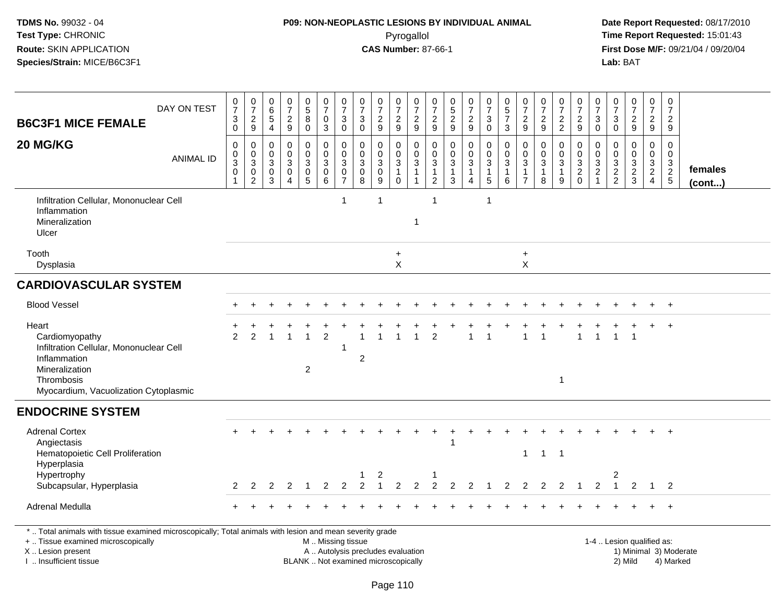## **P09: NON-NEOPLASTIC LESIONS BY INDIVIDUAL ANIMAL**Pyrogallol **Time Report Requested:** 15:01:43

| <b>B6C3F1 MICE FEMALE</b>                                                                                                                                                                     | DAY ON TEST      | 0<br>$\overline{7}$<br>$_{0}^{3}$             | $\frac{0}{7}$<br>$\overline{c}$<br>9                                                 | $\pmb{0}$<br>$\,6\,$<br>$\sqrt{5}$<br>$\overline{4}$          | $\frac{0}{7}$<br>$\frac{2}{9}$                                            | $\begin{array}{c} 0 \\ 5 \end{array}$<br>$\bf 8$<br>$\pmb{0}$ | 0<br>$\overline{7}$<br>$\mathbf 0$<br>$\mathsf 3$          | 0<br>$\overline{7}$<br>$\mathbf{3}$<br>$\mathbf 0$             | 0<br>$\overline{7}$<br>$\ensuremath{\mathsf{3}}$<br>$\pmb{0}$ | $\frac{0}{7}$<br>$\frac{2}{9}$                                              | 0<br>$\overline{7}$<br>$\frac{2}{9}$                          | $\pmb{0}$<br>$\overline{7}$<br>$\frac{2}{9}$                               | 0<br>$\overline{7}$<br>$\overline{c}$<br>9              | 0<br>$\sqrt{5}$<br>$\frac{2}{9}$                                         | $\frac{0}{7}$<br>$\frac{2}{9}$                                                                    | $\begin{smallmatrix}0\\7\end{smallmatrix}$<br>$\ensuremath{\mathsf{3}}$<br>$\mathsf{O}\xspace$ | $\begin{array}{c} 0 \\ 5 \\ 7 \end{array}$<br>$\mathbf{3}$                         | $\frac{0}{7}$<br>$\overline{c}$<br>$9\,$               | $\frac{0}{7}$<br>$\frac{2}{9}$                                | $\frac{0}{7}$<br>$\frac{2}{2}$             | 0<br>$\overline{7}$<br>$\frac{2}{9}$                                       | 0<br>$\overline{7}$<br>$\sqrt{3}$<br>$\mathbf 0$ | 0<br>$\overline{7}$<br>3<br>$\mathbf 0$ | 0<br>$\overline{7}$<br>$\boldsymbol{2}$<br>$9\,$       | $\frac{0}{7}$<br>$\overline{a}$<br>9      | $\mathbf 0$<br>$\overline{7}$<br>$\overline{c}$<br>9 |                         |
|-----------------------------------------------------------------------------------------------------------------------------------------------------------------------------------------------|------------------|-----------------------------------------------|--------------------------------------------------------------------------------------|---------------------------------------------------------------|---------------------------------------------------------------------------|---------------------------------------------------------------|------------------------------------------------------------|----------------------------------------------------------------|---------------------------------------------------------------|-----------------------------------------------------------------------------|---------------------------------------------------------------|----------------------------------------------------------------------------|---------------------------------------------------------|--------------------------------------------------------------------------|---------------------------------------------------------------------------------------------------|------------------------------------------------------------------------------------------------|------------------------------------------------------------------------------------|--------------------------------------------------------|---------------------------------------------------------------|--------------------------------------------|----------------------------------------------------------------------------|--------------------------------------------------|-----------------------------------------|--------------------------------------------------------|-------------------------------------------|------------------------------------------------------|-------------------------|
| 20 MG/KG                                                                                                                                                                                      | <b>ANIMAL ID</b> | 0<br>0<br>$\ensuremath{\mathsf{3}}$<br>0<br>1 | $\mathbf 0$<br>$\pmb{0}$<br>$\ensuremath{\mathsf{3}}$<br>$\pmb{0}$<br>$\overline{2}$ | $\mathbf 0$<br>$\mathbf 0$<br>$\sqrt{3}$<br>0<br>$\mathbf{3}$ | $\mathbf 0$<br>$\mathbf 0$<br>$\sqrt{3}$<br>$\mathbf 0$<br>$\overline{4}$ | 0<br>$\pmb{0}$<br>$\sqrt{3}$<br>$\pmb{0}$<br>$\overline{5}$   | $\mathbf 0$<br>$\pmb{0}$<br>$\sqrt{3}$<br>$\mathbf 0$<br>6 | $\mathbf 0$<br>$\mathbf 0$<br>3<br>$\pmb{0}$<br>$\overline{7}$ | $\mathbf 0$<br>$\mathbf 0$<br>$\sqrt{3}$<br>0<br>8            | $\mathbf 0$<br>$\pmb{0}$<br>$\ensuremath{\mathsf{3}}$<br>$\pmb{0}$<br>$9\,$ | 0<br>$\pmb{0}$<br>$\sqrt{3}$<br>$\overline{1}$<br>$\mathbf 0$ | $\mathbf 0$<br>$\mathbf 0$<br>$\sqrt{3}$<br>$\mathbf{1}$<br>$\overline{1}$ | 0<br>$\mathbf 0$<br>3<br>$\mathbf{1}$<br>$\overline{2}$ | $\mathbf 0$<br>$\mathbf 0$<br>$\sqrt{3}$<br>$\mathbf{1}$<br>$\mathbf{3}$ | $\mathbf 0$<br>$\ddot{\mathbf{0}}$<br>$\ensuremath{\mathsf{3}}$<br>$\mathbf{1}$<br>$\overline{4}$ | 0<br>$\mathsf{O}\xspace$<br>$\mathsf 3$<br>$\mathbf{1}$<br>$\sqrt{5}$                          | $\mathbf 0$<br>$\mathsf 0$<br>$\ensuremath{\mathsf{3}}$<br>$\mathbf{1}$<br>$\,6\,$ | $\mathbf 0$<br>$\mathbf 0$<br>3<br>1<br>$\overline{7}$ | $\mathbf 0$<br>$\mathbf 0$<br>$\sqrt{3}$<br>$\mathbf{1}$<br>8 | 0<br>$\mathbf 0$<br>3<br>$\mathbf{1}$<br>9 | 0<br>$\pmb{0}$<br>$\ensuremath{\mathsf{3}}$<br>$\overline{2}$<br>$\pmb{0}$ | $\mathbf 0$<br>$\mathbf 0$<br>$\frac{3}{2}$      | 0<br>$\mathbf 0$<br>3<br>$\frac{2}{2}$  | $\Omega$<br>$\mathbf 0$<br>$\sqrt{3}$<br>$\frac{2}{3}$ | 0<br>0<br>$\frac{3}{2}$<br>$\overline{4}$ | $\mathbf 0$<br>$\mathbf 0$<br>$\frac{3}{2}$          | females<br>$($ cont $)$ |
| Infiltration Cellular, Mononuclear Cell<br>Inflammation<br>Mineralization<br>Ulcer                                                                                                            |                  |                                               |                                                                                      |                                                               |                                                                           |                                                               |                                                            | $\mathbf{1}$                                                   |                                                               | $\overline{1}$                                                              |                                                               | $\overline{\phantom{a}}$                                                   | $\mathbf{1}$                                            |                                                                          |                                                                                                   | -1                                                                                             |                                                                                    |                                                        |                                                               |                                            |                                                                            |                                                  |                                         |                                                        |                                           |                                                      |                         |
| Tooth<br>Dysplasia                                                                                                                                                                            |                  |                                               |                                                                                      |                                                               |                                                                           |                                                               |                                                            |                                                                |                                                               |                                                                             | $\ddot{}$<br>X                                                |                                                                            |                                                         |                                                                          |                                                                                                   |                                                                                                |                                                                                    | $\ddot{}$<br>X                                         |                                                               |                                            |                                                                            |                                                  |                                         |                                                        |                                           |                                                      |                         |
| <b>CARDIOVASCULAR SYSTEM</b>                                                                                                                                                                  |                  |                                               |                                                                                      |                                                               |                                                                           |                                                               |                                                            |                                                                |                                                               |                                                                             |                                                               |                                                                            |                                                         |                                                                          |                                                                                                   |                                                                                                |                                                                                    |                                                        |                                                               |                                            |                                                                            |                                                  |                                         |                                                        |                                           |                                                      |                         |
| <b>Blood Vessel</b>                                                                                                                                                                           |                  |                                               |                                                                                      |                                                               |                                                                           |                                                               |                                                            |                                                                |                                                               |                                                                             |                                                               |                                                                            |                                                         |                                                                          |                                                                                                   |                                                                                                |                                                                                    |                                                        |                                                               |                                            |                                                                            |                                                  |                                         |                                                        |                                           | $\overline{+}$                                       |                         |
| Heart<br>Cardiomyopathy<br>Infiltration Cellular, Mononuclear Cell<br>Inflammation<br>Mineralization<br>Thrombosis<br>Myocardium, Vacuolization Cytoplasmic                                   |                  | $\mathfrak{p}$                                | $\mathcal{P}$                                                                        |                                                               |                                                                           | $\overline{c}$                                                | $\overline{2}$                                             | $\overline{1}$                                                 | $\overline{2}$                                                |                                                                             |                                                               |                                                                            | $\mathfrak{p}$                                          |                                                                          |                                                                                                   |                                                                                                |                                                                                    |                                                        |                                                               | $\mathbf{1}$                               |                                                                            |                                                  |                                         |                                                        |                                           | $\ddot{}$                                            |                         |
| <b>ENDOCRINE SYSTEM</b>                                                                                                                                                                       |                  |                                               |                                                                                      |                                                               |                                                                           |                                                               |                                                            |                                                                |                                                               |                                                                             |                                                               |                                                                            |                                                         |                                                                          |                                                                                                   |                                                                                                |                                                                                    |                                                        |                                                               |                                            |                                                                            |                                                  |                                         |                                                        |                                           |                                                      |                         |
| <b>Adrenal Cortex</b><br>Angiectasis<br>Hematopoietic Cell Proliferation<br>Hyperplasia<br>Hypertrophy                                                                                        |                  |                                               |                                                                                      |                                                               |                                                                           |                                                               |                                                            |                                                                |                                                               | 2                                                                           |                                                               |                                                                            |                                                         |                                                                          |                                                                                                   |                                                                                                |                                                                                    | $\mathbf{1}$                                           | $\overline{1}$                                                | $\overline{1}$                             |                                                                            |                                                  | 2                                       |                                                        |                                           |                                                      |                         |
| Subcapsular, Hyperplasia                                                                                                                                                                      |                  | $\mathbf{2}^{\circ}$                          | 2                                                                                    | 2                                                             | $\overline{2}$                                                            | $\overline{1}$                                                | 2                                                          | $\mathcal{P}$                                                  |                                                               |                                                                             | $\overline{2}$                                                |                                                                            | 2                                                       | 2                                                                        | $\mathcal{P}$                                                                                     |                                                                                                | $\mathcal{P}$                                                                      | $\mathfrak{p}$                                         | 2                                                             | 2                                          |                                                                            | 2                                                |                                         | 2                                                      | $\overline{1}$                            | 2                                                    |                         |
| Adrenal Medulla                                                                                                                                                                               |                  |                                               |                                                                                      |                                                               |                                                                           |                                                               |                                                            |                                                                |                                                               |                                                                             |                                                               |                                                                            |                                                         |                                                                          |                                                                                                   |                                                                                                |                                                                                    |                                                        |                                                               |                                            |                                                                            |                                                  |                                         |                                                        |                                           | $\ddot{}$                                            |                         |
| *  Total animals with tissue examined microscopically; Total animals with lesion and mean severity grade<br>+  Tissue examined microscopically<br>X  Lesion present<br>I  Insufficient tissue |                  |                                               |                                                                                      |                                                               |                                                                           | BLANK  Not examined microscopically                           | M  Missing tissue<br>A  Autolysis precludes evaluation     |                                                                |                                                               |                                                                             |                                                               |                                                                            |                                                         |                                                                          |                                                                                                   |                                                                                                |                                                                                    |                                                        |                                                               |                                            |                                                                            |                                                  |                                         | 1-4  Lesion qualified as:<br>2) Mild                   |                                           | 1) Minimal 3) Moderate<br>4) Marked                  |                         |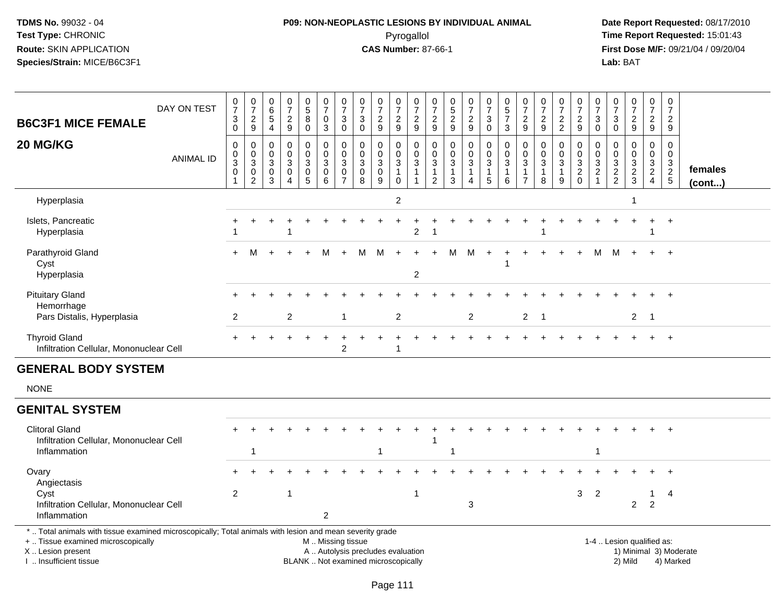# **P09: NON-NEOPLASTIC LESIONS BY INDIVIDUAL ANIMAL**Pyrogallol **Time Report Requested:** 15:01:43

| DAY ON TEST<br><b>B6C3F1 MICE FEMALE</b>                                                                                                                                                      | $\mathbf 0$<br>$\overline{7}$<br>$\mathbf{3}$<br>$\mathbf 0$ | $\frac{0}{7}$<br>$\frac{2}{9}$                                     | $\pmb{0}$<br>6<br>$\overline{5}$<br>$\overline{4}$ | 0<br>$\overline{7}$<br>$\overline{c}$<br>$9\,$                   | $\begin{array}{c} 0 \\ 5 \\ 8 \end{array}$<br>$\mathbf 0$ | $\pmb{0}$<br>$\overline{7}$<br>$\pmb{0}$<br>$\overline{3}$                      | $\frac{0}{7}$<br>$\ensuremath{\mathsf{3}}$<br>$\pmb{0}$       | $\begin{array}{c} 0 \\ 7 \end{array}$<br>$\mathbf{3}$<br>$\pmb{0}$       | $\frac{0}{7}$<br>$\overline{c}$<br>9                           | $\frac{0}{7}$<br>$\overline{c}$<br>$\boldsymbol{9}$  | $\frac{0}{7}$<br>$\frac{2}{9}$                     | 0<br>$\overline{7}$<br>$\overline{c}$<br>$\mathsf g$            | $\mathbf 0$<br>$\frac{5}{2}$<br>$\boldsymbol{9}$ | $\begin{smallmatrix}0\\7\end{smallmatrix}$<br>$\frac{2}{9}$                                | $\frac{0}{7}$<br>$\sqrt{3}$<br>$\mathsf{O}\xspace$ | $\begin{array}{c} 0 \\ 5 \end{array}$<br>$\overline{7}$<br>$\sqrt{3}$ | $\frac{0}{7}$<br>$\overline{c}$<br>9                    | 0<br>$\overline{7}$<br>$\overline{c}$<br>$9\,$                  | $\begin{array}{c} 0 \\ 7 \end{array}$<br>$\overline{c}$<br>$\overline{2}$  | $\pmb{0}$<br>$\overline{7}$<br>$\overline{c}$<br>$\mathsf g$   | $\pmb{0}$<br>$\overline{7}$<br>$_{0}^{3}$                    | $\pmb{0}$<br>$\overline{7}$<br>3<br>$\mathbf 0$           | $\pmb{0}$<br>$\overline{7}$<br>$\overline{c}$<br>9                       | $\frac{0}{7}$<br>$\overline{a}$<br>9                      | $\pmb{0}$<br>$\overline{7}$<br>$\overline{2}$<br>9       |                         |
|-----------------------------------------------------------------------------------------------------------------------------------------------------------------------------------------------|--------------------------------------------------------------|--------------------------------------------------------------------|----------------------------------------------------|------------------------------------------------------------------|-----------------------------------------------------------|---------------------------------------------------------------------------------|---------------------------------------------------------------|--------------------------------------------------------------------------|----------------------------------------------------------------|------------------------------------------------------|----------------------------------------------------|-----------------------------------------------------------------|--------------------------------------------------|--------------------------------------------------------------------------------------------|----------------------------------------------------|-----------------------------------------------------------------------|---------------------------------------------------------|-----------------------------------------------------------------|----------------------------------------------------------------------------|----------------------------------------------------------------|--------------------------------------------------------------|-----------------------------------------------------------|--------------------------------------------------------------------------|-----------------------------------------------------------|----------------------------------------------------------|-------------------------|
| 20 MG/KG<br><b>ANIMAL ID</b>                                                                                                                                                                  | $\mathbf 0$<br>$\mathbf 0$<br>3<br>$\mathbf 0$               | $\boldsymbol{0}$<br>$\frac{0}{3}$<br>$\mathbf 0$<br>$\overline{2}$ | 0<br>$\mathbf 0$<br>3<br>$\mathbf 0$<br>3          | $\mathbf 0$<br>$\mathbf 0$<br>3<br>$\mathbf 0$<br>$\overline{4}$ | 0<br>$\mathbf 0$<br>3<br>$\pmb{0}$<br>5                   | 0<br>$\mathbf 0$<br>$\ensuremath{\mathsf{3}}$<br>$\mathbf 0$<br>$6\phantom{1}6$ | 0<br>$\pmb{0}$<br>$\mathbf{3}$<br>$\pmb{0}$<br>$\overline{7}$ | 0<br>$\mathbf 0$<br>$\ensuremath{\mathsf{3}}$<br>$\pmb{0}$<br>8          | $\mathbf 0$<br>$\mathbf 0$<br>$\mathbf{3}$<br>$\mathbf 0$<br>9 | 0<br>$\mathbf 0$<br>3<br>$\mathbf{1}$<br>$\mathbf 0$ | 0<br>$\frac{0}{3}$<br>$\mathbf{1}$<br>$\mathbf{1}$ | $\pmb{0}$<br>$\mathbf 0$<br>3<br>$\mathbf{1}$<br>$\overline{2}$ | 0<br>$\mathbf 0$<br>3<br>$\mathbf{1}$<br>3       | $\mathbf 0$<br>$\mathsf{O}\xspace$<br>$\sqrt{3}$<br>$\mathbf{1}$<br>$\boldsymbol{\Lambda}$ | 0<br>$\mathbf 0$<br>3<br>$\mathbf{1}$<br>5         | $\pmb{0}$<br>$\mathbf 0$<br>$\sqrt{3}$<br>$\mathbf{1}$<br>6           | 0<br>$\mathbf 0$<br>3<br>$\mathbf{1}$<br>$\overline{7}$ | $\mathbf 0$<br>$\mathbf 0$<br>$\mathbf{3}$<br>$\mathbf{1}$<br>8 | $\mathbf 0$<br>$\pmb{0}$<br>$\ensuremath{\mathsf{3}}$<br>$\mathbf{1}$<br>9 | 0<br>$\mathbf 0$<br>$\ensuremath{\mathsf{3}}$<br>$\frac{2}{0}$ | 0<br>$\mathbf 0$<br>$\sqrt{3}$<br>$\sqrt{2}$<br>$\mathbf{1}$ | $\mathbf 0$<br>$\mathbf 0$<br>$\sqrt{3}$<br>$\frac{2}{2}$ | $\mathbf 0$<br>$\mathbf 0$<br>$\ensuremath{\mathsf{3}}$<br>$\frac{2}{3}$ | 0<br>$\mathbf 0$<br>3<br>$\overline{2}$<br>$\overline{4}$ | $\mathbf 0$<br>$\mathbf 0$<br>$\mathsf 3$<br>$rac{2}{5}$ | females<br>$($ cont $)$ |
| Hyperplasia                                                                                                                                                                                   |                                                              |                                                                    |                                                    |                                                                  |                                                           |                                                                                 |                                                               |                                                                          |                                                                | $\overline{c}$                                       |                                                    |                                                                 |                                                  |                                                                                            |                                                    |                                                                       |                                                         |                                                                 |                                                                            |                                                                |                                                              |                                                           | 1                                                                        |                                                           |                                                          |                         |
| Islets, Pancreatic<br>Hyperplasia                                                                                                                                                             |                                                              |                                                                    |                                                    |                                                                  |                                                           |                                                                                 |                                                               |                                                                          |                                                                |                                                      | $\overline{c}$                                     |                                                                 |                                                  |                                                                                            |                                                    |                                                                       |                                                         |                                                                 |                                                                            |                                                                |                                                              |                                                           |                                                                          | $\ddot{}$                                                 | $+$                                                      |                         |
| Parathyroid Gland<br>Cyst<br>Hyperplasia                                                                                                                                                      |                                                              |                                                                    |                                                    |                                                                  |                                                           | м                                                                               |                                                               | м                                                                        | M                                                              | $+$                                                  | 2                                                  |                                                                 | М                                                | M                                                                                          | $+$                                                |                                                                       |                                                         |                                                                 |                                                                            |                                                                | м                                                            | M                                                         |                                                                          |                                                           | $\ddot{}$                                                |                         |
| <b>Pituitary Gland</b><br>Hemorrhage<br>Pars Distalis, Hyperplasia                                                                                                                            | 2                                                            |                                                                    |                                                    | $\overline{c}$                                                   |                                                           |                                                                                 |                                                               |                                                                          |                                                                | $\overline{c}$                                       |                                                    |                                                                 |                                                  | 2                                                                                          |                                                    |                                                                       | $\overline{2}$                                          | $\overline{1}$                                                  |                                                                            |                                                                |                                                              |                                                           | $\overline{2}$                                                           | $\overline{\phantom{1}}$                                  |                                                          |                         |
| <b>Thyroid Gland</b><br>Infiltration Cellular, Mononuclear Cell                                                                                                                               |                                                              |                                                                    |                                                    |                                                                  |                                                           |                                                                                 | 2                                                             |                                                                          |                                                                | 1                                                    |                                                    |                                                                 |                                                  |                                                                                            |                                                    |                                                                       |                                                         |                                                                 |                                                                            |                                                                |                                                              |                                                           |                                                                          |                                                           | $+$                                                      |                         |
| <b>GENERAL BODY SYSTEM</b>                                                                                                                                                                    |                                                              |                                                                    |                                                    |                                                                  |                                                           |                                                                                 |                                                               |                                                                          |                                                                |                                                      |                                                    |                                                                 |                                                  |                                                                                            |                                                    |                                                                       |                                                         |                                                                 |                                                                            |                                                                |                                                              |                                                           |                                                                          |                                                           |                                                          |                         |
| <b>NONE</b>                                                                                                                                                                                   |                                                              |                                                                    |                                                    |                                                                  |                                                           |                                                                                 |                                                               |                                                                          |                                                                |                                                      |                                                    |                                                                 |                                                  |                                                                                            |                                                    |                                                                       |                                                         |                                                                 |                                                                            |                                                                |                                                              |                                                           |                                                                          |                                                           |                                                          |                         |
| <b>GENITAL SYSTEM</b>                                                                                                                                                                         |                                                              |                                                                    |                                                    |                                                                  |                                                           |                                                                                 |                                                               |                                                                          |                                                                |                                                      |                                                    |                                                                 |                                                  |                                                                                            |                                                    |                                                                       |                                                         |                                                                 |                                                                            |                                                                |                                                              |                                                           |                                                                          |                                                           |                                                          |                         |
| <b>Clitoral Gland</b><br>Infiltration Cellular, Mononuclear Cell<br>Inflammation                                                                                                              |                                                              | -1                                                                 |                                                    |                                                                  |                                                           |                                                                                 |                                                               |                                                                          | 1                                                              |                                                      |                                                    | $\mathbf 1$                                                     | -1                                               |                                                                                            |                                                    |                                                                       |                                                         |                                                                 |                                                                            |                                                                | $\overline{1}$                                               |                                                           |                                                                          |                                                           |                                                          |                         |
| Ovary<br>Angiectasis                                                                                                                                                                          |                                                              |                                                                    |                                                    | 1                                                                |                                                           |                                                                                 |                                                               |                                                                          |                                                                |                                                      | 1                                                  |                                                                 |                                                  |                                                                                            |                                                    |                                                                       |                                                         |                                                                 |                                                                            |                                                                |                                                              |                                                           |                                                                          |                                                           |                                                          |                         |
| Cyst<br>Infiltration Cellular, Mononuclear Cell<br>Inflammation                                                                                                                               | $\overline{2}$                                               |                                                                    |                                                    |                                                                  |                                                           | $\overline{2}$                                                                  |                                                               |                                                                          |                                                                |                                                      |                                                    |                                                                 |                                                  | $\mathbf{3}$                                                                               |                                                    |                                                                       |                                                         |                                                                 |                                                                            | 3                                                              | $\overline{2}$                                               |                                                           | $\overline{2}$                                                           | $\mathbf{1}$<br>$\overline{2}$                            | 4                                                        |                         |
| *  Total animals with tissue examined microscopically; Total animals with lesion and mean severity grade<br>+  Tissue examined microscopically<br>X  Lesion present<br>I. Insufficient tissue |                                                              |                                                                    |                                                    |                                                                  |                                                           | M  Missing tissue                                                               |                                                               | A  Autolysis precludes evaluation<br>BLANK  Not examined microscopically |                                                                |                                                      |                                                    |                                                                 |                                                  |                                                                                            |                                                    |                                                                       |                                                         |                                                                 |                                                                            |                                                                |                                                              |                                                           | 1-4  Lesion qualified as:<br>2) Mild                                     |                                                           | 1) Minimal 3) Moderate<br>4) Marked                      |                         |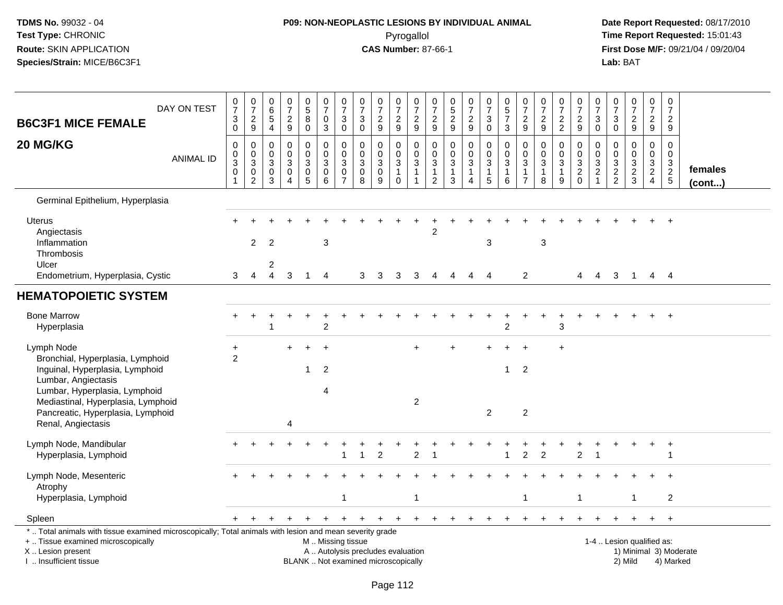# **P09: NON-NEOPLASTIC LESIONS BY INDIVIDUAL ANIMAL**Pyrogallol **Time Report Requested:** 15:01:43

| <b>B6C3F1 MICE FEMALE</b>                                                                                                                                                                     | DAY ON TEST      | $\frac{0}{7}$<br>$\mathbf{3}$<br>$\mathsf{O}\xspace$           | $\frac{0}{7}$<br>$\sqrt{2}$<br>$9\,$         | $\pmb{0}$<br>$\,6$<br>$\sqrt{5}$<br>4 | $\begin{smallmatrix} 0\\7 \end{smallmatrix}$<br>$\boldsymbol{2}$<br>$9\,$ | $\begin{array}{c} 0 \\ 5 \end{array}$<br>8<br>$\mathbf 0$ | $\pmb{0}$<br>$\overline{7}$<br>$\pmb{0}$<br>$\ensuremath{\mathsf{3}}$ | $\begin{array}{c} 0 \\ 7 \end{array}$<br>$\mathbf{3}$<br>$\mathbf 0$ | $\frac{0}{7}$<br>$\sqrt{3}$<br>0                             | $\frac{0}{7}$<br>$\boldsymbol{2}$<br>9                                   | $\frac{0}{7}$<br>$\sqrt{2}$<br>9                   | $\begin{array}{c} 0 \\ 7 \end{array}$<br>$\overline{c}$<br>9       | $\begin{array}{c} 0 \\ 7 \end{array}$<br>$\overline{c}$<br>$\boldsymbol{9}$ | 0<br>$\sqrt{5}$<br>$\overline{2}$<br>$9\,$            | $\frac{0}{7}$<br>$\overline{c}$<br>$\boldsymbol{9}$ | $\frac{0}{7}$<br>$\sqrt{3}$<br>0                                   | $\begin{array}{c} 0 \\ 5 \\ 7 \end{array}$<br>$\mathbf{3}$ | $\begin{array}{c} 0 \\ 7 \end{array}$<br>$\overline{c}$<br>9 | $\frac{0}{7}$<br>$\boldsymbol{2}$<br>9                       | $\begin{array}{c} 0 \\ 7 \end{array}$<br>$\boldsymbol{2}$<br>$\sqrt{2}$ | $\frac{0}{7}$<br>$\overline{c}$<br>$9\,$                                    | 0<br>$\overline{7}$<br>3<br>$\mathbf 0$ | $\begin{array}{c} 0 \\ 7 \end{array}$<br>$\ensuremath{\mathsf{3}}$<br>0 | $\frac{0}{7}$<br>$\overline{c}$<br>9                   | $\frac{0}{7}$<br>$\overline{2}$<br>9         | $\begin{smallmatrix} 0\\7 \end{smallmatrix}$<br>$\sqrt{2}$<br>9 |                   |
|-----------------------------------------------------------------------------------------------------------------------------------------------------------------------------------------------|------------------|----------------------------------------------------------------|----------------------------------------------|---------------------------------------|---------------------------------------------------------------------------|-----------------------------------------------------------|-----------------------------------------------------------------------|----------------------------------------------------------------------|--------------------------------------------------------------|--------------------------------------------------------------------------|----------------------------------------------------|--------------------------------------------------------------------|-----------------------------------------------------------------------------|-------------------------------------------------------|-----------------------------------------------------|--------------------------------------------------------------------|------------------------------------------------------------|--------------------------------------------------------------|--------------------------------------------------------------|-------------------------------------------------------------------------|-----------------------------------------------------------------------------|-----------------------------------------|-------------------------------------------------------------------------|--------------------------------------------------------|----------------------------------------------|-----------------------------------------------------------------|-------------------|
| 20 MG/KG                                                                                                                                                                                      | <b>ANIMAL ID</b> | 0<br>$\mathsf{O}\xspace$<br>3<br>$\mathbf 0$<br>$\overline{1}$ | 0<br>$\mathbf 0$<br>3<br>0<br>$\overline{2}$ | $\Omega$<br>0<br>3<br>0<br>3          | $\mathbf 0$<br>$\mathbf 0$<br>$\mathbf{3}$<br>0<br>$\Delta$               | 0<br>0<br>3<br>0<br>$\overline{5}$                        | 0<br>$\mathbf 0$<br>3<br>$\mathbf 0$<br>$\,6\,$                       | 0<br>$\mathbf 0$<br>3<br>0<br>$\overline{7}$                         | $\mathbf 0$<br>$\mathbf 0$<br>$\mathbf{3}$<br>$\pmb{0}$<br>8 | 0<br>$\mathbf 0$<br>3<br>$\mathbf 0$<br>9                                | 0<br>0<br>3<br>$\mathbf{1}$<br>$\mathsf{O}\xspace$ | 0<br>$\mathbf 0$<br>$\mathbf{3}$<br>$\mathbf{1}$<br>$\overline{1}$ | 0<br>$\mathbf 0$<br>3<br>$\mathbf{1}$<br>$\overline{2}$                     | 0<br>$\mathbf 0$<br>$\mathbf{3}$<br>1<br>$\mathbf{3}$ | 0<br>$\mathbf 0$<br>3<br>1<br>4                     | 0<br>$\mathbf 0$<br>$\mathbf{3}$<br>$\mathbf{1}$<br>$\overline{5}$ | 0<br>$\mathbf 0$<br>3<br>$\mathbf{1}$<br>6                 | 0<br>0<br>3<br>-1<br>$\overline{7}$                          | $\mathbf 0$<br>$\mathbf 0$<br>$\sqrt{3}$<br>$\mathbf 1$<br>8 | 0<br>$\mathbf 0$<br>3<br>$\mathbf{1}$<br>9                              | $\mathbf 0$<br>$\mathbf 0$<br>$\mathbf{3}$<br>$\overline{c}$<br>$\mathbf 0$ | 0<br>0<br>3<br>$\boldsymbol{2}$         | 0<br>$\Omega$<br>3<br>$\frac{2}{2}$                                     | $\mathbf 0$<br>$\mathbf 0$<br>3<br>$\overline{c}$<br>3 | 0<br>$\mathbf 0$<br>3<br>$\overline{2}$<br>4 | $\mathbf 0$<br>$\mathbf 0$<br>$\frac{3}{2}$<br>$\sqrt{5}$       | females<br>(cont) |
| Germinal Epithelium, Hyperplasia                                                                                                                                                              |                  |                                                                |                                              |                                       |                                                                           |                                                           |                                                                       |                                                                      |                                                              |                                                                          |                                                    |                                                                    |                                                                             |                                                       |                                                     |                                                                    |                                                            |                                                              |                                                              |                                                                         |                                                                             |                                         |                                                                         |                                                        |                                              |                                                                 |                   |
| <b>Uterus</b><br>Angiectasis<br>Inflammation<br>Thrombosis<br>Ulcer                                                                                                                           |                  |                                                                | 2                                            | 2                                     |                                                                           |                                                           | 3                                                                     |                                                                      |                                                              |                                                                          |                                                    |                                                                    | 2                                                                           |                                                       |                                                     | 3                                                                  |                                                            |                                                              | $\sqrt{3}$                                                   |                                                                         |                                                                             |                                         |                                                                         |                                                        |                                              | $+$                                                             |                   |
| Endometrium, Hyperplasia, Cystic                                                                                                                                                              |                  | 3                                                              | $\overline{4}$                               | 2<br>$\overline{4}$                   | 3                                                                         | $\overline{1}$                                            | $\overline{4}$                                                        |                                                                      | 3                                                            | 3                                                                        | 3                                                  | 3                                                                  | 4                                                                           | 4                                                     | 4                                                   | $\overline{4}$                                                     |                                                            | 2                                                            |                                                              |                                                                         | 4                                                                           | 4                                       | 3                                                                       | $\overline{1}$                                         |                                              | $4 \quad 4$                                                     |                   |
| <b>HEMATOPOIETIC SYSTEM</b>                                                                                                                                                                   |                  |                                                                |                                              |                                       |                                                                           |                                                           |                                                                       |                                                                      |                                                              |                                                                          |                                                    |                                                                    |                                                                             |                                                       |                                                     |                                                                    |                                                            |                                                              |                                                              |                                                                         |                                                                             |                                         |                                                                         |                                                        |                                              |                                                                 |                   |
| <b>Bone Marrow</b><br>Hyperplasia                                                                                                                                                             |                  |                                                                | $\ddot{}$                                    |                                       |                                                                           |                                                           | $\overline{2}$                                                        |                                                                      |                                                              |                                                                          |                                                    |                                                                    |                                                                             |                                                       |                                                     |                                                                    | $\overline{2}$                                             |                                                              |                                                              | 3                                                                       |                                                                             |                                         |                                                                         |                                                        |                                              | $\overline{+}$                                                  |                   |
| Lymph Node<br>Bronchial, Hyperplasia, Lymphoid<br>Inguinal, Hyperplasia, Lymphoid<br>Lumbar, Angiectasis<br>Lumbar, Hyperplasia, Lymphoid                                                     |                  | $\ddot{}$<br>$\overline{c}$                                    |                                              |                                       |                                                                           | $\ddot{}$<br>1                                            | $\ddot{}$<br>$\overline{c}$<br>4                                      |                                                                      |                                                              |                                                                          |                                                    |                                                                    |                                                                             |                                                       |                                                     |                                                                    | $\mathbf{1}$                                               | $\ddot{}$<br>$\overline{2}$                                  |                                                              | $+$                                                                     |                                                                             |                                         |                                                                         |                                                        |                                              |                                                                 |                   |
| Mediastinal, Hyperplasia, Lymphoid<br>Pancreatic, Hyperplasia, Lymphoid<br>Renal, Angiectasis                                                                                                 |                  |                                                                |                                              |                                       | 4                                                                         |                                                           |                                                                       |                                                                      |                                                              |                                                                          |                                                    | 2                                                                  |                                                                             |                                                       |                                                     | $\overline{2}$                                                     |                                                            | $\overline{2}$                                               |                                                              |                                                                         |                                                                             |                                         |                                                                         |                                                        |                                              |                                                                 |                   |
| Lymph Node, Mandibular<br>Hyperplasia, Lymphoid                                                                                                                                               |                  |                                                                |                                              |                                       |                                                                           |                                                           |                                                                       |                                                                      |                                                              | $\overline{2}$                                                           |                                                    | $\overline{c}$                                                     |                                                                             |                                                       |                                                     |                                                                    |                                                            | $\overline{2}$                                               | $\overline{2}$                                               |                                                                         | 2                                                                           |                                         |                                                                         |                                                        | $\ddot{}$                                    | $\overline{+}$                                                  |                   |
| Lymph Node, Mesenteric<br>Atrophy<br>Hyperplasia, Lymphoid                                                                                                                                    |                  |                                                                |                                              |                                       |                                                                           |                                                           |                                                                       | -1                                                                   |                                                              |                                                                          |                                                    | $\mathbf 1$                                                        |                                                                             |                                                       |                                                     |                                                                    |                                                            | $\mathbf{1}$                                                 |                                                              |                                                                         | $\mathbf{1}$                                                                |                                         |                                                                         | -1                                                     |                                              | $\overline{+}$<br>$\overline{2}$                                |                   |
| Spleen                                                                                                                                                                                        |                  | $+$                                                            | $+$                                          | $\pm$                                 |                                                                           |                                                           |                                                                       | $\pm$                                                                | $+$                                                          | $+$                                                                      | $\ddot{}$                                          | $\ddot{}$                                                          | $\ddot{}$                                                                   | $\pm$                                                 | $\ddot{}$                                           |                                                                    |                                                            |                                                              |                                                              |                                                                         |                                                                             |                                         |                                                                         |                                                        | $\ddot{}$                                    | $+$                                                             |                   |
| *  Total animals with tissue examined microscopically; Total animals with lesion and mean severity grade<br>+  Tissue examined microscopically<br>X  Lesion present<br>I  Insufficient tissue |                  |                                                                |                                              |                                       |                                                                           |                                                           | M  Missing tissue                                                     |                                                                      |                                                              | A  Autolysis precludes evaluation<br>BLANK  Not examined microscopically |                                                    |                                                                    |                                                                             |                                                       |                                                     |                                                                    |                                                            |                                                              |                                                              |                                                                         |                                                                             |                                         |                                                                         | 1-4  Lesion qualified as:<br>2) Mild                   |                                              | 1) Minimal 3) Moderate<br>4) Marked                             |                   |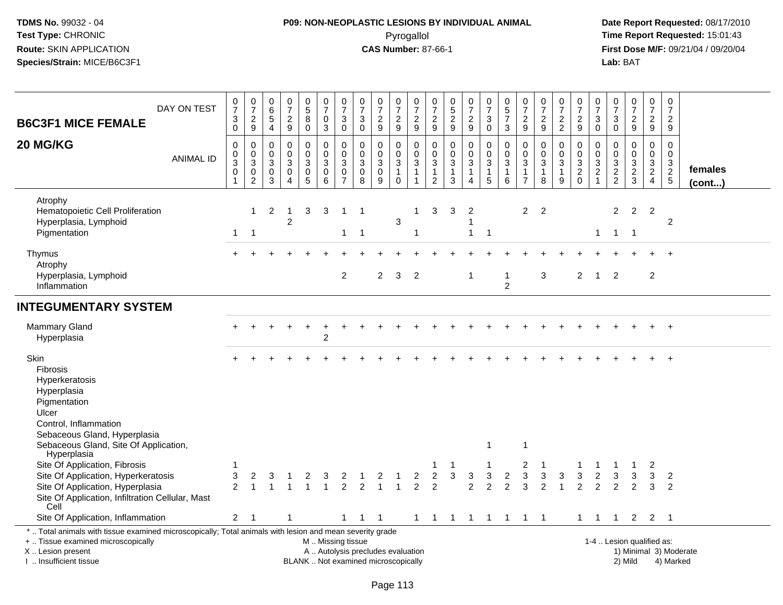# **P09: NON-NEOPLASTIC LESIONS BY INDIVIDUAL ANIMAL**Pyrogallol **Time Report Requested:** 15:01:43

| DAY ON TEST<br><b>B6C3F1 MICE FEMALE</b>                                                                                                                                                                                                                            | $\frac{0}{7}$<br>$\ensuremath{\mathsf{3}}$<br>$\overline{0}$  | $\frac{0}{7}$<br>$\frac{2}{9}$                                | $\boldsymbol{0}$<br>$6\phantom{a}$<br>$\sqrt{5}$<br>$\overline{4}$ | $\begin{array}{c} 0 \\ 7 \end{array}$<br>$\frac{2}{9}$        | $\begin{array}{c} 0 \\ 5 \end{array}$<br>8<br>$\pmb{0}$ | $\frac{0}{7}$<br>$\pmb{0}$<br>$\overline{3}$                                                  | $\frac{0}{7}$<br>$\mathbf{3}$<br>$\mathbf 0$                              | $\begin{array}{c} 0 \\ 7 \end{array}$<br>$\mathbf{3}$<br>0 | $\begin{array}{c} 0 \\ 7 \end{array}$<br>$\frac{2}{9}$            | 0<br>$\overline{7}$<br>$\frac{2}{9}$                | $\frac{0}{7}$<br>$\frac{2}{9}$                                  | 0<br>$\overline{7}$<br>$\frac{2}{9}$                     | $\begin{smallmatrix}0\\5\end{smallmatrix}$<br>$\frac{2}{9}$              | $\begin{array}{c} 0 \\ 7 \end{array}$<br>$\frac{2}{9}$                                 | $\frac{0}{7}$<br>$_{\rm 0}^3$                                                     | $\begin{array}{c} 0 \\ 5 \end{array}$<br>$\overline{7}$<br>$\mathsf 3$        | $\begin{array}{c} 0 \\ 7 \end{array}$<br>$\frac{2}{9}$ | $\frac{0}{7}$<br>$\frac{2}{9}$                          | $\frac{0}{7}$<br>$\frac{2}{2}$             | $\frac{0}{7}$<br>$\frac{2}{9}$          | $\frac{0}{7}$<br>$_{\rm 0}^3$                                 | 0<br>$\overline{7}$<br>3<br>$\mathsf 0$          | $\begin{array}{c} 0 \\ 7 \end{array}$<br>$\frac{2}{9}$     | $\frac{0}{7}$<br>$\frac{2}{9}$                    | $\begin{smallmatrix} 0\\7 \end{smallmatrix}$<br>$\frac{2}{9}$ |                         |
|---------------------------------------------------------------------------------------------------------------------------------------------------------------------------------------------------------------------------------------------------------------------|---------------------------------------------------------------|---------------------------------------------------------------|--------------------------------------------------------------------|---------------------------------------------------------------|---------------------------------------------------------|-----------------------------------------------------------------------------------------------|---------------------------------------------------------------------------|------------------------------------------------------------|-------------------------------------------------------------------|-----------------------------------------------------|-----------------------------------------------------------------|----------------------------------------------------------|--------------------------------------------------------------------------|----------------------------------------------------------------------------------------|-----------------------------------------------------------------------------------|-------------------------------------------------------------------------------|--------------------------------------------------------|---------------------------------------------------------|--------------------------------------------|-----------------------------------------|---------------------------------------------------------------|--------------------------------------------------|------------------------------------------------------------|---------------------------------------------------|---------------------------------------------------------------|-------------------------|
| 20 MG/KG<br><b>ANIMAL ID</b>                                                                                                                                                                                                                                        | $\pmb{0}$<br>$\pmb{0}$<br>$\overline{3}$<br>0<br>$\mathbf{1}$ | $\mathbf 0$<br>$\pmb{0}$<br>$\overline{3}$<br>0<br>$\sqrt{2}$ | $\mathbf 0$<br>0<br>$\overline{3}$<br>$\mathbf 0$<br>$\mathbf{3}$  | $\pmb{0}$<br>$\mathbf 0$<br>$\sqrt{3}$<br>0<br>$\overline{4}$ | 0<br>$\mathbf 0$<br>3<br>$\mathbf 0$<br>$\overline{5}$  | 0<br>$\mathbf 0$<br>$\overline{3}$<br>$_{6}^{\rm 0}$                                          | $\pmb{0}$<br>$\mathbf 0$<br>$\mathfrak{S}$<br>$\pmb{0}$<br>$\overline{7}$ | $\mathbf 0$<br>$\mathbf 0$<br>$\mathbf{3}$<br>0<br>8       | $\boldsymbol{0}$<br>$\mathbf 0$<br>$\sqrt{3}$<br>$\mathbf 0$<br>9 | 0<br>0<br>$\sqrt{3}$<br>$\mathbf{1}$<br>$\mathbf 0$ | $\mathbf 0$<br>$\mathbf 0$<br>3<br>$\mathbf{1}$<br>$\mathbf{1}$ | 0<br>0<br>$\mathbf{3}$<br>$\mathbf{1}$<br>$\overline{2}$ | $\pmb{0}$<br>$\mathbf 0$<br>$\mathbf{3}$<br>$\mathbf{1}$<br>$\mathbf{3}$ | $\mathbf 0$<br>$\mathbf 0$<br>$\overline{3}$<br>$\mathbf{1}$<br>$\boldsymbol{\Lambda}$ | $\pmb{0}$<br>$\pmb{0}$<br>$\overline{3}$<br>$\begin{array}{c} 1 \\ 5 \end{array}$ | $\pmb{0}$<br>$\mathbf 0$<br>$\overline{3}$<br>$\mathbf{1}$<br>$6\phantom{1}6$ | $\mathbf 0$<br>$\mathbf 0$<br>3<br>1<br>$\overline{7}$ | 0<br>$\mathbf 0$<br>$\overline{3}$<br>$\mathbf{1}$<br>8 | 0<br>$\mathbf 0$<br>3<br>$\mathbf{1}$<br>9 | 0<br>$\mathsf{O}$<br>3<br>$\frac{2}{0}$ | $\mathbf 0$<br>$\mathbf 0$<br>$\frac{3}{2}$<br>$\overline{1}$ | $\mathbf 0$<br>$\mathbf 0$<br>3<br>$\frac{2}{2}$ | $\mathbf 0$<br>$\Omega$<br>$\mathfrak{Z}$<br>$\frac{2}{3}$ | 0<br>$\mathbf 0$<br>$\mathbf{3}$<br>$\frac{2}{4}$ | $\mathsf 0$<br>$\mathbf 0$<br>$\sqrt{3}$<br>$rac{2}{5}$       | females<br>$($ cont $)$ |
| Atrophy<br>Hematopoietic Cell Proliferation<br>Hyperplasia, Lymphoid<br>Pigmentation                                                                                                                                                                                | $\mathbf{1}$                                                  | $\mathbf{1}$<br>$\overline{1}$                                | $\overline{2}$                                                     | $\overline{\mathbf{1}}$<br>2                                  | 3                                                       | 3                                                                                             | $\mathbf{1}$<br>$\mathbf{1}$                                              | -1<br>$\overline{1}$                                       |                                                                   | 3                                                   | 1<br>-1                                                         | 3                                                        | 3                                                                        | $\overline{2}$<br>1<br>$\mathbf{1}$                                                    | $\mathbf 1$                                                                       |                                                                               | $\overline{2}$                                         | $\overline{2}$                                          |                                            |                                         | $\mathbf{1}$                                                  | 2                                                | $\overline{2}$<br>$1 \quad 1$                              | $\overline{2}$                                    | 2                                                             |                         |
| Thymus<br>Atrophy<br>Hyperplasia, Lymphoid<br>Inflammation                                                                                                                                                                                                          |                                                               |                                                               |                                                                    |                                                               |                                                         |                                                                                               | $\overline{c}$                                                            |                                                            | $\overline{2}$                                                    | 3                                                   | $\overline{2}$                                                  |                                                          |                                                                          | -1                                                                                     |                                                                                   | $\mathbf{1}$<br>$\overline{c}$                                                |                                                        | $\mathbf{3}$                                            |                                            | $\overline{2}$                          | $\overline{1}$                                                | 2                                                |                                                            | $\overline{c}$                                    |                                                               |                         |
| <b>INTEGUMENTARY SYSTEM</b>                                                                                                                                                                                                                                         |                                                               |                                                               |                                                                    |                                                               |                                                         |                                                                                               |                                                                           |                                                            |                                                                   |                                                     |                                                                 |                                                          |                                                                          |                                                                                        |                                                                                   |                                                                               |                                                        |                                                         |                                            |                                         |                                                               |                                                  |                                                            |                                                   |                                                               |                         |
| <b>Mammary Gland</b><br>Hyperplasia                                                                                                                                                                                                                                 |                                                               |                                                               |                                                                    |                                                               |                                                         | $\overline{2}$                                                                                |                                                                           |                                                            |                                                                   |                                                     |                                                                 |                                                          |                                                                          |                                                                                        |                                                                                   |                                                                               |                                                        |                                                         |                                            |                                         |                                                               |                                                  |                                                            |                                                   |                                                               |                         |
| Skin<br>Fibrosis<br>Hyperkeratosis<br>Hyperplasia<br>Pigmentation<br>Ulcer<br>Control, Inflammation<br>Sebaceous Gland, Hyperplasia<br>Sebaceous Gland, Site Of Application,<br>Hyperplasia<br>Site Of Application, Fibrosis<br>Site Of Application, Hyperkeratosis | 3                                                             | 2                                                             |                                                                    |                                                               | 2                                                       |                                                                                               | 2                                                                         |                                                            | 2                                                                 |                                                     | 2                                                               | $\overline{c}$                                           | $\mathbf{3}$                                                             | $\sqrt{3}$                                                                             | -1<br>3                                                                           | $\overline{2}$                                                                | 1<br>2<br>$\ensuremath{\mathsf{3}}$                    | 3                                                       | 3                                          | 3                                       | $\overline{2}$                                                | 3                                                | 3                                                          | 2<br>3                                            |                                                               |                         |
| Site Of Application, Hyperplasia<br>Site Of Application, Infiltration Cellular, Mast<br>Cell                                                                                                                                                                        | $\overline{2}$                                                |                                                               |                                                                    |                                                               |                                                         | 3                                                                                             | $\overline{2}$                                                            | $\overline{2}$                                             | $\overline{1}$                                                    | $\overline{1}$                                      | $\overline{2}$                                                  | $\overline{2}$                                           |                                                                          | $\overline{2}$                                                                         | $\overline{2}$                                                                    | $\overline{2}$                                                                | 3                                                      | $\overline{2}$                                          | $\mathbf{1}$                               | $\overline{2}$                          | 2                                                             | 2                                                | 2                                                          | 3                                                 | $\overline{2}$<br>2                                           |                         |
| Site Of Application, Inflammation<br>*  Total animals with tissue examined microscopically; Total animals with lesion and mean severity grade<br>+  Tissue examined microscopically<br>X  Lesion present<br>I. Insufficient tissue                                  | $\overline{2}$                                                | -1                                                            |                                                                    | $\mathbf 1$                                                   |                                                         | M  Missing tissue<br>A  Autolysis precludes evaluation<br>BLANK  Not examined microscopically | 1                                                                         | $\mathbf{1}$                                               | $\overline{1}$                                                    |                                                     | $\mathbf{1}$                                                    |                                                          |                                                                          |                                                                                        |                                                                                   | 1 1 1 1 1                                                                     | $1 \quad 1$                                            |                                                         |                                            |                                         | $1 \quad 1$                                                   | $\mathbf{1}$                                     | 1-4  Lesion qualified as:<br>2) Mild                       | $2 \quad 2 \quad 1$                               | 1) Minimal 3) Moderate<br>4) Marked                           |                         |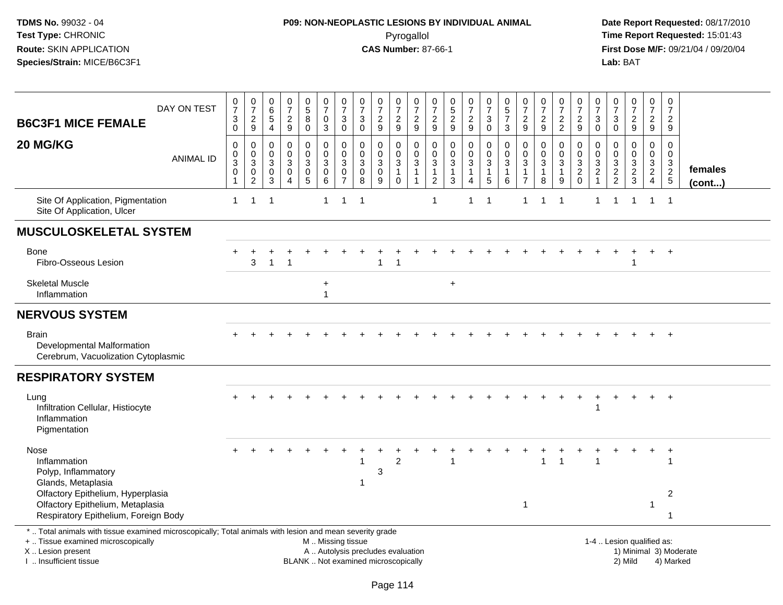# **P09: NON-NEOPLASTIC LESIONS BY INDIVIDUAL ANIMAL**Pyrogallol **Time Report Requested:** 15:01:43

| <b>B6C3F1 MICE FEMALE</b>                                                                                                                                                                     | DAY ON TEST      | $\frac{0}{7}$<br>$\sqrt{3}$<br>0                                     | $\frac{0}{7}$<br>$\boldsymbol{2}$<br>$\boldsymbol{9}$                                      | $\boldsymbol{0}$<br>$\overline{6}$<br>5<br>$\overline{4}$ | $\frac{0}{7}$<br>$\boldsymbol{2}$<br>$9\,$                              | $\begin{array}{c} 0 \\ 5 \\ 8 \end{array}$<br>$\mathbf 0$    | $\begin{smallmatrix}0\\7\end{smallmatrix}$<br>$\pmb{0}$<br>$\mathbf{3}$                       | $\frac{0}{7}$<br>$\ensuremath{\mathsf{3}}$<br>$\mathbf 0$ | $\frac{0}{7}$<br>$\sqrt{3}$<br>$\mathsf{O}\xspace$   | $\begin{array}{c} 0 \\ 7 \end{array}$<br>$\boldsymbol{2}$<br>$\boldsymbol{9}$ | $\frac{0}{7}$<br>$\boldsymbol{2}$<br>$\boldsymbol{9}$         | $\frac{0}{7}$<br>$\overline{c}$<br>9                                     | 0<br>$\overline{7}$<br>$\overline{c}$<br>9            | $\pmb{0}$<br>$\frac{5}{2}$<br>9                                 | $\frac{0}{7}$<br>$\overline{c}$<br>$\boldsymbol{9}$           | $\begin{array}{c} 0 \\ 7 \end{array}$<br>$\sqrt{3}$<br>$\mathbf 0$ | $\begin{array}{c} 0 \\ 5 \\ 7 \end{array}$<br>$\mathbf{3}$ | $\pmb{0}$<br>$\overline{7}$<br>$\boldsymbol{2}$<br>$\boldsymbol{9}$                     | $\begin{matrix} 0 \\ 7 \end{matrix}$<br>$\overline{c}$<br>9 | $\frac{0}{7}$<br>$\overline{c}$<br>$\overline{2}$    | $\frac{0}{7}$<br>$\sqrt{2}$<br>9  | $\frac{0}{7}$<br>$\ensuremath{\mathsf{3}}$<br>$\mathbf 0$ | $\frac{0}{7}$<br>$\mathbf{3}$<br>$\mathsf{O}\xspace$              | $\frac{0}{7}$<br>$\frac{2}{9}$                          | $\frac{0}{7}$<br>$\overline{c}$<br>9                                | $\frac{0}{7}$<br>$\overline{a}$<br>9        |                         |
|-----------------------------------------------------------------------------------------------------------------------------------------------------------------------------------------------|------------------|----------------------------------------------------------------------|--------------------------------------------------------------------------------------------|-----------------------------------------------------------|-------------------------------------------------------------------------|--------------------------------------------------------------|-----------------------------------------------------------------------------------------------|-----------------------------------------------------------|------------------------------------------------------|-------------------------------------------------------------------------------|---------------------------------------------------------------|--------------------------------------------------------------------------|-------------------------------------------------------|-----------------------------------------------------------------|---------------------------------------------------------------|--------------------------------------------------------------------|------------------------------------------------------------|-----------------------------------------------------------------------------------------|-------------------------------------------------------------|------------------------------------------------------|-----------------------------------|-----------------------------------------------------------|-------------------------------------------------------------------|---------------------------------------------------------|---------------------------------------------------------------------|---------------------------------------------|-------------------------|
| 20 MG/KG                                                                                                                                                                                      | <b>ANIMAL ID</b> | $\mathbf 0$<br>0<br>$\ensuremath{\mathsf{3}}$<br>0<br>$\overline{1}$ | $\mathbf 0$<br>$\begin{smallmatrix}0\\3\end{smallmatrix}$<br>$\mathbf 0$<br>$\overline{2}$ | $\mathbf 0$<br>0<br>$\mathsf 3$<br>0<br>$\mathbf{3}$      | $\mathbf 0$<br>$\mathbf 0$<br>$\sqrt{3}$<br>0<br>$\boldsymbol{\Lambda}$ | $\mathbf 0$<br>$\pmb{0}$<br>3<br>$\pmb{0}$<br>$\overline{5}$ | 0<br>$\pmb{0}$<br>$\sqrt{3}$<br>$\overline{0}$<br>$6\overline{6}$                             | $\mathbf 0$<br>$\mathbf 0$<br>3<br>0<br>$\overline{7}$    | $\mathbf 0$<br>$\mathbf 0$<br>$\mathbf{3}$<br>0<br>8 | $\mathbf 0$<br>$\pmb{0}$<br>$\sqrt{3}$<br>$\pmb{0}$<br>9                      | 0<br>$\pmb{0}$<br>$\sqrt{3}$<br>$\overline{1}$<br>$\mathbf 0$ | $\mathbf 0$<br>$\pmb{0}$<br>$\sqrt{3}$<br>$\mathbf{1}$<br>$\overline{1}$ | $\mathbf 0$<br>0<br>$\sqrt{3}$<br>1<br>$\overline{c}$ | $\mathbf 0$<br>$\mathbf 0$<br>$\sqrt{3}$<br>$\overline{1}$<br>3 | $\mathbf 0$<br>$\pmb{0}$<br>$\sqrt{3}$<br>1<br>$\overline{4}$ | 0<br>$\mathbf 0$<br>$\mathbf{3}$<br>$\overline{1}$<br>$\sqrt{5}$   | $\Omega$<br>$\pmb{0}$<br>$\sqrt{3}$<br>$\mathbf{1}$<br>6   | $\mathbf 0$<br>$\pmb{0}$<br>$\ensuremath{\mathsf{3}}$<br>$\mathbf{1}$<br>$\overline{7}$ | $\mathbf 0$<br>$\pmb{0}$<br>$\sqrt{3}$<br>$\mathbf{1}$<br>8 | $\mathbf 0$<br>$\mathbf 0$<br>3<br>$\mathbf{1}$<br>9 | 0<br>$\mathbf 0$<br>$\frac{3}{2}$ | $\mathbf 0$<br>$\mathbf 0$<br>$\sqrt{3}$<br>$\frac{2}{1}$ | $\mathbf 0$<br>$\mathsf{O}\xspace$<br>$\sqrt{3}$<br>$\frac{2}{2}$ | $\Omega$<br>$\mathbf 0$<br>$\mathsf 3$<br>$\frac{2}{3}$ | $\mathbf 0$<br>$\mathbf 0$<br>3<br>$\overline{2}$<br>$\overline{4}$ | $\mathbf 0$<br>$\mathbf 0$<br>$\frac{3}{2}$ | females<br>$($ cont $)$ |
| Site Of Application, Pigmentation<br>Site Of Application, Ulcer                                                                                                                               |                  | $\mathbf{1}$                                                         | $\mathbf 1$                                                                                | $\overline{1}$                                            |                                                                         |                                                              | $\mathbf{1}$                                                                                  | 1                                                         | -1                                                   |                                                                               |                                                               |                                                                          | $\mathbf{1}$                                          |                                                                 | $\mathbf 1$                                                   | -1                                                                 |                                                            | 1                                                                                       |                                                             | -1                                                   |                                   |                                                           |                                                                   | 1                                                       | $\mathbf{1}$                                                        | $\overline{1}$                              |                         |
| <b>MUSCULOSKELETAL SYSTEM</b>                                                                                                                                                                 |                  |                                                                      |                                                                                            |                                                           |                                                                         |                                                              |                                                                                               |                                                           |                                                      |                                                                               |                                                               |                                                                          |                                                       |                                                                 |                                                               |                                                                    |                                                            |                                                                                         |                                                             |                                                      |                                   |                                                           |                                                                   |                                                         |                                                                     |                                             |                         |
| Bone<br>Fibro-Osseous Lesion                                                                                                                                                                  |                  |                                                                      | 3                                                                                          | $\overline{1}$                                            | $\overline{\phantom{a}}$                                                |                                                              |                                                                                               |                                                           |                                                      | 1                                                                             | 1                                                             |                                                                          |                                                       |                                                                 |                                                               |                                                                    |                                                            |                                                                                         |                                                             |                                                      |                                   |                                                           |                                                                   | 1                                                       | $\ddot{}$                                                           | $\div$                                      |                         |
| <b>Skeletal Muscle</b><br>Inflammation                                                                                                                                                        |                  |                                                                      |                                                                                            |                                                           |                                                                         |                                                              | $\ddot{}$<br>$\mathbf{1}$                                                                     |                                                           |                                                      |                                                                               |                                                               |                                                                          |                                                       | $\ddot{}$                                                       |                                                               |                                                                    |                                                            |                                                                                         |                                                             |                                                      |                                   |                                                           |                                                                   |                                                         |                                                                     |                                             |                         |
| <b>NERVOUS SYSTEM</b>                                                                                                                                                                         |                  |                                                                      |                                                                                            |                                                           |                                                                         |                                                              |                                                                                               |                                                           |                                                      |                                                                               |                                                               |                                                                          |                                                       |                                                                 |                                                               |                                                                    |                                                            |                                                                                         |                                                             |                                                      |                                   |                                                           |                                                                   |                                                         |                                                                     |                                             |                         |
| <b>Brain</b><br>Developmental Malformation<br>Cerebrum, Vacuolization Cytoplasmic                                                                                                             |                  |                                                                      |                                                                                            |                                                           |                                                                         |                                                              |                                                                                               |                                                           |                                                      |                                                                               |                                                               |                                                                          |                                                       |                                                                 |                                                               |                                                                    |                                                            |                                                                                         |                                                             |                                                      |                                   |                                                           |                                                                   |                                                         |                                                                     |                                             |                         |
| <b>RESPIRATORY SYSTEM</b>                                                                                                                                                                     |                  |                                                                      |                                                                                            |                                                           |                                                                         |                                                              |                                                                                               |                                                           |                                                      |                                                                               |                                                               |                                                                          |                                                       |                                                                 |                                                               |                                                                    |                                                            |                                                                                         |                                                             |                                                      |                                   |                                                           |                                                                   |                                                         |                                                                     |                                             |                         |
| Lung<br>Infiltration Cellular, Histiocyte<br>Inflammation<br>Pigmentation                                                                                                                     |                  |                                                                      |                                                                                            |                                                           |                                                                         |                                                              |                                                                                               |                                                           |                                                      |                                                                               |                                                               |                                                                          |                                                       |                                                                 |                                                               |                                                                    |                                                            |                                                                                         |                                                             |                                                      |                                   |                                                           |                                                                   |                                                         |                                                                     |                                             |                         |
| Nose<br>Inflammation<br>Polyp, Inflammatory<br>Glands, Metaplasia                                                                                                                             |                  |                                                                      |                                                                                            |                                                           |                                                                         |                                                              |                                                                                               |                                                           |                                                      | 3                                                                             | $\overline{2}$                                                |                                                                          |                                                       |                                                                 |                                                               |                                                                    |                                                            |                                                                                         |                                                             |                                                      |                                   | $\overline{\mathbf{1}}$                                   |                                                                   |                                                         |                                                                     | $\ddot{}$                                   |                         |
| Olfactory Epithelium, Hyperplasia<br>Olfactory Epithelium, Metaplasia<br>Respiratory Epithelium, Foreign Body                                                                                 |                  |                                                                      |                                                                                            |                                                           |                                                                         |                                                              |                                                                                               |                                                           |                                                      |                                                                               |                                                               |                                                                          |                                                       |                                                                 |                                                               |                                                                    |                                                            | $\mathbf{1}$                                                                            |                                                             |                                                      |                                   |                                                           |                                                                   |                                                         | 1                                                                   | 2<br>-1                                     |                         |
| *  Total animals with tissue examined microscopically; Total animals with lesion and mean severity grade<br>+  Tissue examined microscopically<br>X  Lesion present<br>I. Insufficient tissue |                  |                                                                      |                                                                                            |                                                           |                                                                         |                                                              | M  Missing tissue<br>A  Autolysis precludes evaluation<br>BLANK  Not examined microscopically |                                                           |                                                      |                                                                               |                                                               |                                                                          |                                                       |                                                                 |                                                               |                                                                    |                                                            |                                                                                         |                                                             |                                                      |                                   |                                                           |                                                                   | 1-4  Lesion qualified as:<br>2) Mild                    |                                                                     | 1) Minimal 3) Moderate<br>4) Marked         |                         |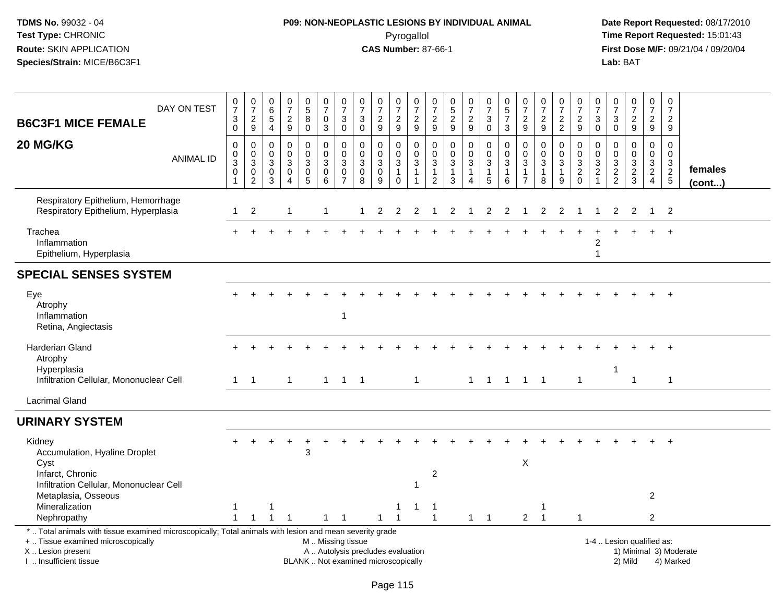# **P09: NON-NEOPLASTIC LESIONS BY INDIVIDUAL ANIMAL**Pyrogallol **Time Report Requested:** 15:01:43

| <b>B6C3F1 MICE FEMALE</b>                                                                                                                                                                    | DAY ON TEST      | $\frac{0}{7}$<br>$\ensuremath{\mathsf{3}}$<br>$\mathbf 0$   | $\begin{array}{c} 0 \\ 7 \end{array}$<br>$\frac{2}{9}$        | 0<br>$\,6\,$<br>$\,$ 5 $\,$<br>$\overline{4}$ | $\frac{0}{7}$<br>$\sqrt{2}$<br>9                             | $\begin{array}{c} 0 \\ 5 \end{array}$<br>$\bf 8$<br>$\pmb{0}$     | $\frac{0}{7}$<br>$\pmb{0}$<br>$\mathbf{3}$                                        | $\frac{0}{7}$<br>$\sqrt{3}$<br>$\mathbf 0$                     | $\pmb{0}$<br>$\overline{7}$<br>$\ensuremath{\mathsf{3}}$<br>$\pmb{0}$    | $\frac{0}{7}$<br>$\frac{2}{9}$                                   | $\frac{0}{7}$<br>$\frac{2}{9}$                                    | $\frac{0}{7}$<br>$\sqrt{2}$<br>9                                           | 0<br>$\overline{7}$<br>$\boldsymbol{2}$<br>$\boldsymbol{9}$       | $\begin{array}{c} 0 \\ 5 \end{array}$<br>$\frac{2}{9}$                   | $\frac{0}{7}$<br>$\frac{2}{9}$                                               | $\frac{0}{7}$<br>$\ensuremath{\mathsf{3}}$<br>$\mathbf 0$                           | $\begin{array}{c} 0 \\ 5 \\ 7 \end{array}$<br>3        | $\begin{array}{c} 0 \\ 7 \end{array}$<br>$\frac{2}{9}$    | $\begin{array}{c} 0 \\ 7 \end{array}$<br>$\sqrt{2}$<br>$9\,$    | $\frac{0}{7}$<br>$\frac{2}{2}$                                         | $\frac{0}{7}$<br>$\sqrt{2}$<br>9                         | $\frac{0}{7}$<br>3<br>$\mathbf 0$                                                     | $\frac{0}{7}$<br>$\ensuremath{\mathsf{3}}$<br>$\mathbf 0$ | $\frac{0}{7}$<br>$\frac{2}{9}$                             | $\frac{0}{7}$<br>$\frac{2}{9}$                          | $\begin{array}{c} 0 \\ 7 \end{array}$<br>$\overline{c}$<br>9 |                         |
|----------------------------------------------------------------------------------------------------------------------------------------------------------------------------------------------|------------------|-------------------------------------------------------------|---------------------------------------------------------------|-----------------------------------------------|--------------------------------------------------------------|-------------------------------------------------------------------|-----------------------------------------------------------------------------------|----------------------------------------------------------------|--------------------------------------------------------------------------|------------------------------------------------------------------|-------------------------------------------------------------------|----------------------------------------------------------------------------|-------------------------------------------------------------------|--------------------------------------------------------------------------|------------------------------------------------------------------------------|-------------------------------------------------------------------------------------|--------------------------------------------------------|-----------------------------------------------------------|-----------------------------------------------------------------|------------------------------------------------------------------------|----------------------------------------------------------|---------------------------------------------------------------------------------------|-----------------------------------------------------------|------------------------------------------------------------|---------------------------------------------------------|--------------------------------------------------------------|-------------------------|
| 20 MG/KG                                                                                                                                                                                     | <b>ANIMAL ID</b> | $\mathbf 0$<br>$\mathbf 0$<br>$\overline{3}$<br>$\mathsf 0$ | $\pmb{0}$<br>$_{3}^{\rm 0}$<br>$\boldsymbol{0}$<br>$\sqrt{2}$ | 0<br>$\mathbf 0$<br>3<br>0<br>$\mathbf{3}$    | $\pmb{0}$<br>$\mathbf 0$<br>3<br>$\pmb{0}$<br>$\overline{4}$ | 0<br>$\mathbf 0$<br>$\mathbf{3}$<br>$\mathsf 0$<br>$\overline{5}$ | $\pmb{0}$<br>$\pmb{0}$<br>$\overline{3}$<br>$\mathsf{O}\xspace$<br>$\overline{6}$ | $\pmb{0}$<br>$\mathbf 0$<br>3<br>$\mathbf 0$<br>$\overline{7}$ | 0<br>$\mathbf 0$<br>$\mathbf{3}$<br>$\pmb{0}$<br>8                       | $\mathbf 0$<br>$\mathbf 0$<br>$\sqrt{3}$<br>$\mathbf 0$<br>$9\,$ | 0<br>$\mathbf 0$<br>$\overline{3}$<br>$\mathbf{1}$<br>$\mathbf 0$ | $\mathbf 0$<br>$\mathbf 0$<br>$\sqrt{3}$<br>$\mathbf{1}$<br>$\overline{1}$ | $\mathbf 0$<br>$\mathbf 0$<br>3<br>$\mathbf{1}$<br>$\overline{c}$ | $\pmb{0}$<br>$\mathbf 0$<br>$\sqrt{3}$<br>$\mathbf{1}$<br>$\overline{3}$ | 0<br>$\mathsf{O}\xspace$<br>$\overline{3}$<br>$\mathbf{1}$<br>$\overline{4}$ | $\pmb{0}$<br>$\mathbf 0$<br>$\overline{3}$<br>$\begin{array}{c} 1 \\ 5 \end{array}$ | $\mathbf 0$<br>$\pmb{0}$<br>$\sqrt{3}$<br>1<br>$\,6\,$ | $\mathbf 0$<br>$\mathbf 0$<br>$\sqrt{3}$<br>$\frac{1}{7}$ | $\mathbf 0$<br>$\mathbf 0$<br>$\mathbf{3}$<br>$\mathbf{1}$<br>8 | 0<br>$\mathbf 0$<br>$\ensuremath{\mathsf{3}}$<br>$\mathbf{1}$<br>$9\,$ | $\mathbf 0$<br>$\mathbf 0$<br>$\sqrt{3}$<br>$^2_{\rm 0}$ | $\mathbf 0$<br>$\mathbf 0$<br>$\ensuremath{\mathsf{3}}$<br>$\sqrt{2}$<br>$\mathbf{1}$ | $\mathbf 0$<br>$\Omega$<br>$\sqrt{3}$<br>$\frac{2}{2}$    | $\mathsf 0$<br>$\mathbf 0$<br>$\mathbf 3$<br>$\frac{2}{3}$ | $\mathbf 0$<br>$\mathbf{0}$<br>3<br>$\overline{a}$<br>4 | $\mathbf 0$<br>$\mathbf 0$<br>$\frac{3}{2}$                  | females<br>$($ cont $)$ |
| Respiratory Epithelium, Hemorrhage<br>Respiratory Epithelium, Hyperplasia                                                                                                                    |                  | $\mathbf{1}$                                                | $\overline{2}$                                                |                                               | $\overline{1}$                                               |                                                                   | -1                                                                                |                                                                |                                                                          | $\overline{2}$                                                   | 2                                                                 | 2                                                                          | -1                                                                | 2                                                                        | -1                                                                           | $\overline{2}$                                                                      | 2                                                      |                                                           | 2                                                               | 2                                                                      |                                                          | 1                                                                                     | 2                                                         | $\overline{2}$                                             | $\mathbf{1}$                                            | $\overline{2}$                                               |                         |
| Trachea<br>Inflammation<br>Epithelium, Hyperplasia                                                                                                                                           |                  |                                                             |                                                               |                                               |                                                              |                                                                   |                                                                                   |                                                                |                                                                          |                                                                  |                                                                   |                                                                            |                                                                   |                                                                          |                                                                              |                                                                                     |                                                        |                                                           |                                                                 |                                                                        |                                                          | 2<br>$\mathbf{1}$                                                                     |                                                           |                                                            |                                                         |                                                              |                         |
| <b>SPECIAL SENSES SYSTEM</b>                                                                                                                                                                 |                  |                                                             |                                                               |                                               |                                                              |                                                                   |                                                                                   |                                                                |                                                                          |                                                                  |                                                                   |                                                                            |                                                                   |                                                                          |                                                                              |                                                                                     |                                                        |                                                           |                                                                 |                                                                        |                                                          |                                                                                       |                                                           |                                                            |                                                         |                                                              |                         |
| Eye<br>Atrophy<br>Inflammation<br>Retina, Angiectasis                                                                                                                                        |                  |                                                             |                                                               |                                               |                                                              |                                                                   |                                                                                   | $\overline{1}$                                                 |                                                                          |                                                                  |                                                                   |                                                                            |                                                                   |                                                                          |                                                                              |                                                                                     |                                                        |                                                           |                                                                 |                                                                        |                                                          |                                                                                       |                                                           |                                                            |                                                         |                                                              |                         |
| <b>Harderian Gland</b><br>Atrophy<br>Hyperplasia<br>Infiltration Cellular, Mononuclear Cell                                                                                                  |                  | 1                                                           | $\overline{1}$                                                |                                               | $\mathbf{1}$                                                 |                                                                   |                                                                                   | $1 \quad 1 \quad 1$                                            |                                                                          |                                                                  |                                                                   | $\overline{1}$                                                             |                                                                   |                                                                          |                                                                              |                                                                                     | 1 1 1 1 1                                              |                                                           |                                                                 |                                                                        | $\mathbf{1}$                                             |                                                                                       | -1                                                        | $\overline{1}$                                             |                                                         | $\overline{1}$                                               |                         |
| <b>Lacrimal Gland</b>                                                                                                                                                                        |                  |                                                             |                                                               |                                               |                                                              |                                                                   |                                                                                   |                                                                |                                                                          |                                                                  |                                                                   |                                                                            |                                                                   |                                                                          |                                                                              |                                                                                     |                                                        |                                                           |                                                                 |                                                                        |                                                          |                                                                                       |                                                           |                                                            |                                                         |                                                              |                         |
| <b>URINARY SYSTEM</b>                                                                                                                                                                        |                  |                                                             |                                                               |                                               |                                                              |                                                                   |                                                                                   |                                                                |                                                                          |                                                                  |                                                                   |                                                                            |                                                                   |                                                                          |                                                                              |                                                                                     |                                                        |                                                           |                                                                 |                                                                        |                                                          |                                                                                       |                                                           |                                                            |                                                         |                                                              |                         |
| Kidney<br>Accumulation, Hyaline Droplet<br>Cyst<br>Infarct, Chronic<br>Infiltration Cellular, Mononuclear Cell                                                                               |                  |                                                             |                                                               |                                               |                                                              | 3                                                                 |                                                                                   |                                                                |                                                                          |                                                                  |                                                                   | 1                                                                          | $\overline{c}$                                                    |                                                                          |                                                                              |                                                                                     |                                                        | $\mathsf X$                                               |                                                                 |                                                                        |                                                          |                                                                                       |                                                           |                                                            |                                                         |                                                              |                         |
| Metaplasia, Osseous<br>Mineralization                                                                                                                                                        |                  |                                                             |                                                               | 1                                             |                                                              |                                                                   |                                                                                   |                                                                |                                                                          |                                                                  |                                                                   | 1                                                                          | -1                                                                |                                                                          |                                                                              |                                                                                     |                                                        |                                                           | -1                                                              |                                                                        |                                                          |                                                                                       |                                                           |                                                            | $\overline{2}$                                          |                                                              |                         |
| Nephropathy                                                                                                                                                                                  |                  |                                                             | $\overline{1}$                                                | $\overline{1}$                                | $\overline{1}$                                               |                                                                   | $1 \quad 1$                                                                       |                                                                |                                                                          | $\mathbf{1}$                                                     | $\overline{1}$                                                    |                                                                            | $\mathbf{1}$                                                      |                                                                          |                                                                              | $1 \quad 1$                                                                         |                                                        | $2 \quad 1$                                               |                                                                 |                                                                        | $\mathbf{1}$                                             |                                                                                       |                                                           |                                                            | 2                                                       |                                                              |                         |
| *  Total animals with tissue examined microscopically; Total animals with lesion and mean severity grade<br>+  Tissue examined microscopically<br>X Lesion present<br>I  Insufficient tissue |                  |                                                             |                                                               |                                               |                                                              |                                                                   | M  Missing tissue                                                                 |                                                                | A  Autolysis precludes evaluation<br>BLANK  Not examined microscopically |                                                                  |                                                                   |                                                                            |                                                                   |                                                                          |                                                                              |                                                                                     |                                                        |                                                           |                                                                 |                                                                        |                                                          |                                                                                       |                                                           | 1-4  Lesion qualified as:<br>2) Mild                       |                                                         | 4) Marked                                                    | 1) Minimal 3) Moderate  |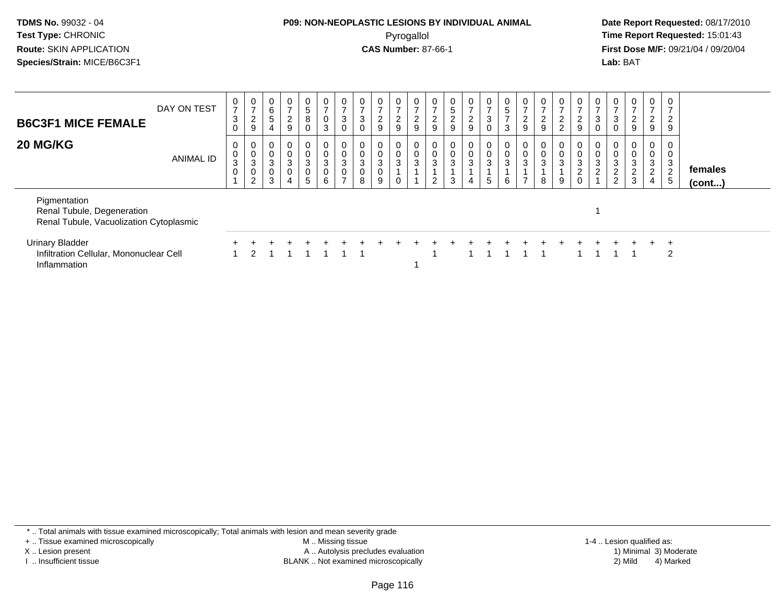## **P09: NON-NEOPLASTIC LESIONS BY INDIVIDUAL ANIMAL**Pyrogallol **Time Report Requested:** 15:01:43

 **Date Report Requested:** 08/17/2010 **First Dose M/F:** 09/21/04 / 09/20/04<br>**Lab:** BAT **Lab:** BAT

| <b>B6C3F1 MICE FEMALE</b>                                                             | DAY ON TEST      | $\frac{0}{7}$<br>$\mathbf{3}$<br>$\mathbf 0$  | $\frac{0}{7}$<br>$\frac{2}{9}$        | $\begin{matrix} 0 \\ 6 \end{matrix}$<br>5       | $\frac{0}{7}$<br>$\frac{2}{9}$                                          | 0<br>5<br>8<br>$\Omega$                                    | $\pmb{0}$<br>3                        | 0<br>$\overline{7}$<br>$\mathbf{3}$<br>$\mathbf{0}$ | $\overline{0}$<br>$\rightarrow$<br>$\mathbf{3}$<br>0 | $\frac{0}{7}$<br>$\frac{2}{9}$                      | $\mathbf{0}$<br>$\rightarrow$<br>$\frac{2}{9}$   | $\frac{0}{7}$<br>$\frac{2}{9}$ | $\overline{0}$<br>$\overline{z}$<br>$\frac{2}{9}$ | $\mathbf{0}$<br>$\sqrt{5}$<br>$\frac{2}{9}$ | $\mathbf 0$<br>$\overline{7}$<br>$\frac{2}{9}$ | 0<br>$\overline{ }$<br>3 | $5\phantom{.0}$<br>$\overline{ }$<br>3 | 0<br>$\rightarrow$<br>$\frac{2}{9}$             | $\frac{0}{7}$<br>$\frac{2}{9}$                       | $\frac{0}{7}$<br>$\frac{2}{2}$    | $\cup$<br>$\frac{2}{9}$                                      | $\frac{0}{7}$<br>$_{0}^{3}$            | $\frac{0}{7}$<br>$_{0}^{3}$                     | $\frac{0}{7}$<br>$\frac{2}{9}$                   | 0<br>$\overline{ }$<br>$\overline{c}$<br>$\boldsymbol{9}$ | 0<br>$\overline{ }$<br>$\overline{2}$<br>9         |                   |  |
|---------------------------------------------------------------------------------------|------------------|-----------------------------------------------|---------------------------------------|-------------------------------------------------|-------------------------------------------------------------------------|------------------------------------------------------------|---------------------------------------|-----------------------------------------------------|------------------------------------------------------|-----------------------------------------------------|--------------------------------------------------|--------------------------------|---------------------------------------------------|---------------------------------------------|------------------------------------------------|--------------------------|----------------------------------------|-------------------------------------------------|------------------------------------------------------|-----------------------------------|--------------------------------------------------------------|----------------------------------------|-------------------------------------------------|--------------------------------------------------|-----------------------------------------------------------|----------------------------------------------------|-------------------|--|
| 20 MG/KG                                                                              | <b>ANIMAL ID</b> | 0<br>$\mathsf{O}$<br>$\mathsf 3$<br>$\pmb{0}$ | 0<br>$_{3}^{\rm 0}$<br>$\pmb{0}$<br>2 | 0<br>$\pmb{0}$<br>$\mathsf 3$<br>$\pmb{0}$<br>3 | $\mathbf 0$<br>$\pmb{0}$<br>$\mathbf{3}$<br>$\pmb{0}$<br>$\overline{4}$ | $\pmb{0}$<br>$\ensuremath{\mathsf{3}}$<br>$\mathbf 0$<br>5 | $\mathbf 0$<br>$\mathbf{3}$<br>0<br>6 | $\boldsymbol{0}$<br>3<br>$\overline{ }$             | 0<br>0<br>$\mathbf{3}$<br>0<br>8                     | $\begin{matrix} 0 \\ 0 \\ 3 \end{matrix}$<br>0<br>9 | $\cup$<br>$\pmb{0}$<br>$\sqrt{3}$<br>$\mathbf 0$ | 0<br>$\pmb{0}$<br>$\mathbf 3$  | 0<br>$\pmb{0}$<br>$\sqrt{3}$<br>2                 | $\mathbf{0}$<br>0<br>$\mathbf{3}$<br>3      | 0<br>$\pmb{0}$<br>$\sqrt{3}$<br>$\overline{4}$ | $\pmb{0}$<br>3<br>5      | $\mathbf 0$<br>3<br>6                  | 0<br>$\mathsf{O}\xspace$<br>3<br>$\overline{ }$ | $\begin{smallmatrix} 0\\0\\3 \end{smallmatrix}$<br>8 | U<br>$\pmb{0}$<br>$\sqrt{3}$<br>9 | $\mathbf 0$<br>$\mathbf{3}$<br>$\overline{2}$<br>$\mathbf 0$ | $\begin{matrix}0\\0\\3\\2\end{matrix}$ | 0<br>$\pmb{0}$<br>$\mathbf{3}$<br>$\frac{2}{2}$ | 0<br>$\frac{0}{3}$<br>$\sqrt{2}$<br>$\mathbf{3}$ | 0<br>$\pmb{0}$<br>3<br>2<br>4                             | $\mathbf 0$<br>$\mathbf{3}$<br>$\overline{2}$<br>5 | females<br>(cont) |  |
| Pigmentation<br>Renal Tubule, Degeneration<br>Renal Tubule, Vacuolization Cytoplasmic |                  |                                               |                                       |                                                 |                                                                         |                                                            |                                       |                                                     |                                                      |                                                     |                                                  |                                |                                                   |                                             |                                                |                          |                                        |                                                 |                                                      |                                   |                                                              |                                        |                                                 |                                                  |                                                           |                                                    |                   |  |
| <b>Urinary Bladder</b><br>Infiltration Cellular, Mononuclear Cell<br>Inflammation     |                  |                                               | 2                                     |                                                 |                                                                         |                                                            |                                       |                                                     |                                                      |                                                     |                                                  |                                |                                                   |                                             |                                                |                          |                                        |                                                 |                                                      |                                   |                                                              |                                        |                                                 |                                                  |                                                           | $\pm$<br>2                                         |                   |  |

\* .. Total animals with tissue examined microscopically; Total animals with lesion and mean severity grade

+ .. Tissue examined microscopically

X .. Lesion present

I .. Insufficient tissue

 M .. Missing tissueA .. Autolysis precludes evaluation

BLANK .. Not examined microscopically 2) Mild 4) Marked

1-4 .. Lesion qualified as: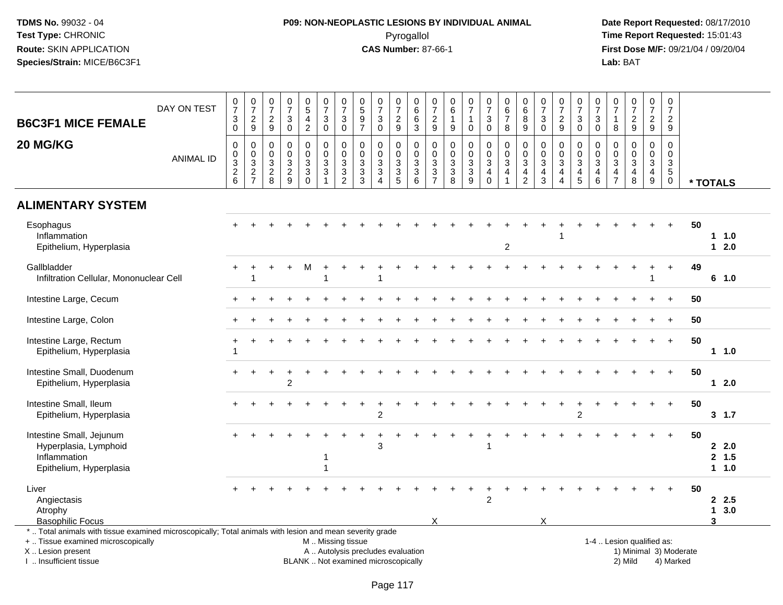# **P09: NON-NEOPLASTIC LESIONS BY INDIVIDUAL ANIMAL**Pyrogallol **Time Report Requested:** 15:01:43

 **Date Report Requested:** 08/17/2010 **First Dose M/F:** 09/21/04 / 09/20/04<br>Lab: BAT **Lab:** BAT

| <b>B6C3F1 MICE FEMALE</b>                                                                                                                                                                     | DAY ON TEST      | $\begin{smallmatrix}0\\7\end{smallmatrix}$<br>$\mathbf{3}$<br>$\mathbf 0$ | $\frac{0}{7}$<br>$\frac{2}{9}$                                 | $\begin{matrix} 0 \\ 7 \end{matrix}$<br>$\sqrt{2}$<br>9 | $\frac{0}{7}$<br>3<br>$\mathbf 0$                                                       | $\begin{array}{c} 0 \\ 5 \end{array}$<br>$\overline{\mathbf{4}}$<br>$\overline{2}$ | $\begin{array}{c} 0 \\ 7 \end{array}$<br>$\ensuremath{\mathsf{3}}$<br>$\mathsf{O}\xspace$ | $\frac{0}{7}$<br>$\ensuremath{\mathsf{3}}$<br>$\mathsf{O}\xspace$ | 0597                                                                     | $\begin{array}{c} 0 \\ 7 \end{array}$<br>$\ensuremath{\mathsf{3}}$<br>$\mathbf 0$                      | $\frac{0}{7}$<br>$\boldsymbol{2}$<br>$\boldsymbol{9}$ | $\begin{array}{c} 0 \\ 6 \end{array}$<br>$\,6$<br>$\mathbf{3}$ | $\frac{0}{7}$<br>$\overline{c}$<br>9                                           | 0<br>$\,6$<br>$\mathbf 1$<br>$\boldsymbol{9}$                                 | $\frac{0}{7}$<br>$\mathbf{1}$<br>$\mathbf 0$      | $\frac{0}{7}$<br>$\ensuremath{\mathsf{3}}$<br>$\mathbf 0$ | $\begin{array}{c} 0 \\ 6 \end{array}$<br>$\overline{7}$<br>$\, 8$                         | $\begin{array}{c} 0 \\ 6 \end{array}$<br>8<br>9         | $\frac{0}{7}$<br>$\sqrt{3}$<br>$\mathbf 0$                                              | $\frac{0}{7}$<br>$\sqrt{2}$<br>9                                                                  | $\begin{array}{c} 0 \\ 7 \end{array}$<br>$\ensuremath{\mathsf{3}}$<br>$\mathbf 0$       | $\frac{0}{7}$<br>$\sqrt{3}$<br>$\mathbf 0$                                | $\begin{matrix} 0 \\ 7 \end{matrix}$<br>$\mathbf{1}$<br>8 | $\frac{0}{7}$<br>$\sqrt{2}$<br>$\boldsymbol{9}$                | $\frac{0}{7}$<br>$\overline{a}$<br>9                   | $\pmb{0}$<br>$\boldsymbol{7}$<br>$\sqrt{2}$<br>9                                      |    |                             |
|-----------------------------------------------------------------------------------------------------------------------------------------------------------------------------------------------|------------------|---------------------------------------------------------------------------|----------------------------------------------------------------|---------------------------------------------------------|-----------------------------------------------------------------------------------------|------------------------------------------------------------------------------------|-------------------------------------------------------------------------------------------|-------------------------------------------------------------------|--------------------------------------------------------------------------|--------------------------------------------------------------------------------------------------------|-------------------------------------------------------|----------------------------------------------------------------|--------------------------------------------------------------------------------|-------------------------------------------------------------------------------|---------------------------------------------------|-----------------------------------------------------------|-------------------------------------------------------------------------------------------|---------------------------------------------------------|-----------------------------------------------------------------------------------------|---------------------------------------------------------------------------------------------------|-----------------------------------------------------------------------------------------|---------------------------------------------------------------------------|-----------------------------------------------------------|----------------------------------------------------------------|--------------------------------------------------------|---------------------------------------------------------------------------------------|----|-----------------------------|
| 20 MG/KG                                                                                                                                                                                      | <b>ANIMAL ID</b> | $\mathbf 0$<br>$\mathbf 0$<br>$\overline{3}$<br>$\frac{2}{6}$             | $\mathbf 0$<br>$\begin{array}{c} 0 \\ 3 \\ 2 \\ 7 \end{array}$ | $\mathbf 0$<br>$\mathbf 0$<br>3<br>$\overline{c}$<br>8  | $\mathbf 0$<br>$\mathbf 0$<br>$\ensuremath{\mathsf{3}}$<br>$\sqrt{2}$<br>$\overline{9}$ | 0<br>$\mathbf 0$<br>3<br>3<br>$\mathbf 0$                                          | $\mathbf 0$<br>$\mathbf 0$<br>$\overline{3}$<br>$\mathsf 3$<br>$\mathbf{1}$               | 0<br>$\pmb{0}$<br>$\overline{3}$<br>$\frac{3}{2}$                 | $\mathbf 0$<br>$\mathbf 0$<br>$\ensuremath{\mathsf{3}}$<br>$\frac{3}{3}$ | $\mathbf 0$<br>$\mathbf 0$<br>$\ensuremath{\mathsf{3}}$<br>$\ensuremath{\mathsf{3}}$<br>$\overline{4}$ | 0<br>$\mathbf 0$<br>3<br>$\frac{3}{5}$                | 0<br>$\frac{0}{3}$<br>$\ensuremath{\mathsf{3}}$<br>$\,6$       | $\mathbf 0$<br>$\mathbf 0$<br>3<br>$\ensuremath{\mathsf{3}}$<br>$\overline{7}$ | 0<br>$\pmb{0}$<br>$\ensuremath{\mathsf{3}}$<br>$\ensuremath{\mathsf{3}}$<br>8 | $\pmb{0}$<br>$\mathsf{O}\xspace$<br>$\frac{3}{9}$ | 0<br>$\mathbf 0$<br>$\mathbf{3}$<br>4<br>$\mathbf 0$      | $\mathbf 0$<br>$\mathbf 0$<br>$\overline{3}$<br>$\overline{\mathbf{4}}$<br>$\overline{1}$ | 0<br>$\pmb{0}$<br>3<br>$\overline{4}$<br>$\overline{2}$ | $\mathbf 0$<br>$\pmb{0}$<br>$\ensuremath{\mathsf{3}}$<br>$\overline{4}$<br>$\mathbf{3}$ | $\mathbf 0$<br>$\pmb{0}$<br>$\ensuremath{\mathsf{3}}$<br>$\overline{4}$<br>$\boldsymbol{\Lambda}$ | $\mathbf 0$<br>$\mathbf 0$<br>$\ensuremath{\mathsf{3}}$<br>$\overline{4}$<br>$\sqrt{5}$ | $\mathbf 0$<br>$\mathbf 0$<br>$\overline{3}$<br>$\overline{4}$<br>$\,6\,$ | $\mathbf 0$<br>$\mathbf 0$<br>3<br>4<br>$\overline{7}$    | $\mathbf 0$<br>$\mathbf 0$<br>$\mathbf{3}$<br>4<br>8           | $\mathbf 0$<br>$\mathbf 0$<br>3<br>$\overline{4}$<br>9 | $\mathbf 0$<br>$\mathsf{O}\xspace$<br>$\overline{3}$<br>$\overline{5}$<br>$\mathbf 0$ |    | * TOTALS                    |
| <b>ALIMENTARY SYSTEM</b>                                                                                                                                                                      |                  |                                                                           |                                                                |                                                         |                                                                                         |                                                                                    |                                                                                           |                                                                   |                                                                          |                                                                                                        |                                                       |                                                                |                                                                                |                                                                               |                                                   |                                                           |                                                                                           |                                                         |                                                                                         |                                                                                                   |                                                                                         |                                                                           |                                                           |                                                                |                                                        |                                                                                       |    |                             |
| Esophagus<br>Inflammation<br>Epithelium, Hyperplasia                                                                                                                                          |                  |                                                                           |                                                                |                                                         |                                                                                         |                                                                                    |                                                                                           |                                                                   |                                                                          |                                                                                                        |                                                       |                                                                |                                                                                |                                                                               |                                                   |                                                           | $\overline{c}$                                                                            |                                                         |                                                                                         |                                                                                                   |                                                                                         |                                                                           |                                                           |                                                                |                                                        |                                                                                       | 50 | $1 1.0$<br>$12.0$           |
| Gallbladder<br>Infiltration Cellular, Mononuclear Cell                                                                                                                                        |                  |                                                                           |                                                                |                                                         |                                                                                         |                                                                                    |                                                                                           |                                                                   |                                                                          |                                                                                                        |                                                       |                                                                |                                                                                |                                                                               |                                                   |                                                           |                                                                                           |                                                         |                                                                                         |                                                                                                   |                                                                                         |                                                                           |                                                           |                                                                |                                                        |                                                                                       | 49 | 6 1.0                       |
| Intestine Large, Cecum                                                                                                                                                                        |                  |                                                                           |                                                                |                                                         |                                                                                         |                                                                                    |                                                                                           |                                                                   |                                                                          |                                                                                                        |                                                       |                                                                |                                                                                |                                                                               |                                                   |                                                           |                                                                                           |                                                         |                                                                                         |                                                                                                   |                                                                                         |                                                                           |                                                           |                                                                |                                                        | $\div$                                                                                | 50 |                             |
| Intestine Large, Colon                                                                                                                                                                        |                  |                                                                           |                                                                |                                                         |                                                                                         |                                                                                    |                                                                                           |                                                                   |                                                                          |                                                                                                        |                                                       |                                                                |                                                                                |                                                                               |                                                   |                                                           |                                                                                           |                                                         |                                                                                         |                                                                                                   |                                                                                         |                                                                           |                                                           |                                                                |                                                        | $\ddot{}$                                                                             | 50 |                             |
| Intestine Large, Rectum<br>Epithelium, Hyperplasia                                                                                                                                            |                  |                                                                           |                                                                |                                                         |                                                                                         |                                                                                    |                                                                                           |                                                                   |                                                                          |                                                                                                        |                                                       |                                                                |                                                                                |                                                                               |                                                   |                                                           |                                                                                           |                                                         |                                                                                         |                                                                                                   |                                                                                         |                                                                           |                                                           |                                                                |                                                        | $+$                                                                                   | 50 | $1 \t1.0$                   |
| Intestine Small, Duodenum<br>Epithelium, Hyperplasia                                                                                                                                          |                  |                                                                           |                                                                |                                                         | $\overline{2}$                                                                          |                                                                                    |                                                                                           |                                                                   |                                                                          |                                                                                                        |                                                       |                                                                |                                                                                |                                                                               |                                                   |                                                           |                                                                                           |                                                         |                                                                                         |                                                                                                   |                                                                                         |                                                                           |                                                           |                                                                |                                                        | $\ddot{}$                                                                             | 50 | $12.0$                      |
| Intestine Small, Ileum<br>Epithelium, Hyperplasia                                                                                                                                             |                  |                                                                           |                                                                |                                                         |                                                                                         |                                                                                    |                                                                                           |                                                                   |                                                                          | 2                                                                                                      |                                                       |                                                                |                                                                                |                                                                               |                                                   |                                                           |                                                                                           |                                                         |                                                                                         |                                                                                                   | $\mathfrak{p}$                                                                          |                                                                           |                                                           |                                                                |                                                        | $+$                                                                                   | 50 | 3, 1.7                      |
| Intestine Small, Jejunum<br>Hyperplasia, Lymphoid<br>Inflammation<br>Epithelium, Hyperplasia                                                                                                  |                  |                                                                           |                                                                |                                                         |                                                                                         |                                                                                    |                                                                                           |                                                                   |                                                                          | 3                                                                                                      |                                                       |                                                                |                                                                                |                                                                               |                                                   |                                                           |                                                                                           |                                                         |                                                                                         |                                                                                                   |                                                                                         |                                                                           |                                                           |                                                                |                                                        |                                                                                       | 50 | 2.0<br>2, 1.5<br>11.0       |
| Liver<br>Angiectasis<br>Atrophy<br><b>Basophilic Focus</b>                                                                                                                                    |                  |                                                                           |                                                                |                                                         |                                                                                         |                                                                                    |                                                                                           |                                                                   |                                                                          |                                                                                                        |                                                       |                                                                | X                                                                              |                                                                               |                                                   | $\overline{2}$                                            |                                                                                           |                                                         | X                                                                                       |                                                                                                   |                                                                                         |                                                                           |                                                           |                                                                |                                                        | $\ddot{}$                                                                             | 50 | 2.5<br>13.0<br>$\mathbf{3}$ |
| *  Total animals with tissue examined microscopically; Total animals with lesion and mean severity grade<br>+  Tissue examined microscopically<br>X  Lesion present<br>I. Insufficient tissue |                  |                                                                           |                                                                |                                                         |                                                                                         |                                                                                    | M  Missing tissue                                                                         |                                                                   | A  Autolysis precludes evaluation<br>BLANK  Not examined microscopically |                                                                                                        |                                                       |                                                                |                                                                                |                                                                               |                                                   |                                                           |                                                                                           |                                                         |                                                                                         |                                                                                                   |                                                                                         |                                                                           |                                                           | 1-4  Lesion qualified as:<br>1) Minimal 3) Moderate<br>2) Mild |                                                        | 4) Marked                                                                             |    |                             |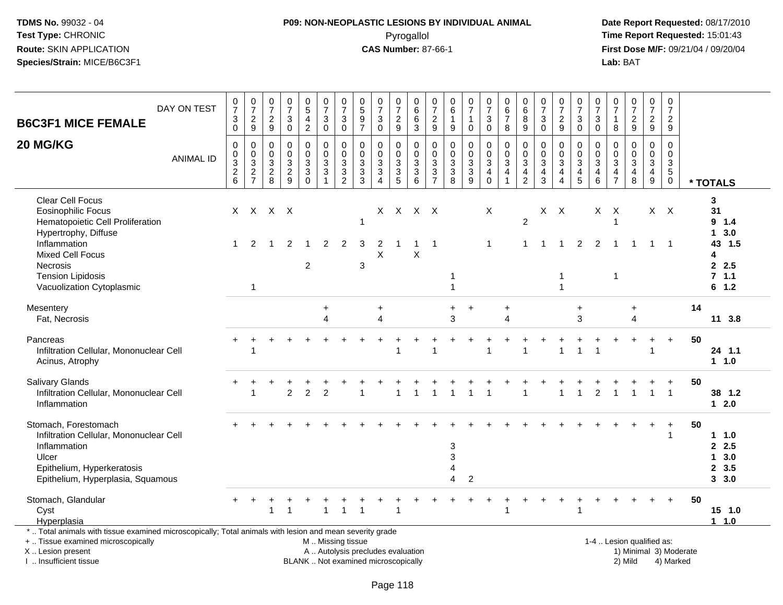## **P09: NON-NEOPLASTIC LESIONS BY INDIVIDUAL ANIMAL**Pyrogallol **Time Report Requested:** 15:01:43

 **Date Report Requested:** 08/17/2010 **First Dose M/F:** 09/21/04 / 09/20/04<br>Lab: BAT **Lab:** BAT

| DAY ON TEST<br><b>B6C3F1 MICE FEMALE</b>                                                                                                                                                                                         | $\frac{0}{7}$<br>$\frac{3}{0}$ | $\frac{0}{7}$<br>$\frac{2}{9}$                      | $\begin{array}{c} 0 \\ 7 \end{array}$<br>$\frac{2}{9}$      | $\begin{array}{c} 0 \\ 7 \end{array}$<br>$\sqrt{3}$<br>$\overline{0}$ | $^{\rm 0}_{\rm 5}$<br>$\frac{4}{2}$                                    | $\frac{0}{7}$<br>$_0^3$                                | $\frac{0}{7}$<br>$\ensuremath{\mathsf{3}}$<br>$\ddot{\mathbf{0}}$ | $\begin{array}{c} 0 \\ 5 \end{array}$<br>$\frac{9}{7}$ | $\frac{0}{7}$<br>$\sqrt{3}$<br>$\overline{0}$                                                       | $\frac{0}{7}$<br>$\frac{2}{9}$                                            | 0<br>$\,6\,$<br>$\,6$<br>$\overline{3}$                                         | 0<br>$\overline{7}$<br>$\frac{2}{9}$                                                                | 0<br>6<br>$\mathbf{1}$<br>$\boldsymbol{9}$                                     | $\frac{0}{7}$<br>$\mathbf{1}$<br>$\mathbf 0$     | $\frac{0}{7}$<br>$_{\rm 0}^3$                                       | $_{\rm 6}^{\rm 0}$<br>$\overline{7}$<br>$\boldsymbol{8}$                                | $\begin{array}{c} 0 \\ 6 \end{array}$<br>8<br>$9\,$                 | $\frac{0}{7}$<br>$_0^3$                     | $\frac{0}{7}$<br>$\frac{2}{9}$                                                              | $\frac{0}{7}$<br>$_0^3$                                        | $\frac{0}{7}$<br>$_{\rm 0}^3$                                             | 0<br>$\overline{7}$<br>$\mathbf{1}$<br>$\bf 8$                                 | $\frac{0}{7}$<br>$\frac{2}{9}$                                               | $\frac{0}{7}$<br>$\frac{2}{9}$                                                     | $\pmb{0}$<br>$\overline{7}$<br>$\frac{2}{9}$                       |                        |                                                                    |
|----------------------------------------------------------------------------------------------------------------------------------------------------------------------------------------------------------------------------------|--------------------------------|-----------------------------------------------------|-------------------------------------------------------------|-----------------------------------------------------------------------|------------------------------------------------------------------------|--------------------------------------------------------|-------------------------------------------------------------------|--------------------------------------------------------|-----------------------------------------------------------------------------------------------------|---------------------------------------------------------------------------|---------------------------------------------------------------------------------|-----------------------------------------------------------------------------------------------------|--------------------------------------------------------------------------------|--------------------------------------------------|---------------------------------------------------------------------|-----------------------------------------------------------------------------------------|---------------------------------------------------------------------|---------------------------------------------|---------------------------------------------------------------------------------------------|----------------------------------------------------------------|---------------------------------------------------------------------------|--------------------------------------------------------------------------------|------------------------------------------------------------------------------|------------------------------------------------------------------------------------|--------------------------------------------------------------------|------------------------|--------------------------------------------------------------------|
| 20 MG/KG<br><b>ANIMAL ID</b>                                                                                                                                                                                                     | $\mathbf 0$<br>$\frac{0}{2}$ 8 | $\mathsf 0$<br>$\mathsf{O}\xspace$<br>$\frac{3}{2}$ | 0<br>$\mathsf{O}\xspace$<br>$\overline{3}$<br>$\frac{2}{8}$ | $\mathbf 0$<br>$\mathbf 0$<br>$\overline{3}$<br>$\frac{2}{9}$         | $\mathsf 0$<br>$\mathbf 0$<br>$\overline{3}$<br>$\sqrt{3}$<br>$\Omega$ | 0<br>$\mathbf 0$<br>$\frac{3}{3}$                      | $\pmb{0}$<br>$\mathbf 0$<br>$\frac{3}{2}$                         | $\mathbf 0$<br>$\mathbf 0$<br>$\frac{3}{3}$<br>3       | $\mathbf 0$<br>$\mathbf 0$<br>$\overline{3}$<br>$\ensuremath{\mathsf{3}}$<br>$\boldsymbol{\Lambda}$ | 0<br>$\mathbf 0$<br>$\sqrt{3}$<br>$\ensuremath{\mathsf{3}}$<br>$\sqrt{5}$ | $\mathbf 0$<br>$\mathsf{O}$<br>$\overline{3}$<br>$\ensuremath{\mathsf{3}}$<br>6 | $\mathbf 0$<br>$\mathsf{O}\xspace$<br>$\overline{3}$<br>$\ensuremath{\mathsf{3}}$<br>$\overline{7}$ | $\mathbf 0$<br>$\mathbf 0$<br>$\overline{3}$<br>$\ensuremath{\mathsf{3}}$<br>8 | $\mathbf 0$<br>$\mathbf 0$<br>$\frac{3}{3}$<br>9 | 0<br>$\mathbf 0$<br>$\overline{3}$<br>$\overline{4}$<br>$\mathbf 0$ | $\mathbf 0$<br>$\mathbf 0$<br>$\overline{3}$<br>$\overline{\mathbf{4}}$<br>$\mathbf{1}$ | $\mathbf 0$<br>$\mathbf 0$<br>3<br>$\overline{a}$<br>$\overline{c}$ | $\mathbf 0$<br>$\mathbf 0$<br>$\frac{3}{4}$ | $\mathbf 0$<br>$\overline{0}$<br>$\overline{3}$<br>$\overline{4}$<br>$\boldsymbol{\Lambda}$ | 0<br>$\mathsf 0$<br>$\begin{array}{c} 3 \\ 4 \\ 5 \end{array}$ | $\mathbf 0$<br>$\mathbf 0$<br>$\overline{3}$<br>$\overline{4}$<br>$\,6\,$ | 0<br>$\Omega$<br>$\ensuremath{\mathsf{3}}$<br>$\overline{4}$<br>$\overline{7}$ | $\mathbf 0$<br>$\mathbf 0$<br>$\overline{3}$<br>$\overline{\mathbf{4}}$<br>8 | $\mathbf 0$<br>$\mathbf 0$<br>$\overline{3}$<br>$\overline{4}$<br>$\boldsymbol{9}$ | $\mathbf 0$<br>$\mathbf 0$<br>$\frac{3}{5}$<br>$\mathsf{O}\xspace$ |                        | * TOTALS                                                           |
| <b>Clear Cell Focus</b><br><b>Eosinophilic Focus</b><br>Hematopoietic Cell Proliferation<br>Hypertrophy, Diffuse<br>Inflammation<br><b>Mixed Cell Focus</b><br>Necrosis<br><b>Tension Lipidosis</b><br>Vacuolization Cytoplasmic | $\mathbf{1}$                   | 2<br>$\overline{1}$                                 | X X X X<br>-1                                               | 2                                                                     | -1<br>$\overline{c}$                                                   | $\overline{2}$                                         | $\overline{c}$                                                    | 1<br>3<br>3                                            | 2<br>X                                                                                              |                                                                           | X X X X<br>Χ                                                                    | $\overline{1}$                                                                                      |                                                                                |                                                  | X<br>$\mathbf 1$                                                    |                                                                                         | $\overline{2}$<br>1                                                 | X                                           | $\mathsf{X}$<br>$\overline{1}$<br>$\mathbf{1}$<br>$\mathbf{1}$                              | $\overline{2}$                                                 | X<br>2                                                                    | X<br>-1<br>-1<br>$\overline{1}$                                                | $\overline{1}$                                                               | $\mathbf{1}$                                                                       | $X$ $X$<br>$\overline{1}$                                          |                        | 3<br>31<br>9 1.4<br>13.0<br>43 1.5<br>4<br>2.5<br>7.1.1<br>$6$ 1.2 |
| Mesentery<br>Fat, Necrosis                                                                                                                                                                                                       |                                |                                                     |                                                             |                                                                       |                                                                        | $\ddot{}$<br>4                                         |                                                                   |                                                        | $\ddot{}$<br>$\overline{4}$                                                                         |                                                                           |                                                                                 |                                                                                                     | $\ddot{}$<br>3                                                                 | $\div$                                           |                                                                     | $\ddot{}$<br>4                                                                          |                                                                     |                                             |                                                                                             | $\ddot{}$<br>3                                                 |                                                                           |                                                                                | $\ddot{}$<br>$\overline{\mathbf{4}}$                                         |                                                                                    |                                                                    | 14                     | 11 3.8                                                             |
| Pancreas<br>Infiltration Cellular, Mononuclear Cell<br>Acinus, Atrophy                                                                                                                                                           |                                | 1                                                   |                                                             |                                                                       |                                                                        |                                                        |                                                                   |                                                        |                                                                                                     |                                                                           |                                                                                 |                                                                                                     |                                                                                |                                                  |                                                                     |                                                                                         |                                                                     |                                             |                                                                                             |                                                                |                                                                           |                                                                                |                                                                              |                                                                                    | $+$                                                                | 50                     | 24 1.1<br>1.1.0                                                    |
| <b>Salivary Glands</b><br>Infiltration Cellular, Mononuclear Cell<br>Inflammation                                                                                                                                                |                                | $\overline{1}$                                      |                                                             | $\overline{2}$                                                        | $\overline{2}$                                                         | $\overline{2}$                                         |                                                                   |                                                        |                                                                                                     |                                                                           |                                                                                 |                                                                                                     |                                                                                |                                                  |                                                                     |                                                                                         |                                                                     |                                             | -1                                                                                          | $\overline{1}$                                                 | $\mathfrak{p}$                                                            |                                                                                |                                                                              | $\mathbf{1}$                                                                       | $\overline{1}$                                                     | 50                     | 38 1.2<br>$12.0$                                                   |
| Stomach, Forestomach<br>Infiltration Cellular, Mononuclear Cell<br>Inflammation<br>Ulcer<br>Epithelium, Hyperkeratosis<br>Epithelium, Hyperplasia, Squamous                                                                      |                                |                                                     |                                                             |                                                                       |                                                                        |                                                        |                                                                   |                                                        |                                                                                                     |                                                                           |                                                                                 |                                                                                                     | 3<br>3<br>4                                                                    | $\overline{2}$                                   |                                                                     |                                                                                         |                                                                     |                                             |                                                                                             |                                                                |                                                                           |                                                                                |                                                                              |                                                                                    | $\ddot{}$                                                          | 50                     | $1 1.0$<br>2.5<br>13.0<br>2, 3.5<br>3, 3.0                         |
| Stomach, Glandular<br>Cyst<br>Hyperplasia                                                                                                                                                                                        |                                |                                                     | 1                                                           | -1                                                                    |                                                                        |                                                        | $\mathbf{1}$                                                      |                                                        |                                                                                                     | 1                                                                         |                                                                                 |                                                                                                     |                                                                                |                                                  |                                                                     | 1                                                                                       |                                                                     |                                             |                                                                                             |                                                                |                                                                           |                                                                                |                                                                              |                                                                                    |                                                                    | 50                     | 15 1.0<br>$1 \t1.0$                                                |
| *  Total animals with tissue examined microscopically; Total animals with lesion and mean severity grade<br>+  Tissue examined microscopically<br>X  Lesion present                                                              |                                |                                                     |                                                             |                                                                       |                                                                        | M  Missing tissue<br>A  Autolysis precludes evaluation |                                                                   |                                                        |                                                                                                     |                                                                           |                                                                                 |                                                                                                     |                                                                                |                                                  |                                                                     |                                                                                         |                                                                     |                                             |                                                                                             |                                                                |                                                                           |                                                                                | 1-4  Lesion qualified as:                                                    |                                                                                    |                                                                    | 1) Minimal 3) Moderate |                                                                    |

I .. Insufficient tissue

BLANK .. Not examined microscopically 2) Mild 4) Marked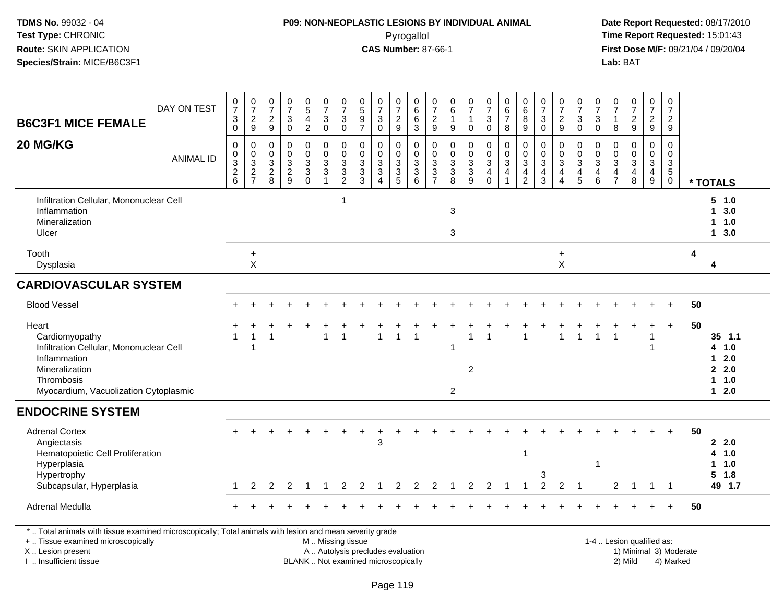### **P09: NON-NEOPLASTIC LESIONS BY INDIVIDUAL ANIMAL**Pyrogallol **Time Report Requested:** 15:01:43

 **Date Report Requested:** 08/17/2010 **First Dose M/F:** 09/21/04 / 09/20/04<br>Lab: BAT **Lab:** BAT

| <b>B6C3F1 MICE FEMALE</b>                                                                                                                                                                     | DAY ON TEST      | $\frac{0}{7}$<br>$\ensuremath{\mathsf{3}}$<br>$\mathbf 0$                              | $\frac{0}{7}$<br>$\frac{2}{9}$                | $\frac{0}{7}$<br>$\frac{2}{9}$                                          | 0<br>$\overline{7}$<br>$\ensuremath{\mathsf{3}}$<br>$\mathbf 0$ | $\begin{array}{c} 0 \\ 5 \end{array}$<br>$\frac{4}{2}$ | $\frac{0}{7}$<br>$\mathbf{3}$<br>$\mathsf 0$                                  | $\begin{array}{c} 0 \\ 7 \end{array}$<br>$\sqrt{3}$<br>$\mathbf 0$ | $\begin{array}{c} 0 \\ 5 \end{array}$<br>$\frac{9}{7}$                   | 0<br>$\overline{7}$<br>$\ensuremath{\mathsf{3}}$<br>$\Omega$                                        | 0<br>$\overline{7}$<br>$\frac{2}{9}$                 | 0<br>6<br>6<br>3                | $\frac{0}{7}$<br>$\frac{2}{9}$ | 0<br>$\,6\,$<br>$\mathbf{1}$<br>$\boldsymbol{9}$        | $\begin{array}{c} 0 \\ 7 \end{array}$<br>$\mathbf 1$<br>$\mathbf 0$       | $\frac{0}{7}$<br>$\ensuremath{\mathsf{3}}$<br>$\mathbf 0$                              | $\pmb{0}$<br>6<br>$\overline{7}$<br>8                                        | $\begin{array}{c} 0 \\ 6 \end{array}$<br>8<br>9        | $\frac{0}{7}$<br>$\ensuremath{\mathsf{3}}$<br>$\mathbf 0$                                   | $\frac{0}{7}$<br>$\frac{2}{9}$                                           | $\frac{0}{7}$<br>$\ensuremath{\mathsf{3}}$<br>$\mathbf 0$               | 0<br>$\overline{7}$<br>$\sqrt{3}$<br>$\mathbf 0$                   | 0<br>$\overline{7}$<br>$\mathbf{1}$<br>8  | 0<br>$\overline{7}$<br>$\frac{2}{9}$                                                       | 0<br>$\overline{7}$<br>$\frac{2}{9}$                   | 0<br>$\overline{7}$<br>$\overline{a}$<br>$\boldsymbol{9}$         |                        |                                                         |
|-----------------------------------------------------------------------------------------------------------------------------------------------------------------------------------------------|------------------|----------------------------------------------------------------------------------------|-----------------------------------------------|-------------------------------------------------------------------------|-----------------------------------------------------------------|--------------------------------------------------------|-------------------------------------------------------------------------------|--------------------------------------------------------------------|--------------------------------------------------------------------------|-----------------------------------------------------------------------------------------------------|------------------------------------------------------|---------------------------------|--------------------------------|---------------------------------------------------------|---------------------------------------------------------------------------|----------------------------------------------------------------------------------------|------------------------------------------------------------------------------|--------------------------------------------------------|---------------------------------------------------------------------------------------------|--------------------------------------------------------------------------|-------------------------------------------------------------------------|--------------------------------------------------------------------|-------------------------------------------|--------------------------------------------------------------------------------------------|--------------------------------------------------------|-------------------------------------------------------------------|------------------------|---------------------------------------------------------|
| 20 MG/KG                                                                                                                                                                                      | <b>ANIMAL ID</b> | $\mathbf 0$<br>0<br>$\ensuremath{\mathsf{3}}$<br>$\begin{array}{c} 2 \\ 6 \end{array}$ | $\mathbf 0$<br>$\frac{0}{2}$<br>$\frac{3}{7}$ | $\mathbf 0$<br>$\mathbf 0$<br>$\ensuremath{\mathsf{3}}$<br>$_{\rm 8}^2$ | $\mathbf 0$<br>$\mathbf 0$<br>3<br>$\frac{2}{9}$                | 0<br>0<br>$\mathbf 3$<br>$\mathbf{3}$<br>$\mathbf 0$   | $\mathbf 0$<br>0<br>$\ensuremath{\mathsf{3}}$<br>$\sqrt{3}$<br>$\overline{1}$ | $\mathbf 0$<br>0<br>$\ensuremath{\mathsf{3}}$<br>$\frac{3}{2}$     | $\mathbf 0$<br>0<br>$\ensuremath{\mathsf{3}}$<br>$\frac{3}{3}$           | $\Omega$<br>$\mathbf 0$<br>$\ensuremath{\mathsf{3}}$<br>$\ensuremath{\mathsf{3}}$<br>$\overline{A}$ | 0<br>0<br>$\ensuremath{\mathsf{3}}$<br>$\frac{3}{5}$ | 0<br>0<br>3<br>$\mathsf 3$<br>6 | 0<br>0<br>3<br>$\frac{3}{7}$   | $\mathbf 0$<br>0<br>$\ensuremath{\mathsf{3}}$<br>$_8^3$ | $\mathbf 0$<br>$\mathsf{O}\xspace$<br>$\ensuremath{\mathsf{3}}$<br>$_9^3$ | 0<br>$\mathbf 0$<br>$\ensuremath{\mathsf{3}}$<br>$\overline{4}$<br>$\ddot{\mathbf{0}}$ | $\mathbf 0$<br>$\mathbf 0$<br>$\sqrt{3}$<br>$\overline{4}$<br>$\overline{1}$ | $\mathbf 0$<br>$\mathbf 0$<br>3<br>4<br>$\overline{2}$ | $\mathbf 0$<br>$\mathbf 0$<br>$\ensuremath{\mathsf{3}}$<br>$\overline{4}$<br>$\overline{3}$ | $\mathbf 0$<br>$\mathbf 0$<br>$\mathbf{3}$<br>$\overline{4}$<br>$\Delta$ | 0<br>0<br>$\ensuremath{\mathsf{3}}$<br>$\overline{4}$<br>$\overline{5}$ | $\mathbf 0$<br>$\Omega$<br>$\sqrt{3}$<br>$\overline{a}$<br>$\,6\,$ | 0<br>$\Omega$<br>3<br>4<br>$\overline{7}$ | $\Omega$<br>$\mathbf 0$<br>$\ensuremath{\mathsf{3}}$<br>$\overline{\mathbf{4}}$<br>$\,8\,$ | 0<br>$\mathbf 0$<br>$\mathbf 3$<br>$\overline{4}$<br>9 | $\mathbf 0$<br>0<br>$\ensuremath{\mathsf{3}}$<br>5<br>$\mathbf 0$ |                        | * TOTALS                                                |
| Infiltration Cellular, Mononuclear Cell<br>Inflammation<br>Mineralization<br>Ulcer                                                                                                            |                  |                                                                                        |                                               |                                                                         |                                                                 |                                                        |                                                                               | $\overline{1}$                                                     |                                                                          |                                                                                                     |                                                      |                                 |                                | 3<br>3                                                  |                                                                           |                                                                                        |                                                                              |                                                        |                                                                                             |                                                                          |                                                                         |                                                                    |                                           |                                                                                            |                                                        |                                                                   |                        | 5 1.0<br>13.0<br>$1 1.0$<br>13.0                        |
| Tooth<br>Dysplasia                                                                                                                                                                            |                  |                                                                                        | $\ddot{}$<br>$\boldsymbol{\mathsf{X}}$        |                                                                         |                                                                 |                                                        |                                                                               |                                                                    |                                                                          |                                                                                                     |                                                      |                                 |                                |                                                         |                                                                           |                                                                                        |                                                                              |                                                        |                                                                                             | $\ddot{}$<br>X                                                           |                                                                         |                                                                    |                                           |                                                                                            |                                                        |                                                                   | 4                      | 4                                                       |
| <b>CARDIOVASCULAR SYSTEM</b>                                                                                                                                                                  |                  |                                                                                        |                                               |                                                                         |                                                                 |                                                        |                                                                               |                                                                    |                                                                          |                                                                                                     |                                                      |                                 |                                |                                                         |                                                                           |                                                                                        |                                                                              |                                                        |                                                                                             |                                                                          |                                                                         |                                                                    |                                           |                                                                                            |                                                        |                                                                   |                        |                                                         |
| <b>Blood Vessel</b>                                                                                                                                                                           |                  |                                                                                        |                                               |                                                                         |                                                                 |                                                        |                                                                               |                                                                    |                                                                          |                                                                                                     |                                                      |                                 |                                |                                                         |                                                                           |                                                                                        |                                                                              |                                                        |                                                                                             |                                                                          |                                                                         |                                                                    |                                           |                                                                                            |                                                        |                                                                   | 50                     |                                                         |
| Heart<br>Cardiomyopathy<br>Infiltration Cellular, Mononuclear Cell<br>Inflammation<br>Mineralization<br>Thrombosis<br>Myocardium, Vacuolization Cytoplasmic                                   |                  |                                                                                        | $\overline{1}$<br>$\overline{1}$              | 1                                                                       |                                                                 |                                                        | 1                                                                             | $\overline{1}$                                                     |                                                                          | 1                                                                                                   | $\overline{1}$                                       |                                 |                                | $\mathbf 1$<br>$\overline{c}$                           | 1<br>$\overline{2}$                                                       | 1                                                                                      |                                                                              | $\overline{1}$                                         |                                                                                             | 1                                                                        |                                                                         | $\overline{1}$                                                     | 1                                         |                                                                                            | 1<br>1                                                 | $+$                                                               | 50                     | $35$ 1.1<br>4 1.0<br>$12.0$<br>2.0<br>$1 1.0$<br>$12.0$ |
| <b>ENDOCRINE SYSTEM</b>                                                                                                                                                                       |                  |                                                                                        |                                               |                                                                         |                                                                 |                                                        |                                                                               |                                                                    |                                                                          |                                                                                                     |                                                      |                                 |                                |                                                         |                                                                           |                                                                                        |                                                                              |                                                        |                                                                                             |                                                                          |                                                                         |                                                                    |                                           |                                                                                            |                                                        |                                                                   |                        |                                                         |
| <b>Adrenal Cortex</b><br>Angiectasis<br>Hematopoietic Cell Proliferation<br>Hyperplasia<br>Hypertrophy<br>Subcapsular, Hyperplasia                                                            |                  |                                                                                        | 2                                             | 2                                                                       | 2                                                               | $\overline{1}$                                         | $\mathbf{1}$                                                                  | $\overline{2}$                                                     | $\overline{2}$                                                           | 3<br>-1                                                                                             | 2                                                    | $\overline{2}$                  | 2                              | $\mathbf 1$                                             | 2                                                                         | $\overline{2}$                                                                         | $\mathbf 1$                                                                  | $\mathbf{1}$<br>1                                      | 3<br>$\overline{2}$                                                                         | $\overline{2}$                                                           | -1                                                                      | -1                                                                 | 2                                         | $\overline{1}$                                                                             | $\overline{1}$                                         | $\overline{\phantom{1}}$                                          | 50                     | 2.0<br>4 1.0<br>$1 1.0$<br>$5 \t1.8$<br>49 1.7          |
| Adrenal Medulla                                                                                                                                                                               |                  |                                                                                        |                                               |                                                                         |                                                                 |                                                        |                                                                               |                                                                    |                                                                          |                                                                                                     |                                                      |                                 |                                |                                                         |                                                                           |                                                                                        |                                                                              |                                                        |                                                                                             |                                                                          |                                                                         |                                                                    |                                           |                                                                                            |                                                        |                                                                   | 50                     |                                                         |
| *  Total animals with tissue examined microscopically; Total animals with lesion and mean severity grade<br>+  Tissue examined microscopically<br>X  Lesion present<br>I  Insufficient tissue |                  |                                                                                        |                                               |                                                                         |                                                                 |                                                        | M  Missing tissue                                                             |                                                                    | A  Autolysis precludes evaluation<br>BLANK  Not examined microscopically |                                                                                                     |                                                      |                                 |                                |                                                         |                                                                           |                                                                                        |                                                                              |                                                        |                                                                                             |                                                                          |                                                                         |                                                                    |                                           | 1-4  Lesion qualified as:<br>2) Mild                                                       |                                                        | 4) Marked                                                         | 1) Minimal 3) Moderate |                                                         |

I .. Insufficient tissue

Page 119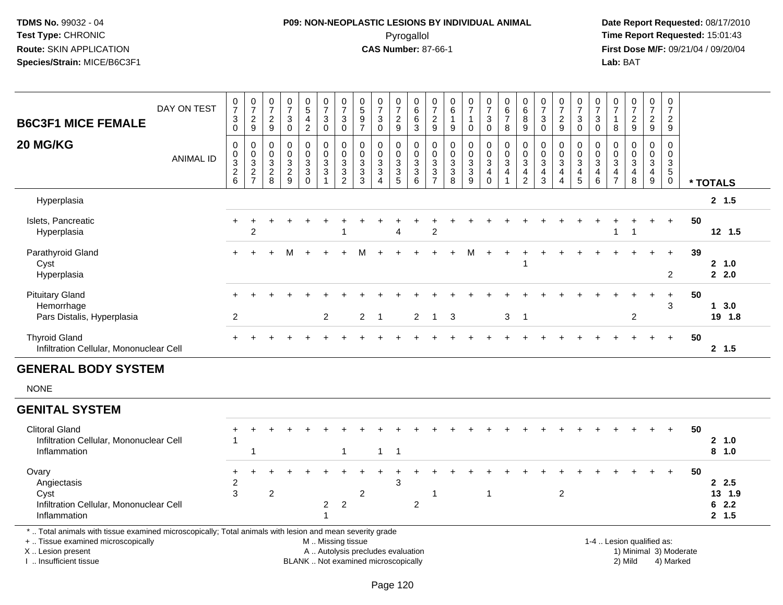## **P09: NON-NEOPLASTIC LESIONS BY INDIVIDUAL ANIMAL**Pyrogallol **Time Report Requested:** 15:01:43

 **Date Report Requested:** 08/17/2010 **First Dose M/F:** 09/21/04 / 09/20/04<br>Lab: BAT **Lab:** BAT

| <b>B6C3F1 MICE FEMALE</b>                                                                                                                                           | DAY ON TEST      | $\frac{0}{7}$<br>$\sqrt{3}$<br>$\mathbf 0$                                          | $\frac{0}{7}$<br>$\frac{2}{9}$                                 | $\frac{0}{7}$<br>$\overline{2}$<br>9                        | $\frac{0}{7}$<br>$\sqrt{3}$<br>$\mathbf 0$          | $\begin{array}{c} 0 \\ 5 \end{array}$<br>4<br>$\overline{2}$ | $\frac{0}{7}$<br>$\mathbf{3}$<br>$\mathbf 0$                                 | $\frac{0}{7}$<br>$\mathbf{3}$<br>$\mathbf 0$                      | $\begin{smallmatrix}0\0\5\end{smallmatrix}$<br>$\overline{9}$<br>$\overline{7}$ | $\frac{0}{7}$<br>$\ensuremath{\mathsf{3}}$<br>$\mathbf 0$             | $\frac{0}{7}$<br>$\frac{2}{9}$                                      | 0<br>$6\overline{6}$<br>$\,6\,$<br>$\mathbf{3}$               | $\frac{0}{7}$<br>$\overline{c}$<br>$\boldsymbol{9}$                                     | 0<br>$6\overline{6}$<br>$\mathbf{1}$<br>9                     | $\frac{0}{7}$<br>$\mathbf{1}$<br>0     | $\frac{0}{7}$<br>$\mathbf{3}$<br>$\mathbf 0$                   | $\begin{array}{c} 0 \\ 6 \end{array}$<br>$\overline{7}$<br>8 | $\begin{array}{c} 0 \\ 6 \end{array}$<br>$\bf 8$<br>9                          | $\frac{0}{7}$<br>$\mathbf{3}$<br>$\Omega$                          | $\frac{0}{7}$<br>$\boldsymbol{2}$<br>9                                      | $\frac{0}{7}$<br>$\ensuremath{\mathsf{3}}$<br>$\mathbf 0$                    | $\frac{0}{7}$<br>3<br>$\mathbf 0$   | $\frac{0}{7}$<br>$\mathbf{1}$<br>8                                                    | $\frac{0}{7}$<br>$\overline{a}$<br>9                              | $\frac{0}{7}$<br>$\overline{a}$<br>9                                                |                | 0<br>$\overline{7}$<br>$\overline{2}$<br>9                        |                                 |
|---------------------------------------------------------------------------------------------------------------------------------------------------------------------|------------------|-------------------------------------------------------------------------------------|----------------------------------------------------------------|-------------------------------------------------------------|-----------------------------------------------------|--------------------------------------------------------------|------------------------------------------------------------------------------|-------------------------------------------------------------------|---------------------------------------------------------------------------------|-----------------------------------------------------------------------|---------------------------------------------------------------------|---------------------------------------------------------------|-----------------------------------------------------------------------------------------|---------------------------------------------------------------|----------------------------------------|----------------------------------------------------------------|--------------------------------------------------------------|--------------------------------------------------------------------------------|--------------------------------------------------------------------|-----------------------------------------------------------------------------|------------------------------------------------------------------------------|-------------------------------------|---------------------------------------------------------------------------------------|-------------------------------------------------------------------|-------------------------------------------------------------------------------------|----------------|-------------------------------------------------------------------|---------------------------------|
| 20 MG/KG                                                                                                                                                            | <b>ANIMAL ID</b> | $\mathbf 0$<br>$\mathbf 0$<br>$\mathbf{3}$<br>$\begin{array}{c} 2 \\ 6 \end{array}$ | $\mathbf 0$<br>$\begin{array}{c} 0 \\ 3 \\ 2 \\ 7 \end{array}$ | $\Omega$<br>0<br>$\ensuremath{\mathsf{3}}$<br>$\frac{2}{8}$ | $\Omega$<br>$\Omega$<br>$\sqrt{3}$<br>$\frac{2}{9}$ | $\mathbf 0$<br>0<br>$\mathbf{3}$<br>$\mathbf{3}$<br>$\Omega$ | $\mathbf 0$<br>$\pmb{0}$<br>$\ensuremath{\mathsf{3}}$<br>3<br>$\overline{1}$ | $\mathbf 0$<br>$\mathbf 0$<br>$\mathbf{3}$<br>3<br>$\overline{2}$ | $\Omega$<br>0<br>$\ensuremath{\mathsf{3}}$<br>$\sqrt{3}$<br>3                   | $\mathbf 0$<br>$\mathbf 0$<br>$\frac{3}{3}$<br>$\boldsymbol{\Lambda}$ | 0<br>$\boldsymbol{0}$<br>$\ensuremath{\mathsf{3}}$<br>$\frac{3}{5}$ | $\mathbf 0$<br>$\mathbf 0$<br>$\sqrt{3}$<br>$\mathbf{3}$<br>6 | $\mathbf 0$<br>$\mathbf 0$<br>$\ensuremath{\mathsf{3}}$<br>$\sqrt{3}$<br>$\overline{7}$ | $\mathbf 0$<br>$\mathbf 0$<br>$\sqrt{3}$<br>$\mathbf{3}$<br>8 | $\mathbf 0$<br>0<br>3<br>$\frac{3}{9}$ | $\mathbf 0$<br>0<br>$\mathbf{3}$<br>$\overline{4}$<br>$\Omega$ | $\mathbf 0$<br>$\pmb{0}$<br>$\ensuremath{\mathsf{3}}$<br>4   | $\mathbf{0}$<br>$\mathbf 0$<br>$\mathsf 3$<br>$\overline{a}$<br>$\overline{2}$ | $\mathbf 0$<br>0<br>$\sqrt{3}$<br>$\overline{4}$<br>$\overline{3}$ | 0<br>0<br>$\mathsf 3$<br>$\overline{\mathbf{4}}$<br>$\overline{\mathbf{4}}$ | $\mathbf 0$<br>$\mathbf 0$<br>$\sqrt{3}$<br>$\overline{4}$<br>$\overline{5}$ | $\Omega$<br>$\Omega$<br>3<br>4<br>6 | $\Omega$<br>$\Omega$<br>$\ensuremath{\mathsf{3}}$<br>$\overline{4}$<br>$\overline{7}$ | $\mathbf 0$<br>$\mathbf 0$<br>$\mathbf{3}$<br>$\overline{4}$<br>8 | $\mathbf 0$<br>$\mathbf 0$<br>$\mathbf{3}$<br>$\begin{array}{c} 4 \\ 9 \end{array}$ |                | $\mathbf 0$<br>0<br>$\ensuremath{\mathsf{3}}$<br>5<br>$\mathbf 0$ | * TOTALS                        |
| Hyperplasia                                                                                                                                                         |                  |                                                                                     |                                                                |                                                             |                                                     |                                                              |                                                                              |                                                                   |                                                                                 |                                                                       |                                                                     |                                                               |                                                                                         |                                                               |                                        |                                                                |                                                              |                                                                                |                                                                    |                                                                             |                                                                              |                                     |                                                                                       |                                                                   |                                                                                     |                |                                                                   | 2, 1.5                          |
| Islets, Pancreatic<br>Hyperplasia                                                                                                                                   |                  | $\ddot{}$                                                                           | $\overline{2}$                                                 |                                                             |                                                     |                                                              |                                                                              |                                                                   |                                                                                 |                                                                       | Δ                                                                   |                                                               | $\overline{2}$                                                                          |                                                               |                                        |                                                                |                                                              |                                                                                |                                                                    |                                                                             |                                                                              |                                     |                                                                                       | $\overline{\mathbf{1}}$                                           |                                                                                     | $\ddot{}$      | 50                                                                | 12 1.5                          |
| Parathyroid Gland<br>Cyst<br>Hyperplasia                                                                                                                            |                  | $+$                                                                                 |                                                                |                                                             | м                                                   |                                                              |                                                                              |                                                                   |                                                                                 |                                                                       |                                                                     |                                                               |                                                                                         |                                                               | M                                      |                                                                |                                                              |                                                                                |                                                                    |                                                                             |                                                                              |                                     |                                                                                       |                                                                   |                                                                                     | $\ddot{}$      | 39<br>2                                                           | 2 1.0<br>22.0                   |
| <b>Pituitary Gland</b><br>Hemorrhage<br>Pars Distalis, Hyperplasia                                                                                                  |                  | $\overline{2}$                                                                      |                                                                |                                                             |                                                     |                                                              | $\overline{2}$                                                               |                                                                   | $\overline{2}$                                                                  | $\overline{\mathbf{1}}$                                               |                                                                     | $\overline{2}$                                                | $\mathbf{1}$                                                                            | 3                                                             |                                        |                                                                | 3                                                            | $\overline{1}$                                                                 |                                                                    |                                                                             |                                                                              |                                     |                                                                                       | $\overline{2}$                                                    |                                                                                     | $\ddot{}$      | 50<br>3                                                           | $1 \quad 3.0$<br>19 1.8         |
| <b>Thyroid Gland</b><br>Infiltration Cellular, Mononuclear Cell                                                                                                     |                  |                                                                                     |                                                                |                                                             |                                                     |                                                              |                                                                              |                                                                   |                                                                                 |                                                                       |                                                                     |                                                               |                                                                                         |                                                               |                                        |                                                                |                                                              |                                                                                |                                                                    |                                                                             |                                                                              |                                     |                                                                                       |                                                                   |                                                                                     | $\overline{+}$ | 50                                                                | 2, 1.5                          |
| <b>GENERAL BODY SYSTEM</b>                                                                                                                                          |                  |                                                                                     |                                                                |                                                             |                                                     |                                                              |                                                                              |                                                                   |                                                                                 |                                                                       |                                                                     |                                                               |                                                                                         |                                                               |                                        |                                                                |                                                              |                                                                                |                                                                    |                                                                             |                                                                              |                                     |                                                                                       |                                                                   |                                                                                     |                |                                                                   |                                 |
| <b>NONE</b>                                                                                                                                                         |                  |                                                                                     |                                                                |                                                             |                                                     |                                                              |                                                                              |                                                                   |                                                                                 |                                                                       |                                                                     |                                                               |                                                                                         |                                                               |                                        |                                                                |                                                              |                                                                                |                                                                    |                                                                             |                                                                              |                                     |                                                                                       |                                                                   |                                                                                     |                |                                                                   |                                 |
| <b>GENITAL SYSTEM</b>                                                                                                                                               |                  |                                                                                     |                                                                |                                                             |                                                     |                                                              |                                                                              |                                                                   |                                                                                 |                                                                       |                                                                     |                                                               |                                                                                         |                                                               |                                        |                                                                |                                                              |                                                                                |                                                                    |                                                                             |                                                                              |                                     |                                                                                       |                                                                   |                                                                                     |                |                                                                   |                                 |
| <b>Clitoral Gland</b><br>Infiltration Cellular, Mononuclear Cell<br>Inflammation                                                                                    |                  | $\mathbf 1$                                                                         | -1                                                             |                                                             |                                                     |                                                              |                                                                              | $\mathbf{1}$                                                      |                                                                                 | $\mathbf{1}$                                                          | -1                                                                  |                                                               |                                                                                         |                                                               |                                        |                                                                |                                                              |                                                                                |                                                                    |                                                                             |                                                                              |                                     |                                                                                       |                                                                   |                                                                                     | $\ddot{}$      | 50                                                                | 2, 1.0<br>8 1.0                 |
| Ovary<br>Angiectasis<br>Cyst<br>Infiltration Cellular, Mononuclear Cell<br>Inflammation                                                                             |                  | $\ddot{}$<br>$\overline{c}$<br>3                                                    |                                                                | $\overline{c}$                                              |                                                     |                                                              | $\overline{2}$                                                               | $\sqrt{2}$                                                        | 2                                                                               |                                                                       | 3                                                                   | $\overline{c}$                                                | 1                                                                                       |                                                               |                                        | $\mathbf 1$                                                    |                                                              |                                                                                |                                                                    | $\overline{c}$                                                              |                                                                              |                                     |                                                                                       |                                                                   |                                                                                     |                | 50                                                                | 2.5<br>13 1.9<br>62.2<br>2, 1.5 |
| *  Total animals with tissue examined microscopically; Total animals with lesion and mean severity grade<br>+  Tissue examined microscopically<br>X  Lesion present |                  |                                                                                     |                                                                |                                                             |                                                     |                                                              | M  Missing tissue<br>A  Autolysis precludes evaluation                       |                                                                   |                                                                                 |                                                                       |                                                                     |                                                               |                                                                                         |                                                               |                                        |                                                                |                                                              |                                                                                |                                                                    |                                                                             |                                                                              |                                     |                                                                                       | 1-4  Lesion qualified as:                                         |                                                                                     |                | 1) Minimal 3) Moderate                                            |                                 |

I .. Insufficient tissue

BLANK .. Not examined microscopically and the contract of the contract of the contract of the contract of the contract of the contract of the contract of the contract of the contract of the contract of the contract of the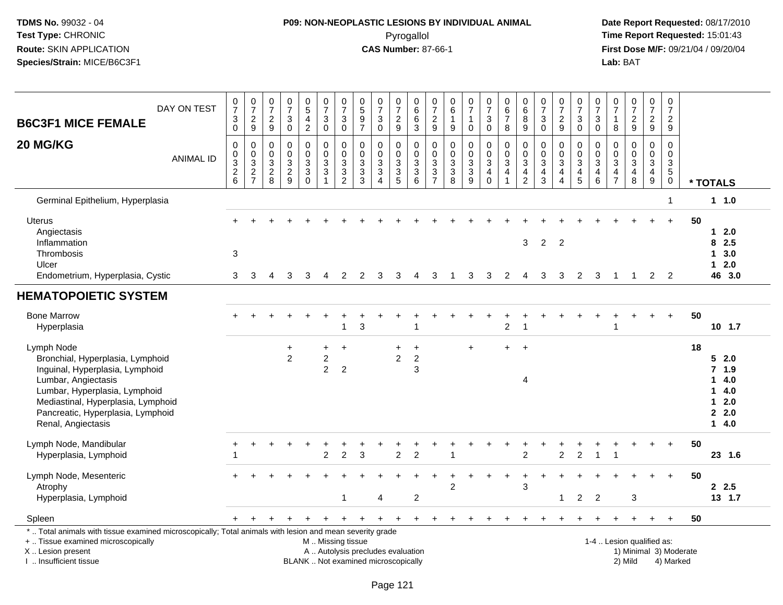## **P09: NON-NEOPLASTIC LESIONS BY INDIVIDUAL ANIMAL**Pyrogallol **Time Report Requested:** 15:01:43

 **Date Report Requested:** 08/17/2010 **First Dose M/F:** 09/21/04 / 09/20/04<br>Lab: BAT **Lab:** BAT

| DAY ON TEST<br><b>B6C3F1 MICE FEMALE</b>                                                                                                                                                                                                   | 0<br>$\overline{7}$<br>$_0^3$                         | $\frac{0}{7}$<br>$\frac{2}{9}$            | $\frac{0}{7}$<br>$\frac{2}{9}$                | $\pmb{0}$<br>$\overline{7}$<br>$\ensuremath{\mathsf{3}}$<br>$\overline{0}$     | $\begin{array}{c} 0 \\ 5 \end{array}$<br>$\overline{4}$<br>$\overline{2}$ | 0<br>$\overline{7}$<br>3<br>$\overline{0}$            | $\begin{array}{c} 0 \\ 7 \end{array}$<br>$\ensuremath{\mathsf{3}}$<br>$\bar{0}$                      | $\begin{array}{c} 0 \\ 5 \end{array}$<br>$\frac{9}{7}$           | $\frac{0}{7}$<br>3<br>$\mathbf 0$                                                | $\frac{0}{7}$<br>$\frac{2}{9}$                                        | 0<br>$\,6\,$<br>$\,6$<br>$\overline{3}$                                    | 0<br>$\overline{7}$<br>$\frac{2}{9}$                                                         | 0<br>6<br>1<br>$\boldsymbol{9}$                                                 | $\begin{array}{c} 0 \\ 7 \end{array}$<br>$\mathbf{1}$<br>$\mathbf 0$                    | $\mathbf 0$<br>$\overline{7}$<br>$\mathbf{3}$<br>$\mathsf{O}\xspace$       | 0<br>$\,6\,$<br>$\overline{7}$<br>8                                                   | $\pmb{0}$<br>$\,6\,$<br>8<br>$\boldsymbol{9}$                       | $\frac{0}{7}$<br>3<br>$\mathbf 0$                                              | $\frac{0}{7}$<br>$\frac{2}{9}$                                     | $\pmb{0}$<br>$\overline{7}$<br>$\ensuremath{\mathsf{3}}$<br>$\overline{0}$ | $\frac{0}{7}$<br>$\sqrt{3}$<br>$\mathbf 0$                       | $\frac{0}{7}$<br>$\overline{1}$<br>$\bf8$                  | $\begin{array}{c} 0 \\ 7 \end{array}$<br>$\frac{2}{9}$                                  | $\frac{0}{7}$<br>$\frac{2}{9}$                                       | 0<br>$\boldsymbol{7}$<br>$\frac{2}{9}$           |                        |                                                           |
|--------------------------------------------------------------------------------------------------------------------------------------------------------------------------------------------------------------------------------------------|-------------------------------------------------------|-------------------------------------------|-----------------------------------------------|--------------------------------------------------------------------------------|---------------------------------------------------------------------------|-------------------------------------------------------|------------------------------------------------------------------------------------------------------|------------------------------------------------------------------|----------------------------------------------------------------------------------|-----------------------------------------------------------------------|----------------------------------------------------------------------------|----------------------------------------------------------------------------------------------|---------------------------------------------------------------------------------|-----------------------------------------------------------------------------------------|----------------------------------------------------------------------------|---------------------------------------------------------------------------------------|---------------------------------------------------------------------|--------------------------------------------------------------------------------|--------------------------------------------------------------------|----------------------------------------------------------------------------|------------------------------------------------------------------|------------------------------------------------------------|-----------------------------------------------------------------------------------------|----------------------------------------------------------------------|--------------------------------------------------|------------------------|-----------------------------------------------------------|
| 20 MG/KG<br><b>ANIMAL ID</b>                                                                                                                                                                                                               | $\mathbf 0$<br>0<br>$\overline{3}$<br>$\sqrt{2}$<br>6 | $\mathbf 0$<br>$\pmb{0}$<br>$\frac{3}{2}$ | 0<br>0<br>$\mathbf{3}$<br>$\overline{c}$<br>8 | $\mathbf 0$<br>$\mathbf 0$<br>$\ensuremath{\mathsf{3}}$<br>$\overline{c}$<br>9 | $\mathbf 0$<br>0<br>$\ensuremath{\mathsf{3}}$<br>$\mathbf{3}$<br>$\Omega$ | $\mathbf 0$<br>0<br>3<br>$\sqrt{3}$<br>$\overline{1}$ | $\mathbf 0$<br>$\pmb{0}$<br>$\ensuremath{\mathsf{3}}$<br>$\ensuremath{\mathsf{3}}$<br>$\overline{2}$ | $\mathbf 0$<br>0<br>$\sqrt{3}$<br>$\ensuremath{\mathsf{3}}$<br>3 | $\mathbf 0$<br>$\mathbf 0$<br>$\sqrt{3}$<br>$\sqrt{3}$<br>$\boldsymbol{\Lambda}$ | 0<br>0<br>$\ensuremath{\mathsf{3}}$<br>$\ensuremath{\mathsf{3}}$<br>5 | $\mathbf 0$<br>$\mathbf 0$<br>$\ensuremath{\mathsf{3}}$<br>$\sqrt{3}$<br>6 | 0<br>$\mathbf 0$<br>$\ensuremath{\mathsf{3}}$<br>$\ensuremath{\mathsf{3}}$<br>$\overline{7}$ | 0<br>$\mathbf 0$<br>$\ensuremath{\mathsf{3}}$<br>$\ensuremath{\mathsf{3}}$<br>8 | $\mathbf 0$<br>$\pmb{0}$<br>$\ensuremath{\mathsf{3}}$<br>$\ensuremath{\mathsf{3}}$<br>9 | $\mathbf 0$<br>$\mathbf 0$<br>$\mathsf 3$<br>$\overline{4}$<br>$\mathbf 0$ | $\mathbf 0$<br>$\mathbf 0$<br>$\sqrt{3}$<br>$\overline{\mathbf{4}}$<br>$\overline{1}$ | $\mathbf 0$<br>$\mathbf 0$<br>3<br>$\overline{4}$<br>$\overline{2}$ | $\mathbf 0$<br>$\mathbf 0$<br>$\ensuremath{\mathsf{3}}$<br>$\overline{4}$<br>3 | $\mathbf 0$<br>0<br>3<br>$\overline{\mathbf{4}}$<br>$\overline{4}$ | 0<br>$\pmb{0}$<br>$\overline{3}$<br>$\overline{\mathbf{4}}$<br>5           | 0<br>0<br>$\ensuremath{\mathsf{3}}$<br>$\overline{4}$<br>$\,6\,$ | $\mathbf 0$<br>$\mathbf 0$<br>$\mathsf 3$<br>$\frac{4}{7}$ | $\mathbf 0$<br>$\mathbf 0$<br>$\ensuremath{\mathsf{3}}$<br>$\overline{\mathbf{4}}$<br>8 | $\mathbf 0$<br>0<br>3<br>$\overline{\mathbf{4}}$<br>$\boldsymbol{9}$ | $\mathbf 0$<br>0<br>$\frac{3}{5}$<br>$\mathbf 0$ |                        | * TOTALS                                                  |
| Germinal Epithelium, Hyperplasia                                                                                                                                                                                                           |                                                       |                                           |                                               |                                                                                |                                                                           |                                                       |                                                                                                      |                                                                  |                                                                                  |                                                                       |                                                                            |                                                                                              |                                                                                 |                                                                                         |                                                                            |                                                                                       |                                                                     |                                                                                |                                                                    |                                                                            |                                                                  |                                                            |                                                                                         |                                                                      | $\mathbf 1$                                      |                        | $1 1.0$                                                   |
| Uterus<br>Angiectasis<br>Inflammation<br>Thrombosis<br>Ulcer<br>Endometrium, Hyperplasia, Cystic                                                                                                                                           | $\mathbf{3}$<br>3                                     | 3                                         | 4                                             | 3                                                                              | 3                                                                         | 4                                                     | 2                                                                                                    | 2                                                                | 3                                                                                | 3                                                                     | 4                                                                          | 3                                                                                            |                                                                                 | 3                                                                                       | 3                                                                          | 2                                                                                     | 3<br>4                                                              | $\overline{2}$<br>3                                                            | $\overline{2}$<br>3                                                | 2                                                                          | 3                                                                | $\overline{1}$                                             | $\overline{1}$                                                                          | $\overline{2}$                                                       | $\div$<br>$\overline{2}$                         | 50                     | $12.0$<br>82.5<br>13.0<br>$12.0$<br>46 3.0                |
| <b>HEMATOPOIETIC SYSTEM</b>                                                                                                                                                                                                                |                                                       |                                           |                                               |                                                                                |                                                                           |                                                       |                                                                                                      |                                                                  |                                                                                  |                                                                       |                                                                            |                                                                                              |                                                                                 |                                                                                         |                                                                            |                                                                                       |                                                                     |                                                                                |                                                                    |                                                                            |                                                                  |                                                            |                                                                                         |                                                                      |                                                  |                        |                                                           |
| <b>Bone Marrow</b><br>Hyperplasia                                                                                                                                                                                                          |                                                       |                                           |                                               |                                                                                |                                                                           |                                                       | $\mathbf{1}$                                                                                         | 3                                                                |                                                                                  |                                                                       |                                                                            |                                                                                              |                                                                                 |                                                                                         |                                                                            | $\overline{c}$                                                                        | $\mathbf{1}$                                                        |                                                                                |                                                                    |                                                                            |                                                                  | 1                                                          |                                                                                         | $\ddot{}$                                                            | $\ddot{}$                                        | 50                     | $10$ 1.7                                                  |
| Lymph Node<br>Bronchial, Hyperplasia, Lymphoid<br>Inguinal, Hyperplasia, Lymphoid<br>Lumbar, Angiectasis<br>Lumbar, Hyperplasia, Lymphoid<br>Mediastinal, Hyperplasia, Lymphoid<br>Pancreatic, Hyperplasia, Lymphoid<br>Renal, Angiectasis |                                                       |                                           |                                               | +<br>$\overline{c}$                                                            |                                                                           | +<br>$\overline{c}$<br>$\overline{2}$                 | $\ddot{}$<br>$\overline{2}$                                                                          |                                                                  |                                                                                  | +<br>$\overline{2}$                                                   | $\ddot{}$<br>$\overline{c}$<br>3                                           |                                                                                              |                                                                                 | $\ddot{}$                                                                               |                                                                            |                                                                                       | $\ddot{}$<br>4                                                      |                                                                                |                                                                    |                                                                            |                                                                  |                                                            |                                                                                         |                                                                      |                                                  | 18                     | 52.0<br>7, 1.9<br>14.0<br>14.0<br>$12.0$<br>2.2.0<br>14.0 |
| Lymph Node, Mandibular<br>Hyperplasia, Lymphoid                                                                                                                                                                                            | $+$                                                   |                                           |                                               |                                                                                |                                                                           | $\overline{2}$                                        | $\overline{2}$                                                                                       | 3                                                                |                                                                                  | $\overline{2}$                                                        | $\overline{2}$                                                             |                                                                                              |                                                                                 |                                                                                         |                                                                            |                                                                                       | $\overline{2}$                                                      |                                                                                | $\overline{2}$                                                     | $\overline{c}$                                                             | $\overline{1}$                                                   | $\overline{1}$                                             |                                                                                         | $\div$                                                               | $+$                                              | 50                     | 23 1.6                                                    |
| Lymph Node, Mesenteric<br>Atrophy<br>Hyperplasia, Lymphoid                                                                                                                                                                                 |                                                       |                                           |                                               |                                                                                |                                                                           |                                                       | $\mathbf 1$                                                                                          |                                                                  | 4                                                                                |                                                                       | $\overline{c}$                                                             |                                                                                              | $\overline{2}$                                                                  |                                                                                         |                                                                            |                                                                                       | 3                                                                   |                                                                                | $\mathbf{1}$                                                       | $\overline{2}$                                                             | $\overline{2}$                                                   |                                                            | 3                                                                                       |                                                                      |                                                  | 50                     | 2.5<br>13 1.7                                             |
| Spleen                                                                                                                                                                                                                                     | $+$                                                   | $\pm$                                     | $\ddot{}$                                     |                                                                                | $\ddot{}$                                                                 |                                                       | $\ddot{}$                                                                                            |                                                                  |                                                                                  | +                                                                     |                                                                            | +                                                                                            | $+$                                                                             | $\ddot{}$                                                                               | $+$                                                                        |                                                                                       |                                                                     |                                                                                | $\pm$                                                              |                                                                            |                                                                  |                                                            | $\ddot{}$                                                                               | $\ddot{}$                                                            | $+$                                              | 50                     |                                                           |
| *  Total animals with tissue examined microscopically; Total animals with lesion and mean severity grade<br>+  Tissue examined microscopically<br>X  Lesion present                                                                        |                                                       |                                           |                                               |                                                                                |                                                                           | M. Missing tissue                                     |                                                                                                      | A  Autolysis precludes evaluation                                |                                                                                  |                                                                       |                                                                            |                                                                                              |                                                                                 |                                                                                         |                                                                            |                                                                                       |                                                                     |                                                                                |                                                                    |                                                                            | 1-4  Lesion qualified as:                                        |                                                            |                                                                                         |                                                                      |                                                  | 1) Minimal 3) Moderate |                                                           |

I .. Insufficient tissue

BLANK .. Not examined microscopically 2) Mild 4) Marked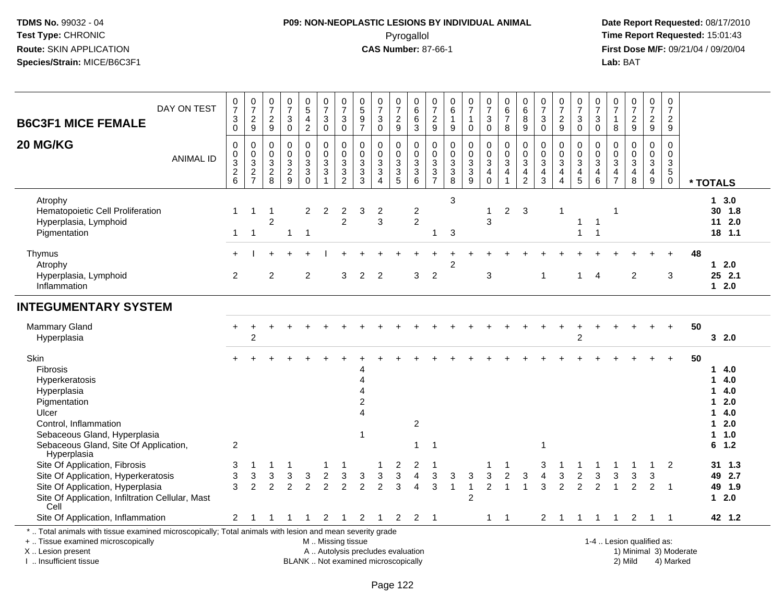# **P09: NON-NEOPLASTIC LESIONS BY INDIVIDUAL ANIMAL**Pyrogallol **Time Report Requested:** 15:01:43

| DAY ON TEST<br><b>B6C3F1 MICE FEMALE</b>                                                                                                                                                                                           | $\frac{0}{7}$<br>$\ensuremath{\mathsf{3}}$<br>$\mathbf 0$     | $\frac{0}{7}$<br>$\frac{2}{9}$                                           | $\frac{0}{7}$<br>$\frac{2}{9}$              | $\frac{0}{7}$<br>$\mathbf{3}$<br>$\mathbf 0$                  | $\begin{array}{c} 0 \\ 5 \end{array}$<br>$\overline{4}$<br>$\overline{2}$       | $\frac{0}{7}$<br>$\sqrt{3}$<br>$\mathbf 0$                  | $\frac{0}{7}$<br>3<br>$\mathbf 0$                              | $\frac{0}{5}$<br>$\boldsymbol{9}$<br>$\overline{7}$                   | $\frac{0}{7}$<br>$\mathbf{3}$<br>$\mathbf 0$                       | $\frac{0}{7}$<br>$\sqrt{2}$<br>$9\,$                 | $\boldsymbol{0}$<br>$\,6\,$<br>$\,6\,$<br>$\mathbf{3}$         | $\frac{0}{7}$<br>$\frac{2}{9}$                                           | $\begin{array}{c} 0 \\ 6 \end{array}$<br>$\mathbf{1}$<br>9 | $\frac{0}{7}$<br>$\mathbf{1}$<br>$\mathbf 0$ | $\frac{0}{7}$<br>$\mathbf{3}$<br>$\mathbf 0$                                   | 0<br>6<br>7<br>8                                                               | $\begin{matrix} 0 \\ 6 \end{matrix}$<br>$\overline{8}$<br>9 | $\frac{0}{7}$<br>$\ensuremath{\mathsf{3}}$<br>$\mathbf 0$                                   | $\frac{0}{7}$<br>$\frac{2}{9}$                                                                      | $\frac{0}{7}$<br>$\sqrt{3}$<br>$\mathbf 0$                                                       | $\frac{0}{7}$<br>3<br>$\mathbf 0$ | $\frac{0}{7}$<br>$\mathbf{1}$<br>8                          | $\frac{0}{7}$<br>$\frac{2}{9}$                                 | $\frac{0}{7}$<br>$\frac{2}{9}$              | 0<br>$\overline{7}$<br>$\overline{a}$<br>9                                |                                                                                               |
|------------------------------------------------------------------------------------------------------------------------------------------------------------------------------------------------------------------------------------|---------------------------------------------------------------|--------------------------------------------------------------------------|---------------------------------------------|---------------------------------------------------------------|---------------------------------------------------------------------------------|-------------------------------------------------------------|----------------------------------------------------------------|-----------------------------------------------------------------------|--------------------------------------------------------------------|------------------------------------------------------|----------------------------------------------------------------|--------------------------------------------------------------------------|------------------------------------------------------------|----------------------------------------------|--------------------------------------------------------------------------------|--------------------------------------------------------------------------------|-------------------------------------------------------------|---------------------------------------------------------------------------------------------|-----------------------------------------------------------------------------------------------------|--------------------------------------------------------------------------------------------------|-----------------------------------|-------------------------------------------------------------|----------------------------------------------------------------|---------------------------------------------|---------------------------------------------------------------------------|-----------------------------------------------------------------------------------------------|
| 20 MG/KG<br><b>ANIMAL ID</b>                                                                                                                                                                                                       | $\mathbf 0$<br>$\mathbf 0$<br>$\overline{3}$<br>$\frac{2}{6}$ | $\mathbf 0$<br>$\mathbf 0$<br>$\ensuremath{\mathsf{3}}$<br>$\frac{2}{7}$ | $\mathbf 0$<br>$\mathbf 0$<br>$\frac{3}{2}$ | $\mathbf 0$<br>$\mathsf 0$<br>$\overline{3}$<br>$\frac{2}{9}$ | 0<br>0<br>$\ensuremath{\mathsf{3}}$<br>$\ensuremath{\mathsf{3}}$<br>$\mathbf 0$ | $\mathbf 0$<br>$\mathbf 0$<br>$\frac{3}{3}$<br>$\mathbf{1}$ | 0<br>$\mathbf 0$<br>$\ensuremath{\mathsf{3}}$<br>$\frac{3}{2}$ | $\Omega$<br>$\mathbf 0$<br>$\ensuremath{\mathsf{3}}$<br>$\frac{3}{3}$ | 0<br>$\mathbf 0$<br>$\mathbf{3}$<br>$\mathbf{3}$<br>$\overline{4}$ | $\mathbf 0$<br>0<br>$\overline{3}$<br>$\overline{3}$ | 0<br>$\mathsf{O}\xspace$<br>$\overline{3}$<br>$\overline{3}$ 6 | $\mathbf 0$<br>$\mathbf 0$<br>$\ensuremath{\mathsf{3}}$<br>$\frac{3}{7}$ | $\mathbf 0$<br>$\mathsf{O}\xspace$<br>$\frac{3}{8}$        | 0<br>0<br>$\sqrt{3}$<br>$\frac{3}{9}$        | $\mathbf 0$<br>0<br>$\ensuremath{\mathsf{3}}$<br>$\overline{4}$<br>$\mathbf 0$ | 0<br>$\mathsf{O}$<br>$\overline{3}$<br>$\overline{\mathbf{4}}$<br>$\mathbf{1}$ | $\mathbf 0$<br>0<br>$\mathbf 3$<br>$\frac{4}{2}$            | $\mathbf 0$<br>$\mathbf 0$<br>$\ensuremath{\mathsf{3}}$<br>$\overline{4}$<br>$\overline{3}$ | $\mathbf 0$<br>$\mathsf{O}\xspace$<br>$\ensuremath{\mathsf{3}}$<br>$\overline{4}$<br>$\overline{4}$ | $\mathbf 0$<br>$\mathbf 0$<br>$\ensuremath{\mathsf{3}}$<br>$\begin{array}{c} 4 \\ 5 \end{array}$ | 0<br>$\mathbf 0$<br>3<br>4<br>6   | $\mathbf 0$<br>$\mathbf 0$<br>$\overline{3}$<br>$rac{4}{7}$ | $\mathbf 0$<br>$\mathsf{O}$<br>$\overline{3}$<br>$\frac{4}{8}$ | 0<br>0<br>$\frac{3}{4}$<br>$\boldsymbol{9}$ | $\mathbf 0$<br>$\mathbf 0$<br>$\overline{3}$<br>$\sqrt{5}$<br>$\mathbf 0$ | * TOTALS                                                                                      |
| Atrophy<br>Hematopoietic Cell Proliferation<br>Hyperplasia, Lymphoid<br>Pigmentation                                                                                                                                               | 1<br>$\mathbf{1}$                                             | -1<br>$\mathbf{1}$                                                       | 1<br>$\overline{2}$                         | $\mathbf 1$                                                   | $\overline{2}$<br>$\overline{1}$                                                | 2                                                           | 2<br>$\overline{c}$                                            | 3                                                                     | $\overline{c}$<br>3                                                |                                                      | $\mathbf{2}$<br>$\overline{2}$                                 | 1                                                                        | 3<br>3                                                     |                                              | $\mathbf{1}$<br>3                                                              | $\overline{2}$                                                                 | 3                                                           |                                                                                             | -1                                                                                                  | 1<br>1                                                                                           | 1<br>$\mathbf{1}$                 | 1                                                           |                                                                |                                             |                                                                           | 13.0<br>30 1.8<br>$11 \t2.0$<br>$18$ 1.1                                                      |
| Thymus<br>Atrophy<br>Hyperplasia, Lymphoid<br>Inflammation                                                                                                                                                                         | $\overline{2}$                                                |                                                                          | $\overline{2}$                              |                                                               | $\overline{2}$                                                                  |                                                             | 3                                                              | $\overline{2}$                                                        | $\overline{2}$                                                     |                                                      | 3                                                              | $\overline{2}$                                                           | 2                                                          |                                              | 3                                                                              |                                                                                |                                                             | -1                                                                                          |                                                                                                     | $\blacktriangleleft$                                                                             | 4                                 |                                                             | $\overline{2}$                                                 |                                             | 3                                                                         | 48<br>12.0<br>25 2.1<br>$12.0$                                                                |
| <b>INTEGUMENTARY SYSTEM</b>                                                                                                                                                                                                        |                                                               |                                                                          |                                             |                                                               |                                                                                 |                                                             |                                                                |                                                                       |                                                                    |                                                      |                                                                |                                                                          |                                                            |                                              |                                                                                |                                                                                |                                                             |                                                                                             |                                                                                                     |                                                                                                  |                                   |                                                             |                                                                |                                             |                                                                           |                                                                                               |
| <b>Mammary Gland</b><br>Hyperplasia                                                                                                                                                                                                |                                                               | $\overline{2}$                                                           |                                             |                                                               |                                                                                 |                                                             |                                                                |                                                                       |                                                                    |                                                      |                                                                |                                                                          |                                                            |                                              |                                                                                |                                                                                |                                                             |                                                                                             |                                                                                                     | $\overline{2}$                                                                                   |                                   |                                                             |                                                                |                                             |                                                                           | 50<br>32.0                                                                                    |
| Skin<br><b>Fibrosis</b><br>Hyperkeratosis<br>Hyperplasia<br>Pigmentation<br>Ulcer<br>Control, Inflammation<br>Sebaceous Gland, Hyperplasia<br>Sebaceous Gland, Site Of Application,<br>Hyperplasia                                 | $\overline{c}$                                                |                                                                          |                                             |                                                               |                                                                                 |                                                             |                                                                | 1                                                                     |                                                                    |                                                      | $\overline{2}$<br>$\overline{1}$                               | $\overline{1}$                                                           |                                                            |                                              |                                                                                |                                                                                |                                                             | 1                                                                                           |                                                                                                     |                                                                                                  |                                   |                                                             |                                                                |                                             |                                                                           | 50<br>4.0<br>1<br>4.0<br>1<br>4.0<br>2.0<br>1<br>4.0<br>1<br>2.0<br>1<br>1.0<br>1<br>1.2<br>6 |
| Site Of Application, Fibrosis<br>Site Of Application, Hyperkeratosis<br>Site Of Application, Hyperplasia<br>Site Of Application, Infiltration Cellular, Mast<br>Cell                                                               | 3<br>3<br>3                                                   | 3<br>2                                                                   | 3<br>$\mathfrak{p}$                         | 3<br>$\overline{2}$                                           | 3<br>$\overline{2}$                                                             | $\overline{2}$<br>2                                         | 3<br>$\overline{2}$                                            | 3<br>$\overline{2}$                                                   | 3<br>$\overline{2}$                                                | 2<br>3<br>3                                          | $\overline{2}$<br>$\overline{4}$<br>$\overline{4}$             | 3<br>3                                                                   | 3<br>$\overline{1}$                                        | 3<br>$\mathbf{1}$<br>$\overline{2}$          | 3<br>$\overline{2}$                                                            | $\overline{2}$<br>$\overline{1}$                                               | 3                                                           | 3<br>$\boldsymbol{\Lambda}$<br>3                                                            | 3<br>$\overline{2}$                                                                                 | $\overline{2}$<br>$\overline{2}$                                                                 | 3<br>$\overline{2}$               | 3                                                           | 3<br>$\overline{2}$                                            | 3<br>$\overline{2}$                         | 2<br>$\overline{1}$                                                       | 31 1.3<br>49 2.7<br>49 1.9<br>$12.0$                                                          |
| Site Of Application, Inflammation<br>*  Total animals with tissue examined microscopically; Total animals with lesion and mean severity grade<br>+  Tissue examined microscopically<br>X  Lesion present<br>I  Insufficient tissue | $\overline{2}$                                                |                                                                          |                                             |                                                               | BLANK  Not examined microscopically                                             | 2<br>M  Missing tissue<br>A  Autolysis precludes evaluation |                                                                | 2                                                                     | -1                                                                 | 2                                                    | $\overline{2}$                                                 | $\overline{1}$                                                           |                                                            |                                              | $\mathbf{1}$                                                                   | $\overline{1}$                                                                 |                                                             | $\overline{2}$                                                                              | - 1                                                                                                 | $\mathbf{1}$                                                                                     | 1                                 | -1                                                          | 2<br>1-4  Lesion qualified as:<br>2) Mild                      | -1                                          | -1<br>4) Marked                                                           | 42 1.2<br>1) Minimal 3) Moderate                                                              |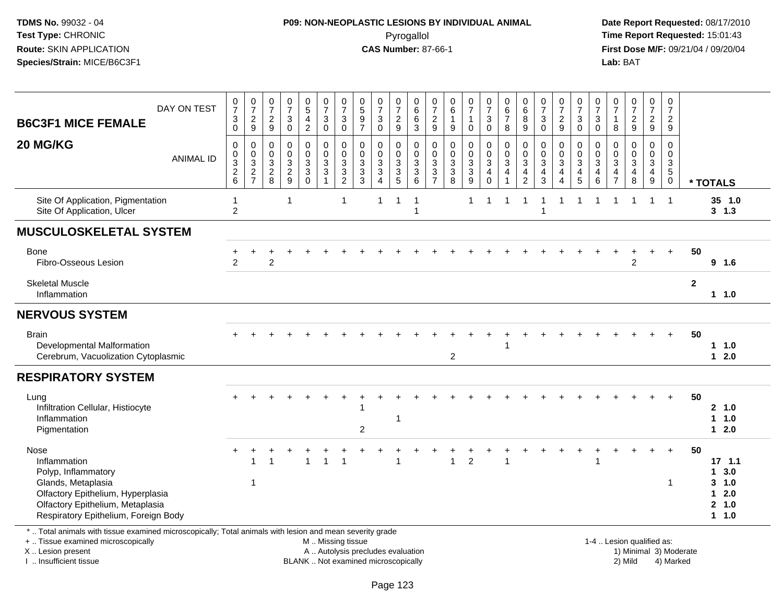## **P09: NON-NEOPLASTIC LESIONS BY INDIVIDUAL ANIMAL**Pyrogallol **Time Report Requested:** 15:01:43

 **Date Report Requested:** 08/17/2010 **First Dose M/F:** 09/21/04 / 09/20/04<br>Lab: BAT **Lab:** BAT

| <b>B6C3F1 MICE FEMALE</b>                                                                                                                                                          | DAY ON TEST      | $\frac{0}{7}$<br>$\ensuremath{\mathsf{3}}$<br>$\Omega$                  | $\frac{0}{7}$<br>$\frac{2}{9}$                                     | $\frac{0}{7}$<br>$\frac{2}{9}$  | $\frac{0}{7}$<br>3<br>$\mathbf 0$ | $\begin{smallmatrix} 0\\5 \end{smallmatrix}$<br>$\overline{4}$<br>$\overline{2}$ | $\frac{0}{7}$<br>$\sqrt{3}$<br>$\mathbf 0$                | $\frac{0}{7}$<br>3<br>$\mathbf 0$                            | $\begin{array}{c} 0 \\ 5 \end{array}$<br>$\boldsymbol{9}$<br>$\overline{7}$ | $\frac{0}{7}$<br>$\mathbf{3}$<br>$\Omega$     | $\frac{0}{7}$<br>$\frac{2}{9}$ | 0<br>$\overline{6}$<br>6<br>$\overline{3}$ | $\frac{0}{7}$<br>$\frac{2}{9}$                                  | $\begin{array}{c} 0 \\ 6 \end{array}$<br>$\mathbf{1}$<br>9 | $\frac{0}{7}$<br>$\overline{1}$<br>$\mathbf 0$               | $\frac{0}{7}$<br>$\sqrt{3}$<br>$\Omega$                                 | 0<br>$\,6\,$<br>$\overline{7}$<br>8 | $\begin{array}{c} 0 \\ 6 \end{array}$<br>8<br>9                                    | $\frac{0}{7}$<br>$\mathbf{3}$<br>$\Omega$                               | $\frac{0}{7}$<br>$\frac{2}{9}$                                   | $\frac{0}{7}$<br>$\sqrt{3}$<br>$\mathbf 0$                                       | 0<br>$\overline{7}$<br>3<br>$\Omega$                | $\frac{0}{7}$<br>$\overline{1}$<br>8                                      | $\frac{0}{7}$<br>$\frac{2}{9}$ | $\frac{0}{7}$<br>$\frac{2}{9}$          | $\pmb{0}$<br>$\overline{7}$<br>$\overline{c}$<br>9        |                        |                                                            |
|------------------------------------------------------------------------------------------------------------------------------------------------------------------------------------|------------------|-------------------------------------------------------------------------|--------------------------------------------------------------------|---------------------------------|-----------------------------------|----------------------------------------------------------------------------------|-----------------------------------------------------------|--------------------------------------------------------------|-----------------------------------------------------------------------------|-----------------------------------------------|--------------------------------|--------------------------------------------|-----------------------------------------------------------------|------------------------------------------------------------|--------------------------------------------------------------|-------------------------------------------------------------------------|-------------------------------------|------------------------------------------------------------------------------------|-------------------------------------------------------------------------|------------------------------------------------------------------|----------------------------------------------------------------------------------|-----------------------------------------------------|---------------------------------------------------------------------------|--------------------------------|-----------------------------------------|-----------------------------------------------------------|------------------------|------------------------------------------------------------|
| 20 MG/KG                                                                                                                                                                           | <b>ANIMAL ID</b> | 0<br>0<br>$\ensuremath{\mathsf{3}}$<br>$\overline{c}$<br>$6\phantom{1}$ | 0<br>$\mathbf 0$<br>$\sqrt{3}$<br>$\overline{2}$<br>$\overline{7}$ | 0<br>$\pmb{0}$<br>$\frac{3}{2}$ | 0<br>0<br>3<br>$\frac{2}{9}$      | 0<br>$_{3}^{\rm 0}$<br>$\overline{3}$<br>$\mathbf 0$                             | $\mathbf 0$<br>$\pmb{0}$<br>$\frac{3}{3}$<br>$\mathbf{1}$ | $\Omega$<br>$\mathbf 0$<br>3<br>$\sqrt{3}$<br>$\overline{c}$ | $\Omega$<br>$\mathbf 0$<br>$\mathbf 3$<br>$\sqrt{3}$<br>3                   | 0<br>0<br>3<br>$\mathbf{3}$<br>$\overline{4}$ | 0<br>$\frac{0}{3}$<br>5        | $\Omega$<br>0<br>3<br>$\overline{3}$<br>6  | $\Omega$<br>0<br>$\sqrt{3}$<br>$\overline{3}$<br>$\overline{7}$ | $\mathbf 0$<br>$\begin{array}{c} 0 \\ 3 \\ 8 \end{array}$  | 0<br>$\pmb{0}$<br>$\sqrt{3}$<br>$\sqrt{3}$<br>$\overline{9}$ | $\mathbf 0$<br>$\pmb{0}$<br>$\sqrt{3}$<br>$\overline{4}$<br>$\mathbf 0$ | $\Omega$<br>$\mathbf 0$<br>3<br>4   | $\Omega$<br>$\mathbf 0$<br>$\sqrt{3}$<br>$\overline{\mathbf{4}}$<br>$\overline{2}$ | $\Omega$<br>$\pmb{0}$<br>$\overline{3}$<br>$\overline{\mathbf{4}}$<br>3 | $\Omega$<br>$\mathbf 0$<br>$\overline{3}$<br>4<br>$\overline{4}$ | $\mathbf 0$<br>$\mathbf 0$<br>$\overline{3}$<br>$\overline{4}$<br>$\overline{5}$ | $\Omega$<br>$\mathbf 0$<br>3<br>4<br>$6\phantom{1}$ | $\Omega$<br>$\mathbf 0$<br>$\sqrt{3}$<br>$\overline{a}$<br>$\overline{7}$ | $\Omega$<br>0<br>3<br>4<br>8   | $\Omega$<br>0<br>$\mathbf{3}$<br>4<br>9 | $\Omega$<br>$\mathbf 0$<br>3<br>$\sqrt{5}$<br>$\mathbf 0$ |                        | * TOTALS                                                   |
| Site Of Application, Pigmentation<br>Site Of Application, Ulcer                                                                                                                    |                  | 1<br>$\overline{2}$                                                     |                                                                    |                                 | 1                                 |                                                                                  |                                                           | -1                                                           |                                                                             | $\mathbf{1}$                                  | $\overline{1}$                 | $\mathbf{1}$<br>$\overline{1}$             |                                                                 |                                                            | $\mathbf{1}$                                                 | $\mathbf{1}$                                                            | $\mathbf{1}$                        | 1                                                                                  | $\overline{ }$<br>1                                                     |                                                                  | $\overline{1}$                                                                   | $\overline{1}$                                      | 1                                                                         | $\mathbf 1$                    | 1                                       | $\overline{1}$                                            |                        | 35 1.0<br>$3 \t1.3$                                        |
| <b>MUSCULOSKELETAL SYSTEM</b>                                                                                                                                                      |                  |                                                                         |                                                                    |                                 |                                   |                                                                                  |                                                           |                                                              |                                                                             |                                               |                                |                                            |                                                                 |                                                            |                                                              |                                                                         |                                     |                                                                                    |                                                                         |                                                                  |                                                                                  |                                                     |                                                                           |                                |                                         |                                                           |                        |                                                            |
| Bone<br>Fibro-Osseous Lesion                                                                                                                                                       |                  | 2                                                                       |                                                                    | $\overline{2}$                  |                                   |                                                                                  |                                                           |                                                              |                                                                             |                                               |                                |                                            |                                                                 |                                                            |                                                              |                                                                         |                                     |                                                                                    |                                                                         |                                                                  |                                                                                  |                                                     |                                                                           | $\overline{2}$                 |                                         | $\ddot{}$                                                 | 50                     | 9 1.6                                                      |
| <b>Skeletal Muscle</b><br>Inflammation                                                                                                                                             |                  |                                                                         |                                                                    |                                 |                                   |                                                                                  |                                                           |                                                              |                                                                             |                                               |                                |                                            |                                                                 |                                                            |                                                              |                                                                         |                                     |                                                                                    |                                                                         |                                                                  |                                                                                  |                                                     |                                                                           |                                |                                         |                                                           | $\mathbf{2}$           | $1 1.0$                                                    |
| <b>NERVOUS SYSTEM</b>                                                                                                                                                              |                  |                                                                         |                                                                    |                                 |                                   |                                                                                  |                                                           |                                                              |                                                                             |                                               |                                |                                            |                                                                 |                                                            |                                                              |                                                                         |                                     |                                                                                    |                                                                         |                                                                  |                                                                                  |                                                     |                                                                           |                                |                                         |                                                           |                        |                                                            |
| <b>Brain</b><br>Developmental Malformation<br>Cerebrum, Vacuolization Cytoplasmic                                                                                                  |                  |                                                                         |                                                                    |                                 |                                   |                                                                                  |                                                           |                                                              |                                                                             |                                               |                                |                                            |                                                                 | $\overline{2}$                                             |                                                              |                                                                         |                                     |                                                                                    |                                                                         |                                                                  |                                                                                  |                                                     |                                                                           |                                |                                         |                                                           | 50                     | 11.0<br>$12.0$                                             |
| <b>RESPIRATORY SYSTEM</b>                                                                                                                                                          |                  |                                                                         |                                                                    |                                 |                                   |                                                                                  |                                                           |                                                              |                                                                             |                                               |                                |                                            |                                                                 |                                                            |                                                              |                                                                         |                                     |                                                                                    |                                                                         |                                                                  |                                                                                  |                                                     |                                                                           |                                |                                         |                                                           |                        |                                                            |
| Lung<br>Infiltration Cellular, Histiocyte<br>Inflammation<br>Pigmentation                                                                                                          |                  |                                                                         |                                                                    |                                 |                                   |                                                                                  |                                                           |                                                              | $\overline{2}$                                                              |                                               | 1                              |                                            |                                                                 |                                                            |                                                              |                                                                         |                                     |                                                                                    |                                                                         |                                                                  |                                                                                  |                                                     |                                                                           |                                |                                         |                                                           | 50                     | 2, 1.0<br>1 1.0<br>$12.0$                                  |
| Nose<br>Inflammation<br>Polyp, Inflammatory<br>Glands, Metaplasia<br>Olfactory Epithelium, Hyperplasia<br>Olfactory Epithelium, Metaplasia<br>Respiratory Epithelium, Foreign Body |                  |                                                                         | $\overline{1}$                                                     |                                 |                                   |                                                                                  |                                                           | $\overline{1}$                                               |                                                                             |                                               |                                |                                            |                                                                 | 1                                                          | $\overline{2}$                                               |                                                                         |                                     |                                                                                    |                                                                         |                                                                  |                                                                                  |                                                     |                                                                           |                                |                                         | $+$<br>$\mathbf 1$                                        | 50                     | $17$ 1.1<br>13.0<br>$3 - 1.0$<br>$12.0$<br>2, 1.0<br>1 1.0 |
| *  Total animals with tissue examined microscopically; Total animals with lesion and mean severity grade<br>+  Tissue examined microscopically<br>X  Lesion present                |                  |                                                                         |                                                                    |                                 |                                   |                                                                                  |                                                           | M  Missing tissue                                            | A  Autolysis precludes evaluation                                           |                                               |                                |                                            |                                                                 |                                                            |                                                              |                                                                         |                                     |                                                                                    |                                                                         |                                                                  |                                                                                  |                                                     |                                                                           | 1-4  Lesion qualified as:      |                                         |                                                           | 1) Minimal 3) Moderate |                                                            |

I .. Insufficient tissue

BLANK .. Not examined microscopically 2) Mild 4) Marked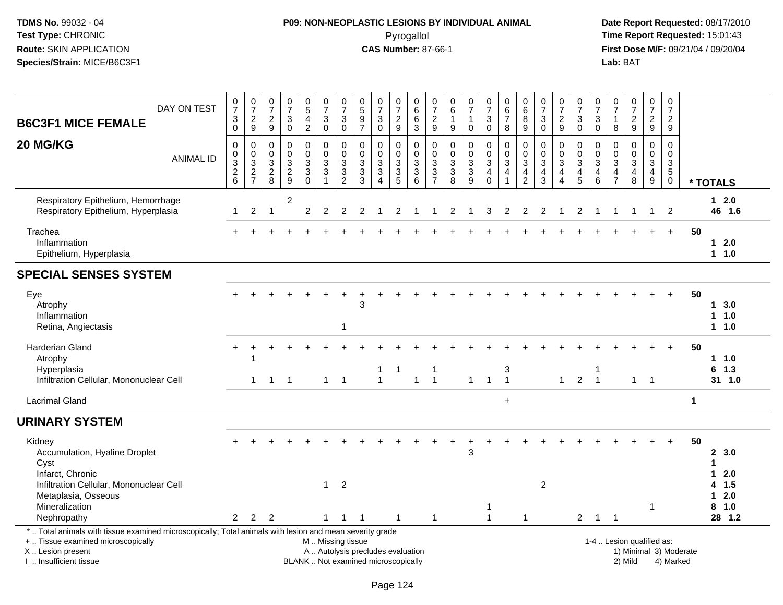# **P09: NON-NEOPLASTIC LESIONS BY INDIVIDUAL ANIMAL**Pyrogallol **Time Report Requested:** 15:01:43

| DAY ON TEST<br><b>B6C3F1 MICE FEMALE</b>                                                                                                                                                      | $\frac{0}{7}$<br>3<br>$\overline{0}$           | 0729                                        | $\frac{0}{7}$<br>$\overline{2}$<br>$9\,$                       | $\begin{array}{c} 0 \\ 7 \end{array}$<br>3<br>$\overline{0}$ | $^{\rm 0}_{\rm 5}$<br>$\overline{\mathbf{4}}$<br>$\overline{2}$ | $\begin{array}{c} 0 \\ 7 \end{array}$<br>$\mathbf{3}$<br>$\overline{0}$                  | $\begin{array}{c} 0 \\ 7 \end{array}$<br>$\sqrt{3}$<br>$\ddot{\mathbf{0}}$ | $\begin{smallmatrix}0\\5\end{smallmatrix}$<br>$\frac{9}{7}$              | $\begin{matrix} 0 \\ 7 \end{matrix}$<br>$\sqrt{3}$<br>$\overline{0}$       | $\frac{0}{7}$<br>$\overline{c}$<br>$\boldsymbol{9}$                                   | 0<br>6<br>6<br>$\overline{3}$                   | $\frac{0}{7}$<br>$\boldsymbol{2}$<br>$\boldsymbol{9}$              | 0<br>$\,6\,$<br>$\mathbf{1}$<br>$\boldsymbol{9}$                | $\begin{array}{c} 0 \\ 7 \end{array}$<br>$\mathbf{1}$<br>$\mathsf{O}\xspace$ | $\frac{0}{7}$<br>3<br>$\mathsf{O}\xspace$                                          | 0<br>$\,6$<br>$\overline{7}$<br>8           | $\begin{array}{c} 0 \\ 6 \end{array}$<br>8<br>$\boldsymbol{9}$             | $\frac{0}{7}$<br>3<br>$\ddot{\mathbf{0}}$                      | $\frac{0}{7}$<br>$\overline{2}$<br>$\boldsymbol{9}$                             | $\begin{array}{c} 0 \\ 7 \end{array}$<br>$\sqrt{3}$<br>$\overline{0}$ | 0<br>$\overline{7}$<br>$\sqrt{3}$<br>$\mathbf 0$                                     | $\begin{array}{c} 0 \\ 7 \end{array}$<br>1<br>$\,8\,$          | $\begin{smallmatrix} 0\\7 \end{smallmatrix}$<br>$\frac{2}{9}$  | $\frac{0}{7}$<br>$\overline{2}$<br>9                               | 0<br>$\overline{7}$<br>$\overline{2}$<br>9                       |                        |                                                      |
|-----------------------------------------------------------------------------------------------------------------------------------------------------------------------------------------------|------------------------------------------------|---------------------------------------------|----------------------------------------------------------------|--------------------------------------------------------------|-----------------------------------------------------------------|------------------------------------------------------------------------------------------|----------------------------------------------------------------------------|--------------------------------------------------------------------------|----------------------------------------------------------------------------|---------------------------------------------------------------------------------------|-------------------------------------------------|--------------------------------------------------------------------|-----------------------------------------------------------------|------------------------------------------------------------------------------|------------------------------------------------------------------------------------|---------------------------------------------|----------------------------------------------------------------------------|----------------------------------------------------------------|---------------------------------------------------------------------------------|-----------------------------------------------------------------------|--------------------------------------------------------------------------------------|----------------------------------------------------------------|----------------------------------------------------------------|--------------------------------------------------------------------|------------------------------------------------------------------|------------------------|------------------------------------------------------|
| 20 MG/KG<br><b>ANIMAL ID</b>                                                                                                                                                                  | $\mathbf 0$<br>$_{3}^{\rm 0}$<br>$\frac{2}{6}$ | $\pmb{0}$<br>$\frac{0}{2}$<br>$\frac{3}{7}$ | 0<br>$\mathbf 0$<br>$\ensuremath{\mathsf{3}}$<br>$\frac{2}{8}$ | $\mathbf 0$<br>$\mathbf 0$<br>$\sqrt{3}$<br>$\frac{2}{9}$    | 0<br>$\mathbf 0$<br>$\sqrt{3}$<br>$\overline{3}$<br>$\bar{0}$   | $\pmb{0}$<br>$\overline{0}$<br>$\ensuremath{\mathsf{3}}$<br>$\mathbf{3}$<br>$\mathbf{1}$ | 0<br>$\ddot{\mathbf{0}}$<br>$\sqrt{3}$<br>$\overline{3}$<br>$\overline{2}$ | $\mathbf 0$<br>$\pmb{0}$<br>$\frac{3}{3}$                                | $\pmb{0}$<br>$\mathbf 0$<br>$\sqrt{3}$<br>$\overline{3}$<br>$\overline{4}$ | 0<br>$\mathsf{O}\xspace$<br>$\sqrt{3}$<br>$\ensuremath{\mathsf{3}}$<br>$\overline{5}$ | 0<br>$\begin{array}{c} 0 \\ 3 \\ 6 \end{array}$ | 0<br>$\mathbf 0$<br>$\sqrt{3}$<br>$\overline{3}$<br>$\overline{7}$ | $\mathbf 0$<br>$\pmb{0}$<br>3<br>$\ensuremath{\mathsf{3}}$<br>8 | $\mathbf 0$<br>$\ddot{\mathbf{0}}$<br>$\frac{3}{9}$                          | 0<br>$\mathsf{O}\xspace$<br>$\mathbf{3}$<br>$\overline{\mathbf{4}}$<br>$\mathbf 0$ | 0<br>$\overline{0}$<br>$\sqrt{3}$<br>4<br>1 | $\mathbf 0$<br>$\pmb{0}$<br>$\sqrt{3}$<br>$\overline{4}$<br>$\overline{2}$ | 0<br>$\mathbf 0$<br>$\sqrt{3}$<br>$\overline{\mathbf{4}}$<br>3 | 0<br>$\pmb{0}$<br>$\ensuremath{\mathsf{3}}$<br>$\overline{4}$<br>$\overline{4}$ | 0<br>$\mathbf 0$<br>$\sqrt{3}$<br>$\overline{4}$<br>$\overline{5}$    | $\mathbf 0$<br>$\mathbf 0$<br>$\ensuremath{\mathsf{3}}$<br>$\overline{4}$<br>$\,6\,$ | $\mathbf 0$<br>$\mathsf{O}\xspace$<br>3<br>4<br>$\overline{7}$ | $\mathbf 0$<br>$\begin{array}{c} 0 \\ 3 \\ 4 \\ 8 \end{array}$ | $\pmb{0}$<br>$\overline{0}$<br>$\mathbf{3}$<br>$\overline{4}$<br>9 | $\mathbf 0$<br>$\mathbf 0$<br>3<br>$\overline{5}$<br>$\mathbf 0$ |                        | * TOTALS                                             |
| Respiratory Epithelium, Hemorrhage<br>Respiratory Epithelium, Hyperplasia                                                                                                                     | 1                                              | $\overline{2}$                              | $\mathbf{1}$                                                   | 2                                                            | $\overline{c}$                                                  | $\overline{c}$                                                                           | 2                                                                          | 2                                                                        |                                                                            | 2                                                                                     |                                                 |                                                                    | 2                                                               |                                                                              | 3                                                                                  | 2                                           | 2                                                                          | 2                                                              |                                                                                 | 2                                                                     |                                                                                      |                                                                |                                                                | $\mathbf{1}$                                                       | 2                                                                |                        | $12.0$<br>46 1.6                                     |
| Trachea<br>Inflammation<br>Epithelium, Hyperplasia                                                                                                                                            |                                                |                                             |                                                                |                                                              |                                                                 |                                                                                          |                                                                            |                                                                          |                                                                            |                                                                                       |                                                 |                                                                    |                                                                 |                                                                              |                                                                                    |                                             |                                                                            |                                                                |                                                                                 |                                                                       |                                                                                      |                                                                |                                                                |                                                                    | $+$                                                              | 50                     | $12.0$<br>11.0                                       |
| <b>SPECIAL SENSES SYSTEM</b>                                                                                                                                                                  |                                                |                                             |                                                                |                                                              |                                                                 |                                                                                          |                                                                            |                                                                          |                                                                            |                                                                                       |                                                 |                                                                    |                                                                 |                                                                              |                                                                                    |                                             |                                                                            |                                                                |                                                                                 |                                                                       |                                                                                      |                                                                |                                                                |                                                                    |                                                                  |                        |                                                      |
| Eye<br>Atrophy<br>Inflammation<br>Retina, Angiectasis                                                                                                                                         |                                                |                                             |                                                                |                                                              |                                                                 |                                                                                          | -1                                                                         | 3                                                                        |                                                                            |                                                                                       |                                                 |                                                                    |                                                                 |                                                                              |                                                                                    |                                             |                                                                            |                                                                |                                                                                 |                                                                       |                                                                                      |                                                                |                                                                |                                                                    |                                                                  | 50                     | $1 \quad 3.0$<br>1.0<br>$\mathbf{1}$<br>$1 1.0$      |
| <b>Harderian Gland</b><br>Atrophy<br>Hyperplasia<br>Infiltration Cellular, Mononuclear Cell                                                                                                   | $\pm$                                          | -1<br>$\overline{1}$                        | $\mathbf{1}$                                                   | -1                                                           |                                                                 | $1 \quad 1$                                                                              |                                                                            |                                                                          | -1<br>$\mathbf{1}$                                                         | -1                                                                                    | 1                                               | -1<br>$\overline{1}$                                               |                                                                 | $\mathbf{1}$                                                                 | $\overline{1}$                                                                     | 3<br>$\overline{1}$                         |                                                                            |                                                                | $\mathbf{1}$                                                                    | $\overline{2}$                                                        | -1<br>$\overline{1}$                                                                 |                                                                | $\mathbf 1$                                                    | $\overline{\phantom{0}}$                                           |                                                                  | 50                     | $1 \t1.0$<br>$6 \t1.3$<br>31 1.0                     |
| <b>Lacrimal Gland</b>                                                                                                                                                                         |                                                |                                             |                                                                |                                                              |                                                                 |                                                                                          |                                                                            |                                                                          |                                                                            |                                                                                       |                                                 |                                                                    |                                                                 |                                                                              |                                                                                    | $\ddot{}$                                   |                                                                            |                                                                |                                                                                 |                                                                       |                                                                                      |                                                                |                                                                |                                                                    |                                                                  | $\overline{1}$         |                                                      |
| <b>URINARY SYSTEM</b>                                                                                                                                                                         |                                                |                                             |                                                                |                                                              |                                                                 |                                                                                          |                                                                            |                                                                          |                                                                            |                                                                                       |                                                 |                                                                    |                                                                 |                                                                              |                                                                                    |                                             |                                                                            |                                                                |                                                                                 |                                                                       |                                                                                      |                                                                |                                                                |                                                                    |                                                                  |                        |                                                      |
| Kidney<br>Accumulation, Hyaline Droplet<br>Cyst<br>Infarct, Chronic<br>Infiltration Cellular, Mononuclear Cell<br>Metaplasia, Osseous                                                         |                                                |                                             |                                                                |                                                              |                                                                 | 1                                                                                        | $\overline{2}$                                                             |                                                                          |                                                                            |                                                                                       |                                                 |                                                                    |                                                                 | 3                                                                            |                                                                                    |                                             |                                                                            | $\overline{2}$                                                 |                                                                                 |                                                                       |                                                                                      |                                                                |                                                                |                                                                    |                                                                  | 50                     | 2, 3.0<br>1<br>2.0<br>$\mathbf 1$<br>4 1.5<br>$12.0$ |
| Mineralization<br>Nephropathy                                                                                                                                                                 | $\mathbf{2}$                                   | 2                                           | 2                                                              |                                                              |                                                                 | $\mathbf{1}$                                                                             | $\mathbf{1}$                                                               | -1                                                                       |                                                                            | $\mathbf{1}$                                                                          |                                                 | $\mathbf{1}$                                                       |                                                                 |                                                                              | 1<br>$\mathbf{1}$                                                                  |                                             | $\mathbf{1}$                                                               |                                                                |                                                                                 | $\overline{2}$                                                        | $\overline{1}$                                                                       | $\overline{1}$                                                 |                                                                | -1                                                                 |                                                                  |                        | 1.0<br>8<br>28 1.2                                   |
| *  Total animals with tissue examined microscopically; Total animals with lesion and mean severity grade<br>+  Tissue examined microscopically<br>X  Lesion present<br>I  Insufficient tissue |                                                |                                             |                                                                |                                                              |                                                                 | M  Missing tissue                                                                        |                                                                            | A  Autolysis precludes evaluation<br>BLANK  Not examined microscopically |                                                                            |                                                                                       |                                                 |                                                                    |                                                                 |                                                                              |                                                                                    |                                             |                                                                            |                                                                |                                                                                 |                                                                       |                                                                                      |                                                                | 1-4  Lesion qualified as:<br>2) Mild                           |                                                                    | 4) Marked                                                        | 1) Minimal 3) Moderate |                                                      |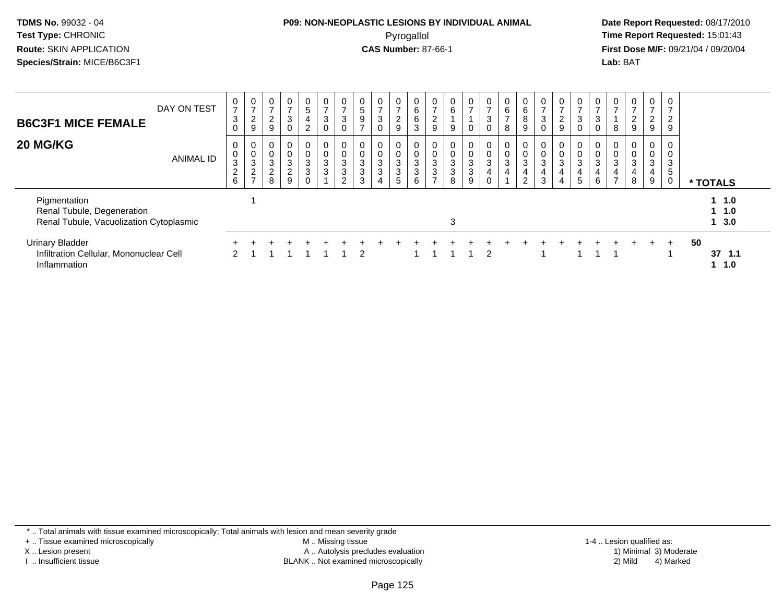## **P09: NON-NEOPLASTIC LESIONS BY INDIVIDUAL ANIMAL**Pyrogallol **Time Report Requested:** 15:01:43

 **Date Report Requested:** 08/17/2010 **First Dose M/F:** 09/21/04 / 09/20/04<br>**Lab:** BAT **Lab:** BAT

| <b>B6C3F1 MICE FEMALE</b><br>20 MG/KG                                                 | DAY ON TEST<br><b>ANIMAL ID</b> | 0<br>$\overline{ }$<br>$\mathbf{3}$<br>$\Omega$<br>0<br>0<br>$\sqrt{3}$<br>$\frac{2}{6}$ | 0<br>$\rightarrow$<br>2<br>9<br>0<br>$\pmb{0}$<br>$\ensuremath{\mathsf{3}}$<br>$\frac{2}{7}$ | $\frac{0}{7}$<br>2<br>$9\,$<br>0<br>$\boldsymbol{0}$<br>$\sqrt{3}$<br>$\sqrt{2}$<br>8 | $\frac{0}{7}$<br>$\sqrt{3}$<br>$\mathbf 0$<br>$\overline{0}$<br>$\frac{0}{2}$<br>9 | $\frac{0}{5}$<br>4<br>$\overline{2}$<br>$\overline{0}$<br>0<br>$\mathbf{3}$<br>3<br>0 | $\mathbf 0$<br>$\overline{7}$<br>$\mathbf{3}$<br>$\mathbf 0$<br>$\mathbf 0$<br>$\mathbf{3}$<br>$\mathbf{3}$ | $\frac{0}{7}$<br>$\ensuremath{\mathsf{3}}$<br>0<br>$\mathbf 0$<br>$\pmb{0}$<br>$\mathbf{3}$<br>$\ensuremath{\mathsf{3}}$<br>$\overline{2}$ | $\frac{0}{5}$<br>9<br>$\rightarrow$<br>0<br>$\mathsf 3$<br>$\mathbf{3}$<br>3 | $\frac{0}{7}$<br>$\mathbf{3}$<br>$\Omega$<br>0<br>$\pmb{0}$<br>$\sqrt{3}$<br>$\mathbf{3}$<br>$\overline{4}$ | $\frac{0}{7}$<br>$\overline{c}$<br>9<br>0<br>0<br>$\mathbf{3}$<br>$\mathbf{3}$<br>5 | 0<br>6<br>6<br>3<br>0<br>$\mathbf 0$<br>$\mathbf{3}$<br>3<br>6 | $\frac{0}{7}$<br>ົ<br>$\epsilon$<br>9<br>0<br>$\mathbf{3}$<br>3<br>⇁ | $\begin{matrix} 0 \\ 6 \end{matrix}$<br>9<br>$\frac{0}{3}$<br>8 | $\frac{0}{7}$<br>0<br>0<br>$\frac{0}{3}$<br>$\boldsymbol{9}$ | $\frac{0}{7}$<br>$\ensuremath{\mathsf{3}}$<br>$\pmb{0}$<br>$\mathbf 0$<br>$\frac{0}{3}$<br>$\mathbf 0$ | $\begin{array}{c} 0 \\ 6 \end{array}$<br>$\overline{7}$<br>$\bf8$<br>0<br>$\frac{0}{3}$<br>$\overline{4}$ | 0<br>6<br>8<br>9<br>0<br>0<br>$\ensuremath{\mathsf{3}}$<br>4<br>2 | $\frac{0}{7}$<br>3<br>$\mathbf 0$<br>$\mathbf 3$<br>$\overline{4}$<br>3 | 0<br>$\rightarrow$<br>$\overline{c}$<br>9<br>0<br>$\mathbf{3}$<br>4 | 0<br>$\rightarrow$<br>3<br>$\mathbf 0$<br>0<br>0<br>$\mathbf{3}$<br>4<br>5 | $\frac{0}{7}$<br>$\mathbf{3}$<br>0<br>$\pmb{0}$<br>$\mathbf{3}$<br>$\overline{4}$<br>6 | $\frac{0}{7}$<br>8<br>0<br>$\pmb{0}$<br>$\sqrt{3}$<br>4<br>$\overline{\phantom{a}}$ | $\overline{0}$<br>$\overline{ }$<br>$\boldsymbol{2}$<br>9<br>0<br>$\mathbf 0$<br>$\ensuremath{\mathsf{3}}$<br>4<br>8 | $\mathbf 0$<br>$\overline{ }$<br>$\overline{2}$<br>9<br>0<br>0<br>3<br>4<br>9 | 0<br>$\overline{ }$<br>$\overline{c}$<br>9<br>0<br>0<br>3<br>$5\phantom{.0}$<br>0 |    | * TOTALS                  |  |
|---------------------------------------------------------------------------------------|---------------------------------|------------------------------------------------------------------------------------------|----------------------------------------------------------------------------------------------|---------------------------------------------------------------------------------------|------------------------------------------------------------------------------------|---------------------------------------------------------------------------------------|-------------------------------------------------------------------------------------------------------------|--------------------------------------------------------------------------------------------------------------------------------------------|------------------------------------------------------------------------------|-------------------------------------------------------------------------------------------------------------|-------------------------------------------------------------------------------------|----------------------------------------------------------------|----------------------------------------------------------------------|-----------------------------------------------------------------|--------------------------------------------------------------|--------------------------------------------------------------------------------------------------------|-----------------------------------------------------------------------------------------------------------|-------------------------------------------------------------------|-------------------------------------------------------------------------|---------------------------------------------------------------------|----------------------------------------------------------------------------|----------------------------------------------------------------------------------------|-------------------------------------------------------------------------------------|----------------------------------------------------------------------------------------------------------------------|-------------------------------------------------------------------------------|-----------------------------------------------------------------------------------|----|---------------------------|--|
| Pigmentation<br>Renal Tubule, Degeneration<br>Renal Tubule, Vacuolization Cytoplasmic |                                 |                                                                                          |                                                                                              |                                                                                       |                                                                                    |                                                                                       |                                                                                                             |                                                                                                                                            |                                                                              |                                                                                                             |                                                                                     |                                                                |                                                                      | 3                                                               |                                                              |                                                                                                        |                                                                                                           |                                                                   |                                                                         |                                                                     |                                                                            |                                                                                        |                                                                                     |                                                                                                                      |                                                                               |                                                                                   |    | $1 \t1.0$<br>11.0<br>13.0 |  |
| <b>Urinary Bladder</b><br>Infiltration Cellular, Mononuclear Cell<br>Inflammation     |                                 | $\mathcal{P}$                                                                            |                                                                                              |                                                                                       |                                                                                    |                                                                                       |                                                                                                             |                                                                                                                                            | 2                                                                            |                                                                                                             |                                                                                     |                                                                |                                                                      |                                                                 |                                                              | $\mathcal{P}$                                                                                          |                                                                                                           |                                                                   |                                                                         |                                                                     |                                                                            |                                                                                        |                                                                                     | $+$                                                                                                                  | $+$                                                                           | $+$                                                                               | 50 | 37<br>1.1<br>1.0          |  |

\* .. Total animals with tissue examined microscopically; Total animals with lesion and mean severity grade

+ .. Tissue examined microscopically

X .. Lesion present

I .. Insufficient tissue

 M .. Missing tissueA .. Autolysis precludes evaluation

BLANK .. Not examined microscopically 2) Mild 4) Marked

1-4 .. Lesion qualified as: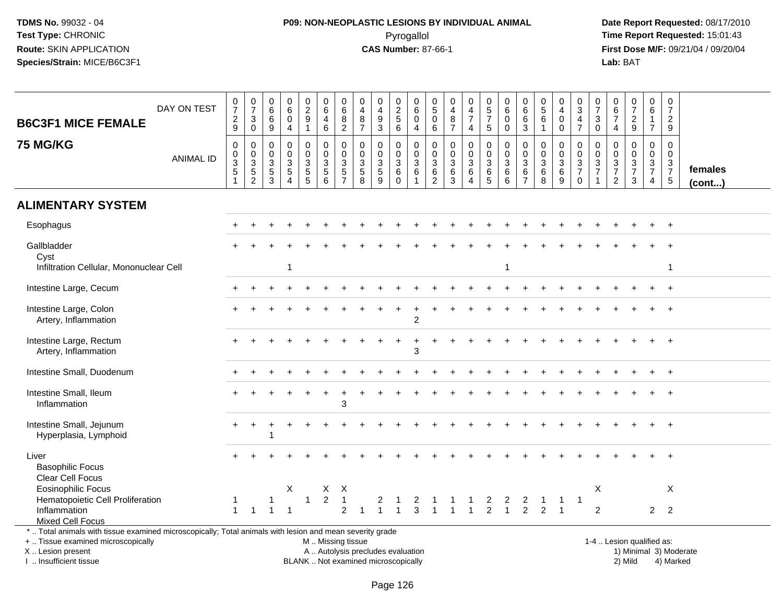# **P09: NON-NEOPLASTIC LESIONS BY INDIVIDUAL ANIMAL**Pyrogallol **Time Report Requested:** 15:01:43

| <b>B6C3F1 MICE FEMALE</b><br><b>75 MG/KG</b>                                                             | DAY ON TEST<br><b>ANIMAL ID</b> | $\frac{0}{7}$<br>$\frac{2}{9}$<br>$\pmb{0}$<br>$\pmb{0}$<br>$\ensuremath{\mathsf{3}}$<br>$\frac{5}{1}$ | $\frac{0}{7}$<br>$\mathbf{3}$<br>$\overline{0}$<br>$\mathsf 0$<br>$\begin{array}{c} 0 \\ 3 \\ 5 \\ 2 \end{array}$ | $\begin{array}{c} 0 \\ 6 \\ 6 \end{array}$<br>$\overline{9}$<br>$\mathbf 0$<br>$\boldsymbol{0}$<br>$\ensuremath{\mathsf{3}}$<br>$\frac{5}{3}$ | $\pmb{0}$<br>6<br>$\mathbf 0$<br>$\overline{a}$<br>$\pmb{0}$<br>$\mathbf 0$<br>$\sqrt{3}$<br>$\sqrt{5}$<br>$\boldsymbol{\Lambda}$ | $_2^0$<br>$\boldsymbol{9}$<br>1<br>0<br>$\mathbf 0$<br>3<br>$\frac{5}{5}$ | $_{6}^{\rm 0}$<br>$\overline{4}$<br>$6\phantom{a}$<br>$\pmb{0}$<br>$\mathbf 0$<br>$\sqrt{3}$<br>$\frac{5}{6}$ | $\pmb{0}$<br>$\overline{6}$<br>8<br>$\overline{2}$<br>$\pmb{0}$<br>$\mathsf 0$<br>$\mathbf{3}$<br>$\frac{5}{7}$ | 0<br>$\overline{4}$<br>$\,8\,$<br>$\overline{7}$<br>$\mathbf 0$<br>$\mathbf 0$<br>$\mathbf{3}$<br>$\begin{array}{c} 5 \\ 8 \end{array}$ | $\boldsymbol{0}$<br>$\overline{4}$<br>$9\,$<br>$\mathbf{3}$<br>$\boldsymbol{0}$<br>$\mathbf 0$<br>$\ensuremath{\mathsf{3}}$<br>$\frac{5}{9}$ | 0<br>$\overline{2}$<br>$\sqrt{5}$<br>$\overline{6}$<br>0<br>$\mathbf 0$<br>$\sqrt{3}$<br>6<br>$\mathbf 0$ | $\mathbf 0$<br>$6\overline{6}$<br>$\mathbf 0$<br>$\overline{4}$<br>$\mathbf 0$<br>$\mathbf 0$<br>$\sqrt{3}$<br>$\,6\,$<br>$\overline{1}$ | 0<br>$\overline{5}$<br>$\mathsf{O}\xspace$<br>6<br>$\mathsf{O}\xspace$<br>0<br>$\ensuremath{\mathsf{3}}$<br>$\frac{6}{2}$ | $\pmb{0}$<br>$\overline{\mathbf{4}}$<br>$\,8\,$<br>$\overline{7}$<br>$\pmb{0}$<br>$\mathbf 0$<br>$\mathfrak{S}$<br>$\,6\,$<br>$\overline{3}$ | $\begin{smallmatrix}0\0\4\end{smallmatrix}$<br>$\overline{7}$<br>$\overline{4}$<br>$\pmb{0}$<br>$\mathbf 0$<br>$\ensuremath{\mathsf{3}}$<br>$\,6$<br>$\boldsymbol{\Lambda}$ | $\begin{array}{c} 0 \\ 5 \\ 7 \end{array}$<br>$\sqrt{5}$<br>$\pmb{0}$<br>$\pmb{0}$<br>$\ensuremath{\mathsf{3}}$<br>$\begin{array}{c} 6 \\ 5 \end{array}$ | $\pmb{0}$<br>$6\phantom{a}$<br>$\mathbf 0$<br>$\mathbf 0$<br>$\pmb{0}$<br>$\mathbf 0$<br>$\sqrt{3}$<br>$\,6\,$<br>6 | 0<br>$\,6\,$<br>6<br>$\overline{3}$<br>0<br>$\mathbf 0$<br>3<br>$\,6\,$<br>$\overline{7}$ | $\begin{array}{c} 0 \\ 5 \\ 6 \end{array}$<br>$\mathbf{1}$<br>0<br>$\mathbf 0$<br>$\mathbf 3$<br>$^6_8$ | $\mathbf 0$<br>$\overline{4}$<br>$\pmb{0}$<br>$\pmb{0}$<br>0<br>$\mathbf 0$<br>$\mathbf 3$<br>$\frac{6}{9}$ | $_{3}^{\rm 0}$<br>$\overline{4}$<br>$\overline{7}$<br>0<br>$\mathsf{O}$<br>$\sqrt{3}$<br>$\overline{7}$<br>$\mathbf 0$ | $\frac{0}{7}$<br>$_{0}^{3}$<br>$\mathbf 0$<br>$\mathbf 0$<br>$\frac{3}{7}$<br>$\overline{1}$ | 0<br>$\,6\,$<br>$\overline{7}$<br>4<br>$\mathbf 0$<br>$\mathbf 0$<br>$\ensuremath{\mathsf{3}}$<br>$\boldsymbol{7}$<br>$\overline{c}$ | $\begin{array}{c} 0 \\ 7 \end{array}$<br>$\frac{2}{9}$<br>$\mathbf 0$<br>$\Omega$<br>$\sqrt{3}$<br>$\overline{7}$<br>3 | 0<br>$\overline{6}$<br>$\mathbf{1}$<br>$\overline{7}$<br>0<br>$\mathbf 0$<br>$\frac{3}{7}$<br>4 | $\begin{smallmatrix} 0\\7 \end{smallmatrix}$<br>$\frac{2}{9}$<br>$\pmb{0}$<br>$\mathbf 0$<br>$\mathsf 3$<br>$\overline{7}$<br>$\overline{5}$ | females      |
|----------------------------------------------------------------------------------------------------------|---------------------------------|--------------------------------------------------------------------------------------------------------|-------------------------------------------------------------------------------------------------------------------|-----------------------------------------------------------------------------------------------------------------------------------------------|-----------------------------------------------------------------------------------------------------------------------------------|---------------------------------------------------------------------------|---------------------------------------------------------------------------------------------------------------|-----------------------------------------------------------------------------------------------------------------|-----------------------------------------------------------------------------------------------------------------------------------------|----------------------------------------------------------------------------------------------------------------------------------------------|-----------------------------------------------------------------------------------------------------------|------------------------------------------------------------------------------------------------------------------------------------------|---------------------------------------------------------------------------------------------------------------------------|----------------------------------------------------------------------------------------------------------------------------------------------|-----------------------------------------------------------------------------------------------------------------------------------------------------------------------------|----------------------------------------------------------------------------------------------------------------------------------------------------------|---------------------------------------------------------------------------------------------------------------------|-------------------------------------------------------------------------------------------|---------------------------------------------------------------------------------------------------------|-------------------------------------------------------------------------------------------------------------|------------------------------------------------------------------------------------------------------------------------|----------------------------------------------------------------------------------------------|--------------------------------------------------------------------------------------------------------------------------------------|------------------------------------------------------------------------------------------------------------------------|-------------------------------------------------------------------------------------------------|----------------------------------------------------------------------------------------------------------------------------------------------|--------------|
|                                                                                                          |                                 |                                                                                                        |                                                                                                                   |                                                                                                                                               |                                                                                                                                   |                                                                           |                                                                                                               |                                                                                                                 |                                                                                                                                         |                                                                                                                                              |                                                                                                           |                                                                                                                                          |                                                                                                                           |                                                                                                                                              |                                                                                                                                                                             |                                                                                                                                                          |                                                                                                                     |                                                                                           |                                                                                                         |                                                                                                             |                                                                                                                        |                                                                                              |                                                                                                                                      |                                                                                                                        |                                                                                                 |                                                                                                                                              | $($ cont $)$ |
| <b>ALIMENTARY SYSTEM</b>                                                                                 |                                 |                                                                                                        |                                                                                                                   |                                                                                                                                               |                                                                                                                                   |                                                                           |                                                                                                               |                                                                                                                 |                                                                                                                                         |                                                                                                                                              |                                                                                                           |                                                                                                                                          |                                                                                                                           |                                                                                                                                              |                                                                                                                                                                             |                                                                                                                                                          |                                                                                                                     |                                                                                           |                                                                                                         |                                                                                                             |                                                                                                                        |                                                                                              |                                                                                                                                      |                                                                                                                        |                                                                                                 |                                                                                                                                              |              |
| Esophagus                                                                                                |                                 |                                                                                                        |                                                                                                                   |                                                                                                                                               |                                                                                                                                   |                                                                           |                                                                                                               |                                                                                                                 |                                                                                                                                         |                                                                                                                                              |                                                                                                           |                                                                                                                                          |                                                                                                                           |                                                                                                                                              |                                                                                                                                                                             |                                                                                                                                                          |                                                                                                                     |                                                                                           |                                                                                                         |                                                                                                             |                                                                                                                        |                                                                                              |                                                                                                                                      |                                                                                                                        |                                                                                                 |                                                                                                                                              |              |
| Gallbladder<br>Cyst                                                                                      |                                 |                                                                                                        |                                                                                                                   |                                                                                                                                               |                                                                                                                                   |                                                                           |                                                                                                               |                                                                                                                 |                                                                                                                                         |                                                                                                                                              |                                                                                                           |                                                                                                                                          |                                                                                                                           |                                                                                                                                              |                                                                                                                                                                             |                                                                                                                                                          |                                                                                                                     |                                                                                           |                                                                                                         |                                                                                                             |                                                                                                                        |                                                                                              |                                                                                                                                      |                                                                                                                        |                                                                                                 |                                                                                                                                              |              |
| Infiltration Cellular, Mononuclear Cell                                                                  |                                 |                                                                                                        |                                                                                                                   |                                                                                                                                               | 1                                                                                                                                 |                                                                           |                                                                                                               |                                                                                                                 |                                                                                                                                         |                                                                                                                                              |                                                                                                           |                                                                                                                                          |                                                                                                                           |                                                                                                                                              |                                                                                                                                                                             |                                                                                                                                                          | 1                                                                                                                   |                                                                                           |                                                                                                         |                                                                                                             |                                                                                                                        |                                                                                              |                                                                                                                                      |                                                                                                                        |                                                                                                 | -1                                                                                                                                           |              |
| Intestine Large, Cecum                                                                                   |                                 |                                                                                                        |                                                                                                                   |                                                                                                                                               |                                                                                                                                   |                                                                           |                                                                                                               |                                                                                                                 |                                                                                                                                         |                                                                                                                                              |                                                                                                           |                                                                                                                                          |                                                                                                                           |                                                                                                                                              |                                                                                                                                                                             |                                                                                                                                                          |                                                                                                                     |                                                                                           |                                                                                                         |                                                                                                             |                                                                                                                        |                                                                                              |                                                                                                                                      |                                                                                                                        |                                                                                                 |                                                                                                                                              |              |
| Intestine Large, Colon<br>Artery, Inflammation                                                           |                                 |                                                                                                        |                                                                                                                   |                                                                                                                                               |                                                                                                                                   |                                                                           |                                                                                                               |                                                                                                                 |                                                                                                                                         |                                                                                                                                              |                                                                                                           | $\overline{2}$                                                                                                                           |                                                                                                                           |                                                                                                                                              |                                                                                                                                                                             |                                                                                                                                                          |                                                                                                                     |                                                                                           |                                                                                                         |                                                                                                             |                                                                                                                        |                                                                                              |                                                                                                                                      |                                                                                                                        |                                                                                                 |                                                                                                                                              |              |
| Intestine Large, Rectum<br>Artery, Inflammation                                                          |                                 |                                                                                                        |                                                                                                                   |                                                                                                                                               |                                                                                                                                   |                                                                           |                                                                                                               |                                                                                                                 |                                                                                                                                         |                                                                                                                                              |                                                                                                           | 3                                                                                                                                        |                                                                                                                           |                                                                                                                                              |                                                                                                                                                                             |                                                                                                                                                          |                                                                                                                     |                                                                                           |                                                                                                         |                                                                                                             |                                                                                                                        |                                                                                              |                                                                                                                                      |                                                                                                                        |                                                                                                 |                                                                                                                                              |              |
| Intestine Small, Duodenum                                                                                |                                 |                                                                                                        |                                                                                                                   |                                                                                                                                               |                                                                                                                                   |                                                                           |                                                                                                               |                                                                                                                 |                                                                                                                                         |                                                                                                                                              |                                                                                                           |                                                                                                                                          |                                                                                                                           |                                                                                                                                              |                                                                                                                                                                             |                                                                                                                                                          |                                                                                                                     |                                                                                           |                                                                                                         |                                                                                                             |                                                                                                                        |                                                                                              |                                                                                                                                      |                                                                                                                        |                                                                                                 |                                                                                                                                              |              |
| Intestine Small, Ileum<br>Inflammation                                                                   |                                 |                                                                                                        |                                                                                                                   |                                                                                                                                               |                                                                                                                                   |                                                                           |                                                                                                               | 3                                                                                                               |                                                                                                                                         |                                                                                                                                              |                                                                                                           |                                                                                                                                          |                                                                                                                           |                                                                                                                                              |                                                                                                                                                                             |                                                                                                                                                          |                                                                                                                     |                                                                                           |                                                                                                         |                                                                                                             |                                                                                                                        |                                                                                              |                                                                                                                                      |                                                                                                                        |                                                                                                 |                                                                                                                                              |              |
| Intestine Small, Jejunum<br>Hyperplasia, Lymphoid                                                        |                                 |                                                                                                        |                                                                                                                   |                                                                                                                                               |                                                                                                                                   |                                                                           |                                                                                                               |                                                                                                                 |                                                                                                                                         |                                                                                                                                              |                                                                                                           |                                                                                                                                          |                                                                                                                           |                                                                                                                                              |                                                                                                                                                                             |                                                                                                                                                          |                                                                                                                     |                                                                                           |                                                                                                         |                                                                                                             |                                                                                                                        |                                                                                              |                                                                                                                                      |                                                                                                                        |                                                                                                 | $\ddot{}$                                                                                                                                    |              |
| Liver<br><b>Basophilic Focus</b><br>Clear Cell Focus                                                     |                                 |                                                                                                        |                                                                                                                   |                                                                                                                                               |                                                                                                                                   |                                                                           |                                                                                                               |                                                                                                                 |                                                                                                                                         |                                                                                                                                              |                                                                                                           |                                                                                                                                          |                                                                                                                           |                                                                                                                                              |                                                                                                                                                                             |                                                                                                                                                          |                                                                                                                     |                                                                                           |                                                                                                         |                                                                                                             |                                                                                                                        |                                                                                              |                                                                                                                                      |                                                                                                                        |                                                                                                 |                                                                                                                                              |              |
| <b>Eosinophilic Focus</b>                                                                                |                                 |                                                                                                        |                                                                                                                   |                                                                                                                                               | X                                                                                                                                 |                                                                           | X                                                                                                             | $\mathsf{X}$                                                                                                    |                                                                                                                                         |                                                                                                                                              |                                                                                                           |                                                                                                                                          |                                                                                                                           |                                                                                                                                              |                                                                                                                                                                             |                                                                                                                                                          |                                                                                                                     |                                                                                           |                                                                                                         |                                                                                                             |                                                                                                                        | X                                                                                            |                                                                                                                                      |                                                                                                                        |                                                                                                 | X                                                                                                                                            |              |
| Hematopoietic Cell Proliferation                                                                         |                                 |                                                                                                        |                                                                                                                   |                                                                                                                                               |                                                                                                                                   |                                                                           | $\overline{c}$                                                                                                | $\overline{1}$                                                                                                  |                                                                                                                                         |                                                                                                                                              |                                                                                                           |                                                                                                                                          |                                                                                                                           |                                                                                                                                              |                                                                                                                                                                             | $\overline{a}$                                                                                                                                           | 2                                                                                                                   | 2                                                                                         |                                                                                                         | $\mathbf 1$                                                                                                 | $\overline{1}$                                                                                                         |                                                                                              |                                                                                                                                      |                                                                                                                        |                                                                                                 |                                                                                                                                              |              |
| Inflammation<br><b>Mixed Cell Focus</b>                                                                  |                                 | $\mathbf{1}$                                                                                           |                                                                                                                   |                                                                                                                                               |                                                                                                                                   |                                                                           |                                                                                                               | $\overline{2}$                                                                                                  |                                                                                                                                         |                                                                                                                                              |                                                                                                           |                                                                                                                                          |                                                                                                                           |                                                                                                                                              |                                                                                                                                                                             | $\overline{2}$                                                                                                                                           | $\mathbf{1}$                                                                                                        | $\overline{2}$                                                                            | $\overline{2}$                                                                                          |                                                                                                             |                                                                                                                        | 2                                                                                            |                                                                                                                                      |                                                                                                                        | $\overline{2}$                                                                                  | 2                                                                                                                                            |              |
| *  Total animals with tissue examined microscopically; Total animals with lesion and mean severity grade |                                 |                                                                                                        |                                                                                                                   |                                                                                                                                               |                                                                                                                                   |                                                                           |                                                                                                               |                                                                                                                 |                                                                                                                                         |                                                                                                                                              |                                                                                                           |                                                                                                                                          |                                                                                                                           |                                                                                                                                              |                                                                                                                                                                             |                                                                                                                                                          |                                                                                                                     |                                                                                           |                                                                                                         |                                                                                                             |                                                                                                                        |                                                                                              |                                                                                                                                      |                                                                                                                        |                                                                                                 |                                                                                                                                              |              |
| +  Tissue examined microscopically                                                                       |                                 |                                                                                                        |                                                                                                                   |                                                                                                                                               |                                                                                                                                   |                                                                           | M  Missing tissue                                                                                             |                                                                                                                 |                                                                                                                                         |                                                                                                                                              |                                                                                                           |                                                                                                                                          |                                                                                                                           |                                                                                                                                              |                                                                                                                                                                             |                                                                                                                                                          |                                                                                                                     |                                                                                           |                                                                                                         |                                                                                                             |                                                                                                                        |                                                                                              |                                                                                                                                      | 1-4  Lesion qualified as:                                                                                              |                                                                                                 |                                                                                                                                              |              |
| X  Lesion present                                                                                        |                                 |                                                                                                        |                                                                                                                   |                                                                                                                                               |                                                                                                                                   |                                                                           | A  Autolysis precludes evaluation                                                                             |                                                                                                                 |                                                                                                                                         |                                                                                                                                              |                                                                                                           |                                                                                                                                          |                                                                                                                           |                                                                                                                                              |                                                                                                                                                                             |                                                                                                                                                          |                                                                                                                     |                                                                                           |                                                                                                         |                                                                                                             |                                                                                                                        |                                                                                              |                                                                                                                                      |                                                                                                                        |                                                                                                 | 1) Minimal 3) Moderate                                                                                                                       |              |
| I. Insufficient tissue                                                                                   |                                 |                                                                                                        |                                                                                                                   |                                                                                                                                               |                                                                                                                                   |                                                                           | BLANK  Not examined microscopically                                                                           |                                                                                                                 |                                                                                                                                         |                                                                                                                                              |                                                                                                           |                                                                                                                                          |                                                                                                                           |                                                                                                                                              |                                                                                                                                                                             |                                                                                                                                                          |                                                                                                                     |                                                                                           |                                                                                                         |                                                                                                             |                                                                                                                        |                                                                                              |                                                                                                                                      | 2) Mild                                                                                                                |                                                                                                 | 4) Marked                                                                                                                                    |              |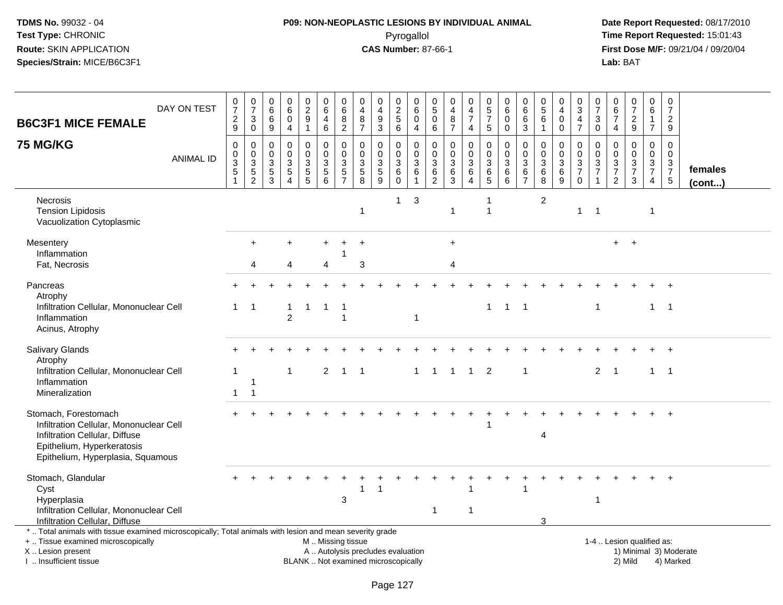## **P09: NON-NEOPLASTIC LESIONS BY INDIVIDUAL ANIMAL**Pyrogallol **Time Report Requested:** 15:01:43

| <b>B6C3F1 MICE FEMALE</b>                                                                                                                                                                     | DAY ON TEST      | $\frac{0}{7}$<br>$\overline{c}$<br>$\boldsymbol{9}$                          | $\frac{0}{7}$<br>$\sqrt{3}$<br>$\mathbf 0$     | $\boldsymbol{0}$<br>$^6_{\ 6}$<br>$\boldsymbol{9}$        | $\pmb{0}$<br>$\,6\,$<br>$\mathbf 0$<br>$\overline{4}$           | $\begin{array}{c} 0 \\ 2 \\ 9 \end{array}$<br>$\mathbf{1}$ | $_{6}^{\rm 0}$<br>$\overline{4}$<br>6       | $\begin{array}{c} 0 \\ 6 \end{array}$<br>$\overline{8}$<br>$\overline{2}$ | $\pmb{0}$<br>$\overline{4}$<br>8<br>$\overline{7}$       | $\pmb{0}$<br>$\overline{4}$<br>$\boldsymbol{9}$<br>$\sqrt{3}$            | $\begin{smallmatrix} 0\\2 \end{smallmatrix}$<br>5<br>$\,6\,$ | $\mathbf 0$<br>6<br>$\Omega$<br>$\overline{4}$                      | 0<br>$\sqrt{5}$<br>$\mathbf 0$<br>$\,6$              | 0<br>$\overline{4}$<br>$\, 8$<br>$\overline{7}$                             | $\pmb{0}$<br>$\overline{4}$<br>$\overline{7}$<br>$\overline{4}$         | $\begin{array}{c} 0 \\ 5 \end{array}$<br>$\overline{7}$<br>5 | $\pmb{0}$<br>$\,6\,$<br>$\mathbf 0$<br>$\Omega$                 | $\pmb{0}$<br>$\,6\,$<br>$\,6\,$<br>$\sqrt{3}$                          | $\pmb{0}$<br>$\sqrt{5}$<br>6<br>$\overline{1}$                 | 0<br>$\overline{4}$<br>$\mathbf 0$<br>$\mathsf{O}\xspace$ | $_3^0$<br>$\overline{4}$<br>$\overline{7}$                    | $\pmb{0}$<br>$\overline{7}$<br>$\sqrt{3}$<br>$\pmb{0}$  | $\pmb{0}$<br>$\,6\,$<br>$\overline{7}$<br>$\overline{4}$   | $\begin{smallmatrix}0\\7\end{smallmatrix}$<br>$\overline{c}$<br>$\boldsymbol{9}$ | $\begin{array}{c} 0 \\ 6 \end{array}$<br>$\mathbf{1}$<br>$\overline{7}$     | $\begin{array}{c} 0 \\ 7 \end{array}$<br>$\overline{c}$<br>9 |                   |
|-----------------------------------------------------------------------------------------------------------------------------------------------------------------------------------------------|------------------|------------------------------------------------------------------------------|------------------------------------------------|-----------------------------------------------------------|-----------------------------------------------------------------|------------------------------------------------------------|---------------------------------------------|---------------------------------------------------------------------------|----------------------------------------------------------|--------------------------------------------------------------------------|--------------------------------------------------------------|---------------------------------------------------------------------|------------------------------------------------------|-----------------------------------------------------------------------------|-------------------------------------------------------------------------|--------------------------------------------------------------|-----------------------------------------------------------------|------------------------------------------------------------------------|----------------------------------------------------------------|-----------------------------------------------------------|---------------------------------------------------------------|---------------------------------------------------------|------------------------------------------------------------|----------------------------------------------------------------------------------|-----------------------------------------------------------------------------|--------------------------------------------------------------|-------------------|
| <b>75 MG/KG</b>                                                                                                                                                                               | <b>ANIMAL ID</b> | $\mathbf 0$<br>$\pmb{0}$<br>$\ensuremath{\mathsf{3}}$<br>$\overline{5}$<br>1 | $\mathbf 0$<br>$_{3}^{\rm 0}$<br>$\frac{5}{2}$ | $\mathbf 0$<br>$\mathbf 0$<br>$\sqrt{3}$<br>$\frac{5}{3}$ | $\Omega$<br>$\mathbf 0$<br>$\sqrt{3}$<br>$\sqrt{5}$<br>$\Delta$ | $\Omega$<br>$\mathbf 0$<br>3<br>$\frac{5}{5}$              | $\mathbf 0$<br>$\mathbf 0$<br>$\frac{3}{5}$ | $\Omega$<br>$\mathbf 0$<br>$\ensuremath{\mathsf{3}}$<br>$\frac{5}{7}$     | $\Omega$<br>$\mathbf 0$<br>$\sqrt{3}$<br>$\sqrt{5}$<br>8 | $\mathbf 0$<br>$\pmb{0}$<br>$\frac{3}{5}$                                | 0<br>$\mathbf 0$<br>$\sqrt{3}$<br>6<br>$\mathbf 0$           | $\Omega$<br>$\mathbf 0$<br>$\mathsf 3$<br>$\,6\,$<br>$\overline{1}$ | $\Omega$<br>0<br>$\mathbf{3}$<br>6<br>$\overline{c}$ | $\Omega$<br>$\mathbf 0$<br>$\ensuremath{\mathsf{3}}$<br>$\overline{6}$<br>3 | $\mathbf 0$<br>$\mathsf 0$<br>$\mathbf{3}$<br>$\,6\,$<br>$\overline{4}$ | $\mathbf 0$<br>$\mathbf 0$<br>3<br>$6\over 5$                | $\Omega$<br>$\mathbf 0$<br>$\mathbf{3}$<br>$6\phantom{1}6$<br>6 | $\mathbf{0}$<br>$\mathbf 0$<br>$\sqrt{3}$<br>$\,6\,$<br>$\overline{7}$ | $\Omega$<br>$\mathbf 0$<br>$\ensuremath{\mathsf{3}}$<br>6<br>8 | $\Omega$<br>0<br>3<br>$6\,$<br>9                          | $\Omega$<br>$\mathbf 0$<br>3<br>$\overline{7}$<br>$\mathbf 0$ | $\Omega$<br>$\mathbf 0$<br>$\sqrt{3}$<br>$\overline{7}$ | $\Omega$<br>$\mathbf 0$<br>$\frac{3}{7}$<br>$\overline{2}$ | $\Omega$<br>$\mathbf 0$<br>$\frac{3}{7}$<br>$\mathbf{3}$                         | $\Omega$<br>$\mathbf 0$<br>$\mathbf{3}$<br>$\overline{7}$<br>$\overline{4}$ | $\mathbf 0$<br>$\mathbf 0$<br>$\mathbf{3}$<br>$\frac{7}{5}$  | females<br>(cont) |
| <b>Necrosis</b><br><b>Tension Lipidosis</b><br>Vacuolization Cytoplasmic                                                                                                                      |                  |                                                                              |                                                |                                                           |                                                                 |                                                            |                                             |                                                                           | 1                                                        |                                                                          | $\mathbf 1$                                                  | 3                                                                   |                                                      | 1                                                                           |                                                                         |                                                              |                                                                 |                                                                        | $\overline{c}$                                                 |                                                           | $\mathbf{1}$                                                  | $\overline{1}$                                          |                                                            |                                                                                  | $\mathbf{1}$                                                                |                                                              |                   |
| Mesentery<br>Inflammation<br>Fat, Necrosis                                                                                                                                                    |                  |                                                                              | ÷<br>Δ                                         |                                                           | 4                                                               |                                                            | 4                                           |                                                                           | $\pm$<br>3                                               |                                                                          |                                                              |                                                                     |                                                      | $+$<br>4                                                                    |                                                                         |                                                              |                                                                 |                                                                        |                                                                |                                                           |                                                               |                                                         | $+$                                                        | $+$                                                                              |                                                                             |                                                              |                   |
| Pancreas<br>Atrophy<br>Infiltration Cellular, Mononuclear Cell<br>Inflammation<br>Acinus, Atrophy                                                                                             |                  | 1                                                                            | $\overline{1}$                                 |                                                           | 1<br>$\overline{2}$                                             | 1                                                          | -1                                          | -1<br>$\overline{1}$                                                      |                                                          |                                                                          |                                                              | $\overline{1}$                                                      |                                                      |                                                                             |                                                                         | $\mathbf{1}$                                                 | $\mathbf{1}$                                                    | $\overline{1}$                                                         |                                                                |                                                           |                                                               | $\overline{1}$                                          |                                                            |                                                                                  | $\mathbf{1}$                                                                | $\overline{1}$                                               |                   |
| Salivary Glands<br>Atrophy<br>Infiltration Cellular, Mononuclear Cell<br>Inflammation<br>Mineralization                                                                                       |                  | 1<br>1                                                                       | $\overline{1}$<br>$\overline{\mathbf{1}}$      |                                                           | $\mathbf 1$                                                     |                                                            | $\overline{2}$                              | $\mathbf{1}$                                                              | $\overline{1}$                                           |                                                                          |                                                              | $\mathbf{1}$                                                        | $\mathbf{1}$                                         | $\mathbf{1}$                                                                | $\mathbf{1}$                                                            | 2                                                            |                                                                 | $\mathbf{1}$                                                           |                                                                |                                                           |                                                               | 2                                                       | -1                                                         |                                                                                  | $+$<br>$\mathbf{1}$                                                         | $+$<br>$\overline{1}$                                        |                   |
| Stomach, Forestomach<br>Infiltration Cellular, Mononuclear Cell<br>Infiltration Cellular, Diffuse<br>Epithelium, Hyperkeratosis<br>Epithelium, Hyperplasia, Squamous                          |                  |                                                                              |                                                |                                                           |                                                                 |                                                            |                                             |                                                                           |                                                          |                                                                          |                                                              |                                                                     |                                                      |                                                                             |                                                                         |                                                              |                                                                 |                                                                        | 4                                                              |                                                           |                                                               |                                                         |                                                            |                                                                                  |                                                                             |                                                              |                   |
| Stomach, Glandular<br>Cyst<br>Hyperplasia<br>Infiltration Cellular, Mononuclear Cell<br>Infiltration Cellular, Diffuse                                                                        |                  |                                                                              |                                                |                                                           |                                                                 |                                                            |                                             | 3                                                                         |                                                          |                                                                          |                                                              |                                                                     | $\mathbf{1}$                                         |                                                                             | $\mathbf{1}$                                                            |                                                              |                                                                 |                                                                        | 3                                                              |                                                           |                                                               | $\overline{1}$                                          |                                                            |                                                                                  |                                                                             |                                                              |                   |
| *  Total animals with tissue examined microscopically; Total animals with lesion and mean severity grade<br>+  Tissue examined microscopically<br>X  Lesion present<br>I  Insufficient tissue |                  |                                                                              |                                                |                                                           |                                                                 |                                                            | M  Missing tissue                           |                                                                           |                                                          | A  Autolysis precludes evaluation<br>BLANK  Not examined microscopically |                                                              |                                                                     |                                                      |                                                                             |                                                                         |                                                              |                                                                 |                                                                        |                                                                |                                                           |                                                               |                                                         |                                                            | 1-4  Lesion qualified as:<br>2) Mild                                             |                                                                             | 1) Minimal 3) Moderate<br>4) Marked                          |                   |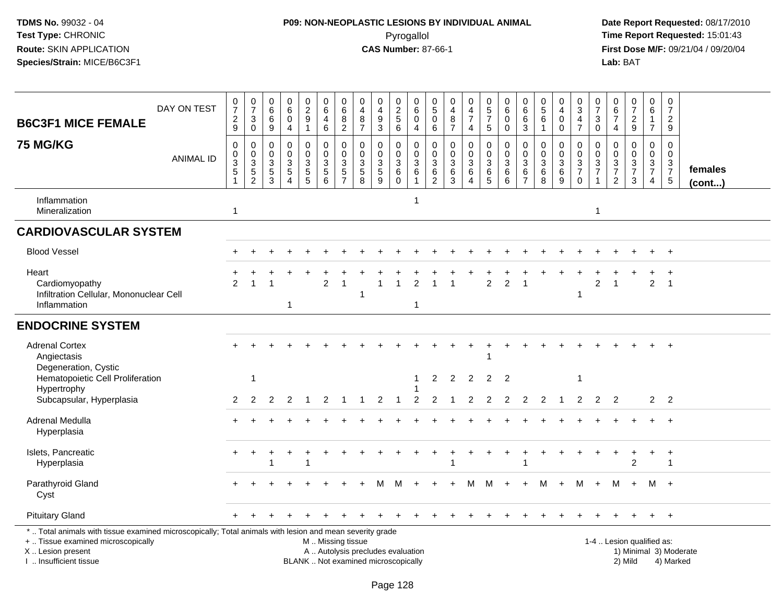# **P09: NON-NEOPLASTIC LESIONS BY INDIVIDUAL ANIMAL**Pyrogallol **Time Report Requested:** 15:01:43

| <b>B6C3F1 MICE FEMALE</b>                                                                                                                                                                     | DAY ON TEST      | $\frac{0}{7}$<br>$\frac{2}{9}$        | $\frac{0}{7}$<br>$\ensuremath{\mathsf{3}}$<br>$\mathsf 0$ | $\pmb{0}$<br>$\,6\,$<br>$\,6\,$<br>$\boldsymbol{9}$       | $\begin{array}{c} 0 \\ 6 \end{array}$<br>$\overline{0}$<br>$\overline{4}$ | $\begin{smallmatrix} 0\\2\\9 \end{smallmatrix}$<br>$\mathbf{1}$        | $\begin{array}{c} 0 \\ 6 \end{array}$<br>$\overline{4}$<br>$\,6\,$ | 0<br>$\overline{6}$<br>8<br>$\overline{2}$                               | 0<br>$\frac{4}{8}$<br>$\overline{7}$                    | $\pmb{0}$<br>$\overline{4}$<br>$\frac{9}{3}$                             | 0 2 5 6                                                            | $\mathbf 0$<br>$\overline{6}$<br>$\pmb{0}$<br>$\overline{4}$        | $\mathbf 0$<br>$\overline{5}$<br>$\mathbf 0$<br>$\,6\,$   | 0<br>$\overline{4}$<br>$\bf8$<br>$\overline{7}$      | $\begin{array}{c} 0 \\ 4 \\ 7 \end{array}$<br>$\overline{4}$ | $\begin{array}{c} 0 \\ 5 \\ 7 \end{array}$<br>$\overline{5}$ | $\begin{array}{c} 0 \\ 6 \end{array}$<br>$\mathbf 0$<br>0                          | $\begin{array}{c} 0 \\ 6 \end{array}$<br>$6\phantom{a}$<br>$\mathbf{3}$            | $\begin{array}{c} 0 \\ 5 \end{array}$<br>$6\phantom{a}$<br>$\overline{1}$ | $\begin{smallmatrix}0\\4\end{smallmatrix}$<br>$\pmb{0}$<br>$\mathbf 0$  | $\frac{0}{3}$<br>$\frac{4}{7}$                                               | $\frac{0}{7}$<br>$\mathsf 3$<br>$\mathbf 0$                                  | $\begin{array}{c} 0 \\ 6 \\ 7 \end{array}$<br>$\overline{4}$           | $\frac{0}{7}$<br>$\frac{2}{9}$                                                         | $\begin{array}{c} 0 \\ 6 \end{array}$<br>$\mathbf{1}$<br>$\overline{7}$ | $\frac{0}{7}$<br>$\boldsymbol{2}$<br>$9\,$                               |                         |
|-----------------------------------------------------------------------------------------------------------------------------------------------------------------------------------------------|------------------|---------------------------------------|-----------------------------------------------------------|-----------------------------------------------------------|---------------------------------------------------------------------------|------------------------------------------------------------------------|--------------------------------------------------------------------|--------------------------------------------------------------------------|---------------------------------------------------------|--------------------------------------------------------------------------|--------------------------------------------------------------------|---------------------------------------------------------------------|-----------------------------------------------------------|------------------------------------------------------|--------------------------------------------------------------|--------------------------------------------------------------|------------------------------------------------------------------------------------|------------------------------------------------------------------------------------|---------------------------------------------------------------------------|-------------------------------------------------------------------------|------------------------------------------------------------------------------|------------------------------------------------------------------------------|------------------------------------------------------------------------|----------------------------------------------------------------------------------------|-------------------------------------------------------------------------|--------------------------------------------------------------------------|-------------------------|
| <b>75 MG/KG</b>                                                                                                                                                                               | <b>ANIMAL ID</b> | $\pmb{0}$<br>$_{3}^{\rm 0}$<br>5<br>1 | $\mathsf{O}\xspace$<br>$_{3}^{\rm 0}$<br>$\frac{5}{2}$    | $\mathbf 0$<br>$\mathbf 0$<br>$\sqrt{3}$<br>$\frac{5}{3}$ | $\pmb{0}$<br>$\mathbf 0$<br>$\frac{3}{5}$<br>$\Delta$                     | 0<br>$\mathsf{O}\xspace$<br>$\ensuremath{\mathsf{3}}$<br>$\frac{5}{5}$ | $\pmb{0}$<br>$\mathbf 0$<br>$\sqrt{3}$<br>$\frac{5}{6}$            | $\mathbf 0$<br>$\mathbf 0$<br>$\ensuremath{\mathsf{3}}$<br>$\frac{5}{7}$ | $\pmb{0}$<br>$\mathbf 0$<br>$\sqrt{3}$<br>$\frac{5}{8}$ | 0<br>$\pmb{0}$<br>$rac{3}{9}$                                            | $\mathbf 0$<br>$\mathbf 0$<br>$\sqrt{3}$<br>$\,6\,$<br>$\mathbf 0$ | $\pmb{0}$<br>$\mathsf{O}\xspace$<br>$\frac{3}{6}$<br>$\overline{1}$ | $\mathbf 0$<br>$\mathbf 0$<br>$\sqrt{3}$<br>$\frac{6}{2}$ | $\pmb{0}$<br>$\mathbf 0$<br>$\mathfrak{Z}$<br>$^6_3$ | 0<br>$\mathbf 0$<br>$\overline{3}$<br>$\frac{6}{4}$          | $\pmb{0}$<br>$\mathbf 0$<br>$\sqrt{3}$<br>$\frac{6}{5}$      | $\mathbf 0$<br>$\pmb{0}$<br>$\overline{3}$<br>$\begin{matrix} 6 \\ 6 \end{matrix}$ | $\mathbf 0$<br>$\pmb{0}$<br>$\ensuremath{\mathsf{3}}$<br>$\,6\,$<br>$\overline{7}$ | $\mathbf 0$<br>$\mathbf 0$<br>$\sqrt{3}$<br>$\,6\,$<br>$\mathbf{8}$       | 0<br>$\mathbf 0$<br>$\sqrt{3}$<br>$\begin{array}{c} 6 \\ 9 \end{array}$ | 0<br>$\boldsymbol{0}$<br>$\sqrt{3}$<br>$\overline{7}$<br>$\ddot{\mathbf{0}}$ | $\mathbf 0$<br>$\pmb{0}$<br>$\overline{3}$<br>$\overline{7}$<br>$\mathbf{1}$ | $\pmb{0}$<br>$\mathbf 0$<br>$\ensuremath{\mathsf{3}}$<br>$\frac{7}{2}$ | $\pmb{0}$<br>$\mathsf{O}\xspace$<br>$\overline{3}$<br>$\overline{7}$<br>$\mathfrak{Z}$ | 0<br>$\mathbf 0$<br>$\frac{3}{7}$<br>$\overline{4}$                     | $\mathbf 0$<br>$\mathbf 0$<br>$\begin{array}{c} 3 \\ 7 \\ 5 \end{array}$ | females<br>$($ cont $)$ |
| Inflammation<br>Mineralization                                                                                                                                                                |                  | 1                                     |                                                           |                                                           |                                                                           |                                                                        |                                                                    |                                                                          |                                                         |                                                                          |                                                                    | -1                                                                  |                                                           |                                                      |                                                              |                                                              |                                                                                    |                                                                                    |                                                                           |                                                                         |                                                                              | $\overline{1}$                                                               |                                                                        |                                                                                        |                                                                         |                                                                          |                         |
| <b>CARDIOVASCULAR SYSTEM</b>                                                                                                                                                                  |                  |                                       |                                                           |                                                           |                                                                           |                                                                        |                                                                    |                                                                          |                                                         |                                                                          |                                                                    |                                                                     |                                                           |                                                      |                                                              |                                                              |                                                                                    |                                                                                    |                                                                           |                                                                         |                                                                              |                                                                              |                                                                        |                                                                                        |                                                                         |                                                                          |                         |
| <b>Blood Vessel</b>                                                                                                                                                                           |                  |                                       |                                                           |                                                           |                                                                           |                                                                        |                                                                    |                                                                          |                                                         |                                                                          |                                                                    |                                                                     |                                                           |                                                      |                                                              |                                                              |                                                                                    |                                                                                    |                                                                           |                                                                         |                                                                              |                                                                              |                                                                        |                                                                                        |                                                                         |                                                                          |                         |
| Heart<br>Cardiomyopathy<br>Infiltration Cellular, Mononuclear Cell<br>Inflammation                                                                                                            |                  | $\overline{2}$                        |                                                           |                                                           | $\mathbf 1$                                                               |                                                                        | $\overline{2}$                                                     | $\mathbf{1}$                                                             |                                                         | 1                                                                        |                                                                    | 2<br>$\overline{1}$                                                 |                                                           |                                                      |                                                              | $\overline{2}$                                               | $\overline{2}$                                                                     | 1                                                                                  |                                                                           |                                                                         |                                                                              | 2                                                                            |                                                                        |                                                                                        | $\overline{2}$                                                          | $\overline{1}$                                                           |                         |
| <b>ENDOCRINE SYSTEM</b>                                                                                                                                                                       |                  |                                       |                                                           |                                                           |                                                                           |                                                                        |                                                                    |                                                                          |                                                         |                                                                          |                                                                    |                                                                     |                                                           |                                                      |                                                              |                                                              |                                                                                    |                                                                                    |                                                                           |                                                                         |                                                                              |                                                                              |                                                                        |                                                                                        |                                                                         |                                                                          |                         |
| <b>Adrenal Cortex</b><br>Angiectasis<br>Degeneration, Cystic                                                                                                                                  |                  |                                       |                                                           |                                                           |                                                                           |                                                                        |                                                                    |                                                                          |                                                         |                                                                          |                                                                    |                                                                     |                                                           |                                                      |                                                              |                                                              |                                                                                    |                                                                                    |                                                                           |                                                                         |                                                                              |                                                                              |                                                                        |                                                                                        |                                                                         |                                                                          |                         |
| Hematopoietic Cell Proliferation<br>Hypertrophy<br>Subcapsular, Hyperplasia                                                                                                                   |                  | $\overline{2}$                        | $\mathbf{1}$<br>2                                         | $\overline{2}$                                            | $\overline{2}$                                                            | -1                                                                     | 2                                                                  |                                                                          |                                                         | $\overline{2}$                                                           |                                                                    | $\overline{2}$                                                      | 2<br>$\overline{c}$                                       | $\overline{2}$                                       | $\overline{2}$<br>$\overline{2}$                             | 2<br>$\overline{2}$                                          | -2<br>2                                                                            | 2                                                                                  | 2                                                                         | -1                                                                      | 2                                                                            | 2                                                                            | $\overline{2}$                                                         |                                                                                        | 2 <sup>1</sup>                                                          | $\overline{\phantom{a}}$                                                 |                         |
| Adrenal Medulla<br>Hyperplasia                                                                                                                                                                |                  |                                       |                                                           |                                                           |                                                                           |                                                                        |                                                                    |                                                                          |                                                         |                                                                          |                                                                    |                                                                     |                                                           |                                                      |                                                              |                                                              |                                                                                    |                                                                                    |                                                                           |                                                                         |                                                                              |                                                                              |                                                                        |                                                                                        |                                                                         | $\overline{+}$                                                           |                         |
| Islets, Pancreatic<br>Hyperplasia                                                                                                                                                             |                  |                                       |                                                           |                                                           |                                                                           | 1                                                                      |                                                                    |                                                                          |                                                         |                                                                          |                                                                    |                                                                     |                                                           |                                                      |                                                              |                                                              |                                                                                    |                                                                                    |                                                                           |                                                                         |                                                                              |                                                                              |                                                                        | 2                                                                                      |                                                                         | $\ddot{}$<br>$\mathbf 1$                                                 |                         |
| Parathyroid Gland<br>Cyst                                                                                                                                                                     |                  |                                       |                                                           |                                                           |                                                                           |                                                                        |                                                                    |                                                                          |                                                         |                                                                          |                                                                    |                                                                     |                                                           |                                                      | М                                                            | M                                                            |                                                                                    |                                                                                    | м                                                                         |                                                                         | М                                                                            | $\ddot{}$                                                                    | М                                                                      | $\ddot{}$                                                                              | M                                                                       | $+$                                                                      |                         |
| <b>Pituitary Gland</b>                                                                                                                                                                        |                  |                                       |                                                           |                                                           |                                                                           |                                                                        |                                                                    |                                                                          |                                                         |                                                                          |                                                                    |                                                                     |                                                           |                                                      |                                                              |                                                              |                                                                                    |                                                                                    |                                                                           |                                                                         |                                                                              |                                                                              |                                                                        |                                                                                        | $+$                                                                     | $+$                                                                      |                         |
| *  Total animals with tissue examined microscopically; Total animals with lesion and mean severity grade<br>+  Tissue examined microscopically<br>X  Lesion present<br>I. Insufficient tissue |                  |                                       |                                                           |                                                           |                                                                           |                                                                        | M  Missing tissue                                                  |                                                                          |                                                         | A  Autolysis precludes evaluation<br>BLANK  Not examined microscopically |                                                                    |                                                                     |                                                           |                                                      |                                                              |                                                              |                                                                                    |                                                                                    |                                                                           |                                                                         |                                                                              |                                                                              |                                                                        | 1-4  Lesion qualified as:<br>2) Mild                                                   |                                                                         | 4) Marked                                                                | 1) Minimal 3) Moderate  |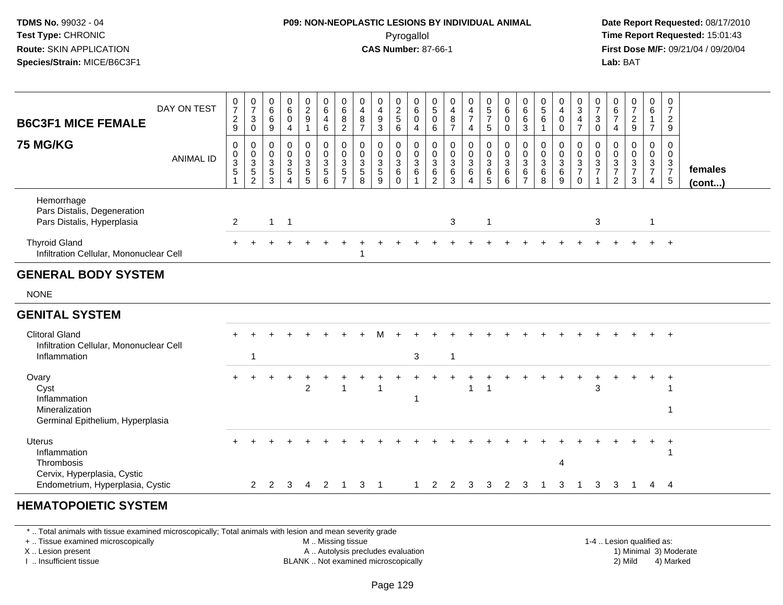## **P09: NON-NEOPLASTIC LESIONS BY INDIVIDUAL ANIMAL**Pyrogallol **Time Report Requested:** 15:01:43

 **Date Report Requested:** 08/17/2010 **First Dose M/F:** 09/21/04 / 09/20/04<br>**Lab:** BAT **Lab:** BAT

| <b>B6C3F1 MICE FEMALE</b>                                                           | DAY ON TEST      | $\frac{0}{7}$<br>$\sqrt{2}$<br>$\boldsymbol{9}$ | $\frac{0}{7}$<br>$\mathbf{3}$<br>$\mathsf{O}$       | $\begin{matrix} 0 \\ 6 \end{matrix}$<br>6<br>9 | $\begin{matrix} 0 \\ 6 \end{matrix}$<br>$\mathsf 0$<br>$\overline{4}$     | $\begin{array}{c} 0 \\ 2 \\ 9 \end{array}$<br>$\mathbf{1}$ | $\begin{array}{c} 0 \\ 6 \end{array}$<br>$\overline{4}$<br>$\ddot{6}$ | $\begin{array}{c} 0 \\ 6 \end{array}$<br>8<br>$\overline{2}$ | 0<br>$\overline{4}$<br>8<br>$\overline{7}$ | $\begin{smallmatrix}0\0\4\end{smallmatrix}$<br>$\boldsymbol{9}$<br>$\overline{3}$ | $\begin{array}{c} 0 \\ 2 \\ 5 \end{array}$<br>6      | $_6^0$<br>$\pmb{0}$<br>$\overline{4}$ | $\begin{array}{c} 0 \\ 5 \end{array}$<br>$\pmb{0}$<br>$6\phantom{a}$ | 0<br>$\overline{4}$<br>$\frac{8}{7}$            | $\begin{smallmatrix} 0\\4 \end{smallmatrix}$<br>$\overline{7}$<br>$\overline{4}$ | $\begin{array}{c} 0 \\ 5 \end{array}$<br>$\overline{7}$<br>5 | $\begin{array}{c} 0 \\ 6 \end{array}$<br>$\pmb{0}$<br>$\boldsymbol{0}$ | $\begin{array}{c} 0 \\ 6 \end{array}$<br>6<br>$\overline{3}$        | $\begin{smallmatrix}0\0\5\end{smallmatrix}$<br>$\,6\,$<br>$\mathbf{1}$ | $\begin{smallmatrix}0\0\4\end{smallmatrix}$<br>$\pmb{0}$<br>$\mathbf 0$ | $\frac{0}{3}$<br>$\overline{4}$<br>$\overline{7}$   | $\frac{0}{7}$<br>$\mathbf{3}$<br>$\overline{0}$                | 0<br>6<br>$\overline{7}$<br>4                                        | $\frac{0}{7}$<br>$\frac{2}{9}$                                      | $_6^0$<br>$\mathbf{1}$<br>$\overline{7}$ | $\frac{0}{7}$<br>$\frac{2}{9}$                                      |                         |
|-------------------------------------------------------------------------------------|------------------|-------------------------------------------------|-----------------------------------------------------|------------------------------------------------|---------------------------------------------------------------------------|------------------------------------------------------------|-----------------------------------------------------------------------|--------------------------------------------------------------|--------------------------------------------|-----------------------------------------------------------------------------------|------------------------------------------------------|---------------------------------------|----------------------------------------------------------------------|-------------------------------------------------|----------------------------------------------------------------------------------|--------------------------------------------------------------|------------------------------------------------------------------------|---------------------------------------------------------------------|------------------------------------------------------------------------|-------------------------------------------------------------------------|-----------------------------------------------------|----------------------------------------------------------------|----------------------------------------------------------------------|---------------------------------------------------------------------|------------------------------------------|---------------------------------------------------------------------|-------------------------|
| <b>75 MG/KG</b>                                                                     | <b>ANIMAL ID</b> | 0<br>$_{3}^{\rm 0}$<br>5                        | 0<br>$\frac{0}{3}$<br>$\,$ 5 $\,$<br>$\overline{2}$ | 0<br>0<br>3<br>$\,$ 5 $\,$<br>3                | 0<br>$\pmb{0}$<br>$\overline{3}$<br>$\mathbf 5$<br>$\boldsymbol{\Lambda}$ | $\mathbf 0$<br>$\frac{0}{3}$<br>$\frac{5}{5}$              | $\mathbf 0$<br>$\frac{0}{3}$<br>$\frac{5}{6}$                         | $\mathbf 0$<br>$\frac{0}{3}$<br>$\frac{5}{7}$                | 0<br>$\mathbf 0$<br>3<br>5<br>8            | $\mathbf 0$<br>$\frac{0}{3}$<br>$\frac{5}{9}$                                     | $\mathbf{0}$<br>0<br>$\overline{3}$<br>6<br>$\Omega$ | 0<br>$\frac{0}{3}$<br>$\,6\,$         | 0<br>$\frac{0}{3}$<br>$\,6\,$<br>$\overline{2}$                      | 0<br>$\frac{0}{3}$<br>$\,6\,$<br>$\overline{3}$ | $\mathbf 0$<br>$_{3}^{\rm 0}$<br>$\,6\,$<br>$\boldsymbol{\Lambda}$               | 0<br>$\mathbf 0$<br>$\overline{3}$<br>$\,6\,$<br>5           | 0<br>$\frac{0}{3}$<br>6<br>$6\phantom{a}$                              | $\mathbf 0$<br>$\mathbf 0$<br>$\overline{3}$<br>6<br>$\overline{ }$ | 0<br>$\pmb{0}$<br>$\sqrt{3}$<br>$\,6\,$<br>8                           | $\mathbf 0$<br>$\frac{0}{3}$<br>$\,6\,$<br>9                            | 0<br>$\frac{0}{3}$<br>$\overline{7}$<br>$\mathbf 0$ | $\mathbf 0$<br>$\frac{0}{3}$<br>$\overline{7}$<br>$\mathbf{1}$ | 0<br>$\mathbf 0$<br>$\mathbf{3}$<br>$\overline{7}$<br>$\overline{2}$ | $\mathbf 0$<br>$\mathbf 0$<br>$\overline{3}$<br>$\overline{7}$<br>3 | 0<br>$\frac{0}{3}$<br>$\overline{4}$     | $\mathbf 0$<br>$\mathbf 0$<br>3<br>$\overline{7}$<br>$\overline{5}$ | females<br>$($ cont $)$ |
| Hemorrhage<br>Pars Distalis, Degeneration<br>Pars Distalis, Hyperplasia             |                  | $\overline{2}$                                  |                                                     | $\mathbf{1}$                                   | $\mathbf{1}$                                                              |                                                            |                                                                       |                                                              |                                            |                                                                                   |                                                      |                                       |                                                                      | 3                                               |                                                                                  | $\mathbf{1}$                                                 |                                                                        |                                                                     |                                                                        |                                                                         |                                                     | 3                                                              |                                                                      |                                                                     | $\mathbf{1}$                             |                                                                     |                         |
| <b>Thyroid Gland</b><br>Infiltration Cellular, Mononuclear Cell                     |                  |                                                 |                                                     |                                                |                                                                           |                                                            |                                                                       |                                                              |                                            |                                                                                   |                                                      |                                       |                                                                      |                                                 |                                                                                  |                                                              |                                                                        |                                                                     |                                                                        |                                                                         |                                                     |                                                                |                                                                      |                                                                     |                                          | $+$                                                                 |                         |
| <b>GENERAL BODY SYSTEM</b>                                                          |                  |                                                 |                                                     |                                                |                                                                           |                                                            |                                                                       |                                                              |                                            |                                                                                   |                                                      |                                       |                                                                      |                                                 |                                                                                  |                                                              |                                                                        |                                                                     |                                                                        |                                                                         |                                                     |                                                                |                                                                      |                                                                     |                                          |                                                                     |                         |
| <b>NONE</b>                                                                         |                  |                                                 |                                                     |                                                |                                                                           |                                                            |                                                                       |                                                              |                                            |                                                                                   |                                                      |                                       |                                                                      |                                                 |                                                                                  |                                                              |                                                                        |                                                                     |                                                                        |                                                                         |                                                     |                                                                |                                                                      |                                                                     |                                          |                                                                     |                         |
| <b>GENITAL SYSTEM</b>                                                               |                  |                                                 |                                                     |                                                |                                                                           |                                                            |                                                                       |                                                              |                                            |                                                                                   |                                                      |                                       |                                                                      |                                                 |                                                                                  |                                                              |                                                                        |                                                                     |                                                                        |                                                                         |                                                     |                                                                |                                                                      |                                                                     |                                          |                                                                     |                         |
| <b>Clitoral Gland</b>                                                               |                  |                                                 |                                                     |                                                |                                                                           |                                                            |                                                                       |                                                              |                                            |                                                                                   |                                                      |                                       |                                                                      |                                                 |                                                                                  |                                                              |                                                                        |                                                                     |                                                                        |                                                                         |                                                     |                                                                |                                                                      |                                                                     | $+$                                      | $+$                                                                 |                         |
| Infiltration Cellular, Mononuclear Cell<br>Inflammation                             |                  |                                                 | 1                                                   |                                                |                                                                           |                                                            |                                                                       |                                                              |                                            |                                                                                   |                                                      | 3                                     |                                                                      | -1                                              |                                                                                  |                                                              |                                                                        |                                                                     |                                                                        |                                                                         |                                                     |                                                                |                                                                      |                                                                     |                                          |                                                                     |                         |
| Ovary<br>Cyst<br>Inflammation<br>Mineralization<br>Germinal Epithelium, Hyperplasia |                  |                                                 |                                                     |                                                |                                                                           | $\overline{2}$                                             |                                                                       | $\overline{1}$                                               |                                            |                                                                                   |                                                      |                                       |                                                                      |                                                 | 1                                                                                | 1                                                            |                                                                        |                                                                     |                                                                        |                                                                         |                                                     | 3                                                              |                                                                      |                                                                     |                                          | $\overline{+}$                                                      |                         |
| <b>Uterus</b><br>Inflammation<br>Thrombosis<br>Cervix, Hyperplasia, Cystic          |                  |                                                 |                                                     |                                                |                                                                           |                                                            |                                                                       |                                                              |                                            |                                                                                   |                                                      |                                       |                                                                      |                                                 |                                                                                  |                                                              |                                                                        |                                                                     |                                                                        | Δ                                                                       |                                                     |                                                                |                                                                      |                                                                     |                                          | $\ddot{}$                                                           |                         |
| Endometrium, Hyperplasia, Cystic                                                    |                  |                                                 | $\mathbf{2}^{\circ}$                                | 2                                              | 3                                                                         | 4                                                          | 2                                                                     | $\overline{1}$                                               | 3                                          | -1                                                                                |                                                      |                                       | 2                                                                    | 2                                               | 3                                                                                | 3                                                            | 2                                                                      | 3                                                                   |                                                                        | 3                                                                       |                                                     | 3                                                              | 3                                                                    | 1                                                                   | 4                                        | - 4                                                                 |                         |
|                                                                                     |                  |                                                 |                                                     |                                                |                                                                           |                                                            |                                                                       |                                                              |                                            |                                                                                   |                                                      |                                       |                                                                      |                                                 |                                                                                  |                                                              |                                                                        |                                                                     |                                                                        |                                                                         |                                                     |                                                                |                                                                      |                                                                     |                                          |                                                                     |                         |

#### **HEMATOPOIETIC SYSTEM**

\* .. Total animals with tissue examined microscopically; Total animals with lesion and mean severity grade

+ .. Tissue examined microscopically

X .. Lesion present

I .. Insufficient tissue

 M .. Missing tissueA .. Autolysis precludes evaluation

 1-4 .. Lesion qualified as: BLANK .. Not examined microscopically 2) Mild 4) Marked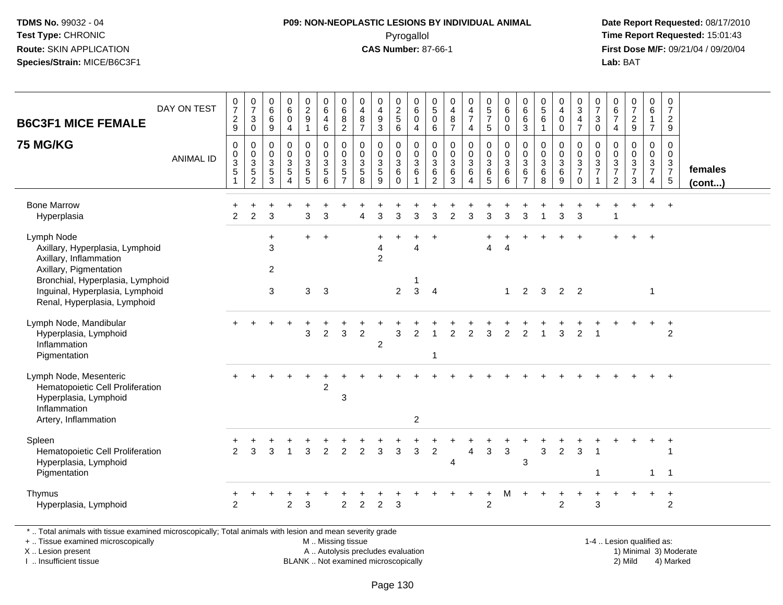# **P09: NON-NEOPLASTIC LESIONS BY INDIVIDUAL ANIMAL**Pyrogallol **Time Report Requested:** 15:01:43

 **Date Report Requested:** 08/17/2010 **First Dose M/F:** 09/21/04 / 09/20/04<br>**Lab:** BAT **Lab:** BAT

| <b>B6C3F1 MICE FEMALE</b>                                                                                                                                                                                | DAY ON TEST      | $\frac{0}{7}$<br>$\frac{2}{9}$           | $\frac{0}{7}$<br>$\mathbf{3}$<br>$\mathsf{O}\xspace$ | 0<br>$6\overline{6}$<br>6<br>9                              | 0<br>$6\phantom{a}$<br>0<br>$\overline{4}$            | $\begin{array}{c} 0 \\ 2 \\ 9 \end{array}$<br>$\mathbf{1}$ | 0<br>$\,6\,$<br>4<br>6                        | $068$<br>2                                                   | 0<br>$\overline{4}$<br>$\bf8$<br>$\overline{7}$ | 0<br>$\overline{4}$<br>$\boldsymbol{9}$<br>$\overline{3}$ | 0<br>$\frac{2}{5}$<br>$6\overline{6}$                         | 0<br>$\,6$<br>0<br>$\overline{4}$                     | 0<br>$\overline{5}$<br>$\mathbf 0$<br>6                           | 0<br>$\overline{\mathbf{4}}$<br>$\bf 8$<br>$\overline{7}$ | $\begin{array}{c} 0 \\ 4 \\ 7 \end{array}$<br>4 | $\begin{array}{c} 0 \\ 5 \\ 7 \end{array}$<br>5              | $\begin{array}{c} 0 \\ 6 \end{array}$<br>0<br>0                   | $\begin{matrix} 0 \\ 6 \\ 6 \end{matrix}$<br>$\mathbf{3}$ | $\begin{array}{c} 0 \\ 5 \end{array}$<br>$\,6\,$<br>$\mathbf{1}$ | 0<br>$\overline{4}$<br>$\pmb{0}$<br>$\mathsf{O}\xspace$ | $_{3}^{\rm 0}$<br>$\frac{4}{7}$                          | $\frac{0}{7}$<br>3<br>0                  | $_{6}^{\rm 0}$<br>$\overline{7}$<br>4                | $\begin{smallmatrix}0\\7\end{smallmatrix}$<br>$\frac{2}{9}$ | $\begin{array}{c} 0 \\ 6 \end{array}$<br>$\mathbf{1}$<br>$\overline{7}$ | $\frac{0}{7}$<br>$\overline{2}$<br>9                           |                   |
|----------------------------------------------------------------------------------------------------------------------------------------------------------------------------------------------------------|------------------|------------------------------------------|------------------------------------------------------|-------------------------------------------------------------|-------------------------------------------------------|------------------------------------------------------------|-----------------------------------------------|--------------------------------------------------------------|-------------------------------------------------|-----------------------------------------------------------|---------------------------------------------------------------|-------------------------------------------------------|-------------------------------------------------------------------|-----------------------------------------------------------|-------------------------------------------------|--------------------------------------------------------------|-------------------------------------------------------------------|-----------------------------------------------------------|------------------------------------------------------------------|---------------------------------------------------------|----------------------------------------------------------|------------------------------------------|------------------------------------------------------|-------------------------------------------------------------|-------------------------------------------------------------------------|----------------------------------------------------------------|-------------------|
| 75 MG/KG                                                                                                                                                                                                 | <b>ANIMAL ID</b> | 0<br>0<br>$\ensuremath{\mathsf{3}}$<br>5 | 0<br>$0$<br>$3$<br>$5$<br>$2$                        | $\mathbf 0$<br>$\mathbf 0$<br>$\mathbf{3}$<br>$\frac{5}{3}$ | 0<br>$\mathbf 0$<br>3<br>$\sqrt{5}$<br>$\overline{4}$ | 0<br>0<br>$\frac{3}{5}$                                    | 0<br>0<br>$\ensuremath{\mathsf{3}}$<br>5<br>6 | 0<br>$\pmb{0}$<br>$\ensuremath{\mathsf{3}}$<br>$\frac{5}{7}$ | 0<br>0<br>$\sqrt{3}$<br>5<br>8                  | 0<br>0<br>$\frac{3}{5}$<br>9                              | 0<br>0<br>$\ensuremath{\mathsf{3}}$<br>$\,6\,$<br>$\mathbf 0$ | 0<br>$\mathbf 0$<br>$\sqrt{3}$<br>6<br>$\overline{1}$ | $\mathbf 0$<br>$\mathbf 0$<br>$\mathbf{3}$<br>6<br>$\overline{c}$ | $\mathbf 0$<br>$\mathbf 0$<br>$\sqrt{3}$<br>6<br>3        | 0<br>0<br>$\mathbf{3}$<br>6<br>$\overline{4}$   | $\pmb{0}$<br>$\begin{array}{c} 0 \\ 3 \\ 6 \\ 5 \end{array}$ | 0<br>$\mathbf 0$<br>$\ensuremath{\mathsf{3}}$<br>$\,6$<br>$\,6\,$ | 0<br>0<br>$\ensuremath{\mathsf{3}}$<br>$\frac{6}{7}$      | $\mathbf 0$<br>0<br>$\ensuremath{\mathsf{3}}$<br>$\,6\,$<br>8    | 0<br>0<br>3<br>$^6_9$                                   | 0<br>$\mathbf 0$<br>$\frac{3}{7}$<br>$\mathsf{O}\xspace$ | 0<br>0<br>$\mathbf{3}$<br>$\overline{7}$ | 0<br>0<br>$\begin{array}{c} 3 \\ 7 \\ 2 \end{array}$ | $\mathbf 0$<br>$\pmb{0}$<br>$\frac{3}{7}$<br>$\mathbf{3}$   | 0<br>$\begin{array}{c} 0 \\ 3 \\ 7 \end{array}$<br>4                    | 0<br>$\mathbf 0$<br>$\begin{array}{c} 3 \\ 7 \\ 5 \end{array}$ | females<br>(cont) |
| <b>Bone Marrow</b><br>Hyperplasia                                                                                                                                                                        |                  | +<br>$\overline{2}$                      | $\ddot{}$<br>$\overline{2}$                          | 3                                                           |                                                       | 3                                                          | 3                                             |                                                              | 4                                               | 3                                                         | 3                                                             | 3                                                     | 3                                                                 | $\overline{2}$                                            | 3                                               | 3                                                            | 3                                                                 | 3                                                         | $\overline{1}$                                                   | 3                                                       | 3                                                        |                                          |                                                      | $\ddot{}$                                                   | $\ddot{}$                                                               | $+$                                                            |                   |
| Lymph Node<br>Axillary, Hyperplasia, Lymphoid<br>Axillary, Inflammation<br>Axillary, Pigmentation<br>Bronchial, Hyperplasia, Lymphoid<br>Inguinal, Hyperplasia, Lymphoid<br>Renal, Hyperplasia, Lymphoid |                  |                                          |                                                      | $\ddot{}$<br>3<br>$\overline{2}$<br>3                       |                                                       | $\ddot{}$<br>3                                             | $+$<br>$\mathbf{3}$                           |                                                              |                                                 | $\ddot{}$<br>$\overline{4}$<br>$\overline{2}$             | ٠<br>$\overline{2}$                                           | ÷<br>4<br>-1<br>$\mathbf{3}$                          | $\ddot{}$<br>$\overline{4}$                                       |                                                           |                                                 | $\overline{4}$                                               | $\overline{4}$<br>$\mathbf{1}$                                    | 2                                                         | 3                                                                | 2                                                       | $\ddot{}$<br>$\overline{2}$                              |                                          |                                                      | $\ddot{}$                                                   | $+$<br>$\overline{1}$                                                   |                                                                |                   |
| Lymph Node, Mandibular<br>Hyperplasia, Lymphoid<br>Inflammation<br>Pigmentation                                                                                                                          |                  |                                          |                                                      |                                                             |                                                       | 3                                                          | $\overline{2}$                                | 3                                                            | $\overline{c}$                                  | $\overline{c}$                                            | 3                                                             | $\overline{2}$                                        | 1<br>1                                                            | 2                                                         | $\overline{2}$                                  | 3                                                            | $\overline{2}$                                                    | 2                                                         | 1                                                                | 3                                                       | 2                                                        |                                          |                                                      |                                                             |                                                                         | +<br>$\overline{c}$                                            |                   |
| Lymph Node, Mesenteric<br>Hematopoietic Cell Proliferation<br>Hyperplasia, Lymphoid<br>Inflammation<br>Artery, Inflammation                                                                              |                  |                                          |                                                      |                                                             |                                                       |                                                            | $\overline{2}$                                | 3                                                            |                                                 |                                                           |                                                               | $\overline{2}$                                        |                                                                   |                                                           |                                                 |                                                              |                                                                   |                                                           |                                                                  |                                                         |                                                          |                                          |                                                      |                                                             |                                                                         | $\ddot{}$                                                      |                   |
| Spleen<br>Hematopoietic Cell Proliferation<br>Hyperplasia, Lymphoid<br>Pigmentation                                                                                                                      |                  | $\overline{2}$                           | 3                                                    | 3                                                           | $\overline{1}$                                        | 3                                                          | 2                                             | $\overline{2}$                                               | $\overline{2}$                                  | 3                                                         | 3                                                             | 3                                                     | $\overline{2}$                                                    | 4                                                         | $\overline{4}$                                  | $\mathbf{3}$                                                 | $\mathbf{3}$                                                      | 3                                                         | 3                                                                | $\overline{2}$                                          | 3                                                        | $\overline{1}$<br>$\overline{1}$         |                                                      |                                                             | +<br>$\mathbf{1}$                                                       | $\ddot{}$<br>1<br>$\overline{1}$                               |                   |
| Thymus<br>Hyperplasia, Lymphoid<br>*  Total animals with tissue examined microscopically; Total animals with lesion and mean severity grade                                                              |                  | $\overline{2}$                           |                                                      |                                                             | $\overline{c}$                                        | $\mathbf{3}$                                               |                                               | $\overline{c}$                                               | $\overline{2}$                                  | $\overline{c}$                                            | $\mathbf{3}$                                                  |                                                       |                                                                   |                                                           | $\ddot{}$                                       | $\ddot{}$<br>$\overline{c}$                                  | M                                                                 |                                                           |                                                                  | $\overline{c}$                                          |                                                          | $\overline{1}$<br>3                      |                                                      | $\overline{1}$                                              | $\ddot{}$                                                               | $\ddot{}$<br>$\overline{c}$                                    |                   |

+ .. Tissue examined microscopically

X .. Lesion present

I .. Insufficient tissue

 M .. Missing tissueA .. Autolysis precludes evaluation 1) Minimal 3 ... Autolysis precludes evaluation 1, and 30 ... (1) Minimal 3<br>1) Minimal 30 ... Autor microscopically 1990 ... (1) Minimal 30 ... (1) Minimal 30 ... (1) Minimal 30 ... (1)

BLANK .. Not examined microscopically 2) Mild 4) Marked

1-4 .. Lesion qualified as: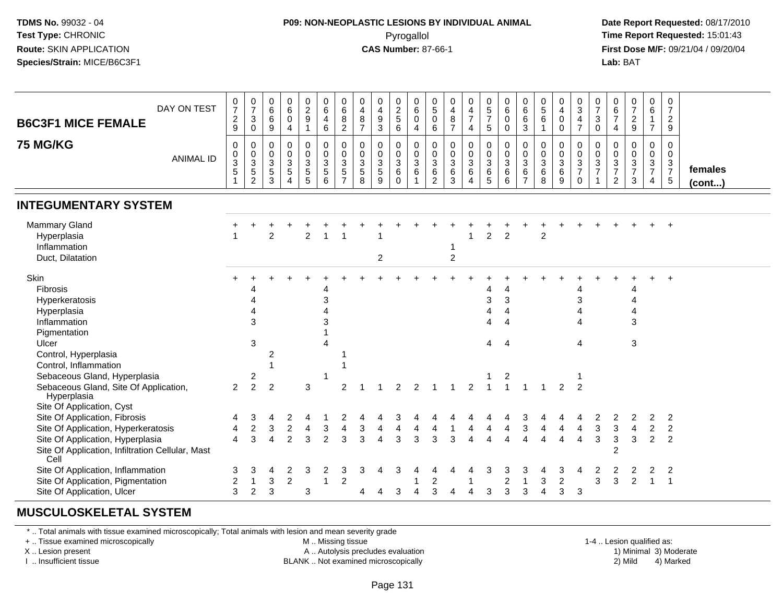### **P09: NON-NEOPLASTIC LESIONS BY INDIVIDUAL ANIMAL**Pyrogallol **Time Report Requested:** 15:01:43

 **Date Report Requested:** 08/17/2010 **First Dose M/F:** 09/21/04 / 09/20/04<br>**Lab:** BAT **Lab:** BAT

| <b>B6C3F1 MICE FEMALE</b>                                                                                                                                            | DAY ON TEST      | $\frac{0}{7}$<br>$\overline{c}$<br>9           | $\frac{0}{7}$<br>$\sqrt{3}$<br>$\pmb{0}$                          | $\begin{matrix} 0 \\ 6 \\ 6 \end{matrix}$<br>9 | $\begin{array}{c} 0 \\ 6 \end{array}$<br>$\mathbf 0$<br>$\overline{4}$ | $\pmb{0}$<br>$\frac{2}{9}$<br>$\mathbf{1}$      | 0<br>$\,6\,$<br>$\overline{4}$<br>6         | 0<br>$\frac{6}{8}$<br>$\overline{2}$                                        | 0<br>$\overline{4}$<br>$\bf 8$<br>$\overline{7}$    | $\mathbf 0$<br>$\overline{4}$<br>$\boldsymbol{9}$<br>$\mathbf{3}$ | 0<br>$\frac{2}{5}$<br>$\,6\,$                            | $\pmb{0}$<br>$\,6\,$<br>$\mathbf 0$<br>$\overline{4}$                     | $\begin{matrix} 0 \\ 5 \end{matrix}$<br>$\mathsf{O}\xspace$<br>6 | 0<br>$\overline{\mathbf{4}}$<br>$\bf 8$<br>$\overline{7}$  | $\pmb{0}$<br>$\frac{4}{7}$<br>$\overline{4}$            | $\begin{array}{c} 0 \\ 5 \\ 7 \end{array}$<br>$\sqrt{5}$ | 0<br>$\,6\,$<br>$\mathbf 0$<br>$\mathbf 0$       | $\pmb{0}$<br>$\,6\,$<br>$6\phantom{a}$<br>$\mathbf{3}$          | $\begin{array}{c} 0 \\ 5 \\ 6 \end{array}$<br>$\mathbf{1}$ | 0<br>$\overline{4}$<br>$\overline{0}$<br>$\mathbf 0$  | $\begin{array}{c} 0 \\ 3 \\ 4 \end{array}$<br>$\overline{7}$ | 0<br>$\boldsymbol{7}$<br>$\sqrt{3}$<br>$\mathbf 0$ | 0<br>$\frac{6}{7}$<br>4                                            | $\frac{0}{7}$<br>$\frac{2}{9}$                           | 0<br>6<br>$\mathbf{1}$<br>$\overline{7}$                           | $\mathbf 0$<br>$\overline{7}$<br>$\overline{2}$<br>9          |                   |
|----------------------------------------------------------------------------------------------------------------------------------------------------------------------|------------------|------------------------------------------------|-------------------------------------------------------------------|------------------------------------------------|------------------------------------------------------------------------|-------------------------------------------------|---------------------------------------------|-----------------------------------------------------------------------------|-----------------------------------------------------|-------------------------------------------------------------------|----------------------------------------------------------|---------------------------------------------------------------------------|------------------------------------------------------------------|------------------------------------------------------------|---------------------------------------------------------|----------------------------------------------------------|--------------------------------------------------|-----------------------------------------------------------------|------------------------------------------------------------|-------------------------------------------------------|--------------------------------------------------------------|----------------------------------------------------|--------------------------------------------------------------------|----------------------------------------------------------|--------------------------------------------------------------------|---------------------------------------------------------------|-------------------|
| <b>75 MG/KG</b>                                                                                                                                                      | <b>ANIMAL ID</b> | 0<br>$\frac{0}{3}$<br>5                        | 0<br>$\begin{array}{c} 0 \\ 3 \\ 5 \end{array}$<br>$\overline{c}$ | $\mathbf 0$<br>$_{3}^{\rm 0}$<br>$\frac{5}{3}$ | $\pmb{0}$<br>$\frac{0}{3}$<br>$\,$ 5 $\,$<br>$\overline{4}$            | 0<br>$\pmb{0}$<br>$\mathbf{3}$<br>$\frac{5}{5}$ | $\pmb{0}$<br>$\frac{0}{3}$<br>$\frac{5}{6}$ | $\mathbf 0$<br>$\mathbf 0$<br>$\mathbf{3}$<br>$\,$ 5 $\,$<br>$\overline{7}$ | $\mathbf 0$<br>0<br>$\mathbf{3}$<br>$\sqrt{5}$<br>8 | $\mathbf 0$<br>$\frac{0}{3}$<br>$\sqrt{5}$<br>9                   | 0<br>$\pmb{0}$<br>$\mathbf{3}$<br>$\,6\,$<br>$\mathbf 0$ | $\mathbf 0$<br>$\mathbf 0$<br>$\overline{3}$<br>$\,6\,$<br>$\overline{1}$ | 0<br>0<br>$\mathbf{3}$<br>6<br>2                                 | $\mathbf 0$<br>$\pmb{0}$<br>$\overline{3}$<br>$\,6\,$<br>3 | $\pmb{0}$<br>$\frac{0}{3}$<br>$\,6\,$<br>$\overline{4}$ | $\mathbf 0$<br>$\mathbf 0$<br>$\mathbf{3}$<br>6<br>5     | $\pmb{0}$<br>$\mathbf 0$<br>$\sqrt{3}$<br>6<br>6 | $\mathbf 0$<br>$\pmb{0}$<br>$\mathbf{3}$<br>6<br>$\overline{7}$ | $\mathbf 0$<br>$\pmb{0}$<br>$\overline{3}$<br>$\,6\,$<br>8 | $\mathbf{0}$<br>$\mathbf 0$<br>$\mathbf{3}$<br>6<br>9 | 0<br>$\frac{0}{3}$<br>$\mathbf 0$                            | 0<br>$\pmb{0}$<br>$\overline{3}$<br>$\overline{7}$ | 0<br>$\pmb{0}$<br>$\sqrt{3}$<br>$\boldsymbol{7}$<br>$\overline{2}$ | $\mathbf 0$<br>$\mathsf{O}\xspace$<br>$\frac{3}{7}$<br>3 | 0<br>$\pmb{0}$<br>$\mathbf{3}$<br>$\overline{7}$<br>$\overline{4}$ | $\mathbf 0$<br>$\mathbf 0$<br>$\overline{3}$<br>$\frac{7}{5}$ | females<br>(cont) |
| <b>INTEGUMENTARY SYSTEM</b>                                                                                                                                          |                  |                                                |                                                                   |                                                |                                                                        |                                                 |                                             |                                                                             |                                                     |                                                                   |                                                          |                                                                           |                                                                  |                                                            |                                                         |                                                          |                                                  |                                                                 |                                                            |                                                       |                                                              |                                                    |                                                                    |                                                          |                                                                    |                                                               |                   |
| Mammary Gland<br>Hyperplasia<br>Inflammation<br>Duct, Dilatation                                                                                                     |                  |                                                |                                                                   | $\overline{2}$                                 |                                                                        | $\overline{2}$                                  |                                             |                                                                             |                                                     | $\overline{c}$                                                    |                                                          |                                                                           |                                                                  | $\overline{c}$                                             | -1                                                      | $\overline{a}$                                           | 2                                                |                                                                 | $\overline{c}$                                             |                                                       |                                                              |                                                    |                                                                    |                                                          |                                                                    |                                                               |                   |
| Skin<br>Fibrosis<br>Hyperkeratosis<br>Hyperplasia<br>Inflammation<br>Pigmentation<br>Ulcer<br>Control, Hyperplasia<br>Control, Inflammation                          |                  |                                                | 3<br>3                                                            | 2                                              |                                                                        |                                                 | 4<br>3<br>3<br>$\boldsymbol{\Lambda}$       |                                                                             |                                                     |                                                                   |                                                          |                                                                           |                                                                  |                                                            |                                                         | 4<br>3<br>4<br>4<br>4                                    | 4<br>3<br>4<br>4<br>$\overline{4}$               |                                                                 |                                                            |                                                       | 4<br>$\mathsf 3$<br>$\overline{4}$<br>4<br>4                 |                                                    |                                                                    | 4<br>4<br>Δ<br>3<br>3                                    |                                                                    |                                                               |                   |
| Sebaceous Gland, Hyperplasia<br>Sebaceous Gland, Site Of Application,<br>Hyperplasia<br>Site Of Application, Cyst                                                    |                  | $\overline{2}$                                 | 2<br>$\overline{c}$                                               | $\overline{2}$                                 |                                                                        | 3                                               | -1                                          | 2                                                                           |                                                     |                                                                   | 2                                                        | 2                                                                         |                                                                  |                                                            | 2                                                       |                                                          | 2<br>$\overline{1}$                              |                                                                 |                                                            | 2                                                     | $\overline{2}$                                               |                                                    |                                                                    |                                                          |                                                                    |                                                               |                   |
| Site Of Application, Fibrosis<br>Site Of Application, Hyperkeratosis<br>Site Of Application, Hyperplasia<br>Site Of Application, Infiltration Cellular, Mast<br>Cell |                  | 4<br>$\overline{\mathbf{4}}$<br>$\overline{4}$ | 3<br>$\boldsymbol{2}$<br>3                                        | 4<br>3<br>$\overline{4}$                       | 2<br>$\overline{c}$<br>$\overline{2}$                                  | 4<br>$\overline{\mathbf{4}}$<br>$\mathbf{3}$    | 3<br>$\overline{c}$                         | 2<br>$\overline{4}$<br>3                                                    | 3<br>3                                              | $\overline{4}$<br>$\overline{4}$                                  | 3<br>4<br>3                                              | 4<br>3                                                                    | 4<br>3                                                           | 3                                                          | 4<br>$\overline{A}$                                     | 4<br>4                                                   | 4<br>4                                           | 3<br>$\ensuremath{\mathsf{3}}$<br>$\overline{4}$                | 4                                                          | $\overline{4}$<br>$\overline{4}$                      | 4<br>4                                                       | 2<br>$\sqrt{3}$<br>3                               | 2<br>3<br>$\mathbf{3}$<br>$\overline{c}$                           | 2<br>$\overline{4}$<br>$\mathbf{3}$                      | 2<br>$\overline{2}$<br>$\overline{2}$                              | $\overline{2}$<br>$\boldsymbol{2}$<br>$\overline{2}$          |                   |
| Site Of Application, Inflammation<br>Site Of Application, Pigmentation<br>Site Of Application, Ulcer                                                                 |                  | 3<br>$\overline{c}$<br>3                       | 3<br>$\mathbf 1$<br>2                                             | 4<br>3<br>3                                    | $\overline{2}$<br>$\overline{2}$                                       | 3<br>3                                          | 2<br>-1                                     | 3<br>$\overline{2}$                                                         | 3<br>4                                              | 4                                                                 | 3<br>3                                                   | 4                                                                         | 2<br>3                                                           | 4                                                          | $\overline{4}$                                          | 3<br>3                                                   | 3<br>$\overline{2}$<br>3                         | 3<br>1<br>3                                                     | 3                                                          | 3<br>$\boldsymbol{2}$<br>3                            | 4<br>3                                                       | 2<br>3                                             | 2<br>3                                                             | 2                                                        | $\overline{2}$<br>$\mathbf{1}$                                     | $\overline{2}$<br>-1                                          |                   |

#### **MUSCULOSKELETAL SYSTEM**

\* .. Total animals with tissue examined microscopically; Total animals with lesion and mean severity grade

+ .. Tissue examined microscopically

X .. Lesion present

I .. Insufficient tissue

M .. Missing tissue

A .. Autolysis precludes evaluation

BLANK .. Not examined microscopically 2) Mild 4) Marked

1-4 .. Lesion qualified as:<br>1) Minimal 3) Moderate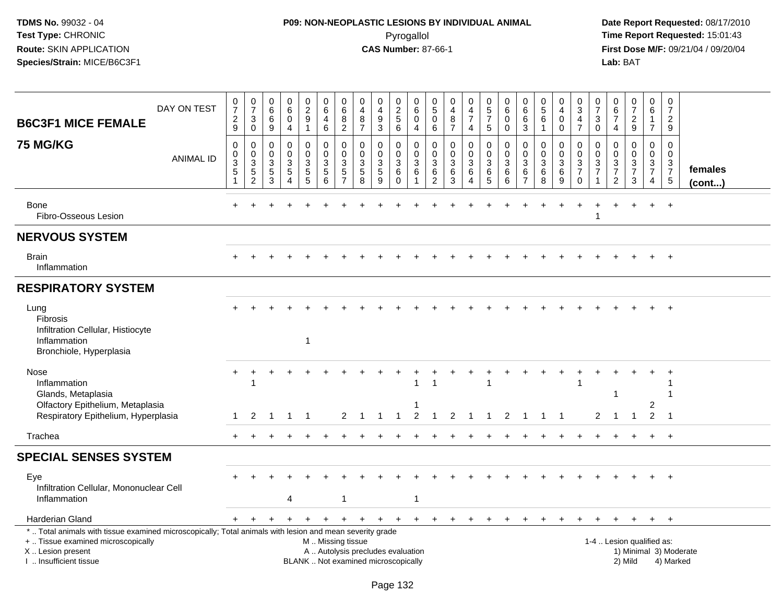# **P09: NON-NEOPLASTIC LESIONS BY INDIVIDUAL ANIMAL**Pyrogallol **Time Report Requested:** 15:01:43

| DAY ON TEST<br><b>B6C3F1 MICE FEMALE</b>                                                                                                                                                      | $\frac{0}{7}$<br>2<br>$\boldsymbol{9}$ | $\frac{0}{7}$<br>3<br>$\overline{0}$                          | $\boldsymbol{0}$<br>6<br>6<br>$\overline{9}$         | 0<br>$6\phantom{a}$<br>0<br>$\overline{4}$                  | $\begin{smallmatrix} 0\\2 \end{smallmatrix}$<br>$9\,$<br>$\overline{1}$ | 0<br>6<br>$\overline{4}$<br>$\,6\,$      | 0<br>6<br>8<br>$\overline{2}$                                                  | 0<br>$\overline{4}$<br>8<br>$\overline{7}$                               | 0<br>$\overline{4}$<br>9<br>$\mathbf{3}$                | $\boldsymbol{0}$<br>$\frac{2}{5}$<br>$6\overline{6}$         | 0<br>6<br>$\mathbf 0$<br>$\overline{4}$        | $\mathbf 0$<br>$\sqrt{5}$<br>$\mathbf 0$<br>$\,6\,$               | 0<br>$\overline{\mathbf{4}}$<br>8<br>$\overline{7}$      | 0<br>$\overline{\mathbf{4}}$<br>$\overline{7}$<br>$\overline{4}$ | $\begin{array}{c} 0 \\ 5 \\ 7 \end{array}$<br>5 | 0<br>$6\phantom{1}6$<br>0<br>$\mathbf 0$   | $\pmb{0}$<br>$6\overline{6}$<br>6<br>$\mathfrak{Z}$                   | $\begin{array}{c} 0 \\ 5 \end{array}$<br>$\,6\,$<br>$\mathbf{1}$   | 0<br>$\overline{4}$<br>$\mathbf 0$<br>$\mathbf 0$ | 0<br>$\sqrt{3}$<br>$\overline{4}$<br>$\overline{7}$              | 0<br>$\overline{7}$<br>3<br>$\mathbf 0$                                            | $_6^0$<br>$\overline{7}$<br>$\overline{4}$                              | $\frac{0}{7}$<br>$\frac{2}{9}$                                                     | $\pmb{0}$<br>$6\phantom{1}$<br>1<br>$\overline{7}$ | $\boldsymbol{0}$<br>$\overline{7}$<br>$\overline{2}$<br>9 |                         |
|-----------------------------------------------------------------------------------------------------------------------------------------------------------------------------------------------|----------------------------------------|---------------------------------------------------------------|------------------------------------------------------|-------------------------------------------------------------|-------------------------------------------------------------------------|------------------------------------------|--------------------------------------------------------------------------------|--------------------------------------------------------------------------|---------------------------------------------------------|--------------------------------------------------------------|------------------------------------------------|-------------------------------------------------------------------|----------------------------------------------------------|------------------------------------------------------------------|-------------------------------------------------|--------------------------------------------|-----------------------------------------------------------------------|--------------------------------------------------------------------|---------------------------------------------------|------------------------------------------------------------------|------------------------------------------------------------------------------------|-------------------------------------------------------------------------|------------------------------------------------------------------------------------|----------------------------------------------------|-----------------------------------------------------------|-------------------------|
| <b>75 MG/KG</b><br><b>ANIMAL ID</b>                                                                                                                                                           | 0<br>$\pmb{0}$<br>3<br>5<br>1          | 0<br>$\pmb{0}$<br>$\sqrt{3}$<br>$\,$ 5 $\,$<br>$\overline{2}$ | 0<br>$\mathsf{O}\xspace$<br>$\sqrt{3}$<br>$5\,$<br>3 | 0<br>$\mathbf 0$<br>$\mathbf{3}$<br>$5\,$<br>$\overline{4}$ | $\mathbf 0$<br>$\mathbf 0$<br>$\mathbf{3}$<br>$\sqrt{5}$<br>5           | 0<br>$\mathbf 0$<br>3<br>$\sqrt{5}$<br>6 | $\mathbf 0$<br>$\mathbf 0$<br>$\ensuremath{\mathsf{3}}$<br>5<br>$\overline{7}$ | 0<br>$\mathbf 0$<br>3<br>$\overline{5}$<br>8                             | 0<br>$\mathbf 0$<br>$\ensuremath{\mathsf{3}}$<br>5<br>9 | 0<br>$\pmb{0}$<br>$\ensuremath{\mathsf{3}}$<br>6<br>$\Omega$ | $\mathbf 0$<br>$\mathbf 0$<br>$\mathsf 3$<br>6 | $\mathbf 0$<br>$\mathbf 0$<br>$\mathbf{3}$<br>6<br>$\overline{2}$ | 0<br>$\mathsf{O}\xspace$<br>$\mathbf{3}$<br>$\,6\,$<br>3 | 0<br>$\mathbf 0$<br>$\sqrt{3}$<br>6<br>$\overline{4}$            | $\mathbf 0$<br>$\pmb{0}$<br>3<br>$\,6$<br>5     | 0<br>$\mathbf 0$<br>$\mathbf{3}$<br>6<br>6 | $\mathbf 0$<br>$\mathbf 0$<br>$\sqrt{3}$<br>$\,6\,$<br>$\overline{7}$ | 0<br>$\pmb{0}$<br>$\ensuremath{\mathsf{3}}$<br>$6\phantom{a}$<br>8 | 0<br>$\mathbf 0$<br>$\sqrt{3}$<br>6<br>9          | $\mathbf 0$<br>$\overline{0}$<br>3<br>$\overline{7}$<br>$\Omega$ | $\mathbf 0$<br>$\mathbf 0$<br>$\sqrt{3}$<br>$\overline{7}$<br>$\blacktriangleleft$ | 0<br>$\overline{0}$<br>$\mathbf{3}$<br>$\overline{7}$<br>$\overline{2}$ | 0<br>$\overline{0}$<br>$\ensuremath{\mathsf{3}}$<br>$\overline{7}$<br>$\mathbf{3}$ | $\mathbf 0$<br>$\mathbf 0$<br>$\frac{3}{7}$<br>4   | $\mathbf 0$<br>$\mathbf 0$<br>$\frac{3}{7}$<br>5          | females<br>$($ cont $)$ |
| Bone<br>Fibro-Osseous Lesion                                                                                                                                                                  |                                        |                                                               |                                                      |                                                             |                                                                         |                                          |                                                                                |                                                                          |                                                         |                                                              |                                                |                                                                   |                                                          |                                                                  |                                                 |                                            |                                                                       |                                                                    |                                                   |                                                                  |                                                                                    |                                                                         |                                                                                    |                                                    |                                                           |                         |
| <b>NERVOUS SYSTEM</b>                                                                                                                                                                         |                                        |                                                               |                                                      |                                                             |                                                                         |                                          |                                                                                |                                                                          |                                                         |                                                              |                                                |                                                                   |                                                          |                                                                  |                                                 |                                            |                                                                       |                                                                    |                                                   |                                                                  |                                                                                    |                                                                         |                                                                                    |                                                    |                                                           |                         |
| <b>Brain</b><br>Inflammation                                                                                                                                                                  |                                        |                                                               |                                                      |                                                             |                                                                         |                                          |                                                                                |                                                                          |                                                         |                                                              |                                                |                                                                   |                                                          |                                                                  |                                                 |                                            |                                                                       |                                                                    |                                                   |                                                                  |                                                                                    |                                                                         |                                                                                    |                                                    |                                                           |                         |
| <b>RESPIRATORY SYSTEM</b>                                                                                                                                                                     |                                        |                                                               |                                                      |                                                             |                                                                         |                                          |                                                                                |                                                                          |                                                         |                                                              |                                                |                                                                   |                                                          |                                                                  |                                                 |                                            |                                                                       |                                                                    |                                                   |                                                                  |                                                                                    |                                                                         |                                                                                    |                                                    |                                                           |                         |
| Lung<br><b>Fibrosis</b><br>Infiltration Cellular, Histiocyte<br>Inflammation<br>Bronchiole, Hyperplasia                                                                                       |                                        |                                                               |                                                      |                                                             | $\overline{1}$                                                          |                                          |                                                                                |                                                                          |                                                         |                                                              |                                                |                                                                   |                                                          |                                                                  |                                                 |                                            |                                                                       |                                                                    |                                                   |                                                                  |                                                                                    |                                                                         |                                                                                    |                                                    |                                                           |                         |
| Nose<br>Inflammation<br>Glands, Metaplasia<br>Olfactory Epithelium, Metaplasia<br>Respiratory Epithelium, Hyperplasia                                                                         | +<br>1                                 | 2                                                             |                                                      |                                                             |                                                                         |                                          | 2                                                                              | -1                                                                       |                                                         | -1                                                           | 2                                              | -1<br>-1                                                          | 2                                                        |                                                                  | -1                                              | 2                                          |                                                                       |                                                                    |                                                   | 1                                                                | 2                                                                                  | -1<br>-1                                                                | $\mathbf{1}$                                                                       | 2<br>$\overline{2}$                                | -1                                                        |                         |
| Trachea                                                                                                                                                                                       |                                        |                                                               |                                                      |                                                             |                                                                         |                                          |                                                                                |                                                                          |                                                         |                                                              |                                                |                                                                   |                                                          |                                                                  |                                                 |                                            |                                                                       |                                                                    |                                                   |                                                                  |                                                                                    |                                                                         |                                                                                    |                                                    | $+$                                                       |                         |
| <b>SPECIAL SENSES SYSTEM</b>                                                                                                                                                                  |                                        |                                                               |                                                      |                                                             |                                                                         |                                          |                                                                                |                                                                          |                                                         |                                                              |                                                |                                                                   |                                                          |                                                                  |                                                 |                                            |                                                                       |                                                                    |                                                   |                                                                  |                                                                                    |                                                                         |                                                                                    |                                                    |                                                           |                         |
| Eye<br>Infiltration Cellular, Mononuclear Cell<br>Inflammation                                                                                                                                |                                        |                                                               |                                                      | 4                                                           |                                                                         |                                          | -1                                                                             |                                                                          |                                                         |                                                              | $\overline{1}$                                 |                                                                   |                                                          |                                                                  |                                                 |                                            |                                                                       |                                                                    |                                                   |                                                                  |                                                                                    |                                                                         |                                                                                    |                                                    | $+$                                                       |                         |
| Harderian Gland                                                                                                                                                                               | $\pm$                                  |                                                               |                                                      | $\ddot{}$                                                   | $\ddot{}$                                                               | +                                        | $+$                                                                            | $+$                                                                      | $+$                                                     | $^{+}$                                                       | $+$                                            | $+$                                                               | $+$                                                      | $+$                                                              | $\pm$                                           |                                            | $\pm$                                                                 | $\pm$                                                              |                                                   |                                                                  |                                                                                    |                                                                         | $+$                                                                                | $+$                                                | $+$                                                       |                         |
| *  Total animals with tissue examined microscopically; Total animals with lesion and mean severity grade<br>+  Tissue examined microscopically<br>X  Lesion present<br>I  Insufficient tissue |                                        |                                                               |                                                      |                                                             |                                                                         | M  Missing tissue                        |                                                                                | A  Autolysis precludes evaluation<br>BLANK  Not examined microscopically |                                                         |                                                              |                                                |                                                                   |                                                          |                                                                  |                                                 |                                            |                                                                       |                                                                    |                                                   |                                                                  |                                                                                    | 1-4  Lesion qualified as:                                               | 2) Mild                                                                            |                                                    | 4) Marked                                                 | 1) Minimal 3) Moderate  |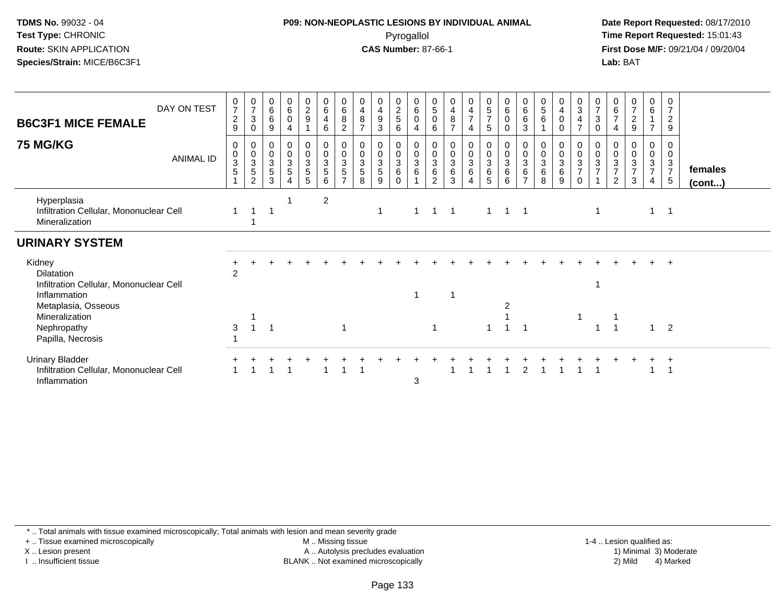## **P09: NON-NEOPLASTIC LESIONS BY INDIVIDUAL ANIMAL**Pyrogallol **Time Report Requested:** 15:01:43

 **Date Report Requested:** 08/17/2010 **First Dose M/F:** 09/21/04 / 09/20/04<br>**Lab:** BAT **Lab:** BAT

| <b>B6C3F1 MICE FEMALE</b>                                                                                                                      | DAY ON TEST      | $\frac{0}{7}$<br>$\overline{c}$<br>$\boldsymbol{9}$ | $\frac{0}{7}$<br>$\mathbf{3}$<br>0 | 0<br>6<br>$\,6\,$<br>9                     | $\begin{array}{c} 0 \\ 6 \end{array}$<br>$\pmb{0}$<br>$\overline{4}$      | $\begin{array}{c} 0 \\ 2 \\ 9 \end{array}$ | 0<br>$6\phantom{1}6$<br>$\overline{4}$<br>$\,6\,$                | 0<br>$\,6\,$<br>$\, 8$<br>$\overline{c}$                  | $\overline{4}$<br>$\bf8$<br>$\overline{7}$          | 0<br>$\overline{4}$<br>$\boldsymbol{9}$<br>3      | $\begin{array}{c} 0 \\ 2 \\ 5 \end{array}$<br>6 | $\begin{matrix} 0 \\ 6 \\ 0 \end{matrix}$<br>$\overline{4}$ | 0<br>$\overline{5}$<br>$\mathbf 0$<br>6    | $\mathbf 0$<br>$\overline{4}$<br>$\, 8$<br>$\overline{7}$ | 0<br>$\frac{4}{7}$<br>4                   | $\begin{array}{c} 0 \\ 5 \\ 7 \end{array}$<br>$5\phantom{.0}$ | $\begin{array}{c} 0 \\ 6 \end{array}$<br>$\pmb{0}$<br>0     | $\begin{matrix} 0 \\ 6 \\ 6 \end{matrix}$<br>$\sqrt{3}$ | 0<br>$\overline{5}$<br>$\,6$     | $\begin{array}{c} 0 \\ 4 \\ 0 \end{array}$<br>0 | 0<br>$\sqrt{3}$<br>$\overline{\mathbf{4}}$<br>$\overline{7}$        | 0<br>$\overline{7}$<br>3<br>$\mathbf 0$                       | $\begin{array}{c} 0 \\ 6 \\ 7 \end{array}$<br>$\overline{4}$ | $\frac{0}{7}$<br>$\boldsymbol{2}$<br>$\boldsymbol{9}$                  | $0\over 6$<br>$\overline{1}$<br>$\overline{7}$ | 0<br>$\overline{7}$<br>$\boldsymbol{2}$<br>9                |                         |
|------------------------------------------------------------------------------------------------------------------------------------------------|------------------|-----------------------------------------------------|------------------------------------|--------------------------------------------|---------------------------------------------------------------------------|--------------------------------------------|------------------------------------------------------------------|-----------------------------------------------------------|-----------------------------------------------------|---------------------------------------------------|-------------------------------------------------|-------------------------------------------------------------|--------------------------------------------|-----------------------------------------------------------|-------------------------------------------|---------------------------------------------------------------|-------------------------------------------------------------|---------------------------------------------------------|----------------------------------|-------------------------------------------------|---------------------------------------------------------------------|---------------------------------------------------------------|--------------------------------------------------------------|------------------------------------------------------------------------|------------------------------------------------|-------------------------------------------------------------|-------------------------|
| <b>75 MG/KG</b>                                                                                                                                | <b>ANIMAL ID</b> | 0<br>$_{3}^{\rm 0}$<br>$\sqrt{5}$                   | 0<br>$\frac{0}{3}$<br>2            | $\pmb{0}$<br>$\sqrt{3}$<br>$\sqrt{5}$<br>3 | $\begin{array}{c} 0 \\ 0 \\ 3 \\ 5 \end{array}$<br>$\boldsymbol{\Lambda}$ | 0<br>$\frac{0}{3}$<br>5                    | $\begin{smallmatrix}0\\0\\3\end{smallmatrix}$<br>$\sqrt{5}$<br>6 | 0<br>$\mathbf 0$<br>3<br>$\overline{5}$<br>$\overline{ }$ | 0<br>$\mathbf 0$<br>$\sqrt{3}$<br>5<br>$\mathsf{R}$ | 0<br>$\pmb{0}$<br>$\mathbf{3}$<br>$\sqrt{5}$<br>9 | 0<br>$\pmb{0}$<br>$\mathbf{3}$<br>6<br>$\Omega$ | $\mathbf 0$<br>$\frac{0}{3}$                                | $\pmb{0}$<br>$\frac{0}{3}$<br>$\,6\,$<br>2 | 0<br>$\frac{0}{3}$<br>$\,6\,$<br>3                        | 0<br>$\frac{0}{3}$<br>6<br>$\overline{4}$ | 0<br>$\frac{0}{3}$<br>6<br>5                                  | 0<br>$\mathbf 0$<br>$\ensuremath{\mathsf{3}}$<br>$\,6$<br>6 | 0<br>$\frac{0}{3}$<br>$6\phantom{1}$<br>$\overline{z}$  | 0<br>$\frac{0}{3}$<br>$\,6$<br>8 | 0<br>$\frac{0}{3}$<br>6<br>9                    | 0<br>$\boldsymbol{0}$<br>$\mathbf{3}$<br>$\overline{7}$<br>$\Omega$ | 0<br>$\pmb{0}$<br>$\ensuremath{\mathsf{3}}$<br>$\overline{7}$ | 0<br>$\frac{0}{3}$<br>$\overline{2}$                         | $\begin{smallmatrix} 0\\0\\3 \end{smallmatrix}$<br>$\overline{7}$<br>3 | $\mathbf 0$<br>$\frac{0}{3}$<br>$\overline{4}$ | 0<br>0<br>$\mathbf{3}$<br>$\overline{7}$<br>$5\phantom{.0}$ | females<br>$($ cont $)$ |
| Hyperplasia<br>Infiltration Cellular, Mononuclear Cell<br>Mineralization                                                                       |                  |                                                     |                                    |                                            |                                                                           |                                            | 2                                                                |                                                           |                                                     | -1                                                |                                                 | -1                                                          | 1                                          |                                                           |                                           | 1                                                             |                                                             | $\overline{\phantom{0}}$ 1                              |                                  |                                                 |                                                                     |                                                               |                                                              |                                                                        | $\mathbf 1$                                    | -1                                                          |                         |
| <b>URINARY SYSTEM</b>                                                                                                                          |                  |                                                     |                                    |                                            |                                                                           |                                            |                                                                  |                                                           |                                                     |                                                   |                                                 |                                                             |                                            |                                                           |                                           |                                                               |                                                             |                                                         |                                  |                                                 |                                                                     |                                                               |                                                              |                                                                        |                                                |                                                             |                         |
| Kidney<br><b>Dilatation</b><br>Infiltration Cellular, Mononuclear Cell<br>Inflammation<br>Metaplasia, Osseous<br>Mineralization<br>Nephropathy |                  | 2<br>3                                              | $\overline{1}$                     |                                            |                                                                           |                                            |                                                                  | 1                                                         |                                                     |                                                   |                                                 | -1                                                          | 1                                          |                                                           |                                           |                                                               |                                                             |                                                         |                                  |                                                 |                                                                     |                                                               |                                                              |                                                                        |                                                | $+$<br>$\overline{2}$                                       |                         |
| Papilla, Necrosis                                                                                                                              |                  |                                                     |                                    |                                            |                                                                           |                                            |                                                                  |                                                           |                                                     |                                                   |                                                 |                                                             |                                            |                                                           |                                           |                                                               |                                                             |                                                         |                                  |                                                 |                                                                     |                                                               |                                                              |                                                                        |                                                |                                                             |                         |
| <b>Urinary Bladder</b><br>Infiltration Cellular, Mononuclear Cell<br>Inflammation                                                              |                  |                                                     |                                    |                                            |                                                                           |                                            |                                                                  |                                                           |                                                     |                                                   |                                                 | 3                                                           |                                            |                                                           |                                           |                                                               |                                                             | 2                                                       |                                  |                                                 |                                                                     |                                                               |                                                              |                                                                        |                                                |                                                             |                         |

\* .. Total animals with tissue examined microscopically; Total animals with lesion and mean severity grade

+ .. Tissue examined microscopically

X .. Lesion present

I .. Insufficient tissue

M .. Missing tissue

A .. Autolysis precludes evaluation

BLANK .. Not examined microscopically 2) Mild 4) Marked

1-4 .. Lesion qualified as: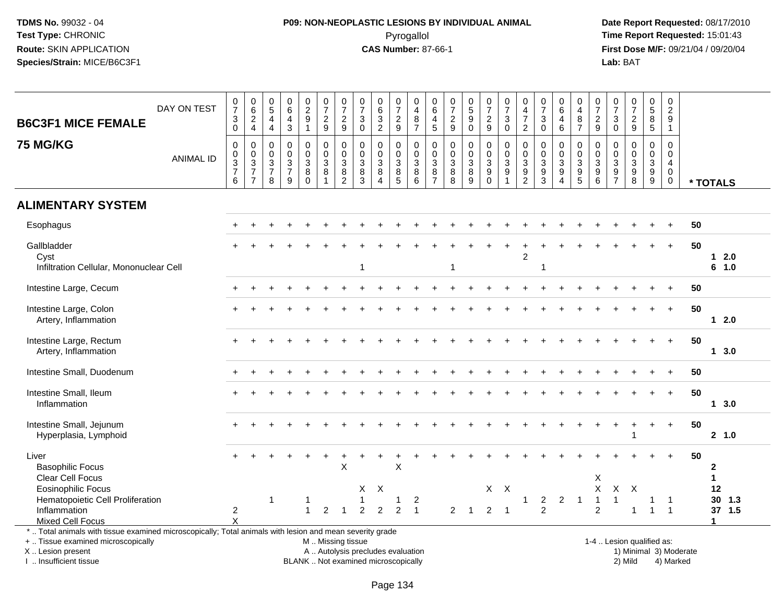# **P09: NON-NEOPLASTIC LESIONS BY INDIVIDUAL ANIMAL**Pyrogallol **Time Report Requested:** 15:01:43

| <b>B6C3F1 MICE FEMALE</b>                                                                                                                                                                     | DAY ON TEST      | $\begin{smallmatrix}0\\7\end{smallmatrix}$<br>$\mathbf{3}$<br>$\mathbf 0$ | $\begin{array}{c} 0 \\ 6 \end{array}$<br>$\frac{2}{4}$       | $\begin{array}{c} 0 \\ 5 \end{array}$<br>$\overline{4}$<br>$\overline{4}$ | 0<br>$\overline{6}$<br>4<br>$\mathfrak{Z}$                                                  | $0$<br>$2$<br>$9$<br>$1$                               | $\begin{smallmatrix}0\\7\end{smallmatrix}$<br>$\frac{2}{9}$                                   | $\frac{0}{7}$<br>$\frac{2}{9}$      | $\begin{array}{c} 0 \\ 7 \end{array}$<br>$\ensuremath{\mathsf{3}}$<br>$\pmb{0}$ | $\begin{array}{c} 0 \\ 6 \end{array}$<br>$\overline{3}$<br>$\overline{2}$            | $\frac{0}{7}$<br>$\frac{2}{9}$                          | $\begin{array}{c} 0 \\ 4 \\ 8 \\ 7 \end{array}$ | $_{6}^{\rm 0}$<br>$\overline{4}$<br>5                               | 0<br>$\boldsymbol{7}$<br>$\frac{2}{9}$                     | $\begin{array}{c} 0 \\ 5 \\ 9 \end{array}$          | $\begin{array}{c} 0 \\ 7 \end{array}$<br>$\sqrt{2}$<br>$\boldsymbol{9}$          | $\begin{array}{c} 0 \\ 7 \end{array}$<br>$\ensuremath{\mathsf{3}}$<br>$\mathbf 0$  | 0<br>$rac{4}{7}$<br>$\overline{2}$                                                 | $\frac{0}{7}$<br>$\ensuremath{\mathsf{3}}$<br>$\mathbf 0$   | $_{6}^{\rm 0}$<br>$\overline{\mathbf{4}}$<br>6                                                     | 0<br>$\overline{4}$<br>$\bf 8$<br>$\overline{7}$              | $\frac{0}{7}$<br>$\frac{2}{9}$                                              | $\begin{matrix} 0 \\ 7 \end{matrix}$<br>$\ensuremath{\mathsf{3}}$<br>$\mathbf 0$ | $\begin{array}{c} 0 \\ 7 \end{array}$<br>$\frac{2}{9}$                | $\begin{array}{c} 0 \\ 5 \\ 8 \end{array}$<br>$5\phantom{.0}$    | $\pmb{0}$<br>$\begin{array}{c} 2 \\ 9 \\ 1 \end{array}$                  |                        |                                                   |
|-----------------------------------------------------------------------------------------------------------------------------------------------------------------------------------------------|------------------|---------------------------------------------------------------------------|--------------------------------------------------------------|---------------------------------------------------------------------------|---------------------------------------------------------------------------------------------|--------------------------------------------------------|-----------------------------------------------------------------------------------------------|-------------------------------------|---------------------------------------------------------------------------------|--------------------------------------------------------------------------------------|---------------------------------------------------------|-------------------------------------------------|---------------------------------------------------------------------|------------------------------------------------------------|-----------------------------------------------------|----------------------------------------------------------------------------------|------------------------------------------------------------------------------------|------------------------------------------------------------------------------------|-------------------------------------------------------------|----------------------------------------------------------------------------------------------------|---------------------------------------------------------------|-----------------------------------------------------------------------------|----------------------------------------------------------------------------------|-----------------------------------------------------------------------|------------------------------------------------------------------|--------------------------------------------------------------------------|------------------------|---------------------------------------------------|
| <b>75 MG/KG</b>                                                                                                                                                                               | <b>ANIMAL ID</b> | 0<br>$\mathbf 0$<br>$\frac{3}{7}$<br>$6\phantom{1}$                       | $\pmb{0}$<br>$\begin{array}{c} 0 \\ 3 \\ 7 \\ 7 \end{array}$ | $\mathbf 0$<br>$\mathbf 0$<br>$\mathsf 3$<br>$\overline{7}$<br>8          | $\mathbf 0$<br>$\mathbf 0$<br>$\ensuremath{\mathsf{3}}$<br>$\overline{7}$<br>$\overline{9}$ | 0<br>$\mathbf 0$<br>$\overline{3}$<br>8<br>$\mathbf 0$ | $\pmb{0}$<br>$\mathbf 0$<br>$\overline{3}$<br>$\bf 8$<br>$\mathbf{1}$                         | 0<br>$\frac{0}{3}$<br>$\frac{8}{2}$ | $\mathbf 0$<br>$\pmb{0}$<br>$\overline{3}$<br>$\frac{8}{3}$                     | $\mathbf 0$<br>$\mathbf 0$<br>$\ensuremath{\mathsf{3}}$<br>$\,8\,$<br>$\overline{4}$ | 0<br>$\mathbf 0$<br>$\ensuremath{\mathsf{3}}$<br>$^8_5$ | $\,0\,$<br>$\frac{0}{3}$<br>$\bf 8$<br>6        | $\mathbf 0$<br>$\mathbf 0$<br>$\overline{3}$<br>8<br>$\overline{7}$ | $\mathbf 0$<br>$\pmb{0}$<br>$\overline{3}$<br>$\bf 8$<br>8 | $\mathbf 0$<br>$\mathsf{O}\xspace$<br>$\frac{3}{8}$ | 0<br>$\mathbf 0$<br>$\ensuremath{\mathsf{3}}$<br>$\boldsymbol{9}$<br>$\mathbf 0$ | $\mathbf 0$<br>$\mathbf 0$<br>$\overline{3}$<br>$\boldsymbol{9}$<br>$\overline{1}$ | $\mathbf 0$<br>$\mathbf 0$<br>$\overline{3}$<br>$\boldsymbol{9}$<br>$\overline{2}$ | $\mathbf 0$<br>$\pmb{0}$<br>$\overline{3}$<br>$\frac{9}{3}$ | $\mathbf 0$<br>$\mathsf{O}\xspace$<br>$\overline{3}$<br>$\boldsymbol{9}$<br>$\boldsymbol{\Lambda}$ | $\mathbf 0$<br>$\mathbf 0$<br>$\overline{3}$<br>$\frac{9}{5}$ | $\mathbf 0$<br>$\mathbf 0$<br>$\overline{3}$<br>$\boldsymbol{9}$<br>$\,6\,$ | $\mathbf 0$<br>$\mathbf 0$<br>$\sqrt{3}$<br>$\frac{9}{7}$                        | $\mathbf 0$<br>$\mathbf 0$<br>$\overline{3}$<br>$\boldsymbol{9}$<br>8 | $\mathbf 0$<br>$\overline{0}$<br>$\overline{3}$<br>$\frac{9}{9}$ | $\mathbf 0$<br>$\pmb{0}$<br>$\overline{4}$<br>$\mathbf 0$<br>$\mathbf 0$ |                        | * TOTALS                                          |
| <b>ALIMENTARY SYSTEM</b>                                                                                                                                                                      |                  |                                                                           |                                                              |                                                                           |                                                                                             |                                                        |                                                                                               |                                     |                                                                                 |                                                                                      |                                                         |                                                 |                                                                     |                                                            |                                                     |                                                                                  |                                                                                    |                                                                                    |                                                             |                                                                                                    |                                                               |                                                                             |                                                                                  |                                                                       |                                                                  |                                                                          |                        |                                                   |
| Esophagus                                                                                                                                                                                     |                  |                                                                           |                                                              |                                                                           |                                                                                             |                                                        |                                                                                               |                                     |                                                                                 |                                                                                      |                                                         |                                                 |                                                                     |                                                            |                                                     |                                                                                  |                                                                                    |                                                                                    |                                                             |                                                                                                    |                                                               |                                                                             |                                                                                  |                                                                       |                                                                  |                                                                          | 50                     |                                                   |
| Gallbladder<br>Cyst<br>Infiltration Cellular, Mononuclear Cell                                                                                                                                |                  |                                                                           |                                                              |                                                                           |                                                                                             |                                                        |                                                                                               |                                     |                                                                                 |                                                                                      |                                                         |                                                 |                                                                     |                                                            |                                                     |                                                                                  |                                                                                    | $\overline{c}$                                                                     |                                                             |                                                                                                    |                                                               |                                                                             |                                                                                  |                                                                       |                                                                  | $\ddot{}$                                                                | 50                     | $12.0$<br>6 1.0                                   |
| Intestine Large, Cecum                                                                                                                                                                        |                  |                                                                           |                                                              |                                                                           |                                                                                             |                                                        |                                                                                               |                                     |                                                                                 |                                                                                      |                                                         |                                                 |                                                                     |                                                            |                                                     |                                                                                  |                                                                                    |                                                                                    |                                                             |                                                                                                    |                                                               |                                                                             |                                                                                  |                                                                       |                                                                  |                                                                          | 50                     |                                                   |
| Intestine Large, Colon<br>Artery, Inflammation                                                                                                                                                |                  |                                                                           |                                                              |                                                                           |                                                                                             |                                                        |                                                                                               |                                     |                                                                                 |                                                                                      |                                                         |                                                 |                                                                     |                                                            |                                                     |                                                                                  |                                                                                    |                                                                                    |                                                             |                                                                                                    |                                                               |                                                                             |                                                                                  |                                                                       | $\overline{+}$                                                   | $\ddot{}$                                                                | 50                     | $12.0$                                            |
| Intestine Large, Rectum<br>Artery, Inflammation                                                                                                                                               |                  |                                                                           |                                                              |                                                                           |                                                                                             |                                                        |                                                                                               |                                     |                                                                                 |                                                                                      |                                                         |                                                 |                                                                     |                                                            |                                                     |                                                                                  |                                                                                    |                                                                                    |                                                             |                                                                                                    |                                                               |                                                                             |                                                                                  |                                                                       |                                                                  | $+$                                                                      | 50                     | $1 \quad 3.0$                                     |
| Intestine Small, Duodenum                                                                                                                                                                     |                  |                                                                           |                                                              |                                                                           |                                                                                             |                                                        |                                                                                               |                                     |                                                                                 |                                                                                      |                                                         |                                                 |                                                                     |                                                            |                                                     |                                                                                  |                                                                                    |                                                                                    |                                                             |                                                                                                    |                                                               |                                                                             |                                                                                  |                                                                       |                                                                  |                                                                          | 50                     |                                                   |
| Intestine Small, Ileum<br>Inflammation                                                                                                                                                        |                  |                                                                           |                                                              |                                                                           |                                                                                             |                                                        |                                                                                               |                                     |                                                                                 |                                                                                      |                                                         |                                                 |                                                                     |                                                            |                                                     |                                                                                  |                                                                                    |                                                                                    |                                                             |                                                                                                    |                                                               |                                                                             |                                                                                  |                                                                       |                                                                  |                                                                          | 50                     | 13.0                                              |
| Intestine Small, Jejunum<br>Hyperplasia, Lymphoid                                                                                                                                             |                  |                                                                           |                                                              |                                                                           |                                                                                             |                                                        |                                                                                               |                                     |                                                                                 |                                                                                      |                                                         |                                                 |                                                                     |                                                            |                                                     |                                                                                  |                                                                                    |                                                                                    |                                                             |                                                                                                    |                                                               |                                                                             |                                                                                  |                                                                       |                                                                  | $\ddot{}$                                                                | 50                     | 2, 1.0                                            |
| Liver<br><b>Basophilic Focus</b><br>Clear Cell Focus                                                                                                                                          |                  |                                                                           |                                                              |                                                                           |                                                                                             |                                                        |                                                                                               | X                                   |                                                                                 |                                                                                      | X                                                       |                                                 |                                                                     |                                                            |                                                     |                                                                                  |                                                                                    |                                                                                    |                                                             |                                                                                                    |                                                               | X                                                                           |                                                                                  |                                                                       |                                                                  |                                                                          | 50                     | $\mathbf{2}$<br>$\mathbf{1}$                      |
| <b>Eosinophilic Focus</b><br>Hematopoietic Cell Proliferation<br>Inflammation<br><b>Mixed Cell Focus</b>                                                                                      |                  | $\overline{c}$<br>$\mathsf{x}$                                            |                                                              | 1                                                                         |                                                                                             | $\mathbf{1}$                                           | $\overline{2}$                                                                                |                                     | X<br>2                                                                          | Χ<br>2                                                                               | 1<br>$\overline{2}$                                     | $\overline{\mathbf{c}}$                         |                                                                     | 2                                                          | -1                                                  | $\overline{2}$                                                                   | $X$ $X$<br>$\overline{\mathbf{1}}$                                                 | 1                                                                                  | $\overline{a}$<br>$\overline{2}$                            | $\overline{2}$                                                                                     | $\overline{1}$                                                | X<br>-1<br>$\overline{2}$                                                   | $\mathsf{X}$<br>1                                                                | $\times$                                                              | 1                                                                | $\overline{1}$                                                           |                        | 12<br>30<br>1.3<br>37 1.5<br>$\blacktriangleleft$ |
| *  Total animals with tissue examined microscopically; Total animals with lesion and mean severity grade<br>+  Tissue examined microscopically<br>X  Lesion present<br>I. Insufficient tissue |                  |                                                                           |                                                              |                                                                           |                                                                                             |                                                        | M  Missing tissue<br>A  Autolysis precludes evaluation<br>BLANK  Not examined microscopically |                                     |                                                                                 |                                                                                      |                                                         |                                                 |                                                                     |                                                            |                                                     |                                                                                  |                                                                                    |                                                                                    |                                                             |                                                                                                    |                                                               |                                                                             |                                                                                  | 1-4  Lesion qualified as:<br>2) Mild                                  |                                                                  | 4) Marked                                                                | 1) Minimal 3) Moderate |                                                   |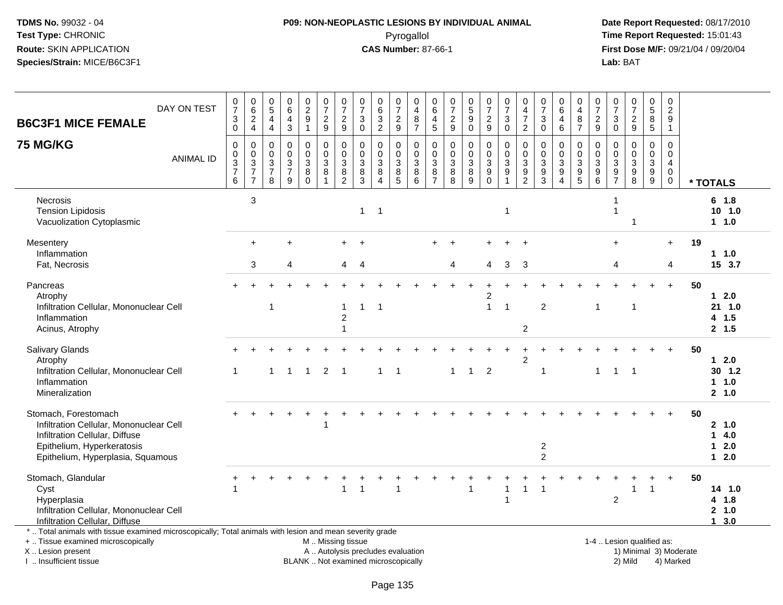### **P09: NON-NEOPLASTIC LESIONS BY INDIVIDUAL ANIMAL**Pyrogallol **Time Report Requested:** 15:01:43

 **Date Report Requested:** 08/17/2010 **First Dose M/F:** 09/21/04 / 09/20/04<br>Lab: BAT **Lab:** BAT

| DAY ON TEST<br><b>B6C3F1 MICE FEMALE</b>                                                                                                                                                      | $\frac{0}{7}$<br>$\ensuremath{\mathsf{3}}$<br>$\overline{0}$                        | $\begin{array}{c} 0 \\ 6 \end{array}$<br>$\frac{2}{4}$            | $\boldsymbol{0}$<br>$\overline{5}$<br>$\overline{4}$<br>$\overline{4}$ | $\pmb{0}$<br>$6\phantom{1}$<br>$\overline{4}$<br>$\overline{3}$                | $_2^0$<br>$\boldsymbol{9}$<br>$\mathbf{1}$ | $\frac{0}{7}$<br>$\frac{2}{9}$                                                                | $\frac{0}{7}$<br>$\frac{2}{9}$                                | 0<br>$\overline{7}$<br>$\mathbf{3}$<br>0               | $_{6}^{\rm 0}$<br>$\sqrt{3}$<br>$\overline{2}$                                       | 0<br>$\overline{7}$<br>$\frac{2}{9}$ | $\mathbf 0$<br>$\overline{4}$<br>8<br>$\overline{7}$              | 0<br>6<br>4<br>5                                    | $\begin{array}{c} 0 \\ 7 \end{array}$<br>$\frac{2}{9}$   | $\begin{array}{c} 0 \\ 5 \end{array}$<br>$\boldsymbol{9}$<br>$\bar{0}$ | $\begin{smallmatrix}0\\7\end{smallmatrix}$<br>$\frac{2}{9}$ | $\begin{array}{c} 0 \\ 7 \end{array}$<br>$\sqrt{3}$<br>$\mathbf 0$                 | 0<br>$\overline{4}$<br>$\overline{7}$<br>$\sqrt{2}$            | $\begin{array}{c} 0 \\ 7 \end{array}$<br>$\mathbf 3$<br>$\mathbf 0$ | 0<br>$\overline{6}$<br>$\overline{4}$<br>$\,6\,$                   | 0<br>$\overline{4}$<br>8<br>$\overline{7}$                  | $\begin{array}{c} 0 \\ 7 \end{array}$<br>$\frac{2}{9}$ | $\boldsymbol{0}$<br>$\overline{7}$<br>$_{\rm 0}^3$     | $\begin{smallmatrix} 0\\7 \end{smallmatrix}$<br>$\frac{2}{9}$                              | 0<br>$\overline{5}$<br>$^8_5$                                     | $\pmb{0}$<br>$\overline{2}$<br>9<br>$\mathbf{1}$                 |    |                                          |
|-----------------------------------------------------------------------------------------------------------------------------------------------------------------------------------------------|-------------------------------------------------------------------------------------|-------------------------------------------------------------------|------------------------------------------------------------------------|--------------------------------------------------------------------------------|--------------------------------------------|-----------------------------------------------------------------------------------------------|---------------------------------------------------------------|--------------------------------------------------------|--------------------------------------------------------------------------------------|--------------------------------------|-------------------------------------------------------------------|-----------------------------------------------------|----------------------------------------------------------|------------------------------------------------------------------------|-------------------------------------------------------------|------------------------------------------------------------------------------------|----------------------------------------------------------------|---------------------------------------------------------------------|--------------------------------------------------------------------|-------------------------------------------------------------|--------------------------------------------------------|--------------------------------------------------------|--------------------------------------------------------------------------------------------|-------------------------------------------------------------------|------------------------------------------------------------------|----|------------------------------------------|
| <b>75 MG/KG</b><br><b>ANIMAL ID</b>                                                                                                                                                           | $\mathbf 0$<br>$\pmb{0}$<br>$\overline{3}$<br>$\begin{array}{c} 7 \\ 6 \end{array}$ | $\mathbf 0$<br>$_{3}^{\rm 0}$<br>$\overline{7}$<br>$\overline{7}$ | $\mathbf 0$<br>0<br>$\overline{3}$<br>$\boldsymbol{7}$<br>8            | $\mathbf 0$<br>$\mathbf 0$<br>$\ensuremath{\mathsf{3}}$<br>$\overline{7}$<br>9 | $\mathbf 0$<br>0<br>3<br>8<br>$\Omega$     | $\mathbf 0$<br>$\pmb{0}$<br>$\overline{3}$<br>8<br>$\mathbf{1}$                               | $\mathbf 0$<br>$\mathbf 0$<br>$\mathfrak{S}$<br>$\frac{8}{2}$ | $\Omega$<br>0<br>$\mathfrak{Z}$<br>8<br>$\overline{3}$ | $\mathbf 0$<br>$\mathbf 0$<br>$\ensuremath{\mathsf{3}}$<br>$\bf 8$<br>$\overline{4}$ | 0<br>0<br>$\mathbf{3}$<br>$^8$ 5     | $\mathbf 0$<br>$\mathbf 0$<br>$\mathbf{3}$<br>8<br>$\overline{6}$ | $\Omega$<br>$\mathbf 0$<br>3<br>8<br>$\overline{7}$ | $\mathbf 0$<br>$\mathbf 0$<br>$\overline{3}$<br>$_{8}^8$ | $\mathbf 0$<br>0<br>$\overline{3}$<br>$\frac{8}{9}$                    | $\mathbf 0$<br>$\mathbf 0$<br>$\mathbf{3}$<br>$_{0}^{9}$    | $\mathbf 0$<br>$\mathbf 0$<br>$\overline{3}$<br>$\boldsymbol{9}$<br>$\overline{1}$ | $\mathbf 0$<br>0<br>$\ensuremath{\mathsf{3}}$<br>$\frac{9}{2}$ | $\Omega$<br>$\mathbf 0$<br>$\mathsf 3$<br>$\frac{9}{3}$             | $\Omega$<br>$\mathbf 0$<br>3<br>$\boldsymbol{9}$<br>$\overline{A}$ | $\Omega$<br>0<br>3<br>$\begin{array}{c} 9 \\ 5 \end{array}$ | $\Omega$<br>0<br>$\overline{3}$<br>$^9$ 6              | $\Omega$<br>$\mathbf 0$<br>$\sqrt{3}$<br>$\frac{9}{7}$ | $\Omega$<br>$\mathbf 0$<br>$\ensuremath{\mathsf{3}}$<br>$\boldsymbol{9}$<br>$\overline{8}$ | $\mathbf 0$<br>$\mathbf 0$<br>$\ensuremath{\mathsf{3}}$<br>$^9_9$ | $\mathbf 0$<br>0<br>$\overline{4}$<br>$\mathbf 0$<br>$\mathbf 0$ |    | * TOTALS                                 |
| Necrosis<br><b>Tension Lipidosis</b><br>Vacuolization Cytoplasmic                                                                                                                             |                                                                                     | 3                                                                 |                                                                        |                                                                                |                                            |                                                                                               |                                                               | $\mathbf{1}$                                           | $\overline{1}$                                                                       |                                      |                                                                   |                                                     |                                                          |                                                                        |                                                             | -1                                                                                 |                                                                |                                                                     |                                                                    |                                                             |                                                        | 1<br>$\overline{1}$                                    | $\overline{\mathbf{1}}$                                                                    |                                                                   |                                                                  |    | 6 1.8<br>$10$ 1.0<br>1 1.0               |
| Mesentery<br>Inflammation<br>Fat, Necrosis                                                                                                                                                    |                                                                                     | $\ddot{}$<br>3                                                    |                                                                        | 4                                                                              |                                            |                                                                                               | 4                                                             | 4                                                      |                                                                                      |                                      |                                                                   |                                                     | 4                                                        |                                                                        | 4                                                           | 3                                                                                  | -3                                                             |                                                                     |                                                                    |                                                             |                                                        | $+$<br>4                                               |                                                                                            |                                                                   | $+$<br>4                                                         | 19 | $1 1.0$<br>15 3.7                        |
| Pancreas<br>Atrophy<br>Infiltration Cellular, Mononuclear Cell<br>Inflammation<br>Acinus, Atrophy                                                                                             |                                                                                     |                                                                   | -1                                                                     |                                                                                |                                            |                                                                                               | $\mathbf{1}$<br>$\boldsymbol{2}$<br>$\overline{1}$            |                                                        | -1                                                                                   |                                      |                                                                   |                                                     |                                                          |                                                                        | $\overline{c}$<br>$\mathbf{1}$                              | $\overline{\phantom{a}}$                                                           | $\boldsymbol{2}$                                               | $\overline{c}$                                                      |                                                                    |                                                             | -1                                                     |                                                        | -1                                                                                         |                                                                   | $+$                                                              | 50 | $12.0$<br>21 1.0<br>4 1.5<br>2, 1.5      |
| Salivary Glands<br>Atrophy<br>Infiltration Cellular, Mononuclear Cell<br>Inflammation<br>Mineralization                                                                                       | 1                                                                                   |                                                                   | -1                                                                     | $\overline{1}$                                                                 | $\overline{1}$                             | $\overline{2}$                                                                                | $\overline{1}$                                                |                                                        | $\mathbf 1$                                                                          | -1                                   |                                                                   |                                                     | -1                                                       | $\overline{1}$                                                         | $\overline{2}$                                              |                                                                                    | $\overline{c}$                                                 | 1                                                                   |                                                                    |                                                             | $\mathbf 1$                                            | $\overline{1}$                                         | $\overline{1}$                                                                             |                                                                   |                                                                  | 50 | $12.0$<br>$30$ 1.2<br>1 1.0<br>2, 1.0    |
| Stomach, Forestomach<br>Infiltration Cellular, Mononuclear Cell<br>Infiltration Cellular, Diffuse<br>Epithelium, Hyperkeratosis<br>Epithelium, Hyperplasia, Squamous                          |                                                                                     |                                                                   |                                                                        |                                                                                |                                            |                                                                                               |                                                               |                                                        |                                                                                      |                                      |                                                                   |                                                     |                                                          |                                                                        |                                                             |                                                                                    |                                                                | $\overline{c}$<br>$\overline{c}$                                    |                                                                    |                                                             |                                                        |                                                        |                                                                                            |                                                                   |                                                                  | 50 | 2 1.0<br>14.0<br>$1 \quad 2.0$<br>$12.0$ |
| Stomach, Glandular<br>Cyst<br>Hyperplasia<br>Infiltration Cellular, Mononuclear Cell<br>Infiltration Cellular, Diffuse                                                                        |                                                                                     |                                                                   |                                                                        |                                                                                |                                            |                                                                                               | $\overline{1}$                                                |                                                        |                                                                                      |                                      |                                                                   |                                                     |                                                          |                                                                        |                                                             | 1<br>$\overline{1}$                                                                | $\mathbf{1}$                                                   |                                                                     |                                                                    |                                                             |                                                        | $\overline{2}$                                         | 1                                                                                          | $\mathbf{1}$                                                      |                                                                  | 50 | 14 1.0<br>4 1.8<br>2, 1.0<br>13.0        |
| *  Total animals with tissue examined microscopically; Total animals with lesion and mean severity grade<br>+  Tissue examined microscopically<br>X  Lesion present<br>I  Insufficient tissue |                                                                                     |                                                                   |                                                                        |                                                                                |                                            | M  Missing tissue<br>A  Autolysis precludes evaluation<br>BLANK  Not examined microscopically |                                                               |                                                        |                                                                                      |                                      |                                                                   |                                                     |                                                          |                                                                        |                                                             |                                                                                    |                                                                |                                                                     |                                                                    |                                                             |                                                        |                                                        | 1-4  Lesion qualified as:<br>1) Minimal 3) Moderate<br>2) Mild                             |                                                                   | 4) Marked                                                        |    |                                          |

I .. Insufficient tissue

Page 135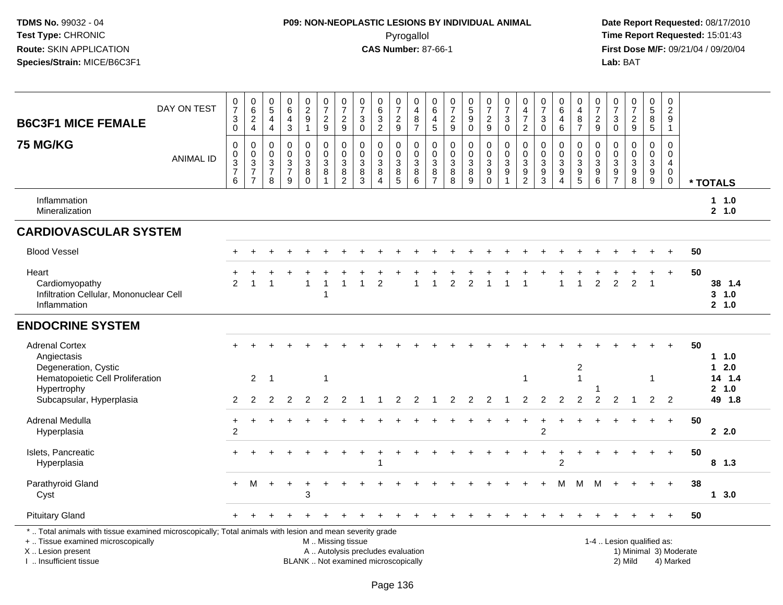# **P09: NON-NEOPLASTIC LESIONS BY INDIVIDUAL ANIMAL**Pyrogallol **Time Report Requested:** 15:01:43

| <b>B6C3F1 MICE FEMALE</b>                                                                                                                                                                     | DAY ON TEST      | $\frac{0}{7}$<br>$\sqrt{3}$<br>$\mathbf 0$     | $\begin{array}{c} 0 \\ 6 \end{array}$<br>$\frac{2}{4}$             | $\begin{array}{c} 0 \\ 5 \end{array}$<br>$\overline{4}$<br>$\overline{a}$      | $^{\rm 0}_{\rm 6}$<br>$\overline{4}$<br>$\mathbf{3}$                | $\begin{smallmatrix} 0\\2\\9 \end{smallmatrix}$<br>$\mathbf{1}$ | $\frac{0}{7}$<br>$\frac{2}{9}$                                                                | $\frac{0}{7}$<br>$\frac{2}{9}$                                                                            | $\frac{0}{7}$<br>$\ensuremath{\mathsf{3}}$<br>$\mathbf 0$ | $\begin{array}{c} 0 \\ 6 \end{array}$<br>$\mathsf 3$<br>$\overline{2}$ | $\frac{0}{7}$<br>$\frac{2}{9}$                                       | $\begin{smallmatrix}0\0\4\end{smallmatrix}$<br>$\bf 8$<br>$\overline{7}$ | $\begin{array}{c} 0 \\ 6 \end{array}$<br>$\overline{4}$<br>5           | $\begin{array}{c} 0 \\ 7 \end{array}$<br>$\frac{2}{9}$              | $\begin{array}{c} 0 \\ 5 \\ 9 \end{array}$<br>$\mathbf 0$ | $\frac{0}{7}$<br>$\frac{2}{9}$                                      | $\frac{0}{7}$<br>3<br>$\mathbf 0$                                            | $\begin{smallmatrix}0\0\4\end{smallmatrix}$<br>$\overline{7}$<br>$\overline{2}$ | $\frac{0}{7}$<br>$\ensuremath{\mathsf{3}}$<br>$\mathbf 0$                | $\begin{array}{c} 0 \\ 6 \end{array}$<br>$\overline{4}$<br>6                   | 0<br>$\overline{4}$<br>$\bf 8$<br>$\overline{7}$                                   | $\frac{0}{7}$<br>$\frac{2}{9}$                                          | $\frac{0}{7}$<br>$\sqrt{3}$<br>$\mathbf 0$                                         | $\frac{0}{7}$<br>$\frac{2}{9}$                                                                | $\begin{array}{c} 0 \\ 5 \end{array}$<br>$\overline{8}$<br>5 | $\begin{smallmatrix} 0\\2\\9 \end{smallmatrix}$<br>$\mathbf{1}$        |                        |                                                |
|-----------------------------------------------------------------------------------------------------------------------------------------------------------------------------------------------|------------------|------------------------------------------------|--------------------------------------------------------------------|--------------------------------------------------------------------------------|---------------------------------------------------------------------|-----------------------------------------------------------------|-----------------------------------------------------------------------------------------------|-----------------------------------------------------------------------------------------------------------|-----------------------------------------------------------|------------------------------------------------------------------------|----------------------------------------------------------------------|--------------------------------------------------------------------------|------------------------------------------------------------------------|---------------------------------------------------------------------|-----------------------------------------------------------|---------------------------------------------------------------------|------------------------------------------------------------------------------|---------------------------------------------------------------------------------|--------------------------------------------------------------------------|--------------------------------------------------------------------------------|------------------------------------------------------------------------------------|-------------------------------------------------------------------------|------------------------------------------------------------------------------------|-----------------------------------------------------------------------------------------------|--------------------------------------------------------------|------------------------------------------------------------------------|------------------------|------------------------------------------------|
| <b>75 MG/KG</b>                                                                                                                                                                               | <b>ANIMAL ID</b> | $\pmb{0}$<br>$\mathbf 0$<br>$\frac{3}{7}$<br>6 | 0<br>$\mathbf 0$<br>$\sqrt{3}$<br>$\overline{7}$<br>$\overline{7}$ | $\mathbf 0$<br>$\mathbf 0$<br>$\ensuremath{\mathsf{3}}$<br>$\overline{7}$<br>8 | $\mathbf 0$<br>$\mathbf 0$<br>$\overline{3}$<br>$\overline{7}$<br>9 | $\mathsf 0$<br>$\pmb{0}$<br>$\mathbf{3}$<br>8<br>$\Omega$       | 0<br>$\mathsf{O}\xspace$<br>$\sqrt{3}$<br>8                                                   | $\mathbf 0$<br>$\mathbf 0$<br>$\ensuremath{\mathsf{3}}$<br>$\begin{smallmatrix} 8 \\ 2 \end{smallmatrix}$ | 0<br>$\mathbf 0$<br>$\mathbf{3}$<br>8<br>$\overline{3}$   | $\mathbf 0$<br>$\mathbf 0$<br>$\sqrt{3}$<br>$\, 8$<br>$\overline{4}$   | 0<br>$\mathbf 0$<br>$\ensuremath{\mathsf{3}}$<br>8<br>$\overline{5}$ | 0<br>$\mathsf{O}\xspace$<br>$\overline{3}$<br>$^8_6$                     | $\mathbf 0$<br>$\pmb{0}$<br>$\ensuremath{\mathsf{3}}$<br>$\frac{8}{7}$ | $\mathbf 0$<br>$\mathbf 0$<br>$\ensuremath{\mathsf{3}}$<br>$_{8}^8$ | $\pmb{0}$<br>$\pmb{0}$<br>$\frac{3}{8}$                   | 0<br>$\mathbf 0$<br>$\mathbf{3}$<br>$\boldsymbol{9}$<br>$\mathbf 0$ | $\mathbf 0$<br>$\mathbf 0$<br>$\sqrt{3}$<br>$\boldsymbol{9}$<br>$\mathbf{1}$ | $\mathbf 0$<br>$\pmb{0}$<br>$\sqrt{3}$<br>$\frac{9}{2}$                         | $\mathbf 0$<br>$\mathbf 0$<br>$\ensuremath{\mathsf{3}}$<br>$\frac{9}{3}$ | $\mathbf 0$<br>$\mathbf 0$<br>$\sqrt{3}$<br>$\boldsymbol{9}$<br>$\overline{4}$ | $\mathbf 0$<br>$\mathbf 0$<br>$\mathsf 3$<br>$\begin{array}{c} 9 \\ 5 \end{array}$ | 0<br>$\mathbf 0$<br>$\sqrt{3}$<br>$\begin{array}{c} 9 \\ 6 \end{array}$ | $\mathbf 0$<br>$\mathbf 0$<br>$\ensuremath{\mathsf{3}}$<br>$9\,$<br>$\overline{7}$ | $\mathbf 0$<br>$\mathbf 0$<br>$\ensuremath{\mathsf{3}}$<br>$\boldsymbol{9}$<br>$\overline{8}$ | $\mathbf 0$<br>$\mathbf 0$<br>3<br>$^9_9$                    | $\mathbf 0$<br>$\pmb{0}$<br>$\overline{4}$<br>$\mathbf 0$<br>$\pmb{0}$ |                        | * TOTALS                                       |
| Inflammation<br>Mineralization                                                                                                                                                                |                  |                                                |                                                                    |                                                                                |                                                                     |                                                                 |                                                                                               |                                                                                                           |                                                           |                                                                        |                                                                      |                                                                          |                                                                        |                                                                     |                                                           |                                                                     |                                                                              |                                                                                 |                                                                          |                                                                                |                                                                                    |                                                                         |                                                                                    |                                                                                               |                                                              |                                                                        |                        | 1 1.0<br>2, 1.0                                |
| <b>CARDIOVASCULAR SYSTEM</b>                                                                                                                                                                  |                  |                                                |                                                                    |                                                                                |                                                                     |                                                                 |                                                                                               |                                                                                                           |                                                           |                                                                        |                                                                      |                                                                          |                                                                        |                                                                     |                                                           |                                                                     |                                                                              |                                                                                 |                                                                          |                                                                                |                                                                                    |                                                                         |                                                                                    |                                                                                               |                                                              |                                                                        |                        |                                                |
| <b>Blood Vessel</b>                                                                                                                                                                           |                  |                                                |                                                                    |                                                                                |                                                                     |                                                                 |                                                                                               |                                                                                                           |                                                           |                                                                        |                                                                      |                                                                          |                                                                        |                                                                     |                                                           |                                                                     |                                                                              |                                                                                 |                                                                          |                                                                                |                                                                                    |                                                                         |                                                                                    |                                                                                               |                                                              | $\ddot{}$                                                              | 50                     |                                                |
| Heart<br>Cardiomyopathy<br>Infiltration Cellular, Mononuclear Cell<br>Inflammation                                                                                                            |                  | $\mathcal{P}$                                  | 1                                                                  | 1                                                                              |                                                                     | -1                                                              |                                                                                               | -1                                                                                                        |                                                           | $\mathfrak{p}$                                                         |                                                                      |                                                                          | $\overline{1}$                                                         | $\overline{2}$                                                      | $\overline{2}$                                            | $\overline{1}$                                                      | 1                                                                            | $\overline{1}$                                                                  |                                                                          | $\overline{1}$                                                                 | $\overline{1}$                                                                     | $\overline{2}$                                                          | $\mathfrak{p}$                                                                     | $\mathfrak{p}$                                                                                | $\overline{1}$                                               | $+$                                                                    | 50                     | 38 1.4<br>3 1.0<br>2, 1.0                      |
| <b>ENDOCRINE SYSTEM</b>                                                                                                                                                                       |                  |                                                |                                                                    |                                                                                |                                                                     |                                                                 |                                                                                               |                                                                                                           |                                                           |                                                                        |                                                                      |                                                                          |                                                                        |                                                                     |                                                           |                                                                     |                                                                              |                                                                                 |                                                                          |                                                                                |                                                                                    |                                                                         |                                                                                    |                                                                                               |                                                              |                                                                        |                        |                                                |
| <b>Adrenal Cortex</b><br>Angiectasis<br>Degeneration, Cystic<br>Hematopoietic Cell Proliferation<br>Hypertrophy<br>Subcapsular, Hyperplasia                                                   |                  | $\overline{2}$                                 | $\overline{c}$<br>2                                                | $\overline{1}$<br>2                                                            | 2                                                                   | $\overline{2}$                                                  | -1<br>2                                                                                       | 2                                                                                                         |                                                           |                                                                        | 2                                                                    | 2                                                                        |                                                                        | 2                                                                   | $\overline{2}$                                            | 2                                                                   |                                                                              | $\mathbf{1}$<br>2                                                               | 2                                                                        | 2                                                                              | $\overline{2}$<br>$\overline{1}$<br>$\overline{2}$                                 | $\overline{2}$                                                          | $\overline{2}$                                                                     |                                                                                               | -1<br>$\overline{2}$                                         | 2                                                                      | 50                     | $1 1.0$<br>$12.0$<br>14 1.4<br>2 1.0<br>49 1.8 |
| Adrenal Medulla<br>Hyperplasia                                                                                                                                                                |                  | $\ddot{}$<br>$\overline{c}$                    |                                                                    |                                                                                |                                                                     |                                                                 |                                                                                               |                                                                                                           |                                                           |                                                                        |                                                                      |                                                                          |                                                                        |                                                                     |                                                           |                                                                     |                                                                              |                                                                                 | $\overline{c}$                                                           |                                                                                |                                                                                    |                                                                         |                                                                                    |                                                                                               |                                                              | $\ddot{}$                                                              | 50                     | 22.0                                           |
| Islets, Pancreatic<br>Hyperplasia                                                                                                                                                             |                  |                                                |                                                                    |                                                                                |                                                                     |                                                                 |                                                                                               |                                                                                                           |                                                           |                                                                        |                                                                      |                                                                          |                                                                        |                                                                     |                                                           |                                                                     |                                                                              |                                                                                 |                                                                          | $\overline{c}$                                                                 |                                                                                    |                                                                         |                                                                                    |                                                                                               |                                                              | $+$                                                                    | 50                     | 8 1.3                                          |
| Parathyroid Gland<br>Cyst                                                                                                                                                                     |                  | $+$                                            | M                                                                  | $\ddot{}$                                                                      |                                                                     | 3                                                               |                                                                                               |                                                                                                           |                                                           |                                                                        |                                                                      |                                                                          |                                                                        |                                                                     |                                                           |                                                                     |                                                                              |                                                                                 |                                                                          |                                                                                | м                                                                                  | м                                                                       |                                                                                    |                                                                                               |                                                              | $\ddot{}$                                                              | 38                     | 13.0                                           |
| <b>Pituitary Gland</b>                                                                                                                                                                        |                  |                                                |                                                                    |                                                                                |                                                                     |                                                                 |                                                                                               |                                                                                                           |                                                           |                                                                        |                                                                      |                                                                          |                                                                        |                                                                     |                                                           |                                                                     |                                                                              |                                                                                 |                                                                          |                                                                                |                                                                                    |                                                                         |                                                                                    |                                                                                               |                                                              | $\ddot{}$                                                              | 50                     |                                                |
| *  Total animals with tissue examined microscopically; Total animals with lesion and mean severity grade<br>+  Tissue examined microscopically<br>X  Lesion present<br>I  Insufficient tissue |                  |                                                |                                                                    |                                                                                |                                                                     |                                                                 | M  Missing tissue<br>A  Autolysis precludes evaluation<br>BLANK  Not examined microscopically |                                                                                                           |                                                           |                                                                        |                                                                      |                                                                          |                                                                        |                                                                     |                                                           |                                                                     |                                                                              |                                                                                 |                                                                          |                                                                                |                                                                                    |                                                                         |                                                                                    | 1-4  Lesion qualified as:<br>2) Mild                                                          |                                                              | 4) Marked                                                              | 1) Minimal 3) Moderate |                                                |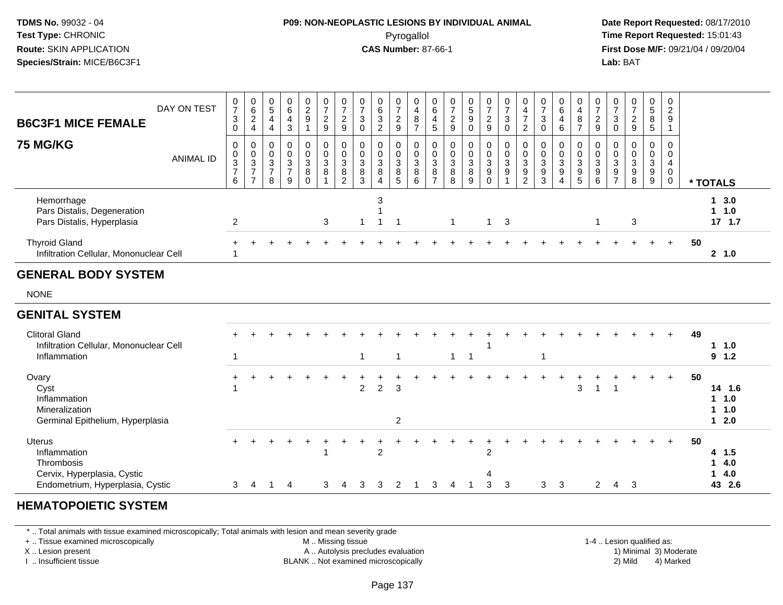## **P09: NON-NEOPLASTIC LESIONS BY INDIVIDUAL ANIMAL**Pyrogallol **Time Report Requested:** 15:01:43

 **Date Report Requested:** 08/17/2010 **First Dose M/F:** 09/21/04 / 09/20/04<br>**Lab:** BAT **Lab:** BAT

| <b>B6C3F1 MICE FEMALE</b>                                               | DAY ON TEST      | $\begin{array}{c} 0 \\ 7 \end{array}$<br>3                         | $\begin{array}{c} 0 \\ 6 \end{array}$<br>$\sqrt{2}$<br>4                         | $\frac{0}{5}$<br>4<br>$\overline{4}$        | $\begin{array}{c} 0 \\ 6 \end{array}$<br>$\overline{4}$<br>$\mathbf{3}$ | $\frac{0}{2}$         | 0<br>$\overline{7}$<br>$\boldsymbol{2}$<br>9       | $\frac{0}{7}$<br>$\frac{2}{9}$        | $\frac{0}{7}$<br>$\ensuremath{\mathsf{3}}$<br>$\mathbf 0$ | 0<br>$\,6\,$<br>3<br>$\overline{2}$ | $\frac{0}{7}$<br>$\frac{2}{9}$           | 0<br>$\overline{4}$<br>$\bf 8$<br>$\overline{z}$ | $\begin{array}{c} 0 \\ 6 \end{array}$<br>4<br>$\sqrt{5}$   | 0<br>$\overline{7}$<br>$\frac{2}{9}$                   | $\begin{array}{c} 0 \\ 5 \end{array}$<br>9<br>$\mathsf{O}$ | $\frac{0}{7}$<br>$\frac{2}{9}$                        | $\frac{0}{7}$<br>$\sqrt{3}$<br>$\mathbf 0$       | $\begin{smallmatrix}0\0\4\end{smallmatrix}$<br>$\overline{\phantom{0}}$<br>$\sqrt{2}$ | $\frac{0}{7}$<br>$\mathbf{3}$<br>$\mathbf 0$ | $\mathbf 0$<br>6<br>4<br>6           | $\frac{0}{4}$<br>$\bf 8$<br>$\overline{ }$           | $\frac{0}{7}$<br>$\overline{c}$<br>$9\,$                               | 3                            | $\frac{0}{7}$<br>$\frac{2}{9}$                             | 0<br>$\sqrt{5}$<br>8<br>5 | 0<br>$\overline{2}$<br>9 |          |                              |
|-------------------------------------------------------------------------|------------------|--------------------------------------------------------------------|----------------------------------------------------------------------------------|---------------------------------------------|-------------------------------------------------------------------------|-----------------------|----------------------------------------------------|---------------------------------------|-----------------------------------------------------------|-------------------------------------|------------------------------------------|--------------------------------------------------|------------------------------------------------------------|--------------------------------------------------------|------------------------------------------------------------|-------------------------------------------------------|--------------------------------------------------|---------------------------------------------------------------------------------------|----------------------------------------------|--------------------------------------|------------------------------------------------------|------------------------------------------------------------------------|------------------------------|------------------------------------------------------------|---------------------------|--------------------------|----------|------------------------------|
| <b>75 MG/KG</b>                                                         | <b>ANIMAL ID</b> | 0<br>$\pmb{0}$<br>$\ensuremath{\mathsf{3}}$<br>$\overline{7}$<br>6 | 0<br>$\mathbf 0$<br>$\ensuremath{\mathsf{3}}$<br>$\overline{ }$<br>$\rightarrow$ | 0<br>0<br>$\sqrt{3}$<br>$\overline{ }$<br>8 | 0<br>$\pmb{0}$<br>$\sqrt{3}$<br>$\overline{ }$<br>9                     | 0<br>0<br>3<br>8<br>0 | 0<br>$\mathbf 0$<br>$\ensuremath{\mathsf{3}}$<br>8 | $\pmb{0}$<br>3<br>8<br>$\overline{2}$ | $\pmb{0}$<br>3<br>8<br>3                                  | 0<br>$\mathbf 0$<br>3<br>8<br>4     | 0<br>$\pmb{0}$<br>$\mathbf{3}$<br>$^8$ 5 | $\pmb{0}$<br>$\mathbf{3}$<br>$\bf 8$<br>6        | 0<br>$\pmb{0}$<br>$\mathsf 3$<br>$\bf 8$<br>$\overline{ }$ | $\pmb{0}$<br>$\ensuremath{\mathsf{3}}$<br>$\bf 8$<br>8 | 0<br>$\boldsymbol{0}$<br>3<br>8<br>9                       | 0<br>$\pmb{0}$<br>$\mathbf{3}$<br>9<br>$\overline{O}$ | 0<br>$\pmb{0}$<br>$\sqrt{3}$<br>$\boldsymbol{9}$ | 0<br>$\pmb{0}$<br>$\sqrt{3}$<br>$\boldsymbol{9}$<br>$\overline{2}$                    | 0<br>$\pmb{0}$<br>3<br>$\boldsymbol{9}$<br>3 | 0<br>0<br>3<br>$\boldsymbol{9}$<br>4 | $\mathbf 0$<br>$\mathbf{3}$<br>$\boldsymbol{9}$<br>5 | 0<br>$\mathbf 0$<br>$\ensuremath{\mathsf{3}}$<br>$\boldsymbol{9}$<br>6 | 0<br>3<br>9<br>$\rightarrow$ | 0<br>$\pmb{0}$<br>$\sqrt{3}$<br>$\boldsymbol{9}$<br>$\bf8$ | 0<br>0<br>3<br>9<br>9     | 0<br>0<br>4<br>0<br>0    | * TOTALS |                              |
| Hemorrhage<br>Pars Distalis, Degeneration<br>Pars Distalis, Hyperplasia |                  | 2                                                                  |                                                                                  |                                             |                                                                         |                       | 3                                                  |                                       |                                                           | 3                                   |                                          |                                                  |                                                            | $\mathbf{1}$                                           |                                                            | $1 \quad$                                             | 3                                                |                                                                                       |                                              |                                      |                                                      | -1                                                                     |                              | 3                                                          |                           |                          |          | 13.0<br>$1 \t1.0$<br>17, 1.7 |
| <b>Thyroid Gland</b><br>Infiltration Cellular, Mononuclear Cell         |                  |                                                                    |                                                                                  |                                             |                                                                         |                       |                                                    |                                       |                                                           |                                     |                                          |                                                  |                                                            |                                                        |                                                            |                                                       |                                                  |                                                                                       |                                              |                                      |                                                      |                                                                        |                              |                                                            |                           | $+$                      | 50       | $2 \t1.0$                    |

#### **GENITAL SYSTEM**

| <b>Clitoral Gland</b><br>Infiltration Cellular, Mononuclear Cell<br>Inflammation                        | $\pm$    |   |   |   |   |               |                |                    |   |   |                                       |   |              |     |   |               |   |    |   | $+$ | 49 | $1 \t1.0$<br>$9 \t1.2$                   |
|---------------------------------------------------------------------------------------------------------|----------|---|---|---|---|---------------|----------------|--------------------|---|---|---------------------------------------|---|--------------|-----|---|---------------|---|----|---|-----|----|------------------------------------------|
| Ovary<br>Cyst<br>Inflammation<br>Mineralization<br>Germinal Epithelium, Hyperplasia                     | ٠        |   |   |   |   | $\mathcal{P}$ | $\overline{2}$ | 3<br>$\mathcal{P}$ |   |   |                                       |   |              |     | 3 |               |   |    | ÷ | $+$ | 50 | 14 1.6<br>$1 \t1.0$<br>$1 \t1.0$<br>12.0 |
| Uterus<br>Inflammation<br>Thrombosis<br>Cervix, Hyperplasia, Cystic<br>Endometrium, Hyperplasia, Cystic | $+$<br>3 | 4 | 4 | 3 | 4 | 3             | 2<br>3         | 2                  | 3 | 4 | $\overline{2}$<br>$\overline{4}$<br>3 | 3 | $\mathbf{3}$ | - 3 |   | $\mathcal{P}$ | 4 | -3 |   | $+$ | 50 | 4 1.5<br>14.0<br>14.0<br>43 2.6          |

#### **HEMATOPOIETIC SYSTEM**

\* .. Total animals with tissue examined microscopically; Total animals with lesion and mean severity grade

+ .. Tissue examined microscopically

X .. Lesion present

I .. Insufficient tissue

 M .. Missing tissueA .. Autolysis precludes evaluation

1-4 .. Lesion qualified as:<br>1) Minimal 3) Moderate BLANK .. Not examined microscopically 2) Mild 4) Marked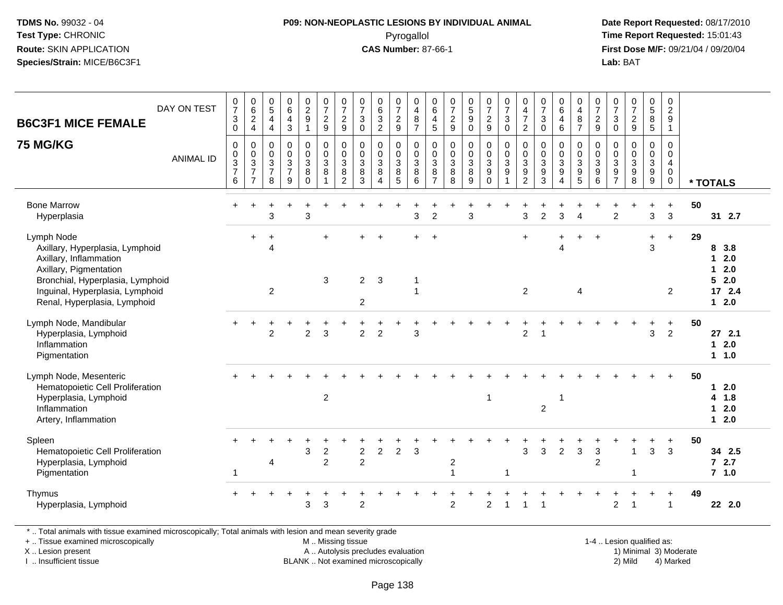### **P09: NON-NEOPLASTIC LESIONS BY INDIVIDUAL ANIMAL**Pyrogallol **Time Report Requested:** 15:01:43

 **Date Report Requested:** 08/17/2010 **First Dose M/F:** 09/21/04 / 09/20/04<br>**Lab:** BAT **Lab:** BAT

| DAY ON TEST<br><b>B6C3F1 MICE FEMALE</b>                                                                                                                                                                                                                                                                                      | $\frac{0}{7}$<br>$\ensuremath{\mathsf{3}}$<br>$\pmb{0}$           | $\begin{smallmatrix}0\0\0\end{smallmatrix}$<br>$\boldsymbol{2}$<br>$\overline{\mathbf{4}}$ | $\begin{array}{c} 0 \\ 5 \end{array}$<br>$\overline{4}$<br>$\overline{4}$ | $\begin{array}{c} 0 \\ 6 \end{array}$<br>$\overline{\mathbf{4}}$<br>$\sqrt{3}$ | $\begin{smallmatrix} 0\\2\\9 \end{smallmatrix}$<br>$\mathbf{1}$ | $\frac{0}{7}$<br>$\overline{2}$<br>9                 | $\frac{0}{7}$<br>$\overline{\mathbf{c}}$<br>$\boldsymbol{9}$  | $\frac{0}{7}$<br>$\ensuremath{\mathsf{3}}$<br>$\mathsf{O}\xspace$       | $\begin{matrix} 0 \\ 6 \\ 3 \end{matrix}$<br>$\sqrt{2}$         | $\frac{0}{7}$<br>$\sqrt{2}$<br>$\boldsymbol{9}$  | $\pmb{0}$<br>$\overline{\mathbf{4}}$<br>$\, 8$<br>$\overline{7}$ | $\begin{array}{c} 0 \\ 6 \end{array}$<br>$\overline{\mathbf{r}}$<br>$5\phantom{.0}$ | $\frac{0}{7}$<br>$\sqrt{2}$<br>9                          | $\begin{array}{c} 0 \\ 5 \\ 9 \end{array}$<br>$\mathbf 0$ | $\frac{0}{7}$<br>$\frac{2}{9}$                                                 | $\begin{array}{c} 0 \\ 7 \end{array}$<br>$\mathbf{3}$<br>$\mathbf 0$ | 0<br>$\overline{\mathbf{4}}$<br>$\overline{7}$<br>$\boldsymbol{2}$               | $\begin{array}{c} 0 \\ 7 \end{array}$<br>$\ensuremath{\mathsf{3}}$<br>$\mathbf 0$ | $_{6}^{\rm 0}$<br>$\overline{4}$<br>$\,6\,$                                            | $\pmb{0}$<br>$\overline{\mathbf{4}}$<br>$\bf 8$<br>$\overline{7}$ | $\frac{0}{7}$<br>$\sqrt{2}$<br>9                                   | $\begin{array}{c} 0 \\ 7 \end{array}$<br>$\sqrt{3}$<br>$\mathbf 0$     | 0729                                        | 0<br>5<br>8<br>5           | $\begin{smallmatrix} 0\\2\\9 \end{smallmatrix}$<br>$\mathbf{1}$          |    |                                                                                       |
|-------------------------------------------------------------------------------------------------------------------------------------------------------------------------------------------------------------------------------------------------------------------------------------------------------------------------------|-------------------------------------------------------------------|--------------------------------------------------------------------------------------------|---------------------------------------------------------------------------|--------------------------------------------------------------------------------|-----------------------------------------------------------------|------------------------------------------------------|---------------------------------------------------------------|-------------------------------------------------------------------------|-----------------------------------------------------------------|--------------------------------------------------|------------------------------------------------------------------|-------------------------------------------------------------------------------------|-----------------------------------------------------------|-----------------------------------------------------------|--------------------------------------------------------------------------------|----------------------------------------------------------------------|----------------------------------------------------------------------------------|-----------------------------------------------------------------------------------|----------------------------------------------------------------------------------------|-------------------------------------------------------------------|--------------------------------------------------------------------|------------------------------------------------------------------------|---------------------------------------------|----------------------------|--------------------------------------------------------------------------|----|---------------------------------------------------------------------------------------|
| <b>75 MG/KG</b><br><b>ANIMAL ID</b>                                                                                                                                                                                                                                                                                           | $\mathbf 0$<br>$\pmb{0}$<br>$\overline{3}$<br>$\overline{7}$<br>6 | 0<br>$\mathsf 0$<br>$\overline{3}$<br>$\overline{7}$<br>$\overline{7}$                     | $\mathbf 0$<br>$\pmb{0}$<br>$\overline{3}$<br>$\overline{7}$<br>8         | $\mathbf 0$<br>$\pmb{0}$<br>$\frac{3}{7}$<br>9                                 | 0<br>$\mathbf 0$<br>$\overline{3}$<br>$\, 8$<br>$\Omega$        | $\mathbf 0$<br>$\pmb{0}$<br>$\overline{3}$<br>8<br>1 | 0<br>$\pmb{0}$<br>$\overline{3}$<br>$\bf 8$<br>$\overline{2}$ | $\mathbf 0$<br>$\pmb{0}$<br>$\overline{3}$<br>$\bf 8$<br>$\overline{3}$ | $\pmb{0}$<br>$\pmb{0}$<br>$\overline{3}$<br>$\overline{8}$<br>4 | 0<br>$\mathsf 0$<br>$\mathbf{3}$<br>$\bf 8$<br>5 | $\mathbf 0$<br>$\,0\,$<br>$\overline{3}$<br>$\,8\,$<br>6         | $\mathbf 0$<br>$\pmb{0}$<br>$\overline{3}$<br>8<br>$\overline{7}$                   | $\pmb{0}$<br>$\mathsf 0$<br>$\overline{3}$<br>$\, 8$<br>8 | 0<br>$\overline{0}$<br>3<br>$\bf 8$<br>9                  | $\pmb{0}$<br>$\overline{0}$<br>$\overline{3}$<br>$\overline{9}$<br>$\mathbf 0$ | $\pmb{0}$<br>$\frac{0}{3}$<br>$\overline{9}$<br>$\overline{1}$       | $\mathbf 0$<br>$\pmb{0}$<br>$\overline{3}$<br>$\boldsymbol{9}$<br>$\overline{c}$ | $\mathbf 0$<br>$\pmb{0}$<br>$\overline{3}$<br>$\boldsymbol{9}$<br>3               | $\mathbf 0$<br>$\pmb{0}$<br>$\overline{3}$<br>$\overline{9}$<br>$\boldsymbol{\Lambda}$ | 0<br>$\mathsf{O}\xspace$<br>$\overline{3}$<br>$\frac{9}{5}$       | $\Omega$<br>$\mathsf 0$<br>$\overline{3}$<br>$\boldsymbol{9}$<br>6 | 0<br>$\pmb{0}$<br>$\overline{3}$<br>$\boldsymbol{9}$<br>$\overline{7}$ | $\pmb{0}$<br>$\frac{0}{3}$<br>$\frac{9}{8}$ | $\mathsf 0$<br>0<br>9<br>9 | $\mathbf 0$<br>$\pmb{0}$<br>$\overline{4}$<br>$\mathbf 0$<br>$\mathbf 0$ |    | * TOTALS                                                                              |
| <b>Bone Marrow</b><br>Hyperplasia                                                                                                                                                                                                                                                                                             | $+$                                                               | $\ddot{}$                                                                                  | 3                                                                         |                                                                                | $\div$<br>3                                                     |                                                      |                                                               |                                                                         |                                                                 |                                                  | 3                                                                | $\overline{c}$                                                                      |                                                           | 3                                                         |                                                                                |                                                                      | 3                                                                                | 2                                                                                 | 3                                                                                      | $\Delta$                                                          |                                                                    | ÷<br>$\overline{c}$                                                    |                                             | $\ddot{}$<br>$\mathbf{3}$  | $+$<br>$\mathfrak{Z}$                                                    | 50 | 31 2.7                                                                                |
| Lymph Node<br>Axillary, Hyperplasia, Lymphoid<br>Axillary, Inflammation<br>Axillary, Pigmentation<br>Bronchial, Hyperplasia, Lymphoid<br>Inguinal, Hyperplasia, Lymphoid<br>Renal, Hyperplasia, Lymphoid                                                                                                                      |                                                                   | $\ddot{}$                                                                                  | $\ddot{}$<br>$\overline{4}$<br>2                                          |                                                                                |                                                                 | 3                                                    |                                                               | $\overline{2}$<br>$\overline{2}$                                        | $\mathbf{3}$                                                    |                                                  | -1<br>1                                                          | $\ddot{}$                                                                           |                                                           |                                                           |                                                                                |                                                                      | $\ddot{}$<br>$\overline{2}$                                                      |                                                                                   | $\overline{\Delta}$                                                                    | 4                                                                 | $\ddot{}$                                                          |                                                                        |                                             | $\ddot{}$<br>3             | $+$<br>$\overline{2}$                                                    | 29 | 8<br>3.8<br>2.0<br>$\mathbf 1$<br>2.0<br>$\mathbf 1$<br>5<br>2.0<br>17, 2.4<br>$12.0$ |
| Lymph Node, Mandibular<br>Hyperplasia, Lymphoid<br>Inflammation<br>Pigmentation                                                                                                                                                                                                                                               |                                                                   |                                                                                            | $\overline{2}$                                                            |                                                                                | $\overline{2}$                                                  | 3                                                    |                                                               | $\overline{2}$                                                          | $\overline{2}$                                                  |                                                  | 3                                                                |                                                                                     |                                                           |                                                           |                                                                                |                                                                      | $\overline{2}$                                                                   |                                                                                   |                                                                                        |                                                                   |                                                                    |                                                                        |                                             | 3                          | $\ddot{}$<br>$\overline{2}$                                              | 50 | 27, 2.1<br>2.0<br>$\mathbf{1}$<br>$1 1.0$                                             |
| Lymph Node, Mesenteric<br>Hematopoietic Cell Proliferation<br>Hyperplasia, Lymphoid<br>Inflammation<br>Artery, Inflammation                                                                                                                                                                                                   |                                                                   |                                                                                            |                                                                           |                                                                                |                                                                 | $\overline{c}$                                       |                                                               |                                                                         |                                                                 |                                                  |                                                                  |                                                                                     |                                                           |                                                           | 1                                                                              |                                                                      |                                                                                  | $\overline{2}$                                                                    | -1                                                                                     |                                                                   |                                                                    |                                                                        |                                             |                            | $\ddot{}$                                                                | 50 | 2.0<br>$\mathbf 1$<br>1.8<br>4<br>2.0<br>$\mathbf 1$<br>2.0<br>$\mathbf{1}$           |
| Spleen<br>Hematopoietic Cell Proliferation<br>Hyperplasia, Lymphoid<br>Pigmentation                                                                                                                                                                                                                                           | -1                                                                |                                                                                            | 4                                                                         |                                                                                | 3                                                               | $\overline{2}$<br>$\overline{2}$                     |                                                               | $\overline{c}$<br>$\overline{2}$                                        | $\overline{c}$                                                  | $\overline{2}$                                   | 3                                                                |                                                                                     | $\overline{c}$<br>$\overline{1}$                          |                                                           |                                                                                | $\mathbf 1$                                                          | 3                                                                                | 3                                                                                 | $\overline{2}$                                                                         | 3                                                                 | $\ensuremath{\mathsf{3}}$<br>$\overline{2}$                        |                                                                        | -1<br>-1                                    | $\ddot{}$<br>3             | $\ddot{}$<br>$\mathbf{3}$                                                | 50 | 34 2.5<br>$72.7$<br>$7$ 1.0                                                           |
| Thymus<br>Hyperplasia, Lymphoid<br>$\Phi$ . The matrix of the set of the contribution of the set of the set of the set of the set of the set of the set of the set of the set of the set of the set of the set of the set of the set of the set of the set of the<br>والموالي المنافر والمستقرب والمستحدث والمستحدث والمستحدث |                                                                   |                                                                                            |                                                                           |                                                                                | 3                                                               | 3                                                    |                                                               | $\overline{2}$                                                          |                                                                 |                                                  |                                                                  |                                                                                     | $\overline{2}$                                            |                                                           | $\overline{2}$                                                                 | -1                                                                   |                                                                                  |                                                                                   |                                                                                        |                                                                   |                                                                    | $\overline{2}$                                                         | -1                                          | $\ddot{}$                  | $\ddot{}$<br>$\overline{1}$                                              | 49 | 22 2.0                                                                                |

\* .. Total animals with tissue examined microscopically; Total animals with lesion and mean severity grade

+ .. Tissue examined microscopically

X .. Lesion present

I .. Insufficient tissue

 M .. Missing tissueA .. Autolysis precludes evaluation

BLANK .. Not examined microscopically 2) Mild 4) Marked

1-4 .. Lesion qualified as:<br>1) Minimal 3) Moderate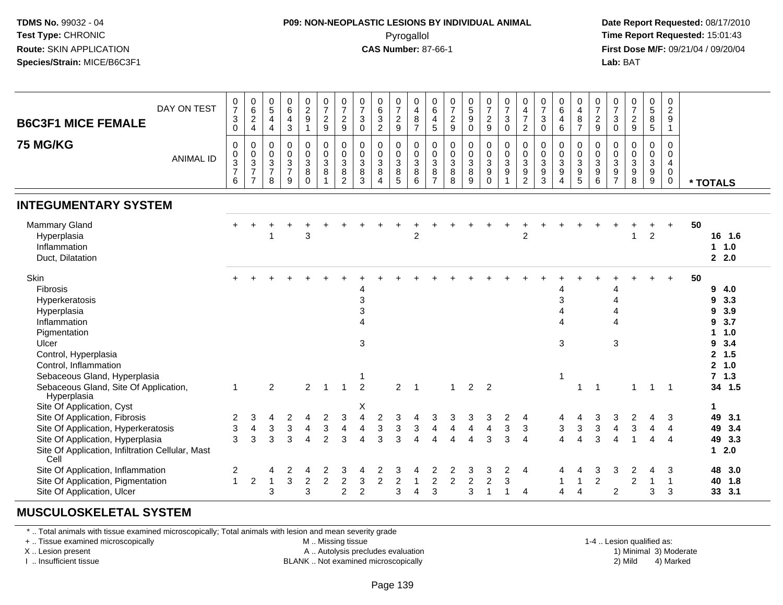### **P09: NON-NEOPLASTIC LESIONS BY INDIVIDUAL ANIMAL**Pyrogallol **Time Report Requested:** 15:01:43

 **Date Report Requested:** 08/17/2010 **First Dose M/F:** 09/21/04 / 09/20/04<br>**Lab:** BAT **Lab:** BAT

| DAY ON TEST<br><b>B6C3F1 MICE FEMALE</b>                                                                                                                                                          |                  | $\frac{0}{7}$<br>$\ensuremath{\mathsf{3}}$<br>$\mathbf 0$     | $_6^0$<br>$\frac{2}{4}$                                 | $\begin{matrix} 0 \\ 5 \end{matrix}$<br>$\overline{\mathbf{4}}$<br>$\overline{4}$ | $_{6}^{\rm 0}$<br>$\overline{\mathbf{4}}$<br>$\mathbf{3}$ | $\begin{array}{c} 0 \\ 2 \\ 9 \end{array}$<br>$\overline{1}$ | $\frac{0}{7}$<br>$\frac{2}{9}$                                      | $\frac{0}{7}$<br>$\overline{c}$<br>9       | $\frac{0}{7}$<br>$\ensuremath{\mathsf{3}}$<br>$\overline{0}$ | $\begin{array}{c} 0 \\ 6 \\ 3 \end{array}$<br>$\overline{c}$ | $\frac{0}{7}$<br>$\frac{2}{9}$                                           | 0<br>$\overline{\mathbf{4}}$<br>$\frac{8}{7}$        | $\begin{array}{c} 0 \\ 6 \end{array}$<br>$\begin{array}{c} 4 \\ 5 \end{array}$ | $\frac{0}{7}$<br>$\boldsymbol{2}$<br>$\boldsymbol{9}$    | $\begin{array}{c} 0 \\ 5 \\ 9 \end{array}$<br>$\mathsf 0$ | $\frac{0}{7}$<br>$\frac{2}{9}$                                 | $\frac{0}{7}$<br>3<br>0          | $\begin{array}{c} 0 \\ 4 \\ 7 \end{array}$<br>$\overline{c}$ | $\frac{0}{7}$<br>$\sqrt{3}$<br>$\pmb{0}$                  | $\begin{array}{c} 0 \\ 6 \end{array}$<br>$\overline{4}$<br>$\,6\,$     | 0<br>$\overline{4}$<br>$\, 8$<br>$\overline{7}$                     | $\frac{0}{7}$<br>$\frac{2}{9}$                   | $\frac{0}{7}$<br>3<br>$\mathbf 0$                           | $\frac{0}{7}$<br>$\frac{2}{9}$                  | 0<br>5<br>8<br>5                                       | 0<br>$\overline{2}$<br>9<br>1                 |                                                                                                       |
|---------------------------------------------------------------------------------------------------------------------------------------------------------------------------------------------------|------------------|---------------------------------------------------------------|---------------------------------------------------------|-----------------------------------------------------------------------------------|-----------------------------------------------------------|--------------------------------------------------------------|---------------------------------------------------------------------|--------------------------------------------|--------------------------------------------------------------|--------------------------------------------------------------|--------------------------------------------------------------------------|------------------------------------------------------|--------------------------------------------------------------------------------|----------------------------------------------------------|-----------------------------------------------------------|----------------------------------------------------------------|----------------------------------|--------------------------------------------------------------|-----------------------------------------------------------|------------------------------------------------------------------------|---------------------------------------------------------------------|--------------------------------------------------|-------------------------------------------------------------|-------------------------------------------------|--------------------------------------------------------|-----------------------------------------------|-------------------------------------------------------------------------------------------------------|
| <b>75 MG/KG</b>                                                                                                                                                                                   | <b>ANIMAL ID</b> | $\pmb{0}$<br>$\pmb{0}$<br>$\mathbf{3}$<br>$\overline{7}$<br>6 | 0<br>$\pmb{0}$<br>3<br>$\overline{7}$<br>$\overline{7}$ | 0<br>$\pmb{0}$<br>$\mathfrak{S}$<br>$\overline{\mathcal{I}}$<br>8                 | $\mathbf 0$<br>$\pmb{0}$<br>$\frac{3}{7}$<br>9            | 0<br>$\pmb{0}$<br>$\mathfrak{Z}$<br>$\bf 8$<br>$\mathbf 0$   | $\pmb{0}$<br>$\mathbf 0$<br>$\mathbf{3}$<br>$\bf 8$<br>$\mathbf{1}$ | 0<br>$\pmb{0}$<br>3<br>8<br>$\overline{2}$ | $\pmb{0}$<br>$\pmb{0}$<br>$\mathbf{3}$<br>8<br>3             | 0<br>$\mathsf{O}$<br>3<br>8<br>$\overline{4}$                | 0<br>$\mathsf{O}$<br>$\mathfrak{S}$<br>$\overline{8}$<br>$5\phantom{.0}$ | 0<br>$\pmb{0}$<br>$\mathbf{3}$<br>$\bf 8$<br>$\,6\,$ | 0<br>$\mathbf 0$<br>$\overline{3}$<br>$\, 8$<br>$\overline{7}$                 | $\pmb{0}$<br>$\pmb{0}$<br>$\mathfrak{Z}$<br>$\bf 8$<br>8 | 0<br>$\pmb{0}$<br>$\mathfrak{Z}$<br>$\,8\,$<br>9          | $\mathbf 0$<br>$\mathbf 0$<br>$\mathbf{3}$<br>9<br>$\mathbf 0$ | 0<br>$\mathsf{O}$<br>3<br>9<br>1 | $\mathbf 0$<br>$\mathbf 0$<br>3<br>9<br>$\overline{c}$       | 0<br>$\pmb{0}$<br>$\mathfrak{Z}$<br>$\boldsymbol{9}$<br>3 | 0<br>$\mathbf 0$<br>$\mathbf{3}$<br>$\boldsymbol{9}$<br>$\overline{4}$ | $\mathbf 0$<br>$\mathbf 0$<br>$\mathbf{3}$<br>$\boldsymbol{9}$<br>5 | $\mathbf 0$<br>$\pmb{0}$<br>$\sqrt{3}$<br>9<br>6 | 0<br>$\mathbf 0$<br>3<br>$\boldsymbol{9}$<br>$\overline{7}$ | 0<br>0<br>$\overline{3}$<br>$\overline{9}$<br>8 | 0<br>$\pmb{0}$<br>$\mathsf 3$<br>$\boldsymbol{9}$<br>9 | 0<br>$\mathbf 0$<br>4<br>0<br>0               | * TOTALS                                                                                              |
| <b>INTEGUMENTARY SYSTEM</b>                                                                                                                                                                       |                  |                                                               |                                                         |                                                                                   |                                                           |                                                              |                                                                     |                                            |                                                              |                                                              |                                                                          |                                                      |                                                                                |                                                          |                                                           |                                                                |                                  |                                                              |                                                           |                                                                        |                                                                     |                                                  |                                                             |                                                 |                                                        |                                               |                                                                                                       |
| <b>Mammary Gland</b><br>Hyperplasia<br>Inflammation<br>Duct, Dilatation                                                                                                                           |                  |                                                               |                                                         |                                                                                   |                                                           | 3                                                            |                                                                     |                                            |                                                              |                                                              |                                                                          | $\overline{2}$                                       |                                                                                |                                                          |                                                           |                                                                |                                  | 2                                                            |                                                           |                                                                        |                                                                     |                                                  |                                                             | $\overline{1}$                                  | $\overline{2}$                                         |                                               | 50<br>16 1.6<br>1 1.0<br>2.0                                                                          |
| Skin<br>Fibrosis<br>Hyperkeratosis<br>Hyperplasia<br>Inflammation<br>Pigmentation<br>Ulcer<br>Control, Hyperplasia<br>Control, Inflammation                                                       |                  |                                                               |                                                         |                                                                                   |                                                           |                                                              |                                                                     |                                            | 4<br>$\ensuremath{\mathsf{3}}$<br>3<br>$\mathbf{3}$          |                                                              |                                                                          |                                                      |                                                                                |                                                          |                                                           |                                                                |                                  |                                                              |                                                           | 4<br>3<br>4<br>4<br>3                                                  |                                                                     |                                                  | $\overline{A}$<br>3                                         |                                                 |                                                        | $\ddot{}$                                     | 50<br>9<br>4.0<br>3.3<br>9<br>3.9<br>9<br>3.7<br>9<br>1.0<br>3.4<br>9<br>$2^{\circ}$<br>1.5<br>2, 1.0 |
| Sebaceous Gland, Hyperplasia<br>Sebaceous Gland, Site Of Application,<br>Hyperplasia                                                                                                              |                  | $\mathbf{1}$                                                  |                                                         | $\overline{2}$                                                                    |                                                           | $\overline{2}$                                               | $\overline{1}$                                                      | $\mathbf{1}$                               | 1<br>$\overline{2}$                                          |                                                              | $\overline{2}$                                                           | $\overline{1}$                                       |                                                                                | $\mathbf{1}$                                             | 2                                                         | $\overline{2}$                                                 |                                  |                                                              |                                                           | $\overline{1}$                                                         | $\overline{\mathbf{1}}$                                             | $\overline{1}$                                   |                                                             | $\mathbf{1}$                                    | $\mathbf{1}$                                           | $\overline{1}$                                | 7, 1.3<br>34 1.5                                                                                      |
| Site Of Application, Cyst<br>Site Of Application, Fibrosis<br>Site Of Application, Hyperkeratosis<br>Site Of Application, Hyperplasia<br>Site Of Application, Infiltration Cellular, Mast<br>Cell |                  | 2<br>3<br>3                                                   | 3<br>$\overline{\mathbf{4}}$<br>3                       | 4<br>$\ensuremath{\mathsf{3}}$<br>3                                               | $\overline{2}$<br>$\sqrt{3}$<br>3                         | 4<br>$\overline{\mathbf{4}}$<br>4                            | 2<br>3<br>$\overline{2}$                                            | 3<br>$\overline{\mathbf{4}}$<br>3          | Х<br>4<br>4<br>$\boldsymbol{\Lambda}$                        | $\boldsymbol{2}$<br>$\mathbf 3$<br>3                         | 3<br>3<br>3                                                              | 4<br>$\mathbf 3$<br>$\boldsymbol{\Delta}$            | 3<br>$\overline{4}$<br>$\Delta$                                                | 3<br>$\overline{\mathbf{4}}$<br>$\boldsymbol{\Lambda}$   | 3<br>$\overline{\mathbf{4}}$<br>$\overline{4}$            | 3<br>$\overline{\mathbf{4}}$<br>3                              | 2<br>$\mathbf{3}$<br>3           | 4<br>$\ensuremath{\mathsf{3}}$<br>$\boldsymbol{\Lambda}$     |                                                           | 4<br>3<br>$\overline{\mathbf{4}}$                                      | 4<br>$\mathbf 3$<br>4                                               | 3<br>$\ensuremath{\mathsf{3}}$<br>3              | 3<br>$\overline{\mathbf{4}}$<br>$\Delta$                    | $\overline{c}$<br>$\ensuremath{\mathsf{3}}$     | 4<br>4<br>$\overline{4}$                               | 3<br>$\overline{4}$<br>$\boldsymbol{\Lambda}$ | 1<br>49 3.1<br>49 3.4<br>49 3.3<br>$12.0$                                                             |
| Site Of Application, Inflammation<br>Site Of Application, Pigmentation<br>Site Of Application, Ulcer                                                                                              |                  | $\overline{2}$<br>1                                           | $\overline{2}$                                          | 4<br>3                                                                            | 2<br>3                                                    | 4<br>$\overline{2}$<br>3                                     | 2<br>$\overline{c}$                                                 | 3<br>$\overline{c}$<br>2                   | 4<br>3<br>$\overline{2}$                                     | 2<br>$\overline{2}$                                          | 3<br>2<br>3                                                              | 4<br>$\overline{1}$<br>$\overline{A}$                | 2<br>$\overline{c}$<br>3                                                       | $\overline{2}$<br>$\overline{2}$                         | 3<br>$\overline{c}$<br>3                                  | 3<br>$\overline{c}$<br>1                                       | 2<br>3<br>$\mathbf{1}$           | $\overline{4}$<br>$\overline{4}$                             |                                                           | 4<br>4                                                                 | 4<br>1<br>$\overline{4}$                                            | 3<br>2                                           | 3<br>2                                                      | $\overline{2}$<br>$\overline{2}$                | 4<br>3                                                 | 3<br>$\overline{1}$<br>3                      | 48 3.0<br>40<br>1.8<br>33, 3.1                                                                        |

#### **MUSCULOSKELETAL SYSTEM**

\* .. Total animals with tissue examined microscopically; Total animals with lesion and mean severity grade

+ .. Tissue examined microscopically

X .. Lesion present

I .. Insufficient tissue

M .. Missing tissue

A .. Autolysis precludes evaluation

BLANK .. Not examined microscopically 2) Mild 4) Marked

1-4 .. Lesion qualified as:<br>1) Minimal 3) Moderate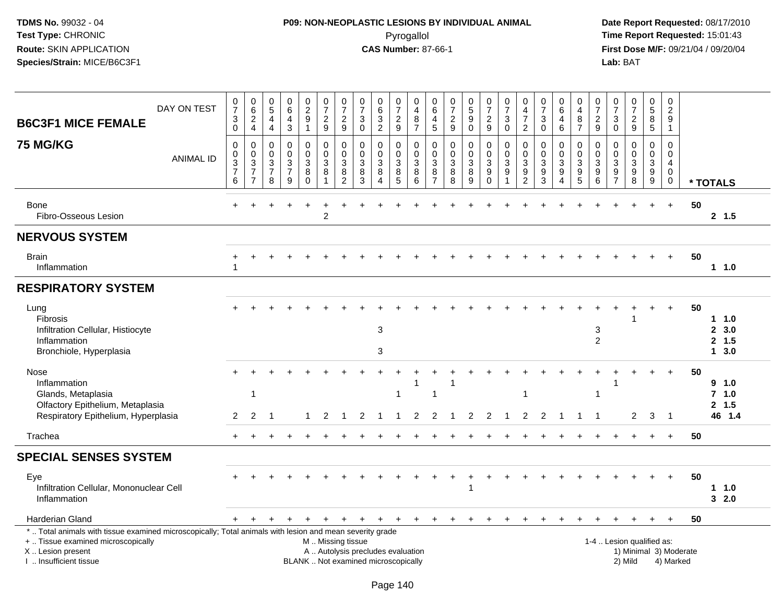# **P09: NON-NEOPLASTIC LESIONS BY INDIVIDUAL ANIMAL**Pyrogallol **Time Report Requested:** 15:01:43

| DAY ON TEST<br><b>B6C3F1 MICE FEMALE</b>                                                                                                                                                     | $\frac{0}{7}$<br>$\ensuremath{\mathsf{3}}$<br>$\pmb{0}$                      | $_{6}^{\rm 0}$<br>$\overline{2}$<br>$\overline{4}$                 | $\begin{array}{c} 0 \\ 5 \end{array}$<br>$\overline{4}$<br>$\overline{4}$    | $\begin{array}{c} 0 \\ 6 \end{array}$<br>$\overline{4}$<br>$\mathbf{3}$ | $\begin{smallmatrix} 0\\2\\9 \end{smallmatrix}$<br>$\mathbf{1}$                        | $\begin{array}{c} 0 \\ 7 \end{array}$<br>$\sqrt{2}$<br>$\overline{9}$ | $\begin{array}{c} 0 \\ 7 \end{array}$<br>$\overline{2}$<br>$9\,$ | $\frac{0}{7}$<br>3<br>$\overline{0}$                                     | $\begin{array}{c} 0 \\ 6 \\ 3 \end{array}$<br>$\overline{2}$ | 0<br>$\overline{7}$<br>$\frac{2}{9}$         | 0<br>$\overline{4}$<br>8<br>$\overline{7}$                           | 0<br>$6\phantom{1}$<br>4<br>$\overline{5}$   | $\frac{0}{7}$<br>$\overline{2}$<br>$\boldsymbol{9}$ | $\begin{array}{c} 0 \\ 5 \\ 9 \end{array}$<br>$\bar{0}$ | $\begin{array}{c} 0 \\ 7 \end{array}$<br>$\overline{2}$<br>9                    | $\begin{array}{c} 0 \\ 7 \end{array}$<br>3<br>$\mathbf 0$            | $\begin{smallmatrix}0\0\4\end{smallmatrix}$<br>$\overline{7}$<br>$\overline{2}$           | $\frac{0}{7}$<br>$\sqrt{3}$<br>$\mathbf 0$                        | 0<br>6<br>$\overline{4}$<br>6                                          | 0<br>$\overline{4}$<br>$\frac{8}{7}$                 | $\begin{array}{c} 0 \\ 7 \end{array}$<br>$\frac{2}{9}$      | 0<br>$\overline{7}$<br>3<br>$\mathbf 0$                                                       | $\begin{array}{c} 0 \\ 7 \end{array}$<br>$\frac{2}{9}$                       | 0<br>$\sqrt{5}$<br>8<br>$\overline{5}$                 | 0<br>$\overline{c}$<br>9<br>$\mathbf{1}$                       |                        |                                       |
|----------------------------------------------------------------------------------------------------------------------------------------------------------------------------------------------|------------------------------------------------------------------------------|--------------------------------------------------------------------|------------------------------------------------------------------------------|-------------------------------------------------------------------------|----------------------------------------------------------------------------------------|-----------------------------------------------------------------------|------------------------------------------------------------------|--------------------------------------------------------------------------|--------------------------------------------------------------|----------------------------------------------|----------------------------------------------------------------------|----------------------------------------------|-----------------------------------------------------|---------------------------------------------------------|---------------------------------------------------------------------------------|----------------------------------------------------------------------|-------------------------------------------------------------------------------------------|-------------------------------------------------------------------|------------------------------------------------------------------------|------------------------------------------------------|-------------------------------------------------------------|-----------------------------------------------------------------------------------------------|------------------------------------------------------------------------------|--------------------------------------------------------|----------------------------------------------------------------|------------------------|---------------------------------------|
| <b>75 MG/KG</b><br><b>ANIMAL ID</b>                                                                                                                                                          | $\mathbf 0$<br>$\pmb{0}$<br>$\ensuremath{\mathsf{3}}$<br>$\overline{7}$<br>6 | 0<br>$\mathbf 0$<br>$\sqrt{3}$<br>$\overline{7}$<br>$\overline{7}$ | $\pmb{0}$<br>$\mathbf 0$<br>$\ensuremath{\mathsf{3}}$<br>$\overline{7}$<br>8 | $\mathbf 0$<br>$\pmb{0}$<br>$\frac{3}{7}$<br>9                          | $\mathbf 0$<br>$\mathsf{O}\xspace$<br>$\ensuremath{\mathsf{3}}$<br>$\bf 8$<br>$\Omega$ | $\mathbf 0$<br>$\mathbf 0$<br>$\sqrt{3}$<br>$\bf 8$<br>$\mathbf{1}$   | 0<br>$\mathbf 0$<br>3<br>8<br>$\overline{2}$                     | $\mathbf 0$<br>$\pmb{0}$<br>$\sqrt{3}$<br>$\bf 8$<br>3                   | 0<br>$\mathbf{0}$<br>3<br>$\overline{8}$<br>$\Delta$         | 0<br>$\pmb{0}$<br>$\sqrt{3}$<br>$\bf 8$<br>5 | $\mathbf 0$<br>$\ddot{\mathbf{0}}$<br>$\overline{3}$<br>$\bf 8$<br>6 | 0<br>$\mathbf 0$<br>3<br>8<br>$\overline{7}$ | $\mathbf 0$<br>$\mathbf 0$<br>$\sqrt{3}$<br>8<br>8  | 0<br>$\mathbf 0$<br>$\mathbf{3}$<br>8<br>9              | $\mathbf 0$<br>$\overline{0}$<br>$\mathsf 3$<br>$\boldsymbol{9}$<br>$\mathbf 0$ | $\mathbf 0$<br>$\ddot{\mathbf{0}}$<br>$\sqrt{3}$<br>$\boldsymbol{9}$ | $\mathbf 0$<br>$\pmb{0}$<br>$\ensuremath{\mathsf{3}}$<br>$\overline{9}$<br>$\overline{2}$ | $\mathbf 0$<br>$\mathbf 0$<br>$\sqrt{3}$<br>$\boldsymbol{9}$<br>3 | 0<br>$\mathbf 0$<br>$\ensuremath{\mathsf{3}}$<br>$\boldsymbol{9}$<br>4 | 0<br>$\begin{array}{c} 0 \\ 3 \\ 9 \\ 5 \end{array}$ | 0<br>$\mathbf 0$<br>$\sqrt{3}$<br>$\boldsymbol{9}$<br>$\,6$ | $\mathbf 0$<br>$\mathbf 0$<br>$\ensuremath{\mathsf{3}}$<br>$\boldsymbol{9}$<br>$\overline{7}$ | $\mathbf 0$<br>$\pmb{0}$<br>$\ensuremath{\mathsf{3}}$<br>$\overline{9}$<br>8 | 0<br>$\mathsf{O}\xspace$<br>3<br>$\boldsymbol{9}$<br>9 | $\mathbf 0$<br>$\pmb{0}$<br>4<br>$\overline{0}$<br>$\mathbf 0$ |                        | * TOTALS                              |
| Bone<br>Fibro-Osseous Lesion                                                                                                                                                                 |                                                                              |                                                                    |                                                                              |                                                                         |                                                                                        | $\overline{c}$                                                        |                                                                  |                                                                          |                                                              |                                              |                                                                      |                                              |                                                     |                                                         |                                                                                 |                                                                      |                                                                                           |                                                                   |                                                                        |                                                      |                                                             |                                                                                               |                                                                              |                                                        | $\ddot{}$                                                      | 50                     | 2, 1.5                                |
| <b>NERVOUS SYSTEM</b>                                                                                                                                                                        |                                                                              |                                                                    |                                                                              |                                                                         |                                                                                        |                                                                       |                                                                  |                                                                          |                                                              |                                              |                                                                      |                                              |                                                     |                                                         |                                                                                 |                                                                      |                                                                                           |                                                                   |                                                                        |                                                      |                                                             |                                                                                               |                                                                              |                                                        |                                                                |                        |                                       |
| <b>Brain</b><br>Inflammation                                                                                                                                                                 | 1                                                                            |                                                                    |                                                                              |                                                                         |                                                                                        |                                                                       |                                                                  |                                                                          |                                                              |                                              |                                                                      |                                              |                                                     |                                                         |                                                                                 |                                                                      |                                                                                           |                                                                   |                                                                        |                                                      |                                                             |                                                                                               |                                                                              |                                                        |                                                                | 50                     | 1 1.0                                 |
| <b>RESPIRATORY SYSTEM</b>                                                                                                                                                                    |                                                                              |                                                                    |                                                                              |                                                                         |                                                                                        |                                                                       |                                                                  |                                                                          |                                                              |                                              |                                                                      |                                              |                                                     |                                                         |                                                                                 |                                                                      |                                                                                           |                                                                   |                                                                        |                                                      |                                                             |                                                                                               |                                                                              |                                                        |                                                                |                        |                                       |
| Lung<br>Fibrosis<br>Infiltration Cellular, Histiocyte<br>Inflammation<br>Bronchiole, Hyperplasia                                                                                             |                                                                              |                                                                    |                                                                              |                                                                         |                                                                                        |                                                                       |                                                                  |                                                                          | 3<br>3                                                       |                                              |                                                                      |                                              |                                                     |                                                         |                                                                                 |                                                                      |                                                                                           |                                                                   |                                                                        |                                                      | 3<br>2                                                      |                                                                                               |                                                                              |                                                        | $\ddot{}$                                                      | 50                     | $1 \t1.0$<br>2, 3.0<br>2, 1.5<br>13.0 |
| Nose<br>Inflammation<br>Glands, Metaplasia<br>Olfactory Epithelium, Metaplasia<br>Respiratory Epithelium, Hyperplasia                                                                        | 2                                                                            | $\mathbf 1$<br>2                                                   |                                                                              |                                                                         |                                                                                        |                                                                       |                                                                  |                                                                          |                                                              |                                              | 1<br>2                                                               | 1<br>2                                       |                                                     | 2                                                       | 2                                                                               |                                                                      | 1<br>2                                                                                    | 2                                                                 |                                                                        |                                                      | $\overline{1}$                                              |                                                                                               | $\overline{2}$                                                               | 3                                                      | $\overline{\phantom{0}}$                                       | 50                     | 9 1.0<br>7, 1.0<br>2, 1.5<br>46 1.4   |
| Trachea                                                                                                                                                                                      |                                                                              |                                                                    |                                                                              |                                                                         |                                                                                        |                                                                       |                                                                  |                                                                          |                                                              |                                              |                                                                      |                                              |                                                     |                                                         |                                                                                 |                                                                      |                                                                                           |                                                                   |                                                                        |                                                      |                                                             |                                                                                               |                                                                              |                                                        | $\ddot{}$                                                      | 50                     |                                       |
| <b>SPECIAL SENSES SYSTEM</b>                                                                                                                                                                 |                                                                              |                                                                    |                                                                              |                                                                         |                                                                                        |                                                                       |                                                                  |                                                                          |                                                              |                                              |                                                                      |                                              |                                                     |                                                         |                                                                                 |                                                                      |                                                                                           |                                                                   |                                                                        |                                                      |                                                             |                                                                                               |                                                                              |                                                        |                                                                |                        |                                       |
| Eye<br>Infiltration Cellular, Mononuclear Cell<br>Inflammation                                                                                                                               |                                                                              |                                                                    |                                                                              |                                                                         |                                                                                        |                                                                       |                                                                  |                                                                          |                                                              |                                              |                                                                      |                                              |                                                     | 1                                                       |                                                                                 |                                                                      |                                                                                           |                                                                   |                                                                        |                                                      |                                                             |                                                                                               |                                                                              |                                                        | $\ddot{}$                                                      | 50                     | $1 \t1.0$<br>32.0                     |
| Harderian Gland                                                                                                                                                                              |                                                                              |                                                                    |                                                                              |                                                                         |                                                                                        |                                                                       | +                                                                | $\ddot{}$                                                                | $\pm$                                                        | $\ddot{}$                                    | $+$                                                                  | $\pm$                                        |                                                     | $\pm$                                                   |                                                                                 |                                                                      |                                                                                           |                                                                   |                                                                        |                                                      |                                                             |                                                                                               |                                                                              |                                                        | $\ddot{}$                                                      | 50                     |                                       |
| *  Total animals with tissue examined microscopically; Total animals with lesion and mean severity grade<br>+  Tissue examined microscopically<br>X Lesion present<br>I. Insufficient tissue |                                                                              |                                                                    |                                                                              |                                                                         |                                                                                        | M  Missing tissue                                                     |                                                                  | A  Autolysis precludes evaluation<br>BLANK  Not examined microscopically |                                                              |                                              |                                                                      |                                              |                                                     |                                                         |                                                                                 |                                                                      |                                                                                           |                                                                   |                                                                        |                                                      |                                                             |                                                                                               | 1-4  Lesion qualified as:<br>2) Mild                                         |                                                        | 4) Marked                                                      | 1) Minimal 3) Moderate |                                       |